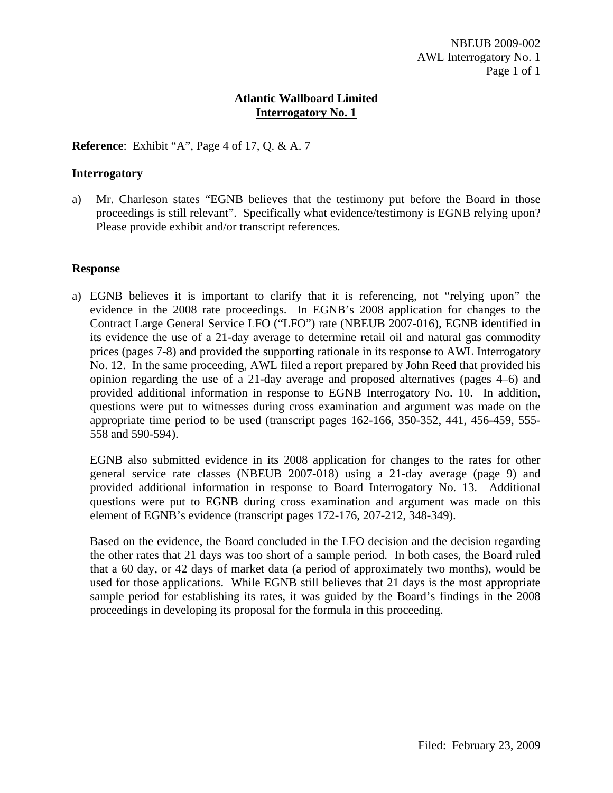**Reference**: Exhibit "A", Page 4 of 17, Q. & A. 7

### **Interrogatory**

a) Mr. Charleson states "EGNB believes that the testimony put before the Board in those proceedings is still relevant". Specifically what evidence/testimony is EGNB relying upon? Please provide exhibit and/or transcript references.

#### **Response**

a) EGNB believes it is important to clarify that it is referencing, not "relying upon" the evidence in the 2008 rate proceedings. In EGNB's 2008 application for changes to the Contract Large General Service LFO ("LFO") rate (NBEUB 2007-016), EGNB identified in its evidence the use of a 21-day average to determine retail oil and natural gas commodity prices (pages 7-8) and provided the supporting rationale in its response to AWL Interrogatory No. 12. In the same proceeding, AWL filed a report prepared by John Reed that provided his opinion regarding the use of a 21-day average and proposed alternatives (pages 4–6) and provided additional information in response to EGNB Interrogatory No. 10. In addition, questions were put to witnesses during cross examination and argument was made on the appropriate time period to be used (transcript pages 162-166, 350-352, 441, 456-459, 555- 558 and 590-594).

EGNB also submitted evidence in its 2008 application for changes to the rates for other general service rate classes (NBEUB 2007-018) using a 21-day average (page 9) and provided additional information in response to Board Interrogatory No. 13. Additional questions were put to EGNB during cross examination and argument was made on this element of EGNB's evidence (transcript pages 172-176, 207-212, 348-349).

Based on the evidence, the Board concluded in the LFO decision and the decision regarding the other rates that 21 days was too short of a sample period. In both cases, the Board ruled that a 60 day, or 42 days of market data (a period of approximately two months), would be used for those applications. While EGNB still believes that 21 days is the most appropriate sample period for establishing its rates, it was guided by the Board's findings in the 2008 proceedings in developing its proposal for the formula in this proceeding.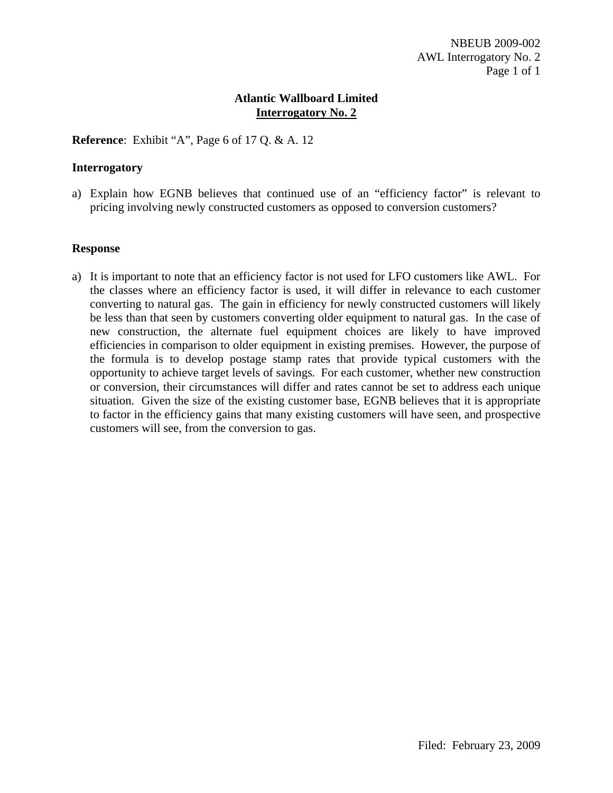**Reference**: Exhibit "A", Page 6 of 17 Q. & A. 12

### **Interrogatory**

a) Explain how EGNB believes that continued use of an "efficiency factor" is relevant to pricing involving newly constructed customers as opposed to conversion customers?

### **Response**

a) It is important to note that an efficiency factor is not used for LFO customers like AWL. For the classes where an efficiency factor is used, it will differ in relevance to each customer converting to natural gas. The gain in efficiency for newly constructed customers will likely be less than that seen by customers converting older equipment to natural gas. In the case of new construction, the alternate fuel equipment choices are likely to have improved efficiencies in comparison to older equipment in existing premises. However, the purpose of the formula is to develop postage stamp rates that provide typical customers with the opportunity to achieve target levels of savings. For each customer, whether new construction or conversion, their circumstances will differ and rates cannot be set to address each unique situation. Given the size of the existing customer base, EGNB believes that it is appropriate to factor in the efficiency gains that many existing customers will have seen, and prospective customers will see, from the conversion to gas.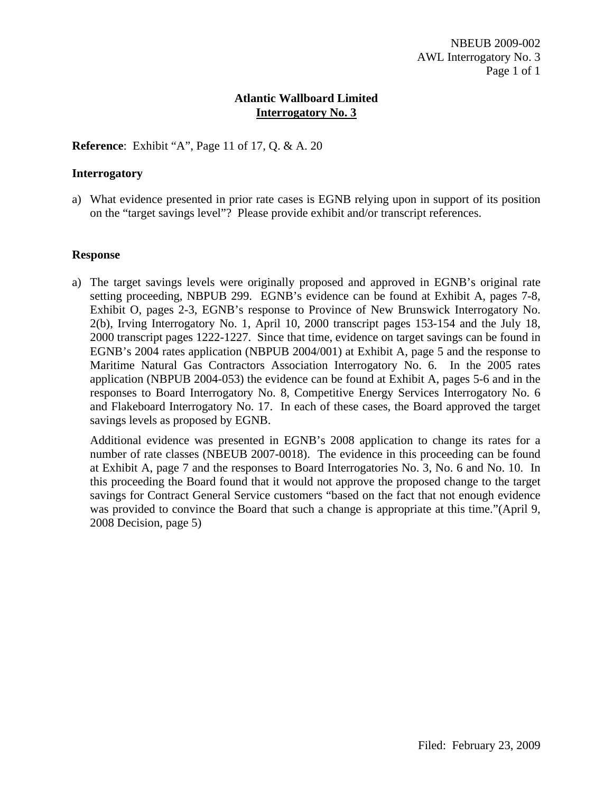**Reference**: Exhibit "A", Page 11 of 17, Q. & A. 20

### **Interrogatory**

a) What evidence presented in prior rate cases is EGNB relying upon in support of its position on the "target savings level"? Please provide exhibit and/or transcript references.

#### **Response**

a) The target savings levels were originally proposed and approved in EGNB's original rate setting proceeding, NBPUB 299. EGNB's evidence can be found at Exhibit A, pages 7-8, Exhibit O, pages 2-3, EGNB's response to Province of New Brunswick Interrogatory No. 2(b), Irving Interrogatory No. 1, April 10, 2000 transcript pages 153-154 and the July 18, 2000 transcript pages 1222-1227. Since that time, evidence on target savings can be found in EGNB's 2004 rates application (NBPUB 2004/001) at Exhibit A, page 5 and the response to Maritime Natural Gas Contractors Association Interrogatory No. 6. In the 2005 rates application (NBPUB 2004-053) the evidence can be found at Exhibit A, pages 5-6 and in the responses to Board Interrogatory No. 8, Competitive Energy Services Interrogatory No. 6 and Flakeboard Interrogatory No. 17. In each of these cases, the Board approved the target savings levels as proposed by EGNB.

Additional evidence was presented in EGNB's 2008 application to change its rates for a number of rate classes (NBEUB 2007-0018). The evidence in this proceeding can be found at Exhibit A, page 7 and the responses to Board Interrogatories No. 3, No. 6 and No. 10. In this proceeding the Board found that it would not approve the proposed change to the target savings for Contract General Service customers "based on the fact that not enough evidence was provided to convince the Board that such a change is appropriate at this time."(April 9, 2008 Decision, page 5)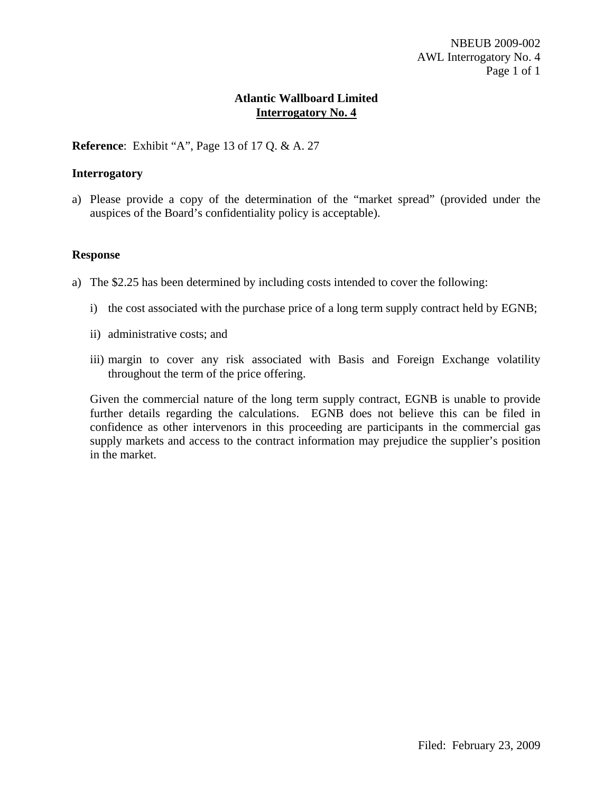**Reference**: Exhibit "A", Page 13 of 17 Q. & A. 27

### **Interrogatory**

a) Please provide a copy of the determination of the "market spread" (provided under the auspices of the Board's confidentiality policy is acceptable).

#### **Response**

- a) The \$2.25 has been determined by including costs intended to cover the following:
	- i) the cost associated with the purchase price of a long term supply contract held by EGNB;
	- ii) administrative costs; and
	- iii) margin to cover any risk associated with Basis and Foreign Exchange volatility throughout the term of the price offering.

Given the commercial nature of the long term supply contract, EGNB is unable to provide further details regarding the calculations. EGNB does not believe this can be filed in confidence as other intervenors in this proceeding are participants in the commercial gas supply markets and access to the contract information may prejudice the supplier's position in the market.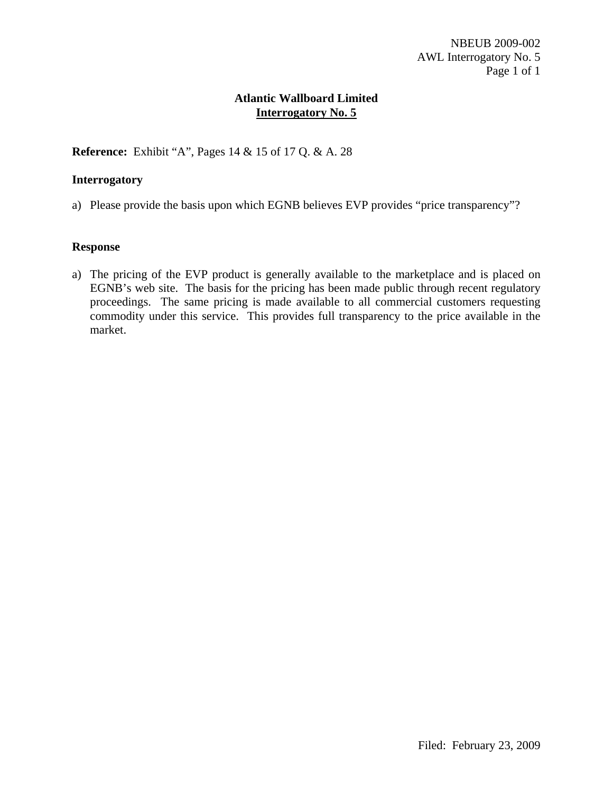**Reference:** Exhibit "A", Pages 14 & 15 of 17 Q. & A. 28

### **Interrogatory**

a) Please provide the basis upon which EGNB believes EVP provides "price transparency"?

#### **Response**

a) The pricing of the EVP product is generally available to the marketplace and is placed on EGNB's web site. The basis for the pricing has been made public through recent regulatory proceedings. The same pricing is made available to all commercial customers requesting commodity under this service. This provides full transparency to the price available in the market.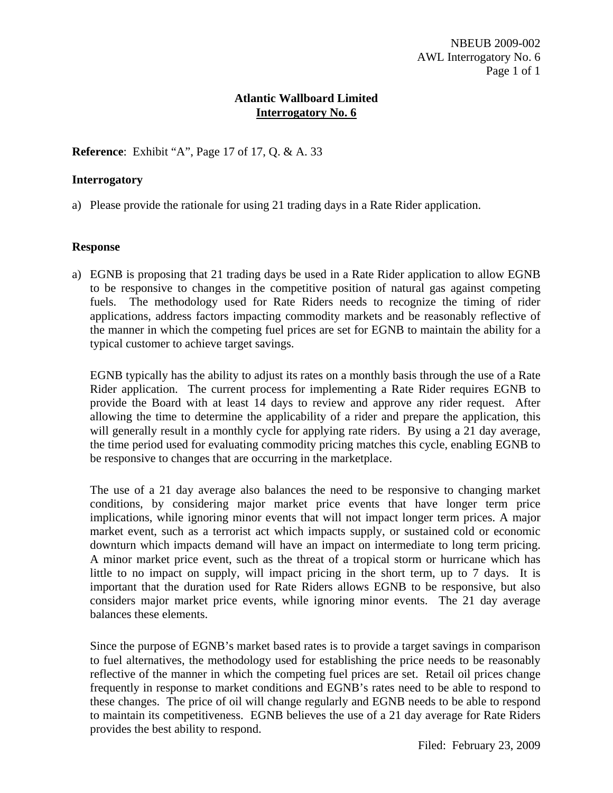**Reference**: Exhibit "A", Page 17 of 17, Q. & A. 33

### **Interrogatory**

a) Please provide the rationale for using 21 trading days in a Rate Rider application.

#### **Response**

a) EGNB is proposing that 21 trading days be used in a Rate Rider application to allow EGNB to be responsive to changes in the competitive position of natural gas against competing fuels. The methodology used for Rate Riders needs to recognize the timing of rider applications, address factors impacting commodity markets and be reasonably reflective of the manner in which the competing fuel prices are set for EGNB to maintain the ability for a typical customer to achieve target savings.

EGNB typically has the ability to adjust its rates on a monthly basis through the use of a Rate Rider application. The current process for implementing a Rate Rider requires EGNB to provide the Board with at least 14 days to review and approve any rider request. After allowing the time to determine the applicability of a rider and prepare the application, this will generally result in a monthly cycle for applying rate riders. By using a 21 day average, the time period used for evaluating commodity pricing matches this cycle, enabling EGNB to be responsive to changes that are occurring in the marketplace.

The use of a 21 day average also balances the need to be responsive to changing market conditions, by considering major market price events that have longer term price implications, while ignoring minor events that will not impact longer term prices. A major market event, such as a terrorist act which impacts supply, or sustained cold or economic downturn which impacts demand will have an impact on intermediate to long term pricing. A minor market price event, such as the threat of a tropical storm or hurricane which has little to no impact on supply, will impact pricing in the short term, up to 7 days. It is important that the duration used for Rate Riders allows EGNB to be responsive, but also considers major market price events, while ignoring minor events. The 21 day average balances these elements.

Since the purpose of EGNB's market based rates is to provide a target savings in comparison to fuel alternatives, the methodology used for establishing the price needs to be reasonably reflective of the manner in which the competing fuel prices are set. Retail oil prices change frequently in response to market conditions and EGNB's rates need to be able to respond to these changes. The price of oil will change regularly and EGNB needs to be able to respond to maintain its competitiveness. EGNB believes the use of a 21 day average for Rate Riders provides the best ability to respond.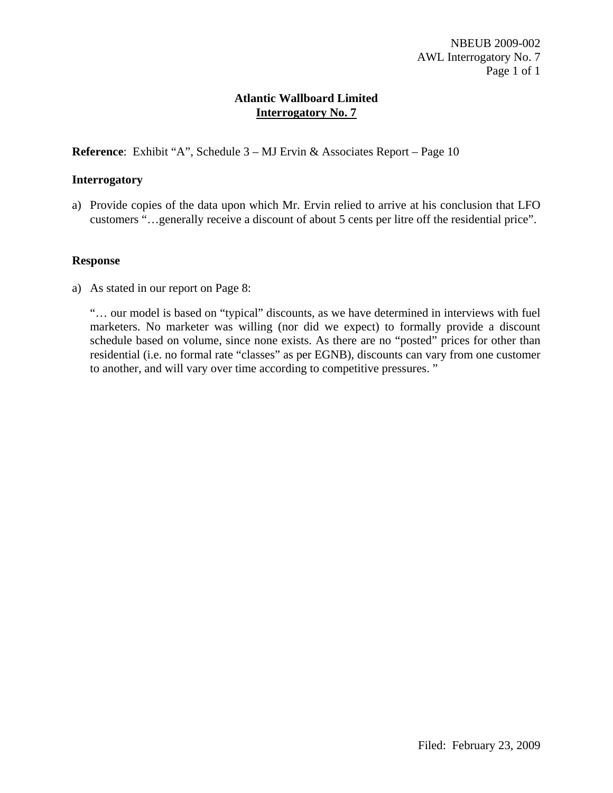**Reference**: Exhibit "A", Schedule 3 – MJ Ervin & Associates Report – Page 10

## **Interrogatory**

a) Provide copies of the data upon which Mr. Ervin relied to arrive at his conclusion that LFO customers "…generally receive a discount of about 5 cents per litre off the residential price".

### **Response**

a) As stated in our report on Page 8:

"… our model is based on "typical" discounts, as we have determined in interviews with fuel marketers. No marketer was willing (nor did we expect) to formally provide a discount schedule based on volume, since none exists. As there are no "posted" prices for other than residential (i.e. no formal rate "classes" as per EGNB), discounts can vary from one customer to another, and will vary over time according to competitive pressures. "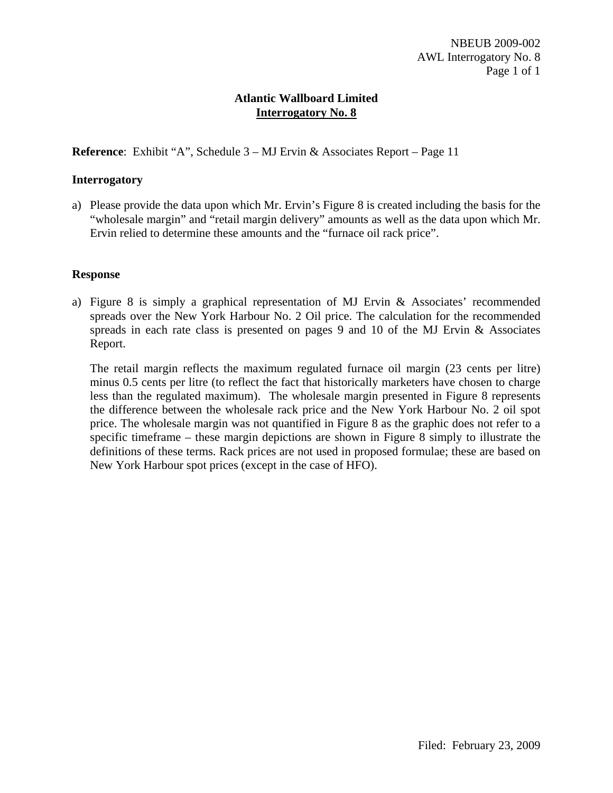**Reference**: Exhibit "A", Schedule 3 – MJ Ervin & Associates Report – Page 11

## **Interrogatory**

a) Please provide the data upon which Mr. Ervin's Figure 8 is created including the basis for the "wholesale margin" and "retail margin delivery" amounts as well as the data upon which Mr. Ervin relied to determine these amounts and the "furnace oil rack price".

## **Response**

a) Figure 8 is simply a graphical representation of MJ Ervin & Associates' recommended spreads over the New York Harbour No. 2 Oil price. The calculation for the recommended spreads in each rate class is presented on pages 9 and 10 of the MJ Ervin & Associates Report.

The retail margin reflects the maximum regulated furnace oil margin (23 cents per litre) minus 0.5 cents per litre (to reflect the fact that historically marketers have chosen to charge less than the regulated maximum). The wholesale margin presented in Figure 8 represents the difference between the wholesale rack price and the New York Harbour No. 2 oil spot price. The wholesale margin was not quantified in Figure 8 as the graphic does not refer to a specific timeframe – these margin depictions are shown in Figure 8 simply to illustrate the definitions of these terms. Rack prices are not used in proposed formulae; these are based on New York Harbour spot prices (except in the case of HFO).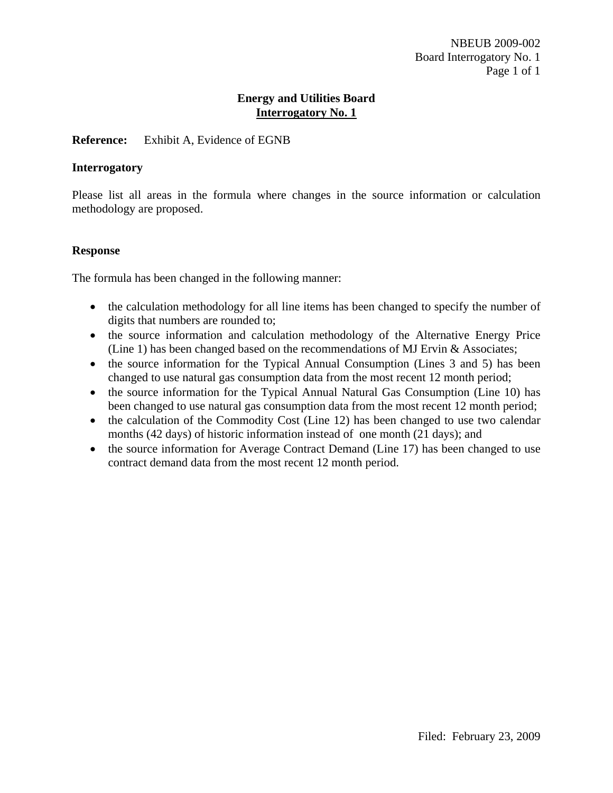### **Reference:** Exhibit A, Evidence of EGNB

### **Interrogatory**

Please list all areas in the formula where changes in the source information or calculation methodology are proposed.

#### **Response**

The formula has been changed in the following manner:

- the calculation methodology for all line items has been changed to specify the number of digits that numbers are rounded to;
- the source information and calculation methodology of the Alternative Energy Price (Line 1) has been changed based on the recommendations of MJ Ervin & Associates;
- the source information for the Typical Annual Consumption (Lines 3 and 5) has been changed to use natural gas consumption data from the most recent 12 month period;
- the source information for the Typical Annual Natural Gas Consumption (Line 10) has been changed to use natural gas consumption data from the most recent 12 month period;
- the calculation of the Commodity Cost (Line 12) has been changed to use two calendar months (42 days) of historic information instead of one month (21 days); and
- the source information for Average Contract Demand (Line 17) has been changed to use contract demand data from the most recent 12 month period.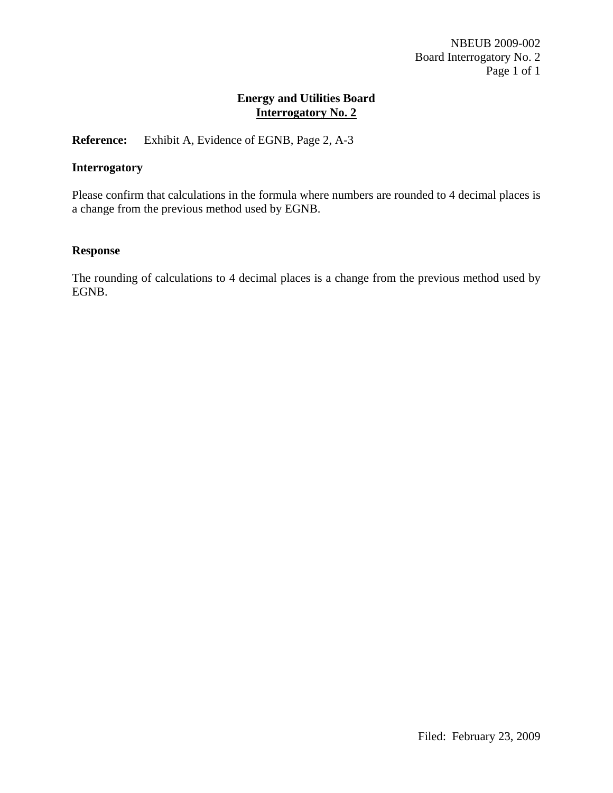**Reference:** Exhibit A, Evidence of EGNB, Page 2, A-3

## **Interrogatory**

Please confirm that calculations in the formula where numbers are rounded to 4 decimal places is a change from the previous method used by EGNB.

## **Response**

The rounding of calculations to 4 decimal places is a change from the previous method used by EGNB.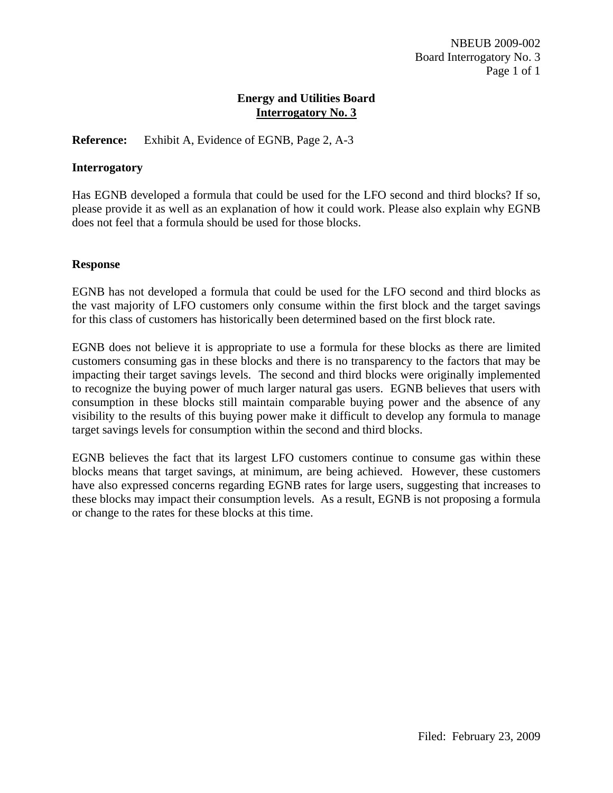## **Reference:** Exhibit A, Evidence of EGNB, Page 2, A-3

### **Interrogatory**

Has EGNB developed a formula that could be used for the LFO second and third blocks? If so, please provide it as well as an explanation of how it could work. Please also explain why EGNB does not feel that a formula should be used for those blocks.

#### **Response**

EGNB has not developed a formula that could be used for the LFO second and third blocks as the vast majority of LFO customers only consume within the first block and the target savings for this class of customers has historically been determined based on the first block rate.

EGNB does not believe it is appropriate to use a formula for these blocks as there are limited customers consuming gas in these blocks and there is no transparency to the factors that may be impacting their target savings levels. The second and third blocks were originally implemented to recognize the buying power of much larger natural gas users. EGNB believes that users with consumption in these blocks still maintain comparable buying power and the absence of any visibility to the results of this buying power make it difficult to develop any formula to manage target savings levels for consumption within the second and third blocks.

EGNB believes the fact that its largest LFO customers continue to consume gas within these blocks means that target savings, at minimum, are being achieved. However, these customers have also expressed concerns regarding EGNB rates for large users, suggesting that increases to these blocks may impact their consumption levels. As a result, EGNB is not proposing a formula or change to the rates for these blocks at this time.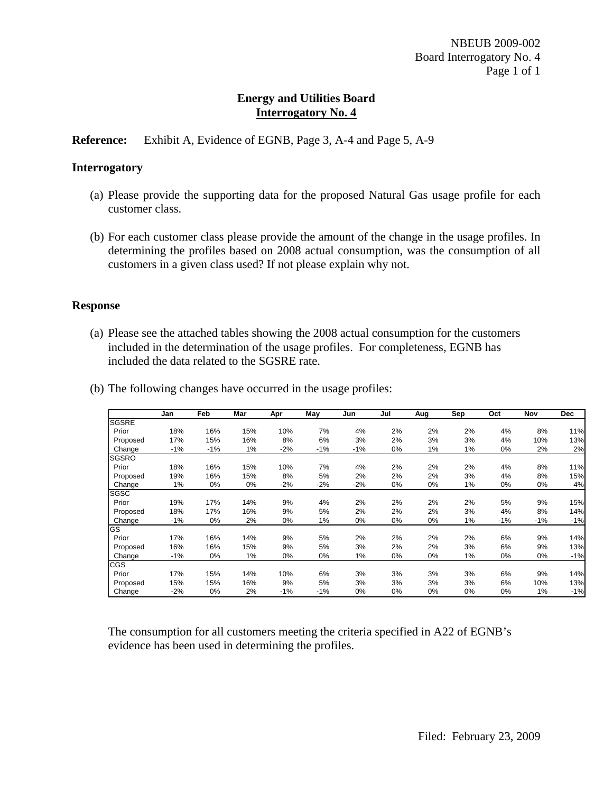## **Reference:** Exhibit A, Evidence of EGNB, Page 3, A-4 and Page 5, A-9

#### **Interrogatory**

- (a) Please provide the supporting data for the proposed Natural Gas usage profile for each customer class.
- (b) For each customer class please provide the amount of the change in the usage profiles. In determining the profiles based on 2008 actual consumption, was the consumption of all customers in a given class used? If not please explain why not.

### **Response**

(a) Please see the attached tables showing the 2008 actual consumption for the customers included in the determination of the usage profiles. For completeness, EGNB has included the data related to the SGSRE rate.

|              | Jan   | <b>Feb</b> | Mar | Apr   | May   | Jun   | Jul   | Aug | Sep | Oct   | Nov   | <b>Dec</b> |  |
|--------------|-------|------------|-----|-------|-------|-------|-------|-----|-----|-------|-------|------------|--|
| <b>SGSRE</b> |       |            |     |       |       |       |       |     |     |       |       |            |  |
| Prior        | 18%   | 16%        | 15% | 10%   | 7%    | 4%    | 2%    | 2%  | 2%  | 4%    | 8%    | 11%        |  |
| Proposed     | 17%   | 15%        | 16% | 8%    | 6%    | 3%    | 2%    | 3%  | 3%  | 4%    | 10%   | 13%        |  |
| Change       | $-1%$ | $-1%$      | 1%  | $-2%$ | $-1%$ | -1%   | 0%    | 1%  | 1%  | 0%    | 2%    | 2%         |  |
| <b>SGSRO</b> |       |            |     |       |       |       |       |     |     |       |       |            |  |
| Prior        | 18%   | 16%        | 15% | 10%   | 7%    | 4%    | 2%    | 2%  | 2%  | 4%    | 8%    | 11%        |  |
| Proposed     | 19%   | 16%        | 15% | 8%    | 5%    | 2%    | 2%    | 2%  | 3%  | 4%    | 8%    | 15%        |  |
| Change       | 1%    | 0%         | 0%  | $-2%$ | $-2%$ | $-2%$ | 0%    | 0%  | 1%  | 0%    | 0%    | 4%         |  |
| SGSC         |       |            |     |       |       |       |       |     |     |       |       |            |  |
| Prior        | 19%   | 17%        | 14% | 9%    | 4%    | 2%    | 2%    | 2%  | 2%  | 5%    | 9%    | 15%        |  |
| Proposed     | 18%   | 17%        | 16% | 9%    | 5%    | 2%    | 2%    | 2%  | 3%  | 4%    | 8%    | 14%        |  |
| Change       | $-1%$ | 0%         | 2%  | 0%    | 1%    | 0%    | 0%    | 0%  | 1%  | $-1%$ | $-1%$ | $-1%$      |  |
| GS           |       |            |     |       |       |       |       |     |     |       |       |            |  |
| Prior        | 17%   | 16%        | 14% | 9%    | 5%    | 2%    | 2%    | 2%  | 2%  | 6%    | 9%    | 14%        |  |
| Proposed     | 16%   | 16%        | 15% | 9%    | 5%    | 3%    | 2%    | 2%  | 3%  | 6%    | 9%    | 13%        |  |
| Change       | -1%   | 0%         | 1%  | 0%    | 0%    | 1%    | 0%    | 0%  | 1%  | 0%    | 0%    | $-1%$      |  |
| CGS          |       |            |     |       |       |       |       |     |     |       |       |            |  |
| Prior        | 17%   | 15%        | 14% | 10%   | 6%    | 3%    | 3%    | 3%  | 3%  | 6%    | 9%    | 14%        |  |
| Proposed     | 15%   | 15%        | 16% | 9%    | 5%    | 3%    | 3%    | 3%  | 3%  | 6%    | 10%   | 13%        |  |
| Change       | -2%   | 0%         | 2%  | $-1%$ | $-1%$ | 0%    | $0\%$ | 0%  | 0%  | 0%    | 1%    | $-1%$      |  |

(b) The following changes have occurred in the usage profiles:

The consumption for all customers meeting the criteria specified in A22 of EGNB's evidence has been used in determining the profiles.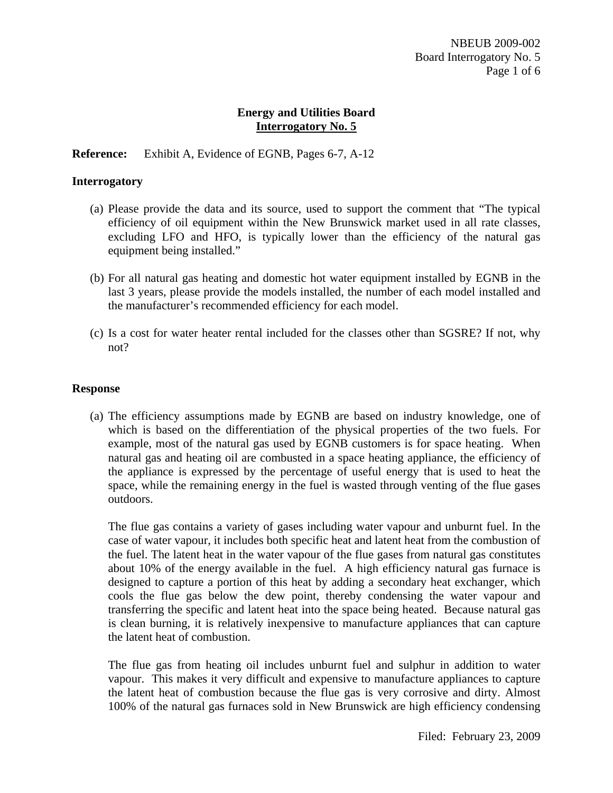## **Reference:** Exhibit A, Evidence of EGNB, Pages 6-7, A-12

### **Interrogatory**

- (a) Please provide the data and its source, used to support the comment that "The typical efficiency of oil equipment within the New Brunswick market used in all rate classes, excluding LFO and HFO, is typically lower than the efficiency of the natural gas equipment being installed."
- (b) For all natural gas heating and domestic hot water equipment installed by EGNB in the last 3 years, please provide the models installed, the number of each model installed and the manufacturer's recommended efficiency for each model.
- (c) Is a cost for water heater rental included for the classes other than SGSRE? If not, why not?

#### **Response**

(a) The efficiency assumptions made by EGNB are based on industry knowledge, one of which is based on the differentiation of the physical properties of the two fuels. For example, most of the natural gas used by EGNB customers is for space heating. When natural gas and heating oil are combusted in a space heating appliance, the efficiency of the appliance is expressed by the percentage of useful energy that is used to heat the space, while the remaining energy in the fuel is wasted through venting of the flue gases outdoors.

The flue gas contains a variety of gases including water vapour and unburnt fuel. In the case of water vapour, it includes both specific heat and latent heat from the combustion of the fuel. The latent heat in the water vapour of the flue gases from natural gas constitutes about 10% of the energy available in the fuel. A high efficiency natural gas furnace is designed to capture a portion of this heat by adding a secondary heat exchanger, which cools the flue gas below the dew point, thereby condensing the water vapour and transferring the specific and latent heat into the space being heated. Because natural gas is clean burning, it is relatively inexpensive to manufacture appliances that can capture the latent heat of combustion.

The flue gas from heating oil includes unburnt fuel and sulphur in addition to water vapour. This makes it very difficult and expensive to manufacture appliances to capture the latent heat of combustion because the flue gas is very corrosive and dirty. Almost 100% of the natural gas furnaces sold in New Brunswick are high efficiency condensing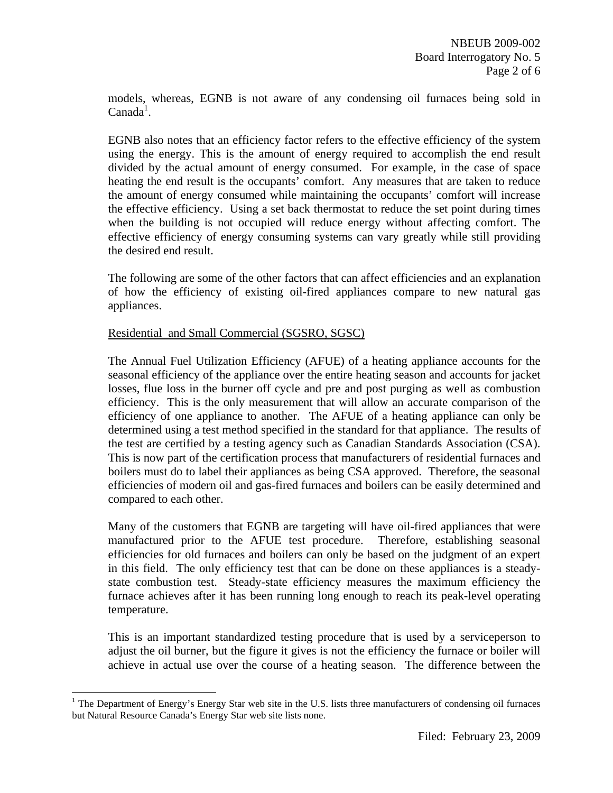models, whereas, EGNB is not aware of any condensing oil furnaces being sold in  $Canada<sup>1</sup>$ .

EGNB also notes that an efficiency factor refers to the effective efficiency of the system using the energy. This is the amount of energy required to accomplish the end result divided by the actual amount of energy consumed. For example, in the case of space heating the end result is the occupants' comfort. Any measures that are taken to reduce the amount of energy consumed while maintaining the occupants' comfort will increase the effective efficiency. Using a set back thermostat to reduce the set point during times when the building is not occupied will reduce energy without affecting comfort. The effective efficiency of energy consuming systems can vary greatly while still providing the desired end result.

The following are some of the other factors that can affect efficiencies and an explanation of how the efficiency of existing oil-fired appliances compare to new natural gas appliances.

## Residential and Small Commercial (SGSRO, SGSC)

 $\overline{a}$ 

The Annual Fuel Utilization Efficiency (AFUE) of a heating appliance accounts for the seasonal efficiency of the appliance over the entire heating season and accounts for jacket losses, flue loss in the burner off cycle and pre and post purging as well as combustion efficiency. This is the only measurement that will allow an accurate comparison of the efficiency of one appliance to another. The AFUE of a heating appliance can only be determined using a test method specified in the standard for that appliance. The results of the test are certified by a testing agency such as Canadian Standards Association (CSA). This is now part of the certification process that manufacturers of residential furnaces and boilers must do to label their appliances as being CSA approved. Therefore, the seasonal efficiencies of modern oil and gas-fired furnaces and boilers can be easily determined and compared to each other.

Many of the customers that EGNB are targeting will have oil-fired appliances that were manufactured prior to the AFUE test procedure. Therefore, establishing seasonal efficiencies for old furnaces and boilers can only be based on the judgment of an expert in this field. The only efficiency test that can be done on these appliances is a steadystate combustion test. Steady-state efficiency measures the maximum efficiency the furnace achieves after it has been running long enough to reach its peak-level operating temperature.

This is an important standardized testing procedure that is used by a serviceperson to adjust the oil burner, but the figure it gives is not the efficiency the furnace or boiler will achieve in actual use over the course of a heating season. The difference between the

<sup>&</sup>lt;sup>1</sup> The Department of Energy's Energy Star web site in the U.S. lists three manufacturers of condensing oil furnaces but Natural Resource Canada's Energy Star web site lists none.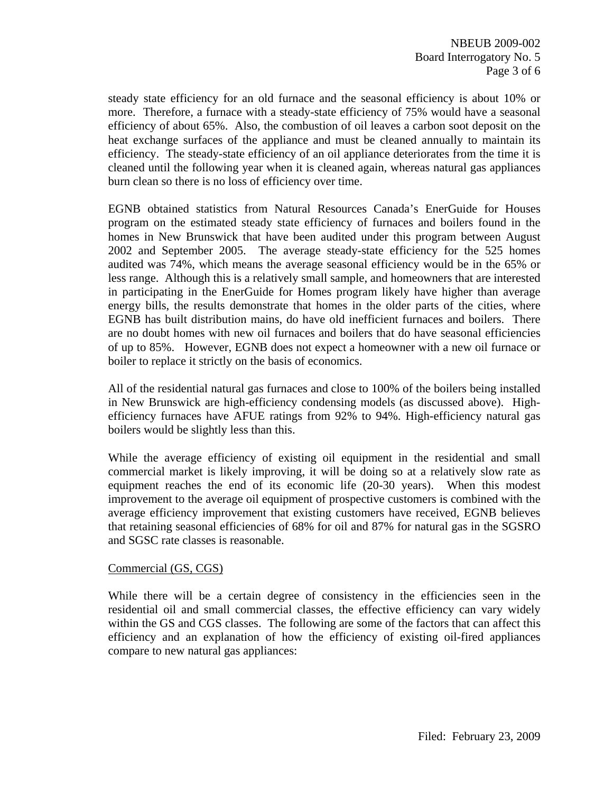steady state efficiency for an old furnace and the seasonal efficiency is about 10% or more. Therefore, a furnace with a steady-state efficiency of 75% would have a seasonal efficiency of about 65%. Also, the combustion of oil leaves a carbon soot deposit on the heat exchange surfaces of the appliance and must be cleaned annually to maintain its efficiency. The steady-state efficiency of an oil appliance deteriorates from the time it is cleaned until the following year when it is cleaned again, whereas natural gas appliances burn clean so there is no loss of efficiency over time.

EGNB obtained statistics from Natural Resources Canada's EnerGuide for Houses program on the estimated steady state efficiency of furnaces and boilers found in the homes in New Brunswick that have been audited under this program between August 2002 and September 2005. The average steady-state efficiency for the 525 homes audited was 74%, which means the average seasonal efficiency would be in the 65% or less range. Although this is a relatively small sample, and homeowners that are interested in participating in the EnerGuide for Homes program likely have higher than average energy bills, the results demonstrate that homes in the older parts of the cities, where EGNB has built distribution mains, do have old inefficient furnaces and boilers. There are no doubt homes with new oil furnaces and boilers that do have seasonal efficiencies of up to 85%. However, EGNB does not expect a homeowner with a new oil furnace or boiler to replace it strictly on the basis of economics.

All of the residential natural gas furnaces and close to 100% of the boilers being installed in New Brunswick are high-efficiency condensing models (as discussed above). Highefficiency furnaces have AFUE ratings from 92% to 94%. High-efficiency natural gas boilers would be slightly less than this.

While the average efficiency of existing oil equipment in the residential and small commercial market is likely improving, it will be doing so at a relatively slow rate as equipment reaches the end of its economic life (20-30 years). When this modest improvement to the average oil equipment of prospective customers is combined with the average efficiency improvement that existing customers have received, EGNB believes that retaining seasonal efficiencies of 68% for oil and 87% for natural gas in the SGSRO and SGSC rate classes is reasonable.

### Commercial (GS, CGS)

While there will be a certain degree of consistency in the efficiencies seen in the residential oil and small commercial classes, the effective efficiency can vary widely within the GS and CGS classes. The following are some of the factors that can affect this efficiency and an explanation of how the efficiency of existing oil-fired appliances compare to new natural gas appliances: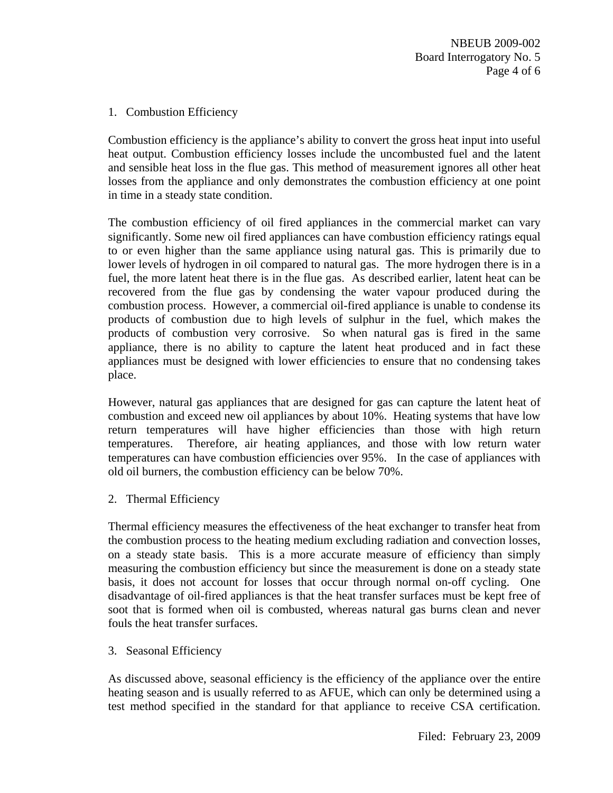1. Combustion Efficiency

Combustion efficiency is the appliance's ability to convert the gross heat input into useful heat output. Combustion efficiency losses include the uncombusted fuel and the latent and sensible heat loss in the flue gas. This method of measurement ignores all other heat losses from the appliance and only demonstrates the combustion efficiency at one point in time in a steady state condition.

The combustion efficiency of oil fired appliances in the commercial market can vary significantly. Some new oil fired appliances can have combustion efficiency ratings equal to or even higher than the same appliance using natural gas. This is primarily due to lower levels of hydrogen in oil compared to natural gas. The more hydrogen there is in a fuel, the more latent heat there is in the flue gas. As described earlier, latent heat can be recovered from the flue gas by condensing the water vapour produced during the combustion process. However, a commercial oil-fired appliance is unable to condense its products of combustion due to high levels of sulphur in the fuel, which makes the products of combustion very corrosive. So when natural gas is fired in the same appliance, there is no ability to capture the latent heat produced and in fact these appliances must be designed with lower efficiencies to ensure that no condensing takes place.

However, natural gas appliances that are designed for gas can capture the latent heat of combustion and exceed new oil appliances by about 10%. Heating systems that have low return temperatures will have higher efficiencies than those with high return temperatures. Therefore, air heating appliances, and those with low return water temperatures can have combustion efficiencies over 95%. In the case of appliances with old oil burners, the combustion efficiency can be below 70%.

2. Thermal Efficiency

Thermal efficiency measures the effectiveness of the heat exchanger to transfer heat from the combustion process to the heating medium excluding radiation and convection losses, on a steady state basis. This is a more accurate measure of efficiency than simply measuring the combustion efficiency but since the measurement is done on a steady state basis, it does not account for losses that occur through normal on-off cycling. One disadvantage of oil-fired appliances is that the heat transfer surfaces must be kept free of soot that is formed when oil is combusted, whereas natural gas burns clean and never fouls the heat transfer surfaces.

3. Seasonal Efficiency

As discussed above, seasonal efficiency is the efficiency of the appliance over the entire heating season and is usually referred to as AFUE, which can only be determined using a test method specified in the standard for that appliance to receive CSA certification.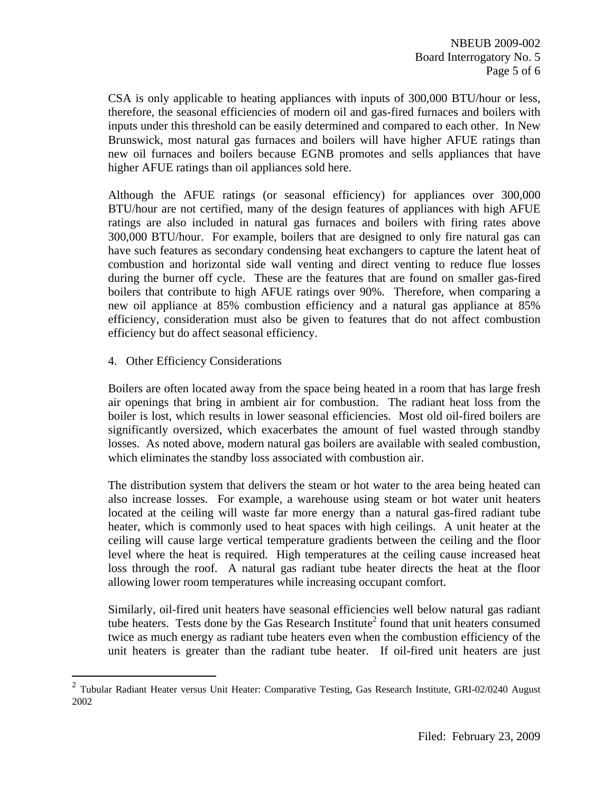CSA is only applicable to heating appliances with inputs of 300,000 BTU/hour or less, therefore, the seasonal efficiencies of modern oil and gas-fired furnaces and boilers with inputs under this threshold can be easily determined and compared to each other. In New Brunswick, most natural gas furnaces and boilers will have higher AFUE ratings than new oil furnaces and boilers because EGNB promotes and sells appliances that have higher AFUE ratings than oil appliances sold here.

Although the AFUE ratings (or seasonal efficiency) for appliances over 300,000 BTU/hour are not certified, many of the design features of appliances with high AFUE ratings are also included in natural gas furnaces and boilers with firing rates above 300,000 BTU/hour. For example, boilers that are designed to only fire natural gas can have such features as secondary condensing heat exchangers to capture the latent heat of combustion and horizontal side wall venting and direct venting to reduce flue losses during the burner off cycle. These are the features that are found on smaller gas-fired boilers that contribute to high AFUE ratings over 90%. Therefore, when comparing a new oil appliance at 85% combustion efficiency and a natural gas appliance at 85% efficiency, consideration must also be given to features that do not affect combustion efficiency but do affect seasonal efficiency.

4. Other Efficiency Considerations

1

Boilers are often located away from the space being heated in a room that has large fresh air openings that bring in ambient air for combustion. The radiant heat loss from the boiler is lost, which results in lower seasonal efficiencies. Most old oil-fired boilers are significantly oversized, which exacerbates the amount of fuel wasted through standby losses. As noted above, modern natural gas boilers are available with sealed combustion, which eliminates the standby loss associated with combustion air.

The distribution system that delivers the steam or hot water to the area being heated can also increase losses. For example, a warehouse using steam or hot water unit heaters located at the ceiling will waste far more energy than a natural gas-fired radiant tube heater, which is commonly used to heat spaces with high ceilings. A unit heater at the ceiling will cause large vertical temperature gradients between the ceiling and the floor level where the heat is required. High temperatures at the ceiling cause increased heat loss through the roof. A natural gas radiant tube heater directs the heat at the floor allowing lower room temperatures while increasing occupant comfort.

Similarly, oil-fired unit heaters have seasonal efficiencies well below natural gas radiant tube heaters. Tests done by the Gas Research Institute<sup>2</sup> found that unit heaters consumed twice as much energy as radiant tube heaters even when the combustion efficiency of the unit heaters is greater than the radiant tube heater. If oil-fired unit heaters are just

 $2$  Tubular Radiant Heater versus Unit Heater: Comparative Testing, Gas Research Institute, GRI-02/0240 August 2002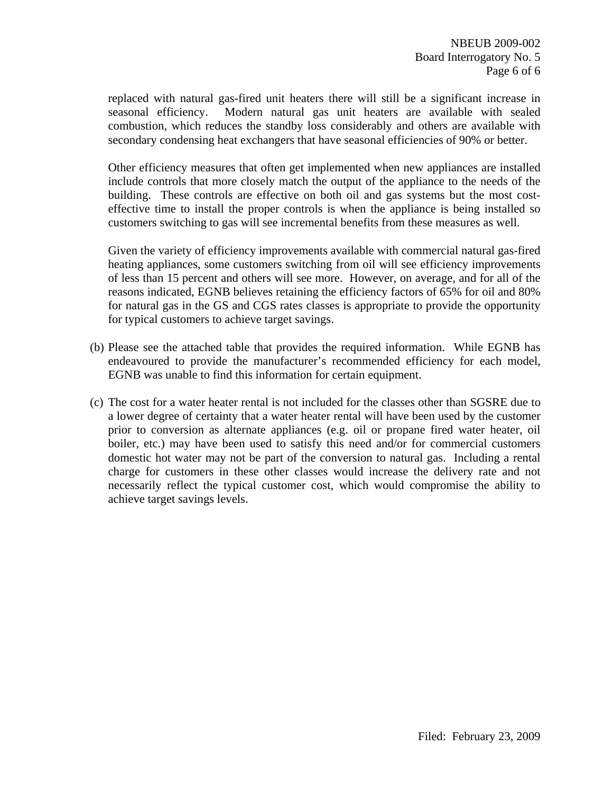replaced with natural gas-fired unit heaters there will still be a significant increase in seasonal efficiency. Modern natural gas unit heaters are available with sealed combustion, which reduces the standby loss considerably and others are available with secondary condensing heat exchangers that have seasonal efficiencies of 90% or better.

Other efficiency measures that often get implemented when new appliances are installed include controls that more closely match the output of the appliance to the needs of the building. These controls are effective on both oil and gas systems but the most costeffective time to install the proper controls is when the appliance is being installed so customers switching to gas will see incremental benefits from these measures as well.

Given the variety of efficiency improvements available with commercial natural gas-fired heating appliances, some customers switching from oil will see efficiency improvements of less than 15 percent and others will see more. However, on average, and for all of the reasons indicated, EGNB believes retaining the efficiency factors of 65% for oil and 80% for natural gas in the GS and CGS rates classes is appropriate to provide the opportunity for typical customers to achieve target savings.

- (b) Please see the attached table that provides the required information. While EGNB has endeavoured to provide the manufacturer's recommended efficiency for each model, EGNB was unable to find this information for certain equipment.
- (c) The cost for a water heater rental is not included for the classes other than SGSRE due to a lower degree of certainty that a water heater rental will have been used by the customer prior to conversion as alternate appliances (e.g. oil or propane fired water heater, oil boiler, etc.) may have been used to satisfy this need and/or for commercial customers domestic hot water may not be part of the conversion to natural gas. Including a rental charge for customers in these other classes would increase the delivery rate and not necessarily reflect the typical customer cost, which would compromise the ability to achieve target savings levels.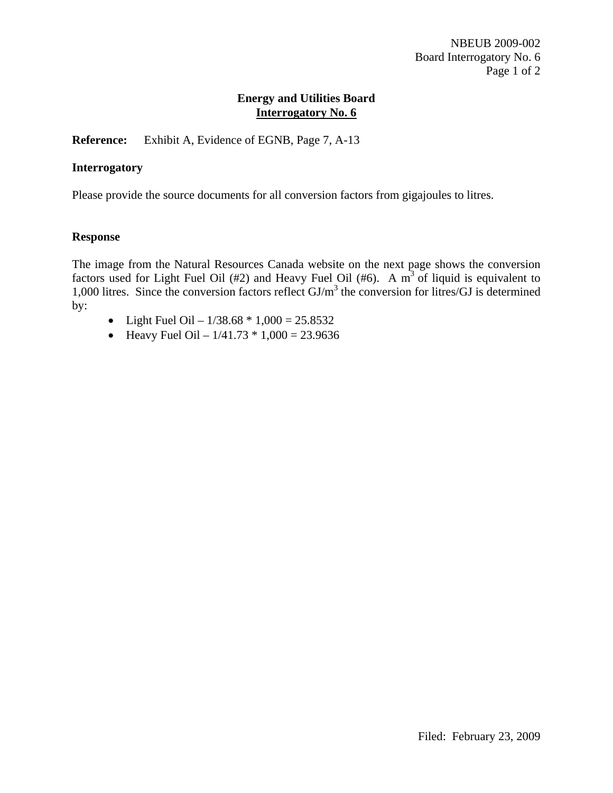**Reference:** Exhibit A, Evidence of EGNB, Page 7, A-13

### **Interrogatory**

Please provide the source documents for all conversion factors from gigajoules to litres.

#### **Response**

The image from the Natural Resources Canada website on the next page shows the conversion factors used for Light Fuel Oil (#2) and Heavy Fuel Oil (#6). A  $m<sup>3</sup>$  of liquid is equivalent to 1,000 litres. Since the conversion factors reflect GJ/m<sup>3</sup> the conversion for litres/GJ is determined by:

- Light Fuel Oil  $1/38.68 * 1,000 = 25.8532$
- Heavy Fuel Oil  $1/41.73 * 1,000 = 23.9636$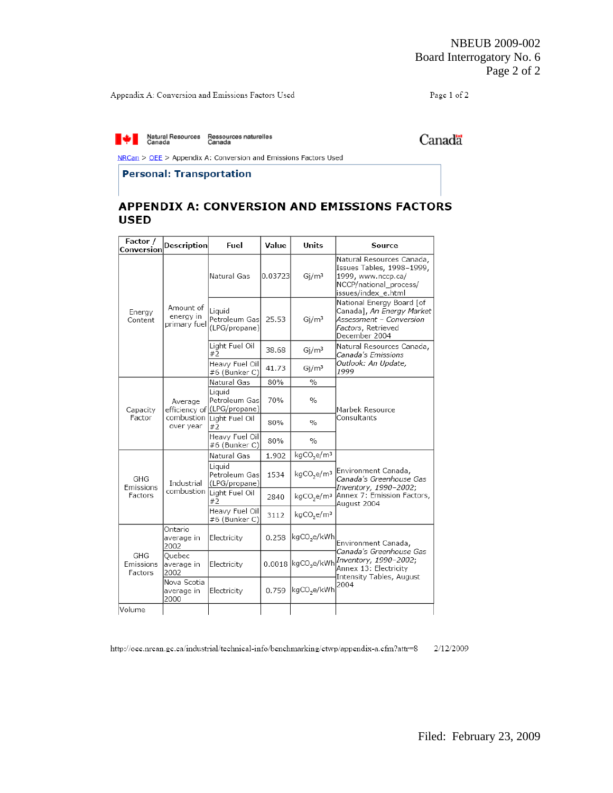Appendix A: Conversion and Emissions Factors Used

Page 1 of 2

Natural Resources Ressources naturelles<br>Canada Canada Canada

Canadä

÷.

NRCan > OEE > Appendix A: Conversion and Emissions Factors Used

#### **Personal: Transportation**

Ĭ.

## APPENDIX A: CONVERSION AND EMISSIONS FACTORS **USED**

| Factor /<br>Conversion      | <b>Description</b>                     | Fuel                                                   | Value   | Units                              | Source                                                                                                                        |  |  |  |
|-----------------------------|----------------------------------------|--------------------------------------------------------|---------|------------------------------------|-------------------------------------------------------------------------------------------------------------------------------|--|--|--|
| Energy<br>Content           |                                        | Natural Gas                                            | 0.03723 | Gi/m <sup>3</sup>                  | Natural Resources Canada,<br>Issues Tables, 1998-1999,<br>1999, www.nccp.ca/<br>NCCP/national process/<br>issues/index_e.html |  |  |  |
|                             | Amount of<br>energy in<br>primary fuel | Liquid<br>Petroleum Gas<br>(LPG/propane)               | 25.53   | Gi/m <sup>3</sup>                  | National Energy Board [of<br>Canada], An Energy Market<br>Assessment - Conversion<br>Factors, Retrieved<br>December 2004      |  |  |  |
|                             |                                        | Light Fuel Oil<br>#2                                   | 38.68   | Gi/m <sup>3</sup>                  | Natural Resources Canada,<br>Canada's Emissions                                                                               |  |  |  |
|                             |                                        | Heavy Fuel Oil<br>#6 (Bunker C)                        | 41.73   | Gi/m <sup>3</sup>                  | Outlook: An Update,<br>1999                                                                                                   |  |  |  |
|                             |                                        | Natural Gas                                            | 80%     | $\frac{0}{0}$                      |                                                                                                                               |  |  |  |
| Capacity                    | Average                                | Liquid<br>Petroleum Gas<br>efficiency of (LPG/propane) | 70%     | $\%$                               | Marbek Resource                                                                                                               |  |  |  |
| Factor                      | combustion<br>over year                | Light Fuel Oil<br>#2                                   | 80%     | $\frac{0}{0}$                      | Consultants                                                                                                                   |  |  |  |
|                             |                                        | Heavy Fuel Oil<br>#6 (Bunker C)                        | 80%     | $\frac{0}{0}$                      |                                                                                                                               |  |  |  |
|                             |                                        | Natural Gas                                            | 1.902   | kgCO <sub>2</sub> e/m <sup>3</sup> |                                                                                                                               |  |  |  |
| GHG<br>Emissions            | Industrial                             | Liquid<br>Petroleum Gas<br>(LPG/propane)               | 1534    | kgCO <sub>2</sub> e/m <sup>3</sup> | Environment Canada,<br>Canada's Greenhouse Gas<br>Inventory, 1990-2002;                                                       |  |  |  |
| Factors                     | combustion                             | Light Fuel Oil<br>#2                                   | 2840    | kgCO <sub>2</sub> e/m <sup>3</sup> | Annex 7: Emission Factors,<br>August 2004                                                                                     |  |  |  |
|                             |                                        | Heavy Fuel Oil<br>#6 (Bunker C)                        | 3112    | kgCO <sub>2</sub> e/m <sup>3</sup> |                                                                                                                               |  |  |  |
|                             | Ontario<br>average in<br>2002          | Electricity                                            | 0.258   | kgCO,e/kWh                         | Environment Canada,                                                                                                           |  |  |  |
| GHG<br>Emissions<br>Factors | Quebec<br>average in<br>2002           | Electricity                                            | 0.0018  |                                    | Canada's Greenhouse Gas<br>kgCO <sub>2</sub> e/kWh Inventory, 1990-2002;<br>Annex 13: Electricity                             |  |  |  |
|                             | Nova Scotia<br>average in<br>2000      | Electricity                                            | 0.759   | kgCO,e/kWh                         | Intensity Tables, August<br>2004                                                                                              |  |  |  |
| Volume                      |                                        |                                                        |         |                                    |                                                                                                                               |  |  |  |

http://oee.nrcan.gc.ca/industrial/technical-info/benchmarking/ctwp/appendix-a.cfm?attr=8 2/12/2009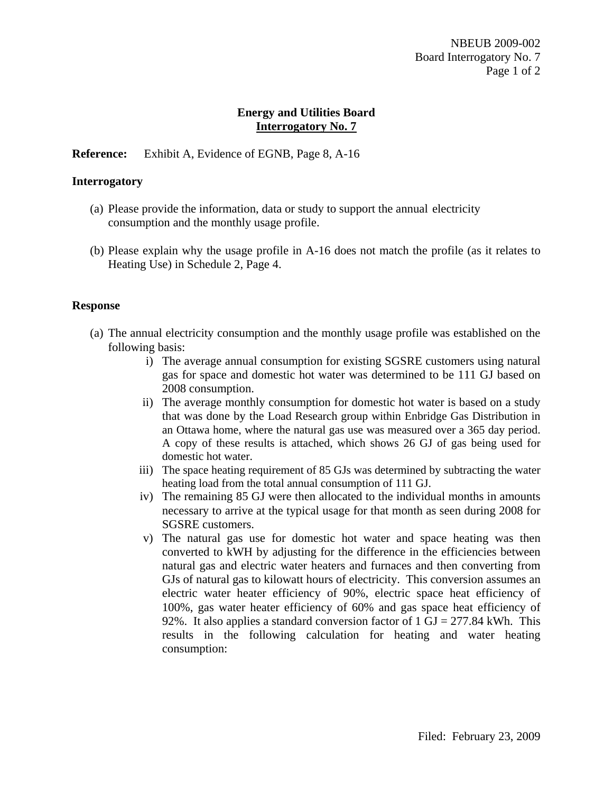## **Reference:** Exhibit A, Evidence of EGNB, Page 8, A-16

### **Interrogatory**

- (a) Please provide the information, data or study to support the annual electricity consumption and the monthly usage profile.
- (b) Please explain why the usage profile in A-16 does not match the profile (as it relates to Heating Use) in Schedule 2, Page 4.

#### **Response**

- (a) The annual electricity consumption and the monthly usage profile was established on the following basis:
	- i) The average annual consumption for existing SGSRE customers using natural gas for space and domestic hot water was determined to be 111 GJ based on 2008 consumption.
	- ii) The average monthly consumption for domestic hot water is based on a study that was done by the Load Research group within Enbridge Gas Distribution in an Ottawa home, where the natural gas use was measured over a 365 day period. A copy of these results is attached, which shows 26 GJ of gas being used for domestic hot water.
	- iii) The space heating requirement of 85 GJs was determined by subtracting the water heating load from the total annual consumption of 111 GJ.
	- iv) The remaining 85 GJ were then allocated to the individual months in amounts necessary to arrive at the typical usage for that month as seen during 2008 for SGSRE customers.
	- v) The natural gas use for domestic hot water and space heating was then converted to kWH by adjusting for the difference in the efficiencies between natural gas and electric water heaters and furnaces and then converting from GJs of natural gas to kilowatt hours of electricity. This conversion assumes an electric water heater efficiency of 90%, electric space heat efficiency of 100%, gas water heater efficiency of 60% and gas space heat efficiency of 92%. It also applies a standard conversion factor of  $1 \text{ GJ} = 277.84 \text{ kWh}$ . This results in the following calculation for heating and water heating consumption: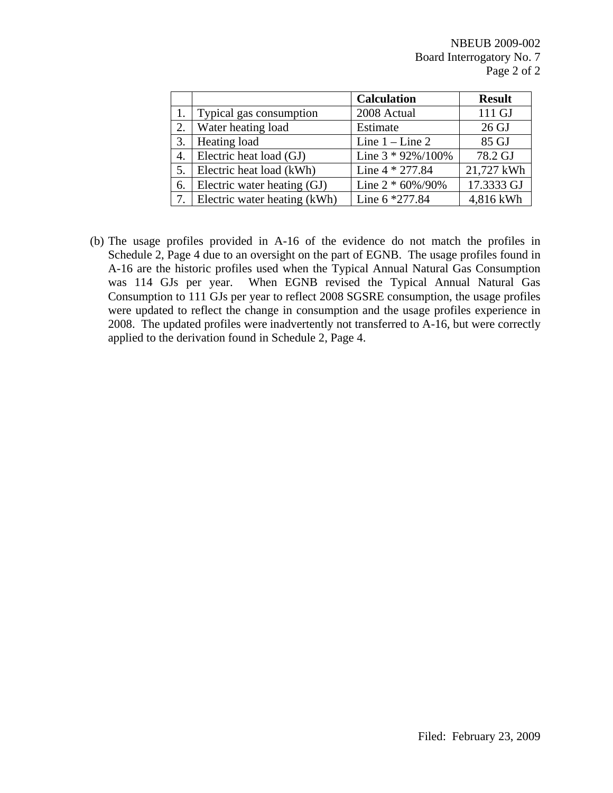|    |                              | <b>Calculation</b>    | <b>Result</b> |
|----|------------------------------|-----------------------|---------------|
|    | 1. Typical gas consumption   | 2008 Actual           | 111 GJ        |
| 2. | Water heating load           | Estimate              | 26 GJ         |
| 3. | Heating load                 | Line $1$ – Line 2     | 85 GJ         |
|    | 4. Electric heat load (GJ)   | Line $3 * 92\%/100\%$ | 78.2 GJ       |
| 5. | Electric heat load (kWh)     | Line 4 * 277.84       | 21,727 kWh    |
| 6. | Electric water heating (GJ)  | Line $2 * 60\%/90\%$  | 17.3333 GJ    |
| 7. | Electric water heating (kWh) | Line 6 *277.84        | 4,816 kWh     |

(b) The usage profiles provided in A-16 of the evidence do not match the profiles in Schedule 2, Page 4 due to an oversight on the part of EGNB. The usage profiles found in A-16 are the historic profiles used when the Typical Annual Natural Gas Consumption was 114 GJs per year. When EGNB revised the Typical Annual Natural Gas Consumption to 111 GJs per year to reflect 2008 SGSRE consumption, the usage profiles were updated to reflect the change in consumption and the usage profiles experience in 2008. The updated profiles were inadvertently not transferred to A-16, but were correctly applied to the derivation found in Schedule 2, Page 4.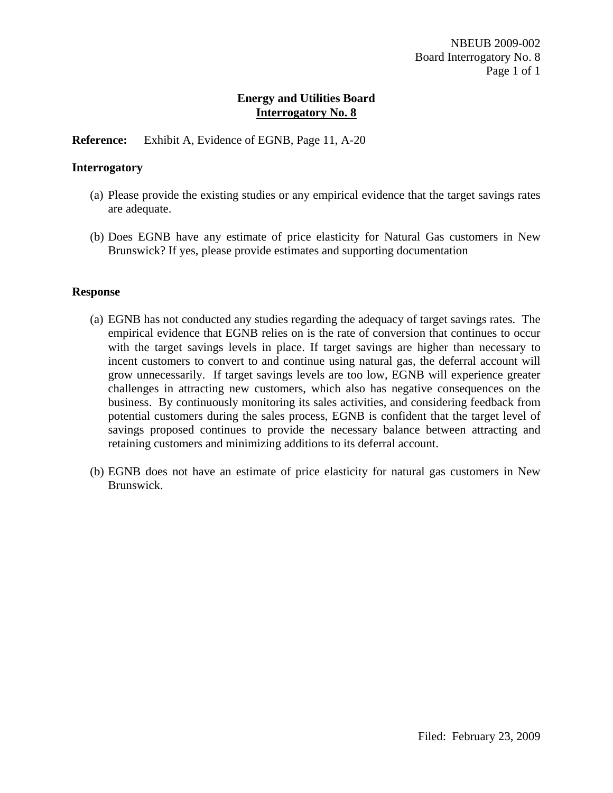**Reference:** Exhibit A, Evidence of EGNB, Page 11, A-20

#### **Interrogatory**

- (a) Please provide the existing studies or any empirical evidence that the target savings rates are adequate.
- (b) Does EGNB have any estimate of price elasticity for Natural Gas customers in New Brunswick? If yes, please provide estimates and supporting documentation

#### **Response**

- (a) EGNB has not conducted any studies regarding the adequacy of target savings rates. The empirical evidence that EGNB relies on is the rate of conversion that continues to occur with the target savings levels in place. If target savings are higher than necessary to incent customers to convert to and continue using natural gas, the deferral account will grow unnecessarily. If target savings levels are too low, EGNB will experience greater challenges in attracting new customers, which also has negative consequences on the business. By continuously monitoring its sales activities, and considering feedback from potential customers during the sales process, EGNB is confident that the target level of savings proposed continues to provide the necessary balance between attracting and retaining customers and minimizing additions to its deferral account.
- (b) EGNB does not have an estimate of price elasticity for natural gas customers in New Brunswick.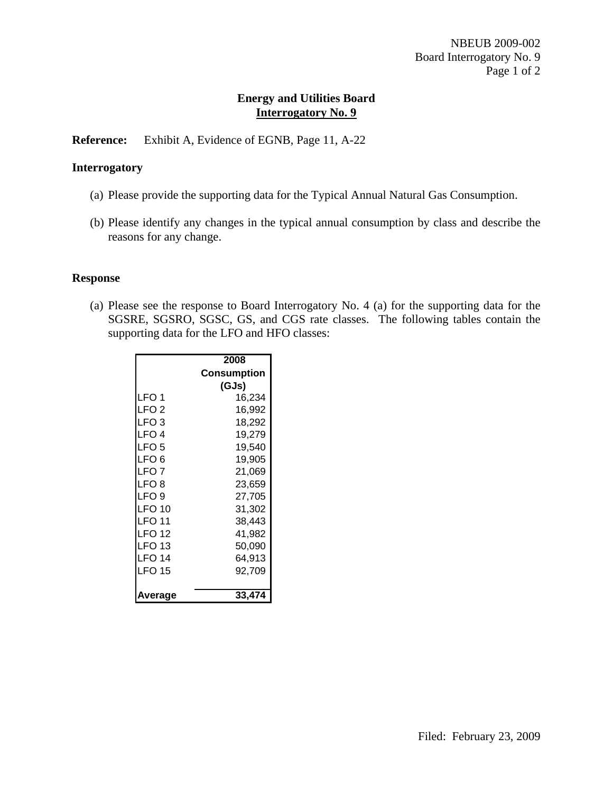**Reference:** Exhibit A, Evidence of EGNB, Page 11, A-22

### **Interrogatory**

- (a) Please provide the supporting data for the Typical Annual Natural Gas Consumption.
- (b) Please identify any changes in the typical annual consumption by class and describe the reasons for any change.

#### **Response**

(a) Please see the response to Board Interrogatory No. 4 (a) for the supporting data for the SGSRE, SGSRO, SGSC, GS, and CGS rate classes. The following tables contain the supporting data for the LFO and HFO classes:

| 2008        |
|-------------|
| Consumption |
| (GJs)       |
| 16,234      |
| 16,992      |
| 18,292      |
| 19,279      |
| 19,540      |
| 19,905      |
| 21,069      |
| 23,659      |
| 27,705      |
| 31,302      |
| 38,443      |
| 41,982      |
| 50,090      |
| 64,913      |
| 92,709      |
| 33,474      |
|             |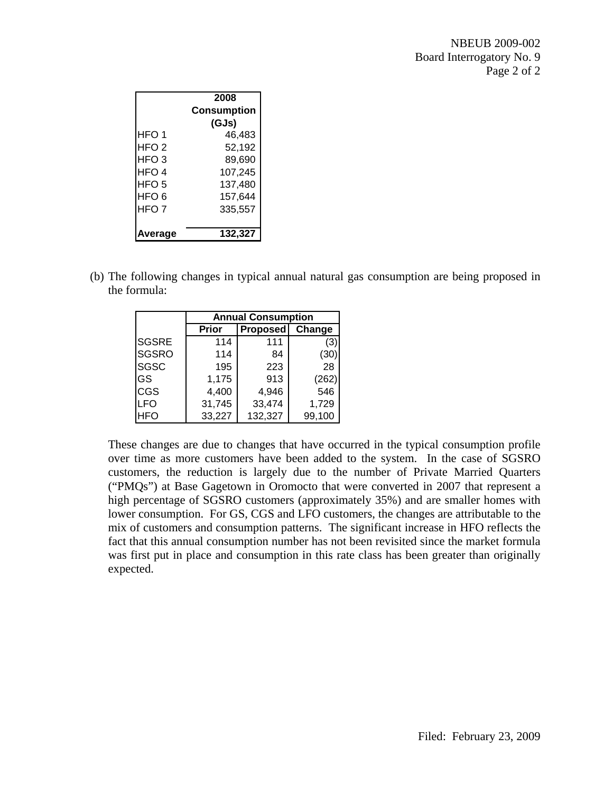|                  | 2008               |
|------------------|--------------------|
|                  | <b>Consumption</b> |
|                  | (GJs)              |
| HFO <sub>1</sub> | 46,483             |
| HFO2             | 52,192             |
| HFO 3            | 89,690             |
| HFO 4            | 107,245            |
| HFO 5            | 137,480            |
| HFO <sub>6</sub> | 157,644            |
| HFO <sub>7</sub> | 335,557            |
|                  |                    |
| verage           | 132,327            |

(b) The following changes in typical annual natural gas consumption are being proposed in the formula:

|              | <b>Annual Consumption</b> |                 |        |  |  |  |  |  |  |  |
|--------------|---------------------------|-----------------|--------|--|--|--|--|--|--|--|
|              | Prior                     | <b>Proposed</b> | Change |  |  |  |  |  |  |  |
| <b>SGSRE</b> | 114                       | 111             | (3)    |  |  |  |  |  |  |  |
| <b>SGSRO</b> | 114                       | 84              | (30)   |  |  |  |  |  |  |  |
| <b>SGSC</b>  | 195                       | 223             | 28     |  |  |  |  |  |  |  |
| GS           | 1,175                     | 913             | (262)  |  |  |  |  |  |  |  |
| CGS          | 4,400                     | 4,946           | 546    |  |  |  |  |  |  |  |
| LFO          | 31,745                    | 33,474          | 1,729  |  |  |  |  |  |  |  |
| HFO          | 33,227                    | 132,327         | 99,100 |  |  |  |  |  |  |  |

These changes are due to changes that have occurred in the typical consumption profile over time as more customers have been added to the system. In the case of SGSRO customers, the reduction is largely due to the number of Private Married Quarters ("PMQs") at Base Gagetown in Oromocto that were converted in 2007 that represent a high percentage of SGSRO customers (approximately 35%) and are smaller homes with lower consumption. For GS, CGS and LFO customers, the changes are attributable to the mix of customers and consumption patterns. The significant increase in HFO reflects the fact that this annual consumption number has not been revisited since the market formula was first put in place and consumption in this rate class has been greater than originally expected.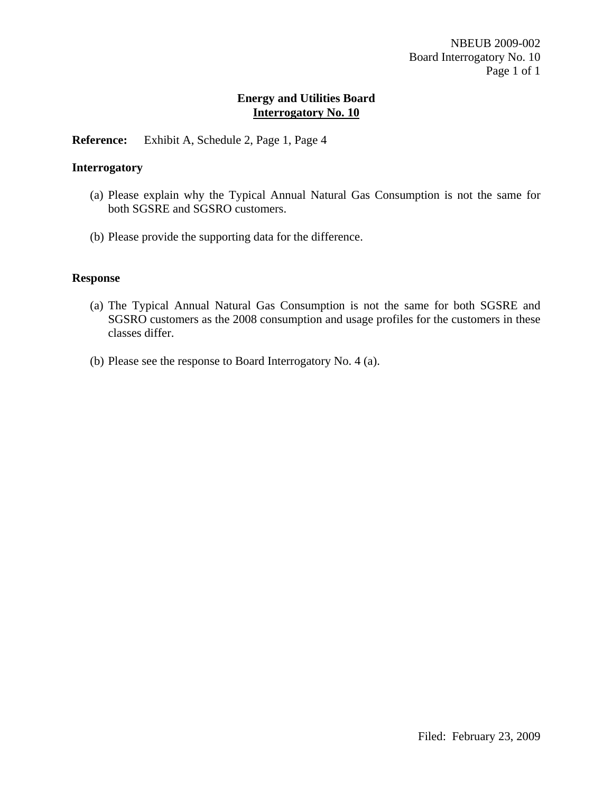## **Reference:** Exhibit A, Schedule 2, Page 1, Page 4

### **Interrogatory**

- (a) Please explain why the Typical Annual Natural Gas Consumption is not the same for both SGSRE and SGSRO customers.
- (b) Please provide the supporting data for the difference.

### **Response**

- (a) The Typical Annual Natural Gas Consumption is not the same for both SGSRE and SGSRO customers as the 2008 consumption and usage profiles for the customers in these classes differ.
- (b) Please see the response to Board Interrogatory No. 4 (a).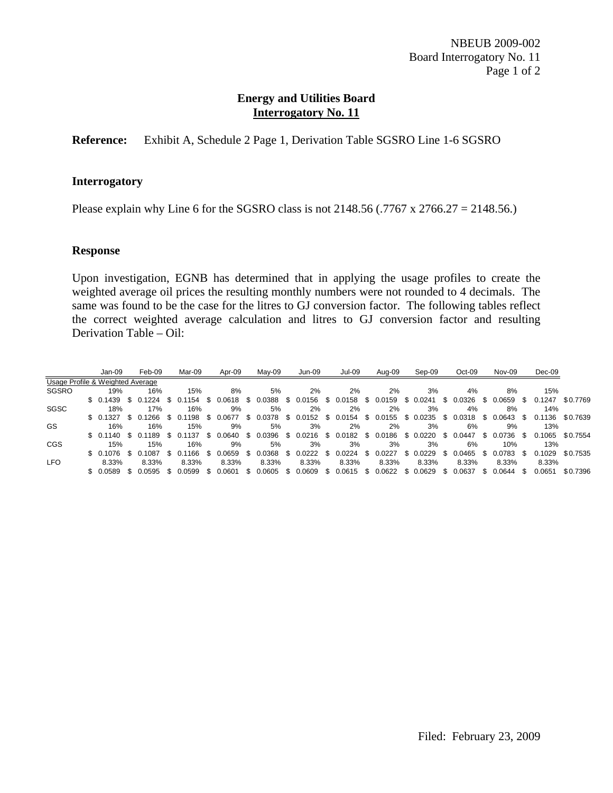## **Reference:** Exhibit A, Schedule 2 Page 1, Derivation Table SGSRO Line 1-6 SGSRO

### **Interrogatory**

Please explain why Line 6 for the SGSRO class is not 2148.56 (.7767 x 2766.27 = 2148.56.)

### **Response**

Upon investigation, EGNB has determined that in applying the usage profiles to create the weighted average oil prices the resulting monthly numbers were not rounded to 4 decimals. The same was found to be the case for the litres to GJ conversion factor. The following tables reflect the correct weighted average calculation and litres to GJ conversion factor and resulting Derivation Table – Oil:

|                                  | Jan-09       | Feb-09 | Mar-09 | Apr-09 | Mav-09 | Jun-09 | <b>Jul-09</b> | Aug-09 | Sep-09                                                                                                           | $Oct-09$ | Nov-09       | $Dec-09$                     |                 |
|----------------------------------|--------------|--------|--------|--------|--------|--------|---------------|--------|------------------------------------------------------------------------------------------------------------------|----------|--------------|------------------------------|-----------------|
| Usage Profile & Weighted Average |              |        |        |        |        |        |               |        |                                                                                                                  |          |              |                              |                 |
| SGSRO                            | 19%          | 16%    | 15%    | 8%     | 5%     | 2%     | 2%            | 2%     | 3%                                                                                                               | 4%       | 8%           | 15%                          |                 |
|                                  |              |        |        |        |        |        |               |        | \$ 0.1439 \$ 0.1224 \$ 0.1154 \$ 0.0618 \$ 0.0388 \$ 0.0156 \$ 0.0158 \$ 0.0159 \$ 0.0241 \$ 0.0326              |          |              | \$ 0.0659 \$ 0.1247 \$0.7769 |                 |
| SGSC                             | 18%          | 17%    | 16%    | 9%     | 5%     | 2%     | 2%            | 2%     | 3%                                                                                                               | 4%       | 8%           | 14%                          |                 |
|                                  |              |        |        |        |        |        |               |        | \$ 0.1327 \$ 0.1266 \$ 0.1198 \$ 0.0677 \$ 0.0378 \$ 0.0152 \$ 0.0154 \$ 0.0155 \$ 0.0235 \$ 0.0318 \$ 0.0643 \$ |          |              |                              | 0.1136 \$0.7639 |
| GS                               | 16%          | 16%    | 15%    | 9%     | 5%     | 3%     | 2%            | 2%     | 3%                                                                                                               | 6%       | 9%           | 13%                          |                 |
|                                  |              |        |        |        |        |        |               |        | \$ 0.1140 \$ 0.1189 \$ 0.1137 \$ 0.0640 \$ 0.0396 \$ 0.0216 \$ 0.0182 \$ 0.0186 \$ 0.0220 \$ 0.0447              |          | \$ 0.0736 \$ |                              | 0.1065 \$0.7554 |
| CGS                              | 15%          | 15%    | 16%    | 9%     | 5%     | 3%     | 3%            | 3%     | 3%                                                                                                               | 6%       | 10%          | 13%                          |                 |
|                                  |              |        |        |        |        |        |               |        | \$ 0.1076 \$ 0.1087 \$ 0.1166 \$ 0.0659 \$ 0.0368 \$ 0.0222 \$ 0.0224 \$ 0.0227 \$ 0.0229 \$ 0.0465 \$ 0.0783 \$ |          |              |                              | 0.1029 \$0.7535 |
| <b>LFO</b>                       | 8.33%        | 8.33%  | 8.33%  | 8.33%  | 8.33%  | 8.33%  | 8.33%         | 8.33%  | 8.33%                                                                                                            | 8.33%    | 8.33%        | 8.33%                        |                 |
|                                  | \$ 0.0589 \$ | 0.0595 |        |        |        |        |               |        | \$ 0.0599 \$ 0.0601 \$ 0.0605 \$ 0.0609 \$ 0.0615 \$ 0.0622 \$ 0.0629 \$ 0.0637                                  |          | $$0.0644$ \$ | 0.0651                       | \$0.7396        |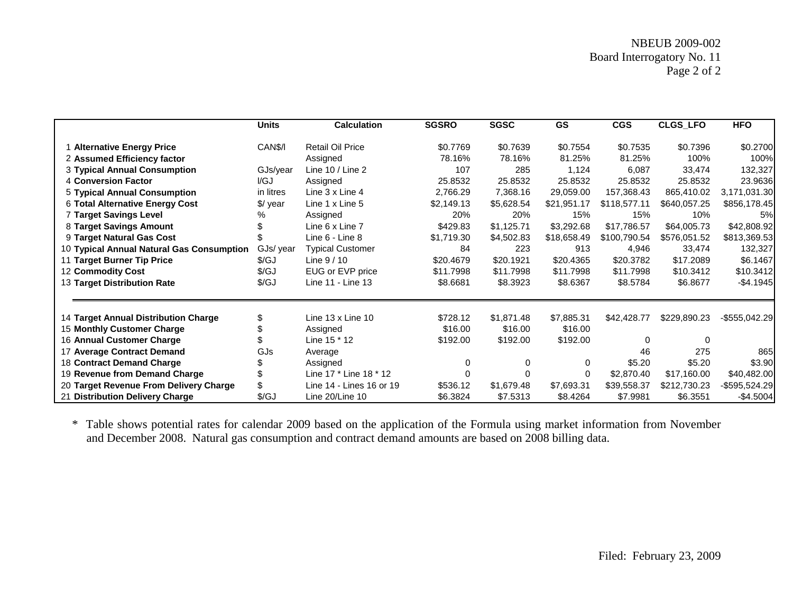|                                           | <b>Units</b>         | <b>Calculation</b>         | <b>SGSRO</b> | <b>SGSC</b> | <b>GS</b>   | <b>CGS</b>   | CLGS_LFO     | <b>HFO</b>     |
|-------------------------------------------|----------------------|----------------------------|--------------|-------------|-------------|--------------|--------------|----------------|
| 1 Alternative Energy Price                | CAN\$/I              | <b>Retail Oil Price</b>    | \$0.7769     | \$0.7639    | \$0.7554    | \$0.7535     | \$0.7396     | \$0.2700       |
| 2 Assumed Efficiency factor               |                      | Assigned                   | 78.16%       | 78.16%      | 81.25%      | 81.25%       | 100%         | 100%           |
| 3 Typical Annual Consumption              | GJs/year             | Line $10 /$ Line 2         | 107          | 285         | 1,124       | 6,087        | 33,474       | 132,327        |
| 4 Conversion Factor                       | I/GJ                 | Assigned                   | 25.8532      | 25.8532     | 25.8532     | 25.8532      | 25.8532      | 23.9636        |
| <b>5 Typical Annual Consumption</b>       | in litres            | Line 3 x Line 4            | 2,766.29     | 7,368.16    | 29,059.00   | 157,368.43   | 865,410.02   | 3,171,031.30   |
| 6 Total Alternative Energy Cost           | \$/ year             | Line 1 x Line 5            | \$2,149.13   | \$5,628.54  | \$21,951.17 | \$118,577.11 | \$640,057.25 | \$856,178.45   |
| <b>7 Target Savings Level</b>             | %                    | Assigned                   | 20%          | 20%         | 15%         | 15%          | 10%          | 5%             |
| 8 Target Savings Amount                   |                      | Line 6 x Line 7            | \$429.83     | \$1,125.71  | \$3,292.68  | \$17,786.57  | \$64,005.73  | \$42,808.92    |
| 9 Target Natural Gas Cost                 |                      | Line 6 - Line 8            | \$1,719.30   | \$4,502.83  | \$18,658.49 | \$100,790.54 | \$576,051.52 | \$813,369.53   |
| 10 Typical Annual Natural Gas Consumption | GJs/ year            | <b>Typical Customer</b>    | 84           | 223         | 913         | 4,946        | 33,474       | 132,327        |
| 11 Target Burner Tip Price                | $\sqrt{\mathcal{G}}$ | Line $9/10$                | \$20.4679    | \$20.1921   | \$20.4365   | \$20.3782    | \$17.2089    | \$6.1467       |
| 12 Commodity Cost                         | \$/GJ                | EUG or EVP price           | \$11.7998    | \$11.7998   | \$11.7998   | \$11.7998    | \$10.3412    | \$10.3412      |
| 13 Target Distribution Rate               | $\sqrt{\mathcal{G}}$ | Line 11 - Line 13          | \$8.6681     | \$8.3923    | \$8.6367    | \$8.5784     | \$6.8677     | $-$4.1945$     |
| 14 Target Annual Distribution Charge      | \$                   | Line $13 \times$ Line $10$ | \$728.12     | \$1,871.48  | \$7,885.31  | \$42,428.77  | \$229,890.23 | $-$555,042.29$ |
| 15 Monthly Customer Charge                |                      | Assigned                   | \$16.00      | \$16.00     | \$16.00     |              |              |                |
| 16 Annual Customer Charge                 |                      | Line 15 * 12               | \$192.00     | \$192.00    | \$192.00    | $\Omega$     | 0            |                |
| 17 Average Contract Demand                | <b>GJs</b>           | Average                    |              |             |             | 46           | 275          | 865            |
| <b>18 Contract Demand Charge</b>          |                      | Assigned                   | 0            | 0           | 0           | \$5.20       | \$5.20       | \$3.90         |
| 19 Revenue from Demand Charge             |                      | Line 17 * Line 18 * 12     | $\Omega$     | 0           | $\Omega$    | \$2,870.40   | \$17,160.00  | \$40,482.00    |
| 20 Target Revenue From Delivery Charge    |                      | Line 14 - Lines 16 or 19   | \$536.12     | \$1,679.48  | \$7,693.31  | \$39,558.37  | \$212,730.23 | -\$595,524.29  |
| 21 Distribution Delivery Charge           | \$/GJ                | Line 20/Line 10            | \$6.3824     | \$7.5313    | \$8.4264    | \$7.9981     | \$6.3551     | $-$4.5004$     |

\* Table shows potential rates for calendar 2009 based on the application of the Formula using market information from November and December 2008. Natural gas consumption and contract demand amounts are based on 2008 billing data.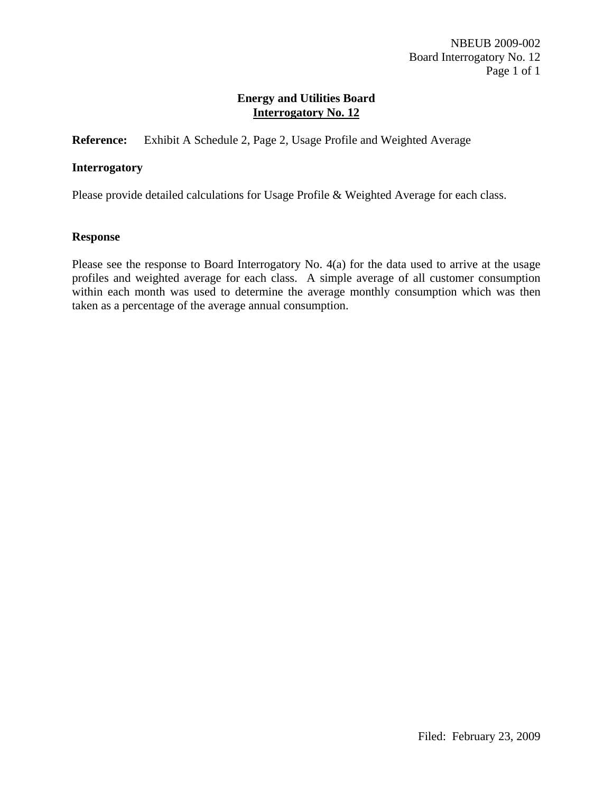**Reference:** Exhibit A Schedule 2, Page 2, Usage Profile and Weighted Average

## **Interrogatory**

Please provide detailed calculations for Usage Profile & Weighted Average for each class.

### **Response**

Please see the response to Board Interrogatory No. 4(a) for the data used to arrive at the usage profiles and weighted average for each class. A simple average of all customer consumption within each month was used to determine the average monthly consumption which was then taken as a percentage of the average annual consumption.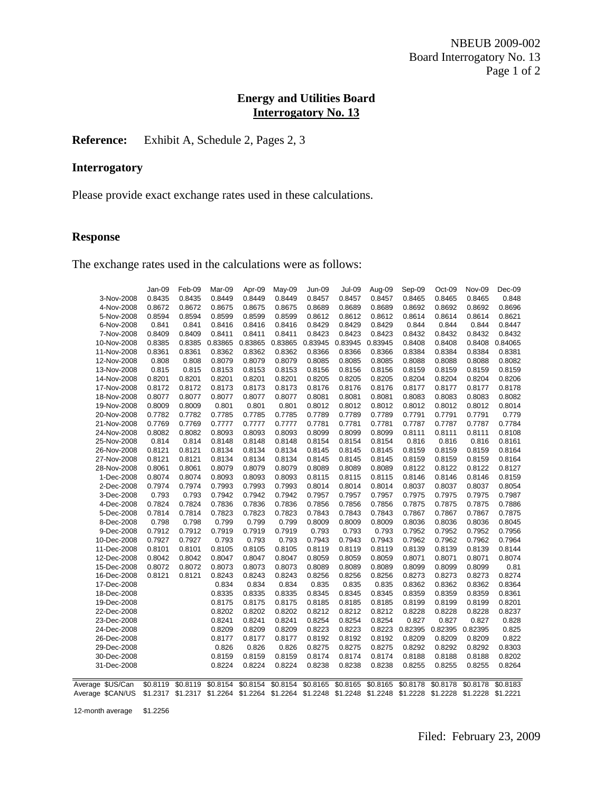# **Reference:** Exhibit A, Schedule 2, Pages 2, 3

## **Interrogatory**

Please provide exact exchange rates used in these calculations.

#### **Response**

The exchange rates used in the calculations were as follows:

|                                                                                                                              | Jan-09 | Feb-09            | Mar-09  | Apr-09            | May-09   | Jun-09   | <b>Jul-09</b> | Aug-09   | Sep-09         | Oct-09   | Nov-09   | Dec-09   |
|------------------------------------------------------------------------------------------------------------------------------|--------|-------------------|---------|-------------------|----------|----------|---------------|----------|----------------|----------|----------|----------|
| 3-Nov-2008                                                                                                                   | 0.8435 | 0.8435            | 0.8449  | 0.8449            | 0.8449   | 0.8457   | 0.8457        | 0.8457   | 0.8465         | 0.8465   | 0.8465   | 0.848    |
| 4-Nov-2008                                                                                                                   | 0.8672 | 0.8672            | 0.8675  | 0.8675            | 0.8675   | 0.8689   | 0.8689        | 0.8689   | 0.8692         | 0.8692   | 0.8692   | 0.8696   |
| 5-Nov-2008                                                                                                                   | 0.8594 | 0.8594            | 0.8599  | 0.8599            | 0.8599   | 0.8612   | 0.8612        | 0.8612   | 0.8614         | 0.8614   | 0.8614   | 0.8621   |
| 6-Nov-2008                                                                                                                   | 0.841  | 0.841             | 0.8416  | 0.8416            | 0.8416   | 0.8429   | 0.8429        | 0.8429   | 0.844          | 0.844    | 0.844    | 0.8447   |
| 7-Nov-2008                                                                                                                   | 0.8409 | 0.8409            | 0.8411  | 0.8411            | 0.8411   | 0.8423   | 0.8423        | 0.8423   | 0.8432         | 0.8432   | 0.8432   | 0.8432   |
| 10-Nov-2008                                                                                                                  | 0.8385 | 0.8385            | 0.83865 | 0.83865           | 0.83865  | 0.83945  | 0.83945       | 0.83945  | 0.8408         | 0.8408   | 0.8408   | 0.84065  |
| 11-Nov-2008                                                                                                                  | 0.8361 | 0.8361            | 0.8362  | 0.8362            | 0.8362   | 0.8366   | 0.8366        | 0.8366   | 0.8384         | 0.8384   | 0.8384   | 0.8381   |
| 12-Nov-2008                                                                                                                  | 0.808  | 0.808             | 0.8079  | 0.8079            | 0.8079   | 0.8085   | 0.8085        | 0.8085   | 0.8088         | 0.8088   | 0.8088   | 0.8082   |
| 13-Nov-2008                                                                                                                  | 0.815  | 0.815             | 0.8153  | 0.8153            | 0.8153   | 0.8156   | 0.8156        | 0.8156   | 0.8159         | 0.8159   | 0.8159   | 0.8159   |
| 14-Nov-2008                                                                                                                  | 0.8201 | 0.8201            | 0.8201  | 0.8201            | 0.8201   | 0.8205   | 0.8205        | 0.8205   | 0.8204         | 0.8204   | 0.8204   | 0.8206   |
| 17-Nov-2008                                                                                                                  | 0.8172 | 0.8172            | 0.8173  | 0.8173            | 0.8173   | 0.8176   | 0.8176        | 0.8176   | 0.8177         | 0.8177   | 0.8177   | 0.8178   |
| 18-Nov-2008                                                                                                                  | 0.8077 | 0.8077            | 0.8077  | 0.8077            | 0.8077   | 0.8081   | 0.8081        | 0.8081   | 0.8083         | 0.8083   | 0.8083   | 0.8082   |
| 19-Nov-2008                                                                                                                  | 0.8009 | 0.8009            | 0.801   | 0.801             | 0.801    | 0.8012   | 0.8012        | 0.8012   | 0.8012         | 0.8012   | 0.8012   | 0.8014   |
| 20-Nov-2008                                                                                                                  | 0.7782 | 0.7782            | 0.7785  | 0.7785            | 0.7785   | 0.7789   | 0.7789        | 0.7789   | 0.7791         | 0.7791   | 0.7791   | 0.779    |
| 21-Nov-2008                                                                                                                  | 0.7769 | 0.7769            | 0.7777  | 0.7777            | 0.7777   | 0.7781   | 0.7781        | 0.7781   | 0.7787         | 0.7787   | 0.7787   | 0.7784   |
| 24-Nov-2008                                                                                                                  | 0.8082 | 0.8082            | 0.8093  | 0.8093            | 0.8093   | 0.8099   | 0.8099        | 0.8099   | 0.8111         | 0.8111   | 0.8111   | 0.8108   |
| 25-Nov-2008                                                                                                                  | 0.814  | 0.814             | 0.8148  | 0.8148            | 0.8148   | 0.8154   | 0.8154        | 0.8154   | 0.816          | 0.816    | 0.816    | 0.8161   |
| 26-Nov-2008                                                                                                                  | 0.8121 | 0.8121            | 0.8134  | 0.8134            | 0.8134   | 0.8145   | 0.8145        | 0.8145   | 0.8159         | 0.8159   | 0.8159   | 0.8164   |
| 27-Nov-2008                                                                                                                  | 0.8121 | 0.8121            | 0.8134  | 0.8134            | 0.8134   | 0.8145   | 0.8145        | 0.8145   | 0.8159         | 0.8159   | 0.8159   | 0.8164   |
| 28-Nov-2008                                                                                                                  | 0.8061 | 0.8061            | 0.8079  | 0.8079            | 0.8079   | 0.8089   | 0.8089        | 0.8089   | 0.8122         | 0.8122   | 0.8122   | 0.8127   |
| 1-Dec-2008                                                                                                                   | 0.8074 | 0.8074            | 0.8093  | 0.8093            | 0.8093   | 0.8115   | 0.8115        | 0.8115   | 0.8146         | 0.8146   | 0.8146   | 0.8159   |
| 2-Dec-2008                                                                                                                   | 0.7974 | 0.7974            | 0.7993  | 0.7993            | 0.7993   | 0.8014   | 0.8014        | 0.8014   | 0.8037         | 0.8037   | 0.8037   | 0.8054   |
| 3-Dec-2008                                                                                                                   | 0.793  | 0.793             | 0.7942  | 0.7942            | 0.7942   | 0.7957   | 0.7957        | 0.7957   | 0.7975         | 0.7975   | 0.7975   | 0.7987   |
| 4-Dec-2008                                                                                                                   | 0.7824 | 0.7824            | 0.7836  | 0.7836            | 0.7836   | 0.7856   | 0.7856        | 0.7856   | 0.7875         | 0.7875   | 0.7875   | 0.7886   |
| 5-Dec-2008                                                                                                                   | 0.7814 | 0.7814            | 0.7823  | 0.7823            | 0.7823   | 0.7843   | 0.7843        | 0.7843   | 0.7867         | 0.7867   | 0.7867   | 0.7875   |
| 8-Dec-2008                                                                                                                   | 0.798  | 0.798             | 0.799   | 0.799             | 0.799    | 0.8009   | 0.8009        | 0.8009   | 0.8036         | 0.8036   | 0.8036   | 0.8045   |
| 9-Dec-2008                                                                                                                   | 0.7912 | 0.7912            | 0.7919  | 0.7919            | 0.7919   | 0.793    | 0.793         | 0.793    | 0.7952         | 0.7952   | 0.7952   | 0.7956   |
| 10-Dec-2008                                                                                                                  | 0.7927 | 0.7927            | 0.793   | 0.793             | 0.793    | 0.7943   | 0.7943        | 0.7943   | 0.7962         | 0.7962   | 0.7962   | 0.7964   |
| 11-Dec-2008                                                                                                                  | 0.8101 | 0.8101            | 0.8105  | 0.8105            | 0.8105   | 0.8119   | 0.8119        | 0.8119   | 0.8139         | 0.8139   | 0.8139   | 0.8144   |
| 12-Dec-2008                                                                                                                  | 0.8042 | 0.8042            | 0.8047  | 0.8047            | 0.8047   | 0.8059   | 0.8059        | 0.8059   | 0.8071         | 0.8071   | 0.8071   | 0.8074   |
| 15-Dec-2008                                                                                                                  | 0.8072 | 0.8072            | 0.8073  | 0.8073            | 0.8073   | 0.8089   | 0.8089        | 0.8089   | 0.8099         | 0.8099   | 0.8099   | 0.81     |
| 16-Dec-2008                                                                                                                  | 0.8121 | 0.8121            | 0.8243  | 0.8243            | 0.8243   | 0.8256   | 0.8256        | 0.8256   | 0.8273         | 0.8273   | 0.8273   | 0.8274   |
| 17-Dec-2008                                                                                                                  |        |                   | 0.834   | 0.834             | 0.834    | 0.835    | 0.835         | 0.835    | 0.8362         | 0.8362   | 0.8362   | 0.8364   |
| 18-Dec-2008                                                                                                                  |        |                   | 0.8335  | 0.8335            | 0.8335   | 0.8345   | 0.8345        | 0.8345   | 0.8359         | 0.8359   | 0.8359   | 0.8361   |
| 19-Dec-2008                                                                                                                  |        |                   | 0.8175  | 0.8175            | 0.8175   | 0.8185   | 0.8185        | 0.8185   | 0.8199         | 0.8199   | 0.8199   | 0.8201   |
| 22-Dec-2008                                                                                                                  |        |                   | 0.8202  | 0.8202            | 0.8202   | 0.8212   | 0.8212        | 0.8212   | 0.8228         | 0.8228   | 0.8228   | 0.8237   |
| 23-Dec-2008                                                                                                                  |        |                   | 0.8241  | 0.8241            | 0.8241   | 0.8254   | 0.8254        | 0.8254   | 0.827          | 0.827    | 0.827    | 0.828    |
| 24-Dec-2008                                                                                                                  |        |                   | 0.8209  | 0.8209            | 0.8209   | 0.8223   | 0.8223        |          | 0.8223 0.82395 | 0.82395  | 0.82395  | 0.825    |
| 26-Dec-2008                                                                                                                  |        |                   | 0.8177  | 0.8177            | 0.8177   | 0.8192   | 0.8192        | 0.8192   | 0.8209         | 0.8209   | 0.8209   | 0.822    |
| 29-Dec-2008                                                                                                                  |        |                   | 0.826   | 0.826             | 0.826    | 0.8275   | 0.8275        | 0.8275   | 0.8292         | 0.8292   | 0.8292   | 0.8303   |
| 30-Dec-2008                                                                                                                  |        |                   | 0.8159  | 0.8159            | 0.8159   | 0.8174   | 0.8174        | 0.8174   | 0.8188         | 0.8188   | 0.8188   | 0.8202   |
| 31-Dec-2008                                                                                                                  |        |                   | 0.8224  | 0.8224            | 0.8224   | 0.8238   | 0.8238        | 0.8238   | 0.8255         | 0.8255   | 0.8255   | 0.8264   |
|                                                                                                                              |        |                   |         |                   |          |          |               |          |                |          |          |          |
| Average \$US/Can                                                                                                             |        | \$0.8119 \$0.8119 |         | \$0.8154 \$0.8154 | \$0.8154 | \$0.8165 | \$0.8165      | \$0.8165 | \$0.8178       | \$0.8178 | \$0.8178 | \$0.8183 |
| Average \$CAN/US \$1.2317 \$1.2317 \$1.2264 \$1.2264 \$1.2264 \$1.2248 \$1.2248 \$1.2248 \$1.2228 \$1.2228 \$1.2228 \$1.2221 |        |                   |         |                   |          |          |               |          |                |          |          |          |

12-month average \$1.2256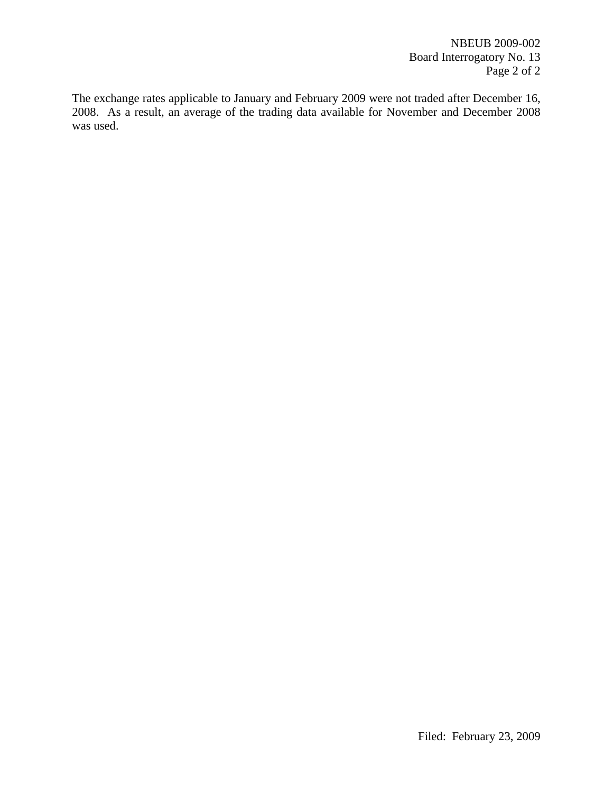The exchange rates applicable to January and February 2009 were not traded after December 16, 2008. As a result, an average of the trading data available for November and December 2008 was used.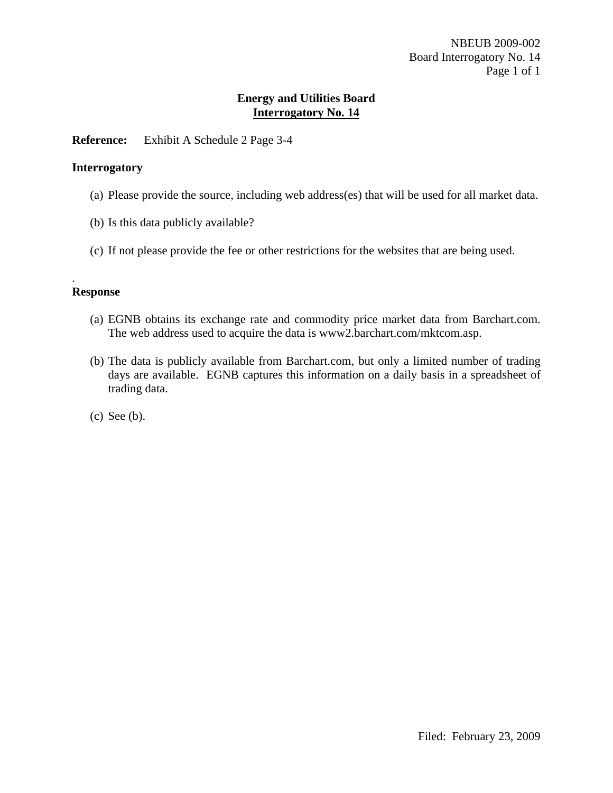**Reference:** Exhibit A Schedule 2 Page 3-4

### **Interrogatory**

- (a) Please provide the source, including web address(es) that will be used for all market data.
- (b) Is this data publicly available?
- (c) If not please provide the fee or other restrictions for the websites that are being used.

### **Response**

.

- (a) EGNB obtains its exchange rate and commodity price market data from Barchart.com. The web address used to acquire the data is www2.barchart.com/mktcom.asp.
- (b) The data is publicly available from Barchart.com, but only a limited number of trading days are available. EGNB captures this information on a daily basis in a spreadsheet of trading data.
- (c) See (b).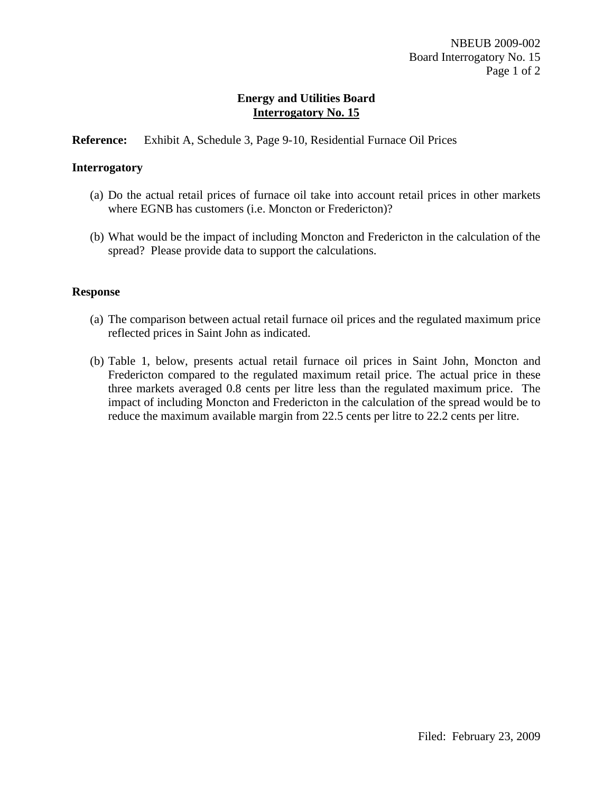## **Reference:** Exhibit A, Schedule 3, Page 9-10, Residential Furnace Oil Prices

### **Interrogatory**

- (a) Do the actual retail prices of furnace oil take into account retail prices in other markets where EGNB has customers (i.e. Moncton or Fredericton)?
- (b) What would be the impact of including Moncton and Fredericton in the calculation of the spread? Please provide data to support the calculations.

### **Response**

- (a) The comparison between actual retail furnace oil prices and the regulated maximum price reflected prices in Saint John as indicated.
- (b) Table 1, below, presents actual retail furnace oil prices in Saint John, Moncton and Fredericton compared to the regulated maximum retail price. The actual price in these three markets averaged 0.8 cents per litre less than the regulated maximum price. The impact of including Moncton and Fredericton in the calculation of the spread would be to reduce the maximum available margin from 22.5 cents per litre to 22.2 cents per litre.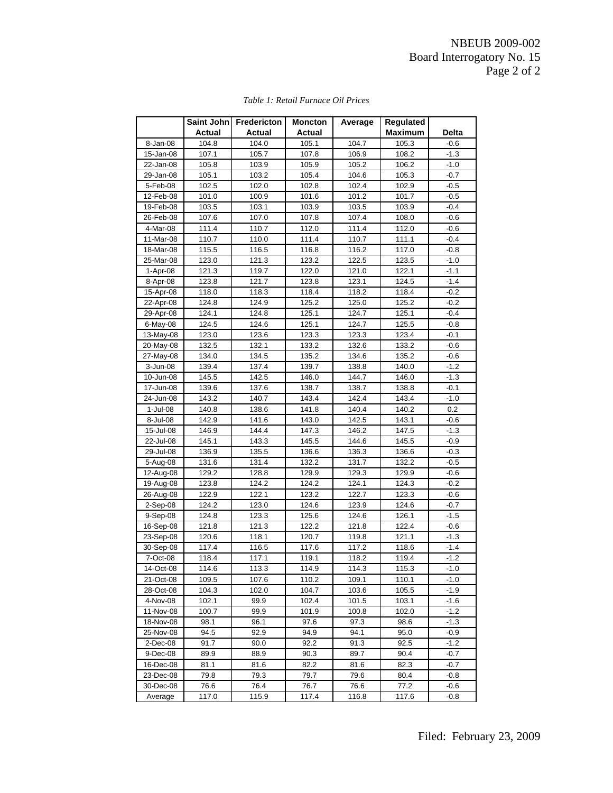|             | <b>Saint John</b> | <b>Fredericton</b> | <b>Moncton</b> | Average | Regulated      |        |
|-------------|-------------------|--------------------|----------------|---------|----------------|--------|
|             | Actual            | <b>Actual</b>      | Actual         |         | <b>Maximum</b> | Delta  |
| 8-Jan-08    | 104.8             | 104.0              | 105.1          | 104.7   | 105.3          | $-0.6$ |
| 15-Jan-08   | 107.1             | 105.7              | 107.8          | 106.9   | 108.2          | $-1.3$ |
| 22-Jan-08   | 105.8             | 103.9              | 105.9          | 105.2   | 106.2          | $-1.0$ |
| 29-Jan-08   | 105.1             | 103.2              | 105.4          | 104.6   | 105.3          | $-0.7$ |
| 5-Feb-08    | 102.5             | 102.0              | 102.8          | 102.4   | 102.9          | $-0.5$ |
| 12-Feb-08   | 101.0             | 100.9              | 101.6          | 101.2   | 101.7          | $-0.5$ |
| 19-Feb-08   | 103.5             | 103.1              | 103.9          | 103.5   | 103.9          | $-0.4$ |
| 26-Feb-08   | 107.6             | 107.0              | 107.8          | 107.4   | 108.0          | $-0.6$ |
| $4-Mar-08$  | 111.4             | 110.7              | 112.0          | 111.4   | 112.0          | $-0.6$ |
| 11-Mar-08   | 110.7             | 110.0              | 111.4          | 110.7   | 111.1          | $-0.4$ |
| 18-Mar-08   | 115.5             | 116.5              | 116.8          | 116.2   | 117.0          | $-0.8$ |
| 25-Mar-08   | 123.0             | 121.3              | 123.2          | 122.5   | 123.5          | $-1.0$ |
| $1-Apr-08$  | 121.3             | 119.7              | 122.0          | 121.0   | 122.1          | $-1.1$ |
| 8-Apr-08    | 123.8             | 121.7              | 123.8          | 123.1   | 124.5          | $-1.4$ |
| 15-Apr-08   | 118.0             | 118.3              | 118.4          | 118.2   | 118.4          | $-0.2$ |
| 22-Apr-08   | 124.8             | 124.9              | 125.2          | 125.0   | 125.2          | $-0.2$ |
| 29-Apr-08   | 124.1             | 124.8              | 125.1          | 124.7   | 125.1          | $-0.4$ |
| 6-May-08    | 124.5             | 124.6              | 125.1          | 124.7   | 125.5          | $-0.8$ |
| 13-May-08   | 123.0             | 123.6              | 123.3          | 123.3   | 123.4          | $-0.1$ |
| 20-May-08   | 132.5             | 132.1              | 133.2          | 132.6   | 133.2          | $-0.6$ |
| 27-May-08   | 134.0             | 134.5              | 135.2          | 134.6   | 135.2          | $-0.6$ |
| 3-Jun-08    | 139.4             | 137.4              | 139.7          | 138.8   | 140.0          | $-1.2$ |
| 10-Jun-08   | 145.5             | 142.5              | 146.0          | 144.7   | 146.0          | $-1.3$ |
| 17-Jun-08   | 139.6             | 137.6              | 138.7          | 138.7   | 138.8          | $-0.1$ |
| 24-Jun-08   | 143.2             | 140.7              | 143.4          | 142.4   | 143.4          | $-1.0$ |
| 1-Jul-08    | 140.8             | 138.6              | 141.8          | 140.4   | 140.2          | 0.2    |
| 8-Jul-08    | 142.9             | 141.6              | 143.0          | 142.5   | 143.1          | $-0.6$ |
| 15-Jul-08   | 146.9             | 144.4              | 147.3          | 146.2   | 147.5          | $-1.3$ |
| 22-Jul-08   | 145.1             | 143.3              | 145.5          | 144.6   | 145.5          | $-0.9$ |
| 29-Jul-08   | 136.9             | 135.5              | 136.6          | 136.3   | 136.6          | $-0.3$ |
| 5-Aug-08    | 131.6             | 131.4              | 132.2          | 131.7   | 132.2          | $-0.5$ |
| 12-Aug-08   | 129.2             | 128.8              | 129.9          | 129.3   | 129.9          | $-0.6$ |
| 19-Aug-08   | 123.8             | 124.2              | 124.2          | 124.1   | 124.3          | $-0.2$ |
| 26-Aug-08   | 122.9             | 122.1              | 123.2          | 122.7   | 123.3          | $-0.6$ |
| 2-Sep-08    | 124.2             | 123.0              | 124.6          | 123.9   | 124.6          | $-0.7$ |
| 9-Sep-08    | 124.8             | 123.3              | 125.6          | 124.6   | 126.1          | $-1.5$ |
| 16-Sep-08   | 121.8             | 121.3              | 122.2          | 121.8   | 122.4          | $-0.6$ |
| 23-Sep-08   | 120.6             | 118.1              | 120.7          | 119.8   | 121.1          | -1.3   |
| 30-Sep-08   | 117.4             | 116.5              | 117.6          | 117.2   | 118.6          | $-1.4$ |
| 7-Oct-08    | 118.4             | 117.1              | 119.1          | 118.2   | 119.4          | $-1.2$ |
| 14-Oct-08   | 114.6             | 113.3              | 114.9          | 114.3   | 115.3          | $-1.0$ |
| 21-Oct-08   | 109.5             | 107.6              | 110.2          | 109.1   | 110.1          | $-1.0$ |
| 28-Oct-08   | 104.3             | 102.0              | 104.7          | 103.6   | 105.5          | $-1.9$ |
| 4-Nov-08    | 102.1             | 99.9               | 102.4          | 101.5   | 103.1          | -1.6   |
| 11-Nov-08   | 100.7             | 99.9               | 101.9          | 100.8   | 102.0          | $-1.2$ |
| 18-Nov-08   | 98.1              | 96.1               | 97.6           | 97.3    | 98.6           | $-1.3$ |
| 25-Nov-08   | 94.5              | 92.9               | 94.9           | 94.1    | 95.0           | -0.9   |
| $2$ -Dec-08 | 91.7              | 90.0               | 92.2           | 91.3    | 92.5           | $-1.2$ |
| 9-Dec-08    | 89.9              | 88.9               | 90.3           | 89.7    | 90.4           | $-0.7$ |
| 16-Dec-08   | 81.1              | 81.6               | 82.2           | 81.6    | 82.3           | $-0.7$ |
| 23-Dec-08   | 79.8              | 79.3               | 79.7           | 79.6    | 80.4           | $-0.8$ |
| 30-Dec-08   | 76.6              | 76.4               | 76.7           | 76.6    | 77.2           | $-0.6$ |
| Average     | 117.0             | 115.9              | 117.4          | 116.8   | 117.6          | $-0.8$ |

#### *Table 1: Retail Furnace Oil Prices*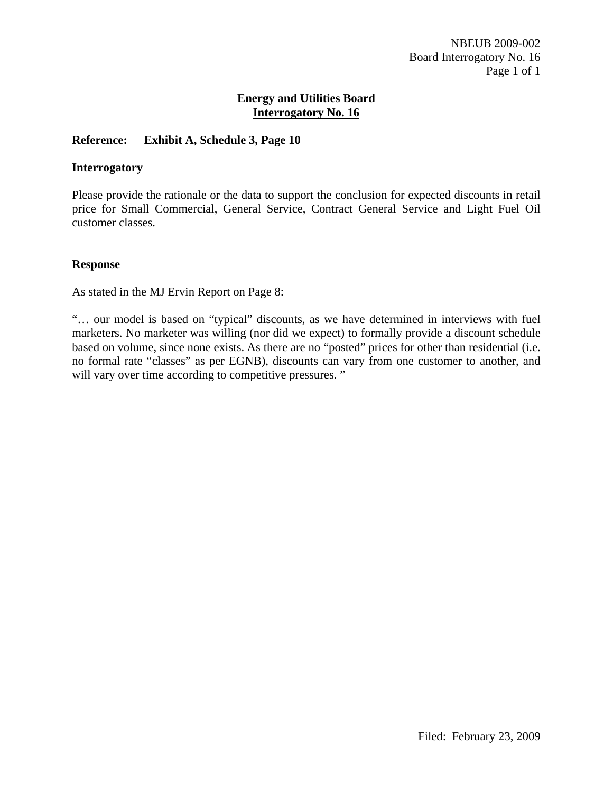## **Reference: Exhibit A, Schedule 3, Page 10**

#### **Interrogatory**

Please provide the rationale or the data to support the conclusion for expected discounts in retail price for Small Commercial, General Service, Contract General Service and Light Fuel Oil customer classes.

#### **Response**

As stated in the MJ Ervin Report on Page 8:

"… our model is based on "typical" discounts, as we have determined in interviews with fuel marketers. No marketer was willing (nor did we expect) to formally provide a discount schedule based on volume, since none exists. As there are no "posted" prices for other than residential (i.e. no formal rate "classes" as per EGNB), discounts can vary from one customer to another, and will vary over time according to competitive pressures."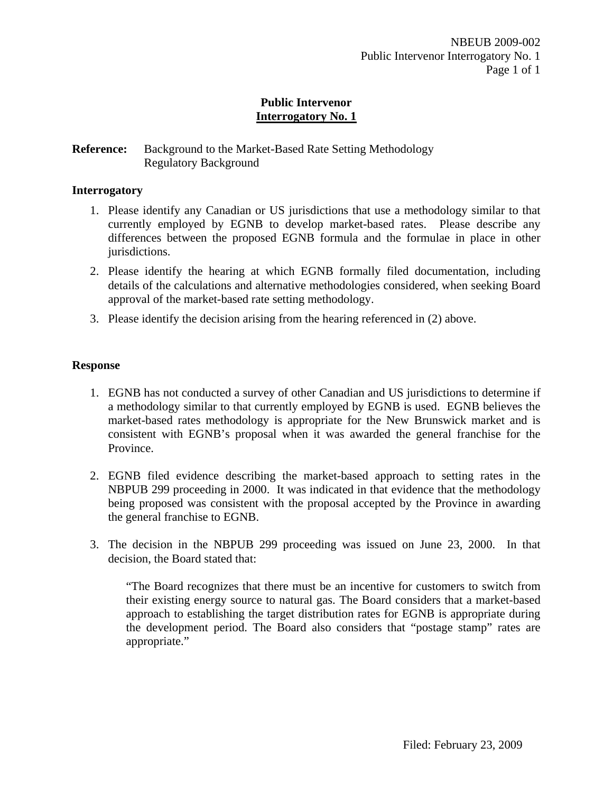## **Public Intervenor Interrogatory No. 1**

## **Reference:** Background to the Market-Based Rate Setting Methodology Regulatory Background

### **Interrogatory**

- 1. Please identify any Canadian or US jurisdictions that use a methodology similar to that currently employed by EGNB to develop market-based rates. Please describe any differences between the proposed EGNB formula and the formulae in place in other jurisdictions.
- 2. Please identify the hearing at which EGNB formally filed documentation, including details of the calculations and alternative methodologies considered, when seeking Board approval of the market-based rate setting methodology.
- 3. Please identify the decision arising from the hearing referenced in (2) above.

#### **Response**

- 1. EGNB has not conducted a survey of other Canadian and US jurisdictions to determine if a methodology similar to that currently employed by EGNB is used. EGNB believes the market-based rates methodology is appropriate for the New Brunswick market and is consistent with EGNB's proposal when it was awarded the general franchise for the Province.
- 2. EGNB filed evidence describing the market-based approach to setting rates in the NBPUB 299 proceeding in 2000. It was indicated in that evidence that the methodology being proposed was consistent with the proposal accepted by the Province in awarding the general franchise to EGNB.
- 3. The decision in the NBPUB 299 proceeding was issued on June 23, 2000. In that decision, the Board stated that:

"The Board recognizes that there must be an incentive for customers to switch from their existing energy source to natural gas. The Board considers that a market-based approach to establishing the target distribution rates for EGNB is appropriate during the development period. The Board also considers that "postage stamp" rates are appropriate."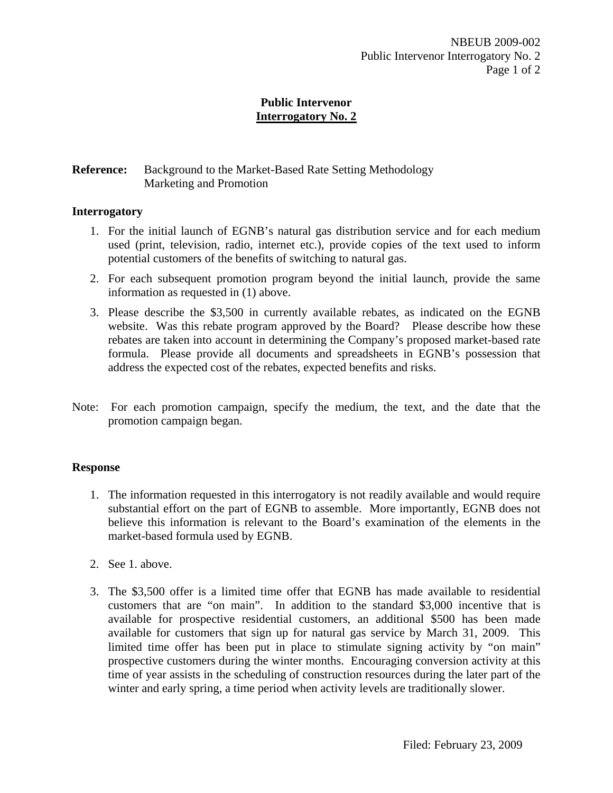# **Reference:** Background to the Market-Based Rate Setting Methodology Marketing and Promotion

### **Interrogatory**

- 1. For the initial launch of EGNB's natural gas distribution service and for each medium used (print, television, radio, internet etc.), provide copies of the text used to inform potential customers of the benefits of switching to natural gas.
- 2. For each subsequent promotion program beyond the initial launch, provide the same information as requested in (1) above.
- 3. Please describe the \$3,500 in currently available rebates, as indicated on the EGNB website. Was this rebate program approved by the Board? Please describe how these rebates are taken into account in determining the Company's proposed market-based rate formula. Please provide all documents and spreadsheets in EGNB's possession that address the expected cost of the rebates, expected benefits and risks.
- Note: For each promotion campaign, specify the medium, the text, and the date that the promotion campaign began.

### **Response**

- 1. The information requested in this interrogatory is not readily available and would require substantial effort on the part of EGNB to assemble. More importantly, EGNB does not believe this information is relevant to the Board's examination of the elements in the market-based formula used by EGNB.
- 2. See 1. above.
- 3. The \$3,500 offer is a limited time offer that EGNB has made available to residential customers that are "on main". In addition to the standard \$3,000 incentive that is available for prospective residential customers, an additional \$500 has been made available for customers that sign up for natural gas service by March 31, 2009. This limited time offer has been put in place to stimulate signing activity by "on main" prospective customers during the winter months. Encouraging conversion activity at this time of year assists in the scheduling of construction resources during the later part of the winter and early spring, a time period when activity levels are traditionally slower.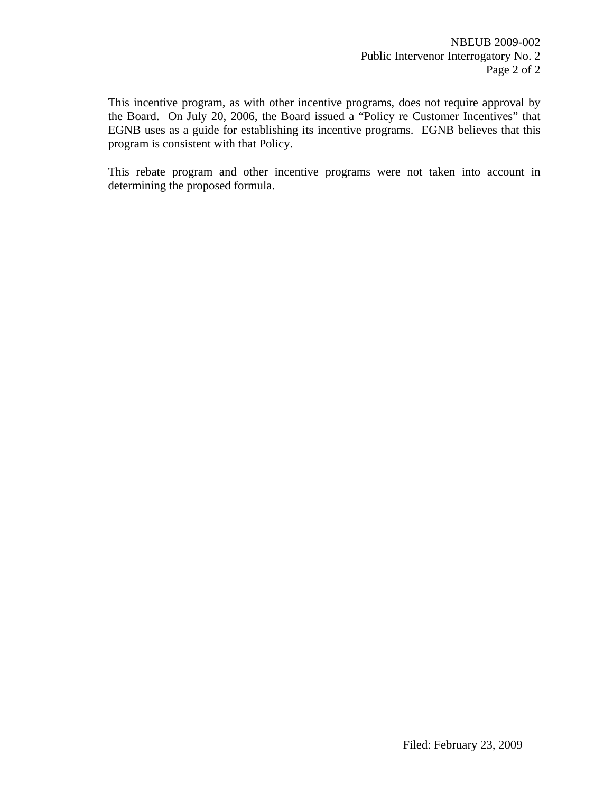This incentive program, as with other incentive programs, does not require approval by the Board. On July 20, 2006, the Board issued a "Policy re Customer Incentives" that EGNB uses as a guide for establishing its incentive programs. EGNB believes that this program is consistent with that Policy.

This rebate program and other incentive programs were not taken into account in determining the proposed formula.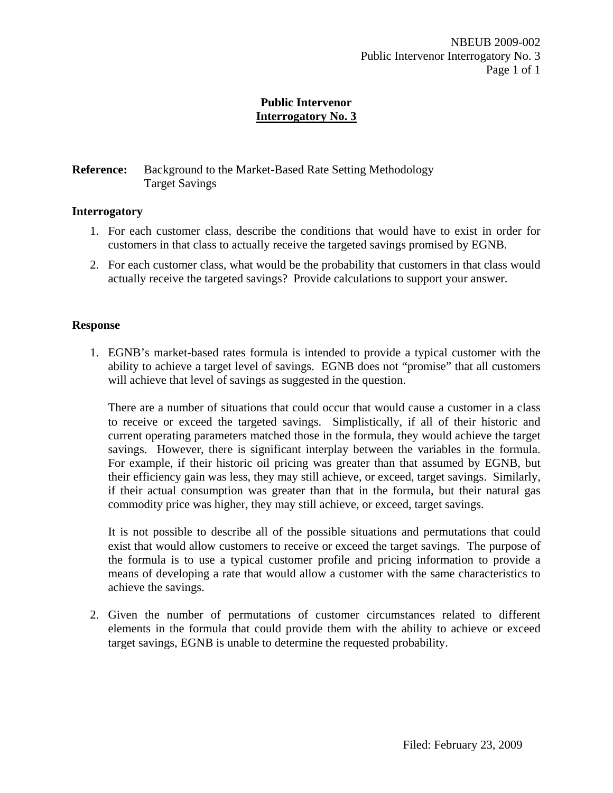# **Reference:** Background to the Market-Based Rate Setting Methodology Target Savings

### **Interrogatory**

- 1. For each customer class, describe the conditions that would have to exist in order for customers in that class to actually receive the targeted savings promised by EGNB.
- 2. For each customer class, what would be the probability that customers in that class would actually receive the targeted savings? Provide calculations to support your answer.

#### **Response**

1. EGNB's market-based rates formula is intended to provide a typical customer with the ability to achieve a target level of savings. EGNB does not "promise" that all customers will achieve that level of savings as suggested in the question.

There are a number of situations that could occur that would cause a customer in a class to receive or exceed the targeted savings. Simplistically, if all of their historic and current operating parameters matched those in the formula, they would achieve the target savings. However, there is significant interplay between the variables in the formula. For example, if their historic oil pricing was greater than that assumed by EGNB, but their efficiency gain was less, they may still achieve, or exceed, target savings. Similarly, if their actual consumption was greater than that in the formula, but their natural gas commodity price was higher, they may still achieve, or exceed, target savings.

It is not possible to describe all of the possible situations and permutations that could exist that would allow customers to receive or exceed the target savings. The purpose of the formula is to use a typical customer profile and pricing information to provide a means of developing a rate that would allow a customer with the same characteristics to achieve the savings.

2. Given the number of permutations of customer circumstances related to different elements in the formula that could provide them with the ability to achieve or exceed target savings, EGNB is unable to determine the requested probability.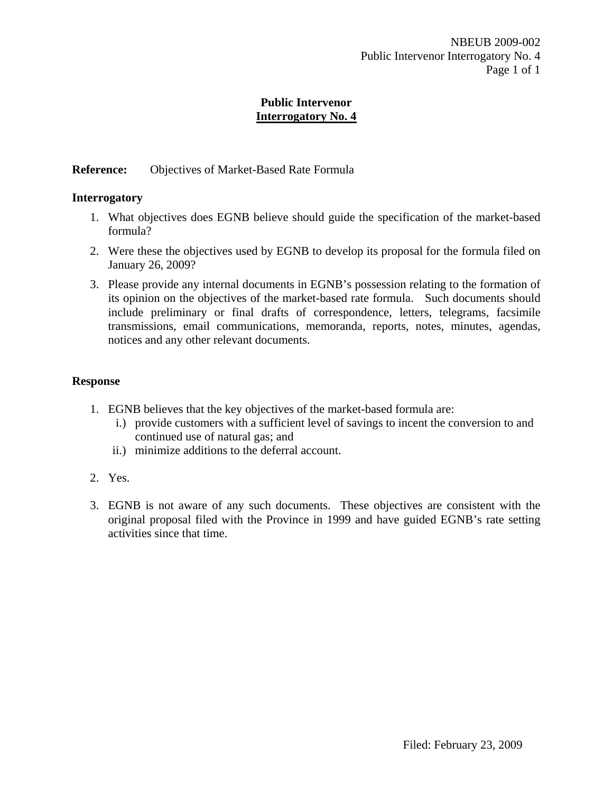# **Reference:** Objectives of Market-Based Rate Formula

#### **Interrogatory**

- 1. What objectives does EGNB believe should guide the specification of the market-based formula?
- 2. Were these the objectives used by EGNB to develop its proposal for the formula filed on January 26, 2009?
- 3. Please provide any internal documents in EGNB's possession relating to the formation of its opinion on the objectives of the market-based rate formula. Such documents should include preliminary or final drafts of correspondence, letters, telegrams, facsimile transmissions, email communications, memoranda, reports, notes, minutes, agendas, notices and any other relevant documents.

### **Response**

- 1. EGNB believes that the key objectives of the market-based formula are:
	- i.) provide customers with a sufficient level of savings to incent the conversion to and continued use of natural gas; and
	- ii.) minimize additions to the deferral account.
- 2. Yes.
- 3. EGNB is not aware of any such documents. These objectives are consistent with the original proposal filed with the Province in 1999 and have guided EGNB's rate setting activities since that time.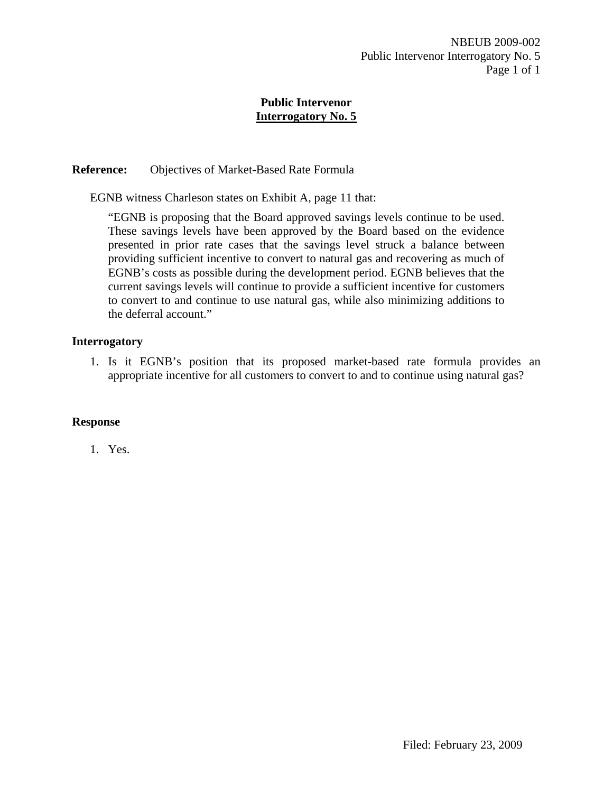# **Reference:** Objectives of Market-Based Rate Formula

EGNB witness Charleson states on Exhibit A, page 11 that:

"EGNB is proposing that the Board approved savings levels continue to be used. These savings levels have been approved by the Board based on the evidence presented in prior rate cases that the savings level struck a balance between providing sufficient incentive to convert to natural gas and recovering as much of EGNB's costs as possible during the development period. EGNB believes that the current savings levels will continue to provide a sufficient incentive for customers to convert to and continue to use natural gas, while also minimizing additions to the deferral account."

# **Interrogatory**

1. Is it EGNB's position that its proposed market-based rate formula provides an appropriate incentive for all customers to convert to and to continue using natural gas?

### **Response**

1. Yes.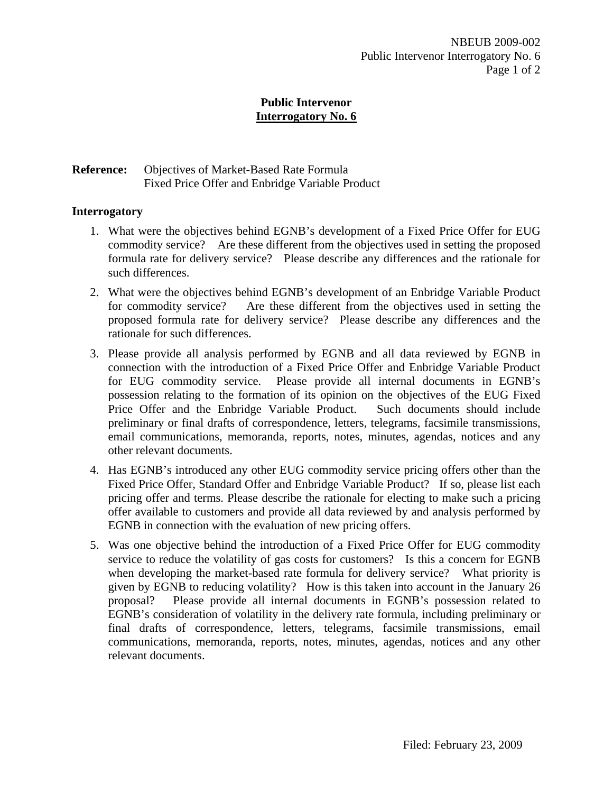# **Reference:** Objectives of Market-Based Rate Formula Fixed Price Offer and Enbridge Variable Product

# **Interrogatory**

- 1. What were the objectives behind EGNB's development of a Fixed Price Offer for EUG commodity service? Are these different from the objectives used in setting the proposed formula rate for delivery service? Please describe any differences and the rationale for such differences.
- 2. What were the objectives behind EGNB's development of an Enbridge Variable Product for commodity service? Are these different from the objectives used in setting the proposed formula rate for delivery service? Please describe any differences and the rationale for such differences.
- 3. Please provide all analysis performed by EGNB and all data reviewed by EGNB in connection with the introduction of a Fixed Price Offer and Enbridge Variable Product for EUG commodity service. Please provide all internal documents in EGNB's possession relating to the formation of its opinion on the objectives of the EUG Fixed Price Offer and the Enbridge Variable Product. Such documents should include preliminary or final drafts of correspondence, letters, telegrams, facsimile transmissions, email communications, memoranda, reports, notes, minutes, agendas, notices and any other relevant documents.
- 4. Has EGNB's introduced any other EUG commodity service pricing offers other than the Fixed Price Offer, Standard Offer and Enbridge Variable Product? If so, please list each pricing offer and terms. Please describe the rationale for electing to make such a pricing offer available to customers and provide all data reviewed by and analysis performed by EGNB in connection with the evaluation of new pricing offers.
- 5. Was one objective behind the introduction of a Fixed Price Offer for EUG commodity service to reduce the volatility of gas costs for customers? Is this a concern for EGNB when developing the market-based rate formula for delivery service? What priority is given by EGNB to reducing volatility? How is this taken into account in the January 26 proposal? Please provide all internal documents in EGNB's possession related to EGNB's consideration of volatility in the delivery rate formula, including preliminary or final drafts of correspondence, letters, telegrams, facsimile transmissions, email communications, memoranda, reports, notes, minutes, agendas, notices and any other relevant documents.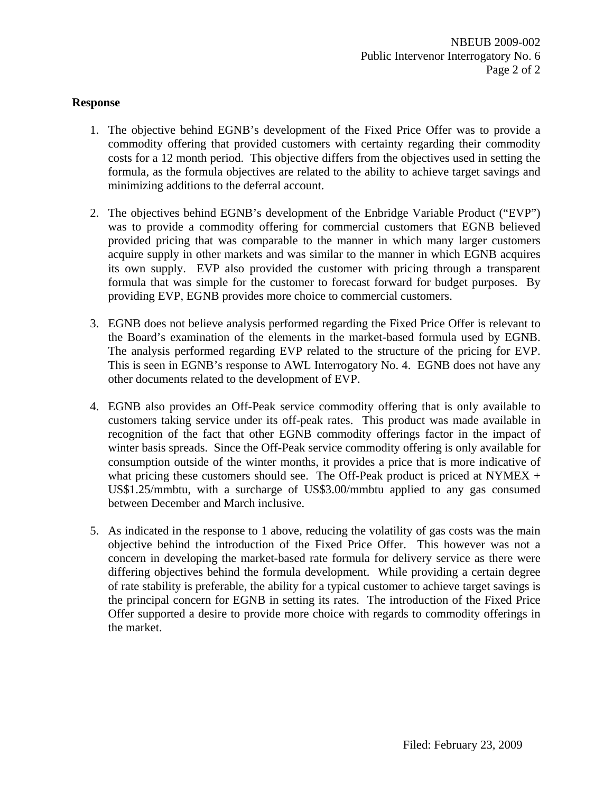### **Response**

- 1. The objective behind EGNB's development of the Fixed Price Offer was to provide a commodity offering that provided customers with certainty regarding their commodity costs for a 12 month period. This objective differs from the objectives used in setting the formula, as the formula objectives are related to the ability to achieve target savings and minimizing additions to the deferral account.
- 2. The objectives behind EGNB's development of the Enbridge Variable Product ("EVP") was to provide a commodity offering for commercial customers that EGNB believed provided pricing that was comparable to the manner in which many larger customers acquire supply in other markets and was similar to the manner in which EGNB acquires its own supply. EVP also provided the customer with pricing through a transparent formula that was simple for the customer to forecast forward for budget purposes. By providing EVP, EGNB provides more choice to commercial customers.
- 3. EGNB does not believe analysis performed regarding the Fixed Price Offer is relevant to the Board's examination of the elements in the market-based formula used by EGNB. The analysis performed regarding EVP related to the structure of the pricing for EVP. This is seen in EGNB's response to AWL Interrogatory No. 4. EGNB does not have any other documents related to the development of EVP.
- 4. EGNB also provides an Off-Peak service commodity offering that is only available to customers taking service under its off-peak rates. This product was made available in recognition of the fact that other EGNB commodity offerings factor in the impact of winter basis spreads. Since the Off-Peak service commodity offering is only available for consumption outside of the winter months, it provides a price that is more indicative of what pricing these customers should see. The Off-Peak product is priced at NYMEX  $+$ US\$1.25/mmbtu, with a surcharge of US\$3.00/mmbtu applied to any gas consumed between December and March inclusive.
- 5. As indicated in the response to 1 above, reducing the volatility of gas costs was the main objective behind the introduction of the Fixed Price Offer. This however was not a concern in developing the market-based rate formula for delivery service as there were differing objectives behind the formula development. While providing a certain degree of rate stability is preferable, the ability for a typical customer to achieve target savings is the principal concern for EGNB in setting its rates. The introduction of the Fixed Price Offer supported a desire to provide more choice with regards to commodity offerings in the market.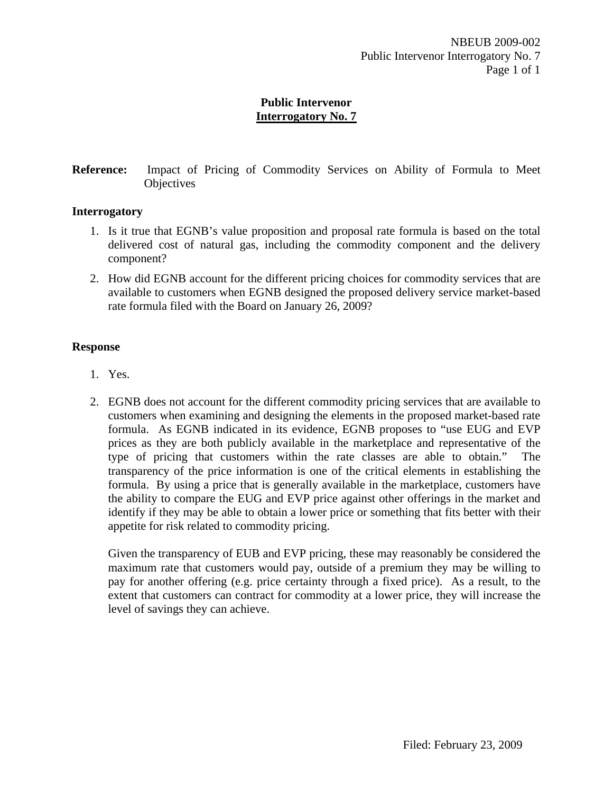**Reference:** Impact of Pricing of Commodity Services on Ability of Formula to Meet **Objectives** 

### **Interrogatory**

- 1. Is it true that EGNB's value proposition and proposal rate formula is based on the total delivered cost of natural gas, including the commodity component and the delivery component?
- 2. How did EGNB account for the different pricing choices for commodity services that are available to customers when EGNB designed the proposed delivery service market-based rate formula filed with the Board on January 26, 2009?

# **Response**

- 1. Yes.
- 2. EGNB does not account for the different commodity pricing services that are available to customers when examining and designing the elements in the proposed market-based rate formula. As EGNB indicated in its evidence, EGNB proposes to "use EUG and EVP prices as they are both publicly available in the marketplace and representative of the type of pricing that customers within the rate classes are able to obtain." transparency of the price information is one of the critical elements in establishing the formula. By using a price that is generally available in the marketplace, customers have the ability to compare the EUG and EVP price against other offerings in the market and identify if they may be able to obtain a lower price or something that fits better with their appetite for risk related to commodity pricing.

Given the transparency of EUB and EVP pricing, these may reasonably be considered the maximum rate that customers would pay, outside of a premium they may be willing to pay for another offering (e.g. price certainty through a fixed price). As a result, to the extent that customers can contract for commodity at a lower price, they will increase the level of savings they can achieve.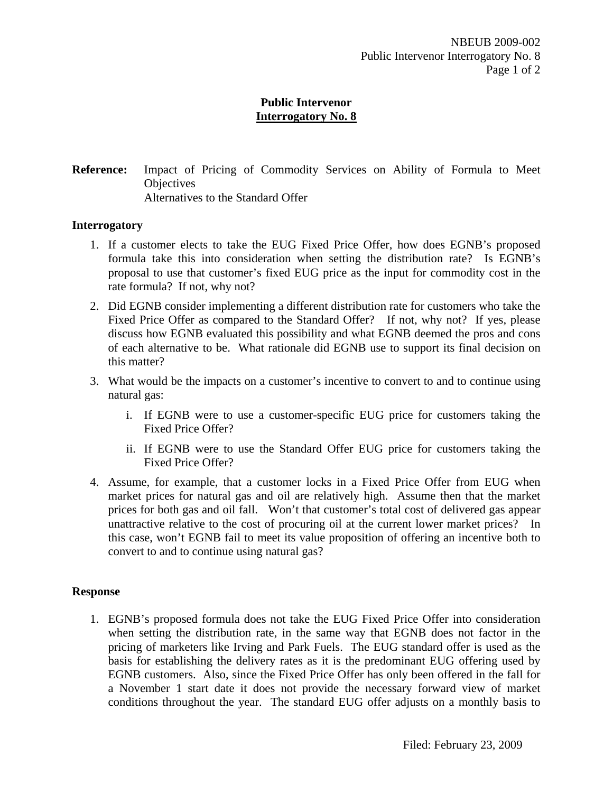**Reference:** Impact of Pricing of Commodity Services on Ability of Formula to Meet **Objectives** Alternatives to the Standard Offer

#### **Interrogatory**

- 1. If a customer elects to take the EUG Fixed Price Offer, how does EGNB's proposed formula take this into consideration when setting the distribution rate? Is EGNB's proposal to use that customer's fixed EUG price as the input for commodity cost in the rate formula? If not, why not?
- 2. Did EGNB consider implementing a different distribution rate for customers who take the Fixed Price Offer as compared to the Standard Offer? If not, why not? If yes, please discuss how EGNB evaluated this possibility and what EGNB deemed the pros and cons of each alternative to be. What rationale did EGNB use to support its final decision on this matter?
- 3. What would be the impacts on a customer's incentive to convert to and to continue using natural gas:
	- i. If EGNB were to use a customer-specific EUG price for customers taking the Fixed Price Offer?
	- ii. If EGNB were to use the Standard Offer EUG price for customers taking the Fixed Price Offer?
- 4. Assume, for example, that a customer locks in a Fixed Price Offer from EUG when market prices for natural gas and oil are relatively high. Assume then that the market prices for both gas and oil fall. Won't that customer's total cost of delivered gas appear unattractive relative to the cost of procuring oil at the current lower market prices? In this case, won't EGNB fail to meet its value proposition of offering an incentive both to convert to and to continue using natural gas?

#### **Response**

1. EGNB's proposed formula does not take the EUG Fixed Price Offer into consideration when setting the distribution rate, in the same way that EGNB does not factor in the pricing of marketers like Irving and Park Fuels. The EUG standard offer is used as the basis for establishing the delivery rates as it is the predominant EUG offering used by EGNB customers. Also, since the Fixed Price Offer has only been offered in the fall for a November 1 start date it does not provide the necessary forward view of market conditions throughout the year. The standard EUG offer adjusts on a monthly basis to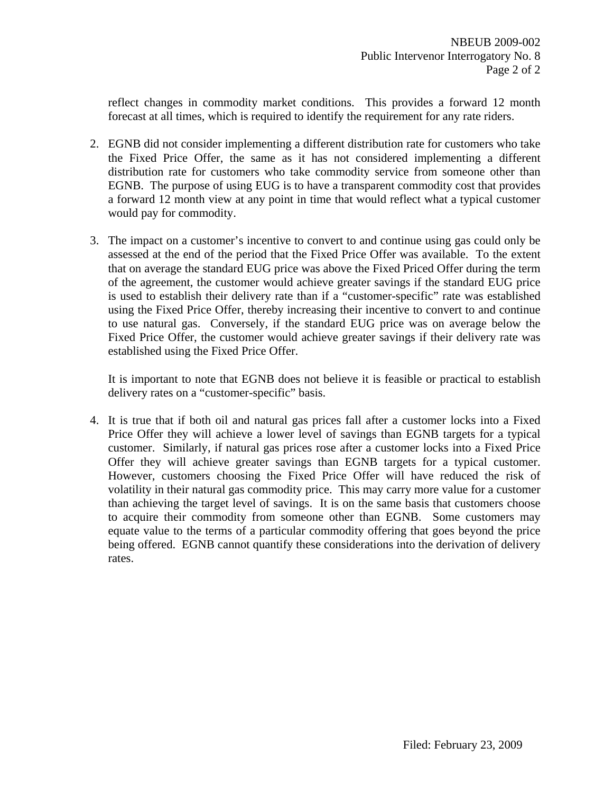reflect changes in commodity market conditions. This provides a forward 12 month forecast at all times, which is required to identify the requirement for any rate riders.

- 2. EGNB did not consider implementing a different distribution rate for customers who take the Fixed Price Offer, the same as it has not considered implementing a different distribution rate for customers who take commodity service from someone other than EGNB. The purpose of using EUG is to have a transparent commodity cost that provides a forward 12 month view at any point in time that would reflect what a typical customer would pay for commodity.
- 3. The impact on a customer's incentive to convert to and continue using gas could only be assessed at the end of the period that the Fixed Price Offer was available. To the extent that on average the standard EUG price was above the Fixed Priced Offer during the term of the agreement, the customer would achieve greater savings if the standard EUG price is used to establish their delivery rate than if a "customer-specific" rate was established using the Fixed Price Offer, thereby increasing their incentive to convert to and continue to use natural gas. Conversely, if the standard EUG price was on average below the Fixed Price Offer, the customer would achieve greater savings if their delivery rate was established using the Fixed Price Offer.

It is important to note that EGNB does not believe it is feasible or practical to establish delivery rates on a "customer-specific" basis.

4. It is true that if both oil and natural gas prices fall after a customer locks into a Fixed Price Offer they will achieve a lower level of savings than EGNB targets for a typical customer. Similarly, if natural gas prices rose after a customer locks into a Fixed Price Offer they will achieve greater savings than EGNB targets for a typical customer. However, customers choosing the Fixed Price Offer will have reduced the risk of volatility in their natural gas commodity price. This may carry more value for a customer than achieving the target level of savings. It is on the same basis that customers choose to acquire their commodity from someone other than EGNB. Some customers may equate value to the terms of a particular commodity offering that goes beyond the price being offered. EGNB cannot quantify these considerations into the derivation of delivery rates.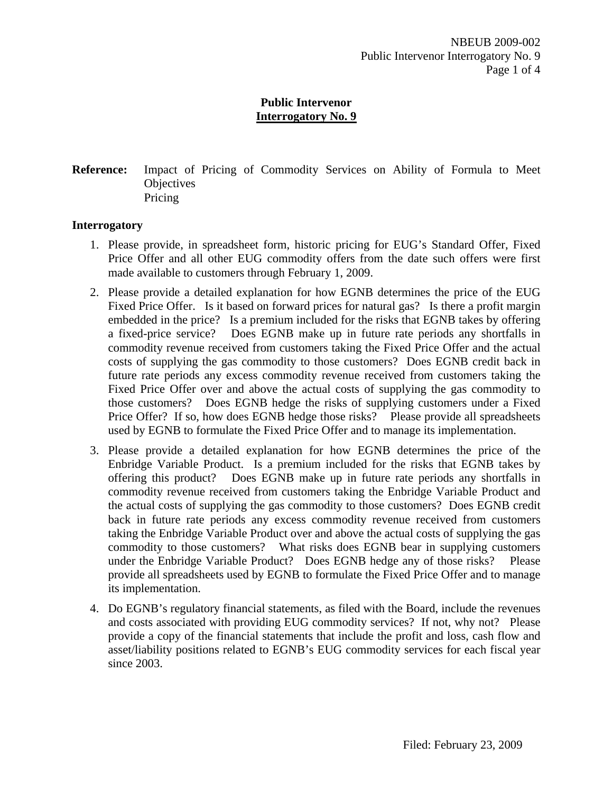**Reference:** Impact of Pricing of Commodity Services on Ability of Formula to Meet **Objectives** Pricing

### **Interrogatory**

- 1. Please provide, in spreadsheet form, historic pricing for EUG's Standard Offer, Fixed Price Offer and all other EUG commodity offers from the date such offers were first made available to customers through February 1, 2009.
- 2. Please provide a detailed explanation for how EGNB determines the price of the EUG Fixed Price Offer. Is it based on forward prices for natural gas? Is there a profit margin embedded in the price? Is a premium included for the risks that EGNB takes by offering a fixed-price service? Does EGNB make up in future rate periods any shortfalls in commodity revenue received from customers taking the Fixed Price Offer and the actual costs of supplying the gas commodity to those customers? Does EGNB credit back in future rate periods any excess commodity revenue received from customers taking the Fixed Price Offer over and above the actual costs of supplying the gas commodity to those customers? Does EGNB hedge the risks of supplying customers under a Fixed Price Offer? If so, how does EGNB hedge those risks? Please provide all spreadsheets used by EGNB to formulate the Fixed Price Offer and to manage its implementation.
- 3. Please provide a detailed explanation for how EGNB determines the price of the Enbridge Variable Product. Is a premium included for the risks that EGNB takes by offering this product? Does EGNB make up in future rate periods any shortfalls in commodity revenue received from customers taking the Enbridge Variable Product and the actual costs of supplying the gas commodity to those customers? Does EGNB credit back in future rate periods any excess commodity revenue received from customers taking the Enbridge Variable Product over and above the actual costs of supplying the gas commodity to those customers? What risks does EGNB bear in supplying customers under the Enbridge Variable Product? Does EGNB hedge any of those risks? Please provide all spreadsheets used by EGNB to formulate the Fixed Price Offer and to manage its implementation.
- 4. Do EGNB's regulatory financial statements, as filed with the Board, include the revenues and costs associated with providing EUG commodity services? If not, why not? Please provide a copy of the financial statements that include the profit and loss, cash flow and asset/liability positions related to EGNB's EUG commodity services for each fiscal year since 2003.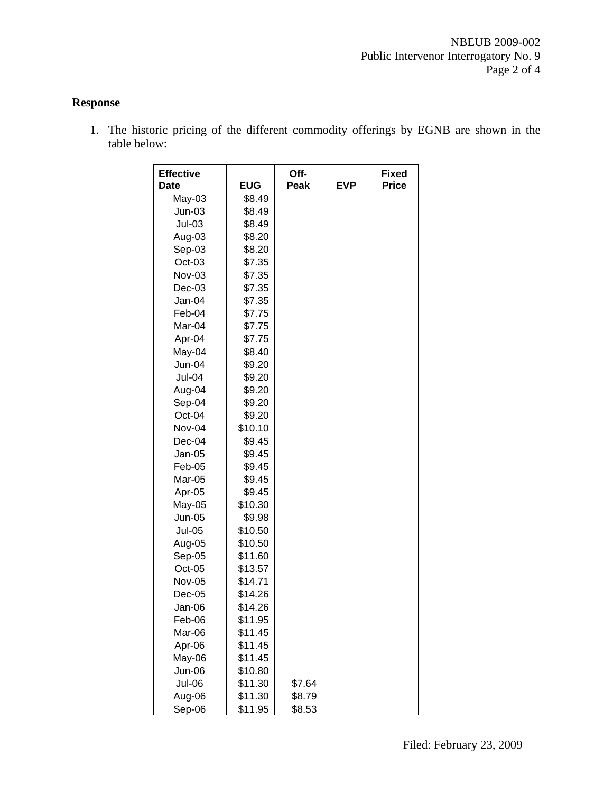# **Response**

1. The historic pricing of the different commodity offerings by EGNB are shown in the table below:

| <b>Effective</b><br><b>Date</b> | <b>EUG</b>         | Off-<br>Peak | <b>EVP</b> | <b>Fixed</b><br><b>Price</b> |
|---------------------------------|--------------------|--------------|------------|------------------------------|
| May-03                          | \$8.49             |              |            |                              |
| $Jun-03$                        | \$8.49             |              |            |                              |
| <b>Jul-03</b>                   | \$8.49             |              |            |                              |
| Aug-03                          | \$8.20             |              |            |                              |
| Sep-03                          | \$8.20             |              |            |                              |
| Oct-03                          | \$7.35             |              |            |                              |
| Nov-03                          | \$7.35             |              |            |                              |
| Dec-03                          | \$7.35             |              |            |                              |
| Jan-04                          | \$7.35             |              |            |                              |
| Feb-04                          | \$7.75             |              |            |                              |
| Mar-04                          | \$7.75             |              |            |                              |
| Apr-04                          | \$7.75             |              |            |                              |
| May-04                          | \$8.40             |              |            |                              |
| $Jun-04$                        | \$9.20             |              |            |                              |
| <b>Jul-04</b>                   | \$9.20             |              |            |                              |
| Aug-04                          | \$9.20             |              |            |                              |
| Sep-04                          | \$9.20             |              |            |                              |
| Oct-04                          | \$9.20             |              |            |                              |
| Nov-04                          | \$10.10            |              |            |                              |
| Dec-04                          | \$9.45             |              |            |                              |
| Jan-05                          | \$9.45             |              |            |                              |
| Feb-05                          | \$9.45             |              |            |                              |
| Mar-05                          | \$9.45             |              |            |                              |
| Apr-05                          | \$9.45             |              |            |                              |
| May-05                          | \$10.30            |              |            |                              |
| <b>Jun-05</b>                   | \$9.98             |              |            |                              |
| <b>Jul-05</b>                   | \$10.50            |              |            |                              |
| Aug-05                          | \$10.50            |              |            |                              |
| Sep-05                          | \$11.60            |              |            |                              |
| Oct-05                          | \$13.57            |              |            |                              |
| Nov-05                          | \$14.71            |              |            |                              |
| $Dec-05$                        | \$14.26            |              |            |                              |
| Jan-06                          | \$14.26            |              |            |                              |
| Feb-06<br>Mar-06                | \$11.95            |              |            |                              |
|                                 | \$11.45<br>\$11.45 |              |            |                              |
| Apr-06                          | \$11.45            |              |            |                              |
| May-06<br><b>Jun-06</b>         | \$10.80            |              |            |                              |
| <b>Jul-06</b>                   | \$11.30            | \$7.64       |            |                              |
| Aug-06                          | \$11.30            | \$8.79       |            |                              |
| Sep-06                          | \$11.95            | \$8.53       |            |                              |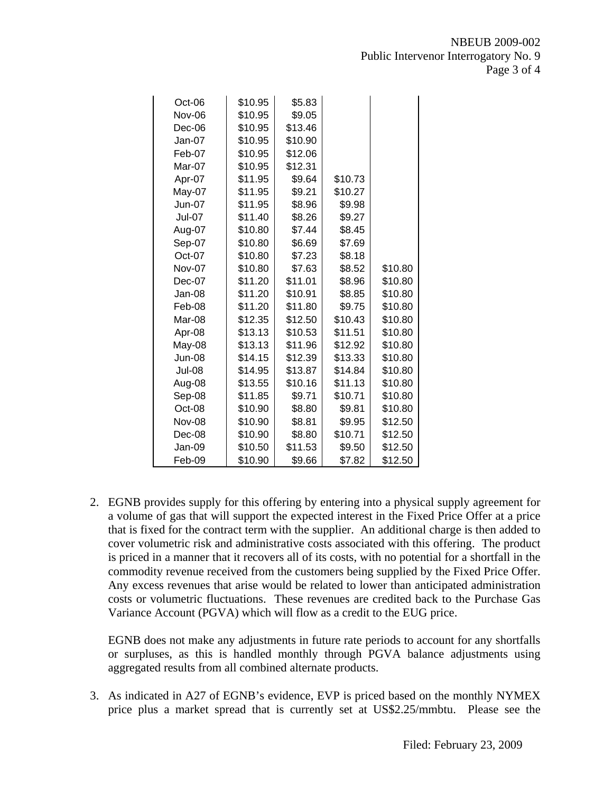| Oct-06        | \$10.95 | \$5.83  |         |         |
|---------------|---------|---------|---------|---------|
| <b>Nov-06</b> | \$10.95 | \$9.05  |         |         |
| Dec-06        | \$10.95 | \$13.46 |         |         |
| Jan-07        | \$10.95 | \$10.90 |         |         |
| Feb-07        | \$10.95 | \$12.06 |         |         |
| Mar-07        | \$10.95 | \$12.31 |         |         |
| Apr-07        | \$11.95 | \$9.64  | \$10.73 |         |
| May-07        | \$11.95 | \$9.21  | \$10.27 |         |
| <b>Jun-07</b> | \$11.95 | \$8.96  | \$9.98  |         |
| Jul-07        | \$11.40 | \$8.26  | \$9.27  |         |
| Aug-07        | \$10.80 | \$7.44  | \$8.45  |         |
| Sep-07        | \$10.80 | \$6.69  | \$7.69  |         |
| Oct-07        | \$10.80 | \$7.23  | \$8.18  |         |
| <b>Nov-07</b> | \$10.80 | \$7.63  | \$8.52  | \$10.80 |
| Dec-07        | \$11.20 | \$11.01 | \$8.96  | \$10.80 |
| Jan-08        | \$11.20 | \$10.91 | \$8.85  | \$10.80 |
| Feb-08        | \$11.20 | \$11.80 | \$9.75  | \$10.80 |
| Mar-08        | \$12.35 | \$12.50 | \$10.43 | \$10.80 |
| Apr-08        | \$13.13 | \$10.53 | \$11.51 | \$10.80 |
| May-08        | \$13.13 | \$11.96 | \$12.92 | \$10.80 |
| <b>Jun-08</b> | \$14.15 | \$12.39 | \$13.33 | \$10.80 |
| Jul-08        | \$14.95 | \$13.87 | \$14.84 | \$10.80 |
| Aug-08        | \$13.55 | \$10.16 | \$11.13 | \$10.80 |
| Sep-08        | \$11.85 | \$9.71  | \$10.71 | \$10.80 |
| Oct-08        | \$10.90 | \$8.80  | \$9.81  | \$10.80 |
| <b>Nov-08</b> | \$10.90 | \$8.81  | \$9.95  | \$12.50 |
| Dec-08        | \$10.90 | \$8.80  | \$10.71 | \$12.50 |
| Jan-09        | \$10.50 | \$11.53 | \$9.50  | \$12.50 |
| Feb-09        | \$10.90 | \$9.66  | \$7.82  | \$12.50 |

2. EGNB provides supply for this offering by entering into a physical supply agreement for a volume of gas that will support the expected interest in the Fixed Price Offer at a price that is fixed for the contract term with the supplier. An additional charge is then added to cover volumetric risk and administrative costs associated with this offering. The product is priced in a manner that it recovers all of its costs, with no potential for a shortfall in the commodity revenue received from the customers being supplied by the Fixed Price Offer. Any excess revenues that arise would be related to lower than anticipated administration costs or volumetric fluctuations. These revenues are credited back to the Purchase Gas Variance Account (PGVA) which will flow as a credit to the EUG price.

EGNB does not make any adjustments in future rate periods to account for any shortfalls or surpluses, as this is handled monthly through PGVA balance adjustments using aggregated results from all combined alternate products.

3. As indicated in A27 of EGNB's evidence, EVP is priced based on the monthly NYMEX price plus a market spread that is currently set at US\$2.25/mmbtu. Please see the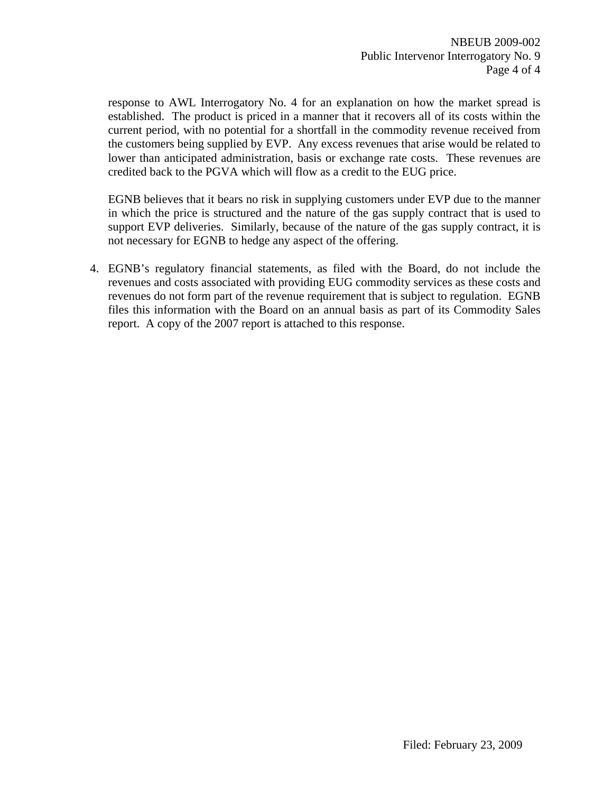response to AWL Interrogatory No. 4 for an explanation on how the market spread is established. The product is priced in a manner that it recovers all of its costs within the current period, with no potential for a shortfall in the commodity revenue received from the customers being supplied by EVP. Any excess revenues that arise would be related to lower than anticipated administration, basis or exchange rate costs. These revenues are credited back to the PGVA which will flow as a credit to the EUG price.

EGNB believes that it bears no risk in supplying customers under EVP due to the manner in which the price is structured and the nature of the gas supply contract that is used to support EVP deliveries. Similarly, because of the nature of the gas supply contract, it is not necessary for EGNB to hedge any aspect of the offering.

4. EGNB's regulatory financial statements, as filed with the Board, do not include the revenues and costs associated with providing EUG commodity services as these costs and revenues do not form part of the revenue requirement that is subject to regulation. EGNB files this information with the Board on an annual basis as part of its Commodity Sales report. A copy of the 2007 report is attached to this response.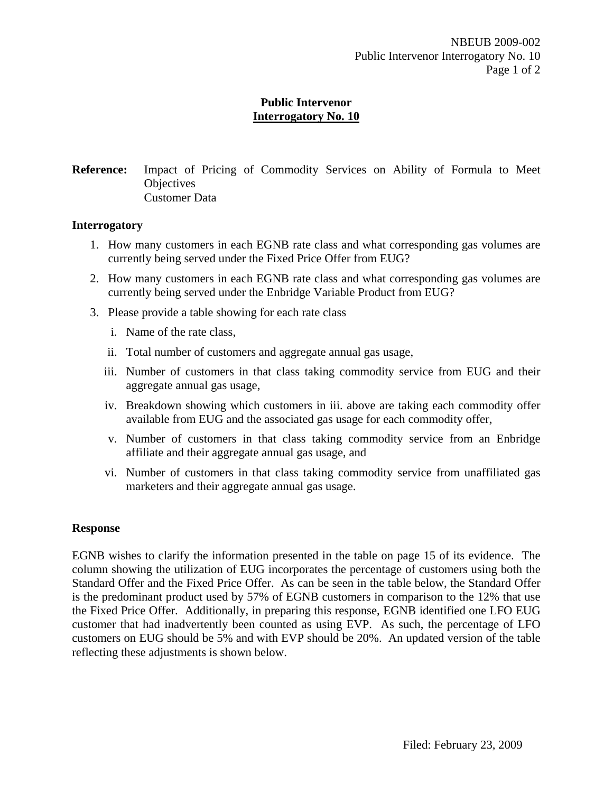**Reference:** Impact of Pricing of Commodity Services on Ability of Formula to Meet **Objectives** Customer Data

#### **Interrogatory**

- 1. How many customers in each EGNB rate class and what corresponding gas volumes are currently being served under the Fixed Price Offer from EUG?
- 2. How many customers in each EGNB rate class and what corresponding gas volumes are currently being served under the Enbridge Variable Product from EUG?
- 3. Please provide a table showing for each rate class
	- i. Name of the rate class,
	- ii. Total number of customers and aggregate annual gas usage,
	- iii. Number of customers in that class taking commodity service from EUG and their aggregate annual gas usage,
	- iv. Breakdown showing which customers in iii. above are taking each commodity offer available from EUG and the associated gas usage for each commodity offer,
	- v. Number of customers in that class taking commodity service from an Enbridge affiliate and their aggregate annual gas usage, and
	- vi. Number of customers in that class taking commodity service from unaffiliated gas marketers and their aggregate annual gas usage.

### **Response**

EGNB wishes to clarify the information presented in the table on page 15 of its evidence. The column showing the utilization of EUG incorporates the percentage of customers using both the Standard Offer and the Fixed Price Offer. As can be seen in the table below, the Standard Offer is the predominant product used by 57% of EGNB customers in comparison to the 12% that use the Fixed Price Offer. Additionally, in preparing this response, EGNB identified one LFO EUG customer that had inadvertently been counted as using EVP. As such, the percentage of LFO customers on EUG should be 5% and with EVP should be 20%. An updated version of the table reflecting these adjustments is shown below.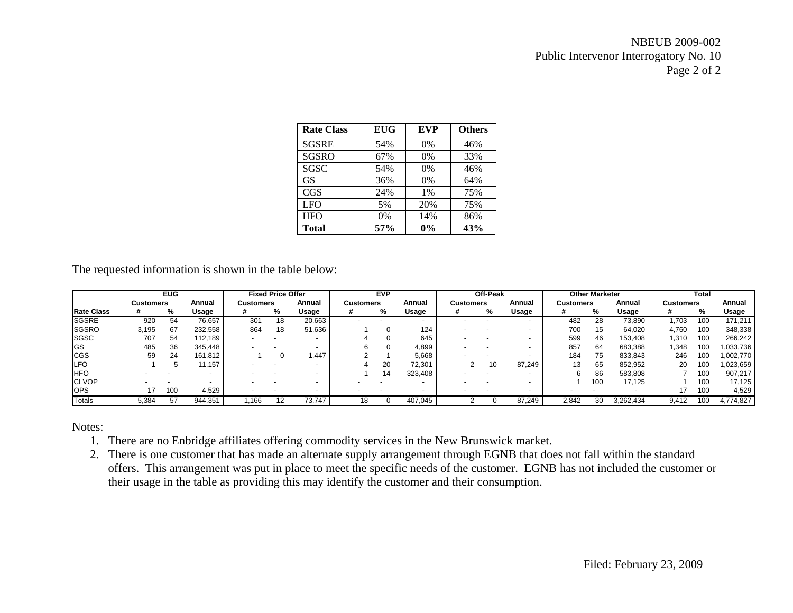# NBEUB 2009-002 Public Intervenor Interrogatory No. 10 Page 2 of 2

| <b>Rate Class</b> | <b>EUG</b> | <b>EVP</b> | <b>Others</b> |
|-------------------|------------|------------|---------------|
| <b>SGSRE</b>      | 54%        | $0\%$      | 46%           |
| <b>SGSRO</b>      | 67%        | 0%         | 33%           |
| SGSC              | 54%        | 0%         | 46%           |
| <b>GS</b>         | 36%        | 0%         | 64%           |
| <b>CGS</b>        | 24%        | 1%         | 75%           |
| <b>LFO</b>        | 5%         | 20%        | 75%           |
| <b>HFO</b>        | $0\%$      | 14%        | 86%           |
| <b>Total</b>      | 57%        | $0\%$      | 43%           |

The requested information is shown in the table below:

|                   |                  | <b>EUG</b> |         |           | <b>Fixed Price Offer</b> |        |                  | <b>EVP</b> |         |                  | Off-Peak |                          |           | <b>Other Marketer</b> |           |                  | Total           |           |
|-------------------|------------------|------------|---------|-----------|--------------------------|--------|------------------|------------|---------|------------------|----------|--------------------------|-----------|-----------------------|-----------|------------------|-----------------|-----------|
|                   | <b>Customers</b> |            | Annual  | Customers |                          | Annual | <b>Customers</b> |            | Annual  | <b>Customers</b> |          | Annual                   | Customers |                       | Annual    | <b>Customers</b> |                 | Annual    |
| <b>Rate Class</b> |                  | %          | Usage   |           | %                        | Usage  |                  | %          | Usage   |                  | %        | Usage                    |           | %                     | Usage     |                  | %               | Usage     |
| <b>SGSRE</b>      | 920              | 54         | 76.657  | 301       | 18                       | 20,663 |                  |            |         |                  |          | $\overline{\phantom{a}}$ | 482       | 28                    | 73,890    | 1.703            | 100             | 171.211   |
| <b>SGSRO</b>      | 3.195            | 67         | 232.558 | 864       | 18                       | 51,636 |                  |            | 124     |                  |          |                          | 700       | 15                    | 64.020    | 4.760            | 100             | 348,338   |
| <b>SGSC</b>       | 707              | 54         | 112.189 |           |                          |        |                  |            | 645     |                  |          |                          | 599       | 46                    | 153,408   | 1,310            | 100             | 266,242   |
| <b>IGS</b>        | 485              | 36         | 345,448 |           |                          |        |                  |            | 4,899   |                  |          | -                        | 857       | 64                    | 683,388   | .348             | 100             | .033,736  |
| <b>CGS</b>        | 59               | 24         | 161.812 |           |                          | .447   |                  |            | 5.668   |                  |          | $\overline{\phantom{0}}$ | 184       | 75                    | 833.843   | 246              | 10 <sup>c</sup> | ,002,770  |
| <b>LFO</b>        |                  |            | .157    |           |                          |        |                  | 20         | 72,301  |                  | 10       | 87,249                   | 13        | 65                    | 852,952   | 20               | 100             | 023,659   |
| <b>HFO</b>        |                  |            |         |           |                          |        |                  | 14         | 323,408 |                  |          |                          | 6         | 86                    | 583.808   |                  | 100             | 907,217   |
| <b>CLVOP</b>      |                  |            |         |           |                          |        |                  |            |         |                  |          |                          |           | 100                   | 17.125    |                  | 100             | 17,125    |
| <b>OPS</b>        |                  | 100        | 4,529   |           |                          |        |                  |            |         |                  |          | $\overline{\phantom{0}}$ |           |                       |           |                  | 100             | 4,529     |
| Totals            | 5,384            | 57         | 944,351 | .166      | 12                       | 73,747 | 18               |            | 407.045 |                  |          | 87,249                   | 2.842     | 30                    | 3,262,434 | 9.412            | 100             | 4,774,827 |

Notes:

- 1. There are no Enbridge affiliates offering commodity services in the New Brunswick market.
- 2. There is one customer that has made an alternate supply arrangement through EGNB that does not fall within the standard offers. This arrangement was put in place to meet the specific needs of the customer. EGNB has not included the customer or their usage in the table as providing this may identify the customer and their consumption.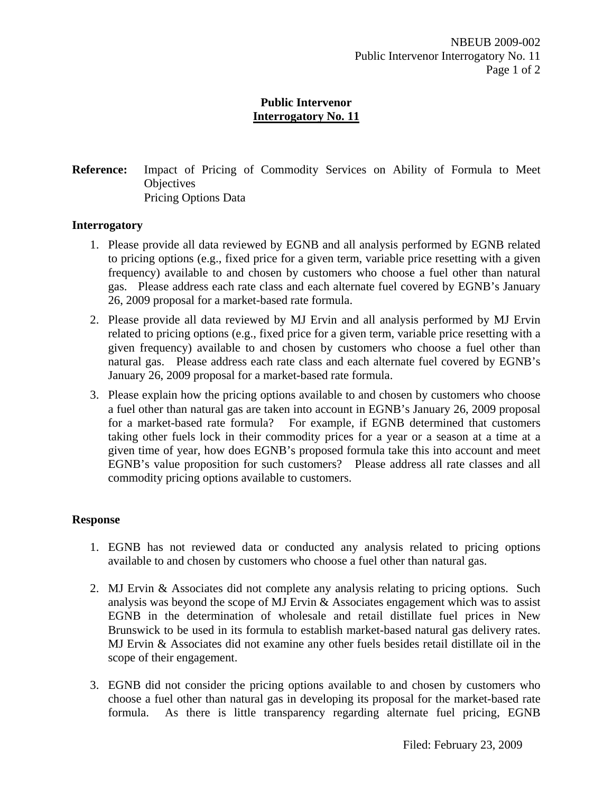**Reference:** Impact of Pricing of Commodity Services on Ability of Formula to Meet **Objectives** Pricing Options Data

### **Interrogatory**

- 1. Please provide all data reviewed by EGNB and all analysis performed by EGNB related to pricing options (e.g., fixed price for a given term, variable price resetting with a given frequency) available to and chosen by customers who choose a fuel other than natural gas. Please address each rate class and each alternate fuel covered by EGNB's January 26, 2009 proposal for a market-based rate formula.
- 2. Please provide all data reviewed by MJ Ervin and all analysis performed by MJ Ervin related to pricing options (e.g., fixed price for a given term, variable price resetting with a given frequency) available to and chosen by customers who choose a fuel other than natural gas. Please address each rate class and each alternate fuel covered by EGNB's January 26, 2009 proposal for a market-based rate formula.
- 3. Please explain how the pricing options available to and chosen by customers who choose a fuel other than natural gas are taken into account in EGNB's January 26, 2009 proposal for a market-based rate formula? For example, if EGNB determined that customers taking other fuels lock in their commodity prices for a year or a season at a time at a given time of year, how does EGNB's proposed formula take this into account and meet EGNB's value proposition for such customers? Please address all rate classes and all commodity pricing options available to customers.

### **Response**

- 1. EGNB has not reviewed data or conducted any analysis related to pricing options available to and chosen by customers who choose a fuel other than natural gas.
- 2. MJ Ervin & Associates did not complete any analysis relating to pricing options. Such analysis was beyond the scope of MJ Ervin & Associates engagement which was to assist EGNB in the determination of wholesale and retail distillate fuel prices in New Brunswick to be used in its formula to establish market-based natural gas delivery rates. MJ Ervin & Associates did not examine any other fuels besides retail distillate oil in the scope of their engagement.
- 3. EGNB did not consider the pricing options available to and chosen by customers who choose a fuel other than natural gas in developing its proposal for the market-based rate formula. As there is little transparency regarding alternate fuel pricing, EGNB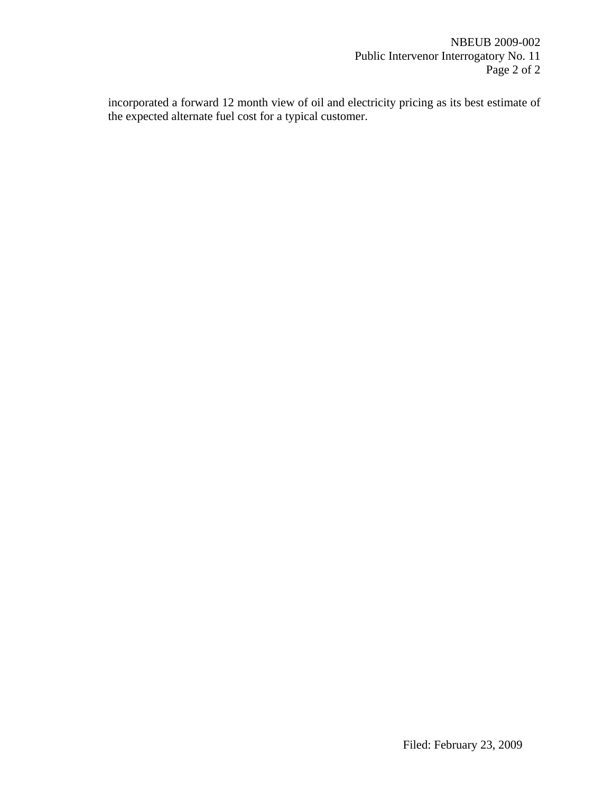incorporated a forward 12 month view of oil and electricity pricing as its best estimate of the expected alternate fuel cost for a typical customer.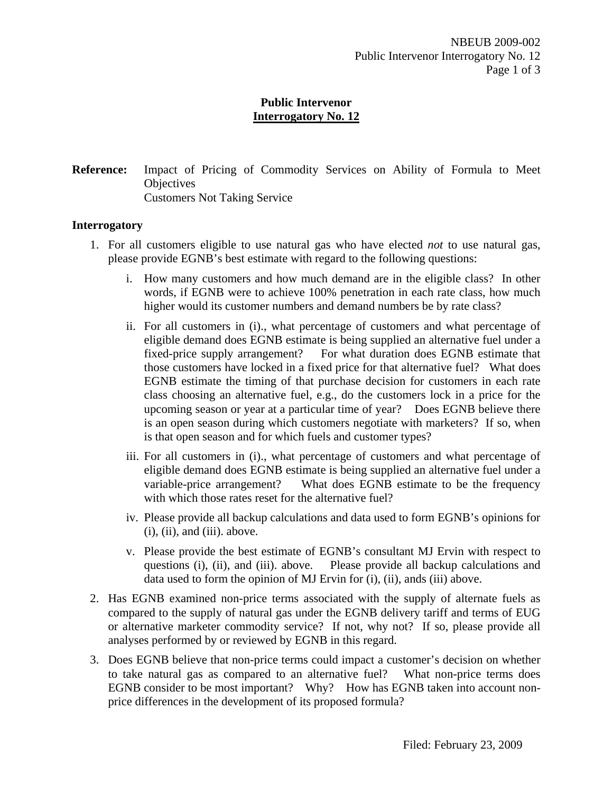**Reference:** Impact of Pricing of Commodity Services on Ability of Formula to Meet **Objectives** Customers Not Taking Service

#### **Interrogatory**

- 1. For all customers eligible to use natural gas who have elected *not* to use natural gas, please provide EGNB's best estimate with regard to the following questions:
	- i. How many customers and how much demand are in the eligible class? In other words, if EGNB were to achieve 100% penetration in each rate class, how much higher would its customer numbers and demand numbers be by rate class?
	- ii. For all customers in (i)., what percentage of customers and what percentage of eligible demand does EGNB estimate is being supplied an alternative fuel under a fixed-price supply arrangement? For what duration does EGNB estimate that those customers have locked in a fixed price for that alternative fuel? What does EGNB estimate the timing of that purchase decision for customers in each rate class choosing an alternative fuel, e.g., do the customers lock in a price for the upcoming season or year at a particular time of year? Does EGNB believe there is an open season during which customers negotiate with marketers? If so, when is that open season and for which fuels and customer types?
	- iii. For all customers in (i)., what percentage of customers and what percentage of eligible demand does EGNB estimate is being supplied an alternative fuel under a variable-price arrangement? What does EGNB estimate to be the frequency with which those rates reset for the alternative fuel?
	- iv. Please provide all backup calculations and data used to form EGNB's opinions for  $(i)$ ,  $(ii)$ , and  $(iii)$ . above.
	- v. Please provide the best estimate of EGNB's consultant MJ Ervin with respect to questions (i), (ii), and (iii). above. Please provide all backup calculations and data used to form the opinion of MJ Ervin for (i), (ii), ands (iii) above.
- 2. Has EGNB examined non-price terms associated with the supply of alternate fuels as compared to the supply of natural gas under the EGNB delivery tariff and terms of EUG or alternative marketer commodity service? If not, why not? If so, please provide all analyses performed by or reviewed by EGNB in this regard.
- 3. Does EGNB believe that non-price terms could impact a customer's decision on whether to take natural gas as compared to an alternative fuel? What non-price terms does EGNB consider to be most important? Why? How has EGNB taken into account nonprice differences in the development of its proposed formula?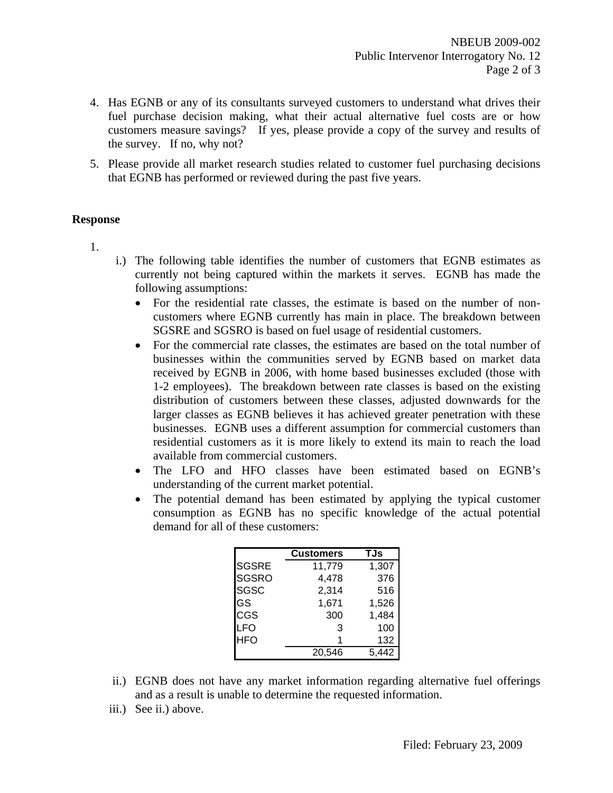- 4. Has EGNB or any of its consultants surveyed customers to understand what drives their fuel purchase decision making, what their actual alternative fuel costs are or how customers measure savings? If yes, please provide a copy of the survey and results of the survey. If no, why not?
- 5. Please provide all market research studies related to customer fuel purchasing decisions that EGNB has performed or reviewed during the past five years.

### **Response**

1.

- i.) The following table identifies the number of customers that EGNB estimates as currently not being captured within the markets it serves. EGNB has made the following assumptions:
	- For the residential rate classes, the estimate is based on the number of noncustomers where EGNB currently has main in place. The breakdown between SGSRE and SGSRO is based on fuel usage of residential customers.
	- For the commercial rate classes, the estimates are based on the total number of businesses within the communities served by EGNB based on market data received by EGNB in 2006, with home based businesses excluded (those with 1-2 employees). The breakdown between rate classes is based on the existing distribution of customers between these classes, adjusted downwards for the larger classes as EGNB believes it has achieved greater penetration with these businesses. EGNB uses a different assumption for commercial customers than residential customers as it is more likely to extend its main to reach the load available from commercial customers.
	- The LFO and HFO classes have been estimated based on EGNB's understanding of the current market potential.
	- The potential demand has been estimated by applying the typical customer consumption as EGNB has no specific knowledge of the actual potential demand for all of these customers:

|              | Customers | TJs   |
|--------------|-----------|-------|
| <b>SGSRE</b> | 11,779    | 1,307 |
| <b>SGSRO</b> | 4,478     | 376   |
| <b>SGSC</b>  | 2,314     | 516   |
| GS           | 1,671     | 1,526 |
| CGS          | 300       | 1,484 |
| LFO          | 3         | 100   |
| <b>HFO</b>   |           | 132   |
|              | 20,546    |       |

- ii.) EGNB does not have any market information regarding alternative fuel offerings and as a result is unable to determine the requested information.
- iii.) See ii.) above.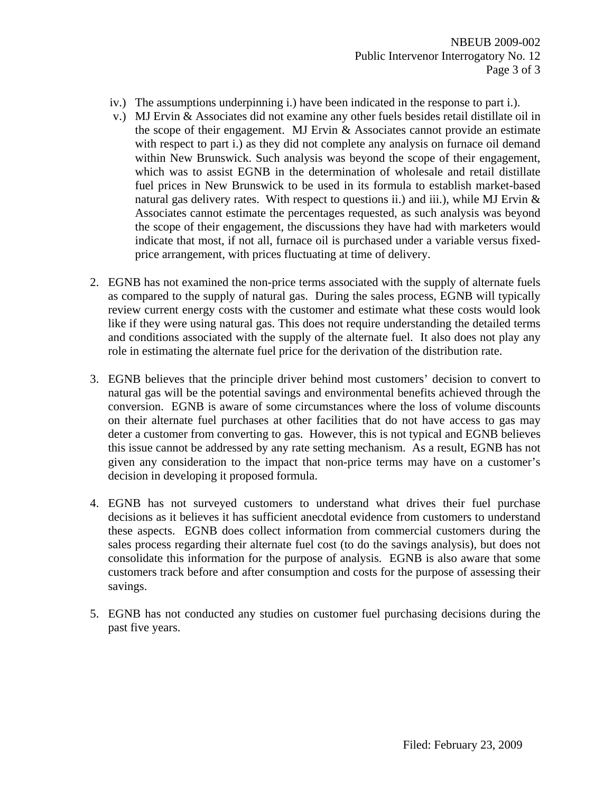- iv.) The assumptions underpinning i.) have been indicated in the response to part i.).
- v.) MJ Ervin & Associates did not examine any other fuels besides retail distillate oil in the scope of their engagement. MJ Ervin  $\&$  Associates cannot provide an estimate with respect to part i.) as they did not complete any analysis on furnace oil demand within New Brunswick. Such analysis was beyond the scope of their engagement, which was to assist EGNB in the determination of wholesale and retail distillate fuel prices in New Brunswick to be used in its formula to establish market-based natural gas delivery rates. With respect to questions ii.) and iii.), while MJ Ervin  $\&$ Associates cannot estimate the percentages requested, as such analysis was beyond the scope of their engagement, the discussions they have had with marketers would indicate that most, if not all, furnace oil is purchased under a variable versus fixedprice arrangement, with prices fluctuating at time of delivery.
- 2. EGNB has not examined the non-price terms associated with the supply of alternate fuels as compared to the supply of natural gas. During the sales process, EGNB will typically review current energy costs with the customer and estimate what these costs would look like if they were using natural gas. This does not require understanding the detailed terms and conditions associated with the supply of the alternate fuel. It also does not play any role in estimating the alternate fuel price for the derivation of the distribution rate.
- 3. EGNB believes that the principle driver behind most customers' decision to convert to natural gas will be the potential savings and environmental benefits achieved through the conversion. EGNB is aware of some circumstances where the loss of volume discounts on their alternate fuel purchases at other facilities that do not have access to gas may deter a customer from converting to gas. However, this is not typical and EGNB believes this issue cannot be addressed by any rate setting mechanism. As a result, EGNB has not given any consideration to the impact that non-price terms may have on a customer's decision in developing it proposed formula.
- 4. EGNB has not surveyed customers to understand what drives their fuel purchase decisions as it believes it has sufficient anecdotal evidence from customers to understand these aspects. EGNB does collect information from commercial customers during the sales process regarding their alternate fuel cost (to do the savings analysis), but does not consolidate this information for the purpose of analysis. EGNB is also aware that some customers track before and after consumption and costs for the purpose of assessing their savings.
- 5. EGNB has not conducted any studies on customer fuel purchasing decisions during the past five years.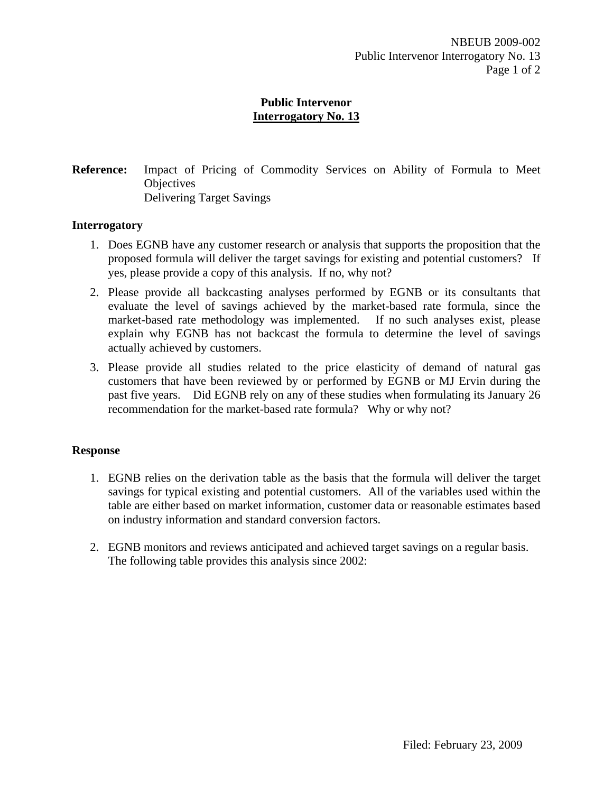**Reference:** Impact of Pricing of Commodity Services on Ability of Formula to Meet **Objectives** Delivering Target Savings

### **Interrogatory**

- 1. Does EGNB have any customer research or analysis that supports the proposition that the proposed formula will deliver the target savings for existing and potential customers? If yes, please provide a copy of this analysis. If no, why not?
- 2. Please provide all backcasting analyses performed by EGNB or its consultants that evaluate the level of savings achieved by the market-based rate formula, since the market-based rate methodology was implemented. If no such analyses exist, please explain why EGNB has not backcast the formula to determine the level of savings actually achieved by customers.
- 3. Please provide all studies related to the price elasticity of demand of natural gas customers that have been reviewed by or performed by EGNB or MJ Ervin during the past five years. Did EGNB rely on any of these studies when formulating its January 26 recommendation for the market-based rate formula? Why or why not?

### **Response**

- 1. EGNB relies on the derivation table as the basis that the formula will deliver the target savings for typical existing and potential customers. All of the variables used within the table are either based on market information, customer data or reasonable estimates based on industry information and standard conversion factors.
- 2. EGNB monitors and reviews anticipated and achieved target savings on a regular basis. The following table provides this analysis since 2002: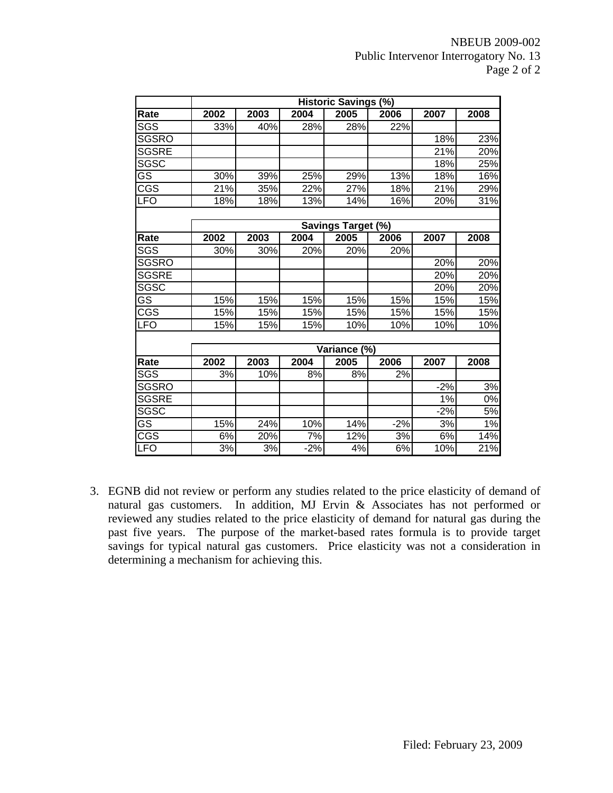|                         | <b>Historic Savings (%)</b> |      |       |                           |                  |       |      |  |  |  |  |  |  |  |
|-------------------------|-----------------------------|------|-------|---------------------------|------------------|-------|------|--|--|--|--|--|--|--|
| Rate                    | 2002                        | 2003 | 2004  | 2005                      | 2006             | 2007  | 2008 |  |  |  |  |  |  |  |
| SGS                     | 33%                         | 40%  | 28%   | 28%                       | 22%              |       |      |  |  |  |  |  |  |  |
| <b>SGSRO</b>            |                             |      |       |                           |                  | 18%   | 23%  |  |  |  |  |  |  |  |
| <b>SGSRE</b>            |                             |      |       |                           |                  | 21%   | 20%  |  |  |  |  |  |  |  |
| SGSC                    |                             |      |       |                           |                  | 18%   | 25%  |  |  |  |  |  |  |  |
| GS                      | 30%                         | 39%  | 25%   | 29%                       | 13%              | 18%   | 16%  |  |  |  |  |  |  |  |
| $\overline{\text{CGS}}$ | 21%                         | 35%  | 22%   | 27%                       | 18%              | 21%   | 29%  |  |  |  |  |  |  |  |
| <b>LFO</b>              | 18%                         | 18%  | 13%   | 14%                       | 16%              | 20%   | 31%  |  |  |  |  |  |  |  |
|                         |                             |      |       |                           |                  |       |      |  |  |  |  |  |  |  |
|                         |                             |      |       | <b>Savings Target (%)</b> |                  |       |      |  |  |  |  |  |  |  |
| Rate                    | 2002                        | 2003 | 2004  | 2005                      | 2006             | 2007  | 2008 |  |  |  |  |  |  |  |
| SGS                     | 30%                         | 30%  | 20%   | 20%                       | 20%              |       |      |  |  |  |  |  |  |  |
| <b>SGSRO</b>            |                             |      |       |                           |                  | 20%   | 20%  |  |  |  |  |  |  |  |
| <b>SGSRE</b>            |                             |      |       |                           |                  | 20%   | 20%  |  |  |  |  |  |  |  |
| <b>SGSC</b>             |                             |      |       |                           |                  | 20%   | 20%  |  |  |  |  |  |  |  |
| $\overline{\text{GS}}$  | 15%                         | 15%  | 15%   | 15%                       | 15%              | 15%   | 15%  |  |  |  |  |  |  |  |
| $\overline{\text{CGS}}$ | 15%                         | 15%  | 15%   | 15%                       | 15%              | 15%   | 15%  |  |  |  |  |  |  |  |
| <b>LFO</b>              | 15%                         | 15%  | 15%   | 10%                       | 10%              | 10%   | 10%  |  |  |  |  |  |  |  |
|                         |                             |      |       |                           |                  |       |      |  |  |  |  |  |  |  |
|                         |                             |      |       | Variance (%)              |                  |       |      |  |  |  |  |  |  |  |
| Rate                    | 2002                        | 2003 | 2004  | 2005                      | 2006             | 2007  | 2008 |  |  |  |  |  |  |  |
| SGS                     | 3%                          | 10%  | 8%    | 8%                        | 2%               |       |      |  |  |  |  |  |  |  |
| <b>SGSRO</b>            |                             |      |       |                           |                  | $-2%$ | 3%   |  |  |  |  |  |  |  |
| <b>SGSRE</b>            |                             |      |       |                           |                  | 1%    | 0%   |  |  |  |  |  |  |  |
| SGSC                    |                             |      |       |                           |                  | $-2%$ | 5%   |  |  |  |  |  |  |  |
| $\overline{\text{GS}}$  | 15%                         | 24%  | 10%   | 14%                       | $-2%$            | 3%    | 1%   |  |  |  |  |  |  |  |
| CGS                     | 6%                          | 20%  | 7%    | 12%                       | 3%               | 6%    | 14%  |  |  |  |  |  |  |  |
| LFO                     | $\overline{3\%}$            | 3%   | $-2%$ | 4%                        | $\overline{6\%}$ | 10%   | 21%  |  |  |  |  |  |  |  |

3. EGNB did not review or perform any studies related to the price elasticity of demand of natural gas customers. In addition, MJ Ervin & Associates has not performed or reviewed any studies related to the price elasticity of demand for natural gas during the past five years. The purpose of the market-based rates formula is to provide target savings for typical natural gas customers. Price elasticity was not a consideration in determining a mechanism for achieving this.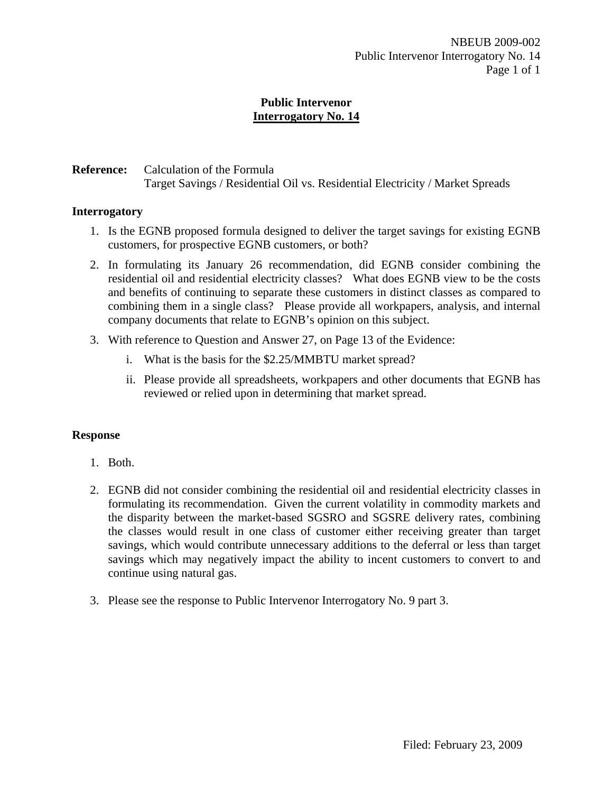# **Reference:** Calculation of the Formula Target Savings / Residential Oil vs. Residential Electricity / Market Spreads

# **Interrogatory**

- 1. Is the EGNB proposed formula designed to deliver the target savings for existing EGNB customers, for prospective EGNB customers, or both?
- 2. In formulating its January 26 recommendation, did EGNB consider combining the residential oil and residential electricity classes? What does EGNB view to be the costs and benefits of continuing to separate these customers in distinct classes as compared to combining them in a single class? Please provide all workpapers, analysis, and internal company documents that relate to EGNB's opinion on this subject.
- 3. With reference to Question and Answer 27, on Page 13 of the Evidence:
	- i. What is the basis for the \$2.25/MMBTU market spread?
	- ii. Please provide all spreadsheets, workpapers and other documents that EGNB has reviewed or relied upon in determining that market spread.

### **Response**

- 1. Both.
- 2. EGNB did not consider combining the residential oil and residential electricity classes in formulating its recommendation. Given the current volatility in commodity markets and the disparity between the market-based SGSRO and SGSRE delivery rates, combining the classes would result in one class of customer either receiving greater than target savings, which would contribute unnecessary additions to the deferral or less than target savings which may negatively impact the ability to incent customers to convert to and continue using natural gas.
- 3. Please see the response to Public Intervenor Interrogatory No. 9 part 3.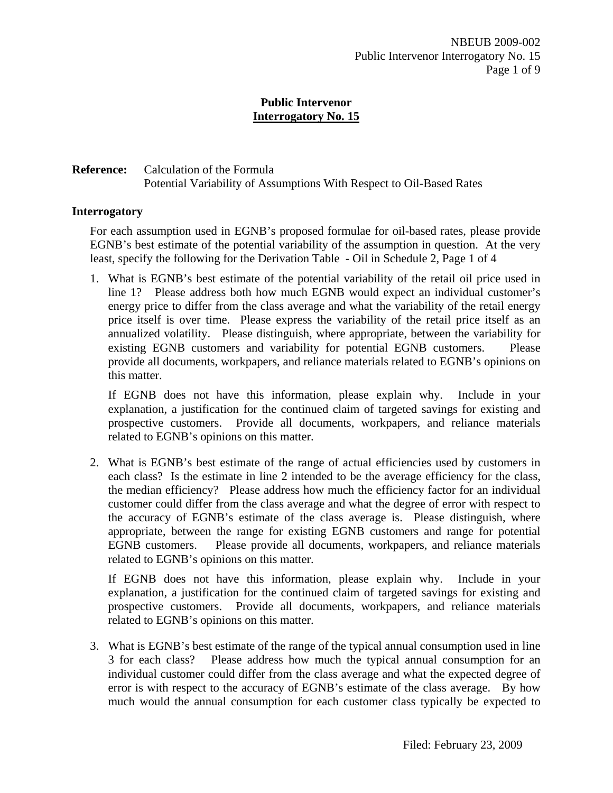# **Reference:** Calculation of the Formula Potential Variability of Assumptions With Respect to Oil-Based Rates

### **Interrogatory**

For each assumption used in EGNB's proposed formulae for oil-based rates, please provide EGNB's best estimate of the potential variability of the assumption in question. At the very least, specify the following for the Derivation Table - Oil in Schedule 2, Page 1 of 4

1. What is EGNB's best estimate of the potential variability of the retail oil price used in line 1? Please address both how much EGNB would expect an individual customer's energy price to differ from the class average and what the variability of the retail energy price itself is over time. Please express the variability of the retail price itself as an annualized volatility. Please distinguish, where appropriate, between the variability for existing EGNB customers and variability for potential EGNB customers. Please provide all documents, workpapers, and reliance materials related to EGNB's opinions on this matter.

If EGNB does not have this information, please explain why. Include in your explanation, a justification for the continued claim of targeted savings for existing and prospective customers. Provide all documents, workpapers, and reliance materials related to EGNB's opinions on this matter.

2. What is EGNB's best estimate of the range of actual efficiencies used by customers in each class? Is the estimate in line 2 intended to be the average efficiency for the class, the median efficiency? Please address how much the efficiency factor for an individual customer could differ from the class average and what the degree of error with respect to the accuracy of EGNB's estimate of the class average is. Please distinguish, where appropriate, between the range for existing EGNB customers and range for potential EGNB customers. Please provide all documents, workpapers, and reliance materials related to EGNB's opinions on this matter.

If EGNB does not have this information, please explain why. Include in your explanation, a justification for the continued claim of targeted savings for existing and prospective customers. Provide all documents, workpapers, and reliance materials related to EGNB's opinions on this matter.

3. What is EGNB's best estimate of the range of the typical annual consumption used in line 3 for each class? Please address how much the typical annual consumption for an individual customer could differ from the class average and what the expected degree of error is with respect to the accuracy of EGNB's estimate of the class average. By how much would the annual consumption for each customer class typically be expected to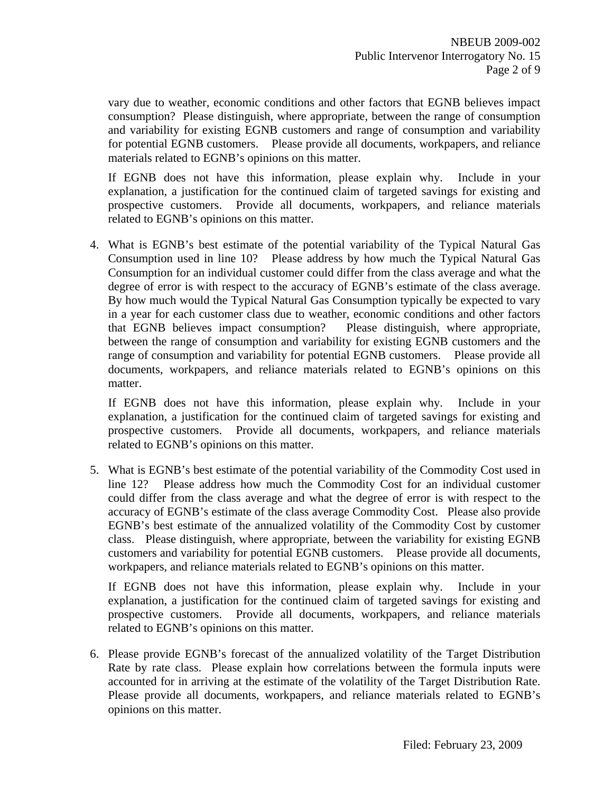vary due to weather, economic conditions and other factors that EGNB believes impact consumption? Please distinguish, where appropriate, between the range of consumption and variability for existing EGNB customers and range of consumption and variability for potential EGNB customers. Please provide all documents, workpapers, and reliance materials related to EGNB's opinions on this matter.

If EGNB does not have this information, please explain why. Include in your explanation, a justification for the continued claim of targeted savings for existing and prospective customers. Provide all documents, workpapers, and reliance materials related to EGNB's opinions on this matter.

4. What is EGNB's best estimate of the potential variability of the Typical Natural Gas Consumption used in line 10? Please address by how much the Typical Natural Gas Consumption for an individual customer could differ from the class average and what the degree of error is with respect to the accuracy of EGNB's estimate of the class average. By how much would the Typical Natural Gas Consumption typically be expected to vary in a year for each customer class due to weather, economic conditions and other factors that EGNB believes impact consumption? Please distinguish, where appropriate, between the range of consumption and variability for existing EGNB customers and the range of consumption and variability for potential EGNB customers. Please provide all documents, workpapers, and reliance materials related to EGNB's opinions on this matter.

If EGNB does not have this information, please explain why. Include in your explanation, a justification for the continued claim of targeted savings for existing and prospective customers. Provide all documents, workpapers, and reliance materials related to EGNB's opinions on this matter.

5. What is EGNB's best estimate of the potential variability of the Commodity Cost used in line 12? Please address how much the Commodity Cost for an individual customer could differ from the class average and what the degree of error is with respect to the accuracy of EGNB's estimate of the class average Commodity Cost. Please also provide EGNB's best estimate of the annualized volatility of the Commodity Cost by customer class. Please distinguish, where appropriate, between the variability for existing EGNB customers and variability for potential EGNB customers. Please provide all documents, workpapers, and reliance materials related to EGNB's opinions on this matter.

If EGNB does not have this information, please explain why. Include in your explanation, a justification for the continued claim of targeted savings for existing and prospective customers. Provide all documents, workpapers, and reliance materials related to EGNB's opinions on this matter.

6. Please provide EGNB's forecast of the annualized volatility of the Target Distribution Rate by rate class. Please explain how correlations between the formula inputs were accounted for in arriving at the estimate of the volatility of the Target Distribution Rate. Please provide all documents, workpapers, and reliance materials related to EGNB's opinions on this matter.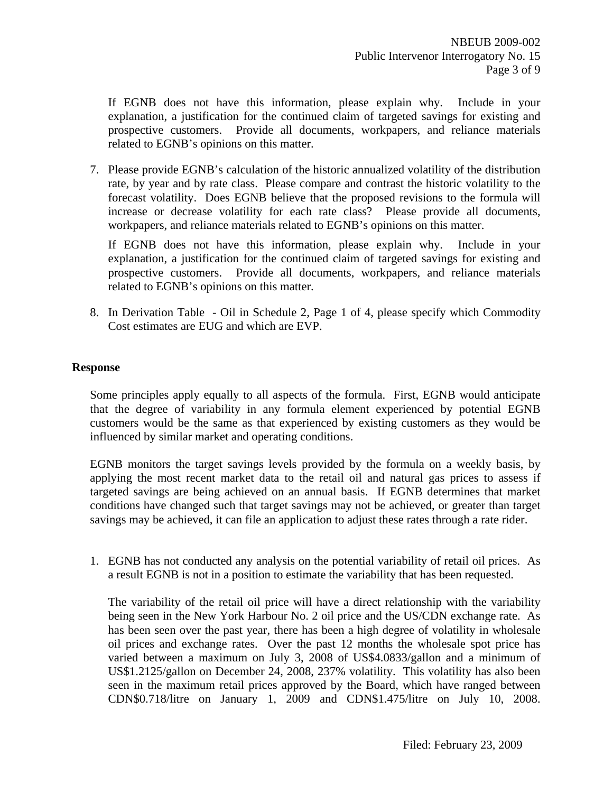If EGNB does not have this information, please explain why. Include in your explanation, a justification for the continued claim of targeted savings for existing and prospective customers. Provide all documents, workpapers, and reliance materials related to EGNB's opinions on this matter.

7. Please provide EGNB's calculation of the historic annualized volatility of the distribution rate, by year and by rate class. Please compare and contrast the historic volatility to the forecast volatility. Does EGNB believe that the proposed revisions to the formula will increase or decrease volatility for each rate class? Please provide all documents, workpapers, and reliance materials related to EGNB's opinions on this matter.

If EGNB does not have this information, please explain why. Include in your explanation, a justification for the continued claim of targeted savings for existing and prospective customers. Provide all documents, workpapers, and reliance materials related to EGNB's opinions on this matter.

8. In Derivation Table - Oil in Schedule 2, Page 1 of 4, please specify which Commodity Cost estimates are EUG and which are EVP.

### **Response**

Some principles apply equally to all aspects of the formula. First, EGNB would anticipate that the degree of variability in any formula element experienced by potential EGNB customers would be the same as that experienced by existing customers as they would be influenced by similar market and operating conditions.

EGNB monitors the target savings levels provided by the formula on a weekly basis, by applying the most recent market data to the retail oil and natural gas prices to assess if targeted savings are being achieved on an annual basis. If EGNB determines that market conditions have changed such that target savings may not be achieved, or greater than target savings may be achieved, it can file an application to adjust these rates through a rate rider.

1. EGNB has not conducted any analysis on the potential variability of retail oil prices. As a result EGNB is not in a position to estimate the variability that has been requested.

The variability of the retail oil price will have a direct relationship with the variability being seen in the New York Harbour No. 2 oil price and the US/CDN exchange rate. As has been seen over the past year, there has been a high degree of volatility in wholesale oil prices and exchange rates. Over the past 12 months the wholesale spot price has varied between a maximum on July 3, 2008 of US\$4.0833/gallon and a minimum of US\$1.2125/gallon on December 24, 2008, 237% volatility. This volatility has also been seen in the maximum retail prices approved by the Board, which have ranged between CDN\$0.718/litre on January 1, 2009 and CDN\$1.475/litre on July 10, 2008.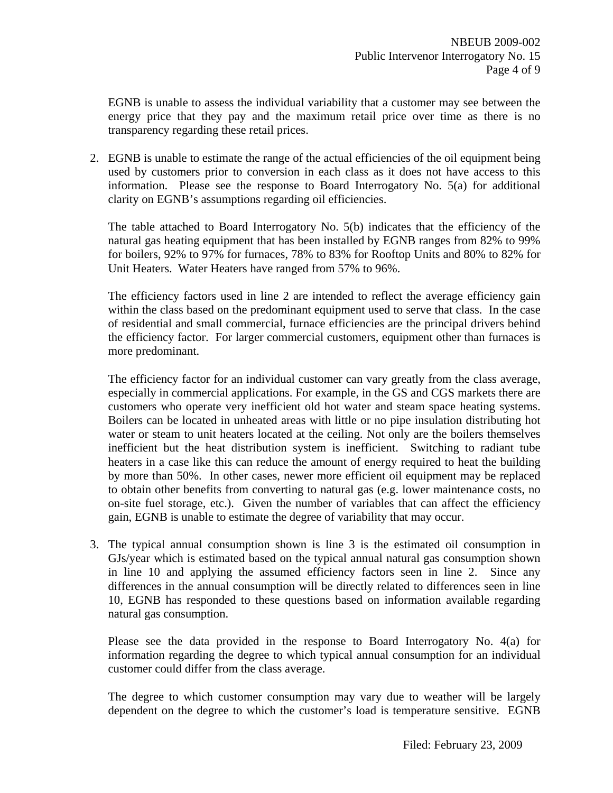EGNB is unable to assess the individual variability that a customer may see between the energy price that they pay and the maximum retail price over time as there is no transparency regarding these retail prices.

2. EGNB is unable to estimate the range of the actual efficiencies of the oil equipment being used by customers prior to conversion in each class as it does not have access to this information. Please see the response to Board Interrogatory No. 5(a) for additional clarity on EGNB's assumptions regarding oil efficiencies.

The table attached to Board Interrogatory No. 5(b) indicates that the efficiency of the natural gas heating equipment that has been installed by EGNB ranges from 82% to 99% for boilers, 92% to 97% for furnaces, 78% to 83% for Rooftop Units and 80% to 82% for Unit Heaters. Water Heaters have ranged from 57% to 96%.

The efficiency factors used in line 2 are intended to reflect the average efficiency gain within the class based on the predominant equipment used to serve that class. In the case of residential and small commercial, furnace efficiencies are the principal drivers behind the efficiency factor. For larger commercial customers, equipment other than furnaces is more predominant.

The efficiency factor for an individual customer can vary greatly from the class average, especially in commercial applications. For example, in the GS and CGS markets there are customers who operate very inefficient old hot water and steam space heating systems. Boilers can be located in unheated areas with little or no pipe insulation distributing hot water or steam to unit heaters located at the ceiling. Not only are the boilers themselves inefficient but the heat distribution system is inefficient. Switching to radiant tube heaters in a case like this can reduce the amount of energy required to heat the building by more than 50%. In other cases, newer more efficient oil equipment may be replaced to obtain other benefits from converting to natural gas (e.g. lower maintenance costs, no on-site fuel storage, etc.). Given the number of variables that can affect the efficiency gain, EGNB is unable to estimate the degree of variability that may occur.

3. The typical annual consumption shown is line 3 is the estimated oil consumption in GJs/year which is estimated based on the typical annual natural gas consumption shown in line 10 and applying the assumed efficiency factors seen in line 2. Since any differences in the annual consumption will be directly related to differences seen in line 10, EGNB has responded to these questions based on information available regarding natural gas consumption.

Please see the data provided in the response to Board Interrogatory No. 4(a) for information regarding the degree to which typical annual consumption for an individual customer could differ from the class average.

The degree to which customer consumption may vary due to weather will be largely dependent on the degree to which the customer's load is temperature sensitive. EGNB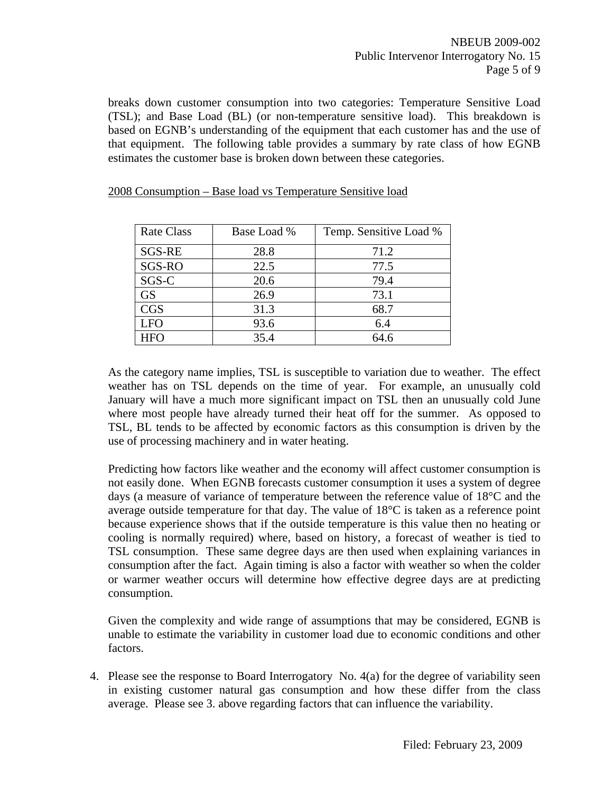breaks down customer consumption into two categories: Temperature Sensitive Load (TSL); and Base Load (BL) (or non-temperature sensitive load). This breakdown is based on EGNB's understanding of the equipment that each customer has and the use of that equipment. The following table provides a summary by rate class of how EGNB estimates the customer base is broken down between these categories.

| <b>Rate Class</b> | Base Load % | Temp. Sensitive Load % |
|-------------------|-------------|------------------------|
| <b>SGS-RE</b>     | 28.8        | 71.2                   |
| SGS-RO            | 22.5        | 77.5                   |
| SGS-C             | 20.6        | 79.4                   |
| <b>GS</b>         | 26.9        | 73.1                   |
| <b>CGS</b>        | 31.3        | 68.7                   |
| <b>LFO</b>        | 93.6        | 6.4                    |
| HFO               | 35.4        | 64.6                   |

#### 2008 Consumption – Base load vs Temperature Sensitive load

As the category name implies, TSL is susceptible to variation due to weather. The effect weather has on TSL depends on the time of year. For example, an unusually cold January will have a much more significant impact on TSL then an unusually cold June where most people have already turned their heat off for the summer. As opposed to TSL, BL tends to be affected by economic factors as this consumption is driven by the use of processing machinery and in water heating.

Predicting how factors like weather and the economy will affect customer consumption is not easily done. When EGNB forecasts customer consumption it uses a system of degree days (a measure of variance of temperature between the reference value of 18°C and the average outside temperature for that day. The value of  $18^{\circ}$ C is taken as a reference point because experience shows that if the outside temperature is this value then no heating or cooling is normally required) where, based on history, a forecast of weather is tied to TSL consumption. These same degree days are then used when explaining variances in consumption after the fact. Again timing is also a factor with weather so when the colder or warmer weather occurs will determine how effective degree days are at predicting consumption.

Given the complexity and wide range of assumptions that may be considered, EGNB is unable to estimate the variability in customer load due to economic conditions and other factors.

4. Please see the response to Board Interrogatory No. 4(a) for the degree of variability seen in existing customer natural gas consumption and how these differ from the class average. Please see 3. above regarding factors that can influence the variability.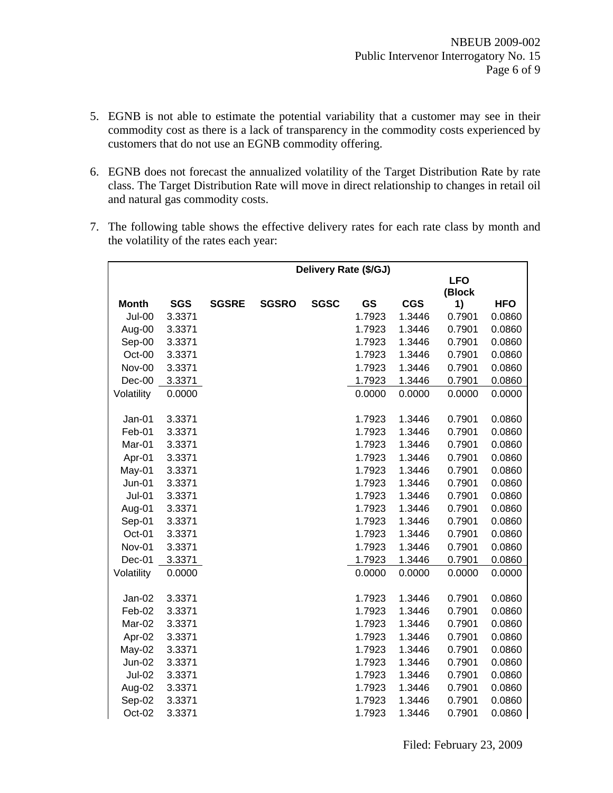- 5. EGNB is not able to estimate the potential variability that a customer may see in their commodity cost as there is a lack of transparency in the commodity costs experienced by customers that do not use an EGNB commodity offering.
- 6. EGNB does not forecast the annualized volatility of the Target Distribution Rate by rate class. The Target Distribution Rate will move in direct relationship to changes in retail oil and natural gas commodity costs.
- 7. The following table shows the effective delivery rates for each rate class by month and the volatility of the rates each year:

|               |            |              |              |             | Delivery Rate (\$/GJ) |            |            |            |
|---------------|------------|--------------|--------------|-------------|-----------------------|------------|------------|------------|
|               |            |              |              |             |                       |            | <b>LFO</b> |            |
|               |            |              |              |             |                       |            | (Block     |            |
| <b>Month</b>  | <b>SGS</b> | <b>SGSRE</b> | <b>SGSRO</b> | <b>SGSC</b> | GS                    | <b>CGS</b> | 1)         | <b>HFO</b> |
| Jul-00        | 3.3371     |              |              |             | 1.7923                | 1.3446     | 0.7901     | 0.0860     |
| Aug-00        | 3.3371     |              |              |             | 1.7923                | 1.3446     | 0.7901     | 0.0860     |
| Sep-00        | 3.3371     |              |              |             | 1.7923                | 1.3446     | 0.7901     | 0.0860     |
| Oct-00        | 3.3371     |              |              |             | 1.7923                | 1.3446     | 0.7901     | 0.0860     |
| Nov-00        | 3.3371     |              |              |             | 1.7923                | 1.3446     | 0.7901     | 0.0860     |
| Dec-00        | 3.3371     |              |              |             | 1.7923                | 1.3446     | 0.7901     | 0.0860     |
| Volatility    | 0.0000     |              |              |             | 0.0000                | 0.0000     | 0.0000     | 0.0000     |
|               |            |              |              |             |                       |            |            |            |
| Jan-01        | 3.3371     |              |              |             | 1.7923                | 1.3446     | 0.7901     | 0.0860     |
| Feb-01        | 3.3371     |              |              |             | 1.7923                | 1.3446     | 0.7901     | 0.0860     |
| Mar-01        | 3.3371     |              |              |             | 1.7923                | 1.3446     | 0.7901     | 0.0860     |
| Apr-01        | 3.3371     |              |              |             | 1.7923                | 1.3446     | 0.7901     | 0.0860     |
| May-01        | 3.3371     |              |              |             | 1.7923                | 1.3446     | 0.7901     | 0.0860     |
| Jun-01        | 3.3371     |              |              |             | 1.7923                | 1.3446     | 0.7901     | 0.0860     |
| $Jul-01$      | 3.3371     |              |              |             | 1.7923                | 1.3446     | 0.7901     | 0.0860     |
| Aug-01        | 3.3371     |              |              |             | 1.7923                | 1.3446     | 0.7901     | 0.0860     |
| Sep-01        | 3.3371     |              |              |             | 1.7923                | 1.3446     | 0.7901     | 0.0860     |
| Oct-01        | 3.3371     |              |              |             | 1.7923                | 1.3446     | 0.7901     | 0.0860     |
| Nov-01        | 3.3371     |              |              |             | 1.7923                | 1.3446     | 0.7901     | 0.0860     |
| Dec-01        | 3.3371     |              |              |             | 1.7923                | 1.3446     | 0.7901     | 0.0860     |
| Volatility    | 0.0000     |              |              |             | 0.0000                | 0.0000     | 0.0000     | 0.0000     |
|               |            |              |              |             |                       |            |            |            |
| Jan-02        | 3.3371     |              |              |             | 1.7923                | 1.3446     | 0.7901     | 0.0860     |
| Feb-02        | 3.3371     |              |              |             | 1.7923                | 1.3446     | 0.7901     | 0.0860     |
| Mar-02        | 3.3371     |              |              |             | 1.7923                | 1.3446     | 0.7901     | 0.0860     |
| Apr-02        | 3.3371     |              |              |             | 1.7923                | 1.3446     | 0.7901     | 0.0860     |
| May-02        | 3.3371     |              |              |             | 1.7923                | 1.3446     | 0.7901     | 0.0860     |
| Jun-02        | 3.3371     |              |              |             | 1.7923                | 1.3446     | 0.7901     | 0.0860     |
| <b>Jul-02</b> | 3.3371     |              |              |             | 1.7923                | 1.3446     | 0.7901     | 0.0860     |
| Aug-02        | 3.3371     |              |              |             | 1.7923                | 1.3446     | 0.7901     | 0.0860     |
| Sep-02        | 3.3371     |              |              |             | 1.7923                | 1.3446     | 0.7901     | 0.0860     |
| Oct-02        | 3.3371     |              |              |             | 1.7923                | 1.3446     | 0.7901     | 0.0860     |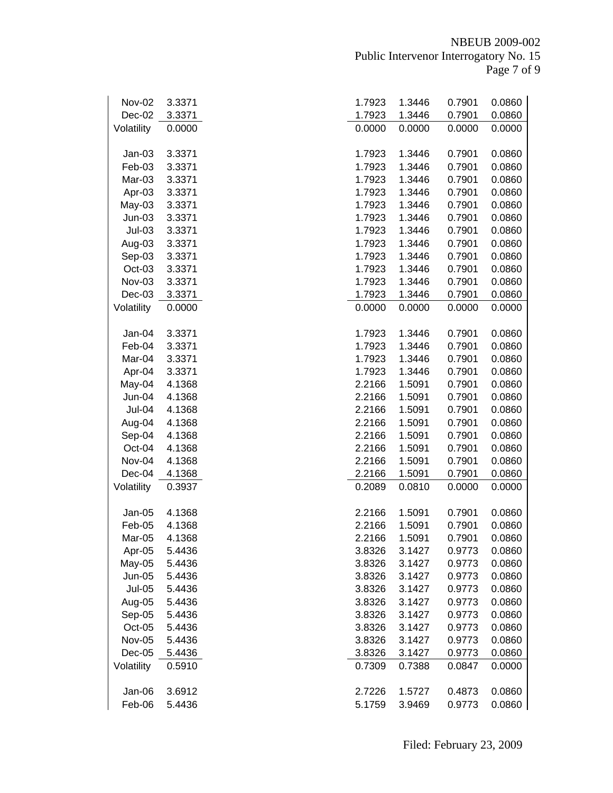| Nov-02        | 3.3371 | 1.7923 | 1.3446 | 0.7901 | 0.0860 |
|---------------|--------|--------|--------|--------|--------|
| Dec-02        | 3.3371 | 1.7923 | 1.3446 | 0.7901 | 0.0860 |
| Volatility    | 0.0000 | 0.0000 | 0.0000 | 0.0000 | 0.0000 |
|               |        |        |        |        |        |
| $Jan-03$      | 3.3371 | 1.7923 | 1.3446 | 0.7901 | 0.0860 |
| Feb-03        | 3.3371 | 1.7923 | 1.3446 | 0.7901 | 0.0860 |
| Mar-03        | 3.3371 | 1.7923 | 1.3446 | 0.7901 | 0.0860 |
| Apr-03        | 3.3371 | 1.7923 | 1.3446 | 0.7901 | 0.0860 |
| $May-03$      | 3.3371 | 1.7923 | 1.3446 | 0.7901 | 0.0860 |
| $Jun-03$      | 3.3371 | 1.7923 | 1.3446 | 0.7901 | 0.0860 |
| $Jul-03$      | 3.3371 | 1.7923 | 1.3446 | 0.7901 | 0.0860 |
| Aug-03        | 3.3371 | 1.7923 | 1.3446 | 0.7901 | 0.0860 |
| Sep-03        | 3.3371 | 1.7923 | 1.3446 | 0.7901 | 0.0860 |
| Oct-03        | 3.3371 | 1.7923 | 1.3446 | 0.7901 | 0.0860 |
| Nov-03        | 3.3371 | 1.7923 | 1.3446 | 0.7901 | 0.0860 |
| $Dec-03$      |        |        |        |        | 0.0860 |
|               | 3.3371 | 1.7923 | 1.3446 | 0.7901 |        |
| Volatility    | 0.0000 | 0.0000 | 0.0000 | 0.0000 | 0.0000 |
| Jan-04        | 3.3371 | 1.7923 | 1.3446 | 0.7901 | 0.0860 |
| Feb-04        | 3.3371 | 1.7923 | 1.3446 | 0.7901 | 0.0860 |
| Mar-04        | 3.3371 | 1.7923 | 1.3446 | 0.7901 | 0.0860 |
| Apr-04        | 3.3371 | 1.7923 | 1.3446 | 0.7901 | 0.0860 |
| May-04        | 4.1368 | 2.2166 | 1.5091 | 0.7901 | 0.0860 |
| Jun-04        | 4.1368 | 2.2166 | 1.5091 | 0.7901 | 0.0860 |
| Jul-04        | 4.1368 | 2.2166 | 1.5091 | 0.7901 | 0.0860 |
| Aug-04        | 4.1368 | 2.2166 | 1.5091 | 0.7901 | 0.0860 |
| Sep-04        | 4.1368 | 2.2166 | 1.5091 | 0.7901 | 0.0860 |
| Oct-04        | 4.1368 | 2.2166 | 1.5091 | 0.7901 | 0.0860 |
| Nov-04        | 4.1368 | 2.2166 | 1.5091 | 0.7901 | 0.0860 |
| Dec-04        | 4.1368 | 2.2166 | 1.5091 | 0.7901 | 0.0860 |
| Volatility    | 0.3937 | 0.2089 | 0.0810 | 0.0000 | 0.0000 |
|               |        |        |        |        |        |
| Jan-05        | 4.1368 | 2.2166 | 1.5091 | 0.7901 | 0.0860 |
| Feb-05        | 4.1368 | 2.2166 | 1.5091 | 0.7901 | 0.0860 |
| Mar-05        | 4.1368 | 2.2166 | 1.5091 | 0.7901 | 0.0860 |
| Apr-05        | 5.4436 | 3.8326 | 3.1427 | 0.9773 | 0.0860 |
| May-05        | 5.4436 | 3.8326 | 3.1427 | 0.9773 | 0.0860 |
| <b>Jun-05</b> | 5.4436 | 3.8326 | 3.1427 | 0.9773 | 0.0860 |
| <b>Jul-05</b> | 5.4436 | 3.8326 | 3.1427 | 0.9773 | 0.0860 |
| Aug-05        | 5.4436 | 3.8326 | 3.1427 | 0.9773 | 0.0860 |
| Sep-05        | 5.4436 | 3.8326 | 3.1427 | 0.9773 | 0.0860 |
| Oct-05        | 5.4436 | 3.8326 | 3.1427 | 0.9773 | 0.0860 |
| Nov-05        | 5.4436 | 3.8326 | 3.1427 | 0.9773 | 0.0860 |
| $Dec-05$      | 5.4436 | 3.8326 | 3.1427 | 0.9773 | 0.0860 |
| Volatility    | 0.5910 | 0.7309 | 0.7388 | 0.0847 | 0.0000 |
|               |        |        |        |        |        |
| Jan-06        | 3.6912 | 2.7226 | 1.5727 | 0.4873 | 0.0860 |
| Feb-06        | 5.4436 | 5.1759 | 3.9469 | 0.9773 | 0.0860 |
|               |        |        |        |        |        |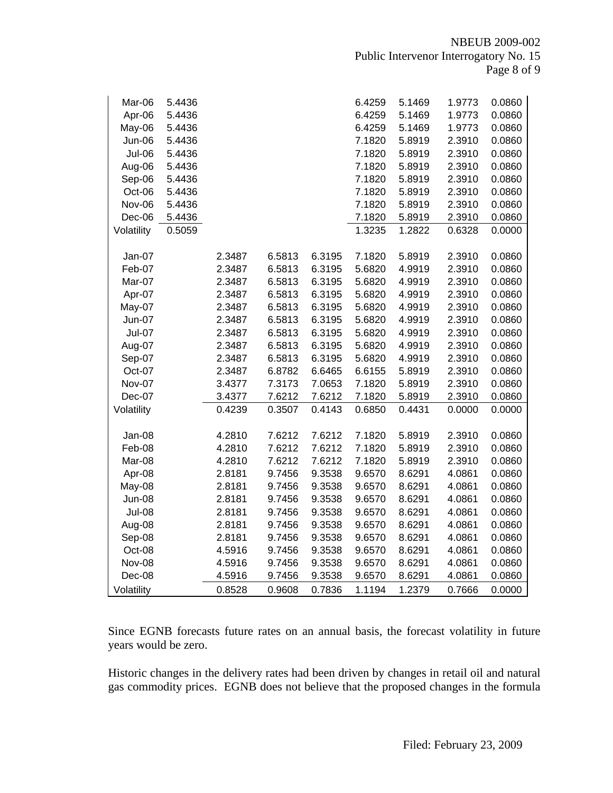| Mar-06        | 5.4436 |        |        |        | 6.4259 | 5.1469 | 1.9773 | 0.0860 |
|---------------|--------|--------|--------|--------|--------|--------|--------|--------|
| Apr-06        | 5.4436 |        |        |        | 6.4259 | 5.1469 | 1.9773 | 0.0860 |
| May-06        | 5.4436 |        |        |        | 6.4259 | 5.1469 | 1.9773 | 0.0860 |
| Jun-06        | 5.4436 |        |        |        | 7.1820 | 5.8919 | 2.3910 | 0.0860 |
| Jul-06        | 5.4436 |        |        |        | 7.1820 | 5.8919 | 2.3910 | 0.0860 |
| Aug-06        | 5.4436 |        |        |        | 7.1820 | 5.8919 | 2.3910 | 0.0860 |
| Sep-06        | 5.4436 |        |        |        | 7.1820 | 5.8919 | 2.3910 | 0.0860 |
| Oct-06        | 5.4436 |        |        |        | 7.1820 | 5.8919 | 2.3910 | 0.0860 |
| Nov-06        | 5.4436 |        |        |        | 7.1820 | 5.8919 | 2.3910 | 0.0860 |
| Dec-06        | 5.4436 |        |        |        | 7.1820 | 5.8919 | 2.3910 | 0.0860 |
| Volatility    | 0.5059 |        |        |        | 1.3235 | 1.2822 | 0.6328 | 0.0000 |
|               |        |        |        |        |        |        |        |        |
| Jan-07        |        | 2.3487 | 6.5813 | 6.3195 | 7.1820 | 5.8919 | 2.3910 | 0.0860 |
| Feb-07        |        | 2.3487 | 6.5813 | 6.3195 | 5.6820 | 4.9919 | 2.3910 | 0.0860 |
| Mar-07        |        | 2.3487 | 6.5813 | 6.3195 | 5.6820 | 4.9919 | 2.3910 | 0.0860 |
| Apr-07        |        | 2.3487 | 6.5813 | 6.3195 | 5.6820 | 4.9919 | 2.3910 | 0.0860 |
| May-07        |        | 2.3487 | 6.5813 | 6.3195 | 5.6820 | 4.9919 | 2.3910 | 0.0860 |
| <b>Jun-07</b> |        | 2.3487 | 6.5813 | 6.3195 | 5.6820 | 4.9919 | 2.3910 | 0.0860 |
| <b>Jul-07</b> |        | 2.3487 | 6.5813 | 6.3195 | 5.6820 | 4.9919 | 2.3910 | 0.0860 |
| Aug-07        |        | 2.3487 | 6.5813 | 6.3195 | 5.6820 | 4.9919 | 2.3910 | 0.0860 |
| Sep-07        |        | 2.3487 | 6.5813 | 6.3195 | 5.6820 | 4.9919 | 2.3910 | 0.0860 |
| Oct-07        |        | 2.3487 | 6.8782 | 6.6465 | 6.6155 | 5.8919 | 2.3910 | 0.0860 |
| Nov-07        |        | 3.4377 | 7.3173 | 7.0653 | 7.1820 | 5.8919 | 2.3910 | 0.0860 |
| Dec-07        |        | 3.4377 | 7.6212 | 7.6212 | 7.1820 | 5.8919 | 2.3910 | 0.0860 |
| Volatility    |        | 0.4239 | 0.3507 | 0.4143 | 0.6850 | 0.4431 | 0.0000 | 0.0000 |
|               |        |        |        |        |        |        |        |        |
| Jan-08        |        | 4.2810 | 7.6212 | 7.6212 | 7.1820 | 5.8919 | 2.3910 | 0.0860 |
| Feb-08        |        | 4.2810 | 7.6212 | 7.6212 | 7.1820 | 5.8919 | 2.3910 | 0.0860 |
| Mar-08        |        | 4.2810 | 7.6212 | 7.6212 | 7.1820 | 5.8919 | 2.3910 | 0.0860 |
| Apr-08        |        | 2.8181 | 9.7456 | 9.3538 | 9.6570 | 8.6291 | 4.0861 | 0.0860 |
| May-08        |        | 2.8181 | 9.7456 | 9.3538 | 9.6570 | 8.6291 | 4.0861 | 0.0860 |
| Jun-08        |        | 2.8181 | 9.7456 | 9.3538 | 9.6570 | 8.6291 | 4.0861 | 0.0860 |
| <b>Jul-08</b> |        | 2.8181 | 9.7456 | 9.3538 | 9.6570 | 8.6291 | 4.0861 | 0.0860 |
| Aug-08        |        | 2.8181 | 9.7456 | 9.3538 | 9.6570 | 8.6291 | 4.0861 | 0.0860 |
| Sep-08        |        | 2.8181 | 9.7456 | 9.3538 | 9.6570 | 8.6291 | 4.0861 | 0.0860 |
| Oct-08        |        | 4.5916 | 9.7456 | 9.3538 | 9.6570 | 8.6291 | 4.0861 | 0.0860 |
| Nov-08        |        | 4.5916 | 9.7456 | 9.3538 | 9.6570 | 8.6291 | 4.0861 | 0.0860 |
| Dec-08        |        | 4.5916 | 9.7456 | 9.3538 | 9.6570 | 8.6291 | 4.0861 | 0.0860 |
| Volatility    |        | 0.8528 | 0.9608 | 0.7836 | 1.1194 | 1.2379 | 0.7666 | 0.0000 |

Since EGNB forecasts future rates on an annual basis, the forecast volatility in future years would be zero.

Historic changes in the delivery rates had been driven by changes in retail oil and natural gas commodity prices. EGNB does not believe that the proposed changes in the formula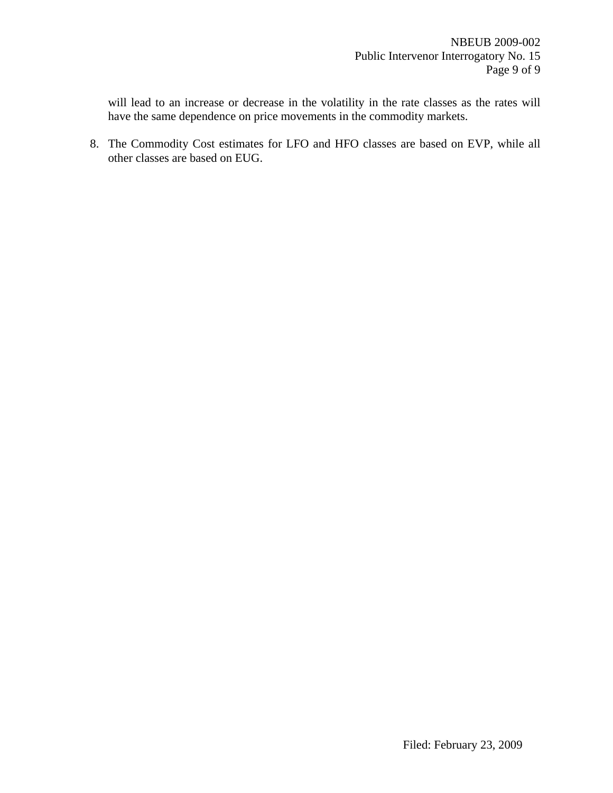will lead to an increase or decrease in the volatility in the rate classes as the rates will have the same dependence on price movements in the commodity markets.

8. The Commodity Cost estimates for LFO and HFO classes are based on EVP, while all other classes are based on EUG.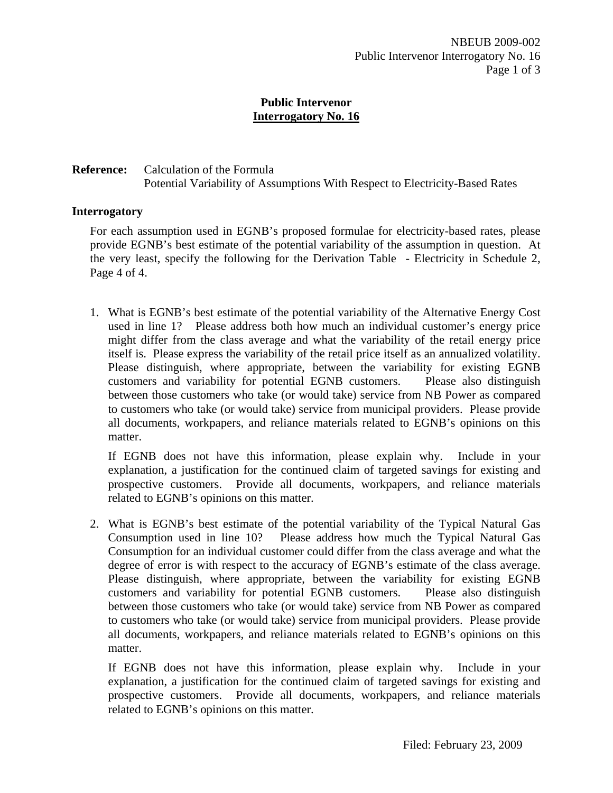# **Reference:** Calculation of the Formula Potential Variability of Assumptions With Respect to Electricity-Based Rates

### **Interrogatory**

For each assumption used in EGNB's proposed formulae for electricity-based rates, please provide EGNB's best estimate of the potential variability of the assumption in question. At the very least, specify the following for the Derivation Table - Electricity in Schedule 2, Page 4 of 4.

1. What is EGNB's best estimate of the potential variability of the Alternative Energy Cost used in line 1? Please address both how much an individual customer's energy price might differ from the class average and what the variability of the retail energy price itself is. Please express the variability of the retail price itself as an annualized volatility. Please distinguish, where appropriate, between the variability for existing EGNB customers and variability for potential EGNB customers. Please also distinguish between those customers who take (or would take) service from NB Power as compared to customers who take (or would take) service from municipal providers. Please provide all documents, workpapers, and reliance materials related to EGNB's opinions on this matter.

If EGNB does not have this information, please explain why. Include in your explanation, a justification for the continued claim of targeted savings for existing and prospective customers. Provide all documents, workpapers, and reliance materials related to EGNB's opinions on this matter.

2. What is EGNB's best estimate of the potential variability of the Typical Natural Gas Consumption used in line 10? Please address how much the Typical Natural Gas Consumption for an individual customer could differ from the class average and what the degree of error is with respect to the accuracy of EGNB's estimate of the class average. Please distinguish, where appropriate, between the variability for existing EGNB customers and variability for potential EGNB customers. Please also distinguish between those customers who take (or would take) service from NB Power as compared to customers who take (or would take) service from municipal providers. Please provide all documents, workpapers, and reliance materials related to EGNB's opinions on this matter.

If EGNB does not have this information, please explain why. Include in your explanation, a justification for the continued claim of targeted savings for existing and prospective customers. Provide all documents, workpapers, and reliance materials related to EGNB's opinions on this matter.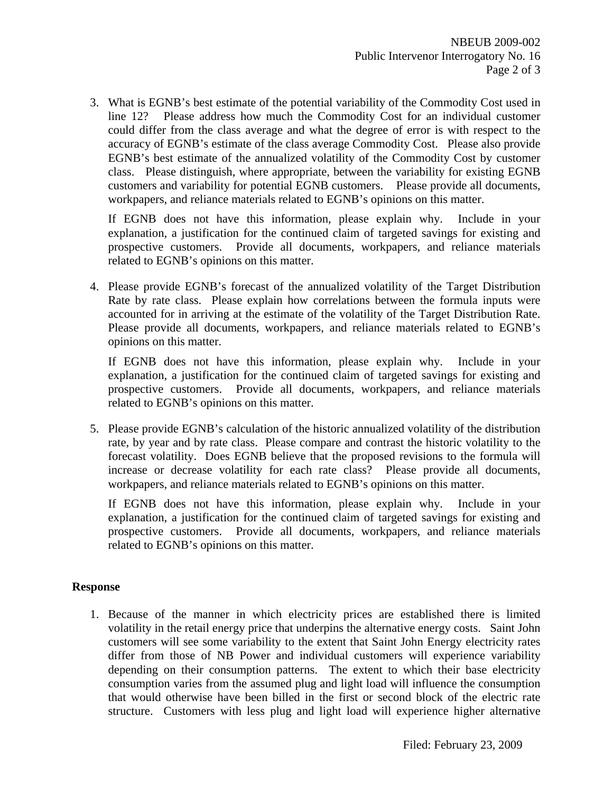3. What is EGNB's best estimate of the potential variability of the Commodity Cost used in line 12? Please address how much the Commodity Cost for an individual customer could differ from the class average and what the degree of error is with respect to the accuracy of EGNB's estimate of the class average Commodity Cost. Please also provide EGNB's best estimate of the annualized volatility of the Commodity Cost by customer class. Please distinguish, where appropriate, between the variability for existing EGNB customers and variability for potential EGNB customers. Please provide all documents, workpapers, and reliance materials related to EGNB's opinions on this matter.

If EGNB does not have this information, please explain why. Include in your explanation, a justification for the continued claim of targeted savings for existing and prospective customers. Provide all documents, workpapers, and reliance materials related to EGNB's opinions on this matter.

4. Please provide EGNB's forecast of the annualized volatility of the Target Distribution Rate by rate class. Please explain how correlations between the formula inputs were accounted for in arriving at the estimate of the volatility of the Target Distribution Rate. Please provide all documents, workpapers, and reliance materials related to EGNB's opinions on this matter.

If EGNB does not have this information, please explain why. Include in your explanation, a justification for the continued claim of targeted savings for existing and prospective customers. Provide all documents, workpapers, and reliance materials related to EGNB's opinions on this matter.

5. Please provide EGNB's calculation of the historic annualized volatility of the distribution rate, by year and by rate class. Please compare and contrast the historic volatility to the forecast volatility. Does EGNB believe that the proposed revisions to the formula will increase or decrease volatility for each rate class? Please provide all documents, workpapers, and reliance materials related to EGNB's opinions on this matter.

If EGNB does not have this information, please explain why. Include in your explanation, a justification for the continued claim of targeted savings for existing and prospective customers. Provide all documents, workpapers, and reliance materials related to EGNB's opinions on this matter.

# **Response**

1. Because of the manner in which electricity prices are established there is limited volatility in the retail energy price that underpins the alternative energy costs. Saint John customers will see some variability to the extent that Saint John Energy electricity rates differ from those of NB Power and individual customers will experience variability depending on their consumption patterns. The extent to which their base electricity consumption varies from the assumed plug and light load will influence the consumption that would otherwise have been billed in the first or second block of the electric rate structure. Customers with less plug and light load will experience higher alternative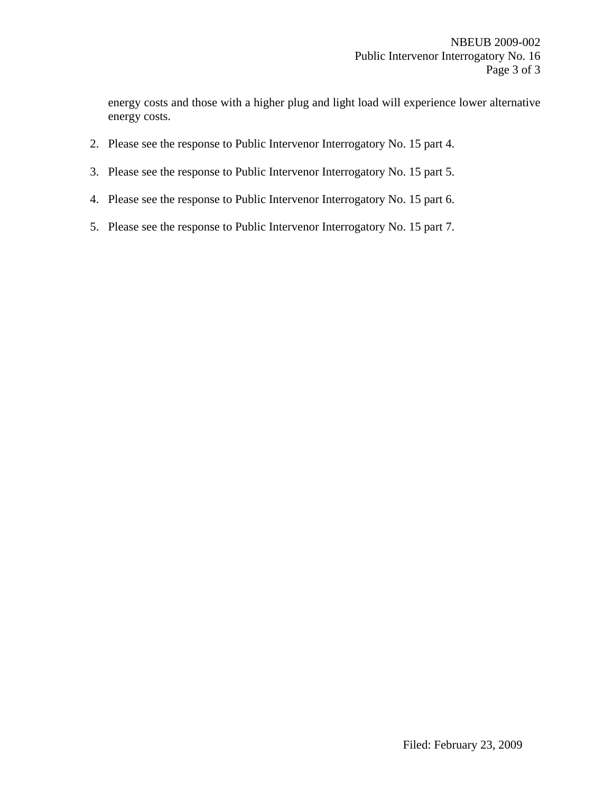energy costs and those with a higher plug and light load will experience lower alternative energy costs.

- 2. Please see the response to Public Intervenor Interrogatory No. 15 part 4.
- 3. Please see the response to Public Intervenor Interrogatory No. 15 part 5.
- 4. Please see the response to Public Intervenor Interrogatory No. 15 part 6.
- 5. Please see the response to Public Intervenor Interrogatory No. 15 part 7.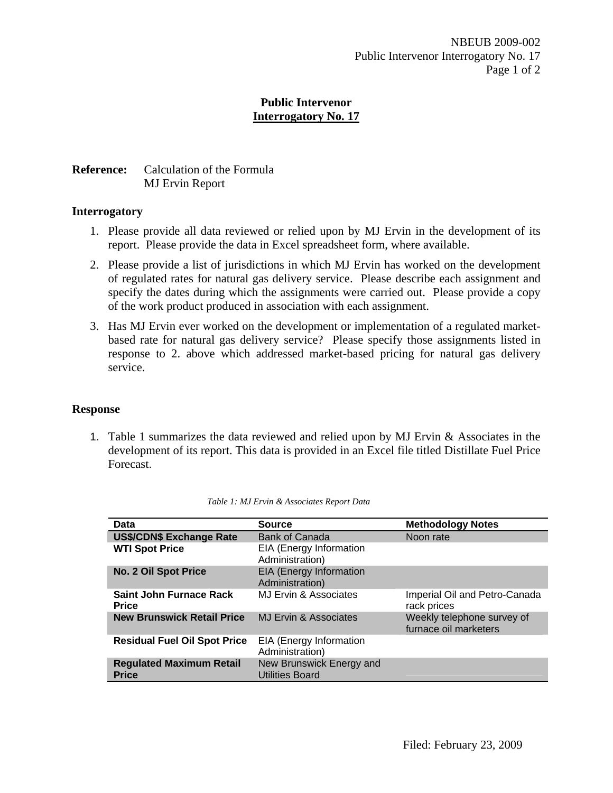## **Public Intervenor Interrogatory No. 17**

# **Reference:** Calculation of the Formula MJ Ervin Report

#### **Interrogatory**

- 1. Please provide all data reviewed or relied upon by MJ Ervin in the development of its report. Please provide the data in Excel spreadsheet form, where available.
- 2. Please provide a list of jurisdictions in which MJ Ervin has worked on the development of regulated rates for natural gas delivery service. Please describe each assignment and specify the dates during which the assignments were carried out. Please provide a copy of the work product produced in association with each assignment.
- 3. Has MJ Ervin ever worked on the development or implementation of a regulated marketbased rate for natural gas delivery service? Please specify those assignments listed in response to 2. above which addressed market-based pricing for natural gas delivery service.

# **Response**

1. Table 1 summarizes the data reviewed and relied upon by MJ Ervin & Associates in the development of its report. This data is provided in an Excel file titled Distillate Fuel Price Forecast.

| Data                                            | <b>Source</b>                                      | <b>Methodology Notes</b>                            |
|-------------------------------------------------|----------------------------------------------------|-----------------------------------------------------|
| <b>US\$/CDN\$ Exchange Rate</b>                 | <b>Bank of Canada</b>                              | Noon rate                                           |
| <b>WTI Spot Price</b>                           | EIA (Energy Information<br>Administration)         |                                                     |
| <b>No. 2 Oil Spot Price</b>                     | <b>EIA (Energy Information</b><br>Administration)  |                                                     |
| <b>Saint John Furnace Rack</b><br><b>Price</b>  | MJ Ervin & Associates                              | Imperial Oil and Petro-Canada<br>rack prices        |
| <b>New Brunswick Retail Price</b>               | MJ Ervin & Associates                              | Weekly telephone survey of<br>furnace oil marketers |
| <b>Residual Fuel Oil Spot Price</b>             | EIA (Energy Information<br>Administration)         |                                                     |
| <b>Regulated Maximum Retail</b><br><b>Price</b> | New Brunswick Energy and<br><b>Utilities Board</b> |                                                     |

|  |  |  |  | Table 1: MJ Ervin & Associates Report Data |  |  |
|--|--|--|--|--------------------------------------------|--|--|
|--|--|--|--|--------------------------------------------|--|--|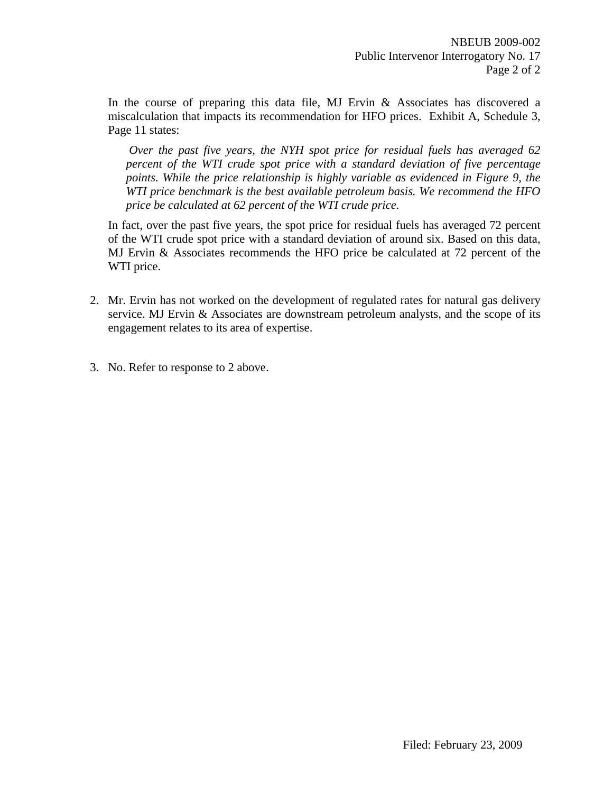In the course of preparing this data file, MJ Ervin & Associates has discovered a miscalculation that impacts its recommendation for HFO prices. Exhibit A, Schedule 3, Page 11 states:

*Over the past five years, the NYH spot price for residual fuels has averaged 62 percent of the WTI crude spot price with a standard deviation of five percentage points. While the price relationship is highly variable as evidenced in Figure 9, the WTI price benchmark is the best available petroleum basis. We recommend the HFO price be calculated at 62 percent of the WTI crude price.* 

In fact, over the past five years, the spot price for residual fuels has averaged 72 percent of the WTI crude spot price with a standard deviation of around six. Based on this data, MJ Ervin & Associates recommends the HFO price be calculated at 72 percent of the WTI price.

- 2. Mr. Ervin has not worked on the development of regulated rates for natural gas delivery service. MJ Ervin & Associates are downstream petroleum analysts, and the scope of its engagement relates to its area of expertise.
- 3. No. Refer to response to 2 above.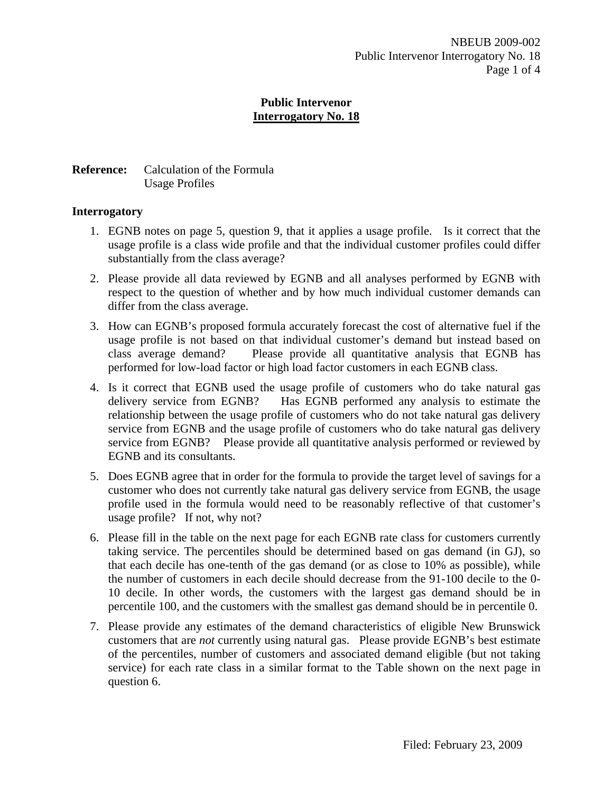## **Public Intervenor Interrogatory No. 18**

## **Reference:** Calculation of the Formula Usage Profiles

## **Interrogatory**

- 1. EGNB notes on page 5, question 9, that it applies a usage profile. Is it correct that the usage profile is a class wide profile and that the individual customer profiles could differ substantially from the class average?
- 2. Please provide all data reviewed by EGNB and all analyses performed by EGNB with respect to the question of whether and by how much individual customer demands can differ from the class average.
- 3. How can EGNB's proposed formula accurately forecast the cost of alternative fuel if the usage profile is not based on that individual customer's demand but instead based on class average demand? Please provide all quantitative analysis that EGNB has performed for low-load factor or high load factor customers in each EGNB class.
- 4. Is it correct that EGNB used the usage profile of customers who do take natural gas delivery service from EGNB? Has EGNB performed any analysis to estimate the relationship between the usage profile of customers who do not take natural gas delivery service from EGNB and the usage profile of customers who do take natural gas delivery service from EGNB? Please provide all quantitative analysis performed or reviewed by EGNB and its consultants.
- 5. Does EGNB agree that in order for the formula to provide the target level of savings for a customer who does not currently take natural gas delivery service from EGNB, the usage profile used in the formula would need to be reasonably reflective of that customer's usage profile? If not, why not?
- 6. Please fill in the table on the next page for each EGNB rate class for customers currently taking service. The percentiles should be determined based on gas demand (in GJ), so that each decile has one-tenth of the gas demand (or as close to 10% as possible), while the number of customers in each decile should decrease from the 91-100 decile to the 0- 10 decile. In other words, the customers with the largest gas demand should be in percentile 100, and the customers with the smallest gas demand should be in percentile 0.
- 7. Please provide any estimates of the demand characteristics of eligible New Brunswick customers that are *not* currently using natural gas. Please provide EGNB's best estimate of the percentiles, number of customers and associated demand eligible (but not taking service) for each rate class in a similar format to the Table shown on the next page in question 6.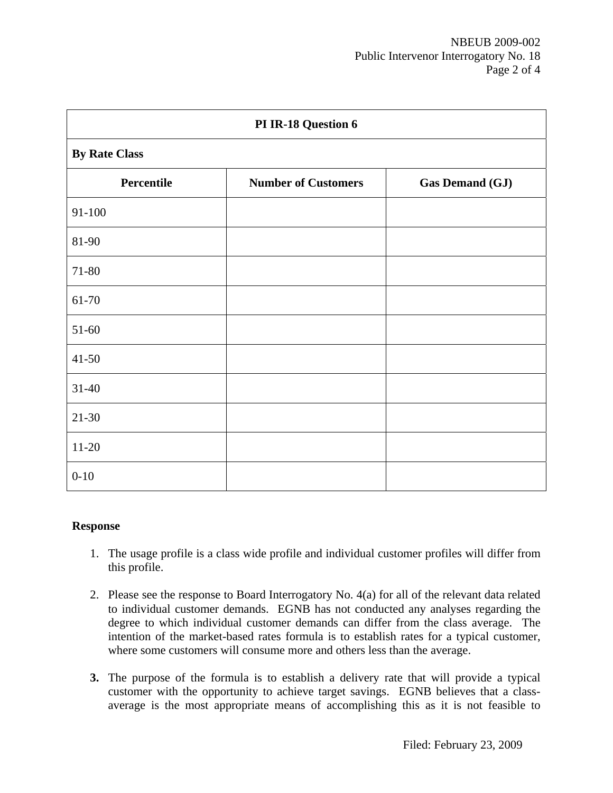| PI IR-18 Question 6  |                            |                        |  |  |  |  |  |
|----------------------|----------------------------|------------------------|--|--|--|--|--|
| <b>By Rate Class</b> |                            |                        |  |  |  |  |  |
| Percentile           | <b>Number of Customers</b> | <b>Gas Demand (GJ)</b> |  |  |  |  |  |
| 91-100               |                            |                        |  |  |  |  |  |
| 81-90                |                            |                        |  |  |  |  |  |
| 71-80                |                            |                        |  |  |  |  |  |
| 61-70                |                            |                        |  |  |  |  |  |
| $51 - 60$            |                            |                        |  |  |  |  |  |
| $41 - 50$            |                            |                        |  |  |  |  |  |
| $31 - 40$            |                            |                        |  |  |  |  |  |
| $21 - 30$            |                            |                        |  |  |  |  |  |
| $11-20$              |                            |                        |  |  |  |  |  |
| $0 - 10$             |                            |                        |  |  |  |  |  |

#### **Response**

- 1. The usage profile is a class wide profile and individual customer profiles will differ from this profile.
- 2. Please see the response to Board Interrogatory No. 4(a) for all of the relevant data related to individual customer demands. EGNB has not conducted any analyses regarding the degree to which individual customer demands can differ from the class average. The intention of the market-based rates formula is to establish rates for a typical customer, where some customers will consume more and others less than the average.
- **3.** The purpose of the formula is to establish a delivery rate that will provide a typical customer with the opportunity to achieve target savings. EGNB believes that a classaverage is the most appropriate means of accomplishing this as it is not feasible to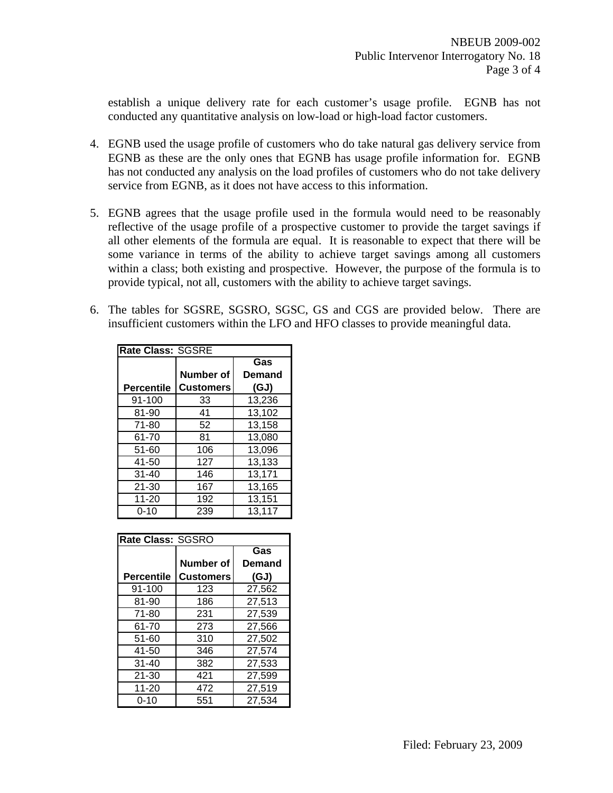establish a unique delivery rate for each customer's usage profile. EGNB has not conducted any quantitative analysis on low-load or high-load factor customers.

- 4. EGNB used the usage profile of customers who do take natural gas delivery service from EGNB as these are the only ones that EGNB has usage profile information for. EGNB has not conducted any analysis on the load profiles of customers who do not take delivery service from EGNB, as it does not have access to this information.
- 5. EGNB agrees that the usage profile used in the formula would need to be reasonably reflective of the usage profile of a prospective customer to provide the target savings if all other elements of the formula are equal. It is reasonable to expect that there will be some variance in terms of the ability to achieve target savings among all customers within a class; both existing and prospective. However, the purpose of the formula is to provide typical, not all, customers with the ability to achieve target savings.
- 6. The tables for SGSRE, SGSRO, SGSC, GS and CGS are provided below. There are insufficient customers within the LFO and HFO classes to provide meaningful data.

| <b>Rate Class: SGSRE</b> |                  |                  |  |  |  |  |
|--------------------------|------------------|------------------|--|--|--|--|
|                          |                  | $\overline{Gas}$ |  |  |  |  |
|                          | Number of        | Demand           |  |  |  |  |
| Percentile               | <b>Customers</b> | (GJ)             |  |  |  |  |
| 91-100                   | 33               | 13,236           |  |  |  |  |
| 81-90                    | 41               | 13,102           |  |  |  |  |
| $71 - 80$                | 52               | 13,158           |  |  |  |  |
| 61-70                    | 81               | 13,080           |  |  |  |  |
| 51-60                    | 106              | 13,096           |  |  |  |  |
| 41-50                    | 127              | 13,133           |  |  |  |  |
| $31 - 40$                | 146              | 13,171           |  |  |  |  |
| $21 - 30$                | 167              | 13,165           |  |  |  |  |
| $11 - 20$                | 192              | 13,151           |  |  |  |  |
| $0 - 10$                 | 239              | 13,117           |  |  |  |  |

| Rate Class: SGSRO |                  |        |  |  |  |
|-------------------|------------------|--------|--|--|--|
|                   |                  | Gas    |  |  |  |
|                   | <b>Number of</b> | Demand |  |  |  |
| <b>Percentile</b> | <b>Customers</b> | (GJ)   |  |  |  |
| 91-100            | 123              | 27,562 |  |  |  |
| 81-90             | 186              | 27,513 |  |  |  |
| $71 - 80$         | 231              | 27.539 |  |  |  |
| 61-70             | 273              | 27.566 |  |  |  |
| 51-60             | 310              | 27,502 |  |  |  |
| 41-50             | 346              | 27,574 |  |  |  |
| $31 - 40$         | 382              | 27.533 |  |  |  |
| $21 - 30$         | 421              | 27.599 |  |  |  |
| $11 - 20$         | 472              | 27,519 |  |  |  |
| $0 - 10$          | 551              | 27.534 |  |  |  |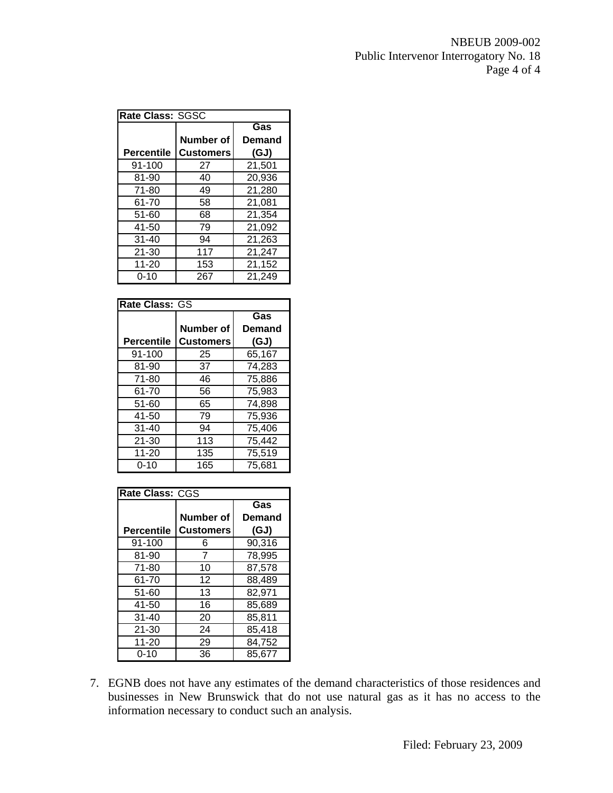| <b>Rate Class: SGSC</b> |                  |               |  |  |  |
|-------------------------|------------------|---------------|--|--|--|
|                         |                  | Gas           |  |  |  |
|                         | Number of        | <b>Demand</b> |  |  |  |
| <b>Percentile</b>       | <b>Customers</b> | (GJ)          |  |  |  |
| 91-100                  | 27               | 21,501        |  |  |  |
| 81-90                   | 40               | 20,936        |  |  |  |
| $71 - 80$               | 49               | 21,280        |  |  |  |
| 61-70                   | 58               | 21,081        |  |  |  |
| 51-60                   | 68               | 21,354        |  |  |  |
| 41-50                   | 79               | 21,092        |  |  |  |
| $31 - 40$               | 94               | 21,263        |  |  |  |
| $21 - 30$               | 117              | 21,247        |  |  |  |
| 11-20                   | 153              | 21,152        |  |  |  |
| 0-10                    | 267              | 21,249        |  |  |  |

| Rate Class: GS |                  |        |  |  |  |
|----------------|------------------|--------|--|--|--|
|                |                  | Gas    |  |  |  |
|                | Number of        | Demand |  |  |  |
| Percentile     | <b>Customers</b> | (GJ)   |  |  |  |
| 91-100         | 25               | 65,167 |  |  |  |
| 81-90          | 37               | 74,283 |  |  |  |
| 71-80          | 46               | 75,886 |  |  |  |
| 61-70          | 56               | 75,983 |  |  |  |
| 51-60          | 65               | 74,898 |  |  |  |
| 41-50          | 79               | 75,936 |  |  |  |
| $31 - 40$      | 94               | 75,406 |  |  |  |
| $21 - 30$      | 113              | 75,442 |  |  |  |
| $11 - 20$      | 135              | 75,519 |  |  |  |
| 0-10           | 165              | 75,681 |  |  |  |

| <b>Rate Class: CGS</b> |                  |        |  |  |  |  |
|------------------------|------------------|--------|--|--|--|--|
|                        |                  | Gas    |  |  |  |  |
|                        | Number of        | Demand |  |  |  |  |
| <b>Percentile</b>      | <b>Customers</b> | (GJ)   |  |  |  |  |
| 91-100                 | 6                | 90,316 |  |  |  |  |
| 81-90                  | 7                | 78,995 |  |  |  |  |
| $71 - 80$              | 10               | 87,578 |  |  |  |  |
| 61-70                  | 12               | 88,489 |  |  |  |  |
| 51-60                  | 13               | 82,971 |  |  |  |  |
| 41-50                  | 16               | 85,689 |  |  |  |  |
| $31 - 40$              | 20               | 85,811 |  |  |  |  |
| $21 - 30$              | 24               | 85,418 |  |  |  |  |
| $11 - 20$              | 29               | 84,752 |  |  |  |  |
| $0 - 10$               | 36               | 85,677 |  |  |  |  |

7. EGNB does not have any estimates of the demand characteristics of those residences and businesses in New Brunswick that do not use natural gas as it has no access to the information necessary to conduct such an analysis.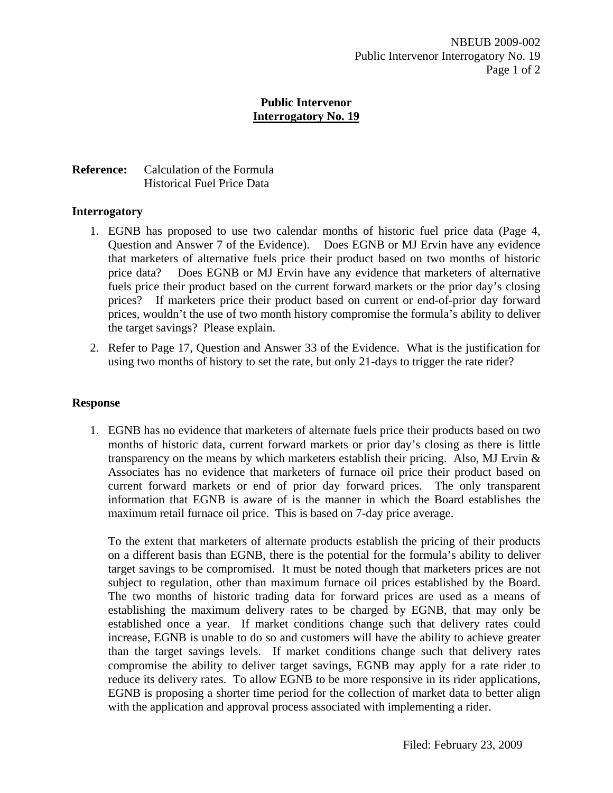## **Public Intervenor Interrogatory No. 19**

## **Reference:** Calculation of the Formula Historical Fuel Price Data

#### **Interrogatory**

- 1. EGNB has proposed to use two calendar months of historic fuel price data (Page 4, Question and Answer 7 of the Evidence). Does EGNB or MJ Ervin have any evidence that marketers of alternative fuels price their product based on two months of historic price data? Does EGNB or MJ Ervin have any evidence that marketers of alternative fuels price their product based on the current forward markets or the prior day's closing prices? If marketers price their product based on current or end-of-prior day forward prices, wouldn't the use of two month history compromise the formula's ability to deliver the target savings? Please explain.
- 2. Refer to Page 17, Question and Answer 33 of the Evidence. What is the justification for using two months of history to set the rate, but only 21-days to trigger the rate rider?

#### **Response**

1. EGNB has no evidence that marketers of alternate fuels price their products based on two months of historic data, current forward markets or prior day's closing as there is little transparency on the means by which marketers establish their pricing. Also, MJ Ervin  $\&$ Associates has no evidence that marketers of furnace oil price their product based on current forward markets or end of prior day forward prices. The only transparent information that EGNB is aware of is the manner in which the Board establishes the maximum retail furnace oil price. This is based on 7-day price average.

To the extent that marketers of alternate products establish the pricing of their products on a different basis than EGNB, there is the potential for the formula's ability to deliver target savings to be compromised. It must be noted though that marketers prices are not subject to regulation, other than maximum furnace oil prices established by the Board. The two months of historic trading data for forward prices are used as a means of establishing the maximum delivery rates to be charged by EGNB, that may only be established once a year. If market conditions change such that delivery rates could increase, EGNB is unable to do so and customers will have the ability to achieve greater than the target savings levels. If market conditions change such that delivery rates compromise the ability to deliver target savings, EGNB may apply for a rate rider to reduce its delivery rates. To allow EGNB to be more responsive in its rider applications, EGNB is proposing a shorter time period for the collection of market data to better align with the application and approval process associated with implementing a rider.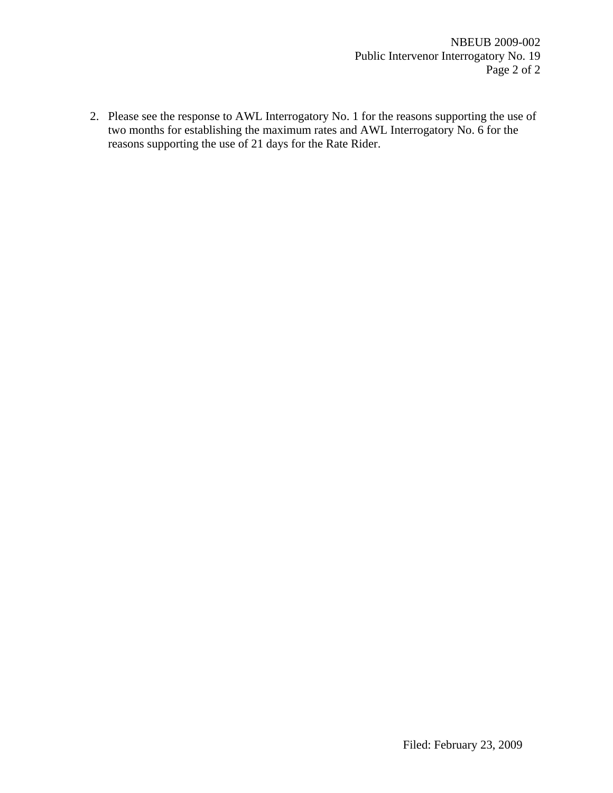2. Please see the response to AWL Interrogatory No. 1 for the reasons supporting the use of two months for establishing the maximum rates and AWL Interrogatory No. 6 for the reasons supporting the use of 21 days for the Rate Rider.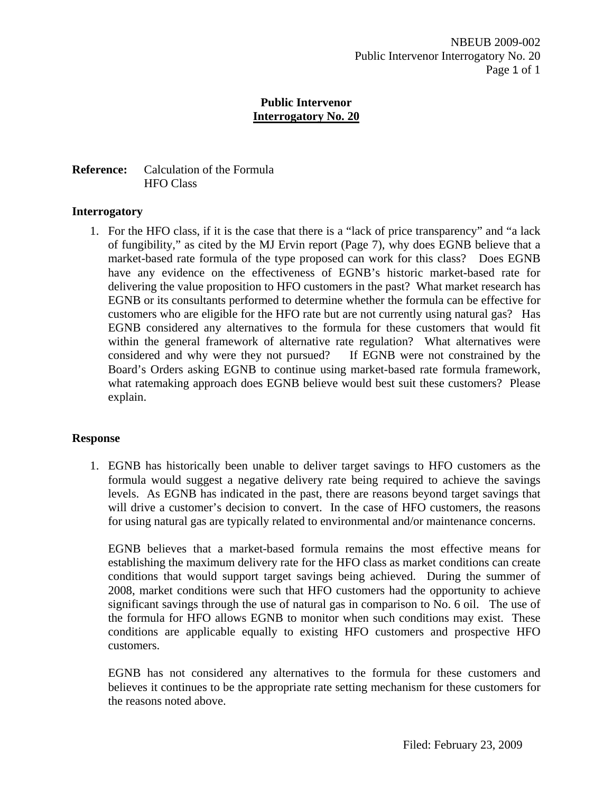## **Public Intervenor Interrogatory No. 20**

## **Reference:** Calculation of the Formula HFO Class

## **Interrogatory**

1. For the HFO class, if it is the case that there is a "lack of price transparency" and "a lack of fungibility," as cited by the MJ Ervin report (Page 7), why does EGNB believe that a market-based rate formula of the type proposed can work for this class? Does EGNB have any evidence on the effectiveness of EGNB's historic market-based rate for delivering the value proposition to HFO customers in the past? What market research has EGNB or its consultants performed to determine whether the formula can be effective for customers who are eligible for the HFO rate but are not currently using natural gas? Has EGNB considered any alternatives to the formula for these customers that would fit within the general framework of alternative rate regulation? What alternatives were considered and why were they not pursued? If EGNB were not constrained by the Board's Orders asking EGNB to continue using market-based rate formula framework, what ratemaking approach does EGNB believe would best suit these customers? Please explain.

# **Response**

1. EGNB has historically been unable to deliver target savings to HFO customers as the formula would suggest a negative delivery rate being required to achieve the savings levels. As EGNB has indicated in the past, there are reasons beyond target savings that will drive a customer's decision to convert. In the case of HFO customers, the reasons for using natural gas are typically related to environmental and/or maintenance concerns.

EGNB believes that a market-based formula remains the most effective means for establishing the maximum delivery rate for the HFO class as market conditions can create conditions that would support target savings being achieved. During the summer of 2008, market conditions were such that HFO customers had the opportunity to achieve significant savings through the use of natural gas in comparison to No. 6 oil. The use of the formula for HFO allows EGNB to monitor when such conditions may exist. These conditions are applicable equally to existing HFO customers and prospective HFO customers.

EGNB has not considered any alternatives to the formula for these customers and believes it continues to be the appropriate rate setting mechanism for these customers for the reasons noted above.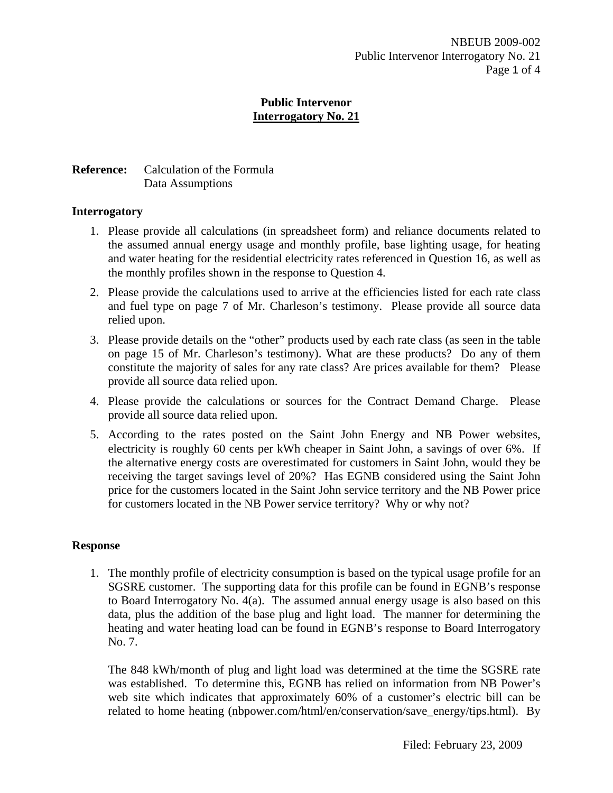## **Public Intervenor Interrogatory No. 21**

# **Reference:** Calculation of the Formula Data Assumptions

## **Interrogatory**

- 1. Please provide all calculations (in spreadsheet form) and reliance documents related to the assumed annual energy usage and monthly profile, base lighting usage, for heating and water heating for the residential electricity rates referenced in Question 16, as well as the monthly profiles shown in the response to Question 4.
- 2. Please provide the calculations used to arrive at the efficiencies listed for each rate class and fuel type on page 7 of Mr. Charleson's testimony. Please provide all source data relied upon.
- 3. Please provide details on the "other" products used by each rate class (as seen in the table on page 15 of Mr. Charleson's testimony). What are these products? Do any of them constitute the majority of sales for any rate class? Are prices available for them? Please provide all source data relied upon.
- 4. Please provide the calculations or sources for the Contract Demand Charge. Please provide all source data relied upon.
- 5. According to the rates posted on the Saint John Energy and NB Power websites, electricity is roughly 60 cents per kWh cheaper in Saint John, a savings of over 6%. If the alternative energy costs are overestimated for customers in Saint John, would they be receiving the target savings level of 20%? Has EGNB considered using the Saint John price for the customers located in the Saint John service territory and the NB Power price for customers located in the NB Power service territory? Why or why not?

# **Response**

1. The monthly profile of electricity consumption is based on the typical usage profile for an SGSRE customer. The supporting data for this profile can be found in EGNB's response to Board Interrogatory No. 4(a). The assumed annual energy usage is also based on this data, plus the addition of the base plug and light load. The manner for determining the heating and water heating load can be found in EGNB's response to Board Interrogatory No. 7.

The 848 kWh/month of plug and light load was determined at the time the SGSRE rate was established. To determine this, EGNB has relied on information from NB Power's web site which indicates that approximately 60% of a customer's electric bill can be related to home heating (nbpower.com/html/en/conservation/save energy/tips.html). By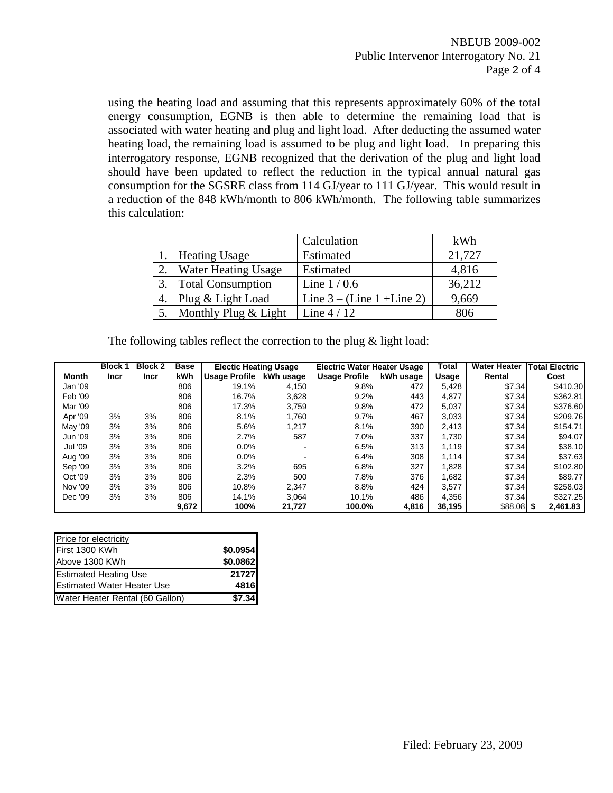using the heating load and assuming that this represents approximately 60% of the total energy consumption, EGNB is then able to determine the remaining load that is associated with water heating and plug and light load. After deducting the assumed water heating load, the remaining load is assumed to be plug and light load. In preparing this interrogatory response, EGNB recognized that the derivation of the plug and light load should have been updated to reflect the reduction in the typical annual natural gas consumption for the SGSRE class from 114 GJ/year to 111 GJ/year. This would result in a reduction of the 848 kWh/month to 806 kWh/month. The following table summarizes this calculation:

|                            | Calculation                  | kWh    |
|----------------------------|------------------------------|--------|
| <b>Heating Usage</b>       | Estimated                    | 21,727 |
| <b>Water Heating Usage</b> | Estimated                    | 4,816  |
| <b>Total Consumption</b>   | Line $1/0.6$                 | 36,212 |
| Plug & Light Load          | Line $3 - (Line 1 + Line 2)$ | 9,669  |
| 5.   Monthly Plug & Light  | Line $4/12$                  | 806    |

The following tables reflect the correction to the plug & light load:

|                | <b>Block 1</b> | <b>Block 2</b> | <b>Base</b> | <b>Electic Heating Usage</b> |           | <b>Electric Water Heater Usage</b> |           | Total  | <b>Water Heater</b> | <b>Total Electric</b> |
|----------------|----------------|----------------|-------------|------------------------------|-----------|------------------------------------|-----------|--------|---------------------|-----------------------|
| Month          | Incr           | Incr           | <b>kWh</b>  | Usage Profile                | kWh usage | <b>Usage Profile</b>               | kWh usage | Usage  | Rental              | Cost                  |
| Jan '09        |                |                | 806         | 19.1%                        | 4,150     | 9.8%                               | 472       | 5,428  | \$7.34              | \$410.30              |
| Feb '09        |                |                | 806         | 16.7%                        | 3,628     | 9.2%                               | 443       | 4,877  | \$7.34              | \$362.81              |
| Mar '09        |                |                | 806         | 17.3%                        | 3,759     | 9.8%                               | 472       | 5,037  | \$7.34              | \$376.60              |
| Apr '09        | 3%             | 3%             | 806         | 8.1%                         | 1.760     | 9.7%                               | 467       | 3,033  | \$7.34              | \$209.76              |
| May '09        | 3%             | 3%             | 806         | 5.6%                         | 1.217     | 8.1%                               | 390       | 2.413  | \$7.34              | \$154.71              |
| Jun '09        | 3%             | 3%             | 806         | 2.7%                         | 587       | 7.0%                               | 337       | 1,730  | \$7.34              | \$94.07               |
| <b>Jul '09</b> | 3%             | 3%             | 806         | 0.0%                         |           | 6.5%                               | 313       | 1.119  | \$7.34              | \$38.10               |
| Aug '09        | 3%             | 3%             | 806         | 0.0%                         |           | 6.4%                               | 308       | 1,114  | \$7.34              | \$37.63               |
| Sep '09        | 3%             | 3%             | 806         | 3.2%                         | 695       | 6.8%                               | 327       | 1,828  | \$7.34              | \$102.80              |
| Oct '09        | 3%             | 3%             | 806         | 2.3%                         | 500       | 7.8%                               | 376       | 1.682  | \$7.34              | \$89.77               |
| Nov '09        | 3%             | 3%             | 806         | 10.8%                        | 2,347     | 8.8%                               | 424       | 3,577  | \$7.34              | \$258.03              |
| Dec '09        | 3%             | 3%             | 806         | 14.1%                        | 3,064     | 10.1%                              | 486       | 4,356  | \$7.34              | \$327.25              |
|                |                |                | 9,672       | 100%                         | 21,727    | 100.0%                             | 4,816     | 36,195 | \$88.08 \$          | 2.461.83              |

| Price for electricity             |          |
|-----------------------------------|----------|
| First 1300 KWh                    | \$0.0954 |
| Above 1300 KWh                    | \$0.0862 |
| <b>Estimated Heating Use</b>      | 21727    |
| <b>Estimated Water Heater Use</b> | 4816     |
| Water Heater Rental (60 Gallon)   | \$7.34   |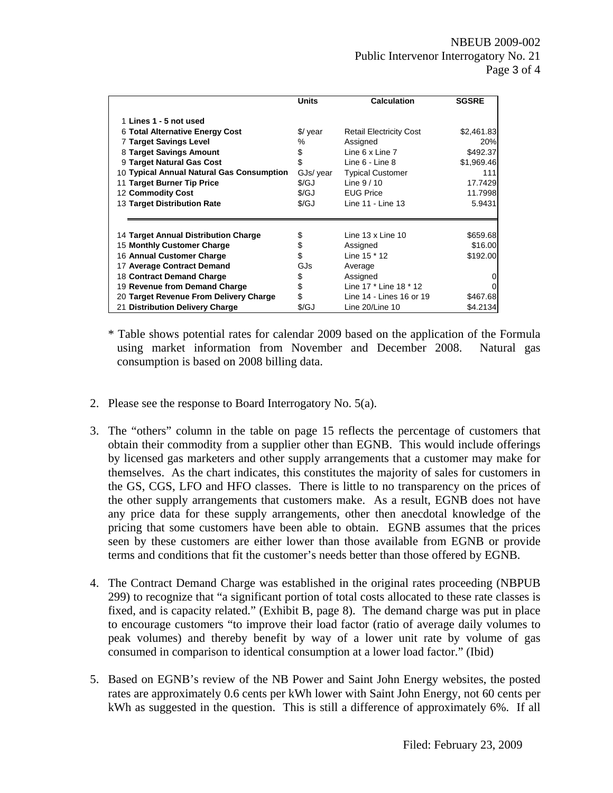|                                           | <b>Units</b>         | <b>Calculation</b>             | <b>SGSRE</b>   |
|-------------------------------------------|----------------------|--------------------------------|----------------|
| 1 Lines 1 - 5 not used                    |                      |                                |                |
| 6 Total Alternative Energy Cost           | \$/ year             | <b>Retail Electricity Cost</b> | \$2,461.83     |
| <b>7 Target Savings Level</b>             | ℅                    | Assigned                       | 20%            |
|                                           |                      |                                |                |
| 8 Target Savings Amount                   | \$                   | Line 6 x Line 7                | \$492.37       |
| 9 Target Natural Gas Cost                 | \$                   | Line 6 - Line 8                | \$1,969.46     |
| 10 Typical Annual Natural Gas Consumption | GJs/ year            | <b>Typical Customer</b>        | 111            |
| 11 Target Burner Tip Price                | $\sqrt{\mathcal{G}}$ | Line $9/10$                    | 17.7429        |
| 12 Commodity Cost                         | $\sqrt{\mathsf{GJ}}$ | <b>EUG Price</b>               | 11.7998        |
| 13 Target Distribution Rate               | \$/GJ                | Line 11 - Line 13              | 5.9431         |
|                                           |                      |                                |                |
| 14 Target Annual Distribution Charge      | \$                   | Line $13 \times$ Line $10$     | \$659.68       |
| 15 Monthly Customer Charge                | \$                   | Assigned                       | \$16.00        |
| 16 Annual Customer Charge                 | \$                   | Line 15 * 12                   | \$192.00       |
| 17 Average Contract Demand                | GJs                  | Average                        |                |
| 18 Contract Demand Charge                 | \$                   | Assigned                       | $\overline{0}$ |
| 19 Revenue from Demand Charge             | \$                   | Line 17 * Line 18 * 12         | $\overline{0}$ |
| 20 Target Revenue From Delivery Charge    | \$                   | Line 14 - Lines 16 or 19       | \$467.68       |
| 21 Distribution Delivery Charge           | \$/GJ                | Line 20/Line 10                | \$4.2134       |

- \* Table shows potential rates for calendar 2009 based on the application of the Formula using market information from November and December 2008. Natural gas consumption is based on 2008 billing data.
- 2. Please see the response to Board Interrogatory No. 5(a).
- 3. The "others" column in the table on page 15 reflects the percentage of customers that obtain their commodity from a supplier other than EGNB. This would include offerings by licensed gas marketers and other supply arrangements that a customer may make for themselves. As the chart indicates, this constitutes the majority of sales for customers in the GS, CGS, LFO and HFO classes. There is little to no transparency on the prices of the other supply arrangements that customers make. As a result, EGNB does not have any price data for these supply arrangements, other then anecdotal knowledge of the pricing that some customers have been able to obtain. EGNB assumes that the prices seen by these customers are either lower than those available from EGNB or provide terms and conditions that fit the customer's needs better than those offered by EGNB.
- 4. The Contract Demand Charge was established in the original rates proceeding (NBPUB 299) to recognize that "a significant portion of total costs allocated to these rate classes is fixed, and is capacity related." (Exhibit B, page 8). The demand charge was put in place to encourage customers "to improve their load factor (ratio of average daily volumes to peak volumes) and thereby benefit by way of a lower unit rate by volume of gas consumed in comparison to identical consumption at a lower load factor." (Ibid)
- 5. Based on EGNB's review of the NB Power and Saint John Energy websites, the posted rates are approximately 0.6 cents per kWh lower with Saint John Energy, not 60 cents per kWh as suggested in the question. This is still a difference of approximately 6%. If all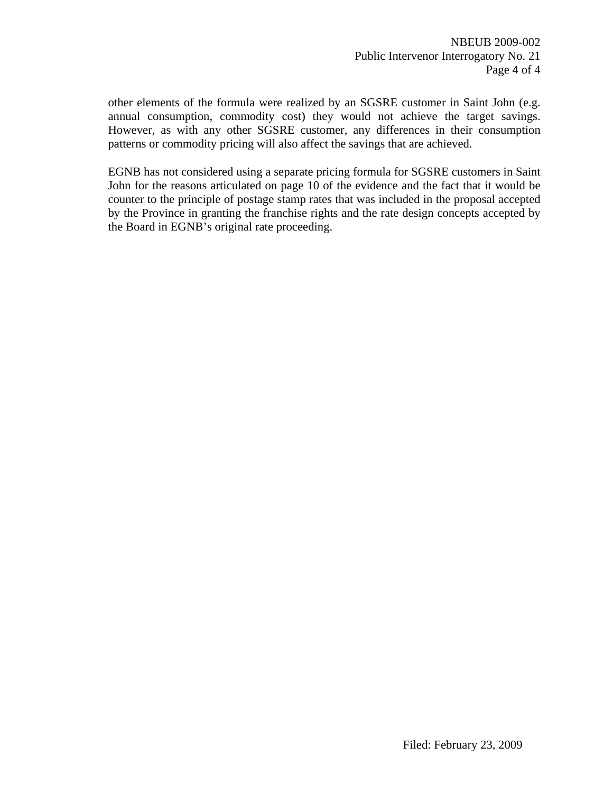other elements of the formula were realized by an SGSRE customer in Saint John (e.g. annual consumption, commodity cost) they would not achieve the target savings. However, as with any other SGSRE customer, any differences in their consumption patterns or commodity pricing will also affect the savings that are achieved.

EGNB has not considered using a separate pricing formula for SGSRE customers in Saint John for the reasons articulated on page 10 of the evidence and the fact that it would be counter to the principle of postage stamp rates that was included in the proposal accepted by the Province in granting the franchise rights and the rate design concepts accepted by the Board in EGNB's original rate proceeding.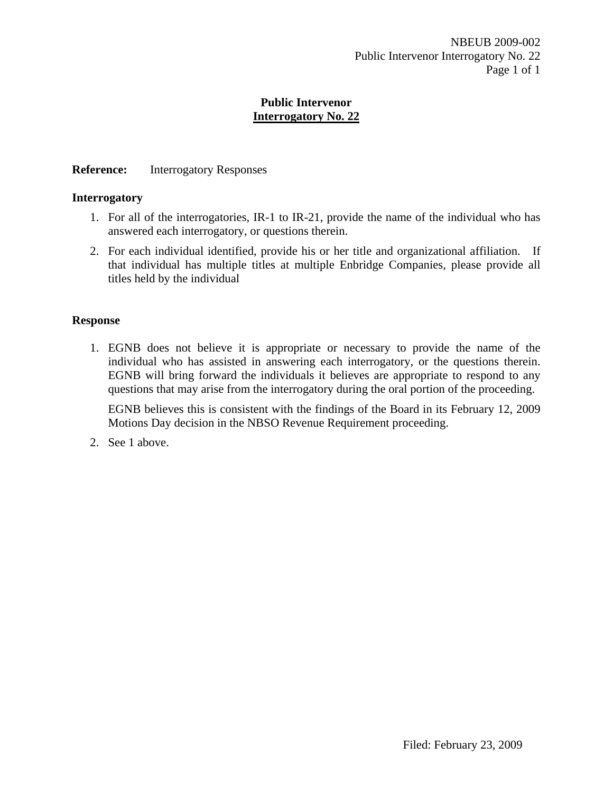## **Public Intervenor Interrogatory No. 22**

## **Reference:** Interrogatory Responses

#### **Interrogatory**

- 1. For all of the interrogatories, IR-1 to IR-21, provide the name of the individual who has answered each interrogatory, or questions therein.
- 2. For each individual identified, provide his or her title and organizational affiliation. If that individual has multiple titles at multiple Enbridge Companies, please provide all titles held by the individual

#### **Response**

1. EGNB does not believe it is appropriate or necessary to provide the name of the individual who has assisted in answering each interrogatory, or the questions therein. EGNB will bring forward the individuals it believes are appropriate to respond to any questions that may arise from the interrogatory during the oral portion of the proceeding.

EGNB believes this is consistent with the findings of the Board in its February 12, 2009 Motions Day decision in the NBSO Revenue Requirement proceeding.

2. See 1 above.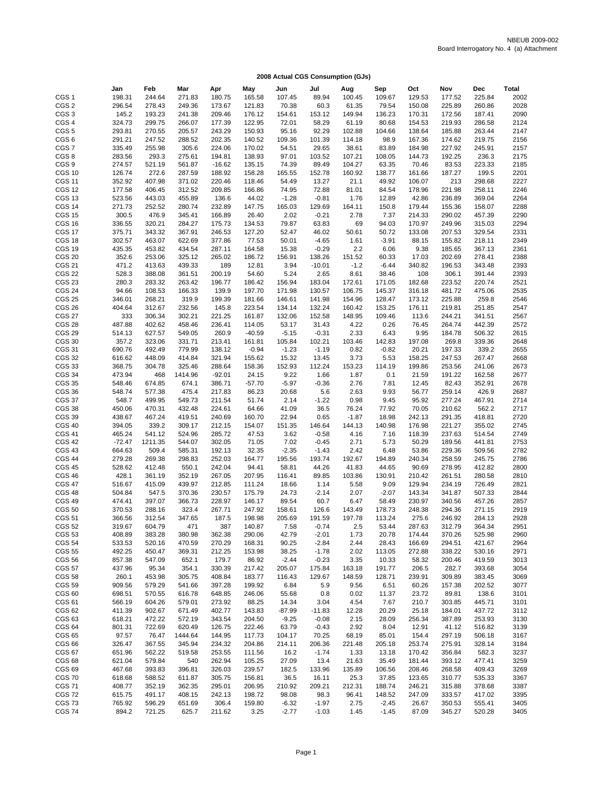|                                | Jan              | Feb             | Mar              | Apr              | May              | Jun            | Jul             | Aug          | Sep             | Oct              | Nov              | <b>Dec</b>       | <b>Total</b> |
|--------------------------------|------------------|-----------------|------------------|------------------|------------------|----------------|-----------------|--------------|-----------------|------------------|------------------|------------------|--------------|
| CGS <sub>1</sub>               | 198.31           | 244.64          | 271.83           | 180.75           | 165.58           | 107.45         | 89.94           | 100.45       | 109.67          | 129.53           | 177.52           | 225.84           | 2002         |
| CGS <sub>2</sub>               | 296.54           | 278.43          | 249.36           | 173.67           | 121.83           | 70.38          | 60.3            | 61.35        | 79.54           | 150.08           | 225.89           | 260.86           | 2028         |
| CGS <sub>3</sub>               | 145.2            | 193.23          | 241.38           | 209.46           | 176.12           | 154.61         | 153.12          | 149.94       | 136.23          | 170.31           | 172.56           | 187.41           | 2090         |
| CGS <sub>4</sub>               | 324.73           | 299.75          | 266.07           | 177.39           | 122.95           | 72.01          | 58.29           | 61.19        | 80.68           | 154.53           | 219.93           | 286.58           | 2124         |
| CGS <sub>5</sub>               | 293.81           | 270.55          | 205.57           | 243.29           | 150.93           | 95.16          | 92.29           | 102.88       | 104.66          | 138.64           | 185.88           | 263.44           | 2147         |
| CGS <sub>6</sub>               | 291.21           | 247.52          | 288.52           | 202.35           | 140.52           | 109.36         | 101.39          | 114.18       | 98.9            | 167.36           | 174.62           | 219.75           | 2156         |
| CGS7                           | 335.49           | 255.98          | 305.6            | 224.06           | 170.02           | 54.51          | 29.65           | 38.61        | 83.89           | 184.98           | 227.92           | 245.91           | 2157         |
| CGS8                           | 283.56           | 293.3           | 275.61           | 194.81           | 138.93           | 97.01          | 103.52          | 107.21       | 108.05          | 144.73           | 192.25           | 236.3            | 2175         |
| CGS <sub>9</sub>               | 274.57           | 521.19          | 561.87           | $-16.62$         | 135.15           | 74.39          | 89.49           | 104.27       | 63.35           | 70.46            | 83.53            | 223.33           | 2185         |
| <b>CGS 10</b>                  | 126.74           | 272.6           | 287.59           | 188.92           | 158.28           | 165.55         | 152.78          | 160.92       | 138.77          | 161.66           | 187.27           | 199.5            | 2201         |
| <b>CGS 11</b>                  | 352.92           | 407.98          | 371.02           | 220.46           | 118.46           | 54.49          | 13.27           | 21.1         | 49.92           | 106.07           | 213              | 298.68           | 2227         |
| <b>CGS 12</b>                  | 177.58           | 406.45          | 312.52           | 209.85           | 166.86           | 74.95          | 72.88           | 81.01        | 84.54           | 178.96           | 221.98           | 258.11           | 2246         |
| <b>CGS 13</b>                  | 523.56           | 443.03          | 455.89           | 136.6            | 44.02            | $-1.28$        | $-0.81$         | 1.76         | 12.89           | 42.86            | 236.89           | 369.04           | 2264         |
| <b>CGS 14</b>                  | 271.73           | 252.52          | 280.74           | 232.89           | 147.75           | 165.03         | 129.69          | 164.11       | 150.8           | 179.44           | 155.36           | 158.07           | 2288         |
| <b>CGS 15</b>                  | 300.5            | 476.9           | 345.41           | 166.89           | 26.40            | 2.02           | $-0.21$         | 2.78         | 7.37            | 214.33           | 290.02           | 457.39           | 2290         |
| <b>CGS 16</b>                  | 336.55           | 320.21          | 284.27           | 175.73           | 134.53           | 79.87          | 63.83           | 69           | 94.03           | 170.97           | 249.96           | 315.03           | 2294         |
| <b>CGS 17</b>                  | 375.71           | 343.32          | 367.91           | 246.53           | 127.20           | 52.47          | 46.02           | 50.61        | 50.72           | 133.08           | 207.53           | 329.54           | 2331         |
| <b>CGS 18</b>                  | 302.57           | 463.07          | 622.69           | 377.86           | 77.53            | 50.01          | $-4.65$         | 1.61         | $-3.91$         | 88.15            | 155.82           | 218.11           | 2349         |
| <b>CGS 19</b>                  | 435.35           | 453.82          | 434.54           | 287.11           | 164.58           | 15.38          | $-0.29$         | 2.2          | 6.06            | 9.38             | 185.65           | 367.13           | 2361         |
| <b>CGS 20</b>                  | 352.6            | 253.06          | 325.12           | 265.02           | 186.72           | 156.91         | 138.26          | 151.52       | 60.33           | 17.03            | 202.69           | 278.41           | 2388         |
| <b>CGS 21</b>                  | 471.2            | 413.63          | 439.33           | 189              | 12.81            | 3.94           | $-10.01$        | $-1.2$       | $-6.44$         | 340.82           | 196.53           | 343.48           | 2393         |
| <b>CGS 22</b>                  | 528.3            | 388.08          | 361.51           | 200.19           | 54.60            | 5.24           | 2.65            | 8.61         | 38.46           | 108              | 306.1            | 391.44           | 2393         |
| <b>CGS 23</b>                  | 280.3            | 283.32          | 263.42           | 196.77           | 186.42           | 156.94         | 183.04          | 172.61       | 171.05          | 182.68           | 223.52           | 220.74           | 2521         |
| <b>CGS 24</b>                  | 94.66            | 108.53          | 166.33           | 139.9            | 197.70           | 171.98         | 130.57          | 106.75       | 145.37          | 316.18           | 481.72           | 475.06           | 2535         |
| <b>CGS 25</b>                  | 346.01           | 268.21          | 319.9            | 199.39           | 181.66           | 146.61         | 141.98          | 154.96       | 128.47          | 173.12           | 225.88           | 259.8            | 2546         |
| <b>CGS 26</b>                  | 404.64           | 312.67          | 232.56           | 145.8            | 223.54           | 134.14         | 132.24          | 160.42       | 153.25          | 176.11           | 219.81           | 251.85           | 2547         |
| <b>CGS 27</b>                  | 333              | 306.34          | 302.21           | 221.25           | 161.87           | 132.06         | 152.58          | 148.95       | 109.46          | 113.6            | 244.21           | 341.51           | 2567         |
| <b>CGS 28</b>                  | 487.88           | 402.62          | 458.46           | 236.41           | 114.05           | 53.17          | 31.43           | 4.22         | 0.26            | 76.45            | 264.74           | 442.39           | 2572         |
| <b>CGS 29</b>                  | 514.13           | 627.57          | 549.05           | 260.9            | $-40.59$         | $-5.15$        | $-0.31$         | 2.33         | 6.43            | 9.95             | 184.78           | 506.32           | 2615         |
| <b>CGS 30</b>                  | 357.2            | 323.06          | 331.71           | 213.41           | 161.81           | 105.84         | 102.21          | 103.46       | 142.83          | 197.08           | 269.8            | 339.36           | 2648         |
| <b>CGS 31</b>                  | 690.76           | 492.49          | 779.99           | 138.12           | $-0.94$          | $-1.23$        | $-1.19$         | 0.82         | $-0.82$         | 20.21            | 197.33           | 339.2            | 2655         |
| <b>CGS 32</b>                  | 616.62           | 448.09          | 414.84           | 321.94           | 155.62           | 15.32          | 13.45           | 3.73         | 5.53            | 158.25           | 247.53           | 267.47           | 2668         |
| <b>CGS 33</b>                  | 368.75           | 304.78          | 325.46           | 288.64           | 158.36           | 152.93         | 112.24          | 153.23       | 114.19          | 199.86           | 253.56           | 241.06           | 2673         |
| <b>CGS 34</b>                  | 473.94           | 468             | 1414.96          | $-92.01$         | 24.15            | 9.22           | 1.66            | 1.87         | 0.1             | 21.59            | 191.22           | 162.58           | 2677         |
| <b>CGS 35</b>                  | 548.46           | 674.85          | 674.1            | 386.71           | $-57.70$         | $-5.97$        | $-0.36$         | 2.76         | 7.81            | 12.45            | 82.43            | 352.91           | 2678         |
| CGS 36                         | 548.74           | 577.38          | 475.4            | 217.83           | 86.23            | 20.68          | 5.6             | 2.63         | 9.93            | 56.77            | 259.14           | 426.9            | 2687         |
| <b>CGS 37</b>                  | 548.7            | 499.95          | 549.73           | 211.54           | 51.74            | 2.14           | $-1.22$         | 0.98         | 9.45            | 95.92            | 277.24           | 467.91           | 2714         |
| <b>CGS 38</b>                  | 450.06           | 470.31          | 432.48           | 224.61           | 64.66            | 41.09          | 36.5            | 76.24        | 77.92           | 70.05            | 210.62           | 562.2            | 2717         |
| <b>CGS 39</b>                  | 438.67           | 467.24          | 419.51           | 240.69           | 160.70           | 22.94          | 0.65            | $-1.87$      | 18.98           | 242.13           | 291.35           | 418.81           | 2720         |
| <b>CGS 40</b>                  | 394.05           | 339.2           | 309.17           | 212.15           | 154.07           | 151.35         | 146.64          | 144.13       | 140.98          | 176.98           | 221.27           | 355.02           | 2745         |
| <b>CGS 41</b>                  | 465.24           | 541.12          | 524.96           | 285.72           | 47.53            | 3.62           | $-0.58$         | 4.16         | 7.16            | 118.39           | 237.63           | 514.54           | 2749         |
| <b>CGS 42</b>                  | $-72.47$         | 1211.35         | 544.07           | 302.05           | 71.05            | 7.02           | $-0.45$         | 2.71         | 5.73            | 50.29            | 189.56           | 441.81           | 2753         |
| <b>CGS 43</b>                  | 664.63           | 509.4           | 585.31           | 192.13           | 32.35            | $-2.35$        | $-1.43$         | 2.42         | 6.48            | 53.86            | 229.36           | 509.56           | 2782         |
| <b>CGS 44</b>                  | 279.28           | 269.38          | 298.83           | 252.03           | 164.77           | 195.56         | 193.74          | 192.67       | 194.89          | 240.34           | 258.59           | 245.75           | 2786         |
| <b>CGS 45</b>                  | 528.62           | 412.48          | 550.1            | 242.04           | 94.41            | 58.81          | 44.26           | 41.83        | 44.65           | 90.69            | 278.95           | 412.82           | 2800         |
| <b>CGS 46</b>                  | 428.1            | 361.19          | 352.19           | 267.05           | 207.95           | 116.41         | 89.85           | 103.86       | 130.91          | 210.42           | 261.51           | 280.58           | 2810         |
| <b>CGS 47</b><br><b>CGS 48</b> | 516.67<br>504.84 | 415.09<br>547.5 | 439.97<br>370.36 | 212.85<br>230.57 | 111.24<br>175.79 | 18.66<br>24.73 | 1.14<br>$-2.14$ | 5.58<br>2.07 | 9.09<br>$-2.07$ | 129.94<br>143.34 | 234.19<br>341.87 | 726.49<br>507.33 | 2821<br>2844 |
| <b>CGS 49</b>                  | 474.41           | 397.07          | 366.73           | 228.97           | 146.17           | 89.54          | 60.7            | 6.47         | 58.49           | 230.97           | 340.56           | 457.26           | 2857         |
| <b>CGS 50</b>                  | 370.53           | 288.16          | 323.4            | 267.71           | 247.92           | 158.61         | 126.6           | 143.49       | 178.73          | 248.38           | 294.36           | 271.15           | 2919         |
| <b>CGS 51</b>                  | 366.56           | 312.54          | 347.65           | 187.5            | 198.98           | 205.69         | 191.59          | 197.78       | 113.24          | 275.6            | 246.92           | 284.13           | 2928         |
| <b>CGS 52</b>                  | 319.67           | 604.79          | 471              | 387              | 140.87           | 7.58           | $-0.74$         | 2.5          | 53.44           | 287.63           | 312.79           | 364.34           | 2951         |
| <b>CGS 53</b>                  | 408.89           | 383.28          | 380.98           | 362.38           | 290.06           | 42.79          | $-2.01$         | 1.73         | 20.78           | 174.44           | 370.26           | 525.98           | 2960         |
| <b>CGS 54</b>                  | 533.53           | 520.16          | 470.59           | 270.29           | 168.31           | 90.25          | $-2.84$         | 2.44         | 28.43           | 166.69           | 294.51           | 421.67           | 2964         |
| <b>CGS 55</b>                  | 492.25           | 450.47          | 369.31           | 212.25           | 153.98           | 38.25          | $-1.78$         | 2.02         | 113.05          | 272.88           | 338.22           | 530.16           | 2971         |
| <b>CGS 56</b>                  | 857.38           | 547.09          | 652.1            | 179.7            | 86.92            | $-2.44$        | $-0.23$         | 3.35         | 10.33           | 58.32            | 200.46           | 419.59           | 3013         |
| <b>CGS 57</b>                  | 437.96           | 95.34           | 354.1            | 330.39           | 217.42           | 205.07         | 175.84          | 163.18       | 191.77          | 206.5            | 282.7            | 393.68           | 3054         |
| <b>CGS 58</b>                  | 260.1            | 453.98          | 305.75           | 408.84           | 183.77           | 116.43         | 129.67          | 148.59       | 128.71          | 239.91           | 309.89           | 383.45           | 3069         |
| <b>CGS 59</b>                  | 909.56           | 579.29          | 541.66           | 397.28           | 199.92           | 6.84           | 5.9             | 9.56         | 6.51            | 60.26            | 157.38           | 202.52           | 3077         |
| CGS <sub>60</sub>              | 698.51           | 570.55          | 616.78           | 648.85           | 246.06           | 55.68          | 0.8             | 0.02         | 11.37           | 23.72            | 89.81            | 138.6            | 3101         |
| <b>CGS 61</b>                  | 566.19           | 604.26          | 579.01           | 273.92           | 88.25            | 14.34          | 3.04            | 4.54         | 7.67            | 210.7            | 303.85           | 445.71           | 3101         |
| <b>CGS 62</b>                  | 411.39           | 902.67          | 671.49           | 402.77           | 143.83           | $-87.99$       | $-11.83$        | 12.28        | 20.29           | 25.18            | 184.01           | 437.72           | 3112         |
| <b>CGS 63</b>                  | 618.21           | 472.22          | 572.19           | 343.54           | 204.50           | $-9.25$        | $-0.08$         | 2.15         | 28.09           | 256.34           | 387.89           | 253.93           | 3130         |
| <b>CGS 64</b>                  | 801.31           | 722.69          | 620.49           | 126.75           | 222.46           | 63.79          | $-0.43$         | 2.92         | 8.04            | 12.91            | 41.12            | 516.82           | 3139         |
| <b>CGS 65</b>                  | 97.57            | 76.47           | 1444.64          | 144.95           | 117.73           | 104.17         | 70.25           | 68.19        | 85.01           | 154.4            | 297.19           | 506.18           | 3167         |
| <b>CGS 66</b>                  | 326.47           | 367.55          | 345.94           | 234.32           | 204.86           | 214.11         | 206.36          | 221.48       | 205.18          | 253.74           | 275.91           | 328.14           | 3184         |
| <b>CGS 67</b>                  | 651.96           | 562.22          | 519.58           | 253.55           | 111.56           | 16.2           | $-1.74$         | 1.33         | 13.18           | 170.42           | 356.84           | 582.3            | 3237         |
| <b>CGS 68</b>                  | 621.04           | 579.84          | 540              | 262.94           | 105.25           | 27.09          | 13.4            | 21.63        | 35.49           | 181.44           | 393.12           | 477.41           | 3259         |
| <b>CGS 69</b>                  | 467.68           | 393.83          | 396.81           | 326.03           | 239.57           | 182.5          | 133.96          | 135.89       | 106.56          | 208.46           | 268.58           | 409.43           | 3269         |
| <b>CGS 70</b>                  | 618.68           | 588.52          | 611.87           | 305.75           | 156.81           | 36.5           | 16.11           | 25.3         | 37.85           | 123.65           | 310.77           | 535.33           | 3367         |
| <b>CGS 71</b>                  | 408.77           | 352.19          | 362.35           | 295.01           | 206.95           | 210.92         | 209.21          | 212.31       | 188.74          | 246.21           | 315.88           | 378.68           | 3387         |
| <b>CGS 72</b>                  | 615.75           | 491.17          | 408.15           | 242.13           | 198.72           | 98.08          | 98.3            | 96.41        | 148.52          | 247.09           | 333.57           | 417.02           | 3395         |
| <b>CGS 73</b>                  | 765.92           | 596.29          | 651.69           | 306.4            | 159.80           | $-6.32$        | $-1.97$         | 2.75         | $-2.45$         | 26.67            | 350.53           | 555.41           | 3405         |
| <b>CGS 74</b>                  | 894.2            | 721.25          | 625.7            | 211.62           | 3.25             | $-2.77$        | $-1.03$         | 1.45         | $-1.45$         | 87.09            | 345.27           | 520.28           | 3405         |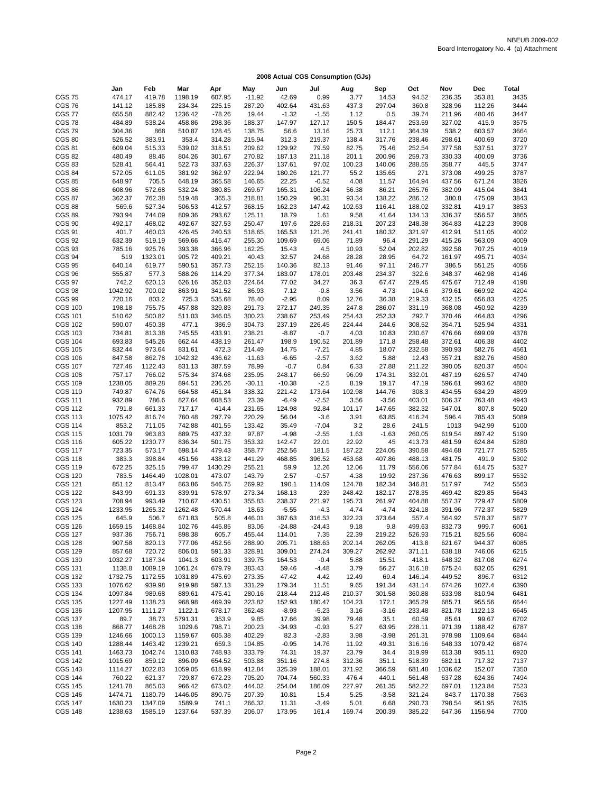|                                  | Jan                | Feb               | Mar               | Apr               | May              | Jun              | Jul              | Aug             | Sep             | Oct              | Nov              | Dec              | <b>Total</b> |
|----------------------------------|--------------------|-------------------|-------------------|-------------------|------------------|------------------|------------------|-----------------|-----------------|------------------|------------------|------------------|--------------|
| <b>CGS 75</b>                    | 474.17             | 419.78            | 1198.19           | 607.95            | $-11.92$         | 42.69            | 0.99             | 3.77            | 14.53           | 94.52            | 236.35           | 353.81           | 3435         |
| <b>CGS 76</b>                    | 141.12             | 185.88            | 234.34            | 225.15            | 287.20           | 402.64           | 431.63           | 437.3           | 297.04          | 360.8            | 328.96           | 112.26           | 3444         |
| <b>CGS 77</b>                    | 655.58             | 882.42            | 1236.42           | $-78.26$          | 19.44            | $-1.32$          | $-1.55$          | 1.12            | 0.5             | 39.74            | 211.96           | 480.46           | 3447         |
| <b>CGS 78</b>                    | 484.89             | 538.24            | 458.86            | 298.36            | 188.37           | 147.97           | 127.17           | 150.5           | 184.47          | 253.59           | 327.02           | 415.9            | 3575         |
| <b>CGS 79</b>                    | 304.36             | 868               | 510.87            | 128.45            | 138.75           | 56.6             | 13.16            | 25.73           | 112.1           | 364.39           | 538.2            | 603.57           | 3664         |
| <b>CGS 80</b>                    | 526.52             | 383.91            | 353.4             | 314.28            | 215.94           | 312.3            | 219.37           | 138.4           | 317.76          | 238.46           | 298.61           | 400.69           | 3720         |
| <b>CGS 81</b>                    | 609.04             | 515.33            | 539.02            | 318.51            | 209.62           | 129.92           | 79.59            | 82.75           | 75.46           | 252.54           | 377.58           | 537.51           | 3727         |
| <b>CGS 82</b>                    | 480.49             | 88.46             | 804.26            | 301.67            | 270.82           | 187.13           | 211.18           | 201.1           | 200.96          | 259.73           | 330.33           | 400.09           | 3736         |
| <b>CGS 83</b><br><b>CGS 84</b>   | 528.41<br>572.05   | 564.41            | 522.73<br>381.92  | 337.63<br>362.97  | 226.37<br>222.94 | 137.61<br>180.26 | 97.02<br>121.77  | 100.23<br>55.2  | 140.06          | 288.55<br>271    | 358.77           | 445.5<br>499.25  | 3747<br>3787 |
| <b>CGS 85</b>                    | 648.97             | 611.05<br>705.5   | 648.19            | 365.58            | 146.65           | 22.25            | $-0.52$          | 4.08            | 135.65<br>11.57 | 164.94           | 373.08<br>437.56 | 671.24           | 3826         |
| <b>CGS 86</b>                    | 608.96             | 572.68            | 532.24            | 380.85            | 269.67           | 165.31           | 106.24           | 56.38           | 86.21           | 265.76           | 382.09           | 415.04           | 3841         |
| <b>CGS 87</b>                    | 362.37             | 762.38            | 519.48            | 365.3             | 218.81           | 150.29           | 90.31            | 93.34           | 138.22          | 286.12           | 380.8            | 475.09           | 3843         |
| <b>CGS 88</b>                    | 569.6              | 527.34            | 506.53            | 412.57            | 368.15           | 162.23           | 147.42           | 102.63          | 116.41          | 188.02           | 332.81           | 419.17           | 3853         |
| <b>CGS 89</b>                    | 793.94             | 744.09            | 809.36            | 293.67            | 125.11           | 18.79            | 1.61             | 9.58            | 41.64           | 134.13           | 336.37           | 556.57           | 3865         |
| <b>CGS 90</b>                    | 492.17             | 468.02            | 492.67            | 327.53            | 250.47           | 197.6            | 228.63           | 218.31          | 207.23          | 248.38           | 364.83           | 412.23           | 3908         |
| <b>CGS 91</b>                    | 401.7              | 460.03            | 426.45            | 240.53            | 518.65           | 165.53           | 121.26           | 241.41          | 180.32          | 321.97           | 412.91           | 511.05           | 4002         |
| <b>CGS 92</b>                    | 632.39             | 519.19            | 569.66            | 415.47            | 255.30           | 109.69           | 69.06            | 71.89           | 96.4            | 291.29           | 415.26           | 563.09           | 4009         |
| <b>CGS 93</b>                    | 785.16             | 925.76            | 393.38            | 366.96            | 162.25           | 15.43            | 4.5              | 10.93           | 52.04           | 202.82           | 392.58           | 707.25           | 4019         |
| CGS 94                           | 519                | 1323.01           | 905.72            | 409.21            | 40.43            | 32.57            | 24.68            | 28.28           | 28.95           | 64.72            | 161.97           | 495.71           | 4034         |
| <b>CGS 95</b><br><b>CGS 96</b>   | 640.14<br>555.87   | 619.77<br>577.3   | 590.51<br>588.26  | 357.73<br>114.29  | 252.15<br>377.34 | 140.36<br>183.07 | 82.13<br>178.01  | 91.46<br>203.48 | 97.11<br>234.37 | 246.77<br>322.6  | 386.5<br>348.37  | 551.25<br>462.98 | 4056<br>4146 |
| <b>CGS 97</b>                    | 742.2              | 620.13            | 626.16            | 352.03            | 224.64           | 77.02            | 34.27            | 36.3            | 67.47           | 229.45           | 475.67           | 712.49           | 4198         |
| <b>CGS 98</b>                    | 1042.92            | 700.02            | 863.91            | 341.52            | 86.93            | 7.12             | $-0.8$           | 3.56            | 4.73            | 104.6            | 379.61           | 669.92           | 4204         |
| <b>CGS 99</b>                    | 720.16             | 803.2             | 725.3             | 535.68            | 78.40            | $-2.95$          | 8.09             | 12.76           | 36.38           | 219.33           | 432.15           | 656.83           | 4225         |
| <b>CGS 100</b>                   | 198.18             | 755.75            | 457.88            | 329.83            | 291.73           | 272.17           | 249.35           | 247.8           | 286.07          | 331.19           | 368.08           | 450.92           | 4239         |
| <b>CGS 101</b>                   | 510.62             | 500.82            | 511.03            | 346.05            | 300.23           | 238.67           | 253.49           | 254.43          | 252.33          | 292.7            | 370.46           | 464.83           | 4296         |
| <b>CGS 102</b>                   | 590.07             | 450.38            | 477.1             | 386.9             | 304.73           | 237.19           | 226.45           | 224.44          | 244.6           | 308.52           | 354.71           | 525.94           | 4331         |
| <b>CGS 103</b>                   | 734.81             | 813.38            | 745.55            | 433.91            | 238.21           | $-8.87$          | $-0.7$           | 4.03            | 10.83           | 230.67           | 476.66           | 699.09           | 4378         |
| <b>CGS 104</b>                   | 693.83             | 545.26            | 662.44            | 438.19            | 261.47           | 198.9            | 190.52           | 201.89          | 171.8           | 258.48           | 372.61           | 406.38           | 4402         |
| <b>CGS 105</b>                   | 832.44             | 973.64            | 831.61            | 472.3             | 214.49           | 14.75            | $-7.21$          | 4.85            | 18.07           | 232.58           | 390.93           | 582.76           | 4561         |
| <b>CGS 106</b>                   | 847.58             | 862.78            | 1042.32           | 436.62            | $-11.63$         | $-6.65$          | $-2.57$          | 3.62            | 5.88            | 12.43            | 557.21           | 832.76           | 4580         |
| <b>CGS 107</b><br><b>CGS 108</b> | 727.46<br>757.17   | 1122.43<br>766.02 | 831.13<br>575.34  | 387.59<br>374.68  | 78.99<br>235.95  | $-0.7$<br>248.17 | 0.84<br>66.59    | 6.33<br>96.09   | 27.88<br>174.31 | 211.22<br>332.01 | 390.05<br>487.19 | 820.37<br>626.57 | 4604<br>4740 |
| <b>CGS 109</b>                   | 1238.05            | 889.28            | 894.51            | 236.26            | $-30.11$         | $-10.38$         | $-2.5$           | 8.19            | 19.17           | 47.19            | 596.61           | 993.62           | 4880         |
| <b>CGS 110</b>                   | 749.87             | 674.76            | 664.58            | 451.34            | 338.32           | 221.42           | 173.64           | 102.98          | 144.76          | 308.3            | 434.55           | 634.29           | 4899         |
| <b>CGS 111</b>                   | 932.89             | 786.6             | 827.64            | 608.53            | 23.39            | $-6.49$          | $-2.52$          | 3.56            | $-3.56$         | 403.01           | 606.37           | 763.48           | 4943         |
| <b>CGS 112</b>                   | 791.8              | 661.33            | 717.17            | 414.4             | 231.65           | 124.98           | 92.84            | 101.17          | 147.65          | 382.32           | 547.01           | 807.8            | 5020         |
| <b>CGS 113</b>                   | 1075.42            | 816.74            | 760.48            | 297.79            | 220.29           | 56.04            | $-3.6$           | 3.91            | 63.85           | 416.24           | 596.4            | 785.43           | 5089         |
| <b>CGS 114</b>                   | 853.2              | 711.05            | 742.88            | 401.55            | 133.42           | 35.49            | $-7.04$          | 3.2             | 28.6            | 241.5            | 1013             | 942.99           | 5100         |
| <b>CGS 115</b>                   | 1031.79            | 963.83            | 889.75            | 437.32            | 97.87            | $-4.98$          | $-2.55$          | 1.63            | $-1.63$         | 260.05           | 619.54           | 897.42           | 5190         |
| <b>CGS 116</b>                   | 605.22             | 1230.77           | 836.34            | 501.75            | 353.32           | 142.47           | 22.01            | 22.92           | 45              | 413.73           | 481.59           | 624.84           | 5280         |
| <b>CGS 117</b>                   | 723.35             | 573.17            | 698.14            | 479.43            | 358.77           | 252.56           | 181.5            | 187.22          | 224.05          | 390.58           | 494.68           | 721.77           | 5285         |
| <b>CGS 118</b><br><b>CGS 119</b> | 383.3<br>672.25    | 398.84<br>325.15  | 451.56<br>799.47  | 438.12<br>1430.29 | 441.29<br>255.21 | 468.85<br>59.9   | 396.52<br>12.26  | 453.68<br>12.06 | 407.86<br>11.79 | 488.13<br>556.06 | 481.75<br>577.84 | 491.9<br>614.75  | 5302<br>5327 |
| <b>CGS 120</b>                   | 783.5              | 1464.49           | 1028.01           | 473.07            | 143.79           | 2.57             | $-0.57$          | 4.38            | 19.92           | 237.36           | 476.63           | 899.17           | 5532         |
| <b>CGS 121</b>                   | 851.12             | 813.47            | 863.86            | 546.75            | 269.92           | 190.1            | 114.09           | 124.78          | 182.34          | 346.81           | 517.97           | 742              | 5563         |
| <b>CGS 122</b>                   | 843.99             | 691.33            | 839.91            | 578.97            | 273.34           | 168.13           | 239              | 248.42          | 182.17          | 278.35           | 469.42           | 829.85           | 5643         |
| <b>CGS 123</b>                   | 708.94             | 993.49            | 710.67            | 430.51            | 355.83           | 238.37           | 221.97           | 195.73          | 261.97          | 404.88           | 557.37           | 729.47           | 5809         |
| <b>CGS 124</b>                   | 1233.95            | 1265.32           | 1262.48           | 570.44            | 18.63            | $-5.55$          | $-4.3$           | 4.74            | $-4.74$         | 324.18           | 391.96           | 772.37           | 5829         |
| <b>CGS 125</b>                   | 645.9              | 506.7             | 671.83            | 505.8             | 446.01           | 387.63           | 316.53           | 322.23          | 373.64          | 557.4            | 564.92           | 578.37           | 5877         |
| <b>CGS 126</b>                   | 1659.15            | 1468.84           | 102.76            | 445.85            | 83.06            | $-24.88$         | $-24.43$         | 9.18            | 9.8             | 499.63           | 832.73           | 999.7            | 6061         |
| <b>CGS 127</b>                   | 937.36             | 756.71            | 898.38            | 605.7             | 455.44           | 114.01           | 7.35             | 22.39           | 219.22          | 526.93           | 715.21           | 825.56           | 6084         |
| <b>CGS 128</b>                   | 907.58             | 820.13            | 777.06            | 452.56            | 288.90           | 205.71           | 188.63           | 202.14          | 262.05          | 413.8            | 621.67           | 944.37           | 6085         |
| <b>CGS 129</b><br><b>CGS 130</b> | 857.68<br>1032.27  | 720.72<br>1187.34 | 806.01<br>1041.3  | 591.33<br>603.91  | 328.91<br>339.75 | 309.01<br>164.53 | 274.24<br>$-0.4$ | 309.27<br>5.88  | 262.92<br>15.51 | 371.11<br>418.1  | 638.18<br>648.32 | 746.06<br>817.08 | 6215<br>6274 |
| <b>CGS 131</b>                   | 1138.8             | 1089.19           | 1061.24           | 679.79            | 383.43           | 59.46            | $-4.48$          | 3.79            | 56.27           | 316.18           | 675.24           | 832.05           | 6291         |
| <b>CGS 132</b>                   | 1732.75            | 1172.55           | 1031.89           | 475.69            | 273.35           | 47.42            | 4.42             | 12.49           | 69.4            | 146.14           | 449.52           | 896.7            | 6312         |
| <b>CGS 133</b>                   | 1076.62            | 939.98            | 919.98            | 597.13            | 331.29           | 179.34           | 11.51            | 9.65            | 191.34          | 431.14           | 674.26           | 1027.4           | 6390         |
| CGS 134                          | 1097.84            | 989.68            | 889.61            | 475.41            | 280.16           | 218.44           | 212.48           | 210.37          | 301.58          | 360.88           | 633.98           | 810.94           | 6481         |
| <b>CGS 135</b>                   | 1227.49            | 1138.23           | 968.98            | 469.39            | 223.82           | 152.93           | 180.47           | 104.23          | 172.1           | 365.29           | 685.71           | 955.56           | 6644         |
| <b>CGS 136</b>                   | 1207.95            | 1111.27           | 1122.1            | 678.17            | 362.48           | $-8.93$          | $-5.23$          | 3.16            | $-3.16$         | 233.48           | 821.78           | 1122.13          | 6645         |
| <b>CGS 137</b>                   | 89.7               | 38.73             | 5791.31           | 353.9             | 9.85             | 17.66            | 39.98            | 79.48           | 35.1            | 60.59            | 85.61            | 99.67            | 6702         |
| <b>CGS 138</b>                   | 868.77             | 1468.28           | 1029.6            | 798.71            | 200.23           | $-34.93$         | $-0.93$          | 5.27            | 63.95           | 228.11           | 971.39           | 1188.42          | 6787         |
| CGS 139                          | 1246.66            | 1000.13           | 1159.67           | 605.38            | 402.29           | 82.3             | $-2.83$          | 3.98            | $-3.98$         | 261.31           | 978.98           | 1109.64          | 6844         |
| <b>CGS 140</b>                   | 1288.44            | 1463.42           | 1239.21           | 659.3             | 104.85           | $-0.95$          | 14.76            | 11.92           | 49.31           | 316.16           | 648.33           | 1079.42          | 6874         |
| <b>CGS 141</b><br><b>CGS 142</b> | 1463.73<br>1015.69 | 1042.74<br>859.12 | 1310.83<br>896.09 | 748.93<br>654.52  | 333.79<br>503.88 | 74.31<br>351.16  | 19.37<br>274.8   | 23.79<br>312.36 | 34.4<br>351.1   | 319.99<br>518.39 | 613.38<br>682.11 | 935.11<br>717.32 | 6920<br>7137 |
| <b>CGS 143</b>                   | 1114.27            | 1022.83           | 1059.05           | 618.99            | 412.84           | 325.39           | 188.01           | 371.92          | 366.59          | 681.48           | 1036.62          | 152.07           | 7350         |
| <b>CGS 144</b>                   | 760.22             | 621.37            | 729.87            | 672.23            | 705.20           | 704.74           | 560.33           | 476.4           | 440.1           | 561.48           | 637.28           | 624.36           | 7494         |
| <b>CGS 145</b>                   | 1241.78            | 865.03            | 966.42            | 673.02            | 444.02           | 254.04           | 186.09           | 227.97          | 261.35          | 582.22           | 697.01           | 1123.84          | 7523         |
| <b>CGS 146</b>                   | 1474.71            | 1180.79           | 1446.05           | 890.75            | 207.39           | 10.81            | 15.4             | 5.25            | $-3.58$         | 321.24           | 843.7            | 1170.38          | 7563         |
| <b>CGS 147</b>                   | 1630.23            | 1347.09           | 1589.9            | 741.1             | 266.32           | 11.31            | $-3.49$          | 5.01            | 6.68            | 290.73           | 798.54           | 951.95           | 7635         |
| <b>CGS 148</b>                   | 1238.63            | 1585.19           | 1237.64           | 537.39            | 206.07           | 173.95           | 161.4            | 169.74          | 200.39          | 385.22           | 647.36           | 1156.94          | 7700         |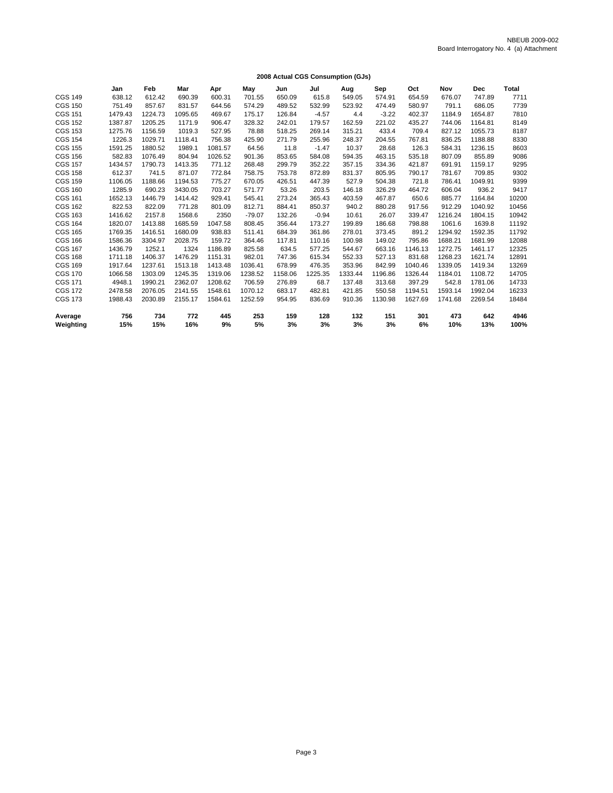|                | Loco Actual SSS concamption (Coo) |         |         |         |          |         |         |         |         |         |         |            |              |
|----------------|-----------------------------------|---------|---------|---------|----------|---------|---------|---------|---------|---------|---------|------------|--------------|
|                | Jan                               | Feb     | Mar     | Apr     | May      | Jun     | Jul     | Aug     | Sep     | Oct     | Nov     | <b>Dec</b> | <b>Total</b> |
| <b>CGS 149</b> | 638.12                            | 612.42  | 690.39  | 600.31  | 701.55   | 650.09  | 615.8   | 549.05  | 574.91  | 654.59  | 676.07  | 747.89     | 7711         |
| <b>CGS 150</b> | 751.49                            | 857.67  | 831.57  | 644.56  | 574.29   | 489.52  | 532.99  | 523.92  | 474.49  | 580.97  | 791.1   | 686.05     | 7739         |
| <b>CGS 151</b> | 1479.43                           | 1224.73 | 1095.65 | 469.67  | 175.17   | 126.84  | $-4.57$ | 4.4     | $-3.22$ | 402.37  | 1184.9  | 1654.87    | 7810         |
| <b>CGS 152</b> | 1387.87                           | 1205.25 | 1171.9  | 906.47  | 328.32   | 242.01  | 179.57  | 162.59  | 221.02  | 435.27  | 744.06  | 1164.81    | 8149         |
| <b>CGS 153</b> | 1275.76                           | 1156.59 | 1019.3  | 527.95  | 78.88    | 518.25  | 269.14  | 315.21  | 433.4   | 709.4   | 827.12  | 1055.73    | 8187         |
| <b>CGS 154</b> | 1226.3                            | 1029.71 | 1118.41 | 756.38  | 425.90   | 271.79  | 255.96  | 248.37  | 204.55  | 767.81  | 836.25  | 1188.88    | 8330         |
| <b>CGS 155</b> | 1591.25                           | 1880.52 | 1989.1  | 1081.57 | 64.56    | 11.8    | $-1.47$ | 10.37   | 28.68   | 126.3   | 584.31  | 1236.15    | 8603         |
| <b>CGS 156</b> | 582.83                            | 1076.49 | 804.94  | 1026.52 | 901.36   | 853.65  | 584.08  | 594.35  | 463.15  | 535.18  | 807.09  | 855.89     | 9086         |
| <b>CGS 157</b> | 1434.57                           | 1790.73 | 1413.35 | 771.12  | 268.48   | 299.79  | 352.22  | 357.15  | 334.36  | 421.87  | 691.91  | 1159.17    | 9295         |
| <b>CGS 158</b> | 612.37                            | 741.5   | 871.07  | 772.84  | 758.75   | 753.78  | 872.89  | 831.37  | 805.95  | 790.17  | 781.67  | 709.85     | 9302         |
| <b>CGS 159</b> | 1106.05                           | 1188.66 | 1194.53 | 775.27  | 670.05   | 426.51  | 447.39  | 527.9   | 504.38  | 721.8   | 786.41  | 1049.91    | 9399         |
| <b>CGS 160</b> | 1285.9                            | 690.23  | 3430.05 | 703.27  | 571.77   | 53.26   | 203.5   | 146.18  | 326.29  | 464.72  | 606.04  | 936.2      | 9417         |
| <b>CGS 161</b> | 1652.13                           | 1446.79 | 1414.42 | 929.41  | 545.41   | 273.24  | 365.43  | 403.59  | 467.87  | 650.6   | 885.77  | 1164.84    | 10200        |
| <b>CGS 162</b> | 822.53                            | 822.09  | 771.28  | 801.09  | 812.71   | 884.41  | 850.37  | 940.2   | 880.28  | 917.56  | 912.29  | 1040.92    | 10456        |
| <b>CGS 163</b> | 1416.62                           | 2157.8  | 1568.6  | 2350    | $-79.07$ | 132.26  | $-0.94$ | 10.61   | 26.07   | 339.47  | 1216.24 | 1804.15    | 10942        |
| <b>CGS 164</b> | 1820.07                           | 1413.88 | 1685.59 | 1047.58 | 808.45   | 356.44  | 173.27  | 199.89  | 186.68  | 798.88  | 1061.6  | 1639.8     | 11192        |
| <b>CGS 165</b> | 1769.35                           | 1416.51 | 1680.09 | 938.83  | 511.41   | 684.39  | 361.86  | 278.01  | 373.45  | 891.2   | 1294.92 | 1592.35    | 11792        |
| <b>CGS 166</b> | 1586.36                           | 3304.97 | 2028.75 | 159.72  | 364.46   | 117.81  | 110.16  | 100.98  | 149.02  | 795.86  | 1688.21 | 1681.99    | 12088        |
| <b>CGS 167</b> | 1436.79                           | 1252.1  | 1324    | 1186.89 | 825.58   | 634.5   | 577.25  | 544.67  | 663.16  | 1146.13 | 1272.75 | 1461.17    | 12325        |
| <b>CGS 168</b> | 1711.18                           | 1406.37 | 1476.29 | 1151.31 | 982.01   | 747.36  | 615.34  | 552.33  | 527.13  | 831.68  | 1268.23 | 1621.74    | 12891        |
| <b>CGS 169</b> | 1917.64                           | 1237.61 | 1513.18 | 1413.48 | 1036.41  | 678.99  | 476.35  | 353.96  | 842.99  | 1040.46 | 1339.05 | 1419.34    | 13269        |
| <b>CGS 170</b> | 1066.58                           | 1303.09 | 1245.35 | 1319.06 | 1238.52  | 1158.06 | 1225.35 | 1333.44 | 1196.86 | 1326.44 | 1184.01 | 1108.72    | 14705        |
| <b>CGS 171</b> | 4948.1                            | 1990.21 | 2362.07 | 1208.62 | 706.59   | 276.89  | 68.7    | 137.48  | 313.68  | 397.29  | 542.8   | 1781.06    | 14733        |
| <b>CGS 172</b> | 2478.58                           | 2076.05 | 2141.55 | 1548.61 | 1070.12  | 683.17  | 482.81  | 421.85  | 550.58  | 1194.51 | 1593.14 | 1992.04    | 16233        |
| <b>CGS 173</b> | 1988.43                           | 2030.89 | 2155.17 | 1584.61 | 1252.59  | 954.95  | 836.69  | 910.36  | 1130.98 | 1627.69 | 1741.68 | 2269.54    | 18484        |
| Average        | 756                               | 734     | 772     | 445     | 253      | 159     | 128     | 132     | 151     | 301     | 473     | 642        | 4946         |
| Weighting      | 15%                               | 15%     | 16%     | 9%      | 5%       | 3%      | 3%      | 3%      | 3%      | 6%      | 10%     | 13%        | 100%         |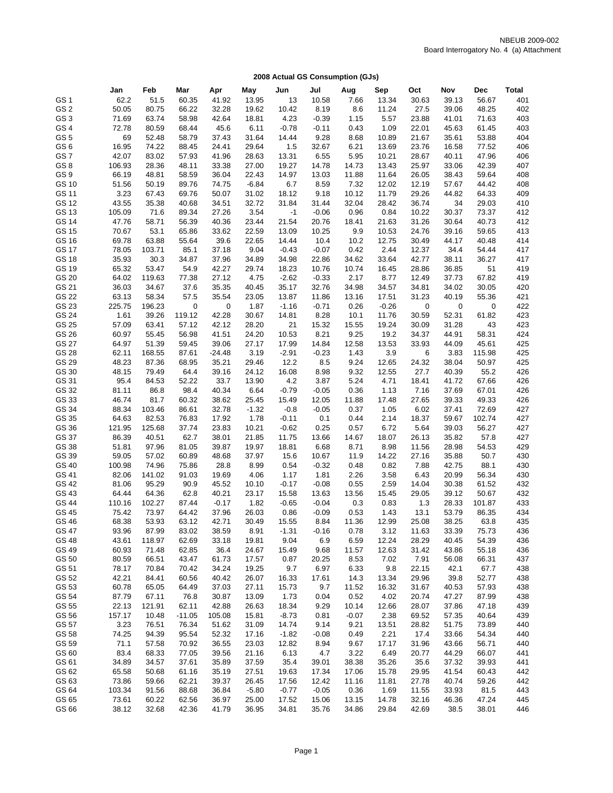|                 | Jan    | Feb    | Mar      | Apr           | May     | Jun     | Jul                | Aug     | Sep     | Oct   | Nov   | Dec    | Total |
|-----------------|--------|--------|----------|---------------|---------|---------|--------------------|---------|---------|-------|-------|--------|-------|
| GS <sub>1</sub> | 62.2   | 51.5   | 60.35    | 41.92         | 13.95   | 13      | 10.58              | 7.66    | 13.34   | 30.63 | 39.13 | 56.67  | 401   |
| GS <sub>2</sub> | 50.05  | 80.75  | 66.22    | 32.28         | 19.62   | 10.42   | 8.19               | 8.6     | 11.24   | 27.5  | 39.06 | 48.25  | 402   |
| GS <sub>3</sub> |        |        |          |               |         |         |                    |         |         |       |       |        | 403   |
| GS <sub>4</sub> | 71.69  | 63.74  | 58.98    | 42.64<br>45.6 | 18.81   | 4.23    | $-0.39$<br>$-0.11$ | 1.15    | 5.57    | 23.88 | 41.01 | 71.63  | 403   |
|                 | 72.78  | 80.59  | 68.44    |               | 6.11    | $-0.78$ |                    | 0.43    | 1.09    | 22.01 | 45.63 | 61.45  |       |
| GS <sub>5</sub> | 69     | 52.48  | 58.79    | 37.43         | 31.64   | 14.44   | 9.28               | 8.68    | 10.89   | 21.67 | 35.61 | 53.88  | 404   |
| GS 6            | 16.95  | 74.22  | 88.45    | 24.41         | 29.64   | 1.5     | 32.67              | 6.21    | 13.69   | 23.76 | 16.58 | 77.52  | 406   |
| GS7             | 42.07  | 83.02  | 57.93    | 41.96         | 28.63   | 13.31   | 6.55               | 5.95    | 10.21   | 28.67 | 40.11 | 47.96  | 406   |
| GS8             | 106.93 | 28.36  | 48.11    | 33.38         | 27.00   | 19.27   | 14.78              | 14.73   | 13.43   | 25.97 | 33.06 | 42.39  | 407   |
| GS <sub>9</sub> | 66.19  | 48.81  | 58.59    | 36.04         | 22.43   | 14.97   | 13.03              | 11.88   | 11.64   | 26.05 | 38.43 | 59.64  | 408   |
| GS 10           | 51.56  | 50.19  | 89.76    | 74.75         | $-6.84$ | 6.7     | 8.59               | 7.32    | 12.02   | 12.19 | 57.67 | 44.42  | 408   |
| GS 11           | 3.23   | 67.43  | 69.76    | 50.07         | 31.02   | 18.12   | 9.18               | 10.12   | 11.79   | 29.26 | 44.82 | 64.33  | 409   |
| GS 12           | 43.55  | 35.38  | 40.68    | 34.51         | 32.72   | 31.84   | 31.44              | 32.04   | 28.42   | 36.74 | 34    | 29.03  | 410   |
| GS 13           | 105.09 | 71.6   | 89.34    | 27.26         | 3.54    | $-1$    | $-0.06$            | 0.96    | 0.84    | 10.22 | 30.37 | 73.37  | 412   |
| GS 14           | 47.76  | 58.71  | 56.39    | 40.36         | 23.44   | 21.54   | 20.76              | 18.41   | 21.63   | 31.26 | 30.64 | 40.73  | 412   |
| GS 15           | 70.67  | 53.1   | 65.86    | 33.62         | 22.59   | 13.09   | 10.25              | 9.9     | 10.53   | 24.76 | 39.16 | 59.65  | 413   |
| GS 16           | 69.78  | 63.88  | 55.64    | 39.6          | 22.65   | 14.44   | 10.4               | 10.2    | 12.75   | 30.49 | 44.17 | 40.48  | 414   |
| GS 17           | 78.05  | 103.71 | 85.1     | 37.18         | 9.04    | $-0.43$ | $-0.07$            | 0.42    | 2.44    | 12.37 | 34.4  | 54.44  | 417   |
| GS 18           | 35.93  | 30.3   | 34.87    | 37.96         | 34.89   | 34.98   | 22.86              | 34.62   | 33.64   | 42.77 | 38.11 | 36.27  | 417   |
| GS 19           | 65.32  | 53.47  | 54.9     | 42.27         | 29.74   | 18.23   | 10.76              | 10.74   | 16.45   | 28.86 | 36.85 | 51     | 419   |
| GS 20           | 64.02  | 119.63 | 77.38    | 27.12         | 4.75    | $-2.62$ | $-0.33$            | 2.17    | 8.77    | 12.49 | 37.73 | 67.82  | 419   |
| GS 21           | 36.03  | 34.67  | 37.6     | 35.35         | 40.45   | 35.17   | 32.76              | 34.98   | 34.57   | 34.81 | 34.02 | 30.05  | 420   |
| GS 22           | 63.13  | 58.34  | 57.5     | 35.54         | 23.05   | 13.87   | 11.86              | 13.16   | 17.51   | 31.23 | 40.19 | 55.36  | 421   |
| GS 23           | 225.75 | 196.23 | 0        | 0             | 1.87    | $-1.16$ | $-0.71$            | 0.26    | $-0.26$ | 0     | 0     | 0      | 422   |
| GS 24           | 1.61   | 39.26  | 119.12   | 42.28         | 30.67   | 14.81   | 8.28               | 10.1    | 11.76   | 30.59 | 52.31 | 61.82  | 423   |
| GS 25           | 57.09  | 63.41  | 57.12    | 42.12         | 28.20   | 21      | 15.32              | 15.55   | 19.24   | 30.09 | 31.28 | 43     | 423   |
| GS 26           | 60.97  | 55.45  | 56.98    | 41.51         | 24.20   | 10.53   | 8.21               | 9.25    | 19.2    | 34.37 | 44.91 | 58.31  | 424   |
| GS 27           | 64.97  | 51.39  | 59.45    | 39.06         | 27.17   | 17.99   | 14.84              | 12.58   | 13.53   | 33.93 | 44.09 | 45.61  | 425   |
| GS 28           | 62.11  | 168.55 | 87.61    | $-24.48$      | 3.19    | $-2.91$ | $-0.23$            | 1.43    | 3.9     | 6     | 3.83  | 115.98 | 425   |
| GS 29           | 48.23  | 87.36  | 68.95    | 35.21         | 29.46   | 12.2    | 8.5                | 9.24    | 12.65   | 24.32 | 38.04 | 50.97  | 425   |
| GS 30           | 48.15  | 79.49  | 64.4     | 39.16         | 24.12   | 16.08   | 8.98               | 9.32    | 12.55   | 27.7  | 40.39 | 55.2   | 426   |
| GS 31           | 95.4   | 84.53  | 52.22    | 33.7          | 13.90   | 4.2     | 3.87               | 5.24    | 4.71    | 18.41 | 41.72 | 67.66  | 426   |
| GS 32           | 81.11  | 86.8   | 98.4     | 40.34         | 6.64    | $-0.79$ | $-0.05$            | 0.36    | 1.13    | 7.16  | 37.69 | 67.01  | 426   |
| GS 33           | 46.74  | 81.7   | 60.32    | 38.62         | 25.45   | 15.49   | 12.05              | 11.88   | 17.48   | 27.65 | 39.33 | 49.33  | 426   |
| GS 34           | 88.34  | 103.46 | 86.61    | 32.78         | $-1.32$ | $-0.8$  | $-0.05$            | 0.37    | 1.05    | 6.02  | 37.41 | 72.69  | 427   |
| GS 35           | 64.63  | 82.53  | 76.83    | 17.92         | 1.78    | $-0.11$ | 0.1                | 0.44    | 2.14    | 18.37 | 59.67 | 102.74 | 427   |
| GS 36           | 121.95 | 125.68 | 37.74    | 23.83         | 10.21   | $-0.62$ | 0.25               | 0.57    | 6.72    | 5.64  | 39.03 | 56.27  | 427   |
| GS 37           | 86.39  | 40.51  | 62.7     | 38.01         | 21.85   | 11.75   | 13.66              | 14.67   | 18.07   | 26.13 | 35.82 | 57.8   | 427   |
| GS 38           | 51.81  | 97.96  | 81.05    | 39.87         | 19.97   | 18.81   | 6.68               | 8.71    | 8.98    | 11.56 | 28.98 | 54.53  | 429   |
| GS 39           | 59.05  | 57.02  | 60.89    | 48.68         | 37.97   | 15.6    | 10.67              | 11.9    | 14.22   | 27.16 | 35.88 | 50.7   | 430   |
| GS 40           | 100.98 | 74.96  | 75.86    | 28.8          | 8.99    | 0.54    | $-0.32$            | 0.48    | 0.82    | 7.88  | 42.75 | 88.1   | 430   |
| GS 41           | 82.06  | 141.02 | 91.03    | 19.69         | 4.06    | 1.17    | 1.81               | 2.26    | 3.58    | 6.43  | 20.99 | 56.34  | 430   |
| GS 42           | 81.06  | 95.29  | 90.9     | 45.52         | 10.10   | $-0.17$ | $-0.08$            | 0.55    | 2.59    | 14.04 | 30.38 | 61.52  | 432   |
| GS 43           | 64.44  | 64.36  | 62.8     | 40.21         | 23.17   | 15.58   | 13.63              | 13.56   | 15.45   | 29.05 | 39.12 | 50.67  | 432   |
| GS 44           | 110.16 | 102.27 | 87.44    | $-0.17$       | 1.82    | $-0.65$ | $-0.04$            | 0.3     | 0.83    | 1.3   | 28.33 | 101.87 | 433   |
| GS 45           | 75.42  | 73.97  | 64.42    | 37.96         | 26.03   | 0.86    | $-0.09$            | 0.53    | 1.43    | 13.1  | 53.79 | 86.35  | 434   |
| GS 46           | 68.38  | 53.93  | 63.12    | 42.71         | 30.49   | 15.55   | 8.84               | 11.36   | 12.99   | 25.08 | 38.25 | 63.8   | 435   |
| GS 47           | 93.96  | 87.99  | 83.02    | 38.59         | 8.91    | $-1.31$ | $-0.16$            | 0.78    | 3.12    | 11.63 | 33.39 | 75.73  | 436   |
| GS 48           | 43.61  | 118.97 | 62.69    | 33.18         | 19.81   | 9.04    | 6.9                | 6.59    | 12.24   | 28.29 | 40.45 | 54.39  | 436   |
| GS 49           | 60.93  | 71.48  | 62.85    | 36.4          | 24.67   | 15.49   | 9.68               | 11.57   | 12.63   | 31.42 | 43.86 | 55.18  | 436   |
| GS 50           | 80.59  | 66.51  | 43.47    | 61.73         | 17.57   | 0.87    | 20.25              | 8.53    | 7.02    | 7.91  | 56.08 | 66.31  | 437   |
| GS 51           | 78.17  | 70.84  | 70.42    | 34.24         | 19.25   | 9.7     | 6.97               | 6.33    | 9.8     | 22.15 | 42.1  | 67.7   | 438   |
| GS 52           | 42.21  | 84.41  | 60.56    | 40.42         | 26.07   | 16.33   | 17.61              | 14.3    | 13.34   | 29.96 | 39.8  | 52.77  | 438   |
| GS 53           | 60.78  | 65.05  | 64.49    | 37.03         | 27.11   | 15.73   | 9.7                | 11.52   | 16.32   | 31.67 | 40.53 | 57.93  | 438   |
| GS 54           | 87.79  | 67.11  | 76.8     | 30.87         | 13.09   | 1.73    | 0.04               | 0.52    | 4.02    | 20.74 | 47.27 | 87.99  | 438   |
| GS 55           | 22.13  | 121.91 | 62.11    | 42.88         | 26.63   | 18.34   | 9.29               | 10.14   | 12.66   | 28.07 | 37.86 | 47.18  | 439   |
| GS 56           | 157.17 | 10.48  | $-11.05$ | 105.08        | 15.81   | $-8.73$ | 0.81               | $-0.07$ | 2.38    | 69.52 | 57.35 | 40.64  | 439   |
| GS 57           | 3.23   | 76.51  | 76.34    | 51.62         | 31.09   | 14.74   | 9.14               | 9.21    | 13.51   | 28.82 | 51.75 | 73.89  | 440   |
| GS 58           | 74.25  | 94.39  | 95.54    | 52.32         | 17.16   | $-1.82$ | $-0.08$            | 0.49    | 2.21    | 17.4  | 33.66 | 54.34  | 440   |
| GS 59           | 71.1   | 57.58  | 70.92    | 36.55         | 23.03   | 12.82   | 8.94               | 9.67    | 17.17   | 31.96 | 43.66 | 56.71  | 440   |
| GS 60           | 83.4   | 68.33  | 77.05    | 39.56         | 21.16   | 6.13    | 4.7                | 3.22    | 6.49    | 20.77 | 44.29 | 66.07  | 441   |
| GS 61           | 34.89  | 34.57  | 37.61    | 35.89         | 37.59   | 35.4    | 39.01              | 38.38   | 35.26   | 35.6  | 37.32 | 39.93  | 441   |
| GS 62           | 65.58  | 50.68  | 61.16    | 35.19         | 27.51   | 19.63   | 17.34              | 17.06   | 15.78   | 29.95 | 41.54 | 60.43  | 442   |
| GS 63           | 73.86  | 59.66  | 62.21    | 39.37         | 26.45   | 17.56   | 12.42              | 11.16   | 11.81   | 27.78 | 40.74 | 59.26  | 442   |
| GS 64           | 103.34 | 91.56  | 88.68    | 36.84         | $-5.80$ | $-0.77$ | $-0.05$            | 0.36    | 1.69    | 11.55 | 33.93 | 81.5   | 443   |
| GS 65           | 73.61  | 60.22  | 62.56    | 36.97         | 25.00   | 17.52   | 15.06              | 13.15   | 14.78   | 32.16 | 46.36 | 47.24  | 445   |
| GS 66           | 38.12  | 32.68  | 42.36    | 41.79         | 36.95   | 34.81   | 35.76              | 34.86   | 29.84   | 42.69 | 38.5  | 38.01  | 446   |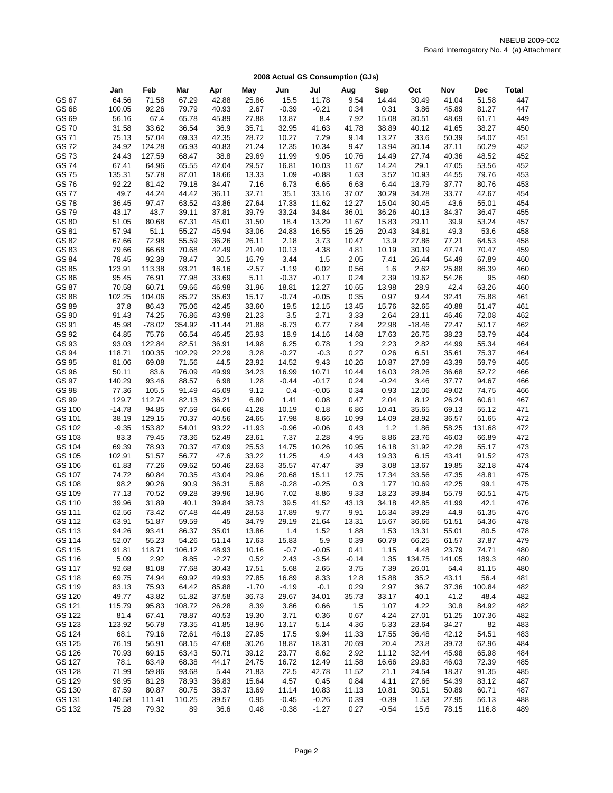|                | Jan             | Feb             | Mar             | Apr           | May           | Jun              | Jul            | Aug          | Sep           | Oct           | Nov            | Dec            | <b>Total</b> |
|----------------|-----------------|-----------------|-----------------|---------------|---------------|------------------|----------------|--------------|---------------|---------------|----------------|----------------|--------------|
| GS 67          | 64.56           | 71.58           | 67.29           | 42.88         | 25.86         | 15.5             | 11.78          | 9.54         | 14.44         | 30.49         | 41.04          | 51.58          | 447          |
| GS 68          | 100.05          | 92.26           | 79.79           | 40.93         | 2.67          | $-0.39$          | $-0.21$        | 0.34         | 0.31          | 3.86          | 45.89          | 81.27          | 447          |
| GS 69          | 56.16           | 67.4            | 65.78           | 45.89         | 27.88         | 13.87            | 8.4            | 7.92         | 15.08         | 30.51         | 48.69          | 61.71          | 449          |
| GS 70          | 31.58           | 33.62           | 36.54           | 36.9          | 35.71         | 32.95            | 41.63          | 41.78        | 38.89         | 40.12         | 41.65          | 38.27          | 450          |
|                |                 |                 |                 |               |               |                  |                |              |               |               |                |                | 451          |
| GS 71          | 75.13           | 57.04           | 69.33           | 42.35         | 28.72         | 10.27            | 7.29           | 9.14         | 13.27         | 33.6          | 50.39          | 54.07          |              |
| GS 72          | 34.92           | 124.28          | 66.93           | 40.83         | 21.24         | 12.35            | 10.34          | 9.47         | 13.94         | 30.14         | 37.11<br>40.36 | 50.29          | 452          |
| GS 73          | 24.43           | 127.59          | 68.47           | 38.8          | 29.69         | 11.99            | 9.05           | 10.76        | 14.49         | 27.74         |                | 48.52          | 452          |
| GS 74          | 67.41           | 64.96           | 65.55           | 42.04         | 29.57         | 16.81            | 10.03          | 11.67        | 14.24         | 29.1          | 47.05          | 53.56          | 452          |
| GS 75          | 135.31          | 57.78           | 87.01           | 18.66         | 13.33         | 1.09             | $-0.88$        | 1.63         | 3.52          | 10.93         | 44.55          | 79.76          | 453          |
| GS 76          | 92.22           | 81.42           | 79.18           | 34.47         | 7.16          | 6.73             | 6.65           | 6.63         | 6.44          | 13.79         | 37.77          | 80.76          | 453          |
| GS 77          | 49.7            | 44.24           | 44.42           | 36.11         | 32.71         | 35.1             | 33.16          | 37.07        | 30.29         | 34.28         | 33.77          | 42.67          | 454          |
| GS 78          | 36.45           | 97.47           | 63.52           | 43.86         | 27.64         | 17.33            | 11.62          | 12.27        | 15.04         | 30.45         | 43.6           | 55.01          | 454          |
| GS 79          | 43.17           | 43.7            | 39.11           | 37.81         | 39.79         | 33.24            | 34.84          | 36.01        | 36.26         | 40.13         | 34.37          | 36.47          | 455          |
| GS 80          | 51.05           | 80.68           | 67.31           | 45.01         | 31.50         | 18.4             | 13.29          | 11.67        | 15.83         | 29.11         | 39.9           | 53.24          | 457          |
| GS 81          | 57.94           | 51.1            | 55.27           | 45.94         | 33.06         | 24.83            | 16.55          | 15.26        | 20.43         | 34.81         | 49.3           | 53.6           | 458          |
| GS 82          | 67.66           | 72.98           | 55.59           | 36.26         | 26.11         | 2.18             | 3.73           | 10.47        | 13.9          | 27.86         | 77.21          | 64.53          | 458          |
| GS 83          | 79.66           | 66.68           | 70.68           | 42.49         | 21.40         | 10.13            | 4.38           | 4.81         | 10.19         | 30.19         | 47.74          | 70.47          | 459          |
| GS 84          | 78.45           | 92.39           | 78.47           | 30.5          | 16.79         | 3.44             | 1.5            | 2.05         | 7.41          | 26.44         | 54.49          | 67.89          | 460          |
| GS 85          | 123.91          | 113.38          | 93.21           | 16.16         | $-2.57$       | $-1.19$          | 0.02           | 0.56         | 1.6           | 2.62          | 25.88          | 86.39          | 460          |
| GS 86          | 95.45<br>70.58  | 76.91<br>60.71  | 77.98           | 33.69         | 5.11          | $-0.37$          | $-0.17$        | 0.24         | 2.39          | 19.62         | 54.26          | 95             | 460<br>460   |
| GS 87<br>GS 88 |                 | 104.06          | 59.66           | 46.98         | 31.96         | 18.81            | 12.27          | 10.65        | 13.98         | 28.9          | 42.4           | 63.26          | 461          |
|                | 102.25          |                 | 85.27           | 35.63         | 15.17         | $-0.74$          | $-0.05$        | 0.35         | 0.97          | 9.44          | 32.41          | 75.88          |              |
| GS 89          | 37.8            | 86.43           | 75.06           | 42.45         | 33.60         | 19.5             | 12.15          | 13.45        | 15.76         | 32.65         | 40.88          | 51.47          | 461          |
| GS 90          | 91.43           | 74.25           | 76.86           | 43.98         | 21.23         | 3.5              | 2.71           | 3.33         | 2.64          | 23.11         | 46.46          | 72.08          | 462          |
| GS 91          | 45.98           | $-78.02$        | 354.92          | $-11.44$      | 21.88         | $-6.73$          | 0.77           | 7.84         | 22.98         | $-18.46$      | 72.47          | 50.17          | 462          |
| GS 92<br>GS 93 | 64.85           | 75.76           | 66.54           | 46.45         | 25.93         | 18.9             | 14.16          | 14.68        | 17.63         | 26.75         | 38.23          | 53.79          | 464<br>464   |
| GS 94          | 93.03           | 122.84          | 82.51           | 36.91         | 14.98         | 6.25             | 0.78           | 1.29<br>0.27 | 2.23          | 2.82          | 44.99          | 55.34<br>75.37 | 464          |
| GS 95          | 118.71<br>81.06 | 100.35<br>69.08 | 102.29<br>71.56 | 22.29<br>44.5 | 3.28<br>23.92 | $-0.27$<br>14.52 | $-0.3$<br>9.43 | 10.26        | 0.26<br>10.87 | 6.51<br>27.09 | 35.61<br>43.39 | 59.79          | 465          |
| GS 96          | 50.11           | 83.6            | 76.09           | 49.99         | 34.23         | 16.99            | 10.71          | 10.44        | 16.03         | 28.26         |                | 52.72          | 466          |
| GS 97          | 140.29          | 93.46           | 88.57           | 6.98          | 1.28          | $-0.44$          | $-0.17$        | 0.24         | $-0.24$       | 3.46          | 36.68<br>37.77 | 94.67          | 466          |
| GS 98          | 77.36           | 105.5           | 91.49           | 45.09         | 9.12          | 0.4              | $-0.05$        | 0.34         | 0.93          | 12.06         | 49.02          | 74.75          | 466          |
| GS 99          | 129.7           | 112.74          | 82.13           | 36.21         | 6.80          | 1.41             | 0.08           | 0.47         | 2.04          | 8.12          | 26.24          | 60.61          | 467          |
| GS 100         | $-14.78$        | 94.85           | 97.59           | 64.66         | 41.28         | 10.19            | 0.18           | 6.86         | 10.41         | 35.65         | 69.13          | 55.12          | 471          |
| GS 101         | 38.19           | 129.15          | 70.37           | 40.56         | 24.65         | 17.98            | 8.66           | 10.99        | 14.09         | 28.92         | 36.57          | 51.65          | 472          |
| GS 102         | $-9.35$         | 153.82          | 54.01           | 93.22         | $-11.93$      | $-0.96$          | $-0.06$        | 0.43         | 1.2           | 1.86          | 58.25          | 131.68         | 472          |
| GS 103         | 83.3            | 79.45           | 73.36           | 52.49         | 23.61         | 7.37             | 2.28           | 4.95         | 8.86          | 23.76         | 46.03          | 66.89          | 472          |
| GS 104         | 69.39           | 78.93           | 70.37           | 47.09         | 25.53         | 14.75            | 10.26          | 10.95        | 16.18         | 31.92         | 42.28          | 55.17          | 473          |
| GS 105         | 102.91          | 51.57           | 56.77           | 47.6          | 33.22         | 11.25            | 4.9            | 4.43         | 19.33         | 6.15          | 43.41          | 91.52          | 473          |
| GS 106         | 61.83           | 77.26           | 69.62           | 50.46         | 23.63         | 35.57            | 47.47          | 39           | 3.08          | 13.67         | 19.85          | 32.18          | 474          |
| GS 107         | 74.72           | 60.84           | 70.35           | 43.04         | 29.96         | 20.68            | 15.11          | 12.75        | 17.34         | 33.56         | 47.35          | 48.81          | 475          |
| GS 108         | 98.2            | 90.26           | 90.9            | 36.31         | 5.88          | $-0.28$          | $-0.25$        | 0.3          | 1.77          | 10.69         | 42.25          | 99.1           | 475          |
| GS 109         | 77.13           | 70.52           | 69.28           | 39.96         | 18.96         | 7.02             | 8.86           | 9.33         | 18.23         | 39.84         | 55.79          | 60.51          | 475          |
| GS 110         | 39.96           | 31.89           | 40.1            | 39.84         | 38.73         | 39.5             | 41.52          | 43.13        | 34.18         | 42.85         | 41.99          | 42.1           | 476          |
| GS 111         | 62.56           | 73.42           | 67.48           | 44.49         | 28.53         | 17.89            | 9.77           | 9.91         | 16.34         | 39.29         | 44.9           | 61.35          | 476          |
| GS 112         | 63.91           | 51.87           | 59.59           | 45            | 34.79         | 29.19            | 21.64          | 13.31        | 15.67         | 36.66         | 51.51          | 54.36          | 478          |
| GS 113         | 94.26           | 93.41           | 86.37           | 35.01         | 13.86         | 1.4              | 1.52           | 1.88         | 1.53          | 13.31         | 55.01          | 80.5           | 478          |
| GS 114         | 52.07           | 55.23           | 54.26           | 51.14         | 17.63         | 15.83            | 5.9            | 0.39         | 60.79         | 66.25         | 61.57          | 37.87          | 479          |
| GS 115         | 91.81           | 118.71          | 106.12          | 48.93         | 10.16         | $-0.7$           | $-0.05$        | 0.41         | 1.15          | 4.48          | 23.79          | 74.71          | 480          |
| GS 116         | 5.09            | 2.92            | 8.85            | $-2.27$       | 0.52          | 2.43             | $-3.54$        | $-0.14$      | 1.35          | 134.75        | 141.05         | 189.3          | 480          |
| GS 117         | 92.68           | 81.08           | 77.68           | 30.43         | 17.51         | 5.68             | 2.65           | 3.75         | 7.39          | 26.01         | 54.4           | 81.15          | 480          |
| GS 118         | 69.75           | 74.94           | 69.92           | 49.93         | 27.85         | 16.89            | 8.33           | 12.8         | 15.88         | 35.2          | 43.11          | 56.4           | 481          |
| GS 119         | 83.13           | 75.93           | 64.42           | 85.88         | $-1.70$       | $-4.19$          | $-0.1$         | 0.29         | 2.97          | 36.7          | 37.36          | 100.84         | 482          |
| GS 120         | 49.77           | 43.82           | 51.82           | 37.58         | 36.73         | 29.67            | 34.01          | 35.73        | 33.17         | 40.1          | 41.2           | 48.4           | 482          |
| GS 121         | 115.79          | 95.83           | 108.72          | 26.28         | 8.39          | 3.86             | 0.66           | 1.5          | 1.07          | 4.22          | 30.8           | 84.92          | 482          |
| GS 122         | 81.4            | 67.41           | 78.87           | 40.53         | 19.30         | 3.71             | 0.36           | 0.67         | 4.24          | 27.01         | 51.25          | 107.36         | 482          |
| GS 123         | 123.92          | 56.78           | 73.35           | 41.85         | 18.96         | 13.17            | 5.14           | 4.36         | 5.33          | 23.64         | 34.27          | 82             | 483          |
| GS 124         | 68.1            | 79.16           | 72.61           | 46.19         | 27.95         | 17.5             | 9.94           | 11.33        | 17.55         | 36.48         | 42.12          | 54.51          | 483          |
| GS 125         | 76.19           | 56.91           | 68.15           | 47.68         | 30.26         | 18.87            | 18.31          | 20.69        | 20.4          | 23.8          | 39.73          | 62.96          | 484          |
| GS 126         | 70.93           | 69.15           | 63.43           | 50.71         | 39.12         | 23.77            | 8.62           | 2.92         | 11.12         | 32.44         | 45.98          | 65.98          | 484          |
| GS 127         | 78.1            | 63.49           | 68.38           | 44.17         | 24.75         | 16.72            | 12.49          | 11.58        | 16.66         | 29.83         | 46.03          | 72.39          | 485          |
| GS 128         | 71.99           | 59.86           | 93.68           | 5.44          | 21.83         | 22.5             | 42.78          | 11.52        | 21.1          | 24.54         | 18.37          | 91.35          | 485          |
| GS 129         | 98.95           | 81.28           | 78.93           | 36.83         | 15.64         | 4.57             | 0.45           | 0.84         | 4.11          | 27.66         | 54.39          | 83.12          | 487          |
| GS 130         | 87.59           | 80.87           | 80.75           | 38.37         | 13.69         | 11.14            | 10.83          | 11.13        | 10.81         | 30.51         | 50.89          | 60.71          | 487          |
| GS 131         | 140.58          | 111.41          | 110.25          | 39.57         | 0.95          | $-0.45$          | $-0.26$        | 0.39         | $-0.39$       | 1.53          | 27.95          | 56.13          | 488          |
| GS 132         | 75.28           | 79.32           | 89              | 36.6          | 0.48          | $-0.38$          | $-1.27$        | 0.27         | $-0.54$       | 15.6          | 78.15          | 116.8          | 489          |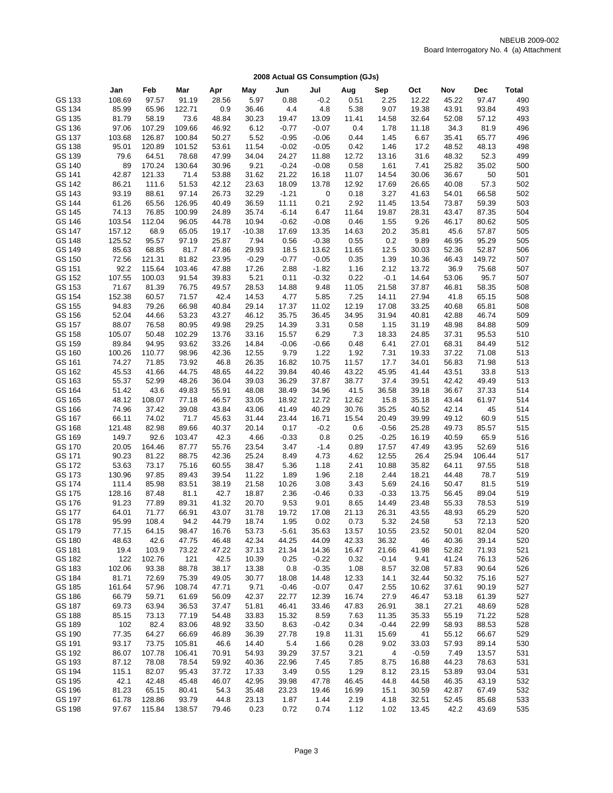| 2008 Actual GS Consumption (GJs) |  |
|----------------------------------|--|
|----------------------------------|--|

|                  | Jan             | Feb            | Mar             | Apr            | May            | Jun              | Jul              | Aug           | Sep           | Oct            | Nov            | Dec            | Total      |
|------------------|-----------------|----------------|-----------------|----------------|----------------|------------------|------------------|---------------|---------------|----------------|----------------|----------------|------------|
| GS 133           | 108.69          | 97.57          | 91.19           | 28.56          | 5.97           | 0.88             | $-0.2$           | 0.51          | 2.25          | 12.22          | 45.22          | 97.47          | 490        |
| GS 134           | 85.99           | 65.96          | 122.71          | 0.9            | 36.46          | 4.4              | 4.8              | 5.38          | 9.07          | 19.38          | 43.91          | 93.84          | 493        |
| GS 135           | 81.79           | 58.19          | 73.6            | 48.84          | 30.23          | 19.47            | 13.09            | 11.41         | 14.58         | 32.64          | 52.08          | 57.12          | 493        |
| GS 136           | 97.06           | 107.29         | 109.66          | 46.92          | 6.12           | $-0.77$          | $-0.07$          | 0.4           | 1.78          | 11.18          | 34.3           | 81.9           | 496        |
| GS 137           | 103.68          | 126.87         | 100.84          | 50.27          | 5.52           | $-0.95$          | $-0.06$          | 0.44          | 1.45          | 6.67           | 35.41          | 65.77          | 496        |
| GS 138           | 95.01           | 120.89         | 101.52          | 53.61          | 11.54          | $-0.02$          | $-0.05$          | 0.42          | 1.46          | 17.2           | 48.52          | 48.13          | 498        |
| GS 139           | 79.6            | 64.51          | 78.68           | 47.99          | 34.04          | 24.27            | 11.88            | 12.72         | 13.16         | 31.6           | 48.32          | 52.3           | 499        |
| GS 140           | 89              | 170.24         | 130.64          | 30.96          | 9.21           | $-0.24$          | $-0.08$          | 0.58          | 1.61          | 7.41           | 25.82          | 35.02          | 500        |
| GS 141           | 42.87           | 121.33         | 71.4            | 53.88          | 31.62          | 21.22            | 16.18            | 11.07         | 14.54         | 30.06          | 36.67          | 50             | 501        |
| GS 142           | 86.21           | 111.6          | 51.53           | 42.12          | 23.63          | 18.09            | 13.78            | 12.92         | 17.69         | 26.65          | 40.08          | 57.3           | 502        |
| GS 143           | 93.19           | 88.61          | 97.14           | 26.73          | 32.29          | $-1.21$          | 0                | 0.18          | 3.27          | 41.63          | 54.01          | 66.58          | 502        |
| GS 144           | 61.26           | 65.56          | 126.95          | 40.49          | 36.59          | 11.11            | 0.21             | 2.92          | 11.45         | 13.54          | 73.87          | 59.39          | 503        |
| GS 145           | 74.13           | 76.85          | 100.99          | 24.89          | 35.74          | $-6.14$          | 6.47             | 11.64         | 19.87         | 28.31          | 43.47          | 87.35          | 504        |
| GS 146           | 103.54          | 112.04         | 96.05           | 44.78          | 10.94          | $-0.62$          | $-0.08$          | 0.46          | 1.55          | 9.26           | 46.17          | 80.62          | 505        |
| GS 147           | 157.12          | 68.9           | 65.05           | 19.17          | $-10.38$       | 17.69            | 13.35            | 14.63         | 20.2          | 35.81          | 45.6           | 57.87          | 505        |
| GS 148           | 125.52          | 95.57          | 97.19           | 25.87          | 7.94           | 0.56             | $-0.38$          | 0.55          | 0.2           | 9.89           | 46.95          | 95.29          | 505        |
| GS 149           | 85.63           | 68.85          | 81.7            | 47.86          | 29.93          | 18.5             | 13.62            | 11.65         | 12.5          | 30.03          | 52.36          | 52.87          | 506        |
| GS 150           | 72.56           | 121.31         | 81.82           | 23.95          | $-0.29$        | $-0.77$          | $-0.05$          | 0.35          | 1.39          | 10.36          | 46.43          | 149.72         | 507        |
| GS 151           | 92.2            | 115.64         | 103.46          | 47.88          | 17.26          | 2.88             | $-1.82$          | 1.16          | 2.12          | 13.72          | 36.9           | 75.68          | 507        |
| GS 152           | 107.55          | 100.03         | 91.54           | 39.83          | 5.21           | 0.11             | $-0.32$          | 0.22          | $-0.1$        | 14.64          | 53.06          | 95.7           | 507        |
| GS 153           | 71.67           | 81.39          | 76.75           | 49.57          | 28.53          | 14.88            | 9.48             | 11.05         | 21.58         | 37.87          | 46.81          | 58.35          | 508        |
| GS 154           | 152.38          | 60.57          | 71.57           | 42.4           | 14.53          | 4.77             | 5.85             | 7.25          | 14.11         | 27.94          | 41.8           | 65.15          | 508        |
| GS 155           | 94.83           | 79.26          | 66.98           | 40.84          | 29.14          | 17.37            | 11.02            | 12.19         | 17.08         | 33.25          | 40.68          | 65.81          | 508        |
| GS 156<br>GS 157 | 52.04<br>88.07  | 44.66<br>76.58 | 53.23           | 43.27<br>49.98 | 46.12          | 35.75            | 36.45<br>3.31    | 34.95         | 31.94         | 40.81          | 42.88          | 46.74          | 509        |
| GS 158           | 105.07          | 50.48          | 80.95<br>102.29 | 13.76          | 29.25<br>33.16 | 14.39<br>15.57   | 6.29             | 0.58<br>7.3   | 1.15<br>18.33 | 31.19<br>24.85 | 48.98<br>37.31 | 84.88<br>95.53 | 509<br>510 |
| GS 159           | 89.84           | 94.95          | 93.62           | 33.26          | 14.84          | $-0.06$          | $-0.66$          | 0.48          | 6.41          | 27.01          | 68.31          | 84.49          | 512        |
| GS 160           | 100.26          | 110.77         | 98.96           | 42.36          | 12.55          | 9.79             | 1.22             | 1.92          | 7.31          | 19.33          | 37.22          | 71.08          | 513        |
| GS 161           | 74.27           | 71.85          | 73.92           | 46.8           | 26.35          | 16.82            | 10.75            | 11.57         | 17.7          | 34.01          | 56.83          | 71.98          | 513        |
| GS 162           | 45.53           | 41.66          | 44.75           | 48.65          | 44.22          | 39.84            | 40.46            | 43.22         | 45.95         | 41.44          | 43.51          | 33.8           | 513        |
| GS 163           | 55.37           | 52.99          | 48.26           | 36.04          | 39.03          | 36.29            | 37.87            | 38.77         | 37.4          | 39.51          | 42.42          | 49.49          | 513        |
| GS 164           | 51.42           | 43.6           | 49.83           | 55.91          | 48.08          | 38.49            | 34.96            | 41.5          | 36.58         | 39.18          | 36.67          | 37.33          | 514        |
| GS 165           | 48.12           | 108.07         | 77.18           | 46.57          | 33.05          | 18.92            | 12.72            | 12.62         | 15.8          | 35.18          | 43.44          | 61.97          | 514        |
| GS 166           | 74.96           | 37.42          | 39.08           | 43.84          | 43.06          | 41.49            | 40.29            | 30.76         | 35.25         | 40.52          | 42.14          | 45             | 514        |
| GS 167           | 66.11           | 74.02          | 71.7            | 45.63          | 31.44          | 23.44            | 16.71            | 15.54         | 20.49         | 39.99          | 49.12          | 60.9           | 515        |
| GS 168           | 121.48          | 82.98          | 89.66           | 40.37          | 20.14          | 0.17             | $-0.2$           | 0.6           | $-0.56$       | 25.28          | 49.73          | 85.57          | 515        |
| GS 169           | 149.7           | 92.6           | 103.47          | 42.3           | 4.66           | $-0.33$          | 0.8              | 0.25          | $-0.25$       | 16.19          | 40.59          | 65.9           | 516        |
| GS 170           | 20.05           | 164.46         | 87.77           | 55.76          | 23.54          | 3.47             | $-1.4$           | 0.89          | 17.57         | 47.49          | 43.95          | 52.69          | 516        |
| GS 171           | 90.23           | 81.22          | 88.75           | 42.36          | 25.24          | 8.49             | 4.73             | 4.62          | 12.55         | 26.4           | 25.94          | 106.44         | 517        |
| GS 172           | 53.63           | 73.17          | 75.16           | 60.55          | 38.47          | 5.36             | 1.18             | 2.41          | 10.88         | 35.82          | 64.11          | 97.55          | 518        |
| GS 173           | 130.96          | 97.85          | 89.43           | 39.54          | 11.22          | 1.89             | 1.96             | 2.18          | 2.44          | 18.21          | 44.48          | 78.7           | 519        |
| GS 174           | 111.4           | 85.98          | 83.51           | 38.19          | 21.58          | 10.26            | 3.08             | 3.43          | 5.69          | 24.16          | 50.47          | 81.5           | 519        |
| GS 175           | 128.16          | 87.48          | 81.1            | 42.7           | 18.87          | 2.36             | $-0.46$          | 0.33          | $-0.33$       | 13.75          | 56.45          | 89.04          | 519        |
| GS 176           | 91.23           | 77.89          | 89.31           | 41.32          | 20.70          | 9.53             | 9.01             | 8.65          | 14.49         | 23.48          | 55.33          | 78.53          | 519        |
| GS 177           | 64.01           | 71.77          | 66.91           | 43.07          | 31.78          | 19.72            | 17.08            | 21.13         | 26.31         | 43.55          | 48.93          | 65.29          | 520        |
| GS 178           | 95.99           | 108.4          | 94.2            | 44.79          | 18.74          | 1.95             | 0.02             | 0.73          | 5.32          | 24.58          | 53             | 72.13          | 520        |
| GS 179           | 77.15           | 64.15          | 98.47           | 16.76          | 53.73          | $-5.61$          | 35.63            | 13.57         | 10.55         | 23.52          | 50.01          | 82.04          | 520        |
| GS 180           | 48.63           | 42.6           | 47.75           | 46.48          | 42.34          | 44.25            | 44.09            | 42.33         | 36.32         | 46             | 40.36          | 39.14          | 520        |
| GS 181           | 19.4            | 103.9          | 73.22           | 47.22          | 37.13          | 21.34            | 14.36            | 16.47         | 21.66         | 41.98          | 52.82          | 71.93          | 521        |
| GS 182           | 122             | 102.76         | 121             | 42.5           | 10.39          | 0.25             | $-0.22$          | 0.32          | $-0.14$       | 9.41           | 41.24          | 76.13          | 526        |
| GS 183           | 102.06          | 93.38          | 88.78           | 38.17          | 13.38          | 0.8              | $-0.35$          | 1.08          | 8.57          | 32.08          | 57.83          | 90.64          | 526        |
| GS 184<br>GS 185 | 81.71<br>161.64 | 72.69<br>57.96 | 75.39<br>108.74 | 49.05<br>47.71 | 30.77<br>9.71  | 18.08<br>$-0.46$ | 14.48<br>$-0.07$ | 12.33<br>0.47 | 14.1<br>2.55  | 32.44<br>10.62 | 50.32<br>37.61 | 75.16<br>90.19 | 527<br>527 |
| GS 186           | 66.79           | 59.71          | 61.69           | 56.09          | 42.37          | 22.77            | 12.39            | 16.74         | 27.9          | 46.47          | 53.18          | 61.39          | 527        |
| GS 187           | 69.73           | 63.94          | 36.53           | 37.47          | 51.81          | 46.41            | 33.46            | 47.83         | 26.91         | 38.1           | 27.21          | 48.69          | 528        |
| GS 188           | 85.15           | 73.13          | 77.19           | 54.48          | 33.83          | 15.32            | 8.59             | 7.63          | 11.35         | 35.33          | 55.19          | 71.22          | 528        |
| GS 189           | 102             | 82.4           | 83.06           | 48.92          | 33.50          | 8.63             | $-0.42$          | 0.34          | $-0.44$       | 22.99          | 58.93          | 88.53          | 528        |
| GS 190           | 77.35           | 64.27          | 66.69           | 46.89          | 36.39          | 27.78            | 19.8             | 11.31         | 15.69         | 41             | 55.12          | 66.67          | 529        |
| GS 191           | 93.17           | 73.75          | 105.81          | 46.6           | 14.40          | 5.4              | 1.66             | 0.28          | 9.02          | 33.03          | 57.93          | 89.14          | 530        |
| GS 192           | 86.07           | 107.78         | 106.41          | 70.91          | 54.93          | 39.29            | 37.57            | 3.21          | 4             | $-0.59$        | 7.49           | 13.57          | 531        |
| GS 193           | 87.12           | 78.08          | 78.54           | 59.92          | 40.36          | 22.96            | 7.45             | 7.85          | 8.75          | 16.88          | 44.23          | 78.63          | 531        |
| GS 194           | 115.1           | 82.07          | 95.43           | 37.72          | 17.33          | 3.49             | 0.55             | 1.29          | 8.12          | 23.15          | 53.89          | 93.04          | 531        |
| GS 195           | 42.1            | 42.48          | 45.48           | 46.07          | 42.95          | 39.98            | 47.78            | 46.45         | 44.8          | 44.58          | 46.35          | 43.19          | 532        |
| GS 196           | 81.23           | 65.15          | 80.41           | 54.3           | 35.48          | 23.23            | 19.46            | 16.99         | 15.1          | 30.59          | 42.87          | 67.49          | 532        |
| GS 197           | 61.78           | 128.86         | 93.79           | 44.8           | 23.13          | 1.87             | 1.44             | 2.19          | 4.18          | 32.51          | 52.45          | 85.68          | 533        |
| GS 198           | 97.67           | 115.84         | 138.57          | 79.46          | 0.23           | 0.72             | 0.74             | 1.12          | 1.02          | 13.45          | 42.2           | 43.69          | 535        |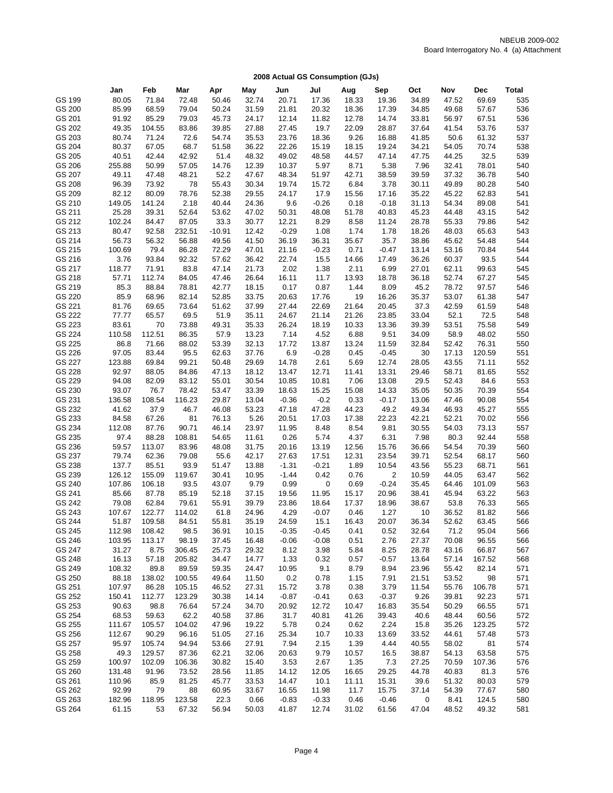|                  | Jan              | Feb              | Mar            | Apr            | May            | Jun                | Jul                | Aug           | Sep           | Oct            | Nov           | Dec            | Total      |
|------------------|------------------|------------------|----------------|----------------|----------------|--------------------|--------------------|---------------|---------------|----------------|---------------|----------------|------------|
| GS 199           | 80.05            | 71.84            | 72.48          | 50.46          | 32.74          | 20.71              | 17.36              | 18.33         | 19.36         | 34.89          | 47.52         | 69.69          | 535        |
| GS 200           | 85.99            | 68.59            | 79.04          | 50.24          | 31.59          | 21.81              | 20.32              | 18.36         | 17.39         | 34.85          | 49.68         | 57.67          | 536        |
| GS 201           | 91.92            | 85.29            | 79.03          | 45.73          | 24.17          | 12.14              | 11.82              | 12.78         | 14.74         | 33.81          | 56.97         | 67.51          | 536        |
| GS 202           | 49.35            | 104.55           | 83.86          | 39.85          | 27.88          | 27.45              | 19.7               | 22.09         | 28.87         | 37.64          | 41.54         | 53.76          | 537        |
| GS 203           | 80.74            | 71.24            | 72.6           | 54.74          | 35.53          | 23.76              | 18.36              | 9.26          | 16.88         | 41.85          | 50.6          | 61.32          | 537        |
| GS 204           | 80.37            | 67.05            | 68.7           | 51.58          | 36.22          | 22.26              | 15.19              | 18.15         | 19.24         | 34.21          | 54.05         | 70.74          | 538        |
| GS 205           | 40.51            | 42.44            | 42.92          | 51.4           | 48.32          | 49.02              | 48.58              | 44.57         | 47.14         | 47.75          | 44.25         | 32.5           | 539        |
| GS 206           | 255.88           | 50.99            | 57.05          | 14.76          | 12.39          | 10.37              | 5.97               | 8.71          | 5.38          | 7.96           | 32.41         | 78.01          | 540        |
| GS 207           | 49.11            | 47.48            | 48.21          | 52.2           | 47.67          | 48.34              | 51.97              | 42.71         | 38.59         | 39.59          | 37.32         | 36.78          | 540        |
| GS 208           | 96.39            | 73.92            | 78             | 55.43          | 30.34          | 19.74              | 15.72              | 6.84          | 3.78          | 30.11          | 49.89         | 80.28          | 540        |
| GS 209           | 82.12            | 80.09            | 78.76          | 52.38          | 29.55          | 24.17              | 17.9               | 15.56         | 17.16         | 35.22          | 45.22         | 62.83          | 541        |
| GS 210           | 149.05           | 141.24           | 2.18           | 40.44          | 24.36          | 9.6                | $-0.26$            | 0.18          | $-0.18$       | 31.13          | 54.34         | 89.08          | 541        |
| GS 211           | 25.28            | 39.31            | 52.64          | 53.62          | 47.02          | 50.31              | 48.08              | 51.78         | 40.83         | 45.23          | 44.48         | 43.15          | 542        |
| GS 212           | 102.24           | 84.47            | 87.05          | 33.3           | 30.77          | 12.21              | 8.29               | 8.58          | 11.24         | 28.78          | 55.33         | 79.86          | 542        |
| GS 213           | 80.47            | 92.58            | 232.51         | $-10.91$       | 12.42          | $-0.29$            | 1.08               | 1.74          | 1.78          | 18.26          | 48.03         | 65.63          | 543        |
| GS 214           | 56.73            | 56.32            | 56.88          | 49.56          | 41.50          | 36.19              | 36.31              | 35.67         | 35.7          | 38.86          | 45.62         | 54.48          | 544        |
| GS 215           | 100.69           | 79.4             | 86.28          | 72.29          | 47.01          | 21.16              | $-0.23$            | 0.71          | $-0.47$       | 13.14          | 53.16         | 70.84          | 544        |
| GS 216           | 3.76             | 93.84            | 92.32          | 57.62          | 36.42          | 22.74              | 15.5               | 14.66         | 17.49         | 36.26          | 60.37         | 93.5           | 544        |
| GS 217           | 118.77           | 71.91            | 83.8           | 47.14          | 21.73          | 2.02               | 1.38               | 2.11          | 6.99          | 27.01          | 62.11         | 99.63          | 545        |
| GS 218           | 57.71            | 112.74           | 84.05          | 47.46          | 26.64          | 16.11              | 11.7               | 13.93         | 18.78         | 36.18          | 52.74         | 67.27          | 545        |
| GS 219           | 85.3             | 88.84            | 78.81          | 42.77          | 18.15          | 0.17               | 0.87               | 1.44          | 8.09          | 45.2           | 78.72         | 97.57          | 546        |
| GS 220           | 85.9             | 68.96            | 82.14          | 52.85          | 33.75          | 20.63              | 17.76              | 19            | 16.26         | 35.37          | 53.07         | 61.38          | 547        |
| GS 221           | 81.76            | 69.65            | 73.64          | 51.62          | 37.99          | 27.44              | 22.69<br>21.14     | 21.64         | 20.45         | 37.3           | 42.59         | 61.59          | 548        |
| GS 222<br>GS 223 | 77.77            | 65.57            | 69.5           | 51.9           | 35.11          | 24.67              |                    | 21.26         | 23.85         | 33.04          | 52.1          | 72.5<br>75.58  | 548<br>549 |
| GS 224           | 83.61<br>110.58  | 70<br>112.51     | 73.88<br>86.35 | 49.31<br>57.9  | 35.33<br>13.23 | 26.24<br>7.14      | 18.19<br>4.52      | 10.33<br>6.88 | 13.36<br>9.51 | 39.39<br>34.09 | 53.51<br>58.9 | 48.02          | 550        |
| GS 225           | 86.8             | 71.66            | 88.02          | 53.39          | 32.13          | 17.72              | 13.87              | 13.24         | 11.59         | 32.84          | 52.42         | 76.31          | 550        |
| GS 226           | 97.05            | 83.44            | 95.5           | 62.63          | 37.76          | 6.9                | $-0.28$            | 0.45          | $-0.45$       | 30             | 17.13         | 120.59         | 551        |
| GS 227           | 123.88           | 69.84            | 99.21          | 50.48          | 29.69          | 14.78              | 2.61               | 5.69          | 12.74         | 28.05          | 43.55         | 71.11          | 552        |
| GS 228           | 92.97            | 88.05            | 84.86          | 47.13          | 18.12          | 13.47              | 12.71              | 11.41         | 13.31         | 29.46          | 58.71         | 81.65          | 552        |
| GS 229           | 94.08            | 82.09            | 83.12          | 55.01          | 30.54          | 10.85              | 10.81              | 7.06          | 13.08         | 29.5           | 52.43         | 84.6           | 553        |
| GS 230           | 93.07            | 76.7             | 78.42          | 53.47          | 33.39          | 18.63              | 15.25              | 15.08         | 14.33         | 35.05          | 50.35         | 70.39          | 554        |
| GS 231           | 136.58           | 108.54           | 116.23         | 29.87          | 13.04          | $-0.36$            | $-0.2$             | 0.33          | $-0.17$       | 13.06          | 47.46         | 90.08          | 554        |
| GS 232           | 41.62            | 37.9             | 46.7           | 46.08          | 53.23          | 47.18              | 47.28              | 44.23         | 49.2          | 49.34          | 46.93         | 45.27          | 555        |
| GS 233           | 84.58            | 67.26            | 81             | 76.13          | 5.26           | 20.51              | 17.03              | 17.38         | 22.23         | 42.21          | 52.21         | 70.02          | 556        |
| GS 234           | 112.08           | 87.76            | 90.71          | 46.14          | 23.97          | 11.95              | 8.48               | 8.54          | 9.81          | 30.55          | 54.03         | 73.13          | 557        |
| GS 235           | 97.4             | 88.28            | 108.81         | 54.65          | 11.61          | 0.26               | 5.74               | 4.37          | 6.31          | 7.98           | 80.3          | 92.44          | 558        |
| GS 236           | 59.57            | 113.07           | 83.96          | 48.08          | 31.75          | 20.16              | 13.19              | 12.56         | 15.76         | 36.66          | 54.54         | 70.39          | 560        |
| GS 237           | 79.74            | 62.36            | 79.08          | 55.6           | 42.17          | 27.63              | 17.51              | 12.31         | 23.54         | 39.71          | 52.54         | 68.17          | 560        |
| GS 238           | 137.7            | 85.51            | 93.9           | 51.47          | 13.88          | $-1.31$            | $-0.21$            | 1.89          | 10.54         | 43.56          | 55.23         | 68.71          | 561        |
| GS 239           | 126.12           | 155.09           | 119.67         | 30.41          | 10.95          | $-1.44$            | 0.42               | 0.76          | 2             | 10.59          | 44.05         | 63.47          | 562        |
| GS 240           | 107.86           | 106.18           | 93.5           | 43.07          | 9.79           | 0.99               | $\mathbf 0$        | 0.69          | $-0.24$       | 35.45          | 64.46         | 101.09         | 563        |
| GS 241           | 85.66            | 87.78            | 85.19          | 52.18          | 37.15          | 19.56              | 11.95              | 15.17         | 20.96         | 38.41          | 45.94         | 63.22          | 563        |
| GS 242           | 79.08            | 62.84            | 79.61          | 55.91          | 39.79          | 23.86              | 18.64              | 17.37         | 18.96         | 38.67          | 53.8          | 76.33          | 565        |
| GS 243           | 107.67           | 122.77           | 114.02         | 61.8           | 24.96          | 4.29               | $-0.07$            | 0.46          | 1.27          | 10             | 36.52         | 81.82          | 566        |
| GS 244           | 51.87            | 109.58           | 84.51          | 55.81          | 35.19          | 24.59              | 15.1               | 16.43         | 20.07         | 36.34          | 52.62         | 63.45          | 566        |
| GS 245<br>GS 246 | 112.98<br>103.95 | 108.42<br>113.17 | 98.5<br>98.19  | 36.91<br>37.45 | 10.15<br>16.48 | $-0.35$<br>$-0.06$ | $-0.45$<br>$-0.08$ | 0.41<br>0.51  | 0.52<br>2.76  | 32.64<br>27.37 | 71.2<br>70.08 | 95.04<br>96.55 | 566<br>566 |
| GS 247           | 31.27            | 8.75             | 306.45         | 25.73          | 29.32          | 8.12               | 3.98               | 5.84          | 8.25          | 28.78          | 43.16         | 66.87          | 567        |
| GS 248           | 16.13            | 57.18            | 205.82         | 34.47          | 14.77          | 1.33               | 0.32               | 0.57          | $-0.57$       | 13.64          | 57.14         | 167.52         | 568        |
| GS 249           | 108.32           | 89.8             | 89.59          | 59.35          | 24.47          | 10.95              | 9.1                | 8.79          | 8.94          | 23.96          | 55.42         | 82.14          | 571        |
| GS 250           | 88.18            | 138.02           | 100.55         | 49.64          | 11.50          | 0.2                | 0.78               | 1.15          | 7.91          | 21.51          | 53.52         | 98             | 571        |
| GS 251           | 107.97           | 86.28            | 105.15         | 46.52          | 27.31          | 15.72              | 3.78               | 0.38          | 3.79          | 11.54          | 55.76         | 106.78         | 571        |
| GS 252           | 150.41           | 112.77           | 123.29         | 30.38          | 14.14          | $-0.87$            | $-0.41$            | 0.63          | $-0.37$       | 9.26           | 39.81         | 92.23          | 571        |
| GS 253           | 90.63            | 98.8             | 76.64          | 57.24          | 34.70          | 20.92              | 12.72              | 10.47         | 16.83         | 35.54          | 50.29         | 66.55          | 571        |
| GS 254           | 68.53            | 59.63            | 62.2           | 40.58          | 37.86          | 31.7               | 40.81              | 41.26         | 39.43         | 40.6           | 48.44         | 60.56          | 572        |
| GS 255           | 111.67           | 105.57           | 104.02         | 47.96          | 19.22          | 5.78               | 0.24               | 0.62          | 2.24          | 15.8           | 35.26         | 123.25         | 572        |
| GS 256           | 112.67           | 90.29            | 96.16          | 51.05          | 27.16          | 25.34              | 10.7               | 10.33         | 13.69         | 33.52          | 44.61         | 57.48          | 573        |
| GS 257           | 95.97            | 105.74           | 94.94          | 53.66          | 27.91          | 7.94               | 2.15               | 1.39          | 4.44          | 40.55          | 58.02         | 81             | 574        |
| GS 258           | 49.3             | 129.57           | 87.36          | 62.21          | 32.06          | 20.63              | 9.79               | 10.57         | 16.5          | 38.87          | 54.13         | 63.58          | 575        |
| GS 259           | 100.97           | 102.09           | 106.36         | 30.82          | 15.40          | 3.53               | 2.67               | 1.35          | 7.3           | 27.25          | 70.59         | 107.36         | 576        |
| GS 260           | 131.48           | 91.96            | 73.52          | 28.56          | 11.85          | 14.12              | 12.05              | 16.65         | 29.25         | 44.78          | 40.83         | 81.3           | 576        |
| GS 261           | 110.96           | 85.9             | 81.25          | 45.77          | 33.53          | 14.47              | 10.1               | 11.11         | 15.31         | 39.6           | 51.32         | 80.03          | 579        |
| GS 262           | 92.99            | 79               | 88             | 60.95          | 33.67          | 16.55              | 11.98              | 11.7          | 15.75         | 37.14          | 54.39         | 77.67          | 580        |
| GS 263           | 182.96           | 118.95           | 123.58         | 22.3           | 0.66           | $-0.83$            | $-0.33$            | 0.46          | $-0.46$       | 0              | 8.41          | 124.5          | 580        |
| GS 264           | 61.15            | 53               | 67.32          | 56.94          | 50.03          | 41.87              | 12.74              | 31.02         | 61.56         | 47.04          | 48.52         | 49.32          | 581        |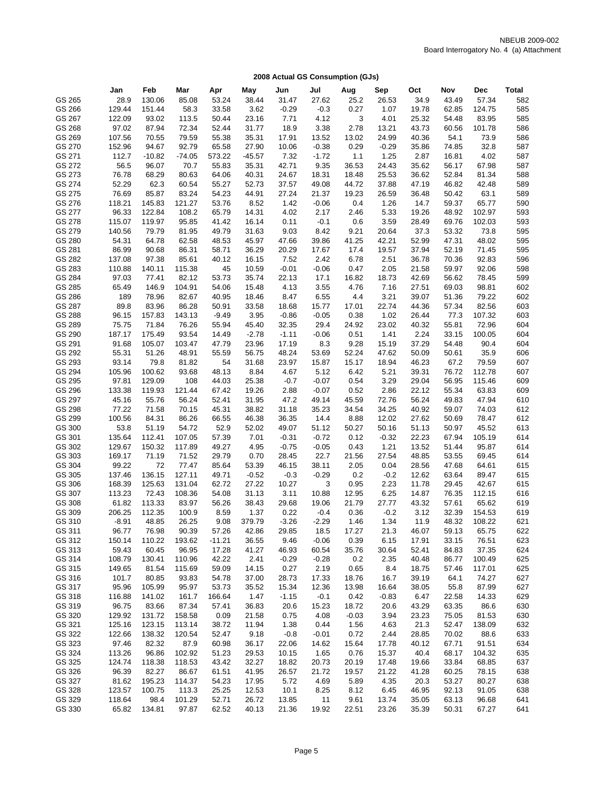|  | 2008 Actual GS Consumption (GJs) |  |
|--|----------------------------------|--|
|  |                                  |  |

|                  | Jan              | Feb              | Mar              |                | May            | Jun           | Jul             |               | Sep             | Oct            | Nov            | <b>Dec</b>      | Total      |
|------------------|------------------|------------------|------------------|----------------|----------------|---------------|-----------------|---------------|-----------------|----------------|----------------|-----------------|------------|
| GS 265           | 28.9             | 130.06           | 85.08            | Apr<br>53.24   | 38.44          | 31.47         | 27.62           | Aug<br>25.2   | 26.53           | 34.9           | 43.49          | 57.34           | 582        |
| GS 266           | 129.44           | 151.44           | 58.3             | 33.58          | 3.62           | $-0.29$       | $-0.3$          | 0.27          | 1.07            | 19.78          | 62.85          | 124.75          | 585        |
|                  |                  |                  |                  |                |                |               |                 |               |                 |                |                |                 | 585        |
| GS 267<br>GS 268 | 122.09           | 93.02            | 113.5            | 50.44          | 23.16          | 7.71          | 4.12            | 3             | 4.01            | 25.32          | 54.48          | 83.95           | 586        |
|                  | 97.02            | 87.94            | 72.34            | 52.44          | 31.77          | 18.9          | 3.38            | 2.78          | 13.21           | 43.73          | 60.56          | 101.78          |            |
| GS 269           | 107.56           | 70.55            | 79.59            | 55.38          | 35.31          | 17.91         | 13.52           | 13.02         | 24.99           | 40.36          | 54.1           | 73.9            | 586        |
| GS 270           | 152.96           | 94.67            | 92.79            | 65.58          | 27.90          | 10.06         | $-0.38$         | 0.29          | $-0.29$         | 35.86          | 74.85          | 32.8            | 587        |
| GS 271<br>GS 272 | 112.7            | $-10.82$         | $-74.05$         | 573.22         | $-45.57$       | 7.32          | $-1.72$         | 1.1           | 1.25            | 2.87           | 16.81          | 4.02            | 587        |
|                  | 56.5             | 96.07            | 70.7             | 55.83          | 35.31          | 42.71         | 9.35            | 36.53         | 24.43           | 35.62          | 56.17          | 67.98           | 587        |
| GS 273           | 76.78            | 68.29            | 80.63            | 64.06          | 40.31<br>52.73 | 24.67         | 18.31<br>49.08  | 18.48         | 25.53           | 36.62          | 52.84          | 81.34           | 588        |
| GS 274           | 52.29            | 62.3             | 60.54<br>83.24   | 55.27          |                | 37.57         |                 | 44.72         | 37.88           | 47.19          | 46.82          | 42.48           | 589        |
| GS 275           | 76.69            | 85.87            |                  | 54.23          | 44.91          | 27.24         | 21.37           | 19.23         | 26.59           | 36.48          | 50.42          | 63.1            | 589        |
| GS 276           | 118.21           | 145.83           | 121.27           | 53.76          | 8.52           | 1.42          | $-0.06$         | 0.4           | 1.26            | 14.7           | 59.37          | 65.77           | 590        |
| GS 277           | 96.33            | 122.84           | 108.2            | 65.79          | 14.31          | 4.02          | 2.17            | 2.46          | 5.33            | 19.26          | 48.92          | 102.97          | 593        |
| GS 278           | 115.07           | 119.97           | 95.85            | 41.42          | 16.14          | 0.11          | $-0.1$          | 0.6           | 3.59            | 28.49          | 69.76          | 102.03          | 593        |
| GS 279           | 140.56           | 79.79            | 81.95            | 49.79          | 31.63          | 9.03          | 8.42            | 9.21          | 20.64           | 37.3           | 53.32          | 73.8            | 595        |
| GS 280           | 54.31            | 64.78            | 62.58            | 48.53          | 45.97          | 47.66         | 39.86           | 41.25         | 42.21           | 52.99          | 47.31          | 48.02           | 595        |
| GS 281           | 86.99            | 90.68            | 86.31            | 58.71          | 36.29          | 20.29         | 17.67           | 17.4          | 19.57           | 37.94          | 52.19          | 71.45           | 595        |
| GS 282           | 137.08           | 97.38            | 85.61            | 40.12          | 16.15          | 7.52          | 2.42            | 6.78          | 2.51            | 36.78          | 70.36          | 92.83           | 596        |
| GS 283           | 110.88           | 140.11           | 115.38           | 45             | 10.59          | $-0.01$       | $-0.06$         | 0.47          | 2.05            | 21.58          | 59.97          | 92.06           | 598        |
| GS 284           | 97.03            | 77.41            | 82.12            | 53.73          | 35.74          | 22.13         | 17.1            | 16.82         | 18.73           | 42.69          | 56.62          | 78.45           | 599        |
| GS 285           | 65.49            | 146.9            | 104.91           | 54.06          | 15.48          | 4.13          | 3.55            | 4.76          | 7.16            | 27.51          | 69.03          | 98.81           | 602        |
| GS 286           | 189              | 78.96            | 82.67            | 40.95          | 18.46          | 8.47          | 6.55            | 4.4           | 3.21            | 39.07          | 51.36          | 79.22           | 602        |
| GS 287<br>GS 288 | 89.8             | 83.96            | 86.28            | 50.91          | 33.58          | 18.68         | 15.77           | 17.01         | 22.74           | 44.36          | 57.34          | 82.56           | 603        |
|                  | 96.15            | 157.83           | 143.13           | $-9.49$        | 3.95           | $-0.86$       | $-0.05$         | 0.38          | 1.02            | 26.44          | 77.3           | 107.32          | 603        |
| GS 289           | 75.75            | 71.84            | 76.26            | 55.94          | 45.40          | 32.35         | 29.4            | 24.92         | 23.02           | 40.32          | 55.81          | 72.96           | 604        |
| GS 290           | 187.17           | 175.49           | 93.54            | 14.49          | $-2.78$        | $-1.11$       | $-0.06$         | 0.51          | 1.41            | 2.24           | 33.15          | 100.05          | 604        |
| GS 291           | 91.68            | 105.07           | 103.47           | 47.79          | 23.96          | 17.19         | 8.3             | 9.28          | 15.19           | 37.29          | 54.48          | 90.4            | 604        |
| GS 292           | 55.31            | 51.26            | 48.91            | 55.59          | 56.75          | 48.24         | 53.69           | 52.24         | 47.62           | 50.09          | 50.61          | 35.9            | 606        |
| GS 293           | 93.14            | 79.8             | 81.82            | 54             | 31.68          | 23.97         | 15.87           | 15.17         | 18.94           | 46.23          | 67.2           | 79.59           | 607        |
| GS 294           | 105.96           | 100.62           | 93.68            | 48.13          | 8.84           | 4.67          | 5.12            | 6.42          | 5.21            | 39.31          | 76.72          | 112.78          | 607        |
| GS 295           | 97.81            | 129.09           | 108              | 44.03          | 25.38          | $-0.7$        | $-0.07$         | 0.54          | 3.29            | 29.04          | 56.95          | 115.46          | 609        |
| GS 296           | 133.38           | 119.93           | 121.44           | 67.42          | 19.26          | 2.88          | $-0.07$         | 0.52          | 2.86            | 22.12          | 55.34          | 63.83           | 609        |
| GS 297           | 45.16            | 55.76            | 56.24            | 52.41          | 31.95          | 47.2          | 49.14           | 45.59         | 72.76           | 56.24          | 49.83          | 47.94           | 610        |
| GS 298           | 77.22            | 71.58            | 70.15            | 45.31          | 38.82          | 31.18         | 35.23           | 34.54         | 34.25           | 40.92          | 59.07          | 74.03           | 612        |
| GS 299           | 100.56           | 84.31            | 86.26            | 66.55          | 46.38          | 36.35         | 14.4            | 8.88          | 12.02           | 27.62          | 50.69          | 78.47           | 612        |
| GS 300           | 53.8             | 51.19            | 54.72            | 52.9           | 52.02          | 49.07         | 51.12           | 50.27         | 50.16           | 51.13          | 50.97          | 45.52           | 613        |
| GS 301           | 135.64           | 112.41           | 107.05           | 57.39          | 7.01           | $-0.31$       | $-0.72$         | 0.12          | $-0.32$         | 22.23          | 67.94          | 105.19          | 614        |
| GS 302           | 129.67           | 150.32           | 117.89           | 49.27          | 4.95           | $-0.75$       | $-0.05$         | 0.43          | 1.21            | 13.52          | 51.44          | 95.87           | 614<br>614 |
| GS 303           | 169.17           | 71.19            | 71.52            | 29.79          | 0.70           | 28.45         | 22.7            | 21.56         | 27.54           | 48.85          | 53.55          | 69.45           |            |
| GS 304<br>GS 305 | 99.22            | 72               | 77.47            | 85.64          | 53.39          | 46.15         | 38.11           | 2.05          | 0.04            | 28.56          | 47.68          | 64.61           | 615        |
| GS 306           | 137.46           | 136.15<br>125.63 | 127.11           | 49.71<br>62.72 | $-0.52$        | $-0.3$        | $-0.29$<br>3    | 0.2           | $-0.2$          | 12.62<br>11.78 | 63.64          | 89.47           | 615        |
| GS 307           | 168.39<br>113.23 | 72.43            | 131.04<br>108.36 |                | 27.22          | 10.27         |                 | 0.95          | 2.23            |                | 29.45          | 42.67           | 615        |
| GS 308           |                  |                  |                  | 54.08          | 31.13          | 3.11          | 10.88<br>19.06  | 12.95         | 6.25            | 14.87          | 76.35          | 112.15          | 616        |
| GS 309           | 61.82<br>206.25  | 113.33<br>112.35 | 83.97<br>100.9   | 56.26<br>8.59  | 38.43<br>1.37  | 29.68<br>0.22 | $-0.4$          | 21.79<br>0.36 | 27.77<br>$-0.2$ | 43.32<br>3.12  | 57.61<br>32.39 | 65.62<br>154.53 | 619<br>619 |
| GS 310           | $-8.91$          | 48.85            | 26.25            | 9.08           | 379.79         | $-3.26$       | $-2.29$         | 1.46          | 1.34            | 11.9           | 48.32          | 108.22          | 621        |
| GS 311           | 96.77            | 76.98            | 90.39            | 57.26          | 42.86          | 29.85         | 18.5            | 17.27         | 21.3            | 46.07          | 59.13          | 65.75           | 622        |
| GS 312           | 150.14           | 110.22           | 193.62           | $-11.21$       | 36.55          | 9.46          | $-0.06$         | 0.39          | 6.15            | 17.91          | 33.15          | 76.51           | 623        |
| GS 313           | 59.43            | 60.45            | 96.95            | 17.28          | 41.27          | 46.93         | 60.54           | 35.76         | 30.64           | 52.41          | 84.83          | 37.35           | 624        |
| GS 314           | 108.79           | 130.41           | 110.96           | 42.22          | 2.41           | $-0.29$       | $-0.28$         | 0.2           | 2.35            | 40.48          | 86.77          | 100.49          | 625        |
| GS 315           | 149.65           | 81.54            | 115.69           | 59.09          | 14.15          | 0.27          | 2.19            | 0.65          | 8.4             | 18.75          | 57.46          | 117.01          | 625        |
| GS 316           | 101.7            | 80.85            | 93.83            | 54.78          | 37.00          | 28.73         | 17.33           | 18.76         | 16.7            | 39.19          | 64.1           | 74.27           | 627        |
| GS 317           | 95.96            | 105.99           | 95.97            | 53.73          | 35.52          | 15.34         | 12.36           | 13.98         | 16.64           | 38.05          | 55.8           | 87.99           | 627        |
| GS 318           | 116.88           | 141.02           | 161.7            | 166.64         | 1.47           | $-1.15$       | $-0.1$          | 0.42          | $-0.83$         | 6.47           | 22.58          | 14.33           | 629        |
| GS 319           | 96.75            | 83.66            | 87.34            | 57.41          | 36.83          | 20.6          | 15.23           | 18.72         | 20.6            | 43.29          | 63.35          | 86.6            | 630        |
| GS 320           | 129.92           | 131.72           | 158.58           | 0.09           | 21.58          | 0.75          | 4.08            | $-0.03$       | 3.94            | 23.23          | 75.05          | 81.53           | 630        |
| GS 321           | 125.16           | 123.15           | 113.14           | 38.72          | 11.94          | 1.38          |                 | 1.56          |                 | 21.3           | 52.47          | 138.09          | 632        |
| GS 322           | 122.66           | 138.32           | 120.54           | 52.47          | 9.18           | $-0.8$        | 0.44<br>$-0.01$ | 0.72          | 4.63<br>2.44    | 28.85          | 70.02          | 88.6            | 633        |
| GS 323           | 97.46            | 82.32            | 87.9             | 60.98          | 36.17          | 22.06         |                 | 15.64         | 17.78           | 40.12          | 67.71          | 91.51           | 634        |
| GS 324           |                  |                  |                  |                |                |               | 14.62           |               |                 |                |                |                 |            |
| GS 325           | 113.26           | 96.86            | 102.92           | 51.23          | 29.53          | 10.15         | 1.65            | 0.76          | 15.37           | 40.4           | 68.17          | 104.32          | 635        |
|                  | 124.74           | 118.38           | 118.53           | 43.42          | 32.27          | 18.82         | 20.73           | 20.19         | 17.48           | 19.66          | 33.84          | 68.85           | 637        |
| GS 326           | 96.39            | 82.27            | 86.67            | 61.51          | 41.95          | 26.57         | 21.72           | 19.57         | 21.22           | 41.28          | 60.25          | 78.15           | 638        |
| GS 327           | 81.62            | 195.23           | 114.37           | 54.23          | 17.95          | 5.72          | 4.69            | 5.89          | 4.35            | 20.3           | 53.27          | 80.27           | 638        |
| GS 328           | 123.57           | 100.75           | 113.3            | 25.25          | 12.53          | 10.1          | 8.25            | 8.12          | 6.45            | 46.95          | 92.13          | 91.05           | 638        |
| GS 329           | 118.64           | 98.4             | 101.29           | 52.71          | 26.72          | 13.85         | 11              | 9.61          | 13.74           | 35.05          | 63.13          | 96.68           | 641        |
| GS 330           | 65.82            | 134.81           | 97.87            | 62.52          | 40.13          | 21.36         | 19.92           | 22.51         | 23.26           | 35.39          | 50.31          | 67.27           | 641        |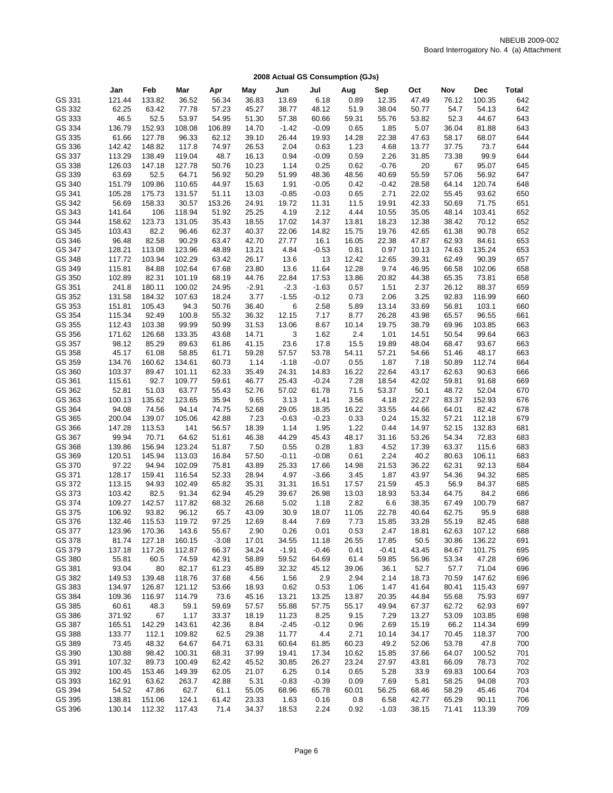|                  | Jan              | Feb              | Mar              | Apr              | May            | Jun              | Jul              | Aug           | Sep           | Oct            | Nov            | <b>Dec</b>       | <b>Total</b> |
|------------------|------------------|------------------|------------------|------------------|----------------|------------------|------------------|---------------|---------------|----------------|----------------|------------------|--------------|
| GS 331           | 121.44           | 133.82           | 36.52            | 56.34            | 36.83          | 13.69            | 6.18             | 0.89          | 12.35         | 47.49          | 76.12          | 100.35           | 642          |
| GS 332           | 62.25            | 63.42            | 77.78            | 57.23            | 45.27          | 38.77            | 48.12            | 51.9          | 38.04         | 50.77          | 54.7           | 54.13            | 642          |
| GS 333           | 46.5             | 52.5             | 53.97            | 54.95            | 51.30          | 57.38            | 60.66            | 59.31         | 55.76         | 53.82          | 52.3           | 44.67            | 643          |
| GS 334           | 136.79           | 152.93           | 108.08           | 106.89           | 14.70          | $-1.42$          | $-0.09$          | 0.65          | 1.85          | 5.07           | 36.04          | 81.88            | 643          |
| GS 335           | 61.66            | 127.78           | 96.33            | 62.12            | 39.10          | 26.44            | 19.93            | 14.28         | 22.38         | 47.63          | 58.17          | 68.07            | 644          |
| GS 336           | 142.42           | 148.82           | 117.8            | 74.97            | 26.53          | 2.04             | 0.63             | 1.23          | 4.68          | 13.77          | 37.75          | 73.7             | 644          |
| GS 337           | 113.29           | 138.49           | 119.04           | 48.7             | 16.13          | 0.94             | $-0.09$          | 0.59          | 2.26          | 31.85          | 73.38          | 99.9             | 644          |
| GS 338           | 126.03           | 147.18           | 127.78           | 50.76            | 10.23          | 1.14             | 0.25             | 0.62          | $-0.76$       | 20             | 67             | 95.07            | 645          |
| GS 339           | 63.69            | 52.5             | 64.71            | 56.92            | 50.29          | 51.99            | 48.36            | 48.56         | 40.69         | 55.59          | 57.06          | 56.92            | 647          |
| GS 340           | 151.79           | 109.86           | 110.65           | 44.97            | 15.63          | 1.91             | $-0.05$          | 0.42          | $-0.42$       | 28.58          | 64.14          | 120.74           | 648          |
| GS 341           | 105.28           | 175.73           | 131.57           | 51.11            | 13.03          | $-0.85$          | $-0.03$          | 0.65          | 2.71          | 22.02          | 55.45          | 93.62            | 650          |
| GS 342           | 56.69            | 158.33           | 30.57            | 153.26           | 24.91          | 19.72            | 11.31            | 11.5          | 19.91         | 42.33          | 50.69          | 71.75            | 651          |
| GS 343           | 141.64           | 106              | 118.94           | 51.92            | 25.25          | 4.19             | 2.12             | 4.44          | 10.55         | 35.05          | 48.14          | 103.41           | 652          |
| GS 344           | 158.62           | 123.73           | 131.05           | 35.43            | 18.55          | 17.02            | 14.37            | 13.81         | 18.23         | 12.38          | 38.42          | 70.12            | 652          |
| GS 345           | 103.43           | 82.2             | 96.46            | 62.37            | 40.37          | 22.06            | 14.82            | 15.75         | 19.76         | 42.65          | 61.38          | 90.78            | 652          |
| GS 346           | 96.48            | 82.58            | 90.29            | 63.47            | 42.70          | 27.77            | 16.1             | 16.05         | 22.38         | 47.87          | 62.93          | 84.61            | 653          |
| GS 347           | 128.21           | 113.08           | 123.96           | 48.89            | 13.21          | 4.84             | $-0.53$          | 0.81          | 0.97          | 10.13          | 74.63          | 135.24           | 653          |
| GS 348           | 117.72           | 103.94           | 102.29           | 63.42            | 26.17          | 13.6             | 13               | 12.42         | 12.65         | 39.31          | 62.49          | 90.39            | 657          |
| GS 349           | 115.81           | 84.88            | 102.64           | 67.68            | 23.80          | 13.6             | 11.64            | 12.28         | 9.74          | 46.95          | 66.58          | 102.06           | 658          |
| GS 350           | 102.89           | 82.31            | 101.19           | 68.19            | 44.76          | 22.84            | 17.53            | 13.86         | 20.82         | 44.38          | 65.35          | 73.81            | 658          |
| GS 351           | 241.8            | 180.11           | 100.02           | 24.95            | $-2.91$        | $-2.3$           | $-1.63$          | 0.57          | 1.51          | 2.37           | 26.12          | 88.37            | 659          |
| GS 352<br>GS 353 | 131.58           | 184.32           | 107.63           | 18.24<br>50.76   | 3.77           | $-1.55$          | $-0.12$          | 0.73          | 2.06<br>13.14 | 3.25           | 92.83          | 116.99           | 660          |
| GS 354           | 151.81<br>115.34 | 105.43<br>92.49  | 94.3<br>100.8    | 55.32            | 36.40<br>36.32 | 6<br>12.15       | 2.58<br>7.17     | 5.89<br>8.77  | 26.28         | 33.69<br>43.98 | 56.81<br>65.57 | 103.1<br>96.55   | 660<br>661   |
| GS 355           | 112.43           | 103.38           | 99.99            | 50.99            | 31.53          | 13.06            | 8.67             | 10.14         | 19.75         | 38.79          | 69.96          | 103.85           | 663          |
| GS 356           | 171.62           | 126.68           | 133.35           | 43.68            | 14.71          | 3                | 1.62             | 2.4           | 1.01          | 14.51          | 50.54          | 99.64            | 663          |
| GS 357           | 98.12            | 85.29            | 89.63            | 61.86            | 41.15          | 23.6             | 17.8             | 15.5          | 19.89         | 48.04          | 68.47          | 93.67            | 663          |
| GS 358           | 45.17            | 61.08            | 58.85            | 61.71            | 59.28          | 57.57            | 53.78            | 54.11         | 57.21         | 54.66          | 51.46          | 48.17            | 663          |
| GS 359           | 134.76           | 160.62           | 134.61           | 60.73            | 1.14           | $-1.18$          | $-0.07$          | 0.55          | 1.87          | 7.18           | 50.89          | 112.74           | 664          |
| GS 360           | 103.37           | 89.47            | 101.11           | 62.33            | 35.49          | 24.31            | 14.83            | 16.22         | 22.64         | 43.17          | 62.63          | 90.63            | 666          |
| GS 361           | 115.61           | 92.7             | 109.77           | 59.61            | 46.77          | 25.43            | $-0.24$          | 7.28          | 18.54         | 42.02          | 59.81          | 91.68            | 669          |
| GS 362           | 52.81            | 51.03            | 63.77            | 55.43            | 52.76          | 57.02            | 61.78            | 71.5          | 53.37         | 50.1           | 48.72          | 52.04            | 670          |
| GS 363           | 100.13           | 135.62           | 123.65           | 35.94            | 9.65           | 3.13             | 1.41             | 3.56          | 4.18          | 22.27          | 83.37          | 152.93           | 676          |
| GS 364           | 94.08            | 74.56            | 94.14            | 74.75            | 52.68          | 29.05            | 18.35            | 16.22         | 33.55         | 44.66          | 64.01          | 82.42            | 678          |
| GS 365           | 200.04           | 139.07           | 105.06           | 42.88            | 7.23           | $-0.63$          | $-0.23$          | 0.33          | 0.24          | 15.32          | 57.21          | 112.18           | 679          |
| GS 366           | 147.28           | 113.53           | 141              | 56.57            | 18.39          | 1.14             | 1.95             | 1.22          | 0.44          | 14.97          | 52.15          | 132.83           | 681          |
| GS 367           | 99.94            | 70.71            | 64.62            | 51.61            | 46.38          | 44.29            | 45.43            | 48.17         | 31.16         | 53.26          | 54.34          | 72.83            | 683          |
| GS 368           | 139.86           | 156.94           | 123.24           | 51.87            | 7.50           | 0.55             | 0.28             | 1.83          | 4.52          | 17.39          | 63.37          | 115.6            | 683          |
| GS 369           | 120.51           | 145.94           | 113.03           | 16.84            | 57.50          | $-0.11$          | $-0.08$          | 0.61          | 2.24          | 40.2           | 80.63          | 106.11           | 683          |
| GS 370           | 97.22            | 94.94            | 102.09           | 75.81            | 43.89          | 25.33            | 17.66            | 14.98         | 21.53         | 36.22          | 62.31          | 92.13            | 684          |
| GS 371           | 128.17           | 159.41           | 116.54           | 52.33            | 28.94          | 4.97             | $-3.66$          | 3.45          | 1.87          | 43.97          | 54.36          | 94.32            | 685          |
| GS 372           | 113.15           | 94.93            | 102.49           | 65.82            | 35.31          | 31.31            | 16.51            | 17.57         | 21.59         | 45.3           | 56.9           | 84.37            | 685          |
| GS 373           | 103.42           | 82.5             | 91.34            | 62.94            | 45.29          | 39.67            | 26.98            | 13.03         | 18.93         | 53.34          | 64.75          | 84.2             | 686          |
| GS 374           | 109.27           | 142.57           | 117.82           | 68.32            | 26.68          | 5.02             | 1.18             | 2.82          | 6.6           | 38.35          | 67.49          | 100.79           | 687          |
| GS 375           | 106.92           | 93.82            | 96.12            | 65.7             | 43.09          | 30.9             | 18.07            | 11.05         | 22.78         | 40.64          | 62.75          | 95.9             | 688          |
| GS 376           | 132.46           | 115.53           | 119.72           | 97.25            | 12.69          | 8.44             | 7.69             | 7.73          | 15.85         | 33.28          | 55.19          | 82.45            | 688          |
| GS 377           | 123.96           | 170.36           | 143.6            | 55.67            | 2.90           | 0.26             | 0.01             | 0.53<br>26.55 | 2.47<br>17.85 | 18.81          | 62.63          | 107.12           | 688          |
| GS 378<br>GS 379 | 81.74<br>137.18  | 127.18<br>117.26 | 160.15<br>112.87 | $-3.08$<br>66.37 | 17.01<br>34.24 | 34.55<br>$-1.91$ | 11.18<br>$-0.46$ | 0.41          | $-0.41$       | 50.5<br>43.45  | 30.86<br>84.67 | 136.22<br>101.75 | 691<br>695   |
| GS 380           | 55.81            | 60.5             | 74.59            | 42.91            | 58.89          | 59.52            | 64.69            | 61.4          | 59.85         | 56.96          | 53.34          | 47.28            | 696          |
| GS 381           | 93.04            | 80               | 82.17            | 61.23            | 45.89          | 32.32            | 45.12            | 39.06         | 36.1          | 52.7           | 57.7           | 71.04            | 696          |
| GS 382           | 149.53           | 139.48           | 118.76           | 37.68            | 4.56           | 1.56             | 2.9              | 2.94          | 2.14          | 18.73          | 70.59          | 147.62           | 696          |
| GS 383           | 134.97           | 126.87           | 121.12           | 53.66            | 18.93          | 0.62             | 0.53             | 1.06          | 1.47          | 41.64          | 80.41          | 115.43           | 697          |
| GS 384           | 109.36           | 116.97           | 114.79           | 73.6             | 45.16          | 13.21            | 13.25            | 13.87         | 20.35         | 44.84          | 55.68          | 75.93            | 697          |
| GS 385           | 60.61            | 48.3             | 59.1             | 59.69            | 57.57          | 55.88            | 57.75            | 55.17         | 49.94         | 67.37          | 62.72          | 62.93            | 697          |
| GS 386           | 371.92           | 67               | 1.17             | 33.37            | 18.19          | 11.23            | 8.25             | 9.15          | 7.29          | 13.27          | 53.09          | 103.85           | 698          |
| GS 387           | 165.51           | 142.29           | 143.61           | 42.36            | 8.84           | $-2.45$          | $-0.12$          | 0.96          | 2.69          | 15.19          | 66.2           | 114.34           | 699          |
| GS 388           | 133.77           | 112.1            | 109.82           | 62.5             | 29.38          | 11.77            | 4.4              | 2.71          | 10.14         | 34.17          | 70.45          | 118.37           | 700          |
| GS 389           | 73.45            | 48.32            | 64.67            | 64.71            | 63.31          | 60.64            | 61.85            | 60.23         | 49.2          | 52.06          | 53.78          | 47.8             | 700          |
| GS 390           | 130.88           | 98.42            | 100.31           | 68.31            | 37.99          | 19.41            | 17.34            | 10.62         | 15.85         | 37.66          | 64.07          | 100.52           | 701          |
| GS 391           | 107.32           | 89.73            | 100.49           | 62.42            | 45.52          | 30.85            | 26.27            | 23.24         | 27.97         | 43.81          | 66.09          | 78.73            | 702          |
| GS 392           | 100.45           | 153.46           | 149.39           | 62.05            | 21.07          | 6.25             | 0.14             | 0.65          | 5.28          | 33.9           | 69.83          | 100.64           | 703          |
| GS 393           | 162.91           | 63.62            | 263.7            | 42.88            | 5.31           | $-0.83$          | $-0.39$          | 0.09          | 7.69          | 5.81           | 58.25          | 94.08            | 703          |
| GS 394           | 54.52            | 47.86            | 62.7             | 61.1             | 55.05          | 68.96            | 65.78            | 60.01         | 56.25         | 68.46          | 58.29          | 45.46            | 704          |
| GS 395           | 138.81           | 151.06           | 124.1            | 61.42            | 23.33          | 1.63             | 0.16             | 0.8           | 6.58          | 42.77          | 65.29          | 90.11            | 706          |
| GS 396           | 130.14           | 112.32           | 117.43           | 71.4             | 34.37          | 18.53            | 2.24             | 0.92          | $-1.03$       | 38.15          | 71.41          | 113.39           | 709          |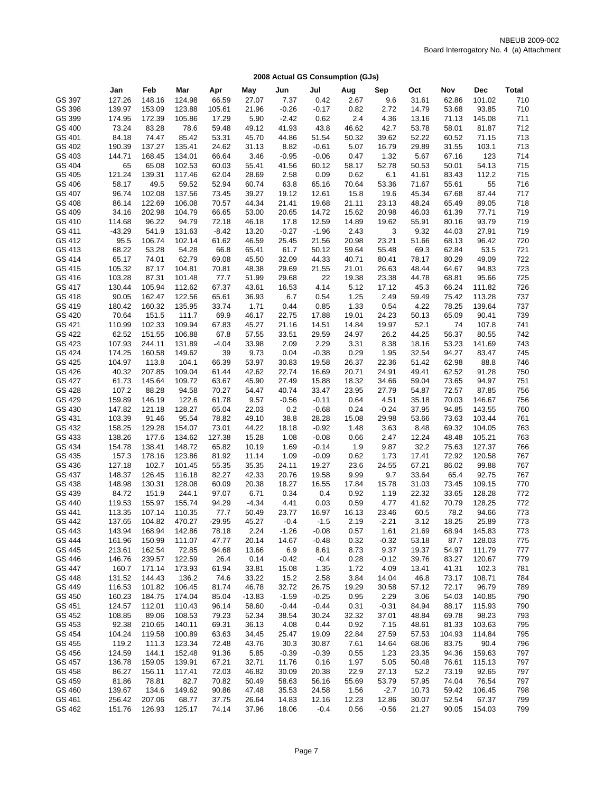|        | Jan      | Feb    | Mar    | Apr      | May      | Jun     | Jul     | Aug   | Sep     | Oct            | Nov    | Dec    | <b>Total</b> |
|--------|----------|--------|--------|----------|----------|---------|---------|-------|---------|----------------|--------|--------|--------------|
| GS 397 | 127.26   | 148.16 | 124.98 | 66.59    | 27.07    | 7.37    | 0.42    | 2.67  | 9.6     | 31.61          | 62.86  | 101.02 | 710          |
|        |          |        |        |          |          |         |         |       |         |                | 53.68  |        |              |
| GS 398 | 139.97   | 153.09 | 123.88 | 105.61   | 21.96    | $-0.26$ | $-0.17$ | 0.82  | 2.72    | 14.79          |        | 93.85  | 710          |
| GS 399 | 174.95   | 172.39 | 105.86 | 17.29    | 5.90     | $-2.42$ | 0.62    | 2.4   | 4.36    | 13.16          | 71.13  | 145.08 | 711          |
| GS 400 | 73.24    | 83.28  | 78.6   | 59.48    | 49.12    | 41.93   | 43.8    | 46.62 | 42.7    | 53.78          | 58.01  | 81.87  | 712          |
| GS 401 | 84.18    | 74.47  | 85.42  | 53.31    | 45.70    | 44.86   | 51.54   | 50.32 | 39.62   | 52.22          | 60.52  | 71.15  | 713          |
| GS 402 | 190.39   | 137.27 | 135.41 | 24.62    | 31.13    | 8.82    | $-0.61$ | 5.07  | 16.79   | 29.89          | 31.55  | 103.1  | 713          |
| GS 403 | 144.71   | 168.45 | 134.01 | 66.64    | 3.46     | $-0.95$ | $-0.06$ | 0.47  | 1.32    | 5.67           | 67.16  | 123    | 714          |
| GS 404 | 65       | 65.08  | 102.53 | 60.03    | 55.41    | 41.56   | 60.12   | 58.17 | 52.78   | 50.53          | 50.01  | 54.13  | 715          |
| GS 405 | 121.24   | 139.31 | 117.46 | 62.04    | 28.69    | 2.58    | 0.09    | 0.62  | 6.1     | 41.61          | 83.43  | 112.2  | 715          |
| GS 406 | 58.17    | 49.5   | 59.52  | 52.94    | 60.74    | 63.8    | 65.16   | 70.64 | 53.36   | 71.67          | 55.61  | 55     | 716          |
| GS 407 | 96.74    | 102.08 | 137.56 | 73.45    | 39.27    | 19.12   | 12.61   | 15.8  | 19.6    | 45.34          | 67.68  | 87.44  | 717          |
| GS 408 | 86.14    | 122.69 | 106.08 | 70.57    | 44.34    | 21.41   | 19.68   | 21.11 | 23.13   | 48.24          | 65.49  | 89.05  | 718          |
| GS 409 | 34.16    | 202.98 | 104.79 | 66.65    | 53.00    | 20.65   | 14.72   | 15.62 | 20.98   | 46.03          | 61.39  | 77.71  | 719          |
| GS 410 | 114.68   | 96.22  | 94.79  | 72.18    | 46.18    | 17.8    | 12.59   | 14.89 | 19.62   | 55.91          | 80.16  | 93.79  | 719          |
| GS 411 | $-43.29$ | 541.9  | 131.63 | $-8.42$  | 13.20    | $-0.27$ | $-1.96$ | 2.43  | 3       | 9.32           | 44.03  | 27.91  | 719          |
| GS 412 | 95.5     | 106.74 | 102.14 | 61.62    | 46.59    | 25.45   | 21.56   | 20.98 | 23.21   | 51.66          | 68.13  | 96.42  | 720          |
| GS 413 | 68.22    | 53.28  | 54.28  | 66.8     | 65.41    | 61.7    | 50.12   | 59.64 | 55.48   | 69.3           | 62.84  | 53.5   | 721          |
| GS 414 | 65.17    | 74.01  | 62.79  | 69.08    | 45.50    | 32.09   | 44.33   | 40.71 | 80.41   | 78.17          | 80.29  | 49.09  | 722          |
| GS 415 | 105.32   | 87.17  | 104.81 | 70.81    | 48.38    | 29.69   | 21.55   | 21.01 | 26.63   | 48.44          | 64.67  | 94.83  | 723          |
| GS 416 | 103.28   | 87.31  | 101.48 | 77.7     | 51.99    | 29.68   | 22      | 19.38 | 23.38   | 44.78          | 68.81  | 95.66  | 725          |
| GS 417 | 130.44   | 105.94 | 112.62 | 67.37    | 43.61    | 16.53   | 4.14    | 5.12  | 17.12   | 45.3           | 66.24  | 111.82 | 726          |
| GS 418 | 90.05    | 162.47 | 122.56 | 65.61    | 36.93    | 6.7     | 0.54    | 1.25  | 2.49    | 59.49          | 75.42  | 113.28 | 737          |
| GS 419 | 180.42   | 160.32 | 135.95 | 33.74    | 1.71     | 0.44    | 0.85    | 1.33  | 0.54    | 4.22           | 78.25  | 139.64 | 737          |
| GS 420 | 70.64    | 151.5  | 111.7  | 69.9     | 46.17    | 22.75   | 17.88   | 19.01 | 24.23   | 50.13          | 65.09  | 90.41  | 739          |
| GS 421 | 110.99   | 102.33 | 109.94 | 67.83    | 45.27    | 21.16   | 14.51   | 14.84 | 19.97   | 52.1           | 74     | 107.8  | 741          |
| GS 422 |          | 151.55 |        |          |          |         | 29.59   | 24.97 |         |                | 56.37  | 80.55  |              |
|        | 62.52    |        | 106.88 | 67.8     | 57.55    | 33.51   |         |       | 26.2    | 44.25<br>18.16 |        |        | 742          |
| GS 423 | 107.93   | 244.11 | 131.89 | $-4.04$  | 33.98    | 2.09    | 2.29    | 3.31  | 8.38    |                | 53.23  | 141.69 | 743          |
| GS 424 | 174.25   | 160.58 | 149.62 | 39       | 9.73     | 0.04    | $-0.38$ | 0.29  | 1.95    | 32.54          | 94.27  | 83.47  | 745          |
| GS 425 | 104.97   | 113.8  | 104.1  | 66.39    | 53.97    | 30.83   | 19.58   | 26.37 | 22.36   | 51.42          | 62.98  | 88.8   | 746          |
| GS 426 | 40.32    | 207.85 | 109.04 | 61.44    | 42.62    | 22.74   | 16.69   | 20.71 | 24.91   | 49.41          | 62.52  | 91.28  | 750          |
| GS 427 | 61.73    | 145.64 | 109.72 | 63.67    | 45.90    | 27.49   | 15.88   | 18.32 | 34.66   | 59.04          | 73.65  | 94.97  | 751          |
| GS 428 | 107.2    | 88.28  | 94.58  | 70.27    | 54.47    | 40.74   | 33.47   | 23.95 | 27.79   | 54.87          | 72.57  | 87.85  | 756          |
| GS 429 | 159.89   | 146.19 | 122.6  | 61.78    | 9.57     | $-0.56$ | $-0.11$ | 0.64  | 4.51    | 35.18          | 70.03  | 146.67 | 756          |
| GS 430 | 147.82   | 121.18 | 128.27 | 65.04    | 22.03    | 0.2     | $-0.68$ | 0.24  | $-0.24$ | 37.95          | 94.85  | 143.55 | 760          |
| GS 431 | 103.39   | 91.46  | 95.54  | 78.82    | 49.10    | 38.8    | 28.28   | 15.08 | 29.98   | 53.66          | 73.63  | 103.44 | 761          |
| GS 432 | 158.25   | 129.28 | 154.07 | 73.01    | 44.22    | 18.18   | $-0.92$ | 1.48  | 3.63    | 8.48           | 69.32  | 104.05 | 763          |
| GS 433 | 138.26   | 177.6  | 134.62 | 127.38   | 15.28    | 1.08    | $-0.08$ | 0.66  | 2.47    | 12.24          | 48.48  | 105.21 | 763          |
| GS 434 | 154.78   | 138.41 | 148.72 | 65.82    | 10.19    | 1.69    | $-0.14$ | 1.9   | 9.87    | 32.2           | 75.63  | 127.37 | 766          |
| GS 435 | 157.3    | 178.16 | 123.86 | 81.92    | 11.14    | 1.09    | $-0.09$ | 0.62  | 1.73    | 17.41          | 72.92  | 120.58 | 767          |
| GS 436 | 127.18   | 102.7  | 101.45 | 55.35    | 35.35    | 24.11   | 19.27   | 23.6  | 24.55   | 67.21          | 86.02  | 99.88  | 767          |
| GS 437 | 148.37   | 126.45 | 116.18 | 82.27    | 42.33    | 20.76   | 19.58   | 9.99  | 9.7     | 33.64          | 65.4   | 92.75  | 767          |
| GS 438 | 148.98   | 130.31 | 128.08 | 60.09    | 20.38    | 18.27   | 16.55   | 17.84 | 15.78   | 31.03          | 73.45  | 109.15 | 770          |
| GS 439 | 84.72    | 151.9  | 244.1  | 97.07    | 6.71     | 0.34    | 0.4     | 0.92  | 1.19    | 22.32          | 33.65  | 128.28 | 772          |
| GS 440 | 119.53   | 155.97 | 155.74 | 94.29    | $-4.34$  | 4.41    | 0.03    | 0.59  | 4.77    | 41.62          | 70.79  | 128.25 | 772          |
| GS 441 | 113.35   | 107.14 | 110.35 | 77.7     | 50.49    | 23.77   | 16.97   | 16.13 | 23.46   | 60.5           | 78.2   | 94.66  | 773          |
| GS 442 | 137.65   | 104.82 | 470.27 | $-29.95$ | 45.27    | $-0.4$  | $-1.5$  | 2.19  | $-2.21$ | 3.12           | 18.25  | 25.89  | 773          |
| GS 443 | 143.94   | 168.94 | 142.86 | 78.18    | 2.24     | $-1.26$ | $-0.08$ | 0.57  | 1.61    | 21.69          | 68.94  | 145.83 | 773          |
| GS 444 | 161.96   | 150.99 | 111.07 | 47.77    | 20.14    | 14.67   | $-0.48$ | 0.32  | $-0.32$ | 53.18          | 87.7   | 128.03 | 775          |
| GS 445 | 213.61   | 162.54 | 72.85  | 94.68    | 13.66    | 6.9     | 8.61    | 8.73  | 9.37    | 19.37          | 54.97  | 111.79 | 777          |
| GS 446 | 146.76   | 239.57 | 122.59 | 26.4     | 0.14     | $-0.42$ | $-0.4$  | 0.28  | $-0.12$ | 39.76          | 83.27  | 120.67 | 779          |
| GS 447 | 160.7    | 171.14 | 173.93 | 61.94    | 33.81    | 15.08   | 1.35    | 1.72  | 4.09    | 13.41          | 41.31  | 102.3  | 781          |
| GS 448 | 131.52   | 144.43 | 136.2  | 74.6     | 33.22    | 15.2    | 2.58    | 3.84  | 14.04   | 46.8           | 73.17  | 108.71 | 784          |
| GS 449 | 116.53   | 101.82 | 106.45 | 81.74    | 46.78    | 32.72   | 26.75   | 19.29 | 30.58   | 57.12          | 72.17  | 96.79  | 789          |
| GS 450 | 160.23   | 184.75 | 174.04 | 85.04    | $-13.83$ | $-1.59$ | $-0.25$ | 0.95  | 2.29    | 3.06           | 54.03  | 140.85 | 790          |
| GS 451 | 124.57   | 112.01 | 110.43 |          |          |         |         | 0.31  |         |                |        | 115.93 | 790          |
|        |          |        |        | 96.14    | 58.60    | $-0.44$ | $-0.44$ |       | $-0.31$ | 84.94          | 88.17  |        |              |
| GS 452 | 108.85   | 89.06  | 108.53 | 79.23    | 52.34    | 38.54   | 30.24   | 32.32 | 37.01   | 48.84          | 69.78  | 98.23  | 793          |
| GS 453 | 92.38    | 210.65 | 140.11 | 69.31    | 36.13    | 4.08    | 0.44    | 0.92  | 7.15    | 48.61          | 81.33  | 103.63 | 795          |
| GS 454 | 104.24   | 119.58 | 100.89 | 63.63    | 34.45    | 25.47   | 19.09   | 22.84 | 27.59   | 57.53          | 104.93 | 114.84 | 795          |
| GS 455 | 119.2    | 111.3  | 123.34 | 72.48    | 43.76    | 30.3    | 30.87   | 7.61  | 14.64   | 68.06          | 83.75  | 90.4   | 796          |
| GS 456 | 124.59   | 144.1  | 152.48 | 91.36    | 5.85     | $-0.39$ | $-0.39$ | 0.55  | 1.23    | 23.35          | 94.36  | 159.63 | 797          |
| GS 457 | 136.78   | 159.05 | 139.91 | 67.21    | 32.71    | 11.76   | 0.16    | 1.97  | 5.05    | 50.48          | 76.61  | 115.13 | 797          |
| GS 458 | 86.27    | 156.11 | 117.41 | 72.03    | 46.82    | 30.09   | 20.38   | 22.9  | 27.13   | 52.2           | 73.19  | 92.65  | 797          |
| GS 459 | 81.86    | 78.81  | 82.7   | 70.82    | 50.49    | 58.63   | 56.16   | 55.69 | 53.79   | 57.95          | 74.04  | 76.54  | 797          |
| GS 460 | 139.67   | 134.6  | 149.62 | 90.86    | 47.48    | 35.53   | 24.58   | 1.56  | $-2.7$  | 10.73          | 59.42  | 106.45 | 798          |
| GS 461 | 256.42   | 207.06 | 68.77  | 37.75    | 26.64    | 14.83   | 12.16   | 12.23 | 12.86   | 30.07          | 52.54  | 67.37  | 799          |
| GS 462 | 151.76   | 126.93 | 125.17 | 74.14    | 37.96    | 18.06   | $-0.4$  | 0.56  | $-0.56$ | 21.27          | 90.05  | 154.03 | 799          |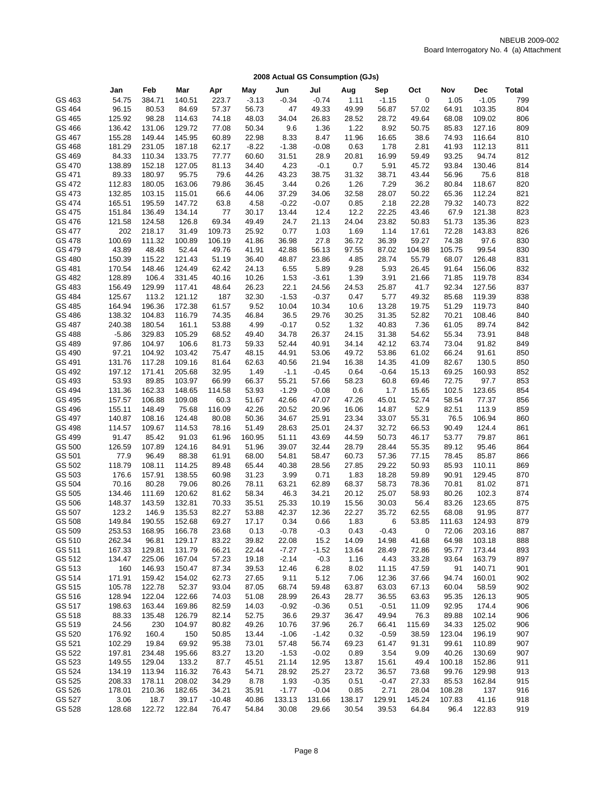|        | Jan     | Feb    | Mar    | Apr    | May     | Jun           | Jul     | Aug    | Sep     | Oct         | Nov    | <b>Dec</b> | <b>Total</b> |
|--------|---------|--------|--------|--------|---------|---------------|---------|--------|---------|-------------|--------|------------|--------------|
| GS 463 | 54.75   | 384.71 | 140.51 | 223.7  | $-3.13$ | $-0.34$       | $-0.74$ | 1.11   | $-1.15$ | $\mathbf 0$ | 1.05   | $-1.05$    | 799          |
| GS 464 | 96.15   | 80.53  | 84.69  | 57.37  | 56.73   | 47            | 49.33   | 49.99  | 56.87   | 57.02       | 64.91  | 103.35     | 804          |
| GS 465 | 125.92  | 98.28  | 114.63 | 74.18  | 48.03   | 34.04         | 26.83   | 28.52  | 28.72   | 49.64       | 68.08  | 109.02     | 806          |
| GS 466 | 136.42  | 131.06 | 129.72 | 77.08  | 50.34   | 9.6           | 1.36    | 1.22   | 8.92    | 50.75       | 85.83  | 127.16     | 809          |
| GS 467 | 155.28  | 149.44 | 145.95 | 60.89  | 22.98   | 8.33          | 8.47    | 11.96  | 16.65   | 38.6        | 74.93  | 116.64     | 810          |
| GS 468 | 181.29  | 231.05 | 187.18 | 62.17  | $-8.22$ | $-1.38$       | $-0.08$ | 0.63   | 1.78    | 2.81        | 41.93  | 112.13     | 811          |
| GS 469 | 84.33   | 110.34 | 133.75 | 77.77  | 60.60   | 31.51         | 28.9    | 20.81  | 16.99   | 59.49       | 93.25  | 94.74      | 812          |
| GS 470 | 138.89  | 152.18 | 127.05 | 81.13  | 34.40   | 4.23          | $-0.1$  | 0.7    | 5.91    | 45.72       | 93.84  | 130.46     | 814          |
| GS 471 | 89.33   | 180.97 | 95.75  | 79.6   | 44.26   | 43.23         | 38.75   | 31.32  | 38.71   | 43.44       | 56.96  | 75.6       | 818          |
| GS 472 | 112.83  | 180.05 | 163.06 |        | 36.45   |               | 0.26    | 1.26   | 7.29    | 36.2        |        | 118.67     | 820          |
| GS 473 |         | 103.15 |        | 79.86  | 44.06   | 3.44<br>37.29 | 34.06   |        | 28.07   |             | 80.84  | 112.24     |              |
|        | 132.85  | 195.59 | 115.01 | 66.6   |         |               |         | 32.58  |         | 50.22       | 65.36  |            | 821<br>822   |
| GS 474 | 165.51  |        | 147.72 | 63.8   | 4.58    | $-0.22$       | $-0.07$ | 0.85   | 2.18    | 22.28       | 79.32  | 140.73     |              |
| GS 475 | 151.84  | 136.49 | 134.14 | 77     | 30.17   | 13.44         | 12.4    | 12.2   | 22.25   | 43.46       | 67.9   | 121.38     | 823          |
| GS 476 | 121.58  | 124.58 | 126.8  | 69.34  | 49.49   | 24.7          | 21.13   | 24.04  | 23.82   | 50.83       | 51.73  | 135.36     | 823          |
| GS 477 | 202     | 218.17 | 31.49  | 109.73 | 25.92   | 0.77          | 1.03    | 1.69   | 1.14    | 17.61       | 72.28  | 143.83     | 826          |
| GS 478 | 100.69  | 111.32 | 100.89 | 106.19 | 41.86   | 36.98         | 27.8    | 36.72  | 36.39   | 59.27       | 74.38  | 97.6       | 830          |
| GS 479 | 43.89   | 48.48  | 52.44  | 49.76  | 41.91   | 42.88         | 56.13   | 97.55  | 87.02   | 104.98      | 105.75 | 99.54      | 830          |
| GS 480 | 150.39  | 115.22 | 121.43 | 51.19  | 36.40   | 48.87         | 23.86   | 4.85   | 28.74   | 55.79       | 68.07  | 126.48     | 831          |
| GS 481 | 170.54  | 148.46 | 124.49 | 62.42  | 24.13   | 6.55          | 5.89    | 9.28   | 5.93    | 26.45       | 91.64  | 156.06     | 832          |
| GS 482 | 128.89  | 106.4  | 331.45 | 40.16  | 10.26   | 1.53          | $-3.61$ | 1.39   | 3.91    | 21.66       | 71.85  | 119.78     | 834          |
| GS 483 | 156.49  | 129.99 | 117.41 | 48.64  | 26.23   | 22.1          | 24.56   | 24.53  | 25.87   | 41.7        | 92.34  | 127.56     | 837          |
| GS 484 | 125.67  | 113.2  | 121.12 | 187    | 32.30   | $-1.53$       | $-0.37$ | 0.47   | 5.77    | 49.32       | 85.68  | 119.39     | 838          |
| GS 485 | 164.94  | 196.36 | 172.38 | 61.57  | 9.52    | 10.04         | 10.34   | 10.6   | 13.28   | 19.75       | 51.29  | 119.73     | 840          |
| GS 486 | 138.32  | 104.83 | 116.79 | 74.35  | 46.84   | 36.5          | 29.76   | 30.25  | 31.35   | 52.82       | 70.21  | 108.46     | 840          |
| GS 487 | 240.38  | 180.54 | 161.1  | 53.88  | 4.99    | $-0.17$       | 0.52    | 1.32   | 40.83   | 7.36        | 61.05  | 89.74      | 842          |
| GS 488 | $-5.86$ | 329.83 | 105.29 | 68.52  | 49.40   | 34.78         | 26.37   | 24.15  | 31.38   | 54.62       | 55.34  | 73.91      | 848          |
| GS 489 | 97.86   | 104.97 | 106.6  | 81.73  | 59.33   | 52.44         | 40.91   | 34.14  | 42.12   | 63.74       | 73.04  | 91.82      | 849          |
| GS 490 | 97.21   | 104.92 | 103.42 | 75.47  | 48.15   | 44.91         | 53.06   | 49.72  | 53.86   | 61.02       | 66.24  | 91.61      | 850          |
| GS 491 | 131.76  | 117.28 | 109.16 | 81.64  | 62.63   | 40.56         | 21.94   | 16.38  | 14.35   | 41.09       | 82.67  | 130.5      | 850          |
| GS 492 | 197.12  | 171.41 | 205.68 | 32.95  | 1.49    | $-1.1$        | $-0.45$ | 0.64   | $-0.64$ | 15.13       | 69.25  | 160.93     | 852          |
| GS 493 | 53.93   | 89.85  | 103.97 | 66.99  | 66.37   | 55.21         | 57.66   | 58.23  | 60.8    | 69.46       | 72.75  | 97.7       | 853          |
| GS 494 | 131.36  | 162.33 | 148.65 | 114.58 | 53.93   | $-1.29$       | $-0.08$ | 0.6    | 1.7     | 15.65       | 102.5  | 123.65     | 854          |
| GS 495 | 157.57  | 106.88 | 109.08 | 60.3   | 51.67   | 42.66         | 47.07   | 47.26  | 45.01   | 52.74       | 58.54  | 77.37      | 856          |
| GS 496 | 155.11  | 148.49 | 75.68  | 116.09 | 42.26   | 20.52         | 20.96   | 16.06  | 14.87   | 52.9        | 82.51  | 113.9      | 859          |
| GS 497 | 140.87  | 108.16 | 124.48 | 80.08  | 50.36   | 34.67         | 25.91   | 23.34  | 33.07   | 55.31       | 76.5   | 106.94     | 860          |
| GS 498 | 114.57  | 109.67 | 114.53 | 78.16  | 51.49   | 28.63         | 25.01   | 24.37  | 32.72   | 66.53       | 90.49  | 124.4      | 861          |
| GS 499 | 91.47   | 85.42  | 91.03  | 61.96  | 160.95  | 51.11         | 43.69   | 44.59  | 50.73   | 46.17       | 53.77  | 79.87      | 861          |
| GS 500 | 126.59  | 107.89 | 124.16 | 84.91  | 51.96   | 39.07         | 32.44   | 28.79  | 28.44   | 55.35       | 89.12  | 95.46      | 864          |
| GS 501 | 77.9    | 96.49  | 88.38  | 61.91  | 68.00   | 54.81         | 58.47   | 60.73  | 57.36   | 77.15       | 78.45  | 85.87      | 866          |
| GS 502 | 118.79  | 108.11 | 114.25 | 89.48  | 65.44   | 40.38         | 28.56   | 27.85  | 29.22   | 50.93       | 85.93  | 110.11     | 869          |
| GS 503 | 176.6   | 157.91 | 138.55 | 60.98  | 31.23   | 3.99          | 0.71    | 1.83   | 18.28   | 59.89       | 90.91  | 129.45     | 870          |
| GS 504 | 70.16   | 80.28  | 79.06  | 80.26  | 78.11   | 63.21         | 62.89   | 68.37  | 58.73   | 78.36       | 70.81  | 81.02      | 871          |
| GS 505 | 134.46  | 111.69 | 120.62 | 81.62  | 58.34   | 46.3          | 34.21   | 20.12  | 25.07   | 58.93       | 80.26  | 102.3      | 874          |
| GS 506 | 148.37  | 143.59 | 132.81 | 70.33  | 35.51   | 25.33         | 10.19   | 15.56  | 30.03   | 56.4        | 83.26  | 123.65     | 875          |
| GS 507 | 123.2   | 146.9  | 135.53 | 82.27  | 53.88   | 42.37         | 12.36   | 22.27  | 35.72   | 62.55       | 68.08  | 91.95      | 877          |
| GS 508 | 149.84  | 190.55 | 152.68 | 69.27  | 17.17   | 0.34          | 0.66    | 1.83   | 6       | 53.85       | 111.63 | 124.93     | 879          |
| GS 509 | 253.53  | 168.95 | 166.78 | 23.68  | 0.13    | $-0.78$       | $-0.3$  | 0.43   | $-0.43$ | 0           | 72.06  | 203.16     | 887          |
| GS 510 | 262.34  | 96.81  | 129.17 | 83.22  | 39.82   | 22.08         | 15.2    | 14.09  | 14.98   | 41.68       | 64.98  | 103.18     | 888          |
| GS 511 | 167.33  | 129.81 | 131.79 | 66.21  | 22.44   | $-7.27$       | $-1.52$ | 13.64  | 28.49   | 72.86       | 95.77  | 173.44     | 893          |
| GS 512 | 134.47  | 225.06 | 167.04 | 57.23  | 19.18   | $-2.14$       | $-0.3$  | 1.16   | 4.43    | 33.28       | 93.64  | 163.79     | 897          |
| GS 513 | 160     | 146.93 | 150.47 | 87.34  | 39.53   | 12.46         | 6.28    | 8.02   | 11.15   | 47.59       | 91     | 140.71     | 901          |
| GS 514 | 171.91  | 159.42 | 154.02 | 62.73  | 27.65   | 9.11          | 5.12    | 7.06   | 12.36   | 37.66       | 94.74  | 160.01     | 902          |
| GS 515 | 105.78  | 122.78 | 52.37  | 93.04  | 87.05   | 68.74         | 59.48   | 63.87  | 63.03   | 67.13       | 60.04  | 58.59      | 902          |
| GS 516 | 128.94  | 122.04 | 122.66 | 74.03  | 51.08   | 28.99         | 26.43   | 28.77  | 36.55   | 63.63       | 95.35  | 126.13     | 905          |
| GS 517 | 198.63  | 163.44 | 169.86 | 82.59  | 14.03   | $-0.92$       | $-0.36$ | 0.51   | $-0.51$ | 11.09       | 92.95  | 174.4      | 906          |
| GS 518 | 88.33   | 135.48 | 126.79 | 82.14  | 52.75   | 36.6          | 29.37   | 36.47  | 49.94   | 76.3        | 89.88  | 102.14     | 906          |
| GS 519 | 24.56   | 230    | 104.97 | 80.82  | 49.26   | 10.76         | 37.96   | 26.7   | 66.41   | 115.69      | 34.33  | 125.02     | 906          |
| GS 520 | 176.92  | 160.4  | 150    | 50.85  | 13.44   | $-1.06$       | $-1.42$ | 0.32   | $-0.59$ | 38.59       | 123.04 | 196.19     | 907          |
| GS 521 | 102.29  | 19.84  | 69.92  | 95.38  | 73.01   | 57.48         | 56.74   | 69.23  | 61.47   | 91.31       | 99.61  | 110.89     | 907          |
| GS 522 | 197.81  | 234.48 | 195.66 | 83.27  | 13.20   | $-1.53$       | $-0.02$ | 0.89   | 3.54    | 9.09        | 40.26  | 130.69     | 907          |
| GS 523 | 149.55  | 129.04 | 133.2  | 87.7   | 45.51   | 21.14         | 12.95   | 13.87  |         | 49.4        |        | 152.86     | 911          |
|        |         |        |        |        |         |               |         |        | 15.61   |             | 100.18 |            |              |
| GS 524 | 134.19  | 113.94 | 116.32 | 76.43  | 54.71   | 28.92         | 25.27   | 23.72  | 36.57   | 73.68       | 99.76  | 129.98     | 913          |
| GS 525 | 208.33  | 178.11 | 208.02 | 34.29  | 8.78    | 1.93          | $-0.35$ | 0.51   | $-0.47$ | 27.33       | 85.53  | 162.84     | 915          |
| GS 526 | 178.01  | 210.36 | 182.65 | 34.21  | 35.91   | $-1.77$       | $-0.04$ | 0.85   | 2.71    | 28.04       | 108.28 | 137        | 916          |
| GS 527 | 3.06    | 18.7   | 39.17  | -10.48 | 40.86   | 133.13        | 131.66  | 138.17 | 129.91  | 145.24      | 107.83 | 41.16      | 918          |
| GS 528 | 128.68  | 122.72 | 122.84 | 76.47  | 54.84   | 30.08         | 29.66   | 30.54  | 39.53   | 64.84       | 96.4   | 122.83     | 919          |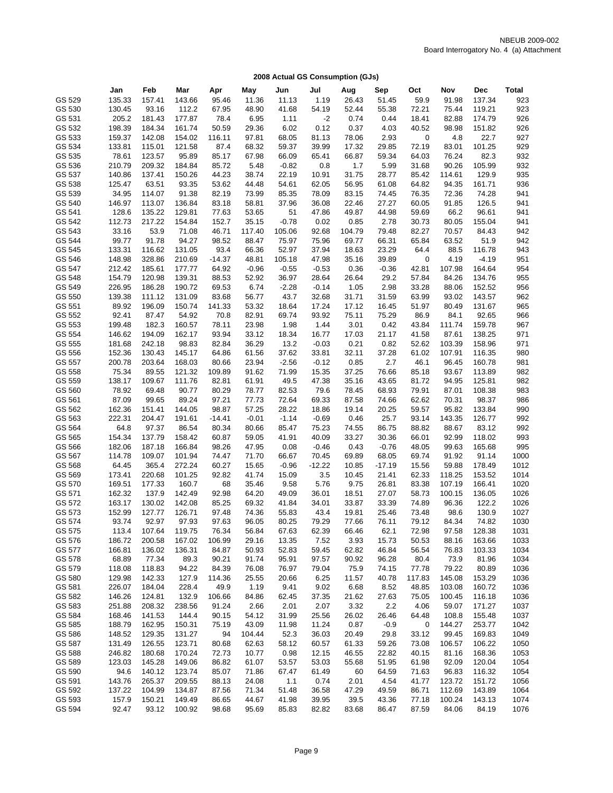|                  | Jan             | Feb             | Mar             | Apr            | May            | Jun           | Jul           | Aug            | Sep            | Oct            | Nov            | <b>Dec</b>       | <b>Total</b> |
|------------------|-----------------|-----------------|-----------------|----------------|----------------|---------------|---------------|----------------|----------------|----------------|----------------|------------------|--------------|
| GS 529           | 135.33          | 157.41          | 143.66          | 95.46          | 11.36          | 11.13         | 1.19          | 26.43          | 51.45          | 59.9           | 91.98          | 137.34           | 923          |
|                  |                 |                 | 112.2           |                |                |               |               |                |                |                |                |                  | 923          |
| GS 530           | 130.45          | 93.16           |                 | 67.95          | 48.90          | 41.68         | 54.19         | 52.44          | 55.38          | 72.21          | 75.44          | 119.21           |              |
| GS 531           | 205.2           | 181.43          | 177.87          | 78.4           | 6.95           | 1.11          | $-2$          | 0.74           | 0.44           | 18.41          | 82.88          | 174.79           | 926          |
| GS 532           | 198.39          | 184.34          | 161.74          | 50.59          | 29.36          | 6.02          | 0.12          | 0.37           | 4.03           | 40.52          | 98.98          | 151.82           | 926          |
| GS 533           | 159.37          | 142.08          | 154.02          | 116.11         | 97.81          | 68.05         | 81.13         | 78.06          | 2.93           | 0              | 4.8            | 22.7             | 927          |
| GS 534           | 133.81          | 115.01          | 121.58          | 87.4           | 68.32          | 59.37         | 39.99         | 17.32          | 29.85          | 72.19          | 83.01          | 101.25           | 929          |
| GS 535           | 78.61           | 123.57          | 95.89           | 85.17          | 67.98          | 66.09         | 65.41         | 66.87          | 59.34          | 64.03          | 76.24          | 82.3             | 932          |
| GS 536           | 210.79          | 209.32          | 184.84          | 85.72          | 5.48           | $-0.82$       | 0.8           | 1.7            | 5.99           | 31.68          | 90.26          | 105.99           | 932          |
| GS 537           | 140.86          | 137.41          | 150.26          | 44.23          | 38.74          | 22.19         | 10.91         | 31.75          | 28.77          | 85.42          | 114.61         | 129.9            | 935          |
| GS 538           | 125.47          | 63.51           | 93.35           | 53.62          | 44.48          | 54.61         | 62.05         | 56.95          | 61.08          | 64.82          | 94.35          | 161.71           | 936          |
| GS 539           | 34.95           | 114.07          | 91.38           | 82.19          | 73.99          | 85.35         | 78.09         | 83.15          | 74.45          | 76.35          | 72.36          | 74.28            | 941          |
| GS 540           | 146.97          | 113.07          | 136.84          | 83.18          | 58.81          | 37.96         | 36.08         | 22.46          | 27.27          | 60.05          | 91.85          | 126.5            | 941          |
| GS 541           | 128.6           | 135.22          | 129.81          | 77.63          | 53.65          | 51            | 47.86         | 49.87          | 44.98          | 59.69          | 66.2           | 96.61            | 941          |
| GS 542           | 112.73          | 217.22          | 154.84          | 152.7          | 35.15          | $-0.78$       | 0.02          | 0.85           | 2.78           | 30.73          | 80.05          | 155.04           | 941          |
| GS 543           | 33.16           | 53.9            | 71.08           | 46.71          | 117.40         | 105.06        | 92.68         | 104.79         | 79.48          | 82.27          | 70.57          | 84.43            | 942          |
| GS 544           | 99.77           | 91.78           | 94.27           | 98.52          | 88.47          | 75.97         | 75.96         | 69.77          | 66.31          | 65.84          | 63.52          | 51.9             | 942          |
| GS 545           | 133.31          | 116.62          | 131.05          | 93.4           | 66.36          | 52.97         | 37.94         | 18.63          | 23.29          | 64.4           | 88.5           | 116.78           | 943          |
| GS 546           | 148.98          | 328.86          | 210.69          | $-14.37$       | 48.81          | 105.18        | 47.98         | 35.16          | 39.89          | 0              | 4.19           | $-4.19$          | 951          |
| GS 547           | 212.42          | 185.61          | 177.77          | 64.92          | $-0.96$        | $-0.55$       | $-0.53$       | 0.36           | $-0.36$        | 42.81          | 107.98         | 164.64           | 954          |
| GS 548           | 154.79          | 120.98          | 139.31          | 88.53          | 52.92          | 36.97         | 28.64         | 26.64          | 29.2           | 57.84          | 84.26          | 134.76           | 955          |
| GS 549           | 226.95          | 186.28          | 190.72          | 69.53          | 6.74           | $-2.28$       | $-0.14$       | 1.05           | 2.98           | 33.28          | 88.06          | 152.52           | 956          |
| GS 550           | 139.38          | 111.12          | 131.09          | 83.68          | 56.77          | 43.7          | 32.68         | 31.71          | 31.59          | 63.99          | 93.02          | 143.57           | 962          |
| GS 551           | 89.92           | 196.09          | 150.74          | 141.33         | 53.32          | 18.64         | 17.24         | 17.12          | 16.45          | 51.97          | 80.49          | 131.67           | 965          |
| GS 552           | 92.41           | 87.47           | 54.92           | 70.8           | 82.91          | 69.74         | 93.92         | 75.11          | 75.29          | 86.9           | 84.1           | 92.65            | 966          |
| GS 553           | 199.48          | 182.3           | 160.57          | 78.11          | 23.98          | 1.98          | 1.44          | 3.01           | 0.42           | 43.84          | 111.74         | 159.78           | 967          |
| GS 554           | 146.62          | 194.09          | 162.17          | 93.94          | 33.12          | 18.34         | 16.77         | 17.03          | 21.17          | 41.58          | 87.61          | 138.25           | 971          |
| GS 555           | 181.68          | 242.18          | 98.83           | 82.84          | 36.29          | 13.2          | $-0.03$       | 0.21           | 0.82           | 52.62          | 103.39         | 158.96           | 971          |
| GS 556<br>GS 557 | 152.36          | 130.43          | 145.17          | 64.86          | 61.56          | 37.62         | 33.81         | 32.11          | 37.28          | 61.02          | 107.91         | 116.35           | 980          |
| GS 558           | 200.78          | 203.64          | 168.03          | 80.66          | 23.94          | $-2.56$       | $-0.12$       | 0.85           | 2.7            | 46.1           | 96.45          | 160.78           | 981<br>982   |
|                  | 75.34<br>138.17 | 89.55           | 121.32          | 109.89         | 91.62          | 71.99         | 15.35         | 37.25          | 76.66          | 85.18          | 93.67<br>94.95 | 113.89           |              |
| GS 559<br>GS 560 | 78.92           | 109.67<br>69.48 | 111.76<br>90.77 | 82.81          | 61.91<br>78.77 | 49.5<br>82.53 | 47.38<br>79.6 | 35.16<br>78.45 | 43.65          | 81.72<br>79.91 |                | 125.81<br>108.38 | 982<br>983   |
| GS 561           | 87.09           | 99.65           | 89.24           | 80.29<br>97.21 | 77.73          | 72.64         | 69.33         | 87.58          | 68.93<br>74.66 | 62.62          | 87.01<br>70.31 | 98.37            | 986          |
| GS 562           | 162.36          | 151.41          | 144.05          | 98.87          | 57.25          | 28.22         | 18.86         | 19.14          | 20.25          | 59.57          | 95.82          | 133.84           | 990          |
| GS 563           | 222.31          | 204.47          | 191.61          | $-14.41$       | $-0.01$        | $-1.14$       | $-0.69$       | 0.46           | 25.7           | 93.14          | 143.35         | 126.77           | 992          |
| GS 564           | 64.8            | 97.37           | 86.54           | 80.34          | 80.66          | 85.47         | 75.23         | 74.55          | 86.75          | 88.82          | 88.67          | 83.12            | 992          |
| GS 565           | 154.34          | 137.79          | 158.42          | 60.87          | 59.05          | 41.91         | 40.09         | 33.27          | 30.36          | 66.01          | 92.99          | 118.02           | 993          |
| GS 566           | 182.06          | 187.18          | 166.84          | 98.26          | 47.95          | 0.08          | $-0.46$       | 0.43           | $-0.76$        | 48.05          | 99.63          | 165.68           | 995          |
| GS 567           | 114.78          | 109.07          | 101.94          | 74.47          | 71.70          | 66.67         | 70.45         | 69.89          | 68.05          | 69.74          | 91.92          | 91.14            | 1000         |
| GS 568           | 64.45           | 365.4           | 272.24          | 60.27          | 15.65          | $-0.96$       | $-12.22$      | 10.85          | $-17.19$       | 15.56          | 59.88          | 178.49           | 1012         |
| GS 569           | 173.41          | 220.68          | 101.25          | 92.82          | 41.74          | 15.09         | 3.5           | 10.45          | 21.41          | 62.33          | 118.25         | 153.52           | 1014         |
| GS 570           | 169.51          | 177.33          | 160.7           | 68             | 35.46          | 9.58          | 5.76          | 9.75           | 26.81          | 83.38          | 107.19         | 166.41           | 1020         |
| GS 571           | 162.32          | 137.9           | 142.49          | 92.98          | 64.20          | 49.09         | 36.01         | 18.51          | 27.07          | 58.73          | 100.15         | 136.05           | 1026         |
| GS 572           | 163.17          | 130.02          | 142.08          | 85.25          | 69.32          | 41.84         | 34.01         | 33.87          | 33.39          | 74.89          | 96.36          | 122.2            | 1026         |
| GS 573           | 152.99          | 127.77          | 126.71          | 97.48          | 74.36          | 55.83         | 43.4          | 19.81          | 25.46          | 73.48          | 98.6           | 130.9            | 1027         |
| GS 574           | 93.74           | 92.97           | 97.93           | 97.63          | 96.05          | 80.25         | 79.29         | 77.66          | 76.11          | 79.12          | 84.34          | 74.82            | 1030         |
| GS 575           | 113.4           | 107.64          | 119.75          | 76.34          | 56.84          | 67.63         | 62.39         | 66.46          | 62.1           | 72.98          | 97.58          | 128.38           | 1031         |
| GS 576           | 186.72          | 200.58          | 167.02          | 106.99         | 29.16          | 13.35         | 7.52          | 3.93           | 15.73          | 50.53          | 88.16          | 163.66           | 1033         |
| GS 577           | 166.81          | 136.02          | 136.31          | 84.87          | 50.93          | 52.83         | 59.45         | 62.82          | 46.84          | 56.54          | 76.83          | 103.33           | 1034         |
| GS 578           | 68.89           | 77.34           | 89.3            | 90.21          | 91.74          | 95.91         | 97.57         | 90.92          | 96.28          | 80.4           | 73.9           | 81.96            | 1034         |
| GS 579           | 118.08          | 118.83          | 94.22           | 84.39          | 76.08          | 76.97         | 79.04         | 75.9           | 74.15          | 77.78          | 79.22          | 80.89            | 1036         |
| GS 580           | 129.98          | 142.33          | 127.9           | 114.36         | 25.55          | 20.66         | 6.25          | 11.57          | 40.78          | 117.83         | 145.08         | 153.29           | 1036         |
| GS 581           | 226.07          | 184.04          | 228.4           | 49.9           | 1.19           | 9.41          | 9.02          | 6.68           | 8.52           | 48.85          | 103.08         | 160.72           | 1036         |
| GS 582           | 146.26          | 124.81          | 132.9           | 106.66         | 84.86          | 62.45         | 37.35         | 21.62          | 27.63          | 75.05          | 100.45         | 116.18           | 1036         |
| GS 583           | 251.88          | 208.32          | 238.56          | 91.24          | 2.66           | 2.01          | 2.07          | 3.32           | 2.2            | 4.06           | 59.07          | 171.27           | 1037         |
| GS 584           | 168.46          | 141.53          | 144.4           | 90.15          | 54.12          | 31.99         | 25.56         | 26.02          | 26.46          | 64.48          | 108.8          | 155.48           | 1037         |
| GS 585           | 188.79          | 162.95          | 150.31          | 75.19          | 43.09          | 11.98         | 11.24         | 0.87           | $-0.9$         | 0              | 144.27         | 253.77           | 1042         |
| GS 586           | 148.52          | 129.35          | 131.27          | 94             | 104.44         | 52.3          | 36.03         | 20.49          | 29.8           | 33.12          | 99.45          | 169.83           | 1049         |
| GS 587           | 131.49          | 126.55          | 123.71          | 80.68          | 62.63          | 58.12         | 60.57         | 61.33          | 59.26          | 73.08          | 106.57         | 106.22           | 1050         |
| GS 588           | 246.82          | 180.68          | 170.24          | 72.73          | 10.77          | 0.98          | 12.15         | 46.55          | 22.82          | 40.15          | 81.16          | 168.36           | 1053         |
| GS 589           | 123.03          | 145.28          | 149.06          | 86.82          | 61.07          | 53.57         | 53.03         | 55.68          | 51.95          | 61.98          | 92.09          | 120.04           | 1054         |
| GS 590           | 94.6            | 140.12          | 123.74          | 85.07          | 71.86          | 67.47         | 61.49         | 60             | 64.59          | 71.63          | 96.83          | 116.32           | 1054         |
| GS 591           | 143.76          | 265.37          | 209.55          | 88.13          | 24.08          | 1.1           | 0.74          | 2.01           | 4.54           | 41.77          | 123.72         | 151.72           | 1056         |
| GS 592           | 137.22          | 104.99          | 134.87          | 87.56          | 71.34          | 51.48         | 36.58         | 47.29          | 49.59          | 86.71          | 112.69         | 143.89           | 1064         |
| GS 593           | 157.9           | 150.21          | 149.49          | 86.65          | 44.67          | 41.98         | 39.95         | 39.5           | 43.36          | 77.18          | 100.24         | 143.13           | 1074         |
| GS 594           | 92.47           | 93.12           | 100.92          | 98.68          | 95.69          | 85.83         | 82.82         | 83.68          | 86.47          | 87.59          | 84.06          | 84.19            | 1076         |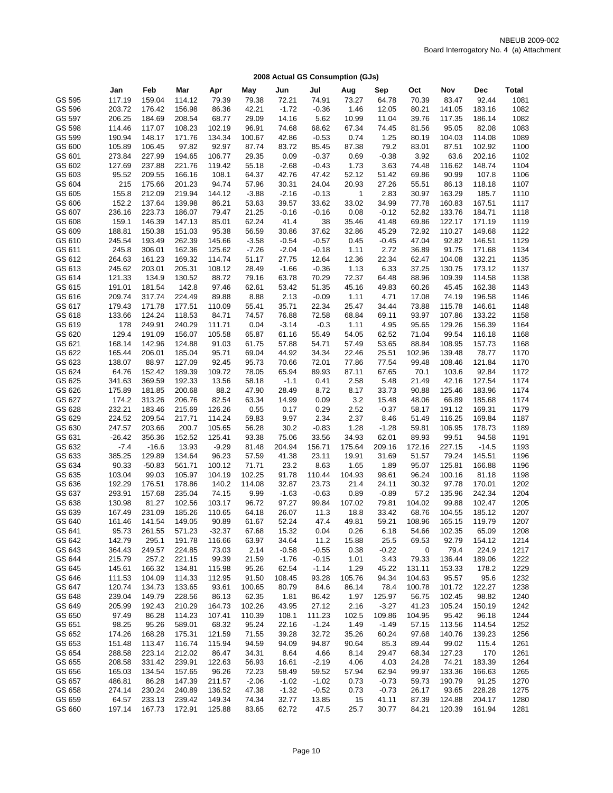|                  | Jan              | Feb              | Mar              | Apr             | May             | Jun             | Jul           | Aug             | Sep            | Oct              | Nov             | Dec            | <b>Total</b> |
|------------------|------------------|------------------|------------------|-----------------|-----------------|-----------------|---------------|-----------------|----------------|------------------|-----------------|----------------|--------------|
| GS 595           | 117.19           | 159.04           | 114.12           | 79.39           | 79.38           | 72.21           | 74.91         | 73.27           | 64.78          | 70.39            | 83.47           | 92.44          | 1081         |
|                  | 203.72           |                  |                  |                 |                 |                 |               |                 |                |                  |                 |                |              |
| GS 596           |                  | 176.42           | 156.98           | 86.36           | 42.21           | $-1.72$         | $-0.36$       | 1.46            | 12.05          | 80.21            | 141.05          | 183.16         | 1082         |
| GS 597           | 206.25           | 184.69           | 208.54           | 68.77           | 29.09           | 14.16           | 5.62          | 10.99           | 11.04          | 39.76            | 117.35          | 186.14         | 1082         |
| GS 598           | 114.46           | 117.07           | 108.23           | 102.19          | 96.91           | 74.68           | 68.62         | 67.34           | 74.45          | 81.56            | 95.05           | 82.08          | 1083         |
| GS 599           | 190.94           | 148.17           | 171.76           | 134.34          | 100.67          | 42.86           | $-0.53$       | 0.74            | 1.25           | 80.19            | 104.03          | 114.08         | 1089         |
| GS 600           | 105.89           | 106.45           | 97.82            | 92.97           | 87.74           | 83.72           | 85.45         | 87.38           | 79.2           | 83.01            | 87.51           | 102.92         | 1100         |
| GS 601           | 273.84           | 227.99           | 194.65           | 106.77          | 29.35           | 0.09            | $-0.37$       | 0.69            | $-0.38$        | 3.92             | 63.6            | 202.16         | 1102         |
| GS 602           | 127.69           | 237.88           | 221.76           | 119.42          | 55.18           | $-2.68$         | $-0.43$       | 1.73            | 3.63           | 74.48            | 116.62          | 148.74         | 1104         |
| GS 603           | 95.52            | 209.55           | 166.16           | 108.1           | 64.37           | 42.76           | 47.42         | 52.12           | 51.42          | 69.86            | 90.99           | 107.8          | 1106         |
| GS 604           | 215              | 175.66           | 201.23           | 94.74           | 57.96           | 30.31           | 24.04         | 20.93           | 27.26          | 55.51            | 86.13           | 118.18         | 1107         |
| GS 605           | 155.8            | 212.09           | 219.94           | 144.12          | $-3.88$         | $-2.16$         | $-0.13$       | $\mathbf{1}$    | 2.83           | 30.97            | 163.29          | 185.7          | 1110         |
| GS 606           | 152.2            | 137.64           | 139.98           | 86.21           | 53.63           | 39.57           | 33.62         | 33.02           | 34.99          | 77.78            | 160.83          | 167.51         | 1117         |
| GS 607           | 236.16           | 223.73           | 186.07           | 79.47           | 21.25           | $-0.16$         | $-0.16$       | 0.08            | $-0.12$        | 52.82            | 133.76          | 184.71         | 1118         |
| GS 608           | 159.1            | 146.39           | 147.13           | 85.01           | 62.24           | 41.4            | 38            | 35.46           | 41.48          | 69.86            | 122.17          | 171.19         | 1119         |
| GS 609           | 188.81           | 150.38           | 151.03           | 95.38           | 56.59           | 30.86           | 37.62         | 32.86           | 45.29          | 72.92            | 110.27          | 149.68         | 1122         |
| GS 610           | 245.54           | 193.49           | 262.39           | 145.66          | $-3.58$         | $-0.54$         | $-0.57$       | 0.45            | $-0.45$        | 47.04            | 92.82           | 146.51         | 1129         |
| GS 611           | 245.8            | 306.01           | 162.36           | 125.62          | $-7.26$         | $-2.04$         | $-0.18$       | 1.11            | 2.72           | 36.89            | 91.75           | 171.68         | 1134         |
| GS 612           | 264.63           | 161.23           | 169.32           | 114.74          | 51.17           | 27.75           | 12.64         | 12.36           | 22.34          | 62.47            | 104.08          | 132.21         | 1135         |
| GS 613           | 245.62           | 203.01           | 205.31           | 108.12          | 28.49           | $-1.66$         | $-0.36$       | 1.13            | 6.33           | 37.25            | 130.75          | 173.12         | 1137         |
| GS 614           | 121.33           | 134.9            | 130.52           | 88.72           | 79.16           | 63.78           | 70.29         | 72.37           | 64.48          | 88.96            | 109.39          | 114.58         | 1138         |
| GS 615           | 191.01           | 181.54           | 142.8            | 97.46           | 62.61           | 53.42           | 51.35         | 45.16           | 49.83          | 60.26            | 45.45           | 162.38         | 1143         |
| GS 616           | 209.74           | 317.74           | 224.49           | 89.88           | 8.88            | 2.13            | $-0.09$       | 1.11            | 4.71           | 17.08            | 74.19           | 196.58         | 1146         |
| GS 617           | 179.43           | 171.78           | 177.51           | 110.09          | 55.41           | 35.71           | 22.34         | 25.47           | 34.44          | 73.88            | 115.78          | 146.61         | 1148         |
| GS 618           | 133.66           | 124.24           | 118.53           | 84.71           | 74.57           | 76.88           | 72.58         | 68.84           | 69.11          | 93.97            | 107.86          | 133.22         | 1158         |
| GS 619           | 178              | 249.91           | 240.29           | 111.71          | 0.04            | $-3.14$         | $-0.3$        | 1.11            | 4.95           | 95.65            | 129.26          | 156.39         | 1164         |
| GS 620           | 129.4            | 191.09           | 156.07           | 105.58          | 65.87           | 61.16           | 55.49         | 54.05           | 62.52          | 71.04            | 99.54           | 116.18         | 1168         |
| GS 621           | 168.14           | 142.96           | 124.88           | 91.03           | 61.75           | 57.88           | 54.71         | 57.49           | 53.65          | 88.84            | 108.95          | 157.73         | 1168         |
| GS 622           | 165.44           | 206.01           | 185.04           | 95.71           | 69.04           | 44.92           | 34.34         | 22.46           | 25.51          | 102.96           | 139.48          | 78.77          | 1170         |
| GS 623           | 138.07           | 88.97            | 127.09           | 92.45           | 95.73           | 70.66           | 72.01         | 77.86           | 77.54          | 99.48            | 108.46          | 121.84         | 1170         |
| GS 624           | 64.76            | 152.42           | 189.39           | 109.72          | 78.05           | 65.94           | 89.93         | 87.11           | 67.65          | 70.1             | 103.6           | 92.84          | 1172         |
| GS 625           | 341.63           | 369.59           | 192.33           | 13.56           | 58.18           | $-1.1$          | 0.41          | 2.58            | 5.48           | 21.49            | 42.16           | 127.54         | 1174         |
| GS 626           | 175.89           | 181.85           | 200.68           | 88.2            | 47.90           | 28.49           | 8.72          | 8.17            | 33.73          | 90.88            | 125.46          | 183.96         | 1174         |
| GS 627           | 174.2            | 313.26           | 206.76           | 82.54           | 63.34           | 14.99           | 0.09          | 3.2             | 15.48          | 48.06            | 66.89           | 185.68         | 1174         |
| GS 628           | 232.21           | 183.46           | 215.69           | 126.26          | 0.55            | 0.17            | 0.29          | 2.52            | $-0.37$        | 58.17            | 191.12          | 169.31         | 1179         |
| GS 629           | 224.52           | 209.54           | 217.71           | 114.24          | 59.83           | 9.97            | 2.34          | 2.37            | 8.46           | 51.49            | 116.25          | 169.84         | 1187         |
| GS 630           | 247.57           | 203.66           | 200.7            | 105.65          | 56.28           | 30.2            | $-0.83$       | 1.28            | $-1.28$        | 59.81            | 106.95          | 178.73         | 1189         |
| GS 631           | $-26.42$         | 356.36           | 152.52           | 125.41          | 93.38           | 75.06           | 33.56         | 34.93           | 62.01          | 89.93            | 99.51           | 94.58          | 1191         |
| GS 632           | $-7.4$           | $-16.6$          | 13.93            | $-9.29$         | 81.48           | 204.94          | 156.71        | 175.64          | 209.16         | 172.16           | 227.15          | $-14.5$        | 1193         |
| GS 633           | 385.25           | 129.89           | 134.64           | 96.23           | 57.59           | 41.38           | 23.11         | 19.91           | 31.69          | 51.57            | 79.24           | 145.51         | 1196         |
| GS 634           | 90.33            | $-50.83$         | 561.71           | 100.12          | 71.71           | 23.2            | 8.63          | 1.65            | 1.89           | 95.07            | 125.81          | 166.88         | 1196         |
| GS 635           | 103.04           | 99.03            | 105.97           | 104.19          | 102.25          | 91.78           | 110.44        | 104.93          | 98.61          | 96.24            | 100.16          | 81.18          | 1198         |
| GS 636           | 192.29           | 176.51           | 178.86           | 140.2           | 114.08          | 32.87           | 23.73         | 21.4            | 24.11          | 30.32            | 97.78           | 170.01         | 1202         |
| GS 637           | 293.91           | 157.68           | 235.04           | 74.15           | 9.99            | $-1.63$         | $-0.63$       | 0.89            | $-0.89$        | 57.2             | 135.96          | 242.34         | 1204         |
| GS 638           | 130.98           | 81.27            | 102.56           | 103.17          | 96.72           | 97.27           | 99.84         | 107.02          | 79.81          | 104.02           | 99.88           | 102.47         | 1205         |
| GS 639           | 167.49           | 231.09           | 185.26           | 110.65          | 64.18           | 26.07           | 11.3          | 18.8            | 33.42          | 68.76            | 104.55          | 185.12         | 1207         |
| GS 640           | 161.46           | 141.54           | 149.05           | 90.89           | 61.67           | 52.24           | 47.4          | 49.81           | 59.21          | 108.96           | 165.15          | 119.79         | 1207         |
| GS 641           | 95.73            | 261.55           | 571.23           | $-32.37$        | 67.68           | 15.32           | 0.04          | 0.26            | 6.18           | 54.66            | 102.35          | 65.09          | 1208         |
| GS 642           | 142.79           | 295.1            | 191.78           | 116.66          | 63.97           | 34.64           | 11.2          | 15.88           | 25.5           | 69.53            | 92.79           | 154.12         | 1214         |
| GS 643           | 364.43           | 249.57           | 224.85           | 73.03           | 2.14            | $-0.58$         | $-0.55$       | 0.38            | $-0.22$        | 0                | 79.4            | 224.9          | 1217         |
| GS 644           | 215.79           | 257.2            | 221.15           | 99.39           | 21.59           | $-1.76$         | $-0.15$       | 1.01<br>1.29    | 3.43           | 79.33            | 136.44          | 189.06         | 1222         |
| GS 645           | 145.61           | 166.32           | 134.81           | 115.98          | 95.26           | 62.54           | $-1.14$       |                 | 45.22<br>94.34 | 131.11           | 153.33          | 178.2          | 1229         |
| GS 646<br>GS 647 | 111.53<br>120.74 | 104.09<br>134.73 | 114.33<br>133.65 | 112.95<br>93.61 | 91.50           | 108.45<br>80.79 | 93.28<br>84.6 | 105.76<br>86.14 | 78.4           | 104.63<br>100.78 | 95.57<br>101.72 | 95.6<br>122.27 | 1232<br>1238 |
| GS 648           | 239.04           | 149.79           | 228.56           | 86.13           | 100.65<br>62.35 | 1.81            | 86.42         | 1.97            | 125.97         | 56.75            | 102.45          | 98.82          | 1240         |
| GS 649           | 205.99           | 192.43           | 210.29           | 164.73          | 102.26          | 43.95           | 27.12         | 2.16            | $-3.27$        | 41.23            | 105.24          | 150.19         | 1242         |
| GS 650           | 97.49            | 86.28            | 114.23           | 107.41          | 110.39          | 108.1           | 111.23        | 102.5           | 109.86         | 104.95           | 95.42           | 96.18          | 1244         |
| GS 651           | 98.25            | 95.26            | 589.01           | 68.32           | 95.24           | 22.16           | $-1.24$       | 1.49            | $-1.49$        | 57.15            | 113.56          | 114.54         | 1252         |
| GS 652           | 174.26           | 168.28           | 175.31           | 121.59          | 71.55           | 39.28           | 32.72         | 35.26           | 60.24          | 97.68            | 140.76          | 139.23         | 1256         |
| GS 653           | 151.48           | 113.47           | 116.74           | 115.94          | 94.59           | 94.09           | 94.87         | 90.64           | 85.3           | 89.44            | 99.02           | 115.4          | 1261         |
| GS 654           | 288.58           | 223.14           | 212.02           | 86.47           | 34.31           | 8.64            | 4.66          | 8.14            | 29.47          | 68.34            | 127.23          | 170            | 1261         |
| GS 655           | 208.58           | 331.42           | 239.91           | 122.63          | 56.93           | 16.61           | $-2.19$       | 4.06            | 4.03           | 24.28            | 74.21           | 183.39         | 1264         |
| GS 656           | 165.03           | 134.54           | 157.65           | 96.26           | 72.23           | 58.49           | 59.52         | 57.94           | 62.94          | 99.97            | 133.36          | 166.63         | 1265         |
| GS 657           | 486.81           | 86.28            | 147.39           | 211.57          | $-2.06$         | $-1.02$         | $-1.02$       | 0.73            | $-0.73$        | 59.73            | 190.79          | 91.25          | 1270         |
| GS 658           | 274.14           | 230.24           | 240.89           | 136.52          | 47.38           | $-1.32$         | $-0.52$       | 0.73            | $-0.73$        | 26.17            | 93.65           | 228.28         | 1275         |
| GS 659           | 64.57            | 233.13           | 239.42           | 149.34          | 74.34           | 32.77           | 13.85         | 15              | 41.11          | 87.39            | 124.88          | 204.17         | 1280         |
| GS 660           | 197.14           | 167.73           | 172.91           | 125.88          | 83.65           | 62.72           | 47.5          | 25.7            | 30.77          | 84.21            | 120.39          | 161.94         | 1281         |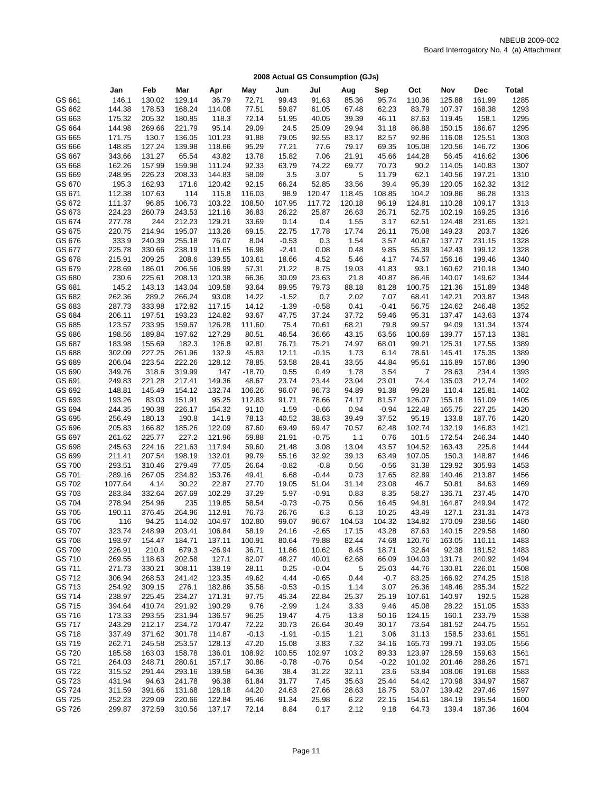|                  | Jan              | Feb              | Mar             | Apr             | May            | Jun           | Jul              | Aug           | Sep              | Oct           | Nov              | Dec             | Total        |
|------------------|------------------|------------------|-----------------|-----------------|----------------|---------------|------------------|---------------|------------------|---------------|------------------|-----------------|--------------|
| GS 661           | 146.1            | 130.02           | 129.14          | 36.79           | 72.71          | 99.43         | 91.63            | 85.36         | 95.74            | 110.36        | 125.88           | 161.99          | 1285         |
| GS 662           | 144.38           | 178.53           | 168.24          | 114.08          | 77.51          | 59.87         | 61.05            | 67.48         | 62.23            | 83.79         | 107.37           | 168.38          | 1293         |
| GS 663           | 175.32           | 205.32           | 180.85          | 118.3           | 72.14          | 51.95         | 40.05            | 39.39         | 46.11            | 87.63         | 119.45           | 158.1           | 1295         |
| GS 664           | 144.98           | 269.66           | 221.79          | 95.14           | 29.09          | 24.5          | 25.09            | 29.94         | 31.18            | 86.88         | 150.15           | 186.67          | 1295         |
| GS 665           | 171.75           | 130.7            | 136.05          | 101.23          | 91.88          | 79.05         | 92.55            | 83.17         | 82.57            | 92.86         | 116.08           | 125.51          | 1303         |
| GS 666           | 148.85           | 127.24           | 139.98          | 118.66          | 95.29          | 77.21         | 77.6             | 79.17         | 69.35            | 105.08        | 120.56           | 146.72          | 1306         |
| GS 667           | 343.66           | 131.27           | 65.54           | 43.82           | 13.78          | 15.82         | 7.06             | 21.91         | 45.66            | 144.28        | 56.45            | 416.62          | 1306         |
| GS 668           | 162.26           | 157.99           | 159.98          | 111.24          | 92.33          | 63.79         | 74.22            | 69.77         | 70.73            | 90.2          | 114.05           | 140.83          | 1307         |
| GS 669           | 248.95           | 226.23           | 208.33          | 144.83          | 58.09          | 3.5           | 3.07             | 5             | 11.79            | 62.1          | 140.56           | 197.21          | 1310         |
| GS 670           | 195.3            | 162.93           | 171.6           | 120.42          | 92.15          | 66.24         | 52.85            | 33.56         | 39.4             | 95.39         | 120.05           | 162.32          | 1312         |
| GS 671           | 112.38           | 107.63           | 114             | 115.8           | 116.03         | 98.9          | 120.47           | 118.45        | 108.85           | 104.2         | 109.86           | 86.28           | 1313         |
| GS 672           | 111.37           | 96.85            | 106.73          | 103.22          | 108.50         | 107.95        | 117.72           | 120.18        | 96.19            | 124.81        | 110.28           | 109.17          | 1313         |
| GS 673           | 224.23           | 260.79           | 243.53          | 121.16          | 36.83          | 26.22         | 25.87            | 26.63         | 26.71            | 52.75         | 102.19           | 169.25          | 1316         |
| GS 674           | 277.78           | 244              | 212.23          | 129.21          | 33.69          | 0.14          | 0.4              | 1.55          | 3.17             | 62.51         | 124.48           | 231.65          | 1321         |
| GS 675           | 220.75           | 214.94           | 195.07          | 113.26          | 69.15          | 22.75         | 17.78            | 17.74         | 26.11            | 75.08         | 149.23           | 203.7           | 1326         |
| GS 676           | 333.9            | 240.39           | 255.18          | 76.07           | 8.04           | $-0.53$       | 0.3              | 1.54          | 3.57             | 40.67         | 137.77           | 231.15          | 1328         |
| GS 677           | 225.78           | 330.66           | 238.19          | 111.65          | 16.98          | $-2.41$       | 0.08             | 0.48          | 9.85             | 55.39         | 142.43           | 199.12          | 1328         |
| GS 678           | 215.91           | 209.25           | 208.6           | 139.55          | 103.61         | 18.66         | 4.52             | 5.46          | 4.17             | 74.57         | 156.16           | 199.46          | 1340         |
| GS 679           | 228.69           | 186.01           | 206.56          | 106.99          | 57.31          | 21.22         | 8.75             | 19.03         | 41.83            | 93.1          | 160.62           | 210.18          | 1340         |
| GS 680           | 230.6            | 225.61           | 208.13          | 120.38          | 66.36          | 30.09         | 23.63            | 21.8          | 40.87            | 86.46         | 140.07           | 149.62          | 1344         |
| GS 681           | 145.2            | 143.13           | 143.04          | 109.58          | 93.64          | 89.95         | 79.73            | 88.18         | 81.28            | 100.75        | 121.36           | 151.89          | 1348         |
| GS 682           | 262.36           | 289.2            | 266.24          | 93.08           | 14.22          | $-1.52$       | 0.7              | 2.02          | 7.07             | 68.41         | 142.21           | 203.87          | 1348         |
| GS 683           | 287.73           | 333.98           | 172.82          | 117.15          | 14.12          | $-1.39$       | $-0.58$          | 0.41          | $-0.41$          | 56.75         | 124.62           | 246.48          | 1352         |
| GS 684           | 206.11           | 197.51           | 193.23          | 124.82          | 93.67          | 47.75         | 37.24            | 37.72         | 59.46            | 95.31         | 137.47           | 143.63          | 1374         |
| GS 685           | 123.57           | 233.95           | 159.67          | 126.28          | 111.60         | 75.4          | 70.61            | 68.21         | 79.8             | 99.57         | 94.09            | 131.34          | 1374         |
| GS 686           | 198.56           | 189.84           | 197.62          | 127.29          | 80.51          | 46.54         | 36.66            | 43.15         | 63.56            | 100.69        | 139.77           | 157.13          | 1381         |
| GS 687           | 183.98           | 155.69           | 182.3           | 126.8           | 92.81          | 76.71         | 75.21            | 74.97         | 68.01            | 99.21         | 125.31           | 127.55          | 1389         |
| GS 688           | 302.09           | 227.25           | 261.96          | 132.9           | 45.83          | 12.11         | $-0.15$          | 1.73          | 6.14             | 78.61         | 145.41           | 175.35          | 1389         |
| GS 689           | 206.04           | 223.54           | 222.26          | 128.12          | 78.85          | 53.58         | 28.41            | 33.55         | 44.84            | 95.61         | 116.89           | 157.86          | 1390         |
| GS 690           | 349.76           | 318.6            | 319.99          | 147             | $-18.70$       | 0.55          | 0.49             | 1.78          | 3.54             | 7             | 28.63            | 234.4           | 1393         |
| GS 691           | 249.83           | 221.28           | 217.41          | 149.36          | 48.67          | 23.74         | 23.44            | 23.04         | 23.01            | 74.4          | 135.03           | 212.74          | 1402         |
| GS 692           | 148.81           | 145.49           | 154.12          | 132.74          | 106.26         | 96.07         | 96.73            | 94.89         | 91.38            | 99.28         | 110.4            | 125.81          | 1402         |
| GS 693           | 193.26           | 83.03            | 151.91          | 95.25           | 112.83         | 91.71         | 78.66            | 74.17         | 81.57            | 126.07        | 155.18           | 161.09          | 1405         |
| GS 694           | 244.35           | 190.38           | 226.17          | 154.32          | 91.10          | $-1.59$       | $-0.66$          | 0.94          | $-0.94$          | 122.48        | 165.75           | 227.25          | 1420         |
| GS 695           | 256.49           | 180.13           | 190.8           | 141.9           | 78.13          | 40.52         | 38.63            | 39.49         | 37.52            | 95.19         | 133.8            | 187.76          | 1420         |
| GS 696           | 205.83           | 166.82           | 185.26          | 122.09          | 87.60          | 69.49         | 69.47            | 70.57         | 62.48            | 102.74        | 132.19           | 146.83          | 1421         |
| GS 697           | 261.62           | 225.77           | 227.2           | 121.96          | 59.88          | 21.91         | $-0.75$          | 1.1           | 0.76             | 101.5         | 172.54           | 246.34          | 1440         |
| GS 698           | 245.63           | 224.16           | 221.63          | 117.94          | 59.60          | 21.48         | 3.08             | 13.04         | 43.57            | 104.52        | 163.43           | 225.8           | 1444         |
| GS 699           | 211.41           | 207.54           | 198.19          | 132.01          | 99.79          | 55.16         | 32.92            | 39.13         | 63.49            | 107.05        | 150.3            | 148.87          | 1446         |
| GS 700<br>GS 701 | 293.51<br>289.16 | 310.46<br>267.05 | 279.49          | 77.05           | 26.64          | $-0.82$       | $-0.8$           | 0.56          | $-0.56$<br>17.65 | 31.38         | 129.92<br>140.46 | 305.93          | 1453         |
| GS 702           | 1077.64          | 4.14             | 234.82<br>30.22 | 153.76<br>22.87 | 49.41<br>27.70 | 6.68<br>19.05 | $-0.44$<br>51.04 | 0.73<br>31.14 | 23.08            | 82.89<br>46.7 | 50.81            | 213.87<br>84.63 | 1456<br>1469 |
| GS 703           | 283.84           | 332.64           | 267.69          | 102.29          | 37.29          | 5.97          | $-0.91$          | 0.83          | 8.35             | 58.27         | 136.71           | 237.45          | 1470         |
| GS 704           | 278.94           | 254.96           | 235             | 119.85          | 58.54          | $-0.73$       | $-0.75$          | 0.56          | 16.45            | 94.81         | 164.87           | 249.94          | 1472         |
| GS 705           | 190.11           | 376.45           | 264.96          | 112.91          | 76.73          | 26.76         | 6.3              | 6.13          | 10.25            | 43.49         | 127.1            | 231.31          | 1473         |
| GS 706           | 116              | 94.25            | 114.02          | 104.97          | 102.80         | 99.07         | 96.67            | 104.53        | 104.32           | 134.82        | 170.09           | 238.56          | 1480         |
| GS 707           | 323.74           | 248.99           | 203.41          | 106.84          | 58.19          | 24.16         | $-2.65$          | 17.15         | 43.28            | 87.63         | 140.15           | 229.58          | 1480         |
| GS 708           | 193.97           | 154.47           | 184.71          | 137.11          | 100.91         | 80.64         | 79.88            | 82.44         | 74.68            | 120.76        | 163.05           | 110.11          | 1483         |
| GS 709           | 226.91           | 210.8            | 679.3           | $-26.94$        | 36.71          | 11.86         | 10.62            | 8.45          | 18.71            | 32.64         | 92.38            | 181.52          | 1483         |
| GS 710           | 269.55           | 118.63           | 202.58          | 127.1           | 82.07          | 48.27         | 40.01            | 62.68         | 66.09            | 104.03        | 131.71           | 240.92          | 1494         |
| GS 711           | 271.73           | 330.21           | 308.11          | 138.19          | 28.11          | 0.25          | $-0.04$          | 5             | 25.03            | 44.76         | 130.81           | 226.01          | 1508         |
| GS 712           | 306.94           | 268.53           | 241.42          | 123.35          | 49.62          | 4.44          | $-0.65$          | 0.44          | $-0.7$           | 83.25         | 166.92           | 274.25          | 1518         |
| GS 713           | 254.92           | 309.15           | 276.1           | 182.86          | 35.58          | $-0.53$       | $-0.15$          | 1.14          | 3.07             | 26.36         | 148.46           | 285.34          | 1522         |
| GS 714           | 238.97           | 225.45           | 234.27          | 171.31          | 97.75          | 45.34         | 22.84            | 25.37         | 25.19            | 107.61        | 140.97           | 192.5           | 1528         |
| GS 715           | 394.64           | 410.74           | 291.92          | 190.29          | 9.76           | $-2.99$       | 1.24             | 3.33          | 9.46             | 45.08         | 28.22            | 151.05          | 1533         |
| GS 716           | 173.33           | 293.55           | 231.94          | 136.57          | 96.25          | 19.47         | 4.75             | 13.8          | 50.16            | 124.15        | 160.1            | 233.79          | 1538         |
| GS 717           | 243.29           | 212.17           | 234.72          | 170.47          | 72.22          | 30.73         | 26.64            | 30.49         | 30.17            | 73.64         | 181.52           | 244.75          | 1551         |
| GS 718           | 337.49           | 371.62           | 301.78          | 114.87          | $-0.13$        | $-1.91$       | $-0.15$          | 1.21          | 3.06             | 31.13         | 158.5            | 233.61          | 1551         |
| GS 719           | 262.71           | 245.58           | 253.57          | 128.13          | 47.20          | 15.08         | 3.83             | 7.32          | 34.16            | 165.73        | 199.71           | 193.05          | 1556         |
| GS 720           | 185.58           | 163.03           | 158.78          | 136.01          | 108.92         | 100.55        | 102.97           | 103.2         | 89.33            | 123.97        | 128.59           | 159.63          | 1561         |
| GS 721           | 264.03           | 248.71           | 280.61          | 157.17          | 30.86          | $-0.78$       | $-0.76$          | 0.54          | $-0.22$          | 101.02        | 201.46           | 288.26          | 1571         |
| GS 722           | 315.52           | 291.44           | 293.16          | 139.58          | 64.36          | 38.4          | 31.22            | 32.11         | 23.6             | 53.84         | 108.06           | 191.68          | 1583         |
| GS 723           | 431.94           | 94.63            | 241.78          | 96.38           | 61.84          | 31.77         | 7.45             | 35.63         | 25.44            | 54.42         | 170.98           | 334.97          | 1587         |
| GS 724           | 311.59           | 391.66           | 131.68          | 128.18          | 44.20          | 24.63         | 27.66            | 28.63         | 18.75            | 53.07         | 139.42           | 297.46          | 1597         |
| GS 725           | 252.23           | 229.09           | 220.66          | 122.84          | 95.46          | 91.34         | 25.98            | 6.22          | 22.15            | 154.61        | 184.19           | 195.54          | 1600         |
| GS 726           | 299.87           | 372.59           | 310.56          | 137.17          | 72.14          | 8.84          | 0.17             | 2.12          | 9.18             | 64.73         | 139.4            | 187.36          | 1604         |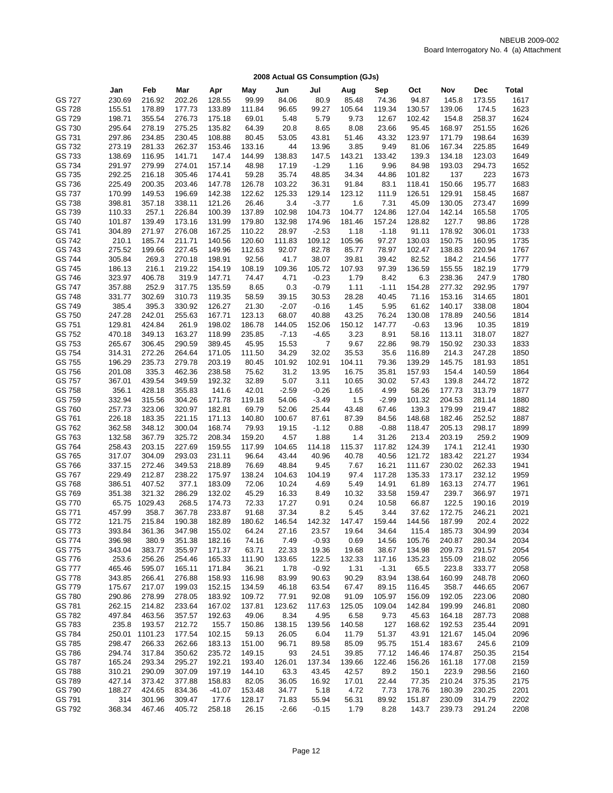|                  | Jan              | Feb              | Mar              | Apr              | May             | Jun              | Jul               | Aug             | Sep            | Oct              | Nov              | Dec              | Total        |
|------------------|------------------|------------------|------------------|------------------|-----------------|------------------|-------------------|-----------------|----------------|------------------|------------------|------------------|--------------|
| GS 727           | 230.69           | 216.92           | 202.26           | 128.55           | 99.99           | 84.06            | 80.9              | 85.48           | 74.36          | 94.87            | 145.8            | 173.55           | 1617         |
| GS 728           | 155.51           | 178.89           | 177.73           | 133.89           | 111.84          | 96.65            | 99.27             | 105.64          | 119.34         | 130.57           | 139.06           | 174.5            | 1623         |
| GS 729           | 198.71           | 355.54           | 276.73           | 175.18           | 69.01           | 5.48             | 5.79              | 9.73            | 12.67          | 102.42           | 154.8            | 258.37           | 1624         |
| GS 730           | 295.64           | 278.19           | 275.25           | 135.82           | 64.39           | 20.8             | 8.65              | 8.08            | 23.66          | 95.45            | 168.97           | 251.55           | 1626         |
| GS 731           | 297.86           | 234.85           | 230.45           | 108.88           | 80.45           | 53.05            | 43.81             | 51.46           | 43.32          | 123.97           | 171.79           | 198.64           | 1639         |
| GS 732           | 273.19           | 281.33           | 262.37           | 153.46           | 133.16          | 44               | 13.96             | 3.85            | 9.49           | 81.06            | 167.34           | 225.85           | 1649         |
| GS 733           | 138.69           | 116.95           | 141.71           | 147.4            | 144.99          | 138.83           | 147.5             | 143.21          | 133.42         | 139.3            | 134.18           | 123.03           | 1649         |
| GS 734           | 291.97           | 279.99           | 274.01           | 157.14           | 48.98           | 17.19            | $-1.29$           | 1.16            | 9.96           | 84.98            | 193.03           | 294.73           | 1652         |
| GS 735           |                  | 216.18           | 305.46           | 174.41           | 59.28           | 35.74            |                   |                 |                | 101.82           | 137              |                  |              |
|                  | 292.25<br>225.49 | 200.35           | 203.46           | 147.78           | 126.78          | 103.22           | 48.85<br>36.31    | 34.34           | 44.86<br>83.1  |                  | 150.66           | 223              | 1673<br>1683 |
| GS 736<br>GS 737 | 170.99           | 149.53           | 196.69           | 142.38           | 122.62          | 125.33           | 129.14            | 91.84<br>123.12 |                | 118.41<br>126.51 | 129.91           | 195.77<br>158.45 | 1687         |
| GS 738           |                  |                  |                  |                  |                 |                  |                   |                 | 111.9          |                  | 130.05           | 273.47           |              |
|                  | 398.81           | 357.18           | 338.11           | 121.26           | 26.46           | 3.4              | $-3.77$           | 1.6             | 7.31           | 45.09            |                  |                  | 1699         |
| GS 739           | 110.33           | 257.1            | 226.84<br>173.16 | 100.39           | 137.89          | 102.98           | 104.73            | 104.77          | 124.86         | 127.04           | 142.14           | 165.58           | 1705         |
| GS 740           | 101.87           | 139.49           |                  | 131.99           | 179.80          | 132.98           | 174.96            | 181.46          | 157.24         | 128.82           | 127.7            | 98.86<br>306.01  | 1728         |
| GS 741           | 304.89           | 271.97           | 276.08           | 167.25           | 110.22          | 28.97            | $-2.53$           | 1.18            | $-1.18$        | 91.11            | 178.92           |                  | 1733         |
| GS 742           | 210.1            | 185.74           | 211.71           | 140.56           | 120.60          | 111.83           | 109.12            | 105.96          | 97.27          | 130.03           | 150.75           | 160.95           | 1735         |
| GS 743           | 275.52           | 199.66           | 227.45           | 149.96           | 112.63          | 92.07            | 82.78             | 85.77           | 78.97          | 102.47           | 138.83           | 220.94           | 1767         |
| GS 744           | 305.84           | 269.3            | 270.18           | 198.91           | 92.56           | 41.7             | 38.07             | 39.81           | 39.42          | 82.52            | 184.2            | 214.56           | 1777         |
| GS 745<br>GS 746 | 186.13           | 216.1            | 219.22           | 154.19           | 108.19          | 109.36           | 105.72            | 107.93          | 97.39          | 136.59           | 155.55<br>238.36 | 182.19           | 1779         |
| GS 747           | 323.97           | 406.78<br>252.9  | 319.9            | 147.71           | 74.47           | 4.71             | $-0.23$           | 1.79            | 8.42           | 6.3              | 277.32           | 247.9<br>292.95  | 1780         |
| GS 748           | 357.88           |                  | 317.75           | 135.59           | 8.65            | 0.3              | $-0.79$           | 1.11            | $-1.11$        | 154.28<br>71.16  |                  | 314.65           | 1797<br>1801 |
| GS 749           | 331.77           | 302.69<br>395.3  | 310.73           | 119.35<br>126.27 | 58.59           | 39.15            | 30.53<br>$-0.16$  | 28.28           | 40.45          |                  | 153.16           |                  | 1804         |
| GS 750           | 385.4<br>247.28  | 242.01           | 330.92<br>255.63 | 167.71           | 21.30<br>123.13 | $-2.07$<br>68.07 | 40.88             | 1.45            | 5.95<br>76.24  | 61.62<br>130.08  | 140.17<br>178.89 | 338.08<br>240.56 | 1814         |
|                  | 129.81           | 424.84           |                  |                  | 186.78          |                  |                   | 43.25           |                |                  |                  |                  |              |
| GS 751<br>GS 752 | 470.18           | 349.13           | 261.9<br>163.27  | 198.02<br>118.99 |                 | 144.05           | 152.06<br>$-4.65$ | 150.12          | 147.77         | $-0.63$          | 13.96<br>113.11  | 10.35<br>318.07  | 1819<br>1827 |
|                  |                  |                  |                  |                  | 235.85          | $-7.13$<br>15.53 |                   | 3.23            | 8.91           | 58.16            |                  |                  |              |
| GS 753<br>GS 754 | 265.67           | 306.45<br>272.26 | 290.59<br>264.64 | 389.45<br>171.05 | 45.95<br>111.50 | 34.29            | 7<br>32.02        | 9.67            | 22.86          | 98.79            | 150.92<br>214.3  | 230.33<br>247.28 | 1833         |
| GS 755           | 314.31<br>196.29 | 235.73           | 279.78           | 203.19           | 80.45           | 101.92           | 102.91            | 35.53           | 35.6<br>79.36  | 116.89<br>139.29 | 145.75           | 181.93           | 1850<br>1851 |
| GS 756           |                  | 335.3            | 462.36           |                  | 75.62           | 31.2             |                   | 104.11          |                | 157.93           | 154.4            |                  | 1864         |
| GS 757           | 201.08<br>367.01 | 439.54           | 349.59           | 238.58<br>192.32 | 32.89           | 5.07             | 13.95<br>3.11     | 16.75<br>10.65  | 35.81          | 57.43            | 139.8            | 140.59           | 1872         |
| GS 758           | 356.1            | 428.18           | 355.83           | 141.6            | 42.01           | $-2.59$          | $-0.26$           |                 | 30.02<br>4.99  |                  | 177.73           | 244.72           | 1877         |
| GS 759           | 332.94           | 315.56           | 304.26           | 171.78           | 119.18          | 54.06            | $-3.49$           | 1.65<br>1.5     | $-2.99$        | 58.26<br>101.32  | 204.53           | 313.79<br>281.14 | 1880         |
| GS 760           | 257.73           | 323.06           | 320.97           | 182.81           | 69.79           | 52.06            | 25.44             | 43.48           | 67.46          | 139.3            | 179.99           | 219.47           | 1882         |
|                  | 226.18           | 183.35           | 221.15           | 171.13           | 140.80          |                  |                   |                 | 84.56          | 148.68           | 182.46           | 252.52           | 1887         |
| GS 761<br>GS 762 | 362.58           | 348.12           | 300.04           | 168.74           | 79.93           | 100.67<br>19.15  | 87.61<br>$-1.12$  | 87.39           | $-0.88$        | 118.47           | 205.13           | 298.17           | 1899         |
|                  |                  | 367.79           | 325.72           |                  |                 |                  |                   | 0.88            |                |                  | 203.19           |                  |              |
| GS 763<br>GS 764 | 132.58           | 203.15           |                  | 208.34<br>159.55 | 159.20          | 4.57             | 1.88              | 1.4<br>115.37   | 31.26          | 213.4            | 174.1            | 259.2<br>212.41  | 1909         |
| GS 765           | 258.43           | 304.09           | 227.69<br>293.03 | 231.11           | 117.99<br>96.64 | 104.65<br>43.44  | 114.18<br>40.96   | 40.78           | 117.82         | 124.39           | 183.42           |                  | 1930<br>1934 |
| GS 766           | 317.07<br>337.15 | 272.46           | 349.53           | 218.89           | 76.69           | 48.84            | 9.45              | 7.67            | 40.56<br>16.21 | 121.72           | 230.02           | 221.27<br>262.33 | 1941         |
| GS 767           | 229.49           | 212.87           | 238.22           | 175.97           | 138.24          | 104.63           | 104.19            | 97.4            | 117.28         | 111.67<br>135.33 | 173.17           | 232.12           | 1959         |
| GS 768           | 386.51           | 407.52           | 377.1            | 183.09           | 72.06           | 10.24            | 4.69              | 5.49            | 14.91          | 61.89            | 163.13           | 274.77           | 1961         |
| GS 769           | 351.38           | 321.32           | 286.29           | 132.02           | 45.29           | 16.33            | 8.49              | 10.32           | 33.58          | 159.47           | 239.7            | 366.97           | 1971         |
| GS 770           | 65.75            | 1029.43          | 268.5            | 174.73           | 72.33           | 17.27            | 0.91              | 0.24            | 10.58          | 66.87            | 122.5            | 190.16           | 2019         |
| GS 771           | 457.99           | 358.7            | 367.78           | 233.87           | 91.68           | 37.34            | 8.2               | 5.45            | 3.44           | 37.62            | 172.75           | 246.21           | 2021         |
| GS 772           | 121.75           | 215.84           | 190.38           | 182.89           | 180.62          | 146.54           | 142.32            | 147.47          | 159.44         | 144.56           | 187.99           | 202.4            | 2022         |
| GS 773           | 393.84           | 361.36           | 347.98           | 155.02           | 64.24           | 27.16            | 23.57             | 19.64           | 34.64          | 115.4            | 185.73           | 304.99           | 2034         |
| GS 774           | 396.98           | 380.9            | 351.38           | 182.16           | 74.16           | 7.49             | $-0.93$           | 0.69            | 14.56          | 105.76           | 240.87           | 280.34           | 2034         |
| GS 775           | 343.04           | 383.77           | 355.97           | 171.37           | 63.71           | 22.33            | 19.36             | 19.68           | 38.67          | 134.98           | 209.73           | 291.57           | 2054         |
| GS 776           | 253.6            | 256.26           | 254.46           | 165.33           | 111.90          | 133.65           | 122.5             | 132.33          | 117.16         | 135.23           | 155.09           | 218.02           | 2056         |
| GS 777           | 465.46           | 595.07           | 165.11           | 171.84           | 36.21           | 1.78             | $-0.92$           | 1.31            | $-1.31$        | 65.5             | 223.8            | 333.77           | 2058         |
| GS 778           | 343.85           | 266.41           | 276.88           | 158.93           | 116.98          | 83.99            | 90.63             | 90.29           | 83.94          | 138.64           | 160.99           | 248.78           | 2060         |
| GS 779           | 175.67           | 217.07           | 199.03           | 152.15           | 134.59          | 46.18            | 63.54             | 67.47           | 89.15          | 116.45           | 358.7            | 446.65           | 2067         |
| GS 780           | 290.86           | 278.99           | 278.05           | 183.92           | 109.72          | 77.91            | 92.08             | 91.09           | 105.97         | 156.09           | 192.05           | 223.06           | 2080         |
| GS 781           | 262.15           | 214.82           | 233.64           | 167.02           | 137.81          | 123.62           | 117.63            | 125.05          | 109.04         | 142.84           | 199.99           | 246.81           | 2080         |
| GS 782           | 497.84           | 463.56           | 357.57           | 192.63           | 49.06           | 8.34             | 4.95              | 6.58            | 9.73           | 45.63            | 164.18           | 287.73           | 2088         |
| GS 783           | 235.8            | 193.57           | 212.72           | 155.7            | 150.86          | 138.15           | 139.56            | 140.58          | 127            | 168.62           | 192.53           | 235.44           | 2091         |
| GS 784           | 250.01           | 1101.23          | 177.54           | 102.15           | 59.13           | 26.05            | 6.04              | 11.79           | 51.37          | 43.91            | 121.67           | 145.04           | 2096         |
|                  |                  |                  |                  |                  | 151.00          |                  |                   |                 |                |                  |                  |                  |              |
| GS 785<br>GS 786 | 298.47<br>294.74 | 266.33<br>317.84 | 262.66<br>350.62 | 183.13<br>235.72 |                 | 96.71            | 89.58             | 85.09<br>39.85  | 95.75<br>77.12 | 151.4            | 183.67<br>174.87 | 245.6<br>250.35  | 2109<br>2154 |
| GS 787           |                  |                  |                  |                  | 149.15          | 93               | 24.51             |                 |                | 146.46           |                  |                  |              |
|                  | 165.24           | 293.34           | 295.27           | 192.21           | 193.40          | 126.01           | 137.34            | 139.66          | 122.46         | 156.26           | 161.18           | 177.08           | 2159         |
| GS 788           | 310.21           | 290.09           | 307.09           | 197.19           | 144.10          | 63.3             | 43.45             | 42.57           | 89.2           | 150.1            | 223.9            | 298.56           | 2160         |
| GS 789           | 427.14           | 373.42           | 377.88           | 158.83           | 82.05           | 36.05            | 16.92             | 17.01           | 22.44          | 77.35            | 210.24           | 375.35           | 2175         |
| GS 790           | 188.27           | 424.65           | 834.36           | -41.07           | 153.48          | 34.77            | 5.18              | 4.72            | 7.73           | 178.76           | 180.39           | 230.25           | 2201         |
| GS 791           | 314              | 301.96           | 309.47           | 177.6            | 128.17          | 71.83            | 55.94             | 56.31           | 89.92          | 151.87           | 230.09           | 314.79           | 2202         |
| GS 792           | 368.34           | 467.46           | 405.72           | 258.18           | 26.15           | $-2.66$          | $-0.15$           | 1.79            | 8.28           | 143.7            | 239.73           | 291.24           | 2208         |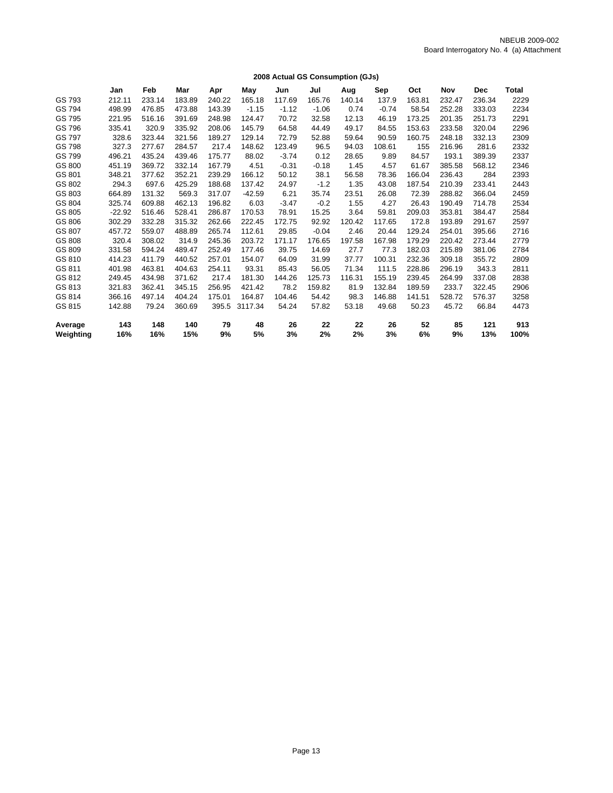|           |          |        |        |        |          |         |         | 2008 Actual GS Consumption (GJs) |         |        |        |            |       |
|-----------|----------|--------|--------|--------|----------|---------|---------|----------------------------------|---------|--------|--------|------------|-------|
|           | Jan      | Feb    | Mar    | Apr    | May      | Jun     | Jul     | Aug                              | Sep     | Oct    | Nov    | <b>Dec</b> | Total |
| GS 793    | 212.11   | 233.14 | 183.89 | 240.22 | 165.18   | 117.69  | 165.76  | 140.14                           | 137.9   | 163.81 | 232.47 | 236.34     | 2229  |
| GS 794    | 498.99   | 476.85 | 473.88 | 143.39 | $-1.15$  | $-1.12$ | $-1.06$ | 0.74                             | $-0.74$ | 58.54  | 252.28 | 333.03     | 2234  |
| GS 795    | 221.95   | 516.16 | 391.69 | 248.98 | 124.47   | 70.72   | 32.58   | 12.13                            | 46.19   | 173.25 | 201.35 | 251.73     | 2291  |
| GS 796    | 335.41   | 320.9  | 335.92 | 208.06 | 145.79   | 64.58   | 44.49   | 49.17                            | 84.55   | 153.63 | 233.58 | 320.04     | 2296  |
| GS 797    | 328.6    | 323.44 | 321.56 | 189.27 | 129.14   | 72.79   | 52.88   | 59.64                            | 90.59   | 160.75 | 248.18 | 332.13     | 2309  |
| GS 798    | 327.3    | 277.67 | 284.57 | 217.4  | 148.62   | 123.49  | 96.5    | 94.03                            | 108.61  | 155    | 216.96 | 281.6      | 2332  |
| GS 799    | 496.21   | 435.24 | 439.46 | 175.77 | 88.02    | $-3.74$ | 0.12    | 28.65                            | 9.89    | 84.57  | 193.1  | 389.39     | 2337  |
| GS 800    | 451.19   | 369.72 | 332.14 | 167.79 | 4.51     | $-0.31$ | $-0.18$ | 1.45                             | 4.57    | 61.67  | 385.58 | 568.12     | 2346  |
| GS 801    | 348.21   | 377.62 | 352.21 | 239.29 | 166.12   | 50.12   | 38.1    | 56.58                            | 78.36   | 166.04 | 236.43 | 284        | 2393  |
| GS 802    | 294.3    | 697.6  | 425.29 | 188.68 | 137.42   | 24.97   | $-1.2$  | 1.35                             | 43.08   | 187.54 | 210.39 | 233.41     | 2443  |
| GS 803    | 664.89   | 131.32 | 569.3  | 317.07 | $-42.59$ | 6.21    | 35.74   | 23.51                            | 26.08   | 72.39  | 288.82 | 366.04     | 2459  |
| GS 804    | 325.74   | 609.88 | 462.13 | 196.82 | 6.03     | $-3.47$ | $-0.2$  | 1.55                             | 4.27    | 26.43  | 190.49 | 714.78     | 2534  |
| GS 805    | $-22.92$ | 516.46 | 528.41 | 286.87 | 170.53   | 78.91   | 15.25   | 3.64                             | 59.81   | 209.03 | 353.81 | 384.47     | 2584  |
| GS 806    | 302.29   | 332.28 | 315.32 | 262.66 | 222.45   | 172.75  | 92.92   | 120.42                           | 117.65  | 172.8  | 193.89 | 291.67     | 2597  |
| GS 807    | 457.72   | 559.07 | 488.89 | 265.74 | 112.61   | 29.85   | $-0.04$ | 2.46                             | 20.44   | 129.24 | 254.01 | 395.66     | 2716  |
| GS 808    | 320.4    | 308.02 | 314.9  | 245.36 | 203.72   | 171.17  | 176.65  | 197.58                           | 167.98  | 179.29 | 220.42 | 273.44     | 2779  |
| GS 809    | 331.58   | 594.24 | 489.47 | 252.49 | 177.46   | 39.75   | 14.69   | 27.7                             | 77.3    | 182.03 | 215.89 | 381.06     | 2784  |
| GS 810    | 414.23   | 411.79 | 440.52 | 257.01 | 154.07   | 64.09   | 31.99   | 37.77                            | 100.31  | 232.36 | 309.18 | 355.72     | 2809  |
| GS 811    | 401.98   | 463.81 | 404.63 | 254.11 | 93.31    | 85.43   | 56.05   | 71.34                            | 111.5   | 228.86 | 296.19 | 343.3      | 2811  |
| GS 812    | 249.45   | 434.98 | 371.62 | 217.4  | 181.30   | 144.26  | 125.73  | 116.31                           | 155.19  | 239.45 | 264.99 | 337.08     | 2838  |
| GS 813    | 321.83   | 362.41 | 345.15 | 256.95 | 421.42   | 78.2    | 159.82  | 81.9                             | 132.84  | 189.59 | 233.7  | 322.45     | 2906  |
| GS 814    | 366.16   | 497.14 | 404.24 | 175.01 | 164.87   | 104.46  | 54.42   | 98.3                             | 146.88  | 141.51 | 528.72 | 576.37     | 3258  |
| GS 815    | 142.88   | 79.24  | 360.69 | 395.5  | 3117.34  | 54.24   | 57.82   | 53.18                            | 49.68   | 50.23  | 45.72  | 66.84      | 4473  |
| Average   | 143      | 148    | 140    | 79     | 48       | 26      | 22      | 22                               | 26      | 52     | 85     | 121        | 913   |
| Weighting | 16%      | 16%    | 15%    | 9%     | 5%       | 3%      | 2%      | 2%                               | 3%      | 6%     | 9%     | 13%        | 100%  |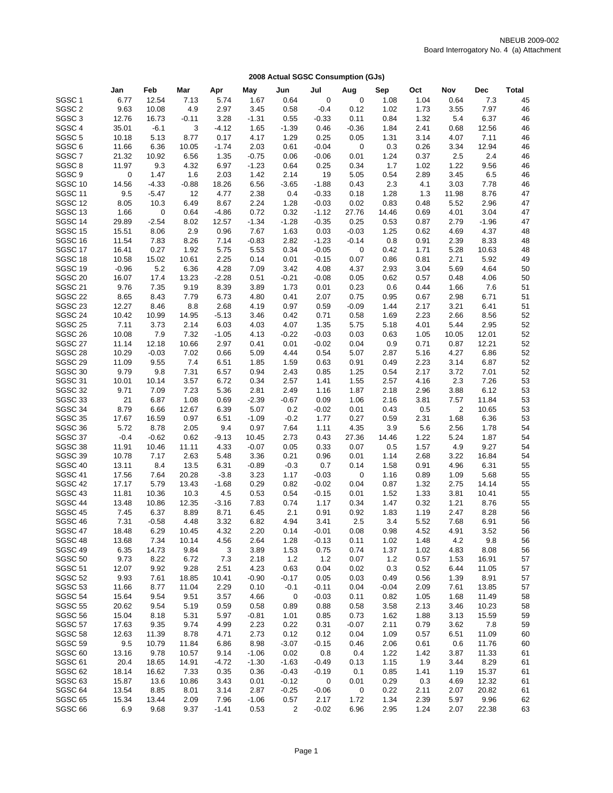| SGSC <sub>1</sub><br>12.54<br>1.67<br>$\mathbf 0$<br>1.08<br>1.04<br>7.3<br>6.77<br>7.13<br>5.74<br>0.64<br>0<br>0.64<br>45<br>SGSC <sub>2</sub><br>9.63<br>4.9<br>2.97<br>0.12<br>1.73<br>3.55<br>7.97<br>10.08<br>3.45<br>0.58<br>$-0.4$<br>1.02<br>46<br>SGSC <sub>3</sub><br>12.76<br>16.73<br>3.28<br>1.32<br>5.4<br>6.37<br>46<br>$-0.11$<br>$-1.31$<br>0.55<br>$-0.33$<br>0.11<br>0.84<br>SGSC <sub>4</sub><br>35.01<br>$-6.1$<br>3<br>$-4.12$<br>1.65<br>$-1.39$<br>0.46<br>$-0.36$<br>1.84<br>2.41<br>0.68<br>12.56<br>46<br>SGSC <sub>5</sub><br>0.05<br>7.11<br>10.18<br>5.13<br>8.77<br>0.17<br>4.17<br>1.29<br>0.25<br>1.31<br>3.14<br>4.07<br>46<br>SGSC <sub>6</sub><br>$\mathbf 0$<br>12.94<br>11.66<br>6.36<br>10.05<br>$-1.74$<br>2.03<br>0.61<br>$-0.04$<br>0.3<br>0.26<br>3.34<br>46<br>SGSC <sub>7</sub><br>2.4<br>21.32<br>10.92<br>6.56<br>1.35<br>$-0.75$<br>0.06<br>0.01<br>1.24<br>0.37<br>2.5<br>46<br>$-0.06$<br>SGSC <sub>8</sub><br>9.56<br>11.97<br>9.3<br>4.32<br>6.97<br>$-1.23$<br>0.64<br>0.25<br>0.34<br>1.7<br>1.02<br>1.22<br>46<br>SGSC <sub>9</sub><br>0<br>1.47<br>1.6<br>2.03<br>1.42<br>2.14<br>19<br>5.05<br>0.54<br>2.89<br>3.45<br>6.5<br>46<br>SGSC <sub>10</sub><br>14.56<br>$-4.33$<br>18.26<br>$-1.88$<br>0.43<br>2.3<br>7.78<br>46<br>$-0.88$<br>6.56<br>$-3.65$<br>4.1<br>3.03<br>SGSC <sub>11</sub><br>47<br>9.5<br>$-5.47$<br>12<br>4.77<br>2.38<br>0.4<br>$-0.33$<br>0.18<br>1.28<br>1.3<br>11.98<br>8.76<br>SGSC <sub>12</sub><br>47<br>8.05<br>10.3<br>6.49<br>8.67<br>2.24<br>1.28<br>$-0.03$<br>0.02<br>0.83<br>0.48<br>5.52<br>2.96<br>SGSC <sub>13</sub><br>47<br>1.66<br>0<br>0.64<br>$-4.86$<br>0.72<br>0.32<br>$-1.12$<br>27.76<br>14.46<br>0.69<br>4.01<br>3.04<br>SGSC <sub>14</sub><br>47<br>29.89<br>$-2.54$<br>8.02<br>12.57<br>$-1.34$<br>$-1.28$<br>$-0.35$<br>0.25<br>0.53<br>0.87<br>2.79<br>$-1.96$<br>SGSC <sub>15</sub><br>2.9<br>4.37<br>15.51<br>8.06<br>0.96<br>7.67<br>1.63<br>0.03<br>$-0.03$<br>1.25<br>4.69<br>48<br>0.62<br>SGSC <sub>16</sub><br>11.54<br>7.83<br>8.26<br>7.14<br>$-0.83$<br>2.82<br>$-1.23$<br>$-0.14$<br>0.8<br>0.91<br>2.39<br>8.33<br>48<br>SGSC 17<br>0.27<br>16.41<br>1.92<br>5.75<br>5.53<br>0.34<br>$-0.05$<br>0<br>0.42<br>1.71<br>5.28<br>10.63<br>48<br>SGSC <sub>18</sub><br>2.25<br>0.01<br>2.71<br>5.92<br>10.58<br>15.02<br>10.61<br>0.14<br>$-0.15$<br>0.07<br>0.86<br>0.81<br>49<br>SGSC 19<br>5.2<br>6.36<br>4.28<br>4.08<br>4.37<br>4.64<br>$-0.96$<br>7.09<br>3.42<br>2.93<br>3.04<br>5.69<br>50<br><b>SGSC 20</b><br>16.07<br>17.4<br>13.23<br>$-2.28$<br>0.51<br>$-0.21$<br>$-0.08$<br>0.05<br>0.62<br>0.57<br>0.48<br>4.06<br>50<br>SGSC <sub>21</sub><br>51<br>9.76<br>7.35<br>9.19<br>8.39<br>3.89<br>1.73<br>0.01<br>0.23<br>0.6<br>0.44<br>1.66<br>7.6<br>SGSC <sub>22</sub><br>8.65<br>51<br>8.43<br>7.79<br>6.73<br>4.80<br>0.41<br>2.07<br>0.75<br>0.95<br>0.67<br>2.98<br>6.71<br>SGSC <sub>23</sub><br>12.27<br>51<br>8.46<br>8.8<br>2.68<br>4.19<br>0.97<br>0.59<br>$-0.09$<br>1.44<br>2.17<br>3.21<br>6.41<br>SGSC 24<br>52<br>10.42<br>10.99<br>14.95<br>$-5.13$<br>3.46<br>0.42<br>0.71<br>0.58<br>1.69<br>2.23<br>2.66<br>8.56<br>SGSC <sub>25</sub><br>52<br>7.11<br>3.73<br>2.14<br>6.03<br>4.03<br>4.07<br>1.35<br>5.75<br>5.18<br>4.01<br>5.44<br>2.95<br>SGSC <sub>26</sub><br>7.32<br>0.03<br>52<br>10.08<br>7.9<br>$-1.05$<br>4.13<br>$-0.22$<br>$-0.03$<br>0.63<br>1.05<br>10.05<br>12.01<br>SGSC 27<br>12.21<br>52<br>11.14<br>12.18<br>10.66<br>2.97<br>0.41<br>0.01<br>$-0.02$<br>0.04<br>0.9<br>0.71<br>0.87<br>SGSC <sub>28</sub><br>7.02<br>5.07<br>6.86<br>52<br>10.29<br>$-0.03$<br>0.66<br>5.09<br>4.44<br>0.54<br>2.87<br>5.16<br>4.27<br>SGSC <sub>29</sub><br>52<br>11.09<br>9.55<br>7.4<br>6.51<br>1.85<br>1.59<br>0.63<br>0.91<br>0.49<br>2.23<br>3.14<br>6.87<br>SGSC 30<br>1.25<br>52<br>9.79<br>9.8<br>7.31<br>6.57<br>0.94<br>2.43<br>0.85<br>0.54<br>2.17<br>3.72<br>7.01<br>SGSC 31<br>1.55<br>53<br>10.01<br>10.14<br>3.57<br>6.72<br>0.34<br>2.57<br>1.41<br>2.57<br>4.16<br>2.3<br>7.26<br>SGSC 32<br>9.71<br>6.12<br>53<br>7.09<br>7.23<br>5.36<br>2.81<br>2.49<br>1.87<br>2.18<br>2.96<br>3.88<br>1.16<br>SGSC 33<br>21<br>6.87<br>1.08<br>0.69<br>$-2.39$<br>$-0.67$<br>0.09<br>1.06<br>2.16<br>3.81<br>7.57<br>11.84<br>53<br>SGSC 34<br>8.79<br>$\overline{2}$<br>53<br>6.66<br>12.67<br>6.39<br>5.07<br>0.2<br>$-0.02$<br>0.01<br>0.43<br>0.5<br>10.65<br>SGSC 35<br>0.97<br>$-0.2$<br>0.27<br>6.36<br>53<br>17.67<br>16.59<br>6.51<br>$-1.09$<br>1.77<br>0.59<br>2.31<br>1.68<br>SGSC 36<br>54<br>5.72<br>8.78<br>2.05<br>9.4<br>0.97<br>7.64<br>1.11<br>4.35<br>3.9<br>5.6<br>2.56<br>1.78<br>SGSC 37<br>$-0.4$<br>1.87<br>$-0.62$<br>0.62<br>$-9.13$<br>10.45<br>2.73<br>0.43<br>27.36<br>14.46<br>1.22<br>5.24<br>54<br>SGSC 38<br>11.91<br>$-0.07$<br>0.07<br>9.27<br>54<br>10.46<br>11.11<br>4.33<br>0.05<br>0.33<br>0.5<br>1.57<br>4.9<br>SGSC 39<br>0.21<br>54<br>10.78<br>7.17<br>2.63<br>3.36<br>0.96<br>0.01<br>1.14<br>2.68<br>3.22<br>16.84<br>5.48<br>SGSC 40<br>55<br>13.11<br>8.4<br>13.5<br>6.31<br>$-0.89$<br>$-0.3$<br>0.7<br>0.14<br>1.58<br>0.91<br>4.96<br>6.31<br>SGSC 41<br>17.56<br>7.64<br>20.28<br>$-3.8$<br>3.23<br>1.17<br>$-0.03$<br>0<br>0.89<br>1.09<br>5.68<br>55<br>1.16<br>SGSC 42<br>0.82<br>17.17<br>5.79<br>13.43<br>$-1.68$<br>0.29<br>$-0.02$<br>0.04<br>0.87<br>1.32<br>2.75<br>14.14<br>55<br>SGSC 43<br>0.54<br>1.33<br>55<br>11.81<br>10.36<br>10.3<br>4.5<br>0.53<br>$-0.15$<br>0.01<br>1.52<br>3.81<br>10.41<br>SGSC 44<br>12.35<br>0.34<br>55<br>13.48<br>10.86<br>$-3.16$<br>7.83<br>0.74<br>1.17<br>1.47<br>0.32<br>1.21<br>8.76<br>SGSC 45<br>7.45<br>6.37<br>8.89<br>8.71<br>6.45<br>2.1<br>0.91<br>0.92<br>1.83<br>1.19<br>2.47<br>8.28<br>56<br>SGSC 46<br>2.5<br>5.52<br>56<br>7.31<br>$-0.58$<br>4.48<br>3.32<br>6.82<br>4.94<br>3.41<br>3.4<br>7.68<br>6.91<br>SGSC 47<br>18.48<br>6.29<br>10.45<br>4.32<br>2.20<br>0.14<br>0.08<br>0.98<br>4.52<br>4.91<br>3.52<br>56<br>$-0.01$<br>SGSC 48<br>9.8<br>13.68<br>7.34<br>10.14<br>4.56<br>2.64<br>1.28<br>$-0.13$<br>0.11<br>1.02<br>1.48<br>4.2<br>56<br>SGSC 49<br>6.35<br>14.73<br>9.84<br>3<br>3.89<br>1.53<br>0.75<br>0.74<br>1.37<br>8.08<br>56<br>1.02<br>4.83<br>SGSC <sub>50</sub><br>9.73<br>8.22<br>6.72<br>7.3<br>2.18<br>1.2<br>$1.2$<br>0.07<br>0.57<br>16.91<br>57<br>1.2<br>1.53<br>SGSC 51<br>12.07<br>9.92<br>9.28<br>2.51<br>4.23<br>0.63<br>0.04<br>0.02<br>0.3<br>0.52<br>6.44<br>11.05<br>57<br>SGSC 52<br>9.93<br>10.41<br>$-0.90$<br>$-0.17$<br>0.03<br>0.56<br>1.39<br>8.91<br>57<br>7.61<br>18.85<br>0.05<br>0.49<br>SGSC 53<br>2.29<br>13.85<br>11.66<br>8.77<br>11.04<br>0.10<br>$-0.1$<br>$-0.11$<br>0.04<br>$-0.04$<br>2.09<br>7.61<br>57<br>SGSC 54<br>15.64<br>9.54<br>9.51<br>3.57<br>4.66<br>$\mathbf 0$<br>$-0.03$<br>0.11<br>0.82<br>1.05<br>11.49<br>1.68<br>58<br><b>SGSC 55</b><br>20.62<br>9.54<br>5.19<br>0.59<br>0.58<br>0.89<br>0.88<br>0.58<br>3.58<br>2.13<br>3.46<br>10.23<br>58<br><b>SGSC 56</b><br>15.04<br>5.31<br>5.97<br>$-0.81$<br>1.01<br>0.85<br>0.73<br>1.62<br>1.88<br>3.13<br>15.59<br>59<br>8.18<br>SGSC 57<br>9.74<br>2.23<br>$-0.07$<br>0.79<br>7.8<br>17.63<br>9.35<br>4.99<br>0.22<br>0.31<br>2.11<br>3.62<br>59<br>SGSC <sub>58</sub><br>12.63<br>11.39<br>8.78<br>4.71<br>2.73<br>0.12<br>0.12<br>0.04<br>1.09<br>0.57<br>6.51<br>11.09<br>60<br><b>SGSC 59</b><br>9.5<br>10.79<br>11.84<br>6.86<br>8.98<br>$-3.07$<br>$-0.15$<br>2.06<br>0.61<br>11.76<br>0.46<br>0.6<br>60<br>SGSC <sub>60</sub><br>1.22<br>11.33<br>13.16<br>9.78<br>10.57<br>9.14<br>$-1.06$<br>0.02<br>0.8<br>0.4<br>1.42<br>3.87<br>61<br>SGSC 61<br>8.29<br>20.4<br>18.65<br>14.91<br>$-4.72$<br>$-1.30$<br>$-1.63$<br>0.13<br>1.9<br>$-0.49$<br>1.15<br>3.44<br>61<br>SGSC <sub>62</sub><br>18.14<br>16.62<br>7.33<br>0.35<br>0.36<br>$-0.43$<br>$-0.19$<br>0.1<br>0.85<br>1.41<br>1.19<br>15.37<br>61<br>SGSC <sub>63</sub><br>15.87<br>13.6<br>10.86<br>3.43<br>0.01<br>$-0.12$<br>0<br>0.01<br>0.29<br>0.3<br>4.69<br>12.32<br>61<br>SGSC 64<br>13.54<br>8.85<br>8.01<br>3.14<br>2.87<br>$-0.25$<br>0.22<br>2.11<br>20.82<br>$-0.06$<br>0<br>2.07<br>61<br>SGSC <sub>65</sub><br>15.34<br>13.44<br>2.09<br>7.96<br>$-1.06$<br>0.57<br>1.72<br>1.34<br>2.39<br>9.96<br>62<br>2.17<br>5.97 |                    | Jan | Feb  | Mar  | Apr     | May  | Jun            | Jul     | Aug  | Sep  | Oct  | Nov  | Dec   | <b>Total</b> |
|----------------------------------------------------------------------------------------------------------------------------------------------------------------------------------------------------------------------------------------------------------------------------------------------------------------------------------------------------------------------------------------------------------------------------------------------------------------------------------------------------------------------------------------------------------------------------------------------------------------------------------------------------------------------------------------------------------------------------------------------------------------------------------------------------------------------------------------------------------------------------------------------------------------------------------------------------------------------------------------------------------------------------------------------------------------------------------------------------------------------------------------------------------------------------------------------------------------------------------------------------------------------------------------------------------------------------------------------------------------------------------------------------------------------------------------------------------------------------------------------------------------------------------------------------------------------------------------------------------------------------------------------------------------------------------------------------------------------------------------------------------------------------------------------------------------------------------------------------------------------------------------------------------------------------------------------------------------------------------------------------------------------------------------------------------------------------------------------------------------------------------------------------------------------------------------------------------------------------------------------------------------------------------------------------------------------------------------------------------------------------------------------------------------------------------------------------------------------------------------------------------------------------------------------------------------------------------------------------------------------------------------------------------------------------------------------------------------------------------------------------------------------------------------------------------------------------------------------------------------------------------------------------------------------------------------------------------------------------------------------------------------------------------------------------------------------------------------------------------------------------------------------------------------------------------------------------------------------------------------------------------------------------------------------------------------------------------------------------------------------------------------------------------------------------------------------------------------------------------------------------------------------------------------------------------------------------------------------------------------------------------------------------------------------------------------------------------------------------------------------------------------------------------------------------------------------------------------------------------------------------------------------------------------------------------------------------------------------------------------------------------------------------------------------------------------------------------------------------------------------------------------------------------------------------------------------------------------------------------------------------------------------------------------------------------------------------------------------------------------------------------------------------------------------------------------------------------------------------------------------------------------------------------------------------------------------------------------------------------------------------------------------------------------------------------------------------------------------------------------------------------------------------------------------------------------------------------------------------------------------------------------------------------------------------------------------------------------------------------------------------------------------------------------------------------------------------------------------------------------------------------------------------------------------------------------------------------------------------------------------------------------------------------------------------------------------------------------------------------------------------------------------------------------------------------------------------------------------------------------------------------------------------------------------------------------------------------------------------------------------------------------------------------------------------------------------------------------------------------------------------------------------------------------------------------------------------------------------------------------------------------------------------------------------------------------------------------------------------------------------------------------------------------------------------------------------------------------------------------------------------------------------------------------------------------------------------------------------------------------------------------------------------------------------------------------------------------------------------------------------------------------------------------------------------------------------------------------------------------------------------------------------------------------------------------------------------------------------------------------------------------------------------------------------------------------------------------------------------------------------------------------------------------------------------------------------------------------------------------------------------------------------------------------------------------------------------------------------------------------------------------------------------------------------------------------------------------------------------------------------------------------------------------------------------------------------------------------------------------------------------------------------------------------------------------------------------------------------------------------------------------------------------------------------------------------------------------------------------------------------------------------------------------------------------------------------------------------------------------------------------------------------------------------------------------------------------------------------------------------------------------------------------------------------------------------------------------------------------------------------------------------------------------------------------------------------------------------------------------------------------------------------------------------------------------------------------------------------------------------------------------------------------------------------------------------------------------------------------------------------------------------------------------------------------------------------------|--------------------|-----|------|------|---------|------|----------------|---------|------|------|------|------|-------|--------------|
|                                                                                                                                                                                                                                                                                                                                                                                                                                                                                                                                                                                                                                                                                                                                                                                                                                                                                                                                                                                                                                                                                                                                                                                                                                                                                                                                                                                                                                                                                                                                                                                                                                                                                                                                                                                                                                                                                                                                                                                                                                                                                                                                                                                                                                                                                                                                                                                                                                                                                                                                                                                                                                                                                                                                                                                                                                                                                                                                                                                                                                                                                                                                                                                                                                                                                                                                                                                                                                                                                                                                                                                                                                                                                                                                                                                                                                                                                                                                                                                                                                                                                                                                                                                                                                                                                                                                                                                                                                                                                                                                                                                                                                                                                                                                                                                                                                                                                                                                                                                                                                                                                                                                                                                                                                                                                                                                                                                                                                                                                                                                                                                                                                                                                                                                                                                                                                                                                                                                                                                                                                                                                                                                                                                                                                                                                                                                                                                                                                                                                                                                                                                                                                                                                                                                                                                                                                                                                                                                                                                                                                                                                                                                                                                                                                                                                                                                                                                                                                                                                                                                                                                                                                                                                                                                                                                                                                                                                                                                                                                                                                                                                                                                                                                                                                                                                                                            |                    |     |      |      |         |      |                |         |      |      |      |      |       |              |
|                                                                                                                                                                                                                                                                                                                                                                                                                                                                                                                                                                                                                                                                                                                                                                                                                                                                                                                                                                                                                                                                                                                                                                                                                                                                                                                                                                                                                                                                                                                                                                                                                                                                                                                                                                                                                                                                                                                                                                                                                                                                                                                                                                                                                                                                                                                                                                                                                                                                                                                                                                                                                                                                                                                                                                                                                                                                                                                                                                                                                                                                                                                                                                                                                                                                                                                                                                                                                                                                                                                                                                                                                                                                                                                                                                                                                                                                                                                                                                                                                                                                                                                                                                                                                                                                                                                                                                                                                                                                                                                                                                                                                                                                                                                                                                                                                                                                                                                                                                                                                                                                                                                                                                                                                                                                                                                                                                                                                                                                                                                                                                                                                                                                                                                                                                                                                                                                                                                                                                                                                                                                                                                                                                                                                                                                                                                                                                                                                                                                                                                                                                                                                                                                                                                                                                                                                                                                                                                                                                                                                                                                                                                                                                                                                                                                                                                                                                                                                                                                                                                                                                                                                                                                                                                                                                                                                                                                                                                                                                                                                                                                                                                                                                                                                                                                                                                            |                    |     |      |      |         |      |                |         |      |      |      |      |       |              |
|                                                                                                                                                                                                                                                                                                                                                                                                                                                                                                                                                                                                                                                                                                                                                                                                                                                                                                                                                                                                                                                                                                                                                                                                                                                                                                                                                                                                                                                                                                                                                                                                                                                                                                                                                                                                                                                                                                                                                                                                                                                                                                                                                                                                                                                                                                                                                                                                                                                                                                                                                                                                                                                                                                                                                                                                                                                                                                                                                                                                                                                                                                                                                                                                                                                                                                                                                                                                                                                                                                                                                                                                                                                                                                                                                                                                                                                                                                                                                                                                                                                                                                                                                                                                                                                                                                                                                                                                                                                                                                                                                                                                                                                                                                                                                                                                                                                                                                                                                                                                                                                                                                                                                                                                                                                                                                                                                                                                                                                                                                                                                                                                                                                                                                                                                                                                                                                                                                                                                                                                                                                                                                                                                                                                                                                                                                                                                                                                                                                                                                                                                                                                                                                                                                                                                                                                                                                                                                                                                                                                                                                                                                                                                                                                                                                                                                                                                                                                                                                                                                                                                                                                                                                                                                                                                                                                                                                                                                                                                                                                                                                                                                                                                                                                                                                                                                                            |                    |     |      |      |         |      |                |         |      |      |      |      |       |              |
|                                                                                                                                                                                                                                                                                                                                                                                                                                                                                                                                                                                                                                                                                                                                                                                                                                                                                                                                                                                                                                                                                                                                                                                                                                                                                                                                                                                                                                                                                                                                                                                                                                                                                                                                                                                                                                                                                                                                                                                                                                                                                                                                                                                                                                                                                                                                                                                                                                                                                                                                                                                                                                                                                                                                                                                                                                                                                                                                                                                                                                                                                                                                                                                                                                                                                                                                                                                                                                                                                                                                                                                                                                                                                                                                                                                                                                                                                                                                                                                                                                                                                                                                                                                                                                                                                                                                                                                                                                                                                                                                                                                                                                                                                                                                                                                                                                                                                                                                                                                                                                                                                                                                                                                                                                                                                                                                                                                                                                                                                                                                                                                                                                                                                                                                                                                                                                                                                                                                                                                                                                                                                                                                                                                                                                                                                                                                                                                                                                                                                                                                                                                                                                                                                                                                                                                                                                                                                                                                                                                                                                                                                                                                                                                                                                                                                                                                                                                                                                                                                                                                                                                                                                                                                                                                                                                                                                                                                                                                                                                                                                                                                                                                                                                                                                                                                                                            |                    |     |      |      |         |      |                |         |      |      |      |      |       |              |
|                                                                                                                                                                                                                                                                                                                                                                                                                                                                                                                                                                                                                                                                                                                                                                                                                                                                                                                                                                                                                                                                                                                                                                                                                                                                                                                                                                                                                                                                                                                                                                                                                                                                                                                                                                                                                                                                                                                                                                                                                                                                                                                                                                                                                                                                                                                                                                                                                                                                                                                                                                                                                                                                                                                                                                                                                                                                                                                                                                                                                                                                                                                                                                                                                                                                                                                                                                                                                                                                                                                                                                                                                                                                                                                                                                                                                                                                                                                                                                                                                                                                                                                                                                                                                                                                                                                                                                                                                                                                                                                                                                                                                                                                                                                                                                                                                                                                                                                                                                                                                                                                                                                                                                                                                                                                                                                                                                                                                                                                                                                                                                                                                                                                                                                                                                                                                                                                                                                                                                                                                                                                                                                                                                                                                                                                                                                                                                                                                                                                                                                                                                                                                                                                                                                                                                                                                                                                                                                                                                                                                                                                                                                                                                                                                                                                                                                                                                                                                                                                                                                                                                                                                                                                                                                                                                                                                                                                                                                                                                                                                                                                                                                                                                                                                                                                                                                            |                    |     |      |      |         |      |                |         |      |      |      |      |       |              |
|                                                                                                                                                                                                                                                                                                                                                                                                                                                                                                                                                                                                                                                                                                                                                                                                                                                                                                                                                                                                                                                                                                                                                                                                                                                                                                                                                                                                                                                                                                                                                                                                                                                                                                                                                                                                                                                                                                                                                                                                                                                                                                                                                                                                                                                                                                                                                                                                                                                                                                                                                                                                                                                                                                                                                                                                                                                                                                                                                                                                                                                                                                                                                                                                                                                                                                                                                                                                                                                                                                                                                                                                                                                                                                                                                                                                                                                                                                                                                                                                                                                                                                                                                                                                                                                                                                                                                                                                                                                                                                                                                                                                                                                                                                                                                                                                                                                                                                                                                                                                                                                                                                                                                                                                                                                                                                                                                                                                                                                                                                                                                                                                                                                                                                                                                                                                                                                                                                                                                                                                                                                                                                                                                                                                                                                                                                                                                                                                                                                                                                                                                                                                                                                                                                                                                                                                                                                                                                                                                                                                                                                                                                                                                                                                                                                                                                                                                                                                                                                                                                                                                                                                                                                                                                                                                                                                                                                                                                                                                                                                                                                                                                                                                                                                                                                                                                                            |                    |     |      |      |         |      |                |         |      |      |      |      |       |              |
|                                                                                                                                                                                                                                                                                                                                                                                                                                                                                                                                                                                                                                                                                                                                                                                                                                                                                                                                                                                                                                                                                                                                                                                                                                                                                                                                                                                                                                                                                                                                                                                                                                                                                                                                                                                                                                                                                                                                                                                                                                                                                                                                                                                                                                                                                                                                                                                                                                                                                                                                                                                                                                                                                                                                                                                                                                                                                                                                                                                                                                                                                                                                                                                                                                                                                                                                                                                                                                                                                                                                                                                                                                                                                                                                                                                                                                                                                                                                                                                                                                                                                                                                                                                                                                                                                                                                                                                                                                                                                                                                                                                                                                                                                                                                                                                                                                                                                                                                                                                                                                                                                                                                                                                                                                                                                                                                                                                                                                                                                                                                                                                                                                                                                                                                                                                                                                                                                                                                                                                                                                                                                                                                                                                                                                                                                                                                                                                                                                                                                                                                                                                                                                                                                                                                                                                                                                                                                                                                                                                                                                                                                                                                                                                                                                                                                                                                                                                                                                                                                                                                                                                                                                                                                                                                                                                                                                                                                                                                                                                                                                                                                                                                                                                                                                                                                                                            |                    |     |      |      |         |      |                |         |      |      |      |      |       |              |
|                                                                                                                                                                                                                                                                                                                                                                                                                                                                                                                                                                                                                                                                                                                                                                                                                                                                                                                                                                                                                                                                                                                                                                                                                                                                                                                                                                                                                                                                                                                                                                                                                                                                                                                                                                                                                                                                                                                                                                                                                                                                                                                                                                                                                                                                                                                                                                                                                                                                                                                                                                                                                                                                                                                                                                                                                                                                                                                                                                                                                                                                                                                                                                                                                                                                                                                                                                                                                                                                                                                                                                                                                                                                                                                                                                                                                                                                                                                                                                                                                                                                                                                                                                                                                                                                                                                                                                                                                                                                                                                                                                                                                                                                                                                                                                                                                                                                                                                                                                                                                                                                                                                                                                                                                                                                                                                                                                                                                                                                                                                                                                                                                                                                                                                                                                                                                                                                                                                                                                                                                                                                                                                                                                                                                                                                                                                                                                                                                                                                                                                                                                                                                                                                                                                                                                                                                                                                                                                                                                                                                                                                                                                                                                                                                                                                                                                                                                                                                                                                                                                                                                                                                                                                                                                                                                                                                                                                                                                                                                                                                                                                                                                                                                                                                                                                                                                            |                    |     |      |      |         |      |                |         |      |      |      |      |       |              |
|                                                                                                                                                                                                                                                                                                                                                                                                                                                                                                                                                                                                                                                                                                                                                                                                                                                                                                                                                                                                                                                                                                                                                                                                                                                                                                                                                                                                                                                                                                                                                                                                                                                                                                                                                                                                                                                                                                                                                                                                                                                                                                                                                                                                                                                                                                                                                                                                                                                                                                                                                                                                                                                                                                                                                                                                                                                                                                                                                                                                                                                                                                                                                                                                                                                                                                                                                                                                                                                                                                                                                                                                                                                                                                                                                                                                                                                                                                                                                                                                                                                                                                                                                                                                                                                                                                                                                                                                                                                                                                                                                                                                                                                                                                                                                                                                                                                                                                                                                                                                                                                                                                                                                                                                                                                                                                                                                                                                                                                                                                                                                                                                                                                                                                                                                                                                                                                                                                                                                                                                                                                                                                                                                                                                                                                                                                                                                                                                                                                                                                                                                                                                                                                                                                                                                                                                                                                                                                                                                                                                                                                                                                                                                                                                                                                                                                                                                                                                                                                                                                                                                                                                                                                                                                                                                                                                                                                                                                                                                                                                                                                                                                                                                                                                                                                                                                                            |                    |     |      |      |         |      |                |         |      |      |      |      |       |              |
|                                                                                                                                                                                                                                                                                                                                                                                                                                                                                                                                                                                                                                                                                                                                                                                                                                                                                                                                                                                                                                                                                                                                                                                                                                                                                                                                                                                                                                                                                                                                                                                                                                                                                                                                                                                                                                                                                                                                                                                                                                                                                                                                                                                                                                                                                                                                                                                                                                                                                                                                                                                                                                                                                                                                                                                                                                                                                                                                                                                                                                                                                                                                                                                                                                                                                                                                                                                                                                                                                                                                                                                                                                                                                                                                                                                                                                                                                                                                                                                                                                                                                                                                                                                                                                                                                                                                                                                                                                                                                                                                                                                                                                                                                                                                                                                                                                                                                                                                                                                                                                                                                                                                                                                                                                                                                                                                                                                                                                                                                                                                                                                                                                                                                                                                                                                                                                                                                                                                                                                                                                                                                                                                                                                                                                                                                                                                                                                                                                                                                                                                                                                                                                                                                                                                                                                                                                                                                                                                                                                                                                                                                                                                                                                                                                                                                                                                                                                                                                                                                                                                                                                                                                                                                                                                                                                                                                                                                                                                                                                                                                                                                                                                                                                                                                                                                                                            |                    |     |      |      |         |      |                |         |      |      |      |      |       |              |
|                                                                                                                                                                                                                                                                                                                                                                                                                                                                                                                                                                                                                                                                                                                                                                                                                                                                                                                                                                                                                                                                                                                                                                                                                                                                                                                                                                                                                                                                                                                                                                                                                                                                                                                                                                                                                                                                                                                                                                                                                                                                                                                                                                                                                                                                                                                                                                                                                                                                                                                                                                                                                                                                                                                                                                                                                                                                                                                                                                                                                                                                                                                                                                                                                                                                                                                                                                                                                                                                                                                                                                                                                                                                                                                                                                                                                                                                                                                                                                                                                                                                                                                                                                                                                                                                                                                                                                                                                                                                                                                                                                                                                                                                                                                                                                                                                                                                                                                                                                                                                                                                                                                                                                                                                                                                                                                                                                                                                                                                                                                                                                                                                                                                                                                                                                                                                                                                                                                                                                                                                                                                                                                                                                                                                                                                                                                                                                                                                                                                                                                                                                                                                                                                                                                                                                                                                                                                                                                                                                                                                                                                                                                                                                                                                                                                                                                                                                                                                                                                                                                                                                                                                                                                                                                                                                                                                                                                                                                                                                                                                                                                                                                                                                                                                                                                                                                            |                    |     |      |      |         |      |                |         |      |      |      |      |       |              |
|                                                                                                                                                                                                                                                                                                                                                                                                                                                                                                                                                                                                                                                                                                                                                                                                                                                                                                                                                                                                                                                                                                                                                                                                                                                                                                                                                                                                                                                                                                                                                                                                                                                                                                                                                                                                                                                                                                                                                                                                                                                                                                                                                                                                                                                                                                                                                                                                                                                                                                                                                                                                                                                                                                                                                                                                                                                                                                                                                                                                                                                                                                                                                                                                                                                                                                                                                                                                                                                                                                                                                                                                                                                                                                                                                                                                                                                                                                                                                                                                                                                                                                                                                                                                                                                                                                                                                                                                                                                                                                                                                                                                                                                                                                                                                                                                                                                                                                                                                                                                                                                                                                                                                                                                                                                                                                                                                                                                                                                                                                                                                                                                                                                                                                                                                                                                                                                                                                                                                                                                                                                                                                                                                                                                                                                                                                                                                                                                                                                                                                                                                                                                                                                                                                                                                                                                                                                                                                                                                                                                                                                                                                                                                                                                                                                                                                                                                                                                                                                                                                                                                                                                                                                                                                                                                                                                                                                                                                                                                                                                                                                                                                                                                                                                                                                                                                                            |                    |     |      |      |         |      |                |         |      |      |      |      |       |              |
|                                                                                                                                                                                                                                                                                                                                                                                                                                                                                                                                                                                                                                                                                                                                                                                                                                                                                                                                                                                                                                                                                                                                                                                                                                                                                                                                                                                                                                                                                                                                                                                                                                                                                                                                                                                                                                                                                                                                                                                                                                                                                                                                                                                                                                                                                                                                                                                                                                                                                                                                                                                                                                                                                                                                                                                                                                                                                                                                                                                                                                                                                                                                                                                                                                                                                                                                                                                                                                                                                                                                                                                                                                                                                                                                                                                                                                                                                                                                                                                                                                                                                                                                                                                                                                                                                                                                                                                                                                                                                                                                                                                                                                                                                                                                                                                                                                                                                                                                                                                                                                                                                                                                                                                                                                                                                                                                                                                                                                                                                                                                                                                                                                                                                                                                                                                                                                                                                                                                                                                                                                                                                                                                                                                                                                                                                                                                                                                                                                                                                                                                                                                                                                                                                                                                                                                                                                                                                                                                                                                                                                                                                                                                                                                                                                                                                                                                                                                                                                                                                                                                                                                                                                                                                                                                                                                                                                                                                                                                                                                                                                                                                                                                                                                                                                                                                                                            |                    |     |      |      |         |      |                |         |      |      |      |      |       |              |
|                                                                                                                                                                                                                                                                                                                                                                                                                                                                                                                                                                                                                                                                                                                                                                                                                                                                                                                                                                                                                                                                                                                                                                                                                                                                                                                                                                                                                                                                                                                                                                                                                                                                                                                                                                                                                                                                                                                                                                                                                                                                                                                                                                                                                                                                                                                                                                                                                                                                                                                                                                                                                                                                                                                                                                                                                                                                                                                                                                                                                                                                                                                                                                                                                                                                                                                                                                                                                                                                                                                                                                                                                                                                                                                                                                                                                                                                                                                                                                                                                                                                                                                                                                                                                                                                                                                                                                                                                                                                                                                                                                                                                                                                                                                                                                                                                                                                                                                                                                                                                                                                                                                                                                                                                                                                                                                                                                                                                                                                                                                                                                                                                                                                                                                                                                                                                                                                                                                                                                                                                                                                                                                                                                                                                                                                                                                                                                                                                                                                                                                                                                                                                                                                                                                                                                                                                                                                                                                                                                                                                                                                                                                                                                                                                                                                                                                                                                                                                                                                                                                                                                                                                                                                                                                                                                                                                                                                                                                                                                                                                                                                                                                                                                                                                                                                                                                            |                    |     |      |      |         |      |                |         |      |      |      |      |       |              |
|                                                                                                                                                                                                                                                                                                                                                                                                                                                                                                                                                                                                                                                                                                                                                                                                                                                                                                                                                                                                                                                                                                                                                                                                                                                                                                                                                                                                                                                                                                                                                                                                                                                                                                                                                                                                                                                                                                                                                                                                                                                                                                                                                                                                                                                                                                                                                                                                                                                                                                                                                                                                                                                                                                                                                                                                                                                                                                                                                                                                                                                                                                                                                                                                                                                                                                                                                                                                                                                                                                                                                                                                                                                                                                                                                                                                                                                                                                                                                                                                                                                                                                                                                                                                                                                                                                                                                                                                                                                                                                                                                                                                                                                                                                                                                                                                                                                                                                                                                                                                                                                                                                                                                                                                                                                                                                                                                                                                                                                                                                                                                                                                                                                                                                                                                                                                                                                                                                                                                                                                                                                                                                                                                                                                                                                                                                                                                                                                                                                                                                                                                                                                                                                                                                                                                                                                                                                                                                                                                                                                                                                                                                                                                                                                                                                                                                                                                                                                                                                                                                                                                                                                                                                                                                                                                                                                                                                                                                                                                                                                                                                                                                                                                                                                                                                                                                                            |                    |     |      |      |         |      |                |         |      |      |      |      |       |              |
|                                                                                                                                                                                                                                                                                                                                                                                                                                                                                                                                                                                                                                                                                                                                                                                                                                                                                                                                                                                                                                                                                                                                                                                                                                                                                                                                                                                                                                                                                                                                                                                                                                                                                                                                                                                                                                                                                                                                                                                                                                                                                                                                                                                                                                                                                                                                                                                                                                                                                                                                                                                                                                                                                                                                                                                                                                                                                                                                                                                                                                                                                                                                                                                                                                                                                                                                                                                                                                                                                                                                                                                                                                                                                                                                                                                                                                                                                                                                                                                                                                                                                                                                                                                                                                                                                                                                                                                                                                                                                                                                                                                                                                                                                                                                                                                                                                                                                                                                                                                                                                                                                                                                                                                                                                                                                                                                                                                                                                                                                                                                                                                                                                                                                                                                                                                                                                                                                                                                                                                                                                                                                                                                                                                                                                                                                                                                                                                                                                                                                                                                                                                                                                                                                                                                                                                                                                                                                                                                                                                                                                                                                                                                                                                                                                                                                                                                                                                                                                                                                                                                                                                                                                                                                                                                                                                                                                                                                                                                                                                                                                                                                                                                                                                                                                                                                                                            |                    |     |      |      |         |      |                |         |      |      |      |      |       |              |
|                                                                                                                                                                                                                                                                                                                                                                                                                                                                                                                                                                                                                                                                                                                                                                                                                                                                                                                                                                                                                                                                                                                                                                                                                                                                                                                                                                                                                                                                                                                                                                                                                                                                                                                                                                                                                                                                                                                                                                                                                                                                                                                                                                                                                                                                                                                                                                                                                                                                                                                                                                                                                                                                                                                                                                                                                                                                                                                                                                                                                                                                                                                                                                                                                                                                                                                                                                                                                                                                                                                                                                                                                                                                                                                                                                                                                                                                                                                                                                                                                                                                                                                                                                                                                                                                                                                                                                                                                                                                                                                                                                                                                                                                                                                                                                                                                                                                                                                                                                                                                                                                                                                                                                                                                                                                                                                                                                                                                                                                                                                                                                                                                                                                                                                                                                                                                                                                                                                                                                                                                                                                                                                                                                                                                                                                                                                                                                                                                                                                                                                                                                                                                                                                                                                                                                                                                                                                                                                                                                                                                                                                                                                                                                                                                                                                                                                                                                                                                                                                                                                                                                                                                                                                                                                                                                                                                                                                                                                                                                                                                                                                                                                                                                                                                                                                                                                            |                    |     |      |      |         |      |                |         |      |      |      |      |       |              |
|                                                                                                                                                                                                                                                                                                                                                                                                                                                                                                                                                                                                                                                                                                                                                                                                                                                                                                                                                                                                                                                                                                                                                                                                                                                                                                                                                                                                                                                                                                                                                                                                                                                                                                                                                                                                                                                                                                                                                                                                                                                                                                                                                                                                                                                                                                                                                                                                                                                                                                                                                                                                                                                                                                                                                                                                                                                                                                                                                                                                                                                                                                                                                                                                                                                                                                                                                                                                                                                                                                                                                                                                                                                                                                                                                                                                                                                                                                                                                                                                                                                                                                                                                                                                                                                                                                                                                                                                                                                                                                                                                                                                                                                                                                                                                                                                                                                                                                                                                                                                                                                                                                                                                                                                                                                                                                                                                                                                                                                                                                                                                                                                                                                                                                                                                                                                                                                                                                                                                                                                                                                                                                                                                                                                                                                                                                                                                                                                                                                                                                                                                                                                                                                                                                                                                                                                                                                                                                                                                                                                                                                                                                                                                                                                                                                                                                                                                                                                                                                                                                                                                                                                                                                                                                                                                                                                                                                                                                                                                                                                                                                                                                                                                                                                                                                                                                                            |                    |     |      |      |         |      |                |         |      |      |      |      |       |              |
|                                                                                                                                                                                                                                                                                                                                                                                                                                                                                                                                                                                                                                                                                                                                                                                                                                                                                                                                                                                                                                                                                                                                                                                                                                                                                                                                                                                                                                                                                                                                                                                                                                                                                                                                                                                                                                                                                                                                                                                                                                                                                                                                                                                                                                                                                                                                                                                                                                                                                                                                                                                                                                                                                                                                                                                                                                                                                                                                                                                                                                                                                                                                                                                                                                                                                                                                                                                                                                                                                                                                                                                                                                                                                                                                                                                                                                                                                                                                                                                                                                                                                                                                                                                                                                                                                                                                                                                                                                                                                                                                                                                                                                                                                                                                                                                                                                                                                                                                                                                                                                                                                                                                                                                                                                                                                                                                                                                                                                                                                                                                                                                                                                                                                                                                                                                                                                                                                                                                                                                                                                                                                                                                                                                                                                                                                                                                                                                                                                                                                                                                                                                                                                                                                                                                                                                                                                                                                                                                                                                                                                                                                                                                                                                                                                                                                                                                                                                                                                                                                                                                                                                                                                                                                                                                                                                                                                                                                                                                                                                                                                                                                                                                                                                                                                                                                                                            |                    |     |      |      |         |      |                |         |      |      |      |      |       |              |
|                                                                                                                                                                                                                                                                                                                                                                                                                                                                                                                                                                                                                                                                                                                                                                                                                                                                                                                                                                                                                                                                                                                                                                                                                                                                                                                                                                                                                                                                                                                                                                                                                                                                                                                                                                                                                                                                                                                                                                                                                                                                                                                                                                                                                                                                                                                                                                                                                                                                                                                                                                                                                                                                                                                                                                                                                                                                                                                                                                                                                                                                                                                                                                                                                                                                                                                                                                                                                                                                                                                                                                                                                                                                                                                                                                                                                                                                                                                                                                                                                                                                                                                                                                                                                                                                                                                                                                                                                                                                                                                                                                                                                                                                                                                                                                                                                                                                                                                                                                                                                                                                                                                                                                                                                                                                                                                                                                                                                                                                                                                                                                                                                                                                                                                                                                                                                                                                                                                                                                                                                                                                                                                                                                                                                                                                                                                                                                                                                                                                                                                                                                                                                                                                                                                                                                                                                                                                                                                                                                                                                                                                                                                                                                                                                                                                                                                                                                                                                                                                                                                                                                                                                                                                                                                                                                                                                                                                                                                                                                                                                                                                                                                                                                                                                                                                                                                            |                    |     |      |      |         |      |                |         |      |      |      |      |       |              |
|                                                                                                                                                                                                                                                                                                                                                                                                                                                                                                                                                                                                                                                                                                                                                                                                                                                                                                                                                                                                                                                                                                                                                                                                                                                                                                                                                                                                                                                                                                                                                                                                                                                                                                                                                                                                                                                                                                                                                                                                                                                                                                                                                                                                                                                                                                                                                                                                                                                                                                                                                                                                                                                                                                                                                                                                                                                                                                                                                                                                                                                                                                                                                                                                                                                                                                                                                                                                                                                                                                                                                                                                                                                                                                                                                                                                                                                                                                                                                                                                                                                                                                                                                                                                                                                                                                                                                                                                                                                                                                                                                                                                                                                                                                                                                                                                                                                                                                                                                                                                                                                                                                                                                                                                                                                                                                                                                                                                                                                                                                                                                                                                                                                                                                                                                                                                                                                                                                                                                                                                                                                                                                                                                                                                                                                                                                                                                                                                                                                                                                                                                                                                                                                                                                                                                                                                                                                                                                                                                                                                                                                                                                                                                                                                                                                                                                                                                                                                                                                                                                                                                                                                                                                                                                                                                                                                                                                                                                                                                                                                                                                                                                                                                                                                                                                                                                                            |                    |     |      |      |         |      |                |         |      |      |      |      |       |              |
|                                                                                                                                                                                                                                                                                                                                                                                                                                                                                                                                                                                                                                                                                                                                                                                                                                                                                                                                                                                                                                                                                                                                                                                                                                                                                                                                                                                                                                                                                                                                                                                                                                                                                                                                                                                                                                                                                                                                                                                                                                                                                                                                                                                                                                                                                                                                                                                                                                                                                                                                                                                                                                                                                                                                                                                                                                                                                                                                                                                                                                                                                                                                                                                                                                                                                                                                                                                                                                                                                                                                                                                                                                                                                                                                                                                                                                                                                                                                                                                                                                                                                                                                                                                                                                                                                                                                                                                                                                                                                                                                                                                                                                                                                                                                                                                                                                                                                                                                                                                                                                                                                                                                                                                                                                                                                                                                                                                                                                                                                                                                                                                                                                                                                                                                                                                                                                                                                                                                                                                                                                                                                                                                                                                                                                                                                                                                                                                                                                                                                                                                                                                                                                                                                                                                                                                                                                                                                                                                                                                                                                                                                                                                                                                                                                                                                                                                                                                                                                                                                                                                                                                                                                                                                                                                                                                                                                                                                                                                                                                                                                                                                                                                                                                                                                                                                                                            |                    |     |      |      |         |      |                |         |      |      |      |      |       |              |
|                                                                                                                                                                                                                                                                                                                                                                                                                                                                                                                                                                                                                                                                                                                                                                                                                                                                                                                                                                                                                                                                                                                                                                                                                                                                                                                                                                                                                                                                                                                                                                                                                                                                                                                                                                                                                                                                                                                                                                                                                                                                                                                                                                                                                                                                                                                                                                                                                                                                                                                                                                                                                                                                                                                                                                                                                                                                                                                                                                                                                                                                                                                                                                                                                                                                                                                                                                                                                                                                                                                                                                                                                                                                                                                                                                                                                                                                                                                                                                                                                                                                                                                                                                                                                                                                                                                                                                                                                                                                                                                                                                                                                                                                                                                                                                                                                                                                                                                                                                                                                                                                                                                                                                                                                                                                                                                                                                                                                                                                                                                                                                                                                                                                                                                                                                                                                                                                                                                                                                                                                                                                                                                                                                                                                                                                                                                                                                                                                                                                                                                                                                                                                                                                                                                                                                                                                                                                                                                                                                                                                                                                                                                                                                                                                                                                                                                                                                                                                                                                                                                                                                                                                                                                                                                                                                                                                                                                                                                                                                                                                                                                                                                                                                                                                                                                                                                            |                    |     |      |      |         |      |                |         |      |      |      |      |       |              |
|                                                                                                                                                                                                                                                                                                                                                                                                                                                                                                                                                                                                                                                                                                                                                                                                                                                                                                                                                                                                                                                                                                                                                                                                                                                                                                                                                                                                                                                                                                                                                                                                                                                                                                                                                                                                                                                                                                                                                                                                                                                                                                                                                                                                                                                                                                                                                                                                                                                                                                                                                                                                                                                                                                                                                                                                                                                                                                                                                                                                                                                                                                                                                                                                                                                                                                                                                                                                                                                                                                                                                                                                                                                                                                                                                                                                                                                                                                                                                                                                                                                                                                                                                                                                                                                                                                                                                                                                                                                                                                                                                                                                                                                                                                                                                                                                                                                                                                                                                                                                                                                                                                                                                                                                                                                                                                                                                                                                                                                                                                                                                                                                                                                                                                                                                                                                                                                                                                                                                                                                                                                                                                                                                                                                                                                                                                                                                                                                                                                                                                                                                                                                                                                                                                                                                                                                                                                                                                                                                                                                                                                                                                                                                                                                                                                                                                                                                                                                                                                                                                                                                                                                                                                                                                                                                                                                                                                                                                                                                                                                                                                                                                                                                                                                                                                                                                                            |                    |     |      |      |         |      |                |         |      |      |      |      |       |              |
|                                                                                                                                                                                                                                                                                                                                                                                                                                                                                                                                                                                                                                                                                                                                                                                                                                                                                                                                                                                                                                                                                                                                                                                                                                                                                                                                                                                                                                                                                                                                                                                                                                                                                                                                                                                                                                                                                                                                                                                                                                                                                                                                                                                                                                                                                                                                                                                                                                                                                                                                                                                                                                                                                                                                                                                                                                                                                                                                                                                                                                                                                                                                                                                                                                                                                                                                                                                                                                                                                                                                                                                                                                                                                                                                                                                                                                                                                                                                                                                                                                                                                                                                                                                                                                                                                                                                                                                                                                                                                                                                                                                                                                                                                                                                                                                                                                                                                                                                                                                                                                                                                                                                                                                                                                                                                                                                                                                                                                                                                                                                                                                                                                                                                                                                                                                                                                                                                                                                                                                                                                                                                                                                                                                                                                                                                                                                                                                                                                                                                                                                                                                                                                                                                                                                                                                                                                                                                                                                                                                                                                                                                                                                                                                                                                                                                                                                                                                                                                                                                                                                                                                                                                                                                                                                                                                                                                                                                                                                                                                                                                                                                                                                                                                                                                                                                                                            |                    |     |      |      |         |      |                |         |      |      |      |      |       |              |
|                                                                                                                                                                                                                                                                                                                                                                                                                                                                                                                                                                                                                                                                                                                                                                                                                                                                                                                                                                                                                                                                                                                                                                                                                                                                                                                                                                                                                                                                                                                                                                                                                                                                                                                                                                                                                                                                                                                                                                                                                                                                                                                                                                                                                                                                                                                                                                                                                                                                                                                                                                                                                                                                                                                                                                                                                                                                                                                                                                                                                                                                                                                                                                                                                                                                                                                                                                                                                                                                                                                                                                                                                                                                                                                                                                                                                                                                                                                                                                                                                                                                                                                                                                                                                                                                                                                                                                                                                                                                                                                                                                                                                                                                                                                                                                                                                                                                                                                                                                                                                                                                                                                                                                                                                                                                                                                                                                                                                                                                                                                                                                                                                                                                                                                                                                                                                                                                                                                                                                                                                                                                                                                                                                                                                                                                                                                                                                                                                                                                                                                                                                                                                                                                                                                                                                                                                                                                                                                                                                                                                                                                                                                                                                                                                                                                                                                                                                                                                                                                                                                                                                                                                                                                                                                                                                                                                                                                                                                                                                                                                                                                                                                                                                                                                                                                                                                            |                    |     |      |      |         |      |                |         |      |      |      |      |       |              |
|                                                                                                                                                                                                                                                                                                                                                                                                                                                                                                                                                                                                                                                                                                                                                                                                                                                                                                                                                                                                                                                                                                                                                                                                                                                                                                                                                                                                                                                                                                                                                                                                                                                                                                                                                                                                                                                                                                                                                                                                                                                                                                                                                                                                                                                                                                                                                                                                                                                                                                                                                                                                                                                                                                                                                                                                                                                                                                                                                                                                                                                                                                                                                                                                                                                                                                                                                                                                                                                                                                                                                                                                                                                                                                                                                                                                                                                                                                                                                                                                                                                                                                                                                                                                                                                                                                                                                                                                                                                                                                                                                                                                                                                                                                                                                                                                                                                                                                                                                                                                                                                                                                                                                                                                                                                                                                                                                                                                                                                                                                                                                                                                                                                                                                                                                                                                                                                                                                                                                                                                                                                                                                                                                                                                                                                                                                                                                                                                                                                                                                                                                                                                                                                                                                                                                                                                                                                                                                                                                                                                                                                                                                                                                                                                                                                                                                                                                                                                                                                                                                                                                                                                                                                                                                                                                                                                                                                                                                                                                                                                                                                                                                                                                                                                                                                                                                                            |                    |     |      |      |         |      |                |         |      |      |      |      |       |              |
|                                                                                                                                                                                                                                                                                                                                                                                                                                                                                                                                                                                                                                                                                                                                                                                                                                                                                                                                                                                                                                                                                                                                                                                                                                                                                                                                                                                                                                                                                                                                                                                                                                                                                                                                                                                                                                                                                                                                                                                                                                                                                                                                                                                                                                                                                                                                                                                                                                                                                                                                                                                                                                                                                                                                                                                                                                                                                                                                                                                                                                                                                                                                                                                                                                                                                                                                                                                                                                                                                                                                                                                                                                                                                                                                                                                                                                                                                                                                                                                                                                                                                                                                                                                                                                                                                                                                                                                                                                                                                                                                                                                                                                                                                                                                                                                                                                                                                                                                                                                                                                                                                                                                                                                                                                                                                                                                                                                                                                                                                                                                                                                                                                                                                                                                                                                                                                                                                                                                                                                                                                                                                                                                                                                                                                                                                                                                                                                                                                                                                                                                                                                                                                                                                                                                                                                                                                                                                                                                                                                                                                                                                                                                                                                                                                                                                                                                                                                                                                                                                                                                                                                                                                                                                                                                                                                                                                                                                                                                                                                                                                                                                                                                                                                                                                                                                                                            |                    |     |      |      |         |      |                |         |      |      |      |      |       |              |
|                                                                                                                                                                                                                                                                                                                                                                                                                                                                                                                                                                                                                                                                                                                                                                                                                                                                                                                                                                                                                                                                                                                                                                                                                                                                                                                                                                                                                                                                                                                                                                                                                                                                                                                                                                                                                                                                                                                                                                                                                                                                                                                                                                                                                                                                                                                                                                                                                                                                                                                                                                                                                                                                                                                                                                                                                                                                                                                                                                                                                                                                                                                                                                                                                                                                                                                                                                                                                                                                                                                                                                                                                                                                                                                                                                                                                                                                                                                                                                                                                                                                                                                                                                                                                                                                                                                                                                                                                                                                                                                                                                                                                                                                                                                                                                                                                                                                                                                                                                                                                                                                                                                                                                                                                                                                                                                                                                                                                                                                                                                                                                                                                                                                                                                                                                                                                                                                                                                                                                                                                                                                                                                                                                                                                                                                                                                                                                                                                                                                                                                                                                                                                                                                                                                                                                                                                                                                                                                                                                                                                                                                                                                                                                                                                                                                                                                                                                                                                                                                                                                                                                                                                                                                                                                                                                                                                                                                                                                                                                                                                                                                                                                                                                                                                                                                                                                            |                    |     |      |      |         |      |                |         |      |      |      |      |       |              |
|                                                                                                                                                                                                                                                                                                                                                                                                                                                                                                                                                                                                                                                                                                                                                                                                                                                                                                                                                                                                                                                                                                                                                                                                                                                                                                                                                                                                                                                                                                                                                                                                                                                                                                                                                                                                                                                                                                                                                                                                                                                                                                                                                                                                                                                                                                                                                                                                                                                                                                                                                                                                                                                                                                                                                                                                                                                                                                                                                                                                                                                                                                                                                                                                                                                                                                                                                                                                                                                                                                                                                                                                                                                                                                                                                                                                                                                                                                                                                                                                                                                                                                                                                                                                                                                                                                                                                                                                                                                                                                                                                                                                                                                                                                                                                                                                                                                                                                                                                                                                                                                                                                                                                                                                                                                                                                                                                                                                                                                                                                                                                                                                                                                                                                                                                                                                                                                                                                                                                                                                                                                                                                                                                                                                                                                                                                                                                                                                                                                                                                                                                                                                                                                                                                                                                                                                                                                                                                                                                                                                                                                                                                                                                                                                                                                                                                                                                                                                                                                                                                                                                                                                                                                                                                                                                                                                                                                                                                                                                                                                                                                                                                                                                                                                                                                                                                                            |                    |     |      |      |         |      |                |         |      |      |      |      |       |              |
|                                                                                                                                                                                                                                                                                                                                                                                                                                                                                                                                                                                                                                                                                                                                                                                                                                                                                                                                                                                                                                                                                                                                                                                                                                                                                                                                                                                                                                                                                                                                                                                                                                                                                                                                                                                                                                                                                                                                                                                                                                                                                                                                                                                                                                                                                                                                                                                                                                                                                                                                                                                                                                                                                                                                                                                                                                                                                                                                                                                                                                                                                                                                                                                                                                                                                                                                                                                                                                                                                                                                                                                                                                                                                                                                                                                                                                                                                                                                                                                                                                                                                                                                                                                                                                                                                                                                                                                                                                                                                                                                                                                                                                                                                                                                                                                                                                                                                                                                                                                                                                                                                                                                                                                                                                                                                                                                                                                                                                                                                                                                                                                                                                                                                                                                                                                                                                                                                                                                                                                                                                                                                                                                                                                                                                                                                                                                                                                                                                                                                                                                                                                                                                                                                                                                                                                                                                                                                                                                                                                                                                                                                                                                                                                                                                                                                                                                                                                                                                                                                                                                                                                                                                                                                                                                                                                                                                                                                                                                                                                                                                                                                                                                                                                                                                                                                                                            |                    |     |      |      |         |      |                |         |      |      |      |      |       |              |
|                                                                                                                                                                                                                                                                                                                                                                                                                                                                                                                                                                                                                                                                                                                                                                                                                                                                                                                                                                                                                                                                                                                                                                                                                                                                                                                                                                                                                                                                                                                                                                                                                                                                                                                                                                                                                                                                                                                                                                                                                                                                                                                                                                                                                                                                                                                                                                                                                                                                                                                                                                                                                                                                                                                                                                                                                                                                                                                                                                                                                                                                                                                                                                                                                                                                                                                                                                                                                                                                                                                                                                                                                                                                                                                                                                                                                                                                                                                                                                                                                                                                                                                                                                                                                                                                                                                                                                                                                                                                                                                                                                                                                                                                                                                                                                                                                                                                                                                                                                                                                                                                                                                                                                                                                                                                                                                                                                                                                                                                                                                                                                                                                                                                                                                                                                                                                                                                                                                                                                                                                                                                                                                                                                                                                                                                                                                                                                                                                                                                                                                                                                                                                                                                                                                                                                                                                                                                                                                                                                                                                                                                                                                                                                                                                                                                                                                                                                                                                                                                                                                                                                                                                                                                                                                                                                                                                                                                                                                                                                                                                                                                                                                                                                                                                                                                                                                            |                    |     |      |      |         |      |                |         |      |      |      |      |       |              |
|                                                                                                                                                                                                                                                                                                                                                                                                                                                                                                                                                                                                                                                                                                                                                                                                                                                                                                                                                                                                                                                                                                                                                                                                                                                                                                                                                                                                                                                                                                                                                                                                                                                                                                                                                                                                                                                                                                                                                                                                                                                                                                                                                                                                                                                                                                                                                                                                                                                                                                                                                                                                                                                                                                                                                                                                                                                                                                                                                                                                                                                                                                                                                                                                                                                                                                                                                                                                                                                                                                                                                                                                                                                                                                                                                                                                                                                                                                                                                                                                                                                                                                                                                                                                                                                                                                                                                                                                                                                                                                                                                                                                                                                                                                                                                                                                                                                                                                                                                                                                                                                                                                                                                                                                                                                                                                                                                                                                                                                                                                                                                                                                                                                                                                                                                                                                                                                                                                                                                                                                                                                                                                                                                                                                                                                                                                                                                                                                                                                                                                                                                                                                                                                                                                                                                                                                                                                                                                                                                                                                                                                                                                                                                                                                                                                                                                                                                                                                                                                                                                                                                                                                                                                                                                                                                                                                                                                                                                                                                                                                                                                                                                                                                                                                                                                                                                                            |                    |     |      |      |         |      |                |         |      |      |      |      |       |              |
|                                                                                                                                                                                                                                                                                                                                                                                                                                                                                                                                                                                                                                                                                                                                                                                                                                                                                                                                                                                                                                                                                                                                                                                                                                                                                                                                                                                                                                                                                                                                                                                                                                                                                                                                                                                                                                                                                                                                                                                                                                                                                                                                                                                                                                                                                                                                                                                                                                                                                                                                                                                                                                                                                                                                                                                                                                                                                                                                                                                                                                                                                                                                                                                                                                                                                                                                                                                                                                                                                                                                                                                                                                                                                                                                                                                                                                                                                                                                                                                                                                                                                                                                                                                                                                                                                                                                                                                                                                                                                                                                                                                                                                                                                                                                                                                                                                                                                                                                                                                                                                                                                                                                                                                                                                                                                                                                                                                                                                                                                                                                                                                                                                                                                                                                                                                                                                                                                                                                                                                                                                                                                                                                                                                                                                                                                                                                                                                                                                                                                                                                                                                                                                                                                                                                                                                                                                                                                                                                                                                                                                                                                                                                                                                                                                                                                                                                                                                                                                                                                                                                                                                                                                                                                                                                                                                                                                                                                                                                                                                                                                                                                                                                                                                                                                                                                                                            |                    |     |      |      |         |      |                |         |      |      |      |      |       |              |
|                                                                                                                                                                                                                                                                                                                                                                                                                                                                                                                                                                                                                                                                                                                                                                                                                                                                                                                                                                                                                                                                                                                                                                                                                                                                                                                                                                                                                                                                                                                                                                                                                                                                                                                                                                                                                                                                                                                                                                                                                                                                                                                                                                                                                                                                                                                                                                                                                                                                                                                                                                                                                                                                                                                                                                                                                                                                                                                                                                                                                                                                                                                                                                                                                                                                                                                                                                                                                                                                                                                                                                                                                                                                                                                                                                                                                                                                                                                                                                                                                                                                                                                                                                                                                                                                                                                                                                                                                                                                                                                                                                                                                                                                                                                                                                                                                                                                                                                                                                                                                                                                                                                                                                                                                                                                                                                                                                                                                                                                                                                                                                                                                                                                                                                                                                                                                                                                                                                                                                                                                                                                                                                                                                                                                                                                                                                                                                                                                                                                                                                                                                                                                                                                                                                                                                                                                                                                                                                                                                                                                                                                                                                                                                                                                                                                                                                                                                                                                                                                                                                                                                                                                                                                                                                                                                                                                                                                                                                                                                                                                                                                                                                                                                                                                                                                                                                            |                    |     |      |      |         |      |                |         |      |      |      |      |       |              |
|                                                                                                                                                                                                                                                                                                                                                                                                                                                                                                                                                                                                                                                                                                                                                                                                                                                                                                                                                                                                                                                                                                                                                                                                                                                                                                                                                                                                                                                                                                                                                                                                                                                                                                                                                                                                                                                                                                                                                                                                                                                                                                                                                                                                                                                                                                                                                                                                                                                                                                                                                                                                                                                                                                                                                                                                                                                                                                                                                                                                                                                                                                                                                                                                                                                                                                                                                                                                                                                                                                                                                                                                                                                                                                                                                                                                                                                                                                                                                                                                                                                                                                                                                                                                                                                                                                                                                                                                                                                                                                                                                                                                                                                                                                                                                                                                                                                                                                                                                                                                                                                                                                                                                                                                                                                                                                                                                                                                                                                                                                                                                                                                                                                                                                                                                                                                                                                                                                                                                                                                                                                                                                                                                                                                                                                                                                                                                                                                                                                                                                                                                                                                                                                                                                                                                                                                                                                                                                                                                                                                                                                                                                                                                                                                                                                                                                                                                                                                                                                                                                                                                                                                                                                                                                                                                                                                                                                                                                                                                                                                                                                                                                                                                                                                                                                                                                                            |                    |     |      |      |         |      |                |         |      |      |      |      |       |              |
|                                                                                                                                                                                                                                                                                                                                                                                                                                                                                                                                                                                                                                                                                                                                                                                                                                                                                                                                                                                                                                                                                                                                                                                                                                                                                                                                                                                                                                                                                                                                                                                                                                                                                                                                                                                                                                                                                                                                                                                                                                                                                                                                                                                                                                                                                                                                                                                                                                                                                                                                                                                                                                                                                                                                                                                                                                                                                                                                                                                                                                                                                                                                                                                                                                                                                                                                                                                                                                                                                                                                                                                                                                                                                                                                                                                                                                                                                                                                                                                                                                                                                                                                                                                                                                                                                                                                                                                                                                                                                                                                                                                                                                                                                                                                                                                                                                                                                                                                                                                                                                                                                                                                                                                                                                                                                                                                                                                                                                                                                                                                                                                                                                                                                                                                                                                                                                                                                                                                                                                                                                                                                                                                                                                                                                                                                                                                                                                                                                                                                                                                                                                                                                                                                                                                                                                                                                                                                                                                                                                                                                                                                                                                                                                                                                                                                                                                                                                                                                                                                                                                                                                                                                                                                                                                                                                                                                                                                                                                                                                                                                                                                                                                                                                                                                                                                                                            |                    |     |      |      |         |      |                |         |      |      |      |      |       |              |
|                                                                                                                                                                                                                                                                                                                                                                                                                                                                                                                                                                                                                                                                                                                                                                                                                                                                                                                                                                                                                                                                                                                                                                                                                                                                                                                                                                                                                                                                                                                                                                                                                                                                                                                                                                                                                                                                                                                                                                                                                                                                                                                                                                                                                                                                                                                                                                                                                                                                                                                                                                                                                                                                                                                                                                                                                                                                                                                                                                                                                                                                                                                                                                                                                                                                                                                                                                                                                                                                                                                                                                                                                                                                                                                                                                                                                                                                                                                                                                                                                                                                                                                                                                                                                                                                                                                                                                                                                                                                                                                                                                                                                                                                                                                                                                                                                                                                                                                                                                                                                                                                                                                                                                                                                                                                                                                                                                                                                                                                                                                                                                                                                                                                                                                                                                                                                                                                                                                                                                                                                                                                                                                                                                                                                                                                                                                                                                                                                                                                                                                                                                                                                                                                                                                                                                                                                                                                                                                                                                                                                                                                                                                                                                                                                                                                                                                                                                                                                                                                                                                                                                                                                                                                                                                                                                                                                                                                                                                                                                                                                                                                                                                                                                                                                                                                                                                            |                    |     |      |      |         |      |                |         |      |      |      |      |       |              |
|                                                                                                                                                                                                                                                                                                                                                                                                                                                                                                                                                                                                                                                                                                                                                                                                                                                                                                                                                                                                                                                                                                                                                                                                                                                                                                                                                                                                                                                                                                                                                                                                                                                                                                                                                                                                                                                                                                                                                                                                                                                                                                                                                                                                                                                                                                                                                                                                                                                                                                                                                                                                                                                                                                                                                                                                                                                                                                                                                                                                                                                                                                                                                                                                                                                                                                                                                                                                                                                                                                                                                                                                                                                                                                                                                                                                                                                                                                                                                                                                                                                                                                                                                                                                                                                                                                                                                                                                                                                                                                                                                                                                                                                                                                                                                                                                                                                                                                                                                                                                                                                                                                                                                                                                                                                                                                                                                                                                                                                                                                                                                                                                                                                                                                                                                                                                                                                                                                                                                                                                                                                                                                                                                                                                                                                                                                                                                                                                                                                                                                                                                                                                                                                                                                                                                                                                                                                                                                                                                                                                                                                                                                                                                                                                                                                                                                                                                                                                                                                                                                                                                                                                                                                                                                                                                                                                                                                                                                                                                                                                                                                                                                                                                                                                                                                                                                                            |                    |     |      |      |         |      |                |         |      |      |      |      |       |              |
|                                                                                                                                                                                                                                                                                                                                                                                                                                                                                                                                                                                                                                                                                                                                                                                                                                                                                                                                                                                                                                                                                                                                                                                                                                                                                                                                                                                                                                                                                                                                                                                                                                                                                                                                                                                                                                                                                                                                                                                                                                                                                                                                                                                                                                                                                                                                                                                                                                                                                                                                                                                                                                                                                                                                                                                                                                                                                                                                                                                                                                                                                                                                                                                                                                                                                                                                                                                                                                                                                                                                                                                                                                                                                                                                                                                                                                                                                                                                                                                                                                                                                                                                                                                                                                                                                                                                                                                                                                                                                                                                                                                                                                                                                                                                                                                                                                                                                                                                                                                                                                                                                                                                                                                                                                                                                                                                                                                                                                                                                                                                                                                                                                                                                                                                                                                                                                                                                                                                                                                                                                                                                                                                                                                                                                                                                                                                                                                                                                                                                                                                                                                                                                                                                                                                                                                                                                                                                                                                                                                                                                                                                                                                                                                                                                                                                                                                                                                                                                                                                                                                                                                                                                                                                                                                                                                                                                                                                                                                                                                                                                                                                                                                                                                                                                                                                                                            |                    |     |      |      |         |      |                |         |      |      |      |      |       |              |
|                                                                                                                                                                                                                                                                                                                                                                                                                                                                                                                                                                                                                                                                                                                                                                                                                                                                                                                                                                                                                                                                                                                                                                                                                                                                                                                                                                                                                                                                                                                                                                                                                                                                                                                                                                                                                                                                                                                                                                                                                                                                                                                                                                                                                                                                                                                                                                                                                                                                                                                                                                                                                                                                                                                                                                                                                                                                                                                                                                                                                                                                                                                                                                                                                                                                                                                                                                                                                                                                                                                                                                                                                                                                                                                                                                                                                                                                                                                                                                                                                                                                                                                                                                                                                                                                                                                                                                                                                                                                                                                                                                                                                                                                                                                                                                                                                                                                                                                                                                                                                                                                                                                                                                                                                                                                                                                                                                                                                                                                                                                                                                                                                                                                                                                                                                                                                                                                                                                                                                                                                                                                                                                                                                                                                                                                                                                                                                                                                                                                                                                                                                                                                                                                                                                                                                                                                                                                                                                                                                                                                                                                                                                                                                                                                                                                                                                                                                                                                                                                                                                                                                                                                                                                                                                                                                                                                                                                                                                                                                                                                                                                                                                                                                                                                                                                                                                            |                    |     |      |      |         |      |                |         |      |      |      |      |       |              |
|                                                                                                                                                                                                                                                                                                                                                                                                                                                                                                                                                                                                                                                                                                                                                                                                                                                                                                                                                                                                                                                                                                                                                                                                                                                                                                                                                                                                                                                                                                                                                                                                                                                                                                                                                                                                                                                                                                                                                                                                                                                                                                                                                                                                                                                                                                                                                                                                                                                                                                                                                                                                                                                                                                                                                                                                                                                                                                                                                                                                                                                                                                                                                                                                                                                                                                                                                                                                                                                                                                                                                                                                                                                                                                                                                                                                                                                                                                                                                                                                                                                                                                                                                                                                                                                                                                                                                                                                                                                                                                                                                                                                                                                                                                                                                                                                                                                                                                                                                                                                                                                                                                                                                                                                                                                                                                                                                                                                                                                                                                                                                                                                                                                                                                                                                                                                                                                                                                                                                                                                                                                                                                                                                                                                                                                                                                                                                                                                                                                                                                                                                                                                                                                                                                                                                                                                                                                                                                                                                                                                                                                                                                                                                                                                                                                                                                                                                                                                                                                                                                                                                                                                                                                                                                                                                                                                                                                                                                                                                                                                                                                                                                                                                                                                                                                                                                                            |                    |     |      |      |         |      |                |         |      |      |      |      |       |              |
|                                                                                                                                                                                                                                                                                                                                                                                                                                                                                                                                                                                                                                                                                                                                                                                                                                                                                                                                                                                                                                                                                                                                                                                                                                                                                                                                                                                                                                                                                                                                                                                                                                                                                                                                                                                                                                                                                                                                                                                                                                                                                                                                                                                                                                                                                                                                                                                                                                                                                                                                                                                                                                                                                                                                                                                                                                                                                                                                                                                                                                                                                                                                                                                                                                                                                                                                                                                                                                                                                                                                                                                                                                                                                                                                                                                                                                                                                                                                                                                                                                                                                                                                                                                                                                                                                                                                                                                                                                                                                                                                                                                                                                                                                                                                                                                                                                                                                                                                                                                                                                                                                                                                                                                                                                                                                                                                                                                                                                                                                                                                                                                                                                                                                                                                                                                                                                                                                                                                                                                                                                                                                                                                                                                                                                                                                                                                                                                                                                                                                                                                                                                                                                                                                                                                                                                                                                                                                                                                                                                                                                                                                                                                                                                                                                                                                                                                                                                                                                                                                                                                                                                                                                                                                                                                                                                                                                                                                                                                                                                                                                                                                                                                                                                                                                                                                                                            |                    |     |      |      |         |      |                |         |      |      |      |      |       |              |
|                                                                                                                                                                                                                                                                                                                                                                                                                                                                                                                                                                                                                                                                                                                                                                                                                                                                                                                                                                                                                                                                                                                                                                                                                                                                                                                                                                                                                                                                                                                                                                                                                                                                                                                                                                                                                                                                                                                                                                                                                                                                                                                                                                                                                                                                                                                                                                                                                                                                                                                                                                                                                                                                                                                                                                                                                                                                                                                                                                                                                                                                                                                                                                                                                                                                                                                                                                                                                                                                                                                                                                                                                                                                                                                                                                                                                                                                                                                                                                                                                                                                                                                                                                                                                                                                                                                                                                                                                                                                                                                                                                                                                                                                                                                                                                                                                                                                                                                                                                                                                                                                                                                                                                                                                                                                                                                                                                                                                                                                                                                                                                                                                                                                                                                                                                                                                                                                                                                                                                                                                                                                                                                                                                                                                                                                                                                                                                                                                                                                                                                                                                                                                                                                                                                                                                                                                                                                                                                                                                                                                                                                                                                                                                                                                                                                                                                                                                                                                                                                                                                                                                                                                                                                                                                                                                                                                                                                                                                                                                                                                                                                                                                                                                                                                                                                                                                            |                    |     |      |      |         |      |                |         |      |      |      |      |       |              |
|                                                                                                                                                                                                                                                                                                                                                                                                                                                                                                                                                                                                                                                                                                                                                                                                                                                                                                                                                                                                                                                                                                                                                                                                                                                                                                                                                                                                                                                                                                                                                                                                                                                                                                                                                                                                                                                                                                                                                                                                                                                                                                                                                                                                                                                                                                                                                                                                                                                                                                                                                                                                                                                                                                                                                                                                                                                                                                                                                                                                                                                                                                                                                                                                                                                                                                                                                                                                                                                                                                                                                                                                                                                                                                                                                                                                                                                                                                                                                                                                                                                                                                                                                                                                                                                                                                                                                                                                                                                                                                                                                                                                                                                                                                                                                                                                                                                                                                                                                                                                                                                                                                                                                                                                                                                                                                                                                                                                                                                                                                                                                                                                                                                                                                                                                                                                                                                                                                                                                                                                                                                                                                                                                                                                                                                                                                                                                                                                                                                                                                                                                                                                                                                                                                                                                                                                                                                                                                                                                                                                                                                                                                                                                                                                                                                                                                                                                                                                                                                                                                                                                                                                                                                                                                                                                                                                                                                                                                                                                                                                                                                                                                                                                                                                                                                                                                                            |                    |     |      |      |         |      |                |         |      |      |      |      |       |              |
|                                                                                                                                                                                                                                                                                                                                                                                                                                                                                                                                                                                                                                                                                                                                                                                                                                                                                                                                                                                                                                                                                                                                                                                                                                                                                                                                                                                                                                                                                                                                                                                                                                                                                                                                                                                                                                                                                                                                                                                                                                                                                                                                                                                                                                                                                                                                                                                                                                                                                                                                                                                                                                                                                                                                                                                                                                                                                                                                                                                                                                                                                                                                                                                                                                                                                                                                                                                                                                                                                                                                                                                                                                                                                                                                                                                                                                                                                                                                                                                                                                                                                                                                                                                                                                                                                                                                                                                                                                                                                                                                                                                                                                                                                                                                                                                                                                                                                                                                                                                                                                                                                                                                                                                                                                                                                                                                                                                                                                                                                                                                                                                                                                                                                                                                                                                                                                                                                                                                                                                                                                                                                                                                                                                                                                                                                                                                                                                                                                                                                                                                                                                                                                                                                                                                                                                                                                                                                                                                                                                                                                                                                                                                                                                                                                                                                                                                                                                                                                                                                                                                                                                                                                                                                                                                                                                                                                                                                                                                                                                                                                                                                                                                                                                                                                                                                                                            |                    |     |      |      |         |      |                |         |      |      |      |      |       |              |
|                                                                                                                                                                                                                                                                                                                                                                                                                                                                                                                                                                                                                                                                                                                                                                                                                                                                                                                                                                                                                                                                                                                                                                                                                                                                                                                                                                                                                                                                                                                                                                                                                                                                                                                                                                                                                                                                                                                                                                                                                                                                                                                                                                                                                                                                                                                                                                                                                                                                                                                                                                                                                                                                                                                                                                                                                                                                                                                                                                                                                                                                                                                                                                                                                                                                                                                                                                                                                                                                                                                                                                                                                                                                                                                                                                                                                                                                                                                                                                                                                                                                                                                                                                                                                                                                                                                                                                                                                                                                                                                                                                                                                                                                                                                                                                                                                                                                                                                                                                                                                                                                                                                                                                                                                                                                                                                                                                                                                                                                                                                                                                                                                                                                                                                                                                                                                                                                                                                                                                                                                                                                                                                                                                                                                                                                                                                                                                                                                                                                                                                                                                                                                                                                                                                                                                                                                                                                                                                                                                                                                                                                                                                                                                                                                                                                                                                                                                                                                                                                                                                                                                                                                                                                                                                                                                                                                                                                                                                                                                                                                                                                                                                                                                                                                                                                                                                            |                    |     |      |      |         |      |                |         |      |      |      |      |       |              |
|                                                                                                                                                                                                                                                                                                                                                                                                                                                                                                                                                                                                                                                                                                                                                                                                                                                                                                                                                                                                                                                                                                                                                                                                                                                                                                                                                                                                                                                                                                                                                                                                                                                                                                                                                                                                                                                                                                                                                                                                                                                                                                                                                                                                                                                                                                                                                                                                                                                                                                                                                                                                                                                                                                                                                                                                                                                                                                                                                                                                                                                                                                                                                                                                                                                                                                                                                                                                                                                                                                                                                                                                                                                                                                                                                                                                                                                                                                                                                                                                                                                                                                                                                                                                                                                                                                                                                                                                                                                                                                                                                                                                                                                                                                                                                                                                                                                                                                                                                                                                                                                                                                                                                                                                                                                                                                                                                                                                                                                                                                                                                                                                                                                                                                                                                                                                                                                                                                                                                                                                                                                                                                                                                                                                                                                                                                                                                                                                                                                                                                                                                                                                                                                                                                                                                                                                                                                                                                                                                                                                                                                                                                                                                                                                                                                                                                                                                                                                                                                                                                                                                                                                                                                                                                                                                                                                                                                                                                                                                                                                                                                                                                                                                                                                                                                                                                                            |                    |     |      |      |         |      |                |         |      |      |      |      |       |              |
|                                                                                                                                                                                                                                                                                                                                                                                                                                                                                                                                                                                                                                                                                                                                                                                                                                                                                                                                                                                                                                                                                                                                                                                                                                                                                                                                                                                                                                                                                                                                                                                                                                                                                                                                                                                                                                                                                                                                                                                                                                                                                                                                                                                                                                                                                                                                                                                                                                                                                                                                                                                                                                                                                                                                                                                                                                                                                                                                                                                                                                                                                                                                                                                                                                                                                                                                                                                                                                                                                                                                                                                                                                                                                                                                                                                                                                                                                                                                                                                                                                                                                                                                                                                                                                                                                                                                                                                                                                                                                                                                                                                                                                                                                                                                                                                                                                                                                                                                                                                                                                                                                                                                                                                                                                                                                                                                                                                                                                                                                                                                                                                                                                                                                                                                                                                                                                                                                                                                                                                                                                                                                                                                                                                                                                                                                                                                                                                                                                                                                                                                                                                                                                                                                                                                                                                                                                                                                                                                                                                                                                                                                                                                                                                                                                                                                                                                                                                                                                                                                                                                                                                                                                                                                                                                                                                                                                                                                                                                                                                                                                                                                                                                                                                                                                                                                                                            |                    |     |      |      |         |      |                |         |      |      |      |      |       |              |
|                                                                                                                                                                                                                                                                                                                                                                                                                                                                                                                                                                                                                                                                                                                                                                                                                                                                                                                                                                                                                                                                                                                                                                                                                                                                                                                                                                                                                                                                                                                                                                                                                                                                                                                                                                                                                                                                                                                                                                                                                                                                                                                                                                                                                                                                                                                                                                                                                                                                                                                                                                                                                                                                                                                                                                                                                                                                                                                                                                                                                                                                                                                                                                                                                                                                                                                                                                                                                                                                                                                                                                                                                                                                                                                                                                                                                                                                                                                                                                                                                                                                                                                                                                                                                                                                                                                                                                                                                                                                                                                                                                                                                                                                                                                                                                                                                                                                                                                                                                                                                                                                                                                                                                                                                                                                                                                                                                                                                                                                                                                                                                                                                                                                                                                                                                                                                                                                                                                                                                                                                                                                                                                                                                                                                                                                                                                                                                                                                                                                                                                                                                                                                                                                                                                                                                                                                                                                                                                                                                                                                                                                                                                                                                                                                                                                                                                                                                                                                                                                                                                                                                                                                                                                                                                                                                                                                                                                                                                                                                                                                                                                                                                                                                                                                                                                                                                            |                    |     |      |      |         |      |                |         |      |      |      |      |       |              |
|                                                                                                                                                                                                                                                                                                                                                                                                                                                                                                                                                                                                                                                                                                                                                                                                                                                                                                                                                                                                                                                                                                                                                                                                                                                                                                                                                                                                                                                                                                                                                                                                                                                                                                                                                                                                                                                                                                                                                                                                                                                                                                                                                                                                                                                                                                                                                                                                                                                                                                                                                                                                                                                                                                                                                                                                                                                                                                                                                                                                                                                                                                                                                                                                                                                                                                                                                                                                                                                                                                                                                                                                                                                                                                                                                                                                                                                                                                                                                                                                                                                                                                                                                                                                                                                                                                                                                                                                                                                                                                                                                                                                                                                                                                                                                                                                                                                                                                                                                                                                                                                                                                                                                                                                                                                                                                                                                                                                                                                                                                                                                                                                                                                                                                                                                                                                                                                                                                                                                                                                                                                                                                                                                                                                                                                                                                                                                                                                                                                                                                                                                                                                                                                                                                                                                                                                                                                                                                                                                                                                                                                                                                                                                                                                                                                                                                                                                                                                                                                                                                                                                                                                                                                                                                                                                                                                                                                                                                                                                                                                                                                                                                                                                                                                                                                                                                                            |                    |     |      |      |         |      |                |         |      |      |      |      |       |              |
|                                                                                                                                                                                                                                                                                                                                                                                                                                                                                                                                                                                                                                                                                                                                                                                                                                                                                                                                                                                                                                                                                                                                                                                                                                                                                                                                                                                                                                                                                                                                                                                                                                                                                                                                                                                                                                                                                                                                                                                                                                                                                                                                                                                                                                                                                                                                                                                                                                                                                                                                                                                                                                                                                                                                                                                                                                                                                                                                                                                                                                                                                                                                                                                                                                                                                                                                                                                                                                                                                                                                                                                                                                                                                                                                                                                                                                                                                                                                                                                                                                                                                                                                                                                                                                                                                                                                                                                                                                                                                                                                                                                                                                                                                                                                                                                                                                                                                                                                                                                                                                                                                                                                                                                                                                                                                                                                                                                                                                                                                                                                                                                                                                                                                                                                                                                                                                                                                                                                                                                                                                                                                                                                                                                                                                                                                                                                                                                                                                                                                                                                                                                                                                                                                                                                                                                                                                                                                                                                                                                                                                                                                                                                                                                                                                                                                                                                                                                                                                                                                                                                                                                                                                                                                                                                                                                                                                                                                                                                                                                                                                                                                                                                                                                                                                                                                                                            |                    |     |      |      |         |      |                |         |      |      |      |      |       |              |
|                                                                                                                                                                                                                                                                                                                                                                                                                                                                                                                                                                                                                                                                                                                                                                                                                                                                                                                                                                                                                                                                                                                                                                                                                                                                                                                                                                                                                                                                                                                                                                                                                                                                                                                                                                                                                                                                                                                                                                                                                                                                                                                                                                                                                                                                                                                                                                                                                                                                                                                                                                                                                                                                                                                                                                                                                                                                                                                                                                                                                                                                                                                                                                                                                                                                                                                                                                                                                                                                                                                                                                                                                                                                                                                                                                                                                                                                                                                                                                                                                                                                                                                                                                                                                                                                                                                                                                                                                                                                                                                                                                                                                                                                                                                                                                                                                                                                                                                                                                                                                                                                                                                                                                                                                                                                                                                                                                                                                                                                                                                                                                                                                                                                                                                                                                                                                                                                                                                                                                                                                                                                                                                                                                                                                                                                                                                                                                                                                                                                                                                                                                                                                                                                                                                                                                                                                                                                                                                                                                                                                                                                                                                                                                                                                                                                                                                                                                                                                                                                                                                                                                                                                                                                                                                                                                                                                                                                                                                                                                                                                                                                                                                                                                                                                                                                                                                            |                    |     |      |      |         |      |                |         |      |      |      |      |       |              |
|                                                                                                                                                                                                                                                                                                                                                                                                                                                                                                                                                                                                                                                                                                                                                                                                                                                                                                                                                                                                                                                                                                                                                                                                                                                                                                                                                                                                                                                                                                                                                                                                                                                                                                                                                                                                                                                                                                                                                                                                                                                                                                                                                                                                                                                                                                                                                                                                                                                                                                                                                                                                                                                                                                                                                                                                                                                                                                                                                                                                                                                                                                                                                                                                                                                                                                                                                                                                                                                                                                                                                                                                                                                                                                                                                                                                                                                                                                                                                                                                                                                                                                                                                                                                                                                                                                                                                                                                                                                                                                                                                                                                                                                                                                                                                                                                                                                                                                                                                                                                                                                                                                                                                                                                                                                                                                                                                                                                                                                                                                                                                                                                                                                                                                                                                                                                                                                                                                                                                                                                                                                                                                                                                                                                                                                                                                                                                                                                                                                                                                                                                                                                                                                                                                                                                                                                                                                                                                                                                                                                                                                                                                                                                                                                                                                                                                                                                                                                                                                                                                                                                                                                                                                                                                                                                                                                                                                                                                                                                                                                                                                                                                                                                                                                                                                                                                                            |                    |     |      |      |         |      |                |         |      |      |      |      |       |              |
|                                                                                                                                                                                                                                                                                                                                                                                                                                                                                                                                                                                                                                                                                                                                                                                                                                                                                                                                                                                                                                                                                                                                                                                                                                                                                                                                                                                                                                                                                                                                                                                                                                                                                                                                                                                                                                                                                                                                                                                                                                                                                                                                                                                                                                                                                                                                                                                                                                                                                                                                                                                                                                                                                                                                                                                                                                                                                                                                                                                                                                                                                                                                                                                                                                                                                                                                                                                                                                                                                                                                                                                                                                                                                                                                                                                                                                                                                                                                                                                                                                                                                                                                                                                                                                                                                                                                                                                                                                                                                                                                                                                                                                                                                                                                                                                                                                                                                                                                                                                                                                                                                                                                                                                                                                                                                                                                                                                                                                                                                                                                                                                                                                                                                                                                                                                                                                                                                                                                                                                                                                                                                                                                                                                                                                                                                                                                                                                                                                                                                                                                                                                                                                                                                                                                                                                                                                                                                                                                                                                                                                                                                                                                                                                                                                                                                                                                                                                                                                                                                                                                                                                                                                                                                                                                                                                                                                                                                                                                                                                                                                                                                                                                                                                                                                                                                                                            |                    |     |      |      |         |      |                |         |      |      |      |      |       |              |
|                                                                                                                                                                                                                                                                                                                                                                                                                                                                                                                                                                                                                                                                                                                                                                                                                                                                                                                                                                                                                                                                                                                                                                                                                                                                                                                                                                                                                                                                                                                                                                                                                                                                                                                                                                                                                                                                                                                                                                                                                                                                                                                                                                                                                                                                                                                                                                                                                                                                                                                                                                                                                                                                                                                                                                                                                                                                                                                                                                                                                                                                                                                                                                                                                                                                                                                                                                                                                                                                                                                                                                                                                                                                                                                                                                                                                                                                                                                                                                                                                                                                                                                                                                                                                                                                                                                                                                                                                                                                                                                                                                                                                                                                                                                                                                                                                                                                                                                                                                                                                                                                                                                                                                                                                                                                                                                                                                                                                                                                                                                                                                                                                                                                                                                                                                                                                                                                                                                                                                                                                                                                                                                                                                                                                                                                                                                                                                                                                                                                                                                                                                                                                                                                                                                                                                                                                                                                                                                                                                                                                                                                                                                                                                                                                                                                                                                                                                                                                                                                                                                                                                                                                                                                                                                                                                                                                                                                                                                                                                                                                                                                                                                                                                                                                                                                                                                            |                    |     |      |      |         |      |                |         |      |      |      |      |       |              |
|                                                                                                                                                                                                                                                                                                                                                                                                                                                                                                                                                                                                                                                                                                                                                                                                                                                                                                                                                                                                                                                                                                                                                                                                                                                                                                                                                                                                                                                                                                                                                                                                                                                                                                                                                                                                                                                                                                                                                                                                                                                                                                                                                                                                                                                                                                                                                                                                                                                                                                                                                                                                                                                                                                                                                                                                                                                                                                                                                                                                                                                                                                                                                                                                                                                                                                                                                                                                                                                                                                                                                                                                                                                                                                                                                                                                                                                                                                                                                                                                                                                                                                                                                                                                                                                                                                                                                                                                                                                                                                                                                                                                                                                                                                                                                                                                                                                                                                                                                                                                                                                                                                                                                                                                                                                                                                                                                                                                                                                                                                                                                                                                                                                                                                                                                                                                                                                                                                                                                                                                                                                                                                                                                                                                                                                                                                                                                                                                                                                                                                                                                                                                                                                                                                                                                                                                                                                                                                                                                                                                                                                                                                                                                                                                                                                                                                                                                                                                                                                                                                                                                                                                                                                                                                                                                                                                                                                                                                                                                                                                                                                                                                                                                                                                                                                                                                                            |                    |     |      |      |         |      |                |         |      |      |      |      |       |              |
|                                                                                                                                                                                                                                                                                                                                                                                                                                                                                                                                                                                                                                                                                                                                                                                                                                                                                                                                                                                                                                                                                                                                                                                                                                                                                                                                                                                                                                                                                                                                                                                                                                                                                                                                                                                                                                                                                                                                                                                                                                                                                                                                                                                                                                                                                                                                                                                                                                                                                                                                                                                                                                                                                                                                                                                                                                                                                                                                                                                                                                                                                                                                                                                                                                                                                                                                                                                                                                                                                                                                                                                                                                                                                                                                                                                                                                                                                                                                                                                                                                                                                                                                                                                                                                                                                                                                                                                                                                                                                                                                                                                                                                                                                                                                                                                                                                                                                                                                                                                                                                                                                                                                                                                                                                                                                                                                                                                                                                                                                                                                                                                                                                                                                                                                                                                                                                                                                                                                                                                                                                                                                                                                                                                                                                                                                                                                                                                                                                                                                                                                                                                                                                                                                                                                                                                                                                                                                                                                                                                                                                                                                                                                                                                                                                                                                                                                                                                                                                                                                                                                                                                                                                                                                                                                                                                                                                                                                                                                                                                                                                                                                                                                                                                                                                                                                                                            |                    |     |      |      |         |      |                |         |      |      |      |      |       |              |
|                                                                                                                                                                                                                                                                                                                                                                                                                                                                                                                                                                                                                                                                                                                                                                                                                                                                                                                                                                                                                                                                                                                                                                                                                                                                                                                                                                                                                                                                                                                                                                                                                                                                                                                                                                                                                                                                                                                                                                                                                                                                                                                                                                                                                                                                                                                                                                                                                                                                                                                                                                                                                                                                                                                                                                                                                                                                                                                                                                                                                                                                                                                                                                                                                                                                                                                                                                                                                                                                                                                                                                                                                                                                                                                                                                                                                                                                                                                                                                                                                                                                                                                                                                                                                                                                                                                                                                                                                                                                                                                                                                                                                                                                                                                                                                                                                                                                                                                                                                                                                                                                                                                                                                                                                                                                                                                                                                                                                                                                                                                                                                                                                                                                                                                                                                                                                                                                                                                                                                                                                                                                                                                                                                                                                                                                                                                                                                                                                                                                                                                                                                                                                                                                                                                                                                                                                                                                                                                                                                                                                                                                                                                                                                                                                                                                                                                                                                                                                                                                                                                                                                                                                                                                                                                                                                                                                                                                                                                                                                                                                                                                                                                                                                                                                                                                                                                            |                    |     |      |      |         |      |                |         |      |      |      |      |       |              |
|                                                                                                                                                                                                                                                                                                                                                                                                                                                                                                                                                                                                                                                                                                                                                                                                                                                                                                                                                                                                                                                                                                                                                                                                                                                                                                                                                                                                                                                                                                                                                                                                                                                                                                                                                                                                                                                                                                                                                                                                                                                                                                                                                                                                                                                                                                                                                                                                                                                                                                                                                                                                                                                                                                                                                                                                                                                                                                                                                                                                                                                                                                                                                                                                                                                                                                                                                                                                                                                                                                                                                                                                                                                                                                                                                                                                                                                                                                                                                                                                                                                                                                                                                                                                                                                                                                                                                                                                                                                                                                                                                                                                                                                                                                                                                                                                                                                                                                                                                                                                                                                                                                                                                                                                                                                                                                                                                                                                                                                                                                                                                                                                                                                                                                                                                                                                                                                                                                                                                                                                                                                                                                                                                                                                                                                                                                                                                                                                                                                                                                                                                                                                                                                                                                                                                                                                                                                                                                                                                                                                                                                                                                                                                                                                                                                                                                                                                                                                                                                                                                                                                                                                                                                                                                                                                                                                                                                                                                                                                                                                                                                                                                                                                                                                                                                                                                                            |                    |     |      |      |         |      |                |         |      |      |      |      |       |              |
|                                                                                                                                                                                                                                                                                                                                                                                                                                                                                                                                                                                                                                                                                                                                                                                                                                                                                                                                                                                                                                                                                                                                                                                                                                                                                                                                                                                                                                                                                                                                                                                                                                                                                                                                                                                                                                                                                                                                                                                                                                                                                                                                                                                                                                                                                                                                                                                                                                                                                                                                                                                                                                                                                                                                                                                                                                                                                                                                                                                                                                                                                                                                                                                                                                                                                                                                                                                                                                                                                                                                                                                                                                                                                                                                                                                                                                                                                                                                                                                                                                                                                                                                                                                                                                                                                                                                                                                                                                                                                                                                                                                                                                                                                                                                                                                                                                                                                                                                                                                                                                                                                                                                                                                                                                                                                                                                                                                                                                                                                                                                                                                                                                                                                                                                                                                                                                                                                                                                                                                                                                                                                                                                                                                                                                                                                                                                                                                                                                                                                                                                                                                                                                                                                                                                                                                                                                                                                                                                                                                                                                                                                                                                                                                                                                                                                                                                                                                                                                                                                                                                                                                                                                                                                                                                                                                                                                                                                                                                                                                                                                                                                                                                                                                                                                                                                                                            |                    |     |      |      |         |      |                |         |      |      |      |      |       |              |
|                                                                                                                                                                                                                                                                                                                                                                                                                                                                                                                                                                                                                                                                                                                                                                                                                                                                                                                                                                                                                                                                                                                                                                                                                                                                                                                                                                                                                                                                                                                                                                                                                                                                                                                                                                                                                                                                                                                                                                                                                                                                                                                                                                                                                                                                                                                                                                                                                                                                                                                                                                                                                                                                                                                                                                                                                                                                                                                                                                                                                                                                                                                                                                                                                                                                                                                                                                                                                                                                                                                                                                                                                                                                                                                                                                                                                                                                                                                                                                                                                                                                                                                                                                                                                                                                                                                                                                                                                                                                                                                                                                                                                                                                                                                                                                                                                                                                                                                                                                                                                                                                                                                                                                                                                                                                                                                                                                                                                                                                                                                                                                                                                                                                                                                                                                                                                                                                                                                                                                                                                                                                                                                                                                                                                                                                                                                                                                                                                                                                                                                                                                                                                                                                                                                                                                                                                                                                                                                                                                                                                                                                                                                                                                                                                                                                                                                                                                                                                                                                                                                                                                                                                                                                                                                                                                                                                                                                                                                                                                                                                                                                                                                                                                                                                                                                                                                            | SGSC <sub>66</sub> | 6.9 | 9.68 | 9.37 | $-1.41$ | 0.53 | $\overline{c}$ | $-0.02$ | 6.96 | 2.95 | 1.24 | 2.07 | 22.38 | 63           |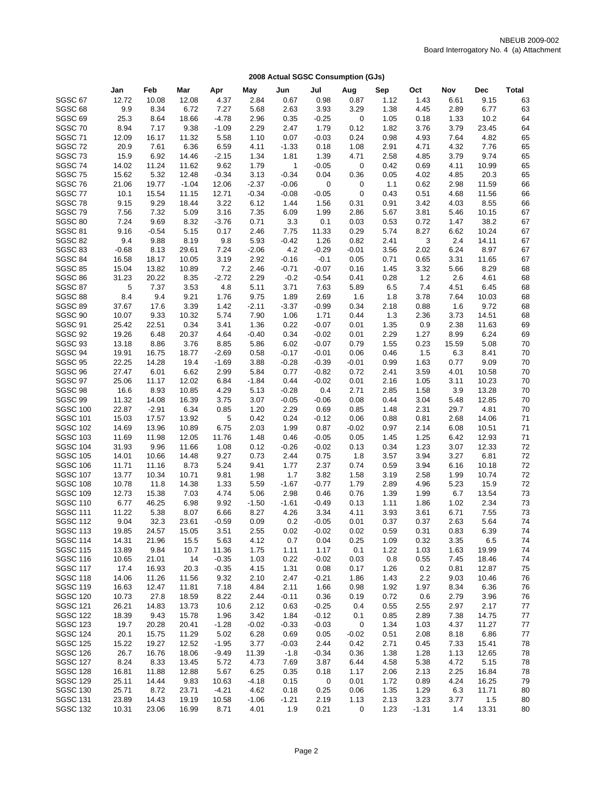|                                    | Jan              | Feb            | Mar            | Apr             | May             | Jun             | Jul             | Aug             | Sep          | Oct          | Nov          | <b>Dec</b>     | Total    |
|------------------------------------|------------------|----------------|----------------|-----------------|-----------------|-----------------|-----------------|-----------------|--------------|--------------|--------------|----------------|----------|
| SGSC <sub>67</sub>                 | 12.72            | 10.08          | 12.08          | 4.37            | 2.84            | 0.67            | 0.98            | 0.87            | 1.12         | 1.43         | 6.61         | 9.15           | 63       |
| SGSC <sub>68</sub>                 | 9.9              | 8.34           | 6.72           | 7.27            | 5.68            | 2.63            | 3.93            | 3.29            | 1.38         | 4.45         | 2.89         | 6.77           | 63       |
| SGSC <sub>69</sub>                 | 25.3             | 8.64           | 18.66          | $-4.78$         | 2.96            | 0.35            | $-0.25$         | 0               | 1.05         | 0.18         | 1.33         | 10.2           | 64       |
| SGSC 70                            | 8.94             | 7.17           | 9.38           | $-1.09$         | 2.29            | 2.47            | 1.79            | 0.12            | 1.82         | 3.76         | 3.79         | 23.45          | 64       |
| SGSC 71                            | 12.09            | 16.17          | 11.32          | 5.58            | 1.10            | 0.07            | $-0.03$         | 0.24            | 0.98         | 4.93         | 7.64         | 4.82           | 65       |
| SGSC 72                            | 20.9             | 7.61           | 6.36           | 6.59            | 4.11            | $-1.33$         | 0.18            | 1.08            | 2.91         | 4.71         | 4.32         | 7.76           | 65       |
| SGSC <sub>73</sub>                 | 15.9             | 6.92           | 14.46          | $-2.15$         | 1.34            | 1.81            | 1.39            | 4.71            | 2.58         | 4.85         | 3.79         | 9.74           | 65       |
| SGSC 74                            | 14.02            | 11.24          | 11.62          | 9.62            | 1.79            | $\mathbf{1}$    | $-0.05$         | 0               | 0.42         | 0.69         | 4.11         | 10.99          | 65       |
| SGSC 75                            | 15.62            | 5.32           | 12.48          | $-0.34$         | 3.13            | $-0.34$         | 0.04            | 0.36            | 0.05         | 4.02         | 4.85         | 20.3           | 65       |
| SGSC 76                            | 21.06            | 19.77          | $-1.04$        | 12.06           | $-2.37$         | $-0.06$         | 0               | 0               | $1.1$        | 0.62         | 2.98         | 11.59          | 66       |
| SGSC 77                            | 10.1             | 15.54          | 11.15          | 12.71           | $-0.34$         | $-0.08$         | $-0.05$         | 0               | 0.43         | 0.51         | 4.68         | 11.56          | 66       |
| SGSC 78                            | 9.15             | 9.29           | 18.44          | 3.22            | 6.12            | 1.44            | 1.56            | 0.31            | 0.91         | 3.42         | 4.03         | 8.55           | 66       |
| SGSC 79                            | 7.56             | 7.32           | 5.09           | 3.16            | 7.35            | 6.09            | 1.99            | 2.86            | 5.67         | 3.81         | 5.46         | 10.15          | 67       |
| SGSC 80                            | 7.24             | 9.69           | 8.32           | $-3.76$         | 0.71            | 3.3             | 0.1             | 0.03            | 0.53         | 0.72         | 1.47         | 38.2           | 67       |
| SGSC 81<br>SGSC 82                 | 9.16             | $-0.54$        | 5.15           | 0.17            | 2.46            | 7.75            | 11.33           | 0.29            | 5.74         | 8.27         | 6.62         | 10.24          | 67       |
| SGSC 83                            | 9.4              | 9.88           | 8.19           | 9.8<br>7.24     | 5.93            | $-0.42$<br>4.2  | 1.26<br>$-0.29$ | 0.82            | 2.41         | 3<br>2.02    | 2.4<br>6.24  | 14.11<br>8.97  | 67<br>67 |
| SGSC 84                            | $-0.68$<br>16.58 | 8.13<br>18.17  | 29.61<br>10.05 | 3.19            | $-2.06$<br>2.92 | $-0.16$         | $-0.1$          | $-0.01$<br>0.05 | 3.56<br>0.71 | 0.65         | 3.31         | 11.65          | 67       |
| <b>SGSC 85</b>                     | 15.04            | 13.82          | 10.89          | 7.2             | 2.46            | $-0.71$         | $-0.07$         | 0.16            | 1.45         | 3.32         | 5.66         | 8.29           | 68       |
| SGSC 86                            | 31.23            | 20.22          | 8.35           | $-2.72$         | 2.29            | $-0.2$          | $-0.54$         | 0.41            | 0.28         | 1.2          | 2.6          | 4.61           | 68       |
| SGSC 87                            | 5                | 7.37           | 3.53           | 4.8             | 5.11            | 3.71            | 7.63            | 5.89            | 6.5          | 7.4          | 4.51         | 6.45           | 68       |
| SGSC 88                            | 8.4              | 9.4            | 9.21           | 1.76            | 9.75            | 1.89            | 2.69            | 1.6             | 1.8          | 3.78         | 7.64         | 10.03          | 68       |
| SGSC 89                            | 37.67            | 17.6           | 3.39           | 1.42            | $-2.11$         | $-3.37$         | $-0.99$         | 0.34            | 2.18         | 0.88         | 1.6          | 9.72           | 68       |
| SGSC <sub>90</sub>                 | 10.07            | 9.33           | 10.32          | 5.74            | 7.90            | 1.06            | 1.71            | 0.44            | 1.3          | 2.36         | 3.73         | 14.51          | 68       |
| SGSC 91                            | 25.42            | 22.51          | 0.34           | 3.41            | 1.36            | 0.22            | $-0.07$         | 0.01            | 1.35         | 0.9          | 2.38         | 11.63          | 69       |
| SGSC 92                            | 19.26            | 6.48           | 20.37          | 4.64            | $-0.40$         | 0.34            | $-0.02$         | 0.01            | 2.29         | 1.27         | 8.99         | 6.24           | 69       |
| SGSC 93                            | 13.18            | 8.86           | 3.76           | 8.85            | 5.86            | 6.02            | $-0.07$         | 0.79            | 1.55         | 0.23         | 15.59        | 5.08           | 70       |
| SGSC 94                            | 19.91            | 16.75          | 18.77          | $-2.69$         | 0.58            | $-0.17$         | $-0.01$         | 0.06            | 0.46         | 1.5          | 6.3          | 8.41           | 70       |
| SGSC 95                            | 22.25            | 14.28          | 19.4           | $-1.69$         | 3.88            | $-0.28$         | $-0.39$         | $-0.01$         | 0.99         | 1.63         | 0.77         | 9.09           | 70       |
| SGSC 96                            | 27.47            | 6.01           | 6.62           | 2.99            | 5.84            | 0.77            | $-0.82$         | 0.72            | 2.41         | 3.59         | 4.01         | 10.58          | 70       |
| SGSC 97                            | 25.06            | 11.17          | 12.02          | 6.84            | $-1.84$         | 0.44            | $-0.02$         | 0.01            | 2.16         | 1.05         | 3.11         | 10.23          | 70       |
| SGSC 98                            | 16.6             | 8.93           | 10.85          | 4.29            | 5.13            | $-0.28$         | 0.4             | 2.71            | 2.85         | 1.58         | 3.9          | 13.28          | 70       |
| SGSC 99                            | 11.32            | 14.08          | 16.39          | 3.75            | 3.07            | $-0.05$         | $-0.06$         | 0.08            | 0.44         | 3.04         | 5.48         | 12.85          | 70       |
| <b>SGSC 100</b>                    | 22.87            | $-2.91$        | 6.34           | 0.85            | 1.20            | 2.29            | 0.69            | 0.85            | 1.48         | 2.31         | 29.7         | 4.81           | 70       |
| <b>SGSC 101</b>                    | 15.03            | 17.57          | 13.92          | 5               | 0.42            | 0.24            | $-0.12$         | 0.06            | 0.88         | 0.81         | 2.68         | 14.06          | 71       |
| <b>SGSC 102</b><br><b>SGSC 103</b> | 14.69<br>11.69   | 13.96<br>11.98 | 10.89<br>12.05 | 6.75<br>11.76   | 2.03<br>1.48    | 1.99<br>0.46    | 0.87<br>$-0.05$ | $-0.02$<br>0.05 | 0.97<br>1.45 | 2.14<br>1.25 | 6.08<br>6.42 | 10.51<br>12.93 | 71<br>71 |
| <b>SGSC 104</b>                    | 31.93            | 9.96           | 11.66          | 1.08            | 0.12            | $-0.26$         | $-0.02$         | 0.13            | 0.34         | 1.23         | 3.07         | 12.33          | 72       |
| <b>SGSC 105</b>                    | 14.01            | 10.66          | 14.48          | 9.27            | 0.73            | 2.44            | 0.75            | 1.8             | 3.57         | 3.94         | 3.27         | 6.81           | 72       |
| <b>SGSC 106</b>                    | 11.71            | 11.16          | 8.73           | 5.24            | 9.41            | 1.77            | 2.37            | 0.74            | 0.59         | 3.94         | 6.16         | 10.18          | 72       |
| <b>SGSC 107</b>                    | 13.77            | 10.34          | 10.71          | 9.81            | 1.98            | 1.7             | 3.82            | 1.58            | 3.19         | 2.58         | 1.99         | 10.74          | 72       |
| <b>SGSC 108</b>                    | 10.78            | 11.8           | 14.38          | 1.33            | 5.59            | $-1.67$         | $-0.77$         | 1.79            | 2.89         | 4.96         | 5.23         | 15.9           | 72       |
| <b>SGSC 109</b>                    | 12.73            | 15.38          | 7.03           | 4.74            | 5.06            | 2.98            | 0.46            | 0.76            | 1.39         | 1.99         | 6.7          | 13.54          | 73       |
| <b>SGSC 110</b>                    | 6.77             | 46.25          | 6.98           | 9.92            | $-1.50$         | $-1.61$         | $-0.49$         | 0.13            | 1.11         | 1.86         | 1.02         | 2.34           | 73       |
| <b>SGSC 111</b>                    | 11.22            | 5.38           | 8.07           | 6.66            | 8.27            | 4.26            | 3.34            | 4.11            | 3.93         | 3.61         | 6.71         | 7.55           | 73       |
| <b>SGSC 112</b>                    | 9.04             | 32.3           | 23.61          | $-0.59$         | 0.09            | 0.2             | $-0.05$         | 0.01            | 0.37         | 0.37         | 2.63         | 5.64           | 74       |
| <b>SGSC 113</b>                    | 19.85            | 24.57          | 15.05          | 3.51            | 2.55            | 0.02            | $-0.02$         | 0.02            | 0.59         | 0.31         | 0.83         | 6.39           | 74       |
| <b>SGSC 114</b>                    | 14.31            | 21.96          | 15.5           | 5.63            | 4.12            | 0.7             | 0.04            | 0.25            | 1.09         | 0.32         | 3.35         | 6.5            | 74       |
| <b>SGSC 115</b>                    | 13.89            | 9.84           | 10.7           | 11.36           | 1.75            | 1.11            | 1.17            | 0.1             | 1.22         | 1.03         | 1.63         | 19.99          | 74       |
| <b>SGSC 116</b>                    | 10.65            | 21.01          | 14             | $-0.35$         | 1.03            | 0.22            | $-0.02$         | 0.03            | 0.8          | 0.55         | 7.45         | 18.46          | 74       |
| <b>SGSC 117</b>                    | 17.4             | 16.93          | 20.3           | $-0.35$         | 4.15            | 1.31            | 0.08            | 0.17            | 1.26         | 0.2          | 0.81         | 12.87          | 75       |
| <b>SGSC 118</b>                    | 14.06            | 11.26          | 11.56          | 9.32            | 2.10            | 2.47            | $-0.21$         | 1.86            | 1.43         | 2.2          | 9.03         | 10.46          | 76       |
| <b>SGSC 119</b>                    | 16.63            | 12.47          | 11.81          | 7.18            | 4.84            | 2.11            | 1.66            | 0.98            | 1.92         | 1.97         | 8.34         | 6.36           | 76       |
| <b>SGSC 120</b>                    | 10.73            | 27.8           | 18.59          | 8.22            | 2.44            | $-0.11$         | 0.36            | 0.19            | 0.72         | 0.6          | 2.79         | 3.96           | 76       |
| <b>SGSC 121</b><br><b>SGSC 122</b> | 26.21            | 14.83          | 13.73          | 10.6            | 2.12            | 0.63            | $-0.25$         | 0.4             | 0.55         | 2.55         | 2.97         | 2.17           | 77       |
|                                    | 18.39            | 9.43           | 15.78          | 1.96            | 3.42            | 1.84            | $-0.12$         | 0.1             | 0.85         | 2.89         | 7.38         | 14.75          | 77       |
| <b>SGSC 123</b><br><b>SGSC 124</b> | 19.7<br>20.1     | 20.28<br>15.75 | 20.41<br>11.29 | $-1.28$<br>5.02 | $-0.02$<br>6.28 | $-0.33$<br>0.69 | $-0.03$<br>0.05 | 0<br>$-0.02$    | 1.34<br>0.51 | 1.03<br>2.08 | 4.37<br>8.18 | 11.27<br>6.86  | 77<br>77 |
| <b>SGSC 125</b>                    | 15.22            | 19.27          | 12.52          | $-1.95$         | 3.77            | $-0.03$         | 2.44            | 0.42            | 2.71         | 0.45         | 7.33         | 15.41          | 78       |
| <b>SGSC 126</b>                    | 26.7             | 16.76          | 18.06          | $-9.49$         | 11.39           | $-1.8$          | $-0.34$         | 0.36            | 1.38         | 1.28         | 1.13         | 12.65          | 78       |
| <b>SGSC 127</b>                    | 8.24             | 8.33           | 13.45          | 5.72            | 4.73            | 7.69            | 3.87            | 6.44            | 4.58         | 5.38         | 4.72         | 5.15           | 78       |
| <b>SGSC 128</b>                    | 16.81            | 11.88          | 12.88          | 5.67            | 6.25            | 0.35            | 0.18            | 1.17            | 2.06         | 2.13         | 2.25         | 16.84          | 78       |
| <b>SGSC 129</b>                    | 25.11            | 14.44          | 9.83           | 10.63           | $-4.18$         | 0.15            | 0               | 0.01            | 1.72         | 0.89         | 4.24         | 16.25          | 79       |
| <b>SGSC 130</b>                    | 25.71            | 8.72           | 23.71          | $-4.21$         | 4.62            | 0.18            | 0.25            | 0.06            | 1.35         | 1.29         | 6.3          | 11.71          | 80       |
| <b>SGSC 131</b>                    | 23.89            | 14.43          | 19.19          | 10.58           | $-1.06$         | $-1.21$         | 2.19            | 1.13            | 2.13         | 3.23         | 3.77         | 1.5            | 80       |
| <b>SGSC 132</b>                    | 10.31            | 23.06          | 16.99          | 8.71            | 4.01            | 1.9             | 0.21            | 0               | 1.23         | $-1.31$      | 1.4          | 13.31          | 80       |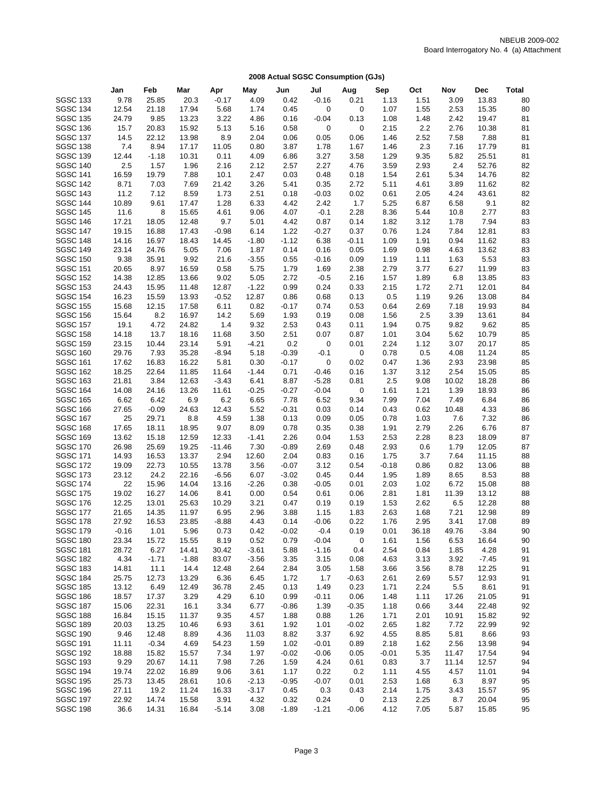|                                    | Jan            | Feb            | Mar            | Apr           | May             | Jun          | Jul             | Aug          | Sep          | Oct          | Nov          | Dec           | Total    |
|------------------------------------|----------------|----------------|----------------|---------------|-----------------|--------------|-----------------|--------------|--------------|--------------|--------------|---------------|----------|
| <b>SGSC 133</b>                    | 9.78           | 25.85          | 20.3           | $-0.17$       | 4.09            | 0.42         | $-0.16$         | 0.21         | 1.13         | 1.51         | 3.09         | 13.83         | 80       |
| <b>SGSC 134</b>                    | 12.54          | 21.18          | 17.94          | 5.68          | 1.74            | 0.45         | 0               | 0            | 1.07         | 1.55         | 2.53         | 15.35         | 80       |
| <b>SGSC 135</b>                    | 24.79          | 9.85           | 13.23          | 3.22          | 4.86            | 0.16         | $-0.04$         | 0.13         | 1.08         | 1.48         | 2.42         | 19.47         | 81       |
| <b>SGSC 136</b>                    | 15.7           | 20.83          | 15.92          | 5.13          | 5.16            | 0.58         | 0               | 0            | 2.15         | 2.2          | 2.76         | 10.38         | 81       |
| <b>SGSC 137</b>                    | 14.5           | 22.12          | 13.98          | 8.9           | 2.04            | 0.06         | 0.05            | 0.06         | 1.46         | 2.52         | 7.58         | 7.88          | 81       |
| <b>SGSC 138</b>                    | 7.4            | 8.94           | 17.17          | 11.05         | 0.80            | 3.87         | 1.78            | 1.67         | 1.46         | 2.3          | 7.16         | 17.79         | 81       |
| <b>SGSC 139</b>                    | 12.44          | $-1.18$        | 10.31          | 0.11          | 4.09            | 6.86         | 3.27            | 3.58         | 1.29         | 9.35         | 5.82         | 25.51         | 81       |
| <b>SGSC 140</b>                    | 2.5            | 1.57           | 1.96           | 2.16          | 2.12            | 2.57         | 2.27            | 4.76         | 3.59         | 2.93         | 2.4          | 52.76         | 82       |
| <b>SGSC 141</b>                    | 16.59          | 19.79          | 7.88           | 10.1          | 2.47            | 0.03         | 0.48            | 0.18         | 1.54         | 2.61         | 5.34         | 14.76         | 82       |
| <b>SGSC 142</b>                    | 8.71           | 7.03           | 7.69           | 21.42         | 3.26            | 5.41         | 0.35            | 2.72         | 5.11         | 4.61         | 3.89         | 11.62         | 82       |
| <b>SGSC 143</b>                    | 11.2           | 7.12           | 8.59           | 1.73          | 2.51            | 0.18         | $-0.03$         | 0.02         | 0.61         | 2.05         | 4.24         | 43.61         | 82       |
| <b>SGSC 144</b>                    | 10.89          | 9.61           | 17.47          | 1.28          | 6.33            | 4.42         | 2.42            | 1.7          | 5.25         | 6.87         | 6.58         | 9.1           | 82       |
| <b>SGSC 145</b>                    | 11.6           | 8              | 15.65          | 4.61          | 9.06            | 4.07         | $-0.1$          | 2.28         | 8.36         | 5.44         | 10.8         | 2.77          | 83       |
| <b>SGSC 146</b>                    | 17.21          | 18.05          | 12.48          | 9.7           | 5.01            | 4.42         | 0.87            | 0.14         | 1.82         | 3.12         | 1.78         | 7.94          | 83       |
| <b>SGSC 147</b>                    | 19.15          | 16.88          | 17.43          | $-0.98$       | 6.14            | 1.22         | $-0.27$         | 0.37         | 0.76         | 1.24         | 7.84         | 12.81         | 83       |
| <b>SGSC 148</b><br><b>SGSC 149</b> | 14.16          | 16.97          | 18.43          | 14.45         | $-1.80$         | $-1.12$      | 6.38            | $-0.11$      | 1.09         | 1.91         | 0.94         | 11.62         | 83       |
| <b>SGSC 150</b>                    | 23.14          | 24.76<br>35.91 | 5.05<br>9.92   | 7.06<br>21.6  | 1.87<br>$-3.55$ | 0.14<br>0.55 | 0.16<br>$-0.16$ | 0.05         | 1.69         | 0.98<br>1.11 | 4.63<br>1.63 | 13.62<br>5.53 | 83       |
| <b>SGSC 151</b>                    | 9.38<br>20.65  | 8.97           | 16.59          | 0.58          | 5.75            | 1.79         | 1.69            | 0.09<br>2.38 | 1.19<br>2.79 | 3.77         | 6.27         | 11.99         | 83<br>83 |
| <b>SGSC 152</b>                    | 14.38          | 12.85          | 13.66          | 9.02          | 5.05            | 2.72         | $-0.5$          | 2.16         | 1.57         | 1.89         | 6.8          | 13.85         | 83       |
| <b>SGSC 153</b>                    | 24.43          | 15.95          | 11.48          | 12.87         | $-1.22$         | 0.99         | 0.24            | 0.33         | 2.15         | 1.72         | 2.71         | 12.01         | 84       |
| <b>SGSC 154</b>                    | 16.23          | 15.59          | 13.93          | $-0.52$       | 12.87           | 0.86         | 0.68            | 0.13         | 0.5          | 1.19         | 9.26         | 13.08         | 84       |
| <b>SGSC 155</b>                    | 15.68          | 12.15          | 17.58          | 6.11          | 0.82            | $-0.17$      | 0.74            | 0.53         | 0.64         | 2.69         | 7.18         | 19.93         | 84       |
| <b>SGSC 156</b>                    | 15.64          | 8.2            | 16.97          | 14.2          | 5.69            | 1.93         | 0.19            | 0.08         | 1.56         | 2.5          | 3.39         | 13.61         | 84       |
| <b>SGSC 157</b>                    | 19.1           | 4.72           | 24.82          | 1.4           | 9.32            | 2.53         | 0.43            | 0.11         | 1.94         | 0.75         | 9.82         | 9.62          | 85       |
| <b>SGSC 158</b>                    | 14.18          | 13.7           | 18.16          | 11.68         | 3.50            | 2.51         | 0.07            | 0.87         | 1.01         | 3.04         | 5.62         | 10.79         | 85       |
| <b>SGSC 159</b>                    | 23.15          | 10.44          | 23.14          | 5.91          | $-4.21$         | 0.2          | 0               | 0.01         | 2.24         | 1.12         | 3.07         | 20.17         | 85       |
| <b>SGSC 160</b>                    | 29.76          | 7.93           | 35.28          | $-8.94$       | 5.18            | $-0.39$      | $-0.1$          | 0            | 0.78         | 0.5          | 4.08         | 11.24         | 85       |
| <b>SGSC 161</b>                    | 17.62          | 16.83          | 16.22          | 5.81          | 0.30            | $-0.17$      | 0               | 0.02         | 0.47         | 1.36         | 2.93         | 23.98         | 85       |
| <b>SGSC 162</b>                    | 18.25          | 22.64          | 11.85          | 11.64         | $-1.44$         | 0.71         | $-0.46$         | 0.16         | 1.37         | 3.12         | 2.54         | 15.05         | 85       |
| <b>SGSC 163</b>                    | 21.81          | 3.84           | 12.63          | $-3.43$       | 6.41            | 8.87         | $-5.28$         | 0.81         | 2.5          | 9.08         | 10.02        | 18.28         | 86       |
| <b>SGSC 164</b>                    | 14.08          | 24.16          | 13.26          | 11.61         | $-0.25$         | $-0.27$      | $-0.04$         | 0            | 1.61         | 1.21         | 1.39         | 18.93         | 86       |
| <b>SGSC 165</b>                    | 6.62           | 6.42           | 6.9            | 6.2           | 6.65            | 7.78         | 6.52            | 9.34         | 7.99         | 7.04         | 7.49         | 6.84          | 86       |
| <b>SGSC 166</b>                    | 27.65          | $-0.09$        | 24.63          | 12.43         | 5.52            | $-0.31$      | 0.03            | 0.14         | 0.43         | 0.62         | 10.48        | 4.33          | 86       |
| <b>SGSC 167</b><br><b>SGSC 168</b> | 25<br>17.65    | 29.71          | 8.8            | 4.59          | 1.38            | 0.13         | 0.09            | 0.05         | 0.78         | 1.03         | 7.6          | 7.32          | 86       |
| <b>SGSC 169</b>                    | 13.62          | 18.11<br>15.18 | 18.95<br>12.59 | 9.07<br>12.33 | 8.09<br>$-1.41$ | 0.78<br>2.26 | 0.35<br>0.04    | 0.38<br>1.53 | 1.91<br>2.53 | 2.79<br>2.28 | 2.26<br>8.23 | 6.76<br>18.09 | 87<br>87 |
| <b>SGSC 170</b>                    | 26.98          | 25.69          | 19.25          | $-11.46$      | 7.30            | $-0.89$      | 2.69            | 0.48         | 2.93         | 0.6          | 1.79         | 12.05         | 87       |
| <b>SGSC 171</b>                    | 14.93          | 16.53          | 13.37          | 2.94          | 12.60           | 2.04         | 0.83            | 0.16         | 1.75         | 3.7          | 7.64         | 11.15         | 88       |
| <b>SGSC 172</b>                    | 19.09          | 22.73          | 10.55          | 13.78         | 3.56            | $-0.07$      | 3.12            | 0.54         | $-0.18$      | 0.86         | 0.82         | 13.06         | 88       |
| <b>SGSC 173</b>                    | 23.12          | 24.2           | 22.16          | $-6.56$       | 6.07            | $-3.02$      | 0.45            | 0.44         | 1.95         | 1.89         | 8.65         | 8.53          | 88       |
| <b>SGSC 174</b>                    | 22             | 15.96          | 14.04          | 13.16         | $-2.26$         | 0.38         | $-0.05$         | 0.01         | 2.03         | 1.02         | 6.72         | 15.08         | 88       |
| <b>SGSC 175</b>                    | 19.02          | 16.27          | 14.06          | 8.41          | 0.00            | 0.54         | 0.61            | 0.06         | 2.81         | 1.81         | 11.39        | 13.12         | 88       |
| <b>SGSC 176</b>                    | 12.25          | 13.01          | 25.63          | 10.29         | 3.21            | 0.47         | 0.19            | 0.19         | 1.53         | 2.62         | 6.5          | 12.28         | 88       |
| <b>SGSC 177</b>                    | 21.65          | 14.35          | 11.97          | 6.95          | 2.96            | 3.88         | 1.15            | 1.83         | 2.63         | 1.68         | 7.21         | 12.98         | 89       |
| <b>SGSC 178</b>                    | 27.92          | 16.53          | 23.85          | $-8.88$       | 4.43            | 0.14         | $-0.06$         | 0.22         | 1.76         | 2.95         | 3.41         | 17.08         | 89       |
| <b>SGSC 179</b>                    | -0.16          | 1.01           | 5.96           | 0.73          | 0.42            | $-0.02$      | $-0.4$          | 0.19         | 0.01         | 36.18        | 49.76        | $-3.84$       | 90       |
| <b>SGSC 180</b>                    | 23.34          | 15.72          | 15.55          | 8.19          | 0.52            | 0.79         | $-0.04$         | 0            | 1.61         | 1.56         | 6.53         | 16.64         | 90       |
| <b>SGSC 181</b>                    | 28.72          | 6.27           | 14.41          | 30.42         | $-3.61$         | 5.88         | $-1.16$         | 0.4          | 2.54         | 0.84         | 1.85         | 4.28          | 91       |
| <b>SGSC 182</b>                    | 4.34           | $-1.71$        | $-1.88$        | 83.07         | $-3.56$         | 3.35         | 3.15            | 0.08         | 4.63         | 3.13         | 3.92         | $-7.45$       | 91       |
| <b>SGSC 183</b>                    | 14.81          | 11.1           | 14.4           | 12.48         | 2.64            | 2.84         | 3.05            | 1.58         | 3.66         | 3.56         | 8.78         | 12.25         | 91       |
| <b>SGSC 184</b><br><b>SGSC 185</b> | 25.75          | 12.73          | 13.29          | 6.36          | 6.45            | 1.72         | 1.7             | $-0.63$      | 2.61         | 2.69         | 5.57         | 12.93<br>8.61 | 91       |
| <b>SGSC 186</b>                    | 13.12<br>18.57 | 6.49<br>17.37  | 12.49<br>3.29  | 36.78<br>4.29 | 2.45<br>6.10    | 0.13<br>0.99 | 1.49<br>$-0.11$ | 0.23<br>0.06 | 1.71<br>1.48 | 2.24<br>1.11 | 5.5<br>17.26 | 21.05         | 91<br>91 |
| <b>SGSC 187</b>                    | 15.06          | 22.31          | 16.1           | 3.34          | 6.77            | $-0.86$      | 1.39            | $-0.35$      | 1.18         | 0.66         | 3.44         | 22.48         | 92       |
| <b>SGSC 188</b>                    | 16.84          | 15.15          | 11.37          | 9.35          | 4.57            | 1.88         | 0.88            | 1.26         | 1.71         | 2.01         | 10.91        | 15.82         | 92       |
| <b>SGSC 189</b>                    | 20.03          | 13.25          | 10.46          | 6.93          | 3.61            | 1.92         | 1.01            | $-0.02$      | 2.65         | 1.82         | 7.72         | 22.99         | 92       |
| <b>SGSC 190</b>                    | 9.46           | 12.48          | 8.89           | 4.36          | 11.03           | 8.82         | 3.37            | 6.92         | 4.55         | 8.85         | 5.81         | 8.66          | 93       |
| <b>SGSC 191</b>                    | 11.11          | $-0.34$        | 4.69           | 54.23         | 1.59            | 1.02         | $-0.01$         | 0.89         | 2.18         | 1.62         | 2.56         | 13.98         | 94       |
| <b>SGSC 192</b>                    | 18.88          | 15.82          | 15.57          | 7.34          | 1.97            | $-0.02$      | $-0.06$         | 0.05         | $-0.01$      | 5.35         | 11.47        | 17.54         | 94       |
| <b>SGSC 193</b>                    | 9.29           | 20.67          | 14.11          | 7.98          | 7.26            | 1.59         | 4.24            | 0.61         | 0.83         | 3.7          | 11.14        | 12.57         | 94       |
| <b>SGSC 194</b>                    | 19.74          | 22.02          | 16.89          | 9.06          | 3.61            | 1.17         | 0.22            | 0.2          | 1.11         | 4.55         | 4.57         | 11.01         | 94       |
| <b>SGSC 195</b>                    | 25.73          | 13.45          | 28.61          | 10.6          | $-2.13$         | $-0.95$      | $-0.07$         | 0.01         | 2.53         | 1.68         | 6.3          | 8.97          | 95       |
| <b>SGSC 196</b>                    | 27.11          | 19.2           | 11.24          | 16.33         | $-3.17$         | 0.45         | 0.3             | 0.43         | 2.14         | 1.75         | 3.43         | 15.57         | 95       |
| <b>SGSC 197</b>                    | 22.92          | 14.74          | 15.58          | 3.91          | 4.32            | 0.32         | 0.24            | 0            | 2.13         | 2.25         | 8.7          | 20.04         | 95       |
| <b>SGSC 198</b>                    | 36.6           | 14.31          | 16.84          | $-5.14$       | 3.08            | $-1.89$      | $-1.21$         | $-0.06$      | 4.12         | 7.05         | 5.87         | 15.85         | 95       |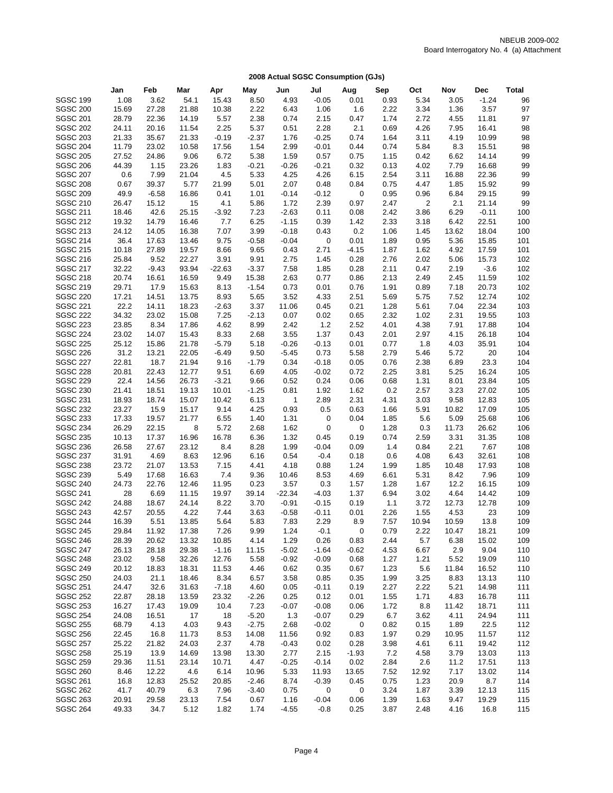|                 | Jan   | Feb     | Mar   | Apr      | May     | Jun          | Jul         | Aug                     | Sep  | Oct   | Nov   | Dec     | Total |
|-----------------|-------|---------|-------|----------|---------|--------------|-------------|-------------------------|------|-------|-------|---------|-------|
| <b>SGSC 199</b> | 1.08  | 3.62    | 54.1  | 15.43    | 8.50    | 4.93         | $-0.05$     | 0.01                    | 0.93 | 5.34  | 3.05  | $-1.24$ | 96    |
| <b>SGSC 200</b> | 15.69 | 27.28   | 21.88 | 10.38    | 2.22    | 6.43         | 1.06        | 1.6                     | 2.22 | 3.34  | 1.36  | 3.57    | 97    |
| <b>SGSC 201</b> | 28.79 | 22.36   | 14.19 | 5.57     | 2.38    | 0.74         | 2.15        | 0.47                    | 1.74 | 2.72  | 4.55  | 11.81   | 97    |
| <b>SGSC 202</b> | 24.11 | 20.16   | 11.54 | 2.25     | 5.37    | 0.51         | 2.28        | 2.1                     | 0.69 | 4.26  | 7.95  | 16.41   | 98    |
| <b>SGSC 203</b> | 21.33 | 35.67   | 21.33 | $-0.19$  | $-2.37$ | 1.76         | $-0.25$     | 0.74                    | 1.64 | 3.11  | 4.19  | 10.99   | 98    |
| <b>SGSC 204</b> | 11.79 | 23.02   | 10.58 | 17.56    | 1.54    | 2.99         | $-0.01$     | 0.44                    | 0.74 | 5.84  | 8.3   | 15.51   | 98    |
| <b>SGSC 205</b> | 27.52 | 24.86   | 9.06  | 6.72     | 5.38    | 1.59         | 0.57        | 0.75                    | 1.15 | 0.42  | 6.62  | 14.14   | 99    |
| <b>SGSC 206</b> | 44.39 | 1.15    | 23.26 | 1.83     | $-0.21$ | $-0.26$      | $-0.21$     | 0.32                    | 0.13 | 4.02  | 7.79  | 16.68   | 99    |
| <b>SGSC 207</b> | 0.6   | 7.99    | 21.04 | 4.5      | 5.33    | 4.25         | 4.26        | 6.15                    | 2.54 | 3.11  | 16.88 | 22.36   | 99    |
| <b>SGSC 208</b> | 0.67  | 39.37   | 5.77  | 21.99    | 5.01    | 2.07         | 0.48        | 0.84                    | 0.75 | 4.47  | 1.85  | 15.92   | 99    |
| <b>SGSC 209</b> | 49.9  | $-6.58$ | 16.86 | 0.41     | 1.01    | $-0.14$      | $-0.12$     | $\mathbf 0$             | 0.95 | 0.96  | 6.84  | 29.15   | 99    |
| <b>SGSC 210</b> | 26.47 | 15.12   | 15    | 4.1      | 5.86    | 1.72         | 2.39        | 0.97                    | 2.47 | 2     | 2.1   | 21.14   | 99    |
| SGSC 211        | 18.46 | 42.6    | 25.15 | $-3.92$  | 7.23    | $-2.63$      | 0.11        | 0.08                    | 2.42 | 3.86  | 6.29  | $-0.11$ | 100   |
| <b>SGSC 212</b> | 19.32 | 14.79   | 16.46 | 7.7      | 6.25    | $-1.15$      | 0.39        | 1.42                    | 2.33 | 3.18  | 6.42  | 22.51   | 100   |
| <b>SGSC 213</b> | 24.12 | 14.05   | 16.38 | 7.07     | 3.99    | $-0.18$      | 0.43        | 0.2                     | 1.06 | 1.45  | 13.62 | 18.04   | 100   |
| <b>SGSC 214</b> | 36.4  | 17.63   | 13.46 | 9.75     | $-0.58$ | $-0.04$      | 0           | 0.01                    | 1.89 | 0.95  | 5.36  | 15.85   | 101   |
| <b>SGSC 215</b> | 10.18 | 27.89   | 19.57 | 8.66     | 9.65    | 0.43         | 2.71        | $-4.15$                 | 1.87 | 1.62  | 4.92  | 17.59   | 101   |
| <b>SGSC 216</b> | 25.84 | 9.52    | 22.27 | 3.91     | 9.91    | 2.75         | 1.45        | 0.28                    | 2.76 | 2.02  | 5.06  | 15.73   | 102   |
| <b>SGSC 217</b> | 32.22 | $-9.43$ | 93.94 | $-22.63$ | $-3.37$ | 7.58         | 1.85        | 0.28                    | 2.11 | 0.47  | 2.19  | $-3.6$  | 102   |
| <b>SGSC 218</b> | 20.74 | 16.61   | 16.59 | 9.49     | 15.38   | 2.63         | 0.77        | 0.86                    | 2.13 | 2.49  | 2.45  | 11.59   | 102   |
| <b>SGSC 219</b> | 29.71 | 17.9    | 15.63 | 8.13     | $-1.54$ | 0.73         | 0.01        | 0.76                    | 1.91 | 0.89  | 7.18  | 20.73   | 102   |
| <b>SGSC 220</b> | 17.21 | 14.51   | 13.75 | 8.93     | 5.65    | 3.52         | 4.33        | 2.51                    | 5.69 | 5.75  | 7.52  | 12.74   | 102   |
| <b>SGSC 221</b> | 22.2  | 14.11   | 18.23 | $-2.63$  | 3.37    | 11.06        | 0.45        | 0.21                    | 1.28 | 5.61  | 7.04  | 22.34   | 103   |
| <b>SGSC 222</b> | 34.32 | 23.02   | 15.08 | 7.25     | $-2.13$ | 0.07         | 0.02        | 0.65                    | 2.32 | 1.02  | 2.31  | 19.55   | 103   |
| <b>SGSC 223</b> | 23.85 | 8.34    | 17.86 | 4.62     | 8.99    | 2.42         | $1.2$       | 2.52                    | 4.01 | 4.38  | 7.91  | 17.88   | 104   |
| <b>SGSC 224</b> | 23.02 | 14.07   | 15.43 | 8.33     | 2.68    | 3.55         | 1.37        | 0.43                    | 2.01 | 2.97  | 4.15  | 26.18   | 104   |
| <b>SGSC 225</b> | 25.12 | 15.86   | 21.78 | $-5.79$  | 5.18    | $-0.26$      | $-0.13$     | 0.01                    | 0.77 | 1.8   | 4.03  | 35.91   | 104   |
| <b>SGSC 226</b> | 31.2  | 13.21   | 22.05 | $-6.49$  | 9.50    | $-5.45$      | 0.73        | 5.58                    | 2.79 | 5.46  | 5.72  | 20      | 104   |
| <b>SGSC 227</b> | 22.81 | 18.7    | 21.94 | 9.16     | $-1.79$ | 0.34         | $-0.18$     | 0.05                    | 0.76 | 2.38  | 6.89  | 23.3    | 104   |
| <b>SGSC 228</b> | 20.81 | 22.43   | 12.77 | 9.51     | 6.69    | 4.05         | $-0.02$     | 0.72                    | 2.25 | 3.81  | 5.25  | 16.24   | 105   |
| <b>SGSC 229</b> | 22.4  | 14.56   | 26.73 | $-3.21$  | 9.66    | 0.52         | 0.24        | 0.06                    | 0.68 | 1.31  | 8.01  | 23.84   | 105   |
| <b>SGSC 230</b> | 21.41 | 18.51   | 19.13 | 10.01    | $-1.25$ | 0.81         | 1.92        | 1.62                    | 0.2  | 2.57  | 3.23  | 27.02   | 105   |
| <b>SGSC 231</b> | 18.93 | 18.74   | 15.07 | 10.42    | 6.13    | $\mathbf{1}$ | 2.89        | 2.31                    | 4.31 | 3.03  | 9.58  | 12.83   | 105   |
| <b>SGSC 232</b> | 23.27 | 15.9    | 15.17 | 9.14     | 4.25    | 0.93         | 0.5         | 0.63                    | 1.66 | 5.91  | 10.82 | 17.09   | 105   |
| <b>SGSC 233</b> | 17.33 | 19.57   | 21.77 | 6.55     | 1.40    | 1.31         | 0           | 0.04                    | 1.85 | 5.6   | 5.09  | 25.68   | 106   |
| <b>SGSC 234</b> | 26.29 | 22.15   | 8     | 5.72     | 2.68    | 1.62         | $\mathbf 0$ | 0                       | 1.28 | 0.3   | 11.73 | 26.62   | 106   |
| <b>SGSC 235</b> | 10.13 | 17.37   | 16.96 | 16.78    | 6.36    | 1.32         | 0.45        | 0.19                    | 0.74 | 2.59  | 3.31  | 31.35   | 108   |
| <b>SGSC 236</b> | 26.58 | 27.67   | 23.12 | 8.4      | 8.28    | 1.99         | $-0.04$     | 0.09                    | 1.4  | 0.84  | 2.21  | 7.67    | 108   |
| <b>SGSC 237</b> | 31.91 | 4.69    | 8.63  | 12.96    | 6.16    | 0.54         | $-0.4$      | 0.18                    | 0.6  | 4.08  | 6.43  | 32.61   | 108   |
| <b>SGSC 238</b> | 23.72 | 21.07   | 13.53 | 7.15     | 4.41    | 4.18         | 0.88        | 1.24                    | 1.99 | 1.85  | 10.48 | 17.93   | 108   |
| <b>SGSC 239</b> | 5.49  | 17.68   | 16.63 | 7.4      | 9.36    | 10.46        | 8.53        | 4.69                    | 6.61 | 5.31  | 8.42  | 7.96    | 109   |
| <b>SGSC 240</b> | 24.73 | 22.76   | 12.46 | 11.95    | 0.23    | 3.57         | 0.3         | 1.57                    | 1.28 | 1.67  | 12.2  | 16.15   | 109   |
| <b>SGSC 241</b> | 28    | 6.69    | 11.15 | 19.97    | 39.14   | $-22.34$     | $-4.03$     | 1.37                    | 6.94 | 3.02  | 4.64  | 14.42   | 109   |
| <b>SGSC 242</b> | 24.88 | 18.67   | 24.14 | 8.22     | 3.70    | $-0.91$      | $-0.15$     | 0.19                    | 1.1  | 3.72  | 12.73 | 12.78   | 109   |
| <b>SGSC 243</b> | 42.57 | 20.55   | 4.22  | 7.44     | 3.63    | $-0.58$      | $-0.11$     | 0.01                    | 2.26 | 1.55  | 4.53  | 23      | 109   |
| <b>SGSC 244</b> | 16.39 | 5.51    | 13.85 | 5.64     | 5.83    | 7.83         | 2.29        | 8.9                     | 7.57 | 10.94 | 10.59 | 13.8    | 109   |
| <b>SGSC 245</b> | 29.84 | 11.92   | 17.38 | 7.26     | 9.99    | 1.24         | $-0.1$      | $\overline{\mathbf{0}}$ | 0.79 | 2.22  | 10.47 | 18.21   | 109   |
| <b>SGSC 246</b> | 28.39 | 20.62   | 13.32 | 10.85    | 4.14    | 1.29         | 0.26        | 0.83                    | 2.44 | 5.7   | 6.38  | 15.02   | 109   |
| <b>SGSC 247</b> | 26.13 | 28.18   | 29.38 | $-1.16$  | 11.15   | $-5.02$      | $-1.64$     | $-0.62$                 | 4.53 | 6.67  | 2.9   | 9.04    | 110   |
| <b>SGSC 248</b> | 23.02 | 9.58    | 32.26 | 12.76    | 5.58    | $-0.92$      | $-0.09$     | 0.68                    | 1.27 | 1.21  | 5.52  | 19.09   | 110   |
| <b>SGSC 249</b> | 20.12 | 18.83   | 18.31 | 11.53    | 4.46    | 0.62         | 0.35        | 0.67                    | 1.23 | 5.6   | 11.84 | 16.52   | 110   |
| <b>SGSC 250</b> | 24.03 | 21.1    | 18.46 | 8.34     | 6.57    | 3.58         | 0.85        | 0.35                    | 1.99 | 3.25  | 8.83  | 13.13   | 110   |
| <b>SGSC 251</b> | 24.47 | 32.6    | 31.63 | $-7.18$  | 4.60    | 0.05         | $-0.11$     | 0.19                    | 2.27 | 2.22  | 5.21  | 14.98   | 111   |
| <b>SGSC 252</b> | 22.87 | 28.18   | 13.59 | 23.32    | $-2.26$ | 0.25         | 0.12        | 0.01                    | 1.55 | 1.71  | 4.83  | 16.78   | 111   |
| <b>SGSC 253</b> | 16.27 | 17.43   | 19.09 | 10.4     | 7.23    | $-0.07$      | $-0.08$     | 0.06                    | 1.72 | 8.8   | 11.42 | 18.71   | 111   |
| <b>SGSC 254</b> | 24.08 | 16.51   | 17    | 18       | $-5.20$ | 1.3          | $-0.07$     | 0.29                    | 6.7  | 3.62  | 4.11  | 24.94   | 111   |
| <b>SGSC 255</b> | 68.79 | 4.13    | 4.03  | 9.43     | $-2.75$ | 2.68         | $-0.02$     | 0                       | 0.82 | 0.15  | 1.89  | 22.5    | 112   |
| <b>SGSC 256</b> | 22.45 | 16.8    | 11.73 | 8.53     | 14.08   | 11.56        | 0.92        | 0.83                    | 1.97 | 0.29  | 10.95 | 11.57   | 112   |
| <b>SGSC 257</b> | 25.22 | 21.82   | 24.03 | 2.37     | 4.78    | $-0.43$      | 0.02        | 0.28                    | 3.98 | 4.61  | 6.11  | 19.42   | 112   |
| <b>SGSC 258</b> | 25.19 | 13.9    | 14.69 | 13.98    | 13.30   | 2.77         | 2.15        | $-1.93$                 | 7.2  | 4.58  | 3.79  | 13.03   | 113   |
| <b>SGSC 259</b> | 29.36 | 11.51   | 23.14 | 10.71    | 4.47    | $-0.25$      | $-0.14$     | 0.02                    | 2.84 | 2.6   | 11.2  | 17.51   | 113   |
| <b>SGSC 260</b> | 8.46  | 12.22   | 4.6   | 6.14     | 10.96   | 5.33         | 11.93       | 13.65                   | 7.52 | 12.92 | 7.17  | 13.02   | 114   |
| <b>SGSC 261</b> | 16.8  | 12.83   | 25.52 | 20.85    | $-2.46$ | 8.74         | $-0.39$     | 0.45                    | 0.75 | 1.23  | 20.9  | 8.7     | 114   |
| <b>SGSC 262</b> | 41.7  | 40.79   | 6.3   | 7.96     | $-3.40$ | 0.75         | 0           | 0                       | 3.24 | 1.87  | 3.39  | 12.13   | 115   |
| <b>SGSC 263</b> | 20.91 | 29.58   | 23.13 | 7.54     | 0.67    | 1.16         | $-0.04$     | 0.06                    | 1.39 | 1.63  | 9.47  | 19.29   | 115   |
| <b>SGSC 264</b> | 49.33 | 34.7    | 5.12  | 1.82     | 1.74    | $-4.55$      | $-0.8$      | 0.25                    | 3.87 | 2.48  | 4.16  | 16.8    | 115   |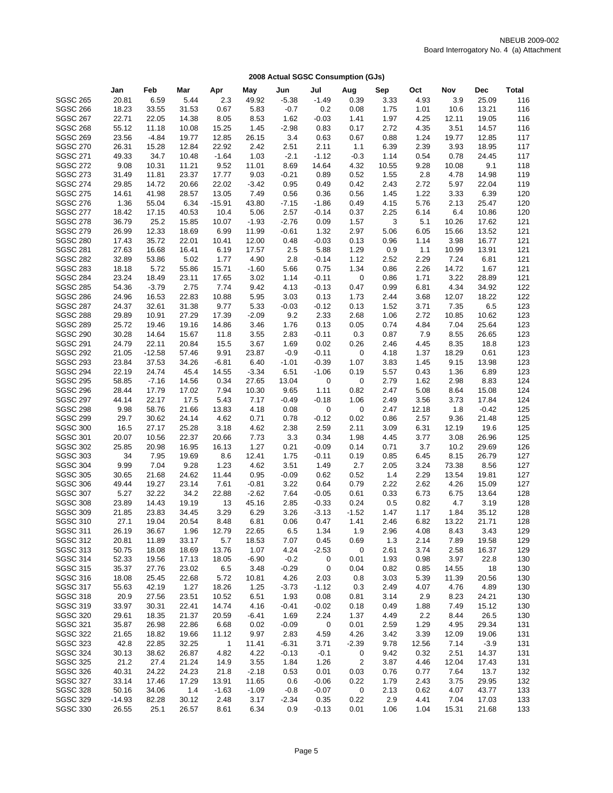|                                    | Jan         | Feb          | Mar           | Apr          | May           | Jun          | Jul             | Aug         | Sep          | Oct          | Nov           | <b>Dec</b>    | Total      |
|------------------------------------|-------------|--------------|---------------|--------------|---------------|--------------|-----------------|-------------|--------------|--------------|---------------|---------------|------------|
| <b>SGSC 265</b>                    | 20.81       | 6.59         | 5.44          | 2.3          | 49.92         | $-5.38$      | $-1.49$         | 0.39        | 3.33         | 4.93         | 3.9           | 25.09         | 116        |
| <b>SGSC 266</b>                    | 18.23       | 33.55        | 31.53         | 0.67         | 5.83          | $-0.7$       | 0.2             | 0.08        | 1.75         | 1.01         | 10.6          | 13.21         | 116        |
| <b>SGSC 267</b>                    | 22.71       | 22.05        | 14.38         | 8.05         | 8.53          | 1.62         | $-0.03$         | 1.41        | 1.97         | 4.25         | 12.11         | 19.05         | 116        |
| <b>SGSC 268</b>                    | 55.12       | 11.18        | 10.08         | 15.25        | 1.45          | $-2.98$      | 0.83            | 0.17        | 2.72         | 4.35         | 3.51          | 14.57         | 116        |
| <b>SGSC 269</b>                    | 23.56       | $-4.84$      | 19.77         | 12.85        | 26.15         | 3.4          | 0.63            | 0.67        | 0.88         | 1.24         | 19.77         | 12.85         | 117        |
| <b>SGSC 270</b>                    | 26.31       | 15.28        | 12.84         | 22.92        | 2.42          | 2.51         | 2.11            | 1.1         | 6.39         | 2.39         | 3.93          | 18.95         | 117        |
| <b>SGSC 271</b>                    | 49.33       | 34.7         | 10.48         | $-1.64$      | 1.03          | $-2.1$       | $-1.12$         | $-0.3$      | 1.14         | 0.54         | 0.78          | 24.45         | 117        |
| <b>SGSC 272</b>                    | 9.08        | 10.31        | 11.21         | 9.52         | 11.01         | 8.69         | 14.64           | 4.32        | 10.55        | 9.28         | 10.08         | 9.1           | 118        |
| <b>SGSC 273</b>                    | 31.49       | 11.81        | 23.37         | 17.77        | 9.03          | $-0.21$      | 0.89            | 0.52        | 1.55         | 2.8          | 4.78          | 14.98         | 119        |
| <b>SGSC 274</b>                    | 29.85       | 14.72        | 20.66         | 22.02        | $-3.42$       | 0.95         | 0.49            | 0.42        | 2.43         | 2.72         | 5.97          | 22.04         | 119        |
| <b>SGSC 275</b>                    | 14.61       | 41.98        | 28.57         | 13.05        | 7.49          | 0.56         | 0.36            | 0.56        | 1.45         | 1.22         | 3.33          | 6.39          | 120        |
| <b>SGSC 276</b>                    | 1.36        | 55.04        | 6.34          | $-15.91$     | 43.80         | $-7.15$      | $-1.86$         | 0.49        | 4.15         | 5.76         | 2.13          | 25.47         | 120        |
| <b>SGSC 277</b>                    | 18.42       | 17.15        | 40.53         | 10.4         | 5.06          | 2.57         | $-0.14$         | 0.37        | 2.25         | 6.14         | 6.4           | 10.86         | 120        |
| <b>SGSC 278</b>                    | 36.79       | 25.2         | 15.85         | 10.07        | $-1.93$       | $-2.76$      | 0.09            | 1.57        | 3            | 5.1          | 10.26         | 17.62         | 121        |
| <b>SGSC 279</b>                    | 26.99       | 12.33        | 18.69         | 6.99         | 11.99         | $-0.61$      | 1.32            | 2.97        | 5.06         | 6.05         | 15.66         | 13.52         | 121        |
| <b>SGSC 280</b>                    | 17.43       | 35.72        | 22.01         | 10.41        | 12.00         | 0.48         | $-0.03$         | 0.13        | 0.96         | 1.14         | 3.98          | 16.77         | 121        |
| <b>SGSC 281</b>                    | 27.63       | 16.68        | 16.41         | 6.19         | 17.57         | 2.5          | 5.88            | 1.29        | 0.9          | 1.1          | 10.99         | 13.91         | 121        |
| <b>SGSC 282</b>                    | 32.89       | 53.86        | 5.02          | 1.77         | 4.90          | 2.8          | $-0.14$         | 1.12        | 2.52         | 2.29         | 7.24          | 6.81          | 121        |
| <b>SGSC 283</b>                    | 18.18       | 5.72         | 55.86         | 15.71        | $-1.60$       | 5.66         | 0.75            | 1.34        | 0.86         | 2.26         | 14.72         | 1.67          | 121        |
| <b>SGSC 284</b>                    | 23.24       | 18.49        | 23.11         | 17.65        | 3.02          | 1.14         | $-0.11$         | 0           | 0.86         | 1.71         | 3.22          | 28.89         | 121        |
| <b>SGSC 285</b>                    | 54.36       | $-3.79$      | 2.75          | 7.74         | 9.42          | 4.13         | $-0.13$         | 0.47        | 0.99         | 6.81         | 4.34          | 34.92         | 122        |
| <b>SGSC 286</b>                    | 24.96       | 16.53        | 22.83         | 10.88        | 5.95          | 3.03         | 0.13            | 1.73        | 2.44         | 3.68         | 12.07         | 18.22         | 122        |
| <b>SGSC 287</b>                    | 24.37       | 32.61        | 31.38         | 9.77         | 5.33          | $-0.03$      | $-0.12$         | 0.13        | 1.52         | 3.71         | 7.35          | 6.5           | 123        |
| <b>SGSC 288</b>                    | 29.89       | 10.91        | 27.29         | 17.39        | $-2.09$       | 9.2          | 2.33            | 2.68        | 1.06         | 2.72         | 10.85         | 10.62         | 123        |
| <b>SGSC 289</b>                    | 25.72       | 19.46        | 19.16         | 14.86        | 3.46          | 1.76         | 0.13            | 0.05        | 0.74         | 4.84         | 7.04          | 25.64         | 123        |
| <b>SGSC 290</b>                    | 30.28       | 14.64        | 15.67         | 11.8         | 3.55          | 2.83         | $-0.11$         | 0.3         | 0.87         | 7.9          | 8.55          | 26.65         | 123        |
| <b>SGSC 291</b>                    | 24.79       | 22.11        | 20.84         | 15.5         | 3.67          | 1.69         | 0.02            | 0.26        | 2.46         | 4.45         | 8.35          | 18.8          | 123        |
| <b>SGSC 292</b>                    | 21.05       | $-12.58$     | 57.46         | 9.91         | 23.87         | $-0.9$       | $-0.11$         | 0           | 4.18         | 1.37         | 18.29         | 0.61          | 123        |
| <b>SGSC 293</b>                    | 23.84       | 37.53        | 34.26         | $-6.81$      | 6.40          | $-1.01$      | $-0.39$         | 1.07        | 3.83         | 1.45         | 9.15          | 13.98         | 123        |
| <b>SGSC 294</b>                    | 22.19       | 24.74        | 45.4          | 14.55        | $-3.34$       | 6.51         | $-1.06$         | 0.19        | 5.57         | 0.43         | 1.36          | 6.89          | 123        |
| <b>SGSC 295</b>                    | 58.85       | $-7.16$      | 14.56         | 0.34         | 27.65         | 13.04        | 0               | 0           | 2.79         | 1.62         | 2.98          | 8.83          | 124        |
| <b>SGSC 296</b>                    | 28.44       | 17.79        | 17.02         | 7.94         | 10.30         | 9.65         | 1.11            | 0.82        | 2.47         | 5.08         | 8.64          | 15.08         | 124        |
| <b>SGSC 297</b>                    | 44.14       | 22.17        | 17.5          | 5.43         | 7.17          | $-0.49$      | $-0.18$         | 1.06        | 2.49         | 3.56         | 3.73          | 17.84         | 124        |
| <b>SGSC 298</b>                    | 9.98        | 58.76        | 21.66         | 13.83        | 4.18          | 0.08         | 0               | 0           | 2.47         | 12.18        | 1.8           | $-0.42$       | 125        |
| <b>SGSC 299</b>                    | 29.7        | 30.62        | 24.14         | 4.62         | 0.71          | 0.78         | $-0.12$         | 0.02        | 0.86         | 2.57         | 9.36          | 21.48         | 125        |
| <b>SGSC 300</b>                    | 16.5        | 27.17        | 25.28         | 3.18         | 4.62          | 2.38         | 2.59            | 2.11        | 3.09         | 6.31         | 12.19         | 19.6          | 125        |
| <b>SGSC 301</b><br><b>SGSC 302</b> | 20.07       | 10.56        | 22.37         | 20.66        | 7.73          | 3.3          | 0.34            | 1.98        | 4.45         | 3.77         | 3.08          | 26.96         | 125<br>126 |
|                                    | 25.85<br>34 | 20.98        | 16.95         | 16.13        | 1.27          | 0.21<br>1.75 | $-0.09$         | 0.14        | 0.71         | 3.7          | 10.2          | 29.69         | 127        |
| <b>SGSC 303</b><br><b>SGSC 304</b> | 9.99        | 7.95<br>7.04 | 19.69<br>9.28 | 8.6<br>1.23  | 12.41<br>4.62 | 3.51         | $-0.11$<br>1.49 | 0.19<br>2.7 | 0.85<br>2.05 | 6.45<br>3.24 | 8.15<br>73.38 | 26.79<br>8.56 | 127        |
| <b>SGSC 305</b>                    | 30.65       | 21.68        | 24.62         | 11.44        | 0.95          | $-0.09$      | 0.62            | 0.52        | 1.4          | 2.29         | 13.54         | 19.81         | 127        |
| <b>SGSC 306</b>                    | 49.44       | 19.27        | 23.14         | 7.61         | $-0.81$       | 3.22         | 0.64            | 0.79        | 2.22         | 2.62         | 4.26          | 15.09         | 127        |
| <b>SGSC 307</b>                    | 5.27        | 32.22        | 34.2          | 22.88        | $-2.62$       | 7.64         | $-0.05$         | 0.61        | 0.33         | 6.73         | 6.75          | 13.64         | 128        |
| <b>SGSC 308</b>                    | 23.89       | 14.43        | 19.19         | 13           | 45.16         | 2.85         | $-0.33$         | 0.24        | 0.5          | 0.82         | 4.7           | 3.19          | 128        |
| <b>SGSC 309</b>                    | 21.85       | 23.83        | 34.45         | 3.29         | 6.29          | 3.26         | $-3.13$         | $-1.52$     | 1.47         | 1.17         | 1.84          | 35.12         | 128        |
| <b>SGSC 310</b>                    | 27.1        | 19.04        | 20.54         | 8.48         | 6.81          | 0.06         | 0.47            | 1.41        | 2.46         | 6.82         | 13.22         | 21.71         | 128        |
| <b>SGSC 311</b>                    | 26.19       | 36.67        | 1.96          | 12.79        | 22.65         | 6.5          | 1.34            | 1.9         | 2.96         | 4.08         | 8.43          | 3.43          | 129        |
| <b>SGSC 312</b>                    | 20.81       | 11.89        | 33.17         | 5.7          | 18.53         | 7.07         | 0.45            | 0.69        | 1.3          | 2.14         | 7.89          | 19.58         | 129        |
| <b>SGSC 313</b>                    | 50.75       | 18.08        | 18.69         | 13.76        | 1.07          | 4.24         | $-2.53$         | 0           | 2.61         | 3.74         | 2.58          | 16.37         | 129        |
| <b>SGSC 314</b>                    | 52.33       | 19.56        | 17.13         | 18.05        | $-6.90$       | $-0.2$       | 0               | 0.01        | 1.93         | 0.98         | 3.97          | 22.8          | 130        |
| <b>SGSC 315</b>                    | 35.37       | 27.76        | 23.02         | 6.5          | 3.48          | $-0.29$      | 0               | 0.04        | 0.82         | 0.85         | 14.55         | 18            | 130        |
| <b>SGSC 316</b>                    | 18.08       | 25.45        | 22.68         | 5.72         | 10.81         | 4.26         | 2.03            | 0.8         | 3.03         | 5.39         | 11.39         | 20.56         | 130        |
| <b>SGSC 317</b>                    | 55.63       | 42.19        | 1.27          | 18.26        | 1.25          | -3.73        | $-1.12$         | 0.3         | 2.49         | 4.07         | 4.76          | 4.89          | 130        |
| <b>SGSC 318</b>                    | 20.9        | 27.56        | 23.51         | 10.52        | 6.51          | 1.93         | 0.08            | 0.81        | 3.14         | 2.9          | 8.23          | 24.21         | 130        |
| <b>SGSC 319</b>                    | 33.97       | 30.31        | 22.41         | 14.74        | 4.16          | $-0.41$      | $-0.02$         | 0.18        | 0.49         | 1.88         | 7.49          | 15.12         | 130        |
| <b>SGSC 320</b>                    | 29.61       | 18.35        | 21.37         | 20.59        | $-6.41$       | 1.69         | 2.24            | 1.37        | 4.49         | 2.2          | 8.44          | 26.5          | 130        |
| SGSC 321                           | 35.87       | 26.98        | 22.86         | 6.68         | 0.02          | $-0.09$      | 0               | 0.01        | 2.59         | 1.29         | 4.95          | 29.34         | 131        |
| <b>SGSC 322</b>                    | 21.65       | 18.82        | 19.66         | 11.12        | 9.97          | 2.83         | 4.59            | 4.26        | 3.42         | 3.39         | 12.09         | 19.06         | 131        |
| <b>SGSC 323</b>                    | 42.8        | 22.85        | 32.25         | $\mathbf{1}$ | 11.41         | $-6.31$      | 3.71            | $-2.39$     | 9.78         | 12.56        | 7.14          | $-3.9$        | 131        |
| <b>SGSC 324</b>                    | 30.13       | 38.62        | 26.87         | 4.82         | 4.22          | $-0.13$      | $-0.1$          | 0           | 9.42         | 0.32         | 2.51          | 14.37         | 131        |
| <b>SGSC 325</b>                    | 21.2        | 27.4         | 21.24         | 14.9         | 3.55          | 1.84         | 1.26            | 2           | 3.87         | 4.46         | 12.04         | 17.43         | 131        |
| <b>SGSC 326</b>                    | 40.31       | 24.22        | 24.23         | 21.8         | $-2.18$       | 0.53         | 0.01            | 0.03        | 0.76         | 0.77         | 7.64          | 13.7          | 132        |
| <b>SGSC 327</b>                    | 33.14       | 17.46        | 17.29         | 13.91        | 11.65         | 0.6          | $-0.06$         | 0.22        | 1.79         | 2.43         | 3.75          | 29.95         | 132        |
| <b>SGSC 328</b>                    | 50.16       | 34.06        | 1.4           | $-1.63$      | $-1.09$       | $-0.8$       | $-0.07$         | 0           | 2.13         | 0.62         | 4.07          | 43.77         | 133        |
| <b>SGSC 329</b>                    | $-14.93$    | 82.28        | 30.12         | 2.48         | 3.17          | $-2.34$      | 0.35            | 0.22        | 2.9          | 4.41         | 7.04          | 17.03         | 133        |
| <b>SGSC 330</b>                    | 26.55       | 25.1         | 26.57         | 8.61         | 6.34          | 0.9          | $-0.13$         | 0.01        | 1.06         | 1.04         | 15.31         | 21.68         | 133        |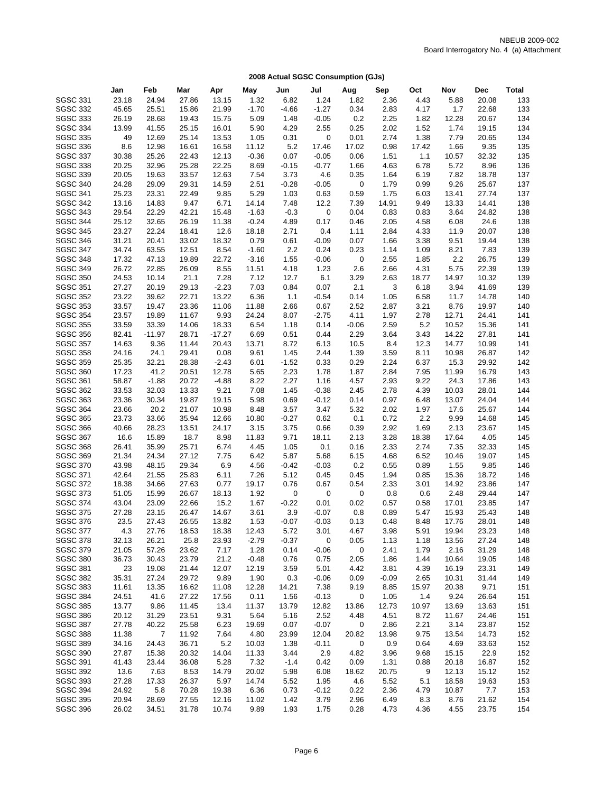|                 | Jan   | Feb            | Mar   | Apr      | May     | Jun     | Jul     | Aug     | Sep     | Oct   | Nov   | <b>Dec</b> | Total |
|-----------------|-------|----------------|-------|----------|---------|---------|---------|---------|---------|-------|-------|------------|-------|
| <b>SGSC 331</b> | 23.18 | 24.94          | 27.86 | 13.15    | 1.32    | 6.82    | 1.24    | 1.82    | 2.36    | 4.43  | 5.88  | 20.08      | 133   |
| <b>SGSC 332</b> | 45.65 | 25.51          | 15.86 | 21.99    | $-1.70$ | $-4.66$ | $-1.27$ | 0.34    | 2.83    | 4.17  | 1.7   | 22.68      | 133   |
| <b>SGSC 333</b> | 26.19 | 28.68          | 19.43 | 15.75    | 5.09    | 1.48    | $-0.05$ | 0.2     | 2.25    | 1.82  | 12.28 | 20.67      | 134   |
| <b>SGSC 334</b> | 13.99 | 41.55          | 25.15 | 16.01    | 5.90    | 4.29    | 2.55    | 0.25    | 2.02    | 1.52  | 1.74  | 19.15      | 134   |
| <b>SGSC 335</b> | 49    | 12.69          | 25.14 | 13.53    | 1.05    | 0.31    | 0       | 0.01    | 2.74    | 1.38  | 7.79  | 20.65      | 134   |
| <b>SGSC 336</b> | 8.6   | 12.98          | 16.61 | 16.58    | 11.12   | 5.2     | 17.46   | 17.02   | 0.98    | 17.42 | 1.66  | 9.35       | 135   |
| <b>SGSC 337</b> | 30.38 | 25.26          | 22.43 | 12.13    | $-0.36$ | 0.07    | $-0.05$ | 0.06    | 1.51    | 1.1   | 10.57 | 32.32      | 135   |
| <b>SGSC 338</b> | 20.25 | 32.96          | 25.28 | 22.25    | 8.69    | $-0.15$ | $-0.77$ | 1.66    | 4.63    | 6.78  | 5.72  | 8.96       | 136   |
| <b>SGSC 339</b> | 20.05 | 19.63          | 33.57 | 12.63    | 7.54    | 3.73    | 4.6     | 0.35    | 1.64    | 6.19  | 7.82  | 18.78      | 137   |
| <b>SGSC 340</b> | 24.28 | 29.09          | 29.31 | 14.59    | 2.51    | $-0.28$ | $-0.05$ | 0       | 1.79    | 0.99  | 9.26  | 25.67      | 137   |
| <b>SGSC 341</b> | 25.23 | 23.31          | 22.49 | 9.85     | 5.29    | 1.03    | 0.63    | 0.59    | 1.75    | 6.03  | 13.41 | 27.74      | 137   |
| <b>SGSC 342</b> | 13.16 | 14.83          | 9.47  | 6.71     | 14.14   | 7.48    | 12.2    | 7.39    | 14.91   | 9.49  | 13.33 | 14.41      | 138   |
| <b>SGSC 343</b> | 29.54 | 22.29          | 42.21 | 15.48    | $-1.63$ | $-0.3$  | 0       | 0.04    | 0.83    | 0.83  | 3.64  | 24.82      | 138   |
| <b>SGSC 344</b> | 25.12 | 32.65          | 26.19 | 11.38    | $-0.24$ | 4.89    | 0.17    | 0.46    | 2.05    | 4.58  | 6.08  | 24.6       | 138   |
| <b>SGSC 345</b> | 23.27 | 22.24          | 18.41 | 12.6     | 18.18   | 2.71    | 0.4     | 1.11    | 2.84    | 4.33  | 11.9  | 20.07      | 138   |
| <b>SGSC 346</b> | 31.21 | 20.41          | 33.02 | 18.32    | 0.79    | 0.61    | $-0.09$ | 0.07    | 1.66    | 3.38  | 9.51  | 19.44      | 138   |
| <b>SGSC 347</b> | 34.74 | 63.55          | 12.51 | 8.54     | $-1.60$ | 2.2     | 0.24    | 0.23    | 1.14    | 1.09  | 8.21  | 7.83       | 139   |
| <b>SGSC 348</b> | 17.32 | 47.13          | 19.89 | 22.72    | $-3.16$ | 1.55    | $-0.06$ | 0       | 2.55    | 1.85  | 2.2   | 26.75      | 139   |
| <b>SGSC 349</b> | 26.72 | 22.85          | 26.09 | 8.55     | 11.51   | 4.18    | 1.23    | 2.6     | 2.66    | 4.31  | 5.75  | 22.39      | 139   |
| <b>SGSC 350</b> | 24.53 | 10.14          | 21.1  | 7.28     | 7.12    | 12.7    | 6.1     | 3.29    | 2.63    | 18.77 | 14.97 | 10.32      | 139   |
| <b>SGSC 351</b> | 27.27 | 20.19          | 29.13 | $-2.23$  | 7.03    | 0.84    | 0.07    | 2.1     | 3       | 6.18  | 3.94  | 41.69      | 139   |
| <b>SGSC 352</b> | 23.22 | 39.62          | 22.71 | 13.22    | 6.36    | 1.1     | $-0.54$ | 0.14    | 1.05    | 6.58  | 11.7  | 14.78      | 140   |
| <b>SGSC 353</b> | 33.57 | 19.47          | 23.36 | 11.06    | 11.88   | 2.66    | 0.67    | 2.52    | 2.87    | 3.21  | 8.76  | 19.97      | 140   |
| <b>SGSC 354</b> | 23.57 | 19.89          | 11.67 | 9.93     | 24.24   | 8.07    | $-2.75$ | 4.11    | 1.97    | 2.78  | 12.71 | 24.41      | 141   |
| <b>SGSC 355</b> | 33.59 | 33.39          | 14.06 | 18.33    | 6.54    | 1.18    | 0.14    | $-0.06$ | 2.59    | 5.2   | 10.52 | 15.36      | 141   |
| <b>SGSC 356</b> | 82.41 | $-11.97$       | 28.71 | $-17.27$ | 6.69    | 0.51    | 0.44    | 2.29    | 3.64    | 3.43  | 14.22 | 27.81      | 141   |
| <b>SGSC 357</b> | 14.63 | 9.36           | 11.44 | 20.43    | 13.71   | 8.72    | 6.13    | 10.5    | 8.4     | 12.3  | 14.77 | 10.99      | 141   |
| <b>SGSC 358</b> | 24.16 | 24.1           | 29.41 | 0.08     | 9.61    | 1.45    | 2.44    | 1.39    | 3.59    | 8.11  | 10.98 | 26.87      | 142   |
| <b>SGSC 359</b> | 25.35 | 32.21          | 28.38 | $-2.43$  | 6.01    | $-1.52$ | 0.33    | 0.29    | 2.24    | 6.37  | 15.3  | 29.92      | 142   |
| <b>SGSC 360</b> | 17.23 | 41.2           | 20.51 | 12.78    | 5.65    | 2.23    | 1.78    | 1.87    | 2.84    | 7.95  | 11.99 | 16.79      | 143   |
| SGSC 361        | 58.87 | $-1.88$        | 20.72 | $-4.88$  | 8.22    | 2.27    | 1.16    | 4.57    | 2.93    | 9.22  | 24.3  | 17.86      | 143   |
| <b>SGSC 362</b> | 33.53 | 32.03          | 13.33 | 9.21     | 7.08    | 1.45    | $-0.38$ | 2.45    | 2.78    | 4.39  | 10.03 | 28.01      | 144   |
| <b>SGSC 363</b> | 23.36 | 30.34          |       |          |         |         |         | 0.14    |         |       |       |            | 144   |
| <b>SGSC 364</b> |       | 20.2           | 19.87 | 19.15    | 5.98    | 0.69    | $-0.12$ | 5.32    | 0.97    | 6.48  | 13.07 | 24.04      | 144   |
|                 | 23.66 |                | 21.07 | 10.98    | 8.48    | 3.57    | 3.47    |         | 2.02    | 1.97  | 17.6  | 25.67      |       |
| <b>SGSC 365</b> | 23.73 | 33.66          | 35.94 | 12.66    | 10.80   | $-0.27$ | 0.62    | 0.1     | 0.72    | 2.2   | 9.99  | 14.68      | 145   |
| <b>SGSC 366</b> | 40.66 | 28.23          | 13.51 | 24.17    | 3.15    | 3.75    | 0.66    | 0.39    | 2.92    | 1.69  | 2.13  | 23.67      | 145   |
| <b>SGSC 367</b> | 16.6  | 15.89          | 18.7  | 8.98     | 11.83   | 9.71    | 18.11   | 2.13    | 3.28    | 18.38 | 17.64 | 4.05       | 145   |
| <b>SGSC 368</b> | 26.41 | 35.99          | 25.71 | 6.74     | 4.45    | 1.05    | 0.1     | 0.16    | 2.33    | 2.74  | 7.35  | 32.33      | 145   |
| <b>SGSC 369</b> | 21.34 | 24.34          | 27.12 | 7.75     | 6.42    | 5.87    | 5.68    | 6.15    | 4.68    | 6.52  | 10.46 | 19.07      | 145   |
| <b>SGSC 370</b> | 43.98 | 48.15          | 29.34 | 6.9      | 4.56    | $-0.42$ | $-0.03$ | 0.2     | 0.55    | 0.89  | 1.55  | 9.85       | 146   |
| <b>SGSC 371</b> | 42.64 | 21.55          | 25.83 | 6.11     | 7.26    | 5.12    | 0.45    | 0.45    | 1.94    | 0.85  | 15.36 | 18.72      | 146   |
| <b>SGSC 372</b> | 18.38 | 34.66          | 27.63 | 0.77     | 19.17   | 0.76    | 0.67    | 0.54    | 2.33    | 3.01  | 14.92 | 23.86      | 147   |
| <b>SGSC 373</b> | 51.05 | 15.99          | 26.67 | 18.13    | 1.92    | 0       | 0       | 0       | 0.8     | 0.6   | 2.48  | 29.44      | 147   |
| <b>SGSC 374</b> | 43.04 | 23.09          | 22.66 | 15.2     | 1.67    | $-0.22$ | 0.01    | 0.02    | 0.57    | 0.58  | 17.01 | 23.85      | 147   |
| <b>SGSC 375</b> | 27.28 | 23.15          | 26.47 | 14.67    | 3.61    | 3.9     | $-0.07$ | 0.8     | 0.89    | 5.47  | 15.93 | 25.43      | 148   |
| <b>SGSC 376</b> | 23.5  | 27.43          | 26.55 | 13.82    | 1.53    | $-0.07$ | $-0.03$ | 0.13    | 0.48    | 8.48  | 17.76 | 28.01      | 148   |
| <b>SGSC 377</b> | 4.3   | 27.76          | 18.53 | 18.38    | 12.43   | 5.72    | 3.01    | 4.67    | 3.98    | 5.91  | 19.94 | 23.23      | 148   |
| <b>SGSC 378</b> | 32.13 | 26.21          | 25.8  | 23.93    | $-2.79$ | $-0.37$ | 0       | 0.05    | 1.13    | 1.18  | 13.56 | 27.24      | 148   |
| <b>SGSC 379</b> | 21.05 | 57.26          | 23.62 | 7.17     | 1.28    | 0.14    | $-0.06$ | 0       | 2.41    | 1.79  | 2.16  | 31.29      | 148   |
| <b>SGSC 380</b> | 36.73 | 30.43          | 23.79 | 21.2     | $-0.48$ | 0.76    | 0.75    | 2.05    | 1.86    | 1.44  | 10.64 | 19.05      | 148   |
| <b>SGSC 381</b> | 23    | 19.08          | 21.44 | 12.07    | 12.19   | 3.59    | 5.01    | 4.42    | 3.81    | 4.39  | 16.19 | 23.31      | 149   |
| <b>SGSC 382</b> | 35.31 | 27.24          | 29.72 | 9.89     | 1.90    | 0.3     | $-0.06$ | 0.09    | $-0.09$ | 2.65  | 10.31 | 31.44      | 149   |
| <b>SGSC 383</b> | 11.61 | 13.35          | 16.62 | 11.08    | 12.28   | 14.21   | 7.38    | 9.19    | 8.85    | 15.97 | 20.38 | 9.71       | 151   |
| <b>SGSC 384</b> | 24.51 | 41.6           | 27.22 | 17.56    | 0.11    | 1.56    | $-0.13$ | 0       | 1.05    | 1.4   | 9.24  | 26.64      | 151   |
| <b>SGSC 385</b> | 13.77 | 9.86           | 11.45 | 13.4     | 11.37   | 13.79   | 12.82   | 13.86   | 12.73   | 10.97 | 13.69 | 13.63      | 151   |
| <b>SGSC 386</b> | 20.12 | 31.29          | 23.51 | 9.31     | 5.64    | 5.16    | 2.52    | 4.48    | 4.51    | 8.72  | 11.67 | 24.46      | 151   |
| <b>SGSC 387</b> | 27.78 | 40.22          | 25.58 | 6.23     | 19.69   | 0.07    | $-0.07$ | 0       | 2.86    | 2.21  | 3.14  | 23.87      | 152   |
| <b>SGSC 388</b> | 11.38 | $\overline{7}$ | 11.92 | 7.64     | 4.80    | 23.99   | 12.04   | 20.82   | 13.98   | 9.75  | 13.54 | 14.73      | 152   |
| <b>SGSC 389</b> | 34.16 | 24.43          | 36.71 | 5.2      | 10.03   | 1.38    | $-0.11$ | 0       | 0.9     | 0.64  | 4.69  | 33.63      | 152   |
| <b>SGSC 390</b> | 27.87 | 15.38          | 20.32 | 14.04    | 11.33   | 3.44    | 2.9     | 4.82    | 3.96    | 9.68  | 15.15 | 22.9       | 152   |
| <b>SGSC 391</b> | 41.43 | 23.44          | 36.08 | 5.28     | 7.32    | $-1.4$  | 0.42    | 0.09    | 1.31    | 0.88  | 20.18 | 16.87      | 152   |
| <b>SGSC 392</b> | 13.6  | 7.63           | 8.53  | 14.79    | 20.02   | 5.98    | 6.08    | 18.62   | 20.75   | 9     | 12.13 | 15.12      | 152   |
| <b>SGSC 393</b> | 27.28 | 17.33          | 26.37 | 5.97     | 14.74   | 5.52    | 1.95    | 4.6     | 5.52    | 5.1   | 18.58 | 19.63      | 153   |
| <b>SGSC 394</b> | 24.92 | 5.8            | 70.28 | 19.38    | 6.36    | 0.73    | $-0.12$ | 0.22    | 2.36    | 4.79  | 10.87 | 7.7        | 153   |
| <b>SGSC 395</b> | 20.94 | 28.69          | 27.55 | 12.16    | 11.02   | 1.42    | 3.79    | 2.96    | 6.49    | 8.3   | 8.76  | 21.62      | 154   |
| <b>SGSC 396</b> | 26.02 | 34.51          | 31.78 | 10.74    | 9.89    | 1.93    | 1.75    | 0.28    | 4.73    | 4.36  | 4.55  | 23.75      | 154   |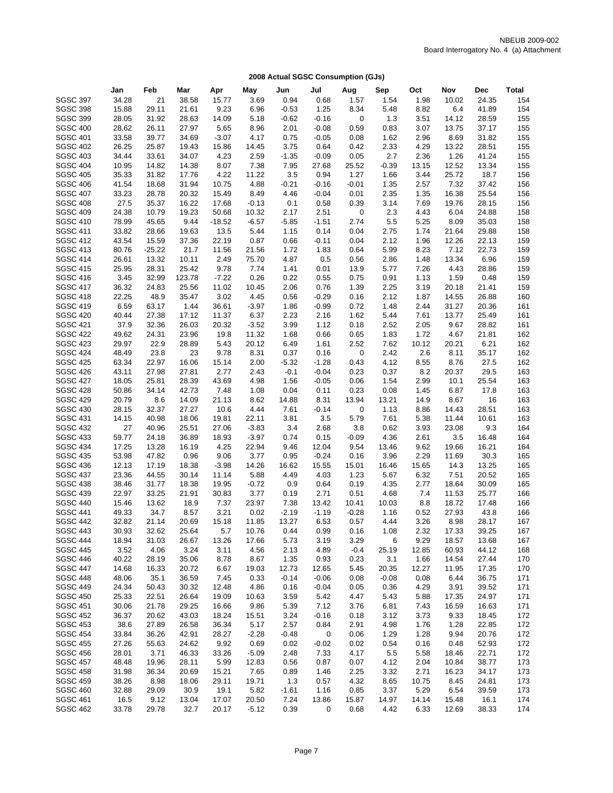|                                    | Jan            | Feb            | Mar            | Apr           | May           | Jun          | Jul          | Aug            | Sep          | Oct           | Nov            | <b>Dec</b>     | Total      |
|------------------------------------|----------------|----------------|----------------|---------------|---------------|--------------|--------------|----------------|--------------|---------------|----------------|----------------|------------|
| <b>SGSC 397</b>                    | 34.28          | 21             | 38.58          | 15.77         | 3.69          | 0.94         | 0.68         | 1.57           | 1.54         | 1.98          | 10.02          | 24.35          | 154        |
| <b>SGSC 398</b>                    | 15.88          | 29.11          | 21.61          | 9.23          | 6.96          | $-0.53$      | 1.25         | 8.34           | 5.48         | 8.82          | 6.4            | 41.89          | 154        |
| <b>SGSC 399</b>                    | 28.05          | 31.92          | 28.63          | 14.09         | 5.18          | $-0.62$      | $-0.16$      | 0              | 1.3          | 3.51          | 14.12          | 28.59          | 155        |
| <b>SGSC 400</b>                    | 28.62          | 26.11          | 27.97          | 5.65          | 8.96          | 2.01         | $-0.08$      | 0.59           | 0.83         | 3.07          | 13.75          | 37.17          | 155        |
| <b>SGSC 401</b>                    | 33.58          | 39.77          | 34.69          | $-3.07$       | 4.17          | 0.75         | $-0.05$      | 0.08           | 1.62         | 2.96          | 8.69           | 31.82          | 155        |
| <b>SGSC 402</b>                    | 26.25          | 25.87          | 19.43          | 15.86         | 14.45         | 3.75         | 0.64         | 0.42           | 2.33         | 4.29          | 13.22          | 28.51          | 155        |
| <b>SGSC 403</b>                    | 34.44          | 33.61          | 34.07          | 4.23          | 2.59          | $-1.35$      | $-0.09$      | 0.05           | 2.7          | 2.36          | 1.26           | 41.24          | 155        |
| <b>SGSC 404</b>                    | 10.95          | 14.82          | 14.38          | 8.07          | 7.38          | 7.95         | 27.68        | 25.52          | $-0.39$      | 13.15         | 12.52          | 13.34          | 155        |
| <b>SGSC 405</b>                    | 35.33          | 31.82          | 17.76          | 4.22          | 11.22         | 3.5          | 0.94         | 1.27           | 1.66         | 3.44          | 25.72          | 18.7           | 156        |
| <b>SGSC 406</b>                    | 41.54          | 18.68          | 31.94          | 10.75         | 4.88          | $-0.21$      | $-0.16$      | $-0.01$        | 1.35         | 2.57          | 7.32           | 37.42          | 156        |
| <b>SGSC 407</b>                    | 33.23          | 28.78          | 20.32          | 15.49         | 8.49          | 4.46         | $-0.04$      | 0.01           | 2.35         | 1.35          | 16.38          | 25.54          | 156        |
| <b>SGSC 408</b>                    | 27.5           | 35.37          | 16.22          | 17.68         | $-0.13$       | 0.1          | 0.58         | 0.39           | 3.14         | 7.69          | 19.76          | 28.15          | 156        |
| <b>SGSC 409</b>                    | 24.38          | 10.79          | 19.23          | 50.68         | 10.32         | 2.17         | 2.51         | 0              | 2.3          | 4.43          | 6.04           | 24.88          | 158        |
| <b>SGSC 410</b>                    | 78.99          | 45.65          | 9.44           | $-18.52$      | $-6.57$       | $-5.85$      | $-1.51$      | 2.74           | 5.5          | 5.25          | 8.09           | 35.03          | 158        |
| <b>SGSC 411</b>                    | 33.82          | 28.66          | 19.63          | 13.5          | 5.44          | 1.15         | 0.14         | 0.04           | 2.75         | 1.74          | 21.64          | 29.88          | 158        |
| <b>SGSC 412</b>                    | 43.54          | 15.59          | 37.36          | 22.19         | 0.87          | 0.66         | $-0.11$      | 0.04           | 2.12         | 1.96          | 12.26          | 22.13          | 159        |
| <b>SGSC 413</b>                    | 80.76          | $-25.22$       | 21.7           | 11.56         | 21.56         | 1.72         | 1.83         | 0.64           | 5.99         | 8.23          | 7.12           | 22.73          | 159        |
| <b>SGSC 414</b>                    | 26.61          | 13.32          | 10.11          | 2.49          | 75.70         | 4.87         | 0.5          | 0.56           | 2.86         | 1.48          | 13.34          | 6.96           | 159        |
| <b>SGSC 415</b>                    | 25.95          | 28.31          | 25.42          | 9.78          | 7.74          | 1.41         | 0.01         | 13.9           | 5.77         | 7.26          | 4.43           | 28.86          | 159        |
| <b>SGSC 416</b>                    | 3.45           | 32.99          | 123.78         | $-7.22$       | 0.26          | 0.22         | 0.55         | 0.75           | 0.91         | 1.13          | 1.59           | 0.48           | 159        |
| <b>SGSC 417</b>                    | 36.32          | 24.83          | 25.56          | 11.02         | 10.45         | 2.06         | 0.76         | 1.39           | 2.25         | 3.19          | 20.18          | 21.41          | 159        |
| <b>SGSC 418</b>                    | 22.25          | 48.9           | 35.47          | 3.02          | 4.45          | 0.56         | $-0.29$      | 0.16           | 2.12         | 1.87          | 14.55          | 26.88          | 160        |
| <b>SGSC 419</b>                    | 6.59           | 63.17          | 1.44           | 36.61         | $-3.97$       | 1.86         | $-0.99$      | 0.72           | 1.48         | 2.44          | 31.27          | 20.36          | 161        |
| <b>SGSC 420</b>                    | 40.44          | 27.38          | 17.12          | 11.37         | 6.37          | 2.23         | 2.16         | 1.62           | 5.44         | 7.61          | 13.77          | 25.49          | 161        |
| <b>SGSC 421</b>                    | 37.9           | 32.36          | 26.03          | 20.32         | $-3.52$       | 3.99         | 1.12         | 0.18           | 2.52         | 2.05          | 9.67           | 28.82          | 161        |
| <b>SGSC 422</b>                    | 49.62          | 24.31          | 23.96          | 19.8          | 11.32         | 1.68         | 0.66         | 0.65           | 1.83         | 1.72          | 4.67           | 21.81          | 162        |
| <b>SGSC 423</b>                    | 29.97          | 22.9           | 28.89          | 5.43          | 20.12         | 6.49         | 1.61         | 2.52           | 7.62         | 10.12         | 20.21          | 6.21           | 162        |
| <b>SGSC 424</b>                    | 48.49          | 23.8           | 23             | 9.78          | 8.31          | 0.37         | 0.16         | 0              | 2.42         | 2.6           | 8.11           | 35.17          | 162        |
| <b>SGSC 425</b>                    | 63.34          | 22.97          | 16.06          | 15.14         | 2.00          | $-5.32$      | $-1.28$      | 0.43           | 4.12         | 8.55          | 8.76           | 27.5           | 162        |
| <b>SGSC 426</b>                    | 43.11          | 27.98          | 27.81          | 2.77          | 2.43          | $-0.1$       | $-0.04$      | 0.23           | 0.37         | 8.2           | 20.37          | 29.5           | 163        |
| <b>SGSC 427</b>                    | 18.05          | 25.81          | 28.39          | 43.69         | 4.98          | 1.56         | $-0.05$      | 0.06           | 1.54         | 2.99          | 10.1           | 25.54          | 163        |
| <b>SGSC 428</b>                    | 50.86          | 34.14          | 42.73          | 7.48          | 1.08          | 0.04         | 0.11         | 0.23           | 0.08         | 1.45          | 6.87           | 17.8           | 163        |
| <b>SGSC 429</b>                    | 20.79          | 8.6            | 14.09          | 21.13         | 8.62          | 14.88        | 8.31         | 13.94          | 13.21        | 14.9          | 8.67           | 16             | 163        |
| <b>SGSC 430</b>                    | 28.15          |                |                |               |               | 7.61         | $-0.14$      | 0              |              |               | 14.43          |                | 163        |
| <b>SGSC 431</b>                    | 14.15          | 32.37<br>40.98 | 27.27<br>18.06 | 10.6<br>19.81 | 4.44<br>22.11 | 3.81         | 3.5          | 5.79           | 1.13<br>7.61 | 8.86<br>5.38  | 11.44          | 28.51<br>10.61 | 163        |
| <b>SGSC 432</b>                    | 27             | 40.96          | 25.51          | 27.06         | $-3.83$       | 3.4          | 2.68         | 3.8            | 0.62         | 3.93          | 23.08          | 9.3            | 164        |
| <b>SGSC 433</b>                    | 59.77          |                |                |               |               |              |              |                |              |               |                |                | 164        |
| <b>SGSC 434</b>                    |                | 24.18          | 36.89          | 18.93         | $-3.97$       | 0.74         | 0.15         | $-0.09$        | 4.36         | 2.61          | 3.5            | 16.48          |            |
|                                    | 17.25          | 13.28          | 16.19          | 4.25          | 22.94         | 9.46         | 12.04        | 9.54           | 13.46        | 9.62          | 19.66          | 16.21          | 164        |
| <b>SGSC 435</b>                    | 53.98          | 47.82          | 0.96           | 9.06          | 3.77          | 0.95         | $-0.24$      | 0.16           | 3.96         | 2.29          | 11.69          | 30.3           | 165        |
| <b>SGSC 436</b>                    | 12.13          | 17.19          | 18.38          | $-3.98$       | 14.26         | 16.62        | 15.55        | 15.01          | 16.46        | 15.65         | 14.3           | 13.25          | 165        |
| <b>SGSC 437</b>                    | 23.36          | 44.55          | 30.14          | 11.14         | 5.88          | 4.49         | 4.03         | 1.23           | 5.67         | 6.32          | 7.51           | 20.52          | 165        |
| <b>SGSC 438</b>                    | 38.46          | 31.77          | 18.38          | 19.95         | $-0.72$       | 0.9          | 0.64         | 0.19           | 4.35         | 2.77          | 18.64          | 30.09          | 165        |
| <b>SGSC 439</b>                    | 22.97          | 33.25          | 21.91          | 30.83         | 3.77          | 0.19         | 2.71         | 0.51           | 4.68         | 7.4           | 11.53          | 25.77          | 166        |
| <b>SGSC 440</b>                    | 15.46          | 13.62          | 18.9           | 7.37          | 23.97         | 7.38         | 13.42        | 10.41          | 10.03        | 8.8           | 18.72          | 17.48          | 166        |
| <b>SGSC 441</b>                    | 49.33          | 34.7           | 8.57           | 3.21          | 0.02          | $-2.19$      | $-1.19$      | $-0.28$        | 1.16         | 0.52          | 27.93          | 43.8           | 166        |
| <b>SGSC 442</b>                    | 32.82<br>30.93 | 21.14          | 20.69          | 15.18         | 11.85         | 13.27        | 6.53         | 0.57           | 4.44         | 3.26          | 8.98           | 28.17<br>39.25 | 167        |
| <b>SGSC 443</b>                    |                | 32.62          | 25.64          | 5.7           | 10.76         | 0.44         | 0.99         | 0.16           | 1.08         | 2.32          | 17.33          |                | 167        |
| <b>SGSC 444</b><br><b>SGSC 445</b> | 18.94          | 31.03          | 26.67          | 13.26         | 17.66         | 5.73         | 3.19         | 3.29           | 6<br>25.19   | 9.29          | 18.57          | 13.68          | 167        |
| <b>SGSC 446</b>                    | 3.52<br>40.22  | 4.06           | 3.24<br>35.06  | 3.11<br>8.78  | 4.56<br>8.67  | 2.13<br>1.35 | 4.89<br>0.93 | $-0.4$<br>0.23 | 3.1          | 12.85<br>1.66 | 60.93<br>14.54 | 44.12<br>27.44 | 168<br>170 |
| <b>SGSC 447</b>                    |                | 28.19          |                |               |               |              |              |                |              |               |                |                |            |
|                                    | 14.68          | 16.33          | 20.72          | 6.67          | 19.03         | 12.73        | 12.65        | 5.45           | 20.35        | 12.27         | 11.95          | 17.35          | 170        |
| <b>SGSC 448</b>                    | 48.06          | 35.1           | 36.59          | 7.45          | 0.33          | $-0.14$      | $-0.06$      | 0.08           | $-0.08$      | 0.08          | 6.44           | 36.75          | 171        |
| <b>SGSC 449</b>                    | 24.34          | 50.43          | 30.32          | 12.48         | 4.86          | 0.16         | $-0.04$      | 0.05           | 0.36         | 4.29          | 3.91           | 39.52          | 171        |
| <b>SGSC 450</b>                    | 25.33          | 22.51          | 26.64          | 19.09         | 10.63         | 3.59         | 5.42         | 4.47           | 5.43         | 5.88          | 17.35          | 24.97          | 171        |
| <b>SGSC 451</b>                    | 30.06          | 21.78          | 29.25          | 16.66         | 9.86          | 5.39         | 7.12         | 3.76           | 6.81         | 7.43          | 16.59          | 16.63          | 171        |
| <b>SGSC 452</b>                    | 36.37          | 20.62          | 43.03          | 18.24         | 15.51         | 3.24         | $-0.16$      | 0.18           | 3.12         | 3.73          | 9.33           | 18.45          | 172        |
| <b>SGSC 453</b>                    | 38.6           | 27.89          | 26.58          | 36.34         | 5.17          | 2.57         | 0.84         | 2.91           | 4.98         | 1.76          | 1.28           | 22.85          | 172        |
| <b>SGSC 454</b>                    | 33.84          | 36.26          | 42.91          | 28.27         | $-2.28$       | $-0.48$      | 0            | 0.06           | 1.29         | 1.28          | 9.94           | 20.76          | 172        |
| <b>SGSC 455</b>                    | 27.26          | 55.63          | 24.62          | 9.92          | 0.69          | 0.02         | $-0.02$      | 0.02           | 0.54         | 0.16          | 0.48           | 52.93          | 172        |
| <b>SGSC 456</b>                    | 28.01          | 3.71           | 46.33          | 33.26         | $-5.09$       | 2.48         | 7.33         | 4.17           | 5.5          | 5.58          | 18.46          | 22.71          | 172        |
| <b>SGSC 457</b>                    | 48.48          | 19.96          | 28.11          | 5.99          | 12.83         | 0.56         | 0.87         | 0.07           | 4.12         | 2.04          | 10.84          | 38.77          | 173        |
| <b>SGSC 458</b>                    | 31.98          | 36.34          | 20.69          | 15.21         | 7.65          | 0.89         | 1.46         | 2.25           | 3.32         | 2.71          | 16.23          | 34.17          | 173        |
| <b>SGSC 459</b>                    | 38.26          | 8.98           | 18.06          | 29.11         | 19.71         | 1.3          | 0.57         | 4.32           | 8.65         | 10.75         | 8.45           | 24.81          | 173        |
| <b>SGSC 460</b>                    | 32.88          | 29.09          | 30.9           | 19.1          | 5.82          | -1.61        | 1.16         | 0.85           | 3.37         | 5.29          | 6.54           | 39.59          | 173        |
| <b>SGSC 461</b>                    | 16.5           | 9.12           | 13.04          | 17.07         | 20.50         | 7.24         | 13.86        | 15.87          | 14.97        | 14.14         | 15.48          | 16.1           | 174        |
| <b>SGSC 462</b>                    | 33.78          | 29.78          | 32.7           | 20.17         | $-5.12$       | 0.39         | 0            | 0.68           | 4.42         | 6.33          | 12.69          | 38.33          | 174        |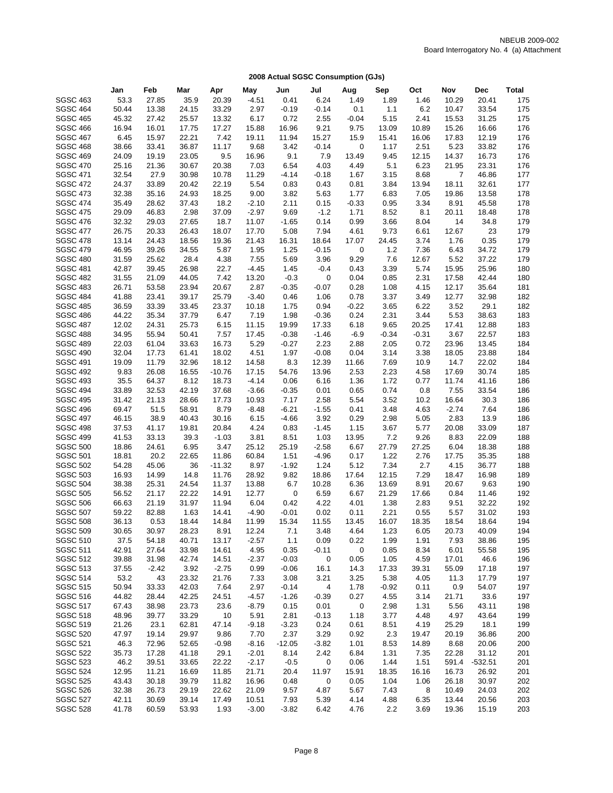|                                    | Jan            | Feb          | Mar            | Apr           | May             | Jun             | Jul             | Aug          | Sep          | Oct          | Nov              | <b>Dec</b>   | Total      |
|------------------------------------|----------------|--------------|----------------|---------------|-----------------|-----------------|-----------------|--------------|--------------|--------------|------------------|--------------|------------|
| <b>SGSC 463</b>                    | 53.3           | 27.85        | 35.9           | 20.39         | $-4.51$         | 0.41            | 6.24            | 1.49         | 1.89         | 1.46         | 10.29            | 20.41        | 175        |
| <b>SGSC 464</b>                    | 50.44          | 13.38        | 24.15          | 33.29         | 2.97            | $-0.19$         | $-0.14$         | 0.1          | 1.1          | 6.2          | 10.47            | 33.54        | 175        |
| <b>SGSC 465</b>                    | 45.32          | 27.42        | 25.57          | 13.32         | 6.17            | 0.72            | 2.55            | $-0.04$      | 5.15         | 2.41         | 15.53            | 31.25        | 175        |
| <b>SGSC 466</b>                    | 16.94          | 16.01        | 17.75          | 17.27         | 15.88           | 16.96           | 9.21            | 9.75         | 13.09        | 10.89        | 15.26            | 16.66        | 176        |
| <b>SGSC 467</b>                    | 6.45           | 15.97        | 22.21          | 7.42          | 19.11           | 11.94           | 15.27           | 15.9         | 15.41        | 16.06        | 17.83            | 12.19        | 176        |
| <b>SGSC 468</b>                    | 38.66          | 33.41        | 36.87          | 11.17         | 9.68            | 3.42            | $-0.14$         | 0            | 1.17         | 2.51         | 5.23             | 33.82        | 176        |
| <b>SGSC 469</b>                    | 24.09          | 19.19        | 23.05          | 9.5           | 16.96           | 9.1             | 7.9             | 13.49        | 9.45         | 12.15        | 14.37            | 16.73        | 176        |
| <b>SGSC 470</b>                    | 25.16          | 21.36        | 30.67          | 20.38         | 7.03            | 6.54            | 4.03            | 4.49         | 5.1          | 6.23         | 21.95            | 23.31        | 176        |
| <b>SGSC 471</b>                    | 32.54          | 27.9         | 30.98          | 10.78         | 11.29           | $-4.14$         | $-0.18$         | 1.67         | 3.15         | 8.68         | 7                | 46.86        | 177        |
| <b>SGSC 472</b>                    | 24.37          | 33.89        | 20.42          | 22.19         | 5.54            | 0.83            | 0.43            | 0.81         | 3.84         | 13.94        | 18.11            | 32.61        | 177        |
| <b>SGSC 473</b>                    | 32.38          | 35.16        | 24.93          | 18.25         | 9.00            | 3.82            | 5.63            | 1.77         | 6.83         | 7.05         | 19.86            | 13.58        | 178        |
| <b>SGSC 474</b>                    | 35.49          | 28.62        | 37.43          | 18.2          | $-2.10$         | 2.11            | 0.15            | $-0.33$      | 0.95         | 3.34         | 8.91             | 45.58        | 178        |
| <b>SGSC 475</b>                    | 29.09          | 46.83        | 2.98           | 37.09         | $-2.97$         | 9.69            | $-1.2$          | 1.71         | 8.52         | 8.1          | 20.11            | 18.48        | 178        |
| <b>SGSC 476</b>                    | 32.32          | 29.03        | 27.65          | 18.7          | 11.07           | $-1.65$         | 0.14            | 0.99         | 3.66         | 8.04         | 14               | 34.8         | 179        |
| <b>SGSC 477</b>                    | 26.75          | 20.33        | 26.43          | 18.07         | 17.70           | 5.08            | 7.94            | 4.61         | 9.73         | 6.61         | 12.67            | 23           | 179        |
| <b>SGSC 478</b>                    | 13.14          | 24.43        | 18.56          | 19.36         | 21.43           | 16.31           | 18.64           | 17.07        | 24.45        | 3.74         | 1.76             | 0.35         | 179        |
| <b>SGSC 479</b>                    | 46.95          | 39.26        | 34.55          | 5.87          | 1.95            | 1.25            | $-0.15$         | 0            | 1.2          | 7.36         | 6.43             | 34.72        | 179        |
| <b>SGSC 480</b>                    | 31.59          | 25.62        | 28.4           | 4.38          | 7.55            | 5.69            | 3.96            | 9.29         | 7.6          | 12.67        | 5.52             | 37.22        | 179        |
| <b>SGSC 481</b>                    | 42.87          | 39.45        | 26.98          | 22.7          | $-4.45$         | 1.45            | $-0.4$          | 0.43         | 3.39         | 5.74         | 15.95            | 25.96        | 180        |
| <b>SGSC 482</b>                    | 31.55          | 21.09        | 44.05          | 7.42          | 13.20           | $-0.3$          | 0               | 0.04         | 0.85         | 2.31         | 17.58            | 42.44        | 180        |
| <b>SGSC 483</b>                    | 26.71          | 53.58        | 23.94          | 20.67         | 2.87            | $-0.35$         | $-0.07$         | 0.28         | 1.08         | 4.15         | 12.17            | 35.64        | 181        |
| <b>SGSC 484</b>                    | 41.88          | 23.41        | 39.17          | 25.79         | $-3.40$         | 0.46            | 1.06            | 0.78         | 3.37         | 3.49         | 12.77            | 32.98        | 182        |
| <b>SGSC 485</b>                    | 36.59          | 33.39        | 33.45          | 23.37         | 10.18           | 1.75            | 0.94            | $-0.22$      | 3.65         | 6.22         | 3.52             | 29.1         | 182        |
| <b>SGSC 486</b>                    | 44.22          | 35.34        | 37.79          | 6.47          | 7.19            | 1.98            | $-0.36$         | 0.24         | 2.31         | 3.44         | 5.53             | 38.63        | 183        |
| <b>SGSC 487</b>                    | 12.02          | 24.31        | 25.73          | 6.15          | 11.15           | 19.99           | 17.33           | 6.18         | 9.65         | 20.25        | 17.41            | 12.88        | 183        |
| <b>SGSC 488</b>                    | 34.95          | 55.94        | 50.41          | 7.57          | 17.45           | $-0.38$         | $-1.46$         | $-6.9$       | $-0.34$      | $-0.31$      | 3.67             | 22.57        | 183        |
| <b>SGSC 489</b>                    | 22.03          | 61.04        | 33.63          | 16.73         | 5.29            | $-0.27$         | 2.23            | 2.88         | 2.05         | 0.72         | 23.96            | 13.45        | 184        |
| <b>SGSC 490</b>                    | 32.04          | 17.73        | 61.41          | 18.02         | 4.51            | 1.97            | $-0.08$         | 0.04         | 3.14         | 3.38         | 18.05            | 23.88        | 184        |
| <b>SGSC 491</b>                    | 19.09          | 11.79        | 32.96          | 18.12         | 14.58           | 8.3             | 12.39           | 11.66        | 7.69         | 10.9         | 14.7             | 22.02        | 184        |
| <b>SGSC 492</b>                    | 9.83           | 26.08        | 16.55          | $-10.76$      | 17.15           | 54.76           | 13.96           | 2.53         | 2.23         | 4.58         | 17.69            | 30.74        | 185        |
| <b>SGSC 493</b>                    | 35.5           | 64.37        | 8.12           | 18.73         | $-4.14$         | 0.06            | 6.16            | 1.36         | 1.72         | 0.77         | 11.74            | 41.16        | 186        |
| <b>SGSC 494</b>                    | 33.89          | 32.53        | 42.19          | 37.68         | $-3.66$         | $-0.35$         | 0.01            | 0.65         | 0.74         | 0.8          | 7.55             | 33.54        | 186        |
| <b>SGSC 495</b><br><b>SGSC 496</b> | 31.42<br>69.47 | 21.13        | 28.66          | 17.73         | 10.93           | 7.17<br>$-6.21$ | 2.58            | 5.54         | 3.52<br>3.48 | 10.2<br>4.63 | 16.64<br>$-2.74$ | 30.3<br>7.64 | 186<br>186 |
| <b>SGSC 497</b>                    | 46.15          | 51.5<br>38.9 | 58.91<br>40.43 | 8.79<br>30.16 | $-8.48$<br>6.15 | $-4.66$         | $-1.55$<br>3.92 | 0.41<br>0.29 | 2.98         | 5.05         | 2.83             | 13.9         | 186        |
| <b>SGSC 498</b>                    | 37.53          | 41.17        | 19.81          | 20.84         | 4.24            | 0.83            | $-1.45$         | 1.15         | 3.67         | 5.77         | 20.08            | 33.09        | 187        |
| <b>SGSC 499</b>                    | 41.53          | 33.13        | 39.3           | $-1.03$       | 3.81            | 8.51            | 1.03            | 13.95        | 7.2          | 9.26         | 8.83             | 22.09        | 188        |
| <b>SGSC 500</b>                    | 18.86          | 24.61        | 6.95           | 3.47          | 25.12           | 25.19           | $-2.58$         | 6.67         | 27.79        | 27.25        | 6.04             | 18.38        | 188        |
| <b>SGSC 501</b>                    | 18.81          | 20.2         | 22.65          | 11.86         | 60.84           | 1.51            | $-4.96$         | 0.17         | 1.22         | 2.76         | 17.75            | 35.35        | 188        |
| <b>SGSC 502</b>                    | 54.28          | 45.06        | 36             | $-11.32$      | 8.97            | $-1.92$         | 1.24            | 5.12         | 7.34         | 2.7          | 4.15             | 36.77        | 188        |
| <b>SGSC 503</b>                    | 16.93          | 14.99        | 14.8           | 11.76         | 28.92           | 9.82            | 18.86           | 17.64        | 12.15        | 7.29         | 18.47            | 16.98        | 189        |
| <b>SGSC 504</b>                    | 38.38          | 25.31        | 24.54          | 11.37         | 13.88           | 6.7             | 10.28           | 6.36         | 13.69        | 8.91         | 20.67            | 9.63         | 190        |
| <b>SGSC 505</b>                    | 56.52          | 21.17        | 22.22          | 14.91         | 12.77           | 0               | 6.59            | 6.67         | 21.29        | 17.66        | 0.84             | 11.46        | 192        |
| <b>SGSC 506</b>                    | 66.63          | 21.19        | 31.97          | 11.94         | 6.04            | 0.42            | 4.22            | 4.01         | 1.38         | 2.83         | 9.51             | 32.22        | 192        |
| <b>SGSC 507</b>                    | 59.22          | 82.88        | 1.63           | 14.41         | $-4.90$         | $-0.01$         | 0.02            | 0.11         | 2.21         | 0.55         | 5.57             | 31.02        | 193        |
| <b>SGSC 508</b>                    | 36.13          | 0.53         | 18.44          | 14.84         | 11.99           | 15.34           | 11.55           | 13.45        | 16.07        | 18.35        | 18.54            | 18.64        | 194        |
| <b>SGSC 509</b>                    | 30.65          | 30.97        | 28.23          | 8.91          | 12.24           | 7.1             | 3.48            | 4.64         | 1.23         | 6.05         | 20.73            | 40.09        | 194        |
| <b>SGSC 510</b>                    | 37.5           | 54.18        | 40.71          | 13.17         | $-2.57$         | 1.1             | 0.09            | 0.22         | 1.99         | 1.91         | 7.93             | 38.86        | 195        |
| <b>SGSC 511</b>                    | 42.91          | 27.64        | 33.98          | 14.61         | 4.95            | 0.35            | $-0.11$         | 0            | 0.85         | 8.34         | 6.01             | 55.58        | 195        |
| <b>SGSC 512</b>                    | 39.88          | 31.98        | 42.74          | 14.51         | $-2.37$         | $-0.03$         | 0               | 0.05         | 1.05         | 4.59         | 17.01            | 46.6         | 196        |
| <b>SGSC 513</b>                    | 37.55          | $-2.42$      | 3.92           | $-2.75$       | 0.99            | $-0.06$         | 16.1            | 14.3         | 17.33        | 39.31        | 55.09            | 17.18        | 197        |
| <b>SGSC 514</b>                    | 53.2           | 43           | 23.32          | 21.76         | 7.33            | 3.08            | 3.21            | 3.25         | 5.38         | 4.05         | 11.3             | 17.79        | 197        |
| <b>SGSC 515</b>                    | 50.94          | 33.33        | 42.03          | 7.64          | 2.97            | $-0.14$         | 4               | 1.78         | $-0.92$      | 0.11         | 0.9              | 54.07        | 197        |
| <b>SGSC 516</b>                    | 44.82          | 28.44        | 42.25          | 24.51         | $-4.57$         | $-1.26$         | $-0.39$         | 0.27         | 4.55         | 3.14         | 21.71            | 33.6         | 197        |
| <b>SGSC 517</b>                    | 67.43          | 38.98        | 23.73          | 23.6          | $-8.79$         | 0.15            | 0.01            | 0            | 2.98         | 1.31         | 5.56             | 43.11        | 198        |
| <b>SGSC 518</b>                    | 48.96          | 39.77        | 33.29          | 10            | 5.91            | 2.81            | $-0.13$         | 1.18         | 3.77         | 4.48         | 4.97             | 43.64        | 199        |
| <b>SGSC 519</b>                    | 21.26          | 23.1         | 62.81          | 47.14         | $-9.18$         | $-3.23$         | 0.24            | 0.61         | 8.51         | 4.19         | 25.29            | 18.1         | 199        |
| <b>SGSC 520</b>                    | 47.97          | 19.14        | 29.97          | 9.86          | 7.70            | 2.37            | 3.29            | 0.92         | 2.3          | 19.47        | 20.19            | 36.86        | 200        |
| <b>SGSC 521</b>                    | 46.3           | 72.96        | 52.65          | $-0.98$       | $-8.16$         | $-12.05$        | $-3.82$         | 1.01         | 8.53         | 14.89        | 8.68             | 20.06        | 200        |
| <b>SGSC 522</b>                    | 35.73          | 17.28        | 41.18          | 29.1          | $-2.01$         | 8.14            | 2.42            | 6.84         | 1.31         | 7.35         | 22.28            | 31.12        | 201        |
| <b>SGSC 523</b>                    | 46.2           | 39.51        | 33.65          | 22.22         | $-2.17$         | $-0.5$          | 0               | 0.06         | 1.44         | 1.51         | 591.4            | $-532.51$    | 201        |
| <b>SGSC 524</b>                    | 12.95          | 11.21        | 16.69          | 11.85         | 21.71           | 20.4            | 11.97           | 15.91        | 18.35        | 16.16        | 16.73            | 26.92        | 201        |
| <b>SGSC 525</b>                    | 43.43          | 30.18        | 39.79          | 11.82         | 16.96           | 0.48            | 0               | 0.05         | 1.04         | 1.06         | 26.18            | 30.97        | 202        |
| <b>SGSC 526</b>                    | 32.38          | 26.73        | 29.19          | 22.62         | 21.09           | 9.57            | 4.87            | 5.67         | 7.43         | 8            | 10.49            | 24.03        | 202        |
| <b>SGSC 527</b>                    | 42.11          | 30.69        | 39.14          | 17.49         | 10.51           | 7.93            | 5.39            | 4.14         | 4.88         | 6.35         | 13.44            | 20.56        | 203        |
| <b>SGSC 528</b>                    | 41.78          | 60.59        | 53.93          | 1.93          | $-3.00$         | $-3.82$         | 6.42            | 4.76         | 2.2          | 3.69         | 19.36            | 15.19        | 203        |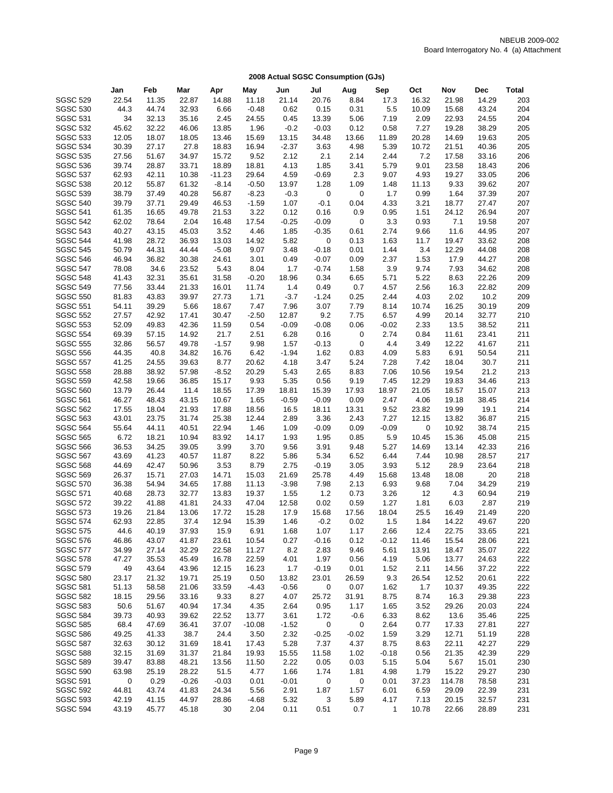|                 | Jan   | Feb   | Mar     | Apr     | May      | Jun     | Jul     | Aug     | Sep          | Oct   | Nov    | Dec   | Total |
|-----------------|-------|-------|---------|---------|----------|---------|---------|---------|--------------|-------|--------|-------|-------|
| <b>SGSC 529</b> | 22.54 | 11.35 | 22.87   | 14.88   | 11.18    | 21.14   | 20.76   | 8.84    | 17.3         | 16.32 | 21.98  | 14.29 | 203   |
| <b>SGSC 530</b> | 44.3  | 44.74 | 32.93   | 6.66    | $-0.48$  | 0.62    | 0.15    | 0.31    | 5.5          | 10.09 | 15.68  | 43.24 | 204   |
| <b>SGSC 531</b> | 34    | 32.13 | 35.16   | 2.45    | 24.55    | 0.45    | 13.39   | 5.06    | 7.19         | 2.09  | 22.93  | 24.55 | 204   |
| <b>SGSC 532</b> | 45.62 | 32.22 | 46.06   | 13.85   | 1.96     | $-0.2$  | $-0.03$ | 0.12    | 0.58         | 7.27  | 19.28  | 38.29 | 205   |
| <b>SGSC 533</b> | 12.05 | 18.07 | 18.05   | 13.46   | 15.69    | 13.15   | 34.48   | 13.66   | 11.89        | 20.28 | 14.69  | 19.63 | 205   |
| <b>SGSC 534</b> | 30.39 | 27.17 | 27.8    | 18.83   | 16.94    | $-2.37$ | 3.63    | 4.98    | 5.39         | 10.72 | 21.51  | 40.36 | 205   |
| <b>SGSC 535</b> | 27.56 | 51.67 | 34.97   | 15.72   | 9.52     | 2.12    | 2.1     | 2.14    | 2.44         | 7.2   | 17.58  | 33.16 | 206   |
| <b>SGSC 536</b> | 39.74 | 28.87 | 33.71   | 18.89   | 18.81    | 4.13    | 1.85    | 3.41    | 5.79         | 9.01  | 23.58  | 18.43 | 206   |
| <b>SGSC 537</b> | 62.93 | 42.11 | 10.38   | -11.23  | 29.64    | 4.59    | $-0.69$ | 2.3     | 9.07         | 4.93  | 19.27  | 33.05 | 206   |
| <b>SGSC 538</b> | 20.12 | 55.87 | 61.32   | $-8.14$ | $-0.50$  | 13.97   | 1.28    | 1.09    | 1.48         | 11.13 | 9.33   | 39.62 | 207   |
| <b>SGSC 539</b> | 38.79 | 37.49 | 40.28   | 56.87   | $-8.23$  | $-0.3$  | 0       | 0       | 1.7          | 0.99  | 1.64   | 37.39 | 207   |
| <b>SGSC 540</b> | 39.79 | 37.71 | 29.49   | 46.53   | $-1.59$  | 1.07    | $-0.1$  | 0.04    | 4.33         | 3.21  | 18.77  | 27.47 | 207   |
| <b>SGSC 541</b> | 61.35 | 16.65 | 49.78   | 21.53   | 3.22     | 0.12    | 0.16    | 0.9     | 0.95         | 1.51  | 24.12  | 26.94 | 207   |
| <b>SGSC 542</b> | 62.02 | 78.64 | 2.04    | 16.48   | 17.54    | $-0.25$ | $-0.09$ | 0       | 3.3          | 0.93  | 7.1    | 19.58 | 207   |
| <b>SGSC 543</b> | 40.27 | 43.15 | 45.03   | 3.52    | 4.46     | 1.85    | $-0.35$ | 0.61    | 2.74         | 9.66  | 11.6   | 44.95 | 207   |
| <b>SGSC 544</b> | 41.98 | 28.72 | 36.93   | 13.03   | 14.92    | 5.82    | 0       | 0.13    | 1.63         | 11.7  | 19.47  | 33.62 | 208   |
| <b>SGSC 545</b> | 50.79 | 44.31 | 44.44   | $-5.08$ | 9.07     | 3.48    | $-0.18$ | 0.01    | 1.44         | 3.4   | 12.29  | 44.08 | 208   |
| <b>SGSC 546</b> | 46.94 | 36.82 | 30.38   | 24.61   | 3.01     | 0.49    | $-0.07$ | 0.09    | 2.37         | 1.53  | 17.9   | 44.27 | 208   |
| <b>SGSC 547</b> | 78.08 | 34.6  | 23.52   | 5.43    | 8.04     | 1.7     | $-0.74$ | 1.58    | 3.9          | 9.74  | 7.93   | 34.62 | 208   |
| <b>SGSC 548</b> | 41.43 | 32.31 | 35.61   | 31.58   | $-0.20$  | 18.96   | 0.34    | 6.65    | 5.71         | 5.22  | 8.63   | 22.26 | 209   |
| <b>SGSC 549</b> | 77.56 | 33.44 | 21.33   | 16.01   | 11.74    | 1.4     | 0.49    | 0.7     | 4.57         | 2.56  | 16.3   | 22.82 | 209   |
| <b>SGSC 550</b> | 81.83 | 43.83 | 39.97   | 27.73   | 1.71     | $-3.7$  | $-1.24$ | 0.25    | 2.44         | 4.03  | 2.02   | 10.2  | 209   |
| <b>SGSC 551</b> | 54.11 | 39.29 | 5.66    | 18.67   | 7.47     | 7.96    | 3.07    | 7.79    | 8.14         | 10.74 | 16.25  | 30.19 | 209   |
| <b>SGSC 552</b> | 27.57 | 42.92 | 17.41   | 30.47   | $-2.50$  | 12.87   | 9.2     | 7.75    | 6.57         | 4.99  | 20.14  | 32.77 | 210   |
| <b>SGSC 553</b> | 52.09 | 49.83 | 42.36   | 11.59   | 0.54     | $-0.09$ | $-0.08$ | 0.06    | $-0.02$      | 2.33  | 13.5   | 38.52 | 211   |
| <b>SGSC 554</b> | 69.39 | 57.15 | 14.92   | 21.7    | 2.51     | 6.28    | 0.16    | 0       | 2.74         | 0.84  | 11.61  | 23.41 | 211   |
| <b>SGSC 555</b> | 32.86 | 56.57 | 49.78   | $-1.57$ | 9.98     | 1.57    | $-0.13$ | 0       | 4.4          | 3.49  | 12.22  | 41.67 | 211   |
| <b>SGSC 556</b> | 44.35 | 40.8  | 34.82   | 16.76   | 6.42     | $-1.94$ | 1.62    | 0.83    | 4.09         | 5.83  | 6.91   | 50.54 | 211   |
| <b>SGSC 557</b> | 41.25 | 24.55 | 39.63   | 8.77    | 20.62    | 4.18    | 3.47    | 5.24    | 7.28         | 7.42  | 18.04  | 30.7  | 211   |
| <b>SGSC 558</b> | 28.88 | 38.92 | 57.98   | $-8.52$ | 20.29    | 5.43    | 2.65    | 8.83    | 7.06         | 10.56 | 19.54  | 21.2  | 213   |
| <b>SGSC 559</b> | 42.58 | 19.66 | 36.85   | 15.17   | 9.93     | 5.35    | 0.56    | 9.19    | 7.45         | 12.29 | 19.83  | 34.46 | 213   |
| <b>SGSC 560</b> | 13.79 | 26.44 | 11.4    | 18.55   | 17.39    | 18.81   | 15.39   | 17.93   | 18.97        | 21.05 | 18.57  | 15.07 | 213   |
| <b>SGSC 561</b> | 46.27 | 48.43 | 43.15   | 10.67   | 1.65     | $-0.59$ | $-0.09$ | 0.09    | 2.47         | 4.06  | 19.18  | 38.45 | 214   |
| <b>SGSC 562</b> | 17.55 | 18.04 | 21.93   | 17.88   | 18.56    | 16.5    | 18.11   | 13.31   | 9.52         | 23.82 | 19.99  | 19.1  | 214   |
| <b>SGSC 563</b> | 43.01 | 23.75 | 31.74   | 25.38   | 12.44    | 2.89    | 3.36    | 2.43    | 7.27         | 12.15 | 13.82  | 36.87 | 215   |
| <b>SGSC 564</b> | 55.64 | 44.11 | 40.51   | 22.94   | 1.46     | 1.09    | $-0.09$ | 0.09    | $-0.09$      | 0     | 10.92  | 38.74 | 215   |
| <b>SGSC 565</b> | 6.72  | 18.21 | 10.94   | 83.92   | 14.17    | 1.93    | 1.95    | 0.85    | 5.9          | 10.45 | 15.36  | 45.08 | 215   |
| <b>SGSC 566</b> | 36.53 | 34.25 | 39.05   | 3.99    | 3.70     | 9.56    | 3.91    | 9.48    | 5.27         | 14.69 | 13.14  | 42.33 | 216   |
| <b>SGSC 567</b> | 43.69 | 41.23 | 40.57   | 11.87   | 8.22     | 5.86    | 5.34    | 6.52    | 6.44         | 7.44  | 10.98  | 28.57 | 217   |
| <b>SGSC 568</b> | 44.69 | 42.47 | 50.96   | 3.53    | 8.79     | 2.75    | $-0.19$ | 3.05    | 3.93         | 5.12  | 28.9   | 23.64 | 218   |
| <b>SGSC 569</b> | 26.37 | 15.71 | 27.03   | 14.71   | 15.03    | 21.69   | 25.78   | 4.49    | 15.68        | 13.48 | 18.08  | 20    | 218   |
| <b>SGSC 570</b> | 36.38 | 54.94 | 34.65   | 17.88   | 11.13    | $-3.98$ | 7.98    | 2.13    | 6.93         | 9.68  | 7.04   | 34.29 | 219   |
| <b>SGSC 571</b> | 40.68 | 28.73 | 32.77   | 13.83   | 19.37    | 1.55    | 1.2     | 0.73    | 3.26         | 12    | 4.3    | 60.94 | 219   |
| <b>SGSC 572</b> | 39.22 | 41.88 | 41.81   | 24.33   | 47.04    | 12.58   | 0.02    | 0.59    | 1.27         | 1.81  | 6.03   | 2.87  | 219   |
| <b>SGSC 573</b> | 19.26 | 21.84 | 13.06   | 17.72   | 15.28    | 17.9    | 15.68   | 17.56   | 18.04        | 25.5  | 16.49  | 21.49 | 220   |
| <b>SGSC 574</b> | 62.93 | 22.85 | 37.4    | 12.94   | 15.39    | 1.46    | $-0.2$  | 0.02    | 1.5          | 1.84  | 14.22  | 49.67 | 220   |
| <b>SGSC 575</b> | 44.6  | 40.19 | 37.93   | 15.9    | 6.91     | 1.68    | 1.07    | 1.17    | 2.66         | 12.4  | 22.75  | 33.65 | 221   |
| <b>SGSC 576</b> | 46.86 | 43.07 | 41.87   | 23.61   | 10.54    | 0.27    | $-0.16$ | 0.12    | $-0.12$      | 11.46 | 15.54  | 28.06 | 221   |
| <b>SGSC 577</b> | 34.99 | 27.14 | 32.29   | 22.58   | 11.27    | 8.2     | 2.83    | 9.46    | 5.61         | 13.91 | 18.47  | 35.07 | 222   |
| <b>SGSC 578</b> | 47.27 | 35.53 | 45.49   | 16.78   | 22.59    | 4.01    | 1.97    | 0.56    | 4.19         | 5.06  | 13.77  | 24.63 | 222   |
| <b>SGSC 579</b> | 49    | 43.64 | 43.96   | 12.15   | 16.23    | 1.7     | $-0.19$ | 0.01    | 1.52         | 2.11  | 14.56  | 37.22 | 222   |
| <b>SGSC 580</b> | 23.17 | 21.32 | 19.71   | 25.19   | 0.50     | 13.82   | 23.01   | 26.59   | 9.3          | 26.54 | 12.52  | 20.61 | 222   |
| <b>SGSC 581</b> | 51.13 | 58.58 | 21.06   | 33.59   | -4.43    | $-0.56$ | 0       | 0.07    | 1.62         | 1.7   | 10.37  | 49.35 | 222   |
| <b>SGSC 582</b> | 18.15 | 29.56 | 33.16   | 9.33    | 8.27     | 4.07    | 25.72   | 31.91   | 8.75         | 8.74  | 16.3   | 29.38 | 223   |
| <b>SGSC 583</b> | 50.6  | 51.67 | 40.94   | 17.34   | 4.35     | 2.64    | 0.95    | 1.17    | 1.65         | 3.52  | 29.26  | 20.03 | 224   |
| <b>SGSC 584</b> | 39.73 | 40.93 | 39.62   | 22.52   | 13.77    | 3.61    | 1.72    | $-0.6$  | 6.33         | 8.62  | 13.6   | 35.46 | 225   |
| <b>SGSC 585</b> | 68.4  | 47.69 | 36.41   | 37.07   | $-10.08$ | $-1.52$ | 0       | 0       | 2.64         | 0.77  | 17.33  | 27.81 | 227   |
| <b>SGSC 586</b> | 49.25 | 41.33 | 38.7    | 24.4    | 3.50     | 2.32    | $-0.25$ | $-0.02$ | 1.59         | 3.29  | 12.71  | 51.19 | 228   |
| <b>SGSC 587</b> | 32.63 | 30.12 | 31.69   | 18.41   | 17.43    | 5.28    | 7.37    | 4.37    | 8.75         | 8.63  | 22.11  | 42.27 | 229   |
| <b>SGSC 588</b> | 32.15 | 31.69 | 31.37   | 21.84   | 19.93    | 15.55   | 11.58   | 1.02    | $-0.18$      | 0.56  | 21.35  | 42.39 | 229   |
| <b>SGSC 589</b> | 39.47 | 83.88 | 48.21   | 13.56   | 11.50    | 2.22    | 0.05    | 0.03    | 5.15         | 5.04  | 5.67   | 15.01 | 230   |
| <b>SGSC 590</b> | 63.98 | 25.19 | 28.22   | 51.5    | 4.77     | 1.66    | 1.74    | 1.81    | 4.98         | 1.79  | 15.22  | 29.27 | 230   |
| <b>SGSC 591</b> | 0     | 0.29  | $-0.26$ | $-0.03$ | 0.01     | $-0.01$ | 0       | 0       | 0.01         | 37.23 | 114.78 | 78.58 | 231   |
| <b>SGSC 592</b> | 44.81 | 43.74 | 41.83   | 24.34   | 5.56     | 2.91    | 1.87    | 1.57    | 6.01         | 6.59  | 29.09  | 22.39 | 231   |
| <b>SGSC 593</b> | 42.19 | 41.15 | 44.97   | 28.86   | $-4.68$  | 5.32    | 3       | 5.89    | 4.17         | 7.13  | 20.15  | 32.57 | 231   |
| <b>SGSC 594</b> | 43.19 | 45.77 | 45.18   | 30      | 2.04     | 0.11    | 0.51    | 0.7     | $\mathbf{1}$ | 10.78 | 22.66  | 28.89 | 231   |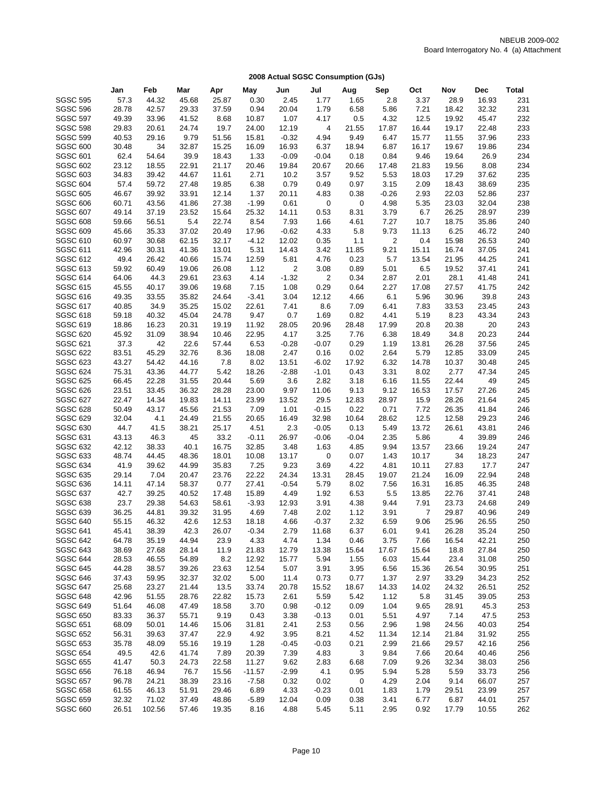|                 | Jan   | Feb    | Mar   | Apr   | May      | Jun     | Jul            | Aug     | Sep     | Oct   | Nov            | Dec   | <b>Total</b> |
|-----------------|-------|--------|-------|-------|----------|---------|----------------|---------|---------|-------|----------------|-------|--------------|
| <b>SGSC 595</b> | 57.3  | 44.32  | 45.68 | 25.87 | 0.30     | 2.45    | 1.77           | 1.65    | 2.8     | 3.37  | 28.9           | 16.93 | 231          |
| <b>SGSC 596</b> | 28.78 | 42.57  | 29.33 | 37.59 | 0.94     | 20.04   | 1.79           | 6.58    | 5.86    | 7.21  | 18.42          | 32.32 | 231          |
| <b>SGSC 597</b> | 49.39 | 33.96  | 41.52 | 8.68  | 10.87    | 1.07    | 4.17           | 0.5     | 4.32    | 12.5  | 19.92          | 45.47 | 232          |
| <b>SGSC 598</b> | 29.83 | 20.61  | 24.74 | 19.7  | 24.00    | 12.19   | 4              | 21.55   | 17.87   | 16.44 | 19.17          | 22.48 | 233          |
| <b>SGSC 599</b> | 40.53 | 29.16  | 9.79  | 51.56 | 15.81    | $-0.32$ | 4.94           | 9.49    | 6.47    | 15.77 | 11.55          | 37.96 | 233          |
| <b>SGSC 600</b> | 30.48 | 34     | 32.87 | 15.25 | 16.09    | 16.93   | 6.37           | 18.94   | 6.87    | 16.17 | 19.67          | 19.86 | 234          |
| <b>SGSC 601</b> | 62.4  | 54.64  | 39.9  | 18.43 | 1.33     | $-0.09$ | $-0.04$        | 0.18    | 0.84    | 9.46  | 19.64          | 26.9  | 234          |
| <b>SGSC 602</b> | 23.12 | 18.55  | 22.91 | 21.17 | 20.46    | 19.84   | 20.67          | 20.66   | 17.48   | 21.83 | 19.56          | 8.08  | 234          |
| <b>SGSC 603</b> | 34.83 | 39.42  | 44.67 | 11.61 | 2.71     | 10.2    | 3.57           | 9.52    | 5.53    | 18.03 | 17.29          | 37.62 | 235          |
| <b>SGSC 604</b> | 57.4  | 59.72  | 27.48 | 19.85 | 6.38     | 0.79    | 0.49           | 0.97    | 3.15    | 2.09  | 18.43          | 38.69 | 235          |
| <b>SGSC 605</b> | 46.67 | 39.92  | 33.91 | 12.14 | 1.37     | 20.11   | 4.83           | 0.38    | $-0.26$ | 2.93  | 22.03          | 52.86 | 237          |
| <b>SGSC 606</b> | 60.71 | 43.56  | 41.86 | 27.38 | $-1.99$  | 0.61    | 0              | 0       | 4.98    | 5.35  | 23.03          | 32.04 | 238          |
| <b>SGSC 607</b> | 49.14 | 37.19  | 23.52 | 15.64 | 25.32    | 14.11   | 0.53           | 8.31    | 3.79    | 6.7   | 26.25          | 28.97 | 239          |
| <b>SGSC 608</b> | 59.66 | 56.51  | 5.4   | 22.74 | 8.54     | 7.93    | 1.66           | 4.61    | 7.27    | 10.7  | 18.75          | 35.86 | 240          |
| <b>SGSC 609</b> | 45.66 | 35.33  | 37.02 | 20.49 | 17.96    | $-0.62$ | 4.33           | 5.8     | 9.73    | 11.13 | 6.25           | 46.72 | 240          |
| <b>SGSC 610</b> | 60.97 | 30.68  | 62.15 | 32.17 | $-4.12$  | 12.02   | 0.35           | 1.1     | 2       | 0.4   | 15.98          | 26.53 | 240          |
| SGSC 611        | 42.96 | 30.31  | 41.36 | 13.01 | 5.31     | 14.43   | 3.42           | 11.85   | 9.21    | 15.11 | 16.74          | 37.05 | 241          |
| <b>SGSC 612</b> | 49.4  | 26.42  | 40.66 | 15.74 | 12.59    | 5.81    | 4.76           | 0.23    | 5.7     | 13.54 | 21.95          | 44.25 | 241          |
| <b>SGSC 613</b> | 59.92 | 60.49  | 19.06 | 26.08 | 1.12     | 2       | 3.08           | 0.89    | 5.01    | 6.5   | 19.52          | 37.41 | 241          |
| <b>SGSC 614</b> | 64.06 | 44.3   | 29.61 | 23.63 | 4.14     | $-1.32$ | $\overline{2}$ | 0.34    | 2.87    | 2.01  | 28.1           | 41.48 | 241          |
| <b>SGSC 615</b> | 45.55 | 40.17  | 39.06 | 19.68 | 7.15     | 1.08    | 0.29           | 0.64    | 2.27    | 17.08 | 27.57          | 41.75 | 242          |
| <b>SGSC 616</b> | 49.35 | 33.55  | 35.82 | 24.64 | $-3.41$  | 3.04    | 12.12          | 4.66    | 6.1     | 5.96  | 30.96          | 39.8  | 243          |
| <b>SGSC 617</b> | 40.85 | 34.9   | 35.25 | 15.02 | 22.61    | 7.41    | 8.6            | 7.09    | 6.41    | 7.83  | 33.53          | 23.45 | 243          |
| <b>SGSC 618</b> | 59.18 | 40.32  | 45.04 | 24.78 | 9.47     | 0.7     | 1.69           | 0.82    | 4.41    | 5.19  | 8.23           | 43.34 | 243          |
| <b>SGSC 619</b> | 18.86 | 16.23  | 20.31 | 19.19 | 11.92    | 28.05   | 20.96          | 28.48   | 17.99   | 20.8  | 20.38          | 20    | 243          |
| <b>SGSC 620</b> | 45.92 | 31.09  | 38.94 | 10.46 | 22.95    | 4.17    | 3.25           | 7.76    | 6.38    | 18.49 | 34.8           | 20.23 | 244          |
| SGSC 621        | 37.3  | 42     | 22.6  | 57.44 | 6.53     | $-0.28$ | $-0.07$        | 0.29    | 1.19    | 13.81 | 26.28          | 37.56 | 245          |
| <b>SGSC 622</b> | 83.51 | 45.29  | 32.76 | 8.36  | 18.08    | 2.47    | 0.16           | 0.02    | 2.64    | 5.79  | 12.85          | 33.09 | 245          |
| <b>SGSC 623</b> | 43.27 | 54.42  | 44.16 | 7.8   | 8.02     | 13.51   | $-6.02$        | 17.92   | 6.32    | 14.78 | 10.37          | 30.48 | 245          |
| <b>SGSC 624</b> | 75.31 | 43.36  | 44.77 | 5.42  | 18.26    | $-2.88$ | $-1.01$        | 0.43    | 3.31    | 8.02  | 2.77           | 47.34 | 245          |
| <b>SGSC 625</b> | 66.45 | 22.28  | 31.55 | 20.44 | 5.69     | 3.6     | 2.82           | 3.18    | 6.16    | 11.55 | 22.44          | 49    | 245          |
| <b>SGSC 626</b> | 23.51 | 33.45  | 36.32 | 28.28 | 23.00    | 9.97    | 11.06          | 9.13    | 9.12    | 16.53 | 17.57          | 27.26 | 245          |
| <b>SGSC 627</b> | 22.47 | 14.34  | 19.83 | 14.11 | 23.99    | 13.52   | 29.5           | 12.83   | 28.97   | 15.9  | 28.26          | 21.64 | 245          |
| <b>SGSC 628</b> | 50.49 | 43.17  | 45.56 | 21.53 | 7.09     | 1.01    | $-0.15$        | 0.22    | 0.71    | 7.72  | 26.35          | 41.84 | 246          |
| <b>SGSC 629</b> | 32.04 | 4.1    | 24.49 | 21.55 | 20.65    | 16.49   | 32.98          | 10.64   | 28.62   | 12.5  | 12.58          | 29.23 | 246          |
| <b>SGSC 630</b> | 44.7  | 41.5   | 38.21 | 25.17 | 4.51     | 2.3     | $-0.05$        | 0.13    | 5.49    | 13.72 | 26.61          | 43.81 | 246          |
| SGSC 631        | 43.13 | 46.3   | 45    | 33.2  | $-0.11$  | 26.97   | $-0.06$        | $-0.04$ | 2.35    | 5.86  | $\overline{4}$ | 39.89 | 246          |
| <b>SGSC 632</b> | 42.12 | 38.33  | 40.1  | 16.75 | 32.85    | 3.48    | 1.63           | 4.85    | 9.94    | 13.57 | 23.66          | 19.24 | 247          |
| <b>SGSC 633</b> | 48.74 | 44.45  | 48.36 | 18.01 | 10.08    | 13.17   | 0              | 0.07    | 1.43    | 10.17 | 34             | 18.23 | 247          |
| <b>SGSC 634</b> | 41.9  | 39.62  | 44.99 | 35.83 | 7.25     | 9.23    | 3.69           | 4.22    | 4.81    | 10.11 | 27.83          | 17.7  | 247          |
| <b>SGSC 635</b> | 29.14 | 7.04   | 20.47 | 23.76 | 22.22    | 24.34   | 13.31          | 28.45   | 19.07   | 21.24 | 16.09          | 22.94 | 248          |
| <b>SGSC 636</b> | 14.11 | 47.14  | 58.37 | 0.77  | 27.41    | $-0.54$ | 5.79           | 8.02    | 7.56    | 16.31 | 16.85          | 46.35 | 248          |
| SGSC 637        | 42.7  | 39.25  | 40.52 | 17.48 | 15.89    | 4.49    | 1.92           | 6.53    | 5.5     | 13.85 | 22.76          | 37.41 | 248          |
| <b>SGSC 638</b> | 23.7  | 29.38  | 54.63 | 58.61 | $-3.93$  | 12.93   | 3.91           | 4.38    | 9.44    | 7.91  | 23.73          | 24.68 | 249          |
| <b>SGSC 639</b> | 36.25 | 44.81  | 39.32 | 31.95 | 4.69     | 7.48    | 2.02           | 1.12    | 3.91    | 7     | 29.87          | 40.96 | 249          |
| <b>SGSC 640</b> | 55.15 | 46.32  | 42.6  | 12.53 | 18.18    | 4.66    | $-0.37$        | 2.32    | 6.59    | 9.06  | 25.96          | 26.55 | 250          |
| <b>SGSC 641</b> | 45.41 | 38.39  | 42.3  | 26.07 | $-0.34$  | 2.79    | 11.68          | 6.37    | 6.01    | 9.41  | 26.28          | 35.24 | 250          |
| <b>SGSC 642</b> | 64.78 | 35.19  | 44.94 | 23.9  | 4.33     | 4.74    | 1.34           | 0.46    | 3.75    | 7.66  | 16.54          | 42.21 | 250          |
| <b>SGSC 643</b> | 38.69 | 27.68  | 28.14 | 11.9  | 21.83    | 12.79   | 13.38          | 15.64   | 17.67   | 15.64 | 18.8           | 27.84 | 250          |
| <b>SGSC 644</b> | 28.53 | 46.55  | 54.89 | 8.2   | 12.92    | 15.77   | 5.94           | 1.55    | 6.03    | 15.44 | 23.4           | 31.08 | 250          |
| <b>SGSC 645</b> | 44.28 | 38.57  | 39.26 | 23.63 | 12.54    | 5.07    | 3.91           | 3.95    | 6.56    | 15.36 | 26.54          | 30.95 | 251          |
| <b>SGSC 646</b> | 37.43 | 59.95  | 32.37 | 32.02 | 5.00     | 11.4    | 0.73           | 0.77    | 1.37    | 2.97  | 33.29          | 34.23 | 252          |
| <b>SGSC 647</b> | 25.68 | 23.27  | 21.44 | 13.5  | 33.74    | 20.78   | 15.52          | 18.67   | 14.33   | 14.02 | 24.32          | 26.51 | 252          |
| <b>SGSC 648</b> | 42.96 | 51.55  | 28.76 | 22.82 | 15.73    | 2.61    | 5.59           | 5.42    | 1.12    | 5.8   | 31.45          | 39.05 | 253          |
| <b>SGSC 649</b> | 51.64 | 46.08  | 47.49 | 18.58 | 3.70     | 0.98    | $-0.12$        | 0.09    | 1.04    | 9.65  | 28.91          | 45.3  | 253          |
| <b>SGSC 650</b> | 83.33 | 36.37  | 55.71 | 9.19  | 0.43     | 3.38    | $-0.13$        | 0.01    | 5.51    | 4.97  | 7.14           | 47.5  | 253          |
| <b>SGSC 651</b> | 68.09 | 50.01  | 14.46 | 15.06 | 31.81    | 2.41    | 2.53           | 0.56    | 2.96    | 1.98  | 24.56          | 40.03 | 254          |
| <b>SGSC 652</b> | 56.31 | 39.63  | 37.47 | 22.9  | 4.92     | 3.95    | 8.21           | 4.52    | 11.34   | 12.14 | 21.84          | 31.92 | 255          |
| <b>SGSC 653</b> | 35.78 | 48.09  | 55.16 | 19.19 | 1.28     | $-0.45$ | $-0.03$        | 0.21    | 2.99    | 21.66 | 29.57          | 42.16 | 256          |
| <b>SGSC 654</b> | 49.5  | 42.6   | 41.74 | 7.89  | 20.39    | 7.39    | 4.83           | 3       | 9.84    | 7.66  | 20.64          | 40.46 | 256          |
| <b>SGSC 655</b> | 41.47 | 50.3   | 24.73 | 22.58 | 11.27    | 9.62    | 2.83           | 6.68    | 7.09    | 9.26  | 32.34          | 38.03 | 256          |
| <b>SGSC 656</b> | 76.18 | 46.94  | 76.7  | 15.56 | $-11.57$ | $-2.99$ | 4.1            | 0.95    | 5.94    | 5.28  | 5.59           | 33.73 | 256          |
| <b>SGSC 657</b> | 96.78 | 24.21  | 38.39 | 23.16 | $-7.58$  | 0.32    | 0.02           | 0       | 4.29    | 2.04  | 9.14           | 66.07 | 257          |
| <b>SGSC 658</b> | 61.55 | 46.13  | 51.91 | 29.46 | 6.89     | 4.33    | $-0.23$        | 0.01    | 1.83    | 1.79  | 29.51          | 23.99 | 257          |
| <b>SGSC 659</b> | 32.32 | 71.02  | 37.49 | 48.86 | $-5.89$  | 12.04   | 0.09           | 0.38    | 3.41    | 6.77  | 6.87           | 44.01 | 257          |
| <b>SGSC 660</b> | 26.51 | 102.56 | 57.46 | 19.35 | 8.16     | 4.88    | 5.45           | 5.11    | 2.95    | 0.92  | 17.79          | 10.55 | 262          |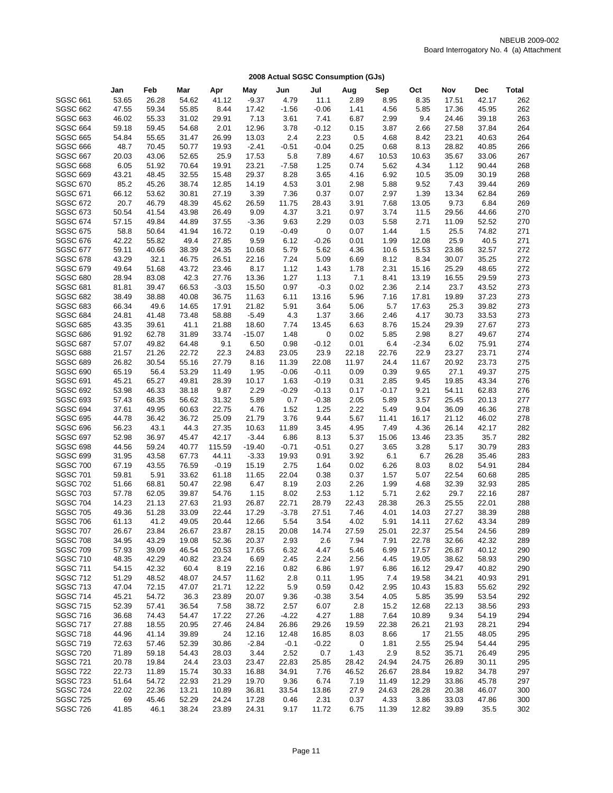|                                    | Jan            | Feb           | Mar            | Apr            | May            | Jun           | Jul          | Aug           | Sep           | Oct            | Nov            | Dec            | <b>Total</b> |
|------------------------------------|----------------|---------------|----------------|----------------|----------------|---------------|--------------|---------------|---------------|----------------|----------------|----------------|--------------|
| <b>SGSC 661</b>                    | 53.65          | 26.28         | 54.62          | 41.12          | $-9.37$        | 4.79          | 11.1         | 2.89          | 8.95          | 8.35           | 17.51          | 42.17          | 262          |
| <b>SGSC 662</b>                    | 47.55          | 59.34         | 55.85          | 8.44           | 17.42          | $-1.56$       | $-0.06$      | 1.41          | 4.56          | 5.85           | 17.36          | 45.95          | 262          |
| <b>SGSC 663</b>                    | 46.02          | 55.33         | 31.02          | 29.91          | 7.13           | 3.61          | 7.41         | 6.87          | 2.99          | 9.4            | 24.46          | 39.18          | 263          |
| <b>SGSC 664</b>                    | 59.18          | 59.45         | 54.68          | 2.01           | 12.96          | 3.78          | $-0.12$      | 0.15          | 3.87          | 2.66           | 27.58          | 37.84          | 264          |
| <b>SGSC 665</b>                    | 54.84          | 55.65         | 31.47          | 26.99          | 13.03          | 2.4           | 2.23         | 0.5           | 4.68          | 8.42           | 23.21          | 40.63          | 264          |
| <b>SGSC 666</b>                    | 48.7           | 70.45         | 50.77          | 19.93          | $-2.41$        | $-0.51$       | $-0.04$      | 0.25          | 0.68          | 8.13           | 28.82          | 40.85          | 266          |
| <b>SGSC 667</b>                    | 20.03          | 43.06         | 52.65          | 25.9           | 17.53          | 5.8           | 7.89         | 4.67          | 10.53         | 10.63          | 35.67          | 33.06          | 267          |
| <b>SGSC 668</b>                    | 6.05           | 51.92         | 70.64          | 19.91          | 23.21          | $-7.58$       | 1.25         | 0.74          | 5.62          | 4.34           | 1.12           | 90.44          | 268          |
| <b>SGSC 669</b>                    | 43.21          | 48.45         | 32.55          | 15.48          | 29.37          | 8.28          | 3.65         | 4.16          | 6.92          | 10.5           | 35.09          | 30.19          | 268          |
| <b>SGSC 670</b>                    | 85.2           | 45.26         | 38.74          | 12.85          | 14.19          | 4.53          | 3.01         | 2.98          | 5.88          | 9.52           | 7.43           | 39.44          | 269          |
| SGSC 671                           | 66.12          | 53.62         | 30.81          | 27.19          | 3.39           | 7.36          | 0.37         | 0.07          | 2.97          | 1.39           | 13.34          | 62.84          | 269          |
| <b>SGSC 672</b>                    | 20.7           | 46.79         | 48.39          | 45.62          | 26.59          | 11.75         | 28.43        | 3.91          | 7.68          | 13.05          | 9.73           | 6.84           | 269          |
| <b>SGSC 673</b>                    | 50.54          | 41.54         | 43.98          | 26.49          | 9.09           | 4.37          | 3.21         | 0.97          | 3.74          | 11.5           | 29.56          | 44.66          | 270          |
| <b>SGSC 674</b>                    | 57.15          | 49.84         | 44.89          | 37.55          | $-3.36$        | 9.63          | 2.29         | 0.03          | 5.58          | 2.71           | 11.09          | 52.52          | 270          |
| <b>SGSC 675</b>                    | 58.8           | 50.64         | 41.94          | 16.72          | 0.19           | $-0.49$       | 0            | 0.07          | 1.44          | 1.5            | 25.5           | 74.82          | 271          |
| <b>SGSC 676</b>                    | 42.22          | 55.82         | 49.4           | 27.85          | 9.59           | 6.12          | $-0.26$      | 0.01          | 1.99          | 12.08          | 25.9           | 40.5           | 271          |
| <b>SGSC 677</b>                    | 59.11          | 40.66         | 38.39          | 24.35          | 10.68          | 5.79          | 5.62         | 4.36          | 10.6          | 15.53          | 23.86          | 32.57          | 272          |
| <b>SGSC 678</b>                    | 43.29          | 32.1          | 46.75          | 26.51          | 22.16          | 7.24          | 5.09         | 6.69          | 8.12          | 8.34           | 30.07          | 35.25          | 272          |
| <b>SGSC 679</b>                    | 49.64          | 51.68         | 43.72          | 23.46          | 8.17           | 1.12          | 1.43         | 1.78          | 2.31          | 15.16          | 25.29          | 48.65          | 272          |
| <b>SGSC 680</b>                    | 28.94          | 83.08         | 42.3           | 27.76          | 13.36          | 1.27          | 1.13         | 7.1           | 8.41          | 13.19          | 16.55          | 29.59          | 273          |
| <b>SGSC 681</b>                    | 81.81          | 39.47         | 66.53          | $-3.03$        | 15.50          | 0.97          | $-0.3$       | 0.02          | 2.36          | 2.14           | 23.7           | 43.52          | 273          |
| <b>SGSC 682</b>                    | 38.49          | 38.88         | 40.08          | 36.75          | 11.63          | 6.11          | 13.16        | 5.96          | 7.16          | 17.81          | 19.89          | 37.23          | 273          |
| <b>SGSC 683</b>                    | 66.34          | 49.6          | 14.65          | 17.91          | 21.82          | 5.91          | 3.64         | 5.06          | 5.7           | 17.63          | 25.3           | 39.82          | 273          |
| <b>SGSC 684</b>                    | 24.81          | 41.48         | 73.48          | 58.88          | $-5.49$        | 4.3           | 1.37         | 3.66          | 2.46          | 4.17           | 30.73          | 33.53          | 273          |
| <b>SGSC 685</b>                    | 43.35          | 39.61         | 41.1           | 21.88          | 18.60          | 7.74          | 13.45        | 6.63          | 8.76          | 15.24          | 29.39          | 27.67          | 273          |
| <b>SGSC 686</b>                    | 91.92          | 62.78         | 31.89          | 33.74          | $-15.07$       | 1.48          | 0            | 0.02          | 5.85          | 2.98           | 8.27           | 49.67          | 274          |
| <b>SGSC 687</b>                    | 57.07          | 49.82         | 64.48          | 9.1            | 6.50           | 0.98          | $-0.12$      | 0.01          | 6.4           | $-2.34$        | 6.02           | 75.91          | 274          |
| <b>SGSC 688</b>                    | 21.57          | 21.26         | 22.72          | 22.3           | 24.83          | 23.05         | 23.9         | 22.18         | 22.76         | 22.9           | 23.27          | 23.71          | 274          |
| <b>SGSC 689</b>                    | 26.82          | 30.54         | 55.16          | 27.79          | 8.16           | 11.39         | 22.08        | 11.97         | 24.4          | 11.67          | 20.92          | 23.73          | 275          |
| <b>SGSC 690</b>                    | 65.19          | 56.4          | 53.29          | 11.49          | 1.95           | $-0.06$       | $-0.11$      | 0.09          | 0.39          | 9.65           | 27.1           | 49.37          | 275          |
| <b>SGSC 691</b>                    | 45.21          | 65.27         | 49.81          | 28.39          | 10.17          | 1.63          | $-0.19$      | 0.31          | 2.85          | 9.45           | 19.85          | 43.34          | 276          |
| <b>SGSC 692</b>                    | 53.98          | 46.33         | 38.18          | 9.87           | 2.29           | $-0.29$       | $-0.13$      | 0.17          | $-0.17$       | 9.21           | 54.11          | 62.83          | 276          |
| <b>SGSC 693</b>                    | 57.43          | 68.35         | 56.62          | 31.32          | 5.89           | 0.7           | $-0.38$      | 2.05          | 5.89          | 3.57           | 25.45          | 20.13          | 277          |
| <b>SGSC 694</b>                    | 37.61          | 49.95         | 60.63          | 22.75          | 4.76           | 1.52          | 1.25         | 2.22          | 5.49          | 9.04           | 36.09          | 46.36          | 278          |
| <b>SGSC 695</b>                    | 44.78          | 36.42         | 36.72          | 25.09          | 21.79          | 3.76          | 9.44         | 5.67          | 11.41         | 16.17          | 21.12          | 46.02          | 278          |
| <b>SGSC 696</b>                    | 56.23          | 43.1          | 44.3           | 27.35          | 10.63          | 11.89         | 3.45         | 4.95          | 7.49          | 4.36           | 26.14          | 42.17          | 282          |
| <b>SGSC 697</b>                    | 52.98          | 36.97         | 45.47          | 42.17          | $-3.44$        | 6.86          | 8.13         | 5.37          | 15.06         | 13.46          | 23.35          | 35.7           | 282          |
| <b>SGSC 698</b>                    | 44.56          | 59.24         | 40.77          | 115.59         | $-19.40$       | $-0.71$       | $-0.51$      | 0.27          | 3.65          | 3.28           | 5.17           | 30.79          | 283          |
| <b>SGSC 699</b>                    | 31.95          | 43.58         | 67.73          | 44.11          | $-3.33$        | 19.93         | 0.91         | 3.92          | 6.1           | 6.7            | 26.28          | 35.46          | 283          |
| <b>SGSC 700</b>                    | 67.19          | 43.55         | 76.59          | $-0.19$        | 15.19          | 2.75          | 1.64         | 0.02          | 6.26          | 8.03           | 8.02           | 54.91          | 284          |
| <b>SGSC 701</b>                    | 59.81          | 5.91          | 33.62          | 61.18          | 11.65          | 22.04         | 0.38         | 0.37          | 1.57          | 5.07           | 22.54          | 60.68          | 285          |
| <b>SGSC 702</b>                    | 51.66          | 68.81         | 50.47          | 22.98          | 6.47           | 8.19          | 2.03         | 2.26          | 1.99          | 4.68           | 32.39          | 32.93          | 285          |
| <b>SGSC 703</b>                    | 57.78          | 62.05         | 39.87          | 54.76          | 1.15           | 8.02          | 2.53         | 1.12          | 5.71          | 2.62           | 29.7           | 22.16          | 287          |
| <b>SGSC 704</b>                    | 14.23          | 21.13         | 27.63          | 21.93          | 26.87          | 22.71         | 28.79        | 22.43         | 28.38         | 26.3           | 25.55          | 22.01          | 288          |
| <b>SGSC 705</b>                    | 49.36          | 51.28         | 33.09          | 22.44          | 17.29          | $-3.78$       | 27.51        | 7.46          | 4.01          | 14.03          | 27.27          | 38.39          | 288          |
| <b>SGSC 706</b><br><b>SGSC 707</b> | 61.13<br>26.67 | 41.2<br>23.84 | 49.05<br>26.67 | 20.44<br>23.87 | 12.66<br>28.15 | 5.54<br>20.08 | 3.54         | 4.02<br>27.59 | 5.91<br>25.01 | 14.11<br>22.37 | 27.62<br>25.54 | 43.34<br>24.56 | 289<br>289   |
| <b>SGSC 708</b>                    | 34.95          | 43.29         |                | 52.36          | 20.37          | 2.93          | 14.74<br>2.6 | 7.94          | 7.91          | 22.78          | 32.66          | 42.32          | 289          |
| <b>SGSC 709</b>                    | 57.93          | 39.09         | 19.08<br>46.54 | 20.53          | 17.65          | 6.32          | 4.47         | 5.46          | 6.99          | 17.57          | 26.87          | 40.12          | 290          |
| <b>SGSC 710</b>                    | 48.35          | 42.29         | 40.82          | 23.24          | 6.69           | 2.45          | 2.24         | 2.56          | 4.45          | 19.05          | 38.62          | 58.93          | 290          |
| <b>SGSC 711</b>                    | 54.15          | 42.32         | 60.4           | 8.19           | 22.16          | 0.82          | 6.86         | 1.97          | 6.86          | 16.12          | 29.47          | 40.82          | 290          |
| <b>SGSC 712</b>                    | 51.29          | 48.52         | 48.07          | 24.57          | 11.62          | 2.8           | 0.11         | 1.95          | 7.4           | 19.58          | 34.21          | 40.93          | 291          |
| <b>SGSC 713</b>                    | 47.04          | 72.15         | 47.07          | 21.71          | 12.22          | 5.9           | 0.59         | 0.42          | 2.95          | 10.43          | 15.83          | 55.62          | 292          |
| <b>SGSC 714</b>                    | 45.21          | 54.72         | 36.3           | 23.89          | 20.07          | 9.36          | $-0.38$      | 3.54          | 4.05          | 5.85           | 35.99          | 53.54          | 292          |
| <b>SGSC 715</b>                    | 52.39          | 57.41         | 36.54          | 7.58           | 38.72          | 2.57          | 6.07         | 2.8           | 15.2          | 12.68          | 22.13          | 38.56          | 293          |
| <b>SGSC 716</b>                    | 36.68          | 74.43         | 54.47          | 17.22          | 27.26          | $-4.22$       | 4.27         | 1.88          | 7.64          | 10.89          | 9.34           | 54.19          | 294          |
| <b>SGSC 717</b>                    | 27.88          | 18.55         | 20.95          | 27.46          | 24.84          | 26.86         | 29.26        | 19.59         | 22.38         | 26.21          | 21.93          | 28.21          | 294          |
| <b>SGSC 718</b>                    | 44.96          | 41.14         | 39.89          | 24             | 12.16          | 12.48         | 16.85        | 8.03          | 8.66          | 17             | 21.55          | 48.05          | 295          |
| <b>SGSC 719</b>                    | 72.63          | 57.46         | 52.39          | 30.86          | $-2.84$        | $-0.1$        | $-0.22$      | 0             | 1.81          | 2.55           | 25.94          | 54.44          | 295          |
| <b>SGSC 720</b>                    | 71.89          | 59.18         | 54.43          | 28.03          | 3.44           | 2.52          | 0.7          | 1.43          | 2.9           | 8.52           | 35.71          | 26.49          | 295          |
| <b>SGSC 721</b>                    | 20.78          | 19.84         | 24.4           | 23.03          | 23.47          | 22.83         | 25.85        | 28.42         | 24.94         | 24.75          | 26.89          | 30.11          | 295          |
| <b>SGSC 722</b>                    | 22.73          | 11.89         | 15.74          | 30.33          | 16.88          | 34.91         | 7.76         | 46.52         | 26.67         | 28.84          | 19.82          | 34.78          | 297          |
| <b>SGSC 723</b>                    | 51.64          | 54.72         | 22.93          | 21.29          | 19.70          | 9.36          | 6.74         | 7.19          | 11.49         | 12.29          | 33.86          | 45.78          | 297          |
| <b>SGSC 724</b>                    | 22.02          | 22.36         | 13.21          | 10.89          | 36.81          | 33.54         | 13.86        | 27.9          | 24.63         | 28.28          | 20.38          | 46.07          | 300          |
| <b>SGSC 725</b>                    | 69             | 45.46         | 52.29          | 24.24          | 17.28          | 0.46          | 2.31         | 0.37          | 4.33          | 3.86           | 33.03          | 47.86          | 300          |
| <b>SGSC 726</b>                    | 41.85          | 46.1          | 38.24          | 23.89          | 24.31          | 9.17          | 11.72        | 6.75          | 11.39         | 12.82          | 39.89          | 35.5           | 302          |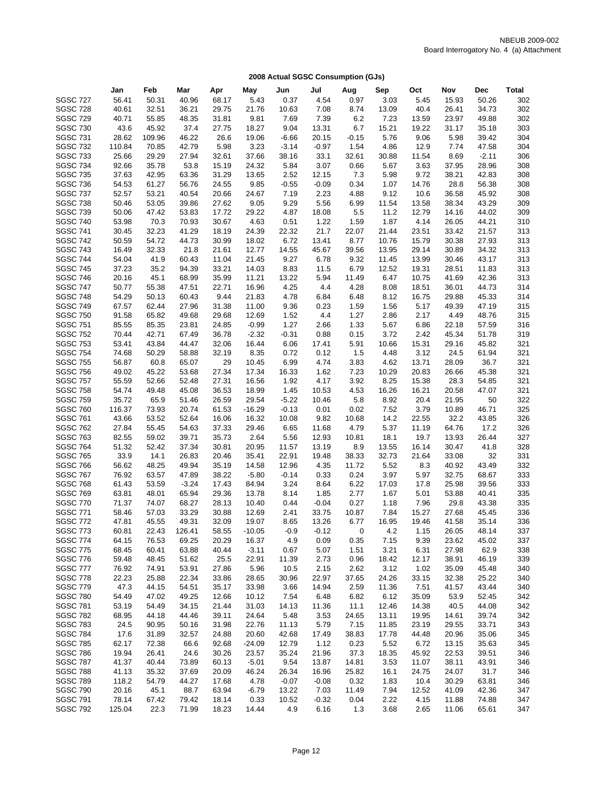|                                    | Jan             | Feb           | Mar            | Apr            | May           | Jun          | Jul             | Aug                      | Sep          | Oct          | Nov            | Dec            | Total      |
|------------------------------------|-----------------|---------------|----------------|----------------|---------------|--------------|-----------------|--------------------------|--------------|--------------|----------------|----------------|------------|
| <b>SGSC 727</b>                    | 56.41           | 50.31         | 40.96          | 68.17          | 5.43          | 0.37         | 4.54            | 0.97                     | 3.03         | 5.45         | 15.93          | 50.26          | 302        |
|                                    | 40.61           | 32.51         | 36.21          | 29.75          | 21.76         | 10.63        | 7.08            | 8.74                     | 13.09        | 40.4         | 26.41          | 34.73          | 302        |
| <b>SGSC 728</b>                    |                 |               |                |                |               |              |                 |                          |              |              |                |                |            |
| <b>SGSC 729</b>                    | 40.71           | 55.85         | 48.35          | 31.81          | 9.81          | 7.69         | 7.39            | 6.2                      | 7.23         | 13.59        | 23.97          | 49.88          | 302        |
| <b>SGSC 730</b>                    | 43.6            | 45.92         | 37.4           | 27.75          | 18.27         | 9.04         | 13.31           | 6.7                      | 15.21        | 19.22        | 31.17          | 35.18          | 303        |
| <b>SGSC 731</b>                    | 28.62           | 109.96        | 46.22          | 26.6           | 19.06         | $-6.66$      | 20.15           | $-0.15$                  | 5.76         | 9.06         | 5.98           | 39.42          | 304        |
| <b>SGSC 732</b>                    | 110.84          | 70.85         | 42.79          | 5.98           | 3.23          | $-3.14$      | $-0.97$         | 1.54                     | 4.86         | 12.9         | 7.74           | 47.58          | 304        |
| <b>SGSC 733</b>                    | 25.66           | 29.29         | 27.94          | 32.61          | 37.66         | 38.16        | 33.1            | 32.61                    | 30.88        | 11.54        | 8.69           | $-2.11$        | 306        |
| <b>SGSC 734</b>                    | 92.66           | 35.78         | 53.8           | 15.19          | 24.32         | 5.84         | 3.07            | 0.66                     | 5.67         | 3.63         | 37.95          | 28.96          | 308        |
| <b>SGSC 735</b>                    | 37.63           | 42.95         | 63.36          | 31.29          | 13.65         | 2.52         | 12.15           | 7.3                      | 5.98         | 9.72         | 38.21          | 42.83          | 308        |
| <b>SGSC 736</b>                    | 54.53           | 61.27         | 56.76          | 24.55          | 9.85          | $-0.55$      | $-0.09$         | 0.34                     | 1.07         | 14.76        | 28.8           | 56.38          | 308        |
| <b>SGSC 737</b>                    | 52.57           | 53.21         | 40.54          | 20.66          | 24.67         | 7.19         | 2.23            | 4.88                     | 9.12         | 10.6         | 36.58          | 45.92          | 308        |
| <b>SGSC 738</b>                    | 50.46           | 53.05         | 39.86          | 27.62          | 9.05          | 9.29         | 5.56            | 6.99                     | 11.54        | 13.58        | 38.34          | 43.29          | 309        |
| <b>SGSC 739</b>                    | 50.06           | 47.42         | 53.83          | 17.72          | 29.22         | 4.87         | 18.08           | 5.5                      | 11.2         | 12.79        | 14.16          | 44.02          | 309        |
| <b>SGSC 740</b>                    | 53.98           | 70.3          | 70.93          | 30.67          | 4.63          | 0.51         | 1.22            | 1.59                     | 1.87         | 4.14         | 26.05          | 44.21          | 310        |
| <b>SGSC 741</b>                    | 30.45           | 32.23         | 41.29          | 18.19          | 24.39         | 22.32        | 21.7            | 22.07                    | 21.44        | 23.51        | 33.42          | 21.57          | 313        |
| <b>SGSC 742</b>                    | 50.59           | 54.72         | 44.73          | 30.99          | 18.02         | 6.72         | 13.41           | 8.77                     | 10.76        | 15.79        | 30.38          | 27.93          | 313        |
| <b>SGSC 743</b>                    | 16.49           | 32.33         | 21.8           | 21.61          | 12.77         | 14.55        | 45.67           | 39.56                    | 13.95        | 29.14        | 30.89          | 34.32          | 313        |
| <b>SGSC 744</b>                    | 54.04           | 41.9          | 60.43          | 11.04          | 21.45         | 9.27         | 6.78            | 9.32                     | 11.45        | 13.99        | 30.46          | 43.17          | 313        |
| <b>SGSC 745</b>                    | 37.23           | 35.2          | 94.39          | 33.21          | 14.03         | 8.83         | 11.5            | 6.79                     | 12.52        | 19.31        | 28.51          | 11.83          | 313        |
| <b>SGSC 746</b>                    | 20.16           | 45.1          | 68.99          | 35.99          | 11.21         | 13.22        | 5.94            | 11.49                    | 6.47         | 10.75        | 41.69          | 42.36          | 313        |
| <b>SGSC 747</b>                    | 50.77           | 55.38         | 47.51          | 22.71          | 16.96         | 4.25         | 4.4             | 4.28                     | 8.08         | 18.51        | 36.01          | 44.73          | 314        |
| <b>SGSC 748</b>                    | 54.29           | 50.13         | 60.43          | 9.44           | 21.83         | 4.78         | 6.84            | 6.48                     | 8.12         | 16.75        | 29.88          | 45.33          | 314        |
| <b>SGSC 749</b>                    | 67.57           | 62.44         | 27.96          | 31.38          | 11.00         | 9.36         | 0.23            | 1.59                     | 1.56         | 5.17         | 49.39          | 47.19          | 315        |
| <b>SGSC 750</b>                    | 91.58           | 65.82         | 49.68          | 29.68          | 12.69         | 1.52         | 4.4             | 1.27                     | 2.86         | 2.17         | 4.49           | 48.76          | 315        |
| <b>SGSC 751</b>                    | 85.55           | 85.35         | 23.81          | 24.85          | $-0.99$       | 1.27         | 2.66            | 1.33                     | 5.67         | 6.86         | 22.18          | 57.59          | 316        |
| <b>SGSC 752</b>                    | 70.44           | 42.71         | 67.49          | 36.78          | $-2.32$       | $-0.31$      | 0.88            | 0.15                     | 3.72         | 2.42         | 45.34          | 51.78          | 319        |
| <b>SGSC 753</b>                    | 53.41           | 43.84         | 44.47          | 32.06          | 16.44         | 6.06         | 17.41           | 5.91                     | 10.66        | 15.31        | 29.16          | 45.82          | 321        |
| <b>SGSC 754</b>                    | 74.68           | 50.29         | 58.88          | 32.19          | 8.35          | 0.72         | 0.12            | 1.5                      | 4.48         | 3.12         | 24.5           | 61.94          | 321        |
| <b>SGSC 755</b>                    | 56.87           | 60.8          | 65.07          | 29             | 10.45         | 6.99         | 4.74            | 3.83                     | 4.62         | 13.71        | 28.09          | 36.7           | 321        |
| <b>SGSC 756</b>                    | 49.02           | 45.22         | 53.68          | 27.34          | 17.34         | 16.33        | 1.62            | 7.23                     | 10.29        | 20.83        | 26.66          | 45.38          | 321        |
| <b>SGSC 757</b>                    | 55.59           | 52.66         | 52.48          | 27.31          | 16.56         | 1.92         | 4.17            | 3.92                     | 8.25         | 15.38        | 28.3           | 54.85          | 321        |
| <b>SGSC 758</b>                    | 54.74           | 49.48         | 45.08          | 36.53          | 18.99         | 1.45         | 10.53           | 4.53                     | 16.26        | 16.21        | 20.58          | 47.07          | 321        |
| <b>SGSC 759</b>                    | 35.72           | 65.9          | 51.46          | 26.59          | 29.54         | $-5.22$      | 10.46           | 5.8                      | 8.92         | 20.4         | 21.95          | 50             | 322        |
| <b>SGSC 760</b>                    | 116.37          | 73.93         | 20.74          | 61.53          | $-16.29$      | $-0.13$      | 0.01            | 0.02                     | 7.52         | 3.79         | 10.89          | 46.71          | 325        |
| <b>SGSC 761</b>                    | 43.66           | 53.52         | 52.64          | 16.06          | 16.32         | 10.08        | 9.82            | 10.68                    | 14.2         | 22.55        | 32.2           | 43.85          | 326        |
| <b>SGSC 762</b>                    | 27.84           | 55.45         | 54.63          | 37.33          | 29.46         | 6.65         | 11.68           | 4.79                     | 5.37         | 11.19        | 64.76          | 17.2           | 326        |
| <b>SGSC 763</b>                    | 82.55           | 59.02         | 39.71          | 35.73          | 2.64          | 5.56         | 12.93           | 10.81                    | 18.1         | 19.7         | 13.93          | 26.44          | 327        |
| <b>SGSC 764</b>                    | 51.32           | 52.42         | 37.34          | 30.81          | 20.95         | 11.57        | 13.19           | 8.9                      | 13.55        | 16.14        | 30.47          | 41.8           | 328        |
| <b>SGSC 765</b>                    | 33.9            | 14.1          | 26.83          | 20.46          | 35.41         | 22.91        | 19.48           | 38.33                    | 32.73        | 21.64        | 33.08          | 32             | 331        |
| <b>SGSC 766</b>                    | 56.62           | 48.25         | 49.94          | 35.19          | 14.58         | 12.96        | 4.35            | 11.72                    | 5.52         | 8.3          | 40.92          | 43.49          | 332        |
| <b>SGSC 767</b>                    | 76.92           | 63.57         | 47.89          | 38.22          | $-5.80$       | $-0.14$      | 0.33            | 0.24                     | 3.97         | 5.97         | 32.75          | 68.67          | 333        |
| <b>SGSC 768</b>                    | 61.43           | 53.59         | $-3.24$        | 17.43          | 84.94         | 3.24         | 8.64            | 6.22                     | 17.03        | 17.8         | 25.98          | 39.56          | 333        |
| <b>SGSC 769</b>                    | 63.81           | 48.01         | 65.94          | 29.36          | 13.78         | 8.14         | 1.85            | 2.77                     | 1.67         | 5.01         | 53.88          | 40.41          | 335        |
| <b>SGSC 770</b>                    | 71.37           | 74.07         | 68.27          | 28.13          | 10.40         | 0.44         | $-0.04$         | 0.27                     | 1.18         | 7.96         | 29.8           | 43.38          | 335        |
| <b>SGSC 771</b>                    | 58.46           | 57.03         | 33.29          | 30.88          | 12.69         | 2.41         | 33.75           | 10.87                    | 7.84         | 15.27        | 27.68          | 45.45          | 336        |
| <b>SGSC 772</b>                    | 47.81           | 45.55         | 49.31          | 32.09          | 19.07         | 8.65         | 13.26           | 6.77                     | 16.95        | 19.46        | 41.58          | 35.14          | 336        |
| <b>SGSC 773</b>                    | 60.81           | 22.43         | 126.41         | 58.55          | $-10.05$      | $-0.9$       | $-0.12$         | $\overline{\phantom{0}}$ | 4.2          | 1.15         | 26.05          | 48.14          | 337        |
| <b>SGSC 774</b>                    | 64.15           | 76.53         | 69.25          | 20.29          | 16.37         | 4.9          | 0.09            | 0.35                     | 7.15         | 9.39         | 23.62          | 45.02          | 337        |
| <b>SGSC 775</b>                    | 68.45           | 60.41         | 63.88          | 40.44          | $-3.11$       | 0.67         | 5.07            | 1.51                     | 3.21         | 6.31         | 27.98          | 62.9           | 338        |
| <b>SGSC 776</b>                    | 59.48           | 48.45         | 51.62          | 25.5           | 22.91         | 11.39        | 2.73            | 0.96                     | 18.42        | 12.17        | 38.91          | 46.19          | 339        |
| <b>SGSC 777</b>                    | 76.92           | 74.91         | 53.91          | 27.86          | 5.96          | 10.5         | 2.15            | 2.62                     | 3.12         | 1.02         | 35.09          | 45.48          | 340        |
| <b>SGSC 778</b>                    | 22.23           | 25.88         | 22.34          | 33.86          | 28.65         | 30.96        | 22.97           | 37.65                    | 24.26        | 33.15        | 32.38          | 25.22          | 340        |
| <b>SGSC 779</b>                    | 47.3            | 44.15         | 54.51          | 35.17          | 33.98         | 3.66         | 14.94           | 2.59                     | 11.36        | 7.51         | 41.57          | 43.44          | 340        |
| <b>SGSC 780</b>                    | 54.49           | 47.02         | 49.25          | 12.66          | 10.12         | 7.54         | 6.48            | 6.82                     | 6.12         | 35.09        | 53.9           | 52.45          | 342        |
| <b>SGSC 781</b>                    | 53.19           | 54.49         | 34.15          | 21.44          | 31.03         | 14.13        | 11.36           | 11.1                     | 12.46        | 14.38        | 40.5           | 44.08          | 342        |
| <b>SGSC 782</b>                    | 68.95           | 44.18         | 44.46          | 39.11          | 24.64         | 5.48         | 3.53            | 24.65                    | 13.11        | 19.95        | 14.61          | 39.74          | 342        |
| <b>SGSC 783</b>                    | 24.5            | 90.95         | 50.16          | 31.98          | 22.76         | 11.13        | 5.79            | 7.15                     | 11.85        | 23.19        | 29.55          | 33.71          | 343        |
| <b>SGSC 784</b>                    | 17.6            | 31.89         | 32.57          | 24.88          | 20.60         | 42.68        | 17.49           | 38.83                    | 17.78        | 44.48        | 20.96          | 35.06          | 345        |
| <b>SGSC 785</b>                    | 62.17           | 72.38         | 66.6           | 92.68          | $-24.09$      | 12.79        | 1.12            | 0.23                     | 5.52         | 6.72         | 13.15          | 35.63          | 345        |
| <b>SGSC 786</b>                    | 19.94           | 26.41         | 24.6           | 30.26          | 23.57         | 35.24        | 21.96           | 37.3                     | 18.35        | 45.92        | 22.53          | 39.51          | 346        |
| <b>SGSC 787</b>                    | 41.37           | 40.44         | 73.89          |                | $-5.01$       | 9.54         | 13.87           | 14.81                    | 3.53         | 11.07        | 38.11          | 43.91          | 346        |
| <b>SGSC 788</b>                    |                 |               |                | 60.13          |               | 26.34        |                 | 25.82                    |              |              |                | 31.7           | 346        |
|                                    | 41.13           | 35.32         | 37.69          | 20.09          | 46.24         |              | 16.96           |                          | 16.1         | 24.75        | 24.07          |                |            |
| <b>SGSC 789</b>                    | 118.2           | 54.79         | 44.27          | 17.68          | 4.78          | $-0.07$      | $-0.08$         | 0.32                     | 1.83         | 10.4         | 30.29          | 63.81          | 346        |
| <b>SGSC 790</b><br><b>SGSC 791</b> | 20.16           | 45.1          | 88.7           | 63.94          | $-6.79$       | 13.22        | 7.03            | 11.49                    | 7.94         | 12.52        | 41.09          | 42.36          | 347        |
| <b>SGSC 792</b>                    | 78.14<br>125.04 | 67.42<br>22.3 | 79.42<br>71.99 | 18.14<br>18.23 | 0.33<br>14.44 | 10.52<br>4.9 | $-0.32$<br>6.16 | 0.04<br>1.3              | 2.22<br>3.68 | 4.15<br>2.65 | 11.88<br>11.06 | 74.88<br>65.61 | 347<br>347 |
|                                    |                 |               |                |                |               |              |                 |                          |              |              |                |                |            |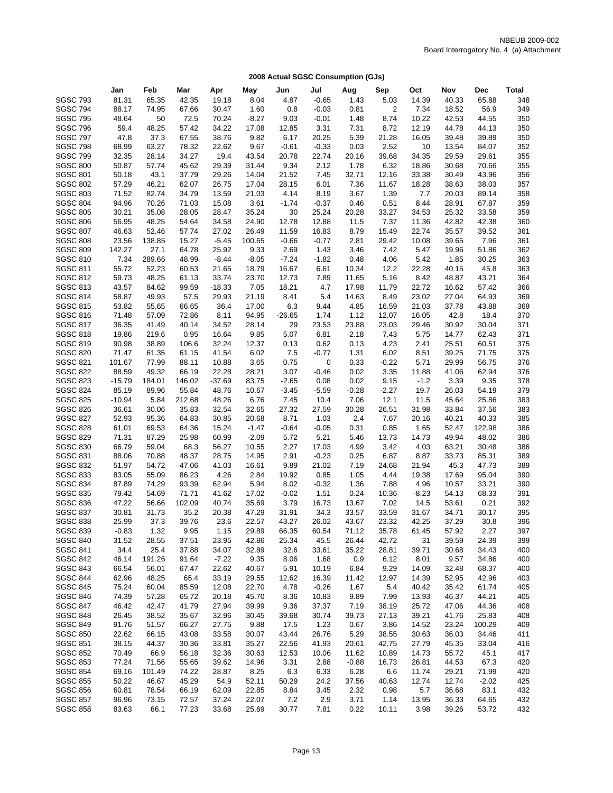| <b>SGSC 793</b><br>81.31<br>65.35<br>42.35<br>1.43<br>65.88<br>19.18<br>8.04<br>4.87<br>$-0.65$<br>5.03<br>14.39<br>40.33<br>348<br>56.9<br>349<br><b>SGSC 794</b><br>88.17<br>74.95<br>67.66<br>30.47<br>1.60<br>0.8<br>$-0.03$<br>0.81<br>2<br>7.34<br>18.52<br>350<br><b>SGSC 795</b><br>48.64<br>50<br>72.5<br>70.24<br>$-8.27$<br>9.03<br>$-0.01$<br>1.48<br>8.74<br>10.22<br>42.53<br>44.55<br><b>SGSC 796</b><br>59.4<br>48.25<br>57.42<br>34.22<br>17.08<br>12.85<br>3.31<br>7.31<br>8.72<br>12.19<br>44.78<br>44.13<br>350<br>350<br><b>SGSC 797</b><br>47.8<br>37.3<br>67.55<br>38.76<br>9.82<br>6.17<br>20.25<br>5.39<br>21.28<br>39.89<br>16.05<br>39.48<br><b>SGSC 798</b><br>68.99<br>63.27<br>78.32<br>22.62<br>9.67<br>$-0.61$<br>$-0.33$<br>0.03<br>2.52<br>10<br>13.54<br>84.07<br>352<br><b>SGSC 799</b><br>355<br>32.35<br>28.14<br>34.27<br>19.4<br>43.54<br>20.78<br>22.74<br>20.16<br>39.68<br>34.35<br>29.59<br>29.61<br><b>SGSC 800</b><br>355<br>50.87<br>57.74<br>45.62<br>29.39<br>31.44<br>9.34<br>2.12<br>1.78<br>6.32<br>18.86<br>30.68<br>70.66<br><b>SGSC 801</b><br>356<br>50.18<br>43.1<br>37.79<br>29.26<br>14.04<br>21.52<br>7.45<br>32.71<br>12.16<br>33.38<br>30.49<br>43.96<br><b>SGSC 802</b><br>357<br>57.29<br>46.21<br>62.07<br>26.75<br>17.04<br>28.15<br>6.01<br>7.36<br>11.67<br>18.28<br>38.63<br>38.03<br><b>SGSC 803</b><br>3.67<br>358<br>71.52<br>82.74<br>34.79<br>13.59<br>21.03<br>4.14<br>8.19<br>1.39<br>7.7<br>20.03<br>89.14<br><b>SGSC 804</b><br>359<br>94.96<br>70.26<br>71.03<br>15.08<br>3.61<br>$-1.74$<br>$-0.37$<br>0.46<br>0.51<br>8.44<br>28.91<br>67.87<br><b>SGSC 805</b><br>30.21<br>35.08<br>35.24<br>30<br>20.28<br>33.27<br>34.53<br>33.58<br>359<br>28.05<br>28.47<br>25.24<br>25.32<br><b>SGSC 806</b><br>56.95<br>48.25<br>54.64<br>34.58<br>24.90<br>12.78<br>12.88<br>11.5<br>7.37<br>42.82<br>42.38<br>360<br>11.36<br><b>SGSC 807</b><br>361<br>46.63<br>52.46<br>57.74<br>27.02<br>26.49<br>11.59<br>16.83<br>8.79<br>15.49<br>22.74<br>35.57<br>39.52<br><b>SGSC 808</b><br>361<br>23.56<br>138.85<br>15.27<br>$-5.45$<br>100.65<br>$-0.66$<br>$-0.77$<br>2.81<br>29.42<br>10.08<br>39.65<br>7.96<br><b>SGSC 809</b><br>362<br>142.27<br>27.1<br>64.78<br>25.92<br>9.33<br>2.69<br>1.43<br>3.46<br>7.42<br>5.47<br>19.96<br>51.86<br>363<br><b>SGSC 810</b><br>7.34<br>289.66<br>48.99<br>$-8.44$<br>$-8.05$<br>$-7.24$<br>$-1.82$<br>0.48<br>4.06<br>5.42<br>1.85<br>30.25<br>363<br><b>SGSC 811</b><br>55.72<br>52.23<br>60.53<br>21.65<br>18.79<br>16.67<br>6.61<br>10.34<br>12.2<br>22.28<br>40.15<br>45.8<br><b>SGSC 812</b><br>43.21<br>364<br>59.73<br>48.25<br>61.13<br>33.74<br>23.70<br>12.73<br>7.89<br>11.65<br>5.16<br>8.42<br>48.87<br>366<br><b>SGSC 813</b><br>43.57<br>84.62<br>99.59<br>$-18.33$<br>7.05<br>18.21<br>4.7<br>22.72<br>57.42<br>17.98<br>11.79<br>16.62<br><b>SGSC 814</b><br>58.87<br>49.93<br>57.5<br>29.93<br>21.19<br>8.41<br>5.4<br>14.63<br>8.49<br>23.02<br>64.93<br>369<br>27.04<br><b>SGSC 815</b><br>53.82<br>55.65<br>66.65<br>36.4<br>17.00<br>6.3<br>9.44<br>4.85<br>16.59<br>21.03<br>37.78<br>43.88<br>369<br><b>SGSC 816</b><br>1.12<br>370<br>71.48<br>57.09<br>72.86<br>8.11<br>94.95<br>$-26.65$<br>1.74<br>12.07<br>16.05<br>42.8<br>18.4<br><b>SGSC 817</b><br>23.88<br>30.04<br>371<br>36.35<br>41.49<br>40.14<br>34.52<br>28.14<br>29<br>23.53<br>23.03<br>29.46<br>30.92<br>371<br><b>SGSC 818</b><br>19.86<br>219.6<br>0.95<br>16.64<br>9.85<br>5.07<br>6.81<br>2.18<br>7.43<br>5.75<br>14.77<br>62.43<br>375<br><b>SGSC 819</b><br>90.98<br>38.89<br>106.6<br>32.24<br>12.37<br>0.13<br>0.62<br>0.13<br>4.23<br>2.41<br>25.51<br>60.51<br>375<br><b>SGSC 820</b><br>71.47<br>61.35<br>61.15<br>41.54<br>6.02<br>7.5<br>$-0.77$<br>1.31<br>6.02<br>8.51<br>39.25<br>71.75<br><b>SGSC 821</b><br>0.75<br>$\mathbf 0$<br>56.75<br>376<br>101.67<br>77.99<br>88.11<br>10.88<br>3.65<br>0.33<br>$-0.22$<br>5.71<br>29.99<br>376<br><b>SGSC 822</b><br>88.59<br>49.32<br>66.19<br>28.21<br>3.07<br>0.02<br>3.35<br>11.88<br>41.06<br>62.94<br>22.28<br>$-0.46$<br><b>SGSC 823</b><br>$-15.79$<br>184.01<br>146.02<br>$-37.69$<br>83.75<br>$-2.65$<br>0.08<br>0.02<br>9.15<br>$-1.2$<br>3.39<br>9.35<br>378<br><b>SGSC 824</b><br>379<br>85.19<br>89.96<br>55.84<br>48.76<br>10.67<br>$-3.45$<br>$-5.59$<br>$-0.28$<br>$-2.27$<br>19.7<br>26.03<br>54.19<br><b>SGSC 825</b><br>5.84<br>212.68<br>7.06<br>12.1<br>25.86<br>383<br>$-10.94$<br>48.26<br>6.76<br>7.45<br>10.4<br>11.5<br>45.64<br><b>SGSC 826</b><br>27.32<br>383<br>36.61<br>30.06<br>35.83<br>32.54<br>32.65<br>27.59<br>30.28<br>26.51<br>31.98<br>33.84<br>37.56<br>385<br><b>SGSC 827</b><br>52.93<br>95.36<br>64.83<br>30.85<br>20.68<br>8.71<br>1.03<br>2.4<br>7.67<br>20.16<br>40.33<br>40.21<br><b>SGSC 828</b><br>0.31<br>122.98<br>386<br>61.01<br>69.53<br>64.36<br>15.24<br>$-1.47$<br>$-0.64$<br>$-0.05$<br>0.85<br>1.65<br>52.47<br><b>SGSC 829</b><br>386<br>71.31<br>87.29<br>25.98<br>60.99<br>$-2.09$<br>5.72<br>5.21<br>5.46<br>13.73<br>14.73<br>49.94<br>48.02<br><b>SGSC 830</b><br>386<br>66.79<br>59.04<br>68.3<br>56.27<br>10.55<br>2.27<br>17.03<br>4.99<br>3.42<br>4.03<br>30.48<br>63.21<br><b>SGSC 831</b><br>88.06<br>48.37<br>28.75<br>14.95<br>2.91<br>$-0.23$<br>0.25<br>6.87<br>8.87<br>33.73<br>85.31<br>389<br>70.88<br>389<br><b>SGSC 832</b><br>51.97<br>54.72<br>47.06<br>41.03<br>16.61<br>9.89<br>21.02<br>7.19<br>24.68<br>21.94<br>45.3<br>47.73<br><b>SGSC 833</b><br>95.04<br>390<br>83.05<br>55.09<br>86.23<br>4.26<br>2.84<br>19.92<br>0.85<br>1.05<br>4.44<br>19.38<br>17.69<br><b>SGSC 834</b><br>1.36<br>33.21<br>390<br>87.89<br>74.29<br>93.39<br>62.94<br>5.94<br>8.02<br>$-0.32$<br>7.88<br>4.96<br>10.57<br><b>SGSC 835</b><br>391<br>79.42<br>54.69<br>71.71<br>17.02<br>$-0.02$<br>1.51<br>0.24<br>10.36<br>$-8.23$<br>54.13<br>68.33<br>41.62<br>392<br><b>SGSC 836</b><br>47.22<br>56.66<br>102.09<br>40.74<br>35.69<br>3.79<br>16.73<br>13.67<br>7.02<br>14.5<br>53.61<br>0.21<br><b>SGSC 837</b><br>35.2<br>395<br>30.81<br>31.73<br>20.38<br>47.29<br>31.91<br>34.3<br>33.57<br>33.59<br>31.67<br>34.71<br>30.17<br><b>SGSC 838</b><br>37.3<br>39.76<br>22.57<br>43.27<br>26.02<br>43.67<br>23.32<br>42.25<br>396<br>25.99<br>23.6<br>37.29<br>30.8<br>9.95<br>397<br><b>SGSC 839</b><br>$-0.83$<br>1.32<br>29.89<br>66.35<br>60.54<br>35.78<br>57.92<br>2.27<br>1.15<br>71.12<br>61.45<br><b>SGSC 840</b><br>24.39<br>399<br>31.52<br>28.55<br>37.51<br>23.95<br>42.86<br>25.34<br>45.5<br>26.44<br>42.72<br>31<br>39.59<br><b>SGSC 841</b><br>34.4<br>25.4<br>37.88<br>34.07<br>32.89<br>32.6<br>33.61<br>35.22<br>28.81<br>39.71<br>30.68<br>34.43<br>400<br><b>SGSC 842</b><br>46.14<br>191.26<br>91.64<br>$-7.22$<br>9.35<br>8.06<br>1.68<br>0.9<br>6.12<br>8.01<br>9.57<br>34.86<br>400<br><b>SGSC 843</b><br>66.54<br>56.01<br>67.47<br>22.62<br>40.67<br>5.91<br>10.19<br>6.84<br>9.29<br>14.09<br>32.48<br>68.37<br>400<br><b>SGSC 844</b><br>62.96<br>48.25<br>65.4<br>33.19<br>29.55<br>12.97<br>14.39<br>52.95<br>42.96<br>403<br>12.62<br>16.39<br>11.42<br><b>SGSC 845</b><br>75.24<br>60.04<br>85.59<br>12.08<br>22.70<br>4.78<br>$-0.26$<br>1.67<br>5.4<br>40.42<br>35.42<br>61.74<br>405<br><b>SGSC 846</b><br>74.39<br>57.28<br>65.72<br>20.18<br>45.70<br>8.36<br>10.83<br>9.89<br>7.99<br>13.93<br>46.37<br>44.21<br>405<br><b>SGSC 847</b><br>42.47<br>39.99<br>37.37<br>7.19<br>25.72<br>44.36<br>408<br>46.42<br>41.79<br>27.94<br>9.36<br>38.19<br>47.06<br><b>SGSC 848</b><br>32.96<br>30.45<br>39.68<br>39.21<br>41.76<br>25.83<br>408<br>26.45<br>38.52<br>35.67<br>30.74<br>39.73<br>27.13<br><b>SGSC 849</b><br>91.76<br>51.57<br>66.27<br>27.75<br>9.88<br>17.5<br>1.23<br>0.67<br>3.86<br>14.52<br>23.24<br>100.29<br>409<br><b>SGSC 850</b><br>5.29<br>22.62<br>66.15<br>43.08<br>33.58<br>30.07<br>43.44<br>26.76<br>38.55<br>30.63<br>36.03<br>34.46<br>411<br><b>SGSC 851</b><br>38.15<br>44.37<br>30.36<br>33.81<br>35.27<br>22.56<br>41.93<br>20.61<br>42.75<br>45.35<br>33.04<br>416<br>27.79<br><b>SGSC 852</b><br>70.49<br>66.9<br>32.36<br>30.63<br>12.53<br>11.62<br>10.89<br>14.73<br>55.72<br>45.1<br>417<br>56.18<br>10.06<br><b>SGSC 853</b><br>77.24<br>71.56<br>55.65<br>39.62<br>14.96<br>3.31<br>2.88<br>$-0.88$<br>44.53<br>67.3<br>420<br>16.73<br>26.81<br><b>SGSC 854</b><br>69.16<br>74.22<br>6.3<br>6.33<br>6.28<br>6.6<br>11.74<br>29.21<br>71.99<br>420<br>101.49<br>28.87<br>8.25<br><b>SGSC 855</b><br>50.22<br>45.29<br>54.9<br>37.56<br>$-2.02$<br>425<br>46.67<br>52.11<br>50.29<br>24.2<br>40.63<br>12.74<br>12.74<br><b>SGSC 856</b><br>60.81<br>78.54<br>8.84<br>2.32<br>5.7<br>36.68<br>83.1<br>432<br>66.19<br>62.09<br>22.85<br>3.45<br>0.98<br><b>SGSC 857</b><br>96.96<br>73.15<br>72.57<br>37.24<br>22.07<br>7.2<br>2.9<br>3.71<br>1.14<br>13.95<br>36.33<br>64.65<br>432 |                 | Jan   | Feb  | Mar   | Apr   | May   | Jun   | Jul  | Aug  | Sep   | Oct  | Nov   | Dec   | Total |
|----------------------------------------------------------------------------------------------------------------------------------------------------------------------------------------------------------------------------------------------------------------------------------------------------------------------------------------------------------------------------------------------------------------------------------------------------------------------------------------------------------------------------------------------------------------------------------------------------------------------------------------------------------------------------------------------------------------------------------------------------------------------------------------------------------------------------------------------------------------------------------------------------------------------------------------------------------------------------------------------------------------------------------------------------------------------------------------------------------------------------------------------------------------------------------------------------------------------------------------------------------------------------------------------------------------------------------------------------------------------------------------------------------------------------------------------------------------------------------------------------------------------------------------------------------------------------------------------------------------------------------------------------------------------------------------------------------------------------------------------------------------------------------------------------------------------------------------------------------------------------------------------------------------------------------------------------------------------------------------------------------------------------------------------------------------------------------------------------------------------------------------------------------------------------------------------------------------------------------------------------------------------------------------------------------------------------------------------------------------------------------------------------------------------------------------------------------------------------------------------------------------------------------------------------------------------------------------------------------------------------------------------------------------------------------------------------------------------------------------------------------------------------------------------------------------------------------------------------------------------------------------------------------------------------------------------------------------------------------------------------------------------------------------------------------------------------------------------------------------------------------------------------------------------------------------------------------------------------------------------------------------------------------------------------------------------------------------------------------------------------------------------------------------------------------------------------------------------------------------------------------------------------------------------------------------------------------------------------------------------------------------------------------------------------------------------------------------------------------------------------------------------------------------------------------------------------------------------------------------------------------------------------------------------------------------------------------------------------------------------------------------------------------------------------------------------------------------------------------------------------------------------------------------------------------------------------------------------------------------------------------------------------------------------------------------------------------------------------------------------------------------------------------------------------------------------------------------------------------------------------------------------------------------------------------------------------------------------------------------------------------------------------------------------------------------------------------------------------------------------------------------------------------------------------------------------------------------------------------------------------------------------------------------------------------------------------------------------------------------------------------------------------------------------------------------------------------------------------------------------------------------------------------------------------------------------------------------------------------------------------------------------------------------------------------------------------------------------------------------------------------------------------------------------------------------------------------------------------------------------------------------------------------------------------------------------------------------------------------------------------------------------------------------------------------------------------------------------------------------------------------------------------------------------------------------------------------------------------------------------------------------------------------------------------------------------------------------------------------------------------------------------------------------------------------------------------------------------------------------------------------------------------------------------------------------------------------------------------------------------------------------------------------------------------------------------------------------------------------------------------------------------------------------------------------------------------------------------------------------------------------------------------------------------------------------------------------------------------------------------------------------------------------------------------------------------------------------------------------------------------------------------------------------------------------------------------------------------------------------------------------------------------------------------------------------------------------------------------------------------------------------------------------------------------------------------------------------------------------------------------------------------------------------------------------------------------------------------------------------------------------------------------------------------------------------------------------------------------------------------------------------------------------------------------------------------------------------------------------------------------------------------------------------------------------------------------------------------------------------------------------------------------------------------------------------------------------------------------------------------------------------------------------------------------------------------------------------------------------------------------------------------------------------------------------------------------------------------------------------------------------------------------------------------------------------------------------------------------------------------------------------------------------------------------------------------------------------------------------------------------------------------------------------------------------------------------------------------------------------------------------------------------------------------------------------------------------------------------------------------------------------------------------------------------------------------------------------------------------------------------------------------------------------------------------------------------------------------------------------------------------------------------------------------------------------------------------------------------------------------------------------------------------------------|-----------------|-------|------|-------|-------|-------|-------|------|------|-------|------|-------|-------|-------|
|                                                                                                                                                                                                                                                                                                                                                                                                                                                                                                                                                                                                                                                                                                                                                                                                                                                                                                                                                                                                                                                                                                                                                                                                                                                                                                                                                                                                                                                                                                                                                                                                                                                                                                                                                                                                                                                                                                                                                                                                                                                                                                                                                                                                                                                                                                                                                                                                                                                                                                                                                                                                                                                                                                                                                                                                                                                                                                                                                                                                                                                                                                                                                                                                                                                                                                                                                                                                                                                                                                                                                                                                                                                                                                                                                                                                                                                                                                                                                                                                                                                                                                                                                                                                                                                                                                                                                                                                                                                                                                                                                                                                                                                                                                                                                                                                                                                                                                                                                                                                                                                                                                                                                                                                                                                                                                                                                                                                                                                                                                                                                                                                                                                                                                                                                                                                                                                                                                                                                                                                                                                                                                                                                                                                                                                                                                                                                                                                                                                                                                                                                                                                                                                                                                                                                                                                                                                                                                                                                                                                                                                                                                                                                                                                                                                                                                                                                                                                                                                                                                                                                                                                                                                                                                                                                                                                                                                                                                                                                                                                                                                                                                                                                                                                                                                                                                                                                                                                                                                                                                                                                                                                                                                                                                                                                                                                                                                                                                                      |                 |       |      |       |       |       |       |      |      |       |      |       |       |       |
|                                                                                                                                                                                                                                                                                                                                                                                                                                                                                                                                                                                                                                                                                                                                                                                                                                                                                                                                                                                                                                                                                                                                                                                                                                                                                                                                                                                                                                                                                                                                                                                                                                                                                                                                                                                                                                                                                                                                                                                                                                                                                                                                                                                                                                                                                                                                                                                                                                                                                                                                                                                                                                                                                                                                                                                                                                                                                                                                                                                                                                                                                                                                                                                                                                                                                                                                                                                                                                                                                                                                                                                                                                                                                                                                                                                                                                                                                                                                                                                                                                                                                                                                                                                                                                                                                                                                                                                                                                                                                                                                                                                                                                                                                                                                                                                                                                                                                                                                                                                                                                                                                                                                                                                                                                                                                                                                                                                                                                                                                                                                                                                                                                                                                                                                                                                                                                                                                                                                                                                                                                                                                                                                                                                                                                                                                                                                                                                                                                                                                                                                                                                                                                                                                                                                                                                                                                                                                                                                                                                                                                                                                                                                                                                                                                                                                                                                                                                                                                                                                                                                                                                                                                                                                                                                                                                                                                                                                                                                                                                                                                                                                                                                                                                                                                                                                                                                                                                                                                                                                                                                                                                                                                                                                                                                                                                                                                                                                                                      |                 |       |      |       |       |       |       |      |      |       |      |       |       |       |
|                                                                                                                                                                                                                                                                                                                                                                                                                                                                                                                                                                                                                                                                                                                                                                                                                                                                                                                                                                                                                                                                                                                                                                                                                                                                                                                                                                                                                                                                                                                                                                                                                                                                                                                                                                                                                                                                                                                                                                                                                                                                                                                                                                                                                                                                                                                                                                                                                                                                                                                                                                                                                                                                                                                                                                                                                                                                                                                                                                                                                                                                                                                                                                                                                                                                                                                                                                                                                                                                                                                                                                                                                                                                                                                                                                                                                                                                                                                                                                                                                                                                                                                                                                                                                                                                                                                                                                                                                                                                                                                                                                                                                                                                                                                                                                                                                                                                                                                                                                                                                                                                                                                                                                                                                                                                                                                                                                                                                                                                                                                                                                                                                                                                                                                                                                                                                                                                                                                                                                                                                                                                                                                                                                                                                                                                                                                                                                                                                                                                                                                                                                                                                                                                                                                                                                                                                                                                                                                                                                                                                                                                                                                                                                                                                                                                                                                                                                                                                                                                                                                                                                                                                                                                                                                                                                                                                                                                                                                                                                                                                                                                                                                                                                                                                                                                                                                                                                                                                                                                                                                                                                                                                                                                                                                                                                                                                                                                                                                      |                 |       |      |       |       |       |       |      |      |       |      |       |       |       |
|                                                                                                                                                                                                                                                                                                                                                                                                                                                                                                                                                                                                                                                                                                                                                                                                                                                                                                                                                                                                                                                                                                                                                                                                                                                                                                                                                                                                                                                                                                                                                                                                                                                                                                                                                                                                                                                                                                                                                                                                                                                                                                                                                                                                                                                                                                                                                                                                                                                                                                                                                                                                                                                                                                                                                                                                                                                                                                                                                                                                                                                                                                                                                                                                                                                                                                                                                                                                                                                                                                                                                                                                                                                                                                                                                                                                                                                                                                                                                                                                                                                                                                                                                                                                                                                                                                                                                                                                                                                                                                                                                                                                                                                                                                                                                                                                                                                                                                                                                                                                                                                                                                                                                                                                                                                                                                                                                                                                                                                                                                                                                                                                                                                                                                                                                                                                                                                                                                                                                                                                                                                                                                                                                                                                                                                                                                                                                                                                                                                                                                                                                                                                                                                                                                                                                                                                                                                                                                                                                                                                                                                                                                                                                                                                                                                                                                                                                                                                                                                                                                                                                                                                                                                                                                                                                                                                                                                                                                                                                                                                                                                                                                                                                                                                                                                                                                                                                                                                                                                                                                                                                                                                                                                                                                                                                                                                                                                                                                                      |                 |       |      |       |       |       |       |      |      |       |      |       |       |       |
|                                                                                                                                                                                                                                                                                                                                                                                                                                                                                                                                                                                                                                                                                                                                                                                                                                                                                                                                                                                                                                                                                                                                                                                                                                                                                                                                                                                                                                                                                                                                                                                                                                                                                                                                                                                                                                                                                                                                                                                                                                                                                                                                                                                                                                                                                                                                                                                                                                                                                                                                                                                                                                                                                                                                                                                                                                                                                                                                                                                                                                                                                                                                                                                                                                                                                                                                                                                                                                                                                                                                                                                                                                                                                                                                                                                                                                                                                                                                                                                                                                                                                                                                                                                                                                                                                                                                                                                                                                                                                                                                                                                                                                                                                                                                                                                                                                                                                                                                                                                                                                                                                                                                                                                                                                                                                                                                                                                                                                                                                                                                                                                                                                                                                                                                                                                                                                                                                                                                                                                                                                                                                                                                                                                                                                                                                                                                                                                                                                                                                                                                                                                                                                                                                                                                                                                                                                                                                                                                                                                                                                                                                                                                                                                                                                                                                                                                                                                                                                                                                                                                                                                                                                                                                                                                                                                                                                                                                                                                                                                                                                                                                                                                                                                                                                                                                                                                                                                                                                                                                                                                                                                                                                                                                                                                                                                                                                                                                                                      |                 |       |      |       |       |       |       |      |      |       |      |       |       |       |
|                                                                                                                                                                                                                                                                                                                                                                                                                                                                                                                                                                                                                                                                                                                                                                                                                                                                                                                                                                                                                                                                                                                                                                                                                                                                                                                                                                                                                                                                                                                                                                                                                                                                                                                                                                                                                                                                                                                                                                                                                                                                                                                                                                                                                                                                                                                                                                                                                                                                                                                                                                                                                                                                                                                                                                                                                                                                                                                                                                                                                                                                                                                                                                                                                                                                                                                                                                                                                                                                                                                                                                                                                                                                                                                                                                                                                                                                                                                                                                                                                                                                                                                                                                                                                                                                                                                                                                                                                                                                                                                                                                                                                                                                                                                                                                                                                                                                                                                                                                                                                                                                                                                                                                                                                                                                                                                                                                                                                                                                                                                                                                                                                                                                                                                                                                                                                                                                                                                                                                                                                                                                                                                                                                                                                                                                                                                                                                                                                                                                                                                                                                                                                                                                                                                                                                                                                                                                                                                                                                                                                                                                                                                                                                                                                                                                                                                                                                                                                                                                                                                                                                                                                                                                                                                                                                                                                                                                                                                                                                                                                                                                                                                                                                                                                                                                                                                                                                                                                                                                                                                                                                                                                                                                                                                                                                                                                                                                                                                      |                 |       |      |       |       |       |       |      |      |       |      |       |       |       |
|                                                                                                                                                                                                                                                                                                                                                                                                                                                                                                                                                                                                                                                                                                                                                                                                                                                                                                                                                                                                                                                                                                                                                                                                                                                                                                                                                                                                                                                                                                                                                                                                                                                                                                                                                                                                                                                                                                                                                                                                                                                                                                                                                                                                                                                                                                                                                                                                                                                                                                                                                                                                                                                                                                                                                                                                                                                                                                                                                                                                                                                                                                                                                                                                                                                                                                                                                                                                                                                                                                                                                                                                                                                                                                                                                                                                                                                                                                                                                                                                                                                                                                                                                                                                                                                                                                                                                                                                                                                                                                                                                                                                                                                                                                                                                                                                                                                                                                                                                                                                                                                                                                                                                                                                                                                                                                                                                                                                                                                                                                                                                                                                                                                                                                                                                                                                                                                                                                                                                                                                                                                                                                                                                                                                                                                                                                                                                                                                                                                                                                                                                                                                                                                                                                                                                                                                                                                                                                                                                                                                                                                                                                                                                                                                                                                                                                                                                                                                                                                                                                                                                                                                                                                                                                                                                                                                                                                                                                                                                                                                                                                                                                                                                                                                                                                                                                                                                                                                                                                                                                                                                                                                                                                                                                                                                                                                                                                                                                                      |                 |       |      |       |       |       |       |      |      |       |      |       |       |       |
|                                                                                                                                                                                                                                                                                                                                                                                                                                                                                                                                                                                                                                                                                                                                                                                                                                                                                                                                                                                                                                                                                                                                                                                                                                                                                                                                                                                                                                                                                                                                                                                                                                                                                                                                                                                                                                                                                                                                                                                                                                                                                                                                                                                                                                                                                                                                                                                                                                                                                                                                                                                                                                                                                                                                                                                                                                                                                                                                                                                                                                                                                                                                                                                                                                                                                                                                                                                                                                                                                                                                                                                                                                                                                                                                                                                                                                                                                                                                                                                                                                                                                                                                                                                                                                                                                                                                                                                                                                                                                                                                                                                                                                                                                                                                                                                                                                                                                                                                                                                                                                                                                                                                                                                                                                                                                                                                                                                                                                                                                                                                                                                                                                                                                                                                                                                                                                                                                                                                                                                                                                                                                                                                                                                                                                                                                                                                                                                                                                                                                                                                                                                                                                                                                                                                                                                                                                                                                                                                                                                                                                                                                                                                                                                                                                                                                                                                                                                                                                                                                                                                                                                                                                                                                                                                                                                                                                                                                                                                                                                                                                                                                                                                                                                                                                                                                                                                                                                                                                                                                                                                                                                                                                                                                                                                                                                                                                                                                                                      |                 |       |      |       |       |       |       |      |      |       |      |       |       |       |
|                                                                                                                                                                                                                                                                                                                                                                                                                                                                                                                                                                                                                                                                                                                                                                                                                                                                                                                                                                                                                                                                                                                                                                                                                                                                                                                                                                                                                                                                                                                                                                                                                                                                                                                                                                                                                                                                                                                                                                                                                                                                                                                                                                                                                                                                                                                                                                                                                                                                                                                                                                                                                                                                                                                                                                                                                                                                                                                                                                                                                                                                                                                                                                                                                                                                                                                                                                                                                                                                                                                                                                                                                                                                                                                                                                                                                                                                                                                                                                                                                                                                                                                                                                                                                                                                                                                                                                                                                                                                                                                                                                                                                                                                                                                                                                                                                                                                                                                                                                                                                                                                                                                                                                                                                                                                                                                                                                                                                                                                                                                                                                                                                                                                                                                                                                                                                                                                                                                                                                                                                                                                                                                                                                                                                                                                                                                                                                                                                                                                                                                                                                                                                                                                                                                                                                                                                                                                                                                                                                                                                                                                                                                                                                                                                                                                                                                                                                                                                                                                                                                                                                                                                                                                                                                                                                                                                                                                                                                                                                                                                                                                                                                                                                                                                                                                                                                                                                                                                                                                                                                                                                                                                                                                                                                                                                                                                                                                                                                      |                 |       |      |       |       |       |       |      |      |       |      |       |       |       |
|                                                                                                                                                                                                                                                                                                                                                                                                                                                                                                                                                                                                                                                                                                                                                                                                                                                                                                                                                                                                                                                                                                                                                                                                                                                                                                                                                                                                                                                                                                                                                                                                                                                                                                                                                                                                                                                                                                                                                                                                                                                                                                                                                                                                                                                                                                                                                                                                                                                                                                                                                                                                                                                                                                                                                                                                                                                                                                                                                                                                                                                                                                                                                                                                                                                                                                                                                                                                                                                                                                                                                                                                                                                                                                                                                                                                                                                                                                                                                                                                                                                                                                                                                                                                                                                                                                                                                                                                                                                                                                                                                                                                                                                                                                                                                                                                                                                                                                                                                                                                                                                                                                                                                                                                                                                                                                                                                                                                                                                                                                                                                                                                                                                                                                                                                                                                                                                                                                                                                                                                                                                                                                                                                                                                                                                                                                                                                                                                                                                                                                                                                                                                                                                                                                                                                                                                                                                                                                                                                                                                                                                                                                                                                                                                                                                                                                                                                                                                                                                                                                                                                                                                                                                                                                                                                                                                                                                                                                                                                                                                                                                                                                                                                                                                                                                                                                                                                                                                                                                                                                                                                                                                                                                                                                                                                                                                                                                                                                                      |                 |       |      |       |       |       |       |      |      |       |      |       |       |       |
|                                                                                                                                                                                                                                                                                                                                                                                                                                                                                                                                                                                                                                                                                                                                                                                                                                                                                                                                                                                                                                                                                                                                                                                                                                                                                                                                                                                                                                                                                                                                                                                                                                                                                                                                                                                                                                                                                                                                                                                                                                                                                                                                                                                                                                                                                                                                                                                                                                                                                                                                                                                                                                                                                                                                                                                                                                                                                                                                                                                                                                                                                                                                                                                                                                                                                                                                                                                                                                                                                                                                                                                                                                                                                                                                                                                                                                                                                                                                                                                                                                                                                                                                                                                                                                                                                                                                                                                                                                                                                                                                                                                                                                                                                                                                                                                                                                                                                                                                                                                                                                                                                                                                                                                                                                                                                                                                                                                                                                                                                                                                                                                                                                                                                                                                                                                                                                                                                                                                                                                                                                                                                                                                                                                                                                                                                                                                                                                                                                                                                                                                                                                                                                                                                                                                                                                                                                                                                                                                                                                                                                                                                                                                                                                                                                                                                                                                                                                                                                                                                                                                                                                                                                                                                                                                                                                                                                                                                                                                                                                                                                                                                                                                                                                                                                                                                                                                                                                                                                                                                                                                                                                                                                                                                                                                                                                                                                                                                                                      |                 |       |      |       |       |       |       |      |      |       |      |       |       |       |
|                                                                                                                                                                                                                                                                                                                                                                                                                                                                                                                                                                                                                                                                                                                                                                                                                                                                                                                                                                                                                                                                                                                                                                                                                                                                                                                                                                                                                                                                                                                                                                                                                                                                                                                                                                                                                                                                                                                                                                                                                                                                                                                                                                                                                                                                                                                                                                                                                                                                                                                                                                                                                                                                                                                                                                                                                                                                                                                                                                                                                                                                                                                                                                                                                                                                                                                                                                                                                                                                                                                                                                                                                                                                                                                                                                                                                                                                                                                                                                                                                                                                                                                                                                                                                                                                                                                                                                                                                                                                                                                                                                                                                                                                                                                                                                                                                                                                                                                                                                                                                                                                                                                                                                                                                                                                                                                                                                                                                                                                                                                                                                                                                                                                                                                                                                                                                                                                                                                                                                                                                                                                                                                                                                                                                                                                                                                                                                                                                                                                                                                                                                                                                                                                                                                                                                                                                                                                                                                                                                                                                                                                                                                                                                                                                                                                                                                                                                                                                                                                                                                                                                                                                                                                                                                                                                                                                                                                                                                                                                                                                                                                                                                                                                                                                                                                                                                                                                                                                                                                                                                                                                                                                                                                                                                                                                                                                                                                                                                      |                 |       |      |       |       |       |       |      |      |       |      |       |       |       |
|                                                                                                                                                                                                                                                                                                                                                                                                                                                                                                                                                                                                                                                                                                                                                                                                                                                                                                                                                                                                                                                                                                                                                                                                                                                                                                                                                                                                                                                                                                                                                                                                                                                                                                                                                                                                                                                                                                                                                                                                                                                                                                                                                                                                                                                                                                                                                                                                                                                                                                                                                                                                                                                                                                                                                                                                                                                                                                                                                                                                                                                                                                                                                                                                                                                                                                                                                                                                                                                                                                                                                                                                                                                                                                                                                                                                                                                                                                                                                                                                                                                                                                                                                                                                                                                                                                                                                                                                                                                                                                                                                                                                                                                                                                                                                                                                                                                                                                                                                                                                                                                                                                                                                                                                                                                                                                                                                                                                                                                                                                                                                                                                                                                                                                                                                                                                                                                                                                                                                                                                                                                                                                                                                                                                                                                                                                                                                                                                                                                                                                                                                                                                                                                                                                                                                                                                                                                                                                                                                                                                                                                                                                                                                                                                                                                                                                                                                                                                                                                                                                                                                                                                                                                                                                                                                                                                                                                                                                                                                                                                                                                                                                                                                                                                                                                                                                                                                                                                                                                                                                                                                                                                                                                                                                                                                                                                                                                                                                                      |                 |       |      |       |       |       |       |      |      |       |      |       |       |       |
|                                                                                                                                                                                                                                                                                                                                                                                                                                                                                                                                                                                                                                                                                                                                                                                                                                                                                                                                                                                                                                                                                                                                                                                                                                                                                                                                                                                                                                                                                                                                                                                                                                                                                                                                                                                                                                                                                                                                                                                                                                                                                                                                                                                                                                                                                                                                                                                                                                                                                                                                                                                                                                                                                                                                                                                                                                                                                                                                                                                                                                                                                                                                                                                                                                                                                                                                                                                                                                                                                                                                                                                                                                                                                                                                                                                                                                                                                                                                                                                                                                                                                                                                                                                                                                                                                                                                                                                                                                                                                                                                                                                                                                                                                                                                                                                                                                                                                                                                                                                                                                                                                                                                                                                                                                                                                                                                                                                                                                                                                                                                                                                                                                                                                                                                                                                                                                                                                                                                                                                                                                                                                                                                                                                                                                                                                                                                                                                                                                                                                                                                                                                                                                                                                                                                                                                                                                                                                                                                                                                                                                                                                                                                                                                                                                                                                                                                                                                                                                                                                                                                                                                                                                                                                                                                                                                                                                                                                                                                                                                                                                                                                                                                                                                                                                                                                                                                                                                                                                                                                                                                                                                                                                                                                                                                                                                                                                                                                                                      |                 |       |      |       |       |       |       |      |      |       |      |       |       |       |
|                                                                                                                                                                                                                                                                                                                                                                                                                                                                                                                                                                                                                                                                                                                                                                                                                                                                                                                                                                                                                                                                                                                                                                                                                                                                                                                                                                                                                                                                                                                                                                                                                                                                                                                                                                                                                                                                                                                                                                                                                                                                                                                                                                                                                                                                                                                                                                                                                                                                                                                                                                                                                                                                                                                                                                                                                                                                                                                                                                                                                                                                                                                                                                                                                                                                                                                                                                                                                                                                                                                                                                                                                                                                                                                                                                                                                                                                                                                                                                                                                                                                                                                                                                                                                                                                                                                                                                                                                                                                                                                                                                                                                                                                                                                                                                                                                                                                                                                                                                                                                                                                                                                                                                                                                                                                                                                                                                                                                                                                                                                                                                                                                                                                                                                                                                                                                                                                                                                                                                                                                                                                                                                                                                                                                                                                                                                                                                                                                                                                                                                                                                                                                                                                                                                                                                                                                                                                                                                                                                                                                                                                                                                                                                                                                                                                                                                                                                                                                                                                                                                                                                                                                                                                                                                                                                                                                                                                                                                                                                                                                                                                                                                                                                                                                                                                                                                                                                                                                                                                                                                                                                                                                                                                                                                                                                                                                                                                                                                      |                 |       |      |       |       |       |       |      |      |       |      |       |       |       |
|                                                                                                                                                                                                                                                                                                                                                                                                                                                                                                                                                                                                                                                                                                                                                                                                                                                                                                                                                                                                                                                                                                                                                                                                                                                                                                                                                                                                                                                                                                                                                                                                                                                                                                                                                                                                                                                                                                                                                                                                                                                                                                                                                                                                                                                                                                                                                                                                                                                                                                                                                                                                                                                                                                                                                                                                                                                                                                                                                                                                                                                                                                                                                                                                                                                                                                                                                                                                                                                                                                                                                                                                                                                                                                                                                                                                                                                                                                                                                                                                                                                                                                                                                                                                                                                                                                                                                                                                                                                                                                                                                                                                                                                                                                                                                                                                                                                                                                                                                                                                                                                                                                                                                                                                                                                                                                                                                                                                                                                                                                                                                                                                                                                                                                                                                                                                                                                                                                                                                                                                                                                                                                                                                                                                                                                                                                                                                                                                                                                                                                                                                                                                                                                                                                                                                                                                                                                                                                                                                                                                                                                                                                                                                                                                                                                                                                                                                                                                                                                                                                                                                                                                                                                                                                                                                                                                                                                                                                                                                                                                                                                                                                                                                                                                                                                                                                                                                                                                                                                                                                                                                                                                                                                                                                                                                                                                                                                                                                                      |                 |       |      |       |       |       |       |      |      |       |      |       |       |       |
|                                                                                                                                                                                                                                                                                                                                                                                                                                                                                                                                                                                                                                                                                                                                                                                                                                                                                                                                                                                                                                                                                                                                                                                                                                                                                                                                                                                                                                                                                                                                                                                                                                                                                                                                                                                                                                                                                                                                                                                                                                                                                                                                                                                                                                                                                                                                                                                                                                                                                                                                                                                                                                                                                                                                                                                                                                                                                                                                                                                                                                                                                                                                                                                                                                                                                                                                                                                                                                                                                                                                                                                                                                                                                                                                                                                                                                                                                                                                                                                                                                                                                                                                                                                                                                                                                                                                                                                                                                                                                                                                                                                                                                                                                                                                                                                                                                                                                                                                                                                                                                                                                                                                                                                                                                                                                                                                                                                                                                                                                                                                                                                                                                                                                                                                                                                                                                                                                                                                                                                                                                                                                                                                                                                                                                                                                                                                                                                                                                                                                                                                                                                                                                                                                                                                                                                                                                                                                                                                                                                                                                                                                                                                                                                                                                                                                                                                                                                                                                                                                                                                                                                                                                                                                                                                                                                                                                                                                                                                                                                                                                                                                                                                                                                                                                                                                                                                                                                                                                                                                                                                                                                                                                                                                                                                                                                                                                                                                                                      |                 |       |      |       |       |       |       |      |      |       |      |       |       |       |
|                                                                                                                                                                                                                                                                                                                                                                                                                                                                                                                                                                                                                                                                                                                                                                                                                                                                                                                                                                                                                                                                                                                                                                                                                                                                                                                                                                                                                                                                                                                                                                                                                                                                                                                                                                                                                                                                                                                                                                                                                                                                                                                                                                                                                                                                                                                                                                                                                                                                                                                                                                                                                                                                                                                                                                                                                                                                                                                                                                                                                                                                                                                                                                                                                                                                                                                                                                                                                                                                                                                                                                                                                                                                                                                                                                                                                                                                                                                                                                                                                                                                                                                                                                                                                                                                                                                                                                                                                                                                                                                                                                                                                                                                                                                                                                                                                                                                                                                                                                                                                                                                                                                                                                                                                                                                                                                                                                                                                                                                                                                                                                                                                                                                                                                                                                                                                                                                                                                                                                                                                                                                                                                                                                                                                                                                                                                                                                                                                                                                                                                                                                                                                                                                                                                                                                                                                                                                                                                                                                                                                                                                                                                                                                                                                                                                                                                                                                                                                                                                                                                                                                                                                                                                                                                                                                                                                                                                                                                                                                                                                                                                                                                                                                                                                                                                                                                                                                                                                                                                                                                                                                                                                                                                                                                                                                                                                                                                                                                      |                 |       |      |       |       |       |       |      |      |       |      |       |       |       |
|                                                                                                                                                                                                                                                                                                                                                                                                                                                                                                                                                                                                                                                                                                                                                                                                                                                                                                                                                                                                                                                                                                                                                                                                                                                                                                                                                                                                                                                                                                                                                                                                                                                                                                                                                                                                                                                                                                                                                                                                                                                                                                                                                                                                                                                                                                                                                                                                                                                                                                                                                                                                                                                                                                                                                                                                                                                                                                                                                                                                                                                                                                                                                                                                                                                                                                                                                                                                                                                                                                                                                                                                                                                                                                                                                                                                                                                                                                                                                                                                                                                                                                                                                                                                                                                                                                                                                                                                                                                                                                                                                                                                                                                                                                                                                                                                                                                                                                                                                                                                                                                                                                                                                                                                                                                                                                                                                                                                                                                                                                                                                                                                                                                                                                                                                                                                                                                                                                                                                                                                                                                                                                                                                                                                                                                                                                                                                                                                                                                                                                                                                                                                                                                                                                                                                                                                                                                                                                                                                                                                                                                                                                                                                                                                                                                                                                                                                                                                                                                                                                                                                                                                                                                                                                                                                                                                                                                                                                                                                                                                                                                                                                                                                                                                                                                                                                                                                                                                                                                                                                                                                                                                                                                                                                                                                                                                                                                                                                                      |                 |       |      |       |       |       |       |      |      |       |      |       |       |       |
|                                                                                                                                                                                                                                                                                                                                                                                                                                                                                                                                                                                                                                                                                                                                                                                                                                                                                                                                                                                                                                                                                                                                                                                                                                                                                                                                                                                                                                                                                                                                                                                                                                                                                                                                                                                                                                                                                                                                                                                                                                                                                                                                                                                                                                                                                                                                                                                                                                                                                                                                                                                                                                                                                                                                                                                                                                                                                                                                                                                                                                                                                                                                                                                                                                                                                                                                                                                                                                                                                                                                                                                                                                                                                                                                                                                                                                                                                                                                                                                                                                                                                                                                                                                                                                                                                                                                                                                                                                                                                                                                                                                                                                                                                                                                                                                                                                                                                                                                                                                                                                                                                                                                                                                                                                                                                                                                                                                                                                                                                                                                                                                                                                                                                                                                                                                                                                                                                                                                                                                                                                                                                                                                                                                                                                                                                                                                                                                                                                                                                                                                                                                                                                                                                                                                                                                                                                                                                                                                                                                                                                                                                                                                                                                                                                                                                                                                                                                                                                                                                                                                                                                                                                                                                                                                                                                                                                                                                                                                                                                                                                                                                                                                                                                                                                                                                                                                                                                                                                                                                                                                                                                                                                                                                                                                                                                                                                                                                                                      |                 |       |      |       |       |       |       |      |      |       |      |       |       |       |
|                                                                                                                                                                                                                                                                                                                                                                                                                                                                                                                                                                                                                                                                                                                                                                                                                                                                                                                                                                                                                                                                                                                                                                                                                                                                                                                                                                                                                                                                                                                                                                                                                                                                                                                                                                                                                                                                                                                                                                                                                                                                                                                                                                                                                                                                                                                                                                                                                                                                                                                                                                                                                                                                                                                                                                                                                                                                                                                                                                                                                                                                                                                                                                                                                                                                                                                                                                                                                                                                                                                                                                                                                                                                                                                                                                                                                                                                                                                                                                                                                                                                                                                                                                                                                                                                                                                                                                                                                                                                                                                                                                                                                                                                                                                                                                                                                                                                                                                                                                                                                                                                                                                                                                                                                                                                                                                                                                                                                                                                                                                                                                                                                                                                                                                                                                                                                                                                                                                                                                                                                                                                                                                                                                                                                                                                                                                                                                                                                                                                                                                                                                                                                                                                                                                                                                                                                                                                                                                                                                                                                                                                                                                                                                                                                                                                                                                                                                                                                                                                                                                                                                                                                                                                                                                                                                                                                                                                                                                                                                                                                                                                                                                                                                                                                                                                                                                                                                                                                                                                                                                                                                                                                                                                                                                                                                                                                                                                                                                      |                 |       |      |       |       |       |       |      |      |       |      |       |       |       |
|                                                                                                                                                                                                                                                                                                                                                                                                                                                                                                                                                                                                                                                                                                                                                                                                                                                                                                                                                                                                                                                                                                                                                                                                                                                                                                                                                                                                                                                                                                                                                                                                                                                                                                                                                                                                                                                                                                                                                                                                                                                                                                                                                                                                                                                                                                                                                                                                                                                                                                                                                                                                                                                                                                                                                                                                                                                                                                                                                                                                                                                                                                                                                                                                                                                                                                                                                                                                                                                                                                                                                                                                                                                                                                                                                                                                                                                                                                                                                                                                                                                                                                                                                                                                                                                                                                                                                                                                                                                                                                                                                                                                                                                                                                                                                                                                                                                                                                                                                                                                                                                                                                                                                                                                                                                                                                                                                                                                                                                                                                                                                                                                                                                                                                                                                                                                                                                                                                                                                                                                                                                                                                                                                                                                                                                                                                                                                                                                                                                                                                                                                                                                                                                                                                                                                                                                                                                                                                                                                                                                                                                                                                                                                                                                                                                                                                                                                                                                                                                                                                                                                                                                                                                                                                                                                                                                                                                                                                                                                                                                                                                                                                                                                                                                                                                                                                                                                                                                                                                                                                                                                                                                                                                                                                                                                                                                                                                                                                                      |                 |       |      |       |       |       |       |      |      |       |      |       |       |       |
|                                                                                                                                                                                                                                                                                                                                                                                                                                                                                                                                                                                                                                                                                                                                                                                                                                                                                                                                                                                                                                                                                                                                                                                                                                                                                                                                                                                                                                                                                                                                                                                                                                                                                                                                                                                                                                                                                                                                                                                                                                                                                                                                                                                                                                                                                                                                                                                                                                                                                                                                                                                                                                                                                                                                                                                                                                                                                                                                                                                                                                                                                                                                                                                                                                                                                                                                                                                                                                                                                                                                                                                                                                                                                                                                                                                                                                                                                                                                                                                                                                                                                                                                                                                                                                                                                                                                                                                                                                                                                                                                                                                                                                                                                                                                                                                                                                                                                                                                                                                                                                                                                                                                                                                                                                                                                                                                                                                                                                                                                                                                                                                                                                                                                                                                                                                                                                                                                                                                                                                                                                                                                                                                                                                                                                                                                                                                                                                                                                                                                                                                                                                                                                                                                                                                                                                                                                                                                                                                                                                                                                                                                                                                                                                                                                                                                                                                                                                                                                                                                                                                                                                                                                                                                                                                                                                                                                                                                                                                                                                                                                                                                                                                                                                                                                                                                                                                                                                                                                                                                                                                                                                                                                                                                                                                                                                                                                                                                                                      |                 |       |      |       |       |       |       |      |      |       |      |       |       |       |
|                                                                                                                                                                                                                                                                                                                                                                                                                                                                                                                                                                                                                                                                                                                                                                                                                                                                                                                                                                                                                                                                                                                                                                                                                                                                                                                                                                                                                                                                                                                                                                                                                                                                                                                                                                                                                                                                                                                                                                                                                                                                                                                                                                                                                                                                                                                                                                                                                                                                                                                                                                                                                                                                                                                                                                                                                                                                                                                                                                                                                                                                                                                                                                                                                                                                                                                                                                                                                                                                                                                                                                                                                                                                                                                                                                                                                                                                                                                                                                                                                                                                                                                                                                                                                                                                                                                                                                                                                                                                                                                                                                                                                                                                                                                                                                                                                                                                                                                                                                                                                                                                                                                                                                                                                                                                                                                                                                                                                                                                                                                                                                                                                                                                                                                                                                                                                                                                                                                                                                                                                                                                                                                                                                                                                                                                                                                                                                                                                                                                                                                                                                                                                                                                                                                                                                                                                                                                                                                                                                                                                                                                                                                                                                                                                                                                                                                                                                                                                                                                                                                                                                                                                                                                                                                                                                                                                                                                                                                                                                                                                                                                                                                                                                                                                                                                                                                                                                                                                                                                                                                                                                                                                                                                                                                                                                                                                                                                                                                      |                 |       |      |       |       |       |       |      |      |       |      |       |       |       |
|                                                                                                                                                                                                                                                                                                                                                                                                                                                                                                                                                                                                                                                                                                                                                                                                                                                                                                                                                                                                                                                                                                                                                                                                                                                                                                                                                                                                                                                                                                                                                                                                                                                                                                                                                                                                                                                                                                                                                                                                                                                                                                                                                                                                                                                                                                                                                                                                                                                                                                                                                                                                                                                                                                                                                                                                                                                                                                                                                                                                                                                                                                                                                                                                                                                                                                                                                                                                                                                                                                                                                                                                                                                                                                                                                                                                                                                                                                                                                                                                                                                                                                                                                                                                                                                                                                                                                                                                                                                                                                                                                                                                                                                                                                                                                                                                                                                                                                                                                                                                                                                                                                                                                                                                                                                                                                                                                                                                                                                                                                                                                                                                                                                                                                                                                                                                                                                                                                                                                                                                                                                                                                                                                                                                                                                                                                                                                                                                                                                                                                                                                                                                                                                                                                                                                                                                                                                                                                                                                                                                                                                                                                                                                                                                                                                                                                                                                                                                                                                                                                                                                                                                                                                                                                                                                                                                                                                                                                                                                                                                                                                                                                                                                                                                                                                                                                                                                                                                                                                                                                                                                                                                                                                                                                                                                                                                                                                                                                                      |                 |       |      |       |       |       |       |      |      |       |      |       |       |       |
|                                                                                                                                                                                                                                                                                                                                                                                                                                                                                                                                                                                                                                                                                                                                                                                                                                                                                                                                                                                                                                                                                                                                                                                                                                                                                                                                                                                                                                                                                                                                                                                                                                                                                                                                                                                                                                                                                                                                                                                                                                                                                                                                                                                                                                                                                                                                                                                                                                                                                                                                                                                                                                                                                                                                                                                                                                                                                                                                                                                                                                                                                                                                                                                                                                                                                                                                                                                                                                                                                                                                                                                                                                                                                                                                                                                                                                                                                                                                                                                                                                                                                                                                                                                                                                                                                                                                                                                                                                                                                                                                                                                                                                                                                                                                                                                                                                                                                                                                                                                                                                                                                                                                                                                                                                                                                                                                                                                                                                                                                                                                                                                                                                                                                                                                                                                                                                                                                                                                                                                                                                                                                                                                                                                                                                                                                                                                                                                                                                                                                                                                                                                                                                                                                                                                                                                                                                                                                                                                                                                                                                                                                                                                                                                                                                                                                                                                                                                                                                                                                                                                                                                                                                                                                                                                                                                                                                                                                                                                                                                                                                                                                                                                                                                                                                                                                                                                                                                                                                                                                                                                                                                                                                                                                                                                                                                                                                                                                                                      |                 |       |      |       |       |       |       |      |      |       |      |       |       |       |
|                                                                                                                                                                                                                                                                                                                                                                                                                                                                                                                                                                                                                                                                                                                                                                                                                                                                                                                                                                                                                                                                                                                                                                                                                                                                                                                                                                                                                                                                                                                                                                                                                                                                                                                                                                                                                                                                                                                                                                                                                                                                                                                                                                                                                                                                                                                                                                                                                                                                                                                                                                                                                                                                                                                                                                                                                                                                                                                                                                                                                                                                                                                                                                                                                                                                                                                                                                                                                                                                                                                                                                                                                                                                                                                                                                                                                                                                                                                                                                                                                                                                                                                                                                                                                                                                                                                                                                                                                                                                                                                                                                                                                                                                                                                                                                                                                                                                                                                                                                                                                                                                                                                                                                                                                                                                                                                                                                                                                                                                                                                                                                                                                                                                                                                                                                                                                                                                                                                                                                                                                                                                                                                                                                                                                                                                                                                                                                                                                                                                                                                                                                                                                                                                                                                                                                                                                                                                                                                                                                                                                                                                                                                                                                                                                                                                                                                                                                                                                                                                                                                                                                                                                                                                                                                                                                                                                                                                                                                                                                                                                                                                                                                                                                                                                                                                                                                                                                                                                                                                                                                                                                                                                                                                                                                                                                                                                                                                                                                      |                 |       |      |       |       |       |       |      |      |       |      |       |       |       |
|                                                                                                                                                                                                                                                                                                                                                                                                                                                                                                                                                                                                                                                                                                                                                                                                                                                                                                                                                                                                                                                                                                                                                                                                                                                                                                                                                                                                                                                                                                                                                                                                                                                                                                                                                                                                                                                                                                                                                                                                                                                                                                                                                                                                                                                                                                                                                                                                                                                                                                                                                                                                                                                                                                                                                                                                                                                                                                                                                                                                                                                                                                                                                                                                                                                                                                                                                                                                                                                                                                                                                                                                                                                                                                                                                                                                                                                                                                                                                                                                                                                                                                                                                                                                                                                                                                                                                                                                                                                                                                                                                                                                                                                                                                                                                                                                                                                                                                                                                                                                                                                                                                                                                                                                                                                                                                                                                                                                                                                                                                                                                                                                                                                                                                                                                                                                                                                                                                                                                                                                                                                                                                                                                                                                                                                                                                                                                                                                                                                                                                                                                                                                                                                                                                                                                                                                                                                                                                                                                                                                                                                                                                                                                                                                                                                                                                                                                                                                                                                                                                                                                                                                                                                                                                                                                                                                                                                                                                                                                                                                                                                                                                                                                                                                                                                                                                                                                                                                                                                                                                                                                                                                                                                                                                                                                                                                                                                                                                                      |                 |       |      |       |       |       |       |      |      |       |      |       |       |       |
|                                                                                                                                                                                                                                                                                                                                                                                                                                                                                                                                                                                                                                                                                                                                                                                                                                                                                                                                                                                                                                                                                                                                                                                                                                                                                                                                                                                                                                                                                                                                                                                                                                                                                                                                                                                                                                                                                                                                                                                                                                                                                                                                                                                                                                                                                                                                                                                                                                                                                                                                                                                                                                                                                                                                                                                                                                                                                                                                                                                                                                                                                                                                                                                                                                                                                                                                                                                                                                                                                                                                                                                                                                                                                                                                                                                                                                                                                                                                                                                                                                                                                                                                                                                                                                                                                                                                                                                                                                                                                                                                                                                                                                                                                                                                                                                                                                                                                                                                                                                                                                                                                                                                                                                                                                                                                                                                                                                                                                                                                                                                                                                                                                                                                                                                                                                                                                                                                                                                                                                                                                                                                                                                                                                                                                                                                                                                                                                                                                                                                                                                                                                                                                                                                                                                                                                                                                                                                                                                                                                                                                                                                                                                                                                                                                                                                                                                                                                                                                                                                                                                                                                                                                                                                                                                                                                                                                                                                                                                                                                                                                                                                                                                                                                                                                                                                                                                                                                                                                                                                                                                                                                                                                                                                                                                                                                                                                                                                                                      |                 |       |      |       |       |       |       |      |      |       |      |       |       |       |
|                                                                                                                                                                                                                                                                                                                                                                                                                                                                                                                                                                                                                                                                                                                                                                                                                                                                                                                                                                                                                                                                                                                                                                                                                                                                                                                                                                                                                                                                                                                                                                                                                                                                                                                                                                                                                                                                                                                                                                                                                                                                                                                                                                                                                                                                                                                                                                                                                                                                                                                                                                                                                                                                                                                                                                                                                                                                                                                                                                                                                                                                                                                                                                                                                                                                                                                                                                                                                                                                                                                                                                                                                                                                                                                                                                                                                                                                                                                                                                                                                                                                                                                                                                                                                                                                                                                                                                                                                                                                                                                                                                                                                                                                                                                                                                                                                                                                                                                                                                                                                                                                                                                                                                                                                                                                                                                                                                                                                                                                                                                                                                                                                                                                                                                                                                                                                                                                                                                                                                                                                                                                                                                                                                                                                                                                                                                                                                                                                                                                                                                                                                                                                                                                                                                                                                                                                                                                                                                                                                                                                                                                                                                                                                                                                                                                                                                                                                                                                                                                                                                                                                                                                                                                                                                                                                                                                                                                                                                                                                                                                                                                                                                                                                                                                                                                                                                                                                                                                                                                                                                                                                                                                                                                                                                                                                                                                                                                                                                      |                 |       |      |       |       |       |       |      |      |       |      |       |       |       |
|                                                                                                                                                                                                                                                                                                                                                                                                                                                                                                                                                                                                                                                                                                                                                                                                                                                                                                                                                                                                                                                                                                                                                                                                                                                                                                                                                                                                                                                                                                                                                                                                                                                                                                                                                                                                                                                                                                                                                                                                                                                                                                                                                                                                                                                                                                                                                                                                                                                                                                                                                                                                                                                                                                                                                                                                                                                                                                                                                                                                                                                                                                                                                                                                                                                                                                                                                                                                                                                                                                                                                                                                                                                                                                                                                                                                                                                                                                                                                                                                                                                                                                                                                                                                                                                                                                                                                                                                                                                                                                                                                                                                                                                                                                                                                                                                                                                                                                                                                                                                                                                                                                                                                                                                                                                                                                                                                                                                                                                                                                                                                                                                                                                                                                                                                                                                                                                                                                                                                                                                                                                                                                                                                                                                                                                                                                                                                                                                                                                                                                                                                                                                                                                                                                                                                                                                                                                                                                                                                                                                                                                                                                                                                                                                                                                                                                                                                                                                                                                                                                                                                                                                                                                                                                                                                                                                                                                                                                                                                                                                                                                                                                                                                                                                                                                                                                                                                                                                                                                                                                                                                                                                                                                                                                                                                                                                                                                                                                                      |                 |       |      |       |       |       |       |      |      |       |      |       |       |       |
|                                                                                                                                                                                                                                                                                                                                                                                                                                                                                                                                                                                                                                                                                                                                                                                                                                                                                                                                                                                                                                                                                                                                                                                                                                                                                                                                                                                                                                                                                                                                                                                                                                                                                                                                                                                                                                                                                                                                                                                                                                                                                                                                                                                                                                                                                                                                                                                                                                                                                                                                                                                                                                                                                                                                                                                                                                                                                                                                                                                                                                                                                                                                                                                                                                                                                                                                                                                                                                                                                                                                                                                                                                                                                                                                                                                                                                                                                                                                                                                                                                                                                                                                                                                                                                                                                                                                                                                                                                                                                                                                                                                                                                                                                                                                                                                                                                                                                                                                                                                                                                                                                                                                                                                                                                                                                                                                                                                                                                                                                                                                                                                                                                                                                                                                                                                                                                                                                                                                                                                                                                                                                                                                                                                                                                                                                                                                                                                                                                                                                                                                                                                                                                                                                                                                                                                                                                                                                                                                                                                                                                                                                                                                                                                                                                                                                                                                                                                                                                                                                                                                                                                                                                                                                                                                                                                                                                                                                                                                                                                                                                                                                                                                                                                                                                                                                                                                                                                                                                                                                                                                                                                                                                                                                                                                                                                                                                                                                                                      |                 |       |      |       |       |       |       |      |      |       |      |       |       |       |
|                                                                                                                                                                                                                                                                                                                                                                                                                                                                                                                                                                                                                                                                                                                                                                                                                                                                                                                                                                                                                                                                                                                                                                                                                                                                                                                                                                                                                                                                                                                                                                                                                                                                                                                                                                                                                                                                                                                                                                                                                                                                                                                                                                                                                                                                                                                                                                                                                                                                                                                                                                                                                                                                                                                                                                                                                                                                                                                                                                                                                                                                                                                                                                                                                                                                                                                                                                                                                                                                                                                                                                                                                                                                                                                                                                                                                                                                                                                                                                                                                                                                                                                                                                                                                                                                                                                                                                                                                                                                                                                                                                                                                                                                                                                                                                                                                                                                                                                                                                                                                                                                                                                                                                                                                                                                                                                                                                                                                                                                                                                                                                                                                                                                                                                                                                                                                                                                                                                                                                                                                                                                                                                                                                                                                                                                                                                                                                                                                                                                                                                                                                                                                                                                                                                                                                                                                                                                                                                                                                                                                                                                                                                                                                                                                                                                                                                                                                                                                                                                                                                                                                                                                                                                                                                                                                                                                                                                                                                                                                                                                                                                                                                                                                                                                                                                                                                                                                                                                                                                                                                                                                                                                                                                                                                                                                                                                                                                                                                      |                 |       |      |       |       |       |       |      |      |       |      |       |       |       |
|                                                                                                                                                                                                                                                                                                                                                                                                                                                                                                                                                                                                                                                                                                                                                                                                                                                                                                                                                                                                                                                                                                                                                                                                                                                                                                                                                                                                                                                                                                                                                                                                                                                                                                                                                                                                                                                                                                                                                                                                                                                                                                                                                                                                                                                                                                                                                                                                                                                                                                                                                                                                                                                                                                                                                                                                                                                                                                                                                                                                                                                                                                                                                                                                                                                                                                                                                                                                                                                                                                                                                                                                                                                                                                                                                                                                                                                                                                                                                                                                                                                                                                                                                                                                                                                                                                                                                                                                                                                                                                                                                                                                                                                                                                                                                                                                                                                                                                                                                                                                                                                                                                                                                                                                                                                                                                                                                                                                                                                                                                                                                                                                                                                                                                                                                                                                                                                                                                                                                                                                                                                                                                                                                                                                                                                                                                                                                                                                                                                                                                                                                                                                                                                                                                                                                                                                                                                                                                                                                                                                                                                                                                                                                                                                                                                                                                                                                                                                                                                                                                                                                                                                                                                                                                                                                                                                                                                                                                                                                                                                                                                                                                                                                                                                                                                                                                                                                                                                                                                                                                                                                                                                                                                                                                                                                                                                                                                                                                                      |                 |       |      |       |       |       |       |      |      |       |      |       |       |       |
|                                                                                                                                                                                                                                                                                                                                                                                                                                                                                                                                                                                                                                                                                                                                                                                                                                                                                                                                                                                                                                                                                                                                                                                                                                                                                                                                                                                                                                                                                                                                                                                                                                                                                                                                                                                                                                                                                                                                                                                                                                                                                                                                                                                                                                                                                                                                                                                                                                                                                                                                                                                                                                                                                                                                                                                                                                                                                                                                                                                                                                                                                                                                                                                                                                                                                                                                                                                                                                                                                                                                                                                                                                                                                                                                                                                                                                                                                                                                                                                                                                                                                                                                                                                                                                                                                                                                                                                                                                                                                                                                                                                                                                                                                                                                                                                                                                                                                                                                                                                                                                                                                                                                                                                                                                                                                                                                                                                                                                                                                                                                                                                                                                                                                                                                                                                                                                                                                                                                                                                                                                                                                                                                                                                                                                                                                                                                                                                                                                                                                                                                                                                                                                                                                                                                                                                                                                                                                                                                                                                                                                                                                                                                                                                                                                                                                                                                                                                                                                                                                                                                                                                                                                                                                                                                                                                                                                                                                                                                                                                                                                                                                                                                                                                                                                                                                                                                                                                                                                                                                                                                                                                                                                                                                                                                                                                                                                                                                                                      |                 |       |      |       |       |       |       |      |      |       |      |       |       |       |
|                                                                                                                                                                                                                                                                                                                                                                                                                                                                                                                                                                                                                                                                                                                                                                                                                                                                                                                                                                                                                                                                                                                                                                                                                                                                                                                                                                                                                                                                                                                                                                                                                                                                                                                                                                                                                                                                                                                                                                                                                                                                                                                                                                                                                                                                                                                                                                                                                                                                                                                                                                                                                                                                                                                                                                                                                                                                                                                                                                                                                                                                                                                                                                                                                                                                                                                                                                                                                                                                                                                                                                                                                                                                                                                                                                                                                                                                                                                                                                                                                                                                                                                                                                                                                                                                                                                                                                                                                                                                                                                                                                                                                                                                                                                                                                                                                                                                                                                                                                                                                                                                                                                                                                                                                                                                                                                                                                                                                                                                                                                                                                                                                                                                                                                                                                                                                                                                                                                                                                                                                                                                                                                                                                                                                                                                                                                                                                                                                                                                                                                                                                                                                                                                                                                                                                                                                                                                                                                                                                                                                                                                                                                                                                                                                                                                                                                                                                                                                                                                                                                                                                                                                                                                                                                                                                                                                                                                                                                                                                                                                                                                                                                                                                                                                                                                                                                                                                                                                                                                                                                                                                                                                                                                                                                                                                                                                                                                                                                      |                 |       |      |       |       |       |       |      |      |       |      |       |       |       |
|                                                                                                                                                                                                                                                                                                                                                                                                                                                                                                                                                                                                                                                                                                                                                                                                                                                                                                                                                                                                                                                                                                                                                                                                                                                                                                                                                                                                                                                                                                                                                                                                                                                                                                                                                                                                                                                                                                                                                                                                                                                                                                                                                                                                                                                                                                                                                                                                                                                                                                                                                                                                                                                                                                                                                                                                                                                                                                                                                                                                                                                                                                                                                                                                                                                                                                                                                                                                                                                                                                                                                                                                                                                                                                                                                                                                                                                                                                                                                                                                                                                                                                                                                                                                                                                                                                                                                                                                                                                                                                                                                                                                                                                                                                                                                                                                                                                                                                                                                                                                                                                                                                                                                                                                                                                                                                                                                                                                                                                                                                                                                                                                                                                                                                                                                                                                                                                                                                                                                                                                                                                                                                                                                                                                                                                                                                                                                                                                                                                                                                                                                                                                                                                                                                                                                                                                                                                                                                                                                                                                                                                                                                                                                                                                                                                                                                                                                                                                                                                                                                                                                                                                                                                                                                                                                                                                                                                                                                                                                                                                                                                                                                                                                                                                                                                                                                                                                                                                                                                                                                                                                                                                                                                                                                                                                                                                                                                                                                                      |                 |       |      |       |       |       |       |      |      |       |      |       |       |       |
|                                                                                                                                                                                                                                                                                                                                                                                                                                                                                                                                                                                                                                                                                                                                                                                                                                                                                                                                                                                                                                                                                                                                                                                                                                                                                                                                                                                                                                                                                                                                                                                                                                                                                                                                                                                                                                                                                                                                                                                                                                                                                                                                                                                                                                                                                                                                                                                                                                                                                                                                                                                                                                                                                                                                                                                                                                                                                                                                                                                                                                                                                                                                                                                                                                                                                                                                                                                                                                                                                                                                                                                                                                                                                                                                                                                                                                                                                                                                                                                                                                                                                                                                                                                                                                                                                                                                                                                                                                                                                                                                                                                                                                                                                                                                                                                                                                                                                                                                                                                                                                                                                                                                                                                                                                                                                                                                                                                                                                                                                                                                                                                                                                                                                                                                                                                                                                                                                                                                                                                                                                                                                                                                                                                                                                                                                                                                                                                                                                                                                                                                                                                                                                                                                                                                                                                                                                                                                                                                                                                                                                                                                                                                                                                                                                                                                                                                                                                                                                                                                                                                                                                                                                                                                                                                                                                                                                                                                                                                                                                                                                                                                                                                                                                                                                                                                                                                                                                                                                                                                                                                                                                                                                                                                                                                                                                                                                                                                                                      |                 |       |      |       |       |       |       |      |      |       |      |       |       |       |
|                                                                                                                                                                                                                                                                                                                                                                                                                                                                                                                                                                                                                                                                                                                                                                                                                                                                                                                                                                                                                                                                                                                                                                                                                                                                                                                                                                                                                                                                                                                                                                                                                                                                                                                                                                                                                                                                                                                                                                                                                                                                                                                                                                                                                                                                                                                                                                                                                                                                                                                                                                                                                                                                                                                                                                                                                                                                                                                                                                                                                                                                                                                                                                                                                                                                                                                                                                                                                                                                                                                                                                                                                                                                                                                                                                                                                                                                                                                                                                                                                                                                                                                                                                                                                                                                                                                                                                                                                                                                                                                                                                                                                                                                                                                                                                                                                                                                                                                                                                                                                                                                                                                                                                                                                                                                                                                                                                                                                                                                                                                                                                                                                                                                                                                                                                                                                                                                                                                                                                                                                                                                                                                                                                                                                                                                                                                                                                                                                                                                                                                                                                                                                                                                                                                                                                                                                                                                                                                                                                                                                                                                                                                                                                                                                                                                                                                                                                                                                                                                                                                                                                                                                                                                                                                                                                                                                                                                                                                                                                                                                                                                                                                                                                                                                                                                                                                                                                                                                                                                                                                                                                                                                                                                                                                                                                                                                                                                                                                      |                 |       |      |       |       |       |       |      |      |       |      |       |       |       |
|                                                                                                                                                                                                                                                                                                                                                                                                                                                                                                                                                                                                                                                                                                                                                                                                                                                                                                                                                                                                                                                                                                                                                                                                                                                                                                                                                                                                                                                                                                                                                                                                                                                                                                                                                                                                                                                                                                                                                                                                                                                                                                                                                                                                                                                                                                                                                                                                                                                                                                                                                                                                                                                                                                                                                                                                                                                                                                                                                                                                                                                                                                                                                                                                                                                                                                                                                                                                                                                                                                                                                                                                                                                                                                                                                                                                                                                                                                                                                                                                                                                                                                                                                                                                                                                                                                                                                                                                                                                                                                                                                                                                                                                                                                                                                                                                                                                                                                                                                                                                                                                                                                                                                                                                                                                                                                                                                                                                                                                                                                                                                                                                                                                                                                                                                                                                                                                                                                                                                                                                                                                                                                                                                                                                                                                                                                                                                                                                                                                                                                                                                                                                                                                                                                                                                                                                                                                                                                                                                                                                                                                                                                                                                                                                                                                                                                                                                                                                                                                                                                                                                                                                                                                                                                                                                                                                                                                                                                                                                                                                                                                                                                                                                                                                                                                                                                                                                                                                                                                                                                                                                                                                                                                                                                                                                                                                                                                                                                                      |                 |       |      |       |       |       |       |      |      |       |      |       |       |       |
|                                                                                                                                                                                                                                                                                                                                                                                                                                                                                                                                                                                                                                                                                                                                                                                                                                                                                                                                                                                                                                                                                                                                                                                                                                                                                                                                                                                                                                                                                                                                                                                                                                                                                                                                                                                                                                                                                                                                                                                                                                                                                                                                                                                                                                                                                                                                                                                                                                                                                                                                                                                                                                                                                                                                                                                                                                                                                                                                                                                                                                                                                                                                                                                                                                                                                                                                                                                                                                                                                                                                                                                                                                                                                                                                                                                                                                                                                                                                                                                                                                                                                                                                                                                                                                                                                                                                                                                                                                                                                                                                                                                                                                                                                                                                                                                                                                                                                                                                                                                                                                                                                                                                                                                                                                                                                                                                                                                                                                                                                                                                                                                                                                                                                                                                                                                                                                                                                                                                                                                                                                                                                                                                                                                                                                                                                                                                                                                                                                                                                                                                                                                                                                                                                                                                                                                                                                                                                                                                                                                                                                                                                                                                                                                                                                                                                                                                                                                                                                                                                                                                                                                                                                                                                                                                                                                                                                                                                                                                                                                                                                                                                                                                                                                                                                                                                                                                                                                                                                                                                                                                                                                                                                                                                                                                                                                                                                                                                                                      |                 |       |      |       |       |       |       |      |      |       |      |       |       |       |
|                                                                                                                                                                                                                                                                                                                                                                                                                                                                                                                                                                                                                                                                                                                                                                                                                                                                                                                                                                                                                                                                                                                                                                                                                                                                                                                                                                                                                                                                                                                                                                                                                                                                                                                                                                                                                                                                                                                                                                                                                                                                                                                                                                                                                                                                                                                                                                                                                                                                                                                                                                                                                                                                                                                                                                                                                                                                                                                                                                                                                                                                                                                                                                                                                                                                                                                                                                                                                                                                                                                                                                                                                                                                                                                                                                                                                                                                                                                                                                                                                                                                                                                                                                                                                                                                                                                                                                                                                                                                                                                                                                                                                                                                                                                                                                                                                                                                                                                                                                                                                                                                                                                                                                                                                                                                                                                                                                                                                                                                                                                                                                                                                                                                                                                                                                                                                                                                                                                                                                                                                                                                                                                                                                                                                                                                                                                                                                                                                                                                                                                                                                                                                                                                                                                                                                                                                                                                                                                                                                                                                                                                                                                                                                                                                                                                                                                                                                                                                                                                                                                                                                                                                                                                                                                                                                                                                                                                                                                                                                                                                                                                                                                                                                                                                                                                                                                                                                                                                                                                                                                                                                                                                                                                                                                                                                                                                                                                                                                      |                 |       |      |       |       |       |       |      |      |       |      |       |       |       |
|                                                                                                                                                                                                                                                                                                                                                                                                                                                                                                                                                                                                                                                                                                                                                                                                                                                                                                                                                                                                                                                                                                                                                                                                                                                                                                                                                                                                                                                                                                                                                                                                                                                                                                                                                                                                                                                                                                                                                                                                                                                                                                                                                                                                                                                                                                                                                                                                                                                                                                                                                                                                                                                                                                                                                                                                                                                                                                                                                                                                                                                                                                                                                                                                                                                                                                                                                                                                                                                                                                                                                                                                                                                                                                                                                                                                                                                                                                                                                                                                                                                                                                                                                                                                                                                                                                                                                                                                                                                                                                                                                                                                                                                                                                                                                                                                                                                                                                                                                                                                                                                                                                                                                                                                                                                                                                                                                                                                                                                                                                                                                                                                                                                                                                                                                                                                                                                                                                                                                                                                                                                                                                                                                                                                                                                                                                                                                                                                                                                                                                                                                                                                                                                                                                                                                                                                                                                                                                                                                                                                                                                                                                                                                                                                                                                                                                                                                                                                                                                                                                                                                                                                                                                                                                                                                                                                                                                                                                                                                                                                                                                                                                                                                                                                                                                                                                                                                                                                                                                                                                                                                                                                                                                                                                                                                                                                                                                                                                                      |                 |       |      |       |       |       |       |      |      |       |      |       |       |       |
|                                                                                                                                                                                                                                                                                                                                                                                                                                                                                                                                                                                                                                                                                                                                                                                                                                                                                                                                                                                                                                                                                                                                                                                                                                                                                                                                                                                                                                                                                                                                                                                                                                                                                                                                                                                                                                                                                                                                                                                                                                                                                                                                                                                                                                                                                                                                                                                                                                                                                                                                                                                                                                                                                                                                                                                                                                                                                                                                                                                                                                                                                                                                                                                                                                                                                                                                                                                                                                                                                                                                                                                                                                                                                                                                                                                                                                                                                                                                                                                                                                                                                                                                                                                                                                                                                                                                                                                                                                                                                                                                                                                                                                                                                                                                                                                                                                                                                                                                                                                                                                                                                                                                                                                                                                                                                                                                                                                                                                                                                                                                                                                                                                                                                                                                                                                                                                                                                                                                                                                                                                                                                                                                                                                                                                                                                                                                                                                                                                                                                                                                                                                                                                                                                                                                                                                                                                                                                                                                                                                                                                                                                                                                                                                                                                                                                                                                                                                                                                                                                                                                                                                                                                                                                                                                                                                                                                                                                                                                                                                                                                                                                                                                                                                                                                                                                                                                                                                                                                                                                                                                                                                                                                                                                                                                                                                                                                                                                                                      |                 |       |      |       |       |       |       |      |      |       |      |       |       |       |
|                                                                                                                                                                                                                                                                                                                                                                                                                                                                                                                                                                                                                                                                                                                                                                                                                                                                                                                                                                                                                                                                                                                                                                                                                                                                                                                                                                                                                                                                                                                                                                                                                                                                                                                                                                                                                                                                                                                                                                                                                                                                                                                                                                                                                                                                                                                                                                                                                                                                                                                                                                                                                                                                                                                                                                                                                                                                                                                                                                                                                                                                                                                                                                                                                                                                                                                                                                                                                                                                                                                                                                                                                                                                                                                                                                                                                                                                                                                                                                                                                                                                                                                                                                                                                                                                                                                                                                                                                                                                                                                                                                                                                                                                                                                                                                                                                                                                                                                                                                                                                                                                                                                                                                                                                                                                                                                                                                                                                                                                                                                                                                                                                                                                                                                                                                                                                                                                                                                                                                                                                                                                                                                                                                                                                                                                                                                                                                                                                                                                                                                                                                                                                                                                                                                                                                                                                                                                                                                                                                                                                                                                                                                                                                                                                                                                                                                                                                                                                                                                                                                                                                                                                                                                                                                                                                                                                                                                                                                                                                                                                                                                                                                                                                                                                                                                                                                                                                                                                                                                                                                                                                                                                                                                                                                                                                                                                                                                                                                      |                 |       |      |       |       |       |       |      |      |       |      |       |       |       |
|                                                                                                                                                                                                                                                                                                                                                                                                                                                                                                                                                                                                                                                                                                                                                                                                                                                                                                                                                                                                                                                                                                                                                                                                                                                                                                                                                                                                                                                                                                                                                                                                                                                                                                                                                                                                                                                                                                                                                                                                                                                                                                                                                                                                                                                                                                                                                                                                                                                                                                                                                                                                                                                                                                                                                                                                                                                                                                                                                                                                                                                                                                                                                                                                                                                                                                                                                                                                                                                                                                                                                                                                                                                                                                                                                                                                                                                                                                                                                                                                                                                                                                                                                                                                                                                                                                                                                                                                                                                                                                                                                                                                                                                                                                                                                                                                                                                                                                                                                                                                                                                                                                                                                                                                                                                                                                                                                                                                                                                                                                                                                                                                                                                                                                                                                                                                                                                                                                                                                                                                                                                                                                                                                                                                                                                                                                                                                                                                                                                                                                                                                                                                                                                                                                                                                                                                                                                                                                                                                                                                                                                                                                                                                                                                                                                                                                                                                                                                                                                                                                                                                                                                                                                                                                                                                                                                                                                                                                                                                                                                                                                                                                                                                                                                                                                                                                                                                                                                                                                                                                                                                                                                                                                                                                                                                                                                                                                                                                                      |                 |       |      |       |       |       |       |      |      |       |      |       |       |       |
|                                                                                                                                                                                                                                                                                                                                                                                                                                                                                                                                                                                                                                                                                                                                                                                                                                                                                                                                                                                                                                                                                                                                                                                                                                                                                                                                                                                                                                                                                                                                                                                                                                                                                                                                                                                                                                                                                                                                                                                                                                                                                                                                                                                                                                                                                                                                                                                                                                                                                                                                                                                                                                                                                                                                                                                                                                                                                                                                                                                                                                                                                                                                                                                                                                                                                                                                                                                                                                                                                                                                                                                                                                                                                                                                                                                                                                                                                                                                                                                                                                                                                                                                                                                                                                                                                                                                                                                                                                                                                                                                                                                                                                                                                                                                                                                                                                                                                                                                                                                                                                                                                                                                                                                                                                                                                                                                                                                                                                                                                                                                                                                                                                                                                                                                                                                                                                                                                                                                                                                                                                                                                                                                                                                                                                                                                                                                                                                                                                                                                                                                                                                                                                                                                                                                                                                                                                                                                                                                                                                                                                                                                                                                                                                                                                                                                                                                                                                                                                                                                                                                                                                                                                                                                                                                                                                                                                                                                                                                                                                                                                                                                                                                                                                                                                                                                                                                                                                                                                                                                                                                                                                                                                                                                                                                                                                                                                                                                                                      |                 |       |      |       |       |       |       |      |      |       |      |       |       |       |
|                                                                                                                                                                                                                                                                                                                                                                                                                                                                                                                                                                                                                                                                                                                                                                                                                                                                                                                                                                                                                                                                                                                                                                                                                                                                                                                                                                                                                                                                                                                                                                                                                                                                                                                                                                                                                                                                                                                                                                                                                                                                                                                                                                                                                                                                                                                                                                                                                                                                                                                                                                                                                                                                                                                                                                                                                                                                                                                                                                                                                                                                                                                                                                                                                                                                                                                                                                                                                                                                                                                                                                                                                                                                                                                                                                                                                                                                                                                                                                                                                                                                                                                                                                                                                                                                                                                                                                                                                                                                                                                                                                                                                                                                                                                                                                                                                                                                                                                                                                                                                                                                                                                                                                                                                                                                                                                                                                                                                                                                                                                                                                                                                                                                                                                                                                                                                                                                                                                                                                                                                                                                                                                                                                                                                                                                                                                                                                                                                                                                                                                                                                                                                                                                                                                                                                                                                                                                                                                                                                                                                                                                                                                                                                                                                                                                                                                                                                                                                                                                                                                                                                                                                                                                                                                                                                                                                                                                                                                                                                                                                                                                                                                                                                                                                                                                                                                                                                                                                                                                                                                                                                                                                                                                                                                                                                                                                                                                                                                      |                 |       |      |       |       |       |       |      |      |       |      |       |       |       |
|                                                                                                                                                                                                                                                                                                                                                                                                                                                                                                                                                                                                                                                                                                                                                                                                                                                                                                                                                                                                                                                                                                                                                                                                                                                                                                                                                                                                                                                                                                                                                                                                                                                                                                                                                                                                                                                                                                                                                                                                                                                                                                                                                                                                                                                                                                                                                                                                                                                                                                                                                                                                                                                                                                                                                                                                                                                                                                                                                                                                                                                                                                                                                                                                                                                                                                                                                                                                                                                                                                                                                                                                                                                                                                                                                                                                                                                                                                                                                                                                                                                                                                                                                                                                                                                                                                                                                                                                                                                                                                                                                                                                                                                                                                                                                                                                                                                                                                                                                                                                                                                                                                                                                                                                                                                                                                                                                                                                                                                                                                                                                                                                                                                                                                                                                                                                                                                                                                                                                                                                                                                                                                                                                                                                                                                                                                                                                                                                                                                                                                                                                                                                                                                                                                                                                                                                                                                                                                                                                                                                                                                                                                                                                                                                                                                                                                                                                                                                                                                                                                                                                                                                                                                                                                                                                                                                                                                                                                                                                                                                                                                                                                                                                                                                                                                                                                                                                                                                                                                                                                                                                                                                                                                                                                                                                                                                                                                                                                                      |                 |       |      |       |       |       |       |      |      |       |      |       |       |       |
|                                                                                                                                                                                                                                                                                                                                                                                                                                                                                                                                                                                                                                                                                                                                                                                                                                                                                                                                                                                                                                                                                                                                                                                                                                                                                                                                                                                                                                                                                                                                                                                                                                                                                                                                                                                                                                                                                                                                                                                                                                                                                                                                                                                                                                                                                                                                                                                                                                                                                                                                                                                                                                                                                                                                                                                                                                                                                                                                                                                                                                                                                                                                                                                                                                                                                                                                                                                                                                                                                                                                                                                                                                                                                                                                                                                                                                                                                                                                                                                                                                                                                                                                                                                                                                                                                                                                                                                                                                                                                                                                                                                                                                                                                                                                                                                                                                                                                                                                                                                                                                                                                                                                                                                                                                                                                                                                                                                                                                                                                                                                                                                                                                                                                                                                                                                                                                                                                                                                                                                                                                                                                                                                                                                                                                                                                                                                                                                                                                                                                                                                                                                                                                                                                                                                                                                                                                                                                                                                                                                                                                                                                                                                                                                                                                                                                                                                                                                                                                                                                                                                                                                                                                                                                                                                                                                                                                                                                                                                                                                                                                                                                                                                                                                                                                                                                                                                                                                                                                                                                                                                                                                                                                                                                                                                                                                                                                                                                                                      |                 |       |      |       |       |       |       |      |      |       |      |       |       |       |
|                                                                                                                                                                                                                                                                                                                                                                                                                                                                                                                                                                                                                                                                                                                                                                                                                                                                                                                                                                                                                                                                                                                                                                                                                                                                                                                                                                                                                                                                                                                                                                                                                                                                                                                                                                                                                                                                                                                                                                                                                                                                                                                                                                                                                                                                                                                                                                                                                                                                                                                                                                                                                                                                                                                                                                                                                                                                                                                                                                                                                                                                                                                                                                                                                                                                                                                                                                                                                                                                                                                                                                                                                                                                                                                                                                                                                                                                                                                                                                                                                                                                                                                                                                                                                                                                                                                                                                                                                                                                                                                                                                                                                                                                                                                                                                                                                                                                                                                                                                                                                                                                                                                                                                                                                                                                                                                                                                                                                                                                                                                                                                                                                                                                                                                                                                                                                                                                                                                                                                                                                                                                                                                                                                                                                                                                                                                                                                                                                                                                                                                                                                                                                                                                                                                                                                                                                                                                                                                                                                                                                                                                                                                                                                                                                                                                                                                                                                                                                                                                                                                                                                                                                                                                                                                                                                                                                                                                                                                                                                                                                                                                                                                                                                                                                                                                                                                                                                                                                                                                                                                                                                                                                                                                                                                                                                                                                                                                                                                      |                 |       |      |       |       |       |       |      |      |       |      |       |       |       |
|                                                                                                                                                                                                                                                                                                                                                                                                                                                                                                                                                                                                                                                                                                                                                                                                                                                                                                                                                                                                                                                                                                                                                                                                                                                                                                                                                                                                                                                                                                                                                                                                                                                                                                                                                                                                                                                                                                                                                                                                                                                                                                                                                                                                                                                                                                                                                                                                                                                                                                                                                                                                                                                                                                                                                                                                                                                                                                                                                                                                                                                                                                                                                                                                                                                                                                                                                                                                                                                                                                                                                                                                                                                                                                                                                                                                                                                                                                                                                                                                                                                                                                                                                                                                                                                                                                                                                                                                                                                                                                                                                                                                                                                                                                                                                                                                                                                                                                                                                                                                                                                                                                                                                                                                                                                                                                                                                                                                                                                                                                                                                                                                                                                                                                                                                                                                                                                                                                                                                                                                                                                                                                                                                                                                                                                                                                                                                                                                                                                                                                                                                                                                                                                                                                                                                                                                                                                                                                                                                                                                                                                                                                                                                                                                                                                                                                                                                                                                                                                                                                                                                                                                                                                                                                                                                                                                                                                                                                                                                                                                                                                                                                                                                                                                                                                                                                                                                                                                                                                                                                                                                                                                                                                                                                                                                                                                                                                                                                                      |                 |       |      |       |       |       |       |      |      |       |      |       |       |       |
|                                                                                                                                                                                                                                                                                                                                                                                                                                                                                                                                                                                                                                                                                                                                                                                                                                                                                                                                                                                                                                                                                                                                                                                                                                                                                                                                                                                                                                                                                                                                                                                                                                                                                                                                                                                                                                                                                                                                                                                                                                                                                                                                                                                                                                                                                                                                                                                                                                                                                                                                                                                                                                                                                                                                                                                                                                                                                                                                                                                                                                                                                                                                                                                                                                                                                                                                                                                                                                                                                                                                                                                                                                                                                                                                                                                                                                                                                                                                                                                                                                                                                                                                                                                                                                                                                                                                                                                                                                                                                                                                                                                                                                                                                                                                                                                                                                                                                                                                                                                                                                                                                                                                                                                                                                                                                                                                                                                                                                                                                                                                                                                                                                                                                                                                                                                                                                                                                                                                                                                                                                                                                                                                                                                                                                                                                                                                                                                                                                                                                                                                                                                                                                                                                                                                                                                                                                                                                                                                                                                                                                                                                                                                                                                                                                                                                                                                                                                                                                                                                                                                                                                                                                                                                                                                                                                                                                                                                                                                                                                                                                                                                                                                                                                                                                                                                                                                                                                                                                                                                                                                                                                                                                                                                                                                                                                                                                                                                                                      |                 |       |      |       |       |       |       |      |      |       |      |       |       |       |
|                                                                                                                                                                                                                                                                                                                                                                                                                                                                                                                                                                                                                                                                                                                                                                                                                                                                                                                                                                                                                                                                                                                                                                                                                                                                                                                                                                                                                                                                                                                                                                                                                                                                                                                                                                                                                                                                                                                                                                                                                                                                                                                                                                                                                                                                                                                                                                                                                                                                                                                                                                                                                                                                                                                                                                                                                                                                                                                                                                                                                                                                                                                                                                                                                                                                                                                                                                                                                                                                                                                                                                                                                                                                                                                                                                                                                                                                                                                                                                                                                                                                                                                                                                                                                                                                                                                                                                                                                                                                                                                                                                                                                                                                                                                                                                                                                                                                                                                                                                                                                                                                                                                                                                                                                                                                                                                                                                                                                                                                                                                                                                                                                                                                                                                                                                                                                                                                                                                                                                                                                                                                                                                                                                                                                                                                                                                                                                                                                                                                                                                                                                                                                                                                                                                                                                                                                                                                                                                                                                                                                                                                                                                                                                                                                                                                                                                                                                                                                                                                                                                                                                                                                                                                                                                                                                                                                                                                                                                                                                                                                                                                                                                                                                                                                                                                                                                                                                                                                                                                                                                                                                                                                                                                                                                                                                                                                                                                                                                      |                 |       |      |       |       |       |       |      |      |       |      |       |       |       |
|                                                                                                                                                                                                                                                                                                                                                                                                                                                                                                                                                                                                                                                                                                                                                                                                                                                                                                                                                                                                                                                                                                                                                                                                                                                                                                                                                                                                                                                                                                                                                                                                                                                                                                                                                                                                                                                                                                                                                                                                                                                                                                                                                                                                                                                                                                                                                                                                                                                                                                                                                                                                                                                                                                                                                                                                                                                                                                                                                                                                                                                                                                                                                                                                                                                                                                                                                                                                                                                                                                                                                                                                                                                                                                                                                                                                                                                                                                                                                                                                                                                                                                                                                                                                                                                                                                                                                                                                                                                                                                                                                                                                                                                                                                                                                                                                                                                                                                                                                                                                                                                                                                                                                                                                                                                                                                                                                                                                                                                                                                                                                                                                                                                                                                                                                                                                                                                                                                                                                                                                                                                                                                                                                                                                                                                                                                                                                                                                                                                                                                                                                                                                                                                                                                                                                                                                                                                                                                                                                                                                                                                                                                                                                                                                                                                                                                                                                                                                                                                                                                                                                                                                                                                                                                                                                                                                                                                                                                                                                                                                                                                                                                                                                                                                                                                                                                                                                                                                                                                                                                                                                                                                                                                                                                                                                                                                                                                                                                                      |                 |       |      |       |       |       |       |      |      |       |      |       |       |       |
|                                                                                                                                                                                                                                                                                                                                                                                                                                                                                                                                                                                                                                                                                                                                                                                                                                                                                                                                                                                                                                                                                                                                                                                                                                                                                                                                                                                                                                                                                                                                                                                                                                                                                                                                                                                                                                                                                                                                                                                                                                                                                                                                                                                                                                                                                                                                                                                                                                                                                                                                                                                                                                                                                                                                                                                                                                                                                                                                                                                                                                                                                                                                                                                                                                                                                                                                                                                                                                                                                                                                                                                                                                                                                                                                                                                                                                                                                                                                                                                                                                                                                                                                                                                                                                                                                                                                                                                                                                                                                                                                                                                                                                                                                                                                                                                                                                                                                                                                                                                                                                                                                                                                                                                                                                                                                                                                                                                                                                                                                                                                                                                                                                                                                                                                                                                                                                                                                                                                                                                                                                                                                                                                                                                                                                                                                                                                                                                                                                                                                                                                                                                                                                                                                                                                                                                                                                                                                                                                                                                                                                                                                                                                                                                                                                                                                                                                                                                                                                                                                                                                                                                                                                                                                                                                                                                                                                                                                                                                                                                                                                                                                                                                                                                                                                                                                                                                                                                                                                                                                                                                                                                                                                                                                                                                                                                                                                                                                                                      |                 |       |      |       |       |       |       |      |      |       |      |       |       |       |
|                                                                                                                                                                                                                                                                                                                                                                                                                                                                                                                                                                                                                                                                                                                                                                                                                                                                                                                                                                                                                                                                                                                                                                                                                                                                                                                                                                                                                                                                                                                                                                                                                                                                                                                                                                                                                                                                                                                                                                                                                                                                                                                                                                                                                                                                                                                                                                                                                                                                                                                                                                                                                                                                                                                                                                                                                                                                                                                                                                                                                                                                                                                                                                                                                                                                                                                                                                                                                                                                                                                                                                                                                                                                                                                                                                                                                                                                                                                                                                                                                                                                                                                                                                                                                                                                                                                                                                                                                                                                                                                                                                                                                                                                                                                                                                                                                                                                                                                                                                                                                                                                                                                                                                                                                                                                                                                                                                                                                                                                                                                                                                                                                                                                                                                                                                                                                                                                                                                                                                                                                                                                                                                                                                                                                                                                                                                                                                                                                                                                                                                                                                                                                                                                                                                                                                                                                                                                                                                                                                                                                                                                                                                                                                                                                                                                                                                                                                                                                                                                                                                                                                                                                                                                                                                                                                                                                                                                                                                                                                                                                                                                                                                                                                                                                                                                                                                                                                                                                                                                                                                                                                                                                                                                                                                                                                                                                                                                                                                      |                 |       |      |       |       |       |       |      |      |       |      |       |       |       |
|                                                                                                                                                                                                                                                                                                                                                                                                                                                                                                                                                                                                                                                                                                                                                                                                                                                                                                                                                                                                                                                                                                                                                                                                                                                                                                                                                                                                                                                                                                                                                                                                                                                                                                                                                                                                                                                                                                                                                                                                                                                                                                                                                                                                                                                                                                                                                                                                                                                                                                                                                                                                                                                                                                                                                                                                                                                                                                                                                                                                                                                                                                                                                                                                                                                                                                                                                                                                                                                                                                                                                                                                                                                                                                                                                                                                                                                                                                                                                                                                                                                                                                                                                                                                                                                                                                                                                                                                                                                                                                                                                                                                                                                                                                                                                                                                                                                                                                                                                                                                                                                                                                                                                                                                                                                                                                                                                                                                                                                                                                                                                                                                                                                                                                                                                                                                                                                                                                                                                                                                                                                                                                                                                                                                                                                                                                                                                                                                                                                                                                                                                                                                                                                                                                                                                                                                                                                                                                                                                                                                                                                                                                                                                                                                                                                                                                                                                                                                                                                                                                                                                                                                                                                                                                                                                                                                                                                                                                                                                                                                                                                                                                                                                                                                                                                                                                                                                                                                                                                                                                                                                                                                                                                                                                                                                                                                                                                                                                                      |                 |       |      |       |       |       |       |      |      |       |      |       |       |       |
|                                                                                                                                                                                                                                                                                                                                                                                                                                                                                                                                                                                                                                                                                                                                                                                                                                                                                                                                                                                                                                                                                                                                                                                                                                                                                                                                                                                                                                                                                                                                                                                                                                                                                                                                                                                                                                                                                                                                                                                                                                                                                                                                                                                                                                                                                                                                                                                                                                                                                                                                                                                                                                                                                                                                                                                                                                                                                                                                                                                                                                                                                                                                                                                                                                                                                                                                                                                                                                                                                                                                                                                                                                                                                                                                                                                                                                                                                                                                                                                                                                                                                                                                                                                                                                                                                                                                                                                                                                                                                                                                                                                                                                                                                                                                                                                                                                                                                                                                                                                                                                                                                                                                                                                                                                                                                                                                                                                                                                                                                                                                                                                                                                                                                                                                                                                                                                                                                                                                                                                                                                                                                                                                                                                                                                                                                                                                                                                                                                                                                                                                                                                                                                                                                                                                                                                                                                                                                                                                                                                                                                                                                                                                                                                                                                                                                                                                                                                                                                                                                                                                                                                                                                                                                                                                                                                                                                                                                                                                                                                                                                                                                                                                                                                                                                                                                                                                                                                                                                                                                                                                                                                                                                                                                                                                                                                                                                                                                                                      |                 |       |      |       |       |       |       |      |      |       |      |       |       |       |
|                                                                                                                                                                                                                                                                                                                                                                                                                                                                                                                                                                                                                                                                                                                                                                                                                                                                                                                                                                                                                                                                                                                                                                                                                                                                                                                                                                                                                                                                                                                                                                                                                                                                                                                                                                                                                                                                                                                                                                                                                                                                                                                                                                                                                                                                                                                                                                                                                                                                                                                                                                                                                                                                                                                                                                                                                                                                                                                                                                                                                                                                                                                                                                                                                                                                                                                                                                                                                                                                                                                                                                                                                                                                                                                                                                                                                                                                                                                                                                                                                                                                                                                                                                                                                                                                                                                                                                                                                                                                                                                                                                                                                                                                                                                                                                                                                                                                                                                                                                                                                                                                                                                                                                                                                                                                                                                                                                                                                                                                                                                                                                                                                                                                                                                                                                                                                                                                                                                                                                                                                                                                                                                                                                                                                                                                                                                                                                                                                                                                                                                                                                                                                                                                                                                                                                                                                                                                                                                                                                                                                                                                                                                                                                                                                                                                                                                                                                                                                                                                                                                                                                                                                                                                                                                                                                                                                                                                                                                                                                                                                                                                                                                                                                                                                                                                                                                                                                                                                                                                                                                                                                                                                                                                                                                                                                                                                                                                                                                      |                 |       |      |       |       |       |       |      |      |       |      |       |       |       |
|                                                                                                                                                                                                                                                                                                                                                                                                                                                                                                                                                                                                                                                                                                                                                                                                                                                                                                                                                                                                                                                                                                                                                                                                                                                                                                                                                                                                                                                                                                                                                                                                                                                                                                                                                                                                                                                                                                                                                                                                                                                                                                                                                                                                                                                                                                                                                                                                                                                                                                                                                                                                                                                                                                                                                                                                                                                                                                                                                                                                                                                                                                                                                                                                                                                                                                                                                                                                                                                                                                                                                                                                                                                                                                                                                                                                                                                                                                                                                                                                                                                                                                                                                                                                                                                                                                                                                                                                                                                                                                                                                                                                                                                                                                                                                                                                                                                                                                                                                                                                                                                                                                                                                                                                                                                                                                                                                                                                                                                                                                                                                                                                                                                                                                                                                                                                                                                                                                                                                                                                                                                                                                                                                                                                                                                                                                                                                                                                                                                                                                                                                                                                                                                                                                                                                                                                                                                                                                                                                                                                                                                                                                                                                                                                                                                                                                                                                                                                                                                                                                                                                                                                                                                                                                                                                                                                                                                                                                                                                                                                                                                                                                                                                                                                                                                                                                                                                                                                                                                                                                                                                                                                                                                                                                                                                                                                                                                                                                                      |                 |       |      |       |       |       |       |      |      |       |      |       |       |       |
|                                                                                                                                                                                                                                                                                                                                                                                                                                                                                                                                                                                                                                                                                                                                                                                                                                                                                                                                                                                                                                                                                                                                                                                                                                                                                                                                                                                                                                                                                                                                                                                                                                                                                                                                                                                                                                                                                                                                                                                                                                                                                                                                                                                                                                                                                                                                                                                                                                                                                                                                                                                                                                                                                                                                                                                                                                                                                                                                                                                                                                                                                                                                                                                                                                                                                                                                                                                                                                                                                                                                                                                                                                                                                                                                                                                                                                                                                                                                                                                                                                                                                                                                                                                                                                                                                                                                                                                                                                                                                                                                                                                                                                                                                                                                                                                                                                                                                                                                                                                                                                                                                                                                                                                                                                                                                                                                                                                                                                                                                                                                                                                                                                                                                                                                                                                                                                                                                                                                                                                                                                                                                                                                                                                                                                                                                                                                                                                                                                                                                                                                                                                                                                                                                                                                                                                                                                                                                                                                                                                                                                                                                                                                                                                                                                                                                                                                                                                                                                                                                                                                                                                                                                                                                                                                                                                                                                                                                                                                                                                                                                                                                                                                                                                                                                                                                                                                                                                                                                                                                                                                                                                                                                                                                                                                                                                                                                                                                                                      |                 |       |      |       |       |       |       |      |      |       |      |       |       |       |
|                                                                                                                                                                                                                                                                                                                                                                                                                                                                                                                                                                                                                                                                                                                                                                                                                                                                                                                                                                                                                                                                                                                                                                                                                                                                                                                                                                                                                                                                                                                                                                                                                                                                                                                                                                                                                                                                                                                                                                                                                                                                                                                                                                                                                                                                                                                                                                                                                                                                                                                                                                                                                                                                                                                                                                                                                                                                                                                                                                                                                                                                                                                                                                                                                                                                                                                                                                                                                                                                                                                                                                                                                                                                                                                                                                                                                                                                                                                                                                                                                                                                                                                                                                                                                                                                                                                                                                                                                                                                                                                                                                                                                                                                                                                                                                                                                                                                                                                                                                                                                                                                                                                                                                                                                                                                                                                                                                                                                                                                                                                                                                                                                                                                                                                                                                                                                                                                                                                                                                                                                                                                                                                                                                                                                                                                                                                                                                                                                                                                                                                                                                                                                                                                                                                                                                                                                                                                                                                                                                                                                                                                                                                                                                                                                                                                                                                                                                                                                                                                                                                                                                                                                                                                                                                                                                                                                                                                                                                                                                                                                                                                                                                                                                                                                                                                                                                                                                                                                                                                                                                                                                                                                                                                                                                                                                                                                                                                                                                      |                 |       |      |       |       |       |       |      |      |       |      |       |       |       |
|                                                                                                                                                                                                                                                                                                                                                                                                                                                                                                                                                                                                                                                                                                                                                                                                                                                                                                                                                                                                                                                                                                                                                                                                                                                                                                                                                                                                                                                                                                                                                                                                                                                                                                                                                                                                                                                                                                                                                                                                                                                                                                                                                                                                                                                                                                                                                                                                                                                                                                                                                                                                                                                                                                                                                                                                                                                                                                                                                                                                                                                                                                                                                                                                                                                                                                                                                                                                                                                                                                                                                                                                                                                                                                                                                                                                                                                                                                                                                                                                                                                                                                                                                                                                                                                                                                                                                                                                                                                                                                                                                                                                                                                                                                                                                                                                                                                                                                                                                                                                                                                                                                                                                                                                                                                                                                                                                                                                                                                                                                                                                                                                                                                                                                                                                                                                                                                                                                                                                                                                                                                                                                                                                                                                                                                                                                                                                                                                                                                                                                                                                                                                                                                                                                                                                                                                                                                                                                                                                                                                                                                                                                                                                                                                                                                                                                                                                                                                                                                                                                                                                                                                                                                                                                                                                                                                                                                                                                                                                                                                                                                                                                                                                                                                                                                                                                                                                                                                                                                                                                                                                                                                                                                                                                                                                                                                                                                                                                                      |                 |       |      |       |       |       |       |      |      |       |      |       |       |       |
|                                                                                                                                                                                                                                                                                                                                                                                                                                                                                                                                                                                                                                                                                                                                                                                                                                                                                                                                                                                                                                                                                                                                                                                                                                                                                                                                                                                                                                                                                                                                                                                                                                                                                                                                                                                                                                                                                                                                                                                                                                                                                                                                                                                                                                                                                                                                                                                                                                                                                                                                                                                                                                                                                                                                                                                                                                                                                                                                                                                                                                                                                                                                                                                                                                                                                                                                                                                                                                                                                                                                                                                                                                                                                                                                                                                                                                                                                                                                                                                                                                                                                                                                                                                                                                                                                                                                                                                                                                                                                                                                                                                                                                                                                                                                                                                                                                                                                                                                                                                                                                                                                                                                                                                                                                                                                                                                                                                                                                                                                                                                                                                                                                                                                                                                                                                                                                                                                                                                                                                                                                                                                                                                                                                                                                                                                                                                                                                                                                                                                                                                                                                                                                                                                                                                                                                                                                                                                                                                                                                                                                                                                                                                                                                                                                                                                                                                                                                                                                                                                                                                                                                                                                                                                                                                                                                                                                                                                                                                                                                                                                                                                                                                                                                                                                                                                                                                                                                                                                                                                                                                                                                                                                                                                                                                                                                                                                                                                                                      | <b>SGSC 858</b> | 83.63 | 66.1 | 77.23 | 33.68 | 25.69 | 30.77 | 7.81 | 0.22 | 10.11 | 3.98 | 39.26 | 53.72 | 432   |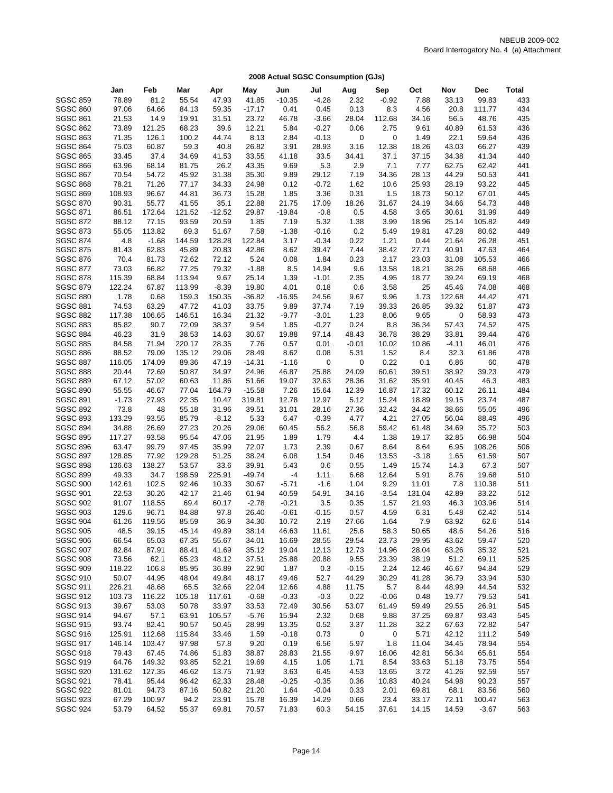|                                    | Jan             | Feb             | Mar             | Apr            | May           | Jun              | Jul          | Aug       | Sep          | Oct          | Nov            | <b>Dec</b>     | Total      |
|------------------------------------|-----------------|-----------------|-----------------|----------------|---------------|------------------|--------------|-----------|--------------|--------------|----------------|----------------|------------|
| <b>SGSC 859</b>                    | 78.89           | 81.2            | 55.54           | 47.93          | 41.85         | $-10.35$         | $-4.28$      | 2.32      | $-0.92$      | 7.88         | 33.13          | 99.83          | 433        |
| <b>SGSC 860</b>                    | 97.06           | 64.66           | 84.13           | 59.35          | $-17.17$      | 0.41             | 0.45         | 0.13      | 8.3          | 4.56         | 20.8           | 111.77         | 434        |
| <b>SGSC 861</b>                    | 21.53           | 14.9            | 19.91           | 31.51          | 23.72         | 46.78            | $-3.66$      | 28.04     | 112.68       | 34.16        | 56.5           | 48.76          | 435        |
| <b>SGSC 862</b>                    | 73.89           | 121.25          | 68.23           | 39.6           | 12.21         | 5.84             | $-0.27$      | 0.06      | 2.75         | 9.61         | 40.89          | 61.53          | 436        |
| <b>SGSC 863</b>                    | 71.35           | 126.1           | 100.2           | 44.74          | 8.13          | 2.84             | $-0.13$      | 0         | 0            | 1.49         | 22.1           | 59.64          | 436        |
| <b>SGSC 864</b>                    | 75.03           | 60.87           | 59.3            | 40.8           | 26.82         | 3.91             | 28.93        | 3.16      | 12.38        | 18.26        | 43.03          | 66.27          | 439        |
| <b>SGSC 865</b>                    | 33.45           | 37.4            | 34.69           | 41.53          | 33.55         | 41.18            | 33.5         | 34.41     | 37.1         | 37.15        | 34.38          | 41.34          | 440        |
| <b>SGSC 866</b>                    | 63.96           | 68.14           | 81.75           | 26.2           | 43.35         | 9.69             | 5.3          | 2.9       | 7.1          | 7.77         | 62.75          | 62.42          | 441        |
| <b>SGSC 867</b>                    | 70.54           | 54.72           | 45.92           | 31.38          | 35.30         | 9.89             | 29.12        | 7.19      | 34.36        | 28.13        | 44.29          | 50.53          | 441        |
| <b>SGSC 868</b>                    | 78.21           | 71.26           | 77.17           | 34.33          | 24.98         | 0.12             | $-0.72$      | 1.62      | 10.6         | 25.93        | 28.19          | 93.22          | 445        |
| <b>SGSC 869</b>                    | 108.93          | 96.67           | 44.81           | 36.73          | 15.28         | 1.85             | 3.36         | 0.31      | 1.5          | 18.73        | 50.12          | 67.01          | 445        |
| <b>SGSC 870</b>                    | 90.31           | 55.77           | 41.55           | 35.1           | 22.88         | 21.75            | 17.09        | 18.26     | 31.67        | 24.19        | 34.66          | 54.73          | 448        |
| <b>SGSC 871</b>                    | 86.51           | 172.64          | 121.52          | $-12.52$       | 29.87         | $-19.84$         | $-0.8$       | 0.5       | 4.58         | 3.65         | 30.61          | 31.99          | 449        |
| <b>SGSC 872</b>                    | 88.12           | 77.15           | 93.59           | 20.59          | 1.85          | 7.19             | 5.32         | 1.38      | 3.99         | 18.96        | 25.14          | 105.82         | 449        |
| <b>SGSC 873</b>                    | 55.05           | 113.82          | 69.3            | 51.67          | 7.58          | $-1.38$          | $-0.16$      | 0.2       | 5.49         | 19.81        | 47.28          | 80.62          | 449        |
| <b>SGSC 874</b>                    | 4.8             | $-1.68$         | 144.59          | 128.28         | 122.84        | 3.17             | $-0.34$      | 0.22      | 1.21         | 0.44         | 21.64          | 26.28          | 451        |
| <b>SGSC 875</b>                    | 81.43           | 62.83           | 45.89           | 20.83          | 42.86         | 8.62             | 39.47        | 7.44      | 38.42        | 27.71        | 40.91          | 47.63          | 464        |
| <b>SGSC 876</b>                    | 70.4            | 81.73           | 72.62           | 72.12          | 5.24          | 0.08             | 1.84         | 0.23      | 2.17         | 23.03        | 31.08          | 105.53         | 466        |
| <b>SGSC 877</b>                    | 73.03           | 66.82           | 77.25           | 79.32          | $-1.88$       | 8.5              | 14.94        | 9.6       | 13.58        | 18.21        | 38.26          | 68.68          | 466        |
| <b>SGSC 878</b>                    | 115.39          | 68.84           | 113.94          | 9.67           | 25.14         | 1.39             | $-1.01$      | 2.35      | 4.95         | 18.77        | 39.24          | 69.19          | 468        |
| <b>SGSC 879</b>                    | 122.24          | 67.87           | 113.99          | $-8.39$        | 19.80         | 4.01             | 0.18         | 0.6       | 3.58         | 25           | 45.46          | 74.08          | 468        |
| <b>SGSC 880</b>                    | 1.78            | 0.68            | 159.3           | 150.35         | $-36.82$      | $-16.95$         | 24.56        | 9.67      | 9.96         | 1.73         | 122.68         | 44.42          | 471        |
| <b>SGSC 881</b>                    | 74.53           | 63.29           | 47.72           | 41.03          | 33.75         | 9.89             | 37.74        | 7.19      | 39.33        | 26.85        | 39.32          | 51.87          | 473        |
| <b>SGSC 882</b>                    | 117.38          | 106.65          | 146.51          | 16.34          | 21.32         | $-9.77$          | $-3.01$      | 1.23      | 8.06         | 9.65         | 0              | 58.93          | 473        |
| <b>SGSC 883</b>                    | 85.82           | 90.7            | 72.09           | 38.37          | 9.54          | 1.85             | $-0.27$      | 0.24      | 8.8          | 36.34        | 57.43          | 74.52          | 475        |
| <b>SGSC 884</b>                    | 46.23           | 31.9            | 38.53           | 14.63          | 30.67         | 19.88            | 97.14        | 48.43     | 36.78        | 38.29        | 33.81          | 39.44          | 476        |
| <b>SGSC 885</b>                    | 84.58           | 71.94           | 220.17          | 28.35          | 7.76          | 0.57             | 0.01         | $-0.01$   | 10.02        | 10.86        | $-4.11$        | 46.01          | 476        |
| <b>SGSC 886</b>                    | 88.52           | 79.09           | 135.12          | 29.06          | 28.49         | 8.62             | 0.08         | 5.31      | 1.52         | 8.4          | 32.3           | 61.86          | 478        |
| <b>SGSC 887</b>                    | 116.05          | 174.09          | 89.36           | 47.19          | $-14.31$      | $-1.16$          | 0            | 0         | 0.22         | 0.1          | 6.86           | 60             | 478        |
| <b>SGSC 888</b>                    | 20.44           | 72.69           | 50.87           | 34.97          | 24.96         | 46.87            | 25.88        | 24.09     | 60.61        | 39.51        | 38.92          | 39.23          | 479        |
| <b>SGSC 889</b>                    | 67.12           | 57.02           | 60.63           | 11.86          | 51.66         | 19.07            | 32.63        | 28.36     | 31.62        | 35.91        | 40.45          | 46.3           | 483        |
| <b>SGSC 890</b>                    | 55.55           | 46.67           | 77.04           | 164.79         | $-15.58$      | 7.26             | 15.64        | 12.39     | 16.87        | 17.32        | 60.12          | 26.11          | 484        |
| <b>SGSC 891</b>                    | $-1.73$         | 27.93           | 22.35           | 10.47          | 319.81        | 12.78            | 12.97        | 5.12      | 15.24        | 18.89        | 19.15          | 23.74          | 487        |
| <b>SGSC 892</b>                    | 73.8            | 48              | 55.18           | 31.96          | 39.51         | 31.01            | 28.16        | 27.36     | 32.42        | 34.42        | 38.66          | 55.05          | 496        |
| <b>SGSC 893</b>                    | 133.29          | 93.55           | 85.79           | $-8.12$        | 5.33          | 6.47             | $-0.39$      | 4.77      | 4.21         | 27.05        | 56.04          | 88.49          | 496        |
| <b>SGSC 894</b>                    | 34.88           | 26.69           | 27.23           | 20.26          | 29.06         | 60.45            | 56.2         | 56.8      | 59.42        | 61.48        | 34.69          | 35.72          | 503        |
| <b>SGSC 895</b>                    | 117.27          | 93.58           | 95.54           | 47.06          | 21.95         | 1.89             | 1.79         | 4.4       | 1.38         | 19.17        | 32.85          | 66.98          | 504        |
| <b>SGSC 896</b>                    | 63.47           | 99.79           | 97.45           | 35.99          | 72.07         | 1.73             | 2.39         | 0.67      | 8.64         | 8.64         | 6.95           | 108.26         | 506        |
| <b>SGSC 897</b>                    | 128.85          | 77.92           | 129.28          | 51.25          | 38.24         | 6.08             | 1.54         | 0.46      | 13.53        | $-3.18$      | 1.65           | 61.59          | 507        |
| <b>SGSC 898</b>                    | 136.63          | 138.27          | 53.57           | 33.6           | 39.91         | 5.43             | 0.6          | 0.55      | 1.49         | 15.74        | 14.3           | 67.3           | 507        |
| <b>SGSC 899</b>                    | 49.33           | 34.7            | 198.59          | 225.91         | $-49.74$      | $-4$             | 1.11         | 6.68      | 12.64        | 5.91         | 8.76           | 19.68          | 510        |
| <b>SGSC 900</b>                    | 142.61          | 102.5           | 92.46           | 10.33          | 30.67         | $-5.71$          | $-1.6$       | 1.04      | 9.29         | 11.01        | 7.8            | 110.38         | 511        |
| <b>SGSC 901</b>                    | 22.53           | 30.26           | 42.17           | 21.46          | 61.94         | 40.59            | 54.91        | 34.16     | $-3.54$      | 131.04       | 42.89          | 33.22          | 512        |
| <b>SGSC 902</b>                    | 91.07           | 118.55          | 69.4            | 60.17          | $-2.78$       | $-0.21$          | 3.5          | 0.35      | 1.57         | 21.93        | 46.3           | 103.96         | 514        |
| <b>SGSC 903</b>                    | 129.6           | 96.71           | 84.88           | 97.8           | 26.40         | $-0.61$          | $-0.15$      | 0.57      | 4.59         | 6.31         | 5.48           | 62.42          | 514        |
| <b>SGSC 904</b>                    | 61.26           | 119.56          | 85.59           | 36.9           | 34.30         | 10.72            | 2.19         | 27.66     | 1.64         | 7.9          | 63.92          | 62.6           | 514        |
| <b>SGSC 905</b>                    | 48.5            | 39.15           | 45.14           | 49.89          | 38.14         | 46.63            | 11.61        | 25.6      | 58.3         | 50.65        | 48.6           | 54.26          | 516        |
| <b>SGSC 906</b>                    | 66.54           | 65.03           | 67.35           | 55.67          | 34.01         | 16.69            | 28.55        | 29.54     | 23.73        | 29.95        | 43.62          | 59.47          | 520        |
| <b>SGSC 907</b>                    | 82.84           | 87.91           | 88.41           | 41.69          | 35.12         | 19.04            | 12.13        | 12.73     | 14.96        | 28.04        | 63.26          | 35.32          | 521        |
| <b>SGSC 908</b>                    | 73.56           | 62.1            | 65.23           | 48.12          | 37.51         | 25.88            | 20.88        | 9.55      | 23.39        | 38.19        | 51.2           | 69.11          | 525        |
| <b>SGSC 909</b>                    | 118.22          | 106.8           | 85.95           | 36.89          | 22.90         | 1.87             | 0.3          | $-0.15$   | 2.24         | 12.46        | 46.67          | 94.84          | 529        |
| <b>SGSC 910</b>                    | 50.07           | 44.95           | 48.04           | 49.84          | 48.17         | 49.46            | 52.7         | 44.29     | 30.29        | 41.28        | 36.79          | 33.94          | 530        |
| <b>SGSC 911</b><br><b>SGSC 912</b> | 226.21          | 48.68           | 65.5            | 32.66          | 22.04         | 12.66            | 4.88         | 11.75     | 5.7          | 8.44         | 48.99          | 44.54          | 532        |
|                                    | 103.73          | 116.22<br>53.03 | 105.18          | 117.61         | $-0.68$       | $-0.33$          | $-0.3$       | 0.22      | $-0.06$      | 0.48         | 19.77          | 79.53          | 541        |
| <b>SGSC 913</b>                    | 39.67           |                 | 50.78           | 33.97          | 33.53         | 72.49            | 30.56        | 53.07     | 61.49        | 59.49        | 29.55          | 26.91          | 545        |
| <b>SGSC 914</b>                    | 94.67           | 57.1            | 63.91           | 105.57         | $-5.76$       | 15.94            | 2.32         | 0.68      | 9.88         | 37.25        | 69.87          | 93.43          | 545        |
| <b>SGSC 915</b><br><b>SGSC 916</b> | 93.74<br>125.91 | 82.41<br>112.68 | 90.57<br>115.84 | 50.45<br>33.46 | 28.99<br>1.59 | 13.35<br>$-0.18$ | 0.52<br>0.73 | 3.37<br>0 | 11.28<br>0   | 32.2<br>5.71 | 67.63<br>42.12 | 72.82<br>111.2 | 547<br>549 |
| <b>SGSC 917</b>                    | 146.14          | 103.47          | 97.98           | 57.8           | 9.20          | 0.19             | 6.56         | 5.97      |              | 11.04        | 34.45          | 78.94          | 554        |
| <b>SGSC 918</b>                    | 79.43           | 67.45           | 74.86           | 51.83          | 38.87         | 28.83            | 21.55        | 9.97      | 1.8<br>16.06 | 42.81        | 56.34          | 65.61          | 554        |
| <b>SGSC 919</b>                    | 64.76           | 149.32          | 93.85           | 52.21          | 19.69         | 4.15             | 1.05         | 1.71      | 8.54         | 33.63        | 51.18          | 73.75          | 554        |
| <b>SGSC 920</b>                    | 131.62          | 127.35          | 46.62           | 13.75          | 71.93         | 3.63             | 6.45         | 4.53      | 13.65        | 3.72         | 41.26          | 92.59          | 557        |
| <b>SGSC 921</b>                    | 78.41           | 95.44           | 96.42           | 62.33          | 28.48         | $-0.25$          | $-0.35$      | 0.36      | 10.83        | 40.24        | 54.98          | 90.23          | 557        |
| <b>SGSC 922</b>                    | 81.01           | 94.73           | 87.16           | 50.82          | 21.20         | 1.64             | $-0.04$      | 0.33      | 2.01         | 69.81        | 68.1           | 83.56          | 560        |
| <b>SGSC 923</b>                    | 67.29           | 100.97          | 94.2            | 23.91          | 15.78         | 16.39            | 14.29        | 0.66      | 23.4         | 33.17        | 72.11          | 100.47         | 563        |
| <b>SGSC 924</b>                    | 53.79           | 64.52           | 55.37           | 69.81          | 70.57         | 71.83            | 60.3         | 54.15     | 37.61        | 14.15        | 14.59          | $-3.67$        | 563        |
|                                    |                 |                 |                 |                |               |                  |              |           |              |              |                |                |            |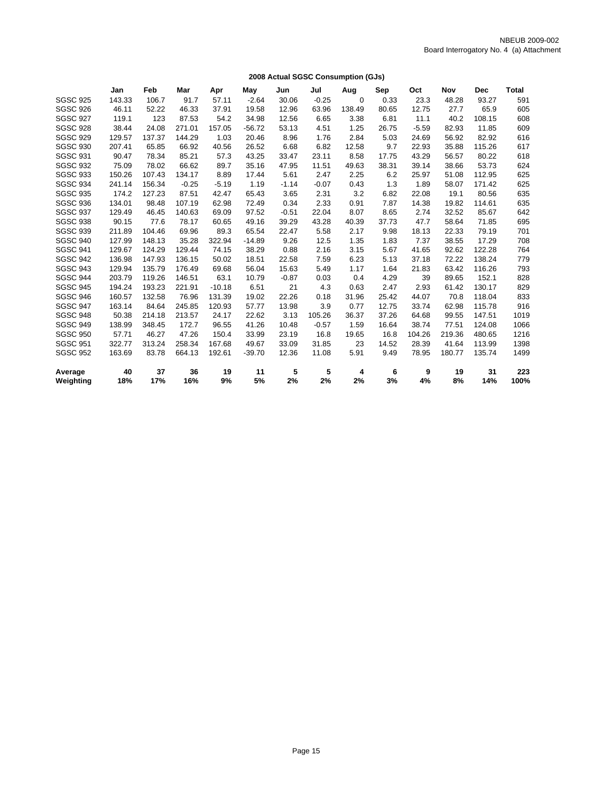|                 |        |        |         |          |          |         |         | 2008 Actual SGSC Consumption (GJs) |       |         |        |            |              |
|-----------------|--------|--------|---------|----------|----------|---------|---------|------------------------------------|-------|---------|--------|------------|--------------|
|                 | Jan    | Feb    | Mar     | Apr      | May      | Jun     | Jul     | Aug                                | Sep   | Oct     | Nov    | <b>Dec</b> | <b>Total</b> |
| <b>SGSC 925</b> | 143.33 | 106.7  | 91.7    | 57.11    | $-2.64$  | 30.06   | $-0.25$ | $\mathbf 0$                        | 0.33  | 23.3    | 48.28  | 93.27      | 591          |
| <b>SGSC 926</b> | 46.11  | 52.22  | 46.33   | 37.91    | 19.58    | 12.96   | 63.96   | 138.49                             | 80.65 | 12.75   | 27.7   | 65.9       | 605          |
| <b>SGSC 927</b> | 119.1  | 123    | 87.53   | 54.2     | 34.98    | 12.56   | 6.65    | 3.38                               | 6.81  | 11.1    | 40.2   | 108.15     | 608          |
| <b>SGSC 928</b> | 38.44  | 24.08  | 271.01  | 157.05   | $-56.72$ | 53.13   | 4.51    | 1.25                               | 26.75 | $-5.59$ | 82.93  | 11.85      | 609          |
| <b>SGSC 929</b> | 129.57 | 137.37 | 144.29  | 1.03     | 20.46    | 8.96    | 1.76    | 2.84                               | 5.03  | 24.69   | 56.92  | 82.92      | 616          |
| <b>SGSC 930</b> | 207.41 | 65.85  | 66.92   | 40.56    | 26.52    | 6.68    | 6.82    | 12.58                              | 9.7   | 22.93   | 35.88  | 115.26     | 617          |
| <b>SGSC 931</b> | 90.47  | 78.34  | 85.21   | 57.3     | 43.25    | 33.47   | 23.11   | 8.58                               | 17.75 | 43.29   | 56.57  | 80.22      | 618          |
| <b>SGSC 932</b> | 75.09  | 78.02  | 66.62   | 89.7     | 35.16    | 47.95   | 11.51   | 49.63                              | 38.31 | 39.14   | 38.66  | 53.73      | 624          |
| <b>SGSC 933</b> | 150.26 | 107.43 | 134.17  | 8.89     | 17.44    | 5.61    | 2.47    | 2.25                               | 6.2   | 25.97   | 51.08  | 112.95     | 625          |
| <b>SGSC 934</b> | 241.14 | 156.34 | $-0.25$ | $-5.19$  | 1.19     | $-1.14$ | $-0.07$ | 0.43                               | 1.3   | 1.89    | 58.07  | 171.42     | 625          |
| <b>SGSC 935</b> | 174.2  | 127.23 | 87.51   | 42.47    | 65.43    | 3.65    | 2.31    | 3.2                                | 6.82  | 22.08   | 19.1   | 80.56      | 635          |
| <b>SGSC 936</b> | 134.01 | 98.48  | 107.19  | 62.98    | 72.49    | 0.34    | 2.33    | 0.91                               | 7.87  | 14.38   | 19.82  | 114.61     | 635          |
| <b>SGSC 937</b> | 129.49 | 46.45  | 140.63  | 69.09    | 97.52    | $-0.51$ | 22.04   | 8.07                               | 8.65  | 2.74    | 32.52  | 85.67      | 642          |
| <b>SGSC 938</b> | 90.15  | 77.6   | 78.17   | 60.65    | 49.16    | 39.29   | 43.28   | 40.39                              | 37.73 | 47.7    | 58.64  | 71.85      | 695          |
| <b>SGSC 939</b> | 211.89 | 104.46 | 69.96   | 89.3     | 65.54    | 22.47   | 5.58    | 2.17                               | 9.98  | 18.13   | 22.33  | 79.19      | 701          |
| <b>SGSC 940</b> | 127.99 | 148.13 | 35.28   | 322.94   | $-14.89$ | 9.26    | 12.5    | 1.35                               | 1.83  | 7.37    | 38.55  | 17.29      | 708          |
| <b>SGSC 941</b> | 129.67 | 124.29 | 129.44  | 74.15    | 38.29    | 0.88    | 2.16    | 3.15                               | 5.67  | 41.65   | 92.62  | 122.28     | 764          |
| <b>SGSC 942</b> | 136.98 | 147.93 | 136.15  | 50.02    | 18.51    | 22.58   | 7.59    | 6.23                               | 5.13  | 37.18   | 72.22  | 138.24     | 779          |
| <b>SGSC 943</b> | 129.94 | 135.79 | 176.49  | 69.68    | 56.04    | 15.63   | 5.49    | 1.17                               | 1.64  | 21.83   | 63.42  | 116.26     | 793          |
| <b>SGSC 944</b> | 203.79 | 119.26 | 146.51  | 63.1     | 10.79    | $-0.87$ | 0.03    | 0.4                                | 4.29  | 39      | 89.65  | 152.1      | 828          |
| <b>SGSC 945</b> | 194.24 | 193.23 | 221.91  | $-10.18$ | 6.51     | 21      | 4.3     | 0.63                               | 2.47  | 2.93    | 61.42  | 130.17     | 829          |
| <b>SGSC 946</b> | 160.57 | 132.58 | 76.96   | 131.39   | 19.02    | 22.26   | 0.18    | 31.96                              | 25.42 | 44.07   | 70.8   | 118.04     | 833          |
| <b>SGSC 947</b> | 163.14 | 84.64  | 245.85  | 120.93   | 57.77    | 13.98   | 3.9     | 0.77                               | 12.75 | 33.74   | 62.98  | 115.78     | 916          |
| <b>SGSC 948</b> | 50.38  | 214.18 | 213.57  | 24.17    | 22.62    | 3.13    | 105.26  | 36.37                              | 37.26 | 64.68   | 99.55  | 147.51     | 1019         |
| <b>SGSC 949</b> | 138.99 | 348.45 | 172.7   | 96.55    | 41.26    | 10.48   | $-0.57$ | 1.59                               | 16.64 | 38.74   | 77.51  | 124.08     | 1066         |
| <b>SGSC 950</b> | 57.71  | 46.27  | 47.26   | 150.4    | 33.99    | 23.19   | 16.8    | 19.65                              | 16.8  | 104.26  | 219.36 | 480.65     | 1216         |
| <b>SGSC 951</b> | 322.77 | 313.24 | 258.34  | 167.68   | 49.67    | 33.09   | 31.85   | 23                                 | 14.52 | 28.39   | 41.64  | 113.99     | 1398         |
| <b>SGSC 952</b> | 163.69 | 83.78  | 664.13  | 192.61   | $-39.70$ | 12.36   | 11.08   | 5.91                               | 9.49  | 78.95   | 180.77 | 135.74     | 1499         |
| Average         | 40     | 37     | 36      | 19       | 11       | 5       | 5       | 4                                  | 6     | 9       | 19     | 31         | 223          |
| Weighting       | 18%    | 17%    | 16%     | 9%       | 5%       | 2%      | 2%      | 2%                                 | 3%    | 4%      | 8%     | 14%        | 100%         |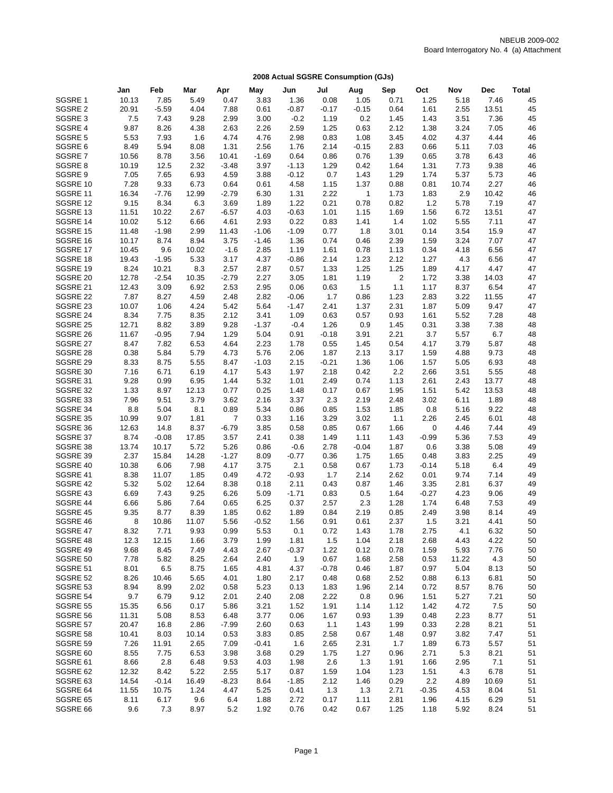|                      | Jan           | Feb           | Mar          | Apr             | May          | Jun             | Jul          | Aug          | Sep            | Oct           | Nov          | <b>Dec</b>    | <b>Total</b> |
|----------------------|---------------|---------------|--------------|-----------------|--------------|-----------------|--------------|--------------|----------------|---------------|--------------|---------------|--------------|
| SGSRE 1              | 10.13         | 7.85          | 5.49         | 0.47            | 3.83         | 1.36            | 0.08         | 1.05         | 0.71           | 1.25          | 5.18         | 7.46          | 45           |
| SGSRE 2              | 20.91         | $-5.59$       | 4.04         | 7.88            | 0.61         | $-0.87$         | $-0.17$      | $-0.15$      | 0.64           | 1.61          | 2.55         | 13.51         | 45           |
| SGSRE 3              | 7.5           | 7.43          | 9.28         | 2.99            | 3.00         | $-0.2$          | 1.19         | 0.2          | 1.45           | 1.43          | 3.51         | 7.36          | 45           |
| SGSRE 4              | 9.87          | 8.26          | 4.38         | 2.63            | 2.26         | 2.59            | 1.25         | 0.63         | 2.12           | 1.38          | 3.24         | 7.05          | 46           |
| SGSRE 5              | 5.53          | 7.93          | 1.6          | 4.74            | 4.76         | 2.98            | 0.83         | 1.08         | 3.45           | 4.02          | 4.37         | 4.44          | 46           |
| SGSRE 6              | 8.49          | 5.94          | 8.08         | 1.31            | 2.56         | 1.76            | 2.14         | $-0.15$      | 2.83           | 0.66          | 5.11         | 7.03          | 46           |
| SGSRE 7              | 10.56         | 8.78          | 3.56         | 10.41           | $-1.69$      | 0.64            | 0.86         | 0.76         | 1.39           | 0.65          | 3.78         | 6.43          | 46           |
| SGSRE 8              | 10.19         | 12.5          | 2.32         | $-3.48$         | 3.97         | $-1.13$         | 1.29         | 0.42         | 1.64           | 1.31          | 7.73         | 9.38          | 46           |
| SGSRE 9              | 7.05          | 7.65          | 6.93         | 4.59            | 3.88         | $-0.12$         | 0.7          | 1.43         | 1.29           | 1.74          | 5.37         | 5.73          | 46           |
| SGSRE 10             | 7.28          | 9.33          | 6.73         | 0.64            | 0.61         | 4.58            | 1.15         | 1.37         | 0.88           | 0.81          | 10.74        | 2.27          | 46           |
| SGSRE 11             | 16.34         | $-7.76$       | 12.99        | $-2.79$         | 6.30         | 1.31            | 2.22         | $\mathbf{1}$ | 1.73           | 1.83          | 2.9          | 10.42         | 46           |
| SGSRE 12<br>SGSRE 13 | 9.15<br>11.51 | 8.34<br>10.22 | 6.3<br>2.67  | 3.69<br>$-6.57$ | 1.89         | 1.22<br>$-0.63$ | 0.21<br>1.01 | 0.78<br>1.15 | 0.82<br>1.69   | $1.2$<br>1.56 | 5.78<br>6.72 | 7.19<br>13.51 | 47<br>47     |
| SGSRE 14             | 10.02         | 5.12          | 6.66         | 4.61            | 4.03<br>2.93 | 0.22            | 0.83         | 1.41         | 1.4            | 1.02          | 5.55         | 7.11          | 47           |
| SGSRE 15             | 11.48         | $-1.98$       | 2.99         | 11.43           | $-1.06$      | $-1.09$         | 0.77         | 1.8          | 3.01           | 0.14          | 3.54         | 15.9          | 47           |
| SGSRE 16             | 10.17         | 8.74          | 8.94         | 3.75            | $-1.46$      | 1.36            | 0.74         | 0.46         | 2.39           | 1.59          | 3.24         | 7.07          | 47           |
| SGSRE 17             | 10.45         | 9.6           | 10.02        | $-1.6$          | 2.85         | 1.19            | 1.61         | 0.78         | 1.13           | 0.34          | 4.18         | 6.56          | 47           |
| SGSRE 18             | 19.43         | $-1.95$       | 5.33         | 3.17            | 4.37         | $-0.86$         | 2.14         | 1.23         | 2.12           | 1.27          | 4.3          | 6.56          | 47           |
| SGSRE 19             | 8.24          | 10.21         | 8.3          | 2.57            | 2.87         | 0.57            | 1.33         | 1.25         | 1.25           | 1.89          | 4.17         | 4.47          | 47           |
| SGSRE 20             | 12.78         | $-2.54$       | 10.35        | $-2.79$         | 2.27         | 3.05            | 1.81         | 1.19         | $\overline{2}$ | 1.72          | 3.38         | 14.03         | 47           |
| SGSRE 21             | 12.43         | 3.09          | 6.92         | 2.53            | 2.95         | 0.06            | 0.63         | 1.5          | 1.1            | 1.17          | 8.37         | 6.54          | 47           |
| SGSRE 22             | 7.87          | 8.27          | 4.59         | 2.48            | 2.82         | $-0.06$         | 1.7          | 0.86         | 1.23           | 2.83          | 3.22         | 11.55         | 47           |
| SGSRE 23             | 10.07         | 1.06          | 4.24         | 5.42            | 5.64         | $-1.47$         | 2.41         | 1.37         | 2.31           | 1.87          | 5.09         | 9.47          | 47           |
| SGSRE 24             | 8.34          | 7.75          | 8.35         | 2.12            | 3.41         | 1.09            | 0.63         | 0.57         | 0.93           | 1.61          | 5.52         | 7.28          | 48           |
| SGSRE 25             | 12.71         | 8.82          | 3.89         | 9.28            | $-1.37$      | $-0.4$          | 1.26         | 0.9          | 1.45           | 0.31          | 3.38         | 7.38          | 48           |
| SGSRE 26             | 11.67         | $-0.95$       | 7.94         | 1.29            | 5.04         | 0.91            | $-0.18$      | 3.91         | 2.21           | 3.7           | 5.57         | 6.7           | 48           |
| SGSRE 27             | 8.47          | 7.82          | 6.53         | 4.64            | 2.23         | 1.78            | 0.55         | 1.45         | 0.54           | 4.17          | 3.79         | 5.87          | 48           |
| SGSRE 28             | 0.38          | 5.84          | 5.79         | 4.73            | 5.76         | 2.06            | 1.87         | 2.13         | 3.17           | 1.59          | 4.88         | 9.73          | 48           |
| SGSRE 29             | 8.33          | 8.75          | 5.55         | 8.47            | $-1.03$      | 2.15            | $-0.21$      | 1.36         | 1.06           | 1.57          | 5.05         | 6.93          | 48           |
| SGSRE 30             | 7.16          | 6.71          | 6.19         | 4.17            | 5.43         | 1.97            | 2.18         | 0.42         | 2.2            | 2.66          | 3.51         | 5.55          | 48           |
| SGSRE 31             | 9.28          | 0.99          | 6.95         | 1.44            | 5.32         | 1.01            | 2.49         | 0.74         | 1.13           | 2.61          | 2.43         | 13.77         | 48           |
| SGSRE 32             | 1.33          | 8.97          | 12.13        | 0.77            | 0.25         | 1.48            | 0.17         | 0.67         | 1.95           | 1.51          | 5.42         | 13.53         | 48           |
| SGSRE 33<br>SGSRE 34 | 7.96<br>8.8   | 9.51          | 3.79         | 3.62<br>0.89    | 2.16         | 3.37            | 2.3<br>0.85  | 2.19<br>1.53 | 2.48<br>1.85   | 3.02          | 6.11         | 1.89<br>9.22  | 48<br>48     |
| SGSRE 35             | 10.99         | 5.04<br>9.07  | 8.1<br>1.81  | $\overline{7}$  | 5.34<br>0.33 | 0.86<br>1.16    | 3.29         | 3.02         | 1.1            | 0.8<br>2.26   | 5.16<br>2.45 | 6.01          | 48           |
| SGSRE 36             | 12.63         | 14.8          | 8.37         | $-6.79$         | 3.85         | 0.58            | 0.85         | 0.67         | 1.66           | 0             | 4.46         | 7.44          | 49           |
| SGSRE 37             | 8.74          | $-0.08$       | 17.85        | 3.57            | 2.41         | 0.38            | 1.49         | 1.11         | 1.43           | $-0.99$       | 5.36         | 7.53          | 49           |
| SGSRE 38             | 13.74         | 10.17         | 5.72         | 5.26            | 0.86         | $-0.6$          | 2.78         | $-0.04$      | 1.87           | 0.6           | 3.38         | 5.08          | 49           |
| SGSRE 39             | 2.37          | 15.84         | 14.28        | $-1.27$         | 8.09         | $-0.77$         | 0.36         | 1.75         | 1.65           | 0.48          | 3.83         | 2.25          | 49           |
| SGSRE 40             | 10.38         | 6.06          | 7.98         | 4.17            | 3.75         | 2.1             | 0.58         | 0.67         | 1.73           | $-0.14$       | 5.18         | 6.4           | 49           |
| SGSRE 41             | 8.38          | 11.07         | 1.85         | 0.49            | 4.72         | $-0.93$         | 1.7          | 2.14         | 2.62           | 0.01          | 9.74         | 7.14          | 49           |
| SGSRE 42             | 5.32          | 5.02          | 12.64        | 8.38            | 0.18         | 2.11            | 0.43         | 0.87         | 1.46           | 3.35          | 2.81         | 6.37          | 49           |
| SGSRE 43             | 6.69          | 7.43          | 9.25         | 6.26            | 5.09         | $-1.71$         | 0.83         | 0.5          | 1.64           | $-0.27$       | 4.23         | 9.06          | 49           |
| SGSRE 44             | 6.66          | 5.86          | 7.64         | 0.65            | 6.25         | 0.37            | 2.57         | 2.3          | 1.28           | 1.74          | 6.48         | 7.53          | 49           |
| SGSRE 45             | 9.35          | 8.77          | 8.39         | 1.85            | 0.62         | 1.89            | 0.84         | 2.19         | 0.85           | 2.49          | 3.98         | 8.14          | 49           |
| SGSRE 46             | 8             | 10.86         | 11.07        | 5.56            | $-0.52$      | 1.56            | 0.91         | 0.61         | 2.37           | 1.5           | 3.21         | 4.41          | 50           |
| SGSRE 47             | 8.32          | 7.71          | 9.93         | 0.99            | 5.53         | 0.1             | 0.72         | 1.43         | 1.78           | 2.75          | 4.1          | 6.32          | 50           |
| SGSRE 48             | 12.3          | 12.15         | 1.66         | 3.79            | 1.99         | 1.81            | 1.5          | 1.04         | 2.18           | 2.68          | 4.43         | 4.22          | 50           |
| SGSRE 49             | 9.68          | 8.45          | 7.49         | 4.43            | 2.67         | $-0.37$         | 1.22         | 0.12         | 0.78           | 1.59          | 5.93         | 7.76          | 50           |
| SGSRE 50             | 7.78          | 5.82          | 8.25         | 2.64            | 2.40         | 1.9             | 0.67         | 1.68         | 2.58           | 0.53          | 11.22        | 4.3           | 50           |
| SGSRE 51             | 8.01          | 6.5           | 8.75         | 1.65            | 4.81         | 4.37            | $-0.78$      | 0.46         | 1.87           | 0.97          | 5.04         | 8.13          | 50           |
| SGSRE 52             | 8.26          | 10.46         | 5.65         | 4.01            | 1.80         | 2.17            | 0.48         | 0.68         | 2.52           | 0.88          | 6.13         | 6.81          | 50           |
| SGSRE 53<br>SGSRE 54 | 8.94<br>9.7   | 8.99          | 2.02<br>9.12 | 0.58<br>2.01    | 5.23<br>2.40 | 0.13<br>2.08    | 1.83<br>2.22 | 1.96         | 2.14<br>0.96   | 0.72<br>1.51  | 8.57<br>5.27 | 8.76<br>7.21  | 50<br>50     |
| SGSRE 55             | 15.35         | 6.79<br>6.56  | 0.17         | 5.86            | 3.21         | 1.52            | 1.91         | 0.8<br>1.14  | 1.12           | 1.42          | 4.72         | 7.5           | 50           |
| SGSRE 56             | 11.31         | 5.08          | 8.53         | 6.48            | 3.77         | 0.06            | 1.67         | 0.93         | 1.39           | 0.48          | 2.23         | 8.77          | 51           |
| SGSRE 57             | 20.47         | 16.8          | 2.86         | $-7.99$         | 2.60         | 0.63            | 1.1          | 1.43         | 1.99           | 0.33          | 2.28         | 8.21          | 51           |
| SGSRE 58             | 10.41         | 8.03          | 10.14        | 0.53            | 3.83         | 0.85            | 2.58         | 0.67         | 1.48           | 0.97          | 3.82         | 7.47          | 51           |
| SGSRE 59             | 7.26          | 11.91         | 2.65         | 7.09            | $-0.41$      | 1.6             | 2.65         | 2.31         | 1.7            | 1.89          | 6.73         | 5.57          | 51           |
| SGSRE 60             | 8.55          | 7.75          | 6.53         | 3.98            | 3.68         | 0.29            | 1.75         | 1.27         | 0.96           | 2.71          | 5.3          | 8.21          | 51           |
| SGSRE 61             | 8.66          | 2.8           | 6.48         | 9.53            | 4.03         | 1.98            | 2.6          | 1.3          | 1.91           | 1.66          | 2.95         | 7.1           | 51           |
| SGSRE 62             | 12.32         | 8.42          | 5.22         | 2.55            | 5.17         | 0.87            | 1.59         | 1.04         | 1.23           | 1.51          | 4.3          | 6.78          | 51           |
| SGSRE 63             | 14.54         | $-0.14$       | 16.49        | $-8.23$         | 8.64         | $-1.85$         | 2.12         | 1.46         | 0.29           | 2.2           | 4.89         | 10.69         | 51           |
| SGSRE 64             | 11.55         | 10.75         | 1.24         | 4.47            | 5.25         | 0.41            | 1.3          | 1.3          | 2.71           | $-0.35$       | 4.53         | 8.04          | 51           |
| SGSRE 65             | 8.11          | 6.17          | 9.6          | 6.4             | 1.88         | 2.72            | 0.17         | 1.11         | 2.81           | 1.96          | 4.15         | 6.29          | 51           |
| SGSRE 66             | 9.6           | 7.3           | 8.97         | 5.2             | 1.92         | 0.76            | 0.42         | 0.67         | 1.25           | 1.18          | 5.92         | 8.24          | 51           |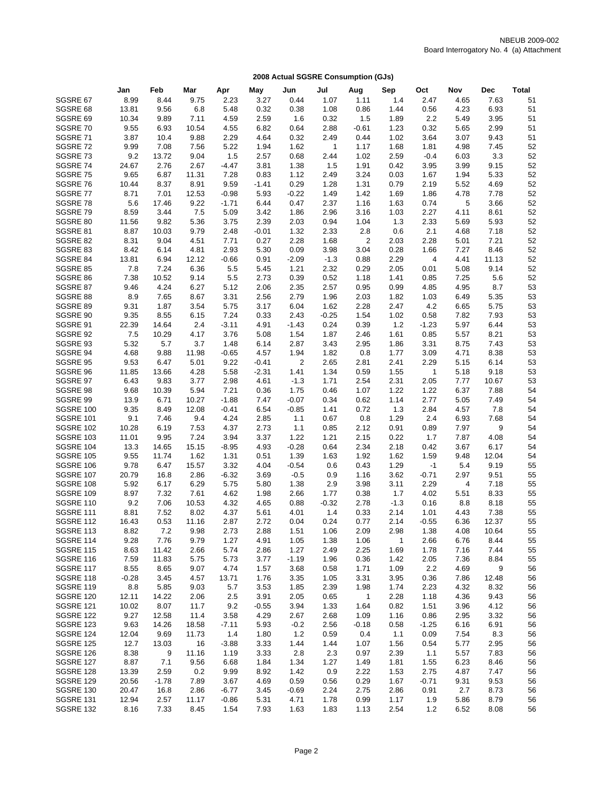|                                      | Jan           | Feb           | Mar            | Apr                | May          | Jun             | Jul          | Aug            | Sep          | Oct             | Nov                    | <b>Dec</b>   | <b>Total</b> |
|--------------------------------------|---------------|---------------|----------------|--------------------|--------------|-----------------|--------------|----------------|--------------|-----------------|------------------------|--------------|--------------|
| SGSRE 67                             | 8.99          | 8.44          | 9.75           | 2.23               | 3.27         | 0.44            | 1.07         | 1.11           | 1.4          | 2.47            | 4.65                   | 7.63         | 51           |
| SGSRE 68                             | 13.81         | 9.56          | 6.8            | 5.48               | 0.32         | 0.38            | 1.08         | 0.86           | 1.44         | 0.56            | 4.23                   | 6.93         | 51           |
| SGSRE 69                             | 10.34         | 9.89          | 7.11           | 4.59               | 2.59         | 1.6             | 0.32         | 1.5            | 1.89         | 2.2             | 5.49                   | 3.95         | 51           |
| SGSRE 70                             | 9.55          | 6.93          | 10.54          | 4.55               | 6.82         | 0.64            | 2.88         | $-0.61$        | 1.23         | 0.32            | 5.65                   | 2.99         | 51           |
| SGSRE 71                             | 3.87          | 10.4          | 9.88           | 2.29               | 4.64         | 0.32            | 2.49         | 0.44           | 1.02         | 3.64            | 3.07                   | 9.43         | 51           |
| SGSRE 72                             | 9.99          | 7.08          | 7.56           | 5.22               | 1.94         | 1.62            | $\mathbf{1}$ | 1.17           | 1.68         | 1.81            | 4.98                   | 7.45         | 52           |
| SGSRE 73                             | 9.2           | 13.72         | 9.04           | 1.5                | 2.57         | 0.68            | 2.44         | 1.02           | 2.59         | $-0.4$          | 6.03                   | 3.3          | 52           |
| SGSRE 74                             | 24.67         | 2.76          | 2.67           | $-4.47$            | 3.81         | 1.38            | 1.5          | 1.91           | 0.42         | 3.95            | 3.99                   | 9.15         | 52           |
| SGSRE 75                             | 9.65          | 6.87          | 11.31          | 7.28               | 0.83         | 1.12            | 2.49         | 3.24           | 0.03         | 1.67            | 1.94                   | 5.33         | 52           |
| SGSRE 76                             | 10.44         | 8.37          | 8.91           | 9.59               | $-1.41$      | 0.29            | 1.28         | 1.31           | 0.79         | 2.19            | 5.52                   | 4.69         | 52           |
| SGSRE 77<br>SGSRE 78                 | 8.71<br>5.6   | 7.01<br>17.46 | 12.53<br>9.22  | $-0.98$<br>$-1.71$ | 5.93<br>6.44 | $-0.22$<br>0.47 | 1.49<br>2.37 | 1.42<br>1.16   | 1.69<br>1.63 | 1.86<br>0.74    | 4.78<br>5              | 7.78<br>3.66 | 52<br>52     |
| SGSRE 79                             | 8.59          | 3.44          | 7.5            | 5.09               | 3.42         | 1.86            | 2.96         | 3.16           | 1.03         | 2.27            | 4.11                   | 8.61         | 52           |
| SGSRE 80                             | 11.56         | 9.82          | 5.36           | 3.75               | 2.39         | 2.03            | 0.94         | 1.04           | 1.3          | 2.33            | 5.69                   | 5.93         | 52           |
| SGSRE 81                             | 8.87          | 10.03         | 9.79           | 2.48               | $-0.01$      | 1.32            | 2.33         | 2.8            | 0.6          | 2.1             | 4.68                   | 7.18         | 52           |
| SGSRE 82                             | 8.31          | 9.04          | 4.51           | 7.71               | 0.27         | 2.28            | 1.68         | $\overline{2}$ | 2.03         | 2.28            | 5.01                   | 7.21         | 52           |
| SGSRE 83                             | 8.42          | 6.14          | 4.81           | 2.93               | 5.30         | 0.09            | 3.98         | 3.04           | 0.28         | 1.66            | 7.27                   | 8.46         | 52           |
| SGSRE 84                             | 13.81         | 6.94          | 12.12          | $-0.66$            | 0.91         | $-2.09$         | $-1.3$       | 0.88           | 2.29         | 4               | 4.41                   | 11.13        | 52           |
| SGSRE 85                             | 7.8           | 7.24          | 6.36           | 5.5                | 5.45         | 1.21            | 2.32         | 0.29           | 2.05         | 0.01            | 5.08                   | 9.14         | 52           |
| SGSRE 86                             | 7.38          | 10.52         | 9.14           | 5.5                | 2.73         | 0.39            | 0.52         | 1.18           | 1.41         | 0.85            | 7.25                   | 5.6          | 52           |
| SGSRE 87                             | 9.46          | 4.24          | 6.27           | 5.12               | 2.06         | 2.35            | 2.57         | 0.95           | 0.99         | 4.85            | 4.95                   | 8.7          | 53           |
| SGSRE 88                             | 8.9           | 7.65          | 8.67           | 3.31               | 2.56         | 2.79            | 1.96         | 2.03           | 1.82         | 1.03            | 6.49                   | 5.35         | 53           |
| SGSRE 89                             | 9.31          | 1.87          | 3.54           | 5.75               | 3.17         | 6.04            | 1.62         | 2.28           | 2.47         | 4.2             | 6.65                   | 5.75         | 53           |
| SGSRE 90                             | 9.35          | 8.55          | 6.15           | 7.24               | 0.33         | 2.43            | $-0.25$      | 1.54           | 1.02         | 0.58            | 7.82                   | 7.93         | 53           |
| SGSRE 91                             | 22.39         | 14.64         | 2.4            | $-3.11$            | 4.91         | $-1.43$         | 0.24         | 0.39           | $1.2$        | $-1.23$         | 5.97                   | 6.44         | 53           |
| SGSRE 92<br>SGSRE 93                 | 7.5           | 10.29         | 4.17           | 3.76               | 5.08         | 1.54<br>2.87    | 1.87         | 2.46           | 1.61         | 0.85            | 5.57                   | 8.21         | 53           |
| SGSRE 94                             | 5.32<br>4.68  | 5.7<br>9.88   | 3.7<br>11.98   | 1.48<br>$-0.65$    | 6.14<br>4.57 | 1.94            | 3.43<br>1.82 | 2.95<br>0.8    | 1.86<br>1.77 | 3.31<br>3.09    | 8.75<br>4.71           | 7.43<br>8.38 | 53<br>53     |
| SGSRE 95                             | 9.53          | 6.47          | 5.01           | 9.22               | $-0.41$      | $\overline{2}$  | 2.65         | 2.81           | 2.41         | 2.29            | 5.15                   | 6.14         | 53           |
| SGSRE 96                             | 11.85         | 13.66         | 4.28           | 5.58               | $-2.31$      | 1.41            | 1.34         | 0.59           | 1.55         | 1               | 5.18                   | 9.18         | 53           |
| SGSRE 97                             | 6.43          | 9.83          | 3.77           | 2.98               | 4.61         | $-1.3$          | 1.71         | 2.54           | 2.31         | 2.05            | 7.77                   | 10.67        | 53           |
| SGSRE 98                             | 9.68          | 10.39         | 5.94           | 7.21               | 0.36         | 1.75            | 0.46         | 1.07           | 1.22         | 1.22            | 6.37                   | 7.88         | 54           |
| SGSRE 99                             | 13.9          | 6.71          | 10.27          | $-1.88$            | 7.47         | $-0.07$         | 0.34         | 0.62           | 1.14         | 2.77            | 5.05                   | 7.49         | 54           |
| SGSRE 100                            | 9.35          | 8.49          | 12.08          | $-0.41$            | 6.54         | $-0.85$         | 1.41         | 0.72           | 1.3          | 2.84            | 4.57                   | 7.8          | 54           |
| <b>SGSRE 101</b>                     | 9.1           | 7.46          | 9.4            | 4.24               | 2.85         | 1.1             | 0.67         | 0.8            | 1.29         | 2.4             | 6.93                   | 7.68         | 54           |
| <b>SGSRE 102</b>                     | 10.28         | 6.19          | 7.53           | 4.37               | 2.73         | 1.1             | 0.85         | 2.12           | 0.91         | 0.89            | 7.97                   | 9            | 54           |
| <b>SGSRE 103</b>                     | 11.01         | 9.95          | 7.24           | 3.94               | 3.37         | 1.22            | 1.21         | 2.15           | 0.22         | 1.7             | 7.87                   | 4.08         | 54           |
| <b>SGSRE 104</b>                     | 13.3          | 14.65         | 15.15          | $-8.95$            | 4.93         | $-0.28$         | 0.64         | 2.34           | 2.18         | 0.42            | 3.67                   | 6.17         | 54           |
| <b>SGSRE 105</b>                     | 9.55          | 11.74         | 1.62           | 1.31               | 0.51         | 1.39            | 1.63         | 1.92           | 1.62         | 1.59            | 9.48                   | 12.04        | 54           |
| <b>SGSRE 106</b><br><b>SGSRE 107</b> | 9.78          | 6.47          | 15.57          | 3.32               | 4.04         | $-0.54$         | 0.6          | 0.43           | 1.29         | $-1$            | 5.4                    | 9.19         | 55           |
| <b>SGSRE 108</b>                     | 20.79<br>5.92 | 16.8<br>6.17  | 2.86<br>6.29   | $-6.32$<br>5.75    | 3.69<br>5.80 | $-0.5$<br>1.38  | 0.9<br>2.9   | 1.16<br>3.98   | 3.62<br>3.11 | $-0.71$<br>2.29 | 2.97<br>$\overline{4}$ | 9.51<br>7.18 | 55<br>55     |
| <b>SGSRE 109</b>                     | 8.97          | 7.32          | 7.61           | 4.62               | 1.98         | 2.66            | 1.77         | 0.38           | 1.7          | 4.02            | 5.51                   | 8.33         | 55           |
| SGSRE 110                            | 9.2           | 7.06          | 10.53          | 4.32               | 4.65         | 0.88            | $-0.32$      | 2.78           | $-1.3$       | 0.16            | 8.8                    | 8.18         | 55           |
| <b>SGSRE 111</b>                     | 8.81          | 7.52          | 8.02           | 4.37               | 5.61         | 4.01            | 1.4          | 0.33           | 2.14         | 1.01            | 4.43                   | 7.38         | 55           |
| <b>SGSRE 112</b>                     | 16.43         | 0.53          | 11.16          | 2.87               | 2.72         | 0.04            | 0.24         | 0.77           | 2.14         | $-0.55$         | 6.36                   | 12.37        | 55           |
| SGSRE 113                            | 8.82          | 7.2           | 9.98           | 2.73               | 2.88         | 1.51            | 1.06         | 2.09           | 2.98         | 1.38            | 4.08                   | 10.64        | 55           |
| <b>SGSRE 114</b>                     | 9.28          | 7.76          | 9.79           | 1.27               | 4.91         | 1.05            | 1.38         | 1.06           | 1            | 2.66            | 6.76                   | 8.44         | 55           |
| <b>SGSRE 115</b>                     | 8.63          | 11.42         | 2.66           | 5.74               | 2.86         | 1.27            | 2.49         | 2.25           | 1.69         | 1.78            | 7.16                   | 7.44         | 55           |
| <b>SGSRE 116</b>                     | 7.59          | 11.83         | 5.75           | 5.73               | 3.77         | $-1.19$         | 1.96         | 0.36           | 1.42         | 2.05            | 7.36                   | 8.84         | 55           |
| <b>SGSRE 117</b>                     | 8.55          | 8.65          | 9.07           | 4.74               | 1.57         | 3.68            | 0.58         | 1.71           | 1.09         | 2.2             | 4.69                   | 9            | 56           |
| <b>SGSRE 118</b>                     | $-0.28$       | 3.45          | 4.57           | 13.71              | 1.76         | 3.35            | 1.05         | 3.31           | 3.95         | 0.36            | 7.86                   | 12.48        | 56           |
| <b>SGSRE 119</b>                     | 8.8           | 5.85          | 9.03           | 5.7                | 3.53         | 1.85            | 2.39         | 1.98           | 1.74         | 2.23            | 4.32                   | 8.32         | 56           |
| <b>SGSRE 120</b>                     | 12.11         | 14.22         | 2.06           | 2.5                | 3.91         | 2.05            | 0.65         | $\mathbf{1}$   | 2.28         | 1.18            | 4.36                   | 9.43         | 56           |
| <b>SGSRE 121</b>                     | 10.02         | 8.07          | 11.7           | 9.2                | $-0.55$      | 3.94            | 1.33         | 1.64           | 0.82         | 1.51            | 3.96                   | 4.12         | 56           |
| <b>SGSRE 122</b><br><b>SGSRE 123</b> | 9.27          | 12.58         | 11.4           | 3.58               | 4.29         | 2.67            | 2.68         | 1.09           | 1.16         | 0.86            | 2.95                   | 3.32         | 56           |
| <b>SGSRE 124</b>                     | 9.63<br>12.04 | 14.26<br>9.69 | 18.58<br>11.73 | -7.11<br>1.4       | 5.93<br>1.80 | $-0.2$<br>1.2   | 2.56<br>0.59 | $-0.18$<br>0.4 | 0.58<br>1.1  | $-1.25$<br>0.09 | 6.16<br>7.54           | 6.91<br>8.3  | 56<br>56     |
| <b>SGSRE 125</b>                     | 12.7          | 13.03         | 16             | $-3.88$            | 3.33         | 1.44            | 1.44         | 1.07           | 1.56         | 0.54            | 5.77                   | 2.95         | 56           |
| <b>SGSRE 126</b>                     | 8.38          | 9             | 11.16          | 1.19               | 3.33         | 2.8             | 2.3          | 0.97           | 2.39         | 1.1             | 5.57                   | 7.83         | 56           |
| <b>SGSRE 127</b>                     | 8.87          | 7.1           | 9.56           | 6.68               | 1.84         | 1.34            | 1.27         | 1.49           | 1.81         | 1.55            | 6.23                   | 8.46         | 56           |
| <b>SGSRE 128</b>                     | 13.39         | 2.59          | 0.2            | 9.99               | 8.92         | 1.42            | 0.9          | 2.22           | 1.53         | 2.75            | 4.87                   | 7.47         | 56           |
| <b>SGSRE 129</b>                     | 20.56         | $-1.78$       | 7.89           | 3.67               | 4.69         | 0.59            | 0.56         | 0.29           | 1.67         | $-0.71$         | 9.31                   | 9.53         | 56           |
| SGSRE 130                            | 20.47         | 16.8          | 2.86           | $-6.77$            | 3.45         | $-0.69$         | 2.24         | 2.75           | 2.86         | 0.91            | 2.7                    | 8.73         | 56           |
| SGSRE 131                            | 12.94         | 2.57          | 11.17          | $-0.86$            | 5.31         | 4.71            | 1.78         | 0.99           | 1.17         | 1.9             | 5.86                   | 8.79         | 56           |
| <b>SGSRE 132</b>                     | 8.16          | 7.33          | 8.45           | 1.54               | 7.93         | 1.63            | 1.83         | 1.13           | 2.54         | 1.2             | 6.52                   | 8.08         | 56           |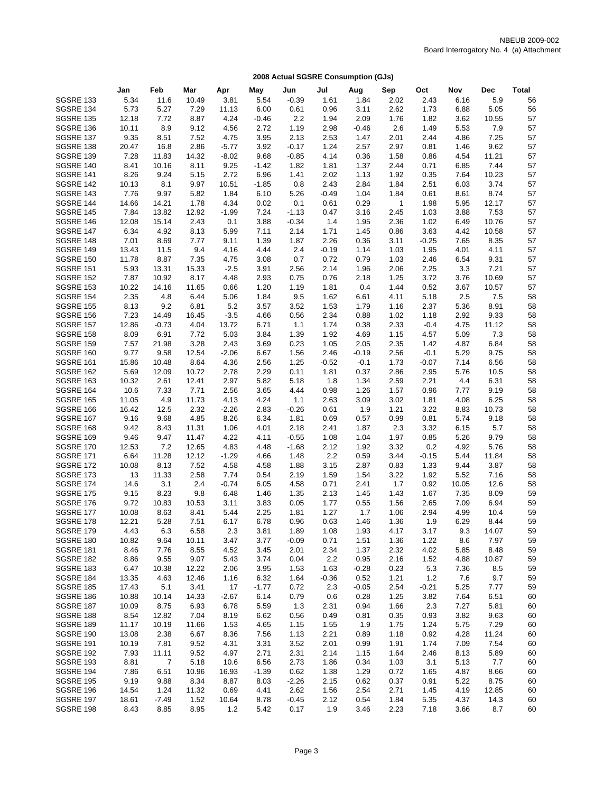|                                      | Jan            | Feb            | Mar           | Apr          | May          | Jun          | Jul          | Aug          | Sep          | Oct             | Nov          | <b>Dec</b>    | <b>Total</b> |
|--------------------------------------|----------------|----------------|---------------|--------------|--------------|--------------|--------------|--------------|--------------|-----------------|--------------|---------------|--------------|
| <b>SGSRE 133</b>                     | 5.34           | 11.6           | 10.49         | 3.81         | 5.54         | $-0.39$      | 1.61         | 1.84         | 2.02         | 2.43            | 6.16         | 5.9           | 56           |
| SGSRE 134                            | 5.73           | 5.27           | 7.29          | 11.13        | 6.00         | 0.61         | 0.96         | 3.11         | 2.62         | 1.73            | 6.88         | 5.05          | 56           |
| <b>SGSRE 135</b>                     | 12.18          | 7.72           | 8.87          | 4.24         | $-0.46$      | 2.2          | 1.94         | 2.09         | 1.76         | 1.82            | 3.62         | 10.55         | 57           |
| SGSRE 136                            | 10.11          | 8.9            | 9.12          | 4.56         | 2.72         | 1.19         | 2.98         | $-0.46$      | 2.6          | 1.49            | 5.53         | 7.9           | 57           |
| <b>SGSRE 137</b>                     | 9.35           | 8.51           | 7.52          | 4.75         | 3.95         | 2.13         | 2.53         | 1.47         | 2.01         | 2.44            | 4.86         | 7.25          | 57           |
| SGSRE 138                            | 20.47          | 16.8           | 2.86          | $-5.77$      | 3.92         | $-0.17$      | 1.24         | 2.57         | 2.97         | 0.81            | 1.46         | 9.62          | 57           |
| <b>SGSRE 139</b>                     | 7.28           | 11.83          | 14.32         | $-8.02$      | 9.68         | $-0.85$      | 4.14         | 0.36         | 1.58         | 0.86            | 4.54         | 11.21         | 57           |
| SGSRE 140                            | 8.41           | 10.16          | 8.11          | 9.25         | $-1.42$      | 1.82         | 1.81         | 1.37         | 2.44         | 0.71            | 6.85         | 7.44          | 57           |
| <b>SGSRE 141</b>                     | 8.26           | 9.24           | 5.15          | 2.72         | 6.96         | 1.41         | 2.02         | 1.13         | 1.92         | 0.35            | 7.64         | 10.23         | 57           |
| SGSRE 142                            | 10.13          | 8.1            | 9.97          | 10.51        | $-1.85$      | 0.8          | 2.43         | 2.84         | 1.84         | 2.51            | 6.03         | 3.74          | 57           |
| SGSRE 143                            | 7.76           | 9.97           | 5.82          | 1.84         | 6.10         | 5.26         | $-0.49$      | 1.04         | 1.84         | 0.61            | 8.61         | 8.74          | 57           |
| SGSRE 144                            | 14.66          | 14.21          | 1.78          | 4.34         | 0.02         | 0.1          | 0.61         | 0.29         | $\mathbf{1}$ | 1.98            | 5.95         | 12.17         | 57           |
| <b>SGSRE 145</b>                     | 7.84           | 13.82          | 12.92         | $-1.99$      | 7.24         | $-1.13$      | 0.47         | 3.16         | 2.45         | 1.03            | 3.88         | 7.53          | 57           |
| SGSRE 146                            | 12.08          | 15.14          | 2.43          | 0.1          | 3.88         | $-0.34$      | 1.4          | 1.95         | 2.36         | 1.02            | 6.49         | 10.76         | 57           |
| <b>SGSRE 147</b><br>SGSRE 148        | 6.34<br>7.01   | 4.92<br>8.69   | 8.13          | 5.99<br>9.11 | 7.11<br>1.39 | 2.14<br>1.87 | 1.71<br>2.26 | 1.45<br>0.36 | 0.86         | 3.63<br>$-0.25$ | 4.42         | 10.58<br>8.35 | 57<br>57     |
| <b>SGSRE 149</b>                     | 13.43          | 11.5           | 7.77<br>9.4   | 4.16         | 4.44         | 2.4          | $-0.19$      | 1.14         | 3.11<br>1.03 | 1.95            | 7.65<br>4.01 | 4.11          | 57           |
| <b>SGSRE 150</b>                     | 11.78          | 8.87           | 7.35          | 4.75         | 3.08         | 0.7          | 0.72         | 0.79         | 1.03         | 2.46            | 6.54         | 9.31          | 57           |
| <b>SGSRE 151</b>                     | 5.93           | 13.31          | 15.33         | $-2.5$       | 3.91         | 2.56         | 2.14         | 1.96         | 2.06         | 2.25            | 3.3          | 7.21          | 57           |
| <b>SGSRE 152</b>                     | 7.87           | 10.92          | 8.17          | 4.48         | 2.93         | 0.75         | 0.76         | 2.18         | 1.25         | 3.72            | 3.76         | 10.69         | 57           |
| <b>SGSRE 153</b>                     | 10.22          | 14.16          | 11.65         | 0.66         | 1.20         | 1.19         | 1.81         | 0.4          | 1.44         | 0.52            | 3.67         | 10.57         | 57           |
| <b>SGSRE 154</b>                     | 2.35           | 4.8            | 6.44          | 5.06         | 1.84         | 9.5          | 1.62         | 6.61         | 4.11         | 5.18            | 2.5          | 7.5           | 58           |
| <b>SGSRE 155</b>                     | 8.13           | 9.2            | 6.81          | 5.2          | 3.57         | 3.52         | 1.53         | 1.79         | 1.16         | 2.37            | 5.36         | 8.91          | 58           |
| <b>SGSRE 156</b>                     | 7.23           | 14.49          | 16.45         | $-3.5$       | 4.66         | 0.56         | 2.34         | 0.88         | 1.02         | 1.18            | 2.92         | 9.33          | 58           |
| <b>SGSRE 157</b>                     | 12.86          | $-0.73$        | 4.04          | 13.72        | 6.71         | 1.1          | 1.74         | 0.38         | 2.33         | $-0.4$          | 4.75         | 11.12         | 58           |
| <b>SGSRE 158</b>                     | 8.09           | 6.91           | 7.72          | 5.03         | 3.84         | 1.39         | 1.92         | 4.69         | 1.15         | 4.57            | 5.09         | 7.3           | 58           |
| <b>SGSRE 159</b>                     | 7.57           | 21.98          | 3.28          | 2.43         | 3.69         | 0.23         | 1.05         | 2.05         | 2.35         | 1.42            | 4.87         | 6.84          | 58           |
| <b>SGSRE 160</b>                     | 9.77           | 9.58           | 12.54         | $-2.06$      | 6.67         | 1.56         | 2.46         | $-0.19$      | 2.56         | $-0.1$          | 5.29         | 9.75          | 58           |
| SGSRE 161                            | 15.86          | 10.48          | 8.64          | 4.36         | 2.56         | 1.25         | $-0.52$      | $-0.1$       | 1.73         | $-0.07$         | 7.14         | 6.56          | 58           |
| <b>SGSRE 162</b>                     | 5.69           | 12.09          | 10.72         | 2.78         | 2.29         | 0.11         | 1.81         | 0.37         | 2.86         | 2.95            | 5.76         | 10.5          | 58           |
| <b>SGSRE 163</b>                     | 10.32          | 2.61           | 12.41         | 2.97         | 5.82         | 5.18         | 1.8          | 1.34         | 2.59         | 2.21            | 4.4          | 6.31          | 58           |
| <b>SGSRE 164</b>                     | 10.6           | 7.33           | 7.71          | 2.56         | 3.65         | 4.44         | 0.98         | 1.26         | 1.57         | 0.96            | 7.77         | 9.19          | 58           |
| <b>SGSRE 165</b>                     | 11.05          | 4.9            | 11.73         | 4.13         | 4.24         | 1.1          | 2.63         | 3.09         | 3.02         | 1.81            | 4.08         | 6.25          | 58           |
| SGSRE 166                            | 16.42          | 12.5           | 2.32          | $-2.26$      | 2.83         | $-0.26$      | 0.61         | 1.9          | 1.21         | 3.22            | 8.83         | 10.73         | 58           |
| <b>SGSRE 167</b>                     | 9.16           | 9.68           | 4.85          | 8.26         | 6.34         | 1.81         | 0.69         | 0.57         | 0.99         | 0.81            | 5.74         | 9.18          | 58           |
| SGSRE 168                            | 9.42           | 8.43           | 11.31         | 1.06         | 4.01         | 2.18         | 2.41         | 1.87         | 2.3          | 3.32            | 6.15         | 5.7           | 58           |
| <b>SGSRE 169</b>                     | 9.46           | 9.47           | 11.47         | 4.22         | 4.11         | $-0.55$      | 1.08         | 1.04         | 1.97         | 0.85            | 5.26         | 9.79          | 58           |
| <b>SGSRE 170</b>                     | 12.53          | 7.2            | 12.65         | 4.83         | 4.48         | $-1.68$      | 2.12         | 1.92         | 3.32         | 0.2             | 4.92         | 5.76          | 58           |
| <b>SGSRE 171</b>                     | 6.64           | 11.28          | 12.12         | $-1.29$      | 4.66         | 1.48         | 2.2          | 0.59         | 3.44         | $-0.15$         | 5.44         | 11.84         | 58           |
| <b>SGSRE 172</b>                     | 10.08          | 8.13           | 7.52          | 4.58         | 4.58         | 1.88         | 3.15         | 2.87         | 0.83         | 1.33            | 9.44         | 3.87          | 58           |
| SGSRE 173                            | 13             | 11.33          | 2.58          | 7.74         | 0.54         | 2.19         | 1.59         | 1.54         | 3.22         | 1.92            | 5.52         | 7.16          | 58           |
| <b>SGSRE 174</b>                     | 14.6           | 3.1            | 2.4           | $-0.74$      | 6.05         | 4.58         | 0.71         | 2.41         | 1.7          | 0.92            | 10.05        | 12.6          | 58           |
| <b>SGSRE 175</b>                     | 9.15           | 8.23           | 9.8           | 6.48         | 1.46         | 1.35         | 2.13         | 1.45         | 1.43         | 1.67            | 7.35         | 8.09          | 59           |
| <b>SGSRE 176</b><br><b>SGSRE 177</b> | 9.72           | 10.83<br>8.63  | 10.53<br>8.41 | 3.11<br>5.44 | 3.83         | 0.05         | 1.77<br>1.27 | 0.55         | 1.56         | 2.65<br>2.94    | 7.09<br>4.99 | 6.94<br>10.4  | 59<br>59     |
| <b>SGSRE 178</b>                     | 10.08<br>12.21 | 5.28           | 7.51          | 6.17         | 2.25<br>6.78 | 1.81<br>0.96 | 0.63         | 1.7<br>1.46  | 1.06<br>1.36 | 1.9             | 6.29         | 8.44          | 59           |
| <b>SGSRE 179</b>                     | 4.43           | 6.3            | 6.58          | 2.3          | 3.81         | 1.89         | 1.08         | 1.93         | 4.17         | 3.17            | 9.3          | 14.07         | 59           |
| SGSRE 180                            | 10.82          | 9.64           | 10.11         | 3.47         | 3.77         | $-0.09$      | 0.71         | 1.51         | 1.36         | 1.22            | 8.6          | 7.97          | 59           |
| SGSRE 181                            | 8.46           | 7.76           | 8.55          | 4.52         | 3.45         | 2.01         | 2.34         | 1.37         | 2.32         | 4.02            | 5.85         | 8.48          | 59           |
| SGSRE 182                            | 8.86           | 9.55           | 9.07          | 5.43         | 3.74         | 0.04         | 2.2          | 0.95         | 2.16         | 1.52            | 4.88         | 10.87         | 59           |
| SGSRE 183                            | 6.47           | 10.38          | 12.22         | 2.06         | 3.95         | 1.53         | 1.63         | $-0.28$      | 0.23         | 5.3             | 7.36         | 8.5           | 59           |
| SGSRE 184                            | 13.35          | 4.63           | 12.46         | 1.16         | 6.32         | 1.64         | $-0.36$      | 0.52         | 1.21         | 1.2             | 7.6          | 9.7           | 59           |
| <b>SGSRE 185</b>                     | 17.43          | 5.1            | 3.41          | 17           | $-1.77$      | 0.72         | 2.3          | $-0.05$      | 2.54         | $-0.21$         | 5.25         | 7.77          | 59           |
| SGSRE 186                            | 10.88          | 10.14          | 14.33         | $-2.67$      | 6.14         | 0.79         | 0.6          | 0.28         | 1.25         | 3.82            | 7.64         | 6.51          | 60           |
| <b>SGSRE 187</b>                     | 10.09          | 8.75           | 6.93          | 6.78         | 5.59         | 1.3          | 2.31         | 0.94         | 1.66         | 2.3             | 7.27         | 5.81          | 60           |
| SGSRE 188                            | 8.54           | 12.82          | 7.04          | 8.19         | 6.62         | 0.56         | 0.49         | 0.81         | 0.35         | 0.93            | 3.82         | 9.63          | 60           |
| <b>SGSRE 189</b>                     | 11.17          | 10.19          | 11.66         | 1.53         | 4.65         | 1.15         | 1.55         | 1.9          | 1.75         | 1.24            | 5.75         | 7.29          | 60           |
| SGSRE 190                            | 13.08          | 2.38           | 6.67          | 8.36         | 7.56         | 1.13         | 2.21         | 0.89         | 1.18         | 0.92            | 4.28         | 11.24         | 60           |
| <b>SGSRE 191</b>                     | 10.19          | 7.81           | 9.52          | 4.31         | 3.31         | 3.52         | 2.01         | 0.99         | 1.91         | 1.74            | 7.09         | 7.54          | 60           |
| SGSRE 192                            | 7.93           | 11.11          | 9.52          | 4.97         | 2.71         | 2.31         | 2.14         | 1.15         | 1.64         | 2.46            | 8.13         | 5.89          | 60           |
| <b>SGSRE 193</b>                     | 8.81           | $\overline{7}$ | 5.18          | 10.6         | 6.56         | 2.73         | 1.86         | 0.34         | 1.03         | 3.1             | 5.13         | 7.7           | 60           |
| <b>SGSRE 194</b>                     | 7.86           | 6.51           | 10.96         | 16.93        | $-1.39$      | 0.62         | 1.38         | 1.29         | 0.72         | 1.65            | 4.87         | 8.66          | 60           |
| <b>SGSRE 195</b>                     | 9.19           | 9.88           | 8.34          | 8.87         | 8.03         | $-2.26$      | 2.15         | 0.62         | 0.37         | 0.91            | 5.22         | 8.75          | 60           |
| SGSRE 196                            | 14.54          | 1.24           | 11.32         | 0.69         | 4.41         | 2.62         | 1.56         | 2.54         | 2.71         | 1.45            | 4.19         | 12.85         | 60           |
| <b>SGSRE 197</b>                     | 18.61          | $-7.49$        | 1.52          | 10.64        | 8.78         | $-0.45$      | 2.12         | 0.54         | 1.84         | 5.35            | 4.37         | 14.3          | 60           |
| SGSRE 198                            | 8.43           | 8.85           | 8.95          | 1.2          | 5.42         | 0.17         | 1.9          | 3.46         | 2.23         | 7.18            | 3.66         | 8.7           | 60           |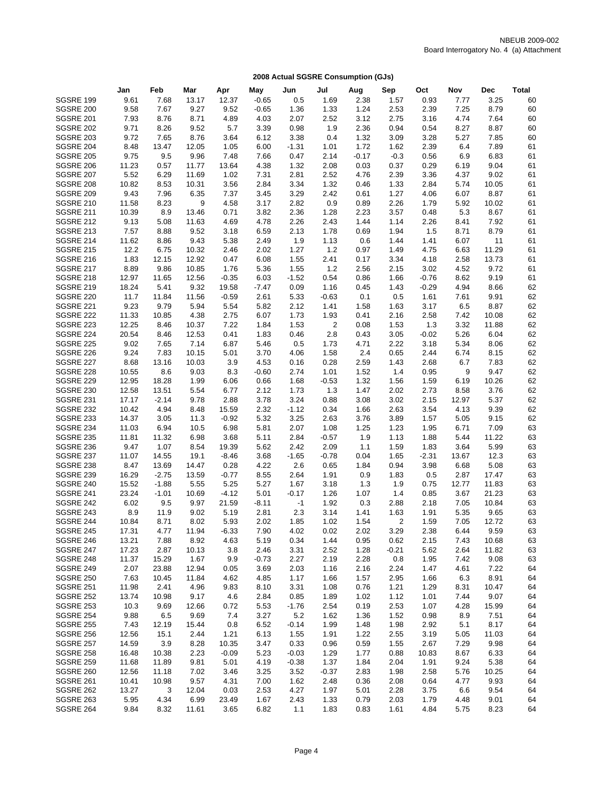|                                      | Jan            | Feb          | Mar            | Apr              | May          | Jun             | Jul          | Aug          | Sep          | Oct          | Nov          | <b>Dec</b>    | <b>Total</b> |
|--------------------------------------|----------------|--------------|----------------|------------------|--------------|-----------------|--------------|--------------|--------------|--------------|--------------|---------------|--------------|
| <b>SGSRE 199</b>                     | 9.61           | 7.68         | 13.17          | 12.37            | $-0.65$      | 0.5             | 1.69         | 2.38         | 1.57         | 0.93         | 7.77         | 3.25          | 60           |
| SGSRE 200                            | 9.58           | 7.67         | 9.27           | 9.52             | $-0.65$      | 1.36            | 1.33         | 1.24         | 2.53         | 2.39         | 7.25         | 8.79          | 60           |
| <b>SGSRE 201</b>                     | 7.93           | 8.76         | 8.71           | 4.89             | 4.03         | 2.07            | 2.52         | 3.12         | 2.75         | 3.16         | 4.74         | 7.64          | 60           |
| <b>SGSRE 202</b>                     | 9.71           | 8.26         | 9.52           | 5.7              | 3.39         | 0.98            | 1.9          | 2.36         | 0.94         | 0.54         | 8.27         | 8.87          | 60           |
| <b>SGSRE 203</b>                     | 9.72           | 7.65         | 8.76           | 3.64             | 6.12         | 3.38            | 0.4          | 1.32         | 3.09         | 3.28         | 5.27         | 7.85          | 60           |
| <b>SGSRE 204</b>                     | 8.48           | 13.47        | 12.05          | 1.05             | 6.00         | $-1.31$         | 1.01         | 1.72         | 1.62         | 2.39         | 6.4          | 7.89          | 61           |
| <b>SGSRE 205</b>                     | 9.75           | 9.5          | 9.96           | 7.48             | 7.66         | 0.47            | 2.14         | $-0.17$      | $-0.3$       | 0.56         | 6.9          | 6.83          | 61           |
| SGSRE 206                            | 11.23          | 0.57         | 11.77          | 13.64            | 4.38         | 1.32            | 2.08         | 0.03         | 0.37         | 0.29         | 6.19         | 9.04          | 61           |
| <b>SGSRE 207</b>                     | 5.52           | 6.29         | 11.69          | 1.02             | 7.31         | 2.81            | 2.52         | 4.76         | 2.39         | 3.36         | 4.37         | 9.02          | 61           |
| <b>SGSRE 208</b>                     | 10.82          | 8.53         | 10.31          | 3.56             | 2.84         | 3.34            | 1.32         | 0.46         | 1.33         | 2.84         | 5.74         | 10.05         | 61           |
| <b>SGSRE 209</b>                     | 9.43           | 7.96         | 6.35           | 7.37             | 3.45         | 3.29            | 2.42         | 0.61         | 1.27         | 4.06         | 6.07         | 8.87          | 61           |
| <b>SGSRE 210</b>                     | 11.58          | 8.23         | 9              | 4.58             | 3.17         | 2.82            | 0.9          | 0.89         | 2.26         | 1.79         | 5.92         | 10.02         | 61           |
| <b>SGSRE 211</b><br><b>SGSRE 212</b> | 10.39<br>9.13  | 8.9<br>5.08  | 13.46<br>11.63 | 0.71<br>4.69     | 3.82         | 2.36<br>2.26    | 1.28         | 2.23<br>1.44 | 3.57<br>1.14 | 0.48<br>2.26 | 5.3<br>8.41  | 8.67<br>7.92  | 61<br>61     |
| <b>SGSRE 213</b>                     | 7.57           | 8.88         | 9.52           | 3.18             | 4.78<br>6.59 | 2.13            | 2.43<br>1.78 | 0.69         | 1.94         | 1.5          | 8.71         | 8.79          | 61           |
| <b>SGSRE 214</b>                     | 11.62          | 8.86         | 9.43           | 5.38             | 2.49         | 1.9             | 1.13         | 0.6          | 1.44         | 1.41         | 6.07         | 11            | 61           |
| <b>SGSRE 215</b>                     | 12.2           | 6.75         | 10.32          | 2.46             | 2.02         | 1.27            | 1.2          | 0.97         | 1.49         | 4.75         | 6.63         | 11.29         | 61           |
| <b>SGSRE 216</b>                     | 1.83           | 12.15        | 12.92          | 0.47             | 6.08         | 1.55            | 2.41         | 0.17         | 3.34         | 4.18         | 2.58         | 13.73         | 61           |
| <b>SGSRE 217</b>                     | 8.89           | 9.86         | 10.85          | 1.76             | 5.36         | 1.55            | $1.2$        | 2.56         | 2.15         | 3.02         | 4.52         | 9.72          | 61           |
| SGSRE 218                            | 12.97          | 11.65        | 12.56          | $-0.35$          | 6.03         | $-1.52$         | 0.54         | 0.86         | 1.66         | $-0.76$      | 8.62         | 9.19          | 61           |
| <b>SGSRE 219</b>                     | 18.24          | 5.41         | 9.32           | 19.58            | $-7.47$      | 0.09            | 1.16         | 0.45         | 1.43         | $-0.29$      | 4.94         | 8.66          | 62           |
| SGSRE 220                            | 11.7           | 11.84        | 11.56          | $-0.59$          | 2.61         | 5.33            | $-0.63$      | 0.1          | 0.5          | 1.61         | 7.61         | 9.91          | 62           |
| <b>SGSRE 221</b>                     | 9.23           | 9.79         | 5.94           | 5.54             | 5.82         | 2.12            | 1.41         | 1.58         | 1.63         | 3.17         | 6.5          | 8.87          | 62           |
| <b>SGSRE 222</b>                     | 11.33          | 10.85        | 4.38           | 2.75             | 6.07         | 1.73            | 1.93         | 0.41         | 2.16         | 2.58         | 7.42         | 10.08         | 62           |
| <b>SGSRE 223</b>                     | 12.25          | 8.46         | 10.37          | 7.22             | 1.84         | 1.53            | 2            | 0.08         | 1.53         | 1.3          | 3.32         | 11.88         | 62           |
| <b>SGSRE 224</b>                     | 20.54          | 8.46         | 12.53          | 0.41             | 1.83         | 0.46            | 2.8          | 0.43         | 3.05         | $-0.02$      | 5.26         | 6.04          | 62           |
| <b>SGSRE 225</b>                     | 9.02           | 7.65         | 7.14           | 6.87             | 5.46         | 0.5             | 1.73         | 4.71         | 2.22         | 3.18         | 5.34         | 8.06          | 62           |
| <b>SGSRE 226</b>                     | 9.24           | 7.83         | 10.15          | 5.01             | 3.70         | 4.06            | 1.58         | 2.4          | 0.65         | 2.44         | 6.74         | 8.15          | 62           |
| <b>SGSRE 227</b>                     | 8.68           | 13.16        | 10.03          | 3.9              | 4.53         | 0.16            | 0.28         | 2.59         | 1.43         | 2.68         | 6.7          | 7.83          | 62           |
| <b>SGSRE 228</b>                     | 10.55          | 8.6          | 9.03           | 8.3              | $-0.60$      | 2.74            | 1.01         | 1.52         | 1.4          | 0.95         | 9            | 9.47          | 62           |
| <b>SGSRE 229</b>                     | 12.95          | 18.28        | 1.99           | 6.06             | 0.66         | 1.68            | $-0.53$      | 1.32         | 1.56         | 1.59         | 6.19         | 10.26         | 62           |
| <b>SGSRE 230</b>                     | 12.58          | 13.51        | 5.54           | 6.77             | 2.12         | 1.73            | 1.3          | 1.47         | 2.02         | 2.73         | 8.58         | 3.76          | 62           |
| <b>SGSRE 231</b>                     | 17.17          | $-2.14$      | 9.78           | 2.88             | 3.78         | 3.24            | 0.88         | 3.08         | 3.02         | 2.15         | 12.97        | 5.37          | 62           |
| <b>SGSRE 232</b><br><b>SGSRE 233</b> | 10.42<br>14.37 | 4.94<br>3.05 | 8.48           | 15.59<br>$-0.92$ | 2.32         | $-1.12$<br>3.25 | 0.34         | 1.66<br>3.76 | 2.63<br>3.89 | 3.54<br>1.57 | 4.13         | 9.39<br>9.15  | 62<br>62     |
| SGSRE 234                            | 11.03          | 6.94         | 11.3<br>10.5   | 6.98             | 5.32<br>5.81 | 2.07            | 2.63<br>1.08 | 1.25         | 1.23         | 1.95         | 5.05<br>6.71 | 7.09          | 63           |
| <b>SGSRE 235</b>                     | 11.81          | 11.32        | 6.98           | 3.68             | 5.11         | 2.84            | $-0.57$      | 1.9          | 1.13         | 1.88         | 5.44         | 11.22         | 63           |
| SGSRE 236                            | 9.47           | 1.07         | 8.54           | 19.39            | 5.62         | 2.42            | 2.09         | 1.1          | 1.59         | 1.83         | 3.64         | 5.99          | 63           |
| <b>SGSRE 237</b>                     | 11.07          | 14.55        | 19.1           | $-8.46$          | 3.68         | $-1.65$         | $-0.78$      | 0.04         | 1.65         | $-2.31$      | 13.67        | 12.3          | 63           |
| SGSRE 238                            | 8.47           | 13.69        | 14.47          | 0.28             | 4.22         | 2.6             | 0.65         | 1.84         | 0.94         | 3.98         | 6.68         | 5.08          | 63           |
| <b>SGSRE 239</b>                     | 16.29          | $-2.75$      | 13.59          | $-0.77$          | 8.55         | 2.64            | 1.91         | 0.9          | 1.83         | 0.5          | 2.87         | 17.47         | 63           |
| SGSRE 240                            | 15.52          | $-1.88$      | 5.55           | 5.25             | 5.27         | 1.67            | 3.18         | 1.3          | 1.9          | 0.75         | 12.77        | 11.83         | 63           |
| <b>SGSRE 241</b>                     | 23.24          | $-1.01$      | 10.69          | $-4.12$          | 5.01         | $-0.17$         | 1.26         | 1.07         | 1.4          | 0.85         | 3.67         | 21.23         | 63           |
| SGSRE 242                            | 6.02           | 9.5          | 9.97           | 21.59            | $-8.11$      | $-1$            | 1.92         | 0.3          | 2.88         | 2.18         | 7.05         | 10.84         | 63           |
| SGSRE 243                            | 8.9            | 11.9         | 9.02           | 5.19             | 2.81         | 2.3             | 3.14         | 1.41         | 1.63         | 1.91         | 5.35         | 9.65          | 63           |
| <b>SGSRE 244</b>                     | 10.84          | 8.71         | 8.02           | 5.93             | 2.02         | 1.85            | 1.02         | 1.54         | 2            | 1.59         | 7.05         | 12.72         | 63           |
| <b>SGSRE 245</b>                     | 17.31          | 4.77         | 11.94          | $-6.33$          | 7.90         | 4.02            | 0.02         | 2.02         | 3.29         | 2.38         | 6.44         | 9.59          | 63           |
| SGSRE 246                            | 13.21          | 7.88         | 8.92           | 4.63             | 5.19         | 0.34            | 1.44         | 0.95         | 0.62         | 2.15         | 7.43         | 10.68         | 63           |
| <b>SGSRE 247</b>                     | 17.23          | 2.87         | 10.13          | 3.8              | 2.46         | 3.31            | 2.52         | 1.28         | $-0.21$      | 5.62         | 2.64         | 11.82         | 63           |
| SGSRE 248                            | 11.37          | 15.29        | 1.67           | 9.9              | $-0.73$      | 2.27            | 2.19         | 2.28         | 0.8          | 1.95         | 7.42         | 9.08          | 63           |
| SGSRE 249                            | 2.07           | 23.88        | 12.94          | 0.05             | 3.69         | 2.03            | 1.16         | 2.16         | 2.24         | 1.47         | 4.61         | 7.22          | 64           |
| <b>SGSRE 250</b>                     | 7.63           | 10.45        | 11.84          | 4.62             | 4.85         | 1.17            | 1.66         | 1.57         | 2.95         | 1.66         | 6.3          | 8.91          | 64           |
| <b>SGSRE 251</b>                     | 11.98          | 2.41         | 4.96           | 9.83             | 8.10         | 3.31            | 1.08         | 0.76         | 1.21         | 1.29         | 8.31         | 10.47         | 64           |
| <b>SGSRE 252</b>                     | 13.74          | 10.98        | 9.17           | 4.6              | 2.84         | 0.85            | 1.89         | 1.02         | 1.12         | 1.01         | 7.44         | 9.07          | 64           |
| <b>SGSRE 253</b><br><b>SGSRE 254</b> | 10.3<br>9.88   | 9.69<br>6.5  | 12.66<br>9.69  | 0.72<br>7.4      | 5.53<br>3.27 | $-1.76$<br>5.2  | 2.54<br>1.62 | 0.19<br>1.36 | 2.53<br>1.52 | 1.07<br>0.98 | 4.28<br>8.9  | 15.99<br>7.51 | 64<br>64     |
| <b>SGSRE 255</b>                     | 7.43           | 12.19        | 15.44          | 0.8              | 6.52         | $-0.14$         | 1.99         | 1.48         | 1.98         | 2.92         | 5.1          | 8.17          | 64           |
| <b>SGSRE 256</b>                     | 12.56          | 15.1         | 2.44           | 1.21             | 6.13         | 1.55            | 1.91         | 1.22         | 2.55         | 3.19         | 5.05         | 11.03         | 64           |
| <b>SGSRE 257</b>                     | 14.59          | 3.9          | 8.28           | 10.35            | 3.47         | 0.33            | 0.96         | 0.59         | 1.55         | 2.67         | 7.29         | 9.98          | 64           |
| SGSRE 258                            | 16.48          | 10.38        | 2.23           | $-0.09$          | 5.23         | $-0.03$         | 1.29         | 1.77         | 0.88         | 10.83        | 8.67         | 6.33          | 64           |
| <b>SGSRE 259</b>                     | 11.68          | 11.89        | 9.81           | 5.01             | 4.19         | $-0.38$         | 1.37         | 1.84         | 2.04         | 1.91         | 9.24         | 5.38          | 64           |
| SGSRE 260                            | 12.56          | 11.18        | 7.02           | 3.46             | 3.25         | 3.52            | $-0.37$      | 2.83         | 1.98         | 2.58         | 5.76         | 10.25         | 64           |
| <b>SGSRE 261</b>                     | 10.41          | 10.98        | 9.57           | 4.31             | 7.00         | 1.62            | 2.48         | 0.36         | 2.08         | 0.64         | 4.77         | 9.93          | 64           |
| SGSRE 262                            | 13.27          | 3            | 12.04          | 0.03             | 2.53         | 4.27            | 1.97         | 5.01         | 2.28         | 3.75         | 6.6          | 9.54          | 64           |
| SGSRE 263                            | 5.95           | 4.34         | 6.99           | 23.49            | 1.67         | 2.43            | 1.33         | 0.79         | 2.03         | 1.79         | 4.48         | 9.01          | 64           |
| SGSRE 264                            | 9.84           | 8.32         | 11.61          | 3.65             | 6.82         | 1.1             | 1.83         | 0.83         | 1.61         | 4.84         | 5.75         | 8.23          | 64           |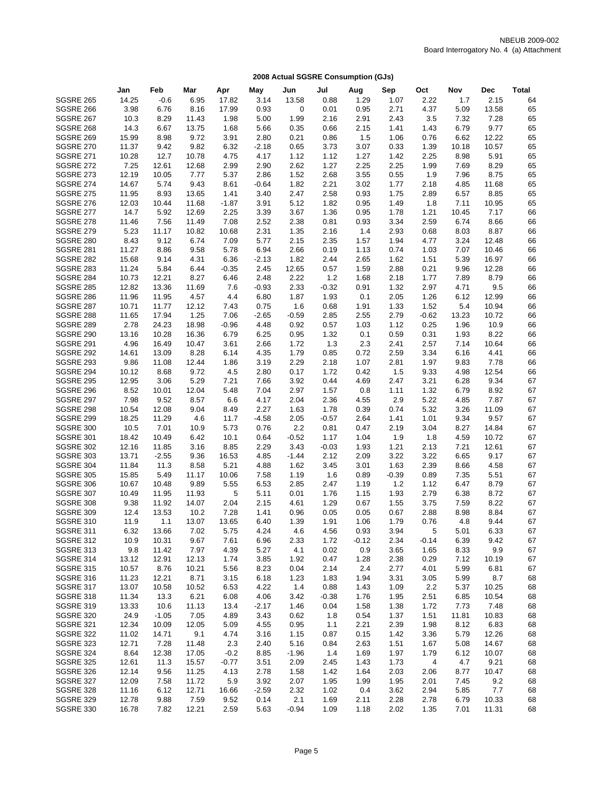|                                      | Jan           | Feb              | Mar           | Apr           | May          | Jun            | Jul          | Aug          | Sep          | Oct          | Nov           | <b>Dec</b>     | <b>Total</b> |
|--------------------------------------|---------------|------------------|---------------|---------------|--------------|----------------|--------------|--------------|--------------|--------------|---------------|----------------|--------------|
| <b>SGSRE 265</b>                     | 14.25         | $-0.6$           | 6.95          | 17.82         | 3.14         | 13.58          | 0.88         | 1.29         | 1.07         | 2.22         | 1.7           | 2.15           | 64           |
| SGSRE 266                            | 3.98          | 6.76             | 8.16          | 17.99         | 0.93         | 0              | 0.01         | 0.95         | 2.71         | 4.37         | 5.09          | 13.58          | 65           |
| <b>SGSRE 267</b>                     | 10.3          | 8.29             | 11.43         | 1.98          | 5.00         | 1.99           | 2.16         | 2.91         | 2.43         | 3.5          | 7.32          | 7.28           | 65           |
| <b>SGSRE 268</b>                     | 14.3          | 6.67             | 13.75         | 1.68          | 5.66         | 0.35           | 0.66         | 2.15         | 1.41         | 1.43         | 6.79          | 9.77           | 65           |
| <b>SGSRE 269</b>                     | 15.99         | 8.98             | 9.72          | 3.91          | 2.80         | 0.21           | 0.86         | 1.5          | 1.06         | 0.76         | 6.62          | 12.22          | 65           |
| <b>SGSRE 270</b>                     | 11.37         | 9.42             | 9.82          | 6.32          | $-2.18$      | 0.65           | 3.73         | 3.07         | 0.33         | 1.39         | 10.18         | 10.57          | 65           |
| <b>SGSRE 271</b>                     | 10.28         | 12.7             | 10.78         | 4.75          | 4.17         | 1.12           | 1.12         | 1.27         | 1.42         | 2.25         | 8.98          | 5.91           | 65           |
| <b>SGSRE 272</b>                     | 7.25          | 12.61            | 12.68         | 2.99          | 2.90         | 2.62           | 1.27         | 2.25         | 2.25         | 1.99         | 7.69          | 8.29           | 65           |
| SGSRE 273                            | 12.19         | 10.05            | 7.77          | 5.37          | 2.86         | 1.52           | 2.68         | 3.55         | 0.55         | 1.9          | 7.96          | 8.75           | 65           |
| SGSRE 274                            | 14.67         | 5.74             | 9.43          | 8.61          | $-0.64$      | 1.82           | 2.21         | 3.02         | 1.77         | 2.18         | 4.85          | 11.68          | 65           |
| <b>SGSRE 275</b>                     | 11.95         | 8.93             | 13.65         | 1.41          | 3.40         | 2.47           | 2.58         | 0.93         | 1.75         | 2.89         | 6.57          | 8.85           | 65           |
| <b>SGSRE 276</b>                     | 12.03         | 10.44            | 11.68         | $-1.87$       | 3.91         | 5.12           | 1.82         | 0.95         | 1.49         | 1.8          | 7.11          | 10.95          | 65           |
| <b>SGSRE 277</b>                     | 14.7          | 5.92             | 12.69         | 2.25          | 3.39         | 3.67           | 1.36         | 0.95         | 1.78         | 1.21         | 10.45         | 7.17           | 66           |
| <b>SGSRE 278</b><br><b>SGSRE 279</b> | 11.46<br>5.23 | 7.56             | 11.49         | 7.08<br>10.68 | 2.52         | 2.38           | 0.81         | 0.93         | 3.34<br>2.93 | 2.59         | 6.74          | 8.66<br>8.87   | 66<br>66     |
| SGSRE 280                            | 8.43          | 11.17<br>9.12    | 10.82<br>6.74 | 7.09          | 2.31<br>5.77 | 1.35<br>2.15   | 2.16<br>2.35 | 1.4<br>1.57  | 1.94         | 0.68<br>4.77 | 8.03<br>3.24  | 12.48          | 66           |
| <b>SGSRE 281</b>                     | 11.27         | 8.86             | 9.58          | 5.78          | 6.94         | 2.66           | 0.19         | 1.13         | 0.74         | 1.03         | 7.07          | 10.46          | 66           |
| SGSRE 282                            | 15.68         | 9.14             | 4.31          | 6.36          | $-2.13$      | 1.82           | 2.44         | 2.65         | 1.62         | 1.51         | 5.39          | 16.97          | 66           |
| SGSRE 283                            | 11.24         | 5.84             | 6.44          | $-0.35$       | 2.45         | 12.65          | 0.57         | 1.59         | 2.88         | 0.21         | 9.96          | 12.28          | 66           |
| SGSRE 284                            | 10.73         | 12.21            | 8.27          | 6.46          | 2.48         | 2.22           | 1.2          | 1.68         | 2.18         | 1.77         | 7.89          | 8.79           | 66           |
| <b>SGSRE 285</b>                     | 12.82         | 13.36            | 11.69         | 7.6           | $-0.93$      | 2.33           | $-0.32$      | 0.91         | 1.32         | 2.97         | 4.71          | 9.5            | 66           |
| SGSRE 286                            | 11.96         | 11.95            | 4.57          | 4.4           | 6.80         | 1.87           | 1.93         | 0.1          | 2.05         | 1.26         | 6.12          | 12.99          | 66           |
| SGSRE 287                            | 10.71         | 11.77            | 12.12         | 7.43          | 0.75         | 1.6            | 0.68         | 1.91         | 1.33         | 1.52         | 5.4           | 10.94          | 66           |
| SGSRE 288                            | 11.65         | 17.94            | 1.25          | 7.06          | $-2.65$      | $-0.59$        | 2.85         | 2.55         | 2.79         | $-0.62$      | 13.23         | 10.72          | 66           |
| <b>SGSRE 289</b>                     | 2.78          | 24.23            | 18.98         | $-0.96$       | 4.48         | 0.92           | 0.57         | 1.03         | 1.12         | 0.25         | 1.96          | 10.9           | 66           |
| SGSRE 290                            | 13.16         | 10.28            | 16.36         | 6.79          | 6.25         | 0.95           | 1.32         | 0.1          | 0.59         | 0.31         | 1.93          | 8.22           | 66           |
| <b>SGSRE 291</b>                     | 4.96          | 16.49            | 10.47         | 3.61          | 2.66         | 1.72           | 1.3          | 2.3          | 2.41         | 2.57         | 7.14          | 10.64          | 66           |
| <b>SGSRE 292</b>                     | 14.61         | 13.09            | 8.28          | 6.14          | 4.35         | 1.79           | 0.85         | 0.72         | 2.59         | 3.34         | 6.16          | 4.41           | 66           |
| <b>SGSRE 293</b>                     | 9.86          | 11.08            | 12.44         | 1.86          | 3.19         | 2.29           | 2.18         | 1.07         | 2.81         | 1.97         | 9.83          | 7.78           | 66           |
| <b>SGSRE 294</b>                     | 10.12         | 8.68             | 9.72          | 4.5           | 2.80         | 0.17           | 1.72         | 0.42         | 1.5          | 9.33         | 4.98          | 12.54          | 66           |
| <b>SGSRE 295</b>                     | 12.95         | 3.06             | 5.29          | 7.21          | 7.66         | 3.92           | 0.44         | 4.69         | 2.47         | 3.21         | 6.28          | 9.34           | 67           |
| SGSRE 296                            | 8.52          | 10.01            | 12.04         | 5.48          | 7.04         | 2.97           | 1.57         | 0.8          | 1.11         | 1.32         | 6.79          | 8.92           | 67           |
| <b>SGSRE 297</b>                     | 7.98          | 9.52             | 8.57          | 6.6           | 4.17         | 2.04           | 2.36         | 4.55         | 2.9          | 5.22         | 4.85          | 7.87           | 67           |
| SGSRE 298                            | 10.54         | 12.08            | 9.04          | 8.49          | 2.27         | 1.63           | 1.78         | 0.39         | 0.74         | 5.32         | 3.26          | 11.09          | 67           |
| <b>SGSRE 299</b><br>SGSRE 300        | 18.25         | 11.29            | 4.6           | 11.7          | $-4.58$      | 2.05           | $-0.57$      | 2.64         | 1.41         | 1.01         | 9.34          | 9.57           | 67<br>67     |
| <b>SGSRE 301</b>                     | 10.5<br>18.42 | 7.01<br>10.49    | 10.9<br>6.42  | 5.73<br>10.1  | 0.76<br>0.64 | 2.2<br>$-0.52$ | 0.81<br>1.17 | 0.47<br>1.04 | 2.19<br>1.9  | 3.04<br>1.8  | 8.27<br>4.59  | 14.84<br>10.72 | 67           |
| <b>SGSRE 302</b>                     | 12.16         | 11.85            | 3.16          | 8.85          | 2.29         | 3.43           | $-0.03$      | 1.93         | 1.21         | 2.13         | 7.21          | 12.61          | 67           |
| <b>SGSRE 303</b>                     | 13.71         | $-2.55$          | 9.36          | 16.53         | 4.85         | $-1.44$        | 2.12         | 2.09         | 3.22         | 3.22         | 6.65          | 9.17           | 67           |
| SGSRE 304                            | 11.84         | 11.3             | 8.58          | 5.21          | 4.88         | 1.62           | 3.45         | 3.01         | 1.63         | 2.39         | 8.66          | 4.58           | 67           |
| <b>SGSRE 305</b>                     | 15.85         | 5.49             | 11.17         | 10.06         | 7.58         | 1.19           | 1.6          | 0.89         | $-0.39$      | 0.89         | 7.35          | 5.51           | 67           |
| SGSRE 306                            | 10.67         | 10.48            | 9.89          | 5.55          | 6.53         | 2.85           | 2.47         | 1.19         | 1.2          | 1.12         | 6.47          | 8.79           | 67           |
| SGSRE 307                            | 10.49         | 11.95            | 11.93         | 5             | 5.11         | 0.01           | 1.76         | 1.15         | 1.93         | 2.79         | 6.38          | 8.72           | 67           |
| SGSRE 308                            | 9.38          | 11.92            | 14.07         | 2.04          | 2.15         | 4.61           | 1.29         | 0.67         | 1.55         | 3.75         | 7.59          | 8.22           | 67           |
| SGSRE 309                            | 12.4          | 13.53            | 10.2          | 7.28          | 1.41         | 0.96           | 0.05         | 0.05         | 0.67         | 2.88         | 8.98          | 8.84           | 67           |
| <b>SGSRE 310</b>                     | 11.9          | 1.1              | 13.07         | 13.65         | 6.40         | 1.39           | 1.91         | 1.06         | 1.79         | 0.76         | 4.8           | 9.44           | 67           |
| <b>SGSRE 311</b>                     | 6.32          | 13.66            | 7.02          | 5.75          | 4.24         | 4.6            | 4.56         | 0.93         | 3.94         | 5            | 5.01          | 6.33           | 67           |
| <b>SGSRE 312</b>                     | 10.9          | 10.31            | 9.67          | 7.61          | 6.96         | 2.33           | 1.72         | $-0.12$      | 2.34         | $-0.14$      | 6.39          | 9.42           | 67           |
| <b>SGSRE 313</b>                     | 9.8           | 11.42            | 7.97          | 4.39          | 5.27         | 4.1            | 0.02         | 0.9          | 3.65         | 1.65         | 8.33          | 9.9            | 67           |
| SGSRE 314                            | 13.12         | 12.91            | 12.13         | 1.74          | 3.85         | 1.92           | 0.47         | 1.28         | 2.38         | 0.29         | 7.12          | 10.19          | 67           |
| <b>SGSRE 315</b>                     | 10.57         | 8.76             | 10.21         | 5.56          | 8.23         | 0.04           | 2.14         | 2.4          | 2.77         | 4.01         | 5.99          | 6.81           | 67           |
| <b>SGSRE 316</b>                     | 11.23         | 12.21            | 8.71          | 3.15          | 6.18         | 1.23           | 1.83         | 1.94         | 3.31         | 3.05         | 5.99          | 8.7            | 68           |
| SGSRE 317                            | 13.07         | 10.58            | 10.52         | 6.53          | 4.22         | 1.4            | 0.88         | 1.43         | 1.09         | 2.2          | 5.37          | 10.25          | 68           |
| SGSRE 318                            | 11.34         | 13.3             | 6.21          | 6.08          | 4.06         | 3.42           | $-0.38$      | 1.76         | 1.95         | 2.51         | 6.85          | 10.54          | 68           |
| <b>SGSRE 319</b>                     | 13.33         | 10.6             | 11.13         | 13.4          | $-2.17$      | 1.46           | 0.04         | 1.58         | 1.38         | 1.72         | 7.73          | 7.48           | 68           |
| <b>SGSRE 320</b><br><b>SGSRE 321</b> | 24.9<br>12.34 | $-1.05$<br>10.09 | 7.05<br>12.05 | 4.89<br>5.09  | 3.43<br>4.55 | 0.62<br>0.95   | 1.8          | 0.54<br>2.21 | 1.37<br>2.39 | 1.51<br>1.98 | 11.81<br>8.12 | 10.83<br>6.83  | 68           |
| <b>SGSRE 322</b>                     | 11.02         | 14.71            | 9.1           | 4.74          | 3.16         | 1.15           | 1.1<br>0.87  | 0.15         | 1.42         | 3.36         | 5.79          | 12.26          | 68<br>68     |
| <b>SGSRE 323</b>                     | 12.71         | 7.28             | 11.48         | 2.3           | 2.40         | 5.16           | 0.84         | 2.63         | 1.51         | 1.67         | 5.08          | 14.67          | 68           |
| <b>SGSRE 324</b>                     | 8.64          | 12.38            | 17.05         | $-0.2$        | 8.85         | $-1.96$        | 1.4          | 1.69         | 1.97         | 1.79         | 6.12          | 10.07          | 68           |
| <b>SGSRE 325</b>                     | 12.61         | 11.3             | 15.57         | $-0.77$       | 3.51         | 2.09           | 2.45         | 1.43         | 1.73         | 4            | 4.7           | 9.21           | 68           |
| SGSRE 326                            | 12.14         | 9.56             | 11.25         | 4.13          | 2.78         | 1.58           | 1.42         | 1.64         | 2.03         | 2.06         | 8.77          | 10.47          | 68           |
| SGSRE 327                            | 12.09         | 7.58             | 11.72         | 5.9           | 3.92         | 2.07           | 1.95         | 1.99         | 1.95         | 2.01         | 7.45          | 9.2            | 68           |
| SGSRE 328                            | 11.16         | 6.12             | 12.71         | 16.66         | $-2.59$      | 2.32           | 1.02         | 0.4          | 3.62         | 2.94         | 5.85          | 7.7            | 68           |
| <b>SGSRE 329</b>                     | 12.78         | 9.88             | 7.59          | 9.52          | 0.14         | 2.1            | 1.69         | 2.11         | 2.28         | 2.78         | 6.79          | 10.33          | 68           |
| SGSRE 330                            | 16.78         | 7.82             | 12.21         | 2.59          | 5.63         | $-0.94$        | 1.09         | 1.18         | 2.02         | 1.35         | 7.01          | 11.31          | 68           |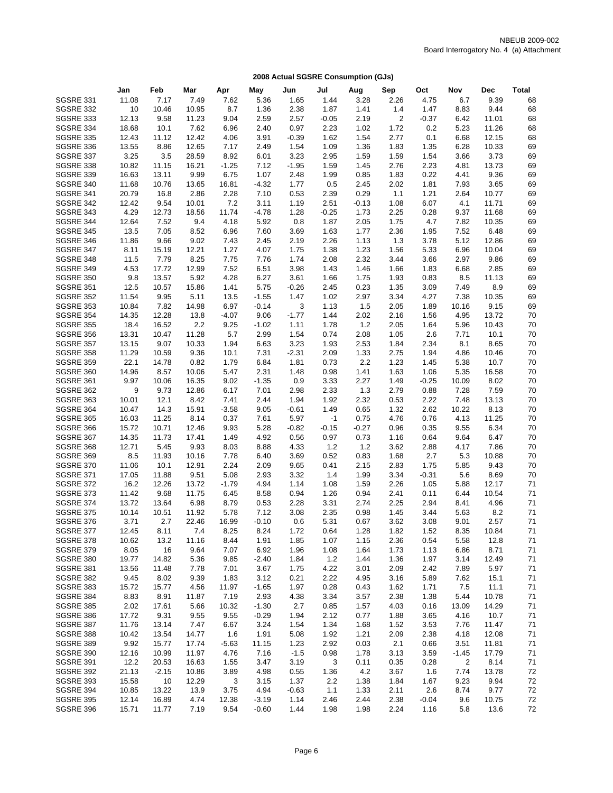|                               | Jan            | Feb            | Mar            | Apr          | May             | Jun             | Jul             | Aug             | Sep            | Oct          | Nov          | Dec           | <b>Total</b> |
|-------------------------------|----------------|----------------|----------------|--------------|-----------------|-----------------|-----------------|-----------------|----------------|--------------|--------------|---------------|--------------|
| <b>SGSRE 331</b>              | 11.08          | 7.17           | 7.49           | 7.62         | 5.36            | 1.65            | 1.44            | 3.28            | 2.26           | 4.75         | 6.7          | 9.39          | 68           |
| <b>SGSRE 332</b>              | 10             | 10.46          | 10.95          | 8.7          | 1.36            | 2.38            | 1.87            | 1.41            | 1.4            | 1.47         | 8.83         | 9.44          | 68           |
| <b>SGSRE 333</b>              | 12.13          | 9.58           | 11.23          | 9.04         | 2.59            | 2.57            | $-0.05$         | 2.19            | $\overline{2}$ | $-0.37$      | 6.42         | 11.01         | 68           |
| SGSRE 334                     | 18.68          | 10.1           | 7.62           | 6.96         | 2.40            | 0.97            | 2.23            | 1.02            | 1.72           | 0.2          | 5.23         | 11.26         | 68           |
| <b>SGSRE 335</b>              | 12.43          | 11.12          | 12.42          | 4.06         | 3.91            | $-0.39$         | 1.62            | 1.54            | 2.77           | 0.1          | 6.68         | 12.15         | 68           |
| <b>SGSRE 336</b>              | 13.55          | 8.86           | 12.65          | 7.17         | 2.49            | 1.54            | 1.09            | 1.36            | 1.83           | 1.35         | 6.28         | 10.33         | 69           |
| <b>SGSRE 337</b>              | 3.25           | 3.5            | 28.59          | 8.92         | 6.01            | 3.23            | 2.95            | 1.59            | 1.59           | 1.54         | 3.66         | 3.73          | 69           |
| SGSRE 338                     | 10.82          | 11.15          | 16.21          | $-1.25$      | 7.12            | $-1.95$         | 1.59            | 1.45            | 2.76           | 2.23         | 4.81         | 13.73         | 69           |
| <b>SGSRE 339</b>              | 16.63          | 13.11          | 9.99           | 6.75         | 1.07            | 2.48            | 1.99            | 0.85            | 1.83           | 0.22         | 4.41         | 9.36          | 69           |
| SGSRE 340                     | 11.68          | 10.76          | 13.65          | 16.81        | $-4.32$         | 1.77            | 0.5             | 2.45            | 2.02           | 1.81         | 7.93         | 3.65          | 69           |
| SGSRE 341                     | 20.79          | 16.8           | 2.86           | 2.28         | 7.10            | 0.53            | 2.39            | 0.29            | 1.1            | 1.21         | 2.64         | 10.77         | 69           |
| SGSRE 342                     | 12.42          | 9.54           | 10.01          | 7.2          | 3.11            | 1.19            | 2.51            | $-0.13$         | 1.08           | 6.07         | 4.1          | 11.71         | 69           |
| SGSRE 343                     | 4.29           | 12.73          | 18.56          | 11.74        | $-4.78$         | 1.28            | $-0.25$         | 1.73            | 2.25           | 0.28         | 9.37         | 11.68         | 69           |
| <b>SGSRE 344</b>              | 12.64          | 7.52           | 9.4            | 4.18         | 5.92            | 0.8             | 1.87            | 2.05            | 1.75           | 4.7          | 7.82         | 10.35         | 69           |
| <b>SGSRE 345</b><br>SGSRE 346 | 13.5<br>11.86  | 7.05<br>9.66   | 8.52<br>9.02   | 6.96<br>7.43 | 7.60<br>2.45    | 3.69<br>2.19    | 1.63<br>2.26    | 1.77<br>1.13    | 2.36<br>1.3    | 1.95<br>3.78 | 7.52<br>5.12 | 6.48<br>12.86 | 69<br>69     |
| SGSRE 347                     | 8.11           | 15.19          | 12.21          | 1.27         | 4.07            | 1.75            | 1.38            | 1.23            | 1.56           | 5.33         | 6.96         | 10.04         | 69           |
| SGSRE 348                     | 11.5           | 7.79           | 8.25           | 7.75         | 7.76            | 1.74            | 2.08            | 2.32            | 3.44           | 3.66         | 2.97         | 9.86          | 69           |
| <b>SGSRE 349</b>              | 4.53           | 17.72          | 12.99          | 7.52         | 6.51            | 3.98            | 1.43            | 1.46            | 1.66           | 1.83         | 6.68         | 2.85          | 69           |
| <b>SGSRE 350</b>              | 9.8            | 13.57          | 5.92           | 4.28         | 6.27            | 3.61            | 1.66            | 1.75            | 1.93           | 0.83         | 8.5          | 11.13         | 69           |
| <b>SGSRE 351</b>              | 12.5           | 10.57          | 15.86          | 1.41         | 5.75            | $-0.26$         | 2.45            | 0.23            | 1.35           | 3.09         | 7.49         | 8.9           | 69           |
| <b>SGSRE 352</b>              | 11.54          | 9.95           | 5.11           | 13.5         | $-1.55$         | 1.47            | 1.02            | 2.97            | 3.34           | 4.27         | 7.38         | 10.35         | 69           |
| <b>SGSRE 353</b>              | 10.84          | 7.82           | 14.98          | 6.97         | $-0.14$         | 3               | 1.13            | 1.5             | 2.05           | 1.89         | 10.16        | 9.15          | 69           |
| <b>SGSRE 354</b>              | 14.35          | 12.28          | 13.8           | $-4.07$      | 9.06            | $-1.77$         | 1.44            | 2.02            | 2.16           | 1.56         | 4.95         | 13.72         | 70           |
| <b>SGSRE 355</b>              | 18.4           | 16.52          | 2.2            | 9.25         | $-1.02$         | 1.11            | 1.78            | 1.2             | 2.05           | 1.64         | 5.96         | 10.43         | 70           |
| <b>SGSRE 356</b>              | 13.31          | 10.47          | 11.28          | 5.7          | 2.99            | 1.54            | 0.74            | 2.08            | 1.05           | 2.6          | 7.71         | 10.1          | 70           |
| <b>SGSRE 357</b>              | 13.15          | 9.07           | 10.33          | 1.94         | 6.63            | 3.23            | 1.93            | 2.53            | 1.84           | 2.34         | 8.1          | 8.65          | 70           |
| <b>SGSRE 358</b>              | 11.29          | 10.59          | 9.36           | 10.1         | 7.31            | $-2.31$         | 2.09            | 1.33            | 2.75           | 1.94         | 4.86         | 10.46         | 70           |
| <b>SGSRE 359</b>              | 22.1           | 14.78          | 0.82           | 1.79         | 6.84            | 1.81            | 0.73            | 2.2             | 1.23           | 1.45         | 5.38         | 10.7          | 70           |
| SGSRE 360                     | 14.96          | 8.57           | 10.06          | 5.47         | 2.31            | 1.48            | 0.98            | 1.41            | 1.63           | 1.06         | 5.35         | 16.58         | 70           |
| <b>SGSRE 361</b>              | 9.97           | 10.06          | 16.35          | 9.02         | $-1.35$         | 0.9             | 3.33            | 2.27            | 1.49           | $-0.25$      | 10.09        | 8.02          | 70           |
| SGSRE 362                     | 9              | 9.73           | 12.86          | 6.17         | 7.01            | 2.98            | 2.33            | 1.3             | 2.79           | 0.88         | 7.28         | 7.59          | 70           |
| SGSRE 363                     | 10.01          | 12.1           | 8.42           | 7.41         | 2.44            | 1.94            | 1.92            | 2.32            | 0.53           | 2.22         | 7.48         | 13.13         | 70           |
| SGSRE 364                     | 10.47          | 14.3           | 15.91          | $-3.58$      | 9.05            | $-0.61$         | 1.49            | 0.65            | 1.32           | 2.62         | 10.22        | 8.13          | 70           |
| <b>SGSRE 365</b>              | 16.03          | 11.25          | 8.14           | 0.37<br>9.93 | 7.61            | 5.97            | $-1$            | 0.75            | 4.76           | 0.76         | 4.13         | 11.25<br>6.34 | 70<br>70     |
| SGSRE 366<br>SGSRE 367        | 15.72<br>14.35 | 10.71<br>11.73 | 12.46<br>17.41 | 1.49         | 5.28<br>4.92    | $-0.82$<br>0.56 | $-0.15$<br>0.97 | $-0.27$<br>0.73 | 0.96<br>1.16   | 0.35<br>0.64 | 9.55<br>9.64 | 6.47          | 70           |
| SGSRE 368                     | 12.71          | 5.45           | 9.93           | 8.03         | 8.88            | 4.33            | $1.2$           | 1.2             | 3.62           | 2.88         | 4.17         | 7.86          | 70           |
| <b>SGSRE 369</b>              | 8.5            | 11.93          | 10.16          | 7.78         | 6.40            | 3.69            | 0.52            | 0.83            | 1.68           | 2.7          | 5.3          | 10.88         | 70           |
| <b>SGSRE 370</b>              | 11.06          | 10.1           | 12.91          | 2.24         | 2.09            | 9.65            | 0.41            | 2.15            | 2.83           | 1.75         | 5.85         | 9.43          | 70           |
| <b>SGSRE 371</b>              | 17.05          | 11.88          | 9.51           | 5.08         | 2.93            | 3.32            | 1.4             | 1.99            | 3.34           | $-0.31$      | 5.6          | 8.69          | 70           |
| <b>SGSRE 372</b>              | 16.2           | 12.26          | 13.72          | $-1.79$      | 4.94            | 1.14            | 1.08            | 1.59            | 2.26           | 1.05         | 5.88         | 12.17         | 71           |
| <b>SGSRE 373</b>              | 11.42          | 9.68           | 11.75          | 6.45         | 8.58            | 0.94            | 1.26            | 0.94            | 2.41           | 0.11         | 6.44         | 10.54         | 71           |
| <b>SGSRE 374</b>              | 13.72          | 13.64          | 6.98           | 8.79         | 0.53            | 2.28            | 3.31            | 2.74            | 2.25           | 2.94         | 8.41         | 4.96          | 71           |
| <b>SGSRE 375</b>              | 10.14          | 10.51          | 11.92          | 5.78         | 7.12            | 3.08            | 2.35            | 0.98            | 1.45           | 3.44         | 5.63         | 8.2           | 71           |
| <b>SGSRE 376</b>              | 3.71           | 2.7            | 22.46          | 16.99        | $-0.10$         | 0.6             | 5.31            | 0.67            | 3.62           | 3.08         | 9.01         | 2.57          | 71           |
| <b>SGSRE 377</b>              | 12.45          | 8.11           | 7.4            | 8.25         | 8.24            | 1.72            | 0.64            | 1.28            | 1.82           | 1.52         | 8.35         | 10.84         | 71           |
| SGSRE 378                     | 10.62          | 13.2           | 11.16          | 8.44         | 1.91            | 1.85            | 1.07            | 1.15            | 2.36           | 0.54         | 5.58         | 12.8          | 71           |
| <b>SGSRE 379</b>              | 8.05           | 16             | 9.64           | 7.07         | 6.92            | 1.96            | 1.08            | 1.64            | 1.73           | 1.13         | 6.86         | 8.71          | 71           |
| SGSRE 380                     | 19.77          | 14.82          | 5.36           | 9.85         | $-2.40$         | 1.84            | $1.2$           | 1.44            | 1.36           | 1.97         | 3.14         | 12.49         | 71           |
| SGSRE 381                     | 13.56          | 11.48          | 7.78           | 7.01         | 3.67            | 1.75            | 4.22            | 3.01            | 2.09           | 2.42         | 7.89         | 5.97          | 71           |
| SGSRE 382                     | 9.45           | 8.02           | 9.39           | 1.83         | 3.12            | 0.21            | 2.22            | 4.95            | 3.16           | 5.89         | 7.62         | 15.1          | 71           |
| SGSRE 383                     | 15.72          | 15.77          | 4.56           | 11.97        | $-1.65$         | 1.97            | 0.28            | 0.43            | 1.62           | 1.71         | 7.5          | 11.1          | 71           |
| SGSRE 384                     | 8.83           | 8.91           | 11.87          | 7.19         | 2.93            | 4.38            | 3.34            | 3.57            | 2.38           | 1.38         | 5.44         | 10.78         | 71           |
| <b>SGSRE 385</b>              | 2.02           | 17.61          | 5.66           | 10.32        | $-1.30$         | 2.7             | 0.85            | 1.57            | 4.03           | 0.16         | 13.09        | 14.29         | 71           |
| SGSRE 386<br>SGSRE 387        | 17.72<br>11.76 | 9.31<br>13.14  | 9.55<br>7.47   | 9.55<br>6.67 | $-0.29$<br>3.24 | 1.94<br>1.54    | 2.12<br>1.34    | 0.77            | 1.88<br>1.52   | 3.65<br>3.53 | 4.16         | 10.7<br>11.47 | 71           |
| SGSRE 388                     | 10.42          | 13.54          | 14.77          | 1.6          | 1.91            | 5.08            | 1.92            | 1.68<br>1.21    | 2.09           | 2.38         | 7.76<br>4.18 | 12.08         | 71<br>71     |
| SGSRE 389                     | 9.92           | 15.77          | 17.74          | $-5.63$      | 11.15           | 1.23            | 2.92            | 0.03            | 2.1            | 0.66         | 3.51         | 11.81         | 71           |
| SGSRE 390                     | 12.16          | 10.99          | 11.97          | 4.76         | 7.16            | $-1.5$          | 0.98            | 1.78            | 3.13           | 3.59         | $-1.45$      | 17.79         | 71           |
| <b>SGSRE 391</b>              | 12.2           | 20.53          | 16.63          | 1.55         | 3.47            | 3.19            | 3               | 0.11            | 0.35           | 0.28         | 2            | 8.14          | 71           |
| <b>SGSRE 392</b>              | 21.13          | $-2.15$        | 10.86          | 3.89         | 4.98            | 0.55            | 1.36            | 4.2             | 3.67           | 1.6          | 7.74         | 13.78         | 72           |
| <b>SGSRE 393</b>              | 15.58          | 10             | 12.29          | 3            | 3.15            | 1.37            | 2.2             | 1.38            | 1.84           | 1.67         | 9.23         | 9.94          | 72           |
| SGSRE 394                     | 10.85          | 13.22          | 13.9           | 3.75         | 4.94            | $-0.63$         | 1.1             | 1.33            | 2.11           | 2.6          | 8.74         | 9.77          | 72           |
| <b>SGSRE 395</b>              | 12.14          | 16.89          | 4.74           | 12.38        | $-3.19$         | 1.14            | 2.46            | 2.44            | 2.38           | $-0.04$      | 9.6          | 10.75         | 72           |
| SGSRE 396                     | 15.71          | 11.77          | 7.19           | 9.54         | $-0.60$         | 1.44            | 1.98            | 1.98            | 2.24           | 1.16         | 5.8          | 13.6          | 72           |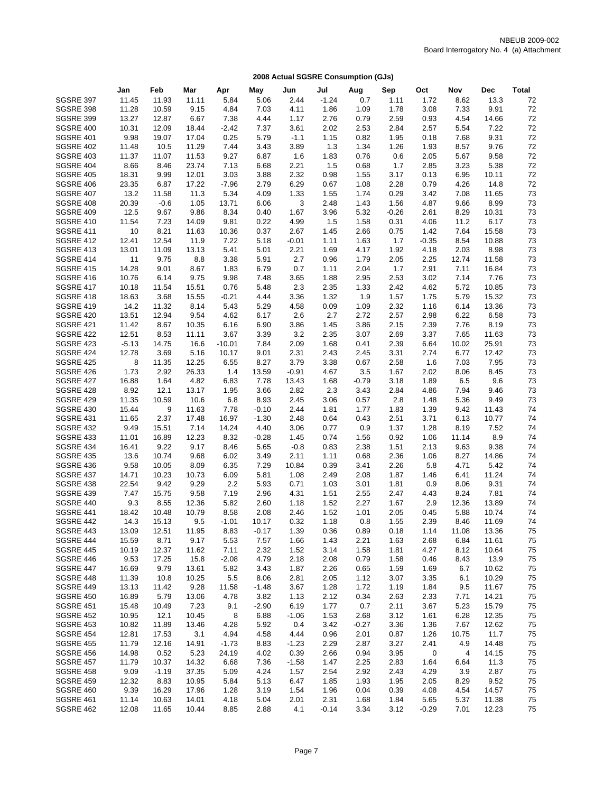|                                      | Jan            | Feb            | Mar           | Apr            | May             | Jun             | Jul          | Aug             | Sep          | Oct             | Nov           | <b>Dec</b>     | <b>Total</b> |
|--------------------------------------|----------------|----------------|---------------|----------------|-----------------|-----------------|--------------|-----------------|--------------|-----------------|---------------|----------------|--------------|
| SGSRE 397                            | 11.45          | 11.93          | 11.11         | 5.84           | 5.06            | 2.44            | $-1.24$      | 0.7             | 1.11         | 1.72            | 8.62          | 13.3           | 72           |
| SGSRE 398                            | 11.28          | 10.59          | 9.15          | 4.84           | 7.03            | 4.11            | 1.86         | 1.09            | 1.78         | 3.08            | 7.33          | 9.91           | 72           |
| <b>SGSRE 399</b>                     | 13.27          | 12.87          | 6.67          | 7.38           | 4.44            | 1.17            | 2.76         | 0.79            | 2.59         | 0.93            | 4.54          | 14.66          | 72           |
| SGSRE 400                            | 10.31          | 12.09          | 18.44         | $-2.42$        | 7.37            | 3.61            | 2.02         | 2.53            | 2.84         | 2.57            | 5.54          | 7.22           | 72           |
| <b>SGSRE 401</b>                     | 9.98           | 19.07          | 17.04         | 0.25           | 5.79            | $-1.1$          | 1.15         | 0.82            | 1.95         | 0.18            | 7.68          | 9.31           | 72           |
| <b>SGSRE 402</b>                     | 11.48          | 10.5           | 11.29         | 7.44           | 3.43            | 3.89            | 1.3          | 1.34            | 1.26         | 1.93            | 8.57          | 9.76           | 72           |
| SGSRE 403                            | 11.37          | 11.07          | 11.53         | 9.27           | 6.87            | 1.6             | 1.83         | 0.76            | 0.6          | 2.05            | 5.67          | 9.58           | 72           |
| SGSRE 404                            | 8.66           | 8.46           | 23.74         | 7.13           | 6.68            | 2.21            | 1.5          | 0.68            | 1.7          | 2.85            | 3.23          | 5.38           | 72           |
| <b>SGSRE 405</b>                     | 18.31          | 9.99           | 12.01         | 3.03           | 3.88            | 2.32            | 0.98         | 1.55            | 3.17         | 0.13            | 6.95          | 10.11          | 72           |
| SGSRE 406                            | 23.35          | 6.87           | 17.22         | $-7.96$        | 2.79            | 6.29            | 0.67         | 1.08            | 2.28         | 0.79            | 4.26          | 14.8           | 72           |
| <b>SGSRE 407</b>                     | 13.2           | 11.58          | 11.3          | 5.34           | 4.09            | 1.33            | 1.55         | 1.74            | 0.29         | 3.42            | 7.08          | 11.65          | 73           |
| SGSRE 408                            | 20.39          | $-0.6$         | 1.05          | 13.71          | 6.06            | 3               | 2.48         | 1.43            | 1.56         | 4.87            | 9.66          | 8.99           | 73           |
| SGSRE 409                            | 12.5           | 9.67           | 9.86          | 8.34           | 0.40            | 1.67            | 3.96         | 5.32            | $-0.26$      | 2.61            | 8.29          | 10.31          | 73           |
| SGSRE 410                            | 11.54          | 7.23           | 14.09         | 9.81           | 0.22            | 4.99            | 1.5          | 1.58            | 0.31         | 4.06            | 11.2          | 6.17           | 73           |
| <b>SGSRE 411</b><br><b>SGSRE 412</b> | 10<br>12.41    | 8.21<br>12.54  | 11.63<br>11.9 | 10.36<br>7.22  | 0.37<br>5.18    | 2.67<br>$-0.01$ | 1.45<br>1.11 | 2.66<br>1.63    | 0.75<br>1.7  | 1.42<br>$-0.35$ | 7.64<br>8.54  | 15.58<br>10.88 | 73<br>73     |
| <b>SGSRE 413</b>                     | 13.01          | 11.09          | 13.13         | 5.41           | 5.01            | 2.21            | 1.69         | 4.17            | 1.92         | 4.18            | 2.03          | 8.98           | 73           |
| SGSRE 414                            | 11             | 9.75           | 8.8           | 3.38           | 5.91            | 2.7             | 0.96         | 1.79            | 2.05         | 2.25            | 12.74         | 11.58          | 73           |
| <b>SGSRE 415</b>                     | 14.28          | 9.01           | 8.67          | 1.83           | 6.79            | 0.7             | 1.11         | 2.04            | 1.7          | 2.91            | 7.11          | 16.84          | 73           |
| <b>SGSRE 416</b>                     | 10.76          | 6.14           | 9.75          | 9.98           | 7.48            | 3.65            | 1.88         | 2.95            | 2.53         | 3.02            | 7.14          | 7.76           | 73           |
| SGSRE 417                            | 10.18          | 11.54          | 15.51         | 0.76           | 5.48            | 2.3             | 2.35         | 1.33            | 2.42         | 4.62            | 5.72          | 10.85          | 73           |
| SGSRE 418                            | 18.63          | 3.68           | 15.55         | $-0.21$        | 4.44            | 3.36            | 1.32         | 1.9             | 1.57         | 1.75            | 5.79          | 15.32          | 73           |
| <b>SGSRE 419</b>                     | 14.2           | 11.32          | 8.14          | 5.43           | 5.29            | 4.58            | 0.09         | 1.09            | 2.32         | 1.16            | 6.14          | 13.36          | 73           |
| <b>SGSRE 420</b>                     | 13.51          | 12.94          | 9.54          | 4.62           | 6.17            | 2.6             | 2.7          | 2.72            | 2.57         | 2.98            | 6.22          | 6.58           | 73           |
| <b>SGSRE 421</b>                     | 11.42          | 8.67           | 10.35         | 6.16           | 6.90            | 3.86            | 1.45         | 3.86            | 2.15         | 2.39            | 7.76          | 8.19           | 73           |
| SGSRE 422                            | 12.51          | 8.53           | 11.11         | 3.67           | 3.39            | 3.2             | 2.35         | 3.07            | 2.69         | 3.37            | 7.65          | 11.63          | 73           |
| <b>SGSRE 423</b>                     | $-5.13$        | 14.75          | 16.6          | $-10.01$       | 7.84            | 2.09            | 1.68         | 0.41            | 2.39         | 6.64            | 10.02         | 25.91          | 73           |
| SGSRE 424                            | 12.78          | 3.69           | 5.16          | 10.17          | 9.01            | 2.31            | 2.43         | 2.45            | 3.31         | 2.74            | 6.77          | 12.42          | 73           |
| <b>SGSRE 425</b>                     | 8              | 11.35          | 12.25         | 6.55           | 8.27            | 3.79            | 3.38         | 0.67            | 2.58         | 1.6             | 7.03          | 7.95           | 73           |
| SGSRE 426                            | 1.73           | 2.92           | 26.33         | 1.4            | 13.59           | $-0.91$         | 4.67         | 3.5             | 1.67         | 2.02            | 8.06          | 8.45           | 73           |
| <b>SGSRE 427</b>                     | 16.88          | 1.64           | 4.82          | 6.83           | 7.78            | 13.43           | 1.68         | $-0.79$         | 3.18         | 1.89            | 6.5           | 9.6            | 73           |
| SGSRE 428                            | 8.92           | 12.1           | 13.17         | 1.95           | 3.66            | 2.82            | 2.3          | 3.43            | 2.84         | 4.86            | 7.94          | 9.46           | 73           |
| <b>SGSRE 429</b>                     | 11.35          | 10.59          | 10.6          | 6.8            | 8.93            | 2.45            | 3.06         | 0.57            | 2.8          | 1.48            | 5.36          | 9.49           | 73           |
| <b>SGSRE 430</b>                     | 15.44          | 9              | 11.63         | 7.78           | $-0.10$         | 2.44            | 1.81         | 1.77            | 1.83         | 1.39            | 9.42          | 11.43          | 74           |
| SGSRE 431                            | 11.65          | 2.37           | 17.48         | 16.97<br>14.24 | $-1.30$         | 2.48            | 0.64         | 0.43            | 2.51<br>1.37 | 3.71            | 6.13          | 10.77<br>7.52  | 74<br>74     |
| SGSRE 432<br><b>SGSRE 433</b>        | 9.49<br>11.01  | 15.51<br>16.89 | 7.14<br>12.23 | 8.32           | 4.40<br>$-0.28$ | 3.06<br>1.45    | 0.77<br>0.74 | 0.9<br>1.56     | 0.92         | 1.28<br>1.06    | 8.19<br>11.14 | 8.9            | 74           |
| SGSRE 434                            | 16.41          | 9.22           | 9.17          | 8.46           | 5.65            | $-0.8$          | 0.83         | 2.38            | 1.51         | 2.13            | 9.63          | 9.38           | 74           |
| <b>SGSRE 435</b>                     | 13.6           | 10.74          | 9.68          | 6.02           | 3.49            | 2.11            | 1.11         | 0.68            | 2.36         | 1.06            | 8.27          | 14.86          | 74           |
| <b>SGSRE 436</b>                     | 9.58           | 10.05          | 8.09          | 6.35           | 7.29            | 10.84           | 0.39         | 3.41            | 2.26         | 5.8             | 4.71          | 5.42           | 74           |
| SGSRE 437                            | 14.71          | 10.23          | 10.73         | 6.09           | 5.81            | 1.08            | 2.49         | 2.08            | 1.87         | 1.46            | 6.41          | 11.24          | 74           |
| SGSRE 438                            | 22.54          | 9.42           | 9.29          | 2.2            | 5.93            | 0.71            | 1.03         | 3.01            | 1.81         | 0.9             | 8.06          | 9.31           | 74           |
| <b>SGSRE 439</b>                     | 7.47           | 15.75          | 9.58          | 7.19           | 2.96            | 4.31            | 1.51         | 2.55            | 2.47         | 4.43            | 8.24          | 7.81           | 74           |
| SGSRE 440                            | 9.3            | 8.55           | 12.36         | 5.82           | 2.60            | 1.18            | 1.52         | 2.27            | 1.67         | 2.9             | 12.36         | 13.89          | 74           |
| <b>SGSRE 441</b>                     | 18.42          | 10.48          | 10.79         | 8.58           | 2.08            | 2.46            | 1.52         | 1.01            | 2.05         | 0.45            | 5.88          | 10.74          | 74           |
| SGSRE 442                            | 14.3           | 15.13          | 9.5           | $-1.01$        | 10.17           | 0.32            | 1.18         | 0.8             | 1.55         | 2.39            | 8.46          | 11.69          | 74           |
| <b>SGSRE 443</b>                     | 13.09          | 12.51          | 11.95         | 8.83           | $-0.17$         | 1.39            | 0.36         | 0.89            | 0.18         | 1.14            | 11.08         | 13.36          | 75           |
| SGSRE 444                            | 15.59          | 8.71           | 9.17          | 5.53           | 7.57            | 1.66            | 1.43         | 2.21            | 1.63         | 2.68            | 6.84          | 11.61          | 75           |
| <b>SGSRE 445</b>                     | 10.19          | 12.37          | 11.62         | 7.11           | 2.32            | 1.52            | 3.14         | 1.58            | 1.81         | 4.27            | 8.12          | 10.64          | 75           |
| SGSRE 446                            | 9.53           | 17.25          | 15.8          | $-2.08$        | 4.79            | 2.18            | 2.08         | 0.79            | 1.58         | 0.46            | 8.43          | 13.9           | 75           |
| SGSRE 447                            | 16.69          | 9.79           | 13.61         | 5.82           | 3.43            | 1.87            | 2.26         | 0.65            | 1.59         | 1.69            | 6.7           | 10.62          | 75           |
| SGSRE 448                            | 11.39          | 10.8           | 10.25         | 5.5            | 8.06            | 2.81            | 2.05         | 1.12            | 3.07         | 3.35            | 6.1           | 10.29          | 75           |
| SGSRE 449                            | 13.13          | 11.42          | 9.28          | 11.58          | $-1.48$         | 3.67            | 1.28         | 1.72            | 1.19         | 1.84            | 9.5           | 11.67          | 75           |
| <b>SGSRE 450</b>                     | 16.89          | 5.79           | 13.06         | 4.78           | 3.82            | 1.13            | 2.12         | 0.34            | 2.63         | 2.33            | 7.71          | 14.21          | 75           |
| <b>SGSRE 451</b><br><b>SGSRE 452</b> | 15.48          | 10.49          | 7.23          | 9.1            | $-2.90$         | 6.19            | 1.77         | 0.7             | 2.11         | 3.67            | 5.23          | 15.79          | 75           |
|                                      | 10.95          | 12.1           | 10.45         | 8              | 6.88            | $-1.06$         | 1.53         | 2.68            | 3.12         | 1.61            | 6.28          | 12.35          | 75           |
| <b>SGSRE 453</b><br><b>SGSRE 454</b> | 10.82<br>12.81 | 11.89<br>17.53 | 13.46<br>3.1  | 4.28<br>4.94   | 5.92<br>4.58    | 0.4<br>4.44     | 3.42<br>0.96 | $-0.27$<br>2.01 | 3.36<br>0.87 | 1.36<br>1.26    | 7.67<br>10.75 | 12.62<br>11.7  | 75<br>75     |
| SGSRE 455                            | 11.79          | 12.16          | 14.91         | $-1.73$        | 8.83            | $-1.23$         | 2.29         | 2.87            | 3.27         | 2.41            | 4.9           | 14.48          | 75           |
| <b>SGSRE 456</b>                     | 14.98          | 0.52           | 5.23          | 24.19          | 4.02            | 0.39            | 2.66         | 0.94            | 3.95         | 0               | 4             | 14.15          | 75           |
| <b>SGSRE 457</b>                     | 11.79          | 10.37          | 14.32         | 6.68           | 7.36            | $-1.58$         | 1.47         | 2.25            | 2.83         | 1.64            | 6.64          | 11.3           | 75           |
| <b>SGSRE 458</b>                     | 9.09           | $-1.19$        | 37.35         | 5.09           | 4.24            | 1.57            | 2.54         | 2.92            | 2.43         | 4.29            | 3.9           | 2.87           | 75           |
| <b>SGSRE 459</b>                     | 12.32          | 8.83           | 10.95         | 5.84           | 5.13            | 6.47            | 1.85         | 1.93            | 1.95         | 2.05            | 8.29          | 9.52           | 75           |
| SGSRE 460                            | 9.39           | 16.29          | 17.96         | 1.28           | 3.19            | 1.54            | 1.96         | 0.04            | 0.39         | 4.08            | 4.54          | 14.57          | 75           |
| <b>SGSRE 461</b>                     | 11.14          | 10.63          | 14.01         | 4.18           | 5.04            | 2.01            | 2.31         | 1.68            | 1.84         | 5.65            | 5.37          | 11.38          | 75           |
| <b>SGSRE 462</b>                     | 12.08          | 11.65          | 10.44         | 8.85           | 2.88            | 4.1             | $-0.14$      | 3.34            | 3.12         | $-0.29$         | 7.01          | 12.23          | 75           |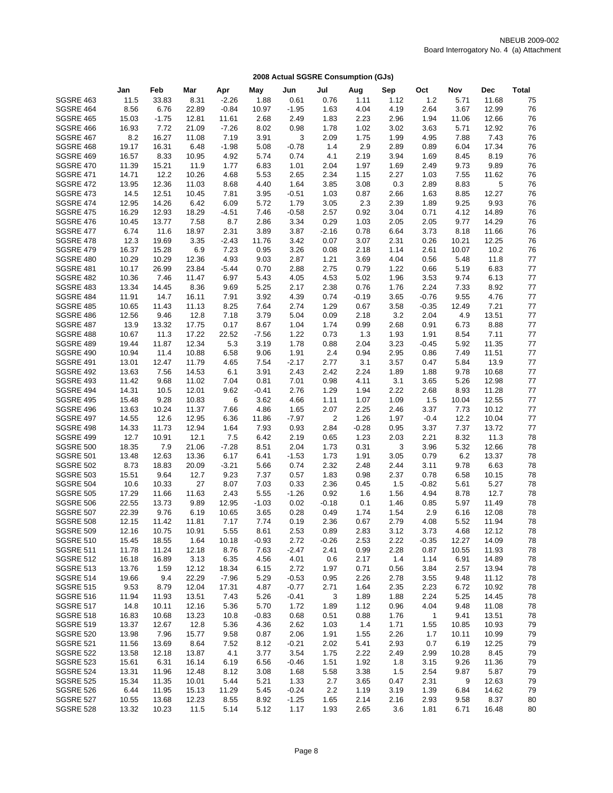|                               | Jan            | Feb          | Mar            | Apr          | May          | Jun          | Jul          | Aug          | Sep          | Oct         | Nov           | <b>Dec</b>     | <b>Total</b> |
|-------------------------------|----------------|--------------|----------------|--------------|--------------|--------------|--------------|--------------|--------------|-------------|---------------|----------------|--------------|
| SGSRE 463                     | 11.5           | 33.83        | 8.31           | $-2.26$      | 1.88         | 0.61         | 0.76         | 1.11         | 1.12         | 1.2         | 5.71          | 11.68          | 75           |
| SGSRE 464                     | 8.56           | 6.76         | 22.89          | $-0.84$      | 10.97        | $-1.95$      | 1.63         | 4.04         | 4.19         | 2.64        | 3.67          | 12.99          | 76           |
| <b>SGSRE 465</b>              | 15.03          | $-1.75$      | 12.81          | 11.61        | 2.68         | 2.49         | 1.83         | 2.23         | 2.96         | 1.94        | 11.06         | 12.66          | 76           |
| SGSRE 466                     | 16.93          | 7.72         | 21.09          | $-7.26$      | 8.02         | 0.98         | 1.78         | 1.02         | 3.02         | 3.63        | 5.71          | 12.92          | 76           |
| <b>SGSRE 467</b>              | 8.2            | 16.27        | 11.08          | 7.19         | 3.91         | 3            | 2.09         | 1.75         | 1.99         | 4.95        | 7.88          | 7.43           | 76           |
| SGSRE 468                     | 19.17          | 16.31        | 6.48           | $-1.98$      | 5.08         | $-0.78$      | 1.4          | 2.9          | 2.89         | 0.89        | 6.04          | 17.34          | 76           |
| SGSRE 469                     | 16.57          | 8.33         | 10.95          | 4.92         | 5.74         | 0.74         | 4.1          | 2.19         | 3.94         | 1.69        | 8.45          | 8.19           | 76           |
| <b>SGSRE 470</b>              | 11.39          | 15.21        | 11.9           | 1.77         | 6.83         | 1.01         | 2.04         | 1.97         | 1.69         | 2.49        | 9.73          | 9.89           | 76           |
| <b>SGSRE 471</b>              | 14.71          | 12.2         | 10.26          | 4.68         | 5.53         | 2.65         | 2.34         | 1.15         | 2.27         | 1.03        | 7.55          | 11.62          | 76           |
| SGSRE 472                     | 13.95          | 12.36        | 11.03          | 8.68         | 4.40         | 1.64         | 3.85         | 3.08         | 0.3          | 2.89        | 8.83          | 5              | 76           |
| SGSRE 473                     | 14.5           | 12.51        | 10.45          | 7.81         | 3.95         | $-0.51$      | 1.03         | 0.87         | 2.66         | 1.63        | 8.85          | 12.27          | 76           |
| SGSRE 474                     | 12.95          | 14.26        | 6.42           | 6.09         | 5.72         | 1.79         | 3.05         | 2.3          | 2.39         | 1.89        | 9.25          | 9.93           | 76           |
| <b>SGSRE 475</b>              | 16.29          | 12.93        | 18.29          | $-4.51$      | 7.46         | $-0.58$      | 2.57         | 0.92         | 3.04         | 0.71        | 4.12          | 14.89          | 76           |
| SGSRE 476                     | 10.45          | 13.77        | 7.58           | 8.7          | 2.86         | 3.34         | 0.29         | 1.03         | 2.05         | 2.05        | 9.77          | 14.29          | 76           |
| <b>SGSRE 477</b>              | 6.74           | 11.6         | 18.97          | 2.31         | 3.89         | 3.87         | $-2.16$      | 0.78         | 6.64         | 3.73        | 8.18          | 11.66          | 76           |
| SGSRE 478                     | 12.3           | 19.69        | 3.35           | $-2.43$      | 11.76        | 3.42         | 0.07         | 3.07         | 2.31         | 0.26        | 10.21         | 12.25          | 76           |
| <b>SGSRE 479</b>              | 16.37          | 15.28        | 6.9            | 7.23         | 0.95         | 3.26         | 0.08         | 2.18         | 1.14         | 2.61        | 10.07         | 10.2           | 76           |
| SGSRE 480                     | 10.29          | 10.29        | 12.36          | 4.93         | 9.03         | 2.87         | 1.21         | 3.69         | 4.04         | 0.56        | 5.48          | 11.8           | 77           |
| SGSRE 481                     | 10.17          | 26.99        | 23.84          | $-5.44$      | 0.70         | 2.88         | 2.75         | 0.79         | 1.22         | 0.66        | 5.19          | 6.83           | 77           |
| <b>SGSRE 482</b>              | 10.36          | 7.46         | 11.47          | 6.97         | 5.43         | 4.05         | 4.53         | 5.02         | 1.96         | 3.53        | 9.74          | 6.13           | 77           |
| <b>SGSRE 483</b>              | 13.34          | 14.45        | 8.36           | 9.69         | 5.25         | 2.17         | 2.38         | 0.76         | 1.76         | 2.24        | 7.33          | 8.92           | 77           |
| SGSRE 484                     | 11.91          | 14.7         | 16.11          | 7.91         | 3.92         | 4.39         | 0.74         | -0.19        | 3.65         | $-0.76$     | 9.55          | 4.76           | 77           |
| <b>SGSRE 485</b>              | 10.65          | 11.43        | 11.13          | 8.25         | 7.64         | 2.74         | 1.29         | 0.67         | 3.58         | $-0.35$     | 12.49         | 7.21           | 77           |
| SGSRE 486                     | 12.56          | 9.46         | 12.8           | 7.18         | 3.79         | 5.04         | 0.09         | 2.18         | 3.2          | 2.04        | 4.9           | 13.51          | 77           |
| SGSRE 487                     | 13.9           | 13.32        | 17.75          | 0.17         | 8.67         | 1.04         | 1.74         | 0.99         | 2.68         | 0.91        | 6.73          | 8.88           | 77           |
| SGSRE 488                     | 10.67          | 11.3         | 17.22          | 22.52        | $-7.56$      | 1.22         | 0.73         | 1.3          | 1.93         | 1.91        | 8.54          | 7.11           | 77           |
| SGSRE 489                     | 19.44          | 11.87        | 12.34          | 5.3          | 3.19         | 1.78         | 0.88         | 2.04         | 3.23         | $-0.45$     | 5.92          | 11.35          | 77           |
| SGSRE 490                     | 10.94          | 11.4         | 10.88          | 6.58         | 9.06         | 1.91         | 2.4          | 0.94         | 2.95         | 0.86        | 7.49          | 11.51          | 77           |
| SGSRE 491                     | 13.01          | 12.47        | 11.79          | 4.65         | 7.54         | $-2.17$      | 2.77         | 3.1          | 3.57         | 0.47        | 5.84          | 13.9           | $77\,$       |
| SGSRE 492                     | 13.63          | 7.56         | 14.53          | 6.1          | 3.91         | 2.43         | 2.42         | 2.24         | 1.89         | 1.88        | 9.78          | 10.68          | 77           |
| <b>SGSRE 493</b>              | 11.42          | 9.68         | 11.02          | 7.04<br>9.62 | 0.81         | 7.01<br>2.76 | 0.98         | 4.11         | 3.1          | 3.65        | 5.26          | 12.98<br>11.28 | $77\,$       |
| SGSRE 494<br><b>SGSRE 495</b> | 14.31          | 10.5<br>9.28 | 12.01<br>10.83 |              | $-0.41$      | 4.66         | 1.29         | 1.94<br>1.07 | 2.22         | 2.68<br>1.5 | 8.93          | 12.55          | 77<br>77     |
| SGSRE 496                     | 15.48<br>13.63 | 10.24        | 11.37          | 6<br>7.66    | 3.62<br>4.86 | 1.65         | 1.11<br>2.07 | 2.25         | 1.09<br>2.46 | 3.37        | 10.04<br>7.73 | 10.12          | 77           |
| SGSRE 497                     | 14.55          | 12.6         | 12.95          | 6.36         | 11.86        | $-7.97$      | 2            | 1.26         | 1.97         | $-0.4$      | 12.2          | 10.04          | 77           |
| SGSRE 498                     | 14.33          | 11.73        | 12.94          | 1.64         | 7.93         | 0.93         | 2.84         | $-0.28$      | 0.95         | 3.37        | 7.37          | 13.72          | 77           |
| SGSRE 499                     | 12.7           | 10.91        | 12.1           | 7.5          | 6.42         | 2.19         | 0.65         | 1.23         | 2.03         | 2.21        | 8.32          | 11.3           | 78           |
| <b>SGSRE 500</b>              | 18.35          | 7.9          | 21.06          | $-7.28$      | 8.51         | 2.04         | 1.73         | 0.31         | 3            | 3.96        | 5.32          | 12.66          | 78           |
| <b>SGSRE 501</b>              | 13.48          | 12.63        | 13.36          | 6.17         | 6.41         | $-1.53$      | 1.73         | 1.91         | 3.05         | 0.79        | 6.2           | 13.37          | 78           |
| <b>SGSRE 502</b>              | 8.73           | 18.83        | 20.09          | $-3.21$      | 5.66         | 0.74         | 2.32         | 2.48         | 2.44         | 3.11        | 9.78          | 6.63           | 78           |
| <b>SGSRE 503</b>              | 15.51          | 9.64         | 12.7           | 9.23         | 7.37         | 0.57         | 1.83         | 0.98         | 2.37         | 0.78        | 6.58          | 10.15          | 78           |
| <b>SGSRE 504</b>              | 10.6           | 10.33        | 27             | 8.07         | 7.03         | 0.33         | 2.36         | 0.45         | 1.5          | $-0.82$     | 5.61          | 5.27           | 78           |
| <b>SGSRE 505</b>              | 17.29          | 11.66        | 11.63          | 2.43         | 5.55         | $-1.26$      | 0.92         | 1.6          | 1.56         | 4.94        | 8.78          | 12.7           | 78           |
| <b>SGSRE 506</b>              | 22.55          | 13.73        | 9.89           | 12.95        | $-1.03$      | 0.02         | $-0.18$      | 0.1          | 1.46         | 0.85        | 5.97          | 11.49          | 78           |
| <b>SGSRE 507</b>              | 22.39          | 9.76         | 6.19           | 10.65        | 3.65         | 0.28         | 0.49         | 1.74         | 1.54         | 2.9         | 6.16          | 12.08          | 78           |
| <b>SGSRE 508</b>              | 12.15          | 11.42        | 11.81          | 7.17         | 7.74         | 0.19         | 2.36         | 0.67         | 2.79         | 4.08        | 5.52          | 11.94          | 78           |
| <b>SGSRE 509</b>              | 12.16          | 10.75        | 10.91          | 5.55         | 8.61         | 2.53         | 0.89         | 2.83         | 3.12         | 3.73        | 4.68          | 12.12          | 78           |
| <b>SGSRE 510</b>              | 15.45          | 18.55        | 1.64           | 10.18        | $-0.93$      | 2.72         | $-0.26$      | 2.53         | 2.22         | $-0.35$     | 12.27         | 14.09          | 78           |
| <b>SGSRE 511</b>              | 11.78          | 11.24        | 12.18          | 8.76         | 7.63         | $-2.47$      | 2.41         | 0.99         | 2.28         | 0.87        | 10.55         | 11.93          | 78           |
| <b>SGSRE 512</b>              | 16.18          | 16.89        | 3.13           | 6.35         | 4.56         | 4.01         | 0.6          | 2.17         | 1.4          | 1.14        | 6.91          | 14.89          | 78           |
| <b>SGSRE 513</b>              | 13.76          | 1.59         | 12.12          | 18.34        | 6.15         | 2.72         | 1.97         | 0.71         | 0.56         | 3.84        | 2.57          | 13.94          | 78           |
| <b>SGSRE 514</b>              | 19.66          | 9.4          | 22.29          | $-7.96$      | 5.29         | $-0.53$      | 0.95         | 2.26         | 2.78         | 3.55        | 9.48          | 11.12          | 78           |
| <b>SGSRE 515</b>              | 9.53           | 8.79         | 12.04          | 17.31        | 4.87         | $-0.77$      | 2.71         | 1.64         | 2.35         | 2.23        | 6.72          | 10.92          | 78           |
| <b>SGSRE 516</b>              | 11.94          | 11.93        | 13.51          | 7.43         | 5.26         | $-0.41$      | 3            | 1.89         | 1.88         | 2.24        | 5.25          | 14.45          | 78           |
| <b>SGSRE 517</b>              | 14.8           | 10.11        | 12.16          | 5.36         | 5.70         | 1.72         | 1.89         | 1.12         | 0.96         | 4.04        | 9.48          | 11.08          | 78           |
| <b>SGSRE 518</b>              | 16.83          | 10.68        | 13.23          | 10.8         | $-0.83$      | 0.68         | 0.51         | 0.88         | 1.76         | 1           | 9.41          | 13.51          | 78           |
| <b>SGSRE 519</b>              | 13.37          | 12.67        | 12.8           | 5.36         | 4.36         | 2.62         | 1.03         | 1.4          | 1.71         | 1.55        | 10.85         | 10.93          | 79           |
| <b>SGSRE 520</b>              | 13.98          | 7.96         | 15.77          | 9.58         | 0.87         | 2.06         | 1.91         | 1.55         | 2.26         | 1.7         | 10.11         | 10.99          | 79           |
| <b>SGSRE 521</b>              | 11.56          | 13.69        | 8.64           | 7.52         | 8.12         | $-0.21$      | 2.02         | 5.41         | 2.93         | 0.7         | 6.19          | 12.25          | 79           |
| <b>SGSRE 522</b>              | 13.58          | 12.18        | 13.87          | 4.1          | 3.77         | 3.54         | 1.75         | 2.22         | 2.49         | 2.99        | 10.28         | 8.45           | 79           |
| <b>SGSRE 523</b>              | 15.61          | 6.31         | 16.14          | 6.19         | 6.56         | -0.46        | 1.51         | 1.92         | 1.8          | 3.15        | 9.26          | 11.36          | 79           |
| <b>SGSRE 524</b>              | 13.31          | 11.96        | 12.48          | 8.12         | 3.08         | 1.68         | 5.58         | 3.38         | 1.5          | 2.54        | 9.87          | 5.87           | 79           |
| <b>SGSRE 525</b>              | 15.34          | 11.35        | 10.01          | 5.44         | 5.21         | 1.33         | 2.7          | 3.65         | 0.47         | 2.31        | 9             | 12.63          | 79           |
| SGSRE 526                     | 6.44           | 11.95        | 15.13          | 11.29        | 5.45         | $-0.24$      | 2.2          | 1.19         | 3.19         | 1.39        | 6.84          | 14.62          | 79           |
| <b>SGSRE 527</b>              | 10.55          | 13.68        | 12.23          | 8.55         | 8.92         | $-1.25$      | 1.65         | 2.14         | 2.16         | 2.93        | 9.58          | 8.37           | 80           |
| SGSRE 528                     | 13.32          | 10.23        | 11.5           | 5.14         | 5.12         | 1.17         | 1.93         | 2.65         | 3.6          | 1.81        | 6.71          | 16.48          | 80           |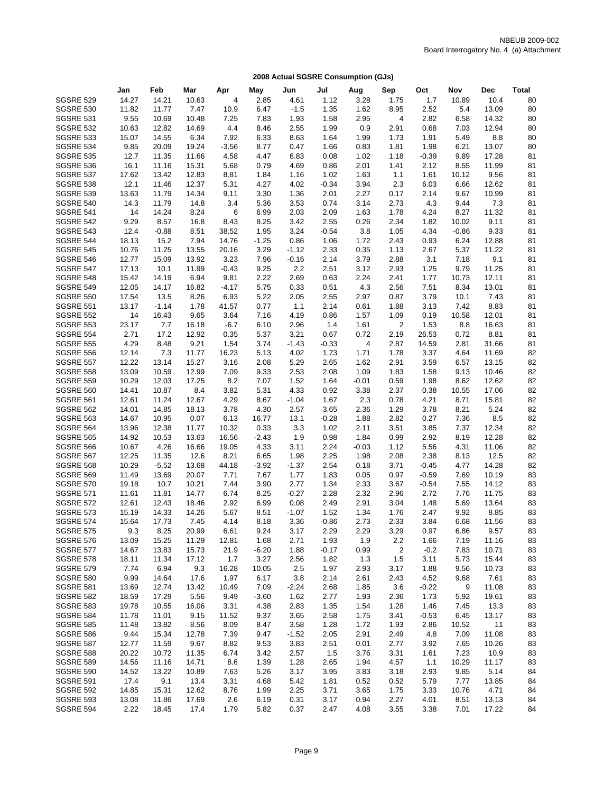|                  | Jan   | Feb     | Mar   | Apr           | May     | Jun     | Jul     | Aug     | Sep     | Oct     | Nov     | <b>Dec</b> | <b>Total</b> |
|------------------|-------|---------|-------|---------------|---------|---------|---------|---------|---------|---------|---------|------------|--------------|
| <b>SGSRE 529</b> | 14.27 | 14.21   | 10.63 | 4             | 2.85    | 4.61    | 1.12    | 3.28    | 1.75    | 1.7     | 10.89   | 10.4       | 80           |
| <b>SGSRE 530</b> | 11.82 | 11.77   | 7.47  | 10.9          | 6.47    | $-1.5$  | 1.35    | 1.62    | 8.95    | 2.52    | 5.4     | 13.09      | 80           |
| <b>SGSRE 531</b> | 9.55  | 10.69   | 10.48 | 7.25          | 7.83    | 1.93    | 1.58    | 2.95    | 4       | 2.82    | 6.58    | 14.32      | 80           |
| <b>SGSRE 532</b> | 10.63 | 12.82   | 14.69 | 4.4           | 8.46    | 2.55    | 1.99    | 0.9     | 2.91    | 0.68    | 7.03    | 12.94      | 80           |
| <b>SGSRE 533</b> | 15.07 | 14.55   | 6.34  | 7.92          | 6.33    | 8.63    | 1.64    | 1.99    | 1.73    | 1.91    | 5.49    | 8.8        | 80           |
| <b>SGSRE 534</b> | 9.85  | 20.09   | 19.24 | $-3.56$       | 8.77    | 0.47    | 1.66    | 0.83    | 1.81    | 1.98    | 6.21    | 13.07      | 80           |
| <b>SGSRE 535</b> | 12.7  | 11.35   | 11.66 | 4.58          | 4.47    | 6.83    | 0.08    | 1.02    | 1.18    | $-0.39$ | 9.89    | 17.28      | 81           |
| <b>SGSRE 536</b> | 16.1  | 11.16   | 15.31 | 5.68          | 0.79    | 4.69    | 0.86    | 2.01    | 1.41    | 2.12    | 8.55    | 11.99      | 81           |
| <b>SGSRE 537</b> | 17.62 | 13.42   | 12.83 | 8.81          | 1.84    | 1.16    | 1.02    | 1.63    | 1.1     | 1.61    | 10.12   | 9.56       | 81           |
| <b>SGSRE 538</b> | 12.1  | 11.46   | 12.37 | 5.31          | 4.27    | 4.02    | $-0.34$ | 3.94    | 2.3     | 6.03    | 6.66    | 12.62      | 81           |
| <b>SGSRE 539</b> | 13.63 | 11.79   | 14.34 | 9.11          | 3.30    | 1.36    | 2.01    | 2.27    | 0.17    | 2.14    | 9.67    | 10.99      | 81           |
| <b>SGSRE 540</b> | 14.3  | 11.79   | 14.8  | 3.4           | 5.36    | 3.53    | 0.74    | 3.14    | 2.73    | 4.3     | 9.44    | 7.3        | 81           |
| <b>SGSRE 541</b> | 14    | 14.24   | 8.24  | 6             | 6.99    | 2.03    | 2.09    | 1.63    | 1.78    | 4.24    | 8.27    | 11.32      | 81           |
| <b>SGSRE 542</b> | 9.29  | 8.57    | 16.8  | 8.43          | 8.25    | 3.42    | 2.55    | 0.26    | 2.34    | 1.82    | 10.02   | 9.11       | 81           |
| <b>SGSRE 543</b> | 12.4  | $-0.88$ | 8.51  | 38.52         | 1.95    | 3.24    | $-0.54$ | 3.8     | 1.05    | 4.34    | $-0.86$ | 9.33       | 81           |
| <b>SGSRE 544</b> | 18.13 | 15.2    | 7.94  | 14.76         | $-1.25$ | 0.86    | 1.06    | 1.72    | 2.43    | 0.93    | 6.24    | 12.88      | 81           |
| <b>SGSRE 545</b> | 10.76 | 11.25   | 13.55 | 20.16         | 3.29    | $-1.12$ | 2.33    | 0.35    | 1.13    | 2.67    | 5.37    | 11.22      | 81           |
| <b>SGSRE 546</b> | 12.77 | 15.09   | 13.92 | 3.23          | 7.96    | $-0.16$ | 2.14    | 3.79    | 2.88    | 3.1     | 7.18    | 9.1        | 81           |
| <b>SGSRE 547</b> | 17.13 | 10.1    | 11.99 | $-0.43$       | 9.25    | 2.2     | 2.51    | 3.12    | 2.93    | 1.25    | 9.79    | 11.25      | 81           |
| <b>SGSRE 548</b> | 15.42 | 14.19   | 6.94  | 9.81          | 2.22    | 2.69    | 0.63    | 2.24    | 2.41    | 1.77    | 10.73   | 12.11      | 81           |
| <b>SGSRE 549</b> | 12.05 | 14.17   | 16.82 | $-4.17$       | 5.75    | 0.33    | 0.51    | 4.3     | 2.56    | 7.51    | 8.34    | 13.01      | 81           |
| <b>SGSRE 550</b> | 17.54 | 13.5    | 8.26  | 6.93          | 5.22    | 2.05    | 2.55    | 2.97    | 0.87    | 3.79    | 10.1    | 7.43       | 81           |
| <b>SGSRE 551</b> | 13.17 | $-1.14$ | 1.78  | 41.57         | 0.77    | 1.1     | 2.14    | 0.61    | 1.88    | 3.13    | 7.42    | 8.83       | 81           |
| <b>SGSRE 552</b> | 14    | 16.43   | 9.65  | 3.64          | 7.16    | 4.19    | 0.86    | 1.57    | 1.09    | 0.19    | 10.58   | 12.01      | 81           |
| <b>SGSRE 553</b> | 23.17 | 7.7     | 16.18 | $-6.7$        | 6.10    | 2.96    | 1.4     | 1.61    | 2       | 1.53    | 8.8     | 16.63      | 81           |
| <b>SGSRE 554</b> | 2.71  | 17.2    | 12.92 | 0.35          | 5.37    | 3.21    | 0.67    | 0.72    | 2.19    | 26.53   | 0.72    | 8.81       | 81           |
| <b>SGSRE 555</b> | 4.29  | 8.48    | 9.21  | 1.54          | 3.74    | $-1.43$ | $-0.33$ | 4       | 2.87    | 14.59   | 2.81    | 31.66      | 81           |
| <b>SGSRE 556</b> | 12.14 | 7.3     | 11.77 | 16.23         | 5.13    | 4.02    | 1.73    | 1.71    | 1.78    | 3.37    | 4.64    | 11.69      | 82           |
| <b>SGSRE 557</b> | 12.22 | 13.14   | 15.27 | 3.16          | 2.08    | 5.29    | 2.65    | 1.62    | 2.91    | 3.59    | 6.57    | 13.15      | 82           |
| <b>SGSRE 558</b> | 13.09 | 10.59   | 12.99 | 7.09          | 9.33    | 2.53    | 2.08    | 1.09    | 1.83    | 1.58    | 9.13    | 10.46      | 82           |
| <b>SGSRE 559</b> | 10.29 | 12.03   | 17.25 | 8.2           | 7.07    | 1.52    | 1.64    | $-0.01$ | 0.59    | 1.98    | 8.62    | 12.62      | 82           |
| <b>SGSRE 560</b> | 14.41 | 10.87   | 8.4   | 3.82          | 5.31    | 4.33    | 0.92    | 3.38    | 2.37    | 0.38    | 10.55   | 17.06      | 82           |
| <b>SGSRE 561</b> | 12.61 | 11.24   | 12.67 | 4.29          | 8.67    | $-1.04$ | 1.67    | 2.3     | 0.78    | 4.21    | 8.71    | 15.81      | 82           |
| <b>SGSRE 562</b> | 14.01 | 14.85   | 18.13 | 3.78          | 4.30    | 2.57    | 3.65    | 2.36    | 1.29    | 3.78    | 8.21    | 5.24       | 82           |
| <b>SGSRE 563</b> | 14.67 | 10.95   | 0.07  | 6.13          | 16.77   | 13.1    | $-0.28$ | 1.88    | 2.82    | 0.27    | 7.36    | 8.5        | 82           |
| <b>SGSRE 564</b> | 13.96 | 12.38   | 11.77 | 10.32         | 0.33    | 3.3     | 1.02    | 2.11    | 3.51    | 3.85    | 7.37    | 12.34      | 82           |
| <b>SGSRE 565</b> | 14.92 | 10.53   | 13.63 | 16.56         | $-2.43$ | 1.9     | 0.98    | 1.84    | 0.99    | 2.92    | 8.19    | 12.28      | 82           |
| SGSRE 566        |       | 4.26    |       |               |         | 3.11    | 2.24    | $-0.03$ |         | 5.56    | 4.31    | 11.06      | 82           |
|                  | 10.67 |         | 16.66 | 19.05<br>8.21 | 4.33    |         |         |         | 1.12    |         |         | 12.5       | 82           |
| <b>SGSRE 567</b> | 12.25 | 11.35   | 12.6  |               | 6.65    | 1.98    | 2.25    | 1.98    | 2.08    | 2.38    | 8.13    | 14.28      | 82           |
| <b>SGSRE 568</b> | 10.29 | $-5.52$ | 13.68 | 44.18         | $-3.92$ | $-1.37$ | 2.54    | 0.18    | 3.71    | $-0.45$ | 4.77    |            |              |
| <b>SGSRE 569</b> | 11.49 | 13.69   | 20.07 | 7.71          | 7.67    | 1.77    | 1.83    | 0.05    | 0.97    | $-0.59$ | 7.69    | 10.19      | 83           |
| <b>SGSRE 570</b> | 19.18 | 10.7    | 10.21 | 7.44          | 3.90    | 2.77    | 1.34    | 2.33    | 3.67    | $-0.54$ | 7.55    | 14.12      | 83           |
| <b>SGSRE 571</b> | 11.61 | 11.81   | 14.77 | 6.74          | 8.25    | $-0.27$ | 2.28    | 2.32    | 2.96    | 2.72    | 7.76    | 11.75      | 83           |
| <b>SGSRE 572</b> | 12.61 | 12.43   | 18.46 | 2.92          | 6.99    | 0.08    | 2.49    | 2.91    | 3.04    | 1.48    | 5.69    | 13.64      | 83           |
| <b>SGSRE 573</b> | 15.19 | 14.33   | 14.26 | 5.67          | 8.51    | $-1.07$ | 1.52    | 1.34    | 1.76    | 2.47    | 9.92    | 8.85       | 83           |
| <b>SGSRE 574</b> | 15.64 | 17.73   | 7.45  | 4.14          | 8.18    | 3.36    | $-0.86$ | 2.73    | 2.33    | 3.84    | 6.68    | 11.56      | 83           |
| <b>SGSRE 575</b> | 9.3   | 8.25    | 20.99 | 6.61          | 9.24    | 3.17    | 2.29    | 2.29    | 3.29    | 0.97    | 6.86    | 9.57       | 83           |
| <b>SGSRE 576</b> | 13.09 | 15.25   | 11.29 | 12.81         | 1.68    | 2.71    | 1.93    | 1.9     | $2.2\,$ | 1.66    | 7.19    | 11.16      | 83           |
| <b>SGSRE 577</b> | 14.67 | 13.83   | 15.73 | 21.9          | $-6.20$ | 1.88    | $-0.17$ | 0.99    | 2       | $-0.2$  | 7.83    | 10.71      | 83           |
| <b>SGSRE 578</b> | 18.11 | 11.34   | 17.12 | 1.7           | 3.27    | 2.56    | 1.82    | 1.3     | 1.5     | 3.11    | 5.73    | 15.44      | 83           |
| <b>SGSRE 579</b> | 7.74  | 6.94    | 9.3   | 16.28         | 10.05   | 2.5     | 1.97    | 2.93    | 3.17    | 1.88    | 9.56    | 10.73      | 83           |
| <b>SGSRE 580</b> | 9.99  | 14.64   | 17.6  | 1.97          | 6.17    | 3.8     | 2.14    | 2.61    | 2.43    | 4.52    | 9.68    | 7.61       | 83           |
| <b>SGSRE 581</b> | 13.69 | 12.74   | 13.42 | 10.49         | 7.09    | $-2.24$ | 2.68    | 1.85    | 3.6     | $-0.22$ | 9       | 11.08      | 83           |
| <b>SGSRE 582</b> | 18.59 | 17.29   | 5.56  | 9.49          | $-3.60$ | 1.62    | 2.77    | 1.93    | 2.36    | 1.73    | 5.92    | 19.61      | 83           |
| <b>SGSRE 583</b> | 19.78 | 10.55   | 16.06 | 3.31          | 4.38    | 2.83    | 1.35    | 1.54    | 1.28    | 1.46    | 7.45    | 13.3       | 83           |
| <b>SGSRE 584</b> | 11.78 | 11.01   | 9.15  | 11.52         | 9.37    | 3.65    | 2.58    | 1.75    | 3.41    | $-0.53$ | 6.45    | 13.17      | 83           |
| <b>SGSRE 585</b> | 11.48 | 13.82   | 8.56  | 8.09          | 8.47    | 3.58    | 1.28    | 1.72    | 1.93    | 2.86    | 10.52   | 11         | 83           |
| SGSRE 586        | 9.44  | 15.34   | 12.78 | 7.39          | 9.47    | $-1.52$ | 2.05    | 2.91    | 2.49    | 4.8     | 7.09    | 11.08      | 83           |
| SGSRE 587        | 12.77 | 11.59   | 9.67  | 8.82          | 9.53    | 3.83    | 2.51    | 0.01    | 2.77    | 3.92    | 7.65    | 10.26      | 83           |
| <b>SGSRE 588</b> | 20.22 | 10.72   | 11.35 | 6.74          | 3.42    | 2.57    | 1.5     | 3.76    | 3.31    | 1.61    | 7.23    | 10.9       | 83           |
| <b>SGSRE 589</b> | 14.56 | 11.16   | 14.71 | 8.6           | 1.39    | 1.28    | 2.65    | 1.94    | 4.57    | 1.1     | 10.29   | 11.17      | 83           |
| <b>SGSRE 590</b> | 14.52 | 13.22   | 10.89 | 7.63          | 5.26    | 3.17    | 3.95    | 3.83    | 3.18    | 2.93    | 9.85    | 5.14       | 84           |
| <b>SGSRE 591</b> | 17.4  | 9.1     | 13.4  | 3.31          | 4.68    | 5.42    | 1.81    | 0.52    | 0.52    | 5.79    | 7.77    | 13.85      | 84           |
| SGSRE 592        | 14.85 | 15.31   | 12.62 | 8.76          | 1.99    | 2.25    | 3.71    | 3.65    | 1.75    | 3.33    | 10.76   | 4.71       | 84           |
| <b>SGSRE 593</b> | 13.08 | 11.86   | 17.69 | 2.6           | 6.19    | 0.31    | 3.17    | 0.94    | 2.27    | 4.01    | 8.51    | 13.13      | 84           |
| SGSRE 594        | 2.22  | 18.45   | 17.4  | 1.79          | 5.82    | 0.37    | 2.47    | 4.08    | 3.55    | 3.38    | 7.01    | 17.22      | 84           |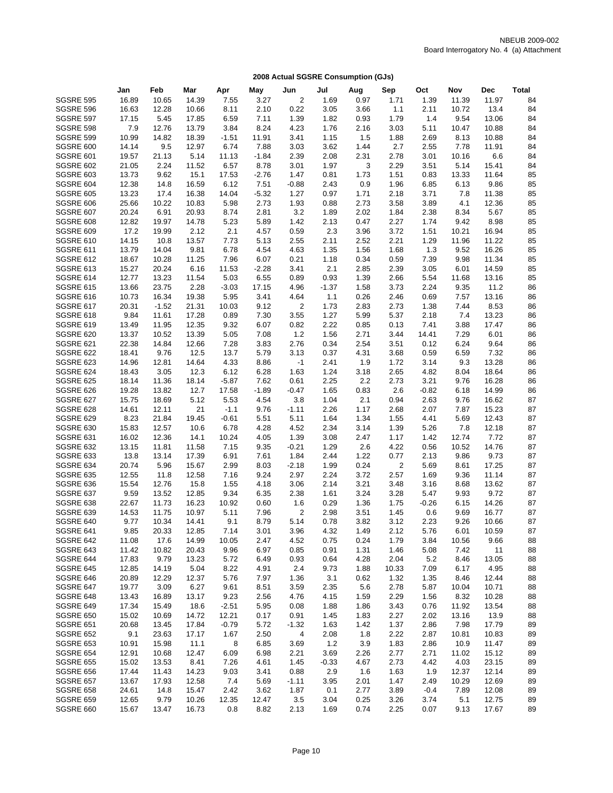|                                      | Jan            | Feb            | Mar           | Apr           | May          | Jun            | Jul          | Aug          | Sep          | Oct          | Nov           | <b>Dec</b>     | <b>Total</b> |
|--------------------------------------|----------------|----------------|---------------|---------------|--------------|----------------|--------------|--------------|--------------|--------------|---------------|----------------|--------------|
| <b>SGSRE 595</b>                     | 16.89          | 10.65          | 14.39         | 7.55          | 3.27         | $\sqrt{2}$     | 1.69         | 0.97         | 1.71         | 1.39         | 11.39         | 11.97          | 84           |
| <b>SGSRE 596</b>                     | 16.63          | 12.28          | 10.66         | 8.11          | 2.10         | 0.22           | 3.05         | 3.66         | 1.1          | 2.11         | 10.72         | 13.4           | 84           |
| <b>SGSRE 597</b>                     | 17.15          | 5.45           | 17.85         | 6.59          | 7.11         | 1.39           | 1.82         | 0.93         | 1.79         | 1.4          | 9.54          | 13.06          | 84           |
| <b>SGSRE 598</b>                     | 7.9            | 12.76          | 13.79         | 3.84          | 8.24         | 4.23           | 1.76         | 2.16         | 3.03         | 5.11         | 10.47         | 10.88          | 84           |
| <b>SGSRE 599</b>                     | 10.99          | 14.82          | 18.39         | $-1.51$       | 11.91        | 3.41           | 1.15         | 1.5          | 1.88         | 2.69         | 8.13          | 10.88          | 84           |
| SGSRE 600                            | 14.14          | 9.5            | 12.97         | 6.74          | 7.88         | 3.03           | 3.62         | 1.44         | 2.7          | 2.55         | 7.78          | 11.91          | 84           |
| SGSRE 601                            | 19.57          | 21.13          | 5.14          | 11.13         | $-1.84$      | 2.39           | 2.08         | 2.31         | 2.78         | 3.01         | 10.16         | 6.6            | 84           |
| SGSRE 602                            | 21.05          | 2.24           | 11.52         | 6.57          | 8.78         | 3.01           | 1.97         | 3            | 2.29         | 3.51         | 5.14          | 15.41          | 84           |
| <b>SGSRE 603</b>                     | 13.73          | 9.62           | 15.1          | 17.53         | $-2.76$      | 1.47           | 0.81         | 1.73         | 1.51         | 0.83         | 13.33         | 11.64          | 85           |
| SGSRE 604                            | 12.38          | 14.8           | 16.59         | 6.12          | 7.51         | $-0.88$        | 2.43         | 0.9          | 1.96         | 6.85         | 6.13          | 9.86           | 85           |
| <b>SGSRE 605</b>                     | 13.23          | 17.4           | 16.38         | 14.04         | $-5.32$      | 1.27           | 0.97         | 1.71         | 2.18         | 3.71         | 7.8           | 11.38          | 85           |
| SGSRE 606                            | 25.66          | 10.22          | 10.83         | 5.98          | 2.73         | 1.93           | 0.88         | 2.73         | 3.58         | 3.89         | 4.1           | 12.36          | 85           |
| <b>SGSRE 607</b>                     | 20.24          | 6.91           | 20.93         | 8.74          | 2.81         | 3.2            | 1.89         | 2.02         | 1.84         | 2.38         | 8.34          | 5.67           | 85           |
| SGSRE 608                            | 12.82          | 19.97          | 14.78         | 5.23          | 5.89         | 1.42           | 2.13         | 0.47         | 2.27         | 1.74         | 9.42          | 8.98           | 85           |
| <b>SGSRE 609</b><br><b>SGSRE 610</b> | 17.2           | 19.99          | 2.12          | 2.1<br>7.73   | 4.57         | 0.59<br>2.55   | 2.3          | 3.96         | 3.72<br>2.21 | 1.51         | 10.21         | 16.94<br>11.22 | 85<br>85     |
| <b>SGSRE 611</b>                     | 14.15<br>13.79 | 10.8<br>14.04  | 13.57<br>9.81 | 6.78          | 5.13<br>4.54 | 4.63           | 2.11<br>1.35 | 2.52<br>1.56 | 1.68         | 1.29<br>1.3  | 11.96<br>9.52 | 16.26          | 85           |
| <b>SGSRE 612</b>                     | 18.67          | 10.28          | 11.25         | 7.96          | 6.07         | 0.21           | 1.18         | 0.34         | 0.59         | 7.39         | 9.98          | 11.34          | 85           |
| SGSRE 613                            | 15.27          | 20.24          | 6.16          | 11.53         | $-2.28$      | 3.41           | 2.1          | 2.85         | 2.39         | 3.05         | 6.01          | 14.59          | 85           |
| SGSRE 614                            | 12.77          | 13.23          | 11.54         | 5.03          | 6.55         | 0.89           | 0.93         | 1.39         | 2.66         | 5.54         | 11.68         | 13.16          | 85           |
| <b>SGSRE 615</b>                     | 13.66          | 23.75          | 2.28          | $-3.03$       | 17.15        | 4.96           | $-1.37$      | 1.58         | 3.73         | 2.24         | 9.35          | 11.2           | 86           |
| <b>SGSRE 616</b>                     | 10.73          | 16.34          | 19.38         | 5.95          | 3.41         | 4.64           | 1.1          | 0.26         | 2.46         | 0.69         | 7.57          | 13.16          | 86           |
| <b>SGSRE 617</b>                     | 20.31          | $-1.52$        | 21.31         | 10.03         | 9.12         | 2              | 1.73         | 2.83         | 2.73         | 1.38         | 7.44          | 8.53           | 86           |
| <b>SGSRE 618</b>                     | 9.84           | 11.61          | 17.28         | 0.89          | 7.30         | 3.55           | 1.27         | 5.99         | 5.37         | 2.18         | 7.4           | 13.23          | 86           |
| <b>SGSRE 619</b>                     | 13.49          | 11.95          | 12.35         | 9.32          | 6.07         | 0.82           | 2.22         | 0.85         | 0.13         | 7.41         | 3.88          | 17.47          | 86           |
| <b>SGSRE 620</b>                     | 13.37          | 10.52          | 13.39         | 5.05          | 7.08         | $1.2$          | 1.56         | 2.71         | 3.44         | 14.41        | 7.29          | 6.01           | 86           |
| SGSRE 621                            | 22.38          | 14.84          | 12.66         | 7.28          | 3.83         | 2.76           | 0.34         | 2.54         | 3.51         | 0.12         | 6.24          | 9.64           | 86           |
| <b>SGSRE 622</b>                     | 18.41          | 9.76           | 12.5          | 13.7          | 5.79         | 3.13           | 0.37         | 4.31         | 3.68         | 0.59         | 6.59          | 7.32           | 86           |
| <b>SGSRE 623</b>                     | 14.96          | 12.81          | 14.64         | 4.33          | 8.86         | -1             | 2.41         | 1.9          | 1.72         | 3.14         | 9.3           | 13.28          | 86           |
| <b>SGSRE 624</b>                     | 18.43          | 3.05           | 12.3          | 6.12          | 6.28         | 1.63           | 1.24         | 3.18         | 2.65         | 4.82         | 8.04          | 18.64          | 86           |
| <b>SGSRE 625</b>                     | 18.14          | 11.36          | 18.14         | $-5.87$       | 7.62         | 0.61           | 2.25         | 2.2          | 2.73         | 3.21         | 9.76          | 16.28          | 86           |
| SGSRE 626                            | 19.28          | 13.82          | 12.7          | 17.58         | $-1.89$      | $-0.47$        | 1.65         | 0.83         | 2.6          | $-0.82$      | 6.18          | 14.99          | 86           |
| <b>SGSRE 627</b>                     | 15.75          | 18.69          | 5.12          | 5.53          | 4.54         | 3.8            | 1.04         | 2.1          | 0.94         | 2.63         | 9.76          | 16.62          | 87           |
| SGSRE 628                            | 14.61          | 12.11          | 21            | $-1.1$        | 9.76         | $-1.11$        | 2.26         | 1.17         | 2.68         | 2.07         | 7.87          | 15.23          | 87           |
| <b>SGSRE 629</b>                     | 8.23           | 21.84          | 19.45         | $-0.61$       | 5.51         | 5.11           | 1.64         | 1.34         | 1.55         | 4.41         | 5.69          | 12.43          | 87           |
| SGSRE 630<br>SGSRE 631               | 15.83          | 12.57<br>12.36 | 10.6<br>14.1  | 6.78<br>10.24 | 4.28         | 4.52<br>1.39   | 2.34         | 3.14<br>2.47 | 1.39         | 5.26<br>1.42 | 7.8<br>12.74  | 12.18<br>7.72  | 87<br>87     |
| <b>SGSRE 632</b>                     | 16.02<br>13.15 | 11.81          | 11.58         | 7.15          | 4.05<br>9.35 | $-0.21$        | 3.08<br>1.29 | 2.6          | 1.17<br>4.22 | 0.56         | 10.52         | 14.76          | 87           |
| <b>SGSRE 633</b>                     | 13.8           | 13.14          | 17.39         | 6.91          | 7.61         | 1.84           | 2.44         | 1.22         | 0.77         | 2.13         | 9.86          | 9.73           | 87           |
| SGSRE 634                            | 20.74          | 5.96           | 15.67         | 2.99          | 8.03         | $-2.18$        | 1.99         | 0.24         | 2            | 5.69         | 8.61          | 17.25          | 87           |
| <b>SGSRE 635</b>                     | 12.55          | 11.8           | 12.58         | 7.16          | 9.24         | 2.97           | 2.24         | 3.72         | 2.57         | 1.69         | 9.36          | 11.14          | 87           |
| SGSRE 636                            | 15.54          | 12.76          | 15.8          | 1.55          | 4.18         | 3.06           | 2.14         | 3.21         | 3.48         | 3.16         | 8.68          | 13.62          | 87           |
| SGSRE 637                            | 9.59           | 13.52          | 12.85         | 9.34          | 6.35         | 2.38           | 1.61         | 3.24         | 3.28         | 5.47         | 9.93          | 9.72           | 87           |
| SGSRE 638                            | 22.67          | 11.73          | 16.23         | 10.92         | 0.60         | 1.6            | 0.29         | 1.36         | 1.75         | $-0.26$      | 6.15          | 14.26          | 87           |
| SGSRE 639                            | 14.53          | 11.75          | 10.97         | 5.11          | 7.96         | $\overline{2}$ | 2.98         | 3.51         | 1.45         | 0.6          | 9.69          | 16.77          | 87           |
| SGSRE 640                            | 9.77           | 10.34          | 14.41         | 9.1           | 8.79         | 5.14           | 0.78         | 3.82         | 3.12         | 2.23         | 9.26          | 10.66          | 87           |
| SGSRE 641                            | 9.85           | 20.33          | 12.85         | 7.14          | 3.01         | 3.96           | 4.32         | 1.49         | 2.12         | 5.76         | 6.01          | 10.59          | 87           |
| <b>SGSRE 642</b>                     | 11.08          | 17.6           | 14.99         | 10.05         | 2.47         | 4.52           | 0.75         | 0.24         | 1.79         | 3.84         | 10.56         | 9.66           | 88           |
| SGSRE 643                            | 11.42          | 10.82          | 20.43         | 9.96          | 6.97         | 0.85           | 0.91         | 1.31         | 1.46         | 5.08         | 7.42          | 11             | 88           |
| SGSRE 644                            | 17.83          | 9.79           | 13.23         | 5.72          | 6.49         | 0.93           | 0.64         | 4.28         | 2.04         | 5.2          | 8.46          | 13.05          | 88           |
| SGSRE 645                            | 12.85          | 14.19          | 5.04          | 8.22          | 4.91         | 2.4            | 9.73         | 1.88         | 10.33        | 7.09         | 6.17          | 4.95           | 88           |
| SGSRE 646                            | 20.89          | 12.29          | 12.37         | 5.76          | 7.97         | 1.36           | 3.1          | 0.62         | 1.32         | 1.35         | 8.46          | 12.44          | 88           |
| SGSRE 647                            | 19.77          | 3.09           | 6.27          | 9.61          | 8.51         | 3.59           | 2.35         | 5.6          | 2.78         | 5.87         | 10.04         | 10.71          | 88           |
| SGSRE 648                            | 13.43          | 16.89          | 13.17         | 9.23          | 2.56         | 4.76           | 4.15         | 1.59         | 2.29         | 1.56         | 8.32          | 10.28          | 88           |
| SGSRE 649                            | 17.34          | 15.49          | 18.6          | $-2.51$       | 5.95         | 0.08           | 1.88         | 1.86         | 3.43         | 0.76         | 11.92         | 13.54          | 88           |
| <b>SGSRE 650</b>                     | 15.02          | 10.69          | 14.72         | 12.21         | 0.17         | 0.91           | 1.45         | 1.83         | 2.27         | 2.02         | 13.16         | 13.9           | 88           |
| <b>SGSRE 651</b>                     | 20.68          | 13.45          | 17.84         | $-0.79$       | 5.72         | $-1.32$        | 1.63         | 1.42         | 1.37         | 2.86         | 7.98          | 17.79          | 89           |
| <b>SGSRE 652</b><br><b>SGSRE 653</b> | 9.1            | 23.63          | 17.17         | 1.67          | 2.50<br>6.85 | 4              | 2.08         | 1.8<br>3.9   | 2.22<br>1.83 | 2.87<br>2.86 | 10.81         | 10.83<br>11.47 | 89           |
| <b>SGSRE 654</b>                     | 10.91<br>12.91 | 15.98<br>10.68 | 11.1<br>12.47 | 8<br>6.09     | 6.98         | 3.69<br>2.21   | 1.2<br>3.69  | 2.26         | 2.77         | 2.71         | 10.9<br>11.02 | 15.12          | 89<br>89     |
| <b>SGSRE 655</b>                     | 15.02          | 13.53          | 8.41          | 7.26          | 4.61         | 1.45           | $-0.33$      | 4.67         | 2.73         | 4.42         | 4.03          | 23.15          | 89           |
| <b>SGSRE 656</b>                     | 17.44          | 11.43          | 14.23         | 9.03          | 3.41         | 0.88           | 2.9          | 1.6          | 1.63         | 1.9          | 12.37         | 12.14          | 89           |
| <b>SGSRE 657</b>                     | 13.67          | 17.93          | 12.58         | 7.4           | 5.69         | $-1.11$        | 3.95         | 2.01         | 1.47         | 2.49         | 10.29         | 12.69          | 89           |
| <b>SGSRE 658</b>                     | 24.61          | 14.8           | 15.47         | 2.42          | 3.62         | 1.87           | 0.1          | 2.77         | 3.89         | $-0.4$       | 7.89          | 12.08          | 89           |
| <b>SGSRE 659</b>                     | 12.65          | 9.79           | 10.26         | 12.35         | 12.47        | 3.5            | 3.04         | 0.25         | 3.26         | 3.74         | 5.1           | 12.75          | 89           |
| SGSRE 660                            | 15.67          | 13.47          | 16.73         | 0.8           | 8.82         | 2.13           | 1.69         | 0.74         | 2.25         | 0.07         | 9.13          | 17.67          | 89           |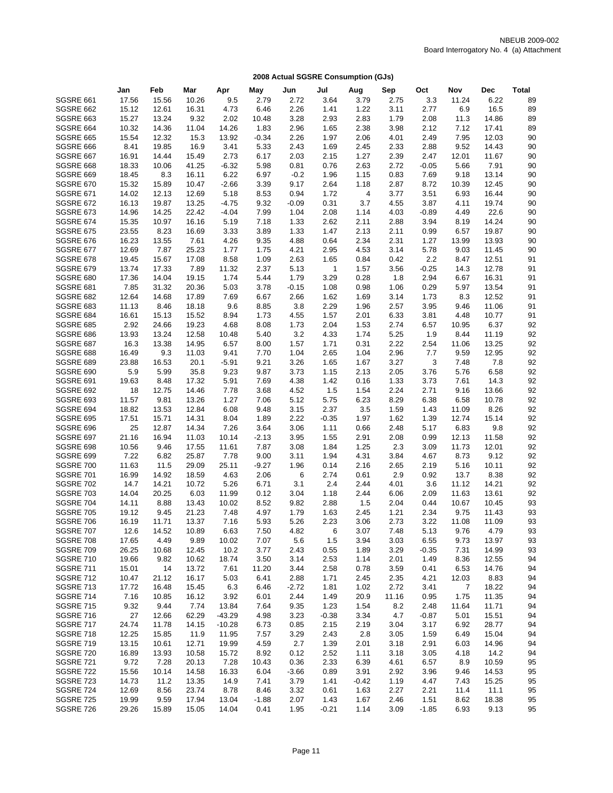|                                      | Jan            | Feb            | Mar            | Apr               | May             | Jun          | Jul          | Aug          | Sep          | Oct          | Nov           | <b>Dec</b>     | <b>Total</b> |
|--------------------------------------|----------------|----------------|----------------|-------------------|-----------------|--------------|--------------|--------------|--------------|--------------|---------------|----------------|--------------|
| SGSRE 661                            | 17.56          | 15.56          | 10.26          | 9.5               | 2.79            | 2.72         | 3.64         | 3.79         | 2.75         | 3.3          | 11.24         | 6.22           | 89           |
| SGSRE 662                            | 15.12          | 12.61          | 16.31          | 4.73              | 6.46            | 2.26         | 1.41         | 1.22         | 3.11         | 2.77         | 6.9           | 16.5           | 89           |
| <b>SGSRE 663</b>                     | 15.27          | 13.24          | 9.32           | 2.02              | 10.48           | 3.28         | 2.93         | 2.83         | 1.79         | 2.08         | 11.3          | 14.86          | 89           |
| SGSRE 664                            | 10.32          | 14.36          | 11.04          | 14.26             | 1.83            | 2.96         | 1.65         | 2.38         | 3.98         | 2.12         | 7.12          | 17.41          | 89           |
| <b>SGSRE 665</b>                     | 15.54          | 12.32          | 15.3           | 13.92             | $-0.34$         | 2.26         | 1.97         | 2.06         | 4.01         | 2.49         | 7.95          | 12.03          | 90           |
| SGSRE 666                            | 8.41           | 19.85          | 16.9           | 3.41              | 5.33            | 2.43         | 1.69         | 2.45         | 2.33         | 2.88         | 9.52          | 14.43          | 90           |
| SGSRE 667                            | 16.91          | 14.44          | 15.49          | 2.73              | 6.17            | 2.03         | 2.15         | 1.27         | 2.39         | 2.47         | 12.01         | 11.67          | 90           |
| SGSRE 668                            | 18.33          | 10.06          | 41.25          | $-6.32$           | 5.98            | 0.81         | 0.76         | 2.63         | 2.72         | $-0.05$      | 5.66          | 7.91           | 90           |
| SGSRE 669                            | 18.45          | 8.3            | 16.11          | 6.22              | 6.97            | $-0.2$       | 1.96         | 1.15         | 0.83         | 7.69         | 9.18          | 13.14          | 90           |
| <b>SGSRE 670</b>                     | 15.32          | 15.89          | 10.47          | $-2.66$           | 3.39            | 9.17         | 2.64         | 1.18         | 2.87         | 8.72         | 10.39         | 12.45          | 90           |
| <b>SGSRE 671</b>                     | 14.02          | 12.13          | 12.69          | 5.18              | 8.53            | 0.94         | 1.72         | 4            | 3.77         | 3.51         | 6.93          | 16.44          | 90           |
| <b>SGSRE 672</b>                     | 16.13          | 19.87          | 13.25          | $-4.75$           | 9.32            | $-0.09$      | 0.31         | 3.7          | 4.55         | 3.87         | 4.11          | 19.74          | 90           |
| <b>SGSRE 673</b>                     | 14.96          | 14.25          | 22.42          | $-4.04$           | 7.99            | 1.04         | 2.08         | 1.14         | 4.03         | $-0.89$      | 4.49          | 22.6           | 90           |
| <b>SGSRE 674</b><br><b>SGSRE 675</b> | 15.35          | 10.97          | 16.16          | 5.19              | 7.18            | 1.33         | 2.62<br>1.47 | 2.11<br>2.13 | 2.88         | 3.94<br>0.99 | 8.19          | 14.24<br>19.87 | 90<br>90     |
| <b>SGSRE 676</b>                     | 23.55<br>16.23 | 8.23<br>13.55  | 16.69<br>7.61  | 3.33<br>4.26      | 3.89<br>9.35    | 1.33<br>4.88 | 0.64         | 2.34         | 2.11<br>2.31 | 1.27         | 6.57<br>13.99 | 13.93          | 90           |
| <b>SGSRE 677</b>                     | 12.69          | 7.87           | 25.23          | 1.77              | 1.75            | 4.21         | 2.95         | 4.53         | 3.14         | 5.78         | 9.03          | 11.45          | 90           |
| <b>SGSRE 678</b>                     | 19.45          | 15.67          | 17.08          | 8.58              | 1.09            | 2.63         | 1.65         | 0.84         | 0.42         | 2.2          | 8.47          | 12.51          | 91           |
| <b>SGSRE 679</b>                     | 13.74          | 17.33          | 7.89           | 11.32             | 2.37            | 5.13         | $\mathbf{1}$ | 1.57         | 3.56         | $-0.25$      | 14.3          | 12.78          | 91           |
| SGSRE 680                            | 17.36          | 14.04          | 19.15          | 1.74              | 5.44            | 1.79         | 3.29         | 0.28         | 1.8          | 2.94         | 6.67          | 16.31          | 91           |
| <b>SGSRE 681</b>                     | 7.85           | 31.32          | 20.36          | 5.03              | 3.78            | $-0.15$      | 1.08         | 0.98         | 1.06         | 0.29         | 5.97          | 13.54          | 91           |
| SGSRE 682                            | 12.64          | 14.68          | 17.89          | 7.69              | 6.67            | 2.66         | 1.62         | 1.69         | 3.14         | 1.73         | 8.3           | 12.52          | 91           |
| SGSRE 683                            | 11.13          | 8.46           | 18.18          | 9.6               | 8.85            | 3.8          | 2.29         | 1.96         | 2.57         | 3.95         | 9.46          | 11.06          | 91           |
| SGSRE 684                            | 16.61          | 15.13          | 15.52          | 8.94              | 1.73            | 4.55         | 1.57         | 2.01         | 6.33         | 3.81         | 4.48          | 10.77          | 91           |
| <b>SGSRE 685</b>                     | 2.92           | 24.66          | 19.23          | 4.68              | 8.08            | 1.73         | 2.04         | 1.53         | 2.74         | 6.57         | 10.95         | 6.37           | 92           |
| SGSRE 686                            | 13.93          | 13.24          | 12.58          | 10.48             | 5.40            | 3.2          | 4.33         | 1.74         | 5.25         | 1.9          | 8.44          | 11.19          | 92           |
| SGSRE 687                            | 16.3           | 13.38          | 14.95          | 6.57              | 8.00            | 1.57         | 1.71         | 0.31         | 2.22         | 2.54         | 11.06         | 13.25          | 92           |
| SGSRE 688                            | 16.49          | 9.3            | 11.03          | 9.41              | 7.70            | 1.04         | 2.65         | 1.04         | 2.96         | 7.7          | 9.59          | 12.95          | 92           |
| SGSRE 689                            | 23.88          | 16.53          | 20.1           | $-5.91$           | 9.21            | 3.26         | 1.65         | 1.67         | 3.27         | 3            | 7.48          | 7.8            | 92           |
| SGSRE 690                            | 5.9            | 5.99           | 35.8           | 9.23              | 9.87            | 3.73         | 1.15         | 2.13         | 2.05         | 3.76         | 5.76          | 6.58           | 92           |
| <b>SGSRE 691</b>                     | 19.63          | 8.48           | 17.32          | 5.91              | 7.69            | 4.38         | 1.42         | 0.16         | 1.33         | 3.73         | 7.61          | 14.3           | 92           |
| <b>SGSRE 692</b>                     | 18             | 12.75          | 14.46          | 7.78              | 3.68            | 4.52         | 1.5          | 1.54         | 2.24         | 2.71         | 9.16          | 13.66          | 92           |
| <b>SGSRE 693</b>                     | 11.57          | 9.81           | 13.26          | 1.27              | 7.06            | 5.12         | 5.75         | 6.23         | 8.29         | 6.38         | 6.58          | 10.78          | 92           |
| SGSRE 694                            | 18.82          | 13.53          | 12.84          | 6.08              | 9.48            | 3.15         | 2.37         | 3.5          | 1.59         | 1.43         | 11.09         | 8.26           | 92           |
| <b>SGSRE 695</b>                     | 17.51<br>25    | 15.71          | 14.31          | 8.04              | 1.89            | 2.22         | $-0.35$      | 1.97         | 1.62         | 1.39         | 12.74         | 15.14          | 92           |
| SGSRE 696<br>SGSRE 697               | 21.16          | 12.87<br>16.94 | 14.34<br>11.03 | 7.26<br>10.14     | 3.64<br>$-2.13$ | 3.06<br>3.95 | 1.11<br>1.55 | 0.66<br>2.91 | 2.48<br>2.08 | 5.17<br>0.99 | 6.83<br>12.13 | 9.8<br>11.58   | 92<br>92     |
| SGSRE 698                            | 10.56          | 9.46           | 17.55          | 11.61             | 7.87            | 3.08         | 1.84         | 1.25         | 2.3          | 3.09         | 11.73         | 12.01          | 92           |
| SGSRE 699                            | 7.22           | 6.82           | 25.87          | 7.78              | 9.00            | 3.11         | 1.94         | 4.31         | 3.84         | 4.67         | 8.73          | 9.12           | 92           |
| SGSRE 700                            | 11.63          | 11.5           | 29.09          | 25.11             | $-9.27$         | 1.96         | 0.14         | 2.16         | 2.65         | 2.19         | 5.16          | 10.11          | 92           |
| <b>SGSRE 701</b>                     | 16.99          | 14.92          | 18.59          | 4.63              | 2.06            | 6            | 2.74         | 0.61         | 2.9          | 0.92         | 13.7          | 8.38           | 92           |
| <b>SGSRE 702</b>                     | 14.7           | 14.21          | 10.72          | 5.26              | 6.71            | 3.1          | 2.4          | 2.44         | 4.01         | 3.6          | 11.12         | 14.21          | 92           |
| SGSRE 703                            | 14.04          | 20.25          | 6.03           | 11.99             | 0.12            | 3.04         | 1.18         | 2.44         | 6.06         | 2.09         | 11.63         | 13.61          | 92           |
| SGSRE 704                            | 14.11          | 8.88           | 13.43          | 10.02             | 8.52            | 9.82         | 2.88         | 1.5          | 2.04         | 0.44         | 10.67         | 10.45          | 93           |
| <b>SGSRE 705</b>                     | 19.12          | 9.45           | 21.23          | 7.48              | 4.97            | 1.79         | 1.63         | 2.45         | 1.21         | 2.34         | 9.75          | 11.43          | 93           |
| SGSRE 706                            | 16.19          | 11.71          | 13.37          | 7.16              | 5.93            | 5.26         | 2.23         | 3.06         | 2.73         | 3.22         | 11.08         | 11.09          | 93           |
| SGSRE 707                            | 12.6           | 14.52          | 10.89          | 6.63              | 7.50            | 4.82         | 6            | 3.07         | 7.48         | 5.13         | 9.76          | 4.79           | 93           |
| SGSRE 708                            | 17.65          | 4.49           | 9.89           | 10.02             | 7.07            | 5.6          | 1.5          | 3.94         | 3.03         | 6.55         | 9.73          | 13.97          | 93           |
| <b>SGSRE 709</b>                     | 26.25          | 10.68          | 12.45          | 10.2              | 3.77            | 2.43         | 0.55         | 1.89         | 3.29         | $-0.35$      | 7.31          | 14.99          | 93           |
| <b>SGSRE 710</b>                     | 19.66          | 9.82           | 10.62          | 18.74             | 3.50            | 3.14         | 2.53         | 1.14         | 2.01         | 1.49         | 8.36          | 12.55          | 94           |
| <b>SGSRE 711</b>                     | 15.01          | 14             | 13.72          | 7.61              | 11.20           | 3.44         | 2.58         | 0.78         | 3.59         | 0.41         | 6.53          | 14.76          | 94           |
| SGSRE 712                            | 10.47          | 21.12          | 16.17          | 5.03              | 6.41            | 2.88         | 1.71         | 2.45         | 2.35         | 4.21         | 12.03         | 8.83           | 94           |
| SGSRE 713                            | 17.72          | 16.48          | 15.45          | 6.3               | 6.46            | $-2.72$      | 1.81         | 1.02         | 2.72         | 3.41         | 7             | 18.22          | 94           |
| <b>SGSRE 714</b>                     | 7.16           | 10.85          | 16.12          | 3.92              | 6.01            | 2.44         | 1.49         | 20.9         | 11.16        | 0.95         | 1.75          | 11.35          | 94           |
| SGSRE 715                            | 9.32           | 9.44           | 7.74           | 13.84             | 7.64            | 9.35         | 1.23         | 1.54         | 8.2          | 2.48         | 11.64         | 11.71          | 94           |
| SGSRE 716                            | 27             | 12.66          | 62.29          | $-43.29$          | 4.98            | 3.23         | $-0.38$      | 3.34         | 4.7          | $-0.87$      | 5.01          | 15.51          | 94           |
| SGSRE 717<br><b>SGSRE 718</b>        | 24.74<br>12.25 | 11.78<br>15.85 | 14.15<br>11.9  | $-10.28$<br>11.95 | 6.73<br>7.57    | 0.85<br>3.29 | 2.15<br>2.43 | 2.19<br>2.8  | 3.04<br>3.05 | 3.17<br>1.59 | 6.92<br>6.49  | 28.77<br>15.04 | 94<br>94     |
| <b>SGSRE 719</b>                     | 13.15          | 10.61          | 12.71          | 19.99             | 4.59            | 2.7          | 1.39         | 2.01         | 3.18         | 2.91         | 6.03          | 14.96          | 94           |
| SGSRE 720                            | 16.89          | 13.93          | 10.58          | 15.72             | 8.92            | 0.12         | 2.52         | 1.11         | 3.18         | 3.05         | 4.18          | 14.2           | 94           |
| <b>SGSRE 721</b>                     | 9.72           | 7.28           | 20.13          | 7.28              | 10.43           | 0.36         | 2.33         | 6.39         | 4.61         | 6.57         | 8.9           | 10.59          | 95           |
| SGSRE 722                            | 15.56          | 10.14          | 14.58          | 16.33             | 6.04            | $-3.66$      | 0.89         | 3.91         | 2.92         | 3.96         | 9.46          | 14.53          | 95           |
| SGSRE 723                            | 14.73          | 11.2           | 13.35          | 14.9              | 7.41            | 3.79         | 1.41         | $-0.42$      | 1.19         | 4.47         | 7.43          | 15.25          | 95           |
| SGSRE 724                            | 12.69          | 8.56           | 23.74          | 8.78              | 8.46            | 3.32         | 0.61         | 1.63         | 2.27         | 2.21         | 11.4          | 11.1           | 95           |
| <b>SGSRE 725</b>                     | 19.99          | 9.59           | 17.94          | 13.04             | $-1.88$         | 2.07         | 1.43         | 1.67         | 2.46         | 1.51         | 8.62          | 18.38          | 95           |
| SGSRE 726                            | 29.26          | 15.89          | 15.05          | 14.04             | 0.41            | 1.95         | $-0.21$      | 1.14         | 3.09         | $-1.85$      | 6.93          | 9.13           | 95           |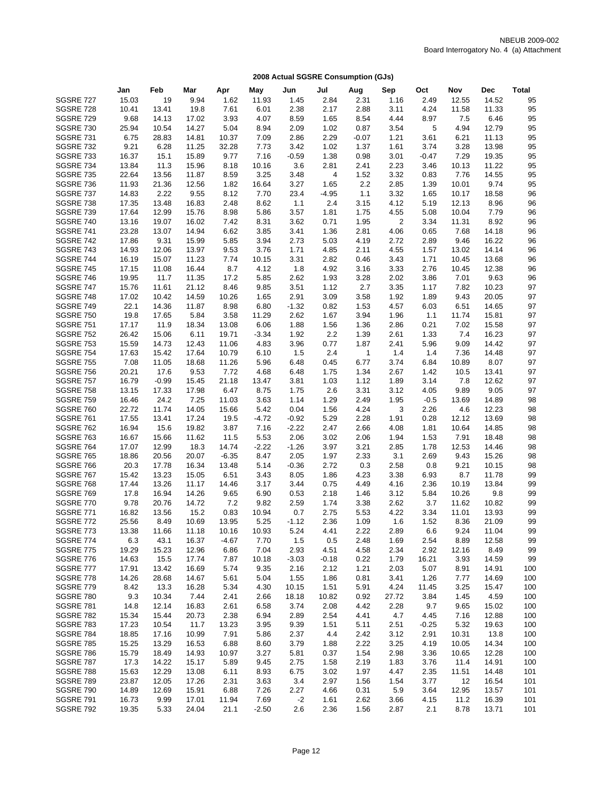|                                      | Jan            | Feb            | Mar            | Apr           | May             | Jun             | Jul          | Aug          | Sep          | Oct             | Nov            | <b>Dec</b>     | <b>Total</b> |
|--------------------------------------|----------------|----------------|----------------|---------------|-----------------|-----------------|--------------|--------------|--------------|-----------------|----------------|----------------|--------------|
| <b>SGSRE 727</b>                     | 15.03          | 19             | 9.94           | 1.62          | 11.93           | 1.45            | 2.84         | 2.31         | 1.16         | 2.49            | 12.55          | 14.52          | 95           |
| SGSRE 728                            | 10.41          | 13.41          | 19.8           | 7.61          | 6.01            | 2.38            | 2.17         | 2.88         | 3.11         | 4.24            | 11.58          | 11.33          | 95           |
| <b>SGSRE 729</b>                     | 9.68           | 14.13          | 17.02          | 3.93          | 4.07            | 8.59            | 1.65         | 8.54         | 4.44         | 8.97            | 7.5            | 6.46           | 95           |
| <b>SGSRE 730</b>                     | 25.94          | 10.54          | 14.27          | 5.04          | 8.94            | 2.09            | 1.02         | 0.87         | 3.54         | 5               | 4.94           | 12.79          | 95           |
| <b>SGSRE 731</b>                     | 6.75           | 28.83          | 14.81          | 10.37         | 7.09            | 2.86            | 2.29         | $-0.07$      | 1.21         | 3.61            | 6.21           | 11.13          | 95           |
| <b>SGSRE 732</b>                     | 9.21           | 6.28           | 11.25          | 32.28         | 7.73            | 3.42            | 1.02         | 1.37         | 1.61         | 3.74            | 3.28           | 13.98          | 95           |
| <b>SGSRE 733</b>                     | 16.37          | 15.1           | 15.89          | 9.77          | 7.16            | $-0.59$         | 1.38         | 0.98         | 3.01         | $-0.47$         | 7.29           | 19.35          | 95           |
| SGSRE 734                            | 13.84          | 11.3           | 15.96          | 8.18          | 10.16           | 3.6             | 2.81         | 2.41         | 2.23         | 3.46            | 10.13          | 11.22          | 95           |
| <b>SGSRE 735</b>                     | 22.64          | 13.56          | 11.87          | 8.59          | 3.25            | 3.48            | 4            | 1.52         | 3.32         | 0.83            | 7.76           | 14.55          | 95           |
| SGSRE 736                            | 11.93          | 21.36          | 12.56          | 1.82          | 16.64           | 3.27            | 1.65         | 2.2          | 2.85         | 1.39            | 10.01          | 9.74           | 95           |
| SGSRE 737                            | 14.83          | 2.22           | 9.55           | 8.12          | 7.70            | 23.4            | $-4.95$      | 1.1          | 3.32         | 1.65            | 10.17          | 18.58          | 96           |
| SGSRE 738                            | 17.35          | 13.48          | 16.83          | 2.48          | 8.62            | 1.1             | 2.4          | 3.15         | 4.12         | 5.19            | 12.13          | 8.96           | 96           |
| <b>SGSRE 739</b>                     | 17.64          | 12.99          | 15.76          | 8.98          | 5.86            | 3.57            | 1.81         | 1.75         | 4.55         | 5.08            | 10.04          | 7.79           | 96           |
| <b>SGSRE 740</b><br><b>SGSRE 741</b> | 13.16          | 19.07          | 16.02<br>14.94 | 7.42<br>6.62  | 8.31            | 3.62            | 0.71         | 1.95         | 2<br>4.06    | 3.34            | 11.31          | 8.92<br>14.18  | 96<br>96     |
| <b>SGSRE 742</b>                     | 23.28<br>17.86 | 13.07<br>9.31  | 15.99          | 5.85          | 3.85<br>3.94    | 3.41<br>2.73    | 1.36<br>5.03 | 2.81<br>4.19 | 2.72         | 0.65<br>2.89    | 7.68<br>9.46   | 16.22          | 96           |
| <b>SGSRE 743</b>                     | 14.93          | 12.06          | 13.97          | 9.53          | 3.76            | 1.71            | 4.85         | 2.11         | 4.55         | 1.57            | 13.02          | 14.14          | 96           |
| SGSRE 744                            | 16.19          | 15.07          | 11.23          | 7.74          | 10.15           | 3.31            | 2.82         | 0.46         | 3.43         | 1.71            | 10.45          | 13.68          | 96           |
| <b>SGSRE 745</b>                     | 17.15          | 11.08          | 16.44          | 8.7           | 4.12            | 1.8             | 4.92         | 3.16         | 3.33         | 2.76            | 10.45          | 12.38          | 96           |
| <b>SGSRE 746</b>                     | 19.95          | 11.7           | 11.35          | 17.2          | 5.85            | 2.62            | 1.93         | 3.28         | 2.02         | 3.86            | 7.01           | 9.63           | 96           |
| SGSRE 747                            | 15.76          | 11.61          | 21.12          | 8.46          | 9.85            | 3.51            | 1.12         | 2.7          | 3.35         | 1.17            | 7.82           | 10.23          | 97           |
| SGSRE 748                            | 17.02          | 10.42          | 14.59          | 10.26         | 1.65            | 2.91            | 3.09         | 3.58         | 1.92         | 1.89            | 9.43           | 20.05          | 97           |
| SGSRE 749                            | 22.1           | 14.36          | 11.87          | 8.98          | 6.80            | $-1.32$         | 0.82         | 1.53         | 4.57         | 6.03            | 6.51           | 14.65          | 97           |
| <b>SGSRE 750</b>                     | 19.8           | 17.65          | 5.84           | 3.58          | 11.29           | 2.62            | 1.67         | 3.94         | 1.96         | 1.1             | 11.74          | 15.81          | 97           |
| <b>SGSRE 751</b>                     | 17.17          | 11.9           | 18.34          | 13.08         | 6.06            | 1.88            | 1.56         | 1.36         | 2.86         | 0.21            | 7.02           | 15.58          | 97           |
| <b>SGSRE 752</b>                     | 26.42          | 15.06          | 6.11           | 19.71         | $-3.34$         | 1.92            | 2.2          | 1.39         | 2.61         | 1.33            | 7.4            | 16.23          | 97           |
| <b>SGSRE 753</b>                     | 15.59          | 14.73          | 12.43          | 11.06         | 4.83            | 3.96            | 0.77         | 1.87         | 2.41         | 5.96            | 9.09           | 14.42          | 97           |
| <b>SGSRE 754</b>                     | 17.63          | 15.42          | 17.64          | 10.79         | 6.10            | 1.5             | 2.4          | $\mathbf{1}$ | 1.4          | 1.4             | 7.36           | 14.48          | 97           |
| <b>SGSRE 755</b>                     | 7.08           | 11.05          | 18.68          | 11.26         | 5.96            | 6.48            | 0.45         | 6.77         | 3.74         | 6.84            | 10.89          | 8.07           | 97           |
| <b>SGSRE 756</b>                     | 20.21          | 17.6           | 9.53           | 7.72          | 4.68            | 6.48            | 1.75         | 1.34         | 2.67         | 1.42            | 10.5           | 13.41          | 97           |
| <b>SGSRE 757</b>                     | 16.79          | $-0.99$        | 15.45          | 21.18         | 13.47           | 3.81            | 1.03         | 1.12         | 1.89         | 3.14            | 7.8            | 12.62          | 97           |
| <b>SGSRE 758</b>                     | 13.15          | 17.33          | 17.98          | 6.47          | 8.75            | 1.75            | 2.6          | 3.31         | 3.12         | 4.05            | 9.89           | 9.05           | 97           |
| <b>SGSRE 759</b>                     | 16.46          | 24.2           | 7.25           | 11.03         | 3.63            | 1.14            | 1.29         | 2.49         | 1.95         | $-0.5$          | 13.69          | 14.89          | 98           |
| SGSRE 760                            | 22.72          | 11.74          | 14.05          | 15.66         | 5.42            | 0.04            | 1.56         | 4.24         | 3            | 2.26            | 4.6            | 12.23          | 98           |
| <b>SGSRE 761</b>                     | 17.55          | 13.41<br>15.6  | 17.24<br>19.82 | 19.5          | $-4.72$<br>7.16 | $-0.92$         | 5.29<br>2.47 | 2.28<br>2.66 | 1.91<br>4.08 | 0.28<br>1.81    | 12.12<br>10.64 | 13.69          | 98<br>98     |
| SGSRE 762<br><b>SGSRE 763</b>        | 16.94<br>16.67 | 15.66          | 11.62          | 3.87<br>11.5  | 5.53            | $-2.22$<br>2.06 | 3.02         | 2.06         | 1.94         | 1.53            | 7.91           | 14.85<br>18.48 | 98           |
| <b>SGSRE 764</b>                     | 17.07          | 12.99          | 18.3           | 14.74         | $-2.22$         | $-1.26$         | 3.97         | 3.21         | 2.85         | 1.78            | 12.53          | 14.46          | 98           |
| <b>SGSRE 765</b>                     | 18.86          | 20.56          | 20.07          | $-6.35$       | 8.47            | 2.05            | 1.97         | 2.33         | 3.1          | 2.69            | 9.43           | 15.26          | 98           |
| <b>SGSRE 766</b>                     | 20.3           | 17.78          | 16.34          | 13.48         | 5.14            | $-0.36$         | 2.72         | 0.3          | 2.58         | 0.8             | 9.21           | 10.15          | 98           |
| SGSRE 767                            | 15.42          | 13.23          | 15.05          | 6.51          | 3.43            | 8.05            | 1.86         | 4.23         | 3.38         | 6.93            | 8.7            | 11.78          | 99           |
| SGSRE 768                            | 17.44          | 13.26          | 11.17          | 14.46         | 3.17            | 3.44            | 0.75         | 4.49         | 4.16         | 2.36            | 10.19          | 13.84          | 99           |
| <b>SGSRE 769</b>                     | 17.8           | 16.94          | 14.26          | 9.65          | 6.90            | 0.53            | 2.18         | 1.46         | 3.12         | 5.84            | 10.26          | 9.8            | 99           |
| SGSRE 770                            | 9.78           | 20.76          | 14.72          | 7.2           | 9.82            | 2.59            | 1.74         | 3.38         | 2.62         | 3.7             | 11.62          | 10.82          | 99           |
| <b>SGSRE 771</b>                     | 16.82          | 13.56          | 15.2           | 0.83          | 10.94           | 0.7             | 2.75         | 5.53         | 4.22         | 3.34            | 11.01          | 13.93          | 99           |
| <b>SGSRE 772</b>                     | 25.56          | 8.49           | 10.69          | 13.95         | 5.25            | $-1.12$         | 2.36         | 1.09         | 1.6          | 1.52            | 8.36           | 21.09          | 99           |
| SGSRE 773                            | 13.38          | 11.66          | 11.18          | 10.16         | 10.93           | 5.24            | 4.41         | 2.22         | 2.89         | 6.6             | 9.24           | 11.04          | 99           |
| <b>SGSRE 774</b>                     | 6.3            | 43.1           | 16.37          | $-4.67$       | 7.70            | 1.5             | 0.5          | 2.48         | 1.69         | 2.54            | 8.89           | 12.58          | 99           |
| <b>SGSRE 775</b>                     | 19.29          | 15.23          | 12.96          | 6.86          | 7.04            | 2.93            | 4.51         | 4.58         | 2.34         | 2.92            | 12.16          | 8.49           | 99           |
| SGSRE 776                            | 14.63          | 15.5           | 17.74          | 7.87          | 10.18           | $-3.03$         | $-0.18$      | 0.22         | 1.79         | 16.21           | 3.93           | 14.59          | 99           |
| SGSRE 777                            | 17.91          | 13.42          | 16.69          | 5.74          | 9.35            | 2.16            | 2.12         | 1.21         | 2.03         | 5.07            | 8.91           | 14.91          | 100          |
| SGSRE 778                            | 14.26          | 28.68          | 14.67          | 5.61          | 5.04            | 1.55            | 1.86         | 0.81         | 3.41         | 1.26            | 7.77           | 14.69          | 100          |
| <b>SGSRE 779</b>                     | 8.42           | 13.3           | 16.28          | 5.34          | 4.30            | 10.15           | 1.51         | 5.91         | 4.24         | 11.45           | 3.25           | 15.47          | 100          |
| SGSRE 780                            | 9.3            | 10.34          | 7.44           | 2.41          | 2.66            | 18.18           | 10.82        | 0.92         | 27.72        | 3.84            | 1.45           | 4.59           | 100          |
| SGSRE 781<br><b>SGSRE 782</b>        | 14.8           | 12.14          | 16.83          | 2.61          | 6.58            | 3.74            | 2.08         | 4.42         | 2.28         | 9.7             | 9.65           | 15.02          | 100          |
|                                      | 15.34          | 15.44          | 20.73          | 2.38          | 6.94            | 2.89            | 2.54         | 4.41         | 4.7          | 4.45            | 7.16           | 12.88          | 100          |
| SGSRE 783<br><b>SGSRE 784</b>        | 17.23<br>18.85 | 10.54<br>17.16 | 11.7<br>10.99  | 13.23<br>7.91 | 3.95<br>5.86    | 9.39<br>2.37    | 1.51<br>4.4  | 5.11<br>2.42 | 2.51<br>3.12 | $-0.25$<br>2.91 | 5.32<br>10.31  | 19.63<br>13.8  | 100<br>100   |
| <b>SGSRE 785</b>                     | 15.25          | 13.29          | 16.53          | 6.88          | 8.60            | 3.79            | 1.88         | 2.22         | 3.25         | 4.19            | 10.05          | 14.34          | 100          |
| SGSRE 786                            | 15.79          | 18.49          | 14.93          | 10.97         | 3.27            | 5.81            | 0.37         | 1.54         | 2.98         | 3.36            | 10.65          | 12.28          | 100          |
| <b>SGSRE 787</b>                     | 17.3           | 14.22          | 15.17          | 5.89          | 9.45            | 2.75            | 1.58         | 2.19         | 1.83         | 3.76            | 11.4           | 14.91          | 100          |
| SGSRE 788                            | 15.63          | 12.29          | 13.08          | 6.11          | 8.93            | 6.75            | 3.02         | 1.97         | 4.47         | 2.35            | 11.51          | 14.48          | 101          |
| SGSRE 789                            | 23.87          | 12.05          | 17.26          | 2.31          | 3.63            | 3.4             | 2.97         | 1.56         | 1.54         | 3.77            | 12             | 16.54          | 101          |
| SGSRE 790                            | 14.89          | 12.69          | 15.91          | 6.88          | 7.26            | 2.27            | 4.66         | 0.31         | 5.9          | 3.64            | 12.95          | 13.57          | 101          |
| <b>SGSRE 791</b>                     | 16.73          | 9.99           | 17.01          | 11.94         | 7.69            | $-2$            | 1.61         | 2.62         | 3.66         | 4.15            | 11.2           | 16.39          | 101          |
| SGSRE 792                            | 19.35          | 5.33           | 24.04          | 21.1          | $-2.50$         | 2.6             | 2.36         | 1.56         | 2.87         | 2.1             | 8.78           | 13.71          | 101          |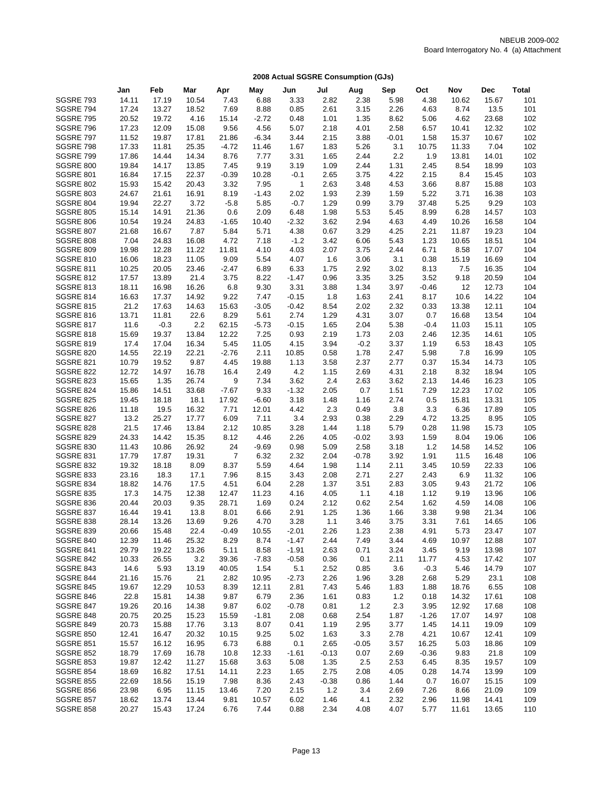|                                      | Jan            | Feb            | Mar            | Apr             | May           | Jun             | Jul          | Aug             | Sep          | Oct          | Nov            | <b>Dec</b>     | <b>Total</b> |
|--------------------------------------|----------------|----------------|----------------|-----------------|---------------|-----------------|--------------|-----------------|--------------|--------------|----------------|----------------|--------------|
| SGSRE 793                            | 14.11          | 17.19          | 10.54          | 7.43            | 6.88          | 3.33            | 2.82         | 2.38            | 5.98         | 4.38         | 10.62          | 15.67          | 101          |
| SGSRE 794                            | 17.24          | 13.27          | 18.52          | 7.69            | 8.88          | 0.85            | 2.61         | 3.15            | 2.26         | 4.63         | 8.74           | 13.5           | 101          |
| <b>SGSRE 795</b>                     | 20.52          | 19.72          | 4.16           | 15.14           | $-2.72$       | 0.48            | 1.01         | 1.35            | 8.62         | 5.06         | 4.62           | 23.68          | 102          |
| SGSRE 796                            | 17.23          | 12.09          | 15.08          | 9.56            | 4.56          | 5.07            | 2.18         | 4.01            | 2.58         | 6.57         | 10.41          | 12.32          | 102          |
| SGSRE 797                            | 11.52          | 19.87          | 17.81          | 21.86           | $-6.34$       | 3.44            | 2.15         | 3.88            | $-0.01$      | 1.58         | 15.37          | 10.67          | 102          |
| SGSRE 798                            | 17.33          | 11.81          | 25.35          | $-4.72$         | 11.46         | 1.67            | 1.83         | 5.26            | 3.1          | 10.75        | 11.33          | 7.04           | 102          |
| SGSRE 799                            | 17.86          | 14.44          | 14.34          | 8.76            | 7.77          | 3.31            | 1.65         | 2.44            | 2.2          | 1.9          | 13.81          | 14.01          | 102          |
| SGSRE 800                            | 19.84          | 14.17          | 13.85          | 7.45            | 9.19          | 3.19            | 1.09         | 2.44            | 1.31         | 2.45         | 8.54           | 18.99          | 103          |
| <b>SGSRE 801</b>                     | 16.84          | 17.15          | 22.37          | $-0.39$         | 10.28         | $-0.1$          | 2.65         | 3.75            | 4.22         | 2.15         | 8.4            | 15.45          | 103          |
| <b>SGSRE 802</b>                     | 15.93          | 15.42          | 20.43          | 3.32            | 7.95          | $\mathbf{1}$    | 2.63         | 3.48            | 4.53         | 3.66         | 8.87           | 15.88          | 103          |
| SGSRE 803                            | 24.67          | 21.61          | 16.91          | 8.19            | $-1.43$       | 2.02            | 1.93         | 2.39            | 1.59         | 5.22         | 3.71           | 16.38          | 103          |
| <b>SGSRE 804</b>                     | 19.94          | 22.27          | 3.72           | $-5.8$          | 5.85          | $-0.7$          | 1.29         | 0.99            | 3.79         | 37.48        | 5.25           | 9.29           | 103          |
| <b>SGSRE 805</b>                     | 15.14          | 14.91          | 21.36          | 0.6             | 2.09          | 6.48            | 1.98         | 5.53            | 5.45         | 8.99         | 6.28           | 14.57          | 103          |
| SGSRE 806<br><b>SGSRE 807</b>        | 10.54          | 19.24          | 24.83          | $-1.65$<br>5.84 | 10.40         | $-2.32$<br>4.38 | 3.62         | 2.94<br>3.29    | 4.63         | 4.49         | 10.26          | 16.58<br>19.23 | 104<br>104   |
| <b>SGSRE 808</b>                     | 21.68<br>7.04  | 16.67<br>24.83 | 7.87<br>16.08  | 4.72            | 5.71<br>7.18  | $-1.2$          | 0.67<br>3.42 | 6.06            | 4.25<br>5.43 | 2.21<br>1.23 | 11.87<br>10.65 | 18.51          | 104          |
| <b>SGSRE 809</b>                     | 19.98          | 12.28          | 11.22          | 11.81           | 4.10          | 4.03            | 2.07         | 3.75            | 2.44         | 6.71         | 8.58           | 17.07          | 104          |
| <b>SGSRE 810</b>                     | 16.06          | 18.23          | 11.05          | 9.09            | 5.54          | 4.07            | 1.6          | 3.06            | 3.1          | 0.38         | 15.19          | 16.69          | 104          |
| <b>SGSRE 811</b>                     | 10.25          | 20.05          | 23.46          | $-2.47$         | 6.89          | 6.33            | 1.75         | 2.92            | 3.02         | 8.13         | 7.5            | 16.35          | 104          |
| <b>SGSRE 812</b>                     | 17.57          | 13.89          | 21.4           | 3.75            | 8.22          | $-1.47$         | 0.96         | 3.35            | 3.25         | 3.52         | 9.18           | 20.59          | 104          |
| <b>SGSRE 813</b>                     | 18.11          | 16.98          | 16.26          | 6.8             | 9.30          | 3.31            | 3.88         | 1.34            | 3.97         | $-0.46$      | 12             | 12.73          | 104          |
| <b>SGSRE 814</b>                     | 16.63          | 17.37          | 14.92          | 9.22            | 7.47          | $-0.15$         | 1.8          | 1.63            | 2.41         | 8.17         | 10.6           | 14.22          | 104          |
| <b>SGSRE 815</b>                     | 21.2           | 17.63          | 14.63          | 15.63           | $-3.05$       | $-0.42$         | 8.54         | 2.02            | 2.32         | 0.33         | 13.38          | 12.11          | 104          |
| <b>SGSRE 816</b>                     | 13.71          | 11.81          | 22.6           | 8.29            | 5.61          | 2.74            | 1.29         | 4.31            | 3.07         | 0.7          | 16.68          | 13.54          | 104          |
| <b>SGSRE 817</b>                     | 11.6           | $-0.3$         | 2.2            | 62.15           | $-5.73$       | $-0.15$         | 1.65         | 2.04            | 5.38         | $-0.4$       | 11.03          | 15.11          | 105          |
| <b>SGSRE 818</b>                     | 15.69          | 19.37          | 13.84          | 12.22           | 7.25          | 0.93            | 2.19         | 1.73            | 2.03         | 2.46         | 12.35          | 14.61          | 105          |
| <b>SGSRE 819</b>                     | 17.4           | 17.04          | 16.34          | 5.45            | 11.05         | 4.15            | 3.94         | $-0.2$          | 3.37         | 1.19         | 6.53           | 18.43          | 105          |
| <b>SGSRE 820</b>                     | 14.55          | 22.19          | 22.21          | $-2.76$         | 2.11          | 10.85           | 0.58         | 1.78            | 2.47         | 5.98         | 7.8            | 16.99          | 105          |
| <b>SGSRE 821</b>                     | 10.79          | 19.52          | 9.87           | 4.45            | 19.88         | 1.13            | 3.58         | 2.37            | 2.77         | 0.37         | 15.34          | 14.73          | 105          |
| <b>SGSRE 822</b>                     | 12.72          | 14.97          | 16.78          | 16.4            | 2.49          | 4.2             | 1.15         | 2.69            | 4.31         | 2.18         | 8.32           | 18.94          | 105          |
| <b>SGSRE 823</b>                     | 15.65          | 1.35           | 26.74          | 9               | 7.34          | 3.62            | 2.4          | 2.63            | 3.62         | 2.13         | 14.46          | 16.23          | 105          |
| <b>SGSRE 824</b>                     | 15.86          | 14.51          | 33.68          | $-7.67$         | 9.33          | $-1.32$         | 2.05         | 0.7             | 1.51         | 7.29         | 12.23          | 17.02          | 105          |
| <b>SGSRE 825</b>                     | 19.45          | 18.18          | 18.1           | 17.92           | $-6.60$       | 3.18            | 1.48         | 1.16            | 2.74         | 0.5          | 15.81          | 13.31          | 105          |
| <b>SGSRE 826</b>                     | 11.18          | 19.5           | 16.32          | 7.71            | 12.01         | 4.42            | 2.3          | 0.49            | 3.8          | 3.3          | 6.36           | 17.89          | 105          |
| <b>SGSRE 827</b>                     | 13.2<br>21.5   | 25.27          | 17.77          | 6.09<br>2.12    | 7.11          | 3.4<br>3.28     | 2.93         | 0.38            | 2.29         | 4.72         | 13.25          | 8.95           | 105<br>105   |
| <b>SGSRE 828</b><br><b>SGSRE 829</b> | 24.33          | 17.46<br>14.42 | 13.84<br>15.35 | 8.12            | 10.85<br>4.46 | 2.26            | 1.44<br>4.05 | 1.18<br>$-0.02$ | 5.79<br>3.93 | 0.28<br>1.59 | 11.98<br>8.04  | 15.73<br>19.06 | 106          |
| <b>SGSRE 830</b>                     | 11.43          | 10.86          | 26.92          | 24              | $-9.69$       | 0.98            | 5.09         | 2.58            | 3.18         | 1.2          | 14.58          | 14.52          | 106          |
| <b>SGSRE 831</b>                     | 17.79          | 17.87          | 19.31          | $\overline{7}$  | 6.32          | 2.32            | 2.04         | $-0.78$         | 3.92         | 1.91         | 11.5           | 16.48          | 106          |
| <b>SGSRE 832</b>                     | 19.32          | 18.18          | 8.09           | 8.37            | 5.59          | 4.64            | 1.98         | 1.14            | 2.11         | 3.45         | 10.59          | 22.33          | 106          |
| <b>SGSRE 833</b>                     | 23.16          | 18.3           | 17.1           | 7.96            | 8.15          | 3.43            | 2.08         | 2.71            | 2.27         | 2.43         | 6.9            | 11.32          | 106          |
| SGSRE 834                            | 18.82          | 14.76          | 17.5           | 4.51            | 6.04          | 2.28            | 1.37         | 3.51            | 2.83         | 3.05         | 9.43           | 21.72          | 106          |
| <b>SGSRE 835</b>                     | 17.3           | 14.75          | 12.38          | 12.47           | 11.23         | 4.16            | 4.05         | 1.1             | 4.18         | 1.12         | 9.19           | 13.96          | 106          |
| SGSRE 836                            | 20.44          | 20.03          | 9.35           | 28.71           | 1.69          | 0.24            | 2.12         | 0.62            | 2.54         | 1.62         | 4.59           | 14.08          | 106          |
| <b>SGSRE 837</b>                     | 16.44          | 19.41          | 13.8           | 8.01            | 6.66          | 2.91            | 1.25         | 1.36            | 1.66         | 3.38         | 9.98           | 21.34          | 106          |
| <b>SGSRE 838</b>                     | 28.14          | 13.26          | 13.69          | 9.26            | 4.70          | 3.28            | 1.1          | 3.46            | 3.75         | 3.31         | 7.61           | 14.65          | 106          |
| <b>SGSRE 839</b>                     | 20.66          | 15.48          | 22.4           | $-0.49$         | 10.55         | $-2.01$         | 2.26         | 1.23            | 2.38         | 4.91         | 5.73           | 23.47          | 107          |
| SGSRE 840                            | 12.39          | 11.46          | 25.32          | 8.29            | 8.74          | $-1.47$         | 2.44         | 7.49            | 3.44         | 4.69         | 10.97          | 12.88          | 107          |
| <b>SGSRE 841</b>                     | 29.79          | 19.22          | 13.26          | 5.11            | 8.58          | $-1.91$         | 2.63         | 0.71            | 3.24         | 3.45         | 9.19           | 13.98          | 107          |
| SGSRE 842                            | 10.33          | 26.55          | 3.2            | 39.36           | $-7.83$       | $-0.58$         | 0.36         | 0.1             | 2.11         | 11.77        | 4.53           | 17.42          | 107          |
| <b>SGSRE 843</b>                     | 14.6           | 5.93           | 13.19          | 40.05           | 1.54          | 5.1             | 2.52         | 0.85            | 3.6          | $-0.3$       | 5.46           | 14.79          | 107          |
| SGSRE 844                            | 21.16          | 15.76          | 21             | 2.82            | 10.95         | $-2.73$         | 2.26         | 1.96            | 3.28         | 2.68         | 5.29           | 23.1           | 108          |
| <b>SGSRE 845</b>                     | 19.67          | 12.29          | 10.53          | 8.39            | 12.11         | 2.81            | 7.43         | 5.46            | 1.83         | 1.88         | 18.76          | 6.55           | 108          |
| SGSRE 846                            | 22.8           | 15.81          | 14.38          | 9.87            | 6.79          | 2.36            | 1.61         | 0.83            | 1.2          | 0.18         | 14.32          | 17.61          | 108          |
| SGSRE 847                            | 19.26          | 20.16          | 14.38          | 9.87            | 6.02          | $-0.78$         | 0.81         | 1.2             | 2.3          | 3.95         | 12.92          | 17.68          | 108          |
| SGSRE 848                            | 20.75          | 20.25          | 15.23          | 15.59           | $-1.81$       | 2.08            | 0.68         | 2.54            | 1.87         | $-1.26$      | 17.07          | 14.97          | 108          |
| <b>SGSRE 849</b><br><b>SGSRE 850</b> | 20.73<br>12.41 | 15.88<br>16.47 | 17.76<br>20.32 | 3.13<br>10.15   | 8.07<br>9.25  | 0.41<br>5.02    | 1.19<br>1.63 | 2.95<br>3.3     | 3.77<br>2.78 | 1.45<br>4.21 | 14.11<br>10.67 | 19.09<br>12.41 | 109<br>109   |
| SGSRE 851                            | 15.57          | 16.12          | 16.95          | 6.73            | 6.88          | 0.1             | 2.65         | $-0.05$         | 3.57         | 16.25        | 5.03           | 18.86          | 109          |
| <b>SGSRE 852</b>                     | 18.79          | 17.69          | 16.78          | 10.8            | 12.33         | $-1.61$         | $-0.13$      | 0.07            | 2.69         | $-0.36$      | 9.83           | 21.8           | 109          |
| <b>SGSRE 853</b>                     | 19.87          | 12.42          | 11.27          | 15.68           | 3.63          | 5.08            | 1.35         | 2.5             | 2.53         | 6.45         | 8.35           | 19.57          | 109          |
| <b>SGSRE 854</b>                     | 18.69          | 16.82          | 17.51          | 14.11           | 2.23          | 1.65            | 2.75         | 2.08            | 4.05         | 0.28         | 14.74          | 13.99          | 109          |
| <b>SGSRE 855</b>                     | 22.69          | 18.56          | 15.19          | 7.98            | 8.36          | 2.43            | $-0.38$      | 0.86            | 1.44         | 0.7          | 16.07          | 15.15          | 109          |
| <b>SGSRE 856</b>                     | 23.98          | 6.95           | 11.15          | 13.46           | 7.20          | 2.15            | $1.2$        | 3.4             | 2.69         | 7.26         | 8.66           | 21.09          | 109          |
| <b>SGSRE 857</b>                     | 18.62          | 13.74          | 13.44          | 9.81            | 10.57         | 6.02            | 1.46         | 4.1             | 2.32         | 2.96         | 11.98          | 14.41          | 109          |
| <b>SGSRE 858</b>                     | 20.27          | 15.43          | 17.24          | 6.76            | 7.44          | 0.88            | 2.34         | 4.08            | 4.07         | 5.77         | 11.61          | 13.65          | 110          |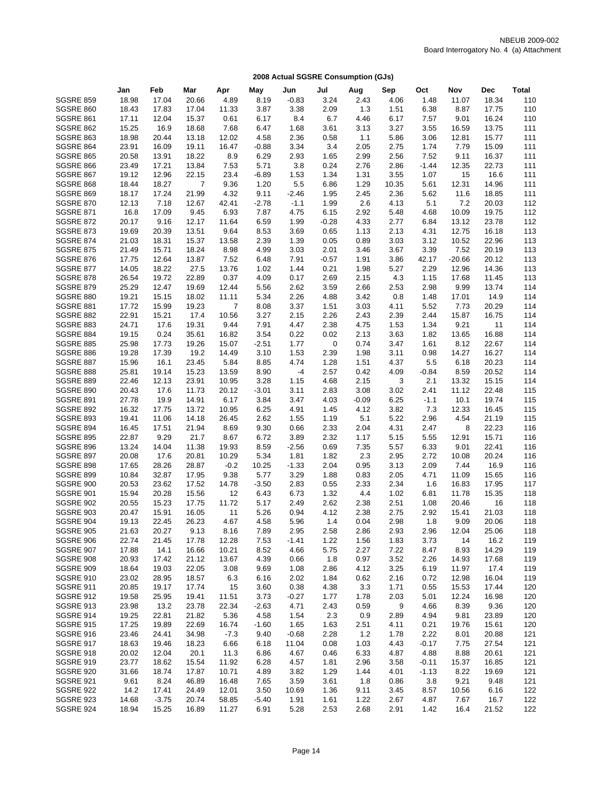|                                      | Jan            | Feb            | Mar            | Apr           | May          | Jun             | Jul          | Aug          | Sep          | Oct          | Nov         | <b>Dec</b>    | <b>Total</b> |
|--------------------------------------|----------------|----------------|----------------|---------------|--------------|-----------------|--------------|--------------|--------------|--------------|-------------|---------------|--------------|
| <b>SGSRE 859</b>                     | 18.98          | 17.04          | 20.66          | 4.89          | 8.19         | $-0.83$         | 3.24         | 2.43         | 4.06         | 1.48         | 11.07       | 18.34         | 110          |
| <b>SGSRE 860</b>                     | 18.43          | 17.83          | 17.04          | 11.33         | 3.87         | 3.38            | 2.09         | 1.3          | 1.51         | 6.38         | 8.87        | 17.75         | 110          |
| <b>SGSRE 861</b>                     | 17.11          | 12.04          | 15.37          | 0.61          | 6.17         | 8.4             | 6.7          | 4.46         | 6.17         | 7.57         | 9.01        | 16.24         | 110          |
| <b>SGSRE 862</b>                     | 15.25          | 16.9           | 18.68          | 7.68          | 6.47         | 1.68            | 3.61         | 3.13         | 3.27         | 3.55         | 16.59       | 13.75         | 111          |
| <b>SGSRE 863</b>                     | 18.98          | 20.44          | 13.18          | 12.02         | 4.58         | 2.36            | 0.58         | 1.1          | 5.86         | 3.06         | 12.81       | 15.77         | 111          |
| <b>SGSRE 864</b>                     | 23.91          | 16.09          | 19.11          | 16.47         | $-0.88$      | 3.34            | 3.4          | 2.05         | 2.75         | 1.74         | 7.79        | 15.09         | 111          |
| <b>SGSRE 865</b>                     | 20.58          | 13.91          | 18.22          | 8.9           | 6.29         | 2.93            | 1.65         | 2.99         | 2.56         | 7.52         | 9.11        | 16.37         | 111          |
| SGSRE 866                            | 23.49          | 17.21          | 13.84          | 7.53          | 5.71         | 3.8             | 0.24         | 2.76         | 2.86         | $-1.44$      | 12.35       | 22.73         | 111          |
| SGSRE 867                            | 19.12          | 12.96          | 22.15          | 23.4          | $-6.89$      | 1.53            | 1.34         | 1.31         | 3.55         | 1.07         | 15          | 16.6          | 111          |
| SGSRE 868                            | 18.44          | 18.27          | $\overline{7}$ | 9.36          | 1.20         | 5.5             | 6.86         | 1.29         | 10.35        | 5.61         | 12.31       | 14.96         | 111          |
| <b>SGSRE 869</b>                     | 18.17          | 17.24          | 21.99          | 4.32          | 9.11         | $-2.46$         | 1.95         | 2.45         | 2.36         | 5.62         | 11.6        | 18.85         | 111          |
| <b>SGSRE 870</b>                     | 12.13          | 7.18           | 12.67          | 42.41         | $-2.78$      | $-1.1$          | 1.99         | 2.6          | 4.13         | 5.1          | 7.2         | 20.03         | 112          |
| <b>SGSRE 871</b>                     | 16.8           | 17.09          | 9.45           | 6.93          | 7.87         | 4.75            | 6.15         | 2.92         | 5.48         | 4.68         | 10.09       | 19.75         | 112          |
| <b>SGSRE 872</b>                     | 20.17          | 9.16           | 12.17          | 11.64         | 6.59         | 1.99            | $-0.28$      | 4.33         | 2.77         | 6.84         | 13.12       | 23.78         | 112          |
| <b>SGSRE 873</b>                     | 19.69          | 20.39          | 13.51          | 9.64          | 8.53         | 3.69            | 0.65         | 1.13         | 2.13         | 4.31         | 12.75       | 16.18         | 113          |
| <b>SGSRE 874</b>                     | 21.03          | 18.31          | 15.37          | 13.58         | 2.39         | 1.39            | 0.05         | 0.89         | 3.03         | 3.12         | 10.52       | 22.96         | 113          |
| <b>SGSRE 875</b>                     | 21.49          | 15.71          | 18.24          | 8.98          | 4.99         | 3.03            | 2.01         | 3.46         | 3.67         | 3.39         | 7.52        | 20.19         | 113          |
| <b>SGSRE 876</b>                     | 17.75          | 12.64          | 13.87          | 7.52          | 6.48         | 7.91            | $-0.57$      | 1.91         | 3.86         | 42.17        | $-20.66$    | 20.12         | 113          |
| <b>SGSRE 877</b>                     | 14.05          | 18.22          | 27.5           | 13.76         | 1.02         | 1.44            | 0.21         | 1.98         | 5.27         | 2.29         | 12.96       | 14.36         | 113          |
| <b>SGSRE 878</b>                     | 26.54          | 19.72          | 22.89          | 0.37          | 4.09         | 0.17            | 2.69         | 2.15         | 4.3          | 1.15         | 17.68       | 11.45         | 113          |
| <b>SGSRE 879</b>                     | 25.29          | 12.47          | 19.69          | 12.44         | 5.56         | 2.62            | 3.59         | 2.66         | 2.53         | 2.98         | 9.99        | 13.74         | 114          |
| <b>SGSRE 880</b>                     | 19.21          | 15.15          | 18.02          | 11.11         | 5.34         | 2.26            | 4.88         | 3.42         | 0.8          | 1.48         | 17.01       | 14.9          | 114          |
| SGSRE 881                            | 17.72          | 15.99          | 19.23          | 7             | 8.08         | 3.37            | 1.51         | 3.03         | 4.11         | 5.52         | 7.73        | 20.29         | 114          |
| <b>SGSRE 882</b>                     | 22.91          | 15.21          | 17.4           | 10.56         | 3.27         | 2.15            | 2.26         | 2.43         | 2.39         | 2.44         | 15.87       | 16.75         | 114          |
| SGSRE 883                            | 24.71          | 17.6           | 19.31          | 9.44          | 7.91         | 4.47            | 2.38         | 4.75         | 1.53         | 1.34         | 9.21        | 11            | 114          |
| SGSRE 884                            | 19.15          | 0.24           | 35.61          | 16.82         | 3.54         | 0.22            | 0.02         | 2.13         | 3.63         | 1.82         | 13.65       | 16.88         | 114          |
| <b>SGSRE 885</b>                     | 25.98          | 17.73          | 19.26          | 15.07         | $-2.51$      | 1.77            | 0            | 0.74         | 3.47         | 1.61         | 8.12        | 22.67         | 114          |
| SGSRE 886                            | 19.28          | 17.39          | 19.2           | 14.49         | 3.10         | 1.53            | 2.39         | 1.98         | 3.11         | 0.98         | 14.27       | 16.27         | 114          |
| SGSRE 887                            | 15.96          | 16.1           | 23.45          | 5.84          | 8.85         | 4.74            | 1.28         | 1.51         | 4.37         | 5.5          | 6.18        | 20.23         | 114          |
| <b>SGSRE 888</b>                     | 25.81          | 19.14          | 15.23          | 13.59         | 8.90         | -4              | 2.57         | 0.42         | 4.09         | $-0.84$      | 8.59        | 20.52         | 114          |
| <b>SGSRE 889</b>                     | 22.46          | 12.13          | 23.91          | 10.95         | 3.28         | 1.15            | 4.68         | 2.15         | 3            | 2.1          | 13.32       | 15.15         | 114          |
| <b>SGSRE 890</b>                     | 20.43          | 17.6           | 11.73          | 20.12         | $-3.01$      | 3.11            | 2.83         | 3.08         | 3.02         | 2.41         | 11.12       | 22.48         | 115          |
| <b>SGSRE 891</b>                     | 27.78          | 19.9           | 14.91          | 6.17          | 3.84         | 3.47            | 4.03         | $-0.09$      | 6.25         | $-1.1$       | 10.1        | 19.74         | 115          |
| <b>SGSRE 892</b>                     | 16.32          | 17.75          | 13.72          | 10.95         | 6.25         | 4.91            | 1.45         | 4.12         | 3.82         | 7.3          | 12.33       | 16.45         | 115          |
| <b>SGSRE 893</b>                     | 19.41          | 11.06          | 14.18          | 26.45         | 2.62         | 1.55            | 1.19         | 5.1          | 5.22         | 2.96         | 4.54        | 21.19         | 115          |
| SGSRE 894                            | 16.45          | 17.51          | 21.94          | 8.69          | 9.30         | 0.66            | 2.33         | 2.04         | 4.31         | 2.47         | 8           | 22.23         | 116          |
| <b>SGSRE 895</b>                     | 22.87          | 9.29           | 21.7           | 8.67          | 6.72         | 3.89            | 2.32         | 1.17         | 5.15         | 5.55         | 12.91       | 15.71         | 116          |
| <b>SGSRE 896</b>                     | 13.24          | 14.04          | 11.38          | 19.93         | 8.59         | $-2.56$         | 0.69         | 7.35         | 5.57         | 6.33         | 9.01        | 22.41         | 116          |
| SGSRE 897                            | 20.08          | 17.6           | 20.81          | 10.29         | 5.34         | 1.81            | 1.82         | 2.3          | 2.95         | 2.72         | 10.08       | 20.24         | 116          |
| <b>SGSRE 898</b>                     | 17.65          | 28.26          | 28.87          | $-0.2$        | 10.25        | $-1.33$         | 2.04         | 0.95         | 3.13         | 2.09         | 7.44        | 16.9          | 116          |
| <b>SGSRE 899</b>                     | 10.84          | 32.87          | 17.95          | 9.38          | 5.77         | 3.29            | 1.88         | 0.83         | 2.05         | 4.71         | 11.09       | 15.65         | 116          |
| SGSRE 900                            | 20.53          | 23.62          | 17.52          | 14.78         | $-3.50$      | 2.83            | 0.55         | 2.33         | 2.34         | 1.6          | 16.83       | 17.95         | 117          |
| <b>SGSRE 901</b>                     | 15.94          | 20.28          | 15.56          | 12            | 6.43         | 6.73            | 1.32         | 4.4          | 1.02         | 6.81         | 11.78       | 15.35         | 118          |
| <b>SGSRE 902</b>                     | 20.55          | 15.23          | 17.75          | 11.72         | 5.17         | 2.49            | 2.62         | 2.38         | 2.51         | 1.08         | 20.46       | 16            | 118          |
| SGSRE 903                            | 20.47          | 15.91          | 16.05          | 11            | 5.26         | 0.94            | 4.12         | 2.38         | 2.75         | 2.92         | 15.41       | 21.03         | 118          |
| <b>SGSRE 904</b><br><b>SGSRE 905</b> | 19.13          | 22.45<br>20.27 | 26.23          | 4.67          | 4.58         | 5.96            | 1.4          | 0.04         | 2.98         | 1.8          | 9.09        | 20.06         | 118          |
| SGSRE 906                            | 21.63<br>22.74 | 21.45          | 9.13           | 8.16<br>12.28 | 7.89<br>7.53 | 2.95<br>$-1.41$ | 2.58<br>1.22 | 2.86         | 2.93<br>1.83 | 2.96<br>3.73 | 12.04<br>14 | 25.06<br>16.2 | 118<br>119   |
| <b>SGSRE 907</b>                     | 17.88          | 14.1           | 17.78<br>16.66 | 10.21         | 8.52         | 4.66            | 5.75         | 1.56<br>2.27 | 7.22         | 8.47         | 8.93        | 14.29         | 119          |
| SGSRE 908                            | 20.93          | 17.42          | 21.12          | 13.67         | 4.39         | 0.66            | 1.8          | 0.97         | 3.52         | 2.26         | 14.93       | 17.68         | 119          |
| SGSRE 909                            | 18.64          | 19.03          | 22.05          | 3.08          | 9.69         | 1.08            | 2.86         | 4.12         | 3.25         | 6.19         | 11.97       | 17.4          | 119          |
| SGSRE 910                            | 23.02          | 28.95          | 18.57          | 6.3           | 6.16         | 2.02            | 1.84         | 0.62         | 2.16         | 0.72         | 12.98       | 16.04         | 119          |
| SGSRE 911                            | 20.85          | 19.17          | 17.74          | 15            | 3.60         | 0.38            | 4.38         | 3.3          | 1.71         | 0.55         | 15.53       | 17.44         | 120          |
| SGSRE 912                            | 19.58          | 25.95          | 19.41          | 11.51         | 3.73         | $-0.27$         | 1.77         | 1.78         | 2.03         | 5.01         | 12.24       | 16.98         | 120          |
| <b>SGSRE 913</b>                     | 23.98          | 13.2           | 23.78          | 22.34         | $-2.63$      | 4.71            | 2.43         | 0.59         | 9            | 4.66         | 8.39        | 9.36          | 120          |
| SGSRE 914                            | 19.25          | 22.81          | 21.82          | 5.36          | 4.58         | 1.54            | 2.3          | 0.9          | 2.89         | 4.94         | 9.81        | 23.89         | 120          |
| <b>SGSRE 915</b>                     | 17.25          | 19.89          | 22.69          | 16.74         | $-1.60$      | 1.65            | 1.63         | 2.51         | 4.11         | 0.21         | 19.76       | 15.61         | 120          |
| SGSRE 916                            | 23.46          | 24.41          | 34.98          | $-7.3$        | 9.40         | $-0.68$         | 2.28         | 1.2          | 1.78         | 2.22         | 8.01        | 20.88         | 121          |
| SGSRE 917                            | 18.63          | 19.46          | 18.23          | 6.66          | 6.18         | 11.04           | 0.08         | 1.03         | 4.43         | $-0.17$      | 7.75        | 27.54         | 121          |
| SGSRE 918                            | 20.02          | 12.04          | 20.1           | 11.3          | 6.86         | 4.67            | 0.46         | 6.33         | 4.87         | 4.88         | 8.88        | 20.61         | 121          |
| <b>SGSRE 919</b>                     | 23.77          | 18.62          | 15.54          | 11.92         | 6.28         | 4.57            | 1.81         | 2.96         | 3.58         | $-0.11$      | 15.37       | 16.85         | 121          |
| <b>SGSRE 920</b>                     | 31.66          | 18.74          | 17.87          | 10.71         | 4.89         | 3.82            | 1.29         | 1.44         | 4.01         | $-1.13$      | 8.22        | 19.69         | 121          |
| <b>SGSRE 921</b>                     | 9.61           | 8.24           | 46.89          | 16.48         | 7.65         | 3.59            | 3.61         | 1.8          | 0.86         | 3.8          | 9.21        | 9.48          | 121          |
| SGSRE 922                            | 14.2           | 17.41          | 24.49          | 12.01         | 3.50         | 10.69           | 1.36         | 9.11         | 3.45         | 8.57         | 10.56       | 6.16          | 122          |
| <b>SGSRE 923</b>                     | 14.68          | $-3.75$        | 20.74          | 58.85         | $-5.40$      | 1.91            | 1.61         | 1.22         | 2.67         | 4.87         | 7.67        | 16.7          | 122          |
| SGSRE 924                            | 18.94          | 15.25          | 16.89          | 11.27         | 6.91         | 5.28            | 2.53         | 2.68         | 2.91         | 1.42         | 16.4        | 21.52         | 122          |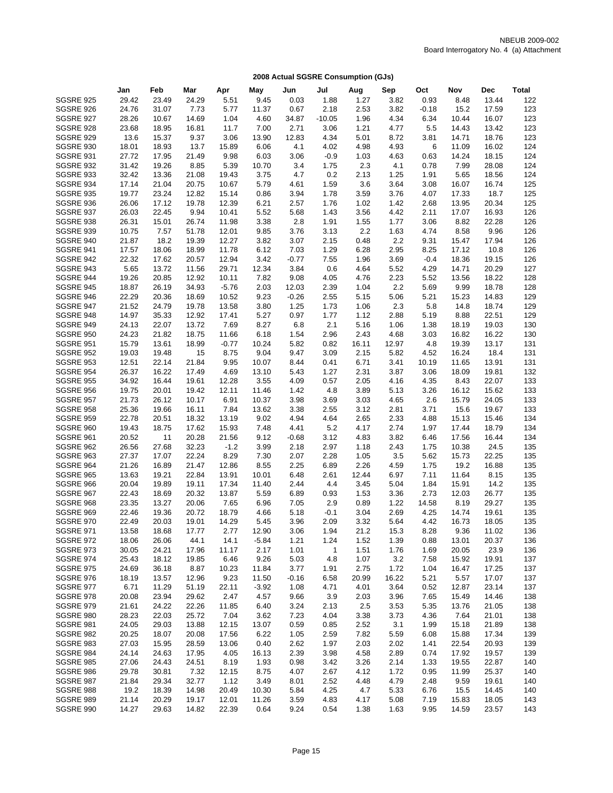|                                      | Jan            | Feb         | Mar            | Apr             | May          | Jun             | Jul          | Aug          | Sep          | Oct          | Nov            | <b>Dec</b>    | <b>Total</b> |
|--------------------------------------|----------------|-------------|----------------|-----------------|--------------|-----------------|--------------|--------------|--------------|--------------|----------------|---------------|--------------|
| <b>SGSRE 925</b>                     | 29.42          | 23.49       | 24.29          | 5.51            | 9.45         | 0.03            | 1.88         | 1.27         | 3.82         | 0.93         | 8.48           | 13.44         | 122          |
| <b>SGSRE 926</b>                     | 24.76          | 31.07       | 7.73           | 5.77            | 11.37        | 0.67            | 2.18         | 2.53         | 3.82         | $-0.18$      | 15.2           | 17.59         | 123          |
| <b>SGSRE 927</b>                     | 28.26          | 10.67       | 14.69          | 1.04            | 4.60         | 34.87           | $-10.05$     | 1.96         | 4.34         | 6.34         | 10.44          | 16.07         | 123          |
| <b>SGSRE 928</b>                     | 23.68          | 18.95       | 16.81          | 11.7            | 7.00         | 2.71            | 3.06         | 1.21         | 4.77         | 5.5          | 14.43          | 13.42         | 123          |
| <b>SGSRE 929</b>                     | 13.6           | 15.37       | 9.37           | 3.06            | 13.90        | 12.83           | 4.34         | 5.01         | 8.72         | 3.81         | 14.71          | 18.76         | 123          |
| <b>SGSRE 930</b>                     | 18.01          | 18.93       | 13.7           | 15.89           | 6.06         | 4.1             | 4.02         | 4.98         | 4.93         | 6            | 11.09          | 16.02         | 124          |
| SGSRE 931                            | 27.72          | 17.95       | 21.49          | 9.98            | 6.03         | 3.06            | $-0.9$       | 1.03         | 4.63         | 0.63         | 14.24          | 18.15         | 124          |
| <b>SGSRE 932</b>                     | 31.42          | 19.26       | 8.85           | 5.39            | 10.70        | 3.4             | 1.75         | 2.3          | 4.1          | 0.78         | 7.99           | 28.08         | 124          |
| SGSRE 933                            | 32.42          | 13.36       | 21.08          | 19.43           | 3.75         | 4.7             | 0.2          | 2.13         | 1.25         | 1.91         | 5.65           | 18.56         | 124          |
| SGSRE 934                            | 17.14          | 21.04       | 20.75          | 10.67           | 5.79         | 4.61            | 1.59         | 3.6          | 3.64         | 3.08         | 16.07          | 16.74         | 125          |
| SGSRE 935                            | 19.77          | 23.24       | 12.82          | 15.14           | 0.86         | 3.94            | 1.78         | 3.59         | 3.76         | 4.07         | 17.33          | 18.7          | 125          |
| <b>SGSRE 936</b>                     | 26.06          | 17.12       | 19.78          | 12.39           | 6.21         | 2.57            | 1.76         | 1.02         | 1.42         | 2.68         | 13.95          | 20.34         | 125          |
| <b>SGSRE 937</b>                     | 26.03          | 22.45       | 9.94           | 10.41           | 5.52         | 5.68            | 1.43         | 3.56         | 4.42         | 2.11         | 17.07          | 16.93         | 126          |
| <b>SGSRE 938</b>                     | 26.31          | 15.01       | 26.74          | 11.98           | 3.38         | 2.8             | 1.91         | 1.55         | 1.77         | 3.06         | 8.82           | 22.28         | 126          |
| <b>SGSRE 939</b>                     | 10.75          | 7.57        | 51.78          | 12.01           | 9.85         | 3.76            | 3.13         | 2.2          | 1.63         | 4.74         | 8.58           | 9.96          | 126          |
| SGSRE 940                            | 21.87          | 18.2        | 19.39          | 12.27           | 3.82         | 3.07            | 2.15         | 0.48         | 2.2          | 9.31         | 15.47          | 17.94         | 126          |
| <b>SGSRE 941</b>                     | 17.57          | 18.06       | 18.99          | 11.78           | 6.12         | 7.03            | 1.29         | 6.28         | 2.95         | 8.25         | 17.12          | 10.8          | 126          |
| SGSRE 942                            | 22.32          | 17.62       | 20.57          | 12.94           | 3.42         | $-0.77$         | 7.55         | 1.96         | 3.69         | $-0.4$       | 18.36          | 19.15         | 126          |
| SGSRE 943                            | 5.65           | 13.72       | 11.56          | 29.71           | 12.34        | 3.84            | 0.6          | 4.64         | 5.52         | 4.29         | 14.71          | 20.29         | 127          |
| SGSRE 944                            | 19.26          | 20.85       | 12.92          | 10.11           | 7.82         | 9.08            | 4.05         | 4.76         | 2.23         | 5.52         | 13.56          | 18.22         | 128          |
| <b>SGSRE 945</b>                     | 18.87          | 26.19       | 34.93          | $-5.76$         | 2.03         | 12.03           | 2.39         | 1.04         | 2.2          | 5.69         | 9.99           | 18.78         | 128          |
| SGSRE 946                            | 22.29          | 20.36       | 18.69          | 10.52           | 9.23         | $-0.26$         | 2.55         | 5.15         | 5.06         | 5.21         | 15.23          | 14.83         | 129          |
| SGSRE 947                            | 21.52          | 24.79       | 19.78          | 13.58           | 3.80         | 1.25            | 1.73         | 1.06         | 2.3          | 5.8          | 14.8           | 18.74         | 129          |
| SGSRE 948                            | 14.97          | 35.33       | 12.92          | 17.41           | 5.27         | 0.97            | 1.77         | 1.12         | 2.88         | 5.19         | 8.88           | 22.51         | 129          |
| <b>SGSRE 949</b>                     | 24.13          | 22.07       | 13.72          | 7.69            | 8.27         | 6.8             | 2.1          | 5.16         | 1.06         | 1.38         | 18.19          | 19.03         | 130          |
| <b>SGSRE 950</b>                     | 24.23          | 21.82       | 18.75          | 11.66           | 6.18         | 1.54            | 2.96         | 2.43         | 4.68         | 3.03         | 16.82          | 16.22         | 130          |
| <b>SGSRE 951</b>                     | 15.79          | 13.61       | 18.99          | $-0.77$         | 10.24        | 5.82            | 0.82         | 16.11        | 12.97        | 4.8          | 19.39          | 13.17         | 131          |
| <b>SGSRE 952</b>                     | 19.03          | 19.48       | 15             | 8.75            | 9.04         | 9.47            | 3.09         | 2.15         | 5.82         | 4.52         | 16.24          | 18.4          | 131          |
| <b>SGSRE 953</b>                     | 12.51          | 22.14       | 21.84          | 9.95            | 10.07        | 8.44            | 0.41         | 6.71         | 3.41         | 10.19        | 11.65          | 13.91         | 131          |
| <b>SGSRE 954</b>                     | 26.37          | 16.22       | 17.49          | 4.69            | 13.10        | 5.43            | 1.27         | 2.31         | 3.87         | 3.06         | 18.09          | 19.81         | 132          |
| <b>SGSRE 955</b>                     | 34.92          | 16.44       | 19.61          | 12.28           | 3.55         | 4.09            | 0.57         | 2.05         | 4.16         | 4.35         | 8.43           | 22.07         | 133          |
| SGSRE 956                            | 19.75          | 20.01       | 19.42          | 12.11           | 11.46        | 1.42            | 4.8          | 3.89         | 5.13         | 3.26         | 16.12          | 15.62         | 133          |
| <b>SGSRE 957</b>                     | 21.73          | 26.12       | 10.17          | 6.91            | 10.37        | 3.98            | 3.69         | 3.03         | 4.65         | 2.6          | 15.79          | 24.05         | 133          |
| <b>SGSRE 958</b>                     | 25.36          | 19.66       | 16.11          | 7.84            | 13.62        | 3.38            | 2.55         | 3.12         | 2.81         | 3.71         | 15.6           | 19.67         | 133          |
| <b>SGSRE 959</b><br><b>SGSRE 960</b> | 22.78          | 20.51       | 18.32          | 13.19           | 9.02         | 4.94            | 4.64<br>5.2  | 2.65         | 2.33<br>2.74 | 4.88         | 15.13          | 15.46         | 134          |
| SGSRE 961                            | 19.43          | 18.75<br>11 | 17.62<br>20.28 | 15.93           | 7.48         | 4.41            |              | 4.17         |              | 1.97<br>6.46 | 17.44          | 18.79         | 134<br>134   |
| <b>SGSRE 962</b>                     | 20.52          | 27.68       | 32.23          | 21.56<br>$-1.2$ | 9.12<br>3.99 | $-0.68$<br>2.18 | 3.12<br>2.97 | 4.83<br>1.18 | 3.82<br>2.43 | 1.75         | 17.56<br>10.38 | 16.44<br>24.5 | 135          |
| <b>SGSRE 963</b>                     | 26.56<br>27.37 | 17.07       | 22.24          | 8.29            | 7.30         | 2.07            | 2.28         | 1.05         | 3.5          | 5.62         | 15.73          | 22.25         | 135          |
| <b>SGSRE 964</b>                     | 21.26          | 16.89       | 21.47          | 12.86           | 8.55         | 2.25            | 6.89         | 2.26         | 4.59         | 1.75         | 19.2           | 16.88         | 135          |
| <b>SGSRE 965</b>                     | 13.63          | 19.21       | 22.84          | 13.91           | 10.01        | 6.48            | 2.61         | 12.44        | 6.97         | 7.11         | 11.64          | 8.15          | 135          |
| SGSRE 966                            | 20.04          | 19.89       | 19.11          | 17.34           | 11.40        | 2.44            | 4.4          | 3.45         | 5.04         | 1.84         | 15.91          | 14.2          | 135          |
| SGSRE 967                            | 22.43          | 18.69       | 20.32          | 13.87           | 5.59         | 6.89            | 0.93         | 1.53         | 3.36         | 2.73         | 12.03          | 26.77         | 135          |
| SGSRE 968                            | 23.35          | 13.27       | 20.06          | 7.65            | 6.96         | 7.05            | 2.9          | 0.89         | 1.22         | 14.58        | 8.19           | 29.27         | 135          |
| <b>SGSRE 969</b>                     | 22.46          | 19.36       | 20.72          | 18.79           | 4.66         | 5.18            | $-0.1$       | 3.04         | 2.69         | 4.25         | 14.74          | 19.61         | 135          |
| <b>SGSRE 970</b>                     | 22.49          | 20.03       | 19.01          | 14.29           | 5.45         | 3.96            | 2.09         | 3.32         | 5.64         | 4.42         | 16.73          | 18.05         | 135          |
| <b>SGSRE 971</b>                     | 13.58          | 18.68       | 17.77          | 2.77            | 12.90        | 3.06            | 1.94         | 21.2         | 15.3         | 8.28         | 9.36           | 11.02         | 136          |
| <b>SGSRE 972</b>                     | 18.06          | 26.06       | 44.1           | 14.1            | $-5.84$      | 1.21            | 1.24         | 1.52         | 1.39         | 0.88         | 13.01          | 20.37         | 136          |
| SGSRE 973                            | 30.05          | 24.21       | 17.96          | 11.17           | 2.17         | 1.01            | $\mathbf{1}$ | 1.51         | 1.76         | 1.69         | 20.05          | 23.9          | 136          |
| SGSRE 974                            | 25.43          | 18.12       | 19.85          | 6.46            | 9.26         | 5.03            | 4.8          | 1.07         | 3.2          | 7.58         | 15.92          | 19.91         | 137          |
| <b>SGSRE 975</b>                     | 24.69          | 36.18       | 8.87           | 10.23           | 11.84        | 3.77            | 1.91         | 2.75         | 1.72         | 1.04         | 16.47          | 17.25         | 137          |
| <b>SGSRE 976</b>                     | 18.19          | 13.57       | 12.96          | 9.23            | 11.50        | $-0.16$         | 6.58         | 20.99        | 16.22        | 5.21         | 5.57           | 17.07         | 137          |
| <b>SGSRE 977</b>                     | 6.71           | 11.29       | 51.19          | 22.11           | $-3.92$      | 1.08            | 4.71         | 4.01         | 3.64         | 0.52         | 12.87          | 23.14         | 137          |
| SGSRE 978                            | 20.08          | 23.94       | 29.62          | 2.47            | 4.57         | 9.66            | 3.9          | 2.03         | 3.96         | 7.65         | 15.49          | 14.46         | 138          |
| SGSRE 979                            | 21.61          | 24.22       | 22.26          | 11.85           | 6.40         | 3.24            | 2.13         | 2.5          | 3.53         | 5.35         | 13.76          | 21.05         | 138          |
| SGSRE 980                            | 28.23          | 22.03       | 25.72          | 7.04            | 3.62         | 7.23            | 4.04         | 3.38         | 3.73         | 4.36         | 7.64           | 21.01         | 138          |
| SGSRE 981                            | 24.05          | 29.03       | 13.88          | 12.15           | 13.07        | 0.59            | 0.85         | 2.52         | 3.1          | 1.99         | 15.18          | 21.89         | 138          |
| SGSRE 982                            | 20.25          | 18.07       | 20.08          | 17.56           | 6.22         | 1.05            | 2.59         | 7.82         | 5.59         | 6.08         | 15.88          | 17.34         | 139          |
| SGSRE 983                            | 27.03          | 15.95       | 28.59          | 13.06           | 0.40         | 2.62            | 1.97         | 2.03         | 2.02         | 1.41         | 22.54          | 20.93         | 139          |
| SGSRE 984                            | 24.14          | 24.63       | 17.95          | 4.05            | 16.13        | 2.39            | 3.98         | 4.58         | 2.89         | 0.74         | 17.92          | 19.57         | 139          |
| SGSRE 985                            | 27.06          | 24.43       | 24.51          | 8.19            | 1.93         | 0.98            | 3.42         | 3.26         | 2.14         | 1.33         | 19.55          | 22.87         | 140          |
| SGSRE 986                            | 29.78          | 30.81       | 7.32           | 12.15           | 8.75         | 4.07            | 2.67         | 4.12         | 1.72         | 0.95         | 11.99          | 25.37         | 140          |
| SGSRE 987                            | 21.84          | 29.34       | 32.77          | 1.12            | 3.49         | 8.01            | 2.52         | 4.48         | 4.79         | 2.48         | 9.59           | 19.61         | 140          |
| SGSRE 988                            | 19.2           | 18.39       | 14.98          | 20.49           | 10.30        | 5.84            | 4.25         | 4.7          | 5.33         | 6.76         | 15.5           | 14.45         | 140          |
| <b>SGSRE 989</b>                     | 21.14          | 20.29       | 19.17          | 12.01           | 11.26        | 3.59            | 4.83         | 4.17         | 5.08         | 7.19         | 15.83          | 18.05         | 143          |
| SGSRE 990                            | 14.27          | 29.63       | 14.82          | 22.39           | 0.64         | 9.24            | 0.54         | 1.38         | 1.63         | 9.95         | 14.59          | 23.57         | 143          |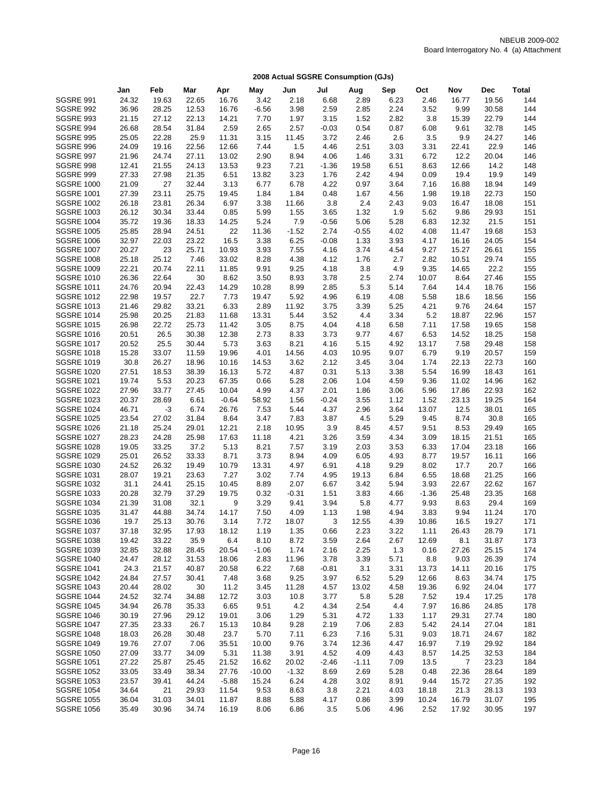|                                        | Jan           | Feb            | Mar            | Apr           | May          | Jun          | Jul          | Aug           | Sep          | Oct          | Nov            | Dec            | <b>Total</b> |
|----------------------------------------|---------------|----------------|----------------|---------------|--------------|--------------|--------------|---------------|--------------|--------------|----------------|----------------|--------------|
| <b>SGSRE 991</b>                       | 24.32         | 19.63          | 22.65          | 16.76         | 3.42         | 2.18         | 6.68         | 2.89          | 6.23         | 2.46         | 16.77          | 19.56          | 144          |
| <b>SGSRE 992</b>                       | 36.96         | 28.25          | 12.53          | 16.76         | $-6.56$      | 3.98         | 2.59         | 2.85          | 2.24         | 3.52         | 9.99           | 30.58          | 144          |
| <b>SGSRE 993</b>                       | 21.15         | 27.12          | 22.13          | 14.21         | 7.70         | 1.97         | 3.15         | 1.52          | 2.82         | 3.8          | 15.39          | 22.79          | 144          |
| <b>SGSRE 994</b>                       | 26.68         | 28.54          | 31.84          | 2.59          | 2.65         | 2.57         | $-0.03$      | 0.54          | 0.87         | 6.08         | 9.61           | 32.78          | 145          |
| <b>SGSRE 995</b>                       | 25.05         | 22.28          | 25.9           | 11.31         | 3.15         | 11.45        | 3.72         | 2.46          | 2.6          | 3.5          | 9.9            | 24.27          | 146          |
| SGSRE 996                              | 24.09         | 19.16          | 22.56          | 12.66         | 7.44         | 1.5          | 4.46         | 2.51          | 3.03         | 3.31         | 22.41          | 22.9           | 146          |
| SGSRE 997                              | 21.96         | 24.74          | 27.11          | 13.02         | 2.90         | 8.94         | 4.06         | 1.46          | 3.31         | 6.72         | 12.2           | 20.04          | 146          |
| SGSRE 998                              | 12.41         | 21.55          | 24.13          | 13.53         | 9.23         | 7.21         | $-1.36$      | 19.58         | 6.51         | 8.63         | 12.66          | 14.2           | 148          |
| SGSRE 999                              | 27.33         | 27.98          | 21.35          | 6.51          | 13.82        | 3.23         | 1.76         | 2.42          | 4.94         | 0.09         | 19.4           | 19.9           | 149          |
| <b>SGSRE 1000</b>                      | 21.09         | 27             | 32.44          | 3.13          | 6.77         | 6.78         | 4.22         | 0.97          | 3.64         | 7.16         | 16.88          | 18.94          | 149          |
| <b>SGSRE 1001</b>                      | 27.39         | 23.11          | 25.75          | 19.45         | 1.84         | 1.84         | 0.48         | 1.67          | 4.56         | 1.98         | 19.18          | 22.73          | 150          |
| <b>SGSRE 1002</b>                      | 26.18         | 23.81          | 26.34          | 6.97          | 3.38         | 11.66        | 3.8          | 2.4           | 2.43         | 9.03         | 16.47          | 18.08          | 151          |
| <b>SGSRE 1003</b>                      | 26.12         | 30.34          | 33.44          | 0.85          | 5.99         | 1.55         | 3.65         | 1.32          | 1.9          | 5.62         | 9.86           | 29.93          | 151          |
| <b>SGSRE 1004</b>                      | 35.72         | 19.36          | 18.33          | 14.25         | 5.24         | 7.9          | $-0.56$      | 5.06          | 5.28         | 6.83         | 12.32          | 21.5           | 151          |
| <b>SGSRE 1005</b>                      | 25.85         | 28.94          | 24.51          | 22            | 11.36        | $-1.52$      | 2.74         | $-0.55$       | 4.02         | 4.08         | 11.47          | 19.68          | 153          |
| <b>SGSRE 1006</b>                      | 32.97         | 22.03          | 23.22          | 16.5          | 3.38         | 6.25         | $-0.08$      | 1.33          | 3.93         | 4.17         | 16.16          | 24.05          | 154          |
| <b>SGSRE 1007</b>                      | 20.27         | 23             | 25.71          | 10.93         | 3.93         | 7.55         | 4.16         | 3.74          | 4.54         | 9.27         | 15.27          | 26.61          | 155          |
| <b>SGSRE 1008</b>                      | 25.18         | 25.12          | 7.46           | 33.02         | 8.28         | 4.38         | 4.12         | 1.76          | 2.7          | 2.82         | 10.51          | 29.74          | 155          |
| <b>SGSRE 1009</b>                      | 22.21         | 20.74          | 22.11          | 11.85         | 9.91         | 9.25         | 4.18         | 3.8           | 4.9          | 9.35         | 14.65          | 22.2           | 155          |
| <b>SGSRE 1010</b>                      | 26.36         | 22.64          | 30             | 8.62          | 3.50         | 8.93         | 3.78         | 2.5           | 2.74         | 10.07        | 8.64           | 27.46          | 155          |
| <b>SGSRE 1011</b>                      | 24.76         | 20.94          | 22.43          | 14.29         | 10.28        | 8.99         | 2.85         | 5.3           | 5.14         | 7.64         | 14.4           | 18.76          | 156          |
| <b>SGSRE 1012</b>                      | 22.98         | 19.57          | 22.7           | 7.73          | 19.47        | 5.92         | 4.96         | 6.19          | 4.08         | 5.58         | 18.6           | 18.56          | 156          |
| <b>SGSRE 1013</b>                      | 21.46         | 29.82          | 33.21          | 6.33          | 2.89         | 11.92        | 3.75         | 3.39          | 5.25         | 4.21         | 9.76           | 24.64          | 157          |
| <b>SGSRE 1014</b>                      | 25.98         | 20.25          | 21.83          | 11.68         | 13.31        | 5.44         | 3.52         | 4.4           | 3.34         | 5.2          | 18.87          | 22.96          | 157          |
| <b>SGSRE 1015</b>                      | 26.98         | 22.72          | 25.73          | 11.42         | 3.05         | 8.75         | 4.04         | 4.18          | 6.58         | 7.11         | 17.58          | 19.65          | 158          |
| <b>SGSRE 1016</b>                      | 20.51         | 26.5           | 30.38          | 12.38         | 2.73         | 8.33         | 3.73         | 9.77          | 4.67         | 6.53         | 14.52          | 18.25          | 158          |
| <b>SGSRE 1017</b>                      | 20.52         | 25.5           | 30.44          | 5.73          | 3.63         | 8.21         | 4.16         | 5.15          | 4.92         | 13.17        | 7.58           | 29.48          | 158          |
| <b>SGSRE 1018</b>                      | 15.28         | 33.07          | 11.59          | 19.96         | 4.01         | 14.56        | 4.03         | 10.95         | 9.07         | 6.79         | 9.19           | 20.57          | 159          |
| <b>SGSRE 1019</b>                      | 30.8          | 26.27          | 18.96          | 10.16         | 14.53        | 3.62         | 2.12         | 3.45          | 3.04         | 1.74         | 22.13          | 22.73          | 160          |
| <b>SGSRE 1020</b>                      | 27.51         | 18.53          | 38.39          | 16.13         | 5.72         | 4.87         | 0.31         | 5.13          | 3.38         | 5.54         | 16.99          | 18.43          | 161          |
| <b>SGSRE 1021</b>                      | 19.74         | 5.53           | 20.23          | 67.35         | 0.66         | 5.28         | 2.06         | 1.04          | 4.59         | 9.36         | 11.02          | 14.96          | 162          |
| <b>SGSRE 1022</b>                      | 27.96         | 33.77          | 27.45          | 10.04         | 4.99         | 4.37         | 2.01         | 1.86          | 3.06         | 5.96         | 17.86          | 22.93          | 162          |
| <b>SGSRE 1023</b>                      | 20.37         | 28.69          | 6.61           | $-0.64$       | 58.92        | 1.56         | $-0.24$      | 3.55          | 1.12         | 1.52         | 23.13          | 19.25          | 164          |
| <b>SGSRE 1024</b>                      | 46.71         | -3             | 6.74           | 26.76         | 7.53         | 5.44         | 4.37         | 2.96          | 3.64         | 13.07        | 12.5           | 38.01          | 165          |
| <b>SGSRE 1025</b>                      | 23.54         | 27.02          | 31.84          | 8.64          | 3.47         | 7.83         | 3.87         | 4.5           | 5.29         | 9.45         | 8.74           | 30.8           | 165          |
| <b>SGSRE 1026</b>                      | 21.18         | 25.24          | 29.01          | 12.21         | 2.18         | 10.95        | 3.9          | 8.45          | 4.57         | 9.51         | 8.53           | 29.49          | 165          |
| <b>SGSRE 1027</b>                      | 28.23         | 24.28          | 25.98          | 17.63         | 11.18        | 4.21         | 3.26         | 3.59          | 4.34         | 3.09         | 18.15          | 21.51          | 165          |
| <b>SGSRE 1028</b>                      | 19.05         | 33.25          | 37.2           | 5.13          | 8.21         | 7.57         | 3.19         | 2.03          | 3.53         | 6.33         | 17.04          | 23.18          | 166          |
| <b>SGSRE 1029</b>                      | 25.01         | 26.52          | 33.33          | 8.71          | 3.73         | 8.94         | 4.09         | 6.05          | 4.93         | 8.77         | 19.57          | 16.11          | 166          |
| <b>SGSRE 1030</b>                      | 24.52         | 26.32          | 19.49          | 10.79         | 13.31        | 4.97         | 6.91         | 4.18          | 9.29         | 8.02         | 17.7           | 20.7           | 166          |
| <b>SGSRE 1031</b><br><b>SGSRE 1032</b> | 28.07<br>31.1 | 19.21<br>24.41 | 23.63<br>25.15 | 7.27<br>10.45 | 3.02<br>8.89 | 7.74<br>2.07 | 4.95<br>6.67 | 19.13<br>3.42 | 6.84<br>5.94 | 6.55<br>3.93 | 18.68<br>22.67 | 21.25<br>22.62 | 166<br>167   |
| <b>SGSRE 1033</b>                      | 20.28         | 32.79          | 37.29          | 19.75         | 0.32         | $-0.31$      | 1.51         | 3.83          | 4.66         | $-1.36$      | 25.48          | 23.35          | 168          |
| <b>SGSRE 1034</b>                      | 21.39         | 31.08          | 32.1           | 9             | 3.29         | 9.41         | 3.94         | 5.8           | 4.77         | 9.93         | 8.63           | 29.4           | 169          |
| <b>SGSRE 1035</b>                      | 31.47         | 44.88          | 34.74          | 14.17         | 7.50         | 4.09         | 1.13         | 1.98          | 4.94         | 3.83         | 9.94           | 11.24          | 170          |
| <b>SGSRE 1036</b>                      | 19.7          | 25.13          | 30.76          | 3.14          | 7.72         | 18.07        | 3            | 12.55         | 4.39         | 10.86        | 16.5           | 19.27          | 171          |
| <b>SGSRE 1037</b>                      | 37.18         | 32.95          | 17.93          | 18.12         | 1.19         | 1.35         | 0.66         | 2.23          | 3.22         | 1.11         | 26.43          | 28.79          | 171          |
| <b>SGSRE 1038</b>                      | 19.42         | 33.22          | 35.9           | 6.4           | 8.10         | 8.72         | 3.59         | 2.64          | 2.67         | 12.69        | 8.1            | 31.87          | 173          |
| <b>SGSRE 1039</b>                      | 32.85         | 32.88          | 28.45          | 20.54         | $-1.06$      | 1.74         | 2.16         | 2.25          | 1.3          | 0.16         | 27.26          | 25.15          | 174          |
| <b>SGSRE 1040</b>                      | 24.47         | 28.12          | 31.53          | 18.06         | 2.83         | 11.96        | 3.78         | 3.39          | 5.71         | 8.8          | 9.03           | 26.39          | 174          |
| <b>SGSRE 1041</b>                      | 24.3          | 21.57          | 40.87          | 20.58         | 6.22         | 7.68         | $-0.81$      | 3.1           | 3.31         | 13.73        | 14.11          | 20.16          | 175          |
| <b>SGSRE 1042</b>                      | 24.84         | 27.57          | 30.41          | 7.48          | 3.68         | 9.25         | 3.97         | 6.52          | 5.29         | 12.66        | 8.63           | 34.74          | 175          |
| <b>SGSRE 1043</b>                      | 20.44         | 28.02          | 30             | 11.2          | 3.45         | 11.28        | 4.57         | 13.02         | 4.58         | 19.36        | 6.92           | 24.04          | 177          |
| <b>SGSRE 1044</b>                      | 24.52         | 32.74          | 34.88          | 12.72         | 3.03         | 10.8         | 3.77         | 5.8           | 5.28         | 7.52         | 19.4           | 17.25          | 178          |
| <b>SGSRE 1045</b>                      | 34.94         | 26.78          | 35.33          | 6.65          | 9.51         | 4.2          | 4.34         | 2.54          | 4.4          | 7.97         | 16.86          | 24.85          | 178          |
| <b>SGSRE 1046</b>                      | 30.19         | 27.96          | 29.12          | 19.01         | 3.06         | 1.29         | 5.31         | 4.72          | 1.33         | 1.17         | 29.31          | 27.74          | 180          |
| <b>SGSRE 1047</b>                      | 27.35         | 23.33          | 26.7           | 15.13         | 10.84        | 9.28         | 2.19         | 7.06          | 2.83         | 5.42         | 24.14          | 27.04          | 181          |
| <b>SGSRE 1048</b>                      | 18.03         | 26.28          | 30.48          | 23.7          | 5.70         | 7.11         | 6.23         | 7.16          | 5.31         | 9.03         | 18.71          | 24.67          | 182          |
| <b>SGSRE 1049</b>                      | 19.76         | 27.07          | 7.06           | 35.51         | 10.00        | 9.76         | 3.74         | 12.36         | 4.47         | 16.97        | 7.19           | 29.92          | 184          |
| <b>SGSRE 1050</b>                      | 27.09         | 33.77          | 34.09          | 5.31          | 11.38        | 3.91         | 4.52         | 4.09          | 4.43         | 8.57         | 14.25          | 32.53          | 184          |
| <b>SGSRE 1051</b>                      | 27.22         | 25.87          | 25.45          | 21.52         | 16.62        | 20.02        | $-2.46$      | $-1.11$       | 7.09         | 13.5         | 7              | 23.23          | 184          |
| <b>SGSRE 1052</b>                      | 33.05         | 33.49          | 38.34          | 27.76         | $-10.00$     | $-1.32$      | 8.69         | 2.69          | 5.28         | 0.48         | 22.36          | 28.64          | 189          |
| <b>SGSRE 1053</b>                      | 23.57         | 39.41          | 44.24          | $-5.88$       | 15.24        | 6.24         | 4.28         | 3.02          | 8.91         | 9.44         | 15.72          | 27.35          | 192          |
| <b>SGSRE 1054</b>                      | 34.64         | 21             | 29.93          | 11.54         | 9.53         | 8.63         | 3.8          | 2.21          | 4.03         | 18.18        | 21.3           | 28.13          | 193          |
| <b>SGSRE 1055</b>                      | 36.04         | 31.03          | 34.01          | 11.87         | 8.88         | 5.88         | 4.17         | 0.86          | 3.99         | 10.24        | 16.79          | 31.07          | 195          |
| <b>SGSRE 1056</b>                      | 35.49         | 30.96          | 34.74          | 16.19         | 8.06         | 6.86         | 3.5          | 5.06          | 4.96         | 2.52         | 17.92          | 30.95          | 197          |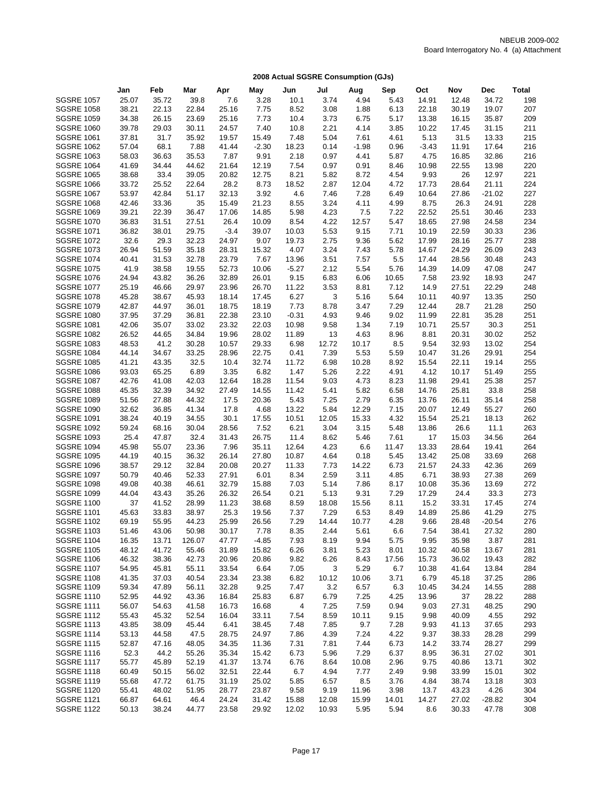|                   | Jan   | Feb   | Mar    | Apr    | May     | Jun     | Jul   | Aug     | Sep   | Oct     | Nov   | Dec      | <b>Total</b> |
|-------------------|-------|-------|--------|--------|---------|---------|-------|---------|-------|---------|-------|----------|--------------|
| <b>SGSRE 1057</b> | 25.07 | 35.72 | 39.8   | 7.6    | 3.28    | 10.1    | 3.74  | 4.94    | 5.43  | 14.91   | 12.48 | 34.72    | 198          |
| <b>SGSRE 1058</b> | 38.21 | 22.13 | 22.84  | 25.16  | 7.75    | 8.52    | 3.08  | 1.88    | 6.13  | 22.18   | 30.19 | 19.07    | 207          |
| <b>SGSRE 1059</b> | 34.38 | 26.15 | 23.69  | 25.16  | 7.73    | 10.4    | 3.73  | 6.75    | 5.17  | 13.38   | 16.15 | 35.87    | 209          |
| <b>SGSRE 1060</b> | 39.78 | 29.03 | 30.11  | 24.57  | 7.40    | 10.8    | 2.21  | 4.14    | 3.85  | 10.22   | 17.45 | 31.15    | 211          |
| <b>SGSRE 1061</b> | 37.81 | 31.7  | 35.92  | 19.57  | 15.49   | 7.48    | 5.04  | 7.61    | 4.61  | 5.13    | 31.5  | 13.33    | 215          |
| <b>SGSRE 1062</b> | 57.04 | 68.1  | 7.88   | 41.44  | $-2.30$ | 18.23   | 0.14  | $-1.98$ | 0.96  | $-3.43$ | 11.91 | 17.64    | 216          |
| <b>SGSRE 1063</b> |       |       | 35.53  |        |         |         |       |         |       | 4.75    | 16.85 |          | 216          |
|                   | 58.03 | 36.63 |        | 7.87   | 9.91    | 2.18    | 0.97  | 4.41    | 5.87  |         |       | 32.86    |              |
| <b>SGSRE 1064</b> | 41.69 | 34.44 | 44.62  | 21.64  | 12.19   | 7.54    | 0.97  | 0.91    | 8.46  | 10.98   | 22.55 | 13.98    | 220          |
| <b>SGSRE 1065</b> | 38.68 | 33.4  | 39.05  | 20.82  | 12.75   | 8.21    | 5.82  | 8.72    | 4.54  | 9.93    | 26    | 12.97    | 221          |
| <b>SGSRE 1066</b> | 33.72 | 25.52 | 22.64  | 28.2   | 8.73    | 18.52   | 2.87  | 12.04   | 4.72  | 17.73   | 28.64 | 21.11    | 224          |
| <b>SGSRE 1067</b> | 53.97 | 42.84 | 51.17  | 32.13  | 3.92    | 4.6     | 7.46  | 7.28    | 6.49  | 10.64   | 27.86 | $-21.02$ | 227          |
| <b>SGSRE 1068</b> | 42.46 | 33.36 | 35     | 15.49  | 21.23   | 8.55    | 3.24  | 4.11    | 4.99  | 8.75    | 26.3  | 24.91    | 228          |
| <b>SGSRE 1069</b> | 39.21 | 22.39 | 36.47  | 17.06  | 14.85   | 5.98    | 4.23  | 7.5     | 7.22  | 22.52   | 25.51 | 30.46    | 233          |
| <b>SGSRE 1070</b> | 36.83 | 31.51 | 27.51  | 26.4   | 10.09   | 8.54    | 4.22  | 12.57   | 5.47  | 18.65   | 27.98 | 24.58    | 234          |
| <b>SGSRE 1071</b> | 36.82 | 38.01 | 29.75  | $-3.4$ | 39.07   | 10.03   | 5.53  | 9.15    | 7.71  | 10.19   | 22.59 | 30.33    | 236          |
| <b>SGSRE 1072</b> | 32.6  | 29.3  | 32.23  | 24.97  | 9.07    | 19.73   | 2.75  | 9.36    | 5.62  | 17.99   | 28.16 | 25.77    | 238          |
| <b>SGSRE 1073</b> | 26.94 | 51.59 | 35.18  | 28.31  | 15.32   | 4.07    | 3.24  | 7.43    | 5.78  | 14.67   | 24.29 | 26.09    | 243          |
| <b>SGSRE 1074</b> | 40.41 | 31.53 | 32.78  | 23.79  | 7.67    | 13.96   | 3.51  | 7.57    | 5.5   | 17.44   | 28.56 | 30.48    | 243          |
| <b>SGSRE 1075</b> | 41.9  | 38.58 | 19.55  | 52.73  | 10.06   | $-5.27$ | 2.12  | 5.54    | 5.76  | 14.39   | 14.09 | 47.08    | 247          |
| <b>SGSRE 1076</b> | 24.94 | 43.82 | 36.26  | 32.89  | 26.01   | 9.15    | 6.83  | 6.06    | 10.65 | 7.58    | 23.92 | 18.93    | 247          |
| <b>SGSRE 1077</b> | 25.19 | 46.66 | 29.97  | 23.96  | 26.70   | 11.22   | 3.53  | 8.81    | 7.12  | 14.9    | 27.51 | 22.29    | 248          |
| <b>SGSRE 1078</b> | 45.28 | 38.67 | 45.93  | 18.14  | 17.45   | 6.27    | 3     | 5.16    | 5.64  | 10.11   | 40.97 | 13.35    | 250          |
| <b>SGSRE 1079</b> | 42.87 | 44.97 | 36.01  | 18.75  | 18.19   | 7.73    | 8.78  | 3.47    | 7.29  | 12.44   | 28.7  | 21.28    | 250          |
| <b>SGSRE 1080</b> | 37.95 | 37.29 | 36.81  | 22.38  | 23.10   | $-0.31$ | 4.93  | 9.46    | 9.02  | 11.99   | 22.81 | 35.28    | 251          |
| <b>SGSRE 1081</b> | 42.06 | 35.07 | 33.02  | 23.32  | 22.03   | 10.98   | 9.58  | 1.34    | 7.19  | 10.71   | 25.57 | 30.3     | 251          |
| <b>SGSRE 1082</b> | 26.52 | 44.65 | 34.84  | 19.96  | 28.02   | 11.89   | 13    | 4.63    | 8.96  | 8.81    | 20.31 | 30.02    | 252          |
| <b>SGSRE 1083</b> | 48.53 | 41.2  | 30.28  | 10.57  | 29.33   | 6.98    | 12.72 | 10.17   | 8.5   | 9.54    | 32.93 | 13.02    | 254          |
| <b>SGSRE 1084</b> | 44.14 | 34.67 | 33.25  | 28.96  | 22.75   | 0.41    | 7.39  | 5.53    | 5.59  | 10.47   | 31.26 | 29.91    | 254          |
| <b>SGSRE 1085</b> | 41.21 | 43.35 | 32.5   | 10.4   | 32.74   | 11.72   | 6.98  | 10.28   | 8.92  | 15.54   | 22.11 | 19.14    | 255          |
| <b>SGSRE 1086</b> | 93.03 | 65.25 | 6.89   | 3.35   | 6.82    | 1.47    | 5.26  | 2.22    | 4.91  | 4.12    | 10.17 | 51.49    | 255          |
| <b>SGSRE 1087</b> | 42.76 | 41.08 | 42.03  | 12.64  | 18.28   | 11.54   | 9.03  | 4.73    | 8.23  | 11.98   | 29.41 | 25.38    | 257          |
| <b>SGSRE 1088</b> | 45.35 | 32.39 | 34.92  | 27.49  | 14.55   | 11.42   | 5.41  | 5.82    | 6.58  | 14.76   | 25.81 | 33.8     | 258          |
| <b>SGSRE 1089</b> | 51.56 | 27.88 | 44.32  | 17.5   | 20.36   | 5.43    | 7.25  | 2.79    | 6.35  | 13.76   | 26.11 | 35.14    | 258          |
| <b>SGSRE 1090</b> | 32.62 | 36.85 | 41.34  | 17.8   | 4.68    | 13.22   | 5.84  | 12.29   | 7.15  | 20.07   | 12.49 | 55.27    | 260          |
| <b>SGSRE 1091</b> | 38.24 | 40.19 | 34.55  | 30.1   | 17.55   | 10.51   | 12.05 | 15.33   | 4.32  | 15.54   | 25.21 | 18.13    | 262          |
| <b>SGSRE 1092</b> | 59.24 | 68.16 | 30.04  | 28.56  | 7.52    | 6.21    | 3.04  | 3.15    | 5.48  | 13.86   | 26.6  | 11.1     | 263          |
| <b>SGSRE 1093</b> | 25.4  | 47.87 | 32.4   | 31.43  | 26.75   | 11.4    | 8.62  | 5.46    | 7.61  | 17      | 15.03 | 34.56    | 264          |
| <b>SGSRE 1094</b> | 45.98 | 55.07 | 23.36  | 7.96   | 35.11   | 12.64   | 4.23  | 6.6     | 11.47 | 13.33   | 28.64 | 19.41    | 264          |
| <b>SGSRE 1095</b> | 44.19 | 40.15 | 36.32  | 26.14  | 27.80   | 10.87   | 4.64  | 0.18    | 5.45  | 13.42   | 25.08 | 33.69    | 268          |
| <b>SGSRE 1096</b> | 38.57 | 29.12 | 32.84  | 20.08  | 20.27   | 11.33   | 7.73  | 14.22   | 6.73  | 21.57   | 24.33 | 42.36    | 269          |
| <b>SGSRE 1097</b> | 50.79 | 40.46 | 52.33  | 27.91  | 6.01    | 8.34    | 2.59  | 3.11    | 4.85  | 6.71    | 38.93 | 27.38    | 269          |
| <b>SGSRE 1098</b> | 49.08 | 40.38 | 46.61  | 32.79  | 15.88   | 7.03    | 5.14  | 7.86    | 8.17  | 10.08   | 35.36 | 13.69    | 272          |
| <b>SGSRE 1099</b> | 44.04 | 43.43 | 35.26  | 26.32  | 26.54   | 0.21    | 5.13  | 9.31    | 7.29  | 17.29   | 24.4  | 33.3     | 273          |
| <b>SGSRE 1100</b> | 37    | 41.52 | 28.99  | 11.23  | 38.68   | 8.59    | 18.08 | 15.56   | 8.11  | 15.2    | 33.31 | 17.45    | 274          |
| <b>SGSRE 1101</b> | 45.63 | 33.83 | 38.97  | 25.3   | 19.56   | 7.37    | 7.29  | 6.53    | 8.49  | 14.89   | 25.86 | 41.29    | 275          |
| <b>SGSRE 1102</b> | 69.19 | 55.95 | 44.23  | 25.99  | 26.56   | 7.29    | 14.44 | 10.77   | 4.28  | 9.66    | 28.48 | $-20.54$ | 276          |
| <b>SGSRE 1103</b> | 51.46 | 43.06 | 50.98  | 30.17  | 7.78    | 8.35    | 2.44  | 5.61    | 6.6   | 7.54    | 38.41 | 27.32    | 280          |
| <b>SGSRE 1104</b> | 16.35 | 13.71 | 126.07 | 47.77  | $-4.85$ | 7.93    | 8.19  | 9.94    | 5.75  | 9.95    | 35.98 | 3.87     | 281          |
| <b>SGSRE 1105</b> | 48.12 | 41.72 | 55.46  | 31.89  | 15.82   | 6.26    | 3.81  | 5.23    | 8.01  | 10.32   | 40.58 | 13.67    | 281          |
| <b>SGSRE 1106</b> | 46.32 | 38.36 | 42.73  | 20.96  | 20.86   | 9.82    | 6.26  | 8.43    | 17.56 | 15.73   | 36.02 | 19.43    | 282          |
| <b>SGSRE 1107</b> | 54.95 | 45.81 | 55.11  | 33.54  | 6.64    | 7.05    | 3     | 5.29    | 6.7   | 10.38   | 41.64 | 13.84    | 284          |
| <b>SGSRE 1108</b> | 41.35 | 37.03 | 40.54  | 23.34  | 23.38   | 6.82    | 10.12 | 10.06   | 3.71  | 6.79    | 45.18 | 37.25    | 286          |
| <b>SGSRE 1109</b> | 59.34 | 47.89 | 56.11  | 32.28  | 9.25    | 7.47    | 3.2   | 6.57    | 6.3   | 10.45   | 34.24 | 14.55    | 288          |
| <b>SGSRE 1110</b> | 52.95 | 44.92 | 43.36  | 16.84  | 25.83   | 6.87    | 6.79  | 7.25    | 4.25  | 13.96   | 37    | 28.22    | 288          |
| <b>SGSRE 1111</b> | 56.07 | 54.63 | 41.58  | 16.73  | 16.68   | 4       | 7.25  | 7.59    | 0.94  | 9.03    | 27.31 | 48.25    | 290          |
| <b>SGSRE 1112</b> | 55.43 | 45.32 | 52.54  | 16.04  | 33.11   | 7.54    | 8.59  | 10.11   | 9.15  | 9.98    | 40.09 | 4.55     | 292          |
| <b>SGSRE 1113</b> | 43.85 | 38.09 | 45.44  | 6.41   | 38.45   | 7.48    | 7.85  | 9.7     | 7.28  | 9.93    | 41.13 | 37.65    | 293          |
| <b>SGSRE 1114</b> | 53.13 | 44.58 | 47.5   | 28.75  | 24.97   | 7.86    | 4.39  | 7.24    | 4.22  | 9.37    | 38.33 | 28.28    | 299          |
| <b>SGSRE 1115</b> | 52.87 | 47.16 | 48.05  | 34.35  | 11.36   | 7.31    | 7.81  | 7.44    | 6.73  | 14.2    | 33.74 | 28.27    | 299          |
| <b>SGSRE 1116</b> | 52.3  | 44.2  | 55.26  | 35.34  | 15.42   | 6.73    | 5.96  | 7.29    | 6.37  | 8.95    | 36.31 | 27.02    | 301          |
| <b>SGSRE 1117</b> | 55.77 | 45.89 | 52.19  | 41.37  | 13.74   | 6.76    | 8.64  | 10.08   | 2.96  | 9.75    | 40.86 | 13.71    | 302          |
| <b>SGSRE 1118</b> | 60.49 | 50.15 | 56.02  | 32.51  | 22.44   | 6.7     | 4.94  | 7.77    | 2.49  | 9.98    | 33.99 | 15.01    | 302          |
| <b>SGSRE 1119</b> | 55.68 | 47.72 | 61.75  | 31.19  | 25.02   | 5.85    | 6.57  | 8.5     | 3.76  | 4.84    | 38.74 | 13.18    | 303          |
| <b>SGSRE 1120</b> | 55.41 | 48.02 | 51.95  | 28.77  | 23.87   | 9.58    | 9.19  | 11.96   | 3.98  | 13.7    | 43.23 | 4.26     | 304          |
| <b>SGSRE 1121</b> | 66.87 | 64.61 | 46.4   | 24.24  | 31.42   | 15.88   | 12.08 | 15.99   | 14.01 | 14.27   | 27.02 | $-28.82$ | 304          |
| <b>SGSRE 1122</b> | 50.13 | 38.24 | 44.77  | 23.58  | 29.92   | 12.02   | 10.93 | 5.95    | 5.94  | 8.6     | 30.33 | 47.78    | 308          |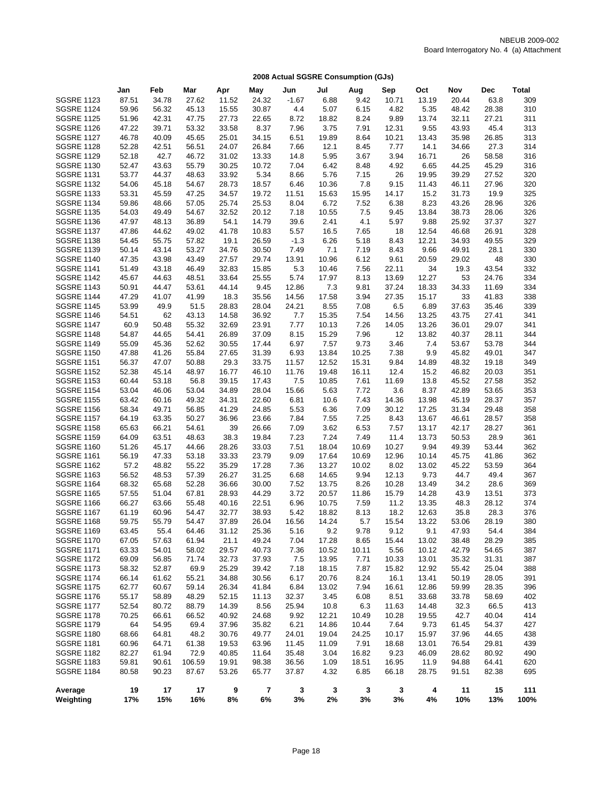|                                        | Jan            | Feb            | Mar            | Apr            | May            | Jun           | Jul            | Aug          | Sep           | Oct            | Nov           | Dec           | Total      |
|----------------------------------------|----------------|----------------|----------------|----------------|----------------|---------------|----------------|--------------|---------------|----------------|---------------|---------------|------------|
| <b>SGSRE 1123</b>                      | 87.51          | 34.78          | 27.62          | 11.52          | 24.32          | $-1.67$       | 6.88           | 9.42         | 10.71         | 13.19          | 20.44         | 63.8          | 309        |
| <b>SGSRE 1124</b>                      | 59.96          | 56.32          | 45.13          | 15.55          | 30.87          | 4.4           | 5.07           | 6.15         | 4.82          | 5.35           | 48.42         | 28.38         | 310        |
| <b>SGSRE 1125</b>                      | 51.96          | 42.31          | 47.75          | 27.73          | 22.65          | 8.72          | 18.82          | 8.24         | 9.89          | 13.74          | 32.11         | 27.21         | 311        |
| <b>SGSRE 1126</b>                      | 47.22          | 39.71          | 53.32          | 33.58          | 8.37           | 7.96          | 3.75           | 7.91         | 12.31         | 9.55           | 43.93         | 45.4          | 313        |
| <b>SGSRE 1127</b>                      | 46.78          | 40.09          | 45.65          | 25.01          | 34.15          | 6.51          | 19.89          | 8.64         | 10.21         | 13.43          | 35.98         | 26.85         | 313        |
| <b>SGSRE 1128</b>                      | 52.28          | 42.51          | 56.51          | 24.07          | 26.84          | 7.66          | 12.1           | 8.45         | 7.77          | 14.1           | 34.66         | 27.3          | 314        |
| <b>SGSRE 1129</b>                      | 52.18          | 42.7           | 46.72          | 31.02          | 13.33          | 14.8          | 5.95           | 3.67         | 3.94          | 16.71          | 26            | 58.58         | 316        |
| <b>SGSRE 1130</b>                      | 52.47          | 43.63          | 55.79          | 30.25          | 10.72          | 7.04          | 6.42           | 8.48         | 4.92          | 6.65           | 44.25         | 45.29         | 316        |
| <b>SGSRE 1131</b>                      | 53.77          | 44.37          | 48.63          | 33.92          | 5.34           | 8.66          | 5.76           | 7.15         | 26            | 19.95          | 39.29         | 27.52         | 320        |
| <b>SGSRE 1132</b>                      | 54.06          | 45.18          | 54.67          | 28.73          | 18.57          | 6.46          | 10.36          | 7.8          | 9.15          | 11.43          | 46.11         | 27.96         | 320        |
| <b>SGSRE 1133</b>                      | 53.31          | 45.59          | 47.25          | 34.57          | 19.72          | 11.51         | 15.63          | 15.95        | 14.17         | 15.2           | 31.73         | 19.9          | 325        |
| <b>SGSRE 1134</b>                      | 59.86          | 48.66          | 57.05          | 25.74          | 25.53          | 8.04          | 6.72           | 7.52         | 6.38          | 8.23           | 43.26         | 28.96         | 326        |
| <b>SGSRE 1135</b>                      | 54.03          | 49.49          | 54.67          | 32.52          | 20.12          | 7.18          | 10.55          | 7.5          | 9.45          | 13.84          | 38.73         | 28.06         | 326        |
| <b>SGSRE 1136</b>                      | 47.97          | 48.13          | 36.89          | 54.1           | 14.79          | 39.6          | 2.41           | 4.1          | 5.97          | 9.88           | 25.92         | 37.37         | 327        |
| <b>SGSRE 1137</b>                      | 47.86          | 44.62          | 49.02          | 41.78          | 10.83          | 5.57          | 16.5           | 7.65         | 18            | 12.54          | 46.68         | 26.91         | 328        |
| <b>SGSRE 1138</b>                      | 54.45          | 55.75          | 57.82          | 19.1           | 26.59          | $-1.3$        | 6.26           | 5.18         | 8.43          | 12.21          | 34.93         | 49.55         | 329        |
| <b>SGSRE 1139</b><br><b>SGSRE 1140</b> | 50.14          | 43.14<br>43.98 | 53.27<br>43.49 | 34.76          | 30.50<br>29.74 | 7.49          | 7.1            | 7.19         | 8.43          | 9.66           | 49.91         | 28.1<br>48    | 330        |
| <b>SGSRE 1141</b>                      | 47.35<br>51.49 | 43.18          | 46.49          | 27.57<br>32.83 | 15.85          | 13.91<br>5.3  | 10.96<br>10.46 | 6.12<br>7.56 | 9.61<br>22.11 | 20.59<br>34    | 29.02<br>19.3 | 43.54         | 330<br>332 |
| <b>SGSRE 1142</b>                      | 45.67          | 44.63          | 48.51          | 33.64          | 25.55          | 5.74          | 17.97          | 8.13         | 13.69         | 12.27          | 53            | 24.76         | 334        |
| <b>SGSRE 1143</b>                      | 50.91          | 44.47          | 53.61          | 44.14          | 9.45           | 12.86         | 7.3            | 9.81         | 37.24         | 18.33          | 34.33         | 11.69         | 334        |
| <b>SGSRE 1144</b>                      | 47.29          | 41.07          | 41.99          | 18.3           | 35.56          | 14.56         | 17.58          | 3.94         | 27.35         | 15.17          | 33            | 41.83         | 338        |
| <b>SGSRE 1145</b>                      | 53.99          | 49.9           | 51.5           | 28.83          | 28.04          | 24.21         | 8.55           | 7.08         | 6.5           | 6.89           | 37.63         | 35.46         | 339        |
| <b>SGSRE 1146</b>                      | 54.51          | 62             | 43.13          | 14.58          | 36.92          | 7.7           | 15.35          | 7.54         | 14.56         | 13.25          | 43.75         | 27.41         | 341        |
| <b>SGSRE 1147</b>                      | 60.9           | 50.48          | 55.32          | 32.69          | 23.91          | 7.77          | 10.13          | 7.26         | 14.05         | 13.26          | 36.01         | 29.07         | 341        |
| <b>SGSRE 1148</b>                      | 54.87          | 44.65          | 54.41          | 26.89          | 37.09          | 8.15          | 15.29          | 7.96         | 12            | 13.82          | 40.37         | 28.11         | 344        |
| <b>SGSRE 1149</b>                      | 55.09          | 45.36          | 52.62          | 30.55          | 17.44          | 6.97          | 7.57           | 9.73         | 3.46          | 7.4            | 53.67         | 53.78         | 344        |
| <b>SGSRE 1150</b>                      | 47.88          | 41.26          | 55.84          | 27.65          | 31.39          | 6.93          | 13.84          | 10.25        | 7.38          | 9.9            | 45.82         | 49.01         | 347        |
| <b>SGSRE 1151</b>                      | 56.37          | 47.07          | 50.88          | 29.3           | 33.75          | 11.57         | 12.52          | 15.31        | 9.84          | 14.89          | 48.32         | 19.18         | 349        |
| <b>SGSRE 1152</b>                      | 52.38          | 45.14          | 48.97          | 16.77          | 46.10          | 11.76         | 19.48          | 16.11        | 12.4          | 15.2           | 46.82         | 20.03         | 351        |
| <b>SGSRE 1153</b>                      | 60.44          | 53.18          | 56.8           | 39.15          | 17.43          | 7.5           | 10.85          | 7.61         | 11.69         | 13.8           | 45.52         | 27.58         | 352        |
| <b>SGSRE 1154</b>                      | 53.04          | 46.06          | 53.04          | 34.89          | 28.04          | 15.66         | 5.63           | 7.72         | 3.6           | 8.37           | 42.89         | 53.65         | 353        |
| <b>SGSRE 1155</b>                      | 63.42          | 60.16          | 49.32          | 34.31          | 22.60          | 6.81          | 10.6           | 7.43         | 14.36         | 13.98          | 45.19         | 28.37         | 357        |
| <b>SGSRE 1156</b>                      | 58.34          | 49.71          | 56.85          | 41.29          | 24.85          | 5.53          | 6.36           | 7.09         | 30.12         | 17.25          | 31.34         | 29.48         | 358        |
| <b>SGSRE 1157</b>                      | 64.19          | 63.35          | 50.27          | 36.96          | 23.66          | 7.84          | 7.55           | 7.25         | 8.43          | 13.67          | 46.61         | 28.57         | 358        |
| <b>SGSRE 1158</b>                      | 65.63          | 66.21          | 54.61          | 39             | 26.66          | 7.09          | 3.62           | 6.53         | 7.57          | 13.17          | 42.17         | 28.27         | 361        |
| <b>SGSRE 1159</b>                      | 64.09          | 63.51          | 48.63          | 38.3           | 19.84          | 7.23          | 7.24           | 7.49         | 11.4          | 13.73          | 50.53         | 28.9          | 361        |
| <b>SGSRE 1160</b>                      | 51.26          | 45.17          | 44.66          | 28.26          | 33.03          | 7.51          | 18.04          | 10.69        | 10.27         | 9.94           | 49.39         | 53.44         | 362        |
| <b>SGSRE 1161</b>                      | 56.19          | 47.33          | 53.18          | 33.33          | 23.79          | 9.09          | 17.64          | 10.69        | 12.96         | 10.14          | 45.75         | 41.86         | 362        |
| <b>SGSRE 1162</b>                      | 57.2           | 48.82          | 55.22          | 35.29          | 17.28          | 7.36          | 13.27          | 10.02        | 8.02          | 13.02          | 45.22         | 53.59         | 364        |
| <b>SGSRE 1163</b>                      | 56.52          | 48.53          | 57.39          | 26.27          | 31.25          | 6.68          | 14.65          | 9.94         | 12.13         | 9.73           | 44.7          | 49.4          | 367        |
| <b>SGSRE 1164</b>                      | 68.32          | 65.68          | 52.28          | 36.66          | 30.00          | 7.52          | 13.75          | 8.26         | 10.28         | 13.49          | 34.2          | 28.6          | 369        |
| <b>SGSRE 1165</b>                      | 57.55          | 51.04          | 67.81          | 28.93          | 44.29          | 3.72          | 20.57          | 11.86        | 15.79         | 14.28          | 43.9          | 13.51         | 373        |
| <b>SGSRE 1166</b><br><b>SGSRE 1167</b> | 66.27          | 63.66          | 55.48<br>54.47 | 40.16          | 22.51<br>38.93 | 6.96          | 10.75          | 7.59         | 11.2          | 13.35          | 48.3          | 28.12         | 374        |
| <b>SGSRE 1168</b>                      | 61.19<br>59.75 | 60.96<br>55.79 | 54.47          | 32.77<br>37.89 | 26.04          | 5.42<br>16.56 | 18.82<br>14.24 | 8.13<br>5.7  | 18.2<br>15.54 | 12.63<br>13.22 | 35.8<br>53.06 | 28.3<br>28.19 | 376<br>380 |
| <b>SGSRE 1169</b>                      | 63.45          | 55.4           | 64.46          | 31.12          | 25.36          | 5.16          | 9.2            | 9.78         | 9.12          | 9.1            | 47.93         | 54.4          | 384        |
| <b>SGSRE 1170</b>                      | 67.05          | 57.63          | 61.94          | 21.1           | 49.24          | 7.04          | 17.28          | 8.65         | 15.44         | 13.02          | 38.48         | 28.29         | 385        |
| <b>SGSRE 1171</b>                      | 63.33          | 54.01          | 58.02          | 29.57          | 40.73          | 7.36          | 10.52          | 10.11        | 5.56          | 10.12          | 42.79         | 54.65         | 387        |
| <b>SGSRE 1172</b>                      | 69.09          | 56.85          | 71.74          | 32.73          | 37.93          | 7.5           | 13.95          | 7.71         | 10.33         | 13.01          | 35.32         | 31.31         | 387        |
| <b>SGSRE 1173</b>                      | 58.32          | 52.87          | 69.9           | 25.29          | 39.42          | 7.18          | 18.15          | 7.87         | 15.82         | 12.92          | 55.42         | 25.04         | 388        |
| <b>SGSRE 1174</b>                      | 66.14          | 61.62          | 55.21          | 34.88          | 30.56          | 6.17          | 20.76          | 8.24         | 16.1          | 13.41          | 50.19         | 28.05         | 391        |
| <b>SGSRE 1175</b>                      | 62.77          | 60.67          | 59.14          | 26.34          | 41.84          | 6.84          | 13.02          | 7.94         | 16.61         | 12.86          | 59.99         | 28.35         | 396        |
| <b>SGSRE 1176</b>                      | 55.17          | 58.89          | 48.29          | 52.15          | 11.13          | 32.37         | 3.45           | 6.08         | 8.51          | 33.68          | 33.78         | 58.69         | 402        |
| <b>SGSRE 1177</b>                      | 52.54          | 80.72          | 88.79          | 14.39          | 8.56           | 25.94         | 10.8           | 6.3          | 11.63         | 14.48          | 32.3          | 66.5          | 413        |
| <b>SGSRE 1178</b>                      | 70.25          | 66.61          | 66.52          | 40.92          | 24.68          | 9.92          | 12.21          | 10.49        | 10.28         | 19.55          | 42.7          | 40.04         | 414        |
| <b>SGSRE 1179</b>                      | 64             | 54.95          | 69.4           | 37.96          | 35.82          | 6.21          | 14.86          | 10.44        | 7.64          | 9.73           | 61.45         | 54.37         | 427        |
| <b>SGSRE 1180</b>                      | 68.66          | 64.81          | 48.2           | 30.76          | 49.77          | 24.01         | 19.04          | 24.25        | 10.17         | 15.97          | 37.96         | 44.65         | 438        |
| <b>SGSRE 1181</b>                      | 60.96          | 64.71          | 61.38          | 19.53          | 63.96          | 11.45         | 11.09          | 7.91         | 18.68         | 13.01          | 76.54         | 29.81         | 439        |
| <b>SGSRE 1182</b>                      | 82.27          | 61.94          | 72.9           | 40.85          | 11.64          | 35.48         | 3.04           | 16.82        | 9.23          | 46.09          | 28.62         | 80.92         | 490        |
| <b>SGSRE 1183</b>                      | 59.81          | 90.61          | 106.59         | 19.91          | 98.38          | 36.56         | 1.09           | 18.51        | 16.95         | 11.9           | 94.88         | 64.41         | 620        |
| <b>SGSRE 1184</b>                      | 80.58          | 90.23          | 87.67          | 53.26          | 65.77          | 37.87         | 4.32           | 6.85         | 66.18         | 28.75          | 91.51         | 82.38         | 695        |
| Average                                | 19             | 17             | 17             | 9              | 7              | 3             | 3              | 3            | 3             | 4              | 11            | 15            | 111        |
| Weighting                              | 17%            | 15%            | 16%            | 8%             | 6%             | 3%            | 2%             | 3%           | 3%            | 4%             | 10%           | 13%           | 100%       |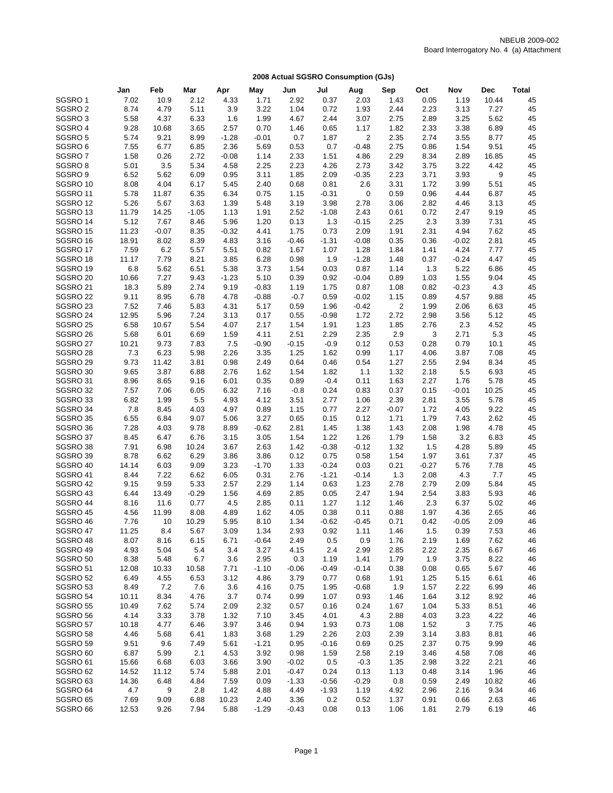|                      | Jan          | Feb           | Mar          | Apr          | May          | Jun          | Jul          | Aug             | Sep          | Oct         | Nov             | Dec          | <b>Total</b> |
|----------------------|--------------|---------------|--------------|--------------|--------------|--------------|--------------|-----------------|--------------|-------------|-----------------|--------------|--------------|
| SGSRO1               | 7.02         | 10.9          | 2.12         | 4.33         | 1.71         | 2.92         | 0.37         | 2.03            | 1.43         | 0.05        | 1.19            | 10.44        | 45           |
| SGSRO <sub>2</sub>   | 8.74         | 4.79          | 5.11         | 3.9          | 3.22         | 1.04         | 0.72         | 1.93            | 2.44         | 2.23        | 3.13            | 7.27         | 45           |
| SGSRO3               | 5.58         | 4.37          | 6.33         | 1.6          | 1.99         | 4.67         | 2.44         | 3.07            | 2.75         | 2.89        | 3.25            | 5.62         | 45           |
| SGSRO 4              | 9.28         | 10.68         | 3.65         | 2.57         | 0.70         | 1.46         | 0.65         | 1.17            | 1.82         | 2.33        | 3.38            | 6.89         | 45           |
| SGSRO5               | 5.74         | 9.21          | 8.99         | $-1.28$      | $-0.01$      | 0.7          | 1.87         | $\sqrt{2}$      | 2.35         | 2.74        | 3.55            | 8.77         | 45           |
| SGSRO <sub>6</sub>   | 7.55         | 6.77          | 6.85         | 2.36         | 5.69         | 0.53         | 0.7          | $-0.48$         | 2.75         | 0.86        | 1.54            | 9.51         | 45           |
| SGSRO7               | 1.58         | 0.26          | 2.72         | $-0.08$      | 1.14         | 2.33         | 1.51         | 4.86            | 2.29         | 8.34        | 2.89            | 16.85        | 45           |
| SGSRO <sub>8</sub>   | 5.01         | 3.5           | 5.34         | 4.58         | 2.25         | 2.23         | 4.26         | 2.73            | 3.42         | 3.75        | 3.22            | 4.42         | 45           |
| SGSRO <sub>9</sub>   | 6.52         | 5.62          | 6.09         | 0.95         | 3.11         | 1.85         | 2.09         | $-0.35$         | 2.23         | 3.71        | 3.93            | 9            | 45           |
| SGSRO 10             | 8.08         | 4.04          | 6.17         | 5.45         | 2.40         | 0.68         | 0.81         | 2.6             | 3.31         | 1.72        | 3.99            | 5.51         | 45           |
| SGSRO <sub>11</sub>  | 5.78         | 11.87         | 6.35         | 6.34         | 0.75         | 1.15         | $-0.31$      | 0               | 0.59         | 0.96        | 4.44            | 6.87         | 45           |
| SGSRO 12             | 5.26         | 5.67          | 3.63         | 1.39         | 5.48         | 3.19         | 3.98         | 2.78            | 3.06         | 2.82        | 4.46            | 3.13         | 45           |
| SGSRO <sub>13</sub>  | 11.79        | 14.25         | $-1.05$      | 1.13         | 1.91         | 2.52         | $-1.08$      | 2.43            | 0.61         | 0.72        | 2.47            | 9.19         | 45           |
| SGSRO 14             | 5.12         | 7.67          | 8.46         | 5.96         | 1.20         | 0.13         | 1.3          | $-0.15$         | 2.25         | 2.3         | 3.39            | 7.31         | 45           |
| SGSRO 15             | 11.23        | $-0.07$       | 8.35         | $-0.32$      | 4.41         | 1.75         | 0.73         | 2.09            | 1.91         | 2.31        | 4.94            | 7.62         | 45           |
| SGSRO <sub>16</sub>  | 18.91        | 8.02          | 8.39         | 4.83         | 3.16         | $-0.46$      | $-1.31$      | $-0.08$         | 0.35         | 0.36        | $-0.02$         | 2.81         | 45           |
| SGSRO 17             | 7.59         | 6.2           | 5.57         | 5.51         | 0.82         | 1.67         | 1.07         | 1.28            | 1.84         | 1.41        | 4.24            | 7.77         | 45           |
| SGSRO 18<br>SGSRO 19 | 11.17<br>6.8 | 7.79<br>5.62  | 8.21<br>6.51 | 3.85<br>5.38 | 6.28         | 0.98<br>1.54 | 1.9          | $-1.28$<br>0.87 | 1.48<br>1.14 | 0.37<br>1.3 | $-0.24$<br>5.22 | 4.47<br>6.86 | 45           |
| SGSRO 20             | 10.66        | 7.27          | 9.43         | $-1.23$      | 3.73<br>5.10 | 0.39         | 0.03<br>0.92 | $-0.04$         | 0.89         | 1.03        | 1.55            | 9.04         | 45<br>45     |
| SGSRO 21             | 18.3         | 5.89          | 2.74         | 9.19         | $-0.83$      | 1.19         | 1.75         | 0.87            | 1.08         | 0.82        | $-0.23$         | 4.3          | 45           |
| SGSRO 22             | 9.11         | 8.95          | 6.78         | 4.78         | $-0.88$      | $-0.7$       | 0.59         | $-0.02$         | 1.15         | 0.89        | 4.57            | 9.88         | 45           |
| SGSRO <sub>23</sub>  | 7.52         | 7.46          | 5.83         | 4.31         | 5.17         | 0.59         | 1.96         | $-0.42$         | 2            | 1.99        | 2.06            | 6.63         | 45           |
| SGSRO 24             | 12.95        | 5.96          | 7.24         | 3.13         | 0.17         | 0.55         | $-0.98$      | 1.72            | 2.72         | 2.98        | 3.56            | 5.12         | 45           |
| SGSRO 25             | 6.58         | 10.67         | 5.54         | 4.07         | 2.17         | 1.54         | 1.91         | 1.23            | 1.85         | 2.76        | 2.3             | 4.52         | 45           |
| SGSRO 26             | 5.68         | 6.01          | 6.69         | 1.59         | 4.11         | 2.51         | 2.29         | 2.35            | 2.9          | 3           | 2.71            | 5.3          | 45           |
| SGSRO 27             | 10.21        | 9.73          | 7.83         | 7.5          | $-0.90$      | $-0.15$      | $-0.9$       | 0.12            | 0.53         | 0.28        | 0.79            | 10.1         | 45           |
| SGSRO 28             | 7.3          | 6.23          | 5.98         | 2.26         | 3.35         | 1.25         | 1.62         | 0.99            | 1.17         | 4.06        | 3.87            | 7.08         | 45           |
| SGSRO 29             | 9.73         | 11.42         | 3.81         | 0.98         | 2.49         | 0.64         | 0.46         | 0.54            | 1.27         | 2.55        | 2.94            | 8.34         | 45           |
| SGSRO 30             | 9.65         | 3.87          | 6.88         | 2.76         | 1.62         | 1.54         | 1.82         | 1.1             | 1.32         | 2.18        | 5.5             | 6.93         | 45           |
| SGSRO31              | 8.96         | 8.65          | 9.16         | 6.01         | 0.35         | 0.89         | $-0.4$       | 0.11            | 1.63         | 2.27        | 1.76            | 5.78         | 45           |
| SGSRO 32             | 7.57         | 7.06          | 6.05         | 6.32         | 7.16         | $-0.8$       | 0.24         | 0.83            | 0.37         | 0.15        | $-0.01$         | 10.25        | 45           |
| SGSRO33              | 6.82         | 1.99          | 5.5          | 4.93         | 4.12         | 3.51         | 2.77         | 1.06            | 2.39         | 2.81        | 3.55            | 5.78         | 45           |
| SGSRO 34             | 7.8          | 8.45          | 4.03         | 4.97         | 0.89         | 1.15         | 0.77         | 2.27            | $-0.07$      | 1.72        | 4.05            | 9.22         | 45           |
| SGSRO 35             | 6.55         | 6.84          | 9.07         | 5.06         | 3.27         | 0.65         | 0.15         | 0.12            | 1.71         | 1.79        | 7.43            | 2.62         | 45           |
| SGSRO 36             | 7.28         | 4.03          | 9.78         | 8.89         | $-0.62$      | 2.81         | 1.45         | 1.38            | 1.43         | 2.08        | 1.98            | 4.78         | 45           |
| SGSRO 37             | 8.45         | 6.47          | 6.76         | 3.15         | 3.05         | 1.54         | 1.22         | 1.26            | 1.79         | 1.58        | 3.2             | 6.83         | 45           |
| SGSRO38              | 7.91         | 6.98          | 10.24        | 3.67         | 2.63         | 1.42         | $-0.38$      | $-0.12$         | 1.32         | 1.5         | 4.28            | 5.89         | 45           |
| SGSRO 39             | 8.78         | 6.62          | 6.29         | 3.86         | 3.86         | 0.12         | 0.75         | 0.58            | 1.54         | 1.97        | 3.61            | 7.37         | 45           |
| SGSRO 40             | 14.14        | 6.03          | 9.09         | 3.23         | $-1.70$      | 1.33         | $-0.24$      | 0.03            | 0.21         | $-0.27$     | 5.76            | 7.78         | 45           |
| SGSRO 41             | 8.44         | 7.22          | 6.62         | 6.05         | 0.31         | 2.76         | $-1.21$      | $-0.14$         | 1.3          | 2.08        | 4.3             | 7.7          | 45           |
| SGSRO 42             | 9.15         | 9.59          | 5.33         | 2.57         | 2.29         | 1.14         | 0.63         | 1.23            | 2.78         | 2.79        | 2.09            | 5.84         | 45           |
| SGSRO 43             | 6.44         | 13.49         | $-0.29$      | 1.56         | 4.69         | 2.85         | 0.05         | 2.47            | 1.94         | 2.54        | 3.83            | 5.93         | 46           |
| SGSRO 44<br>SGSRO 45 | 8.16<br>4.56 | 11.6<br>11.99 | 0.77<br>8.08 | 4.5<br>4.89  | 2.85<br>1.62 | 0.11<br>4.05 | 1.27<br>0.38 | 1.12<br>0.11    | 1.46<br>0.88 | 2.3<br>1.97 | 6.37<br>4.36    | 5.02<br>2.65 | 46<br>46     |
| SGSRO 46             | 7.76         | 10            | 10.29        | 5.95         | 8.10         | 1.34         | $-0.62$      | $-0.45$         | 0.71         | 0.42        | $-0.05$         | 2.09         | 46           |
| SGSRO 47             | 11.25        | 8.4           | 5.67         | 3.09         | 1.34         | 2.93         | 0.92         | 1.11            | 1.46         | 1.5         | 0.39            | 7.53         | 46           |
| SGSRO 48             | 8.07         | 8.16          | 6.15         | 6.71         | $-0.64$      | 2.49         | 0.5          | 0.9             | 1.76         | 2.19        | 1.69            | 7.62         | 46           |
| SGSRO 49             | 4.93         | 5.04          | 5.4          | 3.4          | 3.27         | 4.15         | 2.4          | 2.99            | 2.85         | 2.22        | 2.35            | 6.67         | 46           |
| SGSRO 50             | 8.38         | 5.48          | 6.7          | 3.6          | 2.95         | 0.3          | 1.19         | 1.41            | 1.79         | 1.9         | 3.75            | 8.22         | 46           |
| SGSRO 51             | 12.08        | 10.33         | 10.58        | 7.71         | $-1.10$      | $-0.06$      | $-0.49$      | $-0.14$         | 0.38         | 0.08        | 0.65            | 5.67         | 46           |
| SGSRO 52             | 6.49         | 4.55          | 6.53         | 3.12         | 4.86         | 3.79         | 0.77         | 0.68            | 1.91         | 1.25        | 5.15            | 6.61         | 46           |
| SGSRO 53             | 8.49         | 7.2           | 7.6          | 3.6          | 4.16         | 0.75         | 1.95         | $-0.68$         | 1.9          | 1.57        | 2.22            | 6.99         | 46           |
| SGSRO 54             | 10.11        | 8.34          | 4.76         | 3.7          | 0.74         | 0.99         | 1.07         | 0.93            | 1.46         | 1.64        | 3.12            | 8.92         | 46           |
| SGSRO 55             | 10.49        | 7.62          | 5.74         | 2.09         | 2.32         | 0.57         | 0.16         | 0.24            | 1.67         | 1.04        | 5.33            | 8.51         | 46           |
| SGSRO 56             | 4.14         | 3.33          | 3.78         | 1.32         | 7.10         | 3.45         | 4.01         | 4.3             | 2.88         | 4.03        | 3.23            | 4.22         | 46           |
| SGSRO 57             | 10.18        | 4.77          | 6.46         | 3.97         | 3.46         | 0.94         | 1.93         | 0.73            | 1.08         | 1.52        | 3               | 7.75         | 46           |
| SGSRO 58             | 4.46         | 5.68          | 6.41         | 1.83         | 3.68         | 1.29         | 2.26         | 2.03            | 2.39         | 3.14        | 3.83            | 8.81         | 46           |
| SGSRO 59             | 9.51         | 9.6           | 7.49         | 5.61         | $-1.21$      | 0.95         | $-0.16$      | 0.69            | 0.25         | 2.37        | 0.75            | 9.99         | 46           |
| SGSRO <sub>60</sub>  | 6.87         | 5.99          | 2.1          | 4.53         | 3.92         | 0.98         | 1.59         | 2.58            | 2.19         | 3.46        | 4.58            | 7.08         | 46           |
| SGSRO <sub>61</sub>  | 15.66        | 6.68          | 6.03         | 3.66         | 3.90         | $-0.02$      | 0.5          | $-0.3$          | 1.35         | 2.98        | 3.22            | 2.21         | 46           |
| SGSRO 62             | 14.52        | 11.12         | 5.74         | 5.88         | 2.01         | $-0.47$      | 0.24         | 0.13            | 1.13         | 0.48        | 3.14            | 1.96         | 46           |
| SGSRO <sub>63</sub>  | 14.36        | 6.48          | 4.84         | 7.59         | 0.09         | $-1.33$      | $-0.56$      | $-0.29$         | 0.8          | 0.59        | 2.49            | 10.82        | 46           |
| SGSRO 64             | 4.7          | 9             | 2.8          | 1.42         | 4.88         | 4.49         | $-1.93$      | 1.19            | 4.92         | 2.96        | 2.16            | 9.34         | 46           |
| SGSRO 65             | 7.69         | 9.09          | 6.88         | 10.23        | 2.40         | 3.36         | 0.2          | 0.52            | 1.37         | 0.91        | 0.66            | 2.63         | 46           |
| SGSRO 66             | 12.53        | 9.26          | 7.94         | 5.88         | $-1.29$      | $-0.43$      | 0.08         | 0.13            | 1.06         | 1.81        | 2.79            | 6.19         | 46           |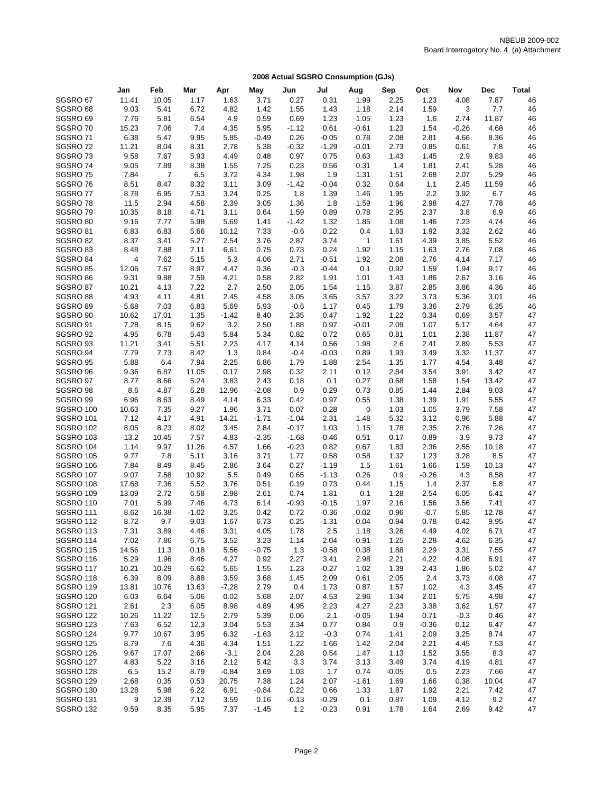|                                      | Jan          | Feb            | Mar          | Apr           | May             | Jun                | Jul            | Aug                 | Sep          | Oct             | Nov          | Dec          | <b>Total</b> |
|--------------------------------------|--------------|----------------|--------------|---------------|-----------------|--------------------|----------------|---------------------|--------------|-----------------|--------------|--------------|--------------|
| SGSRO <sub>67</sub>                  | 11.41        | 10.05          | 1.17         | 1.63          | 3.71            | 0.27               | 0.31           | 1.99                | 2.25         | 1.23            | 4.08         | 7.87         | 46           |
| SGSRO <sub>68</sub>                  | 9.03         | 5.41           | 6.72         | 4.82          | 1.42            | 1.55               | 1.43           | 1.18                | 2.14         | 1.59            | 3            | 7.7          | 46           |
| SGSRO <sub>69</sub>                  | 7.76         | 5.81           | 6.54         | 4.9           | 0.59            | 0.69               | 1.23           | 1.05                | 1.23         | 1.6             | 2.74         | 11.87        | 46           |
| SGSRO70                              | 15.23        | 7.06           | 7.4          | 4.35          | 5.95            | $-1.12$            | 0.61           | $-0.61$             | 1.23         | 1.54            | $-0.26$      | 4.68         | 46           |
| SGSRO71                              | 6.38         | 5.47           | 9.95         | 5.85          | $-0.49$         | 0.26               | $-0.05$        | 0.78                | 2.08         | 2.81            | 4.66         | 8.36         | 46           |
| SGSRO72                              | 11.21        | 8.04           | 8.31         | 2.78          | 5.38            | $-0.32$            | $-1.29$        | $-0.01$             | 2.73         | 0.85            | 0.61         | 7.8          | 46           |
| SGSRO73                              | 9.58         | 7.67           | 5.93         | 4.49          | 0.48            | 0.97               | 0.75           | 0.63                | 1.43         | 1.45            | 2.9          | 9.83         | 46           |
| SGSRO74                              | 9.05         | 7.89           | 8.38         | 1.55          | 7.25            | 0.23               | 0.56           | 0.31                | 1.4          | 1.81            | 2.41         | 5.28         | 46           |
| SGSRO75                              | 7.84         | $\overline{7}$ | 6.5          | 3.72          | 4.34            | 1.98               | 1.9            | 1.31                | 1.51         | 2.68            | 2.07         | 5.29         | 46           |
| SGSRO76                              | 8.51         | 8.47           | 8.32         | 3.11          | 3.09            | $-1.42$            | $-0.04$        | 0.32                | 0.64         | 1.1             | 2.45         | 11.59        | 46           |
| SGSRO77                              | 8.78         | 6.95           | 7.53         | 3.24          | 0.25            | 1.8                | 1.39           | 1.46                | 1.95         | 2.2             | 3.92         | 6.7          | 46           |
| SGSRO78                              | 11.5         | 2.94           | 4.58         | 2.39          | 3.05            | 1.36               | 1.8            | 1.59                | 1.96         | 2.98            | 4.27         | 7.78         | 46           |
| SGSRO79                              | 10.35        | 8.18           | 4.71         | 3.11          | 0.64            | 1.59               | 0.89           | 0.78                | 2.95         | 2.37            | 3.8          | 6.9          | 46           |
| SGSRO 80                             | 9.16         | 7.77           | 5.98         | 5.69          | 1.41            | $-1.42$            | 1.32           | 1.85                | 1.08         | 1.46            | 7.23         | 4.74         | 46           |
| SGSRO <sub>81</sub><br>SGSRO 82      | 6.83<br>8.37 | 6.83<br>3.41   | 5.66<br>5.27 | 10.12<br>2.54 | 7.33<br>3.76    | $-0.6$<br>2.87     | 0.22<br>3.74   | 0.4<br>$\mathbf{1}$ | 1.63<br>1.61 | 1.92<br>4.39    | 3.32<br>3.85 | 2.62<br>5.52 | 46<br>46     |
| SGSRO 83                             | 8.48         | 7.88           | 7.11         | 6.61          | 0.75            | 0.73               | 0.24           | 1.92                | 1.15         | 1.63            | 2.76         | 7.08         | 46           |
| SGSRO 84                             | 4            | 7.62           | 5.15         | 5.3           | 4.06            | 2.71               | $-0.51$        | 1.92                | 2.08         | 2.76            | 4.14         | 7.17         | 46           |
| SGSRO 85                             | 12.06        | 7.57           | 8.97         | 4.47          | 0.36            | $-0.3$             | $-0.44$        | 0.1                 | 0.92         | 1.59            | 1.94         | 9.17         | 46           |
| SGSRO 86                             | 9.31         | 9.88           | 7.59         | 4.21          | 0.58            | 2.82               | 1.91           | 1.01                | 1.43         | 1.86            | 2.67         | 3.16         | 46           |
| SGSRO 87                             | 10.21        | 4.13           | 7.22         | 2.7           | 2.50            | 2.05               | 1.54           | 1.15                | 3.87         | 2.85            | 3.86         | 4.36         | 46           |
| SGSRO 88                             | 4.93         | 4.11           | 4.81         | 2.45          | 4.58            | 3.05               | 3.65           | 3.57                | 3.22         | 3.73            | 5.36         | 3.01         | 46           |
| SGSRO 89                             | 5.68         | 7.03           | 6.83         | 5.69          | 5.93            | $-0.6$             | 1.17           | 0.45                | 1.79         | 3.36            | 2.79         | 6.35         | 46           |
| SGSRO <sub>90</sub>                  | 10.62        | 17.01          | 1.35         | $-1.42$       | 8.40            | 2.35               | 0.47           | 1.92                | 1.22         | 0.34            | 0.69         | 3.57         | 47           |
| SGSRO 91                             | 7.28         | 8.15           | 9.62         | 3.2           | 2.50            | 1.88               | 0.97           | -0.01               | 2.09         | 1.07            | 5.17         | 4.64         | 47           |
| SGSRO 92                             | 4.95         | 6.78           | 5.43         | 5.84          | 5.34            | 0.82               | 0.72           | 0.65                | 0.81         | 1.01            | 2.38         | 11.87        | 47           |
| SGSRO 93                             | 11.21        | 3.41           | 5.51         | 2.23          | 4.17            | 4.14               | 0.56           | 1.98                | 2.6          | 2.41            | 2.89         | 5.53         | 47           |
| SGSRO 94                             | 7.79         | 7.73           | 8.42         | 1.3           | 0.84            | $-0.4$             | $-0.03$        | 0.89                | 1.93         | 3.49            | 3.32         | 11.37        | 47           |
| SGSRO 95                             | 5.88         | 6.4            | 7.94         | 2.25          | 6.86            | 1.79               | 1.88           | 2.54                | 1.35         | 1.77            | 4.54         | 3.48         | 47           |
| SGSRO 96                             | 9.36         | 6.87           | 11.05        | 0.17          | 2.98            | 0.32               | 2.11           | 0.12                | 2.84         | 3.54            | 3.91         | 3.42         | 47           |
| SGSRO 97                             | 8.77         | 8.66           | 5.24         | 3.83          | 2.43            | 0.18               | 0.1            | 0.27                | 0.68         | 1.58            | 1.54         | 13.42        | 47           |
| SGSRO 98                             | 8.6          | 4.87           | 6.28         | 12.96         | $-2.08$         | 0.9                | 0.29           | 0.73                | 0.85         | 1.44            | 2.84         | 9.03         | 47           |
| SGSRO 99                             | 6.96         | 8.63           | 8.49         | 4.14          | 6.33            | 0.42               | 0.97           | 0.55                | 1.38         | 1.39            | 1.91         | 5.55         | 47           |
| SGSRO 100                            | 10.63        | 7.35           | 9.27         | 1.96          | 3.71            | 0.07               | 0.28           | 0                   | 1.03         | 1.05            | 3.79         | 7.58         | 47           |
| <b>SGSRO 101</b><br><b>SGSRO 102</b> | 7.12         | 4.17<br>8.23   | 4.91<br>8.02 | 14.21         | $-1.71$<br>2.84 | $-1.04$<br>$-0.17$ | 2.31<br>1.03   | 1.48<br>1.15        | 5.32<br>1.78 | 3.12<br>2.35    | 0.96<br>2.76 | 5.88<br>7.26 | 47<br>47     |
| <b>SGSRO 103</b>                     | 8.05<br>13.2 | 10.45          | 7.57         | 3.45<br>4.83  | $-2.35$         | $-1.68$            | $-0.46$        | 0.51                | 0.17         | 0.89            | 3.9          | 9.73         | 47           |
| <b>SGSRO 104</b>                     | 1.14         | 9.97           | 11.26        | 4.57          | 1.66            | $-0.23$            | 0.82           | 0.67                | 1.83         | 2.36            | 2.55         | 10.18        | 47           |
| <b>SGSRO 105</b>                     | 9.77         | 7.8            | 5.11         | 3.16          | 3.71            | 1.77               | 0.58           | 0.58                | 1.32         | 1.23            | 3.28         | 8.5          | 47           |
| <b>SGSRO 106</b>                     | 7.84         | 8.49           | 8.45         | 2.86          | 3.64            | 0.27               | $-1.19$        | 1.5                 | 1.61         | 1.66            | 1.59         | 10.13        | 47           |
| <b>SGSRO 107</b>                     | 9.07         | 7.58           | 10.92        | 5.5           | 0.49            | 0.65               | $-1.13$        | 0.26                | 0.9          | $-0.26$         | 4.3          | 8.58         | 47           |
| <b>SGSRO 108</b>                     | 17.68        | 7.36           | 5.52         | 3.76          | 0.51            | 0.19               | 0.73           | 0.44                | 1.15         | 1.4             | 2.37         | 5.8          | 47           |
| <b>SGSRO 109</b>                     | 13.09        | 2.72           | 6.58         | 2.98          | 2.61            | 0.74               | 1.81           | 0.1                 | 1.28         | 2.54            | 6.05         | 6.41         | 47           |
| <b>SGSRO 110</b>                     | 7.01         | 5.99           | 7.46         | 4.73          | 6.14            | $-0.93$            | $-0.15$        | 1.97                | 2.16         | 1.56            | 3.56         | 7.41         | 47           |
| <b>SGSRO 111</b>                     | 8.62         | 16.38          | $-1.02$      | 3.25          | 0.42            | 0.72               | $-0.36$        | 0.02                | 0.96         | $-0.7$          | 5.85         | 12.78        | 47           |
| <b>SGSRO 112</b>                     | 8.72         | 9.7            | 9.03         | 1.67          | 6.73            | 0.25               | $-1.31$        | 0.04                | 0.94         | 0.78            | 0.42         | 9.95         | 47           |
| SGSRO 113                            | 7.31         | 3.89           | 4.46         | 3.31          | 4.05            | 1.78               | 2.5            | 1.18                | 3.26         | 4.49            | 4.02         | 6.71         | 47           |
| <b>SGSRO 114</b>                     | 7.02         | 7.86           | 6.75         | 3.52          | 3.23            | 1.14               | 2.04           | 0.91                | 1.25         | 2.28            | 4.62         | 6.35         | 47           |
| <b>SGSRO 115</b>                     | 14.56        | 11.3           | 0.18         | 5.56          | $-0.75$         | 1.3                | $-0.58$        | 0.38                | 1.88         | 2.29            | 3.31         | 7.55         | 47           |
| SGSRO 116                            | 5.29         | 1.96           | 8.46         | 4.27          | 0.92            | 2.27               | 3.41           | 2.98                | 2.21         | 4.22            | 4.08         | 6.91         | 47           |
| <b>SGSRO 117</b>                     | 10.21        | 10.29          | 6.62         | 5.65          | 1.55            | 1.23               | $-0.27$        | 1.02                | 1.39         | 2.43            | 1.86         | 5.02         | 47           |
| SGSRO 118                            | 6.39         | 8.09           | 8.88         | 3.59          | 3.68            | 1.45               | 2.09           | 0.61                | 2.05         | 2.4             | 3.73         | 4.08         | 47           |
| <b>SGSRO 119</b>                     | 13.81        | 10.76          | 13.63        | $-7.28$       | 2.79            | 0.4                | 1.73           | 0.87                | 1.57         | 1.02            | 4.3          | 3.45         | 47           |
| <b>SGSRO 120</b>                     | 6.03         | 6.64           | 5.06         | 0.02          | 5.68            | 2.07               | 4.53           | 2.96                | 1.34         | 2.01            | 5.75         | 4.98         | 47           |
| <b>SGSRO 121</b>                     | 2.61         | 2.3            | 6.05         | 8.98          | 4.89            | 4.95               | 2.23           | 4.27                | 2.23         | 3.38            | 3.62         | 1.57         | 47           |
| <b>SGSRO 122</b>                     | 10.26        | 11.22          | 12.5         | 2.79          | 5.39            | 0.06               | 2.1            | $-0.05$             | 1.94         | 0.71            | $-0.3$       | 0.46         | 47           |
| <b>SGSRO 123</b><br><b>SGSRO 124</b> | 7.63<br>9.77 | 6.52<br>10.67  | 12.3<br>3.95 | 3.04<br>6.32  | 5.53<br>$-1.63$ | 3.34<br>2.12       | 0.77<br>$-0.3$ | 0.84<br>0.74        | 0.9<br>1.41  | $-0.36$<br>2.09 | 0.12<br>3.25 | 6.47<br>8.74 | 47<br>47     |
| SGSRO 125                            | 8.79         | 7.6            | 4.36         | 4.34          | 1.51            | 1.22               | 1.66           | 1.42                | 2.04         | 2.21            | 4.45         | 7.53         | 47           |
| SGSRO 126                            | 9.67         | 17.07          | 2.66         | $-3.1$        | 2.04            | 2.28               | 0.54           | 1.47                | 1.13         | 1.52            | 3.55         | 8.3          | 47           |
| SGSRO 127                            | 4.83         | 5.22           | 3.16         | 2.12          | 5.42            | 3.3                | 3.74           | 3.13                | 3.49         | 3.74            | 4.19         | 4.81         | 47           |
| <b>SGSRO 128</b>                     | 6.5          | 15.2           | 8.79         | $-0.84$       | 3.69            | 1.03               | 1.7            | 0.74                | $-0.05$      | 0.5             | 2.23         | 7.66         | 47           |
| <b>SGSRO 129</b>                     | 2.68         | 0.35           | 0.53         | 20.75         | 7.38            | 1.24               | 2.07           | $-1.61$             | 1.69         | 1.66            | 0.38         | 10.04        | 47           |
| SGSRO 130                            | 13.28        | 5.98           | 6.22         | 6.91          | $-0.84$         | 0.22               | 0.66           | 1.33                | 1.87         | 1.92            | 2.21         | 7.42         | 47           |
| <b>SGSRO 131</b>                     | 9            | 12.39          | 7.12         | 3.59          | 0.16            | $-0.13$            | $-0.29$        | 0.1                 | 0.87         | 1.09            | 4.12         | 9.2          | 47           |
| <b>SGSRO 132</b>                     | 9.59         | 8.35           | 5.95         | 7.37          | $-1.45$         | 1.2                | $-0.23$        | 0.91                | 1.78         | 1.64            | 2.69         | 9.42         | 47           |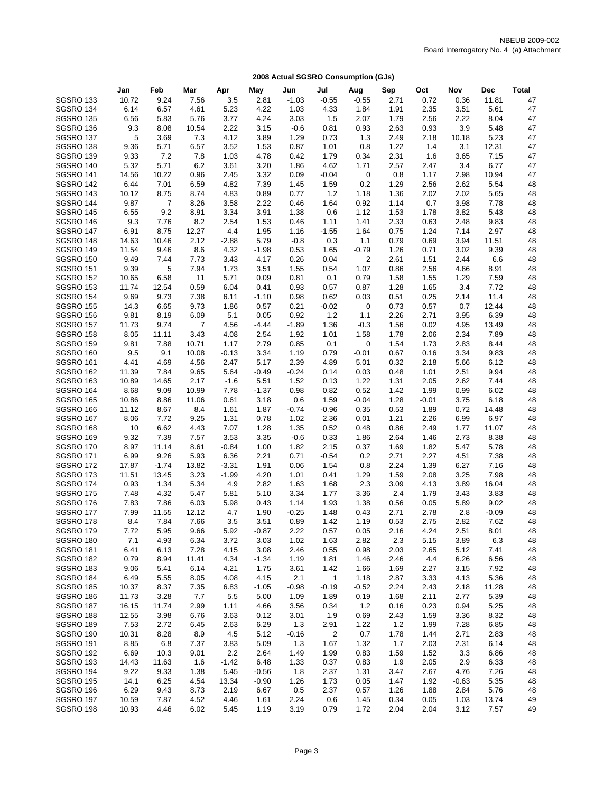|                                      | Jan           | Feb            | Mar            | Apr          | May          | Jun             | Jul                     | Aug          | Sep          | Oct          | Nov          | <b>Dec</b>      | <b>Total</b> |
|--------------------------------------|---------------|----------------|----------------|--------------|--------------|-----------------|-------------------------|--------------|--------------|--------------|--------------|-----------------|--------------|
| <b>SGSRO 133</b>                     | 10.72         | 9.24           | 7.56           | 3.5          | 2.81         | $-1.03$         | $-0.55$                 | $-0.55$      | 2.71         | 0.72         | 0.36         | 11.81           | 47           |
| SGSRO 134                            | 6.14          | 6.57           | 4.61           | 5.23         | 4.22         | 1.03            | 4.33                    | 1.84         | 1.91         | 2.35         | 3.51         | 5.61            | 47           |
| <b>SGSRO 135</b>                     | 6.56          | 5.83           | 5.76           | 3.77         | 4.24         | 3.03            | 1.5                     | 2.07         | 1.79         | 2.56         | 2.22         | 8.04            | 47           |
| SGSRO 136                            | 9.3           | 8.08           | 10.54          | 2.22         | 3.15         | $-0.6$          | 0.81                    | 0.93         | 2.63         | 0.93         | 3.9          | 5.48            | 47           |
| SGSRO 137                            | 5             | 3.69           | 7.3            | 4.12         | 3.89         | 1.29            | 0.73                    | 1.3          | 2.49         | 2.18         | 10.18        | 5.23            | 47           |
| SGSRO 138                            | 9.36          | 5.71           | 6.57           | 3.52         | 1.53         | 0.87            | 1.01                    | 0.8          | 1.22         | 1.4          | 3.1          | 12.31           | 47           |
| SGSRO 139                            | 9.33          | 7.2            | 7.8            | 1.03         | 4.78         | 0.42            | 1.79                    | 0.34         | 2.31         | 1.6          | 3.65         | 7.15            | 47           |
| <b>SGSRO 140</b>                     | 5.32          | 5.71           | 6.2            | 3.61         | 3.20         | 1.86            | 4.62                    | 1.71         | 2.57         | 2.47         | 3.4          | 6.77            | 47           |
| <b>SGSRO 141</b>                     | 14.56         | 10.22          | 0.96           | 2.45         | 3.32         | 0.09            | $-0.04$                 | 0            | 0.8          | 1.17         | 2.98         | 10.94           | 47           |
| <b>SGSRO 142</b>                     | 6.44          | 7.01           | 6.59           | 4.82         | 7.39         | 1.45            | 1.59                    | 0.2          | 1.29         | 2.56         | 2.62         | 5.54            | 48           |
| <b>SGSRO 143</b>                     | 10.12         | 8.75           | 8.74           | 4.83         | 0.89         | 0.77            | 1.2                     | 1.18         | 1.36         | 2.02         | 2.02         | 5.65            | 48           |
| SGSRO 144                            | 9.87          | $\overline{7}$ | 8.26           | 3.58         | 2.22         | 0.46            | 1.64                    | 0.92         | 1.14         | 0.7          | 3.98         | 7.78            | 48           |
| <b>SGSRO 145</b>                     | 6.55          | 9.2            | 8.91           | 3.34         | 3.91         | 1.38            | 0.6                     | 1.12         | 1.53         | 1.78         | 3.82         | 5.43            | 48           |
| SGSRO 146                            | 9.3           | 7.76           | 8.2            | 2.54         | 1.53         | 0.46            | 1.11                    | 1.41         | 2.33         | 0.63         | 2.48         | 9.83            | 48           |
| <b>SGSRO 147</b>                     | 6.91          | 8.75           | 12.27          | 4.4          | 1.95         | 1.16            | $-1.55$                 | 1.64         | 0.75         | 1.24         | 7.14         | 2.97            | 48           |
| SGSRO 148                            | 14.63         | 10.46          | 2.12           | $-2.88$      | 5.79         | $-0.8$          | 0.3                     | 1.1          | 0.79         | 0.69         | 3.94         | 11.51           | 48           |
| <b>SGSRO 149</b>                     | 11.54         | 9.46           | 8.6            | 4.32         | $-1.98$      | 0.53            | 1.65                    | $-0.79$      | 1.26         | 0.71         | 3.02         | 9.39            | 48           |
| <b>SGSRO 150</b><br><b>SGSRO 151</b> | 9.49          | 7.44<br>5      | 7.73<br>7.94   | 3.43<br>1.73 | 4.17<br>3.51 | 0.26            | 0.04                    | 2<br>1.07    | 2.61<br>0.86 | 1.51<br>2.56 | 2.44<br>4.66 | 6.6<br>8.91     | 48           |
| <b>SGSRO 152</b>                     | 9.39<br>10.65 | 6.58           | 11             | 5.71         | 0.09         | 1.55<br>0.81    | 0.54<br>0.1             | 0.79         | 1.58         | 1.55         | 1.29         | 7.59            | 48<br>48     |
| <b>SGSRO 153</b>                     | 11.74         | 12.54          | 0.59           | 6.04         | 0.41         | 0.93            | 0.57                    | 0.87         | 1.28         | 1.65         | 3.4          | 7.72            | 48           |
| <b>SGSRO 154</b>                     | 9.69          | 9.73           | 7.38           | 6.11         | $-1.10$      | 0.98            | 0.62                    | 0.03         | 0.51         | 0.25         | 2.14         | 11.4            | 48           |
| <b>SGSRO 155</b>                     | 14.3          | 6.65           | 9.73           | 1.86         | 0.57         | 0.21            | $-0.02$                 | 0            | 0.73         | 0.57         | 0.7          | 12.44           | 48           |
| <b>SGSRO 156</b>                     | 9.81          | 8.19           | 6.09           | 5.1          | 0.05         | 0.92            | 1.2                     | 1.1          | 2.26         | 2.71         | 3.95         | 6.39            | 48           |
| <b>SGSRO 157</b>                     | 11.73         | 9.74           | $\overline{7}$ | 4.56         | $-4.44$      | $-1.89$         | 1.36                    | $-0.3$       | 1.56         | 0.02         | 4.95         | 13.49           | 48           |
| <b>SGSRO 158</b>                     | 8.05          | 11.11          | 3.43           | 4.08         | 2.54         | 1.92            | 1.01                    | 1.58         | 1.78         | 2.06         | 2.34         | 7.89            | 48           |
| <b>SGSRO 159</b>                     | 9.81          | 7.88           | 10.71          | 1.17         | 2.79         | 0.85            | 0.1                     | 0            | 1.54         | 1.73         | 2.83         | 8.44            | 48           |
| <b>SGSRO 160</b>                     | 9.5           | 9.1            | 10.08          | $-0.13$      | 3.34         | 1.19            | 0.79                    | $-0.01$      | 0.67         | 0.16         | 3.34         | 9.83            | 48           |
| <b>SGSRO 161</b>                     | 4.41          | 4.69           | 4.56           | 2.47         | 5.17         | 2.39            | 4.89                    | 5.01         | 0.32         | 2.18         | 5.66         | 6.12            | 48           |
| <b>SGSRO 162</b>                     | 11.39         | 7.84           | 9.65           | 5.64         | $-0.49$      | $-0.24$         | 0.14                    | 0.03         | 0.48         | 1.01         | 2.51         | 9.94            | 48           |
| <b>SGSRO 163</b>                     | 10.89         | 14.65          | 2.17           | $-1.6$       | 5.51         | 1.52            | 0.13                    | 1.22         | 1.31         | 2.05         | 2.62         | 7.44            | 48           |
| <b>SGSRO 164</b>                     | 8.68          | 9.09           | 10.99          | 7.78         | $-1.37$      | 0.98            | 0.82                    | 0.52         | 1.42         | 1.99         | 0.99         | 6.02            | 48           |
| <b>SGSRO 165</b>                     | 10.86         | 8.86           | 11.06          | 0.61         | 3.18         | 0.6             | 1.59                    | $-0.04$      | 1.28         | $-0.01$      | 3.75         | 6.18            | 48           |
| SGSRO 166                            | 11.12         | 8.67           | 8.4            | 1.61         | 1.87         | $-0.74$         | $-0.96$                 | 0.35         | 0.53         | 1.89         | 0.72         | 14.48           | 48           |
| <b>SGSRO 167</b>                     | 8.06          | 7.72           | 9.25           | 1.31         | 0.78         | 1.02            | 2.36                    | 0.01         | 1.21         | 2.26         | 6.99         | 6.97            | 48           |
| <b>SGSRO 168</b>                     | 10            | 6.62           | 4.43           | 7.07         | 1.28         | 1.35            | 0.52                    | 0.48         | 0.86         | 2.49         | 1.77         | 11.07           | 48           |
| <b>SGSRO 169</b>                     | 9.32          | 7.39           | 7.57           | 3.53         | 3.35         | $-0.6$          | 0.33                    | 1.86         | 2.64         | 1.46         | 2.73         | 8.38            | 48           |
| <b>SGSRO 170</b>                     | 8.97          | 11.14          | 8.61           | $-0.84$      | 1.00         | 1.82            | 2.15                    | 0.37         | 1.69         | 1.82         | 5.47         | 5.78            | 48           |
| <b>SGSRO 171</b>                     | 6.99          | 9.26           | 5.93           | 6.36         | 2.21         | 0.71            | $-0.54$                 | 0.2          | 2.71         | 2.27         | 4.51         | 7.38            | 48           |
| <b>SGSRO 172</b>                     | 17.87         | $-1.74$        | 13.82          | $-3.31$      | 1.91         | 0.06            | 1.54                    | 0.8          | 2.24         | 1.39         | 6.27         | 7.16            | 48           |
| SGSRO 173                            | 11.51         | 13.45          | 3.23           | $-1.99$      | 4.20         | 1.01            | 0.41                    | 1.29         | 1.59         | 2.08         | 3.25         | 7.98            | 48           |
| <b>SGSRO 174</b>                     | 0.93          | 1.34           | 5.34           | 4.9          | 2.82         | 1.63            | 1.68                    | 2.3          | 3.09         | 4.13         | 3.89         | 16.04           | 48           |
| <b>SGSRO 175</b>                     | 7.48          | 4.32           | 5.47           | 5.81         | 5.10         | 3.34            | 1.77                    | 3.36         | 2.4          | 1.79         | 3.43         | 3.83            | 48           |
| <b>SGSRO 176</b><br><b>SGSRO 177</b> | 7.83<br>7.99  | 7.86<br>11.55  | 6.03<br>12.12  | 5.98<br>4.7  | 0.43<br>1.90 | 1.14<br>$-0.25$ | 1.93<br>1.48            | 1.38<br>0.43 | 0.56<br>2.71 | 0.05<br>2.78 | 5.89<br>2.8  | 9.02<br>$-0.09$ | 48<br>48     |
| <b>SGSRO 178</b>                     | 8.4           | 7.84           | 7.66           | 3.5          | 3.51         | 0.89            | 1.42                    | 1.19         | 0.53         | 2.75         | 2.82         | 7.62            | 48           |
| SGSRO 179                            | 7.72          | 5.95           | 9.66           | 5.92         | -0.87        | 2.22            | 0.57                    | 0.05         | 2.16         | 4.24         | 2.51         | 8.01            | 48           |
| SGSRO 180                            | 7.1           | 4.93           | 6.34           | 3.72         | 3.03         | 1.02            | 1.63                    | 2.82         | 2.3          | 5.15         | 3.89         | 6.3             | 48           |
| <b>SGSRO 181</b>                     | 6.41          | 6.13           | 7.28           | 4.15         | 3.08         | 2.46            | 0.55                    | 0.98         | 2.03         | 2.65         | 5.12         | 7.41            | 48           |
| SGSRO 182                            | 0.79          | 8.94           | 11.41          | 4.34         | $-1.34$      | 1.19            | 1.81                    | 1.46         | 2.46         | 4.4          | 6.26         | 6.56            | 48           |
| SGSRO 183                            | 9.06          | 5.41           | 6.14           | 4.21         | 1.75         | 3.61            | 1.42                    | 1.66         | 1.69         | 2.27         | 3.15         | 7.92            | 48           |
| SGSRO 184                            | 6.49          | 5.55           | 8.05           | 4.08         | 4.15         | 2.1             | 1                       | 1.18         | 2.87         | 3.33         | 4.13         | 5.36            | 48           |
| <b>SGSRO 185</b>                     | 10.37         | 8.37           | 7.35           | 6.83         | $-1.05$      | $-0.98$         | $-0.19$                 | $-0.52$      | 2.24         | 2.43         | 2.18         | 11.28           | 48           |
| SGSRO 186                            | 11.73         | 3.28           | 7.7            | 5.5          | 5.00         | 1.09            | 1.89                    | 0.19         | 1.68         | 2.11         | 2.77         | 5.39            | 48           |
| SGSRO 187                            | 16.15         | 11.74          | 2.99           | 1.11         | 4.66         | 3.56            | 0.34                    | 1.2          | 0.16         | 0.23         | 0.94         | 5.25            | 48           |
| <b>SGSRO 188</b>                     | 12.55         | 3.98           | 6.76           | 3.63         | 0.12         | 3.01            | 1.9                     | 0.69         | 2.43         | 1.59         | 3.36         | 8.32            | 48           |
| <b>SGSRO 189</b>                     | 7.53          | 2.72           | 6.45           | 2.63         | 6.29         | 1.3             | 2.91                    | 1.22         | 1.2          | 1.99         | 7.28         | 6.85            | 48           |
| SGSRO 190                            | 10.31         | 8.28           | 8.9            | 4.5          | 5.12         | $-0.16$         | $\overline{\mathbf{c}}$ | 0.7          | 1.78         | 1.44         | 2.71         | 2.83            | 48           |
| SGSRO 191                            | 8.85          | 6.8            | 7.37           | 3.83         | 5.09         | 1.3             | 1.67                    | 1.32         | 1.7          | 2.03         | 2.31         | 6.14            | 48           |
| <b>SGSRO 192</b>                     | 6.69          | 10.3           | 9.01           | 2.2          | 2.64         | 1.49            | 1.99                    | 0.83         | 1.59         | 1.52         | 3.3          | 6.86            | 48           |
| <b>SGSRO 193</b>                     | 14.43         | 11.63          | 1.6            | $-1.42$      | 6.48         | 1.33            | 0.37                    | 0.83         | 1.9          | 2.05         | 2.9          | 6.33            | 48           |
| SGSRO 194                            | 9.22          | 9.33           | 1.38           | 5.45         | $-0.56$      | 1.8             | 2.37                    | 1.31         | 3.47         | 2.67         | 4.76         | 7.26            | 48           |
| <b>SGSRO 195</b>                     | 14.1          | 6.25           | 4.54           | 13.34        | $-0.90$      | 1.26            | 1.73                    | 0.05         | 1.47         | 1.92         | $-0.63$      | 5.35            | 48           |
| SGSRO 196                            | 6.29          | 9.43           | 8.73           | 2.19         | 6.67         | 0.5             | 2.37                    | 0.57         | 1.26         | 1.88         | 2.84         | 5.76            | 48           |
| SGSRO 197                            | 10.59         | 7.87           | 4.52           | 4.46         | 1.61         | 2.24            | 0.6                     | 1.45         | 0.34         | 0.05         | 1.03         | 13.74           | 49           |
| SGSRO 198                            | 10.93         | 4.46           | 6.02           | 5.45         | 1.19         | 3.19            | 0.79                    | 1.72         | 2.04         | 2.04         | 3.12         | 7.57            | 49           |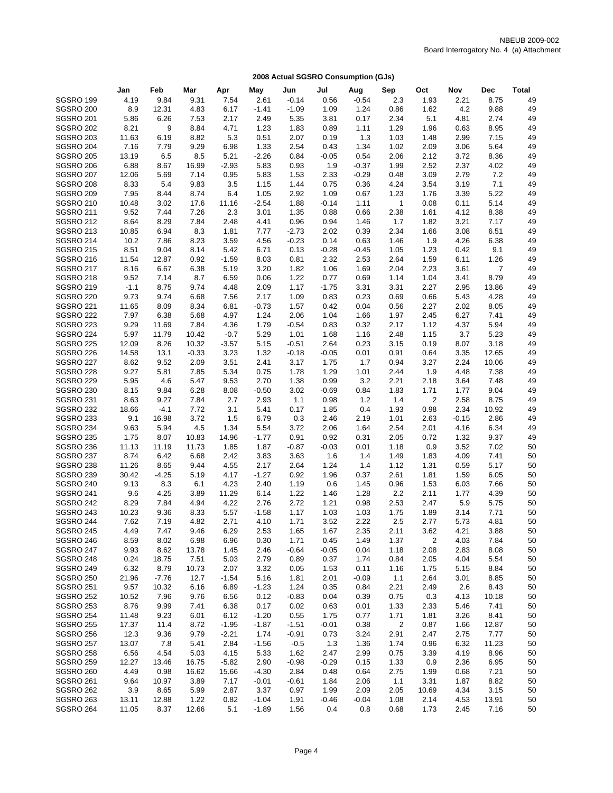|                                      | Jan           | Feb           | Mar          | Apr             | May             | Jun          | Jul          | Aug          | Sep          | Oct            | Nov          | <b>Dec</b>     | <b>Total</b> |
|--------------------------------------|---------------|---------------|--------------|-----------------|-----------------|--------------|--------------|--------------|--------------|----------------|--------------|----------------|--------------|
| <b>SGSRO 199</b>                     | 4.19          | 9.84          | 9.31         | 7.54            | 2.61            | $-0.14$      | 0.56         | $-0.54$      | 2.3          | 1.93           | 2.21         | 8.75           | 49           |
| SGSRO 200                            | 8.9           | 12.31         | 4.83         | 6.17            | $-1.41$         | $-1.09$      | 1.09         | 1.24         | 0.86         | 1.62           | 4.2          | 9.88           | 49           |
| <b>SGSRO 201</b>                     | 5.86          | 6.26          | 7.53         | 2.17            | 2.49            | 5.35         | 3.81         | 0.17         | 2.34         | 5.1            | 4.81         | 2.74           | 49           |
| <b>SGSRO 202</b>                     | 8.21          | 9             | 8.84         | 4.71            | 1.23            | 1.83         | 0.89         | 1.11         | 1.29         | 1.96           | 0.63         | 8.95           | 49           |
| <b>SGSRO 203</b>                     | 11.63         | 6.19          | 8.82         | 5.3             | 0.51            | 2.07         | 0.19         | 1.3          | 1.03         | 1.48           | 2.99         | 7.15           | 49           |
| <b>SGSRO 204</b>                     | 7.16          | 7.79          | 9.29         | 6.98            | 1.33            | 2.54         | 0.43         | 1.34         | 1.02         | 2.09           | 3.06         | 5.64           | 49           |
| <b>SGSRO 205</b>                     | 13.19         | 6.5           | 8.5          | 5.21            | $-2.26$         | 0.84         | $-0.05$      | 0.54         | 2.06         | 2.12           | 3.72         | 8.36           | 49           |
| <b>SGSRO 206</b>                     | 6.88          | 8.67          | 16.99        | $-2.93$         | 5.83            | 0.93         | 1.9          | $-0.37$      | 1.99         | 2.52           | 2.37         | 4.02           | 49           |
| <b>SGSRO 207</b>                     | 12.06         | 5.69          | 7.14         | 0.95            | 5.83            | 1.53         | 2.33         | $-0.29$      | 0.48         | 3.09           | 2.79         | 7.2            | 49           |
| SGSRO 208                            | 8.33          | 5.4           | 9.83         | 3.5             | 1.15            | 1.44         | 0.75         | 0.36         | 4.24         | 3.54           | 3.19         | 7.1            | 49           |
| SGSRO 209                            | 7.95          | 8.44          | 8.74         | 6.4             | 1.05            | 2.92         | 1.09         | 0.67         | 1.23         | 1.76           | 3.39         | 5.22           | 49           |
| <b>SGSRO 210</b>                     | 10.48         | 3.02          | 17.6         | 11.16           | $-2.54$         | 1.88         | $-0.14$      | 1.11         | 1            | 0.08           | 0.11         | 5.14           | 49           |
| <b>SGSRO 211</b>                     | 9.52          | 7.44          | 7.26         | 2.3             | 3.01            | 1.35         | 0.88         | 0.66         | 2.38         | 1.61           | 4.12         | 8.38           | 49           |
| <b>SGSRO 212</b>                     | 8.64          | 8.29          | 7.84         | 2.48            | 4.41            | 0.96         | 0.94         | 1.46         | 1.7          | 1.82           | 3.21         | 7.17           | 49           |
| <b>SGSRO 213</b>                     | 10.85         | 6.94          | 8.3          | 1.81            | 7.77            | $-2.73$      | 2.02         | 0.39         | 2.34         | 1.66           | 3.08         | 6.51           | 49           |
| SGSRO 214                            | 10.2          | 7.86          | 8.23         | 3.59            | 4.56            | $-0.23$      | 0.14         | 0.63         | 1.46         | 1.9            | 4.26         | 6.38           | 49           |
| <b>SGSRO 215</b>                     | 8.51          | 9.04          | 8.14         | 5.42            | 6.71            | 0.13         | $-0.28$      | $-0.45$      | 1.05         | 1.23           | 0.42         | 9.1<br>1.26    | 49           |
| SGSRO 216<br><b>SGSRO 217</b>        | 11.54<br>8.16 | 12.87<br>6.67 | 0.92<br>6.38 | $-1.59$<br>5.19 | 8.03<br>3.20    | 0.81<br>1.82 | 2.32<br>1.06 | 2.53<br>1.69 | 2.64<br>2.04 | 1.59<br>2.23   | 6.11<br>3.61 | $\overline{7}$ | 49<br>49     |
| <b>SGSRO 218</b>                     | 9.52          | 7.14          | 8.7          | 6.59            | 0.06            | 1.22         | 0.77         | 0.69         | 1.14         | 1.04           | 3.41         | 8.79           | 49           |
| <b>SGSRO 219</b>                     | $-1.1$        | 8.75          | 9.74         | 4.48            | 2.09            | 1.17         | $-1.75$      | 3.31         | 3.31         | 2.27           | 2.95         | 13.86          | 49           |
| <b>SGSRO 220</b>                     | 9.73          | 9.74          | 6.68         | 7.56            | 2.17            | 1.09         | 0.83         | 0.23         | 0.69         | 0.66           | 5.43         | 4.28           | 49           |
| <b>SGSRO 221</b>                     | 11.65         | 8.09          | 8.34         | 6.81            | $-0.73$         | 1.57         | 0.42         | 0.04         | 0.56         | 2.27           | 2.02         | 8.05           | 49           |
| <b>SGSRO 222</b>                     | 7.97          | 6.38          | 5.68         | 4.97            | 1.24            | 2.06         | 1.04         | 1.66         | 1.97         | 2.45           | 6.27         | 7.41           | 49           |
| SGSRO 223                            | 9.29          | 11.69         | 7.84         | 4.36            | 1.79            | $-0.54$      | 0.83         | 0.32         | 2.17         | 1.12           | 4.37         | 5.94           | 49           |
| SGSRO 224                            | 5.97          | 11.79         | 10.42        | $-0.7$          | 5.29            | 1.01         | 1.68         | 1.16         | 2.48         | 1.15           | 3.7          | 5.23           | 49           |
| <b>SGSRO 225</b>                     | 12.09         | 8.26          | 10.32        | $-3.57$         | 5.15            | $-0.51$      | 2.64         | 0.23         | 3.15         | 0.19           | 8.07         | 3.18           | 49           |
| SGSRO 226                            | 14.58         | 13.1          | $-0.33$      | 3.23            | 1.32            | $-0.18$      | $-0.05$      | 0.01         | 0.91         | 0.64           | 3.35         | 12.65          | 49           |
| SGSRO 227                            | 8.62          | 9.52          | 2.09         | 3.51            | 2.41            | 3.17         | 1.75         | 1.7          | 0.94         | 3.27           | 2.24         | 10.06          | 49           |
| SGSRO 228                            | 9.27          | 5.81          | 7.85         | 5.34            | 0.75            | 1.78         | 1.29         | 1.01         | 2.44         | 1.9            | 4.48         | 7.38           | 49           |
| <b>SGSRO 229</b>                     | 5.95          | 4.6           | 5.47         | 9.53            | 2.70            | 1.38         | 0.99         | 3.2          | 2.21         | 2.18           | 3.64         | 7.48           | 49           |
| SGSRO 230                            | 8.15          | 9.84          | 6.28         | 8.08            | $-0.50$         | 3.02         | $-0.69$      | 0.84         | 1.83         | 1.71           | 1.77         | 9.04           | 49           |
| <b>SGSRO 231</b>                     | 8.63          | 9.27          | 7.84         | 2.7             | 2.93            | 1.1          | 0.98         | 1.2          | 1.4          | $\overline{2}$ | 2.58         | 8.75           | 49           |
| SGSRO 232                            | 18.66         | $-4.1$        | 7.72         | 3.1             | 5.41            | 0.17         | 1.85         | 0.4          | 1.93         | 0.98           | 2.34         | 10.92          | 49           |
| <b>SGSRO 233</b>                     | 9.1           | 16.98         | 3.72         | 1.5             | 6.79            | 0.3          | 2.46         | 2.19         | 1.01         | 2.63           | $-0.15$      | 2.86           | 49           |
| SGSRO 234                            | 9.63          | 5.94          | 4.5          | 1.34            | 5.54            | 3.72         | 2.06         | 1.64         | 2.54         | 2.01           | 4.16         | 6.34           | 49           |
| SGSRO 235                            | 1.75          | 8.07          | 10.83        | 14.96           | $-1.77$         | 0.91         | 0.92         | 0.31         | 2.05         | 0.72           | 1.32         | 9.37           | 49           |
| SGSRO 236                            | 11.13         | 11.19         | 11.73        | 1.85            | 1.87            | $-0.87$      | $-0.03$      | 0.01         | 1.18         | 0.9            | 3.52         | 7.02           | 50           |
| <b>SGSRO 237</b>                     | 8.74          | 6.42          | 6.68         | 2.42            | 3.83            | 3.63         | 1.6          | 1.4          | 1.49         | 1.83           | 4.09         | 7.41           | 50           |
| <b>SGSRO 238</b>                     | 11.26         | 8.65          | 9.44         | 4.55            | 2.17            | 2.64         | 1.24         | 1.4          | 1.12         | 1.31           | 0.59         | 5.17           | 50           |
| SGSRO 239                            | 30.42         | $-4.25$       | 5.19         | 4.17            | $-1.27$         | 0.92         | 1.96         | 0.37         | 2.61         | 1.81           | 1.59         | 6.05           | 50           |
| SGSRO 240                            | 9.13          | 8.3           | 6.1          | 4.23            | 2.40            | 1.19         | 0.6          | 1.45         | 0.96         | 1.53           | 6.03         | 7.66           | 50           |
| SGSRO 241                            | 9.6           | 4.25          | 3.89         | 11.29           | 6.14            | 1.22         | 1.46         | 1.28         | 2.2          | 2.11           | 1.77         | 4.39           | 50           |
| <b>SGSRO 242</b><br><b>SGSRO 243</b> | 8.29<br>10.23 | 7.84<br>9.36  | 4.94<br>8.33 | 4.22<br>5.57    | 2.76<br>$-1.58$ | 2.72<br>1.17 | 1.21<br>1.03 | 0.98<br>1.03 | 2.53<br>1.75 | 2.47<br>1.89   | 5.9<br>3.14  | 5.75<br>7.71   | 50<br>50     |
| <b>SGSRO 244</b>                     | 7.62          | 7.19          | 4.82         | 2.71            | 4.10            | 1.71         | 3.52         | 2.22         | 2.5          | 2.77           | 5.73         | 4.81           | 50           |
| <b>SGSRO 245</b>                     | 4.49          | 7.47          | 9.46         | 6.29            | 2.53            | 1.65         | 1.67         | 2.35         | 2.11         | 3.62           | 4.21         | 3.88           | 50           |
| SGSRO 246                            | 8.59          | 8.02          | 6.98         | 6.96            | 0.30            | 1.71         | 0.45         | 1.49         | 1.37         | 2              | 4.03         | 7.84           | 50           |
| SGSRO 247                            | 9.93          | 8.62          | 13.78        | 1.45            | 2.46            | $-0.64$      | $-0.05$      | 0.04         | 1.18         | 2.08           | 2.83         | 8.08           | 50           |
| SGSRO 248                            | 0.24          | 18.75         | 7.51         | 5.03            | 2.79            | 0.89         | 0.37         | 1.74         | 0.84         | 2.05           | 4.04         | 5.54           | 50           |
| SGSRO 249                            | 6.32          | 8.79          | 10.73        | 2.07            | 3.32            | 0.05         | 1.53         | 0.11         | 1.16         | 1.75           | 5.15         | 8.84           | 50           |
| <b>SGSRO 250</b>                     | 21.96         | $-7.76$       | 12.7         | $-1.54$         | 5.16            | 1.81         | 2.01         | $-0.09$      | 1.1          | 2.64           | 3.01         | 8.85           | 50           |
| <b>SGSRO 251</b>                     | 9.57          | 10.32         | 6.16         | 6.89            | $-1.23$         | 1.24         | 0.35         | 0.84         | 2.21         | 2.49           | 2.6          | 8.43           | 50           |
| SGSRO 252                            | 10.52         | 7.96          | 9.76         | 6.56            | 0.12            | $-0.83$      | 0.04         | 0.39         | 0.75         | 0.3            | 4.13         | 10.18          | 50           |
| <b>SGSRO 253</b>                     | 8.76          | 9.99          | 7.41         | 6.38            | 0.17            | 0.02         | 0.63         | 0.01         | 1.33         | 2.33           | 5.46         | 7.41           | 50           |
| SGSRO 254                            | 11.48         | 9.23          | 6.01         | 6.12            | $-1.20$         | 0.55         | 1.75         | 0.77         | 1.71         | 1.81           | 3.26         | 8.41           | 50           |
| <b>SGSRO 255</b>                     | 17.37         | 11.4          | 8.72         | $-1.95$         | $-1.87$         | $-1.51$      | $-0.01$      | 0.38         | 2            | 0.87           | 1.66         | 12.87          | 50           |
| SGSRO 256                            | 12.3          | 9.36          | 9.79         | $-2.21$         | 1.74            | $-0.91$      | 0.73         | 3.24         | 2.91         | 2.47           | 2.75         | 7.77           | 50           |
| SGSRO 257                            | 13.07         | 7.8           | 5.41         | 2.84            | $-1.56$         | $-0.5$       | 1.3          | 1.36         | 1.74         | 0.96           | 6.32         | 11.23          | 50           |
| <b>SGSRO 258</b>                     | 6.56          | 4.54          | 5.03         | 4.15            | 5.33            | 1.62         | 2.47         | 2.99         | 0.75         | 3.39           | 4.19         | 8.96           | 50           |
| <b>SGSRO 259</b>                     | 12.27         | 13.46         | 16.75        | $-5.82$         | 2.90            | $-0.98$      | $-0.29$      | 0.15         | 1.33         | 0.9            | 2.36         | 6.95           | 50           |
| SGSRO 260                            | 4.49          | 0.98          | 16.62        | 15.66           | $-4.30$         | 2.84         | 0.48         | 0.64         | 2.75         | 1.99           | 0.68         | 7.21           | 50           |
| <b>SGSRO 261</b>                     | 9.64          | 10.97         | 3.89         | 7.17            | $-0.01$         | $-0.61$      | 1.84         | 2.06         | 1.1          | 3.31           | 1.87         | 8.82           | 50           |
| SGSRO 262                            | 3.9           | 8.65          | 5.99         | 2.87            | 3.37            | 0.97         | 1.99         | 2.09         | 2.05         | 10.69          | 4.34         | 3.15           | 50           |
| SGSRO 263                            | 13.11         | 12.88         | 1.22         | 0.82            | $-1.04$         | 1.91         | $-0.46$      | $-0.04$      | 1.08         | 2.14           | 4.53         | 13.91          | 50           |
| SGSRO 264                            | 11.05         | 8.37          | 12.66        | 5.1             | $-1.89$         | 1.56         | 0.4          | 0.8          | 0.68         | 1.73           | 2.45         | 7.16           | 50           |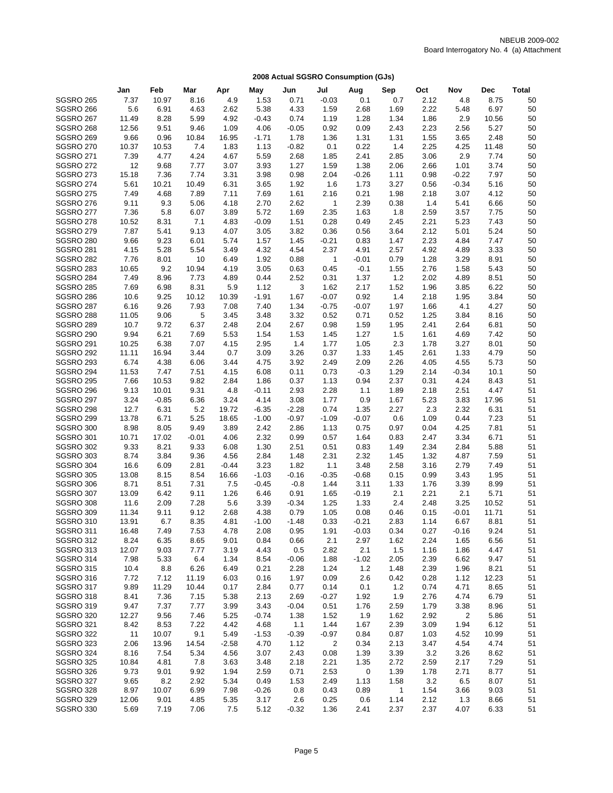|                               | Jan           | Feb          | Mar           | Apr          | May             | Jun            | Jul             | Aug            | Sep           | Oct          | Nov          | Dec          | <b>Total</b> |
|-------------------------------|---------------|--------------|---------------|--------------|-----------------|----------------|-----------------|----------------|---------------|--------------|--------------|--------------|--------------|
| <b>SGSRO 265</b>              | 7.37          | 10.97        | 8.16          | 4.9          | 1.53            | 0.71           | $-0.03$         | 0.1            | 0.7           | 2.12         | 4.8          | 8.75         | 50           |
| SGSRO 266                     | 5.6           | 6.91         | 4.63          | 2.62         | 5.38            | 4.33           | 1.59            | 2.68           | 1.69          | 2.22         | 5.48         | 6.97         | 50           |
| <b>SGSRO 267</b>              | 11.49         | 8.28         | 5.99          | 4.92         | $-0.43$         | 0.74           | 1.19            | 1.28           | 1.34          | 1.86         | 2.9          | 10.56        | 50           |
| SGSRO 268                     | 12.56         | 9.51         | 9.46          | 1.09         | 4.06            | $-0.05$        | 0.92            | 0.09           | 2.43          | 2.23         | 2.56         | 5.27         | 50           |
| SGSRO 269                     | 9.66          | 0.96         | 10.84         | 16.95        | $-1.71$         | 1.78           | 1.36            | 1.31           | 1.31          | 1.55         | 3.65         | 2.48         | 50           |
| SGSRO 270                     | 10.37         | 10.53        | 7.4           | 1.83         | 1.13            | $-0.82$        | 0.1             | 0.22           | 1.4           | 2.25         | 4.25         | 11.48        | 50           |
| <b>SGSRO 271</b>              | 7.39          | 4.77         | 4.24          | 4.67         | 5.59            | 2.68           | 1.85            | 2.41           | 2.85          | 3.06         | 2.9          | 7.74         | 50           |
| <b>SGSRO 272</b>              | 12            | 9.68         | 7.77          | 3.07         | 3.93            | 1.27           | 1.59            | 1.38           | 2.06          | 2.66         | 1.01         | 3.74         | 50           |
| SGSRO 273                     | 15.18         | 7.36         | 7.74          | 3.31         | 3.98            | 0.98           | 2.04            | $-0.26$        | 1.11          | 0.98         | $-0.22$      | 7.97         | 50           |
| <b>SGSRO 274</b>              | 5.61          | 10.21        | 10.49         | 6.31         | 3.65            | 1.92           | 1.6             | 1.73           | 3.27          | 0.56         | $-0.34$      | 5.16         | 50           |
| <b>SGSRO 275</b>              | 7.49          | 4.68         | 7.89          | 7.11         | 7.69            | 1.61           | 2.16            | 0.21           | 1.98          | 2.18         | 3.07         | 4.12         | 50           |
| SGSRO 276                     | 9.11          | 9.3          | 5.06          | 4.18         | 2.70            | 2.62           | $\mathbf{1}$    | 2.39           | 0.38          | 1.4          | 5.41         | 6.66         | 50           |
| SGSRO 277                     | 7.36          | 5.8          | 6.07          | 3.89         | 5.72            | 1.69           | 2.35            | 1.63           | 1.8           | 2.59         | 3.57         | 7.75         | 50           |
| SGSRO 278                     | 10.52         | 8.31         | 7.1           | 4.83         | $-0.09$         | 1.51           | 0.28            | 0.49           | 2.45          | 2.21         | 5.23         | 7.43         | 50           |
| SGSRO 279                     | 7.87          | 5.41         | 9.13          | 4.07         | 3.05            | 3.82           | 0.36            | 0.56           | 3.64          | 2.12         | 5.01         | 5.24         | 50           |
| SGSRO 280                     | 9.66          | 9.23         | 6.01          | 5.74         | 1.57            | 1.45           | $-0.21$         | 0.83           | 1.47          | 2.23         | 4.84         | 7.47         | 50           |
| <b>SGSRO 281</b>              | 4.15          | 5.28         | 5.54          | 3.49         | 4.32            | 4.54           | 2.37            | 4.91           | 2.57          | 4.92         | 4.89         | 3.33         | 50           |
| SGSRO 282                     | 7.76          | 8.01         | 10            | 6.49         | 1.92            | 0.88           | 1               | $-0.01$        | 0.79          | 1.28         | 3.29         | 8.91         | 50           |
| SGSRO 283                     | 10.65         | 9.2          | 10.94         | 4.19         | 3.05            | 0.63           | 0.45            | $-0.1$         | 1.55          | 2.76         | 1.58         | 5.43         | 50           |
| <b>SGSRO 284</b>              | 7.49          | 8.96         | 7.73          | 4.89<br>5.9  | 0.44            | 2.52<br>3      | 0.31            | 1.37           | $1.2$         | 2.02         | 4.89         | 8.51<br>6.22 | 50<br>50     |
| <b>SGSRO 285</b><br>SGSRO 286 | 7.69<br>10.6  | 6.98<br>9.25 | 8.31<br>10.12 | 10.39        | 1.12<br>$-1.91$ | 1.67           | 1.62<br>$-0.07$ | 2.17<br>0.92   | 1.52<br>$1.4$ | 1.96<br>2.18 | 3.85<br>1.95 | 3.84         | 50           |
| SGSRO 287                     | 6.16          | 9.26         | 7.93          | 7.08         | 7.40            | 1.34           | $-0.75$         | $-0.07$        | 1.97          | 1.66         | 4.1          | 4.27         | 50           |
| <b>SGSRO 288</b>              | 11.05         | 9.06         | 5             | 3.45         | 3.48            | 3.32           | 0.52            | 0.71           | 0.52          | 1.25         | 3.84         | 8.16         | 50           |
| SGSRO 289                     | 10.7          | 9.72         | 6.37          | 2.48         | 2.04            | 2.67           | 0.98            | 1.59           | 1.95          | 2.41         | 2.64         | 6.81         | 50           |
| SGSRO 290                     | 9.94          | 6.21         | 7.69          | 5.53         | 1.54            | 1.53           | 1.45            | 1.27           | 1.5           | 1.61         | 4.69         | 7.42         | 50           |
| <b>SGSRO 291</b>              | 10.25         | 6.38         | 7.07          | 4.15         | 2.95            | 1.4            | 1.77            | 1.05           | 2.3           | 1.78         | 3.27         | 8.01         | 50           |
| <b>SGSRO 292</b>              | 11.11         | 16.94        | 3.44          | 0.7          | 3.09            | 3.26           | 0.37            | 1.33           | 1.45          | 2.61         | 1.33         | 4.79         | 50           |
| SGSRO 293                     | 6.74          | 4.38         | 6.06          | 3.44         | 4.75            | 3.92           | 2.49            | 2.09           | 2.26          | 4.05         | 4.55         | 5.73         | 50           |
| <b>SGSRO 294</b>              | 11.53         | 7.47         | 7.51          | 4.15         | 6.08            | 0.11           | 0.73            | $-0.3$         | 1.29          | 2.14         | $-0.34$      | 10.1         | 50           |
| <b>SGSRO 295</b>              | 7.66          | 10.53        | 9.82          | 2.84         | 1.86            | 0.37           | 1.13            | 0.94           | 2.37          | 0.31         | 4.24         | 8.43         | 51           |
| SGSRO 296                     | 9.13          | 10.01        | 9.31          | 4.8          | $-0.11$         | 2.93           | 2.28            | 1.1            | 1.89          | 2.18         | 2.51         | 4.47         | 51           |
| SGSRO 297                     | 3.24          | $-0.85$      | 6.36          | 3.24         | 4.14            | 3.08           | 1.77            | 0.9            | 1.67          | 5.23         | 3.83         | 17.96        | 51           |
| SGSRO 298                     | 12.7          | 6.31         | 5.2           | 19.72        | $-6.35$         | $-2.28$        | 0.74            | 1.35           | 2.27          | 2.3          | 2.32         | 6.31         | 51           |
| SGSRO 299                     | 13.78         | 6.71         | 5.25          | 18.65        | $-1.00$         | $-0.97$        | $-1.09$         | $-0.07$        | 0.6           | 1.09         | 0.44         | 7.23         | 51           |
| SGSRO 300                     | 8.98          | 8.05         | 9.49          | 3.89         | 2.42            | 2.86           | 1.13            | 0.75           | 0.97          | 0.04         | 4.25         | 7.81         | 51           |
| <b>SGSRO 301</b>              | 10.71         | 17.02        | $-0.01$       | 4.06         | 2.32            | 0.99           | 0.57            | 1.64           | 0.83          | 2.47         | 3.34         | 6.71         | 51           |
| <b>SGSRO 302</b>              | 9.33          | 8.21         | 9.33          | 6.08         | 1.30            | 2.51           | 0.51            | 0.83           | 1.49          | 2.34         | 2.84         | 5.88         | 51           |
| SGSRO 303                     | 8.74          | 3.84         | 9.36          | 4.56         | 2.84            | 1.48           | 2.31            | 2.32           | 1.45          | 1.32         | 4.87         | 7.59         | 51           |
| <b>SGSRO 304</b>              | 16.6          | 6.09         | 2.81          | $-0.44$      | 3.23            | 1.82           | 1.1             | 3.48           | 2.58          | 3.16         | 2.79         | 7.49         | 51           |
| <b>SGSRO 305</b>              | 13.08         | 8.15         | 8.54          | 16.66        | $-1.03$         | $-0.16$        | $-0.35$         | $-0.68$        | 0.15          | 0.99         | 3.43         | 1.95         | 51           |
| SGSRO 306                     | 8.71          | 8.51         | 7.31          | 7.5          | $-0.45$         | $-0.8$         | 1.44            | 3.11           | 1.33          | 1.76         | 3.39         | 8.99         | 51           |
| SGSRO 307                     | 13.09         | 6.42         | 9.11          | 1.26         | 6.46            | 0.91           | 1.65            | $-0.19$        | 2.1           | 2.21         | 2.1          | 5.71         | 51           |
| SGSRO 308                     | 11.6          | 2.09         | 7.28          | 5.6          | 3.39            | $-0.34$        | 1.25            | 1.33           | 2.4           | 2.48         | 3.25         | 10.52        | 51           |
| SGSRO 309                     | 11.34         | 9.11         | 9.12          | 2.68         | 4.38            | 0.79           | 1.05            | 0.08           | 0.46          | 0.15         | $-0.01$      | 11.71        | 51           |
| <b>SGSRO 310</b>              | 13.91         | 6.7          | 8.35          | 4.81         | $-1.00$         | $-1.48$        | 0.33            | $-0.21$        | 2.83          | 1.14         | 6.67         | 8.81         | 51           |
| SGSRO 311                     | 16.48         | 7.49         | 7.53          | 4.78         | 2.08            | 0.95           | 1.91            | $-0.03$        | 0.34          | 0.27         | $-0.16$      | 9.24         | 51           |
| <b>SGSRO 312</b>              | 8.24          | 6.35         | 8.65          | 9.01         | 0.84            | 0.66           | 2.1             | 2.97           | 1.62          | 2.24         | 1.65         | 6.56         | 51           |
| SGSRO 313<br>SGSRO 314        | 12.07<br>7.98 | 9.03<br>5.33 | 7.77<br>6.4   | 3.19<br>1.34 | 4.43<br>8.54    | 0.5<br>$-0.06$ | 2.82<br>1.88    | 2.1<br>$-1.02$ | 1.5<br>2.05   | 1.16<br>2.39 | 1.86<br>6.62 | 4.47<br>9.47 | 51<br>51     |
| <b>SGSRO 315</b>              | 10.4          | 8.8          | 6.26          | 6.49         | 0.21            | 2.28           | 1.24            | 1.2            | 1.48          | 2.39         | 1.96         | 8.21         | 51           |
| SGSRO 316                     | 7.72          | 7.12         | 11.19         | 6.03         | 0.16            | 1.97           | 0.09            | 2.6            | 0.42          | 0.28         | 1.12         | 12.23        | 51           |
| SGSRO 317                     | 9.89          | 11.29        | 10.44         | 0.17         | 2.84            | 0.77           | 0.14            | 0.1            | 1.2           | 0.74         | 4.71         | 8.65         | 51           |
| <b>SGSRO 318</b>              | 8.41          | 7.36         | 7.15          | 5.38         | 2.13            | 2.69           | $-0.27$         | 1.92           | 1.9           | 2.76         | 4.74         | 6.79         | 51           |
| <b>SGSRO 319</b>              | 9.47          | 7.37         | 7.77          | 3.99         | 3.43            | $-0.04$        | 0.51            | 1.76           | 2.59          | 1.79         | 3.38         | 8.96         | 51           |
| SGSRO 320                     | 12.27         | 9.56         | 7.46          | 5.25         | $-0.74$         | 1.38           | 1.52            | 1.9            | 1.62          | 2.92         | 2            | 5.86         | 51           |
| <b>SGSRO 321</b>              | 8.42          | 8.53         | 7.22          | 4.42         | 4.68            | 1.1            | 1.44            | 1.67           | 2.39          | 3.09         | 1.94         | 6.12         | 51           |
| SGSRO 322                     | 11            | 10.07        | 9.1           | 5.49         | $-1.53$         | $-0.39$        | $-0.97$         | 0.84           | 0.87          | 1.03         | 4.52         | 10.99        | 51           |
| SGSRO 323                     | 2.06          | 13.96        | 14.54         | $-2.58$      | 4.70            | 1.12           | 2               | 0.34           | 2.13          | 3.47         | 4.54         | 4.74         | 51           |
| SGSRO 324                     | 8.16          | 7.54         | 5.34          | 4.56         | 3.07            | 2.43           | 0.08            | 1.39           | 3.39          | 3.2          | 3.26         | 8.62         | 51           |
| <b>SGSRO 325</b>              | 10.84         | 4.81         | 7.8           | 3.63         | 3.48            | 2.18           | 2.21            | 1.35           | 2.72          | 2.59         | 2.17         | 7.29         | 51           |
| SGSRO 326                     | 9.73          | 9.01         | 9.92          | 1.94         | 2.59            | 0.71           | 2.53            | 0              | 1.39          | 1.78         | 2.71         | 8.77         | 51           |
| SGSRO 327                     | 9.65          | 8.2          | 2.92          | 5.34         | 0.49            | 1.53           | 2.49            | 1.13           | 1.58          | 3.2          | 6.5          | 8.07         | 51           |
| SGSRO 328                     | 8.97          | 10.07        | 6.99          | 7.98         | $-0.26$         | 0.8            | 0.43            | 0.89           | 1             | 1.54         | 3.66         | 9.03         | 51           |
| <b>SGSRO 329</b>              | 12.06         | 9.01         | 4.85          | 5.35         | 3.17            | 2.6            | 0.25            | 0.6            | 1.14          | 2.12         | 1.3          | 8.66         | 51           |
| SGSRO 330                     | 5.69          | 7.19         | 7.06          | 7.5          | 5.12            | $-0.32$        | 1.36            | 2.41           | 2.37          | 2.37         | 4.07         | 6.33         | 51           |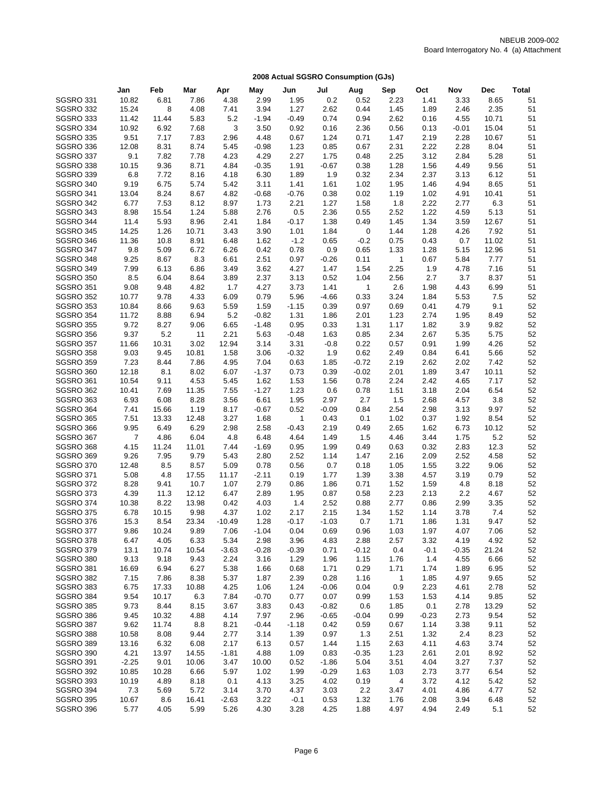|                        | Jan            | Feb           | Mar           | Apr          | May             | Jun          | Jul          | Aug          | Sep          | Oct          | Nov          | <b>Dec</b>   | <b>Total</b> |
|------------------------|----------------|---------------|---------------|--------------|-----------------|--------------|--------------|--------------|--------------|--------------|--------------|--------------|--------------|
| SGSRO 331              | 10.82          | 6.81          | 7.86          | 4.38         | 2.99            | 1.95         | 0.2          | 0.52         | 2.23         | 1.41         | 3.33         | 8.65         | 51           |
| SGSRO 332              | 15.24          | 8             | 4.08          | 7.41         | 3.94            | 1.27         | 2.62         | 0.44         | 1.45         | 1.89         | 2.46         | 2.35         | 51           |
| SGSRO 333              | 11.42          | 11.44         | 5.83          | 5.2          | $-1.94$         | $-0.49$      | 0.74         | 0.94         | 2.62         | 0.16         | 4.55         | 10.71        | 51           |
| SGSRO 334              | 10.92          | 6.92          | 7.68          | 3            | 3.50            | 0.92         | 0.16         | 2.36         | 0.56         | 0.13         | $-0.01$      | 15.04        | 51           |
| SGSRO 335              | 9.51           | 7.17          | 7.83          | 2.96         | 4.48            | 0.67         | 1.24         | 0.71         | 1.47         | 2.19         | 2.28         | 10.67        | 51           |
| SGSRO 336              | 12.08          | 8.31          | 8.74          | 5.45         | $-0.98$         | 1.23         | 0.85         | 0.67         | 2.31         | 2.22         | 2.28         | 8.04         | 51           |
| SGSRO 337              | 9.1            | 7.82          | 7.78          | 4.23         | 4.29            | 2.27         | 1.75         | 0.48         | 2.25         | 3.12         | 2.84         | 5.28         | 51           |
| <b>SGSRO 338</b>       | 10.15          | 9.36          | 8.71          | 4.84         | $-0.35$         | 1.91         | $-0.67$      | 0.38         | 1.28         | 1.56         | 4.49         | 9.56         | 51           |
| SGSRO 339              | 6.8            | 7.72          | 8.16          | 4.18         | 6.30            | 1.89         | 1.9          | 0.32         | 2.34         | 2.37         | 3.13         | 6.12         | 51           |
| SGSRO 340              | 9.19           | 6.75          | 5.74          | 5.42         | 3.11            | 1.41         | 1.61         | 1.02         | 1.95         | 1.46         | 4.94         | 8.65         | 51           |
| SGSRO 341              | 13.04          | 8.24          | 8.67          | 4.82         | $-0.68$         | $-0.76$      | 0.38         | 0.02         | 1.19         | 1.02         | 4.91         | 10.41        | 51           |
| SGSRO 342<br>SGSRO 343 | 6.77           | 7.53<br>15.54 | 8.12<br>1.24  | 8.97<br>5.88 | 1.73            | 2.21<br>0.5  | 1.27<br>2.36 | 1.58<br>0.55 | 1.8<br>2.52  | 2.22<br>1.22 | 2.77<br>4.59 | 6.3<br>5.13  | 51<br>51     |
| SGSRO 344              | 8.98<br>11.4   | 5.93          | 8.96          | 2.41         | 2.76<br>1.84    | $-0.17$      | 1.38         | 0.49         | 1.45         | 1.34         | 3.59         | 12.67        | 51           |
| <b>SGSRO 345</b>       | 14.25          | 1.26          | 10.71         | 3.43         | 3.90            | 1.01         | 1.84         | 0            | 1.44         | 1.28         | 4.26         | 7.92         | 51           |
| SGSRO 346              | 11.36          | 10.8          | 8.91          | 6.48         | 1.62            | $-1.2$       | 0.65         | $-0.2$       | 0.75         | 0.43         | 0.7          | 11.02        | 51           |
| SGSRO 347              | 9.8            | 5.09          | 6.72          | 6.26         | 0.42            | 0.78         | 0.9          | 0.65         | 1.33         | 1.28         | 5.15         | 12.96        | 51           |
| SGSRO 348              | 9.25           | 8.67          | 8.3           | 6.61         | 2.51            | 0.97         | $-0.26$      | 0.11         | $\mathbf{1}$ | 0.67         | 5.84         | 7.77         | 51           |
| SGSRO 349              | 7.99           | 6.13          | 6.86          | 3.49         | 3.62            | 4.27         | 1.47         | 1.54         | 2.25         | 1.9          | 4.78         | 7.16         | 51           |
| SGSRO 350              | 8.5            | 6.04          | 8.64          | 3.89         | 2.37            | 3.13         | 0.52         | 1.04         | 2.56         | 2.7          | 3.7          | 8.37         | 51           |
| <b>SGSRO 351</b>       | 9.08           | 9.48          | 4.82          | 1.7          | 4.27            | 3.73         | 1.41         | $\mathbf{1}$ | 2.6          | 1.98         | 4.43         | 6.99         | 51           |
| SGSRO 352              | 10.77          | 9.78          | 4.33          | 6.09         | 0.79            | 5.96         | $-4.66$      | 0.33         | 3.24         | 1.84         | 5.53         | 7.5          | 52           |
| <b>SGSRO 353</b>       | 10.84          | 8.66          | 9.63          | 5.59         | 1.59            | $-1.15$      | 0.39         | 0.97         | 0.69         | 0.41         | 4.79         | 9.1          | 52           |
| <b>SGSRO 354</b>       | 11.72          | 8.88          | 6.94          | 5.2          | $-0.82$         | 1.31         | 1.86         | 2.01         | 1.23         | 2.74         | 1.95         | 8.49         | 52           |
| <b>SGSRO 355</b>       | 9.72           | 8.27          | 9.06          | 6.65         | $-1.48$         | 0.95         | 0.33         | 1.31         | 1.17         | 1.82         | 3.9          | 9.82         | 52           |
| SGSRO 356              | 9.37           | 5.2           | 11            | 2.21         | 5.63            | $-0.48$      | 1.63         | 0.85         | 2.34         | 2.67         | 5.35         | 5.75         | 52           |
| SGSRO 357              | 11.66          | 10.31         | 3.02          | 12.94        | 3.14            | 3.31         | $-0.8$       | 0.22         | 0.57         | 0.91         | 1.99         | 4.26         | 52           |
| <b>SGSRO 358</b>       | 9.03           | 9.45          | 10.81         | 1.58         | 3.06            | $-0.32$      | 1.9          | 0.62         | 2.49         | 0.84         | 6.41         | 5.66         | 52           |
| SGSRO 359              | 7.23           | 8.44          | 7.86          | 4.95         | 7.04            | 0.63         | 1.85         | $-0.72$      | 2.19         | 2.62         | 2.02         | 7.42         | 52           |
| SGSRO 360              | 12.18          | 8.1           | 8.02          | 6.07         | $-1.37$         | 0.73         | 0.39         | $-0.02$      | 2.01         | 1.89         | 3.47         | 10.11        | 52           |
| <b>SGSRO 361</b>       | 10.54          | 9.11          | 4.53          | 5.45         | 1.62<br>$-1.27$ | 1.53<br>1.23 | 1.56         | 0.78         | 2.24<br>1.51 | 2.42         | 4.65         | 7.17<br>6.54 | 52           |
| SGSRO 362<br>SGSRO 363 | 10.41<br>6.93  | 7.69<br>6.08  | 11.35<br>8.28 | 7.55<br>3.56 | 6.61            | 1.95         | 0.6<br>2.97  | 0.78<br>2.7  | 1.5          | 3.18<br>2.68 | 2.04<br>4.57 | 3.8          | 52<br>52     |
| SGSRO 364              | 7.41           | 15.66         | 1.19          | 8.17         | $-0.67$         | 0.52         | $-0.09$      | 0.84         | 2.54         | 2.98         | 3.13         | 9.97         | 52           |
| <b>SGSRO 365</b>       | 7.51           | 13.33         | 12.48         | 3.27         | 1.68            | $\mathbf{1}$ | 0.43         | 0.1          | 1.02         | 0.37         | 1.92         | 8.54         | 52           |
| SGSRO 366              | 9.95           | 6.49          | 6.29          | 2.98         | 2.58            | $-0.43$      | 2.19         | 0.49         | 2.65         | 1.62         | 6.73         | 10.12        | 52           |
| SGSRO 367              | $\overline{7}$ | 4.86          | 6.04          | 4.8          | 6.48            | 4.64         | 1.49         | 1.5          | 4.46         | 3.44         | 1.75         | 5.2          | 52           |
| SGSRO 368              | 4.15           | 11.24         | 11.01         | 7.44         | $-1.69$         | 0.95         | 1.99         | 0.49         | 0.63         | 0.32         | 2.83         | 12.3         | 52           |
| SGSRO 369              | 9.26           | 7.95          | 9.79          | 5.43         | 2.80            | 2.52         | 1.14         | 1.47         | 2.16         | 2.09         | 2.52         | 4.58         | 52           |
| SGSRO 370              | 12.48          | 8.5           | 8.57          | 5.09         | 0.78            | 0.56         | 0.7          | 0.18         | 1.05         | 1.55         | 3.22         | 9.06         | 52           |
| <b>SGSRO 371</b>       | 5.08           | 4.8           | 17.55         | 11.17        | $-2.11$         | 0.19         | 1.77         | 1.39         | 3.38         | 4.57         | 3.19         | 0.79         | 52           |
| <b>SGSRO 372</b>       | 8.28           | 9.41          | 10.7          | 1.07         | 2.79            | 0.86         | 1.86         | 0.71         | 1.52         | 1.59         | 4.8          | 8.18         | 52           |
| SGSRO 373              | 4.39           | 11.3          | 12.12         | 6.47         | 2.89            | 1.95         | 0.87         | 0.58         | 2.23         | 2.13         | 2.2          | 4.67         | 52           |
| SGSRO 374              | 10.38          | 8.22          | 13.98         | 0.42         | 4.03            | 1.4          | 2.52         | 0.88         | 2.77         | 0.86         | 2.99         | 3.35         | 52           |
| SGSRO 375              | 6.78           | 10.15         | 9.98          | 4.37         | 1.02            | 2.17         | 2.15         | 1.34         | 1.52         | 1.14         | 3.78         | 7.4          | 52           |
| SGSRO 376              | 15.3           | 8.54          | 23.34         | $-10.49$     | 1.28            | $-0.17$      | $-1.03$      | 0.7          | 1.71         | 1.86         | 1.31         | 9.47         | 52           |
| SGSRO 377              | 9.86           | 10.24         | 9.89          | 7.06         | $-1.04$         | 0.04         | 0.69         | 0.96         | 1.03         | 1.97         | 4.07         | 7.06         | 52           |
| <b>SGSRO 378</b>       | 6.47           | 4.05          | 6.33          | 5.34         | 2.98            | 3.96         | 4.83         | 2.88         | 2.57         | 3.32         | 4.19         | 4.92         | 52           |
| SGSRO 379              | 13.1           | 10.74         | 10.54         | $-3.63$      | $-0.28$         | $-0.39$      | 0.71         | $-0.12$      | 0.4          | $-0.1$       | $-0.35$      | 21.24        | 52           |
| SGSRO 380<br>SGSRO 381 | 9.13<br>16.69  | 9.18<br>6.94  | 9.43<br>6.27  | 2.24<br>5.38 | 3.16<br>1.66    | 1.29<br>0.68 | 1.96<br>1.71 | 1.15<br>0.29 | 1.76<br>1.71 | 1.4<br>1.74  | 4.55<br>1.89 | 6.66<br>6.95 | 52<br>52     |
| SGSRO 382              | 7.15           | 7.86          | 8.38          | 5.37         | 1.87            | 2.39         | 0.28         | 1.16         | 1            | 1.85         | 4.97         | 9.65         | 52           |
| SGSRO 383              | 6.75           | 17.33         | 10.88         | 4.25         | 1.06            | 1.24         | $-0.06$      | 0.04         | 0.9          | 2.23         | 4.61         | 2.78         | 52           |
| SGSRO 384              | 9.54           | 10.17         | 6.3           | 7.84         | $-0.70$         | 0.77         | 0.07         | 0.99         | 1.53         | 1.53         | 4.14         | 9.85         | 52           |
| <b>SGSRO 385</b>       | 9.73           | 8.44          | 8.15          | 3.67         | 3.83            | 0.43         | $-0.82$      | 0.6          | 1.85         | 0.1          | 2.78         | 13.29        | 52           |
| SGSRO 386              | 9.45           | 10.32         | 4.88          | 4.14         | 7.97            | 2.96         | $-0.65$      | $-0.04$      | 0.99         | $-0.23$      | 2.73         | 9.54         | 52           |
| SGSRO 387              | 9.62           | 11.74         | 8.8           | 8.21         | $-0.44$         | $-1.18$      | 0.42         | 0.59         | 0.67         | 1.14         | 3.38         | 9.11         | 52           |
| SGSRO 388              | 10.58          | 8.08          | 9.44          | 2.77         | 3.14            | 1.39         | 0.97         | 1.3          | 2.51         | 1.32         | 2.4          | 8.23         | 52           |
| SGSRO 389              | 13.16          | 6.32          | 6.08          | 2.17         | 6.13            | 0.57         | 1.44         | 1.15         | 2.63         | 4.11         | 4.63         | 3.74         | 52           |
| SGSRO 390              | 4.21           | 13.97         | 14.55         | $-1.81$      | 4.88            | 1.09         | 0.83         | $-0.35$      | 1.23         | 2.61         | 2.01         | 8.92         | 52           |
| SGSRO 391              | $-2.25$        | 9.01          | 10.06         | 3.47         | 10.00           | 0.52         | $-1.86$      | 5.04         | 3.51         | 4.04         | 3.27         | 7.37         | 52           |
| SGSRO 392              | 10.85          | 10.28         | 6.66          | 5.97         | 1.02            | 1.99         | $-0.29$      | 1.63         | 1.03         | 2.73         | 3.77         | 6.54         | 52           |
| SGSRO 393              | 10.19          | 4.89          | 8.18          | 0.1          | 4.13            | 3.25         | 4.02         | 0.19         | 4            | 3.72         | 4.12         | 5.42         | 52           |
| SGSRO 394              | 7.3            | 5.69          | 5.72          | 3.14         | 3.70            | 4.37         | 3.03         | 2.2          | 3.47         | 4.01         | 4.86         | 4.77         | 52           |
| <b>SGSRO 395</b>       | 10.67          | 8.6           | 16.41         | $-2.63$      | 3.22            | $-0.1$       | 0.53         | 1.32         | 1.76         | 2.08         | 3.94         | 6.48         | 52           |
| SGSRO 396              | 5.77           | 4.05          | 5.99          | 5.26         | 4.30            | 3.28         | 4.25         | 1.88         | 4.97         | 4.94         | 2.49         | 5.1          | 52           |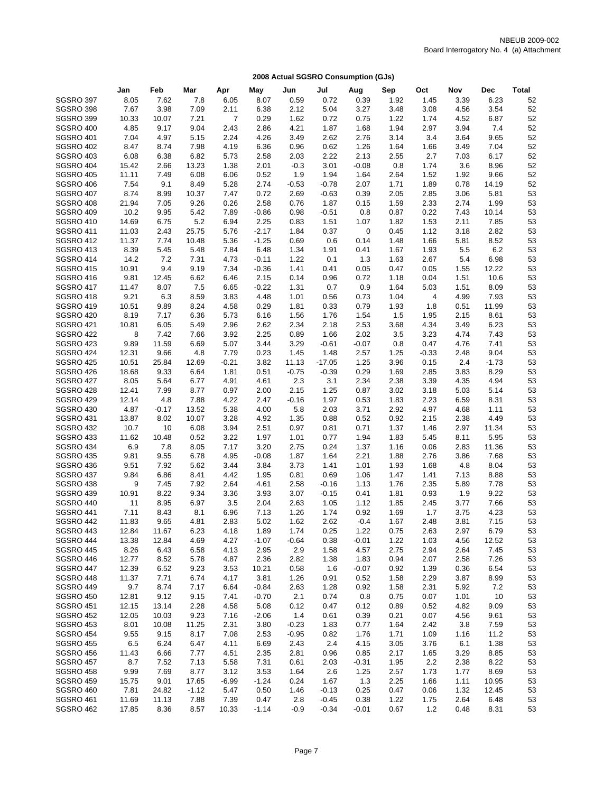|                                      | Jan            | Feb           | Mar            | Apr            | May                | Jun                | Jul          | Aug          | Sep          | Oct          | Nov          | <b>Dec</b>    | <b>Total</b> |
|--------------------------------------|----------------|---------------|----------------|----------------|--------------------|--------------------|--------------|--------------|--------------|--------------|--------------|---------------|--------------|
| SGSRO 397                            | 8.05           | 7.62          | 7.8            | 6.05           | 8.07               | 0.59               | 0.72         | 0.39         | 1.92         | 1.45         | 3.39         | 6.23          | 52           |
| SGSRO 398                            | 7.67           | 3.98          | 7.09           | 2.11           | 6.38               | 2.12               | 5.04         | 3.27         | 3.48         | 3.08         | 4.56         | 3.54          | 52           |
| SGSRO 399                            | 10.33          | 10.07         | 7.21           | $\overline{7}$ | 0.29               | 1.62               | 0.72         | 0.75         | 1.22         | 1.74         | 4.52         | 6.87          | 52           |
| <b>SGSRO 400</b>                     | 4.85           | 9.17          | 9.04           | 2.43           | 2.86               | 4.21               | 1.87         | 1.68         | 1.94         | 2.97         | 3.94         | 7.4           | 52           |
| <b>SGSRO 401</b>                     | 7.04           | 4.97          | 5.15           | 2.24           | 4.26               | 3.49               | 2.62         | 2.76         | 3.14         | 3.4          | 3.64         | 9.65          | 52           |
| <b>SGSRO 402</b>                     | 8.47           | 8.74          | 7.98           | 4.19           | 6.36               | 0.96               | 0.62         | 1.26         | 1.64         | 1.66         | 3.49         | 7.04          | 52           |
| <b>SGSRO 403</b>                     | 6.08           | 6.38          | 6.82           | 5.73           | 2.58               | 2.03               | 2.22         | 2.13         | 2.55         | 2.7          | 7.03         | 6.17          | 52           |
| <b>SGSRO 404</b>                     | 15.42          | 2.66          | 13.23          | 1.38           | 2.01               | $-0.3$             | 3.01         | $-0.08$      | 0.8          | 1.74         | 3.6          | 8.96          | 52           |
| <b>SGSRO 405</b>                     | 11.11          | 7.49          | 6.08           | 6.06           | 0.52               | 1.9                | 1.94         | 1.64         | 2.64         | 1.52         | 1.92         | 9.66          | 52           |
| <b>SGSRO 406</b>                     | 7.54           | 9.1           | 8.49           | 5.28           | 2.74               | $-0.53$            | $-0.78$      | 2.07         | 1.71         | 1.89         | 0.78         | 14.19         | 52           |
| <b>SGSRO 407</b>                     | 8.74           | 8.99          | 10.37          | 7.47           | 0.72               | 2.69               | $-0.63$      | 0.39         | 2.05         | 2.85         | 3.06         | 5.81          | 53           |
| <b>SGSRO 408</b>                     | 21.94          | 7.05          | 9.26           | 0.26           | 2.58               | 0.76               | 1.87         | 0.15         | 1.59         | 2.33         | 2.74         | 1.99          | 53           |
| <b>SGSRO 409</b>                     | 10.2           | 9.95          | 5.42           | 7.89           | $-0.86$            | 0.98               | $-0.51$      | 0.8          | 0.87         | 0.22         | 7.43         | 10.14         | 53           |
| <b>SGSRO 410</b><br><b>SGSRO 411</b> | 14.69          | 6.75<br>2.43  | 5.2            | 6.94           | 2.25               | 0.83<br>1.84       | 1.51         | 1.07<br>0    | 1.82         | 1.53         | 2.11         | 7.85<br>2.82  | 53<br>53     |
| <b>SGSRO 412</b>                     | 11.03<br>11.37 | 7.74          | 25.75<br>10.48 | 5.76<br>5.36   | $-2.17$<br>$-1.25$ | 0.69               | 0.37<br>0.6  | 0.14         | 0.45<br>1.48 | 1.12<br>1.66 | 3.18<br>5.81 | 8.52          | 53           |
| <b>SGSRO 413</b>                     | 8.39           | 5.45          | 5.48           | 7.84           | 6.48               | 1.34               | 1.91         | 0.41         | 1.67         | 1.93         | 5.5          | 6.2           | 53           |
| SGSRO 414                            | 14.2           | 7.2           | 7.31           | 4.73           | $-0.11$            | 1.22               | 0.1          | 1.3          | 1.63         | 2.67         | 5.4          | 6.98          | 53           |
| <b>SGSRO 415</b>                     | 10.91          | 9.4           | 9.19           | 7.34           | $-0.36$            | 1.41               | 0.41         | 0.05         | 0.47         | 0.05         | 1.55         | 12.22         | 53           |
| <b>SGSRO 416</b>                     | 9.81           | 12.45         | 6.62           | 6.46           | 2.15               | 0.14               | 0.96         | 0.72         | 1.18         | 0.04         | 1.51         | 10.6          | 53           |
| <b>SGSRO 417</b>                     | 11.47          | 8.07          | 7.5            | 6.65           | $-0.22$            | 1.31               | 0.7          | 0.9          | 1.64         | 5.03         | 1.51         | 8.09          | 53           |
| <b>SGSRO 418</b>                     | 9.21           | 6.3           | 8.59           | 3.83           | 4.48               | 1.01               | 0.56         | 0.73         | 1.04         | 4            | 4.99         | 7.93          | 53           |
| <b>SGSRO 419</b>                     | 10.51          | 9.89          | 8.24           | 4.58           | 0.29               | 1.81               | 0.33         | 0.79         | 1.93         | 1.8          | 0.51         | 11.99         | 53           |
| <b>SGSRO 420</b>                     | 8.19           | 7.17          | 6.36           | 5.73           | 6.16               | 1.56               | 1.76         | 1.54         | 1.5          | 1.95         | 2.15         | 8.61          | 53           |
| <b>SGSRO 421</b>                     | 10.81          | 6.05          | 5.49           | 2.96           | 2.62               | 2.34               | 2.18         | 2.53         | 3.68         | 4.34         | 3.49         | 6.23          | 53           |
| <b>SGSRO 422</b>                     | 8              | 7.42          | 7.66           | 3.92           | 2.25               | 0.89               | 1.66         | 2.02         | 3.5          | 3.23         | 4.74         | 7.43          | 53           |
| <b>SGSRO 423</b>                     | 9.89           | 11.59         | 6.69           | 5.07           | 3.44               | 3.29               | $-0.61$      | $-0.07$      | 0.8          | 0.47         | 4.76         | 7.41          | 53           |
| <b>SGSRO 424</b>                     | 12.31          | 9.66          | 4.8            | 7.79           | 0.23               | 1.45               | 1.48         | 2.57         | 1.25         | $-0.33$      | 2.48         | 9.04          | 53           |
| <b>SGSRO 425</b>                     | 10.51          | 25.84         | 12.69          | $-0.21$        | 3.82               | 11.13              | $-17.05$     | 1.25         | 3.96         | 0.15         | 2.4          | $-1.73$       | 53           |
| SGSRO 426                            | 18.68          | 9.33          | 6.64           | 1.81           | 0.51               | $-0.75$            | $-0.39$      | 0.29         | 1.69         | 2.85         | 3.83         | 8.29          | 53           |
| <b>SGSRO 427</b>                     | 8.05           | 5.64          | 6.77           | 4.91           | 4.61               | 2.3                | 3.1          | 2.34         | 2.38         | 3.39         | 4.35         | 4.94          | 53           |
| SGSRO 428                            | 12.41          | 7.99          | 8.77           | 0.97           | 2.00               | 2.15               | 1.25         | 0.87         | 3.02         | 3.18         | 5.03         | 5.14          | 53           |
| <b>SGSRO 429</b>                     | 12.14          | 4.8           | 7.88           | 4.22           | 2.47               | $-0.16$            | 1.97         | 0.53         | 1.83         | 2.23         | 6.59         | 8.31          | 53           |
| <b>SGSRO 430</b>                     | 4.87           | $-0.17$       | 13.52          | 5.38           | 4.00               | 5.8                | 2.03         | 3.71         | 2.92         | 4.97         | 4.68         | 1.11          | 53           |
| <b>SGSRO 431</b>                     | 13.87          | 8.02<br>10    | 10.07          | 3.28           | 4.92               | 1.35               | 0.88         | 0.52         | 0.92         | 2.15         | 2.38         | 4.49          | 53<br>53     |
| <b>SGSRO 432</b><br>SGSRO 433        | 10.7<br>11.62  | 10.48         | 6.08<br>0.52   | 3.94<br>3.22   | 2.51<br>1.97       | 0.97<br>1.01       | 0.81<br>0.77 | 0.71<br>1.94 | 1.37<br>1.83 | 1.46<br>5.45 | 2.97<br>8.11 | 11.34<br>5.95 | 53           |
| <b>SGSRO 434</b>                     | 6.9            | 7.8           | 8.05           | 7.17           | 3.20               | 2.75               | 0.24         | 1.37         | 1.16         | 0.06         | 2.83         | 11.36         | 53           |
| <b>SGSRO 435</b>                     | 9.81           | 9.55          | 6.78           | 4.95           | $-0.08$            | 1.87               | 1.64         | 2.21         | 1.88         | 2.76         | 3.86         | 7.68          | 53           |
| <b>SGSRO 436</b>                     | 9.51           | 7.92          | 5.62           | 3.44           | 3.84               | 3.73               | 1.41         | 1.01         | 1.93         | 1.68         | 4.8          | 8.04          | 53           |
| <b>SGSRO 437</b>                     | 9.84           | 6.86          | 8.41           | 4.42           | 1.95               | 0.81               | 0.69         | 1.06         | 1.47         | 1.41         | 7.13         | 8.88          | 53           |
| SGSRO 438                            | 9              | 7.45          | 7.92           | 2.64           | 4.61               | 2.58               | $-0.16$      | 1.13         | 1.76         | 2.35         | 5.89         | 7.78          | 53           |
| <b>SGSRO 439</b>                     | 10.91          | 8.22          | 9.34           | 3.36           | 3.93               | 3.07               | $-0.15$      | 0.41         | 1.81         | 0.93         | 1.9          | 9.22          | 53           |
| SGSRO 440                            | 11             | 8.95          | 6.97           | 3.5            | 2.04               | 2.63               | 1.05         | 1.12         | 1.85         | 2.45         | 3.77         | 7.66          | 53           |
| <b>SGSRO 441</b>                     | 7.11           | 8.43          | 8.1            | 6.96           | 7.13               | 1.26               | 1.74         | 0.92         | 1.69         | 1.7          | 3.75         | 4.23          | 53           |
| SGSRO 442                            | 11.83          | 9.65          | 4.81           | 2.83           | 5.02               | 1.62               | 2.62         | $-0.4$       | 1.67         | 2.48         | 3.81         | 7.15          | 53           |
| SGSRO 443                            | 12.84          | 11.67         | 6.23           | 4.18           | 1.89               | 1.74               | 0.25         | 1.22         | 0.75         | 2.63         | 2.97         | 6.79          | 53           |
| SGSRO 444                            | 13.38          | 12.84         | 4.69           | 4.27           | $-1.07$            | $-0.64$            | 0.38         | $-0.01$      | 1.22         | 1.03         | 4.56         | 12.52         | 53           |
| <b>SGSRO 445</b>                     | 8.26           | 6.43          | 6.58           | 4.13           | 2.95               | 2.9                | 1.58         | 4.57         | 2.75         | 2.94         | 2.64         | 7.45          | 53           |
| SGSRO 446                            | 12.77          | 8.52          | 5.78           | 4.87           | 2.36               | 2.82               | 1.38         | 1.83         | 0.94         | 2.07         | 2.58         | 7.26          | 53           |
| SGSRO 447                            | 12.39          | 6.52          | 9.23           | 3.53           | 10.21              | 0.58               | 1.6          | $-0.07$      | 0.92         | 1.39         | 0.36         | 6.54          | 53           |
| SGSRO 448                            | 11.37          | 7.71          | 6.74           | 4.17           | 3.81               | 1.26               | 0.91         | 0.52         | 1.58         | 2.29         | 3.87         | 8.99          | 53           |
| SGSRO 449                            | 9.7            | 8.74          | 7.17           | 6.64           | $-0.84$            | 2.63               | 1.28         | 0.92         | 1.58         | 2.31         | 5.92         | 7.2           | 53           |
| <b>SGSRO 450</b>                     | 12.81          | 9.12          | 9.15           | 7.41           | $-0.70$            | 2.1                | 0.74         | 0.8          | 0.75         | 0.07         | 1.01         | 10            | 53           |
| <b>SGSRO 451</b>                     | 12.15          | 13.14         | 2.28           | 4.58           | 5.08               | 0.12               | 0.47         | 0.12         | 0.89         | 0.52         | 4.82         | 9.09          | 53           |
| <b>SGSRO 452</b>                     | 12.05          | 10.03         | 9.23           | 7.16           | $-2.06$            | 1.4                | 0.61         | 0.39         | 0.21         | 0.07         | 4.56         | 9.61          | 53           |
| <b>SGSRO 453</b><br><b>SGSRO 454</b> | 8.01<br>9.55   | 10.08<br>9.15 | 11.25<br>8.17  | 2.31<br>7.08   | 3.80<br>2.53       | $-0.23$<br>$-0.95$ | 1.83<br>0.82 | 0.77<br>1.76 | 1.64<br>1.71 | 2.42<br>1.09 | 3.8<br>1.16  | 7.59<br>11.2  | 53<br>53     |
| SGSRO 455                            | 6.5            | 6.24          | 6.47           | 4.11           | 6.69               | 2.43               | 2.4          | 4.15         | 3.05         | 3.76         | 6.1          | 1.38          | 53           |
| <b>SGSRO 456</b>                     | 11.43          | 6.66          | 7.77           | 4.51           | 2.35               | 2.81               | 0.96         | 0.85         | 2.17         | 1.65         | 3.29         | 8.85          | 53           |
| <b>SGSRO 457</b>                     | 8.7            | 7.52          | 7.13           | 5.58           | 7.31               | 0.61               | 2.03         | $-0.31$      | 1.95         | 2.2          | 2.38         | 8.22          | 53           |
| SGSRO 458                            | 9.99           | 7.69          | 8.77           | 3.12           | 3.53               | 1.64               | 2.6          | 1.25         | 2.57         | 1.73         | 1.77         | 8.69          | 53           |
| <b>SGSRO 459</b>                     | 15.75          | 9.01          | 17.65          | $-6.99$        | $-1.24$            | 0.24               | 1.67         | 1.3          | 2.25         | 1.66         | 1.11         | 10.95         | 53           |
| SGSRO 460                            | 7.81           | 24.82         | $-1.12$        | 5.47           | 0.50               | 1.46               | $-0.13$      | 0.25         | 0.47         | 0.06         | 1.32         | 12.45         | 53           |
| <b>SGSRO 461</b>                     | 11.69          | 11.13         | 7.88           | 7.39           | 0.47               | 2.8                | $-0.45$      | 0.38         | 1.22         | 1.75         | 2.64         | 6.48          | 53           |
| SGSRO 462                            | 17.85          | 8.36          | 8.57           | 10.33          | $-1.14$            | $-0.9$             | $-0.34$      | $-0.01$      | 0.67         | 1.2          | 0.48         | 8.31          | 53           |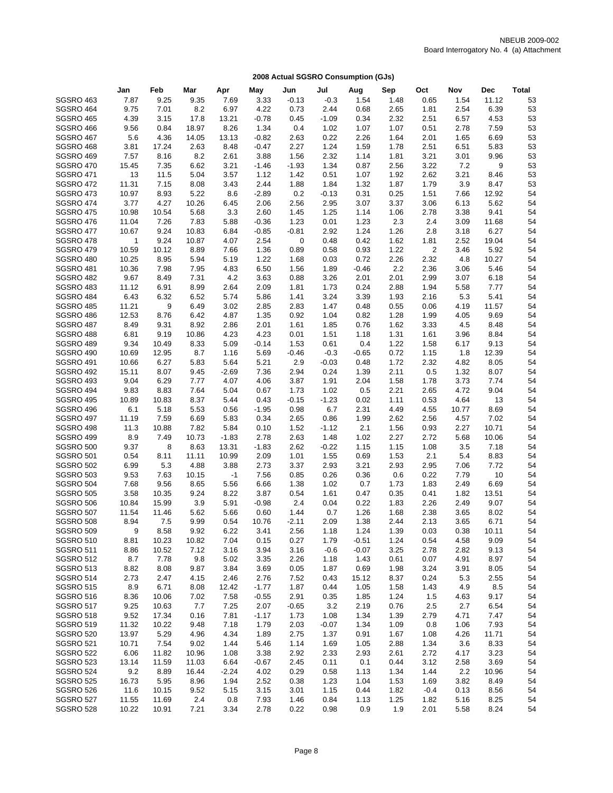|                                      | Jan                   | Feb           | Mar            | Apr             | May             | Jun          | Jul             | Aug          | Sep          | Oct                     | Nov          | <b>Dec</b>     | <b>Total</b> |
|--------------------------------------|-----------------------|---------------|----------------|-----------------|-----------------|--------------|-----------------|--------------|--------------|-------------------------|--------------|----------------|--------------|
| <b>SGSRO 463</b>                     | 7.87                  | 9.25          | 9.35           | 7.69            | 3.33            | $-0.13$      | $-0.3$          | 1.54         | 1.48         | 0.65                    | 1.54         | 11.12          | 53           |
| SGSRO 464                            | 9.75                  | 7.01          | 8.2            | 6.97            | 4.22            | 0.73         | 2.44            | 0.68         | 2.65         | 1.81                    | 2.54         | 6.39           | 53           |
| <b>SGSRO 465</b>                     | 4.39                  | 3.15          | 17.8           | 13.21           | $-0.78$         | 0.45         | $-1.09$         | 0.34         | 2.32         | 2.51                    | 6.57         | 4.53           | 53           |
| SGSRO 466                            | 9.56                  | 0.84          | 18.97          | 8.26            | 1.34            | 0.4          | 1.02            | 1.07         | 1.07         | 0.51                    | 2.78         | 7.59           | 53           |
| SGSRO 467                            | 5.6                   | 4.36          | 14.05          | 13.13           | $-0.82$         | 2.63         | 0.22            | 2.26         | 1.64         | 2.01                    | 1.65         | 6.69           | 53           |
| SGSRO 468                            | 3.81                  | 17.24         | 2.63           | 8.48            | $-0.47$         | 2.27         | 1.24            | 1.59         | 1.78         | 2.51                    | 6.51         | 5.83           | 53           |
| <b>SGSRO 469</b>                     | 7.57                  | 8.16          | 8.2            | 2.61            | 3.88            | 1.56         | 2.32            | 1.14         | 1.81         | 3.21                    | 3.01         | 9.96           | 53           |
| <b>SGSRO 470</b>                     | 15.45                 | 7.35          | 6.62           | 3.21            | $-1.46$         | $-1.93$      | 1.34            | 0.87         | 2.56         | 3.22                    | 7.2          | 9              | 53           |
| <b>SGSRO 471</b>                     | 13                    | 11.5          | 5.04           | 3.57            | 1.12            | 1.42         | 0.51            | 1.07         | 1.92         | 2.62                    | 3.21         | 8.46           | 53           |
| <b>SGSRO 472</b>                     | 11.31                 | 7.15          | 8.08           | 3.43            | 2.44            | 1.88         | 1.84            | 1.32         | 1.87         | 1.79                    | 3.9          | 8.47           | 53           |
| SGSRO 473                            | 10.97                 | 8.93          | 5.22           | 8.6             | $-2.89$         | 0.2          | $-0.13$         | 0.31         | 0.25         | 1.51                    | 7.66         | 12.92          | 54           |
| <b>SGSRO 474</b>                     | 3.77                  | 4.27          | 10.26          | 6.45            | 2.06            | 2.56         | 2.95            | 3.07         | 3.37         | 3.06                    | 6.13         | 5.62           | 54           |
| <b>SGSRO 475</b>                     | 10.98                 | 10.54         | 5.68           | 3.3             | 2.60            | 1.45         | 1.25            | 1.14         | 1.06         | 2.78                    | 3.38         | 9.41           | 54           |
| <b>SGSRO 476</b>                     | 11.04                 | 7.26          | 7.83           | 5.88            | $-0.36$         | 1.23         | 0.01            | 1.23         | 2.3          | 2.4                     | 3.09         | 11.68          | 54           |
| <b>SGSRO 477</b><br>SGSRO 478        | 10.67<br>$\mathbf{1}$ | 9.24<br>9.24  | 10.83<br>10.87 | 6.84<br>4.07    | $-0.85$<br>2.54 | $-0.81$<br>0 | 2.92<br>0.48    | 1.24<br>0.42 | 1.26<br>1.62 | 2.8<br>1.81             | 3.18<br>2.52 | 6.27<br>19.04  | 54<br>54     |
| <b>SGSRO 479</b>                     | 10.59                 | 10.12         | 8.89           | 7.66            | 1.36            | 0.89         | 0.58            | 0.93         | 1.22         | $\overline{\mathbf{c}}$ | 3.46         | 5.92           | 54           |
| SGSRO 480                            | 10.25                 | 8.95          | 5.94           | 5.19            | 1.22            | 1.68         | 0.03            | 0.72         | 2.26         | 2.32                    | 4.8          | 10.27          | 54           |
| SGSRO 481                            | 10.36                 | 7.98          | 7.95           | 4.83            | 6.50            | 1.56         | 1.89            | $-0.46$      | 2.2          | 2.36                    | 3.06         | 5.46           | 54           |
| <b>SGSRO 482</b>                     | 9.67                  | 8.49          | 7.31           | 4.2             | 3.63            | 0.88         | 3.26            | 2.01         | 2.01         | 2.99                    | 3.07         | 6.18           | 54           |
| SGSRO 483                            | 11.12                 | 6.91          | 8.99           | 2.64            | 2.09            | 1.81         | 1.73            | 0.24         | 2.88         | 1.94                    | 5.58         | 7.77           | 54           |
| SGSRO 484                            | 6.43                  | 6.32          | 6.52           | 5.74            | 5.86            | 1.41         | 3.24            | 3.39         | 1.93         | 2.16                    | 5.3          | 5.41           | 54           |
| <b>SGSRO 485</b>                     | 11.21                 | 9             | 6.49           | 3.02            | 2.85            | 2.83         | 1.47            | 0.48         | 0.55         | 0.06                    | 4.19         | 11.57          | 54           |
| SGSRO 486                            | 12.53                 | 8.76          | 6.42           | 4.87            | 1.35            | 0.92         | 1.04            | 0.82         | 1.28         | 1.99                    | 4.05         | 9.69           | 54           |
| SGSRO 487                            | 8.49                  | 9.31          | 8.92           | 2.86            | 2.01            | 1.61         | 1.85            | 0.76         | 1.62         | 3.33                    | 4.5          | 8.48           | 54           |
| SGSRO 488                            | 6.81                  | 9.19          | 10.86          | 4.23            | 4.23            | 0.01         | 1.51            | 1.18         | 1.31         | 1.61                    | 3.96         | 8.84           | 54           |
| SGSRO 489                            | 9.34                  | 10.49         | 8.33           | 5.09            | $-0.14$         | 1.53         | 0.61            | 0.4          | 1.22         | 1.58                    | 6.17         | 9.13           | 54           |
| <b>SGSRO 490</b>                     | 10.69                 | 12.95         | 8.7            | 1.16            | 5.69            | $-0.46$      | $-0.3$          | $-0.65$      | 0.72         | 1.15                    | 1.8          | 12.39          | 54           |
| <b>SGSRO 491</b>                     | 10.66                 | 6.27          | 5.83           | 5.64            | 5.21            | 2.9          | $-0.03$         | 0.48         | 1.72         | 2.32                    | 4.82         | 8.05           | 54           |
| <b>SGSRO 492</b>                     | 15.11                 | 8.07          | 9.45           | $-2.69$         | 7.36            | 2.94         | 0.24            | 1.39         | 2.11         | 0.5                     | 1.32         | 8.07           | 54           |
| <b>SGSRO 493</b>                     | 9.04                  | 6.29          | 7.77           | 4.07            | 4.06            | 3.87         | 1.91            | 2.04         | 1.58         | 1.78                    | 3.73         | 7.74           | 54           |
| SGSRO 494                            | 9.83                  | 8.83          | 7.64           | 5.04            | 0.67            | 1.73         | 1.02            | 0.5          | 2.21         | 2.65                    | 4.72         | 9.04           | 54           |
| <b>SGSRO 495</b>                     | 10.89                 | 10.83         | 8.37           | 5.44            | 0.43            | $-0.15$      | $-1.23$         | 0.02         | 1.11         | 0.53                    | 4.64         | 13             | 54           |
| SGSRO 496                            | 6.1                   | 5.18          | 5.53           | 0.56            | $-1.95$         | 0.98         | 6.7             | 2.31         | 4.49         | 4.55                    | 10.77        | 8.69           | 54           |
| <b>SGSRO 497</b>                     | 11.19                 | 7.59          | 6.69           | 5.83            | 0.34            | 2.65         | 0.86            | 1.99         | 2.62         | 2.56                    | 4.57<br>2.27 | 7.02           | 54           |
| SGSRO 498<br>SGSRO 499               | 11.3<br>8.9           | 10.88<br>7.49 | 7.82<br>10.73  | 5.84<br>$-1.83$ | 0.10<br>2.78    | 1.52<br>2.63 | $-1.12$<br>1.48 | 2.1<br>1.02  | 1.56<br>2.27 | 0.93<br>2.72            | 5.68         | 10.71<br>10.06 | 54<br>54     |
| SGSRO 500                            | 9.37                  | 8             | 8.63           | 13.31           | $-1.83$         | 2.62         | $-0.22$         | 1.15         | 1.15         | 1.08                    | 3.5          | 7.18           | 54           |
| <b>SGSRO 501</b>                     | 0.54                  | 8.11          | 11.11          | 10.99           | 2.09            | 1.01         | 1.55            | 0.69         | 1.53         | 2.1                     | 5.4          | 8.83           | 54           |
| <b>SGSRO 502</b>                     | 6.99                  | 5.3           | 4.88           | 3.88            | 2.73            | 3.37         | 2.93            | 3.21         | 2.93         | 2.95                    | 7.06         | 7.72           | 54           |
| <b>SGSRO 503</b>                     | 9.53                  | 7.63          | 10.15          | $-1$            | 7.56            | 0.85         | 0.26            | 0.36         | 0.6          | 0.22                    | 7.79         | 10             | 54           |
| SGSRO 504                            | 7.68                  | 9.56          | 8.65           | 5.56            | 6.66            | 1.38         | 1.02            | 0.7          | 1.73         | 1.83                    | 2.49         | 6.69           | 54           |
| <b>SGSRO 505</b>                     | 3.58                  | 10.35         | 9.24           | 8.22            | 3.87            | 0.54         | 1.61            | 0.47         | 0.35         | 0.41                    | 1.82         | 13.51          | 54           |
| <b>SGSRO 506</b>                     | 10.84                 | 15.99         | 3.9            | 5.91            | $-0.98$         | 2.4          | 0.04            | 0.22         | 1.83         | 2.26                    | 2.49         | 9.07           | 54           |
| <b>SGSRO 507</b>                     | 11.54                 | 11.46         | 5.62           | 5.66            | 0.60            | 1.44         | 0.7             | 1.26         | 1.68         | 2.38                    | 3.65         | 8.02           | 54           |
| <b>SGSRO 508</b>                     | 8.94                  | 7.5           | 9.99           | 0.54            | 10.76           | $-2.11$      | 2.09            | 1.38         | 2.44         | 2.13                    | 3.65         | 6.71           | 54           |
| <b>SGSRO 509</b>                     | 9                     | 8.58          | 9.92           | 6.22            | 3.41            | 2.56         | 1.18            | 1.24         | 1.39         | 0.03                    | 0.38         | 10.11          | 54           |
| <b>SGSRO 510</b>                     | 8.81                  | 10.23         | 10.82          | 7.04            | 0.15            | 0.27         | 1.79            | $-0.51$      | 1.24         | 0.54                    | 4.58         | 9.09           | 54           |
| <b>SGSRO 511</b>                     | 8.86                  | 10.52         | 7.12           | 3.16            | 3.94            | 3.16         | $-0.6$          | $-0.07$      | 3.25         | 2.78                    | 2.82         | 9.13           | 54           |
| <b>SGSRO 512</b>                     | 8.7                   | 7.78          | 9.8            | 5.02            | 3.35            | 2.26         | 1.18            | 1.43         | 0.61         | 0.07                    | 4.91         | 8.97           | 54           |
| <b>SGSRO 513</b>                     | 8.82                  | 8.08          | 9.87           | 3.84            | 3.69            | 0.05         | 1.87            | 0.69         | 1.98         | 3.24                    | 3.91         | 8.05           | 54           |
| <b>SGSRO 514</b>                     | 2.73                  | 2.47          | 4.15           | 2.46            | 2.76            | 7.52         | 0.43            | 15.12        | 8.37         | 0.24                    | 5.3          | 2.55           | 54           |
| <b>SGSRO 515</b>                     | 8.9                   | 6.71          | 8.08           | 12.42           | $-1.77$         | 1.87         | 0.44            | 1.05         | 1.58         | 1.43                    | 4.9          | 8.5            | 54           |
| <b>SGSRO 516</b>                     | 8.36                  | 10.06         | 7.02           | 7.58            | $-0.55$         | 2.91         | 0.35            | 1.85         | 1.24         | 1.5                     | 4.63         | 9.17           | 54           |
| <b>SGSRO 517</b><br><b>SGSRO 518</b> | 9.25                  | 10.63         | 7.7            | 7.25            | 2.07            | $-0.65$      | 3.2             | 2.19         | 0.76         | 2.5                     | 2.7          | 6.54           | 54           |
|                                      | 9.52                  | 17.34         | 0.16           | 7.81            | $-1.17$         | 1.73         | 1.08            | 1.34         | 1.39         | 2.79                    | 4.71         | 7.47           | 54           |
| <b>SGSRO 519</b><br><b>SGSRO 520</b> | 11.32<br>13.97        | 10.22<br>5.29 | 9.48<br>4.96   | 7.18<br>4.34    | 1.79<br>1.89    | 2.03<br>2.75 | $-0.07$<br>1.37 | 1.34<br>0.91 | 1.09<br>1.67 | 0.8<br>1.08             | 1.06<br>4.26 | 7.93<br>11.71  | 54<br>54     |
| <b>SGSRO 521</b>                     | 10.71                 | 7.54          | 9.02           | 1.44            | 5.46            | 1.14         | 1.69            | 1.05         | 2.88         | 1.34                    | 3.6          | 8.33           | 54           |
| <b>SGSRO 522</b>                     | 6.06                  | 11.82         | 10.96          | 1.08            | 3.38            | 2.92         | 2.33            | 2.93         | 2.61         | 2.72                    | 4.17         | 3.23           | 54           |
| <b>SGSRO 523</b>                     | 13.14                 | 11.59         | 11.03          | 6.64            | $-0.67$         | 2.45         | 0.11            | 0.1          | 0.44         | 3.12                    | 2.58         | 3.69           | 54           |
| <b>SGSRO 524</b>                     | 9.2                   | 8.89          | 16.44          | $-2.24$         | 4.02            | 0.29         | 0.58            | 1.13         | 1.34         | 1.44                    | 2.2          | 10.96          | 54           |
| <b>SGSRO 525</b>                     | 16.73                 | 5.95          | 8.96           | 1.94            | 2.52            | 0.38         | 1.23            | 1.04         | 1.53         | 1.69                    | 3.82         | 8.49           | 54           |
| SGSRO 526                            | 11.6                  | 10.15         | 9.52           | 5.15            | 3.15            | 3.01         | 1.15            | 0.44         | 1.82         | $-0.4$                  | 0.13         | 8.56           | 54           |
| SGSRO 527                            | 11.55                 | 11.69         | 2.4            | 0.8             | 7.93            | 1.46         | 0.84            | 1.13         | 1.25         | 1.82                    | 5.16         | 8.25           | 54           |
| <b>SGSRO 528</b>                     | 10.22                 | 10.91         | 7.21           | 3.34            | 2.78            | 0.22         | 0.98            | 0.9          | 1.9          | 2.01                    | 5.58         | 8.24           | 54           |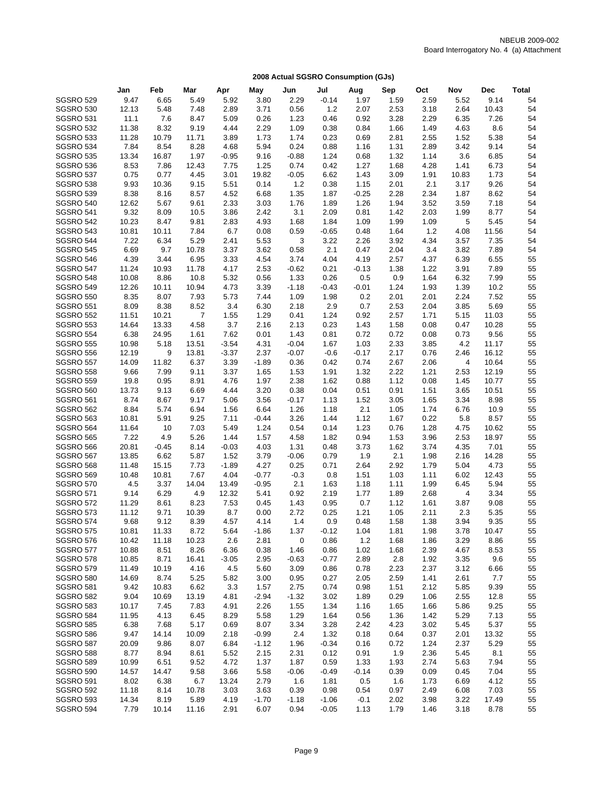|                                      | Jan           | Feb           | Mar            | Apr          | May             | Jun          | Jul             | Aug          | Sep          | Oct          | Nov          | <b>Dec</b>     | <b>Total</b> |
|--------------------------------------|---------------|---------------|----------------|--------------|-----------------|--------------|-----------------|--------------|--------------|--------------|--------------|----------------|--------------|
| <b>SGSRO 529</b>                     | 9.47          | 6.65          | 5.49           | 5.92         | 3.80            | 2.29         | $-0.14$         | 1.97         | 1.59         | 2.59         | 5.52         | 9.14           | 54           |
| <b>SGSRO 530</b>                     | 12.13         | 5.48          | 7.48           | 2.89         | 3.71            | 0.56         | 1.2             | 2.07         | 2.53         | 3.18         | 2.64         | 10.43          | 54           |
| <b>SGSRO 531</b>                     | 11.1          | 7.6           | 8.47           | 5.09         | 0.26            | 1.23         | 0.46            | 0.92         | 3.28         | 2.29         | 6.35         | 7.26           | 54           |
| <b>SGSRO 532</b>                     | 11.38         | 8.32          | 9.19           | 4.44         | 2.29            | 1.09         | 0.38            | 0.84         | 1.66         | 1.49         | 4.63         | 8.6            | 54           |
| SGSRO 533                            | 11.28         | 10.79         | 11.71          | 3.89         | 1.73            | 1.74         | 0.23            | 0.69         | 2.81         | 2.55         | 1.52         | 5.38           | 54           |
| SGSRO 534                            | 7.84          | 8.54          | 8.28           | 4.68         | 5.94            | 0.24         | 0.88            | 1.16         | 1.31         | 2.89         | 3.42         | 9.14           | 54           |
| <b>SGSRO 535</b>                     | 13.34         | 16.87         | 1.97           | $-0.95$      | 9.16            | $-0.88$      | 1.24            | 0.68         | 1.32         | 1.14         | 3.6          | 6.85           | 54           |
| SGSRO 536                            | 8.53          | 7.86          | 12.43          | 7.75         | 1.25            | 0.74         | 0.42            | 1.27         | 1.68         | 4.28         | 1.41         | 6.73           | 54           |
| SGSRO 537                            | 0.75          | 0.77          | 4.45           | 3.01         | 19.82           | $-0.05$      | 6.62            | 1.43         | 3.09         | 1.91         | 10.83        | 1.73           | 54           |
| SGSRO 538                            | 9.93          | 10.36         | 9.15           | 5.51         | 0.14            | $1.2$        | 0.38            | 1.15         | 2.01         | 2.1          | 3.17         | 9.26           | 54           |
| SGSRO 539                            | 8.38          | 8.16          | 8.57           | 4.52         | 6.68            | 1.35         | 1.87            | $-0.25$      | 2.28         | 2.34         | 1.87         | 8.62           | 54           |
| SGSRO 540                            | 12.62         | 5.67          | 9.61           | 2.33         | 3.03            | 1.76         | 1.89            | 1.26         | 1.94         | 3.52         | 3.59         | 7.18           | 54           |
| <b>SGSRO 541</b>                     | 9.32          | 8.09          | 10.5           | 3.86         | 2.42            | 3.1          | 2.09            | 0.81         | 1.42         | 2.03         | 1.99         | 8.77           | 54           |
| <b>SGSRO 542</b>                     | 10.23         | 8.47          | 9.81           | 2.83         | 4.93            | 1.68         | 1.84            | 1.09         | 1.99         | 1.09         | 5            | 5.45           | 54           |
| <b>SGSRO 543</b><br><b>SGSRO 544</b> | 10.81<br>7.22 | 10.11<br>6.34 | 7.84<br>5.29   | 6.7<br>2.41  | 0.08<br>5.53    | 0.59<br>3    | $-0.65$<br>3.22 | 0.48<br>2.26 | 1.64<br>3.92 | 1.2<br>4.34  | 4.08<br>3.57 | 11.56<br>7.35  | 54<br>54     |
| <b>SGSRO 545</b>                     | 6.69          | 9.7           | 10.78          | 3.37         | 3.62            | 0.58         | 2.1             | 0.47         | 2.04         | 3.4          | 3.82         | 7.89           | 54           |
| <b>SGSRO 546</b>                     | 4.39          | 3.44          | 6.95           | 3.33         | 4.54            | 3.74         | 4.04            | 4.19         | 2.57         | 4.37         | 6.39         | 6.55           | 55           |
| <b>SGSRO 547</b>                     | 11.24         | 10.93         | 11.78          | 4.17         | 2.53            | $-0.62$      | 0.21            | $-0.13$      | 1.38         | 1.22         | 3.91         | 7.89           | 55           |
| <b>SGSRO 548</b>                     | 10.08         | 8.86          | 10.8           | 5.32         | 0.56            | 1.33         | 0.26            | 0.5          | 0.9          | 1.64         | 6.32         | 7.99           | 55           |
| <b>SGSRO 549</b>                     | 12.26         | 10.11         | 10.94          | 4.73         | 3.39            | $-1.18$      | $-0.43$         | $-0.01$      | 1.24         | 1.93         | 1.39         | 10.2           | 55           |
| <b>SGSRO 550</b>                     | 8.35          | 8.07          | 7.93           | 5.73         | 7.44            | 1.09         | 1.98            | 0.2          | 2.01         | 2.01         | 2.24         | 7.52           | 55           |
| <b>SGSRO 551</b>                     | 8.09          | 8.38          | 8.52           | 3.4          | 6.30            | 2.18         | 2.9             | 0.7          | 2.53         | 2.04         | 3.85         | 5.69           | 55           |
| <b>SGSRO 552</b>                     | 11.51         | 10.21         | $\overline{7}$ | 1.55         | 1.29            | 0.41         | 1.24            | 0.92         | 2.57         | 1.71         | 5.15         | 11.03          | 55           |
| <b>SGSRO 553</b>                     | 14.64         | 13.33         | 4.58           | 3.7          | 2.16            | 2.13         | 0.23            | 1.43         | 1.58         | 0.08         | 0.47         | 10.28          | 55           |
| <b>SGSRO 554</b>                     | 6.38          | 24.95         | 1.61           | 7.62         | 0.01            | 1.43         | 0.81            | 0.72         | 0.72         | 0.08         | 0.73         | 9.56           | 55           |
| <b>SGSRO 555</b>                     | 10.98         | 5.18          | 13.51          | $-3.54$      | 4.31            | $-0.04$      | 1.67            | 1.03         | 2.33         | 3.85         | 4.2          | 11.17          | 55           |
| <b>SGSRO 556</b>                     | 12.19         | 9             | 13.81          | $-3.37$      | 2.37            | $-0.07$      | $-0.6$          | $-0.17$      | 2.17         | 0.76         | 2.46         | 16.12          | 55           |
| <b>SGSRO 557</b>                     | 14.09         | 11.82         | 6.37           | 3.39         | $-1.89$         | 0.36         | 0.42            | 0.74         | 2.67         | 2.06         | 4            | 10.64          | 55           |
| <b>SGSRO 558</b>                     | 9.66          | 7.99          | 9.11           | 3.37         | 1.65            | 1.53         | 1.91            | 1.32         | 2.22         | 1.21         | 2.53         | 12.19          | 55           |
| <b>SGSRO 559</b>                     | 19.8          | 0.95          | 8.91           | 4.76         | 1.97            | 2.38         | 1.62            | 0.88         | 1.12         | 0.08         | 1.45         | 10.77          | 55           |
| <b>SGSRO 560</b>                     | 13.73         | 9.13          | 6.69           | 4.44         | 3.20            | 0.38         | 0.04            | 0.51         | 0.91         | 1.51         | 3.65         | 10.51          | 55           |
| SGSRO 561                            | 8.74          | 8.67          | 9.17           | 5.06         | 3.56            | $-0.17$      | 1.13            | 1.52         | 3.05         | 1.65         | 3.34         | 8.98           | 55           |
| <b>SGSRO 562</b>                     | 8.84          | 5.74          | 6.94           | 1.56         | 6.64            | 1.26         | 1.18            | 2.1          | 1.05         | 1.74         | 6.76         | 10.9           | 55           |
| <b>SGSRO 563</b>                     | 10.81         | 5.91          | 9.25           | 7.11         | $-0.44$         | 3.26         | 1.44            | 1.12<br>1.23 | 1.67         | 0.22         | 5.8          | 8.57           | 55<br>55     |
| <b>SGSRO 564</b><br><b>SGSRO 565</b> | 11.64<br>7.22 | 10<br>4.9     | 7.03<br>5.26   | 5.49<br>1.44 | 1.24<br>1.57    | 0.54<br>4.58 | 0.14<br>1.82    | 0.94         | 0.76<br>1.53 | 1.28<br>3.96 | 4.75<br>2.53 | 10.62<br>18.97 | 55           |
| <b>SGSRO 566</b>                     | 20.81         | $-0.45$       | 8.14           | $-0.03$      | 4.03            | 1.31         | 0.48            | 3.73         | 1.62         | 3.74         | 4.35         | 7.01           | 55           |
| <b>SGSRO 567</b>                     | 13.85         | 6.62          | 5.87           | 1.52         | 3.79            | $-0.06$      | 0.79            | 1.9          | 2.1          | 1.98         | 2.16         | 14.28          | 55           |
| <b>SGSRO 568</b>                     | 11.48         | 15.15         | 7.73           | $-1.89$      | 4.27            | 0.25         | 0.71            | 2.64         | 2.92         | 1.79         | 5.04         | 4.73           | 55           |
| <b>SGSRO 569</b>                     | 10.48         | 10.81         | 7.67           | 4.04         | $-0.77$         | $-0.3$       | 0.8             | 1.51         | 1.03         | 1.11         | 6.02         | 12.43          | 55           |
| <b>SGSRO 570</b>                     | 4.5           | 3.37          | 14.04          | 13.49        | $-0.95$         | 2.1          | 1.63            | 1.18         | 1.11         | 1.99         | 6.45         | 5.94           | 55           |
| <b>SGSRO 571</b>                     | 9.14          | 6.29          | 4.9            | 12.32        | 5.41            | 0.92         | 2.19            | 1.77         | 1.89         | 2.68         | 4            | 3.34           | 55           |
| <b>SGSRO 572</b>                     | 11.29         | 8.61          | 8.23           | 7.53         | 0.45            | 1.43         | 0.95            | 0.7          | 1.12         | 1.61         | 3.87         | 9.08           | 55           |
| SGSRO 573                            | 11.12         | 9.71          | 10.39          | 8.7          | 0.00            | 2.72         | 0.25            | 1.21         | 1.05         | 2.11         | 2.3          | 5.35           | 55           |
| <b>SGSRO 574</b>                     | 9.68          | 9.12          | 8.39           | 4.57         | 4.14            | 1.4          | 0.9             | 0.48         | 1.58         | 1.38         | 3.94         | 9.35           | 55           |
| SGSRO 575                            | 10.81         | 11.33         | 8.72           | 5.64         | $-1.86$         | 1.37         | $-0.12$         | 1.04         | 1.81         | 1.98         | 3.78         | 10.47          | 55           |
| <b>SGSRO 576</b>                     | 10.42         | 11.18         | 10.23          | 2.6          | 2.81            | 0            | 0.86            | $1.2$        | 1.68         | 1.86         | 3.29         | 8.86           | 55           |
| <b>SGSRO 577</b>                     | 10.88         | 8.51          | 8.26           | 6.36         | 0.38            | 1.46         | 0.86            | 1.02         | 1.68         | 2.39         | 4.67         | 8.53           | 55           |
| <b>SGSRO 578</b>                     | 10.85         | 8.71          | 16.41          | $-3.05$      | 2.95            | $-0.63$      | $-0.77$         | 2.89         | 2.8          | 1.92         | 3.35         | 9.6            | 55           |
| <b>SGSRO 579</b>                     | 11.49         | 10.19         | 4.16           | 4.5          | 5.60            | 3.09         | 0.86            | 0.78         | 2.23         | 2.37         | 3.12         | 6.66           | 55           |
| <b>SGSRO 580</b>                     | 14.69         | 8.74          | 5.25           | 5.82         | 3.00            | 0.95         | 0.27            | 2.05         | 2.59         | 1.41         | 2.61         | 7.7            | 55           |
| <b>SGSRO 581</b>                     | 9.42          | 10.83         | 6.62           | 3.3          | 1.57            | 2.75         | 0.74            | 0.98         | 1.51         | 2.12         | 5.85         | 9.39           | 55           |
| <b>SGSRO 582</b>                     | 9.04          | 10.69         | 13.19          | 4.81         | $-2.94$         | $-1.32$      | 3.02            | 1.89         | 0.29         | 1.06         | 2.55         | 12.8           | 55           |
| <b>SGSRO 583</b>                     | 10.17         | 7.45          | 7.83           | 4.91         | 2.26            | 1.55         | 1.34            | 1.16         | 1.65         | 1.66         | 5.86         | 9.25           | 55           |
| <b>SGSRO 584</b>                     | 11.95         | 4.13          | 6.45           | 8.29         | 5.58            | 1.29         | 1.64            | 0.56         | 1.36         | 1.42         | 5.29         | 7.13           | 55           |
| <b>SGSRO 585</b><br><b>SGSRO 586</b> | 6.38<br>9.47  | 7.68<br>14.14 | 5.17<br>10.09  | 0.69<br>2.18 | 8.07<br>$-0.99$ | 3.34<br>2.4  | 3.28<br>1.32    | 2.42<br>0.18 | 4.23<br>0.64 | 3.02<br>0.37 | 5.45<br>2.01 | 5.37<br>13.32  | 55<br>55     |
| SGSRO 587                            | 20.09         | 9.86          | 8.07           | 6.84         | $-1.12$         | 1.96         | $-0.34$         | 0.16         | 0.72         | 1.24         | 2.37         | 5.29           | 55           |
| <b>SGSRO 588</b>                     | 8.77          | 8.94          | 8.61           | 5.52         | 2.15            | 2.31         | 0.12            | 0.91         | 1.9          | 2.36         | 5.45         | 8.1            | 55           |
| <b>SGSRO 589</b>                     | 10.99         | 6.51          | 9.52           | 4.72         | 1.37            | 1.87         | 0.59            | 1.33         | 1.93         | 2.74         | 5.63         | 7.94           | 55           |
| <b>SGSRO 590</b>                     | 14.57         | 14.47         | 9.58           | 3.66         | 5.58            | $-0.06$      | $-0.49$         | $-0.14$      | 0.39         | 0.09         | 0.45         | 7.04           | 55           |
| <b>SGSRO 591</b>                     | 8.02          | 6.38          | 6.7            | 13.24        | 2.79            | 1.6          | 1.81            | 0.5          | 1.6          | 1.73         | 6.69         | 4.12           | 55           |
| <b>SGSRO 592</b>                     | 11.18         | 8.14          | 10.78          | 3.03         | 3.63            | 0.39         | 0.98            | 0.54         | 0.97         | 2.49         | 6.08         | 7.03           | 55           |
| <b>SGSRO 593</b>                     | 14.34         | 8.19          | 5.89           | 4.19         | $-1.70$         | $-1.18$      | $-1.06$         | $-0.1$       | 2.02         | 3.98         | 3.22         | 17.49          | 55           |
| <b>SGSRO 594</b>                     | 7.79          | 10.14         | 11.16          | 2.91         | 6.07            | 0.94         | $-0.05$         | 1.13         | 1.79         | 1.46         | 3.18         | 8.78           | 55           |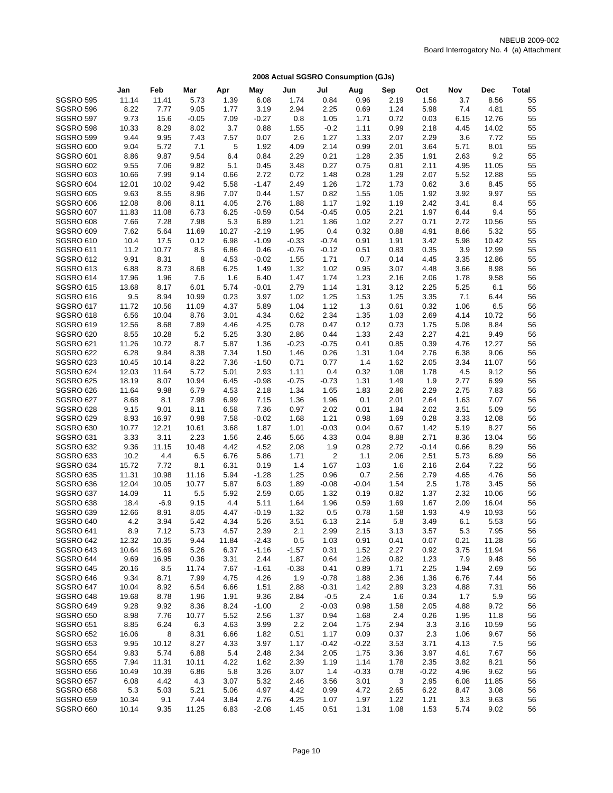|                                      | Jan           | Feb           | Mar          | Apr          | May          | Jun          | Jul            | Aug          | Sep          | Oct          | Nov          | <b>Dec</b>   | <b>Total</b> |
|--------------------------------------|---------------|---------------|--------------|--------------|--------------|--------------|----------------|--------------|--------------|--------------|--------------|--------------|--------------|
| <b>SGSRO 595</b>                     | 11.14         | 11.41         | 5.73         | 1.39         | 6.08         | 1.74         | 0.84           | 0.96         | 2.19         | 1.56         | 3.7          | 8.56         | 55           |
| SGSRO 596                            | 8.22          | 7.77          | 9.05         | 1.77         | 3.19         | 2.94         | 2.25           | 0.69         | 1.24         | 5.98         | 7.4          | 4.81         | 55           |
| SGSRO 597                            | 9.73          | 15.6          | $-0.05$      | 7.09         | $-0.27$      | 0.8          | 1.05           | 1.71         | 0.72         | 0.03         | 6.15         | 12.76        | 55           |
| SGSRO 598                            | 10.33         | 8.29          | 8.02         | 3.7          | 0.88         | 1.55         | $-0.2$         | 1.11         | 0.99         | 2.18         | 4.45         | 14.02        | 55           |
| SGSRO 599                            | 9.44          | 9.95          | 7.43         | 7.57         | 0.07         | 2.6          | 1.27           | 1.33         | 2.07         | 2.29         | 3.6          | 7.72         | 55           |
| SGSRO 600                            | 9.04          | 5.72          | 7.1          | 5            | 1.92         | 4.09         | 2.14           | 0.99         | 2.01         | 3.64         | 5.71         | 8.01         | 55           |
| <b>SGSRO 601</b>                     | 8.86          | 9.87          | 9.54         | 6.4          | 0.84         | 2.29         | 0.21           | 1.28         | 2.35         | 1.91         | 2.63         | 9.2          | 55           |
| <b>SGSRO 602</b>                     | 9.55          | 7.06          | 9.82         | 5.1          | 0.45         | 3.48         | 0.27           | 0.75         | 0.81         | 2.11         | 4.95         | 11.05        | 55           |
| <b>SGSRO 603</b>                     | 10.66         | 7.99          | 9.14         | 0.66         | 2.72         | 0.72         | 1.48           | 0.28         | 1.29         | 2.07         | 5.52         | 12.88        | 55           |
| SGSRO 604                            | 12.01         | 10.02         | 9.42         | 5.58         | $-1.47$      | 2.49         | 1.26           | 1.72         | 1.73         | 0.62         | 3.6          | 8.45         | 55           |
| <b>SGSRO 605</b>                     | 9.63          | 8.55          | 8.96         | 7.07         | 0.44         | 1.57         | 0.82           | 1.55         | 1.05         | 1.92         | 3.92         | 9.97         | 55           |
| SGSRO 606                            | 12.08         | 8.06          | 8.11         | 4.05         | 2.76         | 1.88         | 1.17           | 1.92         | 1.19         | 2.42         | 3.41         | 8.4          | 55           |
| <b>SGSRO 607</b>                     | 11.83         | 11.08         | 6.73         | 6.25         | $-0.59$      | 0.54         | $-0.45$        | 0.05         | 2.21         | 1.97         | 6.44         | 9.4          | 55           |
| SGSRO 608                            | 7.66          | 7.28          | 7.98         | 5.3          | 6.89         | 1.21         | 1.86           | 1.02         | 2.27         | 0.71         | 2.72         | 10.56        | 55           |
| SGSRO 609                            | 7.62          | 5.64          | 11.69        | 10.27        | $-2.19$      | 1.95         | 0.4            | 0.32         | 0.88         | 4.91         | 8.66         | 5.32         | 55           |
| <b>SGSRO 610</b>                     | 10.4          | 17.5          | 0.12         | 6.98         | $-1.09$      | $-0.33$      | $-0.74$        | 0.91         | 1.91         | 3.42         | 5.98         | 10.42        | 55           |
| <b>SGSRO 611</b>                     | 11.2          | 10.77         | 8.5          | 6.86         | 0.46         | $-0.76$      | $-0.12$        | 0.51         | 0.83         | 0.35         | 3.9          | 12.99        | 55           |
| <b>SGSRO 612</b>                     | 9.91          | 8.31          | 8            | 4.53         | $-0.02$      | 1.55         | 1.71           | 0.7          | 0.14         | 4.45         | 3.35         | 12.86        | 55           |
| SGSRO 613                            | 6.88          | 8.73          | 8.68         | 6.25         | 1.49         | 1.32         | 1.02           | 0.95         | 3.07         | 4.48         | 3.66         | 8.98         | 56           |
| SGSRO 614                            | 17.96         | 1.96          | 7.6          | 1.6          | 6.40         | 1.47         | 1.74           | 1.23         | 2.16         | 2.06         | 1.78         | 9.58         | 56           |
| <b>SGSRO 615</b>                     | 13.68         | 8.17          | 6.01         | 5.74         | $-0.01$      | 2.79         | 1.14           | 1.31         | 3.12         | 2.25         | 5.25         | 6.1          | 56           |
| SGSRO 616                            | 9.5           | 8.94          | 10.99        | 0.23         | 3.97         | 1.02         | 1.25           | 1.53         | 1.25         | 3.35         | 7.1          | 6.44         | 56           |
| <b>SGSRO 617</b>                     | 11.72         | 10.56         | 11.09        | 4.37         | 5.89         | 1.04<br>0.62 | 1.12<br>2.34   | 1.3<br>1.35  | 0.61         | 0.32<br>2.69 | 1.06<br>4.14 | 6.5<br>10.72 | 56<br>56     |
| SGSRO 618                            | 6.56          | 10.04         | 8.76         | 3.01<br>4.46 | 4.34<br>4.25 |              | 0.47           |              | 1.03         |              |              | 8.84         |              |
| <b>SGSRO 619</b><br><b>SGSRO 620</b> | 12.56<br>8.55 | 8.68<br>10.28 | 7.89<br>5.2  | 5.25         | 3.30         | 0.78<br>2.86 | 0.44           | 0.12<br>1.33 | 0.73<br>2.43 | 1.75<br>2.27 | 5.08<br>4.21 | 9.49         | 56<br>56     |
| <b>SGSRO 621</b>                     | 11.26         | 10.72         | 8.7          | 5.87         | 1.36         | $-0.23$      | $-0.75$        | 0.41         | 0.85         | 0.39         | 4.76         | 12.27        | 56           |
| SGSRO 622                            | 6.28          | 9.84          | 8.38         | 7.34         | 1.50         | 1.46         | 0.26           | 1.31         | 1.04         | 2.76         | 6.38         | 9.06         | 56           |
| SGSRO 623                            | 10.45         | 10.14         | 8.22         | 7.36         | $-1.50$      | 0.71         | 0.77           | 1.4          | 1.62         | 2.05         | 3.34         | 11.07        | 56           |
| SGSRO 624                            | 12.03         | 11.64         | 5.72         | 5.01         | 2.93         | 1.11         | 0.4            | 0.32         | 1.08         | 1.78         | 4.5          | 9.12         | 56           |
| SGSRO 625                            | 18.19         | 8.07          | 10.94        | 6.45         | $-0.98$      | $-0.75$      | $-0.73$        | 1.31         | 1.49         | 1.9          | 2.77         | 6.99         | 56           |
| SGSRO 626                            | 11.64         | 9.98          | 6.79         | 4.53         | 2.18         | 1.34         | 1.65           | 1.83         | 2.86         | 2.29         | 2.75         | 7.83         | 56           |
| <b>SGSRO 627</b>                     | 8.68          | 8.1           | 7.98         | 6.99         | 7.15         | 1.36         | 1.96           | 0.1          | 2.01         | 2.64         | 1.63         | 7.07         | 56           |
| SGSRO 628                            | 9.15          | 9.01          | 8.11         | 6.58         | 7.36         | 0.97         | 2.02           | 0.01         | 1.84         | 2.02         | 3.51         | 5.09         | 56           |
| SGSRO 629                            | 8.93          | 16.97         | 0.98         | 7.58         | $-0.02$      | 1.68         | 1.21           | 0.98         | 1.69         | 0.28         | 3.33         | 12.08        | 56           |
| SGSRO 630                            | 10.77         | 12.21         | 10.61        | 3.68         | 1.87         | 1.01         | $-0.03$        | 0.04         | 0.67         | 1.42         | 5.19         | 8.27         | 56           |
| SGSRO 631                            | 3.33          | 3.11          | 2.23         | 1.56         | 2.46         | 5.66         | 4.33           | 0.04         | 8.88         | 2.71         | 8.36         | 13.04        | 56           |
| SGSRO 632                            | 9.36          | 11.15         | 10.48        | 4.42         | 4.52         | 2.08         | 1.9            | 0.28         | 2.72         | $-0.14$      | 0.66         | 8.29         | 56           |
| SGSRO 633                            | 10.2          | 4.4           | 6.5          | 6.76         | 5.86         | 1.71         | $\overline{2}$ | 1.1          | 2.06         | 2.51         | 5.73         | 6.89         | 56           |
| SGSRO 634                            | 15.72         | 7.72          | 8.1          | 6.31         | 0.19         | 1.4          | 1.67           | 1.03         | 1.6          | 2.16         | 2.64         | 7.22         | 56           |
| <b>SGSRO 635</b>                     | 11.31         | 10.98         | 11.16        | 5.94         | $-1.28$      | 1.25         | 0.96           | 0.7          | 2.56         | 2.79         | 4.65         | 4.76         | 56           |
| SGSRO 636                            | 12.04         | 10.05         | 10.77        | 5.87         | 6.03         | 1.89         | $-0.08$        | $-0.04$      | 1.54         | 2.5          | 1.78         | 3.45         | 56           |
| SGSRO 637                            | 14.09         | 11            | 5.5          | 5.92         | 2.59         | 0.65         | 1.32           | 0.19         | 0.82         | 1.37         | 2.32         | 10.06        | 56           |
| SGSRO 638                            | 18.4          | $-6.9$        | 9.15         | 4.4          | 5.11         | 1.64         | 1.96           | 0.59         | 1.69         | 1.67         | 2.09         | 16.04        | 56           |
| SGSRO 639                            | 12.66         | 8.91          | 8.05         | 4.47         | $-0.19$      | 1.32         | 0.5            | 0.78         | 1.58         | 1.93         | 4.9          | 10.93        | 56           |
| SGSRO 640                            | 4.2           | 3.94          | 5.42         | 4.34         | 5.26         | 3.51         | 6.13           | 2.14         | 5.8          | 3.49         | 6.1          | 5.53         | 56           |
| SGSRO 641                            | 8.9           | 7.12          | 5.73         | 4.57         | 2.39         | 2.1          | 2.99           | 2.15         | 3.13         | 3.57         | 5.3          | 7.95         | 56           |
| <b>SGSRO 642</b>                     | 12.32         | 10.35         | 9.44         | 11.84        | $-2.43$      | 0.5          | 1.03           | 0.91         | 0.41         | 0.07         | 0.21         | 11.28        | 56           |
| SGSRO 643                            | 10.64         | 15.69         | 5.26         | 6.37         | $-1.16$      | $-1.57$      | 0.31           | 1.52         | 2.27         | 0.92         | 3.75         | 11.94        | 56           |
| SGSRO 644                            | 9.69          | 16.95         | 0.36         | 3.31         | 2.44         | 1.87         | 0.64           | 1.26         | 0.82         | 1.23         | 7.9          | 9.48         | 56           |
| <b>SGSRO 645</b>                     | 20.16         | 8.5           | 11.74        | 7.67         | $-1.61$      | $-0.38$      | 0.41           | 0.89         | 1.71         | 2.25         | 1.94         | 2.69         | 56           |
| SGSRO 646                            | 9.34          | 8.71          | 7.99         | 4.75         | 4.26         | 1.9          | $-0.78$        | 1.88         | 2.36         | 1.36         | 6.76         | 7.44         | 56           |
| SGSRO 647                            | 10.04         | 8.92          | 6.54         | 6.66         | 1.51         | 2.88         | $-0.31$        | 1.42         | 2.89         | 3.23         | 4.88         | 7.31         | 56           |
| SGSRO 648                            | 19.68         | 8.78          | 1.96         | 1.91         | 9.36         | 2.84         | $-0.5$         | 2.4          | 1.6          | 0.34         | 1.7          | 5.9          | 56           |
| SGSRO 649                            | 9.28          | 9.92          | 8.36         | 8.24         | $-1.00$      | 2            | $-0.03$        | 0.98         | 1.58         | 2.05         | 4.88         | 9.72         | 56           |
| <b>SGSRO 650</b>                     | 8.98          | 7.76          | 10.77        | 5.52         | 2.56         | 1.37         | 0.94           | 1.68         | 2.4          | 0.26         | 1.95         | 11.8         | 56           |
| <b>SGSRO 651</b>                     | 8.85          | 6.24          | 6.3          | 4.63         | 3.99         | 2.2          | 2.04           | 1.75         | 2.94         | 3.3          | 3.16         | 10.59        | 56           |
| SGSRO 652                            | 16.06         | 8             | 8.31         | 6.66         | 1.82         | 0.51         | 1.17           | 0.09         | 0.37         | 2.3          | 1.06         | 9.67         | 56           |
| <b>SGSRO 653</b>                     | 9.95          | 10.12         | 8.27         | 4.33         | 3.97         | 1.17         | $-0.42$        | $-0.22$      | 3.53         | 3.71         | 4.13         | 7.5          | 56           |
| SGSRO 654                            | 9.83          | 5.74          | 6.88         | 5.4          | 2.48         | 2.34         | 2.05           | 1.75         | 3.36         | 3.97         | 4.61         | 7.67         | 56           |
| <b>SGSRO 655</b>                     | 7.94          | 11.31         | 10.11        | 4.22         | 1.62         | 2.39         | 1.19           | 1.14         | 1.78         | 2.35         | 3.82         | 8.21         | 56           |
| <b>SGSRO 656</b>                     | 10.49         | 10.39         | 6.86         | 5.8          | 3.26         | 3.07         | 1.4            | $-0.33$      | 0.78         | $-0.22$      | 4.96         | 9.62         | 56           |
| SGSRO 657                            | 6.08          | 4.42          | 4.3          | 3.07         | 5.32         | 2.46         | 3.56           | 3.01         | 3            | 2.95         | 6.08         | 11.85        | 56           |
| <b>SGSRO 658</b><br><b>SGSRO 659</b> | 5.3<br>10.34  | 5.03<br>9.1   | 5.21<br>7.44 | 5.06<br>3.84 | 4.97<br>2.76 | 4.42<br>4.25 | 0.99           | 4.72<br>1.97 | 2.65<br>1.22 | 6.22<br>1.21 | 8.47         | 3.08<br>9.63 | 56           |
| SGSRO 660                            | 10.14         | 9.35          | 11.25        | 6.83         | $-2.08$      | 1.45         | 1.07<br>0.51   | 1.31         | 1.08         | 1.53         | 3.3<br>5.74  | 9.02         | 56<br>56     |
|                                      |               |               |              |              |              |              |                |              |              |              |              |              |              |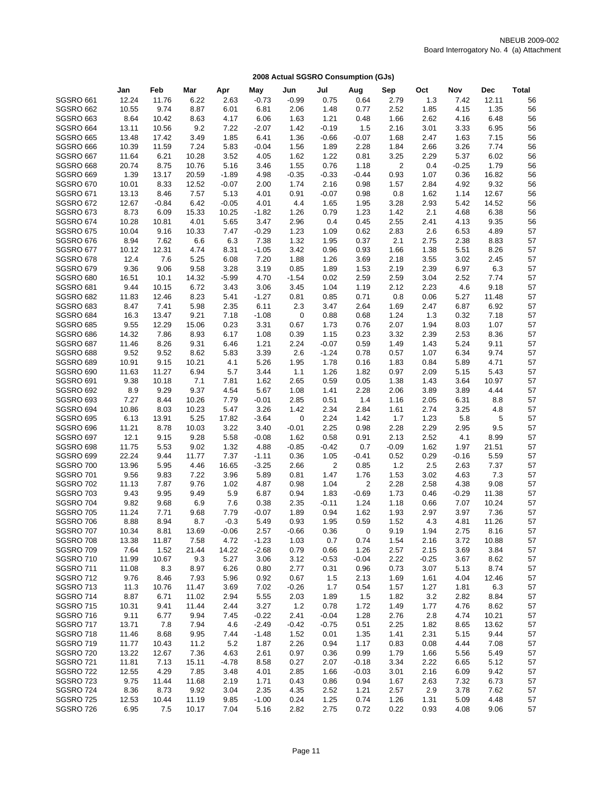|                               | Jan            | Feb            | Mar           | Apr          | May             | Jun             | Jul          | Aug            | Sep            | Oct          | Nov          | <b>Dec</b>   | <b>Total</b> |
|-------------------------------|----------------|----------------|---------------|--------------|-----------------|-----------------|--------------|----------------|----------------|--------------|--------------|--------------|--------------|
| SGSRO 661                     | 12.24          | 11.76          | 6.22          | 2.63         | $-0.73$         | $-0.99$         | 0.75         | 0.64           | 2.79           | 1.3          | 7.42         | 12.11        | 56           |
| SGSRO 662                     | 10.55          | 9.74           | 8.87          | 6.01         | 6.81            | 2.06            | 1.48         | 0.77           | 2.52           | 1.85         | 4.15         | 1.35         | 56           |
| <b>SGSRO 663</b>              | 8.64           | 10.42          | 8.63          | 4.17         | 6.06            | 1.63            | 1.21         | 0.48           | 1.66           | 2.62         | 4.16         | 6.48         | 56           |
| <b>SGSRO 664</b>              | 13.11          | 10.56          | 9.2           | 7.22         | $-2.07$         | 1.42            | $-0.19$      | 1.5            | 2.16           | 3.01         | 3.33         | 6.95         | 56           |
| SGSRO 665                     | 13.48          | 17.42          | 3.49          | 1.85         | 6.41            | 1.36            | $-0.66$      | $-0.07$        | 1.68           | 2.47         | 1.63         | 7.15         | 56           |
| SGSRO 666                     | 10.39          | 11.59          | 7.24          | 5.83         | $-0.04$         | 1.56            | 1.89         | 2.28           | 1.84           | 2.66         | 3.26         | 7.74         | 56           |
| SGSRO 667                     | 11.64          | 6.21           | 10.28         | 3.52         | 4.05            | 1.62            | 1.22         | 0.81           | 3.25           | 2.29         | 5.37         | 6.02         | 56           |
| SGSRO 668                     | 20.74          | 8.75           | 10.76         | 5.16         | 3.46            | 1.55            | 0.76         | 1.18           | $\overline{2}$ | 0.4          | $-0.25$      | 1.79         | 56           |
| SGSRO 669                     | 1.39           | 13.17          | 20.59         | $-1.89$      | 4.98            | $-0.35$         | $-0.33$      | $-0.44$        | 0.93           | 1.07         | 0.36         | 16.82        | 56           |
| <b>SGSRO 670</b>              | 10.01          | 8.33           | 12.52         | $-0.07$      | 2.00            | 1.74            | 2.16         | 0.98           | 1.57           | 2.84         | 4.92         | 9.32         | 56           |
| <b>SGSRO 671</b>              | 13.13          | 8.46           | 7.57          | 5.13         | 4.01            | 0.91            | $-0.07$      | 0.98           | 0.8            | 1.62         | 1.14         | 12.67        | 56           |
| <b>SGSRO 672</b>              | 12.67          | $-0.84$        | 6.42          | $-0.05$      | 4.01            | 4.4             | 1.65         | 1.95           | 3.28           | 2.93         | 5.42         | 14.52        | 56           |
| <b>SGSRO 673</b>              | 8.73           | 6.09           | 15.33         | 10.25        | $-1.82$         | 1.26            | 0.79         | 1.23           | 1.42           | 2.1          | 4.68         | 6.38         | 56           |
| SGSRO 674                     | 10.28          | 10.81          | 4.01          | 5.65         | 3.47            | 2.96            | 0.4          | 0.45           | 2.55           | 2.41         | 4.13         | 9.35         | 56           |
| SGSRO 675                     | 10.04          | 9.16           | 10.33         | 7.47<br>6.3  | $-0.29$         | 1.23<br>1.32    | 1.09         | 0.62           | 2.83           | 2.6<br>2.75  | 6.53         | 4.89         | 57<br>57     |
| SGSRO 676<br>SGSRO 677        | 8.94<br>10.12  | 7.62<br>12.31  | 6.6<br>4.74   | 8.31         | 7.38<br>$-1.05$ | 3.42            | 1.95<br>0.96 | 0.37<br>0.93   | 2.1<br>1.66    | 1.38         | 2.38<br>5.51 | 8.83<br>8.26 | 57           |
| SGSRO 678                     | 12.4           | 7.6            | 5.25          | 6.08         | 7.20            | 1.88            | 1.26         | 3.69           | 2.18           | 3.55         | 3.02         | 2.45         | 57           |
| SGSRO 679                     | 9.36           | 9.06           | 9.58          | 3.28         | 3.19            | 0.85            | 1.89         | 1.53           | 2.19           | 2.39         | 6.97         | 6.3          | 57           |
| SGSRO 680                     | 16.51          | 10.1           | 14.32         | $-5.99$      | 4.70            | $-1.54$         | 0.02         | 2.59           | 2.59           | 3.04         | 2.52         | 7.74         | 57           |
| SGSRO 681                     | 9.44           | 10.15          | 6.72          | 3.43         | 3.06            | 3.45            | 1.04         | 1.19           | 2.12           | 2.23         | 4.6          | 9.18         | 57           |
| SGSRO 682                     | 11.83          | 12.46          | 8.23          | 5.41         | $-1.27$         | 0.81            | 0.85         | 0.71           | 0.8            | 0.06         | 5.27         | 11.48        | 57           |
| <b>SGSRO 683</b>              | 8.47           | 7.41           | 5.98          | 2.35         | 6.11            | 2.3             | 3.47         | 2.64           | 1.69           | 2.47         | 6.87         | 6.92         | 57           |
| <b>SGSRO 684</b>              | 16.3           | 13.47          | 9.21          | 7.18         | $-1.08$         | $\mathbf 0$     | 0.88         | 0.68           | 1.24           | 1.3          | 0.32         | 7.18         | 57           |
| <b>SGSRO 685</b>              | 9.55           | 12.29          | 15.06         | 0.23         | 3.31            | 0.67            | 1.73         | 0.76           | 2.07           | 1.94         | 8.03         | 1.07         | 57           |
| <b>SGSRO 686</b>              | 14.32          | 7.86           | 8.93          | 6.17         | 1.08            | 0.39            | 1.15         | 0.23           | 3.32           | 2.39         | 2.53         | 8.36         | 57           |
| SGSRO 687                     | 11.46          | 8.26           | 9.31          | 6.46         | 1.21            | 2.24            | $-0.07$      | 0.59           | 1.49           | 1.43         | 5.24         | 9.11         | 57           |
| SGSRO 688                     | 9.52           | 9.52           | 8.62          | 5.83         | 3.39            | 2.6             | $-1.24$      | 0.78           | 0.57           | 1.07         | 6.34         | 9.74         | 57           |
| <b>SGSRO 689</b>              | 10.91          | 9.15           | 10.21         | 4.1          | 5.26            | 1.95            | 1.78         | 0.16           | 1.83           | 0.84         | 5.89         | 4.71         | 57           |
| <b>SGSRO 690</b>              | 11.63          | 11.27          | 6.94          | 5.7          | 3.44            | 1.1             | 1.26         | 1.82           | 0.97           | 2.09         | 5.15         | 5.43         | 57           |
| <b>SGSRO 691</b>              | 9.38           | 10.18          | 7.1           | 7.81         | 1.62            | 2.65            | 0.59         | 0.05           | 1.38           | 1.43         | 3.64         | 10.97        | 57           |
| <b>SGSRO 692</b>              | 8.9            | 9.29           | 9.37          | 4.54         | 5.67            | 1.08            | 1.41         | 2.28           | 2.06           | 3.89         | 3.89         | 4.44         | 57           |
| SGSRO 693                     | 7.27           | 8.44           | 10.26         | 7.79         | $-0.01$         | 2.85            | 0.51         | 1.4            | 1.16           | 2.05         | 6.31         | 8.8          | 57           |
| SGSRO 694                     | 10.86          | 8.03           | 10.23         | 5.47         | 3.26            | 1.42            | 2.34         | 2.84           | 1.61           | 2.74         | 3.25         | 4.8          | 57           |
| <b>SGSRO 695</b>              | 6.13           | 13.91          | 5.25          | 17.82        | $-3.64$         | 0               | 2.24         | 1.42           | 1.7            | 1.23         | 5.8          | 5            | 57           |
| SGSRO 696<br>SGSRO 697        | 11.21<br>12.1  | 8.78<br>9.15   | 10.03<br>9.28 | 3.22<br>5.58 | 3.40<br>$-0.08$ | $-0.01$<br>1.62 | 2.25<br>0.58 | 0.98<br>0.91   | 2.28<br>2.13   | 2.29<br>2.52 | 2.95<br>4.1  | 9.5<br>8.99  | 57<br>57     |
| SGSRO 698                     | 11.75          | 5.53           | 9.02          | 1.32         | 4.88            | $-0.85$         | $-0.42$      | 0.7            | $-0.09$        | 1.62         | 1.97         | 21.51        | 57           |
| SGSRO 699                     | 22.24          | 9.44           | 11.77         | 7.37         | $-1.11$         | 0.36            | 1.05         | $-0.41$        | 0.52           | 0.29         | $-0.16$      | 5.59         | 57           |
| <b>SGSRO 700</b>              | 13.96          | 5.95           | 4.46          | 16.65        | $-3.25$         | 2.66            | 2            | 0.85           | 1.2            | 2.5          | 2.63         | 7.37         | 57           |
| <b>SGSRO 701</b>              | 9.56           | 9.83           | 7.22          | 3.96         | 5.89            | 0.81            | 1.47         | 1.76           | 1.53           | 3.02         | 4.63         | 7.3          | 57           |
| <b>SGSRO 702</b>              | 11.13          | 7.87           | 9.76          | 1.02         | 4.87            | 0.98            | 1.04         | $\overline{2}$ | 2.28           | 2.58         | 4.38         | 9.08         | 57           |
| SGSRO 703                     | 9.43           | 9.95           | 9.49          | 5.9          | 6.87            | 0.94            | 1.83         | $-0.69$        | 1.73           | 0.46         | $-0.29$      | 11.38        | 57           |
| <b>SGSRO 704</b>              | 9.82           | 9.68           | 6.9           | 7.6          | 0.38            | 2.35            | $-0.11$      | 1.24           | 1.18           | 0.66         | 7.07         | 10.24        | 57           |
| <b>SGSRO 705</b>              | 11.24          | 7.71           | 9.68          | 7.79         | $-0.07$         | 1.89            | 0.94         | 1.62           | 1.93           | 2.97         | 3.97         | 7.36         | 57           |
| SGSRO 706                     | 8.88           | 8.94           | 8.7           | $-0.3$       | 5.49            | 0.93            | 1.95         | 0.59           | 1.52           | 4.3          | 4.81         | 11.26        | 57           |
| SGSRO 707                     | 10.34          | 8.81           | 13.69         | $-0.06$      | 2.57            | $-0.66$         | 0.36         | 0              | 9.19           | 1.94         | 2.75         | 8.16         | 57           |
| SGSRO 708                     | 13.38          | 11.87          | 7.58          | 4.72         | $-1.23$         | 1.03            | 0.7          | 0.74           | 1.54           | 2.16         | 3.72         | 10.88        | 57           |
| SGSRO 709                     | 7.64           | 1.52           | 21.44         | 14.22        | $-2.68$         | 0.79            | 0.66         | 1.26           | 2.57           | 2.15         | 3.69         | 3.84         | 57           |
| <b>SGSRO 710</b>              | 11.99          | 10.67          | 9.3           | 5.27         | 3.06            | 3.12            | $-0.53$      | $-0.04$        | 2.22           | $-0.25$      | 3.67         | 8.62         | 57           |
| <b>SGSRO 711</b>              | 11.08          | 8.3            | 8.97          | 6.26         | 0.80            | 2.77            | 0.31         | 0.96           | 0.73           | 3.07         | 5.13         | 8.74         | 57           |
| <b>SGSRO 712</b>              | 9.76           | 8.46           | 7.93          | 5.96         | 0.92            | 0.67            | 1.5          | 2.13           | 1.69           | 1.61         | 4.04         | 12.46        | 57           |
| SGSRO 713                     | 11.3           | 10.76          | 11.47         | 3.69         | 7.02            | $-0.26$         | 1.7          | 0.54           | 1.57           | 1.27         | 1.81         | 6.3          | 57           |
| SGSRO 714                     | 8.87           | 6.71           | 11.02         | 2.94         | 5.55            | 2.03            | 1.89         | 1.5            | 1.82           | 3.2          | 2.82         | 8.84         | 57           |
| <b>SGSRO 715</b>              | 10.31          | 9.41           | 11.44         | 2.44         | 3.27            | 1.2             | 0.78         | 1.72           | 1.49           | 1.77         | 4.76         | 8.62         | 57           |
| SGSRO 716                     | 9.11           | 6.77           | 9.94          | 7.45         | $-0.22$         | 2.41            | $-0.04$      | 1.28           | 2.76           | 2.8          | 4.74         | 10.21        | 57           |
| <b>SGSRO 717</b>              | 13.71          | 7.8            | 7.94          | 4.6          | $-2.49$         | -0.42           | $-0.75$      | 0.51           | 2.25           | 1.82         | 8.65         | 13.62        | 57           |
| SGSRO 718<br><b>SGSRO 719</b> | 11.46          | 8.68           | 9.95          | 7.44<br>5.2  | $-1.48$         | 1.52<br>2.26    | 0.01         | 1.35<br>1.17   | 1.41<br>0.83   | 2.31<br>0.08 | 5.15<br>4.44 | 9.44<br>7.08 | 57<br>57     |
| SGSRO 720                     | 11.77<br>13.22 | 10.43<br>12.67 | 11.2<br>7.36  | 4.63         | 1.87<br>2.61    | 0.97            | 0.94<br>0.36 | 0.99           | 1.79           | 1.66         | 5.56         | 5.49         | 57           |
| <b>SGSRO 721</b>              | 11.81          | 7.13           | 15.11         | -4.78        | 8.58            | 0.27            | 2.07         | $-0.18$        | 3.34           | 2.22         | 6.65         | 5.12         | 57           |
| <b>SGSRO 722</b>              | 12.55          | 4.29           | 7.85          | 3.48         | 4.01            | 2.85            | 1.66         | $-0.03$        | 3.01           | 2.16         | 6.09         | 9.42         | 57           |
| SGSRO 723                     | 9.75           | 11.44          | 11.68         | 2.19         | 1.71            | 0.43            | 0.86         | 0.94           | 1.67           | 2.63         | 7.32         | 6.73         | 57           |
| SGSRO 724                     | 8.36           | 8.73           | 9.92          | 3.04         | 2.35            | 4.35            | 2.52         | 1.21           | 2.57           | 2.9          | 3.78         | 7.62         | 57           |
| SGSRO 725                     | 12.53          | 10.44          | 11.19         | 9.85         | $-1.00$         | 0.24            | 1.25         | 0.74           | 1.26           | 1.31         | 5.09         | 4.48         | 57           |
| SGSRO 726                     | 6.95           | 7.5            | 10.17         | 7.04         | 5.16            | 2.82            | 2.75         | 0.72           | 0.22           | 0.93         | 4.08         | 9.06         | 57           |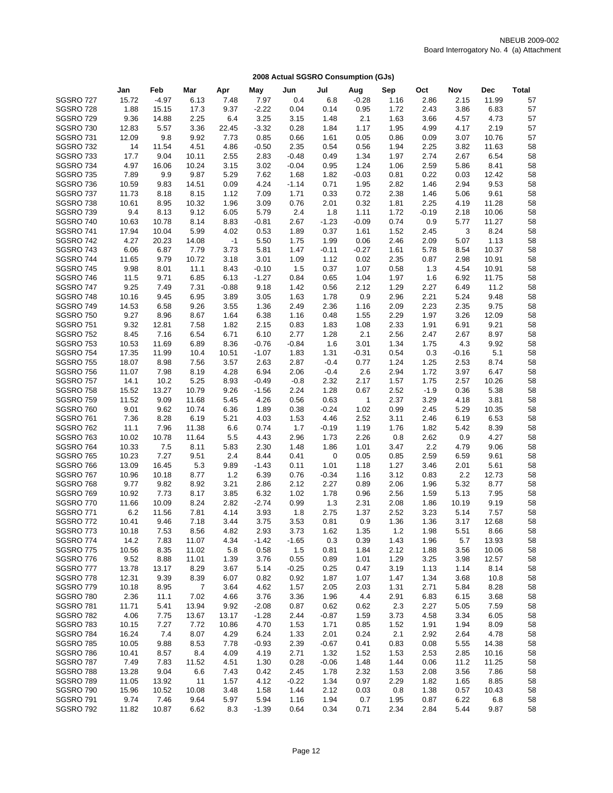|                  | Jan   | Feb     | Mar   | Apr     | May     | Jun     | Jul     | Aug          | Sep  | Oct     | Nov     | <b>Dec</b> | <b>Total</b> |
|------------------|-------|---------|-------|---------|---------|---------|---------|--------------|------|---------|---------|------------|--------------|
| SGSRO 727        | 15.72 | $-4.97$ | 6.13  | 7.48    | 7.97    | 0.4     | 6.8     | $-0.28$      | 1.16 | 2.86    | 2.15    | 11.99      | 57           |
| SGSRO 728        | 1.88  | 15.15   | 17.3  | 9.37    | $-2.22$ | 0.04    | 0.14    | 0.95         | 1.72 | 2.43    | 3.86    | 6.83       | 57           |
| <b>SGSRO 729</b> | 9.36  | 14.88   | 2.25  | 6.4     | 3.25    | 3.15    | 1.48    | 2.1          | 1.63 | 3.66    | 4.57    | 4.73       | 57           |
| SGSRO 730        | 12.83 | 5.57    | 3.36  | 22.45   | $-3.32$ | 0.28    | 1.84    | 1.17         | 1.95 | 4.99    | 4.17    | 2.19       | 57           |
| SGSRO731         | 12.09 | 9.8     | 9.92  | 7.73    | 0.85    | 0.66    | 1.61    | 0.05         | 0.86 | 0.09    | 3.07    | 10.76      | 57           |
| SGSRO 732        | 14    | 11.54   | 4.51  | 4.86    | $-0.50$ | 2.35    | 0.54    | 0.56         | 1.94 | 2.25    | 3.82    | 11.63      | 58           |
| SGSRO 733        | 17.7  | 9.04    | 10.11 | 2.55    | 2.83    | $-0.48$ | 0.49    | 1.34         | 1.97 | 2.74    | 2.67    | 6.54       | 58           |
| SGSRO 734        | 4.97  | 16.06   | 10.24 | 3.15    | 3.02    | $-0.04$ | 0.95    | 1.24         | 1.06 | 2.59    | 5.86    | 8.41       | 58           |
| SGSRO 735        | 7.89  | 9.9     | 9.87  | 5.29    | 7.62    | 1.68    | 1.82    | $-0.03$      | 0.81 | 0.22    | 0.03    | 12.42      | 58           |
| SGSRO 736        | 10.59 | 9.83    | 14.51 | 0.09    | 4.24    | $-1.14$ | 0.71    | 1.95         | 2.82 | 1.46    | 2.94    | 9.53       | 58           |
| SGSRO 737        | 11.73 | 8.18    | 8.15  | 1.12    | 7.09    | 1.71    | 0.33    | 0.72         | 2.38 | 1.46    | 5.06    | 9.61       | 58           |
| SGSRO738         | 10.61 | 8.95    | 10.32 | 1.96    | 3.09    | 0.76    | 2.01    | 0.32         | 1.81 | 2.25    | 4.19    | 11.28      | 58           |
| SGSRO 739        | 9.4   | 8.13    | 9.12  | 6.05    | 5.79    | 2.4     | 1.8     | 1.11         | 1.72 | $-0.19$ | 2.18    | 10.06      | 58           |
| <b>SGSRO 740</b> | 10.63 | 10.78   | 8.14  | 8.83    | $-0.81$ | 2.67    | $-1.23$ | $-0.09$      | 0.74 | $0.9\,$ | 5.77    | 11.27      | 58           |
| <b>SGSRO 741</b> | 17.94 | 10.04   | 5.99  | 4.02    | 0.53    | 1.89    | 0.37    | 1.61         | 1.52 | 2.45    | 3       | 8.24       | 58           |
| SGSRO 742        | 4.27  | 20.23   | 14.08 | $-1$    | 5.50    | 1.75    | 1.99    | 0.06         | 2.46 | 2.09    | 5.07    | 1.13       | 58           |
| SGSRO 743        | 6.06  | 6.87    | 7.79  | 3.73    | 5.81    | 1.47    | $-0.11$ | $-0.27$      | 1.61 | 5.78    | 8.54    | 10.37      | 58           |
| SGSRO 744        | 11.65 | 9.79    | 10.72 | 3.18    | 3.01    | 1.09    | 1.12    | 0.02         | 2.35 | 0.87    | 2.98    | 10.91      | 58           |
| <b>SGSRO 745</b> | 9.98  | 8.01    | 11.1  | 8.43    | $-0.10$ | 1.5     | 0.37    | 1.07         | 0.58 | 1.3     | 4.54    | 10.91      | 58           |
| SGSRO 746        | 11.5  | 9.71    | 6.85  | 6.13    | $-1.27$ | 0.84    | 0.65    | 1.04         | 1.97 | 1.6     | 6.92    | 11.75      | 58           |
| SGSRO 747        | 9.25  | 7.49    | 7.31  | $-0.88$ | 9.18    | 1.42    | 0.56    | 2.12         | 1.29 | 2.27    | 6.49    | 11.2       | 58           |
| SGSRO 748        | 10.16 | 9.45    | 6.95  | 3.89    | 3.05    | 1.63    | 1.78    | 0.9          | 2.96 | 2.21    | 5.24    | 9.48       | 58           |
| <b>SGSRO 749</b> | 14.53 | 6.58    | 9.26  | 3.55    | 1.36    | 2.49    | 2.36    | 1.16         | 2.09 | 2.23    | 2.35    | 9.75       | 58           |
| <b>SGSRO 750</b> | 9.27  | 8.96    | 8.67  | 1.64    | 6.38    | 1.16    | 0.48    | 1.55         | 2.29 | 1.97    | 3.26    | 12.09      | 58           |
| <b>SGSRO 751</b> | 9.32  | 12.81   | 7.58  | 1.82    | 2.15    | 0.83    | 1.83    | 1.08         | 2.33 | 1.91    | 6.91    | 9.21       | 58           |
| <b>SGSRO 752</b> | 8.45  | 7.16    | 6.54  | 6.71    | 6.10    | 2.77    | 1.28    | 2.1          | 2.56 | 2.47    | 2.67    | 8.97       | 58           |
| <b>SGSRO 753</b> | 10.53 | 11.69   | 6.89  | 8.36    | $-0.76$ | $-0.84$ | 1.6     | 3.01         | 1.34 | 1.75    | 4.3     | 9.92       | 58           |
| <b>SGSRO 754</b> | 17.35 | 11.99   | 10.4  | 10.51   | $-1.07$ | 1.83    | 1.31    | $-0.31$      | 0.54 | 0.3     | $-0.16$ | 5.1        | 58           |
| SGSRO 755        | 18.07 | 8.98    | 7.56  | 3.57    | 2.63    | 2.87    | $-0.4$  | 0.77         | 1.24 | 1.25    | 2.53    | 8.74       | 58           |
| <b>SGSRO 756</b> | 11.07 | 7.98    | 8.19  | 4.28    | 6.94    | 2.06    | $-0.4$  | 2.6          | 2.94 | 1.72    | 3.97    | 6.47       | 58           |
| SGSRO 757        | 14.1  | 10.2    | 5.25  | 8.93    | $-0.49$ | $-0.8$  | 2.32    | 2.17         | 1.57 | 1.75    | 2.57    | 10.26      | 58           |
| <b>SGSRO 758</b> | 15.52 | 13.27   | 10.79 | 9.26    | $-1.56$ | 2.24    | 1.28    | 0.67         | 2.52 | $-1.9$  | 0.36    | 5.38       | 58           |
| <b>SGSRO 759</b> | 11.52 | 9.09    | 11.68 | 5.45    | 4.26    | 0.56    | 0.63    | $\mathbf{1}$ | 2.37 | 3.29    | 4.18    | 3.81       | 58           |
| SGSRO 760        | 9.01  | 9.62    | 10.74 | 6.36    | 1.89    | 0.38    | $-0.24$ | 1.02         | 0.99 | 2.45    | 5.29    | 10.35      | 58           |
| SGSRO 761        | 7.36  | 8.28    | 6.19  | 5.21    | 4.03    | 1.53    | 4.46    | 2.52         | 3.11 | 2.46    | 6.19    | 6.53       | 58           |
| SGSRO 762        | 11.1  | 7.96    | 11.38 | 6.6     | 0.74    | 1.7     | $-0.19$ | 1.19         | 1.76 | 1.82    | 5.42    | 8.39       | 58           |
| <b>SGSRO 763</b> | 10.02 | 10.78   | 11.64 | 5.5     | 4.43    | 2.96    | 1.73    | 2.26         | 0.8  | 2.62    | 0.9     | 4.27       | 58           |
| <b>SGSRO 764</b> | 10.33 | 7.5     | 8.11  | 5.83    | 2.30    | 1.48    | 1.86    | 1.01         | 3.47 | 2.2     | 4.79    | 9.06       | 58           |
| <b>SGSRO 765</b> | 10.23 | 7.27    | 9.51  | 2.4     | 8.44    | 0.41    | 0       | 0.05         | 0.85 | 2.59    | 6.59    | 9.61       | 58           |
| SGSRO 766        | 13.09 | 16.45   | 5.3   | 9.89    | $-1.43$ | 0.11    | 1.01    | 1.18         | 1.27 | 3.46    | 2.01    | 5.61       | 58           |
| SGSRO 767        | 10.96 | 10.18   | 8.77  | 1.2     | 6.39    | 0.76    | $-0.34$ | 1.16         | 3.12 | 0.83    | 2.2     | 12.73      | 58           |
| SGSRO 768        | 9.77  | 9.82    | 8.92  | 3.21    | 2.86    | 2.12    | 2.27    | 0.89         | 2.06 | 1.96    | 5.32    | 8.77       | 58           |
| SGSRO 769        | 10.92 | 7.73    | 8.17  | 3.85    | 6.32    | 1.02    | 1.78    | 0.96         | 2.56 | 1.59    | 5.13    | 7.95       | 58           |
| SGSRO 770        | 11.66 | 10.09   | 8.24  | 2.82    | $-2.74$ | 0.99    | 1.3     | 2.31         | 2.08 | 1.86    | 10.19   | 9.19       | 58           |
| SGSRO 771        | 6.2   | 11.56   | 7.81  | 4.14    | 3.93    | 1.8     | 2.75    | 1.37         | 2.52 | 3.23    | 5.14    | 7.57       | 58           |
| SGSRO 772        | 10.41 | 9.46    | 7.18  | 3.44    | 3.75    | 3.53    | 0.81    | 0.9          | 1.36 | 1.36    | 3.17    | 12.68      | 58           |
| SGSRO 773        | 10.18 | 7.53    | 8.56  | 4.82    | 2.93    | 3.73    | 1.62    | 1.35         | 1.2  | 1.98    | 5.51    | 8.66       | 58           |
| SGSRO 774        | 14.2  | 7.83    | 11.07 | 4.34    | $-1.42$ | $-1.65$ | 0.3     | 0.39         | 1.43 | 1.96    | 5.7     | 13.93      | 58           |
| SGSRO 775        | 10.56 | 8.35    | 11.02 | 5.8     | 0.58    | 1.5     | 0.81    | 1.84         | 2.12 | 1.88    | 3.56    | 10.06      | 58           |
| SGSRO 776        | 9.52  | 8.88    | 11.01 | 1.39    | 3.76    | 0.55    | 0.89    | 1.01         | 1.29 | 3.25    | 3.98    | 12.57      | 58           |
| SGSRO 777        | 13.78 | 13.17   | 8.29  | 3.67    | 5.14    | $-0.25$ | 0.25    | 0.47         | 3.19 | 1.13    | 1.14    | 8.14       | 58           |
| SGSRO 778        | 12.31 | 9.39    | 8.39  | 6.07    | 0.82    | 0.92    | 1.87    | 1.07         | 1.47 | 1.34    | 3.68    | 10.8       | 58           |
| SGSRO 779        | 10.18 | 8.95    | 7     | 3.64    | 4.62    | 1.57    | 2.05    | 2.03         | 1.31 | 2.71    | 5.84    | 8.28       | 58           |
| SGSRO 780        | 2.36  | 11.1    | 7.02  | 4.66    | 3.76    | 3.36    | 1.96    | 4.4          | 2.91 | 6.83    | 6.15    | 3.68       | 58           |
| <b>SGSRO 781</b> | 11.71 | 5.41    | 13.94 | 9.92    | $-2.08$ | 0.87    | 0.62    | 0.62         | 2.3  | 2.27    | 5.05    | 7.59       | 58           |
| <b>SGSRO 782</b> | 4.06  | 7.75    | 13.67 | 13.17   | $-1.28$ | 2.44    | $-0.87$ | 1.59         | 3.73 | 4.58    | 3.34    | 6.05       | 58           |
| SGSRO783         | 10.15 | 7.27    | 7.72  | 10.86   | 4.70    | 1.53    | 1.71    | 0.85         | 1.52 | 1.91    | 1.94    | 8.09       | 58           |
| SGSRO784         | 16.24 | 7.4     | 8.07  | 4.29    | 6.24    | 1.33    | 2.01    | 0.24         | 2.1  | 2.92    | 2.64    | 4.78       | 58           |
| <b>SGSRO 785</b> | 10.05 | 9.88    | 8.53  | 7.78    | $-0.93$ | 2.39    | $-0.67$ | 0.41         | 0.83 | 0.08    | 5.55    | 14.38      | 58           |
| SGSRO 786        | 10.41 | 8.57    | 8.4   | 4.09    | 4.19    | 2.71    | 1.32    | 1.52         | 1.53 | 2.53    | 2.85    | 10.16      | 58           |
| SGSRO 787        | 7.49  | 7.83    | 11.52 | 4.51    | 1.30    | 0.28    | $-0.06$ | 1.48         | 1.44 | 0.06    | 11.2    | 11.25      | 58           |
| SGSRO 788        | 13.28 | 9.04    | 6.6   | 7.43    | 0.42    | 2.45    | 1.78    | 2.32         | 1.53 | 2.08    | 3.56    | 7.86       | 58           |
| SGSRO 789        | 11.05 | 13.92   | 11    | 1.57    | 4.12    | $-0.22$ | 1.34    | 0.97         | 2.29 | 1.82    | 1.65    | 8.85       | 58           |
| SGSRO 790        | 15.96 | 10.52   | 10.08 | 3.48    | 1.58    | 1.44    | 2.12    | 0.03         | 0.8  | 1.38    | 0.57    | 10.43      | 58           |
| <b>SGSRO 791</b> | 9.74  | 7.46    | 9.64  | 5.97    | 5.94    | 1.16    | 1.94    | 0.7          | 1.95 | 0.87    | 6.22    | 6.8        | 58           |
| SGSRO 792        | 11.82 | 10.87   | 6.62  | 8.3     | $-1.39$ | 0.64    | 0.34    | 0.71         | 2.34 | 2.84    | 5.44    | 9.87       | 58           |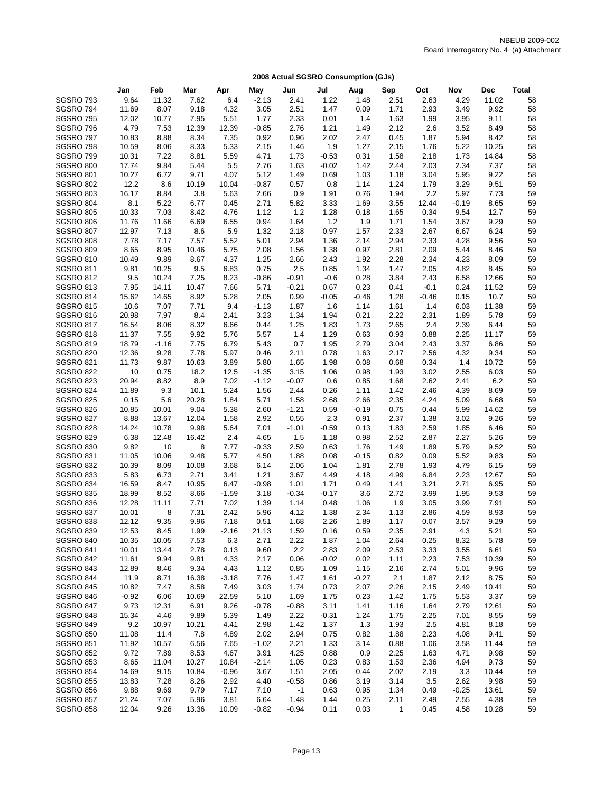|                               | Jan           | Feb           | Mar          | Apr          | May             | Jun          | Jul          | Aug          | Sep          | Oct            | Nov          | <b>Dec</b>    | <b>Total</b> |
|-------------------------------|---------------|---------------|--------------|--------------|-----------------|--------------|--------------|--------------|--------------|----------------|--------------|---------------|--------------|
| <b>SGSRO 793</b>              | 9.64          | 11.32         | 7.62         | 6.4          | $-2.13$         | 2.41         | 1.22         | 1.48         | 2.51         | 2.63           | 4.29         | 11.02         | 58           |
| SGSRO 794                     | 11.69         | 8.07          | 9.18         | 4.32         | 3.05            | 2.51         | 1.47         | 0.09         | 1.71         | 2.93           | 3.49         | 9.92          | 58           |
| <b>SGSRO 795</b>              | 12.02         | 10.77         | 7.95         | 5.51         | 1.77            | 2.33         | 0.01         | 1.4          | 1.63         | 1.99           | 3.95         | 9.11          | 58           |
| SGSRO 796                     | 4.79          | 7.53          | 12.39        | 12.39        | $-0.85$         | 2.76         | 1.21         | 1.49         | 2.12         | 2.6            | 3.52         | 8.49          | 58           |
| SGSRO 797                     | 10.83         | 8.88          | 8.34         | 7.35         | 0.92            | 0.96         | 2.02         | 2.47         | 0.45         | 1.87           | 5.94         | 8.42          | 58           |
| SGSRO 798                     | 10.59         | 8.06          | 8.33         | 5.33         | 2.15            | 1.46         | 1.9          | 1.27         | 2.15         | 1.76           | 5.22         | 10.25         | 58           |
| <b>SGSRO 799</b>              | 10.31         | 7.22          | 8.81         | 5.59         | 4.71            | 1.73         | $-0.53$      | 0.31         | 1.58         | 2.18           | 1.73         | 14.84         | 58           |
| <b>SGSRO 800</b>              | 17.74         | 9.84          | 5.44         | 5.5          | 2.76            | 1.63         | $-0.02$      | 1.42         | 2.44         | 2.03           | 2.34         | 7.37          | 58           |
| <b>SGSRO 801</b>              | 10.27         | 6.72          | 9.71         | 4.07         | 5.12            | 1.49         | 0.69         | 1.03         | 1.18         | 3.04           | 5.95         | 9.22          | 58           |
| <b>SGSRO 802</b>              | 12.2          | 8.6           | 10.19        | 10.04        | $-0.87$         | 0.57         | 0.8          | 1.14         | 1.24         | 1.79           | 3.29         | 9.51          | 59           |
| <b>SGSRO 803</b>              | 16.17         | 8.84          | 3.8          | 5.63         | 2.66            | 0.9          | 1.91         | 0.76         | 1.94         | 2.2            | 5.97         | 7.73          | 59           |
| SGSRO 804                     | 8.1           | 5.22          | 6.77         | 0.45         | 2.71            | 5.82         | 3.33         | 1.69         | 3.55         | 12.44          | $-0.19$      | 8.65          | 59           |
| <b>SGSRO 805</b>              | 10.33         | 7.03          | 8.42         | 4.76         | 1.12            | 1.2          | 1.28         | 0.18         | 1.65         | 0.34           | 9.54         | 12.7          | 59           |
| SGSRO 806                     | 11.76         | 11.66         | 6.69         | 6.55         | 0.94            | 1.64         | $1.2$        | 1.9          | 1.71         | 1.54           | 3.67         | 9.29          | 59           |
| SGSRO 807                     | 12.97         | 7.13          | 8.6          | 5.9          | 1.32            | 2.18         | 0.97         | 1.57         | 2.33         | 2.67           | 6.67         | 6.24          | 59           |
| <b>SGSRO 808</b>              | 7.78          | 7.17          | 7.57         | 5.52         | 5.01            | 2.94         | 1.36         | 2.14         | 2.94         | 2.33           | 4.28         | 9.56          | 59           |
| SGSRO 809                     | 8.65          | 8.95          | 10.46        | 5.75         | 2.08            | 1.56         | 1.38         | 0.97         | 2.81         | 2.09           | 5.44         | 8.46          | 59           |
| <b>SGSRO 810</b>              | 10.49         | 9.89          | 8.67         | 4.37         | 1.25            | 2.66         | 2.43         | 1.92         | 2.28         | 2.34           | 4.23         | 8.09          | 59           |
| <b>SGSRO 811</b>              | 9.81          | 10.25         | 9.5          | 6.83         | 0.75            | 2.5          | 0.85         | 1.34         | 1.47         | 2.05           | 4.82         | 8.45          | 59           |
| <b>SGSRO 812</b>              | 9.5           | 10.24         | 7.25         | 8.23         | $-0.86$         | $-0.91$      | $-0.6$       | 0.28         | 3.84         | 2.43           | 6.58         | 12.66         | 59           |
| <b>SGSRO 813</b><br>SGSRO 814 | 7.95          | 14.11         | 10.47        | 7.66         | 5.71            | $-0.21$      | 0.67         | 0.23         | 0.41         | $-0.1$         | 0.24         | 11.52<br>10.7 | 59<br>59     |
|                               | 15.62<br>10.6 | 14.65<br>7.07 | 8.92<br>7.71 | 5.28<br>9.4  | 2.05<br>$-1.13$ | 0.99<br>1.87 | $-0.05$      | $-0.46$      | 1.28         | $-0.46$<br>1.4 | 0.15         | 11.38         | 59           |
| <b>SGSRO 815</b><br>SGSRO 816 | 20.98         | 7.97          | 8.4          | 2.41         | 3.23            | 1.34         | 1.6<br>1.94  | 1.14<br>0.21 | 1.61<br>2.22 | 2.31           | 6.03<br>1.89 | 5.78          | 59           |
| SGSRO 817                     | 16.54         | 8.06          | 8.32         | 6.66         | 0.44            | 1.25         | 1.83         | 1.73         | 2.65         | 2.4            | 2.39         | 6.44          | 59           |
| <b>SGSRO 818</b>              | 11.37         | 7.55          | 9.92         | 5.76         | 5.57            | 1.4          | 1.29         | 0.63         | 0.93         | 0.88           | 2.25         | 11.17         | 59           |
| <b>SGSRO 819</b>              | 18.79         | $-1.16$       | 7.75         | 6.79         | 5.43            | 0.7          | 1.95         | 2.79         | 3.04         | 2.43           | 3.37         | 6.86          | 59           |
| <b>SGSRO 820</b>              | 12.36         | 9.28          | 7.78         | 5.97         | 0.46            | 2.11         | 0.78         | 1.63         | 2.17         | 2.56           | 4.32         | 9.34          | 59           |
| <b>SGSRO 821</b>              | 11.73         | 9.87          | 10.63        | 3.89         | 5.80            | 1.65         | 1.98         | 0.08         | 0.68         | 0.34           | 1.4          | 10.72         | 59           |
| <b>SGSRO 822</b>              | 10            | 0.75          | 18.2         | 12.5         | $-1.35$         | 3.15         | 1.06         | 0.98         | 1.93         | 3.02           | 2.55         | 6.03          | 59           |
| <b>SGSRO 823</b>              | 20.94         | 8.82          | 8.9          | 7.02         | $-1.12$         | $-0.07$      | 0.6          | 0.85         | 1.68         | 2.62           | 2.41         | 6.2           | 59           |
| SGSRO 824                     | 11.89         | 9.3           | 10.1         | 5.24         | 1.56            | 2.44         | 0.26         | 1.11         | 1.42         | 2.46           | 4.39         | 8.69          | 59           |
| <b>SGSRO 825</b>              | 0.15          | 5.6           | 20.28        | 1.84         | 5.71            | 1.58         | 2.68         | 2.66         | 2.35         | 4.24           | 5.09         | 6.68          | 59           |
| SGSRO 826                     | 10.85         | 10.01         | 9.04         | 5.38         | 2.60            | $-1.21$      | 0.59         | $-0.19$      | 0.75         | 0.44           | 5.99         | 14.62         | 59           |
| SGSRO 827                     | 8.88          | 13.67         | 12.04        | 1.58         | 2.92            | 0.55         | 2.3          | 0.91         | 2.37         | 1.38           | 3.02         | 9.26          | 59           |
| SGSRO 828                     | 14.24         | 10.78         | 9.98         | 5.64         | 7.01            | $-1.01$      | $-0.59$      | 0.13         | 1.83         | 2.59           | 1.85         | 6.46          | 59           |
| <b>SGSRO 829</b>              | 6.38          | 12.48         | 16.42        | 2.4          | 4.65            | 1.5          | 1.18         | 0.98         | 2.52         | 2.87           | 2.27         | 5.26          | 59           |
| <b>SGSRO 830</b>              | 9.82          | 10            | 8            | 7.77         | $-0.33$         | 2.59         | 0.63         | 1.76         | 1.49         | 1.89           | 5.79         | 9.52          | 59           |
| SGSRO 831                     | 11.05         | 10.06         | 9.48         | 5.77         | 4.50            | 1.88         | 0.08         | $-0.15$      | 0.82         | 0.09           | 5.52         | 9.83          | 59           |
| <b>SGSRO 832</b>              | 10.39         | 8.09          | 10.08        | 3.68         | 6.14            | 2.06         | 1.04         | 1.81         | 2.78         | 1.93           | 4.79         | 6.15          | 59           |
| SGSRO 833                     | 5.83          | 6.73          | 2.71         | 3.41         | 1.21            | 3.67         | 4.49         | 4.18         | 4.99         | 6.84           | 2.23         | 12.67         | 59           |
| SGSRO 834                     | 16.59         | 8.47          | 10.95        | 6.47         | $-0.98$         | 1.01         | 1.71         | 0.49         | 1.41         | 3.21           | 2.71         | 6.95          | 59           |
| <b>SGSRO 835</b>              | 18.99         | 8.52          | 8.66         | $-1.59$      | 3.18            | $-0.34$      | $-0.17$      | 3.6          | 2.72         | 3.99           | 1.95         | 9.53          | 59           |
| <b>SGSRO 836</b>              | 12.28         | 11.11         | 7.71         | 7.02         | 1.39            | 1.14         | 0.48         | 1.06         | 1.9          | 3.05           | 3.99         | 7.91          | 59           |
| SGSRO 837                     | 10.01         | 8             | 7.31         | 2.42         | 5.96            | 4.12         | 1.38         | 2.34         | 1.13         | 2.86           | 4.59         | 8.93          | 59           |
| SGSRO 838                     | 12.12         | 9.35          | 9.96         | 7.18         | 0.51            | 1.68         | 2.26         | 1.89         | 1.17         | 0.07           | 3.57         | 9.29          | 59           |
| <b>SGSRO 839</b>              | 12.53         | 8.45          | 1.99         | $-2.16$      | 21.13           | 1.59         | 0.16         | 0.59         | 2.35         | 2.91           | 4.3          | 5.21          | 59           |
| SGSRO 840                     | 10.35         | 10.05         | 7.53         | 6.3          | 2.71            | 2.22         | 1.87         | 1.04         | 2.64         | 0.25           | 8.32         | 5.78          | 59           |
| SGSRO 841                     | 10.01         | 13.44         | 2.78         | 0.13         | 9.60            | 2.2          | 2.83         | 2.09         | 2.53         | 3.33           | 3.55         | 6.61          | 59           |
| <b>SGSRO 842</b>              | 11.61         | 9.94          | 9.81         | 4.33         | 2.17            | 0.06         | $-0.02$      | 0.02         | 1.11         | 2.23           | 7.53         | 10.39         | 59           |
| SGSRO 843                     | 12.89         | 8.46          | 9.34         | 4.43         | 1.12            | 0.85         | 1.09         | 1.15         | 2.16         | 2.74           | 5.01         | 9.96          | 59           |
| SGSRO 844                     | 11.9          | 8.71          | 16.38        | $-3.18$      | 7.76            | 1.47         | 1.61         | $-0.27$      | 2.1          | 1.87           | 2.12         | 8.75          | 59           |
| <b>SGSRO 845</b>              | 10.82         | 7.47          | 8.58         | 7.49         | 3.03            | 1.74         | 0.73         | 2.07         | 2.26         | 2.15           | 2.49         | 10.41         | 59           |
| SGSRO 846                     | $-0.92$       | 6.06          | 10.69        | 22.59        | 5.10            | 1.69         | 1.75         | 0.23         | 1.42         | 1.75           | 5.53         | 3.37          | 59           |
| SGSRO 847                     | 9.73          | 12.31         | 6.91         | 9.26         | $-0.78$         | $-0.88$      | 3.11         | 1.41         | 1.16         | 1.64           | 2.79         | 12.61         | 59           |
| SGSRO 848                     | 15.34         | 4.46          | 9.89         | 5.39         | 1.49            | 2.22         | $-0.31$      | 1.24         | 1.75         | 2.25           | 7.01         | 8.55          | 59           |
| SGSRO 849<br><b>SGSRO 850</b> | 9.2<br>11.08  | 10.97<br>11.4 | 10.21<br>7.8 | 4.41<br>4.89 | 2.98<br>2.02    | 1.42<br>2.94 | 1.37<br>0.75 | 1.3<br>0.82  | 1.93<br>1.88 | 2.5<br>2.23    | 4.81<br>4.08 | 8.18<br>9.41  | 59<br>59     |
| <b>SGSRO 851</b>              | 11.92         | 10.57         | 6.56         | 7.65         | $-1.02$         | 2.21         | 1.33         | 3.14         | 0.88         | 1.06           | 3.58         | 11.44         | 59           |
| <b>SGSRO 852</b>              | 9.72          | 7.89          | 8.53         | 4.67         | 3.91            | 4.25         | 0.88         | 0.9          | 2.25         | 1.63           | 4.71         | 9.98          | 59           |
| <b>SGSRO 853</b>              | 8.65          | 11.04         | 10.27        | 10.84        | $-2.14$         | 1.05         | 0.23         | 0.83         | 1.53         | 2.36           | 4.94         | 9.73          | 59           |
| <b>SGSRO 854</b>              | 14.69         | 9.15          | 10.84        | $-0.96$      | 3.67            | 1.51         | 2.05         | 0.44         | 2.02         | 2.19           | 3.3          | 10.44         | 59           |
| <b>SGSRO 855</b>              | 13.83         | 7.28          | 8.26         | 2.92         | 4.40            | $-0.58$      | 0.86         | 3.19         | 3.14         | 3.5            | 2.62         | 9.98          | 59           |
| <b>SGSRO 856</b>              | 9.88          | 9.69          | 9.79         | 7.17         | 7.10            | $-1$         | 0.63         | 0.95         | 1.34         | 0.49           | -0.25        | 13.61         | 59           |
| <b>SGSRO 857</b>              | 21.24         | 7.07          | 5.96         | 3.81         | 6.64            | 1.48         | 1.44         | 0.25         | 2.11         | 2.49           | 2.55         | 4.38          | 59           |
| <b>SGSRO 858</b>              | 12.04         | 9.26          | 13.36        | 10.09        | $-0.82$         | $-0.94$      | 0.11         | 0.03         | 1            | 0.45           | 4.58         | 10.28         | 59           |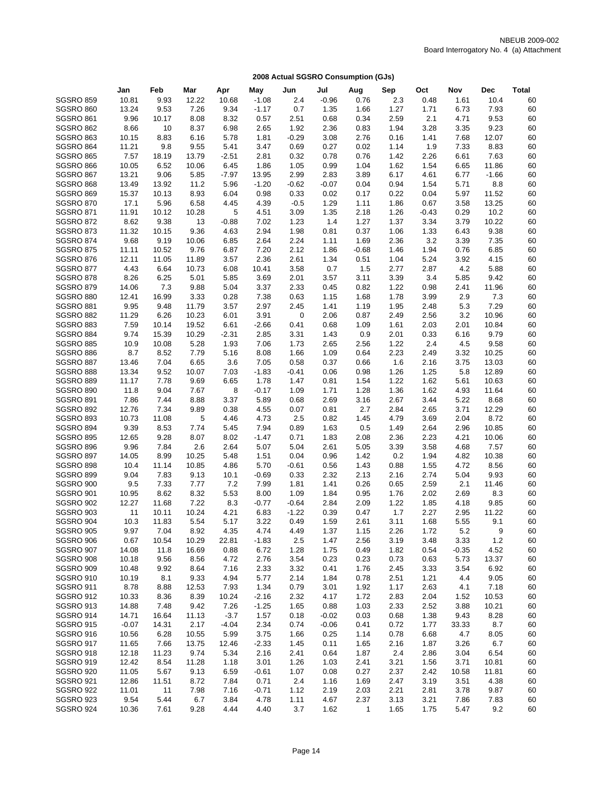|                  | Jan     | Feb   | Mar   | Apr     | May     | Jun         | Jul     | Aug            | Sep  | Oct     | Nov     | <b>Dec</b> | <b>Total</b> |
|------------------|---------|-------|-------|---------|---------|-------------|---------|----------------|------|---------|---------|------------|--------------|
| <b>SGSRO 859</b> | 10.81   | 9.93  | 12.22 | 10.68   | $-1.08$ | 2.4         | $-0.96$ | 0.76           | 2.3  | 0.48    | 1.61    | 10.4       | 60           |
| SGSRO 860        | 13.24   | 9.53  | 7.26  | 9.34    | $-1.17$ | 0.7         | 1.35    | 1.66           | 1.27 | 1.71    | 6.73    | 7.93       | 60           |
| <b>SGSRO 861</b> | 9.96    | 10.17 | 8.08  | 8.32    | 0.57    | 2.51        | 0.68    | 0.34           | 2.59 | 2.1     | 4.71    | 9.53       | 60           |
| <b>SGSRO 862</b> | 8.66    | 10    | 8.37  | 6.98    | 2.65    | 1.92        | 2.36    | 0.83           | 1.94 | 3.28    | 3.35    | 9.23       | 60           |
| SGSRO 863        | 10.15   | 8.83  | 6.16  | 5.78    | 1.81    | $-0.29$     | 3.08    | 2.76           | 0.16 | 1.41    | 7.68    | 12.07      | 60           |
| <b>SGSRO 864</b> | 11.21   | 9.8   | 9.55  | 5.41    | 3.47    | 0.69        | 0.27    | 0.02           | 1.14 | 1.9     | 7.33    | 8.83       | 60           |
| <b>SGSRO 865</b> | 7.57    | 18.19 | 13.79 | $-2.51$ | 2.81    | 0.32        | 0.78    | 0.76           | 1.42 | 2.26    | 6.61    | 7.63       | 60           |
| SGSRO 866        | 10.05   | 6.52  | 10.06 | 6.45    | 1.86    | 1.05        | 0.99    | 1.04           | 1.62 | 1.54    | 6.65    | 11.86      | 60           |
| SGSRO 867        | 13.21   | 9.06  | 5.85  | $-7.97$ | 13.95   | 2.99        | 2.83    | 3.89           | 6.17 | 4.61    | 6.77    | $-1.66$    | 60           |
| SGSRO 868        | 13.49   | 13.92 | 11.2  | 5.96    | $-1.20$ | $-0.62$     | $-0.07$ | 0.04           | 0.94 | 1.54    | 5.71    | 8.8        | 60           |
| <b>SGSRO 869</b> | 15.37   | 10.13 | 8.93  | 6.04    | 0.98    | 0.33        | 0.02    | 0.17           | 0.22 | 0.04    | 5.97    | 11.52      | 60           |
| <b>SGSRO 870</b> | 17.1    | 5.96  | 6.58  | 4.45    | 4.39    | $-0.5$      | 1.29    | 1.11           | 1.86 | 0.67    | 3.58    | 13.25      | 60           |
| <b>SGSRO 871</b> | 11.91   | 10.12 | 10.28 | 5       | 4.51    | 3.09        | 1.35    | 2.18           | 1.26 | $-0.43$ | 0.29    | 10.2       | 60           |
| <b>SGSRO 872</b> | 8.62    | 9.38  | 13    | $-0.88$ | 7.02    | 1.23        | 1.4     | 1.27           | 1.37 | 3.34    | 3.79    | 10.22      | 60           |
| <b>SGSRO 873</b> | 11.32   | 10.15 | 9.36  | 4.63    | 2.94    | 1.98        | 0.81    | 0.37           | 1.06 | 1.33    | 6.43    | 9.38       | 60           |
| <b>SGSRO 874</b> | 9.68    | 9.19  | 10.06 | 6.85    | 2.64    | 2.24        | 1.11    | 1.69           | 2.36 | 3.2     | 3.39    | 7.35       | 60           |
| <b>SGSRO 875</b> | 11.11   | 10.52 | 9.76  | 6.87    | 7.20    | 2.12        | 1.86    | $-0.68$        | 1.46 | 1.94    | 0.76    | 6.85       | 60           |
| SGSRO 876        | 12.11   | 11.05 | 11.89 | 3.57    | 2.36    | 2.61        | 1.34    | 0.51           | 1.04 | 5.24    | 3.92    | 4.15       | 60           |
| SGSRO 877        | 4.43    | 6.64  | 10.73 | 6.08    | 10.41   | 3.58        | 0.7     | 1.5            | 2.77 | 2.87    | 4.2     | 5.88       | 60           |
| SGSRO 878        | 8.26    | 6.25  | 5.01  | 5.85    | 3.69    | 2.01        | 3.57    | 3.11           | 3.39 | 3.4     | 5.85    | 9.42       | 60           |
| <b>SGSRO 879</b> | 14.06   | 7.3   | 9.88  | 5.04    | 3.37    | 2.33        | 0.45    | 0.82           | 1.22 | 0.98    | 2.41    | 11.96      | 60           |
| <b>SGSRO 880</b> | 12.41   | 16.99 | 3.33  | 0.28    | 7.38    | 0.63        | 1.15    | 1.68           | 1.78 | 3.99    | 2.9     | 7.3        | 60           |
| SGSRO 881        | 9.95    | 9.48  | 11.79 | 3.57    | 2.97    | 2.45        | 1.41    | 1.19           | 1.95 | 2.48    | 5.3     | 7.29       | 60           |
| <b>SGSRO 882</b> | 11.29   | 6.26  | 10.23 | 6.01    | 3.91    | $\mathbf 0$ | 2.06    | 0.87           | 2.49 | 2.56    | 3.2     | 10.96      | 60           |
| SGSRO 883        | 7.59    | 10.14 | 19.52 | 6.61    | $-2.66$ | 0.41        | 0.68    | 1.09           | 1.61 | 2.03    | 2.01    | 10.84      | 60           |
| SGSRO 884        | 9.74    | 15.39 | 10.29 | $-2.31$ | 2.85    | 3.31        | 1.43    | 0.9            | 2.01 | 0.33    | 6.16    | 9.79       | 60           |
| <b>SGSRO 885</b> | 10.9    | 10.08 | 5.28  | 1.93    | 7.06    | 1.73        | 2.65    | 2.56           | 1.22 | 2.4     | 4.5     | 9.58       | 60           |
| SGSRO 886        | 8.7     | 8.52  | 7.79  | 5.16    | 8.08    | 1.66        | 1.09    | 0.64           | 2.23 | 2.49    | 3.32    | 10.25      | 60           |
| SGSRO 887        | 13.46   | 7.04  | 6.65  | 3.6     | 7.05    | 0.58        | 0.37    | 0.66           | 1.6  | 2.16    | 3.75    | 13.03      | 60           |
| SGSRO 888        | 13.34   | 9.52  | 10.07 | 7.03    | $-1.83$ | $-0.41$     | 0.06    | 0.98           | 1.26 | 1.25    | 5.8     | 12.89      | 60           |
| <b>SGSRO 889</b> | 11.17   | 7.78  | 9.69  | 6.65    | 1.78    | 1.47        | 0.81    | 1.54           | 1.22 | 1.62    | 5.61    | 10.63      | 60           |
| <b>SGSRO 890</b> | 11.8    | 9.04  | 7.67  | 8       | $-0.17$ | 1.09        | 1.71    | 1.28           | 1.36 | 1.62    | 4.93    | 11.64      | 60           |
| <b>SGSRO 891</b> | 7.86    | 7.44  | 8.88  | 3.37    | 5.89    | 0.68        | 2.69    | 3.16           | 2.67 | 3.44    | 5.22    | 8.68       | 60           |
| <b>SGSRO 892</b> | 12.76   | 7.34  | 9.89  | 0.38    | 4.55    | 0.07        | 0.81    | 2.7            | 2.84 | 2.65    | 3.71    | 12.29      | 60           |
| <b>SGSRO 893</b> | 10.73   | 11.08 | 5     | 4.46    | 4.73    | 2.5         | 0.82    | 1.45           | 4.79 | 3.69    | 2.04    | 8.72       | 60           |
| SGSRO 894        | 9.39    | 8.53  | 7.74  | 5.45    | 7.94    | 0.89        | 1.63    | 0.5            | 1.49 | 2.64    | 2.96    | 10.85      | 60           |
| <b>SGSRO 895</b> | 12.65   | 9.28  | 8.07  | 8.02    | $-1.47$ | 0.71        | 1.83    | 2.08           | 2.36 | 2.23    | 4.21    | 10.06      | 60           |
| SGSRO 896        | 9.96    | 7.84  | 2.6   | 2.64    | 5.07    | 5.04        | 2.61    | 5.05           | 3.39 | 3.58    | 4.68    | 7.57       | 60           |
| <b>SGSRO 897</b> | 14.05   | 8.99  | 10.25 | 5.48    | 1.51    | 0.04        | 0.96    | 1.42           | 0.2  | 1.94    | 4.82    | 10.38      | 60           |
| SGSRO 898        | 10.4    | 11.14 | 10.85 | 4.86    | 5.70    | $-0.61$     | 0.56    | 1.43           | 0.88 | 1.55    | 4.72    | 8.56       | 60           |
| <b>SGSRO 899</b> | 9.04    | 7.83  | 9.13  | 10.1    | $-0.69$ | 0.33        | 2.32    | 2.13           | 2.16 | 2.74    | 5.04    | 9.93       | 60           |
| SGSRO 900        | 9.5     | 7.33  | 7.77  | 7.2     | 7.99    | 1.81        | 1.41    | 0.26           | 0.65 | 2.59    | 2.1     | 11.46      | 60           |
| <b>SGSRO 901</b> | 10.95   | 8.62  | 8.32  | 5.53    | 8.00    | 1.09        | 1.84    | 0.95           | 1.76 | 2.02    | 2.69    | 8.3        | 60           |
| <b>SGSRO 902</b> | 12.27   | 11.68 | 7.22  | 8.3     | $-0.77$ | $-0.64$     | 2.84    | 2.09           | 1.22 | 1.85    | 4.18    | 9.85       | 60           |
| <b>SGSRO 903</b> | 11      | 10.11 | 10.24 | 4.21    | 6.83    | $-1.22$     | 0.39    | 0.47           | 1.7  | 2.27    | 2.95    | 11.22      | 60           |
| <b>SGSRO 904</b> | 10.3    | 11.83 | 5.54  | 5.17    | 3.22    | 0.49        | 1.59    | 2.61           | 3.11 | 1.68    | 5.55    | 9.1        | 60           |
| <b>SGSRO 905</b> | 9.97    | 7.04  | 8.92  | 4.35    | 4.74    | 4.49        | 1.37    | 1.15           | 2.26 | 1.72    | 5.2     | 9          | 60           |
| SGSRO 906        | 0.67    | 10.54 | 10.29 | 22.81   | $-1.83$ | 2.5         | 1.47    | 2.56           | 3.19 | 3.48    | 3.33    | 1.2        | 60           |
| <b>SGSRO 907</b> | 14.08   | 11.8  | 16.69 | 0.88    | 6.72    | 1.28        | 1.75    | 0.49           | 1.82 | 0.54    | $-0.35$ | 4.52       | 60           |
| <b>SGSRO 908</b> | 10.18   | 9.56  | 8.56  | 4.72    | 2.76    | 3.54        | 0.23    | 0.23           | 0.73 | 0.63    | 5.73    | 13.37      | 60           |
| SGSRO 909        | 10.48   | 9.92  | 8.64  | 7.16    | 2.33    | 3.32        | 0.41    | 1.76           | 2.45 | 3.33    | 3.54    | 6.92       | 60           |
| SGSRO 910        | 10.19   | 8.1   | 9.33  | 4.94    | 5.77    | 2.14        | 1.84    | 0.78           | 2.51 | 1.21    | 4.4     | 9.05       | 60           |
| <b>SGSRO 911</b> | 8.78    | 8.88  | 12.53 | 7.93    | 1.34    | 0.79        | 3.01    | 1.92           | 1.17 | 2.63    | 4.1     | 7.18       | 60           |
| SGSRO 912        | 10.33   | 8.36  | 8.39  | 10.24   | $-2.16$ | 2.32        | 4.17    | 1.72           | 2.83 | 2.04    | 1.52    | 10.53      | 60           |
| SGSRO 913        | 14.88   | 7.48  | 9.42  | 7.26    | $-1.25$ | 1.65        | 0.88    | 1.03           | 2.33 | 2.52    | 3.88    | 10.21      | 60           |
| SGSRO 914        | 14.71   | 16.64 | 11.13 | $-3.7$  | 1.57    | 0.18        | $-0.02$ | 0.03           | 0.68 | 1.38    | 9.43    | 8.28       | 60           |
| <b>SGSRO 915</b> | $-0.07$ | 14.31 | 2.17  | $-4.04$ | 2.34    | 0.74        | $-0.06$ | 0.41           | 0.72 | 1.77    | 33.33   | 8.7        | 60           |
| SGSRO 916        | 10.56   | 6.28  | 10.55 | 5.99    | 3.75    | 1.66        | 0.25    | 1.14           | 0.78 | 6.68    | 4.7     | 8.05       | 60           |
| SGSRO 917        | 11.65   | 7.66  | 13.75 | 12.46   | $-2.33$ | 1.45        | 0.11    | 1.65           | 2.16 | 1.87    | 3.26    | 6.7        | 60           |
| SGSRO 918        | 12.18   | 11.23 | 9.74  | 5.34    | 2.16    | 2.41        | 0.64    | 1.87           | 2.4  | 2.86    | 3.04    | 6.54       | 60           |
| SGSRO 919        | 12.42   | 8.54  | 11.28 | 1.18    | 3.01    | 1.26        | 1.03    | 2.41           | 3.21 | 1.56    | 3.71    | 10.81      | 60           |
| <b>SGSRO 920</b> | 11.05   | 5.67  | 9.13  | 6.59    | $-0.61$ | 1.07        | 0.08    | 0.27           | 2.37 | 2.42    | 10.58   | 11.81      | 60           |
| <b>SGSRO 921</b> | 12.86   | 11.51 | 8.72  | 7.84    | 0.71    | 2.4         | 1.16    | 1.69           | 2.47 | 3.19    | 3.51    | 4.38       | 60           |
| <b>SGSRO 922</b> | 11.01   | 11    | 7.98  | 7.16    | $-0.71$ | 1.12        | 2.19    | 2.03           | 2.21 | 2.81    | 3.78    | 9.87       | 60           |
| <b>SGSRO 923</b> | 9.54    | 5.44  | 6.7   | 3.84    | 4.78    | 1.11        | 4.67    | 2.37           | 3.13 | 3.21    | 7.86    | 7.83       | 60           |
| SGSRO 924        | 10.36   | 7.61  | 9.28  | 4.44    | 4.40    | 3.7         | 1.62    | $\overline{1}$ | 1.65 | 1.75    | 5.47    | 9.2        | 60           |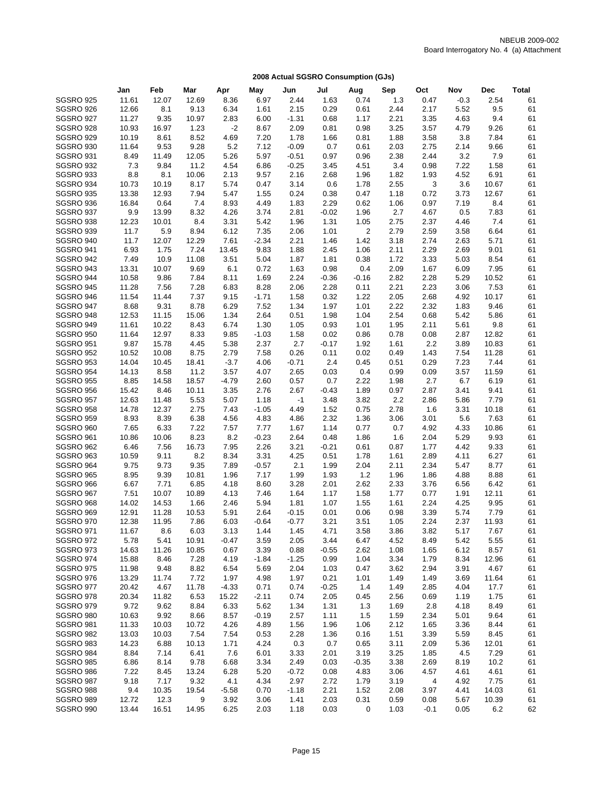|                  | Jan   | Feb   | Mar   | Apr     | May     | Jun     | Jul     | Aug            | Sep  | Oct            | Nov    | Dec   | Total |
|------------------|-------|-------|-------|---------|---------|---------|---------|----------------|------|----------------|--------|-------|-------|
| <b>SGSRO 925</b> | 11.61 | 12.07 | 12.69 | 8.36    | 6.97    | 2.44    | 1.63    | 0.74           | 1.3  | 0.47           | $-0.3$ | 2.54  | 61    |
| SGSRO 926        | 12.66 | 8.1   | 9.13  | 6.34    | 1.61    | 2.15    | 0.29    | 0.61           | 2.44 | 2.17           | 5.52   | 9.5   | 61    |
| <b>SGSRO 927</b> | 11.27 | 9.35  | 10.97 | 2.83    | 6.00    | $-1.31$ | 0.68    | 1.17           | 2.21 | 3.35           | 4.63   | 9.4   | 61    |
| <b>SGSRO 928</b> | 10.93 | 16.97 | 1.23  | $-2$    | 8.67    | 2.09    | 0.81    | 0.98           | 3.25 | 3.57           | 4.79   | 9.26  | 61    |
| <b>SGSRO 929</b> | 10.19 | 8.61  | 8.52  | 4.69    | 7.20    | 1.78    | 1.66    | 0.81           | 1.88 | 3.58           | 3.8    | 7.84  | 61    |
| <b>SGSRO 930</b> | 11.64 | 9.53  | 9.28  | 5.2     | 7.12    | $-0.09$ | 0.7     | 0.61           | 2.03 | 2.75           | 2.14   | 9.66  | 61    |
| <b>SGSRO 931</b> | 8.49  | 11.49 | 12.05 | 5.26    | 5.97    | $-0.51$ | 0.97    | 0.96           | 2.38 | 2.44           | 3.2    | 7.9   | 61    |
| <b>SGSRO 932</b> | 7.3   | 9.84  | 11.2  | 4.54    | 6.86    | $-0.25$ | 3.45    | 4.51           | 3.4  | 0.98           | 7.22   | 1.58  | 61    |
| SGSRO 933        | 8.8   | 8.1   | 10.06 | 2.13    | 9.57    | 2.16    | 2.68    | 1.96           | 1.82 | 1.93           | 4.52   | 6.91  | 61    |
| SGSRO 934        | 10.73 | 10.19 | 8.17  | 5.74    | 0.47    | 3.14    | 0.6     | 1.78           | 2.55 | 3              | 3.6    | 10.67 | 61    |
| <b>SGSRO 935</b> | 13.38 | 12.93 | 7.94  | 5.47    | 1.55    | 0.24    | 0.38    | 0.47           | 1.18 | 0.72           | 3.73   | 12.67 | 61    |
| SGSRO 936        | 16.84 | 0.64  | 7.4   | 8.93    | 4.49    | 1.83    | 2.29    | 0.62           | 1.06 | 0.97           | 7.19   | 8.4   | 61    |
| SGSRO 937        | 9.9   | 13.99 | 8.32  | 4.26    | 3.74    | 2.81    | $-0.02$ | 1.96           | 2.7  | 4.67           | 0.5    | 7.83  | 61    |
| SGSRO 938        | 12.23 | 10.01 | 8.4   | 3.31    | 5.42    | 1.96    | 1.31    | 1.05           | 2.75 | 2.37           | 4.46   | 7.4   | 61    |
| SGSRO 939        | 11.7  | 5.9   | 8.94  | 6.12    | 7.35    | 2.06    | 1.01    | $\overline{2}$ | 2.79 | 2.59           | 3.58   | 6.64  | 61    |
| SGSRO 940        | 11.7  | 12.07 | 12.29 | 7.61    | $-2.34$ | 2.21    | 1.46    | 1.42           | 3.18 | 2.74           | 2.63   | 5.71  | 61    |
| <b>SGSRO 941</b> | 6.93  | 1.75  | 7.24  | 13.45   | 9.83    | 1.88    | 2.45    | 1.06           | 2.11 | 2.29           | 2.69   | 9.01  | 61    |
| <b>SGSRO 942</b> | 7.49  | 10.9  | 11.08 | 3.51    | 5.04    | 1.87    | 1.81    | 0.38           | 1.72 | 3.33           | 5.03   | 8.54  | 61    |
| SGSRO 943        | 13.31 | 10.07 | 9.69  | 6.1     | 0.72    | 1.63    | 0.98    | 0.4            | 2.09 | 1.67           | 6.09   | 7.95  | 61    |
| SGSRO 944        | 10.58 | 9.86  | 7.84  | 8.11    | 1.69    | 2.24    | $-0.36$ | $-0.16$        | 2.82 | 2.28           | 5.29   | 10.52 | 61    |
| <b>SGSRO 945</b> | 11.28 | 7.56  | 7.28  | 6.83    | 8.28    | 2.06    | 2.28    | 0.11           | 2.21 | 2.23           | 3.06   | 7.53  | 61    |
| SGSRO 946        | 11.54 | 11.44 | 7.37  | 9.15    | $-1.71$ | 1.58    | 0.32    | 1.22           | 2.05 | 2.68           | 4.92   | 10.17 | 61    |
| SGSRO 947        | 8.68  | 9.31  | 8.78  | 6.29    | 7.52    | 1.34    | 1.97    | 1.01           | 2.22 | 2.32           | 1.83   | 9.46  | 61    |
| SGSRO 948        | 12.53 | 11.15 | 15.06 | 1.34    | 2.64    | 0.51    | 1.98    | 1.04           | 2.54 | 0.68           | 5.42   | 5.86  | 61    |
| SGSRO 949        | 11.61 | 10.22 | 8.43  | 6.74    | 1.30    | 1.05    | 0.93    | 1.01           | 1.95 | 2.11           | 5.61   | 9.8   | 61    |
| <b>SGSRO 950</b> | 11.64 | 12.97 | 8.33  | 9.85    | $-1.03$ | 1.58    | 0.02    | 0.86           | 0.78 | 0.08           | 2.87   | 12.82 | 61    |
| <b>SGSRO 951</b> | 9.87  | 15.78 | 4.45  | 5.38    | 2.37    | 2.7     | $-0.17$ | 1.92           | 1.61 | 2.2            | 3.89   | 10.83 | 61    |
| <b>SGSRO 952</b> | 10.52 | 10.08 | 8.75  | 2.79    | 7.58    | 0.26    | 0.11    | 0.02           | 0.49 | 1.43           | 7.54   | 11.28 | 61    |
| <b>SGSRO 953</b> | 14.04 | 10.45 | 18.41 | $-3.7$  | 4.06    | $-0.71$ | 2.4     | 0.45           | 0.51 | 0.29           | 7.23   | 7.44  | 61    |
| <b>SGSRO 954</b> | 14.13 | 8.58  | 11.2  | 3.57    | 4.07    | 2.65    | 0.03    | 0.4            | 0.99 | 0.09           | 3.57   | 11.59 | 61    |
| <b>SGSRO 955</b> | 8.85  | 14.58 | 18.57 | $-4.79$ | 2.60    | 0.57    | 0.7     | 2.22           | 1.98 | 2.7            | 6.7    | 6.19  | 61    |
| <b>SGSRO 956</b> | 15.42 | 8.46  | 10.11 | 3.35    | 2.76    | 2.67    | $-0.43$ | 1.89           | 0.97 | 2.87           | 3.41   | 9.41  | 61    |
| <b>SGSRO 957</b> | 12.63 | 11.48 | 5.53  | 5.07    | 1.18    | $-1$    | 3.48    | 3.82           | 2.2  | 2.86           | 5.86   | 7.79  | 61    |
| <b>SGSRO 958</b> | 14.78 | 12.37 | 2.75  | 7.43    | $-1.05$ | 4.49    | 1.52    | 0.75           | 2.78 | 1.6            | 3.31   | 10.18 | 61    |
| <b>SGSRO 959</b> | 8.93  | 8.39  | 6.38  | 4.56    | 4.83    | 4.86    | 2.32    | 1.36           | 3.06 | 3.01           | 5.6    | 7.63  | 61    |
| SGSRO 960        | 7.65  | 6.33  | 7.22  | 7.57    | 7.77    | 1.67    | 1.14    | 0.77           | 0.7  | 4.92           | 4.33   | 10.86 | 61    |
| <b>SGSRO 961</b> | 10.86 | 10.06 | 8.23  | 8.2     | $-0.23$ | 2.64    | 0.48    | 1.86           | 1.6  | 2.04           | 5.29   | 9.93  | 61    |
| <b>SGSRO 962</b> | 6.46  | 7.56  | 16.73 | 7.95    | 2.26    | 3.21    | $-0.21$ | 0.61           | 0.87 | 1.77           | 4.42   | 9.33  | 61    |
| SGSRO 963        | 10.59 | 9.11  | 8.2   | 8.34    | 3.31    | 4.25    | 0.51    | 1.78           | 1.61 | 2.89           | 4.11   | 6.27  | 61    |
| SGSRO 964        | 9.75  | 9.73  | 9.35  | 7.89    | $-0.57$ | 2.1     | 1.99    | 2.04           | 2.11 | 2.34           | 5.47   | 8.77  | 61    |
| <b>SGSRO 965</b> | 8.95  | 9.39  | 10.81 | 1.96    | 7.17    | 1.99    | 1.93    | $1.2$          | 1.96 | 1.86           | 4.88   | 8.88  | 61    |
| SGSRO 966        | 6.67  | 7.71  | 6.85  | 4.18    | 8.60    | 3.28    | 2.01    | 2.62           | 2.33 | 3.76           | 6.56   | 6.42  | 61    |
| SGSRO 967        | 7.51  | 10.07 | 10.89 | 4.13    | 7.46    | 1.64    | 1.17    | 1.58           | 1.77 | 0.77           | 1.91   | 12.11 | 61    |
| SGSRO 968        | 14.02 | 14.53 | 1.66  | 2.46    | 5.94    | 1.81    | 1.07    | 1.55           | 1.61 | 2.24           | 4.25   | 9.95  | 61    |
| <b>SGSRO 969</b> | 12.91 | 11.28 | 10.53 | 5.91    | 2.64    | $-0.15$ | 0.01    | 0.06           | 0.98 | 3.39           | 5.74   | 7.79  | 61    |
| <b>SGSRO 970</b> | 12.38 | 11.95 | 7.86  | 6.03    | $-0.64$ | $-0.77$ | 3.21    | 3.51           | 1.05 | 2.24           | 2.37   | 11.93 | 61    |
| <b>SGSRO 971</b> | 11.67 | 8.6   | 6.03  | 3.13    | 1.44    | 1.45    | 4.71    | 3.58           | 3.86 | 3.82           | 5.17   | 7.67  | 61    |
| SGSRO 972        | 5.78  | 5.41  | 10.91 | $-0.47$ | 3.59    | 2.05    | 3.44    | 6.47           | 4.52 | 8.49           | 5.42   | 5.55  | 61    |
| SGSRO 973        | 14.63 | 11.26 | 10.85 | 0.67    | 3.39    | 0.88    | $-0.55$ | 2.62           | 1.08 | 1.65           | 6.12   | 8.57  | 61    |
| SGSRO 974        | 15.88 | 8.46  | 7.28  | 4.19    | $-1.84$ | $-1.25$ | 0.99    | 1.04           | 3.34 | 1.79           | 8.34   | 12.96 | 61    |
| <b>SGSRO 975</b> | 11.98 | 9.48  | 8.82  | 6.54    | 5.69    | 2.04    | 1.03    | 0.47           | 3.62 | 2.94           | 3.91   | 4.67  | 61    |
| <b>SGSRO 976</b> | 13.29 | 11.74 | 7.72  | 1.97    | 4.98    | 1.97    | 0.21    | 1.01           | 1.49 | 1.49           | 3.69   | 11.64 | 61    |
| SGSRO 977        | 20.42 | 4.67  | 11.78 | $-4.33$ | 0.71    | 0.74    | $-0.25$ | 1.4            | 1.49 | 2.85           | 4.04   | 17.7  | 61    |
| SGSRO 978        | 20.34 | 11.82 | 6.53  | 15.22   | $-2.11$ | 0.74    | 2.05    | 0.45           | 2.56 | 0.69           | 1.19   | 1.75  | 61    |
| <b>SGSRO 979</b> | 9.72  | 9.62  | 8.84  | 6.33    | 5.62    | 1.34    | 1.31    | 1.3            | 1.69 | 2.8            | 4.18   | 8.49  | 61    |
| SGSRO 980        | 10.63 | 9.92  | 8.66  | 8.57    | $-0.19$ | 2.57    | 1.11    | 1.5            | 1.59 | 2.34           | 5.01   | 9.64  | 61    |
| SGSRO 981        | 11.33 | 10.03 | 10.72 | 4.26    | 4.89    | 1.56    | 1.96    | 1.06           | 2.12 | 1.65           | 3.36   | 8.44  | 61    |
| SGSRO 982        | 13.03 | 10.03 | 7.54  | 7.54    | 0.53    | 2.28    | 1.36    | 0.16           | 1.51 | 3.39           | 5.59   | 8.45  | 61    |
| SGSRO 983        | 14.23 | 6.88  | 10.13 | 1.71    | 4.24    | 0.3     | 0.7     | 0.65           | 3.11 | 2.09           | 5.36   | 12.01 | 61    |
| SGSRO 984        | 8.84  | 7.14  | 6.41  | 7.6     | 6.01    | 3.33    | 2.01    | 3.19           | 3.25 | 1.85           | 4.5    | 7.29  | 61    |
| <b>SGSRO 985</b> | 6.86  | 8.14  | 9.78  | 6.68    | 3.34    | 2.49    | 0.03    | $-0.35$        | 3.38 | 2.69           | 8.19   | 10.2  | 61    |
| SGSRO 986        | 7.22  | 8.45  | 13.24 | 6.28    | 5.20    | $-0.72$ | 0.08    | 4.83           | 3.06 | 4.57           | 4.61   | 4.61  | 61    |
| SGSRO 987        | 9.18  | 7.17  | 9.32  | 4.1     | 4.34    | 2.97    | 2.72    | 1.79           | 3.19 | $\overline{4}$ | 4.92   | 7.75  | 61    |
| SGSRO 988        | 9.4   | 10.35 | 19.54 | $-5.58$ | 0.70    | $-1.18$ | 2.21    | 1.52           | 2.08 | 3.97           | 4.41   | 14.03 | 61    |
| SGSRO 989        | 12.72 | 12.3  | 9     | 3.92    | 3.06    | 1.41    | 2.03    | 0.31           | 0.59 | 0.08           | 5.67   | 10.39 | 61    |
| SGSRO 990        | 13.44 | 16.51 | 14.95 | 6.25    | 2.03    | 1.18    | 0.03    | 0              | 1.03 | $-0.1$         | 0.05   | 6.2   | 62    |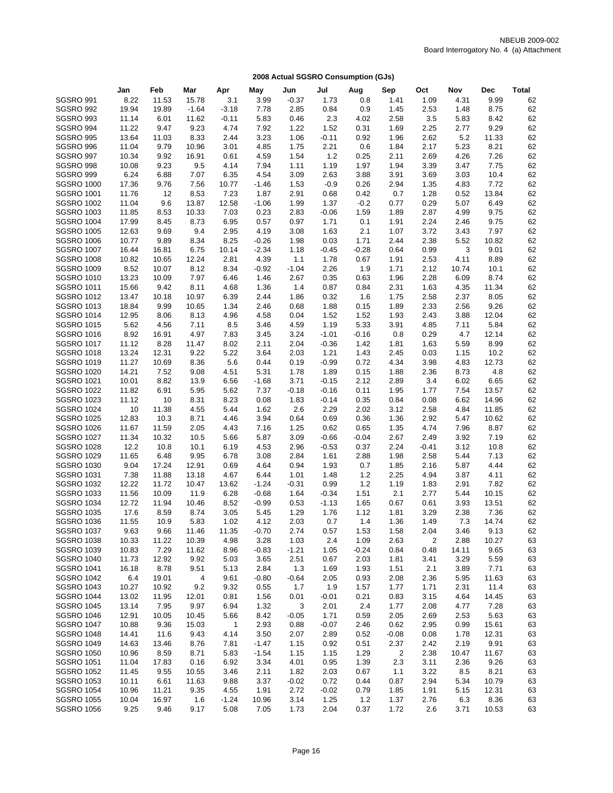|                   | Jan   | Feb   | Mar     | Apr          | May     | Jun     | Jul     | Aug     | Sep            | Oct     | Nov   | Dec   | <b>Total</b> |
|-------------------|-------|-------|---------|--------------|---------|---------|---------|---------|----------------|---------|-------|-------|--------------|
| <b>SGSRO 991</b>  | 8.22  | 11.53 | 15.78   | 3.1          | 3.99    | $-0.37$ | 1.73    | 0.8     | 1.41           | 1.09    | 4.31  | 9.99  | 62           |
| <b>SGSRO 992</b>  | 19.94 | 19.89 | $-1.64$ | $-3.18$      | 7.78    | 2.85    | 0.84    | 0.9     | 1.45           | 2.53    | 1.48  | 8.75  | 62           |
| SGSRO 993         | 11.14 | 6.01  | 11.62   | $-0.11$      | 5.83    | 0.46    | 2.3     | 4.02    | 2.58           | 3.5     | 5.83  | 8.42  | 62           |
| SGSRO 994         | 11.22 | 9.47  | 9.23    | 4.74         | 7.92    | 1.22    | 1.52    | 0.31    | 1.69           | 2.25    | 2.77  | 9.29  | 62           |
| <b>SGSRO 995</b>  | 13.64 | 11.03 | 8.33    | 2.44         | 3.23    | 1.06    | $-0.11$ | 0.92    | 1.96           | 2.62    | 5.2   | 11.33 | 62           |
| <b>SGSRO 996</b>  | 11.04 | 9.79  | 10.96   | 3.01         | 4.85    | 1.75    | 2.21    | 0.6     | 1.84           | 2.17    | 5.23  | 8.21  | 62           |
| SGSRO 997         | 10.34 | 9.92  | 16.91   | 0.61         | 4.59    | 1.54    | $1.2$   | 0.25    | 2.11           | 2.69    | 4.26  | 7.26  | 62           |
| SGSRO 998         | 10.08 | 9.23  | 9.5     | 4.14         | 7.94    | 1.11    | 1.19    | 1.97    | 1.94           | 3.39    | 3.47  | 7.75  | 62           |
| SGSRO 999         | 6.24  | 6.88  | 7.07    | 6.35         | 4.54    | 3.09    | 2.63    | 3.88    | 3.91           | 3.69    | 3.03  | 10.4  | 62           |
| <b>SGSRO 1000</b> | 17.36 | 9.76  | 7.56    | 10.77        | $-1.46$ | 1.53    | $-0.9$  | 0.26    | 2.94           | 1.35    | 4.83  | 7.72  | 62           |
| <b>SGSRO 1001</b> | 11.76 | 12    | 8.53    | 7.23         | 1.87    | 2.91    | 0.68    | 0.42    | 0.7            | 1.28    | 0.52  | 13.84 | 62           |
| <b>SGSRO 1002</b> | 11.04 | 9.6   | 13.87   | 12.58        | $-1.06$ | 1.99    | 1.37    | $-0.2$  | 0.77           | 0.29    | 5.07  | 6.49  | 62           |
| <b>SGSRO 1003</b> | 11.85 | 8.53  | 10.33   | 7.03         | 0.23    | 2.83    | $-0.06$ | 1.59    | 1.89           | 2.87    | 4.99  | 9.75  | 62           |
| <b>SGSRO 1004</b> | 17.99 | 8.45  | 8.73    | 6.95         | 0.57    | 0.97    | 1.71    | 0.1     | 1.91           | 2.24    | 2.46  | 9.75  | 62           |
| <b>SGSRO 1005</b> | 12.63 | 9.69  | 9.4     | 2.95         | 4.19    | 3.08    | 1.63    | 2.1     | 1.07           | 3.72    | 3.43  | 7.97  | 62           |
| <b>SGSRO 1006</b> | 10.77 | 9.89  | 8.34    | 8.25         | $-0.26$ | 1.98    | 0.03    | 1.71    | 2.44           | 2.38    | 5.52  | 10.82 | 62           |
| <b>SGSRO 1007</b> | 16.44 | 16.81 | 6.75    | 10.14        | $-2.34$ | 1.18    | $-0.45$ | $-0.28$ | 0.64           | 0.99    | 3     | 9.01  | 62           |
| <b>SGSRO 1008</b> | 10.82 | 10.65 | 12.24   | 2.81         | 4.39    | 1.1     | 1.78    | 0.67    | 1.91           | 2.53    | 4.11  | 8.89  | 62           |
| <b>SGSRO 1009</b> | 8.52  | 10.07 | 8.12    | 8.34         | $-0.92$ | $-1.04$ | 2.26    | 1.9     | 1.71           | 2.12    | 10.74 | 10.1  | 62           |
| <b>SGSRO 1010</b> | 13.23 | 10.09 | 7.97    | 6.46         | 1.46    | 2.67    | 0.35    | 0.63    | 1.96           | 2.28    | 6.09  | 8.74  | 62           |
| <b>SGSRO 1011</b> | 15.66 | 9.42  | 8.11    | 4.68         | 1.36    | 1.4     | 0.87    | 0.84    | 2.31           | 1.63    | 4.35  | 11.34 | 62           |
| <b>SGSRO 1012</b> | 13.47 | 10.18 | 10.97   | 6.39         | 2.44    | 1.86    | 0.32    | 1.6     | 1.75           | 2.58    | 2.37  | 8.05  | 62           |
| <b>SGSRO 1013</b> | 18.84 | 9.99  | 10.65   | 1.34         | 2.46    | 0.68    | 1.88    | 0.15    | 1.89           | 2.33    | 2.56  | 9.26  | 62           |
| <b>SGSRO 1014</b> | 12.95 | 8.06  | 8.13    | 4.96         | 4.58    | 0.04    | 1.52    | 1.52    | 1.93           | 2.43    | 3.88  | 12.04 | 62           |
| <b>SGSRO 1015</b> | 5.62  | 4.56  | 7.11    | 8.5          | 3.46    | 4.59    | 1.19    | 5.33    | 3.91           | 4.85    | 7.11  | 5.84  | 62           |
| <b>SGSRO 1016</b> | 8.92  | 16.91 | 4.97    | 7.83         | 3.45    | 3.24    | $-1.01$ | $-0.16$ | 0.8            | 0.29    | 4.7   | 12.14 | 62           |
| <b>SGSRO 1017</b> | 11.12 | 8.28  | 11.47   | 8.02         | 2.11    | 2.04    | $-0.36$ | 1.42    | 1.81           | 1.63    | 5.59  | 8.99  | 62           |
| <b>SGSRO 1018</b> | 13.24 | 12.31 | 9.22    | 5.22         | 3.64    | 2.03    | 1.21    | 1.43    | 2.45           | 0.03    | 1.15  | 10.2  | 62           |
| <b>SGSRO 1019</b> | 11.27 | 10.69 | 8.36    | 5.6          | 0.44    | 0.19    | $-0.99$ | 0.72    | 4.34           | 3.98    | 4.83  | 12.73 | 62           |
| <b>SGSRO 1020</b> | 14.21 | 7.52  | 9.08    | 4.51         | 5.31    | 1.78    | 1.89    | 0.15    | 1.88           | 2.36    | 8.73  | 4.8   | 62           |
| <b>SGSRO 1021</b> | 10.01 | 8.82  | 13.9    | 6.56         | $-1.68$ | 3.71    | $-0.15$ | 2.12    | 2.89           | 3.4     | 6.02  | 6.65  | 62           |
| <b>SGSRO 1022</b> | 11.82 | 6.91  | 5.95    | 5.62         | 7.37    | $-0.18$ | $-0.16$ | 0.11    | 1.95           | 1.77    | 7.54  | 13.57 | 62           |
| <b>SGSRO 1023</b> | 11.12 | 10    | 8.31    | 8.23         | 0.08    | 1.83    | $-0.14$ | 0.35    | 0.84           | 0.08    | 6.62  | 14.96 | 62           |
| <b>SGSRO 1024</b> | 10    | 11.38 | 4.55    | 5.44         | 1.62    | 2.6     | 2.29    | 2.02    | 3.12           | 2.58    | 4.84  | 11.85 | 62           |
| <b>SGSRO 1025</b> | 12.83 | 10.3  | 8.71    | 4.46         | 3.94    | 0.64    | 0.69    | 0.36    | 1.36           | 2.92    | 5.47  | 10.62 | 62           |
| <b>SGSRO 1026</b> | 11.67 | 11.59 | 2.05    | 4.43         | 7.16    | 1.25    | 0.62    | 0.65    | 1.35           | 4.74    | 7.96  | 8.87  | 62           |
| <b>SGSRO 1027</b> | 11.34 | 10.32 | 10.5    | 5.66         | 5.87    | 3.09    | $-0.66$ | $-0.04$ | 2.67           | 2.49    | 3.92  | 7.19  | 62           |
| <b>SGSRO 1028</b> | 12.2  | 10.8  | 10.1    | 6.19         | 4.53    | 2.96    | $-0.53$ | 0.37    | 2.24           | $-0.41$ | 3.12  | 10.8  | 62           |
| <b>SGSRO 1029</b> | 11.65 | 6.48  | 9.95    | 6.78         | 3.08    | 2.84    | 1.61    | 2.88    | 1.98           | 2.58    | 5.44  | 7.13  | 62           |
| <b>SGSRO 1030</b> | 9.04  | 17.24 | 12.91   | 0.69         | 4.64    | 0.94    | 1.93    | 0.7     | 1.85           | 2.16    | 5.87  | 4.44  | 62           |
| <b>SGSRO 1031</b> | 7.38  | 11.88 | 13.18   | 4.67         | 6.44    | 1.01    | 1.48    | 1.2     | 2.25           | 4.94    | 3.87  | 4.11  | 62           |
| <b>SGSRO 1032</b> | 12.22 | 11.72 | 10.47   | 13.62        | $-1.24$ | $-0.31$ | 0.99    | $1.2$   | 1.19           | 1.83    | 2.91  | 7.82  | 62           |
| <b>SGSRO 1033</b> | 11.56 | 10.09 | 11.9    | 6.28         | $-0.68$ | 1.64    | $-0.34$ | 1.51    | 2.1            | 2.77    | 5.44  | 10.15 | 62           |
| <b>SGSRO 1034</b> | 12.72 | 11.94 | 10.46   | 8.52         | $-0.99$ | 0.53    | $-1.13$ | 1.65    | 0.67           | 0.61    | 3.93  | 13.51 | 62           |
| <b>SGSRO 1035</b> | 17.6  | 8.59  | 8.74    | 3.05         | 5.45    | 1.29    | 1.76    | 1.12    | 1.81           | 3.29    | 2.38  | 7.36  | 62           |
| <b>SGSRO 1036</b> | 11.55 | 10.9  | 5.83    | 1.02         | 4.12    | 2.03    | 0.7     | 1.4     | 1.36           | 1.49    | 7.3   | 14.74 | 62           |
| <b>SGSRO 1037</b> | 9.63  | 9.66  | 11.46   | 11.35        | $-0.70$ | 2.74    | 0.57    | 1.53    | 1.58           | 2.04    | 3.46  | 9.13  | 62           |
| <b>SGSRO 1038</b> | 10.33 | 11.22 | 10.39   | 4.98         | 3.28    | 1.03    | 2.4     | 1.09    | 2.63           | 2       | 2.88  | 10.27 | 63           |
| <b>SGSRO 1039</b> | 10.83 | 7.29  | 11.62   | 8.96         | $-0.83$ | $-1.21$ | 1.05    | $-0.24$ | 0.84           | 0.48    | 14.11 | 9.65  | 63           |
| <b>SGSRO 1040</b> | 11.73 | 12.92 | 9.92    | 5.03         | 3.65    | 2.51    | 0.67    | 2.03    | 1.81           | 3.41    | 3.29  | 5.59  | 63           |
| <b>SGSRO 1041</b> | 16.18 | 8.78  | 9.51    | 5.13         | 2.84    | 1.3     | 1.69    | 1.93    | 1.51           | 2.1     | 3.89  | 7.71  | 63           |
| <b>SGSRO 1042</b> | 6.4   | 19.01 | 4       | 9.61         | $-0.80$ | $-0.64$ | 2.05    | 0.93    | 2.08           | 2.36    | 5.95  | 11.63 | 63           |
| <b>SGSRO 1043</b> | 10.27 | 10.92 | 9.2     | 9.32         | 0.55    | 1.7     | 1.9     | 1.57    | 1.77           | 1.71    | 2.31  | 11.4  | 63           |
| <b>SGSRO 1044</b> | 13.02 | 11.95 | 12.01   | 0.81         | 1.56    | 0.01    | $-0.01$ | 0.21    | 0.83           | 3.15    | 4.64  | 14.45 | 63           |
| <b>SGSRO 1045</b> | 13.14 | 7.95  | 9.97    | 6.94         | 1.32    | 3       | 2.01    | 2.4     | 1.77           | 2.08    | 4.77  | 7.28  | 63           |
| <b>SGSRO 1046</b> | 12.91 | 10.05 | 10.45   | 5.66         | 8.42    | $-0.05$ | 1.71    | 0.59    | 2.05           | 2.69    | 2.53  | 5.63  | 63           |
| <b>SGSRO 1047</b> | 10.88 | 9.36  | 15.03   | $\mathbf{1}$ | 2.93    | 0.88    | $-0.07$ | 2.46    | 0.62           | 2.95    | 0.99  | 15.61 | 63           |
| <b>SGSRO 1048</b> | 14.41 | 11.6  | 9.43    | 4.14         | 3.50    | 2.07    | 2.89    | 0.52    | $-0.08$        | 0.08    | 1.78  | 12.31 | 63           |
| <b>SGSRO 1049</b> | 14.63 | 13.46 | 8.76    | 7.81         | $-1.47$ | 1.15    | 0.92    | 0.51    | 2.37           | 2.42    | 2.19  | 9.91  | 63           |
| <b>SGSRO 1050</b> | 10.96 | 8.59  | 8.71    | 5.83         | $-1.54$ | 1.15    | 1.15    | 1.29    | $\overline{2}$ | 2.38    | 10.47 | 11.67 | 63           |
| <b>SGSRO 1051</b> | 11.04 | 17.83 | 0.16    | 6.92         | 3.34    | 4.01    | 0.95    | 1.39    | 2.3            | 3.11    | 2.36  | 9.26  | 63           |
| <b>SGSRO 1052</b> | 11.45 | 9.55  | 10.55   | 3.46         | 2.11    | 1.82    | 2.03    | 0.67    | 1.1            | 3.22    | 8.5   | 8.21  | 63           |
| <b>SGSRO 1053</b> | 10.11 | 6.61  | 11.63   | 9.88         | 3.37    | $-0.02$ | 0.72    | 0.44    | 0.87           | 2.94    | 5.34  | 10.79 | 63           |
| <b>SGSRO 1054</b> | 10.96 | 11.21 | 9.35    | 4.55         | 1.91    | 2.72    | $-0.02$ | 0.79    | 1.85           | 1.91    | 5.15  | 12.31 | 63           |
| <b>SGSRO 1055</b> | 10.04 | 16.97 | 1.6     | $-1.24$      | 10.96   | 3.14    | 1.25    | $1.2$   | 1.37           | 2.76    | 6.3   | 8.36  | 63           |
| <b>SGSRO 1056</b> | 9.25  | 9.46  | 9.17    | 5.08         | 7.05    | 1.73    | 2.04    | 0.37    | 1.72           | 2.6     | 3.71  | 10.53 | 63           |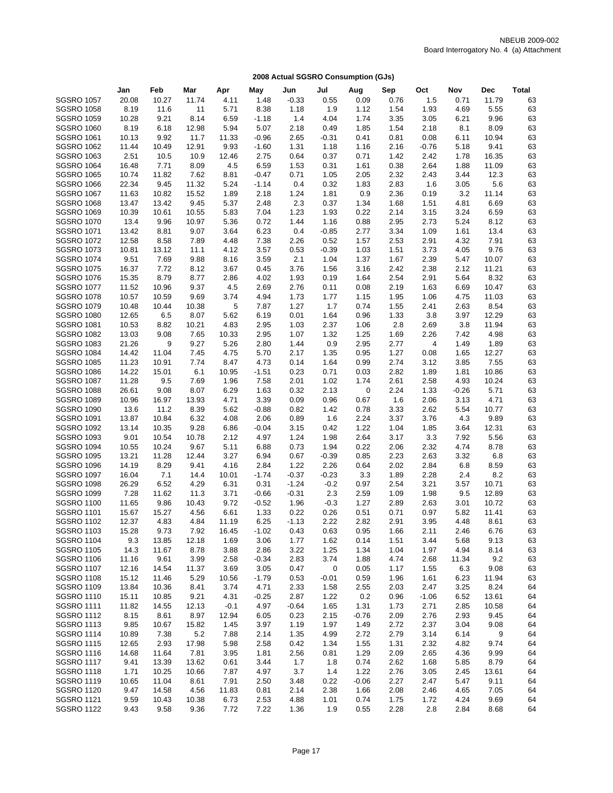|                                        | Jan           | Feb            | Mar           | Apr          | May             | Jun          | Jul          | Aug          | Sep          | Oct          | Nov         | Dec           | <b>Total</b> |
|----------------------------------------|---------------|----------------|---------------|--------------|-----------------|--------------|--------------|--------------|--------------|--------------|-------------|---------------|--------------|
| <b>SGSRO 1057</b>                      | 20.08         | 10.27          | 11.74         | 4.11         | 1.48            | $-0.33$      | 0.55         | 0.09         | 0.76         | 1.5          | 0.71        | 11.79         | 63           |
| <b>SGSRO 1058</b>                      | 8.19          | 11.6           | 11            | 5.71         | 8.38            | 1.18         | 1.9          | 1.12         | 1.54         | 1.93         | 4.69        | 5.55          | 63           |
| <b>SGSRO 1059</b>                      | 10.28         | 9.21           | 8.14          | 6.59         | $-1.18$         | 1.4          | 4.04         | 1.74         | 3.35         | 3.05         | 6.21        | 9.96          | 63           |
| <b>SGSRO 1060</b>                      | 8.19          | 6.18           | 12.98         | 5.94         | 5.07            | 2.18         | 0.49         | 1.85         | 1.54         | 2.18         | 8.1         | 8.09          | 63           |
| <b>SGSRO 1061</b>                      | 10.13         | 9.92           | 11.7          | 11.33        | $-0.96$         | 2.65         | $-0.31$      | 0.41         | 0.81         | 0.08         | 6.11        | 10.94         | 63           |
| <b>SGSRO 1062</b>                      | 11.44         | 10.49          | 12.91         | 9.93         | $-1.60$         | 1.31         | 1.18         | 1.16         | 2.16         | $-0.76$      | 5.18        | 9.41          | 63           |
| <b>SGSRO 1063</b>                      | 2.51          | 10.5           | 10.9          | 12.46        | 2.75            | 0.64         | 0.37         | 0.71         | 1.42         | 2.42         | 1.78        | 16.35         | 63           |
| <b>SGSRO 1064</b>                      | 16.48         | 7.71           | 8.09          | 4.5          | 6.59            | 1.53         | 0.31         | 1.61         | 0.38         | 2.64         | 1.88        | 11.09         | 63           |
| <b>SGSRO 1065</b>                      | 10.74         | 11.82          | 7.62          | 8.81         | $-0.47$         | 0.71         | 1.05         | 2.05         | 2.32         | 2.43         | 3.44        | 12.3          | 63           |
| <b>SGSRO 1066</b>                      | 22.34         | 9.45           | 11.32         | 5.24         | $-1.14$         | 0.4          | 0.32         | 1.83         | 2.83         | 1.6          | 3.05        | 5.6           | 63           |
| <b>SGSRO 1067</b>                      | 11.63         | 10.82          | 15.52         | 1.89         | 2.18            | 1.24         | 1.81         | 0.9          | 2.36         | 0.19         | 3.2         | 11.14         | 63           |
| <b>SGSRO 1068</b>                      | 13.47         | 13.42          | 9.45          | 5.37         | 2.48            | 2.3          | 0.37         | 1.34         | 1.68         | 1.51         | 4.81        | 6.69          | 63           |
| <b>SGSRO 1069</b>                      | 10.39         | 10.61          | 10.55         | 5.83         | 7.04            | 1.23         | 1.93         | 0.22         | 2.14         | 3.15         | 3.24        | 6.59          | 63           |
| <b>SGSRO 1070</b>                      | 13.4          | 9.96           | 10.97         | 5.36         | 0.72            | 1.44         | 1.16         | 0.88         | 2.95         | 2.73         | 5.24        | 8.12          | 63           |
| <b>SGSRO 1071</b>                      | 13.42         | 8.81           | 9.07          | 3.64         | 6.23            | 0.4          | $-0.85$      | 2.77         | 3.34         | 1.09         | 1.61        | 13.4          | 63           |
| <b>SGSRO 1072</b>                      | 12.58         | 8.58           | 7.89          | 4.48         | 7.38            | 2.26         | 0.52         | 1.57         | 2.53         | 2.91         | 4.32        | 7.91          | 63           |
| <b>SGSRO 1073</b>                      | 10.81         | 13.12          | 11.1          | 4.12         | 3.57            | 0.53         | $-0.39$      | 1.03         | 1.51         | 3.73         | 4.05        | 9.76          | 63           |
| <b>SGSRO 1074</b>                      | 9.51          | 7.69           | 9.88          | 8.16         | 3.59            | 2.1          | 1.04         | 1.37         | 1.67         | 2.39         | 5.47        | 10.07         | 63           |
| <b>SGSRO 1075</b>                      | 16.37         | 7.72           | 8.12          | 3.67         | 0.45            | 3.76         | 1.56         | 3.16         | 2.42         | 2.38         | 2.12        | 11.21         | 63           |
| <b>SGSRO 1076</b>                      | 15.35         | 8.79           | 8.77          | 2.86         | 4.02            | 1.93         | 0.19         | 1.64         | 2.54         | 2.91         | 5.64        | 8.32          | 63           |
| <b>SGSRO 1077</b>                      | 11.52         | 10.96          | 9.37          | 4.5          | 2.69            | 2.76         | 0.11         | 0.08         | 2.19         | 1.63         | 6.69        | 10.47         | 63           |
| <b>SGSRO 1078</b>                      | 10.57         | 10.59          | 9.69          | 3.74         | 4.94            | 1.73         | 1.77         | 1.15         | 1.95         | 1.06         | 4.75        | 11.03         | 63           |
| <b>SGSRO 1079</b>                      | 10.48         | 10.44          | 10.38         | 5            | 7.87            | 1.27         | 1.7          | 0.74         | 1.55         | 2.41         | 2.63        | 8.54          | 63           |
| <b>SGSRO 1080</b>                      | 12.65         | 6.5            | 8.07          | 5.62         | 6.19            | 0.01         | 1.64         | 0.96         | 1.33         | 3.8          | 3.97        | 12.29         | 63           |
| <b>SGSRO 1081</b>                      | 10.53         | 8.82           | 10.21         | 4.83         | 2.95            | 1.03         | 2.37         | 1.06         | 2.8          | 2.69         | 3.8         | 11.94         | 63           |
| <b>SGSRO 1082</b>                      | 13.03         | 9.08           | 7.65          | 10.33        | 2.95            | 1.07         | 1.32         | 1.25         | 1.69         | 2.26         | 7.42        | 4.98          | 63           |
| <b>SGSRO 1083</b>                      | 21.26         | 9              | 9.27          | 5.26         | 2.80            | 1.44         | 0.9          | 2.95         | 2.77         | 4            | 1.49        | 1.89          | 63           |
| <b>SGSRO 1084</b>                      | 14.42         | 11.04          | 7.45          | 4.75         | 5.70            | 2.17         | 1.35         | 0.95         | 1.27         | 0.08         | 1.65        | 12.27         | 63           |
| <b>SGSRO 1085</b>                      | 11.23         | 10.91          | 7.74          | 8.47         | 4.73            | 0.14         | 1.64         | 0.99         | 2.74         | 3.12         | 3.85        | 7.55          | 63           |
| <b>SGSRO 1086</b>                      | 14.22         | 15.01          | 6.1           | 10.95        | $-1.51$         | 0.23         | 0.71         | 0.03         | 2.82         | 1.89         | 1.81        | 10.86         | 63           |
| <b>SGSRO 1087</b>                      | 11.28         | 9.5            | 7.69          | 1.96         | 7.58            | 2.01         | 1.02         | 1.74         | 2.61         | 2.58         | 4.93        | 10.24         | 63           |
| <b>SGSRO 1088</b>                      | 26.61         | 9.08           | 8.07          | 6.29         | 1.63            | 0.32         | 2.13         | 0            | 2.24         | 1.33         | $-0.26$     | 5.71          | 63           |
| <b>SGSRO 1089</b>                      | 10.96         | 16.97          | 13.93         | 4.71         | 3.39            | 0.09         | 0.96         | 0.67         | 1.6          | 2.06         | 3.13        | 4.71          | 63           |
| <b>SGSRO 1090</b>                      | 13.6          | 11.2           | 8.39          | 5.62         | $-0.88$         | 0.82         | 1.42         | 0.78         | 3.33         | 2.62         | 5.54        | 10.77         | 63           |
| <b>SGSRO 1091</b><br><b>SGSRO 1092</b> | 13.87         | 10.84          | 6.32          | 4.08         | 2.06<br>$-0.04$ | 0.89         | 1.6          | 2.24         | 3.37<br>1.04 | 3.76<br>1.85 | 4.3<br>3.64 | 9.89          | 63           |
| <b>SGSRO 1093</b>                      | 13.14<br>9.01 | 10.35<br>10.54 | 9.28<br>10.78 | 6.86<br>2.12 | 4.97            | 3.15<br>1.24 | 0.42<br>1.98 | 1.22<br>2.64 | 3.17         | 3.3          | 7.92        | 12.31<br>5.56 | 63<br>63     |
| <b>SGSRO 1094</b>                      | 10.55         | 10.24          | 9.67          | 5.11         | 6.88            | 0.73         | 1.94         | 0.22         | 2.06         | 2.32         | 4.74        | 8.78          | 63           |
| <b>SGSRO 1095</b>                      | 13.21         | 11.28          | 12.44         | 3.27         | 6.94            | 0.67         | $-0.39$      | 0.85         | 2.23         | 2.63         | 3.32        | 6.8           | 63           |
| <b>SGSRO 1096</b>                      | 14.19         | 8.29           | 9.41          | 4.16         | 2.84            | 1.22         | 2.26         | 0.64         | 2.02         | 2.84         | 6.8         | 8.59          | 63           |
| <b>SGSRO 1097</b>                      | 16.04         | 7.1            | 14.4          | 10.01        | $-1.74$         | $-0.37$      | $-0.23$      | 3.3          | 1.89         | 2.28         | 2.4         | 8.2           | 63           |
| <b>SGSRO 1098</b>                      | 26.29         | 6.52           | 4.29          | 6.31         | 0.31            | $-1.24$      | $-0.2$       | 0.97         | 2.54         | 3.21         | 3.57        | 10.71         | 63           |
| <b>SGSRO 1099</b>                      | 7.28          | 11.62          | 11.3          | 3.71         | $-0.66$         | $-0.31$      | 2.3          | 2.59         | 1.09         | 1.98         | 9.5         | 12.89         | 63           |
| <b>SGSRO 1100</b>                      | 11.65         | 9.86           | 10.43         | 9.72         | $-0.52$         | 1.96         | $-0.3$       | 1.27         | 2.89         | 2.63         | 3.01        | 10.72         | 63           |
| <b>SGSRO 1101</b>                      | 15.67         | 15.27          | 4.56          | 6.61         | 1.33            | 0.22         | 0.26         | 0.51         | 0.71         | 0.97         | 5.82        | 11.41         | 63           |
| <b>SGSRO 1102</b>                      | 12.37         | 4.83           | 4.84          | 11.19        | 6.25            | $-1.13$      | 2.22         | 2.82         | 2.91         | 3.95         | 4.48        | 8.61          | 63           |
| <b>SGSRO 1103</b>                      | 15.28         | 9.73           | 7.92          | 16.45        | $-1.02$         | 0.43         | 0.63         | 0.95         | 1.66         | 2.11         | 2.46        | 6.76          | 63           |
| <b>SGSRO 1104</b>                      | 9.3           | 13.85          | 12.18         | 1.69         | 3.06            | 1.77         | 1.62         | 0.14         | 1.51         | 3.44         | 5.68        | 9.13          | 63           |
| <b>SGSRO 1105</b>                      | 14.3          | 11.67          | 8.78          | 3.88         | 2.86            | 3.22         | 1.25         | 1.34         | 1.04         | 1.97         | 4.94        | 8.14          | 63           |
| <b>SGSRO 1106</b>                      | 11.16         | 9.61           | 3.99          | 2.58         | $-0.34$         | 2.83         | 3.74         | 1.88         | 4.74         | 2.68         | 11.34       | 9.2           | 63           |
| <b>SGSRO 1107</b>                      | 12.16         | 14.54          | 11.37         | 3.69         | 3.05            | 0.47         | 0            | 0.05         | 1.17         | 1.55         | 6.3         | 9.08          | 63           |
| <b>SGSRO 1108</b>                      | 15.12         | 11.46          | 5.29          | 10.56        | $-1.79$         | 0.53         | $-0.01$      | 0.59         | 1.96         | 1.61         | 6.23        | 11.94         | 63           |
| <b>SGSRO 1109</b>                      | 13.84         | 10.36          | 8.41          | 3.74         | 4.71            | 2.33         | 1.58         | 2.55         | 2.03         | 2.47         | 3.25        | 8.24          | 64           |
| <b>SGSRO 1110</b>                      | 15.11         | 10.85          | 9.21          | 4.31         | $-0.25$         | 2.87         | 1.22         | 0.2          | 0.96         | $-1.06$      | 6.52        | 13.61         | 64           |
| <b>SGSRO 1111</b>                      | 11.82         | 14.55          | 12.13         | $-0.1$       | 4.97            | $-0.64$      | 1.65         | 1.31         | 1.73         | 2.71         | 2.85        | 10.58         | 64           |
| <b>SGSRO 1112</b>                      | 8.15          | 8.61           | 8.97          | 12.94        | 6.05            | 0.23         | 2.15         | $-0.76$      | 2.09         | 2.76         | 2.93        | 9.45          | 64           |
| <b>SGSRO 1113</b>                      | 9.85          | 10.67          | 15.82         | 1.45         | 3.97            | 1.19         | 1.97         | 1.49         | 2.72         | 2.37         | 3.04        | 9.08          | 64           |
| <b>SGSRO 1114</b>                      | 10.89         | 7.38           | $5.2\,$       | 7.88         | 2.14            | 1.35         | 4.99         | 2.72         | 2.79         | 3.14         | 6.14        | 9             | 64           |
| <b>SGSRO 1115</b>                      | 12.65         | 2.93           | 17.98         | 5.98         | 2.58            | 0.42         | 1.34         | 1.55         | 1.31         | 2.32         | 4.82        | 9.74          | 64           |
| <b>SGSRO 1116</b>                      | 14.68         | 11.64          | 7.81          | 3.95         | 1.81            | 2.56         | 0.81         | 1.29         | 2.09         | 2.65         | 4.36        | 9.99          | 64           |
| <b>SGSRO 1117</b>                      | 9.41          | 13.39          | 13.62         | 0.61         | 3.44            | 1.7          | 1.8          | 0.74         | 2.62         | 1.68         | 5.85        | 8.79          | 64           |
| <b>SGSRO 1118</b>                      | 1.71          | 10.25          | 10.66         | 7.87         | 4.97            | 3.7          | 1.4          | 1.22         | 2.76         | 3.05         | 2.45        | 13.61         | 64           |
| <b>SGSRO 1119</b>                      | 10.65         | 11.04          | 8.61          | 7.91         | 2.50            | 3.48         | 0.22         | $-0.06$      | 2.27         | 2.47         | 5.47        | 9.11          | 64           |
| <b>SGSRO 1120</b>                      | 9.47          | 14.58          | 4.56          | 11.83        | 0.81            | 2.14         | 2.38         | 1.66         | 2.08         | 2.46         | 4.65        | 7.05          | 64           |
| <b>SGSRO 1121</b>                      | 9.59          | 10.43          | 10.38         | 6.73         | 2.53            | 4.88         | 1.01         | 0.74         | 1.75         | 1.72         | 4.24        | 9.69          | 64           |
| <b>SGSRO 1122</b>                      | 9.43          | 9.58           | 9.36          | 7.72         | 7.22            | 1.36         | 1.9          | 0.55         | 2.28         | 2.8          | 2.84        | 8.68          | 64           |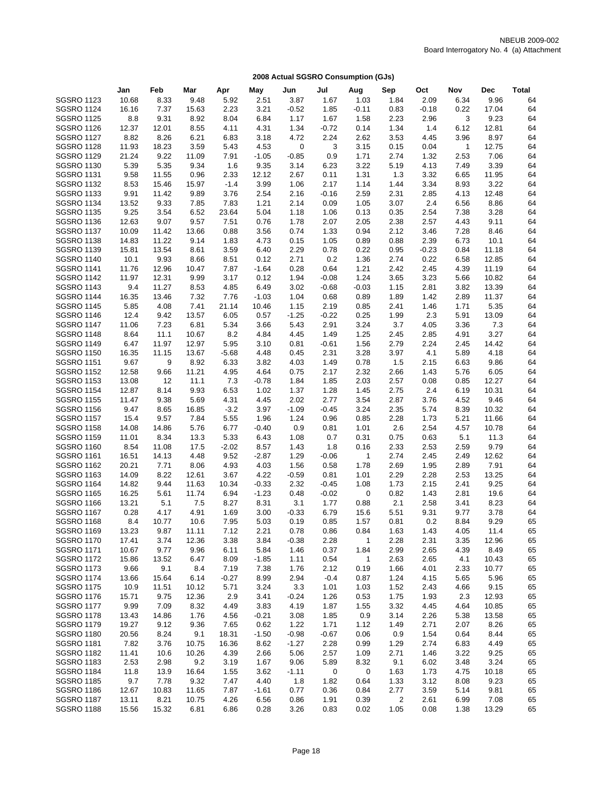|                   | Jan   | Feb   | Mar   | Apr     | May     | Jun         | Jul     | Aug          | Sep            | Oct     | Nov          | <b>Dec</b> | <b>Total</b> |
|-------------------|-------|-------|-------|---------|---------|-------------|---------|--------------|----------------|---------|--------------|------------|--------------|
| <b>SGSRO 1123</b> | 10.68 | 8.33  | 9.48  | 5.92    | 2.51    | 3.87        | 1.67    | 1.03         | 1.84           | 2.09    | 6.34         | 9.96       | 64           |
| <b>SGSRO 1124</b> | 16.16 | 7.37  | 15.63 | 2.23    | 3.21    | $-0.52$     | 1.85    | $-0.11$      | 0.83           | $-0.18$ | 0.22         | 17.04      | 64           |
| <b>SGSRO 1125</b> | 8.8   | 9.31  | 8.92  | 8.04    | 6.84    | 1.17        | 1.67    | 1.58         | 2.23           | 2.96    | 3            | 9.23       | 64           |
| <b>SGSRO 1126</b> | 12.37 | 12.01 | 8.55  | 4.11    | 4.31    | 1.34        | $-0.72$ | 0.14         | 1.34           | 1.4     | 6.12         | 12.81      | 64           |
| <b>SGSRO 1127</b> | 8.82  | 8.26  | 6.21  | 6.83    | 3.18    | 4.72        | 2.24    | 2.62         | 3.53           | 4.45    | 3.96         | 8.97       | 64           |
| <b>SGSRO 1128</b> | 11.93 | 18.23 | 3.59  | 5.43    | 4.53    | $\mathbf 0$ | 3       | 3.15         | 0.15           | 0.04    | $\mathbf{1}$ | 12.75      | 64           |
| <b>SGSRO 1129</b> | 21.24 | 9.22  | 11.09 | 7.91    | $-1.05$ | $-0.85$     | 0.9     | 1.71         | 2.74           | 1.32    | 2.53         | 7.06       | 64           |
| <b>SGSRO 1130</b> | 5.39  | 5.35  | 9.34  | 1.6     | 9.35    | 3.14        | 6.23    | 3.22         | 5.19           | 4.13    | 7.49         | 3.39       | 64           |
| <b>SGSRO 1131</b> | 9.58  | 11.55 | 0.96  | 2.33    | 12.12   | 2.67        | 0.11    | 1.31         | 1.3            | 3.32    | 6.65         | 11.95      | 64           |
| <b>SGSRO 1132</b> | 8.53  | 15.46 | 15.97 | $-1.4$  | 3.99    | 1.06        | 2.17    | 1.14         | 1.44           | 3.34    | 8.93         | 3.22       | 64           |
| <b>SGSRO 1133</b> | 9.91  | 11.42 | 9.89  | 3.76    | 2.54    | 2.16        | $-0.16$ | 2.59         | 2.31           | 2.85    | 4.13         | 12.48      | 64           |
| <b>SGSRO 1134</b> | 13.52 | 9.33  | 7.85  | 7.83    | 1.21    | 2.14        | 0.09    | 1.05         | 3.07           | 2.4     | 6.56         | 8.86       | 64           |
| <b>SGSRO 1135</b> | 9.25  | 3.54  | 6.52  | 23.64   | 5.04    | 1.18        | 1.06    | 0.13         | 0.35           | 2.54    | 7.38         | 3.28       | 64           |
| <b>SGSRO 1136</b> | 12.63 | 9.07  | 9.57  | 7.51    | 0.76    | 1.78        | 2.07    | 2.05         | 2.38           | 2.57    | 4.43         | 9.11       | 64           |
| <b>SGSRO 1137</b> | 10.09 | 11.42 | 13.66 | 0.88    | 3.56    | 0.74        | 1.33    | 0.94         | 2.12           | 3.46    | 7.28         | 8.46       | 64           |
| <b>SGSRO 1138</b> | 14.83 | 11.22 | 9.14  | 1.83    | 4.73    | 0.15        | 1.05    | 0.89         | 0.88           | 2.39    | 6.73         | 10.1       | 64           |
| <b>SGSRO 1139</b> | 15.81 | 13.54 | 8.61  | 3.59    | 6.40    | 2.29        | 0.78    | 0.22         | 0.95           | $-0.23$ | 0.84         | 11.18      | 64           |
| <b>SGSRO 1140</b> | 10.1  | 9.93  | 8.66  | 8.51    | 0.12    | 2.71        | 0.2     | 1.36         | 2.74           | 0.22    | 6.58         | 12.85      | 64           |
| <b>SGSRO 1141</b> | 11.76 | 12.96 | 10.47 | 7.87    | $-1.64$ | 0.28        | 0.64    | 1.21         | 2.42           | 2.45    | 4.39         | 11.19      | 64           |
| <b>SGSRO 1142</b> | 11.97 | 12.31 | 9.99  | 3.17    | 0.12    | 1.94        | $-0.08$ | 1.24         | 3.65           | 3.23    | 5.66         | 10.82      | 64           |
| <b>SGSRO 1143</b> | 9.4   | 11.27 | 8.53  | 4.85    | 6.49    | 3.02        | $-0.68$ | $-0.03$      | 1.15           | 2.81    | 3.82         | 13.39      | 64           |
| <b>SGSRO 1144</b> | 16.35 | 13.46 | 7.32  | 7.76    | $-1.03$ | 1.04        | 0.68    | 0.89         | 1.89           | 1.42    | 2.89         | 11.37      | 64           |
| <b>SGSRO 1145</b> | 5.85  | 4.08  | 7.41  | 21.14   | 10.46   | 1.15        | 2.19    | 0.85         | 2.41           | 1.46    | 1.71         | 5.35       | 64           |
| <b>SGSRO 1146</b> | 12.4  | 9.42  | 13.57 | 6.05    | 0.57    | $-1.25$     | $-0.22$ | 0.25         | 1.99           | 2.3     | 5.91         | 13.09      | 64           |
| <b>SGSRO 1147</b> | 11.06 | 7.23  | 6.81  | 5.34    | 3.66    | 5.43        | 2.91    | 3.24         | 3.7            | 4.05    | 3.36         | 7.3        | 64           |
| <b>SGSRO 1148</b> | 8.64  | 11.1  | 10.67 | 8.2     | 4.84    | 4.45        | 1.49    | 1.25         | 2.45           | 2.85    | 4.91         | 3.27       | 64           |
| <b>SGSRO 1149</b> | 6.47  | 11.97 | 12.97 | 5.95    | 3.10    | 0.81        | $-0.61$ | 1.56         | 2.79           | 2.24    | 2.45         | 14.42      | 64           |
| <b>SGSRO 1150</b> | 16.35 | 11.15 | 13.67 | $-5.68$ | 4.48    | 0.45        | 2.31    | 3.28         | 3.97           | 4.1     | 5.89         | 4.18       | 64           |
| <b>SGSRO 1151</b> | 9.67  | 9     | 8.92  | 6.33    | 3.82    | 4.03        | 1.49    | 0.78         | 1.5            | 2.15    | 6.63         | 9.86       | 64           |
| <b>SGSRO 1152</b> | 12.58 | 9.66  | 11.21 | 4.95    | 4.64    | 0.75        | 2.17    | 2.32         | 2.66           | 1.43    | 5.76         | 6.05       | 64           |
| <b>SGSRO 1153</b> | 13.08 | 12    | 11.1  | 7.3     | $-0.78$ | 1.84        | 1.85    | 2.03         | 2.57           | 0.08    | 0.85         | 12.27      | 64           |
| <b>SGSRO 1154</b> | 12.87 | 8.14  | 9.93  | 6.53    | 1.02    | 1.37        | 1.28    | 1.45         | 2.75           | 2.4     | 6.19         | 10.31      | 64           |
| <b>SGSRO 1155</b> | 11.47 | 9.38  | 5.69  | 4.31    | 4.45    | 2.02        | 2.77    | 3.54         | 2.87           | 3.76    | 4.52         | 9.46       | 64           |
| <b>SGSRO 1156</b> | 9.47  | 8.65  | 16.85 | $-3.2$  | 3.97    | $-1.09$     | $-0.45$ | 3.24         | 2.35           | 5.74    | 8.39         | 10.32      | 64           |
| <b>SGSRO 1157</b> | 15.4  | 9.57  | 7.84  | 5.55    | 1.96    | 1.24        | 0.96    | 0.85         | 2.28           | 1.73    | 5.21         | 11.66      | 64           |
| <b>SGSRO 1158</b> | 14.08 | 14.86 | 5.76  | 6.77    | $-0.40$ | 0.9         | 0.81    | 1.01         | 2.6            | 2.54    | 4.57         | 10.78      | 64           |
| <b>SGSRO 1159</b> | 11.01 | 8.34  | 13.3  | 5.33    | 6.43    | 1.08        | 0.7     | 0.31         | 0.75           | 0.63    | 5.1          | 11.3       | 64           |
| <b>SGSRO 1160</b> | 8.54  | 11.08 | 17.5  | $-2.02$ | 8.57    | 1.43        | 1.8     | 0.16         | 2.33           | 2.53    | 2.59         | 9.79       | 64           |
| <b>SGSRO 1161</b> | 16.51 | 14.13 | 4.48  | 9.52    | $-2.87$ | 1.29        | $-0.06$ | $\mathbf{1}$ | 2.74           | 2.45    | 2.49         | 12.62      | 64           |
| <b>SGSRO 1162</b> | 20.21 | 7.71  | 8.06  | 4.93    | 4.03    | 1.56        | 0.58    | 1.78         | 2.69           | 1.95    | 2.89         | 7.91       | 64           |
| <b>SGSRO 1163</b> | 14.09 | 8.22  | 12.61 | 3.67    | 4.22    | $-0.59$     | 0.81    | 1.01         | 2.29           | 2.28    | 2.53         | 13.25      | 64           |
| <b>SGSRO 1164</b> | 14.82 | 9.44  | 11.63 | 10.34   | $-0.33$ | 2.32        | $-0.45$ | 1.08         | 1.73           | 2.15    | 2.41         | 9.25       | 64           |
| <b>SGSRO 1165</b> | 16.25 | 5.61  | 11.74 | 6.94    | $-1.23$ | 0.48        | $-0.02$ | 0            | 0.82           | 1.43    | 2.81         | 19.6       | 64           |
| <b>SGSRO 1166</b> | 13.21 | 5.1   | 7.5   | 8.27    | 8.31    | 3.1         | 1.77    | 0.88         | 2.1            | 2.58    | 3.41         | 8.23       | 64           |
| <b>SGSRO 1167</b> | 0.28  | 4.17  | 4.91  | 1.69    | 3.00    | $-0.33$     | 6.79    | 15.6         | 5.51           | 9.31    | 9.77         | 3.78       | 64           |
| <b>SGSRO 1168</b> | 8.4   | 10.77 | 10.6  | 7.95    | 5.03    | 0.19        | 0.85    | 1.57         | 0.81           | 0.2     | 8.84         | 9.29       | 65           |
| <b>SGSRO 1169</b> | 13.23 | 9.87  | 11.11 | 7.12    | 2.21    | 0.78        | 0.86    | 0.84         | 1.63           | 1.43    | 4.05         | 11.4       | 65           |
| <b>SGSRO 1170</b> | 17.41 | 3.74  | 12.36 | 3.38    | 3.84    | $-0.38$     | 2.28    | $\mathbf{1}$ | 2.28           | 2.31    | 3.35         | 12.96      | 65           |
| <b>SGSRO 1171</b> | 10.67 | 9.77  | 9.96  | 6.11    | 5.84    | 1.46        | 0.37    | 1.84         | 2.99           | 2.65    | 4.39         | 8.49       | 65           |
| <b>SGSRO 1172</b> | 15.86 | 13.52 | 6.47  | 8.09    | $-1.85$ | 1.11        | 0.54    | $\mathbf 1$  | 2.63           | 2.65    | 4.1          | 10.43      | 65           |
| <b>SGSRO 1173</b> | 9.66  | 9.1   | 8.4   | 7.19    | 7.38    | 1.76        | 2.12    | 0.19         | 1.66           | 4.01    | 2.33         | 10.77      | 65           |
| <b>SGSRO 1174</b> | 13.66 | 15.64 | 6.14  | $-0.27$ | 8.99    | 2.94        | $-0.4$  | 0.87         | 1.24           | 4.15    | 5.65         | 5.96       | 65           |
| <b>SGSRO 1175</b> | 10.9  | 11.51 | 10.12 | 5.71    | 3.24    | 3.3         | 1.01    | 1.03         | 1.52           | 2.43    | 4.66         | 9.15       | 65           |
| <b>SGSRO 1176</b> | 15.71 | 9.75  | 12.36 | 2.9     | 3.41    | $-0.24$     | 1.26    | 0.53         | 1.75           | 1.93    | 2.3          | 12.93      | 65           |
| <b>SGSRO 1177</b> | 9.99  | 7.09  | 8.32  | 4.49    | 3.83    | 4.19        | 1.87    | 1.55         | 3.32           | 4.45    | 4.64         | 10.85      | 65           |
| <b>SGSRO 1178</b> | 13.43 | 14.86 | 1.76  | 4.56    | $-0.21$ | 3.08        | 1.85    | 0.9          | 3.14           | 2.26    | 5.38         | 13.58      | 65           |
| <b>SGSRO 1179</b> | 19.27 | 9.12  | 9.36  | 7.65    | 0.62    | 1.22        | 1.71    | 1.12         | 1.49           | 2.71    | 2.07         | 8.26       | 65           |
| <b>SGSRO 1180</b> | 20.56 | 8.24  | 9.1   | 18.31   | $-1.50$ | $-0.98$     | $-0.67$ | 0.06         | 0.9            | 1.54    | 0.64         | 8.44       | 65           |
| <b>SGSRO 1181</b> | 7.82  | 3.76  | 10.75 | 16.36   | 8.62    | $-1.27$     | 2.28    | 0.99         | 1.29           | 2.74    | 6.83         | 4.49       | 65           |
| <b>SGSRO 1182</b> | 11.41 | 10.6  | 10.26 | 4.39    | 2.66    | 5.06        | 2.57    | 1.09         | 2.71           | 1.46    | 3.22         | 9.25       | 65           |
| <b>SGSRO 1183</b> | 2.53  | 2.98  | 9.2   | 3.19    | 1.67    | 9.06        | 5.89    | 8.32         | 9.1            | 6.02    | 3.48         | 3.24       | 65           |
| <b>SGSRO 1184</b> | 11.8  | 13.9  | 16.64 | 1.55    | 3.62    | $-1.11$     | 0       | 0            | 1.63           | 1.73    | 4.75         | 10.18      | 65           |
| <b>SGSRO 1185</b> | 9.7   | 7.78  | 9.32  | 7.47    | 4.40    | 1.8         | 1.82    | 0.64         | 1.33           | 3.12    | 8.08         | 9.23       | 65           |
| <b>SGSRO 1186</b> | 12.67 | 10.83 | 11.65 | 7.87    | $-1.61$ | 0.77        | 0.36    | 0.84         | 2.77           | 3.59    | 5.14         | 9.81       | 65           |
| <b>SGSRO 1187</b> | 13.11 | 8.21  | 10.75 | 4.26    | 6.56    | 0.86        | 1.91    | 0.39         | $\overline{c}$ | 2.61    | 6.99         | 7.08       | 65           |
| <b>SGSRO 1188</b> | 15.56 | 15.32 | 6.81  | 6.86    | 0.28    | 3.26        | 0.83    | 0.02         | 1.05           | 0.08    | 1.38         | 13.29      | 65           |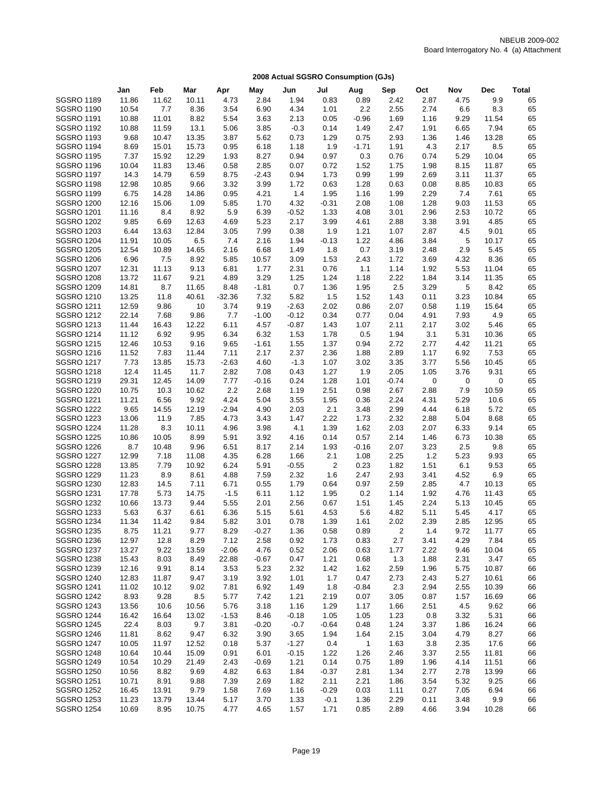|                   | Jan   | Feb   | Mar   | Apr      | May     | Jun     | Jul     | Aug          | Sep     | Oct  | Nov  | Dec   | Total |
|-------------------|-------|-------|-------|----------|---------|---------|---------|--------------|---------|------|------|-------|-------|
| <b>SGSRO 1189</b> | 11.86 | 11.62 | 10.11 | 4.73     | 2.84    | 1.94    | 0.83    | 0.89         | 2.42    | 2.87 | 4.75 | 9.9   | 65    |
| <b>SGSRO 1190</b> | 10.54 | 7.7   | 8.36  | 3.54     | 6.90    | 4.34    | 1.01    | 2.2          | 2.55    | 2.74 | 6.6  | 8.3   | 65    |
| <b>SGSRO 1191</b> | 10.88 | 11.01 | 8.82  | 5.54     | 3.63    | 2.13    | 0.05    | $-0.96$      | 1.69    | 1.16 | 9.29 | 11.54 | 65    |
| <b>SGSRO 1192</b> | 10.88 | 11.59 | 13.1  | 5.06     | 3.85    | $-0.3$  | 0.14    | 1.49         | 2.47    | 1.91 | 6.65 | 7.94  | 65    |
| <b>SGSRO 1193</b> | 9.68  | 10.47 | 13.35 | 3.87     | 5.62    | 0.73    | 1.29    | 0.75         | 2.93    | 1.36 | 1.46 | 13.28 | 65    |
| <b>SGSRO 1194</b> | 8.69  | 15.01 | 15.73 | 0.95     | 6.18    | 1.18    | 1.9     | $-1.71$      | 1.91    | 4.3  | 2.17 | 8.5   | 65    |
| <b>SGSRO 1195</b> | 7.37  | 15.92 | 12.29 | 1.93     | 8.27    | 0.94    | 0.97    | 0.3          | 0.76    | 0.74 | 5.29 | 10.04 | 65    |
| <b>SGSRO 1196</b> | 10.04 | 11.83 | 13.46 | 0.58     | 2.85    | 0.07    | 0.72    | 1.52         | 1.75    | 1.98 | 8.15 | 11.87 | 65    |
| <b>SGSRO 1197</b> | 14.3  | 14.79 | 6.59  | 8.75     | $-2.43$ | 0.94    | 1.73    | 0.99         | 1.99    | 2.69 | 3.11 | 11.37 | 65    |
| <b>SGSRO 1198</b> | 12.98 | 10.85 | 9.66  | 3.32     | 3.99    | 1.72    | 0.63    | 1.28         | 0.63    | 0.08 | 8.85 | 10.83 | 65    |
| <b>SGSRO 1199</b> | 6.75  | 14.28 | 14.86 | 0.95     | 4.21    | 1.4     | 1.95    | 1.16         | 1.99    | 2.29 | 7.4  | 7.61  | 65    |
| <b>SGSRO 1200</b> | 12.16 | 15.06 | 1.09  | 5.85     | 1.70    | 4.32    | $-0.31$ | 2.08         | 1.08    | 1.28 | 9.03 | 11.53 | 65    |
| <b>SGSRO 1201</b> | 11.16 | 8.4   | 8.92  | 5.9      | 6.39    | $-0.52$ | 1.33    | 4.08         | 3.01    | 2.96 | 2.53 | 10.72 | 65    |
| <b>SGSRO 1202</b> | 9.85  | 6.69  | 12.63 | 4.69     | 5.23    | 2.17    | 3.99    | 4.61         | 2.88    | 3.38 | 3.91 | 4.85  | 65    |
| <b>SGSRO 1203</b> | 6.44  | 13.63 | 12.84 | 3.05     | 7.99    | 0.38    | 1.9     | 1.21         | 1.07    | 2.87 | 4.5  | 9.01  | 65    |
| <b>SGSRO 1204</b> | 11.91 | 10.05 | 6.5   | 7.4      | 2.16    | 1.94    | $-0.13$ | 1.22         | 4.86    | 3.84 | 5    | 10.17 | 65    |
| <b>SGSRO 1205</b> | 12.54 | 10.89 | 14.65 | 2.16     | 6.68    | 1.49    | 1.8     | 0.7          | 3.19    | 2.48 | 2.9  | 5.45  | 65    |
| <b>SGSRO 1206</b> | 6.96  | 7.5   | 8.92  | 5.85     | 10.57   | 3.09    | 1.53    | 2.43         | 1.72    | 3.69 | 4.32 | 8.36  | 65    |
| <b>SGSRO 1207</b> | 12.31 | 11.13 | 9.13  | 6.81     | 1.77    | 2.31    | 0.76    | 1.1          | 1.14    | 1.92 | 5.53 | 11.04 | 65    |
| <b>SGSRO 1208</b> | 13.72 | 11.67 | 9.21  | 4.89     | 3.29    | 1.25    | 1.24    | 1.18         | 2.22    | 1.84 | 3.14 | 11.35 | 65    |
| <b>SGSRO 1209</b> | 14.81 | 8.7   | 11.65 | 8.48     | $-1.81$ | 0.7     | 1.36    | 1.95         | 2.5     | 3.29 | 5    | 8.42  | 65    |
| <b>SGSRO 1210</b> | 13.25 | 11.8  | 40.61 | $-32.36$ | 7.32    | 5.82    | 1.5     | 1.52         | 1.43    | 0.11 | 3.23 | 10.84 | 65    |
| <b>SGSRO 1211</b> | 12.59 | 9.86  | 10    | 3.74     | 9.19    | $-2.63$ | 2.02    | 0.86         | 2.07    | 0.58 | 1.19 | 15.64 | 65    |
| <b>SGSRO 1212</b> | 22.14 | 7.68  | 9.86  | 7.7      | $-1.00$ | $-0.12$ | 0.34    | 0.77         | 0.04    | 4.91 | 7.93 | 4.9   | 65    |
| <b>SGSRO 1213</b> | 11.44 | 16.43 | 12.22 | 6.11     | 4.57    | $-0.87$ | 1.43    | 1.07         | 2.11    | 2.17 | 3.02 | 5.46  | 65    |
| <b>SGSRO 1214</b> | 11.12 | 6.92  | 9.95  | 6.34     | 6.32    | 1.53    | 1.78    | 0.5          | 1.94    | 3.1  | 5.31 | 10.36 | 65    |
| <b>SGSRO 1215</b> | 12.46 | 10.53 | 9.16  | 9.65     | $-1.61$ | 1.55    | 1.37    | 0.94         | 2.72    | 2.77 | 4.42 | 11.21 | 65    |
| <b>SGSRO 1216</b> | 11.52 | 7.83  | 11.44 | 7.11     | 2.17    | 2.37    | 2.36    | 1.88         | 2.89    | 1.17 | 6.92 | 7.53  | 65    |
| <b>SGSRO 1217</b> | 7.73  | 13.85 | 15.73 | $-2.63$  | 4.60    | $-1.3$  | 1.07    | 3.02         | 3.35    | 3.77 | 5.56 | 10.45 | 65    |
| <b>SGSRO 1218</b> | 12.4  | 11.45 | 11.7  | 2.82     | 7.08    | 0.43    | 1.27    | 1.9          | 2.05    | 1.05 | 3.76 | 9.31  | 65    |
| <b>SGSRO 1219</b> | 29.31 | 12.45 | 14.09 | 7.77     | $-0.16$ | 0.24    | 1.28    | 1.01         | $-0.74$ | 0    | 0    | 0     | 65    |
| <b>SGSRO 1220</b> | 10.75 | 10.3  | 10.62 | 2.2      | 2.68    | 1.19    | 2.51    | 0.98         | 2.67    | 2.88 | 7.9  | 10.59 | 65    |
| <b>SGSRO 1221</b> | 11.21 | 6.56  | 9.92  | 4.24     | 5.04    | 3.55    | 1.95    | 0.36         | 2.24    | 4.31 | 5.29 | 10.6  | 65    |
| <b>SGSRO 1222</b> | 9.65  | 14.55 | 12.19 | $-2.94$  | 4.90    | 2.03    | 2.1     | 3.48         | 2.99    | 4.44 | 6.18 | 5.72  | 65    |
| <b>SGSRO 1223</b> | 13.06 | 11.9  | 7.85  | 4.73     | 3.43    | 1.47    | 2.22    | 1.73         | 2.32    | 2.88 | 5.04 | 8.68  | 65    |
| <b>SGSRO 1224</b> | 11.28 | 8.3   | 10.11 | 4.96     | 3.98    | 4.1     | 1.39    | 1.62         | 2.03    | 2.07 | 6.33 | 9.14  | 65    |
| <b>SGSRO 1225</b> | 10.86 | 10.05 | 8.99  | 5.91     | 3.92    | 4.16    | 0.14    | 0.57         | 2.14    | 1.46 | 6.73 | 10.38 | 65    |
| <b>SGSRO 1226</b> | 8.7   | 10.48 | 9.96  | 6.51     | 8.17    | 2.14    | 1.93    | $-0.16$      | 2.07    | 3.23 | 2.5  | 9.8   | 65    |
| <b>SGSRO 1227</b> | 12.99 | 7.18  | 11.08 | 4.35     | 6.28    | 1.66    | 2.1     | 1.08         | 2.25    | 1.2  | 5.23 | 9.93  | 65    |
| <b>SGSRO 1228</b> | 13.85 | 7.79  | 10.92 | 6.24     | 5.91    | $-0.55$ | 2       | 0.23         | 1.82    | 1.51 | 6.1  | 9.53  | 65    |
| <b>SGSRO 1229</b> | 11.23 | 8.9   | 8.61  | 4.88     | 7.59    | 2.32    | 1.6     | 2.47         | 2.93    | 3.41 | 4.52 | 6.9   | 65    |
| <b>SGSRO 1230</b> | 12.83 | 14.5  | 7.11  | 6.71     | 0.55    | 1.79    | 0.64    | 0.97         | 2.59    | 2.85 | 4.7  | 10.13 | 65    |
| <b>SGSRO 1231</b> | 17.78 | 5.73  | 14.75 | $-1.5$   | 6.11    | 1.12    | 1.95    | 0.2          | 1.14    | 1.92 | 4.76 | 11.43 | 65    |
| <b>SGSRO 1232</b> | 10.66 | 13.73 | 9.44  | 5.55     | 2.01    | 2.56    | 0.67    | 1.51         | 1.45    | 2.24 | 5.13 | 10.45 | 65    |
| <b>SGSRO 1233</b> | 5.63  | 6.37  | 6.61  | 6.36     | 5.15    | 5.61    | 4.53    | 5.6          | 4.82    | 5.11 | 5.45 | 4.17  | 65    |
| <b>SGSRO 1234</b> | 11.34 | 11.42 | 9.84  | 5.82     | 3.01    | 0.78    | 1.39    | 1.61         | 2.02    | 2.39 | 2.85 | 12.95 | 65    |
| <b>SGSRO 1235</b> | 8.75  | 11.21 | 9.77  | 8.29     | -0.27   | 1.36    | 0.58    | 0.89         | 2       | 1.4  | 9.72 | 11.77 | 65    |
| <b>SGSRO 1236</b> | 12.97 | 12.8  | 8.29  | 7.12     | 2.58    | 0.92    | 1.73    | 0.83         | 2.7     | 3.41 | 4.29 | 7.84  | 65    |
| <b>SGSRO 1237</b> | 13.27 | 9.22  | 13.59 | $-2.06$  | 4.76    | 0.52    | 2.06    | 0.63         | 1.77    | 2.22 | 9.46 | 10.04 | 65    |
| <b>SGSRO 1238</b> | 15.43 | 8.03  | 8.49  | 22.88    | $-0.67$ | 0.47    | 1.21    | 0.68         | 1.3     | 1.88 | 2.31 | 3.47  | 65    |
| <b>SGSRO 1239</b> | 12.16 | 9.91  | 8.14  | 3.53     | 5.23    | 2.32    | 1.42    | 1.62         | 2.59    | 1.96 | 5.75 | 10.87 | 66    |
| <b>SGSRO 1240</b> | 12.83 | 11.87 | 9.47  | 3.19     | 3.92    | 1.01    | 1.7     | 0.47         | 2.73    | 2.43 | 5.27 | 10.61 | 66    |
| <b>SGSRO 1241</b> | 11.02 | 10.12 | 9.02  | 7.81     | 6.92    | 1.49    | 1.8     | $-0.84$      | 2.3     | 2.94 | 2.55 | 10.39 | 66    |
| <b>SGSRO 1242</b> | 8.93  | 9.28  | 8.5   | 5.77     | 7.42    | 1.21    | 2.19    | 0.07         | 3.05    | 0.87 | 1.57 | 16.69 | 66    |
| <b>SGSRO 1243</b> | 13.56 | 10.6  | 10.56 | 5.76     | 3.18    | 1.16    | 1.29    | 1.17         | 1.66    | 2.51 | 4.5  | 9.62  | 66    |
| <b>SGSRO 1244</b> | 16.42 | 16.64 | 13.02 | $-1.53$  | 8.46    | $-0.18$ | 1.05    | 1.05         | 1.23    | 0.8  | 3.32 | 5.31  | 66    |
| <b>SGSRO 1245</b> | 22.4  | 8.03  | 9.7   | 3.81     | $-0.20$ | $-0.7$  | $-0.64$ | 0.48         | 1.24    | 3.37 | 1.86 | 16.24 | 66    |
| <b>SGSRO 1246</b> | 11.81 | 8.62  | 9.47  | 6.32     | 3.90    | 3.65    | 1.94    | 1.64         | 2.15    | 3.04 | 4.79 | 8.27  | 66    |
| <b>SGSRO 1247</b> | 10.05 | 11.97 | 12.52 | 0.18     | 5.37    | $-1.27$ | 0.4     | $\mathbf{1}$ | 1.63    | 3.8  | 2.35 | 17.6  | 66    |
| <b>SGSRO 1248</b> | 10.64 | 10.44 | 15.09 | 0.91     | 6.01    | $-0.15$ | 1.22    | 1.26         | 2.46    | 3.37 | 2.55 | 11.81 | 66    |
| <b>SGSRO 1249</b> | 10.54 | 10.29 | 21.49 | 2.43     | $-0.69$ | 1.21    | 0.14    | 0.75         | 1.89    | 1.96 | 4.14 | 11.51 | 66    |
| <b>SGSRO 1250</b> | 10.56 | 8.82  | 9.69  | 4.82     | 6.63    | 1.84    | $-0.37$ | 2.81         | 1.34    | 2.77 | 2.78 | 13.99 | 66    |
| <b>SGSRO 1251</b> | 10.71 | 8.91  | 9.88  | 7.39     | 2.69    | 1.82    | 2.11    | 2.21         | 1.86    | 3.54 | 5.32 | 9.25  | 66    |
| <b>SGSRO 1252</b> | 16.45 | 13.91 | 9.79  | 1.58     | 7.69    | 1.16    | $-0.29$ | 0.03         | 1.11    | 0.27 | 7.05 | 6.94  | 66    |
| <b>SGSRO 1253</b> | 11.23 | 13.79 | 13.44 | 5.17     | 3.70    | 1.33    | $-0.1$  | 1.36         | 2.29    | 0.11 | 3.48 | 9.9   | 66    |
| <b>SGSRO 1254</b> | 10.69 | 8.95  | 10.75 | 4.77     | 4.65    | 1.57    | 1.71    | 0.85         | 2.89    | 4.66 | 3.94 | 10.28 | 66    |
|                   |       |       |       |          |         |         |         |              |         |      |      |       |       |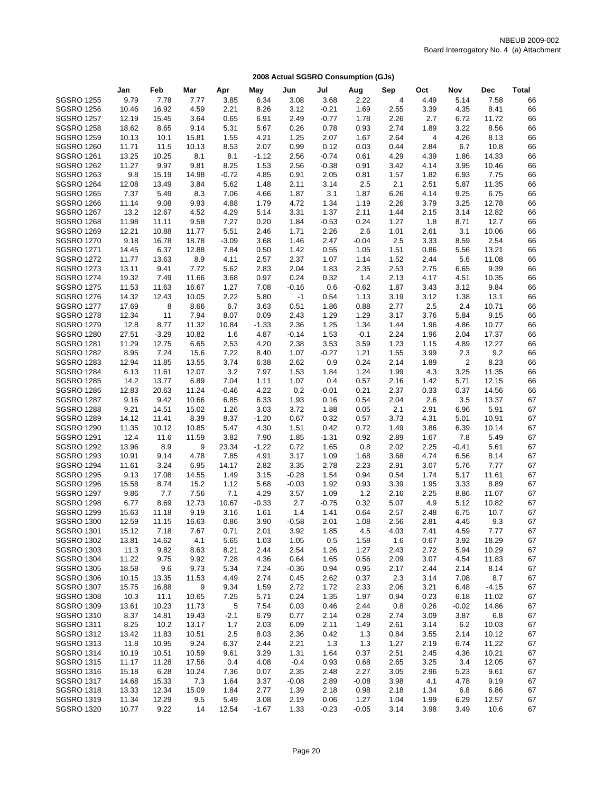|                                        | Jan            | Feb              | Mar           | Apr          | May          | Jun             | Jul             | Aug            | Sep          | Oct                     | Nov            | Dec            | <b>Total</b> |
|----------------------------------------|----------------|------------------|---------------|--------------|--------------|-----------------|-----------------|----------------|--------------|-------------------------|----------------|----------------|--------------|
| <b>SGSRO 1255</b>                      | 9.79           | 7.78             | 7.77          | 3.85         | 6.34         | 3.08            | 3.68            | 2.22           | 4            | 4.49                    | 5.14           | 7.58           | 66           |
| <b>SGSRO 1256</b>                      | 10.46          | 16.92            | 4.59          | 2.21         | 8.26         | 3.12            | $-0.21$         | 1.69           | 2.55         | 3.39                    | 4.35           | 8.41           | 66           |
| <b>SGSRO 1257</b>                      | 12.19          | 15.45            | 3.64          | 0.65         | 6.91         | 2.49            | $-0.77$         | 1.78           | 2.26         | 2.7                     | 6.72           | 11.72          | 66           |
| <b>SGSRO 1258</b>                      | 18.62          | 8.65             | 9.14          | 5.31         | 5.67         | 0.26            | 0.78            | 0.93           | 2.74         | 1.89                    | 3.22           | 8.56           | 66           |
| <b>SGSRO 1259</b>                      | 10.13          | 10.1             | 15.81         | 1.55         | 4.21         | 1.25            | 2.07            | 1.67           | 2.64         | $\overline{\mathbf{4}}$ | 4.26           | 8.13           | 66           |
| <b>SGSRO 1260</b>                      | 11.71          | 11.5             | 10.13         | 8.53         | 2.07         | 0.99            | 0.12            | 0.03           | 0.44         | 2.84                    | 6.7            | 10.8           | 66           |
| <b>SGSRO 1261</b>                      | 13.25          | 10.25            | 8.1           | 8.1          | $-1.12$      | 2.56            | $-0.74$         | 0.61           | 4.29         | 4.39                    | 1.86           | 14.33          | 66           |
| <b>SGSRO 1262</b>                      | 11.27          | 9.97             | 9.81          | 8.25         | 1.53         | 2.56            | $-0.38$         | 0.91           | 3.42         | 4.14                    | 3.95           | 10.46          | 66           |
| <b>SGSRO 1263</b>                      | 9.8            | 15.19            | 14.98         | $-0.72$      | 4.85         | 0.91            | 2.05            | 0.81           | 1.57         | 1.82                    | 6.93           | 7.75           | 66           |
| <b>SGSRO 1264</b>                      | 12.08          | 13.49            | 3.84          | 5.62         | 1.48         | 2.11            | 3.14            | 2.5            | 2.1          | 2.51                    | 5.87           | 11.35          | 66           |
| <b>SGSRO 1265</b>                      | 7.37           | 5.49             | 8.3           | 7.06         | 4.66         | 1.87            | 3.1             | 1.87           | 6.26         | 4.14                    | 9.25           | 6.75           | 66           |
| <b>SGSRO 1266</b>                      | 11.14          | 9.08             | 9.93          | 4.88         | 1.79         | 4.72            | 1.34            | 1.19           | 2.26         | 3.79                    | 3.25           | 12.78          | 66           |
| <b>SGSRO 1267</b>                      | 13.2           | 12.67            | 4.52          | 4.29         | 5.14         | 3.31            | 1.37            | 2.11           | 1.44         | 2.15                    | 3.14           | 12.82          | 66           |
| <b>SGSRO 1268</b>                      | 11.98          | 11.11            | 9.58          | 7.27         | 0.20         | 1.84            | $-0.53$         | 0.24           | 1.27         | 1.8                     | 8.71           | 12.7           | 66           |
| <b>SGSRO 1269</b>                      | 12.21          | 10.88            | 11.77         | 5.51         | 2.46         | 1.71            | 2.26            | 2.6            | 1.01         | 2.61                    | 3.1            | 10.06          | 66           |
| <b>SGSRO 1270</b>                      | 9.18           | 16.78            | 18.78         | $-3.09$      | 3.68         | 1.46            | 2.47            | $-0.04$        | 2.5          | 3.33                    | 8.59           | 2.54           | 66           |
| <b>SGSRO 1271</b>                      | 14.45          | 6.37             | 12.88         | 7.84         | 0.50         | 1.42            | 0.55            | 1.05           | 1.51         | 0.86                    | 5.56           | 13.21          | 66           |
| <b>SGSRO 1272</b>                      | 11.77          | 13.63            | 8.9           | 4.11         | 2.57         | 2.37            | 1.07            | 1.14           | 1.52         | 2.44                    | 5.6            | 11.08          | 66           |
| <b>SGSRO 1273</b>                      | 13.11          | 9.41             | 7.72          | 5.62         | 2.83         | 2.04            | 1.83            | 2.35           | 2.53         | 2.75                    | 6.65           | 9.39           | 66           |
| <b>SGSRO 1274</b>                      | 19.32          | 7.49             | 11.66         | 3.68         | 0.97         | 0.24            | 0.32            | 1.4            | 2.13         | 4.17                    | 4.51           | 10.35          | 66           |
| <b>SGSRO 1275</b>                      | 11.53          | 11.63            | 16.67         | 1.27         | 7.08         | $-0.16$         | 0.6             | $-0.62$        | 1.87         | 3.43                    | 3.12           | 9.84           | 66           |
| <b>SGSRO 1276</b>                      | 14.32          | 12.43            | 10.05         | 2.22         | 5.80         | -1              | 0.54            | 1.13           | 3.19         | 3.12                    | 1.38           | 13.1           | 66           |
| <b>SGSRO 1277</b><br><b>SGSRO 1278</b> | 17.69          | 8                | 8.66          | 6.7<br>8.07  | 3.63         | 0.51            | 1.86            | 0.88           | 2.77         | 2.5                     | 2.4            | 10.71<br>9.15  | 66           |
| <b>SGSRO 1279</b>                      | 12.34          | 11               | 7.94          |              | 0.09         | 2.43            | 1.29            | 1.29           | 3.17<br>1.44 | 3.76<br>1.96            | 5.84<br>4.86   | 10.77          | 66           |
| <b>SGSRO 1280</b>                      | 12.8           | 8.77             | 11.32         | 10.84        | $-1.33$      | 2.36            | 1.25            | 1.34<br>$-0.1$ | 2.24         | 1.96                    | 2.04           |                | 66           |
| <b>SGSRO 1281</b>                      | 27.51<br>11.29 | $-3.29$<br>12.75 | 10.82<br>6.65 | 1.6<br>2.53  | 4.87<br>4.20 | $-0.14$<br>2.38 | 1.53<br>3.53    | 3.59           | 1.23         | 1.15                    | 4.89           | 17.37<br>12.27 | 66<br>66     |
| <b>SGSRO 1282</b>                      | 8.95           | 7.24             | 15.6          | 7.22         | 8.40         | 1.07            | $-0.27$         | 1.21           | 1.55         | 3.99                    | 2.3            | 9.2            | 66           |
| <b>SGSRO 1283</b>                      | 12.94          | 11.85            | 13.55         | 3.74         | 6.38         | 2.62            | 0.9             | 0.24           | 2.14         | 1.89                    | $\overline{2}$ | 8.23           | 66           |
| <b>SGSRO 1284</b>                      | 6.13           | 11.61            | 12.07         | 3.2          | 7.97         | 1.53            | 1.84            | 1.24           | 1.99         | 4.3                     | 3.25           | 11.35          | 66           |
| <b>SGSRO 1285</b>                      | 14.2           | 13.77            | 6.89          | 7.04         | 1.11         | 1.07            | 0.4             | 0.57           | 2.16         | 1.42                    | 5.71           | 12.15          | 66           |
| <b>SGSRO 1286</b>                      | 12.83          | 20.63            | 11.24         | $-0.46$      | 4.22         | 0.2             | $-0.01$         | 0.21           | 2.37         | 0.33                    | 0.37           | 14.56          | 66           |
| <b>SGSRO 1287</b>                      | 9.16           | 9.42             | 10.66         | 6.85         | 6.33         | 1.93            | 0.16            | 0.54           | 2.04         | 2.6                     | 3.5            | 13.37          | 67           |
| <b>SGSRO 1288</b>                      | 9.21           | 14.51            | 15.02         | 1.26         | 3.03         | 3.72            | 1.88            | 0.05           | 2.1          | 2.91                    | 6.96           | 5.91           | 67           |
| <b>SGSRO 1289</b>                      | 14.12          | 11.41            | 8.39          | 8.37         | $-1.20$      | 0.67            | 0.32            | 0.57           | 3.73         | 4.31                    | 5.01           | 10.91          | 67           |
| <b>SGSRO 1290</b>                      | 11.35          | 10.12            | 10.85         | 5.47         | 4.30         | 1.51            | 0.42            | 0.72           | 1.49         | 3.86                    | 6.39           | 10.14          | 67           |
| <b>SGSRO 1291</b>                      | 12.4           | 11.6             | 11.59         | 3.82         | 7.90         | 1.85            | $-1.31$         | 0.92           | 2.89         | 1.67                    | 7.8            | 5.49           | 67           |
| <b>SGSRO 1292</b>                      | 13.96          | 8.9              | 9             | 23.34        | $-1.22$      | 0.72            | 1.65            | 0.8            | 2.02         | 2.25                    | $-0.41$        | 5.61           | 67           |
| <b>SGSRO 1293</b>                      | 10.91          | 9.14             | 4.78          | 7.85         | 4.91         | 3.17            | 1.09            | 1.68           | 3.68         | 4.74                    | 6.56           | 8.14           | 67           |
| <b>SGSRO 1294</b>                      | 11.61          | 3.24             | 6.95          | 14.17        | 2.82         | 3.35            | 2.78            | 2.23           | 2.91         | 3.07                    | 5.76           | 7.77           | 67           |
| <b>SGSRO 1295</b>                      | 9.13           | 17.08            | 14.55         | 1.49         | 3.15         | $-0.28$         | 1.54            | 0.94           | 0.54         | 1.74                    | 5.17           | 11.61          | 67           |
| <b>SGSRO 1296</b>                      | 15.58          | 8.74             | 15.2          | 1.12         | 5.68         | $-0.03$         | 1.92            | 0.93           | 3.39         | 1.95                    | 3.33           | 8.89           | 67           |
| <b>SGSRO 1297</b>                      | 9.86           | 7.7              | 7.56          | 7.1          | 4.29         | 3.57            | 1.09            | 1.2            | 2.16         | 2.25                    | 8.86           | 11.07          | 67           |
| <b>SGSRO 1298</b>                      | 6.77           | 8.69             | 12.73         | 10.67        | $-0.33$      | 2.7             | $-0.75$         | 0.32           | 5.07         | 4.9                     | 5.12           | 10.82          | 67           |
| <b>SGSRO 1299</b>                      | 15.63          | 11.18            | 9.19          | 3.16         | 1.61         | 1.4             | 1.41            | 0.64           | 2.57         | 2.48                    | 6.75           | 10.7           | 67           |
| <b>SGSRO 1300</b>                      | 12.59          | 11.15            | 16.63         | 0.86         | 3.90         | $-0.58$         | 2.01            | 1.08           | 2.56         | 2.81                    | 4.45           | 9.3            | 67           |
| <b>SGSRO 1301</b>                      | 15.12          | 7.18             | 7.67          | 0.71         | 2.01         | 3.92            | 1.85            | 4.5            | 4.03         | 7.41                    | 4.59           | 7.77           | 67           |
| <b>SGSRO 1302</b>                      | 13.81          | 14.62            | 4.1           | 5.65         | 1.03         | 1.05            | 0.5             | 1.58           | 1.6          | 0.67                    | 3.92           | 18.29          | 67           |
| <b>SGSRO 1303</b>                      | 11.3           | 9.82             | 8.63          | 8.21         | 2.44         | 2.54            | 1.26            | 1.27           | 2.43         | 2.72                    | 5.94           | 10.29          | 67           |
| <b>SGSRO 1304</b>                      | 11.22          | 9.75             | 9.92          | 7.28         | 4.36         | 0.64            | 1.65            | 0.56           | 2.09         | 3.07                    | 4.54           | 11.83          | 67           |
| <b>SGSRO 1305</b>                      | 18.58          | 9.6              | 9.73          | 5.34         | 7.24         | $-0.36$         | 0.94            | 0.95           | 2.17         | 2.44                    | 2.14           | 8.14           | 67           |
| <b>SGSRO 1306</b>                      | 10.15          | 13.35            | 11.53         | 4.49         | 2.74         | 0.45            | 2.62            | 0.37           | 2.3          | 3.14                    | 7.08           | 8.7            | 67           |
| <b>SGSRO 1307</b>                      | 15.75          | 16.88            | 9             | 9.34         | 1.59         | 2.72            | 1.72            | 2.33           | 2.06         | 3.21                    | 6.48           | $-4.15$        | 67           |
| <b>SGSRO 1308</b>                      | 10.3           | 11.1             | 10.65         | 7.25         | 5.71         | 0.24            | 1.35            | 1.97           | 0.94         | 0.23                    | 6.18           | 11.02          | 67           |
| <b>SGSRO 1309</b>                      | 13.61          | 10.23            | 11.73         | 5            | 7.54         | 0.03            | 0.46            | 2.44           | 0.8          | 0.26                    | -0.02          | 14.86          | 67           |
| <b>SGSRO 1310</b>                      | 8.37           | 14.81            | 19.43         | $-2.1$       | 6.79         | 0.77            | 2.14            | 0.28           | 2.74         | 3.09                    | 3.87           | 6.8            | 67           |
| <b>SGSRO 1311</b>                      | 8.25           | 10.2             | 13.17         | 1.7          | 2.03         | 6.09            | 2.11            | 1.49           | 2.61         | 3.14                    | 6.2            | 10.03          | 67           |
| <b>SGSRO 1312</b>                      | 13.42          | 11.83            | 10.51         | 2.5          | 8.03         | 2.36            | 0.42            | 1.3            | 0.84         | 3.55                    | 2.14           | 10.12          | 67           |
| <b>SGSRO 1313</b>                      | 11.8           | 10.95            | 9.24          | 6.37         | 2.44         | 2.21            | 1.3             | 1.3            | 1.27         | 2.19                    | 6.74           | 11.22          | 67           |
| <b>SGSRO 1314</b>                      | 10.19          | 10.51            | 10.59         | 9.61         | 3.29         | 1.31            | 1.64            | 0.37           | 2.51         | 2.45                    | 4.36           | 10.21          | 67           |
| <b>SGSRO 1315</b>                      | 11.17          | 11.28            | 17.56         | 0.4          | 4.08         | $-0.4$          | 0.93            | 0.68           | 2.65         | 3.25                    | 3.4            | 12.05          | 67           |
| <b>SGSRO 1316</b>                      | 15.18          | 6.28             | 10.24         | 7.36         | 0.07         | 2.35            | 2.48            | 2.27           | 3.05         | 2.96                    | 5.23           | 9.61           | 67           |
| <b>SGSRO 1317</b>                      | 14.68          | 15.33            | 7.3           | 1.64         | 3.37         | $-0.08$         | 2.89            | $-0.08$        | 3.98         | 4.1                     | 4.78           | 9.19           | 67           |
| <b>SGSRO 1318</b><br><b>SGSRO 1319</b> | 13.33<br>11.34 | 12.34<br>12.29   | 15.09<br>9.5  | 1.84<br>5.49 | 2.77<br>3.08 | 1.39<br>2.19    | 2.18            | 0.98<br>1.27   | 2.18<br>1.04 | 1.34<br>1.99            | 6.8<br>6.29    | 6.86<br>12.57  | 67<br>67     |
| <b>SGSRO 1320</b>                      | 10.77          | 9.22             | 14            | 12.54        | $-1.67$      | 1.33            | 0.06<br>$-0.23$ | $-0.05$        | 3.14         | 3.98                    | 3.49           | 10.6           | 67           |
|                                        |                |                  |               |              |              |                 |                 |                |              |                         |                |                |              |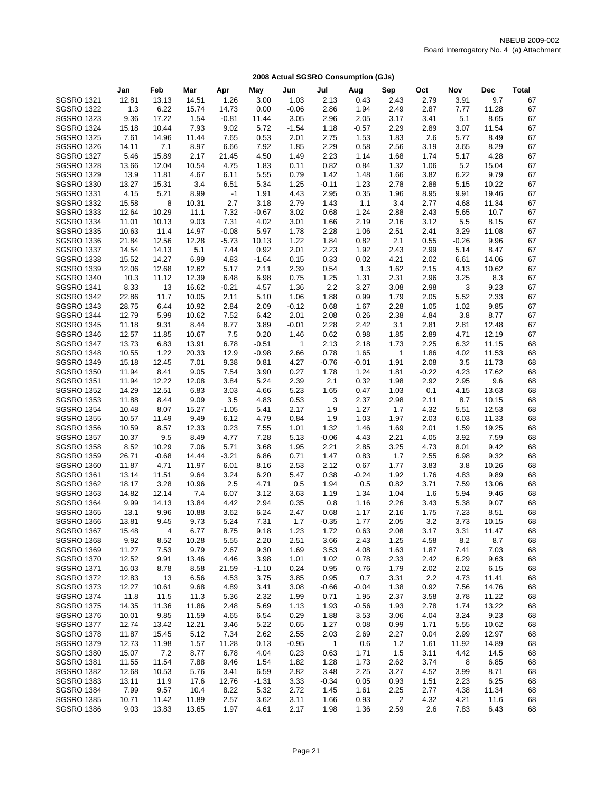| <b>SGSRO 1321</b><br>3.00<br>2.13<br>0.43<br>2.43<br>2.79<br>9.7<br>12.81<br>13.13<br>14.51<br>1.26<br>1.03<br>3.91<br>67<br>11.28<br>67<br><b>SGSRO 1322</b><br>1.3<br>6.22<br>15.74<br>14.73<br>0.00<br>$-0.06$<br>2.86<br>1.94<br>2.49<br>2.87<br>7.77<br>8.65<br><b>SGSRO 1323</b><br>9.36<br>17.22<br>1.54<br>$-0.81$<br>11.44<br>3.05<br>2.96<br>2.05<br>3.17<br>3.41<br>5.1<br>67<br>7.93<br>$-1.54$<br>2.29<br>2.89<br>3.07<br>11.54<br>67<br><b>SGSRO 1324</b><br>15.18<br>10.44<br>9.02<br>5.72<br>1.18<br>$-0.57$<br>7.65<br>2.6<br>5.77<br>8.49<br>67<br><b>SGSRO 1325</b><br>7.61<br>14.96<br>11.44<br>0.53<br>2.01<br>2.75<br>1.53<br>1.83<br>67<br><b>SGSRO 1326</b><br>14.11<br>7.1<br>8.97<br>6.66<br>7.92<br>1.85<br>2.29<br>0.58<br>2.56<br>3.19<br>3.65<br>8.29<br>2.17<br>4.28<br>67<br><b>SGSRO 1327</b><br>5.46<br>15.89<br>21.45<br>4.50<br>1.49<br>2.23<br>1.14<br>1.68<br>1.74<br>5.17<br>5.2<br><b>SGSRO 1328</b><br>13.66<br>12.04<br>10.54<br>4.75<br>1.83<br>0.11<br>0.82<br>0.84<br>1.32<br>1.06<br>15.04<br>67<br>67<br><b>SGSRO 1329</b><br>11.81<br>4.67<br>6.11<br>5.55<br>0.79<br>1.42<br>1.66<br>3.82<br>6.22<br>9.79<br>13.9<br>1.48<br><b>SGSRO 1330</b><br>13.27<br>15.31<br>3.4<br>6.51<br>5.34<br>1.25<br>$-0.11$<br>1.23<br>2.78<br>2.88<br>5.15<br>10.22<br>67<br><b>SGSRO 1331</b><br>8.99<br>67<br>4.15<br>5.21<br>$-1$<br>1.91<br>4.43<br>2.95<br>0.35<br>1.96<br>8.95<br>9.91<br>19.46<br><b>SGSRO 1332</b><br>8<br>10.31<br>2.7<br>2.79<br>3.4<br>2.77<br>11.34<br>67<br>15.58<br>3.18<br>1.43<br>1.1<br>4.68<br>10.29<br>7.32<br>1.24<br>10.7<br>67<br><b>SGSRO 1333</b><br>12.64<br>11.1<br>$-0.67$<br>3.02<br>0.68<br>2.88<br>2.43<br>5.65<br>9.03<br>7.31<br>8.15<br>67<br><b>SGSRO 1334</b><br>11.01<br>10.13<br>4.02<br>3.01<br>1.66<br>2.19<br>2.16<br>3.12<br>5.5<br><b>SGSRO 1335</b><br>$-0.08$<br>2.51<br>3.29<br>11.08<br>67<br>10.63<br>11.4<br>14.97<br>5.97<br>1.78<br>2.28<br>1.06<br>2.41<br>1.22<br>9.96<br>67<br><b>SGSRO 1336</b><br>21.84<br>12.56<br>12.28<br>$-5.73$<br>10.13<br>1.84<br>0.82<br>2.1<br>0.55<br>$-0.26$<br><b>SGSRO 1337</b><br>14.54<br>14.13<br>5.1<br>7.44<br>0.92<br>2.01<br>2.23<br>1.92<br>2.43<br>2.99<br>5.14<br>8.47<br>67<br><b>SGSRO 1338</b><br>15.52<br>14.27<br>6.99<br>4.83<br>$-1.64$<br>0.15<br>0.33<br>0.02<br>4.21<br>2.02<br>6.61<br>14.06<br>67<br><b>SGSRO 1339</b><br>2.39<br>12.06<br>12.68<br>12.62<br>5.17<br>2.11<br>0.54<br>1.3<br>1.62<br>2.15<br>4.13<br>10.62<br>67<br><b>SGSRO 1340</b><br>1.31<br>2.31<br>2.96<br>3.25<br>67<br>10.3<br>11.12<br>12.39<br>6.48<br>6.98<br>0.75<br>1.25<br>8.3<br>8.33<br>13<br>$-0.21$<br>1.36<br>2.2<br>3.27<br>2.98<br>3<br>9.23<br>67<br><b>SGSRO 1341</b><br>16.62<br>4.57<br>3.08<br>11.7<br>2.05<br>2.33<br>67<br><b>SGSRO 1342</b><br>22.86<br>10.05<br>2.11<br>5.10<br>1.06<br>1.88<br>0.99<br>1.79<br>5.52<br>67<br><b>SGSRO 1343</b><br>28.75<br>6.44<br>10.92<br>2.84<br>2.09<br>$-0.12$<br>0.68<br>1.67<br>2.28<br>1.05<br>1.02<br>9.85<br><b>SGSRO 1344</b><br>5.99<br>2.01<br>2.38<br>67<br>12.79<br>10.62<br>7.52<br>6.42<br>2.08<br>0.26<br>4.84<br>3.8<br>8.77<br>67<br><b>SGSRO 1345</b><br>11.18<br>9.31<br>8.44<br>8.77<br>3.89<br>$-0.01$<br>2.28<br>2.42<br>3.1<br>2.81<br>2.81<br>12.48<br><b>SGSRO 1346</b><br>10.67<br>7.5<br>0.20<br>1.46<br>0.62<br>0.98<br>1.85<br>2.89<br>4.71<br>12.19<br>67<br>12.57<br>11.85<br><b>SGSRO 1347</b><br>13.73<br>6.83<br>13.91<br>6.78<br>$-0.51$<br>2.13<br>2.18<br>1.73<br>2.25<br>6.32<br>11.15<br>68<br>1<br><b>SGSRO 1348</b><br>1.22<br>12.9<br>11.53<br>10.55<br>20.33<br>$-0.98$<br>2.66<br>0.78<br>1.65<br>$\mathbf{1}$<br>1.86<br>4.02<br>68<br><b>SGSRO 1349</b><br>9.38<br>4.27<br>2.08<br>3.5<br>11.73<br>15.18<br>12.45<br>7.01<br>0.81<br>$-0.76$<br>$-0.01$<br>1.91<br>68<br>9.05<br>7.54<br>0.27<br>1.24<br>17.62<br><b>SGSRO 1350</b><br>11.94<br>8.41<br>3.90<br>1.78<br>1.81<br>$-0.22$<br>4.23<br>68<br>9.6<br><b>SGSRO 1351</b><br>11.94<br>12.22<br>12.08<br>3.84<br>5.24<br>2.39<br>2.1<br>0.32<br>1.98<br>2.92<br>2.95<br>68<br>12.51<br>5.23<br>13.63<br><b>SGSRO 1352</b><br>14.29<br>6.83<br>3.03<br>4.66<br>1.65<br>0.47<br>1.03<br>0.1<br>4.15<br>68<br><b>SGSRO 1353</b><br>3.5<br>0.53<br>3<br>2.37<br>2.11<br>8.7<br>68<br>11.88<br>8.44<br>9.09<br>4.83<br>2.98<br>10.15<br><b>SGSRO 1354</b><br>8.07<br>15.27<br>$-1.05$<br>5.41<br>2.17<br>1.9<br>1.27<br>1.7<br>4.32<br>5.51<br>12.53<br>68<br>10.48<br><b>SGSRO 1355</b><br>11.49<br>9.49<br>6.12<br>4.79<br>0.84<br>1.9<br>1.03<br>1.97<br>2.03<br>6.03<br>11.33<br>68<br>10.57<br>19.25<br><b>SGSRO 1356</b><br>10.59<br>8.57<br>12.33<br>0.23<br>7.55<br>1.01<br>1.32<br>1.46<br>1.69<br>2.01<br>1.59<br>68<br><b>SGSRO 1357</b><br>9.5<br>7.28<br>2.21<br>7.59<br>10.37<br>8.49<br>4.77<br>5.13<br>$-0.06$<br>4.43<br>4.05<br>3.92<br>68<br>7.06<br>3.25<br>4.73<br>9.42<br><b>SGSRO 1358</b><br>8.52<br>10.29<br>5.71<br>3.68<br>1.95<br>2.21<br>2.85<br>8.01<br>68<br>9.32<br><b>SGSRO 1359</b><br>26.71<br>$-0.68$<br>14.44<br>$-3.21$<br>6.86<br>0.71<br>1.47<br>0.83<br>1.7<br>2.55<br>6.98<br>68<br><b>SGSRO 1360</b><br>2.53<br>10.26<br>11.87<br>4.71<br>11.97<br>6.01<br>8.16<br>2.12<br>0.67<br>1.77<br>3.83<br>3.8<br>68<br>3.24<br>9.89<br>68<br><b>SGSRO 1361</b><br>13.14<br>11.51<br>9.64<br>6.20<br>5.47<br>0.38<br>$-0.24$<br>1.92<br>1.76<br>4.83<br>2.5<br>0.5<br><b>SGSRO 1362</b><br>18.17<br>3.28<br>10.96<br>4.71<br>1.94<br>0.5<br>0.82<br>3.71<br>7.59<br>13.06<br>68<br><b>SGSRO 1363</b><br>14.82<br>12.14<br>6.07<br>3.12<br>3.63<br>1.19<br>1.34<br>1.04<br>1.6<br>5.94<br>9.46<br>68<br>7.4<br><b>SGSRO 1364</b><br>9.99<br>14.13<br>13.84<br>4.42<br>2.94<br>0.35<br>0.8<br>1.16<br>2.26<br>3.43<br>5.38<br>9.07<br>68<br><b>SGSRO 1365</b><br>7.23<br>13.1<br>9.96<br>10.88<br>3.62<br>6.24<br>2.47<br>0.68<br>1.17<br>2.16<br>1.75<br>8.51<br>68<br>1.7<br>3.2<br><b>SGSRO 1366</b><br>13.81<br>9.45<br>9.73<br>5.24<br>7.31<br>$-0.35$<br>1.77<br>2.05<br>3.73<br>10.15<br>68<br>8.75<br>1.23<br>3.31<br><b>SGSRO 1367</b><br>15.48<br>4<br>6.77<br>9.18<br>1.72<br>0.63<br>2.08<br>3.17<br>11.47<br>68<br><b>SGSRO 1368</b><br>9.92<br>8.52<br>10.28<br>5.55<br>2.20<br>2.51<br>3.66<br>2.43<br>1.25<br>4.58<br>8.2<br>8.7<br>68<br><b>SGSRO 1369</b><br>11.27<br>7.53<br>9.79<br>2.67<br>9.30<br>1.69<br>3.53<br>4.08<br>1.63<br>1.87<br>7.41<br>7.03<br>68<br>9.63<br><b>SGSRO 1370</b><br>12.52<br>9.91<br>13.46<br>4.46<br>3.98<br>1.01<br>1.02<br>0.78<br>2.33<br>6.29<br>68<br>2.42<br><b>SGSRO 1371</b><br>21.59<br>0.24<br>0.95<br>6.15<br>16.03<br>8.78<br>8.58<br>$-1.10$<br>0.76<br>1.79<br>2.02<br>2.02<br>68<br>3.85<br>0.95<br>0.7<br>3.31<br>2.2<br><b>SGSRO 1372</b><br>12.83<br>13<br>6.56<br>4.53<br>3.75<br>4.73<br>11.41<br>68<br><b>SGSRO 1373</b><br>12.27<br>10.61<br>9.68<br>4.89<br>3.41<br>3.08<br>$-0.66$<br>$-0.04$<br>1.38<br>0.92<br>7.56<br>14.76<br>68<br><b>SGSRO 1374</b><br>11.8<br>11.5<br>11.3<br>2.32<br>0.71<br>2.37<br>3.58<br>3.78<br>11.22<br>5.36<br>1.99<br>1.95<br>68<br><b>SGSRO 1375</b><br>14.35<br>11.86<br>5.69<br>1.13<br>1.93<br>1.93<br>2.78<br>13.22<br>11.36<br>2.48<br>$-0.56$<br>1.74<br>68<br><b>SGSRO 1376</b><br>9.85<br>11.59<br>4.65<br>6.54<br>0.29<br>1.88<br>3.53<br>3.06<br>3.24<br>9.23<br>10.01<br>4.04<br>68<br><b>SGSRO 1377</b><br>12.74<br>13.42<br>12.21<br>5.22<br>0.65<br>1.27<br>0.08<br>0.99<br>1.71<br>5.55<br>10.62<br>3.46<br>68<br>12.97<br><b>SGSRO 1378</b><br>11.87<br>15.45<br>5.12<br>7.34<br>2.62<br>2.55<br>2.03<br>2.69<br>2.27<br>0.04<br>2.99<br>68<br>1.57<br>$-0.95$<br>1.2<br>14.89<br><b>SGSRO 1379</b><br>12.73<br>11.98<br>11.28<br>0.13<br>1<br>0.6<br>1.61<br>11.92<br>68<br><b>SGSRO 1380</b><br>7.2<br>6.78<br>4.04<br>0.23<br>0.63<br>1.5<br>3.11<br>14.5<br>15.07<br>8.77<br>1.71<br>4.42<br>68<br><b>SGSRO 1381</b><br>11.55<br>11.54<br>1.82<br>1.28<br>2.62<br>3.74<br>6.85<br>7.88<br>9.46<br>1.54<br>1.73<br>8<br>68<br>3.27<br>8.71<br><b>SGSRO 1382</b><br>12.68<br>10.53<br>5.76<br>3.41<br>6.59<br>2.82<br>3.48<br>2.25<br>4.52<br>3.99<br>68<br><b>SGSRO 1383</b><br>11.9<br>3.33<br>$-0.34$<br>0.93<br>6.25<br>13.11<br>17.6<br>12.76<br>$-1.31$<br>0.05<br>1.51<br>2.23<br>68<br><b>SGSRO 1384</b><br>7.99<br>9.57<br>8.22<br>2.72<br>11.34<br>10.4<br>5.32<br>1.45<br>1.61<br>2.25<br>2.77<br>4.38<br>68 |                   | Jan   | Feb   | Mar   | Apr  | May  | Jun  | Jul  | Aug  | Sep | Oct  | Nov  | <b>Dec</b> | <b>Total</b> |
|---------------------------------------------------------------------------------------------------------------------------------------------------------------------------------------------------------------------------------------------------------------------------------------------------------------------------------------------------------------------------------------------------------------------------------------------------------------------------------------------------------------------------------------------------------------------------------------------------------------------------------------------------------------------------------------------------------------------------------------------------------------------------------------------------------------------------------------------------------------------------------------------------------------------------------------------------------------------------------------------------------------------------------------------------------------------------------------------------------------------------------------------------------------------------------------------------------------------------------------------------------------------------------------------------------------------------------------------------------------------------------------------------------------------------------------------------------------------------------------------------------------------------------------------------------------------------------------------------------------------------------------------------------------------------------------------------------------------------------------------------------------------------------------------------------------------------------------------------------------------------------------------------------------------------------------------------------------------------------------------------------------------------------------------------------------------------------------------------------------------------------------------------------------------------------------------------------------------------------------------------------------------------------------------------------------------------------------------------------------------------------------------------------------------------------------------------------------------------------------------------------------------------------------------------------------------------------------------------------------------------------------------------------------------------------------------------------------------------------------------------------------------------------------------------------------------------------------------------------------------------------------------------------------------------------------------------------------------------------------------------------------------------------------------------------------------------------------------------------------------------------------------------------------------------------------------------------------------------------------------------------------------------------------------------------------------------------------------------------------------------------------------------------------------------------------------------------------------------------------------------------------------------------------------------------------------------------------------------------------------------------------------------------------------------------------------------------------------------------------------------------------------------------------------------------------------------------------------------------------------------------------------------------------------------------------------------------------------------------------------------------------------------------------------------------------------------------------------------------------------------------------------------------------------------------------------------------------------------------------------------------------------------------------------------------------------------------------------------------------------------------------------------------------------------------------------------------------------------------------------------------------------------------------------------------------------------------------------------------------------------------------------------------------------------------------------------------------------------------------------------------------------------------------------------------------------------------------------------------------------------------------------------------------------------------------------------------------------------------------------------------------------------------------------------------------------------------------------------------------------------------------------------------------------------------------------------------------------------------------------------------------------------------------------------------------------------------------------------------------------------------------------------------------------------------------------------------------------------------------------------------------------------------------------------------------------------------------------------------------------------------------------------------------------------------------------------------------------------------------------------------------------------------------------------------------------------------------------------------------------------------------------------------------------------------------------------------------------------------------------------------------------------------------------------------------------------------------------------------------------------------------------------------------------------------------------------------------------------------------------------------------------------------------------------------------------------------------------------------------------------------------------------------------------------------------------------------------------------------------------------------------------------------------------------------------------------------------------------------------------------------------------------------------------------------------------------------------------------------------------------------------------------------------------------------------------------------------------------------------------------------------------------------------------------------------------------------------------------------------------------------------------------------------------------------------------------------------------------------------------------------------------------------------------------------------------------------------------------------------------------------------------------------------------------------------------------------------------------------------------------------------------------------------------------------------------------------------------------------------------------------------------------------------------------------------------------------------------------------------------------------------------------------------------------------------------------------------------------------------------------------------------------------------------------------------------------------------------------------------------------------------------------------------------------------------------------------------------------------------------------------------------------------------------------------------------------------------------------------------------------------------------------------------------------------------------------------------------------------------------------------------------------------------------------------------------------------------------------------------------------------|-------------------|-------|-------|-------|------|------|------|------|------|-----|------|------|------------|--------------|
|                                                                                                                                                                                                                                                                                                                                                                                                                                                                                                                                                                                                                                                                                                                                                                                                                                                                                                                                                                                                                                                                                                                                                                                                                                                                                                                                                                                                                                                                                                                                                                                                                                                                                                                                                                                                                                                                                                                                                                                                                                                                                                                                                                                                                                                                                                                                                                                                                                                                                                                                                                                                                                                                                                                                                                                                                                                                                                                                                                                                                                                                                                                                                                                                                                                                                                                                                                                                                                                                                                                                                                                                                                                                                                                                                                                                                                                                                                                                                                                                                                                                                                                                                                                                                                                                                                                                                                                                                                                                                                                                                                                                                                                                                                                                                                                                                                                                                                                                                                                                                                                                                                                                                                                                                                                                                                                                                                                                                                                                                                                                                                                                                                                                                                                                                                                                                                                                                                                                                                                                                                                                                                                                                                                                                                                                                                                                                                                                                                                                                                                                                                                                                                                                                                                                                                                                                                                                                                                                                                                                                                                                                                                                                                                                                                                                                                                                                                                                                                                                                                                                                                                                                                                                                                                                                                                                                                                                                                                                                                                                                                                                                                                                                                                                                                                                                                                                                                                 |                   |       |       |       |      |      |      |      |      |     |      |      |            |              |
|                                                                                                                                                                                                                                                                                                                                                                                                                                                                                                                                                                                                                                                                                                                                                                                                                                                                                                                                                                                                                                                                                                                                                                                                                                                                                                                                                                                                                                                                                                                                                                                                                                                                                                                                                                                                                                                                                                                                                                                                                                                                                                                                                                                                                                                                                                                                                                                                                                                                                                                                                                                                                                                                                                                                                                                                                                                                                                                                                                                                                                                                                                                                                                                                                                                                                                                                                                                                                                                                                                                                                                                                                                                                                                                                                                                                                                                                                                                                                                                                                                                                                                                                                                                                                                                                                                                                                                                                                                                                                                                                                                                                                                                                                                                                                                                                                                                                                                                                                                                                                                                                                                                                                                                                                                                                                                                                                                                                                                                                                                                                                                                                                                                                                                                                                                                                                                                                                                                                                                                                                                                                                                                                                                                                                                                                                                                                                                                                                                                                                                                                                                                                                                                                                                                                                                                                                                                                                                                                                                                                                                                                                                                                                                                                                                                                                                                                                                                                                                                                                                                                                                                                                                                                                                                                                                                                                                                                                                                                                                                                                                                                                                                                                                                                                                                                                                                                                                                 |                   |       |       |       |      |      |      |      |      |     |      |      |            |              |
|                                                                                                                                                                                                                                                                                                                                                                                                                                                                                                                                                                                                                                                                                                                                                                                                                                                                                                                                                                                                                                                                                                                                                                                                                                                                                                                                                                                                                                                                                                                                                                                                                                                                                                                                                                                                                                                                                                                                                                                                                                                                                                                                                                                                                                                                                                                                                                                                                                                                                                                                                                                                                                                                                                                                                                                                                                                                                                                                                                                                                                                                                                                                                                                                                                                                                                                                                                                                                                                                                                                                                                                                                                                                                                                                                                                                                                                                                                                                                                                                                                                                                                                                                                                                                                                                                                                                                                                                                                                                                                                                                                                                                                                                                                                                                                                                                                                                                                                                                                                                                                                                                                                                                                                                                                                                                                                                                                                                                                                                                                                                                                                                                                                                                                                                                                                                                                                                                                                                                                                                                                                                                                                                                                                                                                                                                                                                                                                                                                                                                                                                                                                                                                                                                                                                                                                                                                                                                                                                                                                                                                                                                                                                                                                                                                                                                                                                                                                                                                                                                                                                                                                                                                                                                                                                                                                                                                                                                                                                                                                                                                                                                                                                                                                                                                                                                                                                                                                 |                   |       |       |       |      |      |      |      |      |     |      |      |            |              |
|                                                                                                                                                                                                                                                                                                                                                                                                                                                                                                                                                                                                                                                                                                                                                                                                                                                                                                                                                                                                                                                                                                                                                                                                                                                                                                                                                                                                                                                                                                                                                                                                                                                                                                                                                                                                                                                                                                                                                                                                                                                                                                                                                                                                                                                                                                                                                                                                                                                                                                                                                                                                                                                                                                                                                                                                                                                                                                                                                                                                                                                                                                                                                                                                                                                                                                                                                                                                                                                                                                                                                                                                                                                                                                                                                                                                                                                                                                                                                                                                                                                                                                                                                                                                                                                                                                                                                                                                                                                                                                                                                                                                                                                                                                                                                                                                                                                                                                                                                                                                                                                                                                                                                                                                                                                                                                                                                                                                                                                                                                                                                                                                                                                                                                                                                                                                                                                                                                                                                                                                                                                                                                                                                                                                                                                                                                                                                                                                                                                                                                                                                                                                                                                                                                                                                                                                                                                                                                                                                                                                                                                                                                                                                                                                                                                                                                                                                                                                                                                                                                                                                                                                                                                                                                                                                                                                                                                                                                                                                                                                                                                                                                                                                                                                                                                                                                                                                                                 |                   |       |       |       |      |      |      |      |      |     |      |      |            |              |
|                                                                                                                                                                                                                                                                                                                                                                                                                                                                                                                                                                                                                                                                                                                                                                                                                                                                                                                                                                                                                                                                                                                                                                                                                                                                                                                                                                                                                                                                                                                                                                                                                                                                                                                                                                                                                                                                                                                                                                                                                                                                                                                                                                                                                                                                                                                                                                                                                                                                                                                                                                                                                                                                                                                                                                                                                                                                                                                                                                                                                                                                                                                                                                                                                                                                                                                                                                                                                                                                                                                                                                                                                                                                                                                                                                                                                                                                                                                                                                                                                                                                                                                                                                                                                                                                                                                                                                                                                                                                                                                                                                                                                                                                                                                                                                                                                                                                                                                                                                                                                                                                                                                                                                                                                                                                                                                                                                                                                                                                                                                                                                                                                                                                                                                                                                                                                                                                                                                                                                                                                                                                                                                                                                                                                                                                                                                                                                                                                                                                                                                                                                                                                                                                                                                                                                                                                                                                                                                                                                                                                                                                                                                                                                                                                                                                                                                                                                                                                                                                                                                                                                                                                                                                                                                                                                                                                                                                                                                                                                                                                                                                                                                                                                                                                                                                                                                                                                                 |                   |       |       |       |      |      |      |      |      |     |      |      |            |              |
|                                                                                                                                                                                                                                                                                                                                                                                                                                                                                                                                                                                                                                                                                                                                                                                                                                                                                                                                                                                                                                                                                                                                                                                                                                                                                                                                                                                                                                                                                                                                                                                                                                                                                                                                                                                                                                                                                                                                                                                                                                                                                                                                                                                                                                                                                                                                                                                                                                                                                                                                                                                                                                                                                                                                                                                                                                                                                                                                                                                                                                                                                                                                                                                                                                                                                                                                                                                                                                                                                                                                                                                                                                                                                                                                                                                                                                                                                                                                                                                                                                                                                                                                                                                                                                                                                                                                                                                                                                                                                                                                                                                                                                                                                                                                                                                                                                                                                                                                                                                                                                                                                                                                                                                                                                                                                                                                                                                                                                                                                                                                                                                                                                                                                                                                                                                                                                                                                                                                                                                                                                                                                                                                                                                                                                                                                                                                                                                                                                                                                                                                                                                                                                                                                                                                                                                                                                                                                                                                                                                                                                                                                                                                                                                                                                                                                                                                                                                                                                                                                                                                                                                                                                                                                                                                                                                                                                                                                                                                                                                                                                                                                                                                                                                                                                                                                                                                                                                 |                   |       |       |       |      |      |      |      |      |     |      |      |            |              |
|                                                                                                                                                                                                                                                                                                                                                                                                                                                                                                                                                                                                                                                                                                                                                                                                                                                                                                                                                                                                                                                                                                                                                                                                                                                                                                                                                                                                                                                                                                                                                                                                                                                                                                                                                                                                                                                                                                                                                                                                                                                                                                                                                                                                                                                                                                                                                                                                                                                                                                                                                                                                                                                                                                                                                                                                                                                                                                                                                                                                                                                                                                                                                                                                                                                                                                                                                                                                                                                                                                                                                                                                                                                                                                                                                                                                                                                                                                                                                                                                                                                                                                                                                                                                                                                                                                                                                                                                                                                                                                                                                                                                                                                                                                                                                                                                                                                                                                                                                                                                                                                                                                                                                                                                                                                                                                                                                                                                                                                                                                                                                                                                                                                                                                                                                                                                                                                                                                                                                                                                                                                                                                                                                                                                                                                                                                                                                                                                                                                                                                                                                                                                                                                                                                                                                                                                                                                                                                                                                                                                                                                                                                                                                                                                                                                                                                                                                                                                                                                                                                                                                                                                                                                                                                                                                                                                                                                                                                                                                                                                                                                                                                                                                                                                                                                                                                                                                                                 |                   |       |       |       |      |      |      |      |      |     |      |      |            |              |
|                                                                                                                                                                                                                                                                                                                                                                                                                                                                                                                                                                                                                                                                                                                                                                                                                                                                                                                                                                                                                                                                                                                                                                                                                                                                                                                                                                                                                                                                                                                                                                                                                                                                                                                                                                                                                                                                                                                                                                                                                                                                                                                                                                                                                                                                                                                                                                                                                                                                                                                                                                                                                                                                                                                                                                                                                                                                                                                                                                                                                                                                                                                                                                                                                                                                                                                                                                                                                                                                                                                                                                                                                                                                                                                                                                                                                                                                                                                                                                                                                                                                                                                                                                                                                                                                                                                                                                                                                                                                                                                                                                                                                                                                                                                                                                                                                                                                                                                                                                                                                                                                                                                                                                                                                                                                                                                                                                                                                                                                                                                                                                                                                                                                                                                                                                                                                                                                                                                                                                                                                                                                                                                                                                                                                                                                                                                                                                                                                                                                                                                                                                                                                                                                                                                                                                                                                                                                                                                                                                                                                                                                                                                                                                                                                                                                                                                                                                                                                                                                                                                                                                                                                                                                                                                                                                                                                                                                                                                                                                                                                                                                                                                                                                                                                                                                                                                                                                                 |                   |       |       |       |      |      |      |      |      |     |      |      |            |              |
|                                                                                                                                                                                                                                                                                                                                                                                                                                                                                                                                                                                                                                                                                                                                                                                                                                                                                                                                                                                                                                                                                                                                                                                                                                                                                                                                                                                                                                                                                                                                                                                                                                                                                                                                                                                                                                                                                                                                                                                                                                                                                                                                                                                                                                                                                                                                                                                                                                                                                                                                                                                                                                                                                                                                                                                                                                                                                                                                                                                                                                                                                                                                                                                                                                                                                                                                                                                                                                                                                                                                                                                                                                                                                                                                                                                                                                                                                                                                                                                                                                                                                                                                                                                                                                                                                                                                                                                                                                                                                                                                                                                                                                                                                                                                                                                                                                                                                                                                                                                                                                                                                                                                                                                                                                                                                                                                                                                                                                                                                                                                                                                                                                                                                                                                                                                                                                                                                                                                                                                                                                                                                                                                                                                                                                                                                                                                                                                                                                                                                                                                                                                                                                                                                                                                                                                                                                                                                                                                                                                                                                                                                                                                                                                                                                                                                                                                                                                                                                                                                                                                                                                                                                                                                                                                                                                                                                                                                                                                                                                                                                                                                                                                                                                                                                                                                                                                                                                 |                   |       |       |       |      |      |      |      |      |     |      |      |            |              |
|                                                                                                                                                                                                                                                                                                                                                                                                                                                                                                                                                                                                                                                                                                                                                                                                                                                                                                                                                                                                                                                                                                                                                                                                                                                                                                                                                                                                                                                                                                                                                                                                                                                                                                                                                                                                                                                                                                                                                                                                                                                                                                                                                                                                                                                                                                                                                                                                                                                                                                                                                                                                                                                                                                                                                                                                                                                                                                                                                                                                                                                                                                                                                                                                                                                                                                                                                                                                                                                                                                                                                                                                                                                                                                                                                                                                                                                                                                                                                                                                                                                                                                                                                                                                                                                                                                                                                                                                                                                                                                                                                                                                                                                                                                                                                                                                                                                                                                                                                                                                                                                                                                                                                                                                                                                                                                                                                                                                                                                                                                                                                                                                                                                                                                                                                                                                                                                                                                                                                                                                                                                                                                                                                                                                                                                                                                                                                                                                                                                                                                                                                                                                                                                                                                                                                                                                                                                                                                                                                                                                                                                                                                                                                                                                                                                                                                                                                                                                                                                                                                                                                                                                                                                                                                                                                                                                                                                                                                                                                                                                                                                                                                                                                                                                                                                                                                                                                                                 |                   |       |       |       |      |      |      |      |      |     |      |      |            |              |
|                                                                                                                                                                                                                                                                                                                                                                                                                                                                                                                                                                                                                                                                                                                                                                                                                                                                                                                                                                                                                                                                                                                                                                                                                                                                                                                                                                                                                                                                                                                                                                                                                                                                                                                                                                                                                                                                                                                                                                                                                                                                                                                                                                                                                                                                                                                                                                                                                                                                                                                                                                                                                                                                                                                                                                                                                                                                                                                                                                                                                                                                                                                                                                                                                                                                                                                                                                                                                                                                                                                                                                                                                                                                                                                                                                                                                                                                                                                                                                                                                                                                                                                                                                                                                                                                                                                                                                                                                                                                                                                                                                                                                                                                                                                                                                                                                                                                                                                                                                                                                                                                                                                                                                                                                                                                                                                                                                                                                                                                                                                                                                                                                                                                                                                                                                                                                                                                                                                                                                                                                                                                                                                                                                                                                                                                                                                                                                                                                                                                                                                                                                                                                                                                                                                                                                                                                                                                                                                                                                                                                                                                                                                                                                                                                                                                                                                                                                                                                                                                                                                                                                                                                                                                                                                                                                                                                                                                                                                                                                                                                                                                                                                                                                                                                                                                                                                                                                                 |                   |       |       |       |      |      |      |      |      |     |      |      |            |              |
|                                                                                                                                                                                                                                                                                                                                                                                                                                                                                                                                                                                                                                                                                                                                                                                                                                                                                                                                                                                                                                                                                                                                                                                                                                                                                                                                                                                                                                                                                                                                                                                                                                                                                                                                                                                                                                                                                                                                                                                                                                                                                                                                                                                                                                                                                                                                                                                                                                                                                                                                                                                                                                                                                                                                                                                                                                                                                                                                                                                                                                                                                                                                                                                                                                                                                                                                                                                                                                                                                                                                                                                                                                                                                                                                                                                                                                                                                                                                                                                                                                                                                                                                                                                                                                                                                                                                                                                                                                                                                                                                                                                                                                                                                                                                                                                                                                                                                                                                                                                                                                                                                                                                                                                                                                                                                                                                                                                                                                                                                                                                                                                                                                                                                                                                                                                                                                                                                                                                                                                                                                                                                                                                                                                                                                                                                                                                                                                                                                                                                                                                                                                                                                                                                                                                                                                                                                                                                                                                                                                                                                                                                                                                                                                                                                                                                                                                                                                                                                                                                                                                                                                                                                                                                                                                                                                                                                                                                                                                                                                                                                                                                                                                                                                                                                                                                                                                                                                 |                   |       |       |       |      |      |      |      |      |     |      |      |            |              |
|                                                                                                                                                                                                                                                                                                                                                                                                                                                                                                                                                                                                                                                                                                                                                                                                                                                                                                                                                                                                                                                                                                                                                                                                                                                                                                                                                                                                                                                                                                                                                                                                                                                                                                                                                                                                                                                                                                                                                                                                                                                                                                                                                                                                                                                                                                                                                                                                                                                                                                                                                                                                                                                                                                                                                                                                                                                                                                                                                                                                                                                                                                                                                                                                                                                                                                                                                                                                                                                                                                                                                                                                                                                                                                                                                                                                                                                                                                                                                                                                                                                                                                                                                                                                                                                                                                                                                                                                                                                                                                                                                                                                                                                                                                                                                                                                                                                                                                                                                                                                                                                                                                                                                                                                                                                                                                                                                                                                                                                                                                                                                                                                                                                                                                                                                                                                                                                                                                                                                                                                                                                                                                                                                                                                                                                                                                                                                                                                                                                                                                                                                                                                                                                                                                                                                                                                                                                                                                                                                                                                                                                                                                                                                                                                                                                                                                                                                                                                                                                                                                                                                                                                                                                                                                                                                                                                                                                                                                                                                                                                                                                                                                                                                                                                                                                                                                                                                                                 |                   |       |       |       |      |      |      |      |      |     |      |      |            |              |
|                                                                                                                                                                                                                                                                                                                                                                                                                                                                                                                                                                                                                                                                                                                                                                                                                                                                                                                                                                                                                                                                                                                                                                                                                                                                                                                                                                                                                                                                                                                                                                                                                                                                                                                                                                                                                                                                                                                                                                                                                                                                                                                                                                                                                                                                                                                                                                                                                                                                                                                                                                                                                                                                                                                                                                                                                                                                                                                                                                                                                                                                                                                                                                                                                                                                                                                                                                                                                                                                                                                                                                                                                                                                                                                                                                                                                                                                                                                                                                                                                                                                                                                                                                                                                                                                                                                                                                                                                                                                                                                                                                                                                                                                                                                                                                                                                                                                                                                                                                                                                                                                                                                                                                                                                                                                                                                                                                                                                                                                                                                                                                                                                                                                                                                                                                                                                                                                                                                                                                                                                                                                                                                                                                                                                                                                                                                                                                                                                                                                                                                                                                                                                                                                                                                                                                                                                                                                                                                                                                                                                                                                                                                                                                                                                                                                                                                                                                                                                                                                                                                                                                                                                                                                                                                                                                                                                                                                                                                                                                                                                                                                                                                                                                                                                                                                                                                                                                                 |                   |       |       |       |      |      |      |      |      |     |      |      |            |              |
|                                                                                                                                                                                                                                                                                                                                                                                                                                                                                                                                                                                                                                                                                                                                                                                                                                                                                                                                                                                                                                                                                                                                                                                                                                                                                                                                                                                                                                                                                                                                                                                                                                                                                                                                                                                                                                                                                                                                                                                                                                                                                                                                                                                                                                                                                                                                                                                                                                                                                                                                                                                                                                                                                                                                                                                                                                                                                                                                                                                                                                                                                                                                                                                                                                                                                                                                                                                                                                                                                                                                                                                                                                                                                                                                                                                                                                                                                                                                                                                                                                                                                                                                                                                                                                                                                                                                                                                                                                                                                                                                                                                                                                                                                                                                                                                                                                                                                                                                                                                                                                                                                                                                                                                                                                                                                                                                                                                                                                                                                                                                                                                                                                                                                                                                                                                                                                                                                                                                                                                                                                                                                                                                                                                                                                                                                                                                                                                                                                                                                                                                                                                                                                                                                                                                                                                                                                                                                                                                                                                                                                                                                                                                                                                                                                                                                                                                                                                                                                                                                                                                                                                                                                                                                                                                                                                                                                                                                                                                                                                                                                                                                                                                                                                                                                                                                                                                                                                 |                   |       |       |       |      |      |      |      |      |     |      |      |            |              |
|                                                                                                                                                                                                                                                                                                                                                                                                                                                                                                                                                                                                                                                                                                                                                                                                                                                                                                                                                                                                                                                                                                                                                                                                                                                                                                                                                                                                                                                                                                                                                                                                                                                                                                                                                                                                                                                                                                                                                                                                                                                                                                                                                                                                                                                                                                                                                                                                                                                                                                                                                                                                                                                                                                                                                                                                                                                                                                                                                                                                                                                                                                                                                                                                                                                                                                                                                                                                                                                                                                                                                                                                                                                                                                                                                                                                                                                                                                                                                                                                                                                                                                                                                                                                                                                                                                                                                                                                                                                                                                                                                                                                                                                                                                                                                                                                                                                                                                                                                                                                                                                                                                                                                                                                                                                                                                                                                                                                                                                                                                                                                                                                                                                                                                                                                                                                                                                                                                                                                                                                                                                                                                                                                                                                                                                                                                                                                                                                                                                                                                                                                                                                                                                                                                                                                                                                                                                                                                                                                                                                                                                                                                                                                                                                                                                                                                                                                                                                                                                                                                                                                                                                                                                                                                                                                                                                                                                                                                                                                                                                                                                                                                                                                                                                                                                                                                                                                                                 |                   |       |       |       |      |      |      |      |      |     |      |      |            |              |
|                                                                                                                                                                                                                                                                                                                                                                                                                                                                                                                                                                                                                                                                                                                                                                                                                                                                                                                                                                                                                                                                                                                                                                                                                                                                                                                                                                                                                                                                                                                                                                                                                                                                                                                                                                                                                                                                                                                                                                                                                                                                                                                                                                                                                                                                                                                                                                                                                                                                                                                                                                                                                                                                                                                                                                                                                                                                                                                                                                                                                                                                                                                                                                                                                                                                                                                                                                                                                                                                                                                                                                                                                                                                                                                                                                                                                                                                                                                                                                                                                                                                                                                                                                                                                                                                                                                                                                                                                                                                                                                                                                                                                                                                                                                                                                                                                                                                                                                                                                                                                                                                                                                                                                                                                                                                                                                                                                                                                                                                                                                                                                                                                                                                                                                                                                                                                                                                                                                                                                                                                                                                                                                                                                                                                                                                                                                                                                                                                                                                                                                                                                                                                                                                                                                                                                                                                                                                                                                                                                                                                                                                                                                                                                                                                                                                                                                                                                                                                                                                                                                                                                                                                                                                                                                                                                                                                                                                                                                                                                                                                                                                                                                                                                                                                                                                                                                                                                                 |                   |       |       |       |      |      |      |      |      |     |      |      |            |              |
|                                                                                                                                                                                                                                                                                                                                                                                                                                                                                                                                                                                                                                                                                                                                                                                                                                                                                                                                                                                                                                                                                                                                                                                                                                                                                                                                                                                                                                                                                                                                                                                                                                                                                                                                                                                                                                                                                                                                                                                                                                                                                                                                                                                                                                                                                                                                                                                                                                                                                                                                                                                                                                                                                                                                                                                                                                                                                                                                                                                                                                                                                                                                                                                                                                                                                                                                                                                                                                                                                                                                                                                                                                                                                                                                                                                                                                                                                                                                                                                                                                                                                                                                                                                                                                                                                                                                                                                                                                                                                                                                                                                                                                                                                                                                                                                                                                                                                                                                                                                                                                                                                                                                                                                                                                                                                                                                                                                                                                                                                                                                                                                                                                                                                                                                                                                                                                                                                                                                                                                                                                                                                                                                                                                                                                                                                                                                                                                                                                                                                                                                                                                                                                                                                                                                                                                                                                                                                                                                                                                                                                                                                                                                                                                                                                                                                                                                                                                                                                                                                                                                                                                                                                                                                                                                                                                                                                                                                                                                                                                                                                                                                                                                                                                                                                                                                                                                                                                 |                   |       |       |       |      |      |      |      |      |     |      |      |            |              |
|                                                                                                                                                                                                                                                                                                                                                                                                                                                                                                                                                                                                                                                                                                                                                                                                                                                                                                                                                                                                                                                                                                                                                                                                                                                                                                                                                                                                                                                                                                                                                                                                                                                                                                                                                                                                                                                                                                                                                                                                                                                                                                                                                                                                                                                                                                                                                                                                                                                                                                                                                                                                                                                                                                                                                                                                                                                                                                                                                                                                                                                                                                                                                                                                                                                                                                                                                                                                                                                                                                                                                                                                                                                                                                                                                                                                                                                                                                                                                                                                                                                                                                                                                                                                                                                                                                                                                                                                                                                                                                                                                                                                                                                                                                                                                                                                                                                                                                                                                                                                                                                                                                                                                                                                                                                                                                                                                                                                                                                                                                                                                                                                                                                                                                                                                                                                                                                                                                                                                                                                                                                                                                                                                                                                                                                                                                                                                                                                                                                                                                                                                                                                                                                                                                                                                                                                                                                                                                                                                                                                                                                                                                                                                                                                                                                                                                                                                                                                                                                                                                                                                                                                                                                                                                                                                                                                                                                                                                                                                                                                                                                                                                                                                                                                                                                                                                                                                                                 |                   |       |       |       |      |      |      |      |      |     |      |      |            |              |
|                                                                                                                                                                                                                                                                                                                                                                                                                                                                                                                                                                                                                                                                                                                                                                                                                                                                                                                                                                                                                                                                                                                                                                                                                                                                                                                                                                                                                                                                                                                                                                                                                                                                                                                                                                                                                                                                                                                                                                                                                                                                                                                                                                                                                                                                                                                                                                                                                                                                                                                                                                                                                                                                                                                                                                                                                                                                                                                                                                                                                                                                                                                                                                                                                                                                                                                                                                                                                                                                                                                                                                                                                                                                                                                                                                                                                                                                                                                                                                                                                                                                                                                                                                                                                                                                                                                                                                                                                                                                                                                                                                                                                                                                                                                                                                                                                                                                                                                                                                                                                                                                                                                                                                                                                                                                                                                                                                                                                                                                                                                                                                                                                                                                                                                                                                                                                                                                                                                                                                                                                                                                                                                                                                                                                                                                                                                                                                                                                                                                                                                                                                                                                                                                                                                                                                                                                                                                                                                                                                                                                                                                                                                                                                                                                                                                                                                                                                                                                                                                                                                                                                                                                                                                                                                                                                                                                                                                                                                                                                                                                                                                                                                                                                                                                                                                                                                                                                                 |                   |       |       |       |      |      |      |      |      |     |      |      |            |              |
|                                                                                                                                                                                                                                                                                                                                                                                                                                                                                                                                                                                                                                                                                                                                                                                                                                                                                                                                                                                                                                                                                                                                                                                                                                                                                                                                                                                                                                                                                                                                                                                                                                                                                                                                                                                                                                                                                                                                                                                                                                                                                                                                                                                                                                                                                                                                                                                                                                                                                                                                                                                                                                                                                                                                                                                                                                                                                                                                                                                                                                                                                                                                                                                                                                                                                                                                                                                                                                                                                                                                                                                                                                                                                                                                                                                                                                                                                                                                                                                                                                                                                                                                                                                                                                                                                                                                                                                                                                                                                                                                                                                                                                                                                                                                                                                                                                                                                                                                                                                                                                                                                                                                                                                                                                                                                                                                                                                                                                                                                                                                                                                                                                                                                                                                                                                                                                                                                                                                                                                                                                                                                                                                                                                                                                                                                                                                                                                                                                                                                                                                                                                                                                                                                                                                                                                                                                                                                                                                                                                                                                                                                                                                                                                                                                                                                                                                                                                                                                                                                                                                                                                                                                                                                                                                                                                                                                                                                                                                                                                                                                                                                                                                                                                                                                                                                                                                                                                 |                   |       |       |       |      |      |      |      |      |     |      |      |            |              |
|                                                                                                                                                                                                                                                                                                                                                                                                                                                                                                                                                                                                                                                                                                                                                                                                                                                                                                                                                                                                                                                                                                                                                                                                                                                                                                                                                                                                                                                                                                                                                                                                                                                                                                                                                                                                                                                                                                                                                                                                                                                                                                                                                                                                                                                                                                                                                                                                                                                                                                                                                                                                                                                                                                                                                                                                                                                                                                                                                                                                                                                                                                                                                                                                                                                                                                                                                                                                                                                                                                                                                                                                                                                                                                                                                                                                                                                                                                                                                                                                                                                                                                                                                                                                                                                                                                                                                                                                                                                                                                                                                                                                                                                                                                                                                                                                                                                                                                                                                                                                                                                                                                                                                                                                                                                                                                                                                                                                                                                                                                                                                                                                                                                                                                                                                                                                                                                                                                                                                                                                                                                                                                                                                                                                                                                                                                                                                                                                                                                                                                                                                                                                                                                                                                                                                                                                                                                                                                                                                                                                                                                                                                                                                                                                                                                                                                                                                                                                                                                                                                                                                                                                                                                                                                                                                                                                                                                                                                                                                                                                                                                                                                                                                                                                                                                                                                                                                                                 |                   |       |       |       |      |      |      |      |      |     |      |      |            |              |
|                                                                                                                                                                                                                                                                                                                                                                                                                                                                                                                                                                                                                                                                                                                                                                                                                                                                                                                                                                                                                                                                                                                                                                                                                                                                                                                                                                                                                                                                                                                                                                                                                                                                                                                                                                                                                                                                                                                                                                                                                                                                                                                                                                                                                                                                                                                                                                                                                                                                                                                                                                                                                                                                                                                                                                                                                                                                                                                                                                                                                                                                                                                                                                                                                                                                                                                                                                                                                                                                                                                                                                                                                                                                                                                                                                                                                                                                                                                                                                                                                                                                                                                                                                                                                                                                                                                                                                                                                                                                                                                                                                                                                                                                                                                                                                                                                                                                                                                                                                                                                                                                                                                                                                                                                                                                                                                                                                                                                                                                                                                                                                                                                                                                                                                                                                                                                                                                                                                                                                                                                                                                                                                                                                                                                                                                                                                                                                                                                                                                                                                                                                                                                                                                                                                                                                                                                                                                                                                                                                                                                                                                                                                                                                                                                                                                                                                                                                                                                                                                                                                                                                                                                                                                                                                                                                                                                                                                                                                                                                                                                                                                                                                                                                                                                                                                                                                                                                                 |                   |       |       |       |      |      |      |      |      |     |      |      |            |              |
|                                                                                                                                                                                                                                                                                                                                                                                                                                                                                                                                                                                                                                                                                                                                                                                                                                                                                                                                                                                                                                                                                                                                                                                                                                                                                                                                                                                                                                                                                                                                                                                                                                                                                                                                                                                                                                                                                                                                                                                                                                                                                                                                                                                                                                                                                                                                                                                                                                                                                                                                                                                                                                                                                                                                                                                                                                                                                                                                                                                                                                                                                                                                                                                                                                                                                                                                                                                                                                                                                                                                                                                                                                                                                                                                                                                                                                                                                                                                                                                                                                                                                                                                                                                                                                                                                                                                                                                                                                                                                                                                                                                                                                                                                                                                                                                                                                                                                                                                                                                                                                                                                                                                                                                                                                                                                                                                                                                                                                                                                                                                                                                                                                                                                                                                                                                                                                                                                                                                                                                                                                                                                                                                                                                                                                                                                                                                                                                                                                                                                                                                                                                                                                                                                                                                                                                                                                                                                                                                                                                                                                                                                                                                                                                                                                                                                                                                                                                                                                                                                                                                                                                                                                                                                                                                                                                                                                                                                                                                                                                                                                                                                                                                                                                                                                                                                                                                                                                 |                   |       |       |       |      |      |      |      |      |     |      |      |            |              |
|                                                                                                                                                                                                                                                                                                                                                                                                                                                                                                                                                                                                                                                                                                                                                                                                                                                                                                                                                                                                                                                                                                                                                                                                                                                                                                                                                                                                                                                                                                                                                                                                                                                                                                                                                                                                                                                                                                                                                                                                                                                                                                                                                                                                                                                                                                                                                                                                                                                                                                                                                                                                                                                                                                                                                                                                                                                                                                                                                                                                                                                                                                                                                                                                                                                                                                                                                                                                                                                                                                                                                                                                                                                                                                                                                                                                                                                                                                                                                                                                                                                                                                                                                                                                                                                                                                                                                                                                                                                                                                                                                                                                                                                                                                                                                                                                                                                                                                                                                                                                                                                                                                                                                                                                                                                                                                                                                                                                                                                                                                                                                                                                                                                                                                                                                                                                                                                                                                                                                                                                                                                                                                                                                                                                                                                                                                                                                                                                                                                                                                                                                                                                                                                                                                                                                                                                                                                                                                                                                                                                                                                                                                                                                                                                                                                                                                                                                                                                                                                                                                                                                                                                                                                                                                                                                                                                                                                                                                                                                                                                                                                                                                                                                                                                                                                                                                                                                                                 |                   |       |       |       |      |      |      |      |      |     |      |      |            |              |
|                                                                                                                                                                                                                                                                                                                                                                                                                                                                                                                                                                                                                                                                                                                                                                                                                                                                                                                                                                                                                                                                                                                                                                                                                                                                                                                                                                                                                                                                                                                                                                                                                                                                                                                                                                                                                                                                                                                                                                                                                                                                                                                                                                                                                                                                                                                                                                                                                                                                                                                                                                                                                                                                                                                                                                                                                                                                                                                                                                                                                                                                                                                                                                                                                                                                                                                                                                                                                                                                                                                                                                                                                                                                                                                                                                                                                                                                                                                                                                                                                                                                                                                                                                                                                                                                                                                                                                                                                                                                                                                                                                                                                                                                                                                                                                                                                                                                                                                                                                                                                                                                                                                                                                                                                                                                                                                                                                                                                                                                                                                                                                                                                                                                                                                                                                                                                                                                                                                                                                                                                                                                                                                                                                                                                                                                                                                                                                                                                                                                                                                                                                                                                                                                                                                                                                                                                                                                                                                                                                                                                                                                                                                                                                                                                                                                                                                                                                                                                                                                                                                                                                                                                                                                                                                                                                                                                                                                                                                                                                                                                                                                                                                                                                                                                                                                                                                                                                                 |                   |       |       |       |      |      |      |      |      |     |      |      |            |              |
|                                                                                                                                                                                                                                                                                                                                                                                                                                                                                                                                                                                                                                                                                                                                                                                                                                                                                                                                                                                                                                                                                                                                                                                                                                                                                                                                                                                                                                                                                                                                                                                                                                                                                                                                                                                                                                                                                                                                                                                                                                                                                                                                                                                                                                                                                                                                                                                                                                                                                                                                                                                                                                                                                                                                                                                                                                                                                                                                                                                                                                                                                                                                                                                                                                                                                                                                                                                                                                                                                                                                                                                                                                                                                                                                                                                                                                                                                                                                                                                                                                                                                                                                                                                                                                                                                                                                                                                                                                                                                                                                                                                                                                                                                                                                                                                                                                                                                                                                                                                                                                                                                                                                                                                                                                                                                                                                                                                                                                                                                                                                                                                                                                                                                                                                                                                                                                                                                                                                                                                                                                                                                                                                                                                                                                                                                                                                                                                                                                                                                                                                                                                                                                                                                                                                                                                                                                                                                                                                                                                                                                                                                                                                                                                                                                                                                                                                                                                                                                                                                                                                                                                                                                                                                                                                                                                                                                                                                                                                                                                                                                                                                                                                                                                                                                                                                                                                                                                 |                   |       |       |       |      |      |      |      |      |     |      |      |            |              |
|                                                                                                                                                                                                                                                                                                                                                                                                                                                                                                                                                                                                                                                                                                                                                                                                                                                                                                                                                                                                                                                                                                                                                                                                                                                                                                                                                                                                                                                                                                                                                                                                                                                                                                                                                                                                                                                                                                                                                                                                                                                                                                                                                                                                                                                                                                                                                                                                                                                                                                                                                                                                                                                                                                                                                                                                                                                                                                                                                                                                                                                                                                                                                                                                                                                                                                                                                                                                                                                                                                                                                                                                                                                                                                                                                                                                                                                                                                                                                                                                                                                                                                                                                                                                                                                                                                                                                                                                                                                                                                                                                                                                                                                                                                                                                                                                                                                                                                                                                                                                                                                                                                                                                                                                                                                                                                                                                                                                                                                                                                                                                                                                                                                                                                                                                                                                                                                                                                                                                                                                                                                                                                                                                                                                                                                                                                                                                                                                                                                                                                                                                                                                                                                                                                                                                                                                                                                                                                                                                                                                                                                                                                                                                                                                                                                                                                                                                                                                                                                                                                                                                                                                                                                                                                                                                                                                                                                                                                                                                                                                                                                                                                                                                                                                                                                                                                                                                                                 |                   |       |       |       |      |      |      |      |      |     |      |      |            |              |
|                                                                                                                                                                                                                                                                                                                                                                                                                                                                                                                                                                                                                                                                                                                                                                                                                                                                                                                                                                                                                                                                                                                                                                                                                                                                                                                                                                                                                                                                                                                                                                                                                                                                                                                                                                                                                                                                                                                                                                                                                                                                                                                                                                                                                                                                                                                                                                                                                                                                                                                                                                                                                                                                                                                                                                                                                                                                                                                                                                                                                                                                                                                                                                                                                                                                                                                                                                                                                                                                                                                                                                                                                                                                                                                                                                                                                                                                                                                                                                                                                                                                                                                                                                                                                                                                                                                                                                                                                                                                                                                                                                                                                                                                                                                                                                                                                                                                                                                                                                                                                                                                                                                                                                                                                                                                                                                                                                                                                                                                                                                                                                                                                                                                                                                                                                                                                                                                                                                                                                                                                                                                                                                                                                                                                                                                                                                                                                                                                                                                                                                                                                                                                                                                                                                                                                                                                                                                                                                                                                                                                                                                                                                                                                                                                                                                                                                                                                                                                                                                                                                                                                                                                                                                                                                                                                                                                                                                                                                                                                                                                                                                                                                                                                                                                                                                                                                                                                                 |                   |       |       |       |      |      |      |      |      |     |      |      |            |              |
|                                                                                                                                                                                                                                                                                                                                                                                                                                                                                                                                                                                                                                                                                                                                                                                                                                                                                                                                                                                                                                                                                                                                                                                                                                                                                                                                                                                                                                                                                                                                                                                                                                                                                                                                                                                                                                                                                                                                                                                                                                                                                                                                                                                                                                                                                                                                                                                                                                                                                                                                                                                                                                                                                                                                                                                                                                                                                                                                                                                                                                                                                                                                                                                                                                                                                                                                                                                                                                                                                                                                                                                                                                                                                                                                                                                                                                                                                                                                                                                                                                                                                                                                                                                                                                                                                                                                                                                                                                                                                                                                                                                                                                                                                                                                                                                                                                                                                                                                                                                                                                                                                                                                                                                                                                                                                                                                                                                                                                                                                                                                                                                                                                                                                                                                                                                                                                                                                                                                                                                                                                                                                                                                                                                                                                                                                                                                                                                                                                                                                                                                                                                                                                                                                                                                                                                                                                                                                                                                                                                                                                                                                                                                                                                                                                                                                                                                                                                                                                                                                                                                                                                                                                                                                                                                                                                                                                                                                                                                                                                                                                                                                                                                                                                                                                                                                                                                                                                 |                   |       |       |       |      |      |      |      |      |     |      |      |            |              |
|                                                                                                                                                                                                                                                                                                                                                                                                                                                                                                                                                                                                                                                                                                                                                                                                                                                                                                                                                                                                                                                                                                                                                                                                                                                                                                                                                                                                                                                                                                                                                                                                                                                                                                                                                                                                                                                                                                                                                                                                                                                                                                                                                                                                                                                                                                                                                                                                                                                                                                                                                                                                                                                                                                                                                                                                                                                                                                                                                                                                                                                                                                                                                                                                                                                                                                                                                                                                                                                                                                                                                                                                                                                                                                                                                                                                                                                                                                                                                                                                                                                                                                                                                                                                                                                                                                                                                                                                                                                                                                                                                                                                                                                                                                                                                                                                                                                                                                                                                                                                                                                                                                                                                                                                                                                                                                                                                                                                                                                                                                                                                                                                                                                                                                                                                                                                                                                                                                                                                                                                                                                                                                                                                                                                                                                                                                                                                                                                                                                                                                                                                                                                                                                                                                                                                                                                                                                                                                                                                                                                                                                                                                                                                                                                                                                                                                                                                                                                                                                                                                                                                                                                                                                                                                                                                                                                                                                                                                                                                                                                                                                                                                                                                                                                                                                                                                                                                                                 |                   |       |       |       |      |      |      |      |      |     |      |      |            |              |
|                                                                                                                                                                                                                                                                                                                                                                                                                                                                                                                                                                                                                                                                                                                                                                                                                                                                                                                                                                                                                                                                                                                                                                                                                                                                                                                                                                                                                                                                                                                                                                                                                                                                                                                                                                                                                                                                                                                                                                                                                                                                                                                                                                                                                                                                                                                                                                                                                                                                                                                                                                                                                                                                                                                                                                                                                                                                                                                                                                                                                                                                                                                                                                                                                                                                                                                                                                                                                                                                                                                                                                                                                                                                                                                                                                                                                                                                                                                                                                                                                                                                                                                                                                                                                                                                                                                                                                                                                                                                                                                                                                                                                                                                                                                                                                                                                                                                                                                                                                                                                                                                                                                                                                                                                                                                                                                                                                                                                                                                                                                                                                                                                                                                                                                                                                                                                                                                                                                                                                                                                                                                                                                                                                                                                                                                                                                                                                                                                                                                                                                                                                                                                                                                                                                                                                                                                                                                                                                                                                                                                                                                                                                                                                                                                                                                                                                                                                                                                                                                                                                                                                                                                                                                                                                                                                                                                                                                                                                                                                                                                                                                                                                                                                                                                                                                                                                                                                                 |                   |       |       |       |      |      |      |      |      |     |      |      |            |              |
|                                                                                                                                                                                                                                                                                                                                                                                                                                                                                                                                                                                                                                                                                                                                                                                                                                                                                                                                                                                                                                                                                                                                                                                                                                                                                                                                                                                                                                                                                                                                                                                                                                                                                                                                                                                                                                                                                                                                                                                                                                                                                                                                                                                                                                                                                                                                                                                                                                                                                                                                                                                                                                                                                                                                                                                                                                                                                                                                                                                                                                                                                                                                                                                                                                                                                                                                                                                                                                                                                                                                                                                                                                                                                                                                                                                                                                                                                                                                                                                                                                                                                                                                                                                                                                                                                                                                                                                                                                                                                                                                                                                                                                                                                                                                                                                                                                                                                                                                                                                                                                                                                                                                                                                                                                                                                                                                                                                                                                                                                                                                                                                                                                                                                                                                                                                                                                                                                                                                                                                                                                                                                                                                                                                                                                                                                                                                                                                                                                                                                                                                                                                                                                                                                                                                                                                                                                                                                                                                                                                                                                                                                                                                                                                                                                                                                                                                                                                                                                                                                                                                                                                                                                                                                                                                                                                                                                                                                                                                                                                                                                                                                                                                                                                                                                                                                                                                                                                 |                   |       |       |       |      |      |      |      |      |     |      |      |            |              |
|                                                                                                                                                                                                                                                                                                                                                                                                                                                                                                                                                                                                                                                                                                                                                                                                                                                                                                                                                                                                                                                                                                                                                                                                                                                                                                                                                                                                                                                                                                                                                                                                                                                                                                                                                                                                                                                                                                                                                                                                                                                                                                                                                                                                                                                                                                                                                                                                                                                                                                                                                                                                                                                                                                                                                                                                                                                                                                                                                                                                                                                                                                                                                                                                                                                                                                                                                                                                                                                                                                                                                                                                                                                                                                                                                                                                                                                                                                                                                                                                                                                                                                                                                                                                                                                                                                                                                                                                                                                                                                                                                                                                                                                                                                                                                                                                                                                                                                                                                                                                                                                                                                                                                                                                                                                                                                                                                                                                                                                                                                                                                                                                                                                                                                                                                                                                                                                                                                                                                                                                                                                                                                                                                                                                                                                                                                                                                                                                                                                                                                                                                                                                                                                                                                                                                                                                                                                                                                                                                                                                                                                                                                                                                                                                                                                                                                                                                                                                                                                                                                                                                                                                                                                                                                                                                                                                                                                                                                                                                                                                                                                                                                                                                                                                                                                                                                                                                                                 |                   |       |       |       |      |      |      |      |      |     |      |      |            |              |
|                                                                                                                                                                                                                                                                                                                                                                                                                                                                                                                                                                                                                                                                                                                                                                                                                                                                                                                                                                                                                                                                                                                                                                                                                                                                                                                                                                                                                                                                                                                                                                                                                                                                                                                                                                                                                                                                                                                                                                                                                                                                                                                                                                                                                                                                                                                                                                                                                                                                                                                                                                                                                                                                                                                                                                                                                                                                                                                                                                                                                                                                                                                                                                                                                                                                                                                                                                                                                                                                                                                                                                                                                                                                                                                                                                                                                                                                                                                                                                                                                                                                                                                                                                                                                                                                                                                                                                                                                                                                                                                                                                                                                                                                                                                                                                                                                                                                                                                                                                                                                                                                                                                                                                                                                                                                                                                                                                                                                                                                                                                                                                                                                                                                                                                                                                                                                                                                                                                                                                                                                                                                                                                                                                                                                                                                                                                                                                                                                                                                                                                                                                                                                                                                                                                                                                                                                                                                                                                                                                                                                                                                                                                                                                                                                                                                                                                                                                                                                                                                                                                                                                                                                                                                                                                                                                                                                                                                                                                                                                                                                                                                                                                                                                                                                                                                                                                                                                                 |                   |       |       |       |      |      |      |      |      |     |      |      |            |              |
|                                                                                                                                                                                                                                                                                                                                                                                                                                                                                                                                                                                                                                                                                                                                                                                                                                                                                                                                                                                                                                                                                                                                                                                                                                                                                                                                                                                                                                                                                                                                                                                                                                                                                                                                                                                                                                                                                                                                                                                                                                                                                                                                                                                                                                                                                                                                                                                                                                                                                                                                                                                                                                                                                                                                                                                                                                                                                                                                                                                                                                                                                                                                                                                                                                                                                                                                                                                                                                                                                                                                                                                                                                                                                                                                                                                                                                                                                                                                                                                                                                                                                                                                                                                                                                                                                                                                                                                                                                                                                                                                                                                                                                                                                                                                                                                                                                                                                                                                                                                                                                                                                                                                                                                                                                                                                                                                                                                                                                                                                                                                                                                                                                                                                                                                                                                                                                                                                                                                                                                                                                                                                                                                                                                                                                                                                                                                                                                                                                                                                                                                                                                                                                                                                                                                                                                                                                                                                                                                                                                                                                                                                                                                                                                                                                                                                                                                                                                                                                                                                                                                                                                                                                                                                                                                                                                                                                                                                                                                                                                                                                                                                                                                                                                                                                                                                                                                                                                 |                   |       |       |       |      |      |      |      |      |     |      |      |            |              |
|                                                                                                                                                                                                                                                                                                                                                                                                                                                                                                                                                                                                                                                                                                                                                                                                                                                                                                                                                                                                                                                                                                                                                                                                                                                                                                                                                                                                                                                                                                                                                                                                                                                                                                                                                                                                                                                                                                                                                                                                                                                                                                                                                                                                                                                                                                                                                                                                                                                                                                                                                                                                                                                                                                                                                                                                                                                                                                                                                                                                                                                                                                                                                                                                                                                                                                                                                                                                                                                                                                                                                                                                                                                                                                                                                                                                                                                                                                                                                                                                                                                                                                                                                                                                                                                                                                                                                                                                                                                                                                                                                                                                                                                                                                                                                                                                                                                                                                                                                                                                                                                                                                                                                                                                                                                                                                                                                                                                                                                                                                                                                                                                                                                                                                                                                                                                                                                                                                                                                                                                                                                                                                                                                                                                                                                                                                                                                                                                                                                                                                                                                                                                                                                                                                                                                                                                                                                                                                                                                                                                                                                                                                                                                                                                                                                                                                                                                                                                                                                                                                                                                                                                                                                                                                                                                                                                                                                                                                                                                                                                                                                                                                                                                                                                                                                                                                                                                                                 |                   |       |       |       |      |      |      |      |      |     |      |      |            |              |
|                                                                                                                                                                                                                                                                                                                                                                                                                                                                                                                                                                                                                                                                                                                                                                                                                                                                                                                                                                                                                                                                                                                                                                                                                                                                                                                                                                                                                                                                                                                                                                                                                                                                                                                                                                                                                                                                                                                                                                                                                                                                                                                                                                                                                                                                                                                                                                                                                                                                                                                                                                                                                                                                                                                                                                                                                                                                                                                                                                                                                                                                                                                                                                                                                                                                                                                                                                                                                                                                                                                                                                                                                                                                                                                                                                                                                                                                                                                                                                                                                                                                                                                                                                                                                                                                                                                                                                                                                                                                                                                                                                                                                                                                                                                                                                                                                                                                                                                                                                                                                                                                                                                                                                                                                                                                                                                                                                                                                                                                                                                                                                                                                                                                                                                                                                                                                                                                                                                                                                                                                                                                                                                                                                                                                                                                                                                                                                                                                                                                                                                                                                                                                                                                                                                                                                                                                                                                                                                                                                                                                                                                                                                                                                                                                                                                                                                                                                                                                                                                                                                                                                                                                                                                                                                                                                                                                                                                                                                                                                                                                                                                                                                                                                                                                                                                                                                                                                                 |                   |       |       |       |      |      |      |      |      |     |      |      |            |              |
|                                                                                                                                                                                                                                                                                                                                                                                                                                                                                                                                                                                                                                                                                                                                                                                                                                                                                                                                                                                                                                                                                                                                                                                                                                                                                                                                                                                                                                                                                                                                                                                                                                                                                                                                                                                                                                                                                                                                                                                                                                                                                                                                                                                                                                                                                                                                                                                                                                                                                                                                                                                                                                                                                                                                                                                                                                                                                                                                                                                                                                                                                                                                                                                                                                                                                                                                                                                                                                                                                                                                                                                                                                                                                                                                                                                                                                                                                                                                                                                                                                                                                                                                                                                                                                                                                                                                                                                                                                                                                                                                                                                                                                                                                                                                                                                                                                                                                                                                                                                                                                                                                                                                                                                                                                                                                                                                                                                                                                                                                                                                                                                                                                                                                                                                                                                                                                                                                                                                                                                                                                                                                                                                                                                                                                                                                                                                                                                                                                                                                                                                                                                                                                                                                                                                                                                                                                                                                                                                                                                                                                                                                                                                                                                                                                                                                                                                                                                                                                                                                                                                                                                                                                                                                                                                                                                                                                                                                                                                                                                                                                                                                                                                                                                                                                                                                                                                                                                 |                   |       |       |       |      |      |      |      |      |     |      |      |            |              |
|                                                                                                                                                                                                                                                                                                                                                                                                                                                                                                                                                                                                                                                                                                                                                                                                                                                                                                                                                                                                                                                                                                                                                                                                                                                                                                                                                                                                                                                                                                                                                                                                                                                                                                                                                                                                                                                                                                                                                                                                                                                                                                                                                                                                                                                                                                                                                                                                                                                                                                                                                                                                                                                                                                                                                                                                                                                                                                                                                                                                                                                                                                                                                                                                                                                                                                                                                                                                                                                                                                                                                                                                                                                                                                                                                                                                                                                                                                                                                                                                                                                                                                                                                                                                                                                                                                                                                                                                                                                                                                                                                                                                                                                                                                                                                                                                                                                                                                                                                                                                                                                                                                                                                                                                                                                                                                                                                                                                                                                                                                                                                                                                                                                                                                                                                                                                                                                                                                                                                                                                                                                                                                                                                                                                                                                                                                                                                                                                                                                                                                                                                                                                                                                                                                                                                                                                                                                                                                                                                                                                                                                                                                                                                                                                                                                                                                                                                                                                                                                                                                                                                                                                                                                                                                                                                                                                                                                                                                                                                                                                                                                                                                                                                                                                                                                                                                                                                                                 |                   |       |       |       |      |      |      |      |      |     |      |      |            |              |
|                                                                                                                                                                                                                                                                                                                                                                                                                                                                                                                                                                                                                                                                                                                                                                                                                                                                                                                                                                                                                                                                                                                                                                                                                                                                                                                                                                                                                                                                                                                                                                                                                                                                                                                                                                                                                                                                                                                                                                                                                                                                                                                                                                                                                                                                                                                                                                                                                                                                                                                                                                                                                                                                                                                                                                                                                                                                                                                                                                                                                                                                                                                                                                                                                                                                                                                                                                                                                                                                                                                                                                                                                                                                                                                                                                                                                                                                                                                                                                                                                                                                                                                                                                                                                                                                                                                                                                                                                                                                                                                                                                                                                                                                                                                                                                                                                                                                                                                                                                                                                                                                                                                                                                                                                                                                                                                                                                                                                                                                                                                                                                                                                                                                                                                                                                                                                                                                                                                                                                                                                                                                                                                                                                                                                                                                                                                                                                                                                                                                                                                                                                                                                                                                                                                                                                                                                                                                                                                                                                                                                                                                                                                                                                                                                                                                                                                                                                                                                                                                                                                                                                                                                                                                                                                                                                                                                                                                                                                                                                                                                                                                                                                                                                                                                                                                                                                                                                                 |                   |       |       |       |      |      |      |      |      |     |      |      |            |              |
|                                                                                                                                                                                                                                                                                                                                                                                                                                                                                                                                                                                                                                                                                                                                                                                                                                                                                                                                                                                                                                                                                                                                                                                                                                                                                                                                                                                                                                                                                                                                                                                                                                                                                                                                                                                                                                                                                                                                                                                                                                                                                                                                                                                                                                                                                                                                                                                                                                                                                                                                                                                                                                                                                                                                                                                                                                                                                                                                                                                                                                                                                                                                                                                                                                                                                                                                                                                                                                                                                                                                                                                                                                                                                                                                                                                                                                                                                                                                                                                                                                                                                                                                                                                                                                                                                                                                                                                                                                                                                                                                                                                                                                                                                                                                                                                                                                                                                                                                                                                                                                                                                                                                                                                                                                                                                                                                                                                                                                                                                                                                                                                                                                                                                                                                                                                                                                                                                                                                                                                                                                                                                                                                                                                                                                                                                                                                                                                                                                                                                                                                                                                                                                                                                                                                                                                                                                                                                                                                                                                                                                                                                                                                                                                                                                                                                                                                                                                                                                                                                                                                                                                                                                                                                                                                                                                                                                                                                                                                                                                                                                                                                                                                                                                                                                                                                                                                                                                 |                   |       |       |       |      |      |      |      |      |     |      |      |            |              |
|                                                                                                                                                                                                                                                                                                                                                                                                                                                                                                                                                                                                                                                                                                                                                                                                                                                                                                                                                                                                                                                                                                                                                                                                                                                                                                                                                                                                                                                                                                                                                                                                                                                                                                                                                                                                                                                                                                                                                                                                                                                                                                                                                                                                                                                                                                                                                                                                                                                                                                                                                                                                                                                                                                                                                                                                                                                                                                                                                                                                                                                                                                                                                                                                                                                                                                                                                                                                                                                                                                                                                                                                                                                                                                                                                                                                                                                                                                                                                                                                                                                                                                                                                                                                                                                                                                                                                                                                                                                                                                                                                                                                                                                                                                                                                                                                                                                                                                                                                                                                                                                                                                                                                                                                                                                                                                                                                                                                                                                                                                                                                                                                                                                                                                                                                                                                                                                                                                                                                                                                                                                                                                                                                                                                                                                                                                                                                                                                                                                                                                                                                                                                                                                                                                                                                                                                                                                                                                                                                                                                                                                                                                                                                                                                                                                                                                                                                                                                                                                                                                                                                                                                                                                                                                                                                                                                                                                                                                                                                                                                                                                                                                                                                                                                                                                                                                                                                                                 |                   |       |       |       |      |      |      |      |      |     |      |      |            |              |
|                                                                                                                                                                                                                                                                                                                                                                                                                                                                                                                                                                                                                                                                                                                                                                                                                                                                                                                                                                                                                                                                                                                                                                                                                                                                                                                                                                                                                                                                                                                                                                                                                                                                                                                                                                                                                                                                                                                                                                                                                                                                                                                                                                                                                                                                                                                                                                                                                                                                                                                                                                                                                                                                                                                                                                                                                                                                                                                                                                                                                                                                                                                                                                                                                                                                                                                                                                                                                                                                                                                                                                                                                                                                                                                                                                                                                                                                                                                                                                                                                                                                                                                                                                                                                                                                                                                                                                                                                                                                                                                                                                                                                                                                                                                                                                                                                                                                                                                                                                                                                                                                                                                                                                                                                                                                                                                                                                                                                                                                                                                                                                                                                                                                                                                                                                                                                                                                                                                                                                                                                                                                                                                                                                                                                                                                                                                                                                                                                                                                                                                                                                                                                                                                                                                                                                                                                                                                                                                                                                                                                                                                                                                                                                                                                                                                                                                                                                                                                                                                                                                                                                                                                                                                                                                                                                                                                                                                                                                                                                                                                                                                                                                                                                                                                                                                                                                                                                                 |                   |       |       |       |      |      |      |      |      |     |      |      |            |              |
|                                                                                                                                                                                                                                                                                                                                                                                                                                                                                                                                                                                                                                                                                                                                                                                                                                                                                                                                                                                                                                                                                                                                                                                                                                                                                                                                                                                                                                                                                                                                                                                                                                                                                                                                                                                                                                                                                                                                                                                                                                                                                                                                                                                                                                                                                                                                                                                                                                                                                                                                                                                                                                                                                                                                                                                                                                                                                                                                                                                                                                                                                                                                                                                                                                                                                                                                                                                                                                                                                                                                                                                                                                                                                                                                                                                                                                                                                                                                                                                                                                                                                                                                                                                                                                                                                                                                                                                                                                                                                                                                                                                                                                                                                                                                                                                                                                                                                                                                                                                                                                                                                                                                                                                                                                                                                                                                                                                                                                                                                                                                                                                                                                                                                                                                                                                                                                                                                                                                                                                                                                                                                                                                                                                                                                                                                                                                                                                                                                                                                                                                                                                                                                                                                                                                                                                                                                                                                                                                                                                                                                                                                                                                                                                                                                                                                                                                                                                                                                                                                                                                                                                                                                                                                                                                                                                                                                                                                                                                                                                                                                                                                                                                                                                                                                                                                                                                                                                 |                   |       |       |       |      |      |      |      |      |     |      |      |            |              |
|                                                                                                                                                                                                                                                                                                                                                                                                                                                                                                                                                                                                                                                                                                                                                                                                                                                                                                                                                                                                                                                                                                                                                                                                                                                                                                                                                                                                                                                                                                                                                                                                                                                                                                                                                                                                                                                                                                                                                                                                                                                                                                                                                                                                                                                                                                                                                                                                                                                                                                                                                                                                                                                                                                                                                                                                                                                                                                                                                                                                                                                                                                                                                                                                                                                                                                                                                                                                                                                                                                                                                                                                                                                                                                                                                                                                                                                                                                                                                                                                                                                                                                                                                                                                                                                                                                                                                                                                                                                                                                                                                                                                                                                                                                                                                                                                                                                                                                                                                                                                                                                                                                                                                                                                                                                                                                                                                                                                                                                                                                                                                                                                                                                                                                                                                                                                                                                                                                                                                                                                                                                                                                                                                                                                                                                                                                                                                                                                                                                                                                                                                                                                                                                                                                                                                                                                                                                                                                                                                                                                                                                                                                                                                                                                                                                                                                                                                                                                                                                                                                                                                                                                                                                                                                                                                                                                                                                                                                                                                                                                                                                                                                                                                                                                                                                                                                                                                                                 |                   |       |       |       |      |      |      |      |      |     |      |      |            |              |
|                                                                                                                                                                                                                                                                                                                                                                                                                                                                                                                                                                                                                                                                                                                                                                                                                                                                                                                                                                                                                                                                                                                                                                                                                                                                                                                                                                                                                                                                                                                                                                                                                                                                                                                                                                                                                                                                                                                                                                                                                                                                                                                                                                                                                                                                                                                                                                                                                                                                                                                                                                                                                                                                                                                                                                                                                                                                                                                                                                                                                                                                                                                                                                                                                                                                                                                                                                                                                                                                                                                                                                                                                                                                                                                                                                                                                                                                                                                                                                                                                                                                                                                                                                                                                                                                                                                                                                                                                                                                                                                                                                                                                                                                                                                                                                                                                                                                                                                                                                                                                                                                                                                                                                                                                                                                                                                                                                                                                                                                                                                                                                                                                                                                                                                                                                                                                                                                                                                                                                                                                                                                                                                                                                                                                                                                                                                                                                                                                                                                                                                                                                                                                                                                                                                                                                                                                                                                                                                                                                                                                                                                                                                                                                                                                                                                                                                                                                                                                                                                                                                                                                                                                                                                                                                                                                                                                                                                                                                                                                                                                                                                                                                                                                                                                                                                                                                                                                                 |                   |       |       |       |      |      |      |      |      |     |      |      |            |              |
|                                                                                                                                                                                                                                                                                                                                                                                                                                                                                                                                                                                                                                                                                                                                                                                                                                                                                                                                                                                                                                                                                                                                                                                                                                                                                                                                                                                                                                                                                                                                                                                                                                                                                                                                                                                                                                                                                                                                                                                                                                                                                                                                                                                                                                                                                                                                                                                                                                                                                                                                                                                                                                                                                                                                                                                                                                                                                                                                                                                                                                                                                                                                                                                                                                                                                                                                                                                                                                                                                                                                                                                                                                                                                                                                                                                                                                                                                                                                                                                                                                                                                                                                                                                                                                                                                                                                                                                                                                                                                                                                                                                                                                                                                                                                                                                                                                                                                                                                                                                                                                                                                                                                                                                                                                                                                                                                                                                                                                                                                                                                                                                                                                                                                                                                                                                                                                                                                                                                                                                                                                                                                                                                                                                                                                                                                                                                                                                                                                                                                                                                                                                                                                                                                                                                                                                                                                                                                                                                                                                                                                                                                                                                                                                                                                                                                                                                                                                                                                                                                                                                                                                                                                                                                                                                                                                                                                                                                                                                                                                                                                                                                                                                                                                                                                                                                                                                                                                 |                   |       |       |       |      |      |      |      |      |     |      |      |            |              |
|                                                                                                                                                                                                                                                                                                                                                                                                                                                                                                                                                                                                                                                                                                                                                                                                                                                                                                                                                                                                                                                                                                                                                                                                                                                                                                                                                                                                                                                                                                                                                                                                                                                                                                                                                                                                                                                                                                                                                                                                                                                                                                                                                                                                                                                                                                                                                                                                                                                                                                                                                                                                                                                                                                                                                                                                                                                                                                                                                                                                                                                                                                                                                                                                                                                                                                                                                                                                                                                                                                                                                                                                                                                                                                                                                                                                                                                                                                                                                                                                                                                                                                                                                                                                                                                                                                                                                                                                                                                                                                                                                                                                                                                                                                                                                                                                                                                                                                                                                                                                                                                                                                                                                                                                                                                                                                                                                                                                                                                                                                                                                                                                                                                                                                                                                                                                                                                                                                                                                                                                                                                                                                                                                                                                                                                                                                                                                                                                                                                                                                                                                                                                                                                                                                                                                                                                                                                                                                                                                                                                                                                                                                                                                                                                                                                                                                                                                                                                                                                                                                                                                                                                                                                                                                                                                                                                                                                                                                                                                                                                                                                                                                                                                                                                                                                                                                                                                                                 |                   |       |       |       |      |      |      |      |      |     |      |      |            |              |
|                                                                                                                                                                                                                                                                                                                                                                                                                                                                                                                                                                                                                                                                                                                                                                                                                                                                                                                                                                                                                                                                                                                                                                                                                                                                                                                                                                                                                                                                                                                                                                                                                                                                                                                                                                                                                                                                                                                                                                                                                                                                                                                                                                                                                                                                                                                                                                                                                                                                                                                                                                                                                                                                                                                                                                                                                                                                                                                                                                                                                                                                                                                                                                                                                                                                                                                                                                                                                                                                                                                                                                                                                                                                                                                                                                                                                                                                                                                                                                                                                                                                                                                                                                                                                                                                                                                                                                                                                                                                                                                                                                                                                                                                                                                                                                                                                                                                                                                                                                                                                                                                                                                                                                                                                                                                                                                                                                                                                                                                                                                                                                                                                                                                                                                                                                                                                                                                                                                                                                                                                                                                                                                                                                                                                                                                                                                                                                                                                                                                                                                                                                                                                                                                                                                                                                                                                                                                                                                                                                                                                                                                                                                                                                                                                                                                                                                                                                                                                                                                                                                                                                                                                                                                                                                                                                                                                                                                                                                                                                                                                                                                                                                                                                                                                                                                                                                                                                                 |                   |       |       |       |      |      |      |      |      |     |      |      |            |              |
|                                                                                                                                                                                                                                                                                                                                                                                                                                                                                                                                                                                                                                                                                                                                                                                                                                                                                                                                                                                                                                                                                                                                                                                                                                                                                                                                                                                                                                                                                                                                                                                                                                                                                                                                                                                                                                                                                                                                                                                                                                                                                                                                                                                                                                                                                                                                                                                                                                                                                                                                                                                                                                                                                                                                                                                                                                                                                                                                                                                                                                                                                                                                                                                                                                                                                                                                                                                                                                                                                                                                                                                                                                                                                                                                                                                                                                                                                                                                                                                                                                                                                                                                                                                                                                                                                                                                                                                                                                                                                                                                                                                                                                                                                                                                                                                                                                                                                                                                                                                                                                                                                                                                                                                                                                                                                                                                                                                                                                                                                                                                                                                                                                                                                                                                                                                                                                                                                                                                                                                                                                                                                                                                                                                                                                                                                                                                                                                                                                                                                                                                                                                                                                                                                                                                                                                                                                                                                                                                                                                                                                                                                                                                                                                                                                                                                                                                                                                                                                                                                                                                                                                                                                                                                                                                                                                                                                                                                                                                                                                                                                                                                                                                                                                                                                                                                                                                                                                 |                   |       |       |       |      |      |      |      |      |     |      |      |            |              |
|                                                                                                                                                                                                                                                                                                                                                                                                                                                                                                                                                                                                                                                                                                                                                                                                                                                                                                                                                                                                                                                                                                                                                                                                                                                                                                                                                                                                                                                                                                                                                                                                                                                                                                                                                                                                                                                                                                                                                                                                                                                                                                                                                                                                                                                                                                                                                                                                                                                                                                                                                                                                                                                                                                                                                                                                                                                                                                                                                                                                                                                                                                                                                                                                                                                                                                                                                                                                                                                                                                                                                                                                                                                                                                                                                                                                                                                                                                                                                                                                                                                                                                                                                                                                                                                                                                                                                                                                                                                                                                                                                                                                                                                                                                                                                                                                                                                                                                                                                                                                                                                                                                                                                                                                                                                                                                                                                                                                                                                                                                                                                                                                                                                                                                                                                                                                                                                                                                                                                                                                                                                                                                                                                                                                                                                                                                                                                                                                                                                                                                                                                                                                                                                                                                                                                                                                                                                                                                                                                                                                                                                                                                                                                                                                                                                                                                                                                                                                                                                                                                                                                                                                                                                                                                                                                                                                                                                                                                                                                                                                                                                                                                                                                                                                                                                                                                                                                                                 |                   |       |       |       |      |      |      |      |      |     |      |      |            |              |
|                                                                                                                                                                                                                                                                                                                                                                                                                                                                                                                                                                                                                                                                                                                                                                                                                                                                                                                                                                                                                                                                                                                                                                                                                                                                                                                                                                                                                                                                                                                                                                                                                                                                                                                                                                                                                                                                                                                                                                                                                                                                                                                                                                                                                                                                                                                                                                                                                                                                                                                                                                                                                                                                                                                                                                                                                                                                                                                                                                                                                                                                                                                                                                                                                                                                                                                                                                                                                                                                                                                                                                                                                                                                                                                                                                                                                                                                                                                                                                                                                                                                                                                                                                                                                                                                                                                                                                                                                                                                                                                                                                                                                                                                                                                                                                                                                                                                                                                                                                                                                                                                                                                                                                                                                                                                                                                                                                                                                                                                                                                                                                                                                                                                                                                                                                                                                                                                                                                                                                                                                                                                                                                                                                                                                                                                                                                                                                                                                                                                                                                                                                                                                                                                                                                                                                                                                                                                                                                                                                                                                                                                                                                                                                                                                                                                                                                                                                                                                                                                                                                                                                                                                                                                                                                                                                                                                                                                                                                                                                                                                                                                                                                                                                                                                                                                                                                                                                                 |                   |       |       |       |      |      |      |      |      |     |      |      |            |              |
|                                                                                                                                                                                                                                                                                                                                                                                                                                                                                                                                                                                                                                                                                                                                                                                                                                                                                                                                                                                                                                                                                                                                                                                                                                                                                                                                                                                                                                                                                                                                                                                                                                                                                                                                                                                                                                                                                                                                                                                                                                                                                                                                                                                                                                                                                                                                                                                                                                                                                                                                                                                                                                                                                                                                                                                                                                                                                                                                                                                                                                                                                                                                                                                                                                                                                                                                                                                                                                                                                                                                                                                                                                                                                                                                                                                                                                                                                                                                                                                                                                                                                                                                                                                                                                                                                                                                                                                                                                                                                                                                                                                                                                                                                                                                                                                                                                                                                                                                                                                                                                                                                                                                                                                                                                                                                                                                                                                                                                                                                                                                                                                                                                                                                                                                                                                                                                                                                                                                                                                                                                                                                                                                                                                                                                                                                                                                                                                                                                                                                                                                                                                                                                                                                                                                                                                                                                                                                                                                                                                                                                                                                                                                                                                                                                                                                                                                                                                                                                                                                                                                                                                                                                                                                                                                                                                                                                                                                                                                                                                                                                                                                                                                                                                                                                                                                                                                                                                 |                   |       |       |       |      |      |      |      |      |     |      |      |            |              |
|                                                                                                                                                                                                                                                                                                                                                                                                                                                                                                                                                                                                                                                                                                                                                                                                                                                                                                                                                                                                                                                                                                                                                                                                                                                                                                                                                                                                                                                                                                                                                                                                                                                                                                                                                                                                                                                                                                                                                                                                                                                                                                                                                                                                                                                                                                                                                                                                                                                                                                                                                                                                                                                                                                                                                                                                                                                                                                                                                                                                                                                                                                                                                                                                                                                                                                                                                                                                                                                                                                                                                                                                                                                                                                                                                                                                                                                                                                                                                                                                                                                                                                                                                                                                                                                                                                                                                                                                                                                                                                                                                                                                                                                                                                                                                                                                                                                                                                                                                                                                                                                                                                                                                                                                                                                                                                                                                                                                                                                                                                                                                                                                                                                                                                                                                                                                                                                                                                                                                                                                                                                                                                                                                                                                                                                                                                                                                                                                                                                                                                                                                                                                                                                                                                                                                                                                                                                                                                                                                                                                                                                                                                                                                                                                                                                                                                                                                                                                                                                                                                                                                                                                                                                                                                                                                                                                                                                                                                                                                                                                                                                                                                                                                                                                                                                                                                                                                                                 |                   |       |       |       |      |      |      |      |      |     |      |      |            |              |
|                                                                                                                                                                                                                                                                                                                                                                                                                                                                                                                                                                                                                                                                                                                                                                                                                                                                                                                                                                                                                                                                                                                                                                                                                                                                                                                                                                                                                                                                                                                                                                                                                                                                                                                                                                                                                                                                                                                                                                                                                                                                                                                                                                                                                                                                                                                                                                                                                                                                                                                                                                                                                                                                                                                                                                                                                                                                                                                                                                                                                                                                                                                                                                                                                                                                                                                                                                                                                                                                                                                                                                                                                                                                                                                                                                                                                                                                                                                                                                                                                                                                                                                                                                                                                                                                                                                                                                                                                                                                                                                                                                                                                                                                                                                                                                                                                                                                                                                                                                                                                                                                                                                                                                                                                                                                                                                                                                                                                                                                                                                                                                                                                                                                                                                                                                                                                                                                                                                                                                                                                                                                                                                                                                                                                                                                                                                                                                                                                                                                                                                                                                                                                                                                                                                                                                                                                                                                                                                                                                                                                                                                                                                                                                                                                                                                                                                                                                                                                                                                                                                                                                                                                                                                                                                                                                                                                                                                                                                                                                                                                                                                                                                                                                                                                                                                                                                                                                                 |                   |       |       |       |      |      |      |      |      |     |      |      |            |              |
|                                                                                                                                                                                                                                                                                                                                                                                                                                                                                                                                                                                                                                                                                                                                                                                                                                                                                                                                                                                                                                                                                                                                                                                                                                                                                                                                                                                                                                                                                                                                                                                                                                                                                                                                                                                                                                                                                                                                                                                                                                                                                                                                                                                                                                                                                                                                                                                                                                                                                                                                                                                                                                                                                                                                                                                                                                                                                                                                                                                                                                                                                                                                                                                                                                                                                                                                                                                                                                                                                                                                                                                                                                                                                                                                                                                                                                                                                                                                                                                                                                                                                                                                                                                                                                                                                                                                                                                                                                                                                                                                                                                                                                                                                                                                                                                                                                                                                                                                                                                                                                                                                                                                                                                                                                                                                                                                                                                                                                                                                                                                                                                                                                                                                                                                                                                                                                                                                                                                                                                                                                                                                                                                                                                                                                                                                                                                                                                                                                                                                                                                                                                                                                                                                                                                                                                                                                                                                                                                                                                                                                                                                                                                                                                                                                                                                                                                                                                                                                                                                                                                                                                                                                                                                                                                                                                                                                                                                                                                                                                                                                                                                                                                                                                                                                                                                                                                                                                 |                   |       |       |       |      |      |      |      |      |     |      |      |            |              |
|                                                                                                                                                                                                                                                                                                                                                                                                                                                                                                                                                                                                                                                                                                                                                                                                                                                                                                                                                                                                                                                                                                                                                                                                                                                                                                                                                                                                                                                                                                                                                                                                                                                                                                                                                                                                                                                                                                                                                                                                                                                                                                                                                                                                                                                                                                                                                                                                                                                                                                                                                                                                                                                                                                                                                                                                                                                                                                                                                                                                                                                                                                                                                                                                                                                                                                                                                                                                                                                                                                                                                                                                                                                                                                                                                                                                                                                                                                                                                                                                                                                                                                                                                                                                                                                                                                                                                                                                                                                                                                                                                                                                                                                                                                                                                                                                                                                                                                                                                                                                                                                                                                                                                                                                                                                                                                                                                                                                                                                                                                                                                                                                                                                                                                                                                                                                                                                                                                                                                                                                                                                                                                                                                                                                                                                                                                                                                                                                                                                                                                                                                                                                                                                                                                                                                                                                                                                                                                                                                                                                                                                                                                                                                                                                                                                                                                                                                                                                                                                                                                                                                                                                                                                                                                                                                                                                                                                                                                                                                                                                                                                                                                                                                                                                                                                                                                                                                                                 |                   |       |       |       |      |      |      |      |      |     |      |      |            |              |
|                                                                                                                                                                                                                                                                                                                                                                                                                                                                                                                                                                                                                                                                                                                                                                                                                                                                                                                                                                                                                                                                                                                                                                                                                                                                                                                                                                                                                                                                                                                                                                                                                                                                                                                                                                                                                                                                                                                                                                                                                                                                                                                                                                                                                                                                                                                                                                                                                                                                                                                                                                                                                                                                                                                                                                                                                                                                                                                                                                                                                                                                                                                                                                                                                                                                                                                                                                                                                                                                                                                                                                                                                                                                                                                                                                                                                                                                                                                                                                                                                                                                                                                                                                                                                                                                                                                                                                                                                                                                                                                                                                                                                                                                                                                                                                                                                                                                                                                                                                                                                                                                                                                                                                                                                                                                                                                                                                                                                                                                                                                                                                                                                                                                                                                                                                                                                                                                                                                                                                                                                                                                                                                                                                                                                                                                                                                                                                                                                                                                                                                                                                                                                                                                                                                                                                                                                                                                                                                                                                                                                                                                                                                                                                                                                                                                                                                                                                                                                                                                                                                                                                                                                                                                                                                                                                                                                                                                                                                                                                                                                                                                                                                                                                                                                                                                                                                                                                                 |                   |       |       |       |      |      |      |      |      |     |      |      |            |              |
|                                                                                                                                                                                                                                                                                                                                                                                                                                                                                                                                                                                                                                                                                                                                                                                                                                                                                                                                                                                                                                                                                                                                                                                                                                                                                                                                                                                                                                                                                                                                                                                                                                                                                                                                                                                                                                                                                                                                                                                                                                                                                                                                                                                                                                                                                                                                                                                                                                                                                                                                                                                                                                                                                                                                                                                                                                                                                                                                                                                                                                                                                                                                                                                                                                                                                                                                                                                                                                                                                                                                                                                                                                                                                                                                                                                                                                                                                                                                                                                                                                                                                                                                                                                                                                                                                                                                                                                                                                                                                                                                                                                                                                                                                                                                                                                                                                                                                                                                                                                                                                                                                                                                                                                                                                                                                                                                                                                                                                                                                                                                                                                                                                                                                                                                                                                                                                                                                                                                                                                                                                                                                                                                                                                                                                                                                                                                                                                                                                                                                                                                                                                                                                                                                                                                                                                                                                                                                                                                                                                                                                                                                                                                                                                                                                                                                                                                                                                                                                                                                                                                                                                                                                                                                                                                                                                                                                                                                                                                                                                                                                                                                                                                                                                                                                                                                                                                                                                 |                   |       |       |       |      |      |      |      |      |     |      |      |            |              |
|                                                                                                                                                                                                                                                                                                                                                                                                                                                                                                                                                                                                                                                                                                                                                                                                                                                                                                                                                                                                                                                                                                                                                                                                                                                                                                                                                                                                                                                                                                                                                                                                                                                                                                                                                                                                                                                                                                                                                                                                                                                                                                                                                                                                                                                                                                                                                                                                                                                                                                                                                                                                                                                                                                                                                                                                                                                                                                                                                                                                                                                                                                                                                                                                                                                                                                                                                                                                                                                                                                                                                                                                                                                                                                                                                                                                                                                                                                                                                                                                                                                                                                                                                                                                                                                                                                                                                                                                                                                                                                                                                                                                                                                                                                                                                                                                                                                                                                                                                                                                                                                                                                                                                                                                                                                                                                                                                                                                                                                                                                                                                                                                                                                                                                                                                                                                                                                                                                                                                                                                                                                                                                                                                                                                                                                                                                                                                                                                                                                                                                                                                                                                                                                                                                                                                                                                                                                                                                                                                                                                                                                                                                                                                                                                                                                                                                                                                                                                                                                                                                                                                                                                                                                                                                                                                                                                                                                                                                                                                                                                                                                                                                                                                                                                                                                                                                                                                                                 |                   |       |       |       |      |      |      |      |      |     |      |      |            |              |
|                                                                                                                                                                                                                                                                                                                                                                                                                                                                                                                                                                                                                                                                                                                                                                                                                                                                                                                                                                                                                                                                                                                                                                                                                                                                                                                                                                                                                                                                                                                                                                                                                                                                                                                                                                                                                                                                                                                                                                                                                                                                                                                                                                                                                                                                                                                                                                                                                                                                                                                                                                                                                                                                                                                                                                                                                                                                                                                                                                                                                                                                                                                                                                                                                                                                                                                                                                                                                                                                                                                                                                                                                                                                                                                                                                                                                                                                                                                                                                                                                                                                                                                                                                                                                                                                                                                                                                                                                                                                                                                                                                                                                                                                                                                                                                                                                                                                                                                                                                                                                                                                                                                                                                                                                                                                                                                                                                                                                                                                                                                                                                                                                                                                                                                                                                                                                                                                                                                                                                                                                                                                                                                                                                                                                                                                                                                                                                                                                                                                                                                                                                                                                                                                                                                                                                                                                                                                                                                                                                                                                                                                                                                                                                                                                                                                                                                                                                                                                                                                                                                                                                                                                                                                                                                                                                                                                                                                                                                                                                                                                                                                                                                                                                                                                                                                                                                                                                                 | <b>SGSRO 1385</b> | 10.71 | 11.42 | 11.89 | 2.57 | 3.62 | 3.11 | 1.66 | 0.93 | 2   | 4.32 | 4.21 | 11.6       | 68           |
| <b>SGSRO 1386</b><br>9.03<br>13.83<br>13.65<br>1.97<br>4.61<br>2.17<br>1.98<br>2.59<br>2.6<br>68<br>1.36<br>7.83<br>6.43                                                                                                                                                                                                                                                                                                                                                                                                                                                                                                                                                                                                                                                                                                                                                                                                                                                                                                                                                                                                                                                                                                                                                                                                                                                                                                                                                                                                                                                                                                                                                                                                                                                                                                                                                                                                                                                                                                                                                                                                                                                                                                                                                                                                                                                                                                                                                                                                                                                                                                                                                                                                                                                                                                                                                                                                                                                                                                                                                                                                                                                                                                                                                                                                                                                                                                                                                                                                                                                                                                                                                                                                                                                                                                                                                                                                                                                                                                                                                                                                                                                                                                                                                                                                                                                                                                                                                                                                                                                                                                                                                                                                                                                                                                                                                                                                                                                                                                                                                                                                                                                                                                                                                                                                                                                                                                                                                                                                                                                                                                                                                                                                                                                                                                                                                                                                                                                                                                                                                                                                                                                                                                                                                                                                                                                                                                                                                                                                                                                                                                                                                                                                                                                                                                                                                                                                                                                                                                                                                                                                                                                                                                                                                                                                                                                                                                                                                                                                                                                                                                                                                                                                                                                                                                                                                                                                                                                                                                                                                                                                                                                                                                                                                                                                                                                        |                   |       |       |       |      |      |      |      |      |     |      |      |            |              |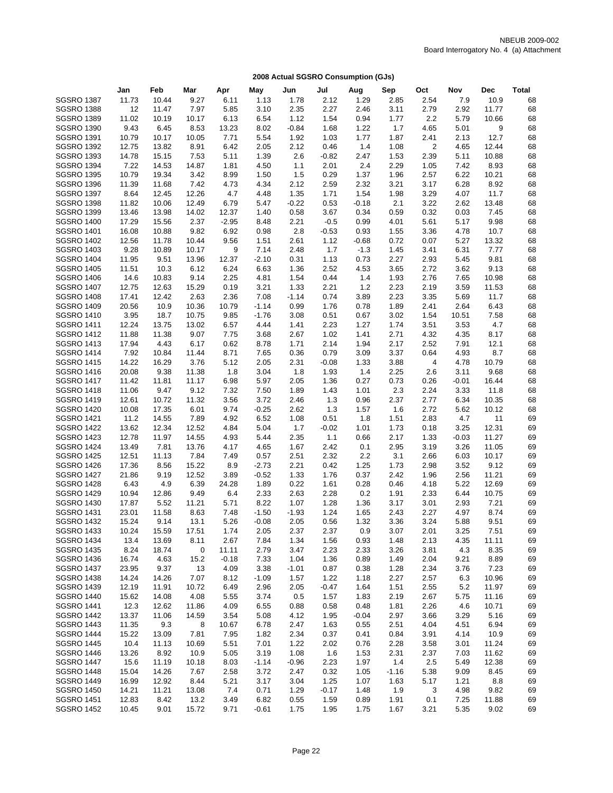|                                        | Jan           | Feb           | Mar           | Apr          | May          | Jun          | Jul          | Aug          | Sep          | Oct          | Nov          | Dec         | <b>Total</b> |
|----------------------------------------|---------------|---------------|---------------|--------------|--------------|--------------|--------------|--------------|--------------|--------------|--------------|-------------|--------------|
| <b>SGSRO 1387</b>                      | 11.73         | 10.44         | 9.27          | 6.11         | 1.13         | 1.78         | 2.12         | 1.29         | 2.85         | 2.54         | 7.9          | 10.9        | 68           |
| <b>SGSRO 1388</b>                      | 12            | 11.47         | 7.97          | 5.85         | 3.10         | 2.35         | 2.27         | 2.46         | 3.11         | 2.79         | 2.92         | 11.77       | 68           |
| <b>SGSRO 1389</b>                      | 11.02         | 10.19         | 10.17         | 6.13         | 6.54         | 1.12         | 1.54         | 0.94         | 1.77         | 2.2          | 5.79         | 10.66       | 68           |
| <b>SGSRO 1390</b>                      | 9.43          | 6.45          | 8.53          | 13.23        | 8.02         | $-0.84$      | 1.68         | 1.22         | 1.7          | 4.65         | 5.01         | 9           | 68           |
| <b>SGSRO 1391</b>                      | 10.79         | 10.17         | 10.05         | 7.71         | 5.54         | 1.92         | 1.03         | 1.77         | 1.87         | 2.41         | 2.13         | 12.7        | 68           |
| <b>SGSRO 1392</b>                      | 12.75         | 13.82         | 8.91          | 6.42         | 2.05         | 2.12         | 0.46         | 1.4          | 1.08         | 2            | 4.65         | 12.44       | 68           |
| <b>SGSRO 1393</b>                      | 14.78         | 15.15         | 7.53          | 5.11         | 1.39         | 2.6          | $-0.82$      | 2.47         | 1.53         | 2.39         | 5.11         | 10.88       | 68           |
| <b>SGSRO 1394</b>                      | 7.22          | 14.53         | 14.87         | 1.81         | 4.50         | 1.1          | 2.01         | 2.4          | 2.29         | 1.05         | 7.42         | 8.93        | 68           |
| <b>SGSRO 1395</b>                      | 10.79         | 19.34         | 3.42          | 8.99         | 1.50         | 1.5          | 0.29         | 1.37         | 1.96         | 2.57         | 6.22         | 10.21       | 68           |
| <b>SGSRO 1396</b>                      | 11.39         | 11.68         | 7.42          | 4.73         | 4.34         | 2.12         | 2.59         | 2.32         | 3.21         | 3.17         | 6.28         | 8.92        | 68           |
| <b>SGSRO 1397</b>                      | 8.64          | 12.45         | 12.26         | 4.7          | 4.48         | 1.35         | 1.71         | 1.54         | 1.98         | 3.29         | 4.07         | 11.7        | 68           |
| <b>SGSRO 1398</b>                      | 11.82         | 10.06         | 12.49         | 6.79         | 5.47         | $-0.22$      | 0.53         | $-0.18$      | 2.1          | 3.22         | 2.62         | 13.48       | 68           |
| <b>SGSRO 1399</b>                      | 13.46         | 13.98         | 14.02         | 12.37        | 1.40         | 0.58         | 3.67         | 0.34         | 0.59         | 0.32         | 0.03         | 7.45        | 68           |
| <b>SGSRO 1400</b>                      | 17.29         | 15.56         | 2.37          | $-2.95$      | 8.48         | 2.21         | $-0.5$       | 0.99         | 4.01         | 5.61         | 5.17         | 9.98        | 68           |
| <b>SGSRO 1401</b>                      | 16.08         | 10.88         | 9.82          | 6.92         | 0.98         | 2.8          | $-0.53$      | 0.93         | 1.55         | 3.36         | 4.78         | 10.7        | 68           |
| <b>SGSRO 1402</b>                      | 12.56         | 11.78         | 10.44         | 9.56         | 1.51         | 2.61         | 1.12         | $-0.68$      | 0.72         | 0.07         | 5.27         | 13.32       | 68           |
| <b>SGSRO 1403</b>                      | 9.28          | 10.89         | 10.17         | 9            | 7.14         | 2.48         | 1.7          | $-1.3$       | 1.45         | 3.41         | 6.31         | 7.77        | 68           |
| <b>SGSRO 1404</b>                      | 11.95         | 9.51          | 13.96         | 12.37        | $-2.10$      | 0.31         | 1.13         | 0.73         | 2.27         | 2.93         | 5.45         | 9.81        | 68           |
| <b>SGSRO 1405</b>                      | 11.51         | 10.3          | 6.12          | 6.24         | 6.63         | 1.36         | 2.52         | 4.53         | 3.65         | 2.72         | 3.62         | 9.13        | 68           |
| <b>SGSRO 1406</b>                      | 14.6          | 10.83         | 9.14          | 2.25         | 4.81         | 1.54         | 0.44         | 1.4          | 1.93         | 2.76         | 7.65         | 10.98       | 68           |
| <b>SGSRO 1407</b>                      | 12.75         | 12.63         | 15.29         | 0.19         | 3.21         | 1.33         | 2.21         | 1.2          | 2.23         | 2.19         | 3.59         | 11.53       | 68           |
| <b>SGSRO 1408</b>                      | 17.41         | 12.42         | 2.63          | 2.36         | 7.08         | $-1.14$      | 0.74         | 3.89         | 2.23         | 3.35         | 5.69         | 11.7        | 68           |
| <b>SGSRO 1409</b>                      | 20.56         | 10.9          | 10.36         | 10.79        | $-1.14$      | 0.99         | 1.76         | 0.78         | 1.89         | 2.41         | 2.64         | 6.43        | 68           |
| <b>SGSRO 1410</b>                      | 3.95          | 18.7          | 10.75         | 9.85         | $-1.76$      | 3.08         | 0.51         | 0.67         | 3.02         | 1.54         | 10.51        | 7.58        | 68           |
| <b>SGSRO 1411</b>                      | 12.24         | 13.75         | 13.02         | 6.57         | 4.44         | 1.41         | 2.23         | 1.27         | 1.74         | 3.51         | 3.53         | 4.7         | 68           |
| <b>SGSRO 1412</b>                      | 11.88         | 11.38         | 9.07          | 7.75         | 3.68         | 2.67         | 1.02         | 1.41         | 2.71         | 4.32         | 4.35         | 8.17        | 68           |
| <b>SGSRO 1413</b><br><b>SGSRO 1414</b> | 17.94<br>7.92 | 4.43<br>10.84 | 6.17<br>11.44 | 0.62         | 8.78<br>7.65 | 1.71<br>0.36 | 2.14<br>0.79 | 1.94<br>3.09 | 2.17<br>3.37 | 2.52<br>0.64 | 7.91<br>4.93 | 12.1<br>8.7 | 68<br>68     |
| <b>SGSRO 1415</b>                      | 14.22         | 16.29         | 3.76          | 8.71<br>5.12 | 2.05         | 2.31         | $-0.08$      | 1.33         | 3.88         | 4            | 4.78         | 10.79       | 68           |
| <b>SGSRO 1416</b>                      | 20.08         | 9.38          | 11.38         | 1.8          | 3.04         | 1.8          | 1.93         | 1.4          | 2.25         | 2.6          | 3.11         | 9.68        | 68           |
| <b>SGSRO 1417</b>                      | 11.42         | 11.81         | 11.17         | 6.98         | 5.97         | 2.05         | 1.36         | 0.27         | 0.73         | 0.26         | $-0.01$      | 16.44       | 68           |
| <b>SGSRO 1418</b>                      | 11.06         | 9.47          | 9.12          | 7.32         | 7.50         | 1.89         | 1.43         | 1.01         | 2.3          | 2.24         | 3.33         | 11.8        | 68           |
| <b>SGSRO 1419</b>                      | 12.61         | 10.72         | 11.32         | 3.56         | 3.72         | 2.46         | 1.3          | 0.96         | 2.37         | 2.77         | 6.34         | 10.35       | 68           |
| <b>SGSRO 1420</b>                      | 10.08         | 17.35         | 6.01          | 9.74         | $-0.25$      | 2.62         | 1.3          | 1.57         | 1.6          | 2.72         | 5.62         | 10.12       | 68           |
| <b>SGSRO 1421</b>                      | 11.2          | 14.55         | 7.89          | 4.92         | 6.52         | 1.08         | 0.51         | 1.8          | 1.51         | 2.83         | 4.7          | 11          | 69           |
| <b>SGSRO 1422</b>                      | 13.62         | 12.34         | 12.52         | 4.84         | 5.04         | 1.7          | $-0.02$      | 1.01         | 1.73         | 0.18         | 3.25         | 12.31       | 69           |
| <b>SGSRO 1423</b>                      | 12.78         | 11.97         | 14.55         | 4.93         | 5.44         | 2.35         | 1.1          | 0.66         | 2.17         | 1.33         | $-0.03$      | 11.27       | 69           |
| <b>SGSRO 1424</b>                      | 13.49         | 7.81          | 13.76         | 4.17         | 4.65         | 1.67         | 2.42         | 0.1          | 2.95         | 3.19         | 3.26         | 11.05       | 69           |
| <b>SGSRO 1425</b>                      | 12.51         | 11.13         | 7.84          | 7.49         | 0.57         | 2.51         | 2.32         | 2.2          | 3.1          | 2.66         | 6.03         | 10.17       | 69           |
| <b>SGSRO 1426</b>                      | 17.36         | 8.56          | 15.22         | 8.9          | $-2.73$      | 2.21         | 0.42         | 1.25         | 1.73         | 2.98         | 3.52         | 9.12        | 69           |
| <b>SGSRO 1427</b>                      | 21.86         | 9.19          | 12.52         | 3.89         | $-0.52$      | 1.33         | 1.76         | 0.37         | 2.42         | 1.96         | 2.56         | 11.21       | 69           |
| <b>SGSRO 1428</b>                      | 6.43          | 4.9           | 6.39          | 24.28        | 1.89         | 0.22         | 1.61         | 0.28         | 0.46         | 4.18         | 5.22         | 12.69       | 69           |
| <b>SGSRO 1429</b>                      | 10.94         | 12.86         | 9.49          | 6.4          | 2.33         | 2.63         | 2.28         | 0.2          | 1.91         | 2.33         | 6.44         | 10.75       | 69           |
| <b>SGSRO 1430</b>                      | 17.87         | 5.52          | 11.21         | 5.71         | 8.22         | 1.07         | 1.28         | 1.36         | 3.17         | 3.01         | 2.93         | 7.21        | 69           |
| <b>SGSRO 1431</b>                      | 23.01         | 11.58         | 8.63          | 7.48         | $-1.50$      | $-1.93$      | 1.24         | 1.65         | 2.43         | 2.27         | 4.97         | 8.74        | 69           |
| <b>SGSRO 1432</b>                      | 15.24         | 9.14          | 13.1          | 5.26         | $-0.08$      | 2.05         | 0.56         | 1.32         | 3.36         | 3.24         | 5.88         | 9.51        | 69           |
| <b>SGSRO 1433</b>                      | 10.24         | 15.59         | 17.51         | 1.74         | 2.05         | 2.37         | 2.37         | 0.9          | 3.07         | 2.01         | 3.25         | 7.51        | 69           |
| <b>SGSRO 1434</b>                      | 13.4          | 13.69         | 8.11          | 2.67         | 7.84         | 1.34         | 1.56         | 0.93         | 1.48         | 2.13         | 4.35         | 11.11       | 69           |
| <b>SGSRO 1435</b>                      | 8.24          | 18.74         | 0             | 11.11        | 2.79         | 3.47         | 2.23         | 2.33         | 3.26         | 3.81         | 4.3          | 8.35        | 69           |
| <b>SGSRO 1436</b>                      | 16.74         | 4.63          | 15.2          | $-0.18$      | 7.33         | 1.04         | 1.36         | 0.89         | 1.49         | 2.04         | 9.21         | 8.89        | 69           |
| <b>SGSRO 1437</b>                      | 23.95         | 9.37          | 13            | 4.09         | 3.38         | $-1.01$      | 0.87         | 0.38         | 1.28         | 2.34         | 3.76         | 7.23        | 69           |
| <b>SGSRO 1438</b>                      | 14.24         | 14.26         | 7.07          | 8.12         | $-1.09$      | 1.57         | 1.22         | 1.18         | 2.27         | 2.57         | 6.3          | 10.96       | 69           |
| <b>SGSRO 1439</b>                      | 12.19         | 11.91         | 10.72         | 6.49         | 2.96         | 2.05         | $-0.47$      | 1.64         | 1.51         | 2.55         | 5.2          | 11.97       | 69           |
| <b>SGSRO 1440</b>                      | 15.62         | 14.08         | 4.08          | 5.55         | 3.74         | 0.5          | 1.57         | 1.83         | 2.19         | 2.67         | 5.75         | 11.16       | 69           |
| <b>SGSRO 1441</b>                      | 12.3          | 12.62         | 11.86         | 4.09         | 6.55         | 0.88         | 0.58         | 0.48         | 1.81         | 2.26         | 4.6          | 10.71       | 69           |
| <b>SGSRO 1442</b>                      | 13.37         | 11.06         | 14.59         | 3.54         | 5.08         | 4.12         | 1.95         | $-0.04$      | 2.97         | 3.66         | 3.29         | 5.16        | 69           |
| <b>SGSRO 1443</b>                      | 11.35         | 9.3           | 8             | 10.67        | 6.78         | 2.47         | 1.63         | 0.55         | 2.51         | 4.04         | 4.51         | 6.94        | 69           |
| <b>SGSRO 1444</b>                      | 15.22         | 13.09         | 7.81          | 7.95         | 1.82         | 2.34         | 0.37         | 0.41         | 0.84         | 3.91         | 4.14         | 10.9        | 69           |
| <b>SGSRO 1445</b>                      | 10.4          | 11.13         | 10.69         | 5.51         | 7.01         | 1.22         | 2.02         | 0.76         | 2.28         | 3.58         | 3.01         | 11.24       | 69           |
| <b>SGSRO 1446</b>                      | 13.26         | 8.92          | 10.9          | 5.05         | 3.19         | 1.08         | 1.6          | 1.53         | 2.31         | 2.37         | 7.03         | 11.62       | 69           |
| <b>SGSRO 1447</b>                      | 15.6          | 11.19         | 10.18         | 8.03         | $-1.14$      | $-0.96$      | 2.23         | 1.97         | 1.4          | 2.5          | 5.49         | 12.38       | 69           |
| <b>SGSRO 1448</b>                      | 15.04         | 14.26         | 7.67          | 2.58         | 3.72         | 2.47         | 0.32         | 1.05         | $-1.16$      | 5.38         | 9.09         | 8.45        | 69           |
| <b>SGSRO 1449</b>                      | 16.99         | 12.92         | 8.44          | 5.21         | 3.17         | 3.04         | 1.25         | 1.07         | 1.63         | 5.17         | 1.21         | 8.8         | 69           |
| <b>SGSRO 1450</b>                      | 14.21         | 11.21         | 13.08         | 7.4          | 0.71         | 1.29         | $-0.17$      | 1.48         | 1.9          | 3            | 4.98         | 9.82        | 69           |
| <b>SGSRO 1451</b>                      | 12.83         | 8.42          | 13.2          | 3.49         | 6.82         | 0.55         | 1.59         | 0.89         | 1.91         | 0.1          | 7.25         | 11.88       | 69           |
| <b>SGSRO 1452</b>                      | 10.45         | 9.01          | 15.72         | 9.71         | $-0.61$      | 1.75         | 1.95         | 1.75         | 1.67         | 3.21         | 5.35         | 9.02        | 69           |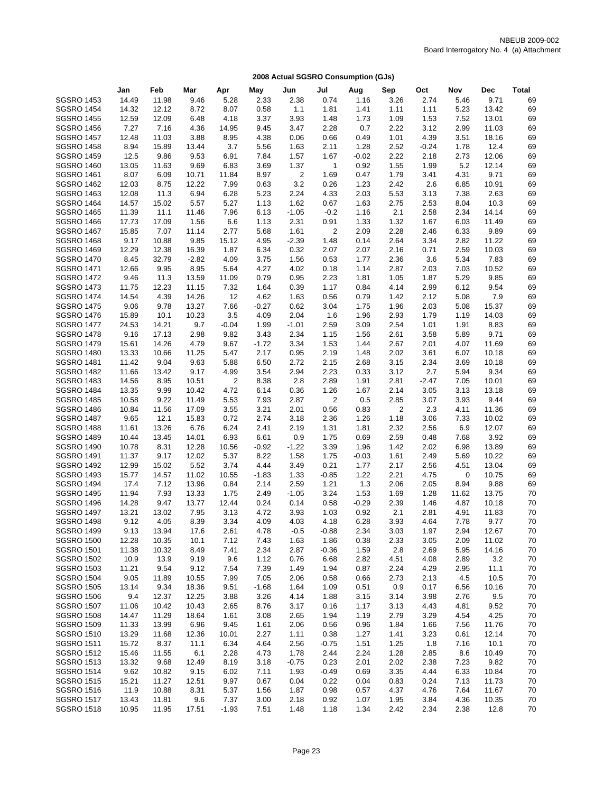|                                        | Jan            | Feb            | Mar           | Apr           | May          | Jun             | Jul                    | Aug          | Sep          | Oct          | Nov          | Dec            | <b>Total</b> |
|----------------------------------------|----------------|----------------|---------------|---------------|--------------|-----------------|------------------------|--------------|--------------|--------------|--------------|----------------|--------------|
| <b>SGSRO 1453</b>                      | 14.49          | 11.98          | 9.46          | 5.28          | 2.33         | 2.38            | 0.74                   | 1.16         | 3.26         | 2.74         | 5.46         | 9.71           | 69           |
| <b>SGSRO 1454</b>                      | 14.32          | 12.12          | 8.72          | 8.07          | 0.58         | 1.1             | 1.81                   | 1.41         | 1.11         | 1.11         | 5.23         | 13.42          | 69           |
| <b>SGSRO 1455</b>                      | 12.59          | 12.09          | 6.48          | 4.18          | 3.37         | 3.93            | 1.48                   | 1.73         | 1.09         | 1.53         | 7.52         | 13.01          | 69           |
| <b>SGSRO 1456</b>                      | 7.27           | 7.16           | 4.36          | 14.95         | 9.45         | 3.47            | 2.28                   | 0.7          | 2.22         | 3.12         | 2.99         | 11.03          | 69           |
| <b>SGSRO 1457</b>                      | 12.48          | 11.03          | 3.88          | 8.95          | 4.38         | 0.06            | 0.66                   | 0.49         | 1.01         | 4.39         | 3.51         | 18.16          | 69           |
| <b>SGSRO 1458</b>                      | 8.94           | 15.89          | 13.44         | 3.7           | 5.56         | 1.63            | 2.11                   | 1.28         | 2.52         | $-0.24$      | 1.78         | 12.4           | 69           |
| <b>SGSRO 1459</b>                      | 12.5           | 9.86           | 9.53          | 6.91          | 7.84         | 1.57            | 1.67                   | $-0.02$      | 2.22         | 2.18         | 2.73         | 12.06          | 69           |
| <b>SGSRO 1460</b>                      | 13.05          | 11.63          | 9.69          | 6.83          | 3.69         | 1.37            | $\mathbf{1}$           | 0.92         | 1.55         | 1.99         | 5.2          | 12.14          | 69           |
| <b>SGSRO 1461</b>                      | 8.07           | 6.09           | 10.71         | 11.84         | 8.97         | 2               | 1.69                   | 0.47         | 1.79         | 3.41         | 4.31         | 9.71           | 69           |
| <b>SGSRO 1462</b>                      | 12.03          | 8.75           | 12.22         | 7.99          | 0.63         | 3.2             | 0.26                   | 1.23         | 2.42         | 2.6          | 6.85         | 10.91          | 69           |
| <b>SGSRO 1463</b>                      | 12.08          | 11.3           | 6.94          | 6.28          | 5.23         | 2.24            | 4.33                   | 2.03         | 5.53         | 3.13         | 7.38         | 2.63           | 69           |
| <b>SGSRO 1464</b>                      | 14.57          | 15.02          | 5.57          | 5.27          | 1.13         | 1.62            | 0.67                   | 1.63         | 2.75         | 2.53         | 8.04         | 10.3           | 69           |
| <b>SGSRO 1465</b>                      | 11.39          | 11.1           | 11.46         | 7.96          | 6.13         | $-1.05$         | $-0.2$                 | 1.16         | 2.1          | 2.58         | 2.34         | 14.14          | 69           |
| <b>SGSRO 1466</b>                      | 17.73          | 17.09          | 1.56          | 6.6           | 1.13         | 2.31            | 0.91                   | 1.33         | 1.32         | 1.67         | 6.03         | 11.49          | 69           |
| <b>SGSRO 1467</b><br><b>SGSRO 1468</b> | 15.85<br>9.17  | 7.07<br>10.88  | 11.14<br>9.85 | 2.77<br>15.12 | 5.68<br>4.95 | 1.61<br>$-2.39$ | $\overline{2}$<br>1.48 | 2.09<br>0.14 | 2.28<br>2.64 | 2.46<br>3.34 | 6.33<br>2.82 | 9.89<br>11.22  | 69<br>69     |
| <b>SGSRO 1469</b>                      | 12.29          | 12.38          | 16.39         | 1.87          | 6.34         | 0.32            | 2.07                   | 2.07         | 2.16         | 0.71         | 2.59         | 10.03          | 69           |
| <b>SGSRO 1470</b>                      | 8.45           | 32.79          | $-2.82$       | 4.09          | 3.75         | 1.56            | 0.53                   | 1.77         | 2.36         | 3.6          | 5.34         | 7.83           | 69           |
| <b>SGSRO 1471</b>                      | 12.66          | 9.95           | 8.95          | 5.64          | 4.27         | 4.02            | 0.18                   | 1.14         | 2.87         | 2.03         | 7.03         | 10.52          | 69           |
| <b>SGSRO 1472</b>                      | 9.46           | 11.3           | 13.59         | 11.09         | 0.79         | 0.95            | 2.23                   | 1.81         | 1.05         | 1.87         | 5.29         | 9.85           | 69           |
| <b>SGSRO 1473</b>                      | 11.75          | 12.23          | 11.15         | 7.32          | 1.64         | 0.39            | 1.17                   | 0.84         | 4.14         | 2.99         | 6.12         | 9.54           | 69           |
| <b>SGSRO 1474</b>                      | 14.54          | 4.39           | 14.26         | 12            | 4.62         | 1.63            | 0.56                   | 0.79         | 1.42         | 2.12         | 5.08         | 7.9            | 69           |
| <b>SGSRO 1475</b>                      | 9.06           | 9.78           | 13.27         | 7.66          | $-0.27$      | 0.62            | 3.04                   | 1.75         | 1.96         | 2.03         | 5.08         | 15.37          | 69           |
| <b>SGSRO 1476</b>                      | 15.89          | 10.1           | 10.23         | 3.5           | 4.09         | 2.04            | 1.6                    | 1.96         | 2.93         | 1.79         | 1.19         | 14.03          | 69           |
| <b>SGSRO 1477</b>                      | 24.53          | 14.21          | 9.7           | $-0.04$       | 1.99         | $-1.01$         | 2.59                   | 3.09         | 2.54         | 1.01         | 1.91         | 8.83           | 69           |
| <b>SGSRO 1478</b>                      | 9.16           | 17.13          | 2.98          | 9.82          | 3.43         | 2.34            | 1.15                   | 1.56         | 2.61         | 3.58         | 5.89         | 9.71           | 69           |
| <b>SGSRO 1479</b>                      | 15.61          | 14.26          | 4.79          | 9.67          | $-1.72$      | 3.34            | 1.53                   | 1.44         | 2.67         | 2.01         | 4.07         | 11.69          | 69           |
| <b>SGSRO 1480</b>                      | 13.33          | 10.66          | 11.25         | 5.47          | 2.17         | 0.95            | 2.19                   | 1.48         | 2.02         | 3.61         | 6.07         | 10.18          | 69           |
| <b>SGSRO 1481</b>                      | 11.42          | 9.04           | 9.63          | 5.88          | 6.50         | 2.72            | 2.15                   | 2.68         | 3.15         | 2.34         | 3.69         | 10.18          | 69           |
| <b>SGSRO 1482</b>                      | 11.66          | 13.42          | 9.17          | 4.99          | 3.54         | 2.94            | 2.23                   | 0.33         | 3.12         | 2.7          | 5.94         | 9.34           | 69           |
| <b>SGSRO 1483</b>                      | 14.56          | 8.95           | 10.51         | 2             | 8.38         | 2.8             | 2.89                   | 1.91         | 2.81         | $-2.47$      | 7.05         | 10.01          | 69           |
| <b>SGSRO 1484</b>                      | 13.35          | 9.99           | 10.42         | 4.72          | 6.14         | 0.36            | 1.26                   | 1.67         | 2.14         | 3.05         | 3.13         | 13.18          | 69           |
| <b>SGSRO 1485</b>                      | 10.58          | 9.22           | 11.49         | 5.53          | 7.93         | 2.87            | 2                      | 0.5          | 2.85         | 3.07         | 3.93         | 9.44           | 69           |
| <b>SGSRO 1486</b>                      | 10.84          | 11.56          | 17.09         | 3.55          | 3.21         | 2.01            | 0.56                   | 0.83         | 2            | 2.3          | 4.11         | 11.36          | 69           |
| <b>SGSRO 1487</b>                      | 9.65           | 12.1           | 15.83         | 0.72          | 2.74         | 3.18            | 2.36                   | 1.26         | 1.18         | 3.06         | 7.33         | 10.02<br>12.07 | 69           |
| <b>SGSRO 1488</b><br><b>SGSRO 1489</b> | 11.61<br>10.44 | 13.26<br>13.45 | 6.76<br>14.01 | 6.24<br>6.93  | 2.41<br>6.61 | 2.19<br>0.9     | 1.31<br>1.75           | 1.81<br>0.69 | 2.32<br>2.59 | 2.56<br>0.48 | 6.9<br>7.68  | 3.92           | 69<br>69     |
| <b>SGSRO 1490</b>                      | 10.78          | 8.31           | 12.28         | 10.56         | $-0.92$      | $-1.22$         | 3.39                   | 1.96         | 1.42         | 2.02         | 6.98         | 13.89          | 69           |
| <b>SGSRO 1491</b>                      | 11.37          | 9.17           | 12.02         | 5.37          | 8.22         | 1.58            | 1.75                   | $-0.03$      | 1.61         | 2.49         | 5.69         | 10.22          | 69           |
| <b>SGSRO 1492</b>                      | 12.99          | 15.02          | 5.52          | 3.74          | 4.44         | 3.49            | 0.21                   | 1.77         | 2.17         | 2.56         | 4.51         | 13.04          | 69           |
| <b>SGSRO 1493</b>                      | 15.77          | 14.57          | 11.02         | 10.55         | $-1.83$      | 1.33            | $-0.85$                | 1.22         | 2.21         | 4.75         | 0            | 10.75          | 69           |
| <b>SGSRO 1494</b>                      | 17.4           | 7.12           | 13.96         | 0.84          | 2.14         | 2.59            | 1.21                   | 1.3          | 2.06         | 2.05         | 8.94         | 9.88           | 69           |
| <b>SGSRO 1495</b>                      | 11.94          | 7.93           | 13.33         | 1.75          | 2.49         | $-1.05$         | 3.24                   | 1.53         | 1.69         | 1.28         | 11.62        | 13.75          | 70           |
| <b>SGSRO 1496</b>                      | 14.28          | 9.47           | 13.77         | 12.44         | 0.24         | 0.14            | 0.58                   | $-0.29$      | 2.39         | 1.46         | 4.87         | 10.18          | 70           |
| <b>SGSRO 1497</b>                      | 13.21          | 13.02          | 7.95          | 3.13          | 4.72         | 3.93            | 1.03                   | 0.92         | 2.1          | 2.81         | 4.91         | 11.83          | 70           |
| <b>SGSRO 1498</b>                      | 9.12           | 4.05           | 8.39          | 3.34          | 4.09         | 4.03            | 4.18                   | 6.28         | 3.93         | 4.64         | 7.78         | 9.77           | 70           |
| <b>SGSRO 1499</b>                      | 9.13           | 13.94          | 17.6          | 2.61          | 4.78         | $-0.5$          | $-0.88$                | 2.34         | 3.03         | 1.97         | 2.94         | 12.67          | 70           |
| <b>SGSRO 1500</b>                      | 12.28          | 10.35          | 10.1          | 7.12          | 7.43         | 1.63            | 1.86                   | 0.38         | 2.33         | 3.05         | 2.09         | 11.02          | 70           |
| <b>SGSRO 1501</b>                      | 11.38          | 10.32          | 8.49          | 7.41          | 2.34         | 2.87            | $-0.36$                | 1.59         | 2.8          | 2.69         | 5.95         | 14.16          | 70           |
| <b>SGSRO 1502</b>                      | 10.9           | 13.9           | 9.19          | 9.6           | 1.12         | 0.76            | 6.68                   | 2.82         | 4.51         | 4.08         | 2.89         | 3.2            | 70           |
| <b>SGSRO 1503</b>                      | 11.21          | 9.54           | 9.12          | 7.54          | 7.39         | 1.49            | 1.94                   | 0.87         | 2.24         | 4.29         | 2.95         | 11.1           | 70           |
| <b>SGSRO 1504</b>                      | 9.05           | 11.89          | 10.55         | 7.99          | 7.05         | 2.06            | 0.58                   | 0.66         | 2.73         | 2.13         | 4.5          | 10.5           | 70           |
| <b>SGSRO 1505</b>                      | 13.14          | 9.34           | 18.36         | 9.51          | $-1.68$      | 1.64            | 1.09                   | 0.51         | 0.9          | 0.17         | 6.56         | 10.16          | 70           |
| <b>SGSRO 1506</b>                      | 9.4            | 12.37          | 12.25         | 3.88          | 3.26         | 4.14            | 1.88                   | 3.15         | 3.14         | 3.98         | 2.76         | 9.5            | 70           |
| <b>SGSRO 1507</b><br><b>SGSRO 1508</b> | 11.06          | 10.42          | 10.43         | 2.65          | 8.76         | 3.17            | 0.16                   | 1.17         | 3.13         | 4.43         | 4.81         | 9.52           | 70           |
|                                        | 14.47          | 11.29          | 18.64         | 1.61          | 3.08         | 2.65            | 1.94                   | 1.19         | 2.79         | 3.29         | 4.54         | 4.25           | 70           |
| <b>SGSRO 1509</b><br><b>SGSRO 1510</b> | 11.33<br>13.29 | 13.99<br>11.68 | 6.96<br>12.36 | 9.45<br>10.01 | 1.61<br>2.27 | 2.06<br>1.11    | 0.56<br>0.38           | 0.96<br>1.27 | 1.84<br>1.41 | 1.66<br>3.23 | 7.56<br>0.61 | 11.76<br>12.14 | 70<br>70     |
| <b>SGSRO 1511</b>                      | 15.72          | 8.37           | 11.1          | 6.34          | 4.64         | 2.56            | $-0.75$                | 1.51         | 1.25         | 1.8          | 7.16         | 10.1           | 70           |
| <b>SGSRO 1512</b>                      | 15.46          | 11.55          | 6.1           | 2.28          | 4.73         | 1.78            | 2.44                   | 2.24         | 1.28         | 2.85         | 8.6          | 10.49          | 70           |
| <b>SGSRO 1513</b>                      | 13.32          | 9.68           | 12.49         | 8.19          | 3.18         | $-0.75$         | 0.23                   | 2.01         | 2.02         | 2.38         | 7.23         | 9.82           | 70           |
| <b>SGSRO 1514</b>                      | 9.62           | 10.82          | 9.15          | 6.02          | 7.11         | 1.93            | $-0.49$                | 0.69         | 3.35         | 4.44         | 6.33         | 10.84          | 70           |
| <b>SGSRO 1515</b>                      | 15.21          | 11.27          | 12.51         | 9.97          | 0.67         | 0.04            | 0.22                   | 0.04         | 0.83         | 0.24         | 7.13         | 11.73          | 70           |
| <b>SGSRO 1516</b>                      | 11.9           | 10.88          | 8.31          | 5.37          | 1.56         | 1.87            | 0.98                   | 0.57         | 4.37         | 4.76         | 7.64         | 11.67          | 70           |
| <b>SGSRO 1517</b>                      | 13.43          | 11.81          | 9.6           | 7.37          | 3.00         | 2.18            | 0.92                   | 1.07         | 1.95         | 3.84         | 4.36         | 10.35          | 70           |
| <b>SGSRO 1518</b>                      | 10.95          | 11.95          | 17.51         | $-1.93$       | 7.51         | 1.48            | 1.18                   | 1.34         | 2.42         | 2.34         | 2.38         | 12.8           | 70           |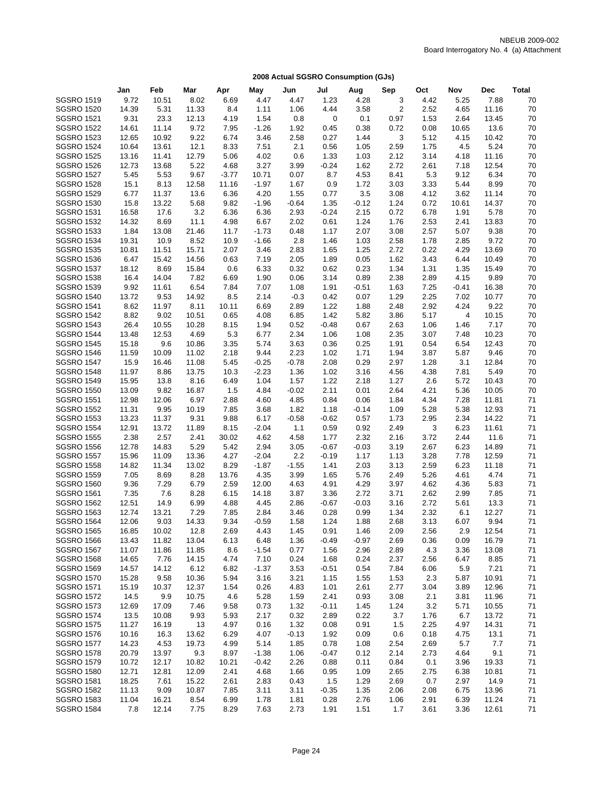|                   | Jan   | Feb   | Mar   | Apr     | May     | Jun     | Jul     | Aug     | Sep            | Oct  | Nov   | Dec   | <b>Total</b> |
|-------------------|-------|-------|-------|---------|---------|---------|---------|---------|----------------|------|-------|-------|--------------|
| <b>SGSRO 1519</b> | 9.72  | 10.51 | 8.02  | 6.69    | 4.47    | 4.47    | 1.23    | 4.28    | 3              | 4.42 | 5.25  | 7.88  | 70           |
| <b>SGSRO 1520</b> | 14.39 | 5.31  | 11.33 | 8.4     | 1.11    | 1.06    | 4.44    | 3.58    | $\overline{2}$ | 2.52 | 4.65  | 11.16 | 70           |
| <b>SGSRO 1521</b> | 9.31  | 23.3  | 12.13 | 4.19    | 1.54    | 0.8     | 0       | 0.1     | 0.97           | 1.53 | 2.64  | 13.45 | 70           |
| <b>SGSRO 1522</b> | 14.61 | 11.14 | 9.72  | 7.95    | $-1.26$ | 1.92    | 0.45    | 0.38    | 0.72           | 0.08 | 10.65 | 13.6  | 70           |
| <b>SGSRO 1523</b> | 12.65 | 10.92 | 9.22  | 6.74    | 3.46    | 2.58    | 0.27    | 1.44    | 3              | 5.12 | 4.15  | 10.42 | 70           |
| <b>SGSRO 1524</b> | 10.64 | 13.61 | 12.1  | 8.33    | 7.51    | 2.1     | 0.56    | 1.05    | 2.59           | 1.75 | 4.5   | 5.24  | 70           |
| <b>SGSRO 1525</b> | 13.16 | 11.41 | 12.79 | 5.06    | 4.02    | 0.6     | 1.33    | 1.03    | 2.12           | 3.14 | 4.18  | 11.16 | 70           |
| <b>SGSRO 1526</b> | 12.73 | 13.68 | 5.22  | 4.68    | 3.27    | 3.99    | $-0.24$ | 1.62    | 2.72           | 2.61 | 7.18  | 12.54 | 70           |
| <b>SGSRO 1527</b> | 5.45  | 5.53  | 9.67  | $-3.77$ | 10.71   | 0.07    | 8.7     | 4.53    | 8.41           | 5.3  | 9.12  | 6.34  | 70           |
| <b>SGSRO 1528</b> | 15.1  | 8.13  | 12.58 | 11.16   | $-1.97$ | 1.67    | 0.9     | 1.72    | 3.03           | 3.33 | 5.44  | 8.99  | 70           |
| <b>SGSRO 1529</b> | 6.77  | 11.37 | 13.6  | 6.36    | 4.20    | 1.55    | 0.77    | 3.5     | 3.08           | 4.12 | 3.62  | 11.14 | 70           |
| <b>SGSRO 1530</b> | 15.8  | 13.22 | 5.68  | 9.82    | $-1.96$ | $-0.64$ | 1.35    | $-0.12$ | 1.24           | 0.72 | 10.61 | 14.37 | 70           |
| <b>SGSRO 1531</b> | 16.58 | 17.6  | 3.2   | 6.36    | 6.36    | 2.93    | $-0.24$ | 2.15    | 0.72           | 6.78 | 1.91  | 5.78  | 70           |
| <b>SGSRO 1532</b> | 14.32 | 8.69  | 11.1  | 4.98    | 6.67    | 2.02    | 0.61    | 1.24    | 1.76           | 2.53 | 2.41  | 13.83 | 70           |
| <b>SGSRO 1533</b> | 1.84  | 13.08 | 21.46 | 11.7    | $-1.73$ | 0.48    | 1.17    | 2.07    | 3.08           | 2.57 | 5.07  | 9.38  | 70           |
| <b>SGSRO 1534</b> | 19.31 | 10.9  | 8.52  | 10.9    | $-1.66$ | 2.8     | 1.46    | 1.03    | 2.58           | 1.78 | 2.85  | 9.72  | 70           |
| <b>SGSRO 1535</b> | 10.81 | 11.51 | 15.71 | 2.07    | 3.46    | 2.83    | 1.65    | 1.25    | 2.72           | 0.22 | 4.29  | 13.69 | 70           |
| <b>SGSRO 1536</b> | 6.47  | 15.42 | 14.56 | 0.63    | 7.19    | 2.05    | 1.89    | 0.05    | 1.62           | 3.43 | 6.44  | 10.49 | 70           |
| <b>SGSRO 1537</b> | 18.12 | 8.69  | 15.84 | 0.6     | 6.33    | 0.32    | 0.62    | 0.23    | 1.34           | 1.31 | 1.35  | 15.49 | 70           |
| <b>SGSRO 1538</b> | 16.4  | 14.04 | 7.82  | 6.69    | 1.90    | 0.06    | 3.14    | 0.89    | 2.38           | 2.89 | 4.15  | 9.89  | 70           |
| <b>SGSRO 1539</b> | 9.92  | 11.61 | 6.54  | 7.84    | 7.07    | 1.08    | 1.91    | $-0.51$ | 1.63           | 7.25 | -0.41 | 16.38 | 70           |
| <b>SGSRO 1540</b> | 13.72 | 9.53  | 14.92 | 8.5     | 2.14    | $-0.3$  | 0.42    | 0.07    | 1.29           | 2.25 | 7.02  | 10.77 | 70           |
| <b>SGSRO 1541</b> | 8.62  | 11.97 | 8.11  | 10.11   | 6.69    | 2.89    | 1.22    | 1.88    | 2.48           | 2.92 | 4.24  | 9.22  | 70           |
| <b>SGSRO 1542</b> | 8.82  | 9.02  | 10.51 | 0.65    | 4.08    | 6.85    | 1.42    | 5.82    | 3.86           | 5.17 | 4     | 10.15 | 70           |
| <b>SGSRO 1543</b> | 26.4  | 10.55 | 10.28 | 8.15    | 1.94    | 0.52    | $-0.48$ | 0.67    | 2.63           | 1.06 | 1.46  | 7.17  | 70           |
| <b>SGSRO 1544</b> | 13.48 | 12.53 | 4.69  | 5.3     | 6.77    | 2.34    | 1.06    | 1.08    | 2.35           | 3.07 | 7.48  | 10.23 | 70           |
| <b>SGSRO 1545</b> | 15.18 | 9.6   | 10.86 | 3.35    | 5.74    | 3.63    | 0.36    | 0.25    | 1.91           | 0.54 | 6.54  | 12.43 | 70           |
| <b>SGSRO 1546</b> | 11.59 | 10.09 | 11.02 | 2.18    | 9.44    | 2.23    | 1.02    | 1.71    | 1.94           | 3.87 | 5.87  | 9.46  | 70           |
| <b>SGSRO 1547</b> | 15.9  | 16.46 | 11.08 | 5.45    | $-0.25$ | $-0.78$ | 2.08    | 0.29    | 2.97           | 1.28 | 3.1   | 12.84 | 70           |
| <b>SGSRO 1548</b> | 11.97 | 8.86  | 13.75 | 10.3    | $-2.23$ | 1.36    | 1.02    | 3.16    | 4.56           | 4.38 | 7.81  | 5.49  | 70           |
| <b>SGSRO 1549</b> | 15.95 | 13.8  | 8.16  | 6.49    | 1.04    | 1.57    | 1.22    | 2.18    | 1.27           | 2.6  | 5.72  | 10.43 | 70           |
| <b>SGSRO 1550</b> | 13.09 | 9.82  | 16.87 | 1.5     | 4.84    | $-0.02$ | 2.11    | 0.01    | 2.64           | 4.21 | 5.36  | 10.05 | 70           |
| <b>SGSRO 1551</b> | 12.98 | 12.06 | 6.97  | 2.88    | 4.60    | 4.85    | 0.84    | 0.06    | 1.84           | 4.34 | 7.28  | 11.81 | 71           |
| <b>SGSRO 1552</b> | 11.31 | 9.95  | 10.19 | 7.85    | 3.68    | 1.82    | 1.18    | $-0.14$ | 1.09           | 5.28 | 5.38  | 12.93 | 71           |
| <b>SGSRO 1553</b> | 13.23 | 11.37 | 9.31  | 9.88    | 6.17    | $-0.58$ | $-0.62$ | 0.57    | 1.73           | 2.95 | 2.34  | 14.22 | 71           |
| <b>SGSRO 1554</b> | 12.91 | 13.72 | 11.89 | 8.15    | $-2.04$ | 1.1     | 0.59    | 0.92    | 2.49           | 3    | 6.23  | 11.61 | 71           |
| <b>SGSRO 1555</b> | 2.38  | 2.57  | 2.41  | 30.02   | 4.62    | 4.58    | 1.77    | 2.32    | 2.16           | 3.72 | 2.44  | 11.6  | 71           |
| <b>SGSRO 1556</b> | 12.78 | 14.83 | 5.29  | 5.42    | 2.94    | 3.05    | $-0.67$ | $-0.03$ | 3.19           | 2.67 | 6.23  | 14.89 | 71           |
| <b>SGSRO 1557</b> | 15.96 | 11.09 | 13.36 | 4.27    | $-2.04$ | 2.2     | $-0.19$ | 1.17    | 1.13           | 3.28 | 7.78  | 12.59 | 71           |
| <b>SGSRO 1558</b> | 14.82 | 11.34 | 13.02 | 8.29    | $-1.87$ | $-1.55$ | 1.41    | 2.03    | 3.13           | 2.59 | 6.23  | 11.18 | 71           |
| <b>SGSRO 1559</b> | 7.05  | 8.69  | 8.28  | 13.76   | 4.35    | 3.99    | 1.65    | 5.76    | 2.49           | 5.26 | 4.61  | 4.74  | 71           |
| <b>SGSRO 1560</b> | 9.36  | 7.29  | 6.79  | 2.59    | 12.00   | 4.63    | 4.91    | 4.29    | 3.97           | 4.62 | 4.36  | 5.83  | 71           |
| <b>SGSRO 1561</b> | 7.35  | 7.6   | 8.28  | 6.15    | 14.18   | 3.87    | 3.36    | 2.72    | 3.71           | 2.62 | 2.99  | 7.85  | 71           |
| <b>SGSRO 1562</b> | 12.51 | 14.9  | 6.99  | 4.88    | 4.45    | 2.86    | $-0.67$ | $-0.03$ | 3.16           | 2.72 | 5.61  | 13.3  | 71           |
| <b>SGSRO 1563</b> | 12.74 | 13.21 | 7.29  | 7.85    | 2.84    | 3.46    | 0.28    | 0.99    | 1.34           | 2.32 | 6.1   | 12.27 | 71           |
| <b>SGSRO 1564</b> | 12.06 | 9.03  | 14.33 | 9.34    | $-0.59$ | 1.58    | 1.24    | 1.88    | 2.68           | 3.13 | 6.07  | 9.94  | 71           |
| <b>SGSRO 1565</b> | 16.85 | 10.02 | 12.8  | 2.69    | 4.43    | 1.45    | 0.91    | 1.46    | 2.09           | 2.56 | 2.9   | 12.54 | 71           |
| <b>SGSRO 1566</b> | 13.43 | 11.82 | 13.04 | 6.13    | 6.48    | 1.36    | $-0.49$ | $-0.97$ | 2.69           | 0.36 | 0.09  | 16.79 | 71           |
| <b>SGSRO 1567</b> | 11.07 | 11.86 | 11.85 | 8.6     | $-1.54$ | 0.77    | 1.56    | 2.96    | 2.89           | 4.3  | 3.36  | 13.08 | 71           |
| <b>SGSRO 1568</b> | 14.65 | 7.76  | 14.15 | 4.74    | 7.10    | 0.24    | 1.68    | 0.24    | 2.37           | 2.56 | 6.47  | 8.85  | 71           |
| <b>SGSRO 1569</b> | 14.57 | 14.12 | 6.12  | 6.82    | $-1.37$ | 3.53    | $-0.51$ | 0.54    | 7.84           | 6.06 | 5.9   | 7.21  | 71           |
| <b>SGSRO 1570</b> | 15.28 | 9.58  | 10.36 | 5.94    | 3.16    | 3.21    | 1.15    | 1.55    | 1.53           | 2.3  | 5.87  | 10.91 | 71           |
| <b>SGSRO 1571</b> | 15.19 | 10.37 | 12.37 | 1.54    | 0.26    | 4.83    | 1.01    | 2.61    | 2.77           | 3.04 | 3.89  | 12.96 | 71           |
| <b>SGSRO 1572</b> | 14.5  | 9.9   | 10.75 | 4.6     | 5.28    | 1.59    | 2.41    | 0.93    | 3.08           | 2.1  | 3.81  | 11.96 | 71           |
| <b>SGSRO 1573</b> | 12.69 | 17.09 | 7.46  | 9.58    | 0.73    | 1.32    | $-0.11$ | 1.45    | 1.24           | 3.2  | 5.71  | 10.55 | 71           |
| <b>SGSRO 1574</b> | 13.5  | 10.08 | 9.93  | 5.93    | 2.17    | 0.32    | 2.89    | 0.22    | 3.7            | 1.76 | 6.7   | 13.72 | 71           |
| <b>SGSRO 1575</b> | 11.27 | 16.19 | 13    | 4.97    | 0.16    | 1.32    | 0.08    | 0.91    | $1.5$          | 2.25 | 4.97  | 14.31 | 71           |
| <b>SGSRO 1576</b> | 10.16 | 16.3  | 13.62 | 6.29    | 4.07    | $-0.13$ | 1.92    | 0.09    | 0.6            | 0.18 | 4.75  | 13.1  | 71           |
| <b>SGSRO 1577</b> | 14.23 | 4.53  | 19.73 | 4.99    | 5.14    | 1.85    | 0.78    | 1.08    | 2.54           | 2.69 | 5.7   | 7.7   | 71           |
| <b>SGSRO 1578</b> | 20.79 | 13.97 | 9.3   | 8.97    | $-1.38$ | 1.06    | $-0.47$ | 0.12    | 2.14           | 2.73 | 4.64  | 9.1   | 71           |
| <b>SGSRO 1579</b> | 10.72 | 12.17 | 10.82 | 10.21   | $-0.42$ | 2.26    | 0.88    | 0.11    | 0.84           | 0.1  | 3.96  | 19.33 | 71           |
| <b>SGSRO 1580</b> | 12.71 | 12.81 | 12.09 | 2.41    | 4.68    | 1.66    | 0.95    | 1.09    | 2.65           | 2.75 | 6.38  | 10.81 | 71           |
| <b>SGSRO 1581</b> | 18.25 | 7.61  | 15.22 | 2.61    | 2.83    | 0.43    | 1.5     | 1.29    | 2.69           | 0.7  | 2.97  | 14.9  | 71           |
| <b>SGSRO 1582</b> | 11.13 | 9.09  | 10.87 | 7.85    | 3.11    | 3.11    | $-0.35$ | 1.35    | 2.06           | 2.08 | 6.75  | 13.96 | 71           |
| <b>SGSRO 1583</b> | 11.04 | 16.21 | 8.54  | 6.99    | 1.78    | 1.81    | 0.28    | 2.76    | 1.06           | 2.91 | 6.39  | 11.24 | 71           |
| <b>SGSRO 1584</b> | 7.8   | 12.14 | 7.75  | 8.29    | 7.63    | 2.73    | 1.91    | 1.51    | 1.7            | 3.61 | 3.36  | 12.61 | 71           |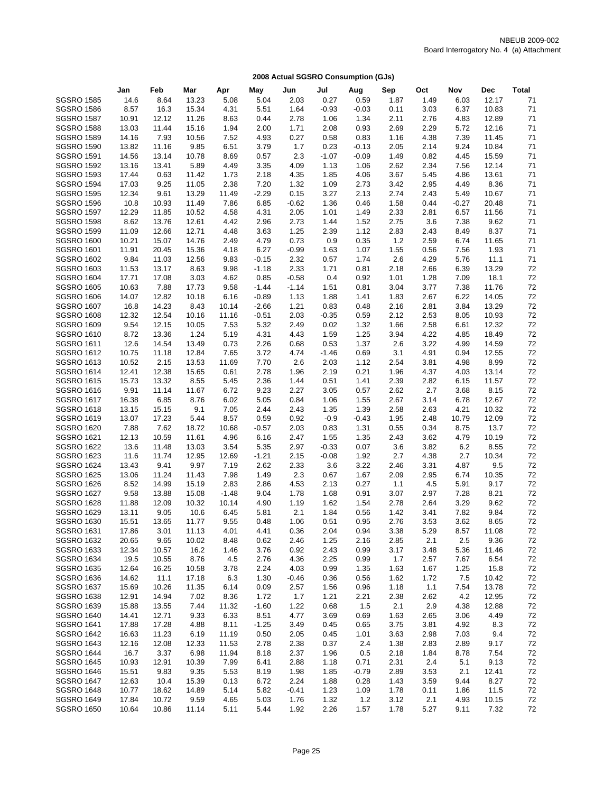|                                        | Jan            | Feb           | Mar         | Apr          | May          | Jun          | Jul          | Aug          | Sep          | Oct          | Nov          | Dec           | <b>Total</b> |
|----------------------------------------|----------------|---------------|-------------|--------------|--------------|--------------|--------------|--------------|--------------|--------------|--------------|---------------|--------------|
| <b>SGSRO 1585</b>                      | 14.6           | 8.64          | 13.23       | 5.08         | 5.04         | 2.03         | 0.27         | 0.59         | 1.87         | 1.49         | 6.03         | 12.17         | 71           |
| <b>SGSRO 1586</b>                      | 8.57           | 16.3          | 15.34       | 4.31         | 5.51         | 1.64         | $-0.93$      | $-0.03$      | 0.11         | 3.03         | 6.37         | 10.83         | 71           |
| <b>SGSRO 1587</b>                      | 10.91          | 12.12         | 11.26       | 8.63         | 0.44         | 2.78         | 1.06         | 1.34         | 2.11         | 2.76         | 4.83         | 12.89         | 71           |
| <b>SGSRO 1588</b>                      | 13.03          | 11.44         | 15.16       | 1.94         | 2.00         | 1.71         | 2.08         | 0.93         | 2.69         | 2.29         | 5.72         | 12.16         | 71           |
| <b>SGSRO 1589</b>                      | 14.16          | 7.93          | 10.56       | 7.52         | 4.93         | 0.27         | 0.58         | 0.83         | 1.16         | 4.38         | 7.39         | 11.45         | 71           |
| <b>SGSRO 1590</b>                      | 13.82          | 11.16         | 9.85        | 6.51         | 3.79         | 1.7          | 0.23         | $-0.13$      | 2.05         | 2.14         | 9.24         | 10.84         | 71           |
| <b>SGSRO 1591</b>                      | 14.56          | 13.14         | 10.78       | 8.69         | 0.57         | 2.3          | $-1.07$      | $-0.09$      | 1.49         | 0.82         | 4.45         | 15.59         | 71           |
| <b>SGSRO 1592</b>                      | 13.16          | 13.41         | 5.89        | 4.49         | 3.35         | 4.09         | 1.13         | 1.06         | 2.62         | 2.34         | 7.56         | 12.14         | 71           |
| <b>SGSRO 1593</b>                      | 17.44          | 0.63          | 11.42       | 1.73         | 2.18         | 4.35         | 1.85         | 4.06         | 3.67         | 5.45         | 4.86         | 13.61         | 71           |
| <b>SGSRO 1594</b>                      | 17.03          | 9.25          | 11.05       | 2.38         | 7.20         | 1.32         | 1.09         | 2.73         | 3.42         | 2.95         | 4.49         | 8.36          | 71           |
| <b>SGSRO 1595</b>                      | 12.34          | 9.61          | 13.29       | 11.49        | $-2.29$      | 0.15         | 3.27         | 2.13         | 2.74         | 2.43         | 5.49         | 10.67         | 71           |
| <b>SGSRO 1596</b>                      | 10.8           | 10.93         | 11.49       | 7.86         | 6.85         | $-0.62$      | 1.36         | 0.46         | 1.58         | 0.44         | $-0.27$      | 20.48         | 71           |
| <b>SGSRO 1597</b>                      | 12.29          | 11.85         | 10.52       | 4.58         | 4.31         | 2.05         | 1.01         | 1.49         | 2.33         | 2.81         | 6.57         | 11.56         | 71           |
| <b>SGSRO 1598</b>                      | 8.62           | 13.76         | 12.61       | 4.42         | 2.96         | 2.73         | 1.44         | 1.52         | 2.75         | 3.6          | 7.38         | 9.62          | 71           |
| <b>SGSRO 1599</b>                      | 11.09          | 12.66         | 12.71       | 4.48         | 3.63         | 1.25         | 2.39         | 1.12         | 2.83         | 2.43         | 8.49         | 8.37          | 71           |
| <b>SGSRO 1600</b>                      | 10.21          | 15.07         | 14.76       | 2.49         | 4.79         | 0.73         | 0.9          | 0.35         | 1.2          | 2.59         | 6.74         | 11.65         | 71           |
| <b>SGSRO 1601</b>                      | 11.91          | 20.45         | 15.36       | 4.18         | 6.27         | $-0.99$      | 1.63         | 1.07         | 1.55         | 0.56         | 7.56         | 1.93          | 71           |
| <b>SGSRO 1602</b>                      | 9.84           | 11.03         | 12.56       | 9.83         | $-0.15$      | 2.32         | 0.57         | 1.74         | 2.6          | 4.29         | 5.76         | 11.1          | 71           |
| <b>SGSRO 1603</b>                      | 11.53          | 13.17         | 8.63        | 9.98         | $-1.18$      | 2.33         | 1.71         | 0.81         | 2.18         | 2.66         | 6.39         | 13.29         | 72           |
| <b>SGSRO 1604</b>                      | 17.71          | 17.08         | 3.03        | 4.62         | 0.85         | $-0.58$      | 0.4          | 0.92         | 1.01         | 1.28         | 7.09         | 18.1          | 72           |
| <b>SGSRO 1605</b>                      | 10.63          | 7.88          | 17.73       | 9.58         | $-1.44$      | $-1.14$      | 1.51         | 0.81         | 3.04         | 3.77         | 7.38         | 11.76         | 72           |
| <b>SGSRO 1606</b>                      | 14.07          | 12.82         | 10.18       | 6.16         | $-0.89$      | 1.13         | 1.88         | 1.41         | 1.83         | 2.67         | 6.22         | 14.05         | 72           |
| <b>SGSRO 1607</b>                      | 16.8           | 14.23         | 8.43        | 10.14        | $-2.66$      | 1.21         | 0.83         | 0.48         | 2.16         | 2.81         | 3.84         | 13.29         | 72           |
| <b>SGSRO 1608</b>                      | 12.32          | 12.54         | 10.16       | 11.16        | $-0.51$      | 2.03         | $-0.35$      | 0.59         | 2.12         | 2.53         | 8.05         | 10.93         | 72           |
| <b>SGSRO 1609</b>                      | 9.54           | 12.15         | 10.05       | 7.53         | 5.32         | 2.49         | 0.02         | 1.32         | 1.66         | 2.58         | 6.61         | 12.32         | 72           |
| <b>SGSRO 1610</b>                      | 8.72           | 13.36         | 1.24        | 5.19         | 4.31         | 4.43         | 1.59         | 1.25         | 3.94         | 4.22         | 4.85         | 18.49         | 72           |
| <b>SGSRO 1611</b>                      | 12.6           | 14.54         | 13.49       | 0.73         | 2.26         | 0.68         | 0.53         | 1.37         | 2.6          | 3.22         | 4.99         | 14.59         | 72           |
| <b>SGSRO 1612</b>                      | 10.75          | 11.18         | 12.84       | 7.65         | 3.72         | 4.74         | $-1.46$      | 0.69         | 3.1          | 4.91         | 0.94         | 12.55         | 72           |
| <b>SGSRO 1613</b>                      | 10.52          | 2.15          | 13.53       | 11.69        | 7.70         | 2.6          | 2.03         | 1.12         | 2.54         | 3.81         | 4.98         | 8.99          | 72           |
| <b>SGSRO 1614</b>                      | 12.41          | 12.38         | 15.65       | 0.61         | 2.78         | 1.96         | 2.19         | 0.21         | 1.96         | 4.37         | 4.03         | 13.14         | 72           |
| <b>SGSRO 1615</b>                      | 15.73          | 13.32         | 8.55        | 5.45         | 2.36         | 1.44<br>2.27 | 0.51         | 1.41         | 2.39         | 2.82<br>2.7  | 6.15         | 11.57         | 72           |
| <b>SGSRO 1616</b><br><b>SGSRO 1617</b> | 9.91           | 11.14<br>6.85 | 11.67       | 6.72         | 9.23         |              | 3.05         | 0.57         | 2.62         |              | 3.68         | 8.15<br>12.67 | 72<br>72     |
| <b>SGSRO 1618</b>                      | 16.38<br>13.15 | 15.15         | 8.76<br>9.1 | 6.02<br>7.05 | 5.05<br>2.44 | 0.84<br>2.43 | 1.06<br>1.35 | 1.55<br>1.39 | 2.67<br>2.58 | 3.14<br>2.63 | 6.78<br>4.21 | 10.32         | 72           |
| <b>SGSRO 1619</b>                      | 13.07          | 17.23         | 5.44        | 8.57         | 0.59         | 0.92         | $-0.9$       | $-0.43$      | 1.95         | 2.48         | 10.79        | 12.09         | 72           |
| <b>SGSRO 1620</b>                      | 7.88           | 7.62          | 18.72       | 10.68        | $-0.57$      | 2.03         | 0.83         | 1.31         | 0.55         | 0.34         | 8.75         | 13.7          | 72           |
| <b>SGSRO 1621</b>                      | 12.13          | 10.59         | 11.61       | 4.96         | 6.16         | 2.47         | 1.55         | 1.35         | 2.43         | 3.62         | 4.79         | 10.19         | 72           |
| <b>SGSRO 1622</b>                      | 13.6           | 11.48         | 13.03       | 3.54         | 5.35         | 2.97         | $-0.33$      | 0.07         | 3.6          | 3.82         | 6.2          | 8.55          | 72           |
| <b>SGSRO 1623</b>                      | 11.6           | 11.74         | 12.95       | 12.69        | $-1.21$      | 2.15         | $-0.08$      | 1.92         | 2.7          | 4.38         | 2.7          | 10.34         | 72           |
| <b>SGSRO 1624</b>                      | 13.43          | 9.41          | 9.97        | 7.19         | 2.62         | 2.33         | 3.6          | 3.22         | 2.46         | 3.31         | 4.87         | 9.5           | 72           |
| <b>SGSRO 1625</b>                      | 13.06          | 11.24         | 11.43       | 7.98         | 1.49         | 2.3          | 0.67         | 1.67         | 2.09         | 2.95         | 6.74         | 10.35         | 72           |
| <b>SGSRO 1626</b>                      | 8.52           | 14.99         | 15.19       | 2.83         | 2.86         | 4.53         | 2.13         | 0.27         | 1.1          | 4.5          | 5.91         | 9.17          | 72           |
| <b>SGSRO 1627</b>                      | 9.58           | 13.88         | 15.08       | $-1.48$      | 9.04         | 1.78         | 1.68         | 0.91         | 3.07         | 2.97         | 7.28         | 8.21          | 72           |
| <b>SGSRO 1628</b>                      | 11.88          | 12.09         | 10.32       | 10.14        | 4.90         | 1.19         | 1.62         | 1.54         | 2.78         | 2.64         | 3.29         | 9.62          | 72           |
| <b>SGSRO 1629</b>                      | 13.11          | 9.05          | 10.6        | 6.45         | 5.81         | 2.1          | 1.84         | 0.56         | 1.42         | 3.41         | 7.82         | 9.84          | 72           |
| <b>SGSRO 1630</b>                      | 15.51          | 13.65         | 11.77       | 9.55         | 0.48         | 1.06         | 0.51         | 0.95         | 2.76         | 3.53         | 3.62         | 8.65          | 72           |
| <b>SGSRO 1631</b>                      | 17.86          | 3.01          | 11.13       | 4.01         | 4.41         | 0.36         | 2.04         | 0.94         | 3.38         | 5.29         | 8.57         | 11.08         | 72           |
| <b>SGSRO 1632</b>                      | 20.65          | 9.65          | 10.02       | 8.48         | 0.62         | 2.46         | 1.25         | 2.16         | 2.85         | 2.1          | 2.5          | 9.36          | 72           |
| <b>SGSRO 1633</b>                      | 12.34          | 10.57         | 16.2        | 1.46         | 3.76         | 0.92         | 2.43         | 0.99         | 3.17         | 3.48         | 5.36         | 11.46         | 72           |
| <b>SGSRO 1634</b>                      | 19.5           | 10.55         | 8.76        | 4.5          | 2.76         | 4.36         | 2.25         | 0.99         | 1.7          | 2.57         | 7.67         | 6.54          | 72           |
| SGSRO 1635                             | 12.64          | 16.25         | 10.58       | 3.78         | 2.24         | 4.03         | 0.99         | 1.35         | 1.63         | 1.67         | 1.25         | 15.8          | 72           |
| <b>SGSRO 1636</b>                      | 14.62          | 11.1          | 17.18       | 6.3          | 1.30         | -0.46        | 0.36         | 0.56         | 1.62         | 1.72         | 7.5          | 10.42         | 72           |
| <b>SGSRO 1637</b>                      | 15.69          | 10.26         | 11.35       | 6.14         | 0.09         | 2.57         | 1.56         | 0.96         | 1.18         | 1.1          | 7.54         | 13.78         | 72           |
| <b>SGSRO 1638</b>                      | 12.91          | 14.94         | 7.02        | 8.36         | 1.72         | 1.7          | 1.21         | 2.21         | 2.38         | 2.62         | 4.2          | 12.95         | 72           |
| <b>SGSRO 1639</b>                      | 15.88          | 13.55         | 7.44        | 11.32        | $-1.60$      | 1.22         | 0.68         | 1.5          | 2.1          | 2.9          | 4.38         | 12.88         | 72           |
| <b>SGSRO 1640</b>                      | 14.41          | 12.71         | 9.33        | 6.33         | 8.51         | 4.77         | 3.69         | 0.69         | 1.63         | 2.65         | 3.06         | 4.49          | 72           |
| <b>SGSRO 1641</b>                      | 17.88          | 17.28         | 4.88        | 8.11         | $-1.25$      | 3.49         | 0.45         | 0.65         | 3.75         | 3.81         | 4.92         | 8.3           | 72           |
| <b>SGSRO 1642</b>                      | 16.63          | 11.23         | 6.19        | 11.19        | 0.50         | 2.05         | 0.45         | 1.01         | 3.63         | 2.98         | 7.03         | 9.4           | 72           |
| <b>SGSRO 1643</b>                      | 12.16          | 12.08         | 12.33       | 11.53        | 2.78         | 2.38         | 0.37         | 2.4          | 1.38         | 2.83         | 2.89         | 9.17          | 72           |
| <b>SGSRO 1644</b>                      | 16.7           | 3.37          | 6.98        | 11.94        | 8.18         | 2.37         | 1.96         | 0.5          | 2.18         | 1.84         | 8.78         | 7.54          | 72           |
| <b>SGSRO 1645</b>                      | 10.93          | 12.91         | 10.39       | 7.99         | 6.41         | 2.88         | 1.18         | 0.71         | 2.31         | 2.4          | 5.1          | 9.13          | 72           |
| <b>SGSRO 1646</b>                      | 15.51          | 9.83          | 9.35        | 5.53         | 8.19         | 1.98         | 1.85         | $-0.79$      | 2.89         | 3.53         | 2.1          | 12.41         | 72           |
| <b>SGSRO 1647</b>                      | 12.63          | 10.4          | 15.39       | 0.13         | 6.72         | 2.24         | 1.88         | 0.28         | 1.43         | 3.59         | 9.44         | 8.27          | 72           |
| <b>SGSRO 1648</b>                      | 10.77          | 18.62         | 14.89       | 5.14         | 5.82         | -0.41        | 1.23         | 1.09         | 1.78         | 0.11         | 1.86         | 11.5          | 72           |
| <b>SGSRO 1649</b>                      | 17.84          | 10.72         | 9.59        | 4.65         | 5.03         | 1.76         | 1.32         | 1.2          | 3.12         | 2.1          | 4.93         | 10.15         | 72           |
| <b>SGSRO 1650</b>                      | 10.64          | 10.86         | 11.14       | 5.11         | 5.44         | 1.92         | 2.26         | 1.57         | 1.78         | 5.27         | 9.11         | 7.32          | 72           |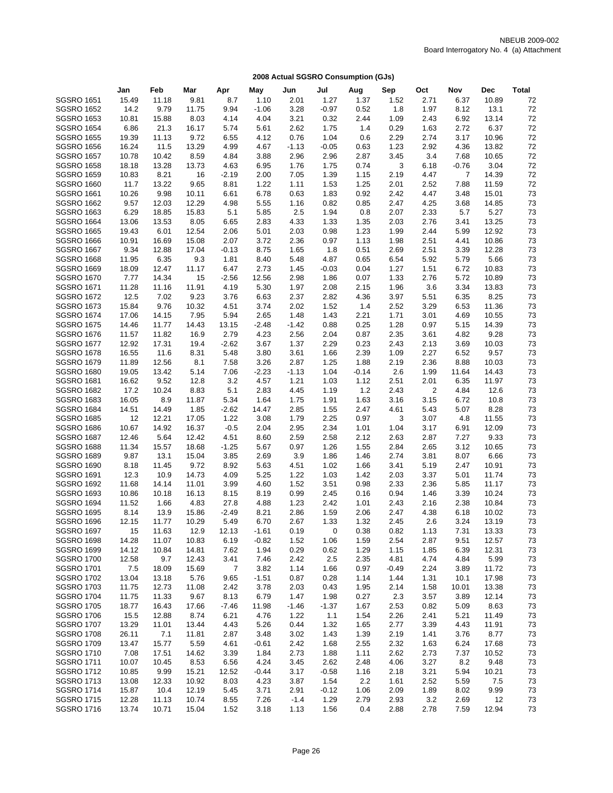|                   | Jan   | Feb   | Mar   | Apr            | May     | Jun     | Jul     | Aug     | Sep     | Oct  | Nov     | <b>Dec</b> | <b>Total</b> |
|-------------------|-------|-------|-------|----------------|---------|---------|---------|---------|---------|------|---------|------------|--------------|
| <b>SGSRO 1651</b> | 15.49 | 11.18 | 9.81  | 8.7            | 1.10    | 2.01    | 1.27    | 1.37    | 1.52    | 2.71 | 6.37    | 10.89      | 72           |
| <b>SGSRO 1652</b> | 14.2  | 9.79  | 11.75 | 9.94           | $-1.06$ | 3.28    | $-0.97$ | 0.52    | 1.8     | 1.97 | 8.12    | 13.1       | 72           |
| <b>SGSRO 1653</b> | 10.81 | 15.88 | 8.03  | 4.14           | 4.04    | 3.21    | 0.32    | 2.44    | 1.09    | 2.43 | 6.92    | 13.14      | 72           |
| <b>SGSRO 1654</b> | 6.86  | 21.3  | 16.17 | 5.74           | 5.61    | 2.62    | 1.75    | 1.4     | 0.29    | 1.63 | 2.72    | 6.37       | 72           |
| <b>SGSRO 1655</b> | 19.39 | 11.13 | 9.72  | 6.55           | 4.12    | 0.76    | 1.04    | 0.6     | 2.29    | 2.74 | 3.17    | 10.96      | 72           |
| <b>SGSRO 1656</b> | 16.24 | 11.5  | 13.29 | 4.99           | 4.67    | $-1.13$ | $-0.05$ | 0.63    | 1.23    | 2.92 | 4.36    | 13.82      | 72           |
| <b>SGSRO 1657</b> | 10.78 | 10.42 | 8.59  | 4.84           | 3.88    | 2.96    | 2.96    | 2.87    | 3.45    | 3.4  | 7.68    | 10.65      | 72           |
| <b>SGSRO 1658</b> | 18.18 | 13.28 | 13.73 | 4.63           | 6.95    | 1.76    | 1.75    | 0.74    | 3       | 6.18 | $-0.76$ | 3.04       | 72           |
| <b>SGSRO 1659</b> | 10.83 | 8.21  | 16    | $-2.19$        | 2.00    | 7.05    | 1.39    | 1.15    | 2.19    | 4.47 | 7       | 14.39      | 72           |
| <b>SGSRO 1660</b> | 11.7  | 13.22 | 9.65  | 8.81           | 1.22    | 1.11    | 1.53    | 1.25    | 2.01    | 2.52 | 7.88    | 11.59      | 72           |
| <b>SGSRO 1661</b> | 10.26 | 9.98  | 10.11 | 6.61           | 6.78    | 0.63    | 1.83    | 0.92    | 2.42    | 4.47 | 3.48    | 15.01      | 73           |
| <b>SGSRO 1662</b> | 9.57  | 12.03 | 12.29 | 4.98           | 5.55    | 1.16    | 0.82    | 0.85    | 2.47    | 4.25 | 3.68    | 14.85      | 73           |
| <b>SGSRO 1663</b> | 6.29  | 18.85 | 15.83 | 5.1            | 5.85    | 2.5     | 1.94    | 0.8     | 2.07    | 2.33 | 5.7     | 5.27       | 73           |
| <b>SGSRO 1664</b> | 13.06 | 13.53 | 8.05  | 6.65           | 2.83    | 4.33    | 1.33    | 1.35    | 2.03    | 2.76 | 3.41    | 13.25      | 73           |
| <b>SGSRO 1665</b> | 19.43 | 6.01  | 12.54 | 2.06           | 5.01    | 2.03    | 0.98    | 1.23    | 1.99    | 2.44 | 5.99    | 12.92      | 73           |
| <b>SGSRO 1666</b> | 10.91 | 16.69 | 15.08 | 2.07           | 3.72    | 2.36    | 0.97    | 1.13    | 1.98    | 2.51 | 4.41    | 10.86      | 73           |
| <b>SGSRO 1667</b> | 9.34  | 12.88 | 17.04 | $-0.13$        | 8.75    | 1.65    | 1.8     | 0.51    | 2.69    | 2.51 | 3.39    | 12.28      | 73           |
| <b>SGSRO 1668</b> | 11.95 | 6.35  | 9.3   | 1.81           | 8.40    | 5.48    | 4.87    | 0.65    | 6.54    | 5.92 | 5.79    | 5.66       | 73           |
| <b>SGSRO 1669</b> | 18.09 | 12.47 | 11.17 | 6.47           | 2.73    | 1.45    | $-0.03$ | 0.04    | 1.27    | 1.51 | 6.72    | 10.83      | 73           |
| <b>SGSRO 1670</b> | 7.77  | 14.34 | 15    | $-2.56$        | 12.56   | 2.98    | 1.86    | 0.07    | 1.33    | 2.76 | 5.72    | 10.89      | 73           |
| <b>SGSRO 1671</b> | 11.28 | 11.16 | 11.91 | 4.19           | 5.30    | 1.97    | 2.08    | 2.15    | 1.96    | 3.6  | 3.34    | 13.83      | 73           |
| <b>SGSRO 1672</b> | 12.5  | 7.02  | 9.23  | 3.76           | 6.63    | 2.37    | 2.82    | 4.36    | 3.97    | 5.51 | 6.35    | 8.25       | 73           |
| <b>SGSRO 1673</b> | 15.84 | 9.76  | 10.32 | 4.51           | 3.74    | 2.02    | 1.52    | 1.4     | 2.52    | 3.29 | 6.53    | 11.36      | 73           |
| <b>SGSRO 1674</b> | 17.06 | 14.15 | 7.95  | 5.94           | 2.65    | 1.48    | 1.43    | 2.21    | 1.71    | 3.01 | 4.69    | 10.55      | 73           |
| <b>SGSRO 1675</b> | 14.46 | 11.77 | 14.43 | 13.15          | $-2.48$ | $-1.42$ | 0.88    | 0.25    | 1.28    | 0.97 | 5.15    | 14.39      | 73           |
| <b>SGSRO 1676</b> | 11.57 | 11.82 | 16.9  | 2.79           | 4.23    | 2.56    | 2.04    | 0.87    | 2.35    | 3.61 | 4.82    | 9.28       | 73           |
| <b>SGSRO 1677</b> | 12.92 | 17.31 | 19.4  | $-2.62$        | 3.67    | 1.37    | 2.29    | 0.23    | 2.43    | 2.13 | 3.69    | 10.03      | 73           |
| <b>SGSRO 1678</b> | 16.55 | 11.6  | 8.31  | 5.48           | 3.80    | 3.61    | 1.66    | 2.39    | 1.09    | 2.27 | 6.52    | 9.57       | 73           |
| <b>SGSRO 1679</b> | 11.89 | 12.56 | 8.1   | 7.58           | 3.26    | 2.87    | 1.25    | 1.88    | 2.19    | 2.36 | 8.88    | 10.03      | 73           |
| <b>SGSRO 1680</b> | 19.05 | 13.42 | 5.14  | 7.06           | $-2.23$ | $-1.13$ | 1.04    | $-0.14$ | 2.6     | 1.99 | 11.64   | 14.43      | 73           |
| <b>SGSRO 1681</b> | 16.62 | 9.52  | 12.8  | 3.2            | 4.57    | 1.21    | 1.03    | 1.12    | 2.51    | 2.01 | 6.35    | 11.97      | 73           |
| <b>SGSRO 1682</b> | 17.2  | 10.24 | 8.83  | 5.1            | 2.83    | 4.45    | 1.19    | 1.2     | 2.43    | 2    | 4.84    | 12.6       | 73           |
| <b>SGSRO 1683</b> | 16.05 | 8.9   | 11.87 | 5.34           | 1.64    | 1.75    | 1.91    | 1.63    | 3.16    | 3.15 | 6.72    | 10.8       | 73           |
| <b>SGSRO 1684</b> | 14.51 | 14.49 | 1.85  | $-2.62$        | 14.47   | 2.85    | 1.55    | 2.47    | 4.61    | 5.43 | 5.07    | 8.28       | 73           |
| <b>SGSRO 1685</b> | 12    | 12.21 | 17.05 | 1.22           | 3.08    | 1.79    | 2.25    | 0.97    | 3       | 3.07 | 4.8     | 11.55      | 73           |
| <b>SGSRO 1686</b> | 10.67 | 14.92 | 16.37 | $-0.5$         | 2.04    | 2.95    | 2.34    | 1.01    | 1.04    | 3.17 | 6.91    | 12.09      | 73           |
| <b>SGSRO 1687</b> | 12.46 | 5.64  | 12.42 | 4.51           | 8.60    | 2.59    | 2.58    | 2.12    | 2.63    | 2.87 | 7.27    | 9.33       | 73           |
| <b>SGSRO 1688</b> | 11.34 | 15.57 | 18.68 | $-1.25$        | 5.67    | 0.97    | 1.26    | 1.55    | 2.84    | 2.65 | 3.12    | 10.65      | 73           |
| <b>SGSRO 1689</b> | 9.87  | 13.1  | 15.04 | 3.85           | 2.69    | 3.9     | 1.86    | 1.46    | 2.74    | 3.81 | 8.07    | 6.66       | 73           |
| <b>SGSRO 1690</b> | 8.18  | 11.45 | 9.72  | 8.92           | 5.63    | 4.51    | 1.02    | 1.66    | 3.41    | 5.19 | 2.47    | 10.91      | 73           |
| <b>SGSRO 1691</b> | 12.3  | 10.9  | 14.73 | 4.09           | 5.25    | 1.22    | 1.03    | 1.42    | 2.03    | 3.37 | 5.01    | 11.74      | 73           |
| <b>SGSRO 1692</b> | 11.68 | 14.14 | 11.01 | 3.99           | 4.60    | 1.52    | 3.51    | 0.98    | 2.33    | 2.36 | 5.85    | 11.17      | 73           |
| <b>SGSRO 1693</b> | 10.86 | 10.18 | 16.13 | 8.15           | 8.19    | 0.99    | 2.45    | 0.16    | 0.94    | 1.46 | 3.39    | 10.24      | 73           |
| <b>SGSRO 1694</b> | 11.52 | 1.66  | 4.83  | 27.8           | 4.88    | 1.23    | 2.42    | 1.01    | 2.43    | 2.16 | 2.38    | 10.84      | 73           |
| <b>SGSRO 1695</b> | 8.14  | 13.9  | 15.86 | $-2.49$        | 8.21    | 2.86    | 1.59    | 2.06    | 2.47    | 4.38 | 6.18    | 10.02      | 73           |
| <b>SGSRO 1696</b> | 12.15 | 11.77 | 10.29 | 5.49           | 6.70    | 2.67    | 1.33    | 1.32    | 2.45    | 2.6  | 3.24    | 13.19      | 73           |
| <b>SGSRO 1697</b> | 15    | 11.63 | 12.9  | 12.13          | $-1.61$ | 0.19    | 0       | 0.38    | 0.82    | 1.13 | 7.31    | 13.33      | 73           |
| <b>SGSRO 1698</b> | 14.28 | 11.07 | 10.83 | 6.19           | $-0.82$ | 1.52    | 1.06    | 1.59    | 2.54    | 2.87 | 9.51    | 12.57      | 73           |
| <b>SGSRO 1699</b> | 14.12 | 10.84 | 14.81 | 7.62           | 1.94    | 0.29    | 0.62    | 1.29    | 1.15    | 1.85 | 6.39    | 12.31      | 73           |
| <b>SGSRO 1700</b> | 12.58 | 9.7   | 12.43 | 3.41           | 7.46    | 2.42    | 2.5     | 2.35    | 4.81    | 4.74 | 4.84    | 5.99       | 73           |
| <b>SGSRO 1701</b> | 7.5   | 18.09 | 15.69 | $\overline{7}$ | 3.82    | 1.14    | 1.66    | 0.97    | $-0.49$ | 2.24 | 3.89    | 11.72      | 73           |
| <b>SGSRO 1702</b> | 13.04 | 13.18 | 5.76  | 9.65           | $-1.51$ | 0.87    | 0.28    | 1.14    | 1.44    | 1.31 | 10.1    | 17.98      | 73           |
| <b>SGSRO 1703</b> | 11.75 | 12.73 | 11.08 | 2.42           | 3.78    | 2.03    | 0.43    | 1.95    | 2.14    | 1.58 | 10.01   | 13.38      | 73           |
| <b>SGSRO 1704</b> | 11.75 | 11.33 | 9.67  | 8.13           | 6.79    | 1.47    | 1.98    | 0.27    | 2.3     | 3.57 | 3.89    | 12.14      | 73           |
| <b>SGSRO 1705</b> | 18.77 | 16.43 | 17.66 | $-7.46$        | 11.98   | $-1.46$ | $-1.37$ | 1.67    | 2.53    | 0.82 | 5.09    | 8.63       | 73           |
| <b>SGSRO 1706</b> | 15.5  | 12.88 | 8.74  | 6.21           | 4.76    | 1.22    | 1.1     | 1.54    | 2.26    | 2.41 | 5.21    | 11.49      | 73           |
| <b>SGSRO 1707</b> | 13.29 | 11.01 | 13.44 | 4.43           | 5.26    | 0.44    | 1.32    | 1.65    | 2.77    | 3.39 | 4.43    | 11.91      | 73           |
| <b>SGSRO 1708</b> | 26.11 | 7.1   | 11.81 | 2.87           | 3.48    | 3.02    | 1.43    | 1.39    | 2.19    | 1.41 | 3.76    | 8.77       | 73           |
| <b>SGSRO 1709</b> | 13.47 | 15.77 | 5.59  | 4.61           | -0.61   | 2.42    | 1.68    | 2.55    | 2.32    | 1.63 | 6.24    | 17.68      | 73           |
| <b>SGSRO 1710</b> | 7.08  | 17.51 | 14.62 | 3.39           | 1.84    | 2.73    | 1.88    | 1.11    | 2.62    | 2.73 | 7.37    | 10.52      | 73           |
| <b>SGSRO 1711</b> | 10.07 | 10.45 | 8.53  | 6.56           | 4.24    | 3.45    | 2.62    | 2.48    | 4.06    | 3.27 | 8.2     | 9.48       | 73           |
| <b>SGSRO 1712</b> | 10.85 | 9.99  | 15.21 | 12.52          | $-0.44$ | 3.17    | $-0.58$ | 1.16    | 2.18    | 3.21 | 5.94    | 10.21      | 73           |
| <b>SGSRO 1713</b> | 13.08 | 12.33 | 10.92 | 8.03           | 4.23    | 3.87    | 1.54    | 2.2     | 1.61    | 2.52 | 5.59    | 7.5        | 73           |
| <b>SGSRO 1714</b> | 15.87 | 10.4  | 12.19 | 5.45           | 3.71    | 2.91    | $-0.12$ | 1.06    | 2.09    | 1.89 | 8.02    | 9.99       | 73           |
| <b>SGSRO 1715</b> | 12.28 | 11.13 | 10.74 | 8.55           | 7.26    | $-1.4$  | 1.29    | 2.79    | 2.93    | 3.2  | 2.69    | 12         | 73           |
| <b>SGSRO 1716</b> | 13.74 | 10.71 | 15.04 | 1.52           | 3.18    | 1.13    | 1.56    | 0.4     | 2.88    | 2.78 | 7.59    | 12.94      | 73           |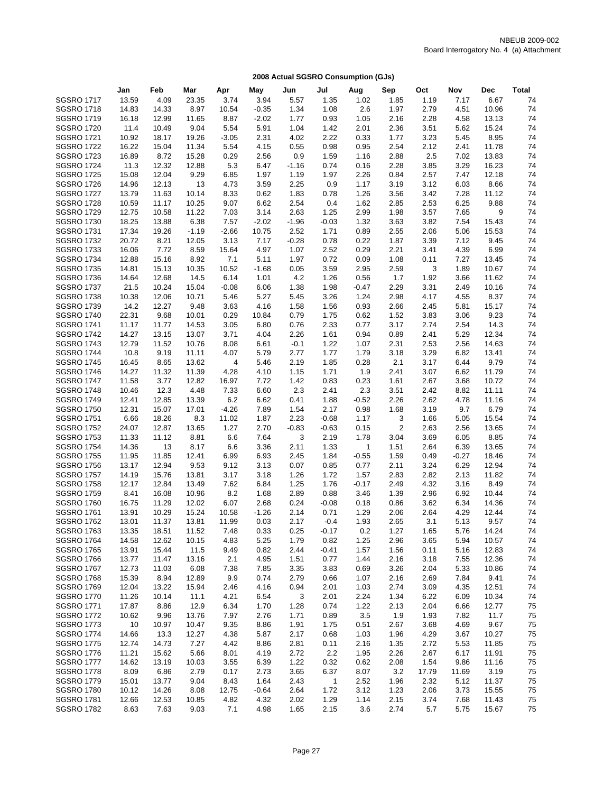|                                        | Jan            | Feb            | Mar            | Apr          | May          | Jun          | Jul             | Aug          | Sep          | Oct          | Nov          | Dec            | <b>Total</b> |
|----------------------------------------|----------------|----------------|----------------|--------------|--------------|--------------|-----------------|--------------|--------------|--------------|--------------|----------------|--------------|
| <b>SGSRO 1717</b>                      | 13.59          | 4.09           | 23.35          | 3.74         | 3.94         | 5.57         | 1.35            | 1.02         | 1.85         | 1.19         | 7.17         | 6.67           | 74           |
| <b>SGSRO 1718</b>                      | 14.83          | 14.33          | 8.97           | 10.54        | $-0.35$      | 1.34         | 1.08            | 2.6          | 1.97         | 2.79         | 4.51         | 10.96          | 74           |
| <b>SGSRO 1719</b>                      | 16.18          | 12.99          | 11.65          | 8.87         | $-2.02$      | 1.77         | 0.93            | 1.05         | 2.16         | 2.28         | 4.58         | 13.13          | 74           |
| <b>SGSRO 1720</b>                      | 11.4           | 10.49          | 9.04           | 5.54         | 5.91         | 1.04         | 1.42            | 2.01         | 2.36         | 3.51         | 5.62         | 15.24          | 74           |
| <b>SGSRO 1721</b>                      | 10.92          | 18.17          | 19.26          | $-3.05$      | 2.31         | 4.02         | 2.22            | 0.33         | 1.77         | 3.23         | 5.45         | 8.95           | 74           |
| <b>SGSRO 1722</b>                      | 16.22          | 15.04          | 11.34          | 5.54         | 4.15         | 0.55         | 0.98            | 0.95         | 2.54         | 2.12         | 2.41         | 11.78          | 74           |
| <b>SGSRO 1723</b>                      | 16.89          | 8.72           | 15.28          | 0.29         | 2.56         | 0.9          | 1.59            | 1.16         | 2.88         | 2.5          | 7.02         | 13.83          | 74           |
| <b>SGSRO 1724</b>                      | 11.3           | 12.32          | 12.88          | 5.3          | 6.47         | $-1.16$      | 0.74            | 0.16         | 2.28         | 3.85         | 3.29         | 16.23          | 74           |
| <b>SGSRO 1725</b>                      | 15.08          | 12.04          | 9.29           | 6.85         | 1.97         | 1.19         | 1.97            | 2.26         | 0.84         | 2.57         | 7.47         | 12.18          | 74           |
| <b>SGSRO 1726</b>                      | 14.96          | 12.13          | 13             | 4.73         | 3.59         | 2.25         | 0.9             | 1.17         | 3.19         | 3.12         | 6.03         | 8.66           | 74           |
| <b>SGSRO 1727</b>                      | 13.79          | 11.63          | 10.14          | 8.33         | 0.62         | 1.83         | 0.78            | 1.26         | 3.56         | 3.42         | 7.28         | 11.12          | 74           |
| <b>SGSRO 1728</b>                      | 10.59          | 11.17          | 10.25          | 9.07         | 6.62         | 2.54         | 0.4             | 1.62         | 2.85         | 2.53         | 6.25         | 9.88           | 74           |
| <b>SGSRO 1729</b>                      | 12.75          | 10.58          | 11.22          | 7.03         | 3.14         | 2.63         | 1.25            | 2.99         | 1.98         | 3.57         | 7.65         | 9              | 74           |
| <b>SGSRO 1730</b>                      | 18.25          | 13.88          | 6.38           | 7.57         | $-2.02$      | $-1.96$      | $-0.03$         | 1.32         | 3.63         | 3.82         | 7.54         | 15.43          | 74           |
| <b>SGSRO 1731</b>                      | 17.34          | 19.26          | $-1.19$        | $-2.66$      | 10.75        | 2.52         | 1.71            | 0.89         | 2.55         | 2.06         | 5.06         | 15.53          | 74           |
| <b>SGSRO 1732</b>                      | 20.72          | 8.21           | 12.05          | 3.13         | 7.17         | $-0.28$      | 0.78            | 0.22         | 1.87         | 3.39         | 7.12         | 9.45           | 74           |
| <b>SGSRO 1733</b>                      | 16.06          | 7.72           | 8.59           | 15.64        | 4.97         | 1.07         | 2.52            | 0.29         | 2.21         | 3.41         | 4.39         | 6.99           | 74           |
| <b>SGSRO 1734</b>                      | 12.88          | 15.16          | 8.92           | 7.1          | 5.11         | 1.97         | 0.72            | 0.09         | 1.08         | 0.11         | 7.27         | 13.45          | 74           |
| <b>SGSRO 1735</b>                      | 14.81          | 15.13          | 10.35          | 10.52        | $-1.68$      | 0.05         | 3.59            | 2.95         | 2.59         | 3            | 1.89         | 10.67          | 74           |
| <b>SGSRO 1736</b>                      | 14.64          | 12.68          | 14.5           | 6.14         | 1.01         | 4.2          | 1.26            | 0.56         | 1.7          | 1.92         | 3.66         | 11.62          | 74           |
| <b>SGSRO 1737</b>                      | 21.5           | 10.24          | 15.04          | $-0.08$      | 6.06         | 1.38         | 1.98            | $-0.47$      | 2.29         | 3.31         | 2.49         | 10.16          | 74           |
| <b>SGSRO 1738</b>                      | 10.38          | 12.06          | 10.71          | 5.46         | 5.27         | 5.45         | 3.26            | 1.24         | 2.98         | 4.17         | 4.55         | 8.37           | 74           |
| <b>SGSRO 1739</b>                      | 14.2           | 12.27          | 9.48           | 3.63         | 4.16         | 1.58         | 1.56            | 0.93         | 2.66         | 2.45         | 5.81         | 15.17          | 74           |
| <b>SGSRO 1740</b>                      | 22.31          | 9.68           | 10.01          | 0.29         | 10.84        | 0.79         | 1.75            | 0.62         | 1.52         | 3.83         | 3.06         | 9.23           | 74           |
| <b>SGSRO 1741</b>                      | 11.17          | 11.77          | 14.53          | 3.05         | 6.80         | 0.76         | 2.33            | 0.77         | 3.17         | 2.74         | 2.54         | 14.3           | 74           |
| <b>SGSRO 1742</b>                      | 14.27          | 13.15          | 13.07          | 3.71         | 4.04         | 2.26         | 1.61            | 0.94         | 0.89         | 2.41         | 5.29         | 12.34          | 74           |
| <b>SGSRO 1743</b>                      | 12.79          | 11.52          | 10.76          | 8.08         | 6.61         | $-0.1$       | 1.22            | 1.07         | 2.31         | 2.53         | 2.56         | 14.63          | 74           |
| <b>SGSRO 1744</b>                      | 10.8           | 9.19           | 11.11          | 4.07         | 5.79         | 2.77         | 1.77            | 1.79         | 3.18         | 3.29         | 6.82         | 13.41          | 74           |
| <b>SGSRO 1745</b>                      | 16.45          | 8.65           | 13.62          | 4            | 5.46         | 2.19         | 1.85            | 0.28         | 2.1          | 3.17         | 6.44         | 9.79           | 74           |
| <b>SGSRO 1746</b>                      | 14.27          | 11.32          | 11.39          | 4.28         | 4.10         | 1.15         | 1.71            | 1.9          | 2.41         | 3.07         | 6.62         | 11.79          | 74           |
| <b>SGSRO 1747</b>                      | 11.58          | 3.77           | 12.82          | 16.97        | 7.72         | 1.42         | 0.83            | 0.23         | 1.61         | 2.67         | 3.68         | 10.72          | 74           |
| <b>SGSRO 1748</b>                      | 10.46          | 12.3           | 4.48           | 7.33         | 6.60         | 2.3          | 2.41            | 2.3          | 3.51         | 2.42         | 8.82         | 11.11          | 74           |
| <b>SGSRO 1749</b>                      | 12.41          | 12.85          | 13.39          | 6.2          | 6.62         | 0.41         | 1.88            | $-0.52$      | 2.26         | 2.62         | 4.78         | 11.16          | 74           |
| <b>SGSRO 1750</b>                      | 12.31          | 15.07          | 17.01          | $-4.26$      | 7.89         | 1.54         | 2.17            | 0.98         | 1.68         | 3.19         | 9.7          | 6.79           | 74           |
| <b>SGSRO 1751</b>                      | 6.66           | 18.26          | 8.3            | 11.02        | 1.87         | 2.23         | $-0.68$         | 1.17         | 3            | 1.66         | 5.05         | 15.54          | 74           |
| <b>SGSRO 1752</b>                      | 24.07          | 12.87          | 13.65          | 1.27         | 2.70         | $-0.83$      | $-0.63$         | 0.15         | 2            | 2.63         | 2.56         | 13.65          | 74           |
| <b>SGSRO 1753</b>                      | 11.33          | 11.12          | 8.81           | 6.6          | 7.64         | 3            | 2.19            | 1.78         | 3.04         | 3.69         | 6.05         | 8.85           | 74           |
| <b>SGSRO 1754</b>                      | 14.36          | 13             | 8.17           | 6.6          | 3.36         | 2.11         | 1.33            | $\mathbf{1}$ | 1.51         | 2.64         | 6.39         | 13.65          | 74           |
|                                        |                | 11.85          | 12.41          |              | 6.93         | 2.45         | 1.84            | $-0.55$      |              | 0.49         | $-0.27$      |                | 74           |
| <b>SGSRO 1755</b>                      | 11.95          |                |                | 6.99         |              |              |                 |              | 1.59         |              |              | 18.46<br>12.94 | 74           |
| <b>SGSRO 1756</b>                      | 13.17          | 12.94          | 9.53           | 9.12         | 3.13         | 0.07         | 0.85            | 0.77         | 2.11         | 3.24         | 6.29         |                |              |
| <b>SGSRO 1757</b>                      | 14.19          | 15.76          | 13.81          | 3.17         | 3.18         | 1.26         | 1.72            | 1.57         | 2.83         | 2.82         | 2.13         | 11.82          | 74           |
| <b>SGSRO 1758</b>                      | 12.17          | 12.84          | 13.49          | 7.62         | 6.84         | 1.25         | 1.76            | $-0.17$      | 2.49         | 4.32         | 3.16         | 8.49           | 74<br>74     |
| <b>SGSRO 1759</b>                      | 8.41           | 16.08          | 10.96          | 8.2          | 1.68         | 2.89         | 0.88            | 3.46         | 1.39         | 2.96         | 6.92         | 10.44          | 74           |
| <b>SGSRO 1760</b>                      | 16.75          | 11.29          | 12.02          | 6.07         | 2.68         | 0.24         | $-0.08$         | 0.18         | 0.86         | 3.62         | 6.34         | 14.36          |              |
| <b>SGSRO 1761</b><br><b>SGSRO 1762</b> | 13.91          | 10.29          | 15.24          | 10.58        | $-1.26$      | 2.14         | 0.71            | 1.29         | 2.06         | 2.64         | 4.29         | 12.44          | 74           |
| <b>SGSRO 1763</b>                      | 13.01          | 11.37<br>18.51 | 13.81          | 11.99        | 0.03         | 2.17<br>0.25 | $-0.4$          | 1.93         | 2.65<br>1.27 | 3.1          | 5.13         | 9.57<br>14.24  | 74<br>74     |
| <b>SGSRO 1764</b>                      | 13.35<br>14.58 | 12.62          | 11.52<br>10.15 | 7.48<br>4.83 | 0.33<br>5.25 |              | $-0.17$<br>0.82 | 0.2<br>1.25  | 2.96         | 1.65<br>3.65 | 5.76         | 10.57          | 74           |
| <b>SGSRO 1765</b>                      | 13.91          | 15.44          | 11.5           | 9.49         | 0.82         | 1.79<br>2.44 |                 | 1.57         | 1.56         | 0.11         | 5.94<br>5.16 | 12.83          | 74           |
|                                        |                |                |                |              |              |              | $-0.41$         |              |              |              |              |                |              |
| <b>SGSRO 1766</b>                      | 13.77          | 11.47          | 13.16          | 2.1          | 4.95         | 1.51         | 0.77            | 1.44         | 2.16         | 3.18         | 7.55         | 12.36          | 74           |
| <b>SGSRO 1767</b>                      | 12.73          | 11.03          | 6.08           | 7.38         | 7.85         | 3.35         | 3.83            | 0.69         | 3.26         | 2.04         | 5.33         | 10.86          | 74           |
| <b>SGSRO 1768</b>                      | 15.39          | 8.94           | 12.89          | 9.9          | 0.74         | 2.79         | 0.66            | 1.07         | 2.16         | 2.69         | 7.84         | 9.41           | 74           |
| <b>SGSRO 1769</b>                      | 12.04          | 13.22          | 15.94          | 2.46         | 4.16         | 0.94         | 2.01            | 1.03         | 2.74         | 3.09         | 4.35         | 12.51          | 74           |
| <b>SGSRO 1770</b>                      | 11.26          | 10.14          | 11.1           | 4.21         | 6.54         | 3            | 2.01            | 2.24         | 1.34         | 6.22         | 6.09         | 10.34          | 74           |
| <b>SGSRO 1771</b>                      | 17.87          | 8.86           | 12.9           | 6.34         | 1.70         | 1.28         | 0.74            | 1.22         | 2.13         | 2.04         | 6.66         | 12.77          | 75           |
| <b>SGSRO 1772</b>                      | 10.62          | 9.96           | 13.76          | 7.97         | 2.76         | 1.71         | 0.89            | 3.5          | 1.9          | 1.93         | 7.82         | 11.7           | 75           |
| <b>SGSRO 1773</b>                      | 10             | 10.97          | 10.47          | 9.35         | 8.86         | 1.91         | 1.75            | 0.51         | 2.67         | 3.68         | 4.69         | 9.67           | 75           |
| <b>SGSRO 1774</b>                      | 14.66          | 13.3           | 12.27          | 4.38         | 5.87         | 2.17         | 0.68            | 1.03         | 1.96         | 4.29         | 3.67         | 10.27          | 75           |
| <b>SGSRO 1775</b>                      | 12.74          | 14.73          | 7.27           | 4.42         | 8.86         | 2.81         | 0.11            | 2.16         | 1.35         | 2.72         | 5.53         | 11.85          | 75           |
| <b>SGSRO 1776</b>                      | 11.21          | 15.62          | 5.66           | 8.01         | 4.19         | 2.72         | 2.2             | 1.95         | 2.26         | 2.67         | 6.17         | 11.91          | 75           |
| <b>SGSRO 1777</b>                      | 14.62          | 13.19          | 10.03          | 3.55         | 6.39         | 1.22         | 0.32            | 0.62         | 2.08         | 1.54         | 9.86         | 11.16          | 75           |
| <b>SGSRO 1778</b>                      | 8.09           | 6.86           | 2.79           | 0.17         | 2.73         | 3.65         | 6.37            | 8.07         | 3.2          | 17.79        | 11.69        | 3.19           | 75           |
| <b>SGSRO 1779</b>                      | 15.01          | 13.77          | 9.04           | 8.43         | 1.64         | 2.43         | $\mathbf{1}$    | 2.52         | 1.96         | 2.32         | 5.12         | 11.37          | 75           |
| <b>SGSRO 1780</b>                      | 10.12          | 14.26          | 8.08           | 12.75        | $-0.64$      | 2.64         | 1.72            | 3.12         | 1.23         | 2.06         | 3.73         | 15.55          | 75           |
| <b>SGSRO 1781</b>                      | 12.66          | 12.53          | 10.85          | 4.82         | 4.32         | 2.02         | 1.29            | 1.14         | 2.15         | 3.74         | 7.68         | 11.43          | 75           |
| <b>SGSRO 1782</b>                      | 8.63           | 7.63           | 9.03           | 7.1          | 4.98         | 1.65         | 2.15            | 3.6          | 2.74         | 5.7          | 5.75         | 15.67          | 75           |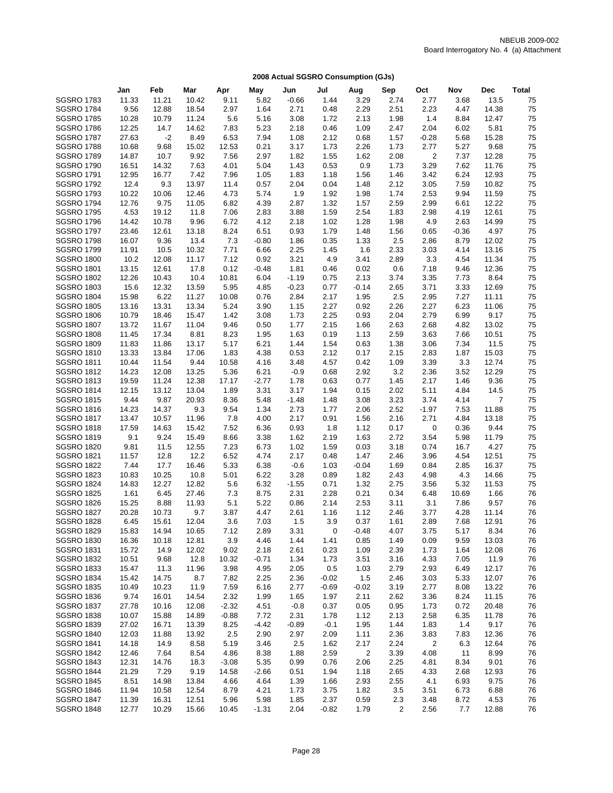|                                        | Jan            | Feb            | Mar            | Apr             | May          | Jun            | Jul          | Aug            | Sep          | Oct          | Nov          | Dec            | Total    |
|----------------------------------------|----------------|----------------|----------------|-----------------|--------------|----------------|--------------|----------------|--------------|--------------|--------------|----------------|----------|
| <b>SGSRO 1783</b>                      | 11.33          | 11.21          | 10.42          | 9.11            | 5.82         | $-0.66$        | 1.44         | 3.29           | 2.74         | 2.77         | 3.68         | 13.5           | 75       |
| <b>SGSRO 1784</b>                      | 9.56           | 12.88          | 18.54          | 2.97            | 1.64         | 2.71           | 0.48         | 2.29           | 2.51         | 2.23         | 4.47         | 14.38          | 75       |
| <b>SGSRO 1785</b>                      | 10.28          | 10.79          | 11.24          | 5.6             | 5.16         | 3.08           | 1.72         | 2.13           | 1.98         | 1.4          | 8.84         | 12.47          | 75       |
| <b>SGSRO 1786</b>                      | 12.25          | 14.7           | 14.62          | 7.83            | 5.23         | 2.18           | 0.46         | 1.09           | 2.47         | 2.04         | 6.02         | 5.81           | 75       |
| <b>SGSRO 1787</b>                      | 27.63          | $-2$           | 8.49           | 6.53            | 7.94         | 1.08           | 2.12         | 0.68           | 1.57         | $-0.28$      | 5.68         | 15.28          | 75       |
| <b>SGSRO 1788</b>                      | 10.68          | 9.68           | 15.02          | 12.53           | 0.21         | 3.17           | 1.73         | 2.26           | 1.73         | 2.77         | 5.27         | 9.68           | 75       |
| <b>SGSRO 1789</b>                      | 14.87          | 10.7           | 9.92           | 7.56            | 2.97         | 1.82           | 1.55         | 1.62           | 2.08         | 2            | 7.37         | 12.28          | 75       |
| <b>SGSRO 1790</b>                      | 16.51          | 14.32          | 7.63           | 4.01            | 5.04         | 1.43           | 0.53         | 0.9            | 1.73         | 3.29         | 7.62         | 11.76          | 75       |
| <b>SGSRO 1791</b>                      | 12.95          | 16.77          | 7.42           | 7.96            | 1.05         | 1.83           | 1.18         | 1.56           | 1.46         | 3.42         | 6.24         | 12.93          | 75       |
| <b>SGSRO 1792</b>                      | 12.4           | 9.3            | 13.97          | 11.4            | 0.57         | 2.04           | 0.04         | 1.48           | 2.12         | 3.05         | 7.59         | 10.82          | 75       |
| <b>SGSRO 1793</b>                      | 10.22          | 10.06          | 12.46          | 4.73            | 5.74         | 1.9            | 1.92         | 1.98           | 1.74         | 2.53         | 9.94         | 11.59          | 75       |
| <b>SGSRO 1794</b>                      | 12.76          | 9.75           | 11.05          | 6.82            | 4.39         | 2.87           | 1.32         | 1.57           | 2.59         | 2.99         | 6.61         | 12.22          | 75       |
| <b>SGSRO 1795</b>                      | 4.53           | 19.12          | 11.8           | 7.06            | 2.83         | 3.88           | 1.59         | 2.54           | 1.83         | 2.98         | 4.19         | 12.61          | 75       |
| <b>SGSRO 1796</b>                      | 14.42          | 10.78          | 9.96           | 6.72            | 4.12         | 2.18           | 1.02         | 1.28           | 1.98         | 4.9          | 2.63         | 14.99          | 75       |
| <b>SGSRO 1797</b>                      | 23.46          | 12.61          | 13.18          | 8.24            | 6.51         | 0.93           | 1.79         | 1.48           | 1.56         | 0.65         | $-0.36$      | 4.97           | 75       |
| <b>SGSRO 1798</b>                      | 16.07          | 9.36           | 13.4           | 7.3             | $-0.80$      | 1.86           | 0.35         | 1.33           | 2.5          | 2.86         | 8.79         | 12.02          | 75       |
| <b>SGSRO 1799</b>                      | 11.91          | 10.5           | 10.32          | 7.71            | 6.66         | 2.25           | 1.45         | 1.6            | 2.33         | 3.03         | 4.14         | 13.16          | 75       |
| <b>SGSRO 1800</b>                      | 10.2           | 12.08          | 11.17          | 7.12            | 0.92         | 3.21           | 4.9          | 3.41           | 2.89         | 3.3          | 4.54         | 11.34          | 75       |
| <b>SGSRO 1801</b>                      | 13.15          | 12.61          | 17.8           | 0.12            | $-0.48$      | 1.81           | 0.46         | 0.02           | 0.6          | 7.18         | 9.46         | 12.36          | 75       |
| <b>SGSRO 1802</b>                      | 12.26          | 10.43<br>12.32 | 10.4           | 10.81           | 6.04         | $-1.19$        | 0.75         | 2.13           | 3.74         | 3.35         | 7.73         | 8.64           | 75       |
| <b>SGSRO 1803</b><br><b>SGSRO 1804</b> | 15.6           |                | 13.59<br>11.27 | 5.95            | 4.85         | $-0.23$        | 0.77         | $-0.14$        | 2.65         | 3.71<br>2.95 | 3.33<br>7.27 | 12.69          | 75<br>75 |
| <b>SGSRO 1805</b>                      | 15.98<br>13.16 | 6.22<br>13.31  | 13.34          | 10.08<br>5.24   | 0.76<br>3.90 | 2.84<br>1.15   | 2.17<br>2.27 | 1.95<br>0.92   | 2.5<br>2.26  | 2.27         | 6.23         | 11.11<br>11.06 | 75       |
| <b>SGSRO 1806</b>                      | 10.79          | 18.46          | 15.47          | 1.42            | 3.08         | 1.73           | 2.25         | 0.93           | 2.04         | 2.79         | 6.99         | 9.17           | 75       |
| <b>SGSRO 1807</b>                      | 13.72          | 11.67          | 11.04          | 9.46            | 0.50         | 1.77           | 2.15         | 1.66           | 2.63         | 2.68         | 4.82         | 13.02          | 75       |
| <b>SGSRO 1808</b>                      | 11.45          | 17.34          | 8.81           | 8.23            | 1.95         | 1.63           | 0.19         | 1.13           | 2.59         | 3.63         | 7.66         | 10.51          | 75       |
| <b>SGSRO 1809</b>                      | 11.83          | 11.86          | 13.17          | 5.17            | 6.21         | 1.44           | 1.54         | 0.63           | 1.38         | 3.06         | 7.34         | 11.5           | 75       |
| <b>SGSRO 1810</b>                      | 13.33          | 13.84          | 17.06          | 1.83            | 4.38         | 0.53           | 2.12         | 0.17           | 2.15         | 2.83         | 1.87         | 15.03          | 75       |
| <b>SGSRO 1811</b>                      | 10.44          | 11.54          | 9.44           | 10.58           | 4.16         | 3.48           | 4.57         | 0.42           | 1.09         | 3.39         | 3.3          | 12.74          | 75       |
| <b>SGSRO 1812</b>                      | 14.23          | 12.08          | 13.25          | 5.36            | 6.21         | $-0.9$         | 0.68         | 2.92           | 3.2          | 2.36         | 3.52         | 12.29          | 75       |
| <b>SGSRO 1813</b>                      | 19.59          | 11.24          | 12.38          | 17.17           | $-2.77$      | 1.78           | 0.63         | 0.77           | 1.45         | 2.17         | 1.46         | 9.36           | 75       |
| <b>SGSRO 1814</b>                      | 12.15          | 13.12          | 13.04          | 1.89            | 3.31         | 3.17           | 1.94         | 0.15           | 2.02         | 5.11         | 4.84         | 14.5           | 75       |
| <b>SGSRO 1815</b>                      | 9.44           | 9.87           | 20.93          | 8.36            | 5.48         | $-1.48$        | 1.48         | 3.08           | 3.23         | 3.74         | 4.14         | $\overline{7}$ | 75       |
| <b>SGSRO 1816</b>                      | 14.23          | 14.37          | 9.3            | 9.54            | 1.34         | 2.73           | 1.77         | 2.06           | 2.52         | $-1.97$      | 7.53         | 11.88          | 75       |
| <b>SGSRO 1817</b>                      | 13.47          | 10.57          | 11.96          | 7.8             | 4.00         | 2.17           | 0.91         | 1.56           | 2.16         | 2.71         | 4.84         | 13.18          | 75       |
| <b>SGSRO 1818</b>                      | 17.59          | 14.63          | 15.42          | 7.52            | 6.36         | 0.93           | 1.8          | 1.12           | 0.17         | 0            | 0.36         | 9.44           | 75       |
| <b>SGSRO 1819</b>                      | 9.1            | 9.24           | 15.49          | 8.66            | 3.38         | 1.62           | 2.19         | 1.63           | 2.72         | 3.54         | 5.98         | 11.79          | 75       |
| <b>SGSRO 1820</b>                      | 9.81           | 11.5           | 12.55          | 7.23            | 6.73         | 1.02           | 1.59         | 0.03           | 3.18         | 0.74         | 16.7         | 4.27           | 75       |
| <b>SGSRO 1821</b>                      | 11.57          | 12.8           | 12.2           | 6.52            | 4.74         | 2.17           | 0.48         | 1.47           | 2.46         | 3.96         | 4.54         | 12.51          | 75       |
| <b>SGSRO 1822</b>                      | 7.44           | 17.7           | 16.46          | 5.33            | 6.38         | $-0.6$         | 1.03         | $-0.04$        | 1.69         | 0.84         | 2.85         | 16.37          | 75       |
| <b>SGSRO 1823</b>                      | 10.83          | 10.25          | 10.8           | 5.01            | 6.22         | 3.28           | 0.89         | 1.82           | 2.43         | 4.98         | 4.3          | 14.66          | 75       |
| <b>SGSRO 1824</b>                      | 14.83          | 12.27          | 12.82          | 5.6             | 6.32         | $-1.55$        | 0.71         | 1.32           | 2.75         | 3.56         | 5.32         | 11.53          | 75       |
| <b>SGSRO 1825</b>                      | 1.61           | 6.45           | 27.46          | 7.3             | 8.75         | 2.31           | 2.28         | 0.21           | 0.34         | 6.48         | 10.69        | 1.66           | 76       |
| <b>SGSRO 1826</b>                      | 15.25          | 8.88           | 11.93          | 5.1             | 5.22         | 0.86           | 2.14         | 2.53           | 3.11         | 3.1          | 7.86         | 9.57           | 76       |
| <b>SGSRO 1827</b>                      | 20.28          | 10.73          | 9.7            | 3.87            | 4.47         | 2.61           | 1.16         | 1.12           | 2.46         | 3.77         | 4.28         | 11.14          | 76       |
| <b>SGSRO 1828</b>                      | 6.45           | 15.61          | 12.04          | 3.6             | 7.03         | 1.5            | 3.9          | 0.37           | 1.61         | 2.89         | 7.68         | 12.91          | 76       |
| <b>SGSRO 1829</b>                      | 15.83          | 14.94          | 10.65          | 7.12            | 2.89         | 3.31           | 0            | $-0.48$        | 4.07         | 3.75         | 5.17         | 8.34           | 76       |
| <b>SGSRO 1830</b>                      | 16.36          | 10.18          | 12.81          | 3.9             | 4.46         | 1.44           | 1.41         | 0.85           | 1.49         | 0.09         | 9.59         | 13.03          | 76       |
| <b>SGSRO 1831</b>                      | 15.72          | 14.9           | 12.02          | 9.02            | 2.18         | 2.61           | 0.23         | 1.09           | 2.39         | 1.73         | 1.64         | 12.08          | 76       |
| <b>SGSRO 1832</b>                      | 10.51          | 9.68           | 12.8           | 10.32           | -0.71        | 1.34           | 1.73         | 3.51           | 3.16         | 4.33         | 7.05         | 11.9           | 76       |
| <b>SGSRO 1833</b>                      | 15.47          | 11.3           | 11.96          | 3.98            | 4.95         | 2.05           | 0.5          | 1.03           | 2.79         | 2.93         | 6.49         | 12.17          | 76       |
| <b>SGSRO 1834</b>                      | 15.42          | 14.75          | 8.7            | 7.82            | 2.25         | 2.36           | $-0.02$      | $1.5$          | 2.46         | 3.03         | 5.33         | 12.07          | 76       |
| <b>SGSRO 1835</b>                      | 10.49          | 10.23          | 11.9           | 7.59            | 6.16         | 2.77           | $-0.69$      | $-0.02$        | 3.19         | 2.77         | 8.08         | 13.22<br>11.15 | 76       |
| <b>SGSRO 1836</b><br><b>SGSRO 1837</b> | 9.74<br>27.78  | 16.01<br>10.16 | 14.54          | 2.32<br>$-2.32$ | 1.99<br>4.51 | 1.65<br>$-0.8$ | 1.97<br>0.37 | 2.11<br>0.05   | 2.62<br>0.95 | 3.36<br>1.73 | 8.24<br>0.72 | 20.48          | 76<br>76 |
| <b>SGSRO 1838</b>                      | 10.07          | 15.88          | 12.08<br>14.89 | $-0.88$         | 7.72         | 2.31           | 1.78         | 1.12           | 2.13         | 2.58         | 6.35         | 11.78          | 76       |
| <b>SGSRO 1839</b>                      | 27.02          | 16.71          | 13.39          | 8.25            | $-4.42$      | $-0.89$        | $-0.1$       | 1.95           | 1.44         | 1.83         | 1.4          | 9.17           | 76       |
| <b>SGSRO 1840</b>                      | 12.03          | 11.88          | 13.92          | 2.5             | 2.90         | 2.97           | 2.09         | 1.11           | 2.36         | 3.83         | 7.83         | 12.36          | 76       |
| <b>SGSRO 1841</b>                      | 14.18          | 14.9           | 8.58           | 5.19            | 3.46         | 2.5            | 1.62         | 2.17           | 2.24         | 2            | 6.3          | 12.64          | 76       |
| <b>SGSRO 1842</b>                      | 12.46          | 7.64           | 8.54           | 4.86            | 8.38         | 1.88           | 2.59         | $\overline{c}$ | 3.39         | 4.08         | 11           | 8.99           | 76       |
| <b>SGSRO 1843</b>                      | 12.31          | 14.76          | 18.3           | $-3.08$         | 5.35         | 0.99           | 0.76         | 2.06           | 2.25         | 4.81         | 8.34         | 9.01           | 76       |
| <b>SGSRO 1844</b>                      | 21.29          | 7.29           | 9.19           | 14.58           | $-2.66$      | 0.51           | 1.94         | 1.18           | 2.65         | 4.33         | 2.68         | 12.93          | 76       |
| <b>SGSRO 1845</b>                      | 8.51           | 14.98          | 13.84          | 4.66            | 4.64         | 1.39           | 1.66         | 2.93           | 2.55         | 4.1          | 6.93         | 9.75           | 76       |
| <b>SGSRO 1846</b>                      | 11.94          | 10.58          | 12.54          | 8.79            | 4.21         | 1.73           | 3.75         | 1.82           | 3.5          | 3.51         | 6.73         | 6.88           | 76       |
| <b>SGSRO 1847</b>                      | 11.39          | 16.31          | 12.51          | 5.96            | 5.98         | 1.85           | 2.37         | 0.59           | 2.3          | 3.48         | 8.72         | 4.53           | 76       |
| <b>SGSRO 1848</b>                      | 12.77          | 10.29          | 15.66          | 10.45           | $-1.31$      | 2.04           | $-0.82$      | 1.79           | 2            | 2.56         | 7.7          | 12.88          | 76       |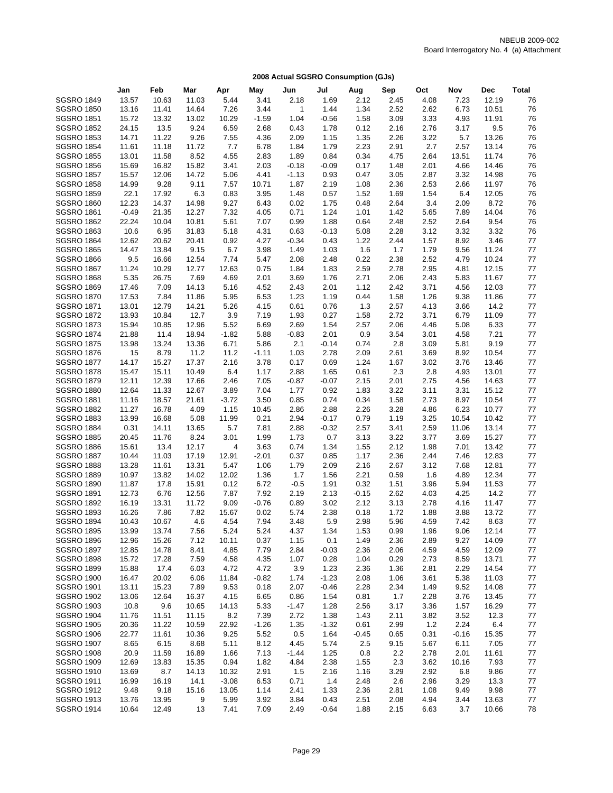|                                        | Jan            | Feb            | Mar            | Apr             | May          | Jun          | Jul          | Aug          | Sep          | Oct          | Nov          | <b>Dec</b>     | <b>Total</b> |
|----------------------------------------|----------------|----------------|----------------|-----------------|--------------|--------------|--------------|--------------|--------------|--------------|--------------|----------------|--------------|
| <b>SGSRO 1849</b>                      | 13.57          | 10.63          | 11.03          | 5.44            | 3.41         | 2.18         | 1.69         | 2.12         | 2.45         | 4.08         | 7.23         | 12.19          | 76           |
| <b>SGSRO 1850</b>                      | 13.16          | 11.41          | 14.64          | 7.26            | 3.44         | 1            | 1.44         | 1.34         | 2.52         | 2.62         | 6.73         | 10.51          | 76           |
| <b>SGSRO 1851</b>                      | 15.72          | 13.32          | 13.02          | 10.29           | $-1.59$      | 1.04         | $-0.56$      | 1.58         | 3.09         | 3.33         | 4.93         | 11.91          | 76           |
| <b>SGSRO 1852</b>                      | 24.15          | 13.5           | 9.24           | 6.59            | 2.68         | 0.43         | 1.78         | 0.12         | 2.16         | 2.76         | 3.17         | 9.5            | 76           |
| <b>SGSRO 1853</b>                      | 14.71          | 11.22          | 9.26           | 7.55            | 4.36         | 2.09         | 1.15         | 1.35         | 2.26         | 3.22         | 5.7          | 13.26          | 76           |
| <b>SGSRO 1854</b>                      | 11.61          | 11.18          | 11.72          | 7.7             | 6.78         | 1.84         | 1.79         | 2.23         | 2.91         | 2.7          | 2.57         | 13.14          | 76           |
| <b>SGSRO 1855</b>                      | 13.01          | 11.58          | 8.52           | 4.55            | 2.83         | 1.89         | 0.84         | 0.34         | 4.75         | 2.64         | 13.51        | 11.74          | 76           |
| <b>SGSRO 1856</b>                      | 15.69          | 16.82          | 15.82          | 3.41            | 2.03         | $-0.18$      | $-0.09$      | 0.17         | 1.48         | 2.01         | 4.66         | 14.46          | 76           |
| <b>SGSRO 1857</b>                      | 15.57          | 12.06          | 14.72          | 5.06            | 4.41         | $-1.13$      | 0.93         | 0.47         | 3.05         | 2.87         | 3.32         | 14.98          | 76           |
| <b>SGSRO 1858</b>                      | 14.99          | 9.28           | 9.11           | 7.57            | 10.71        | 1.87         | 2.19         | 1.08         | 2.36         | 2.53         | 2.66         | 11.97          | 76           |
| <b>SGSRO 1859</b>                      | 22.1           | 17.92          | 6.3            | 0.83            | 3.95         | 1.48         | 0.57         | 1.52         | 1.69         | 1.54         | 6.4          | 12.05          | 76           |
| <b>SGSRO 1860</b>                      | 12.23          | 14.37          | 14.98          | 9.27            | 6.43         | 0.02         | 1.75         | 0.48         | 2.64         | 3.4          | 2.09         | 8.72           | 76           |
| <b>SGSRO 1861</b>                      | $-0.49$        | 21.35          | 12.27          | 7.32            | 4.05         | 0.71         | 1.24         | 1.01         | 1.42         | 5.65         | 7.89         | 14.04          | 76           |
| <b>SGSRO 1862</b>                      | 22.24          | 10.04          | 10.81          | 5.61            | 7.07         | 0.99         | 1.88         | 0.64         | 2.48         | 2.52         | 2.64         | 9.54           | 76           |
| <b>SGSRO 1863</b>                      | 10.6           | 6.95           | 31.83          | 5.18            | 4.31         | 0.63         | $-0.13$      | 5.08         | 2.28         | 3.12         | 3.32         | 3.32           | 76           |
| <b>SGSRO 1864</b>                      | 12.62          | 20.62          | 20.41          | 0.92            | 4.27         | $-0.34$      | 0.43         | 1.22         | 2.44         | 1.57         | 8.92         | 3.46           | 77           |
| <b>SGSRO 1865</b>                      | 14.47          | 13.84          | 9.15           | 6.7             | 3.98         | 1.49         | 1.03         | 1.6          | 1.7          | 1.79         | 9.56         | 11.24          | 77           |
| <b>SGSRO 1866</b>                      | 9.5            | 16.66          | 12.54          | 7.74            | 5.47         | 2.08         | 2.48         | 0.22         | 2.38         | 2.52         | 4.79         | 10.24          | 77           |
| <b>SGSRO 1867</b>                      | 11.24          | 10.29          | 12.77          | 12.63           | 0.75         | 1.84         | 1.83         | 2.59         | 2.78         | 2.95         | 4.81         | 12.15          | 77           |
| <b>SGSRO 1868</b>                      | 5.35           | 26.75          | 7.69           | 4.69            | 2.01         | 3.69         | 1.76         | 2.71         | 2.06         | 2.43         | 5.83         | 11.67          | 77           |
| <b>SGSRO 1869</b>                      | 17.46          | 7.09           | 14.13          | 5.16            | 4.52         | 2.43         | 2.01         | 1.12         | 2.42         | 3.71         | 4.56         | 12.03          | 77           |
| <b>SGSRO 1870</b>                      | 17.53          | 7.84           | 11.86          | 5.95            | 6.53         | 1.23         | 1.19         | 0.44         | 1.58         | 1.26         | 9.38         | 11.86          | 77           |
| <b>SGSRO 1871</b>                      | 13.01          | 12.79          | 14.21          | 5.26            | 4.15         | 0.61         | 0.76         | 1.3          | 2.57         | 4.13         | 3.66         | 14.2           | 77           |
| <b>SGSRO 1872</b>                      | 13.93          | 10.84          | 12.7           | 3.9             | 7.19         | 1.93         | 0.27         | 1.58         | 2.72         | 3.71         | 6.79         | 11.09          | 77           |
| <b>SGSRO 1873</b>                      | 15.94          | 10.85          | 12.96          | 5.52            | 6.69         | 2.69         | 1.54         | 2.57         | 2.06         | 4.46         | 5.08         | 6.33           | 77           |
| <b>SGSRO 1874</b>                      | 21.88          | 11.4           | 18.94          | $-1.82$         | 5.88         | $-0.83$      | 2.01         | 0.9          | 3.54         | 3.01         | 4.58         | 7.21           | 77           |
| <b>SGSRO 1875</b>                      | 13.98          | 13.24          | 13.36          | 6.71            | 5.86         | 2.1          | $-0.14$      | 0.74         | 2.8          | 3.09         | 5.81         | 9.19           | 77           |
| <b>SGSRO 1876</b>                      | 15             | 8.79           | 11.2           | 11.2            | $-1.11$      | 1.03         | 2.78         | 2.09         | 2.61         | 3.69         | 8.92         | 10.54          | 77           |
| <b>SGSRO 1877</b>                      | 14.17          | 15.27          | 17.37          | 2.16            | 3.78         | 0.17         | 0.69         | 1.24         | 1.67         | 3.02         | 3.76         | 13.46          | 77           |
| <b>SGSRO 1878</b>                      | 15.47          | 15.11          | 10.49          | 6.4             | 1.17         | 2.88         | 1.65         | 0.61         | 2.3          | 2.8          | 4.93         | 13.01          | 77           |
| <b>SGSRO 1879</b>                      | 12.11          | 12.39          | 17.66          | 2.46            | 7.05         | $-0.87$      | $-0.07$      | 2.15         | 2.01         | 2.75         | 4.56         | 14.63          | 77           |
| <b>SGSRO 1880</b><br><b>SGSRO 1881</b> | 12.64          | 11.33<br>18.57 | 12.67<br>21.61 | 3.89            | 7.04<br>3.50 | 1.77         | 0.92<br>0.74 | 1.83<br>0.34 | 3.22<br>1.58 | 3.11<br>2.73 | 3.31<br>8.97 | 15.12<br>10.54 | 77<br>77     |
| <b>SGSRO 1882</b>                      | 11.16<br>11.27 | 16.78          | 4.09           | $-3.72$<br>1.15 | 10.45        | 0.85<br>2.86 | 2.88         | 2.26         | 3.28         | 4.86         | 6.23         | 10.77          | 77           |
| <b>SGSRO 1883</b>                      | 13.99          | 16.68          | 5.08           | 11.99           | 0.21         | 2.94         | $-0.17$      | 0.79         | 1.19         | 3.25         | 10.54        | 10.42          | 77           |
| <b>SGSRO 1884</b>                      | 0.31           | 14.11          | 13.65          | 5.7             | 7.81         | 2.88         | $-0.32$      | 2.57         | 3.41         | 2.59         | 11.06        | 13.14          | 77           |
| <b>SGSRO 1885</b>                      | 20.45          | 11.76          | 8.24           | 3.01            | 1.99         | 1.73         | 0.7          | 3.13         | 3.22         | 3.77         | 3.69         | 15.27          | 77           |
| <b>SGSRO 1886</b>                      | 15.61          | 13.4           | 12.17          | 4               | 3.63         | 0.74         | 1.34         | 1.55         | 2.12         | 1.98         | 7.01         | 13.42          | 77           |
| <b>SGSRO 1887</b>                      | 10.44          | 11.03          | 17.19          | 12.91           | $-2.01$      | 0.37         | 0.85         | 1.17         | 2.36         | 2.44         | 7.46         | 12.83          | 77           |
| <b>SGSRO 1888</b>                      | 13.28          | 11.61          | 13.31          | 5.47            | 1.06         | 1.79         | 2.09         | 2.16         | 2.67         | 3.12         | 7.68         | 12.81          | 77           |
| <b>SGSRO 1889</b>                      | 10.97          | 13.82          | 14.02          | 12.02           | 1.36         | 1.7          | 1.56         | 2.21         | 0.59         | 1.6          | 4.89         | 12.34          | 77           |
| <b>SGSRO 1890</b>                      | 11.87          | 17.8           | 15.91          | 0.12            | 6.72         | $-0.5$       | 1.91         | 0.32         | 1.51         | 3.96         | 5.94         | 11.53          | 77           |
| <b>SGSRO 1891</b>                      | 12.73          | 6.76           | 12.56          | 7.87            | 7.92         | 2.19         | 2.13         | $-0.15$      | 2.62         | 4.03         | 4.25         | 14.2           | 77           |
| <b>SGSRO 1892</b>                      | 16.19          | 13.31          | 11.72          | 9.09            | $-0.76$      | 0.89         | 3.02         | 2.12         | 3.13         | 2.78         | 4.16         | 11.47          | 77           |
| <b>SGSRO 1893</b>                      | 16.26          | 7.86           | 7.82           | 15.67           | 0.02         | 5.74         | 2.38         | 0.18         | 1.72         | 1.88         | 3.88         | 13.72          | 77           |
| <b>SGSRO 1894</b>                      | 10.43          | 10.67          | 4.6            | 4.54            | 7.94         | 3.48         | 5.9          | 2.98         | 5.96         | 4.59         | 7.42         | 8.63           | 77           |
| <b>SGSRO 1895</b>                      | 13.99          | 13.74          | 7.56           | 5.24            | 5.24         | 4.37         | 1.34         | 1.53         | 0.99         | 1.96         | 9.06         | 12.14          | 77           |
| <b>SGSRO 1896</b>                      | 12.96          | 15.26          | 7.12           | 10.11           | 0.37         | 1.15         | 0.1          | 1.49         | 2.36         | 2.89         | 9.27         | 14.09          | 77           |
| <b>SGSRO 1897</b>                      | 12.85          | 14.78          | 8.41           | 4.85            | 7.79         | 2.84         | $-0.03$      | 2.36         | 2.06         | 4.59         | 4.59         | 12.09          | 77           |
| <b>SGSRO 1898</b>                      | 15.72          | 17.28          | 7.59           | 4.58            | 4.35         | 1.07         | 0.28         | 1.04         | 0.29         | 2.73         | 8.59         | 13.71          | 77           |
| <b>SGSRO 1899</b>                      | 15.88          | 17.4           | 6.03           | 4.72            | 4.72         | 3.9          | 1.23         | 2.36         | 1.36         | 2.81         | 2.29         | 14.54          | 77           |
| <b>SGSRO 1900</b>                      | 16.47          | 20.02          | 6.06           | 11.84           | $-0.82$      | 1.74         | $-1.23$      | 2.08         | 1.06         | 3.61         | 5.38         | 11.03          | 77           |
| <b>SGSRO 1901</b>                      | 13.11          | 15.23          | 7.89           | 9.53            | 0.18         | 2.07         | $-0.46$      | 2.28         | 2.34         | 1.49         | 9.52         | 14.08          | 77           |
| <b>SGSRO 1902</b>                      | 13.06          | 12.64          | 16.37          | 4.15            | 6.65         | 0.86         | 1.54         | 0.81         | 1.7          | 2.28         | 3.76         | 13.45          | 77           |
| <b>SGSRO 1903</b>                      | 10.8           | 9.6            | 10.65          | 14.13           | 5.33         | $-1.47$      | 1.28         | 2.56         | 3.17         | 3.36         | 1.57         | 16.29          | 77           |
| <b>SGSRO 1904</b>                      | 11.76          | 11.51          | 11.15          | 8.2             | 7.39         | 2.72         | 1.38         | 1.43         | 2.11         | 3.82         | 3.52         | 12.3           | 77           |
| <b>SGSRO 1905</b>                      | 20.36          | 11.22          | 10.59          | 22.92           | $-1.26$      | 1.35         | $-1.32$      | 0.61         | 2.99         | 1.2          | 2.24         | 6.4            | 77           |
| <b>SGSRO 1906</b>                      | 22.77          | 11.61          | 10.36          | 9.25            | 5.52         | 0.5          | 1.64         | $-0.45$      | 0.65         | 0.31         | $-0.16$      | 15.35          | 77           |
| <b>SGSRO 1907</b>                      | 8.65           | 6.15           | 8.68           | 5.11            | 8.12         | 4.45         | 5.74         | 2.5          | 9.15         | 5.67         | 6.11         | 7.05           | 77           |
| <b>SGSRO 1908</b>                      | 20.9           | 11.59          | 16.89          | 1.66            | 7.13         | $-1.44$      | 1.25         | 0.8          | 2.2          | 2.78         | 2.01         | 11.61          | 77           |
| <b>SGSRO 1909</b>                      | 12.69          | 13.83          | 15.35          | 0.94            | 1.82         | 4.84         | 2.38         | 1.55         | 2.3          | 3.62         | 10.16        | 7.93           | 77           |
| <b>SGSRO 1910</b>                      | 13.69          | 8.7            | 14.13          | 10.32           | 2.91         | 1.5          | 2.16         | 1.16         | 3.29         | 2.92         | 6.8          | 9.86           | 77           |
| <b>SGSRO 1911</b>                      | 16.99          | 16.19          | 14.1           | $-3.08$         | 6.53         | 0.71         | 1.4          | 2.48         | 2.6          | 2.96         | 3.29         | 13.3           | 77           |
| <b>SGSRO 1912</b>                      | 9.48           | 9.18           | 15.16          | 13.05           | 1.14         | 2.41         | 1.33         | 2.36         | 2.81         | 1.08         | 9.49         | 9.98           | 77           |
| <b>SGSRO 1913</b>                      | 13.76          | 13.95          | 9              | 5.99            | 3.92         | 3.84         | 0.43         | 2.51         | 2.08         | 4.94         | 3.44         | 13.63          | 77           |
| <b>SGSRO 1914</b>                      | 10.64          | 12.49          | 13             | 7.41            | 7.09         | 2.49         | $-0.64$      | 1.88         | 2.15         | 6.63         | 3.7          | 10.66          | 78           |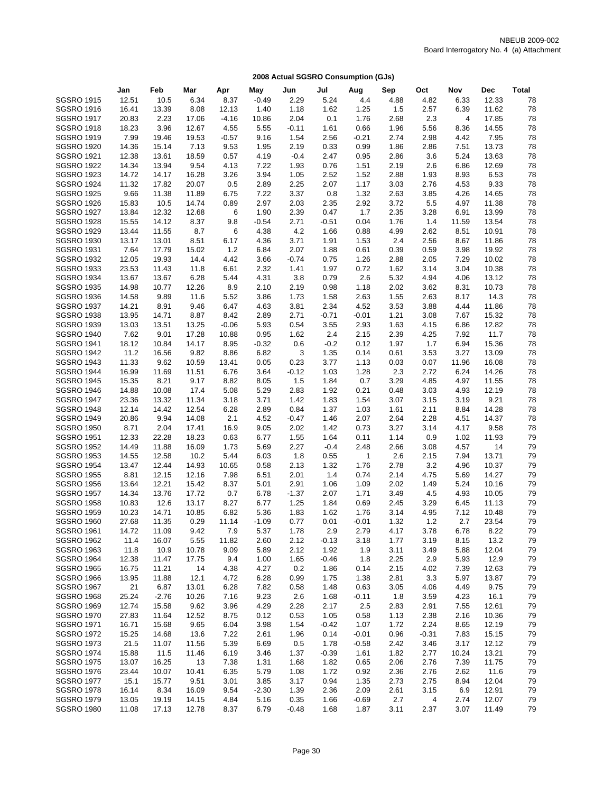|                   | Jan   | Feb     | Mar   | Apr     | May     | Jun     | Jul     | Aug          | Sep  | Oct     | Nov            | Dec   | <b>Total</b> |
|-------------------|-------|---------|-------|---------|---------|---------|---------|--------------|------|---------|----------------|-------|--------------|
| <b>SGSRO 1915</b> | 12.51 | 10.5    | 6.34  | 8.37    | $-0.49$ | 2.29    | 5.24    | 4.4          | 4.88 | 4.82    | 6.33           | 12.33 | 78           |
| <b>SGSRO 1916</b> | 16.41 | 13.39   | 8.08  | 12.13   | 1.40    | 1.18    | 1.62    | 1.25         | 1.5  | 2.57    | 6.39           | 11.62 | 78           |
| <b>SGSRO 1917</b> | 20.83 | 2.23    | 17.06 | $-4.16$ | 10.86   | 2.04    | 0.1     | 1.76         | 2.68 | 2.3     | $\overline{4}$ | 17.85 | 78           |
| <b>SGSRO 1918</b> | 18.23 | 3.96    | 12.67 | 4.55    | 5.55    | $-0.11$ | 1.61    | 0.66         | 1.96 | 5.56    | 8.36           | 14.55 | 78           |
| <b>SGSRO 1919</b> | 7.99  | 19.46   | 19.53 | $-0.57$ | 9.16    | 1.54    | 2.56    | $-0.21$      | 2.74 | 2.98    | 4.42           | 7.95  | 78           |
| <b>SGSRO 1920</b> | 14.36 | 15.14   | 7.13  | 9.53    | 1.95    | 2.19    | 0.33    | 0.99         | 1.86 | 2.86    | 7.51           | 13.73 | 78           |
| <b>SGSRO 1921</b> | 12.38 | 13.61   | 18.59 | 0.57    | 4.19    | $-0.4$  | 2.47    | 0.95         | 2.86 | 3.6     | 5.24           | 13.63 | 78           |
| <b>SGSRO 1922</b> | 14.34 | 13.94   | 9.54  | 4.13    | 7.22    | 1.93    | 0.76    | 1.51         | 2.19 | 2.6     | 6.86           | 12.69 | 78           |
| <b>SGSRO 1923</b> | 14.72 | 14.17   | 16.28 | 3.26    | 3.94    | 1.05    | 2.52    | 1.52         | 2.88 | 1.93    | 8.93           | 6.53  | 78           |
| <b>SGSRO 1924</b> | 11.32 | 17.82   | 20.07 | 0.5     | 2.89    | 2.25    | 2.07    | 1.17         | 3.03 | 2.76    | 4.53           | 9.33  | 78           |
| <b>SGSRO 1925</b> | 9.66  | 11.38   | 11.89 | 6.75    | 7.22    | 3.37    | 0.8     | 1.32         | 2.63 | 3.85    | 4.26           | 14.65 | 78           |
| <b>SGSRO 1926</b> | 15.83 | 10.5    | 14.74 | 0.89    | 2.97    | 2.03    | 2.35    | 2.92         | 3.72 | 5.5     | 4.97           | 11.38 | 78           |
| <b>SGSRO 1927</b> | 13.84 | 12.32   | 12.68 | 6       | 1.90    | 2.39    | 0.47    | 1.7          | 2.35 | 3.28    | 6.91           | 13.99 | 78           |
| <b>SGSRO 1928</b> | 15.55 | 14.12   | 8.37  | 9.8     | $-0.54$ | 2.71    | $-0.51$ | 0.04         | 1.76 | 1.4     | 11.59          | 13.54 | 78           |
| <b>SGSRO 1929</b> | 13.44 | 11.55   | 8.7   | 6       | 4.38    | 4.2     | 1.66    | 0.88         | 4.99 | 2.62    | 8.51           | 10.91 | 78           |
| <b>SGSRO 1930</b> | 13.17 | 13.01   | 8.51  | 6.17    | 4.36    | 3.71    | 1.91    | 1.53         | 2.4  | 2.56    | 8.67           | 11.86 | 78           |
| <b>SGSRO 1931</b> | 7.64  | 17.79   | 15.02 | 1.2     | 6.84    | 2.07    | 1.88    | 0.61         | 0.39 | 0.59    | 3.98           | 19.92 | 78           |
| <b>SGSRO 1932</b> | 12.05 | 19.93   | 14.4  | 4.42    | 3.66    | $-0.74$ | 0.75    | 1.26         | 2.88 | 2.05    | 7.29           | 10.02 | 78           |
| <b>SGSRO 1933</b> | 23.53 | 11.43   | 11.8  | 6.61    | 2.32    | 1.41    | 1.97    | 0.72         | 1.62 | 3.14    | 3.04           | 10.38 | 78           |
| <b>SGSRO 1934</b> | 13.67 | 13.67   | 6.28  | 5.44    | 4.31    | 3.8     | 0.79    | 2.6          | 5.32 | 4.94    | 4.06           | 13.12 | 78           |
| <b>SGSRO 1935</b> | 14.98 | 10.77   | 12.26 | 8.9     | 2.10    | 2.19    | 0.98    | 1.18         | 2.02 | 3.62    | 8.31           | 10.73 | 78           |
| <b>SGSRO 1936</b> | 14.58 | 9.89    | 11.6  | 5.52    | 3.86    | 1.73    | 1.58    | 2.63         | 1.55 | 2.63    | 8.17           | 14.3  | 78           |
| <b>SGSRO 1937</b> | 14.21 | 8.91    | 9.46  | 6.47    | 4.63    | 3.81    | 2.34    | 4.52         | 3.53 | 3.88    | 4.44           | 11.86 | 78           |
| <b>SGSRO 1938</b> | 13.95 | 14.71   | 8.87  | 8.42    | 2.89    | 2.71    | $-0.71$ | $-0.01$      | 1.21 | 3.08    | 7.67           | 15.32 | 78           |
| <b>SGSRO 1939</b> | 13.03 | 13.51   | 13.25 | $-0.06$ | 5.93    | 0.54    | 3.55    | 2.93         | 1.63 | 4.15    | 6.86           | 12.82 | 78           |
| <b>SGSRO 1940</b> | 7.62  | 9.01    | 17.28 | 10.88   | 0.95    | 1.62    | 2.4     | 2.15         | 2.39 | 4.25    | 7.92           | 11.7  | 78           |
| <b>SGSRO 1941</b> | 18.12 | 10.84   | 14.17 | 8.95    | $-0.32$ | 0.6     | $-0.2$  | 0.12         | 1.97 | 1.7     | 6.94           | 15.36 | 78           |
| <b>SGSRO 1942</b> | 11.2  | 16.56   | 9.82  | 8.86    | 6.82    | 3       | 1.35    | 0.14         | 0.61 | 3.53    | 3.27           | 13.09 | 78           |
| <b>SGSRO 1943</b> | 11.33 | 9.62    | 10.59 | 13.41   | 0.05    | 0.23    | 3.77    | 1.13         | 0.03 | 0.07    | 11.96          | 16.08 | 78           |
| <b>SGSRO 1944</b> | 16.99 | 11.69   | 11.51 | 6.76    | 3.64    | $-0.12$ | 1.03    | 1.28         | 2.3  | 2.72    | 6.24           | 14.26 | 78           |
| <b>SGSRO 1945</b> | 15.35 | 8.21    | 9.17  | 8.82    | 8.05    | 1.5     | 1.84    | 0.7          | 3.29 | 4.85    | 4.97           | 11.55 | 78           |
| <b>SGSRO 1946</b> | 14.88 | 10.08   | 17.4  | 5.08    | 5.29    | 2.83    | 1.92    | 0.21         | 0.48 | 3.03    | 4.93           | 12.19 | 78           |
| <b>SGSRO 1947</b> | 23.36 | 13.32   | 11.34 | 3.18    | 3.71    | 1.42    | 1.83    | 1.54         | 3.07 | 3.15    | 3.19           | 9.21  | 78           |
| <b>SGSRO 1948</b> | 12.14 | 14.42   | 12.54 | 6.28    | 2.89    | 0.84    | 1.37    | 1.03         | 1.61 | 2.11    | 8.84           | 14.28 | 78           |
| <b>SGSRO 1949</b> | 20.86 | 9.94    | 14.08 | 2.1     | 4.52    | $-0.47$ | 1.46    | 2.07         | 2.64 | 2.28    | 4.51           | 14.37 | 78           |
| <b>SGSRO 1950</b> | 8.71  | 2.04    | 17.41 | 16.9    | 9.05    | 2.02    | 1.42    | 0.73         | 3.27 | 3.14    | 4.17           | 9.58  | 78           |
| <b>SGSRO 1951</b> | 12.33 | 22.28   | 18.23 | 0.63    | 6.77    | 1.55    | 1.64    | 0.11         | 1.14 | 0.9     | 1.02           | 11.93 | 79           |
| <b>SGSRO 1952</b> | 14.49 | 11.88   | 16.09 | 1.73    | 5.69    | 2.27    | $-0.4$  | 2.48         | 2.66 | 3.08    | 4.57           | 14    | 79           |
| <b>SGSRO 1953</b> | 14.55 | 12.58   | 10.2  | 5.44    | 6.03    | 1.8     | 0.55    | $\mathbf{1}$ | 2.6  | 2.15    | 7.94           | 13.71 | 79           |
| <b>SGSRO 1954</b> | 13.47 | 12.44   | 14.93 | 10.65   | 0.58    | 2.13    | 1.32    | 1.76         | 2.78 | 3.2     | 4.96           | 10.37 | 79           |
| <b>SGSRO 1955</b> | 8.81  | 12.15   | 12.16 | 7.98    | 6.51    | 2.01    | 1.4     | 0.74         | 2.14 | 4.75    | 5.69           | 14.27 | 79           |
| <b>SGSRO 1956</b> | 13.64 | 12.21   | 15.42 | 8.37    | 5.01    | 2.91    | 1.06    | 1.09         | 2.02 | 1.49    | 5.24           | 10.16 | 79           |
| <b>SGSRO 1957</b> | 14.34 | 13.76   | 17.72 | 0.7     | 6.78    | $-1.37$ | 2.07    | 1.71         | 3.49 | 4.5     | 4.93           | 10.05 | 79           |
| <b>SGSRO 1958</b> | 10.83 | 12.6    | 13.17 | 8.27    | 6.77    | 1.25    | 1.84    | 0.69         | 2.45 | 3.29    | 6.45           | 11.13 | 79           |
| <b>SGSRO 1959</b> | 10.23 | 14.71   | 10.85 | 6.82    | 5.36    | 1.83    | 1.62    | 1.76         | 3.14 | 4.95    | 7.12           | 10.48 | 79           |
| <b>SGSRO 1960</b> | 27.68 | 11.35   | 0.29  | 11.14   | $-1.09$ | 0.77    | 0.01    | $-0.01$      | 1.32 | 1.2     | 2.7            | 23.54 | 79           |
| <b>SGSRO 1961</b> | 14.72 | 11.09   | 9.42  | 7.9     | 5.37    | 1.78    | 2.9     | 2.79         | 4.17 | 3.78    | 6.78           | 8.22  | 79           |
| <b>SGSRO 1962</b> | 11.4  | 16.07   | 5.55  | 11.82   | 2.60    | 2.12    | $-0.13$ | 3.18         | 1.77 | 3.19    | 8.15           | 13.2  | 79           |
| <b>SGSRO 1963</b> | 11.8  | 10.9    | 10.78 | 9.09    | 5.89    | 2.12    | 1.92    | 1.9          | 3.11 | 3.49    | 5.88           | 12.04 | 79           |
| <b>SGSRO 1964</b> | 12.38 | 11.47   | 17.75 | 9.4     | 1.00    | 1.65    | $-0.46$ | 1.8          | 2.25 | 2.9     | 5.93           | 12.9  | 79           |
| <b>SGSRO 1965</b> | 16.75 | 11.21   | 14    | 4.38    | 4.27    | 0.2     | 1.86    | 0.14         | 2.15 | 4.02    | 7.39           | 12.63 | 79           |
| <b>SGSRO 1966</b> | 13.95 | 11.88   | 12.1  | 4.72    | 6.28    | 0.99    | 1.75    | 1.38         | 2.81 | 3.3     | 5.97           | 13.87 | 79           |
| <b>SGSRO 1967</b> | 21    | 6.87    | 13.01 | 6.28    | 7.82    | 0.58    | 1.48    | 0.63         | 3.05 | 4.06    | 4.49           | 9.75  | 79           |
| <b>SGSRO 1968</b> | 25.24 | $-2.76$ | 10.26 | 7.16    | 9.23    | 2.6     | 1.68    | $-0.11$      | 1.8  | 3.59    | 4.23           | 16.1  | 79           |
| <b>SGSRO 1969</b> | 12.74 | 15.58   | 9.62  | 3.96    | 4.29    | 2.28    | 2.17    | 2.5          | 2.83 | 2.91    | 7.55           | 12.61 | 79           |
| <b>SGSRO 1970</b> | 27.83 | 11.64   | 12.52 | 8.75    | 0.12    | 0.53    | 1.05    | 0.58         | 1.13 | 2.38    | 2.16           | 10.36 | 79           |
| <b>SGSRO 1971</b> | 16.71 | 15.68   | 9.65  | 6.04    | 3.98    | 1.54    | $-0.42$ | 1.07         | 1.72 | 2.24    | 8.65           | 12.19 | 79           |
| <b>SGSRO 1972</b> | 15.25 | 14.68   | 13.6  | 7.22    | 2.61    | 1.96    | 0.14    | $-0.01$      | 0.96 | $-0.31$ | 7.83           | 15.15 | 79           |
| <b>SGSRO 1973</b> | 21.5  | 11.07   | 11.56 | 5.39    | 6.69    | 0.5     | 1.78    | $-0.58$      | 2.42 | 3.46    | 3.17           | 12.12 | 79           |
| <b>SGSRO 1974</b> | 15.88 | 11.5    | 11.46 | 6.19    | 3.46    | 1.37    | $-0.39$ | 1.61         | 1.82 | 2.77    | 10.24          | 13.21 | 79           |
| <b>SGSRO 1975</b> | 13.07 | 16.25   | 13    | 7.38    | 1.31    | 1.68    | 1.82    | 0.65         | 2.06 | 2.76    | 7.39           | 11.75 | 79           |
| <b>SGSRO 1976</b> | 23.44 | 10.07   | 10.41 | 6.35    | 5.79    | 1.08    | 1.72    | 0.92         | 2.36 | 2.76    | 2.62           | 11.6  | 79           |
| <b>SGSRO 1977</b> | 15.1  | 15.77   | 9.51  | 3.01    | 3.85    | 3.17    | 0.94    | 1.35         | 2.73 | 2.75    | 8.94           | 12.04 | 79           |
| <b>SGSRO 1978</b> | 16.14 | 8.34    | 16.09 | 9.54    | $-2.30$ | 1.39    | 2.36    | 2.09         | 2.61 | 3.15    | 6.9            | 12.91 | 79           |
| <b>SGSRO 1979</b> | 13.05 | 19.19   | 14.15 | 4.84    | 5.16    | 0.35    | 1.66    | $-0.69$      | 2.7  | 4       | 2.74           | 12.07 | 79           |
| <b>SGSRO 1980</b> | 11.08 | 17.13   | 12.78 | 8.37    | 6.79    | $-0.48$ | 1.68    | 1.87         | 3.11 | 2.37    | 3.07           | 11.49 | 79           |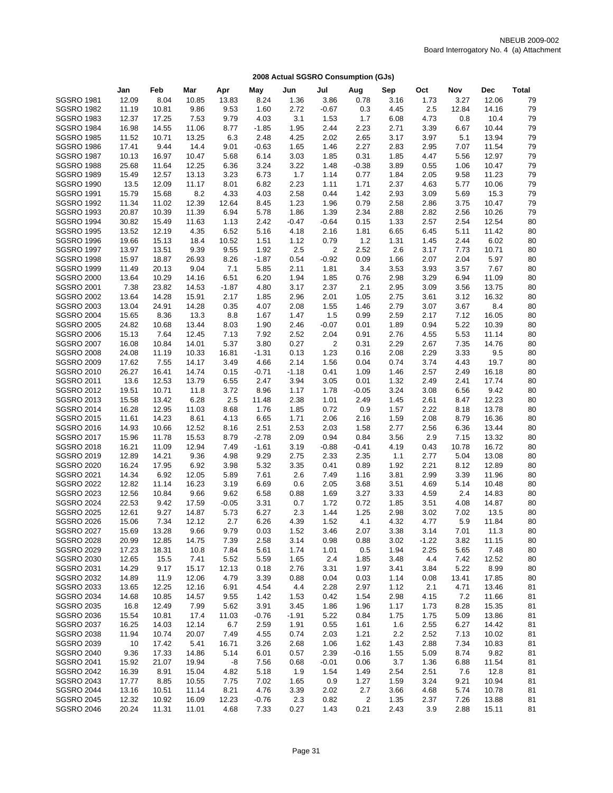|                   | Jan   | Feb   | Mar   | Apr     | May     | Jun     | Jul     | Aug     | Sep  | Oct     | Nov   | <b>Dec</b> | <b>Total</b> |
|-------------------|-------|-------|-------|---------|---------|---------|---------|---------|------|---------|-------|------------|--------------|
| <b>SGSRO 1981</b> | 12.09 | 8.04  | 10.85 | 13.83   | 8.24    | 1.36    | 3.86    | 0.78    | 3.16 | 1.73    | 3.27  | 12.06      | 79           |
| <b>SGSRO 1982</b> | 11.19 | 10.81 | 9.86  | 9.53    | 1.60    | 2.72    | $-0.67$ | 0.3     | 4.45 | 2.5     | 12.84 | 14.16      | 79           |
| <b>SGSRO 1983</b> | 12.37 | 17.25 | 7.53  | 9.79    | 4.03    | 3.1     | 1.53    | 1.7     | 6.08 | 4.73    | 0.8   | 10.4       | 79           |
| <b>SGSRO 1984</b> | 16.98 | 14.55 | 11.06 | 8.77    | $-1.85$ | 1.95    | 2.44    | 2.23    | 2.71 | 3.39    | 6.67  | 10.44      | 79           |
| <b>SGSRO 1985</b> | 11.52 | 10.71 | 13.25 | 6.3     | 2.48    | 4.25    | 2.02    | 2.65    | 3.17 | 3.97    | 5.1   | 13.94      | 79           |
| <b>SGSRO 1986</b> | 17.41 | 9.44  | 14.4  | 9.01    | $-0.63$ | 1.65    | 1.46    | 2.27    | 2.83 | 2.95    | 7.07  | 11.54      | 79           |
| <b>SGSRO 1987</b> | 10.13 | 16.97 | 10.47 | 5.68    | 6.14    | 3.03    | 1.85    | 0.31    | 1.85 | 4.47    | 5.56  | 12.97      | 79           |
| <b>SGSRO 1988</b> | 25.68 | 11.64 | 12.25 | 6.36    | 3.24    | 3.22    | 1.48    | $-0.38$ | 3.89 | 0.55    | 1.06  | 10.47      | 79           |
| <b>SGSRO 1989</b> | 15.49 | 12.57 | 13.13 | 3.23    | 6.73    | 1.7     | 1.14    | 0.77    | 1.84 | 2.05    | 9.58  | 11.23      | 79           |
| <b>SGSRO 1990</b> | 13.5  | 12.09 | 11.17 | 8.01    | 6.82    | 2.23    | 1.11    | 1.71    | 2.37 | 4.63    | 5.77  | 10.06      | 79           |
| <b>SGSRO 1991</b> | 15.79 | 15.68 | 8.2   | 4.33    | 4.03    | 2.58    | 0.44    | 1.42    | 2.93 | 3.09    | 5.69  | 15.3       | 79           |
| <b>SGSRO 1992</b> | 11.34 | 11.02 | 12.39 | 12.64   | 8.45    | 1.23    | 1.96    | 0.79    | 2.58 | 2.86    | 3.75  | 10.47      | 79           |
| <b>SGSRO 1993</b> | 20.87 | 10.39 | 11.39 | 6.94    | 5.78    | 1.86    | 1.39    | 2.34    | 2.88 | 2.82    | 2.56  | 10.26      | 79           |
| <b>SGSRO 1994</b> | 30.82 | 15.49 | 11.63 | 1.13    | 2.42    | $-0.47$ | $-0.64$ | 0.15    | 1.33 | 2.57    | 2.54  | 12.54      | 80           |
| <b>SGSRO 1995</b> | 13.52 | 12.19 | 4.35  | 6.52    | 5.16    | 4.18    | 2.16    | 1.81    | 6.65 | 6.45    | 5.11  | 11.42      | 80           |
| <b>SGSRO 1996</b> | 19.66 | 15.13 | 18.4  | 10.52   | 1.51    | 1.12    | 0.79    | 1.2     | 1.31 | 1.45    | 2.44  | 6.02       | 80           |
| <b>SGSRO 1997</b> | 13.97 | 13.51 | 9.39  | 9.55    | 1.92    | 2.5     | 2       | 2.52    | 2.6  | 3.17    | 7.73  | 10.71      | 80           |
| <b>SGSRO 1998</b> | 15.97 | 18.87 | 26.93 | 8.26    | $-1.87$ | 0.54    | $-0.92$ | 0.09    | 1.66 | 2.07    | 2.04  | 5.97       | 80           |
| <b>SGSRO 1999</b> | 11.49 | 20.13 | 9.04  | 7.1     | 5.85    | 2.11    | 1.81    | 3.4     | 3.53 | 3.93    | 3.57  | 7.67       | 80           |
| <b>SGSRO 2000</b> | 13.64 | 10.29 | 14.16 | 6.51    | 6.20    | 1.94    | 1.85    | 0.76    | 2.98 | 3.29    | 6.94  | 11.09      | 80           |
| <b>SGSRO 2001</b> | 7.38  | 23.82 | 14.53 | $-1.87$ | 4.80    | 3.17    | 2.37    | 2.1     | 2.95 | 3.09    | 3.56  | 13.75      | 80           |
| <b>SGSRO 2002</b> | 13.64 | 14.28 | 15.91 | 2.17    | 1.85    | 2.96    | 2.01    | 1.05    | 2.75 | 3.61    | 3.12  | 16.32      | 80           |
| <b>SGSRO 2003</b> | 13.04 | 24.91 | 14.28 | 0.35    | 4.07    | 2.08    | 1.55    | 1.46    | 2.79 | 3.07    | 3.67  | 8.4        | 80           |
| <b>SGSRO 2004</b> | 15.65 | 8.36  | 13.3  | 8.8     | 1.67    | 1.47    | 1.5     | 0.99    | 2.59 | 2.17    | 7.12  | 16.05      | 80           |
| <b>SGSRO 2005</b> | 24.82 | 10.68 | 13.44 | 8.03    | 1.90    | 2.46    | $-0.07$ | 0.01    | 1.89 | 0.94    | 5.22  | 10.39      | 80           |
| <b>SGSRO 2006</b> | 15.13 | 7.64  | 12.45 | 7.13    | 7.92    | 2.52    | 2.04    | 0.91    | 2.76 | 4.55    | 5.53  | 11.14      | 80           |
| <b>SGSRO 2007</b> | 16.08 | 10.84 | 14.01 | 5.37    | 3.80    | 0.27    | 2       | 0.31    | 2.29 | 2.67    | 7.35  | 14.76      | 80           |
| <b>SGSRO 2008</b> | 24.08 | 11.19 | 10.33 | 16.81   | $-1.31$ | 0.13    | 1.23    | 0.16    | 2.08 | 2.29    | 3.33  | 9.5        | 80           |
| <b>SGSRO 2009</b> | 17.62 | 7.55  | 14.17 | 3.49    | 4.66    | 2.14    | 1.56    | 0.04    | 0.74 | 3.74    | 4.43  | 19.7       | 80           |
| <b>SGSRO 2010</b> | 26.27 | 16.41 | 14.74 | 0.15    | $-0.71$ | $-1.18$ | 0.41    | 1.09    | 1.46 | 2.57    | 2.49  | 16.18      | 80           |
| <b>SGSRO 2011</b> | 13.6  | 12.53 | 13.79 | 6.55    | 2.47    | 3.94    | 3.05    | 0.01    | 1.32 | 2.49    | 2.41  | 17.74      | 80           |
| <b>SGSRO 2012</b> | 19.51 | 10.71 | 11.8  | 3.72    | 8.96    | 1.17    | 1.78    | $-0.05$ | 3.24 | 3.08    | 6.56  | 9.42       | 80           |
| SGSRO 2013        | 15.58 | 13.42 | 6.28  | 2.5     | 11.48   | 2.38    | 1.01    | 2.49    | 1.45 | 2.61    | 8.47  | 12.23      | 80           |
| <b>SGSRO 2014</b> | 16.28 | 12.95 | 11.03 | 8.68    | 1.76    | 1.85    | 0.72    | 0.9     | 1.57 | 2.22    | 8.18  | 13.78      | 80           |
| <b>SGSRO 2015</b> | 11.61 | 14.23 | 8.61  | 4.13    | 6.65    | 1.71    | 2.06    | 2.16    | 1.59 | 2.08    | 8.79  | 16.36      | 80           |
| <b>SGSRO 2016</b> | 14.93 | 10.66 | 12.52 | 8.16    | 2.51    | 2.53    | 2.03    | 1.58    | 2.77 | 2.56    | 6.36  | 13.44      | 80           |
| <b>SGSRO 2017</b> | 15.96 | 11.78 | 15.53 | 8.79    | $-2.78$ | 2.09    | 0.94    | 0.84    | 3.56 | 2.9     | 7.15  | 13.32      | 80           |
| <b>SGSRO 2018</b> | 16.21 | 11.09 | 12.94 | 7.49    | $-1.61$ | 3.19    | $-0.88$ | $-0.41$ | 4.19 | 0.43    | 10.78 | 16.72      | 80           |
| <b>SGSRO 2019</b> | 12.89 | 14.21 | 9.36  | 4.98    | 9.29    | 2.75    | 2.33    | 2.35    | 1.1  | 2.77    | 5.04  | 13.08      | 80           |
| <b>SGSRO 2020</b> | 16.24 | 17.95 | 6.92  | 3.98    | 5.32    | 3.35    | 0.41    | 0.89    | 1.92 | 2.21    | 8.12  | 12.89      | 80           |
| <b>SGSRO 2021</b> | 14.34 | 6.92  | 12.05 | 5.89    | 7.61    | 2.6     | 7.49    | 1.16    | 3.81 | 2.99    | 3.39  | 11.96      | 80           |
| <b>SGSRO 2022</b> | 12.82 | 11.14 | 16.23 | 3.19    | 6.69    | 0.6     | 2.05    | 3.68    | 3.51 | 4.69    | 5.14  | 10.48      | 80           |
| <b>SGSRO 2023</b> | 12.56 | 10.84 | 9.66  | 9.62    | 6.58    | 0.88    | 1.69    | 3.27    | 3.33 | 4.59    | 2.4   | 14.83      | 80           |
| <b>SGSRO 2024</b> | 22.53 | 9.42  | 17.59 | $-0.05$ | 3.31    | 0.7     | 1.72    | 0.72    | 1.85 | 3.51    | 4.08  | 14.87      | 80           |
| <b>SGSRO 2025</b> | 12.61 | 9.27  | 14.87 | 5.73    | 6.27    | 2.3     | 1.44    | 1.25    | 2.98 | 3.02    | 7.02  | 13.5       | 80           |
| <b>SGSRO 2026</b> | 15.06 | 7.34  | 12.12 | 2.7     | 6.26    | 4.39    | 1.52    | 4.1     | 4.32 | 4.77    | 5.9   | 11.84      | 80           |
| <b>SGSRO 2027</b> | 15.69 | 13.28 | 9.66  | 9.79    | 0.03    | 1.52    | 3.46    | 2.07    | 3.38 | 3.14    | 7.01  | 11.3       | 80           |
| <b>SGSRO 2028</b> | 20.99 | 12.85 | 14.75 | 7.39    | 2.58    | 3.14    | 0.98    | 0.88    | 3.02 | $-1.22$ | 3.82  | 11.15      | 80           |
| <b>SGSRO 2029</b> | 17.23 | 18.31 | 10.8  | 7.84    | 5.61    | 1.74    | 1.01    | 0.5     | 1.94 | 2.25    | 5.65  | 7.48       | 80           |
| <b>SGSRO 2030</b> | 12.65 | 15.5  | 7.41  | 5.52    | 5.59    | 1.65    | 2.4     | 1.85    | 3.48 | 4.4     | 7.42  | 12.52      | 80           |
| <b>SGSRO 2031</b> | 14.29 | 9.17  | 15.17 | 12.13   | 0.18    | 2.76    | 3.31    | 1.97    | 3.41 | 3.84    | 5.22  | 8.99       | 80           |
| <b>SGSRO 2032</b> | 14.89 | 11.9  | 12.06 | 4.79    | 3.39    | 0.88    | 0.04    | 0.03    | 1.14 | 0.08    | 13.41 | 17.85      | 80           |
| <b>SGSRO 2033</b> | 13.65 | 12.25 | 12.16 | 6.91    | 4.54    | 4.4     | 2.28    | 2.97    | 1.12 | 2.1     | 4.71  | 13.46      | 81           |
| <b>SGSRO 2034</b> | 14.68 | 10.85 | 14.57 | 9.55    | 1.42    | 1.53    | 0.42    | 1.54    | 2.98 | 4.15    | 7.2   | 11.66      | 81           |
| <b>SGSRO 2035</b> | 16.8  | 12.49 | 7.99  | 5.62    | 3.91    | 3.45    | 1.86    | 1.96    | 1.17 | 1.73    | 8.28  | 15.35      | 81           |
| <b>SGSRO 2036</b> | 15.54 | 10.81 | 17.4  | 11.03   | -0.76   | $-1.91$ | 5.22    | 0.84    | 1.75 | 1.75    | 5.09  | 13.86      | 81           |
| <b>SGSRO 2037</b> | 16.25 | 14.03 | 12.14 | 6.7     | 2.59    | 1.91    | 0.55    | 1.61    | 1.6  | 2.55    | 6.27  | 14.42      | 81           |
| <b>SGSRO 2038</b> | 11.94 | 10.74 | 20.07 | 7.49    | 4.55    | 0.74    | 2.03    | 1.21    | 2.2  | 2.52    | 7.13  | 10.02      | 81           |
| SGSRO 2039        | 10    | 17.42 | 5.41  | 16.71   | 3.26    | 2.68    | 1.06    | 1.62    | 1.43 | 2.88    | 7.34  | 10.83      | 81           |
| <b>SGSRO 2040</b> | 9.36  | 17.33 | 14.86 | 5.14    | 6.01    | 0.57    | 2.39    | $-0.16$ | 1.55 | 5.09    | 8.74  | 9.82       | 81           |
| <b>SGSRO 2041</b> | 15.92 | 21.07 | 19.94 | -8      | 7.56    | 0.68    | $-0.01$ | 0.06    | 3.7  | 1.36    | 6.88  | 11.54      | 81           |
| <b>SGSRO 2042</b> | 16.39 | 8.91  | 15.04 | 4.82    | 5.18    | 1.9     | 1.54    | 1.49    | 2.54 | 2.51    | 7.6   | 12.8       | 81           |
| <b>SGSRO 2043</b> | 17.77 | 8.85  | 10.55 | 7.75    | 7.02    | 1.65    | 0.9     | 1.27    | 1.59 | 3.24    | 9.21  | 10.94      | 81           |
| <b>SGSRO 2044</b> | 13.16 | 10.51 | 11.14 | 8.21    | 4.76    | 3.39    | 2.02    | 2.7     | 3.66 | 4.68    | 5.74  | 10.78      | 81           |
| <b>SGSRO 2045</b> | 12.32 | 10.92 | 16.09 | 12.23   | $-0.76$ | 2.3     | 0.82    | 2       | 1.35 | 2.37    | 7.26  | 13.88      | 81           |
| <b>SGSRO 2046</b> | 20.24 | 11.31 | 11.01 | 4.68    | 7.33    | 0.27    | 1.43    | 0.21    | 2.43 | 3.9     | 2.88  | 15.11      | 81           |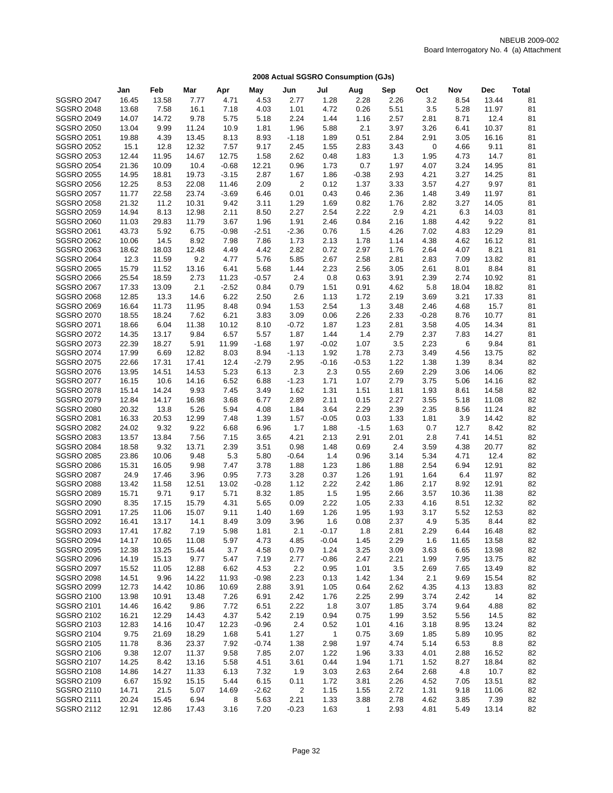|                                        | Jan   | Feb   | Mar   | Apr     | May     | Jun                     | Jul          | Aug     | Sep  | Oct     | Nov         | <b>Dec</b> | <b>Total</b> |
|----------------------------------------|-------|-------|-------|---------|---------|-------------------------|--------------|---------|------|---------|-------------|------------|--------------|
| <b>SGSRO 2047</b>                      | 16.45 | 13.58 | 7.77  | 4.71    | 4.53    | 2.77                    | 1.28         | 2.28    | 2.26 | 3.2     | 8.54        | 13.44      | 81           |
| <b>SGSRO 2048</b>                      | 13.68 | 7.58  | 16.1  | 7.18    | 4.03    | 1.01                    | 4.72         | 0.26    | 5.51 | 3.5     | 5.28        | 11.97      | 81           |
| <b>SGSRO 2049</b>                      | 14.07 | 14.72 | 9.78  | 5.75    | 5.18    | 2.24                    | 1.44         | 1.16    | 2.57 | 2.81    | 8.71        | 12.4       | 81           |
| <b>SGSRO 2050</b>                      | 13.04 | 9.99  | 11.24 | 10.9    | 1.81    | 1.96                    | 5.88         | 2.1     | 3.97 | 3.26    | 6.41        | 10.37      | 81           |
| <b>SGSRO 2051</b>                      | 19.88 | 4.39  | 13.45 | 8.13    | 8.93    | $-1.18$                 | 1.89         | 0.51    | 2.84 | 2.91    | 3.05        | 16.16      | 81           |
| <b>SGSRO 2052</b>                      | 15.1  | 12.8  | 12.32 | 7.57    | 9.17    | 2.45                    | 1.55         | 2.83    | 3.43 | 0       | 4.66        | 9.11       | 81           |
| <b>SGSRO 2053</b>                      | 12.44 | 11.95 | 14.67 | 12.75   | 1.58    | 2.62                    | 0.48         | 1.83    | 1.3  | 1.95    | 4.73        | 14.7       | 81           |
| <b>SGSRO 2054</b>                      | 21.36 | 10.09 | 10.4  | $-0.68$ | 12.21   | 0.96                    | 1.73         | 0.7     | 1.97 | 4.07    | 3.24        | 14.95      | 81           |
| <b>SGSRO 2055</b>                      | 14.95 | 18.81 | 19.73 | $-3.15$ | 2.87    | 1.67                    | 1.86         | $-0.38$ | 2.93 | 4.21    | 3.27        | 14.25      | 81           |
| <b>SGSRO 2056</b>                      | 12.25 | 8.53  | 22.08 | 11.46   | 2.09    | 2                       | 0.12         | 1.37    | 3.33 | 3.57    | 4.27        | 9.97       | 81           |
| <b>SGSRO 2057</b>                      | 11.77 | 22.58 | 23.74 | $-3.69$ | 6.46    | 0.01                    | 0.43         | 0.46    | 2.36 | 1.48    | 3.49        | 11.97      | 81           |
| <b>SGSRO 2058</b>                      | 21.32 | 11.2  | 10.31 | 9.42    | 3.11    | 1.29                    | 1.69         | 0.82    | 1.76 | 2.82    | 3.27        | 14.05      | 81           |
| <b>SGSRO 2059</b>                      | 14.94 | 8.13  | 12.98 | 2.11    | 8.50    | 2.27                    | 2.54         | 2.22    | 2.9  | 4.21    | 6.3         | 14.03      | 81           |
| <b>SGSRO 2060</b>                      | 11.03 | 29.83 | 11.79 | 3.67    | 1.96    | 1.91                    | 2.46         | 0.84    | 2.16 | 1.88    | 4.42        | 9.22       | 81           |
| <b>SGSRO 2061</b>                      | 43.73 | 5.92  | 6.75  | $-0.98$ | $-2.51$ | $-2.36$                 | 0.76         | 1.5     | 4.26 | 7.02    | 4.83        | 12.29      | 81           |
| <b>SGSRO 2062</b>                      | 10.06 | 14.5  | 8.92  | 7.98    | 7.86    | 1.73                    | 2.13         | 1.78    | 1.14 | 4.38    | 4.62        | 16.12      | 81           |
| <b>SGSRO 2063</b>                      | 18.62 | 18.03 | 12.48 | 4.49    | 4.42    | 2.82                    | 0.72         | 2.97    | 1.76 | 2.64    | 4.07        | 8.21       | 81           |
| <b>SGSRO 2064</b>                      | 12.3  | 11.59 | 9.2   | 4.77    | 5.76    | 5.85                    | 2.67         | 2.58    | 2.81 | 2.83    | 7.09        | 13.82      | 81           |
| <b>SGSRO 2065</b>                      | 15.79 | 11.52 | 13.16 | 6.41    | 5.68    | 1.44                    | 2.23         | 2.56    | 3.05 | 2.61    | 8.01        | 8.84       | 81           |
| <b>SGSRO 2066</b>                      | 25.54 | 18.59 | 2.73  | 11.23   | $-0.57$ | 2.4                     | 0.8          | 0.63    | 3.91 | 2.39    | 2.74        | 10.92      | 81           |
| <b>SGSRO 2067</b>                      | 17.33 | 13.09 | 2.1   | $-2.52$ | 0.84    | 0.79                    | 1.51         | 0.91    | 4.62 | 5.8     | 18.04       | 18.82      | 81           |
| <b>SGSRO 2068</b>                      | 12.85 | 13.3  | 14.6  | 6.22    | 2.50    | 2.6                     | 1.13         | 1.72    | 2.19 | 3.69    | 3.21        | 17.33      | 81           |
| <b>SGSRO 2069</b>                      | 16.64 | 11.73 | 11.95 | 8.48    | 0.94    | 1.53                    | 2.54         | 1.3     | 3.48 | 2.46    | 4.68        | 15.7       | 81           |
| <b>SGSRO 2070</b>                      | 18.55 | 18.24 | 7.62  | 6.21    | 3.83    | 3.09                    | 0.06         | 2.26    | 2.33 | $-0.28$ | 8.76        | 10.77      | 81           |
| <b>SGSRO 2071</b>                      | 18.66 | 6.04  | 11.38 | 10.12   | 8.10    | $-0.72$                 | 1.87         | 1.23    | 2.81 | 3.58    | 4.05        | 14.34      | 81           |
| <b>SGSRO 2072</b>                      | 14.35 | 13.17 | 9.84  | 6.57    | 5.57    | 1.87                    | 1.44         | 1.4     | 2.79 | 2.37    | 7.83        | 14.27      | 81           |
| <b>SGSRO 2073</b>                      | 22.39 | 18.27 | 5.91  | 11.99   | $-1.68$ | 1.97                    | $-0.02$      | 1.07    | 3.5  | 2.23    | 6           | 9.84       | 81           |
| <b>SGSRO 2074</b>                      | 17.99 | 6.69  | 12.82 | 8.03    | 8.94    | $-1.13$                 | 1.92         | 1.78    | 2.73 | 3.49    | 4.56        | 13.75      | 82           |
| <b>SGSRO 2075</b>                      | 22.66 | 17.31 | 17.41 | 12.4    | $-2.79$ | 2.95                    | $-0.16$      | $-0.53$ | 1.22 | 1.38    | 1.39        | 8.34       | 82           |
| <b>SGSRO 2076</b>                      | 13.95 | 14.51 | 14.53 | 5.23    | 6.13    | 2.3                     | 2.3          | 0.55    | 2.69 | 2.29    | 3.06        | 14.06      | 82           |
| <b>SGSRO 2077</b>                      | 16.15 | 10.6  | 14.16 | 6.52    | 6.88    | $-1.23$                 | 1.71         | 1.07    | 2.79 | 3.75    | 5.06        | 14.16      | 82           |
| <b>SGSRO 2078</b>                      | 15.14 | 14.24 | 9.93  | 7.45    | 3.49    | 1.62                    | 1.31         | 1.51    | 1.81 | 1.93    | 8.61        | 14.58      | 82           |
| <b>SGSRO 2079</b>                      | 12.84 | 14.17 | 16.98 | 3.68    | 6.77    | 2.89                    | 2.11         | 0.15    | 2.27 | 3.55    | 5.18        | 11.08      | 82           |
| <b>SGSRO 2080</b>                      | 20.32 | 13.8  | 5.26  | 5.94    | 4.08    | 1.84                    | 3.64         | 2.29    | 2.39 | 2.35    | 8.56        | 11.24      | 82           |
| <b>SGSRO 2081</b>                      | 16.33 | 20.53 | 12.99 | 7.48    | 1.39    | 1.57                    | $-0.05$      | 0.03    | 1.33 | 1.81    | 3.9         | 14.42      | 82           |
| <b>SGSRO 2082</b>                      | 24.02 | 9.32  | 9.22  | 6.68    | 6.96    | 1.7                     | 1.88         | $-1.5$  | 1.63 | 0.7     | 12.7        | 8.42       | 82           |
| <b>SGSRO 2083</b>                      | 13.57 | 13.84 | 7.56  | 7.15    | 3.65    | 4.21                    | 2.13         | 2.91    | 2.01 | 2.8     | 7.41        | 14.51      | 82           |
| <b>SGSRO 2084</b>                      | 18.58 | 9.32  | 13.71 | 2.39    | 3.51    | 0.98                    | 1.48         | 0.69    | 2.4  | 3.59    | 4.38        | 20.77      | 82           |
| <b>SGSRO 2085</b>                      | 23.86 | 10.06 | 9.48  | 5.3     | 5.80    | $-0.64$                 | 1.4          | 0.96    | 3.14 | 5.34    | 4.71        | 12.4       | 82           |
| <b>SGSRO 2086</b>                      | 15.31 | 16.05 | 9.98  | 7.47    | 3.78    | 1.88                    | 1.23         | 1.86    | 1.88 | 2.54    | 6.94        | 12.91      | 82           |
|                                        |       | 17.46 |       | 0.95    |         |                         |              |         |      | 1.64    |             | 11.97      | 82           |
| <b>SGSRO 2087</b><br><b>SGSRO 2088</b> | 24.9  |       | 3.96  |         | 7.73    | 3.28                    | 0.37<br>2.22 | 1.26    | 1.91 |         | 6.4<br>8.92 | 12.91      | 82           |
| <b>SGSRO 2089</b>                      | 13.42 | 11.58 | 12.51 | 13.02   | $-0.28$ | 1.12                    |              | 2.42    | 1.86 | 2.17    |             |            | 82           |
|                                        | 15.71 | 9.71  | 9.17  | 5.71    | 8.32    | 1.85                    | $1.5$        | 1.95    | 2.66 | 3.57    | 10.36       | 11.38      |              |
| <b>SGSRO 2090</b>                      | 8.35  | 17.15 | 15.79 | 4.31    | 5.65    | 0.09                    | 2.22         | 1.05    | 2.33 | 4.16    | 8.51        | 12.32      | 82           |
| <b>SGSRO 2091</b>                      | 17.25 | 11.06 | 15.07 | 9.11    | 1.40    | 1.69                    | 1.26         | 1.95    | 1.93 | 3.17    | 5.52        | 12.53      | 82           |
| <b>SGSRO 2092</b>                      | 16.41 | 13.17 | 14.1  | 8.49    | 3.09    | 3.96                    | 1.6          | 0.08    | 2.37 | 4.9     | 5.35        | 8.44       | 82           |
| <b>SGSRO 2093</b>                      | 17.41 | 17.82 | 7.19  | 5.98    | 1.81    | 2.1                     | -0.17        | 1.8     | 2.81 | 2.29    | 6.44        | 16.48      | 82           |
| <b>SGSRO 2094</b>                      | 14.17 | 10.65 | 11.08 | 5.97    | 4.73    | 4.85                    | $-0.04$      | 1.45    | 2.29 | 1.6     | 11.65       | 13.58      | 82           |
| <b>SGSRO 2095</b>                      | 12.38 | 13.25 | 15.44 | 3.7     | 4.58    | 0.79                    | 1.24         | 3.25    | 3.09 | 3.63    | 6.65        | 13.98      | 82           |
| <b>SGSRO 2096</b>                      | 14.19 | 15.13 | 9.77  | 5.47    | 7.19    | 2.77                    | $-0.86$      | 2.47    | 2.21 | 1.99    | 7.95        | 13.75      | 82           |
| <b>SGSRO 2097</b>                      | 15.52 | 11.05 | 12.88 | 6.62    | 4.53    | 2.2                     | 0.95         | 1.01    | 3.5  | 2.69    | 7.65        | 13.49      | 82           |
| <b>SGSRO 2098</b>                      | 14.51 | 9.96  | 14.22 | 11.93   | $-0.98$ | 2.23                    | 0.13         | 1.42    | 1.34 | 2.1     | 9.69        | 15.54      | 82           |
| <b>SGSRO 2099</b>                      | 12.73 | 14.42 | 10.86 | 10.69   | 2.88    | 3.91                    | 1.05         | 0.64    | 2.62 | 4.35    | 4.13        | 13.83      | 82           |
| <b>SGSRO 2100</b>                      | 13.98 | 10.91 | 13.48 | 7.26    | 6.91    | 2.42                    | 1.76         | 2.25    | 2.99 | 3.74    | 2.42        | 14         | 82           |
| <b>SGSRO 2101</b>                      | 14.46 | 16.42 | 9.86  | 7.72    | 6.51    | 2.22                    | 1.8          | 3.07    | 1.85 | 3.74    | 9.64        | 4.88       | 82           |
| <b>SGSRO 2102</b>                      | 16.21 | 12.29 | 14.43 | 4.37    | 5.42    | 2.19                    | 0.94         | 0.75    | 1.99 | 3.52    | 5.56        | 14.5       | 82           |
| <b>SGSRO 2103</b>                      | 12.83 | 14.16 | 10.47 | 12.23   | $-0.96$ | $2.4\,$                 | 0.52         | 1.01    | 4.16 | 3.18    | 8.95        | 13.24      | 82           |
| <b>SGSRO 2104</b>                      | 9.75  | 21.69 | 18.29 | 1.68    | 5.41    | 1.27                    | $\mathbf{1}$ | 0.75    | 3.69 | 1.85    | 5.89        | 10.95      | 82           |
| <b>SGSRO 2105</b>                      | 11.78 | 8.36  | 23.37 | 7.92    | $-0.74$ | 1.38                    | 2.98         | 1.97    | 4.74 | 5.14    | 6.53        | 8.8        | 82           |
| <b>SGSRO 2106</b>                      | 9.38  | 12.07 | 11.37 | 9.58    | 7.85    | 2.07                    | 1.22         | 1.96    | 3.33 | 4.01    | 2.88        | 16.52      | 82           |
| <b>SGSRO 2107</b>                      | 14.25 | 8.42  | 13.16 | 5.58    | 4.51    | 3.61                    | 0.44         | 1.94    | 1.71 | 1.52    | 8.27        | 18.84      | 82           |
| <b>SGSRO 2108</b>                      | 14.86 | 14.27 | 11.33 | 6.13    | 7.32    | 1.9                     | 3.03         | 2.63    | 2.64 | 2.68    | 4.8         | 10.7       | 82           |
| <b>SGSRO 2109</b>                      | 6.67  | 15.92 | 15.15 | 5.44    | 6.15    | 0.11                    | 1.72         | 3.81    | 2.26 | 4.52    | 7.05        | 13.51      | 82           |
| <b>SGSRO 2110</b>                      | 14.71 | 21.5  | 5.07  | 14.69   | $-2.62$ | $\overline{\mathbf{c}}$ | 1.15         | 1.55    | 2.72 | 1.31    | 9.18        | 11.06      | 82           |
| <b>SGSRO 2111</b>                      | 20.24 | 15.45 | 6.94  | 8       | 5.63    | 2.21                    | 1.33         | 3.88    | 2.78 | 4.62    | 3.85        | 7.39       | 82           |
| <b>SGSRO 2112</b>                      | 12.91 | 12.86 | 17.43 | 3.16    | 7.20    | $-0.23$                 | 1.63         | 1       | 2.93 | 4.81    | 5.49        | 13.14      | 82           |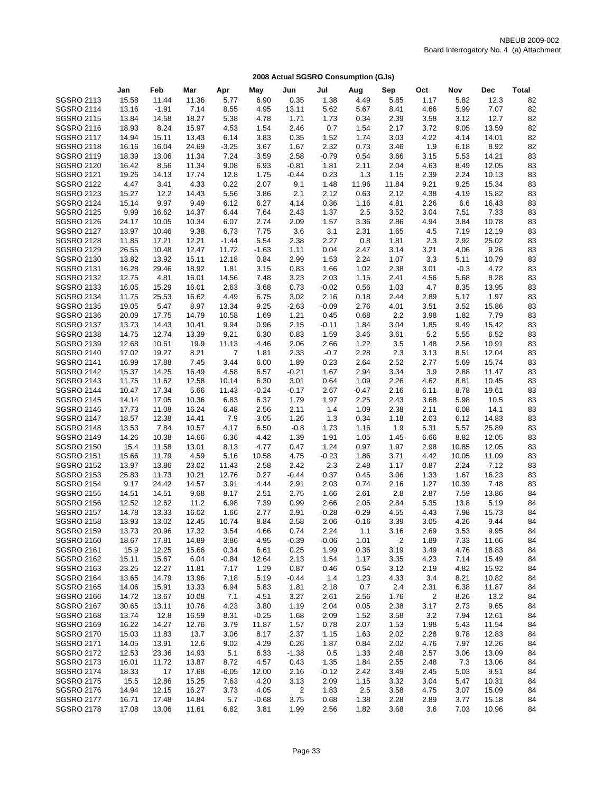|                                        | Jan            | Feb            | Mar            | Apr                     | May             | Jun             | Jul          | Aug          | Sep          | Oct          | Nov          | Dec            | Total    |
|----------------------------------------|----------------|----------------|----------------|-------------------------|-----------------|-----------------|--------------|--------------|--------------|--------------|--------------|----------------|----------|
| <b>SGSRO 2113</b>                      | 15.58          | 11.44          | 11.36          | 5.77                    | 6.90            | 0.35            | 1.38         | 4.49         | 5.85         | 1.17         | 5.82         | 12.3           | 82       |
| <b>SGSRO 2114</b>                      | 13.16          | $-1.91$        | 7.14           | 8.55                    | 4.95            | 13.11           | 5.62         | 5.67         | 8.41         | 4.66         | 5.99         | 7.07           | 82       |
| <b>SGSRO 2115</b>                      | 13.84          | 14.58          | 18.27          | 5.38                    | 4.78            | 1.71            | 1.73         | 0.34         | 2.39         | 3.58         | 3.12         | 12.7           | 82       |
| <b>SGSRO 2116</b>                      | 18.93          | 8.24           | 15.97          | 4.53                    | 1.54            | 2.46            | 0.7          | 1.54         | 2.17         | 3.72         | 9.05         | 13.59          | 82       |
| <b>SGSRO 2117</b>                      | 14.94          | 15.11          | 13.43          | 6.14                    | 3.83            | 0.35            | 1.52         | 1.74         | 3.03         | 4.22         | 4.14         | 14.01          | 82       |
| <b>SGSRO 2118</b>                      | 16.16          | 16.04          | 24.69          | $-3.25$                 | 3.67            | 1.67            | 2.32         | 0.73         | 3.46         | 1.9          | 6.18         | 8.92           | 82       |
| <b>SGSRO 2119</b>                      | 18.39          | 13.06          | 11.34          | 7.24                    | 3.59            | 2.58            | $-0.79$      | 0.54         | 3.66         | 3.15         | 5.53         | 14.21          | 83       |
| <b>SGSRO 2120</b>                      | 16.42          | 8.56           | 11.34          | 9.08                    | 6.93            | $-0.81$         | 1.81         | 2.11         | 2.04         | 4.63         | 8.49         | 12.05          | 83       |
| <b>SGSRO 2121</b>                      | 19.26          | 14.13          | 17.74          | 12.8                    | 1.75            | $-0.44$         | 0.23         | 1.3          | 1.15         | 2.39         | 2.24         | 10.13          | 83       |
| <b>SGSRO 2122</b>                      | 4.47           | 3.41           | 4.33           | 0.22                    | 2.07            | 9.1             | 1.48         | 11.96        | 11.84        | 9.21         | 9.25         | 15.34          | 83       |
| <b>SGSRO 2123</b>                      | 15.27          | 12.2           | 14.43          | 5.56                    | 3.86            | 2.1             | 2.12         | 0.63         | 2.12         | 4.38         | 4.19         | 15.82          | 83       |
| <b>SGSRO 2124</b>                      | 15.14          | 9.97           | 9.49           | 6.12                    | 6.27            | 4.14            | 0.36         | 1.16         | 4.81         | 2.26         | 6.6          | 16.43          | 83       |
| <b>SGSRO 2125</b>                      | 9.99           | 16.62          | 14.37          | 6.44                    | 7.64            | 2.43            | 1.37         | 2.5          | 3.52         | 3.04         | 7.51         | 7.33           | 83       |
| <b>SGSRO 2126</b>                      | 24.17          | 10.05          | 10.34          | 6.07                    | 2.74            | 2.09            | 1.57         | 3.36         | 2.86         | 4.94         | 3.84         | 10.78          | 83       |
| <b>SGSRO 2127</b>                      | 13.97          | 10.46          | 9.38           | 6.73                    | 7.75            | 3.6             | 3.1          | 2.31         | 1.65         | 4.5          | 7.19         | 12.19          | 83       |
| <b>SGSRO 2128</b>                      | 11.85          | 17.21          | 12.21          | $-1.44$                 | 5.54            | 2.38            | 2.27         | 0.8          | 1.81         | 2.3          | 2.92         | 25.02          | 83       |
| <b>SGSRO 2129</b>                      | 26.55          | 10.48          | 12.47          | 11.72                   | $-1.63$         | 1.11            | 0.04         | 2.47         | 3.14         | 3.21         | 4.06         | 9.26           | 83       |
| <b>SGSRO 2130</b>                      | 13.82          | 13.92          | 15.11          | 12.18                   | 0.84            | 2.99            | 1.53         | 2.24         | 1.07         | 3.3          | 5.11         | 10.79          | 83       |
| <b>SGSRO 2131</b>                      | 16.28          | 29.46          | 18.92          | 1.81                    | 3.15            | 0.83            | 1.66         | 1.02         | 2.38         | 3.01         | $-0.3$       | 4.72           | 83       |
| <b>SGSRO 2132</b>                      | 12.75          | 4.81           | 16.01          | 14.56                   | 7.48            | 3.23            | 2.03         | 1.15         | 2.41         | 4.56         | 5.68         | 8.28           | 83       |
| SGSRO 2133                             | 16.05          | 15.29          | 16.01          | 2.63                    | 3.68            | 0.73            | $-0.02$      | 0.56         | 1.03         | 4.7          | 8.35         | 13.95          | 83       |
| <b>SGSRO 2134</b>                      | 11.75          | 25.53          | 16.62          | 4.49                    | 6.75            | 3.02            | 2.16         | 0.18         | 2.44         | 2.89         | 5.17         | 1.97           | 83       |
| <b>SGSRO 2135</b>                      | 19.05          | 5.47           | 8.97           | 13.34                   | 9.25            | $-2.63$         | $-0.09$      | 2.76         | 4.01         | 3.51         | 3.52         | 15.86          | 83       |
| SGSRO 2136                             | 20.09          | 17.75          | 14.79          | 10.58                   | 1.69            | 1.21            | 0.45         | 0.68         | 2.2          | 3.98         | 1.82         | 7.79           | 83       |
| <b>SGSRO 2137</b>                      | 13.73          | 14.43          | 10.41          | 9.94                    | 0.96            | 2.15            | $-0.11$      | 1.84         | 3.04         | 1.85         | 9.49         | 15.42          | 83       |
| <b>SGSRO 2138</b>                      | 14.75          | 12.74          | 13.39          | 9.21                    | 6.30            | 0.83            | 1.59         | 3.46         | 3.61         | 5.2          | 5.55         | 6.52           | 83       |
| <b>SGSRO 2139</b>                      | 12.68          | 10.61          | 19.9           | 11.13<br>$\overline{7}$ | 4.46            | 2.06            | 2.66         | 1.22         | 3.5          | 1.48         | 2.56         | 10.91          | 83       |
| <b>SGSRO 2140</b>                      | 17.02          | 19.27          | 8.21           | 3.44                    | 1.81            | 2.33            | $-0.7$       | 2.28<br>2.64 | 2.3          | 3.13<br>2.77 | 8.51         | 12.04<br>15.74 | 83<br>83 |
| <b>SGSRO 2141</b><br><b>SGSRO 2142</b> | 16.99          | 17.88<br>14.25 | 7.45<br>16.49  | 4.58                    | 6.00<br>6.57    | 1.89            | 0.23<br>1.67 |              | 2.52<br>3.34 | 3.9          | 5.69<br>2.88 | 11.47          |          |
| <b>SGSRO 2143</b>                      | 15.37<br>11.75 | 11.62          | 12.58          | 10.14                   | 6.30            | $-0.21$<br>3.01 | 0.64         | 2.94<br>1.09 | 2.26         | 4.62         | 8.81         | 10.45          | 83<br>83 |
| <b>SGSRO 2144</b>                      | 10.47          | 17.34          | 5.66           | 11.43                   | $-0.24$         | $-0.17$         | 2.67         | $-0.47$      | 2.16         | 6.11         | 8.78         | 19.61          | 83       |
| <b>SGSRO 2145</b>                      | 14.14          | 17.05          | 10.36          | 6.83                    | 6.37            | 1.79            | 1.97         | 2.25         | 2.43         | 3.68         | 5.98         | 10.5           | 83       |
| <b>SGSRO 2146</b>                      | 17.73          | 11.08          | 16.24          | 6.48                    | 2.56            | 2.11            | 1.4          | 1.09         | 2.38         | 2.11         | 6.08         | 14.1           | 83       |
| <b>SGSRO 2147</b>                      | 18.57          | 12.38          | 14.41          | 7.9                     | 3.05            | 1.26            | 1.3          | 0.34         | 1.18         | 2.03         | 6.12         | 14.83          | 83       |
| <b>SGSRO 2148</b>                      | 13.53          | 7.84           | 10.57          | 4.17                    | 6.50            | $-0.8$          | 1.73         | 1.16         | 1.9          | 5.31         | 5.57         | 25.89          | 83       |
| <b>SGSRO 2149</b>                      | 14.26          | 10.38          | 14.66          | 6.36                    | 4.42            | 1.39            | 1.91         | 1.05         | 1.45         | 6.66         | 8.82         | 12.05          | 83       |
| <b>SGSRO 2150</b>                      | 15.4           | 11.58          | 13.01          | 8.13                    | 4.77            | 0.47            | 1.24         | 0.97         | 1.97         | 2.98         | 10.85        | 12.05          | 83       |
| <b>SGSRO 2151</b>                      | 15.66          | 11.79          | 4.59           | 5.16                    | 10.58           | 4.75            | $-0.23$      | 1.86         | 3.71         | 4.42         | 10.05        | 11.09          | 83       |
| <b>SGSRO 2152</b>                      | 13.97          | 13.86          | 23.02          | 11.43                   | 2.58            | 2.42            | 2.3          | 2.48         | 1.17         | 0.87         | 2.24         | 7.12           | 83       |
| <b>SGSRO 2153</b>                      | 25.83          | 11.73          | 10.21          | 12.76                   | 0.27            | $-0.44$         | 0.37         | 0.45         | 3.06         | 1.33         | 1.67         | 16.23          | 83       |
| <b>SGSRO 2154</b>                      | 9.17           | 24.42          | 14.57          | 3.91                    | 4.44            | 2.91            | 2.03         | 0.74         | 2.16         | 1.27         | 10.39        | 7.48           | 83       |
| <b>SGSRO 2155</b>                      | 14.51          | 14.51          | 9.68           | 8.17                    | 2.51            | 2.75            | 1.66         | 2.61         | 2.8          | 2.87         | 7.59         | 13.86          | 84       |
| <b>SGSRO 2156</b>                      | 12.52          | 12.62          | 11.2           | 6.98                    | 7.39            | 0.99            | 2.66         | 2.05         | 2.84         | 5.35         | 13.8         | 5.19           | 84       |
| <b>SGSRO 2157</b>                      | 14.78          | 13.33          | 16.02          | 1.66                    | 2.77            | 2.91            | $-0.28$      | $-0.29$      | 4.55         | 4.43         | 7.98         | 15.73          | 84       |
| <b>SGSRO 2158</b>                      | 13.93          | 13.02          | 12.45          | 10.74                   | 8.84            | 2.58            | 2.06         | $-0.16$      | 3.39         | 3.05         | 4.26         | 9.44           | 84       |
| <b>SGSRO 2159</b>                      | 13.73          | 20.96          | 17.32          | 3.54                    | 4.66            | 0.74            | 2.24         | 1.1          | 3.16         | 2.69         | 3.53         | 9.95           | 84       |
| <b>SGSRO 2160</b>                      | 18.67          | 17.81          | 14.89          | 3.86                    | 4.95            | $-0.39$         | $-0.06$      | 1.01         | 2            | 1.89         | 7.33         | 11.66          | 84       |
| <b>SGSRO 2161</b>                      | 15.9           | 12.25          | 15.66          | 0.34                    | 6.61            | 0.25            | 1.99         | 0.36         | 3.19         | 3.49         | 4.76         | 18.83          | 84       |
| <b>SGSRO 2162</b>                      | 15.11          | 15.67          | 6.04           | $-0.84$                 | 12.64           | 2.13            | 1.54         | 1.17         | 3.35         | 4.23         | 7.14         | 15.49          | 84       |
| SGSRO 2163                             | 23.25          | 12.27          | 11.81          | 7.17                    | 1.29            | 0.87            | 0.46         | 0.54         | 3.12         | 2.19         | 4.82         | 15.92          | 84       |
| <b>SGSRO 2164</b>                      | 13.65          | 14.79          | 13.96          | 7.18                    | 5.19            | $-0.44$         | 1.4          | 1.23         | 4.33         | 3.4          | 8.21         | 10.82          | 84       |
| <b>SGSRO 2165</b>                      | 14.06          | 15.91          | 13.33          | 6.94                    | 5.83            | 1.81            | 2.18         | 0.7          | 2.4          | 2.31         | 6.38         | 11.87          | 84       |
| <b>SGSRO 2166</b>                      | 14.72          | 13.67          | 10.08          | 7.1                     | 4.51            | 3.27            | 2.61         | 2.56         | 1.76         | 2            | 8.26         | 13.2           | 84       |
| <b>SGSRO 2167</b>                      | 30.65          | 13.11          | 10.76          | 4.23                    | 3.80            | 1.19            | 2.04         | 0.05         | 2.38         | 3.17         | 2.73         | 9.65           | 84       |
| <b>SGSRO 2168</b>                      | 13.74          | 12.8           | 16.59          | 8.31                    | $-0.25$         | 1.68            | 2.09         | 1.52         | 3.58         | 3.2          | 7.94         | 12.61          | 84       |
| <b>SGSRO 2169</b>                      | 16.22          | 14.27          | 12.76          | 3.79                    | 11.87           | 1.57            | 0.78         | 2.07         | 1.53         | 1.98         | 5.43         | 11.54          | 84       |
| <b>SGSRO 2170</b>                      | 15.03          | 11.83          | 13.7           | 3.06                    | 8.17            | 2.37            | 1.15         | 1.63         | 2.02         | 2.28         | 9.78         | 12.83          | 84       |
| <b>SGSRO 2171</b>                      | 14.05          | 13.91          | 12.6           | 9.02                    | 4.29            | 0.26            | 1.87         | 0.84         | 2.02         | 4.76         | 7.97         | 12.26          | 84       |
| <b>SGSRO 2172</b>                      | 12.53          | 23.36          | 14.93          | 5.1                     | 6.33            | $-1.38$         | 0.5          | 1.33         | 2.48         | 2.57         | 3.06         | 13.09          | 84       |
| <b>SGSRO 2173</b>                      | 16.01          | 11.72          | 13.87          | 8.72                    | 4.57            | 0.43            | 1.35         | 1.84         | 2.55         | 2.48         | 7.3          | 13.06          | 84       |
| <b>SGSRO 2174</b>                      | 18.33          | 17             | 17.68          | $-6.05$                 | 12.00           | 2.16            | $-0.12$      | 2.42         | 3.49         | 2.45         | 5.03         | 9.51           | 84       |
| <b>SGSRO 2175</b>                      | 15.5           | 12.86          | 15.25          | 7.63                    | 4.20            | 3.13            | 2.09         | 1.15         | 3.32         | 3.04         | 5.47         | 10.31          | 84       |
| <b>SGSRO 2176</b><br><b>SGSRO 2177</b> | 14.94<br>16.71 | 12.15<br>17.48 | 16.27<br>14.84 | 3.73<br>5.7             | 4.05<br>$-0.68$ | 2<br>3.75       | 1.83<br>0.68 | 2.5<br>1.38  | 3.58<br>2.28 | 4.75<br>2.89 | 3.07<br>3.77 | 15.09<br>15.18 | 84<br>84 |
| <b>SGSRO 2178</b>                      | 17.08          | 13.06          | 11.61          | 6.82                    | 3.81            | 1.99            | 2.56         | 1.82         | 3.68         | 3.6          | 7.03         | 10.96          | 84       |
|                                        |                |                |                |                         |                 |                 |              |              |              |              |              |                |          |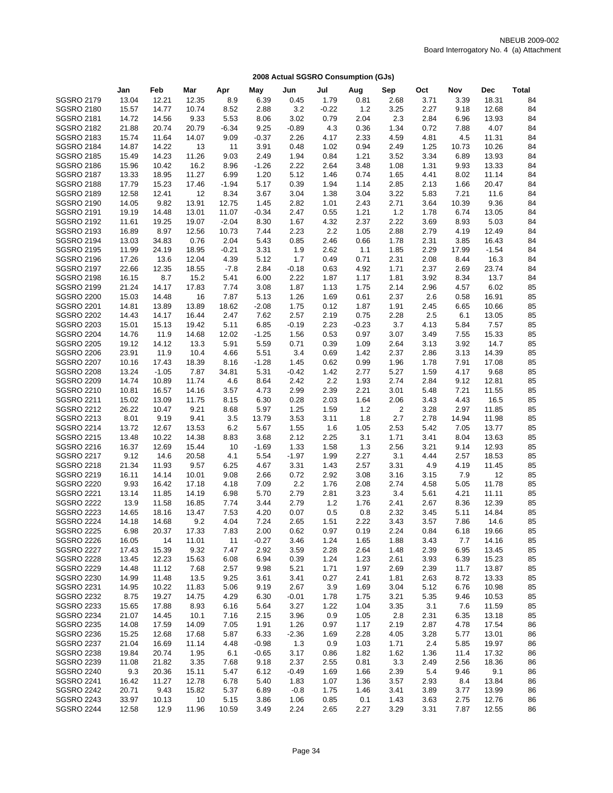|                   | Jan   | Feb     | Mar   | Apr     | May     | Jun     | Jul     | Aug     | Sep  | Oct  | Nov   | <b>Dec</b> | <b>Total</b> |
|-------------------|-------|---------|-------|---------|---------|---------|---------|---------|------|------|-------|------------|--------------|
| <b>SGSRO 2179</b> | 13.04 | 12.21   | 12.35 | 8.9     | 6.39    | 0.45    | 1.79    | 0.81    | 2.68 | 3.71 | 3.39  | 18.31      | 84           |
| <b>SGSRO 2180</b> | 15.57 | 14.77   | 10.74 | 8.52    | 2.88    | 3.2     | $-0.22$ | 1.2     | 3.25 | 2.27 | 9.18  | 12.68      | 84           |
| <b>SGSRO 2181</b> | 14.72 | 14.56   | 9.33  | 5.53    | 8.06    | 3.02    | 0.79    | 2.04    | 2.3  | 2.84 | 6.96  | 13.93      | 84           |
| <b>SGSRO 2182</b> | 21.88 | 20.74   | 20.79 | $-6.34$ | 9.25    | $-0.89$ | 4.3     | 0.36    | 1.34 | 0.72 | 7.88  | 4.07       | 84           |
| <b>SGSRO 2183</b> | 15.74 | 11.64   | 14.07 | 9.09    | $-0.37$ | 2.26    | 4.17    | 2.33    | 4.59 | 4.81 | 4.5   | 11.31      | 84           |
| <b>SGSRO 2184</b> | 14.87 | 14.22   | 13    | 11      | 3.91    | 0.48    | 1.02    | 0.94    | 2.49 | 1.25 | 10.73 | 10.26      | 84           |
| <b>SGSRO 2185</b> | 15.49 | 14.23   | 11.26 | 9.03    | 2.49    | 1.94    | 0.84    | 1.21    | 3.52 | 3.34 | 6.89  | 13.93      | 84           |
| <b>SGSRO 2186</b> | 15.96 | 10.42   | 16.2  | 8.96    | $-1.26$ | 2.22    | 2.64    | 3.48    | 1.08 | 1.31 | 9.93  | 13.33      | 84           |
| <b>SGSRO 2187</b> | 13.33 | 18.95   | 11.27 | 6.99    | 1.20    | 5.12    | 1.46    | 0.74    | 1.65 | 4.41 | 8.02  | 11.14      | 84           |
| <b>SGSRO 2188</b> | 17.79 | 15.23   | 17.46 | $-1.94$ | 5.17    | 0.39    | 1.94    | 1.14    | 2.85 | 2.13 | 1.66  | 20.47      | 84           |
| <b>SGSRO 2189</b> | 12.58 | 12.41   | 12    | 8.34    | 3.67    | 3.04    | 1.38    | 3.04    | 3.22 | 5.83 | 7.21  | 11.6       | 84           |
| <b>SGSRO 2190</b> | 14.05 | 9.82    | 13.91 | 12.75   | 1.45    | 2.82    | 1.01    | 2.43    | 2.71 | 3.64 | 10.39 | 9.36       | 84           |
| <b>SGSRO 2191</b> | 19.19 | 14.48   | 13.01 | 11.07   | $-0.34$ | 2.47    | 0.55    | 1.21    | 1.2  | 1.78 | 6.74  | 13.05      | 84           |
| <b>SGSRO 2192</b> | 11.61 | 19.25   | 19.07 | $-2.04$ | 8.30    | 1.67    | 4.32    | 2.37    | 2.22 | 3.69 | 8.93  | 5.03       | 84           |
| <b>SGSRO 2193</b> | 16.89 | 8.97    | 12.56 | 10.73   | 7.44    | 2.23    | 2.2     | 1.05    | 2.88 | 2.79 | 4.19  | 12.49      | 84           |
| <b>SGSRO 2194</b> | 13.03 | 34.83   | 0.76  | 2.04    | 5.43    | 0.85    | 2.46    | 0.66    | 1.78 | 2.31 | 3.85  | 16.43      | 84           |
| <b>SGSRO 2195</b> | 11.99 | 24.19   | 18.95 | $-0.21$ | 3.31    | 1.9     | 2.62    | 1.1     | 1.85 | 2.29 | 17.99 | $-1.54$    | 84           |
| <b>SGSRO 2196</b> | 17.26 | 13.6    | 12.04 | 4.39    | 5.12    | 1.7     | 0.49    | 0.71    | 2.31 | 2.08 | 8.44  | 16.3       | 84           |
| <b>SGSRO 2197</b> | 22.66 | 12.35   | 18.55 | $-7.8$  | 2.84    | $-0.18$ | 0.63    | 4.92    | 1.71 | 2.37 | 2.69  | 23.74      | 84           |
| <b>SGSRO 2198</b> | 16.15 | 8.7     | 15.2  | 5.41    | 6.00    | 2.22    | 1.87    | 1.17    | 1.81 | 3.92 | 8.34  | 13.7       | 84           |
| <b>SGSRO 2199</b> | 21.24 | 14.17   | 17.83 | 7.74    | 3.08    | 1.87    | 1.13    | 1.75    | 2.14 | 2.96 | 4.57  | 6.02       | 85           |
| <b>SGSRO 2200</b> | 15.03 | 14.48   | 16    | 7.87    | 5.13    | 1.26    | 1.69    | 0.61    | 2.37 | 2.6  | 0.58  | 16.91      | 85           |
| <b>SGSRO 2201</b> | 14.81 | 13.89   | 13.89 | 18.62   | $-2.08$ | 1.75    | 0.12    | 1.87    | 1.91 | 2.45 | 6.65  | 10.66      | 85           |
| <b>SGSRO 2202</b> | 14.43 | 14.17   | 16.44 | 2.47    | 7.62    | 2.57    | 2.19    | 0.75    | 2.28 | 2.5  | 6.1   | 13.05      | 85           |
| <b>SGSRO 2203</b> | 15.01 | 15.13   | 19.42 | 5.11    | 6.85    | $-0.19$ | 2.23    | $-0.23$ | 3.7  | 4.13 | 5.84  | 7.57       | 85           |
| <b>SGSRO 2204</b> | 14.76 | 11.9    | 14.68 | 12.02   | $-1.25$ | 1.56    | 0.53    | 0.97    | 3.07 | 3.49 | 7.55  | 15.33      | 85           |
| <b>SGSRO 2205</b> | 19.12 | 14.12   | 13.3  | 5.91    | 5.59    | 0.71    | 0.39    | 1.09    | 2.64 | 3.13 | 3.92  | 14.7       | 85           |
| <b>SGSRO 2206</b> | 23.91 | 11.9    | 10.4  | 4.66    | 5.51    | 3.4     | 0.69    | 1.42    | 2.37 | 2.86 | 3.13  | 14.39      | 85           |
| <b>SGSRO 2207</b> | 10.16 | 17.43   | 18.39 | 8.16    | $-1.28$ | 1.45    | 0.62    | 0.99    | 1.96 | 1.78 | 7.91  | 17.08      | 85           |
| <b>SGSRO 2208</b> | 13.24 | $-1.05$ | 7.87  | 34.81   | 5.31    | $-0.42$ | 1.42    | 2.77    | 5.27 | 1.59 | 4.17  | 9.68       | 85           |
| <b>SGSRO 2209</b> | 14.74 | 10.89   | 11.74 | 4.6     | 8.64    | 2.42    | 2.2     | 1.93    | 2.74 | 2.84 | 9.12  | 12.81      | 85           |
| <b>SGSRO 2210</b> | 10.81 | 16.57   | 14.16 | 3.57    | 4.73    | 2.99    | 2.39    | 2.21    | 3.01 | 5.48 | 7.21  | 11.55      | 85           |
| <b>SGSRO 2211</b> | 15.02 | 13.09   | 11.75 | 8.15    | 6.30    | 0.28    | 2.03    | 1.64    | 2.06 | 3.43 | 4.43  | 16.5       | 85           |
| <b>SGSRO 2212</b> | 26.22 | 10.47   | 9.21  | 8.68    | 5.97    | 1.25    | 1.59    | $1.2$   | 2    | 3.28 | 2.97  | 11.85      | 85           |
| <b>SGSRO 2213</b> | 8.01  | 9.19    | 9.41  | 3.5     | 13.79   | 3.53    | 3.11    | 1.8     | 2.7  | 2.78 | 14.94 | 11.98      | 85           |
| <b>SGSRO 2214</b> | 13.72 | 12.67   | 13.53 | 6.2     | 5.67    | 1.55    | 1.6     | 1.05    | 2.53 | 5.42 | 7.05  | 13.77      | 85           |
| <b>SGSRO 2215</b> | 13.48 | 10.22   | 14.38 | 8.83    | 3.68    | 2.12    | 2.25    | 3.1     | 1.71 | 3.41 | 8.04  | 13.63      | 85           |
| <b>SGSRO 2216</b> | 16.37 | 12.69   | 15.44 | 10      | $-1.69$ | 1.33    | 1.58    | 1.3     | 2.56 | 3.21 | 9.14  | 12.93      | 85           |
| <b>SGSRO 2217</b> | 9.12  | 14.6    | 20.58 | 4.1     | 5.54    | $-1.97$ | 1.99    | 2.27    | 3.1  | 4.44 | 2.57  | 18.53      | 85           |
| <b>SGSRO 2218</b> | 21.34 | 11.93   | 9.57  | 6.25    | 4.67    | 3.31    | 1.43    | 2.57    | 3.31 | 4.9  | 4.19  | 11.45      | 85           |
| <b>SGSRO 2219</b> | 16.11 | 14.14   | 10.01 | 9.08    | 2.66    | 0.72    | 2.92    | 3.08    | 3.16 | 3.15 | 7.9   | 12         | 85           |
| <b>SGSRO 2220</b> | 9.93  | 16.42   | 17.18 | 4.18    | 7.09    | 2.2     | 1.76    | 2.08    | 2.74 | 4.58 | 5.05  | 11.78      | 85           |
| <b>SGSRO 2221</b> | 13.14 | 11.85   | 14.19 | 6.98    | 5.70    | 2.79    | 2.81    | 3.23    | 3.4  | 5.61 | 4.21  | 11.11      | 85           |
| <b>SGSRO 2222</b> | 13.9  | 11.58   | 16.85 | 7.74    | 3.44    | 2.79    | 1.2     | 1.76    | 2.41 | 2.67 | 8.36  | 12.39      | 85           |
| <b>SGSRO 2223</b> | 14.65 | 18.16   | 13.47 | 7.53    | 4.20    | 0.07    | 0.5     | 0.8     | 2.32 | 3.45 | 5.11  | 14.84      | 85           |
| <b>SGSRO 2224</b> | 14.18 | 14.68   | 9.2   | 4.04    | 7.24    | 2.65    | 1.51    | 2.22    | 3.43 | 3.57 | 7.86  | 14.6       | 85           |
| SGSRO 2225        | 6.98  | 20.37   | 17.33 | 7.83    | 2.00    | 0.62    | 0.97    | 0.19    | 2.24 | 0.84 | 6.18  | 19.66      | 85           |
| <b>SGSRO 2226</b> | 16.05 | 14      | 11.01 | 11      | $-0.27$ | 3.46    | 1.24    | 1.65    | 1.88 | 3.43 | 7.7   | 14.16      | 85           |
| <b>SGSRO 2227</b> | 17.43 | 15.39   | 9.32  | 7.47    | 2.92    | 3.59    | 2.28    | 2.64    | 1.48 | 2.39 | 6.95  | 13.45      | 85           |
| <b>SGSRO 2228</b> | 13.45 | 12.23   | 15.63 | 6.08    | 6.94    | 0.39    | 1.24    | 1.23    | 2.61 | 3.93 | 6.39  | 15.23      | 85           |
| <b>SGSRO 2229</b> | 14.48 | 11.12   | 7.68  | 2.57    | 9.98    | 5.21    | 1.71    | 1.97    | 2.69 | 2.39 | 11.7  | 13.87      | 85           |
| <b>SGSRO 2230</b> | 14.99 | 11.48   | 13.5  | 9.25    | 3.61    | 3.41    | 0.27    | 2.41    | 1.81 | 2.63 | 8.72  | 13.33      | 85           |
| <b>SGSRO 2231</b> | 14.95 | 10.22   | 11.83 | 5.06    | 9.19    | 2.67    | 3.9     | 1.69    | 3.04 | 5.12 | 6.76  | 10.98      | 85           |
| <b>SGSRO 2232</b> | 8.75  | 19.27   | 14.75 | 4.29    | 6.30    | $-0.01$ | 1.78    | 1.75    | 3.21 | 5.35 | 9.46  | 10.53      | 85           |
| <b>SGSRO 2233</b> | 15.65 | 17.88   | 8.93  | 6.16    | 5.64    | 3.27    | 1.22    | 1.04    | 3.35 | 3.1  | 7.6   | 11.59      | 85           |
| <b>SGSRO 2234</b> | 21.07 | 14.45   | 10.1  | 7.16    | 2.15    | 3.96    | 0.9     | 1.05    | 2.8  | 2.31 | 6.35  | 13.18      | 85           |
| SGSRO 2235        | 14.08 | 17.59   | 14.09 | 7.05    | 1.91    | 1.26    | 0.97    | 1.17    | 2.19 | 2.87 | 4.78  | 17.54      | 86           |
| <b>SGSRO 2236</b> | 15.25 | 12.68   | 17.68 | 5.87    | 6.33    | $-2.36$ | 1.69    | 2.28    | 4.05 | 3.28 | 5.77  | 13.01      | 86           |
| <b>SGSRO 2237</b> | 21.04 | 16.69   | 11.14 | 4.48    | $-0.98$ | 1.3     | 0.9     | 1.03    | 1.71 | 2.4  | 5.85  | 19.97      | 86           |
| <b>SGSRO 2238</b> | 19.84 | 20.74   | 1.95  | 6.1     | $-0.65$ | 3.17    | 0.86    | 1.82    | 1.62 | 1.36 | 11.4  | 17.32      | 86           |
| <b>SGSRO 2239</b> | 11.08 | 21.82   | 3.35  | 7.68    | 9.18    | 2.37    | 2.55    | 0.81    | 3.3  | 2.49 | 2.56  | 18.36      | 86           |
| <b>SGSRO 2240</b> | 9.3   | 20.36   | 15.11 | 5.47    | 6.12    | $-0.49$ | 1.69    | 1.66    | 2.39 | 5.4  | 9.46  | 9.1        | 86           |
| <b>SGSRO 2241</b> | 16.42 | 11.27   | 12.78 | 6.78    | 5.40    | 1.83    | 1.07    | 1.36    | 3.57 | 2.93 | 8.4   | 13.84      | 86           |
| <b>SGSRO 2242</b> | 20.71 | 9.43    | 15.82 | 5.37    | 6.89    | $-0.8$  | 1.75    | 1.46    | 3.41 | 3.89 | 3.77  | 13.99      | 86           |
| <b>SGSRO 2243</b> | 33.97 | 10.13   | 10    | 5.15    | 3.86    | 1.06    | 0.85    | 0.1     | 1.43 | 3.63 | 2.75  | 12.76      | 86           |
| <b>SGSRO 2244</b> | 12.58 | 12.9    | 11.96 | 10.59   | 3.49    | 2.24    | 2.65    | 2.27    | 3.29 | 3.31 | 7.87  | 12.55      | 86           |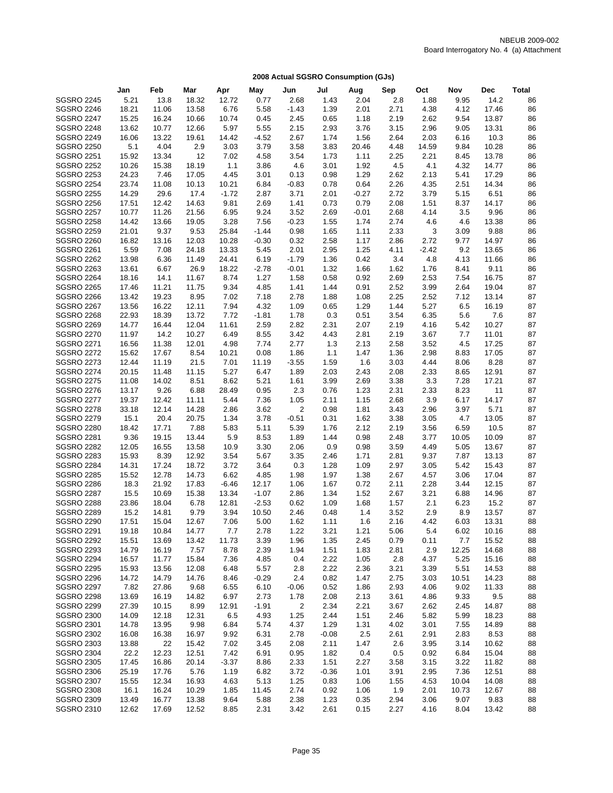|                   | Jan   | Feb   | Mar   | Apr     | May     | Jun     | Jul     | Aug     | Sep  | Oct     | Nov   | Dec   | <b>Total</b> |
|-------------------|-------|-------|-------|---------|---------|---------|---------|---------|------|---------|-------|-------|--------------|
| <b>SGSRO 2245</b> | 5.21  | 13.8  | 18.32 | 12.72   | 0.77    | 2.68    | 1.43    | 2.04    | 2.8  | 1.88    | 9.95  | 14.2  | 86           |
| <b>SGSRO 2246</b> | 18.21 | 11.06 | 13.58 | 6.76    | 5.58    | $-1.43$ | 1.39    | 2.01    | 2.71 | 4.38    | 4.12  | 17.46 | 86           |
| <b>SGSRO 2247</b> | 15.25 | 16.24 | 10.66 | 10.74   | 0.45    | 2.45    | 0.65    | 1.18    | 2.19 | 2.62    | 9.54  | 13.87 | 86           |
| <b>SGSRO 2248</b> | 13.62 | 10.77 | 12.66 | 5.97    | 5.55    | 2.15    | 2.93    | 3.76    | 3.15 | 2.96    | 9.05  | 13.31 | 86           |
| <b>SGSRO 2249</b> | 16.06 | 13.22 | 19.61 | 14.42   | $-4.52$ | 2.67    | 1.74    | 1.56    | 2.64 | 2.03    | 6.16  | 10.3  | 86           |
| <b>SGSRO 2250</b> | 5.1   | 4.04  | 2.9   | 3.03    | 3.79    | 3.58    | 3.83    | 20.46   | 4.48 | 14.59   | 9.84  | 10.28 | 86           |
| <b>SGSRO 2251</b> | 15.92 | 13.34 | 12    | 7.02    | 4.58    | 3.54    | 1.73    | 1.11    | 2.25 | 2.21    | 8.45  | 13.78 | 86           |
| <b>SGSRO 2252</b> | 10.26 | 15.38 | 18.19 | 1.1     | 3.86    | 4.6     | 3.01    | 1.92    | 4.5  | 4.1     | 4.32  | 14.77 | 86           |
| <b>SGSRO 2253</b> | 24.23 | 7.46  | 17.05 | 4.45    | 3.01    | 0.13    | 0.98    | 1.29    | 2.62 | 2.13    | 5.41  | 17.29 | 86           |
| <b>SGSRO 2254</b> | 23.74 | 11.08 | 10.13 | 10.21   | 6.84    | $-0.83$ | 0.78    | 0.64    | 2.26 | 4.35    | 2.51  | 14.34 | 86           |
| <b>SGSRO 2255</b> | 14.29 | 29.6  | 17.4  | $-1.72$ | 2.87    | 3.71    | 2.01    | $-0.27$ | 2.72 | 3.79    | 5.15  | 6.51  | 86           |
| <b>SGSRO 2256</b> | 17.51 | 12.42 | 14.63 | 9.81    | 2.69    | 1.41    | 0.73    | 0.79    | 2.08 | 1.51    | 8.37  | 14.17 | 86           |
| <b>SGSRO 2257</b> | 10.77 | 11.26 | 21.56 | 6.95    | 9.24    | 3.52    | 2.69    | $-0.01$ | 2.68 | 4.14    | 3.5   | 9.96  | 86           |
| <b>SGSRO 2258</b> | 14.42 | 13.66 | 19.05 | 3.28    | 7.56    | $-0.23$ | 1.55    | 1.74    | 2.74 | 4.6     | 4.6   | 13.38 | 86           |
| <b>SGSRO 2259</b> | 21.01 | 9.37  | 9.53  | 25.84   | $-1.44$ | 0.98    | 1.65    | 1.11    | 2.33 | 3       | 3.09  | 9.88  | 86           |
| <b>SGSRO 2260</b> | 16.82 | 13.16 | 12.03 | 10.28   | $-0.30$ | 0.32    | 2.58    | 1.17    | 2.86 | 2.72    | 9.77  | 14.97 | 86           |
| <b>SGSRO 2261</b> | 5.59  | 7.08  | 24.18 | 13.33   | 5.45    | 2.01    | 2.95    | 1.25    | 4.11 | $-2.42$ | 9.2   | 13.65 | 86           |
| <b>SGSRO 2262</b> | 13.98 | 6.36  | 11.49 | 24.41   | 6.19    | $-1.79$ | 1.36    | 0.42    | 3.4  | 4.8     | 4.13  | 11.66 | 86           |
| <b>SGSRO 2263</b> | 13.61 | 6.67  | 26.9  | 18.22   | $-2.78$ | $-0.01$ | 1.32    | 1.66    | 1.62 | 1.76    | 8.41  | 9.11  | 86           |
| <b>SGSRO 2264</b> | 18.16 | 14.1  | 11.67 | 8.74    | 1.27    | 1.58    | 0.58    | 0.92    | 2.69 | 2.53    | 7.54  | 16.75 | 87           |
| <b>SGSRO 2265</b> | 17.46 | 11.21 | 11.75 | 9.34    | 4.85    | 1.41    | 1.44    | 0.91    | 2.52 | 3.99    | 2.64  | 19.04 | 87           |
| <b>SGSRO 2266</b> | 13.42 | 19.23 | 8.95  | 7.02    | 7.18    | 2.78    | 1.88    | 1.08    | 2.25 | 2.52    | 7.12  | 13.14 | 87           |
| <b>SGSRO 2267</b> | 13.56 | 16.22 | 12.11 | 7.94    | 4.32    | 1.09    | 0.65    | 1.29    | 1.44 | 5.27    | 6.5   | 16.19 | 87           |
| <b>SGSRO 2268</b> | 22.93 | 18.39 | 13.72 | 7.72    | $-1.81$ | 1.78    | 0.3     | 0.51    | 3.54 | 6.35    | 5.6   | 7.6   | 87           |
| <b>SGSRO 2269</b> | 14.77 | 16.44 | 12.04 | 11.61   | 2.59    | 2.82    | 2.31    | 2.07    | 2.19 | 4.16    | 5.42  | 10.27 | 87           |
| <b>SGSRO 2270</b> | 11.97 | 14.2  | 10.27 | 6.49    | 8.55    | 3.42    | 4.43    | 2.81    | 2.19 | 3.67    | 7.7   | 11.01 | 87           |
| <b>SGSRO 2271</b> | 16.56 | 11.38 | 12.01 | 4.98    | 7.74    | 2.77    | 1.3     | 2.13    | 2.58 | 3.52    | 4.5   | 17.25 | 87           |
| <b>SGSRO 2272</b> | 15.62 | 17.67 | 8.54  | 10.21   | 0.08    | 1.86    | 1.1     | 1.47    | 1.36 | 2.98    | 8.83  | 17.05 | 87           |
| <b>SGSRO 2273</b> | 12.44 | 11.19 | 21.5  | 7.01    | 11.19   | $-3.55$ | 1.59    | 1.6     | 3.03 | 4.44    | 8.06  | 8.28  | 87           |
| <b>SGSRO 2274</b> | 20.15 | 11.48 | 11.15 | 5.27    | 6.47    | 1.89    | 2.03    | 2.43    | 2.08 | 2.33    | 8.65  | 12.91 | 87           |
| <b>SGSRO 2275</b> | 11.08 | 14.02 | 8.51  | 8.62    | 5.21    | 1.61    | 3.99    | 2.69    | 3.38 | 3.3     | 7.28  | 17.21 | 87           |
| <b>SGSRO 2276</b> | 13.17 | 9.26  | 6.88  | 28.49   | 0.95    | 2.3     | 0.76    | 1.23    | 2.31 | 2.33    | 8.23  | 11    | 87           |
| <b>SGSRO 2277</b> | 19.37 | 12.42 | 11.11 | 5.44    | 7.36    | 1.05    | 2.11    | 1.15    | 2.68 | 3.9     | 6.17  | 14.17 | 87           |
| <b>SGSRO 2278</b> | 33.18 | 12.14 | 14.28 | 2.86    | 3.62    | 2       | 0.98    | 1.81    | 3.43 | 2.96    | 3.97  | 5.71  | 87           |
| <b>SGSRO 2279</b> | 15.1  | 20.4  | 20.75 | 1.34    | 3.78    | $-0.51$ | 0.31    | 1.62    | 3.38 | 3.05    | 4.7   | 13.05 | 87           |
| <b>SGSRO 2280</b> | 18.42 | 17.71 | 7.88  | 5.83    | 5.11    | 5.39    | 1.76    | 2.12    | 2.19 | 3.56    | 6.59  | 10.5  | 87           |
| <b>SGSRO 2281</b> | 9.36  | 19.15 | 13.44 | 5.9     | 8.53    | 1.89    | 1.44    | 0.98    | 2.48 | 3.77    | 10.05 | 10.09 | 87           |
| <b>SGSRO 2282</b> | 12.05 | 16.55 | 13.58 | 10.9    | 3.30    | 2.06    | 0.9     | 0.98    | 3.59 | 4.49    | 5.05  | 13.67 | 87           |
| <b>SGSRO 2283</b> | 15.93 | 8.39  | 12.92 | 3.54    | 5.67    | 3.35    | 2.46    | 1.71    | 2.81 | 9.37    | 7.87  | 13.13 | 87           |
| <b>SGSRO 2284</b> | 14.31 | 17.24 | 18.72 | 3.72    | 3.64    | 0.3     | 1.28    | 1.09    | 2.97 | 3.05    | 5.42  | 15.43 | 87           |
| <b>SGSRO 2285</b> | 15.52 | 12.78 | 14.73 | 6.62    | 4.85    | 1.98    | 1.97    | 1.38    | 2.67 | 4.57    | 3.06  | 17.04 | 87           |
| <b>SGSRO 2286</b> | 18.3  | 21.92 | 17.83 | $-6.46$ | 12.17   | 1.06    | 1.67    | 0.72    | 2.11 | 2.28    | 3.44  | 12.15 | 87           |
| <b>SGSRO 2287</b> | 15.5  | 10.69 | 15.38 | 13.34   | $-1.07$ | 2.86    | 1.34    | 1.52    | 2.67 | 3.21    | 6.88  | 14.96 | 87           |
| <b>SGSRO 2288</b> | 23.86 | 18.04 | 6.78  | 12.81   | $-2.53$ | 0.62    | 1.09    | 1.68    | 1.57 | 2.1     | 6.23  | 15.2  | 87           |
| <b>SGSRO 2289</b> | 15.2  | 14.81 | 9.79  | 3.94    | 10.50   | 2.46    | 0.48    | 1.4     | 3.52 | 2.9     | 8.9   | 13.57 | 87           |
| <b>SGSRO 2290</b> | 17.51 | 15.04 | 12.67 | 7.06    | 5.00    | 1.62    | 1.11    | 1.6     | 2.16 | 4.42    | 6.03  | 13.31 | 88           |
| <b>SGSRO 2291</b> | 19.18 | 10.84 | 14.77 | 7.7     | 2.78    | 1.22    | 3.21    | 1.21    | 5.06 | 5.4     | 6.02  | 10.16 | 88           |
| <b>SGSRO 2292</b> | 15.51 | 13.69 | 13.42 | 11.73   | 3.39    | 1.96    | 1.35    | 2.45    | 0.79 | 0.11    | 7.7   | 15.52 | 88           |
| <b>SGSRO 2293</b> | 14.79 | 16.19 | 7.57  | 8.78    | 2.39    | 1.94    | 1.51    | 1.83    | 2.81 | 2.9     | 12.25 | 14.68 | 88           |
| <b>SGSRO 2294</b> | 16.57 | 11.77 | 15.84 | 7.36    | 4.85    | 0.4     | 2.22    | 1.05    | 2.8  | 4.37    | 5.25  | 15.16 | 88           |
| <b>SGSRO 2295</b> | 15.93 | 13.56 | 12.08 | 6.48    | 5.57    | 2.8     | 2.22    | 2.36    | 3.21 | 3.39    | 5.51  | 14.53 | 88           |
| <b>SGSRO 2296</b> | 14.72 | 14.79 | 14.76 | 8.46    | $-0.29$ | 2.4     | 0.82    | 1.47    | 2.75 | 3.03    | 10.51 | 14.23 | 88           |
| <b>SGSRO 2297</b> | 7.82  | 27.86 | 9.68  | 6.55    | 6.10    | $-0.06$ | 0.52    | 1.86    | 2.93 | 4.06    | 9.02  | 11.33 | 88           |
| <b>SGSRO 2298</b> | 13.69 | 16.19 | 14.82 | 6.97    | 2.73    | 1.78    | 2.08    | 2.13    | 3.61 | 4.86    | 9.33  | 9.5   | 88           |
| <b>SGSRO 2299</b> | 27.39 | 10.15 | 8.99  | 12.91   | $-1.91$ | 2       | 2.34    | 2.21    | 3.67 | 2.62    | 2.45  | 14.87 | 88           |
| <b>SGSRO 2300</b> | 14.09 | 12.18 | 12.31 | 6.5     | 4.93    | 1.25    | 2.44    | 1.51    | 2.46 | 5.82    | 5.99  | 18.23 | 88           |
| <b>SGSRO 2301</b> | 14.78 | 13.95 | 9.98  | 6.84    | 5.74    | 4.37    | 1.29    | 1.31    | 4.02 | 3.01    | 7.55  | 14.89 | 88           |
| <b>SGSRO 2302</b> | 16.08 | 16.38 | 16.97 | 9.92    | 6.31    | 2.78    | $-0.08$ | 2.5     | 2.61 | 2.91    | 2.83  | 8.53  | 88           |
| <b>SGSRO 2303</b> | 13.88 | 22    | 15.42 | 7.02    | 3.45    | 2.08    | 2.11    | 1.47    | 2.6  | 3.95    | 3.14  | 10.62 | 88           |
| <b>SGSRO 2304</b> | 22.2  | 12.23 | 12.51 | 7.42    | 6.91    | 0.95    | 1.82    | 0.4     | 0.5  | 0.92    | 6.84  | 15.04 | 88           |
| <b>SGSRO 2305</b> | 17.45 | 16.86 | 20.14 | $-3.37$ | 8.86    | 2.33    | 1.51    | 2.27    | 3.58 | 3.15    | 3.22  | 11.82 | 88           |
| <b>SGSRO 2306</b> | 25.19 | 17.76 | 5.76  | 1.19    | 6.82    | 3.72    | $-0.36$ | 1.01    | 3.91 | 2.95    | 7.36  | 12.51 | 88           |
| <b>SGSRO 2307</b> | 15.55 | 12.34 | 16.93 | 4.63    | 5.13    | 1.25    | 0.83    | 1.06    | 1.55 | 4.53    | 10.04 | 14.08 | 88           |
| <b>SGSRO 2308</b> | 16.1  | 16.24 | 10.29 | 1.85    | 11.45   | 2.74    | 0.92    | 1.06    | 1.9  | 2.01    | 10.73 | 12.67 | 88           |
| <b>SGSRO 2309</b> | 13.49 | 16.77 | 13.38 | 9.64    | 5.88    | 2.38    | 1.23    | 0.35    | 2.94 | 3.06    | 9.07  | 9.83  | 88           |
| <b>SGSRO 2310</b> | 12.62 | 17.69 | 12.52 | 8.85    | 2.31    | 3.42    | 2.61    | 0.15    | 2.27 | 4.16    | 8.04  | 13.42 | 88           |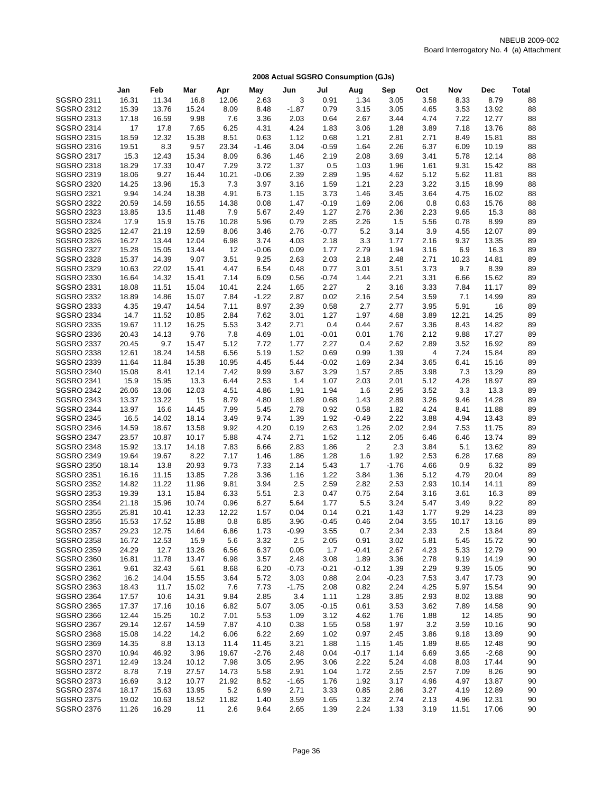|                   | Jan   | Feb   | Mar   | Apr   | May     | Jun     | Jul     | Aug            | Sep     | Oct  | Nov   | <b>Dec</b> | <b>Total</b> |
|-------------------|-------|-------|-------|-------|---------|---------|---------|----------------|---------|------|-------|------------|--------------|
| <b>SGSRO 2311</b> | 16.31 | 11.34 | 16.8  | 12.06 | 2.63    | 3       | 0.91    | 1.34           | 3.05    | 3.58 | 8.33  | 8.79       | 88           |
| <b>SGSRO 2312</b> | 15.39 | 13.76 | 15.24 | 8.09  | 8.48    | $-1.87$ | 0.79    | 3.15           | 3.05    | 4.65 | 3.53  | 13.92      | 88           |
| <b>SGSRO 2313</b> | 17.18 | 16.59 | 9.98  | 7.6   | 3.36    | 2.03    | 0.64    | 2.67           | 3.44    | 4.74 | 7.22  | 12.77      | 88           |
| <b>SGSRO 2314</b> | 17    | 17.8  | 7.65  | 6.25  | 4.31    | 4.24    | 1.83    | 3.06           | 1.28    | 3.89 | 7.18  | 13.76      | 88           |
| <b>SGSRO 2315</b> | 18.59 | 12.32 | 15.38 | 8.51  | 0.63    | 1.12    | 0.68    | 1.21           | 2.81    | 2.71 | 8.49  | 15.81      | 88           |
| <b>SGSRO 2316</b> | 19.51 | 8.3   | 9.57  | 23.34 | $-1.46$ | 3.04    | $-0.59$ | 1.64           | 2.26    | 6.37 | 6.09  | 10.19      | 88           |
| <b>SGSRO 2317</b> | 15.3  | 12.43 | 15.34 | 8.09  | 6.36    | 1.46    | 2.19    | 2.08           | 3.69    | 3.41 | 5.78  | 12.14      | 88           |
| <b>SGSRO 2318</b> | 18.29 | 17.33 | 10.47 | 7.29  | 3.72    | 1.37    | 0.5     | 1.03           | 1.96    | 1.61 | 9.31  | 15.42      | 88           |
| <b>SGSRO 2319</b> | 18.06 | 9.27  | 16.44 | 10.21 | $-0.06$ | 2.39    | 2.89    | 1.95           | 4.62    | 5.12 | 5.62  | 11.81      | 88           |
| <b>SGSRO 2320</b> | 14.25 | 13.96 | 15.3  | 7.3   | 3.97    | 3.16    | 1.59    | 1.21           | 2.23    | 3.22 | 3.15  | 18.99      | 88           |
| <b>SGSRO 2321</b> | 9.94  | 14.24 | 18.38 | 4.91  | 6.73    | 1.15    | 3.73    | 1.46           | 3.45    | 3.64 | 4.75  | 16.02      | 88           |
| <b>SGSRO 2322</b> | 20.59 | 14.59 | 16.55 | 14.38 | 0.08    | 1.47    | $-0.19$ | 1.69           | 2.06    | 0.8  | 0.63  | 15.76      | 88           |
| <b>SGSRO 2323</b> | 13.85 | 13.5  | 11.48 | 7.9   | 5.67    | 2.49    | 1.27    | 2.76           | 2.36    | 2.23 | 9.65  | 15.3       | 88           |
| <b>SGSRO 2324</b> | 17.9  | 15.9  | 15.76 | 10.28 | 5.96    | 0.79    | 2.85    | 2.26           | 1.5     | 5.56 | 0.78  | 8.99       | 89           |
| <b>SGSRO 2325</b> | 12.47 | 21.19 | 12.59 | 8.06  | 3.46    | 2.76    | $-0.77$ | 5.2            | 3.14    | 3.9  | 4.55  | 12.07      | 89           |
| <b>SGSRO 2326</b> | 16.27 | 13.44 | 12.04 | 6.98  | 3.74    | 4.03    | 2.18    | 3.3            | 1.77    | 2.16 | 9.37  | 13.35      | 89           |
| <b>SGSRO 2327</b> | 15.28 | 15.05 | 13.44 | 12    | $-0.06$ | 0.09    | 1.77    | 2.79           | 1.94    | 3.16 | 6.9   | 16.3       | 89           |
| <b>SGSRO 2328</b> | 15.37 | 14.39 | 9.07  | 3.51  | 9.25    | 2.63    | 2.03    | 2.18           | 2.48    | 2.71 | 10.23 | 14.81      | 89           |
| <b>SGSRO 2329</b> | 10.63 | 22.02 | 15.41 | 4.47  | 6.54    | 0.48    | 0.77    | 3.01           | 3.51    | 3.73 | 9.7   | 8.39       | 89           |
| <b>SGSRO 2330</b> | 16.64 | 14.32 | 15.41 | 7.14  | 6.09    | 0.56    | $-0.74$ | 1.44           | 2.21    | 3.31 | 6.66  | 15.62      | 89           |
| <b>SGSRO 2331</b> | 18.08 | 11.51 | 15.04 | 10.41 | 2.24    | 1.65    | 2.27    | 2              | 3.16    | 3.33 | 7.84  | 11.17      | 89           |
| <b>SGSRO 2332</b> | 18.89 | 14.86 | 15.07 | 7.84  | $-1.22$ | 2.87    | 0.02    | 2.16           | 2.54    | 3.59 | 7.1   | 14.99      | 89           |
| <b>SGSRO 2333</b> | 4.35  | 19.47 | 14.54 | 7.11  | 8.97    | 2.39    | 0.58    | 2.7            | 2.77    | 3.95 | 5.91  | 16         | 89           |
| <b>SGSRO 2334</b> | 14.7  | 11.52 | 10.85 | 2.84  | 7.62    | 3.01    | 1.27    | 1.97           | 4.68    | 3.89 | 12.21 | 14.25      | 89           |
| <b>SGSRO 2335</b> | 19.67 | 11.12 | 16.25 | 5.53  | 3.42    | 2.71    | 0.4     | 0.44           | 2.67    | 3.36 | 8.43  | 14.82      | 89           |
| <b>SGSRO 2336</b> | 20.43 | 14.13 | 9.76  | 7.8   | 4.69    | 1.01    | $-0.01$ | 0.01           | 1.76    | 2.12 | 9.88  | 17.27      | 89           |
| <b>SGSRO 2337</b> | 20.45 | 9.7   | 15.47 | 5.12  | 7.72    | 1.77    | 2.27    | 0.4            | 2.62    | 2.89 | 3.52  | 16.92      | 89           |
| <b>SGSRO 2338</b> | 12.61 | 18.24 | 14.58 | 6.56  | 5.19    | 1.52    | 0.69    | 0.99           | 1.39    | 4    | 7.24  | 15.84      | 89           |
| <b>SGSRO 2339</b> | 11.64 | 11.84 | 15.38 | 10.95 | 4.45    | 5.44    | $-0.02$ | 1.69           | 2.34    | 3.65 | 6.41  | 15.16      | 89           |
| <b>SGSRO 2340</b> | 15.08 | 8.41  | 12.14 | 7.42  | 9.99    | 3.67    | 3.29    | 1.57           | 2.85    | 3.98 | 7.3   | 13.29      | 89           |
| <b>SGSRO 2341</b> | 15.9  | 15.95 | 13.3  | 6.44  | 2.53    | 1.4     | 1.07    | 2.03           | 2.01    | 5.12 | 4.28  | 18.97      | 89           |
| <b>SGSRO 2342</b> | 26.06 | 13.06 | 12.03 | 4.51  | 4.86    | 1.91    | 1.94    | 1.6            | 2.95    | 3.52 | 3.3   | 13.3       | 89           |
| <b>SGSRO 2343</b> | 13.37 | 13.22 | 15    | 8.79  | 4.80    | 1.89    | 0.68    | 1.43           | 2.89    | 3.26 | 9.46  | 14.28      | 89           |
| <b>SGSRO 2344</b> | 13.97 | 16.6  | 14.45 | 7.99  | 5.45    | 2.78    | 0.92    | 0.58           | 1.82    | 4.24 | 8.41  | 11.88      | 89           |
| <b>SGSRO 2345</b> | 16.5  | 14.02 | 18.14 | 3.49  | 9.74    | 1.39    | 1.92    | $-0.49$        | 2.22    | 3.88 | 4.94  | 13.43      | 89           |
| <b>SGSRO 2346</b> | 14.59 | 18.67 | 13.58 | 9.92  | 4.20    | 0.19    | 2.63    | 1.26           | 2.02    | 2.94 | 7.53  | 11.75      | 89           |
| <b>SGSRO 2347</b> | 23.57 | 10.87 | 10.17 | 5.88  | 4.74    | 2.71    | 1.52    | 1.12           | 2.05    | 6.46 | 6.46  | 13.74      | 89           |
| <b>SGSRO 2348</b> | 15.92 | 13.17 | 14.18 | 7.83  | 6.66    | 2.83    | 1.86    | $\overline{2}$ | 2.3     | 3.84 | 5.1   | 13.62      | 89           |
| <b>SGSRO 2349</b> | 19.64 | 19.67 | 8.22  | 7.17  | 1.46    | 1.86    | 1.28    | 1.6            | 1.92    | 2.53 | 6.28  | 17.68      | 89           |
| <b>SGSRO 2350</b> | 18.14 | 13.8  | 20.93 | 9.73  | 7.33    | 2.14    | 5.43    | 1.7            | $-1.76$ | 4.66 | 0.9   | 6.32       | 89           |
| <b>SGSRO 2351</b> | 16.16 | 11.15 | 13.85 | 7.28  | 3.36    | 1.16    | 1.22    | 3.84           | 1.36    | 5.12 | 4.79  | 20.04      | 89           |
| <b>SGSRO 2352</b> | 14.82 | 11.22 | 11.96 | 9.81  | 3.94    | 2.5     | 2.59    | 2.82           | 2.53    | 2.93 | 10.14 | 14.11      | 89           |
| <b>SGSRO 2353</b> | 19.39 | 13.1  | 15.84 | 6.33  | 5.51    | 2.3     | 0.47    | 0.75           | 2.64    | 3.16 | 3.61  | 16.3       | 89           |
| <b>SGSRO 2354</b> | 21.18 | 15.96 | 10.74 | 0.96  | 6.27    | 5.64    | 1.77    | 5.5            | 3.24    | 5.47 | 3.49  | 9.22       | 89           |
| <b>SGSRO 2355</b> | 25.81 | 10.41 | 12.33 | 12.22 | 1.57    | 0.04    | 0.14    | 0.21           | 1.43    | 1.77 | 9.29  | 14.23      | 89           |
| <b>SGSRO 2356</b> | 15.53 | 17.52 | 15.88 | 0.8   | 6.85    | 3.96    | $-0.45$ | 0.46           | 2.04    | 3.55 | 10.17 | 13.16      | 89           |
| <b>SGSRO 2357</b> | 29.23 | 12.75 | 14.64 | 6.86  | 1.73    | $-0.99$ | 3.55    | 0.7            | 2.34    | 2.33 | 2.5   | 13.84      | 89           |
| <b>SGSRO 2358</b> | 16.72 | 12.53 | 15.9  | 5.6   | 3.32    | 2.5     | 2.05    | 0.91           | 3.02    | 5.81 | 5.45  | 15.72      | 90           |
| <b>SGSRO 2359</b> | 24.29 | 12.7  | 13.26 | 6.56  | 6.37    | 0.05    | 1.7     | $-0.41$        | 2.67    | 4.23 | 5.33  | 12.79      | 90           |
| <b>SGSRO 2360</b> | 16.81 | 11.78 | 13.47 | 6.98  | 3.57    | 2.48    | 3.08    | 1.89           | 3.36    | 2.78 | 9.19  | 14.19      | 90           |
| <b>SGSRO 2361</b> | 9.61  | 32.43 | 5.61  | 8.68  | 6.20    | $-0.73$ | $-0.21$ | $-0.12$        | 1.39    | 2.29 | 9.39  | 15.05      | 90           |
| <b>SGSRO 2362</b> | 16.2  | 14.04 | 15.55 | 3.64  | 5.72    | 3.03    | 0.88    | 2.04           | $-0.23$ | 7.53 | 3.47  | 17.73      | 90           |
| <b>SGSRO 2363</b> | 18.43 | 11.7  | 15.02 | 7.6   | 7.73    | $-1.75$ | 2.08    | 0.82           | 2.24    | 4.25 | 5.97  | 15.54      | 90           |
| <b>SGSRO 2364</b> | 17.57 | 10.6  | 14.31 | 9.84  | 2.85    | 3.4     | 1.11    | 1.28           | 3.85    | 2.93 | 8.02  | 13.88      | 90           |
| <b>SGSRO 2365</b> | 17.37 | 17.16 | 10.16 | 6.82  | 5.07    | 3.05    | $-0.15$ | 0.61           | 3.53    | 3.62 | 7.89  | 14.58      | 90           |
| <b>SGSRO 2366</b> | 12.44 | 15.25 | 10.2  | 7.01  | 5.53    | 1.09    | 3.12    | 4.62           | 1.76    | 1.88 | 12    | 14.85      | 90           |
| <b>SGSRO 2367</b> | 29.14 | 12.67 | 14.59 | 7.87  | 4.10    | 0.38    | 1.55    | 0.58           | 1.97    | 3.2  | 3.59  | 10.16      | 90           |
| <b>SGSRO 2368</b> | 15.08 | 14.22 | 14.2  | 6.06  | 6.22    | 2.69    | 1.02    | 0.97           | 2.45    | 3.86 | 9.18  | 13.89      | 90           |
| SGSRO 2369        | 14.35 | 8.8   | 13.13 | 11.4  | 11.45   | 3.21    | 1.88    | 1.15           | 1.45    | 1.89 | 8.65  | 12.48      | 90           |
| <b>SGSRO 2370</b> | 10.94 | 46.92 | 3.96  | 19.67 | $-2.76$ | 2.48    | 0.04    | $-0.17$        | 1.14    | 6.69 | 3.65  | $-2.68$    | 90           |
| <b>SGSRO 2371</b> | 12.49 | 13.24 | 10.12 | 7.98  | 3.05    | 2.95    | 3.06    | 2.22           | 5.24    | 4.08 | 8.03  | 17.44      | 90           |
| <b>SGSRO 2372</b> | 8.78  | 7.19  | 27.57 | 14.73 | 5.58    | 2.91    | 1.04    | 1.72           | 2.55    | 2.57 | 7.09  | 8.26       | 90           |
| <b>SGSRO 2373</b> | 16.69 | 3.12  | 10.77 | 21.92 | 8.52    | $-1.65$ | 1.76    | 1.92           | 3.17    | 4.96 | 4.97  | 13.87      | 90           |
| <b>SGSRO 2374</b> | 18.17 | 15.63 | 13.95 | 5.2   | 6.99    | 2.71    | 3.33    | 0.85           | 2.86    | 3.27 | 4.19  | 12.89      | 90           |
| <b>SGSRO 2375</b> | 19.02 | 10.63 | 18.52 | 11.82 | 1.40    | 3.59    | 1.65    | 1.32           | 2.74    | 2.13 | 4.96  | 12.31      | 90           |
| <b>SGSRO 2376</b> | 11.26 | 16.29 | 11    | 2.6   | 9.64    | 2.65    | 1.39    | 2.24           | 1.33    | 3.19 | 11.51 | 17.06      | 90           |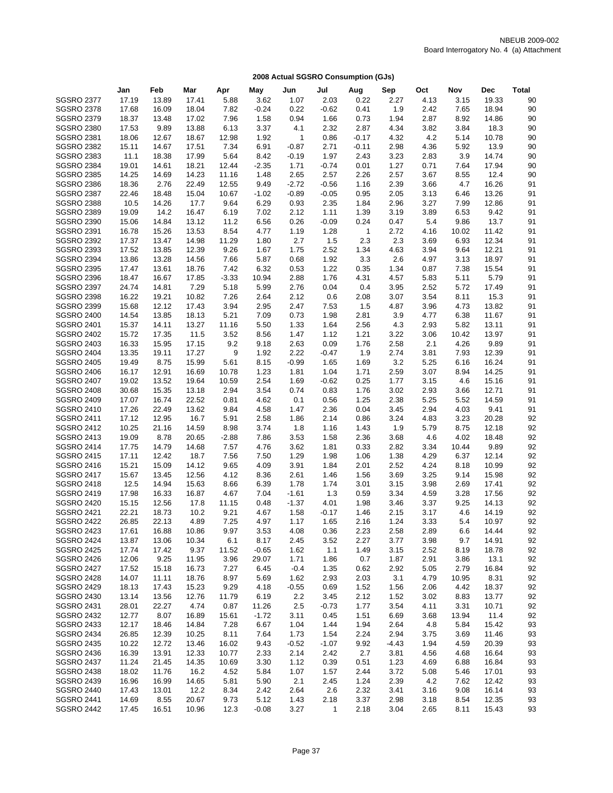|                                        | Jan            | Feb            | Mar            | Apr          | May          | Jun             | Jul          | Aug          | Sep          | Oct          | Nov          | Dec           | <b>Total</b> |
|----------------------------------------|----------------|----------------|----------------|--------------|--------------|-----------------|--------------|--------------|--------------|--------------|--------------|---------------|--------------|
| <b>SGSRO 2377</b>                      | 17.19          | 13.89          | 17.41          | 5.88         | 3.62         | 1.07            | 2.03         | 0.22         | 2.27         | 4.13         | 3.15         | 19.33         | 90           |
| <b>SGSRO 2378</b>                      | 17.68          | 16.09          | 18.04          | 7.82         | $-0.24$      | 0.22            | $-0.62$      | 0.41         | 1.9          | 2.42         | 7.65         | 18.94         | 90           |
| <b>SGSRO 2379</b>                      | 18.37          | 13.48          | 17.02          | 7.96         | 1.58         | 0.94            | 1.66         | 0.73         | 1.94         | 2.87         | 8.92         | 14.86         | 90           |
| <b>SGSRO 2380</b>                      | 17.53          | 9.89           | 13.88          | 6.13         | 3.37         | 4.1             | 2.32         | 2.87         | 4.34         | 3.82         | 3.84         | 18.3          | 90           |
| <b>SGSRO 2381</b>                      | 18.06          | 12.67          | 18.67          | 12.98        | 1.92         | $\mathbf{1}$    | 0.86         | $-0.17$      | 4.32         | 4.2          | 5.14         | 10.78         | 90           |
| <b>SGSRO 2382</b>                      | 15.11          | 14.67          | 17.51          | 7.34         | 6.91         | $-0.87$         | 2.71         | $-0.11$      | 2.98         | 4.36         | 5.92         | 13.9          | 90           |
| <b>SGSRO 2383</b>                      | 11.1           | 18.38          | 17.99          | 5.64         | 8.42         |                 | 1.97         | 2.43         | 3.23         | 2.83         | 3.9          | 14.74         | 90           |
|                                        |                |                |                | 12.44        |              | $-0.19$         |              |              |              | 0.71         |              | 17.94         | 90           |
| <b>SGSRO 2384</b>                      | 19.01          | 14.61          | 18.21          |              | $-2.35$      | 1.71            | $-0.74$      | 0.01         | 1.27         |              | 7.64         |               |              |
| <b>SGSRO 2385</b>                      | 14.25          | 14.69          | 14.23          | 11.16        | 1.48         | 2.65<br>$-2.72$ | 2.57         | 2.26         | 2.57         | 3.67         | 8.55         | 12.4          | 90           |
| <b>SGSRO 2386</b><br><b>SGSRO 2387</b> | 18.36          | 2.76           | 22.49          | 12.55        | 9.49         |                 | $-0.56$      | 1.16         | 2.39         | 3.66         | 4.7          | 16.26         | 91           |
|                                        | 22.46          | 18.48          | 15.04          | 10.67        | $-1.02$      | $-0.89$         | $-0.05$      | 0.95         | 2.05         | 3.13         | 6.46         | 13.26         | 91           |
| <b>SGSRO 2388</b>                      | 10.5           | 14.26          | 17.7           | 9.64         | 6.29         | 0.93            | 2.35         | 1.84         | 2.96         | 3.27         | 7.99         | 12.86         | 91           |
| <b>SGSRO 2389</b>                      | 19.09          | 14.2           | 16.47          | 6.19         | 7.02         | 2.12            | 1.11         | 1.39         | 3.19         | 3.89         | 6.53         | 9.42          | 91           |
| <b>SGSRO 2390</b>                      | 15.06          | 14.84          | 13.12          | 11.2         | 6.56         | 0.26            | $-0.09$      | 0.24         | 0.47         | 5.4          | 9.86         | 13.7          | 91           |
| <b>SGSRO 2391</b>                      | 16.78          | 15.26          | 13.53          | 8.54         | 4.77         | 1.19            | 1.28         | $\mathbf{1}$ | 2.72         | 4.16         | 10.02        | 11.42         | 91           |
| <b>SGSRO 2392</b>                      | 17.37          | 13.47          | 14.98          | 11.29        | 1.80         | 2.7             | 1.5          | 2.3          | 2.3          | 3.69         | 6.93         | 12.34         | 91           |
| <b>SGSRO 2393</b>                      | 17.52          | 13.85          | 12.39          | 9.26         | 1.67         | 1.75            | 2.52         | 1.34         | 4.63         | 3.94         | 9.64         | 12.21         | 91           |
| <b>SGSRO 2394</b>                      | 13.86          | 13.28          | 14.56          | 7.66         | 5.87         | 0.68            | 1.92         | 3.3          | 2.6          | 4.97         | 3.13         | 18.97         | 91           |
| <b>SGSRO 2395</b>                      | 17.47          | 13.61          | 18.76          | 7.42         | 6.32         | 0.53            | 1.22         | 0.35         | 1.34         | 0.87         | 7.38         | 15.54         | 91           |
| <b>SGSRO 2396</b>                      | 18.47          | 16.67          | 17.85          | $-3.33$      | 10.94        | 2.88            | 1.76         | 4.31         | 4.57         | 5.83         | 5.11         | 5.79          | 91           |
| <b>SGSRO 2397</b>                      | 24.74          | 14.81          | 7.29           | 5.18         | 5.99         | 2.76            | 0.04         | 0.4          | 3.95         | 2.52         | 5.72         | 17.49         | 91           |
| <b>SGSRO 2398</b>                      | 16.22          | 19.21          | 10.82          | 7.26         | 2.64         | 2.12            | 0.6          | 2.08         | 3.07         | 3.54         | 8.11         | 15.3          | 91           |
| <b>SGSRO 2399</b>                      | 15.68          | 12.12          | 17.43          | 3.94         | 2.95         | 2.47            | 7.53         | 1.5          | 4.87         | 3.96         | 4.73         | 13.82         | 91           |
| <b>SGSRO 2400</b>                      | 14.54          | 13.85          | 18.13          | 5.21         | 7.09         | 0.73            | 1.98         | 2.81         | 3.9          | 4.77         | 6.38         | 11.67         | 91           |
| <b>SGSRO 2401</b>                      | 15.37          | 14.11          | 13.27          | 11.16        | 5.50         | 1.33            | 1.64         | 2.56         | 4.3          | 2.93         | 5.82         | 13.11         | 91           |
| <b>SGSRO 2402</b>                      | 15.72          | 17.35          | 11.5           | 3.52         | 8.56         | 1.47            | 1.12         | 1.21         | 3.22         | 3.06         | 10.42        | 13.97         | 91           |
| <b>SGSRO 2403</b>                      | 16.33          | 15.95          | 17.15          | 9.2          | 9.18         | 2.63            | 0.09         | 1.76         | 2.58         | 2.1          | 4.26         | 9.89          | 91           |
| <b>SGSRO 2404</b>                      | 13.35          | 19.11          | 17.27          | 9            | 1.92         | 2.22            | $-0.47$      | 1.9          | 2.74         | 3.81         | 7.93         | 12.39         | 91           |
| <b>SGSRO 2405</b>                      | 19.49          | 8.75           | 15.99          | 5.61         | 8.15         | $-0.99$         | 1.65         | 1.69         | 3.2          | 5.25         | 6.16         | 16.24         | 91           |
| <b>SGSRO 2406</b>                      | 16.17          | 12.91          | 16.69          | 10.78        | 1.23         | 1.81            | 1.04         | 1.71         | 2.59         | 3.07         | 8.94         | 14.25         | 91           |
| <b>SGSRO 2407</b>                      | 19.02          | 13.52          | 19.64          | 10.59        | 2.54         | 1.69            | $-0.62$      | 0.25         | 1.77         | 3.15         | 4.6          | 15.16         | 91           |
| <b>SGSRO 2408</b>                      | 30.68          | 15.35<br>16.74 | 13.18          | 2.94         | 3.54         | 0.74<br>0.1     | 0.83         | 1.76         | 3.02         | 2.93         | 3.66         | 12.71         | 91<br>91     |
| <b>SGSRO 2409</b>                      | 17.07          |                | 22.52<br>13.62 | 0.81<br>9.84 | 4.62         |                 | 0.56         | 1.25         | 2.38         | 5.25<br>2.94 | 5.52<br>4.03 | 14.59         | 91           |
| <b>SGSRO 2410</b><br><b>SGSRO 2411</b> | 17.26<br>17.12 | 22.49<br>12.95 | 16.7           | 5.91         | 4.58<br>2.58 | 1.47<br>1.86    | 2.36<br>2.14 | 0.04<br>0.86 | 3.45<br>3.24 | 4.83         | 3.23         | 9.41<br>20.28 | 92           |
| <b>SGSRO 2412</b>                      | 10.25          | 21.16          | 14.59          | 8.98         | 3.74         | 1.8             | 1.16         | 1.43         | 1.9          | 5.79         | 8.75         | 12.18         | 92           |
| <b>SGSRO 2413</b>                      | 19.09          | 8.78           | 20.65          | $-2.88$      | 7.86         | 3.53            | 1.58         | 2.36         | 3.68         | 4.6          | 4.02         | 18.48         | 92           |
| <b>SGSRO 2414</b>                      | 17.75          | 14.79          | 14.68          | 7.57         | 4.76         | 3.62            | 1.81         | 0.33         | 2.82         | 3.34         | 10.44        | 9.89          | 92           |
| <b>SGSRO 2415</b>                      | 17.11          | 12.42          | 18.7           | 7.56         | 7.50         | 1.29            | 1.98         | 1.06         | 1.38         | 4.29         | 6.37         | 12.14         | 92           |
| <b>SGSRO 2416</b>                      | 15.21          | 15.09          | 14.12          | 9.65         | 4.09         | 3.91            | 1.84         | 2.01         | 2.52         | 4.24         | 8.18         | 10.99         | 92           |
| <b>SGSRO 2417</b>                      | 15.67          | 13.45          | 12.56          | 4.12         | 8.36         | 2.61            | 1.46         | 1.56         | 3.69         | 3.25         | 9.14         | 15.98         | 92           |
| <b>SGSRO 2418</b>                      | 12.5           | 14.94          | 15.63          | 8.66         | 6.39         | 1.78            | 1.74         | 3.01         | 3.15         | 3.98         | 2.69         | 17.41         | 92           |
| <b>SGSRO 2419</b>                      | 17.98          | 16.33          | 16.87          | 4.67         | 7.04         | $-1.61$         | 1.3          | 0.59         | 3.34         | 4.59         | 3.28         | 17.56         | 92           |
| <b>SGSRO 2420</b>                      | 15.15          | 12.56          | 17.8           | 11.15        | 0.48         | $-1.37$         | 4.01         | 1.98         | 3.46         | 3.37         | 9.25         | 14.13         | 92           |
| <b>SGSRO 2421</b>                      | 22.21          | 18.73          | 10.2           | 9.21         | 4.67         | 1.58            | $-0.17$      | 1.46         | 2.15         | 3.17         | 4.6          | 14.19         | 92           |
| <b>SGSRO 2422</b>                      | 26.85          | 22.13          | 4.89           | 7.25         | 4.97         | 1.17            | 1.65         | 2.16         | 1.24         | 3.33         | 5.4          | 10.97         | 92           |
| <b>SGSRO 2423</b>                      | 17.61          | 16.88          | 10.86          | 9.97         | 3.53         | 4.08            | 0.36         | 2.23         | 2.58         | 2.89         | 6.6          | 14.44         | 92           |
| <b>SGSRO 2424</b>                      | 13.87          | 13.06          | 10.34          | 6.1          | 8.17         | 2.45            | 3.52         | 2.27         | 3.77         | 3.98         | 9.7          | 14.91         | 92           |
| <b>SGSRO 2425</b>                      | 17.74          | 17.42          | 9.37           | 11.52        | $-0.65$      | 1.62            | 1.1          | 1.49         | 3.15         | 2.52         | 8.19         | 18.78         | 92           |
| <b>SGSRO 2426</b>                      | 12.06          | 9.25           | 11.95          | 3.96         | 29.07        | 1.71            | 1.86         | 0.7          | 1.87         | 2.91         | 3.86         | 13.1          | 92           |
| <b>SGSRO 2427</b>                      | 17.52          | 15.18          | 16.73          | 7.27         | 6.45         | $-0.4$          | 1.35         | 0.62         | 2.92         | 5.05         | 2.79         | 16.84         | 92           |
| <b>SGSRO 2428</b>                      | 14.07          | 11.11          | 18.76          | 8.97         | 5.69         | 1.62            | 2.93         | 2.03         | 3.1          | 4.79         | 10.95        | 8.31          | 92           |
| <b>SGSRO 2429</b>                      | 18.13          | 17.43          | 15.23          | 9.29         | 4.18         | $-0.55$         | 0.69         | 1.52         | 1.56         | 2.06         | 4.42         | 18.37         | 92           |
| <b>SGSRO 2430</b>                      | 13.14          | 13.56          | 12.76          | 11.79        | 6.19         | 2.2             | 3.45         | 2.12         | 1.52         | 3.02         | 8.83         | 13.77         | 92           |
| <b>SGSRO 2431</b>                      | 28.01          | 22.27          | 4.74           | 0.87         | 11.26        | 2.5             | $-0.73$      | 1.77         | 3.54         | 4.11         | 3.31         | 10.71         | 92           |
| <b>SGSRO 2432</b>                      | 12.77          | 8.07           | 16.89          | 15.61        | $-1.72$      | 3.11            | 0.45         | 1.51         | 6.69         | 3.68         | 13.94        | 11.4          | 92           |
| <b>SGSRO 2433</b>                      | 12.17          | 18.46          | 14.84          | 7.28         | 6.67         | 1.04            | 1.44         | 1.94         | 2.64         | 4.8          | 5.84         | 15.42         | 93           |
| <b>SGSRO 2434</b>                      | 26.85          | 12.39          | 10.25          | 8.11         | 7.64         | 1.73            | 1.54         | 2.24         | 2.94         | 3.75         | 3.69         | 11.46         | 93           |
| <b>SGSRO 2435</b>                      | 10.22          | 12.72          | 13.46          | 16.02        | 9.43         | $-0.52$         | $-1.07$      | 9.92         | $-4.43$      | 1.94         | 4.59         | 20.39         | 93           |
| <b>SGSRO 2436</b>                      | 16.39          | 13.91          | 12.33          | 10.77        | 2.33         | 2.14            | 2.42         | 2.7          | 3.81         | 4.56         | 4.68         | 16.64         | 93           |
| <b>SGSRO 2437</b>                      | 11.24          | 21.45          | 14.35          | 10.69        | 3.30         | 1.12            | 0.39         | 0.51         | 1.23         | 4.69         | 6.88         | 16.84         | 93           |
| <b>SGSRO 2438</b>                      | 18.02          | 11.76          | 16.2           | 4.52         | 5.84         | 1.07            | 1.57         | 2.44         | 3.72         | 5.08         | 5.46         | 17.01         | 93           |
| <b>SGSRO 2439</b>                      | 16.96          | 16.99          | 14.65          | 5.81         | 5.90         | 2.1             | 2.45         | 1.24         | 2.39         | 4.2          | 7.62         | 12.42         | 93           |
| <b>SGSRO 2440</b>                      | 17.43          | 13.01          | 12.2           | 8.34         | 2.42         | 2.64            | 2.6          | 2.32         | 3.41         | 3.16         | 9.08         | 16.14         | 93           |
| <b>SGSRO 2441</b>                      | 14.69          | 8.55           | 20.67          | 9.73         | 5.12         | 1.43            | 2.18         | 3.37         | 2.98         | 3.18         | 8.54         | 12.35         | 93           |
| <b>SGSRO 2442</b>                      | 17.45          | 16.51          | 10.96          | 12.3         | $-0.08$      | 3.27            | $\mathbf{1}$ | 2.18         | 3.04         | 2.65         | 8.11         | 15.43         | 93           |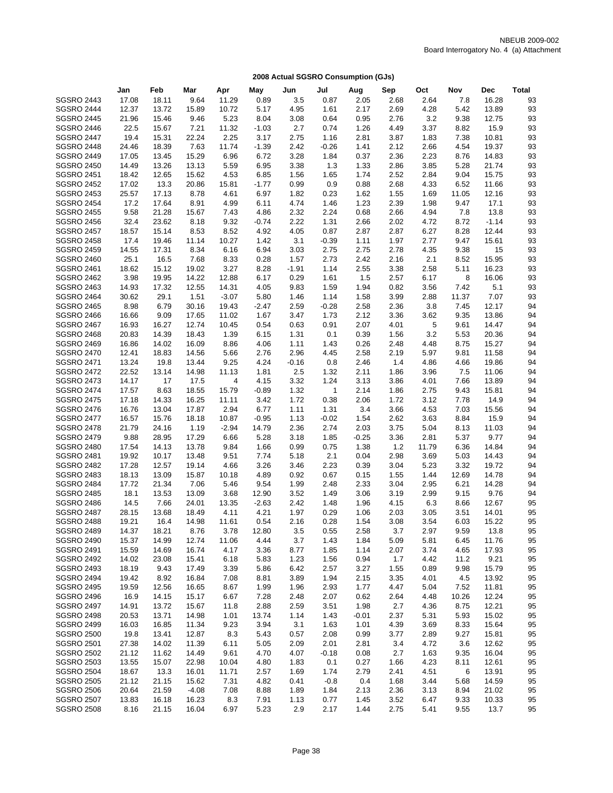|                   | Jan   | Feb   | Mar     | Apr     | May     | Jun     | Jul     | Aug     | Sep  | Oct   | Nov   | <b>Dec</b> | <b>Total</b> |
|-------------------|-------|-------|---------|---------|---------|---------|---------|---------|------|-------|-------|------------|--------------|
| <b>SGSRO 2443</b> | 17.08 | 18.11 | 9.64    | 11.29   | 0.89    | 3.5     | 0.87    | 2.05    | 2.68 | 2.64  | 7.8   | 16.28      | 93           |
| <b>SGSRO 2444</b> | 12.37 | 13.72 | 15.89   | 10.72   | 5.17    | 4.95    | 1.61    | 2.17    | 2.69 | 4.28  | 5.42  | 13.89      | 93           |
| <b>SGSRO 2445</b> | 21.96 | 15.46 | 9.46    | 5.23    | 8.04    | 3.08    | 0.64    | 0.95    | 2.76 | 3.2   | 9.38  | 12.75      | 93           |
| <b>SGSRO 2446</b> | 22.5  | 15.67 | 7.21    | 11.32   | $-1.03$ | 2.7     | 0.74    | 1.26    | 4.49 | 3.37  | 8.82  | 15.9       | 93           |
| <b>SGSRO 2447</b> | 19.4  | 15.31 | 22.24   | 2.25    | 3.17    | 2.75    | 1.16    | 2.81    | 3.87 | 1.83  | 7.38  | 10.81      | 93           |
| <b>SGSRO 2448</b> | 24.46 | 18.39 | 7.63    | 11.74   | $-1.39$ | 2.42    | $-0.26$ | 1.41    | 2.12 | 2.66  | 4.54  | 19.37      | 93           |
| <b>SGSRO 2449</b> | 17.05 | 13.45 | 15.29   | 6.96    | 6.72    | 3.28    | 1.84    | 0.37    | 2.36 | 2.23  | 8.76  | 14.83      | 93           |
| <b>SGSRO 2450</b> | 14.49 | 13.26 | 13.13   | 5.59    | 6.95    | 3.38    | 1.3     | 1.33    | 2.86 | 3.85  | 5.28  | 21.74      | 93           |
| <b>SGSRO 2451</b> | 18.42 | 12.65 | 15.62   | 4.53    | 6.85    | 1.56    | 1.65    | 1.74    | 2.52 | 2.84  | 9.04  | 15.75      | 93           |
| <b>SGSRO 2452</b> | 17.02 | 13.3  | 20.86   | 15.81   | $-1.77$ | 0.99    | 0.9     | 0.88    | 2.68 | 4.33  | 6.52  | 11.66      | 93           |
| <b>SGSRO 2453</b> | 25.57 | 17.13 | 8.78    | 4.61    | 6.97    | 1.82    | 0.23    | 1.62    | 1.55 | 1.69  | 11.05 | 12.16      | 93           |
| <b>SGSRO 2454</b> | 17.2  | 17.64 | 8.91    | 4.99    | 6.11    | 4.74    | 1.46    | 1.23    | 2.39 | 1.98  | 9.47  | 17.1       | 93           |
| <b>SGSRO 2455</b> | 9.58  | 21.28 | 15.67   | 7.43    | 4.86    | 2.32    | 2.24    | 0.68    | 2.66 | 4.94  | 7.8   | 13.8       | 93           |
| <b>SGSRO 2456</b> | 32.4  | 23.62 | 8.18    | 9.32    | $-0.74$ | 2.22    | 1.31    | 2.66    | 2.02 | 4.72  | 8.72  | $-1.14$    | 93           |
| <b>SGSRO 2457</b> | 18.57 | 15.14 | 8.53    | 8.52    | 4.92    | 4.05    | 0.87    | 2.87    | 2.87 | 6.27  | 8.28  | 12.44      | 93           |
| <b>SGSRO 2458</b> | 17.4  | 19.46 | 11.14   | 10.27   | 1.42    | 3.1     | $-0.39$ | 1.11    | 1.97 | 2.77  | 9.47  | 15.61      | 93           |
| <b>SGSRO 2459</b> | 14.55 | 17.31 | 8.34    | 6.16    | 6.94    | 3.03    | 2.75    | 2.75    | 2.78 | 4.35  | 9.38  | 15         | 93           |
| <b>SGSRO 2460</b> | 25.1  | 16.5  | 7.68    | 8.33    | 0.28    | 1.57    | 2.73    | 2.42    | 2.16 | 2.1   | 8.52  | 15.95      | 93           |
| <b>SGSRO 2461</b> | 18.62 | 15.12 | 19.02   | 3.27    | 8.28    | $-1.91$ | 1.14    | 2.55    | 3.38 | 2.58  | 5.11  | 16.23      | 93           |
| <b>SGSRO 2462</b> | 3.98  | 19.95 | 14.22   | 12.88   | 6.17    | 0.29    | 1.61    | 1.5     | 2.57 | 6.17  | 8     | 16.06      | 93           |
| <b>SGSRO 2463</b> | 14.93 | 17.32 | 12.55   | 14.31   | 4.05    | 9.83    | 1.59    | 1.94    | 0.82 | 3.56  | 7.42  | 5.1        | 93           |
| <b>SGSRO 2464</b> | 30.62 | 29.1  | 1.51    | $-3.07$ | 5.80    | 1.46    | 1.14    | 1.58    | 3.99 | 2.88  | 11.37 | 7.07       | 93           |
| <b>SGSRO 2465</b> | 8.98  | 6.79  | 30.16   | 19.43   | $-2.47$ | 2.59    | $-0.28$ | 2.58    | 2.36 | 3.8   | 7.45  | 12.17      | 94           |
| <b>SGSRO 2466</b> | 16.66 | 9.09  | 17.65   | 11.02   | 1.67    | 3.47    | 1.73    | 2.12    | 3.36 | 3.62  | 9.35  | 13.86      | 94           |
| <b>SGSRO 2467</b> | 16.93 | 16.27 | 12.74   | 10.45   | 0.54    | 0.63    | 0.91    | 2.07    | 4.01 | 5     | 9.61  | 14.47      | 94           |
| <b>SGSRO 2468</b> | 20.83 | 14.39 | 18.43   | 1.39    | 6.15    | 1.31    | 0.1     | 0.39    | 1.56 | 3.2   | 5.53  | 20.36      | 94           |
| <b>SGSRO 2469</b> | 16.86 | 14.02 | 16.09   | 8.86    | 4.06    | 1.11    | 1.43    | 0.26    | 2.48 | 4.48  | 8.75  | 15.27      | 94           |
| <b>SGSRO 2470</b> | 12.41 | 18.83 | 14.56   | 5.66    | 2.76    | 2.96    | 4.45    | 2.58    | 2.19 | 5.97  | 9.81  | 11.58      | 94           |
| <b>SGSRO 2471</b> | 13.24 | 19.8  | 13.44   | 9.25    | 4.24    | $-0.16$ | 0.8     | 2.46    | 1.4  | 4.86  | 4.66  | 19.86      | 94           |
| <b>SGSRO 2472</b> | 22.52 | 13.14 | 14.98   | 11.13   | 1.81    | 2.5     | 1.32    | 2.11    | 1.86 | 3.96  | 7.5   | 11.06      | 94           |
| <b>SGSRO 2473</b> | 14.17 | 17    | 17.5    | 4       | 4.15    | 3.32    | 1.24    | 3.13    | 3.86 | 4.01  | 7.66  | 13.89      | 94           |
| <b>SGSRO 2474</b> | 17.57 | 8.63  | 18.55   | 15.79   | $-0.89$ | 1.32    | 1       | 2.14    | 1.86 | 2.75  | 9.43  | 15.81      | 94           |
| <b>SGSRO 2475</b> | 17.18 | 14.33 | 16.25   | 11.11   | 3.42    | 1.72    | 0.38    | 2.06    | 1.72 | 3.12  | 7.78  | 14.9       | 94           |
| <b>SGSRO 2476</b> | 16.76 | 13.04 | 17.87   | 2.94    | 6.77    | 1.11    | 1.31    | 3.4     | 3.66 | 4.53  | 7.03  | 15.56      | 94           |
| <b>SGSRO 2477</b> | 16.57 | 15.76 | 18.18   | 10.87   | $-0.95$ | 1.13    | $-0.02$ | 1.54    | 2.62 | 3.63  | 8.84  | 15.9       | 94           |
| <b>SGSRO 2478</b> | 21.79 | 24.16 | 1.19    | $-2.94$ | 14.79   | 2.36    | 2.74    | 2.03    | 3.75 | 5.04  | 8.13  | 11.03      | 94           |
| <b>SGSRO 2479</b> | 9.88  | 28.95 | 17.29   | 6.66    | 5.28    | 3.18    | 1.85    | $-0.25$ | 3.36 | 2.81  | 5.37  | 9.77       | 94           |
| <b>SGSRO 2480</b> | 17.54 | 14.13 | 13.78   | 9.84    | 1.66    | 0.99    | 0.75    | 1.38    | 1.2  | 11.79 | 6.36  | 14.84      | 94           |
| <b>SGSRO 2481</b> | 19.92 | 10.17 | 13.48   | 9.51    | 7.74    | 5.18    | 2.1     | 0.04    | 2.98 | 3.69  | 5.03  | 14.43      | 94           |
| <b>SGSRO 2482</b> | 17.28 | 12.57 | 19.14   | 4.66    | 3.26    | 3.46    | 2.23    | 0.39    | 3.04 | 5.23  | 3.32  | 19.72      | 94           |
| <b>SGSRO 2483</b> | 18.13 | 13.09 | 15.87   | 10.18   | 4.89    | 0.92    | 0.67    | 0.15    | 1.55 | 1.44  | 12.69 | 14.78      | 94           |
| <b>SGSRO 2484</b> | 17.72 | 21.34 | 7.06    | 5.46    | 9.54    | 1.99    | 2.48    | 2.33    | 3.04 | 2.95  | 6.21  | 14.28      | 94           |
| <b>SGSRO 2485</b> | 18.1  | 13.53 | 13.09   | 3.68    | 12.90   | 3.52    | 1.49    | 3.06    | 3.19 | 2.99  | 9.15  | 9.76       | 94           |
| <b>SGSRO 2486</b> | 14.5  | 7.66  | 24.01   | 13.35   | $-2.63$ | 2.42    | 1.48    | 1.96    | 4.15 | 6.3   | 8.66  | 12.67      | 95           |
| <b>SGSRO 2487</b> | 28.15 | 13.68 | 18.49   | 4.11    | 4.21    | 1.97    | 0.29    | 1.06    | 2.03 | 3.05  | 3.51  | 14.01      | 95           |
| <b>SGSRO 2488</b> | 19.21 | 16.4  | 14.98   | 11.61   | 0.54    | 2.16    | 0.28    | 1.54    | 3.08 | 3.54  | 6.03  | 15.22      | 95           |
| <b>SGSRO 2489</b> | 14.37 | 18.21 | 8.76    | 3.78    | 12.80   | 3.5     | 0.55    | 2.58    | 3.7  | 2.97  | 9.59  | 13.8       | 95           |
| <b>SGSRO 2490</b> | 15.37 | 14.99 | 12.74   | 11.06   | 4.44    | 3.7     | 1.43    | 1.84    | 5.09 | 5.81  | 6.45  | 11.76      | 95           |
| <b>SGSRO 2491</b> | 15.59 | 14.69 | 16.74   | 4.17    | 3.36    | 8.77    | 1.85    | 1.14    | 2.07 | 3.74  | 4.65  | 17.93      | 95           |
| <b>SGSRO 2492</b> | 14.02 | 23.08 | 15.41   | 6.18    | 5.83    | 1.23    | 1.56    | 0.94    | 1.7  | 4.42  | 11.2  | 9.21       | 95           |
| <b>SGSRO 2493</b> | 18.19 | 9.43  | 17.49   | 3.39    | 5.86    | 6.42    | 2.57    | 3.27    | 1.55 | 0.89  | 9.98  | 15.79      | 95           |
| <b>SGSRO 2494</b> | 19.42 | 8.92  | 16.84   | 7.08    | 8.81    | 3.89    | 1.94    | 2.15    | 3.35 | 4.01  | 4.5   | 13.92      | 95           |
| <b>SGSRO 2495</b> | 19.59 | 12.56 | 16.65   | 8.67    | 1.99    | 1.96    | 2.93    | 1.77    | 4.47 | 5.04  | 7.52  | 11.81      | 95           |
| <b>SGSRO 2496</b> | 16.9  | 14.15 | 15.17   | 6.67    | 7.28    | 2.48    | 2.07    | 0.62    | 2.64 | 4.48  | 10.26 | 12.24      | 95           |
| <b>SGSRO 2497</b> | 14.91 | 13.72 | 15.67   | 11.8    | 2.88    | 2.59    | 3.51    | 1.98    | 2.7  | 4.36  | 8.75  | 12.21      | 95           |
| <b>SGSRO 2498</b> | 20.53 | 13.71 | 14.98   | 1.01    | 13.74   | 1.14    | 1.43    | $-0.01$ | 2.37 | 5.31  | 5.93  | 15.02      | 95           |
| <b>SGSRO 2499</b> | 16.03 | 16.85 | 11.34   | 9.23    | 3.94    | 3.1     | 1.63    | 1.01    | 4.39 | 3.69  | 8.33  | 15.64      | 95           |
| <b>SGSRO 2500</b> | 19.8  | 13.41 | 12.87   | 8.3     | 5.43    | 0.57    | 2.08    | 0.99    | 3.77 | 2.89  | 9.27  | 15.81      | 95           |
| <b>SGSRO 2501</b> | 27.38 | 14.02 | 11.39   | 6.11    | 5.05    | 2.09    | 2.01    | 2.81    | 3.4  | 4.72  | 3.6   | 12.62      | 95           |
| <b>SGSRO 2502</b> | 21.12 | 11.62 | 14.49   | 9.61    | 4.70    | 4.07    | $-0.18$ | 0.08    | 2.7  | 1.63  | 9.35  | 16.04      | 95           |
| <b>SGSRO 2503</b> | 13.55 | 15.07 | 22.98   | 10.04   | 4.80    | 1.83    | 0.1     | 0.27    | 1.66 | 4.23  | 8.11  | 12.61      | 95           |
| <b>SGSRO 2504</b> | 18.67 | 13.3  | 16.01   | 11.71   | 2.57    | 1.69    | 1.74    | 2.79    | 2.41 | 4.51  | 6     | 13.91      | 95           |
| <b>SGSRO 2505</b> | 21.12 | 21.15 | 15.62   | 7.31    | 4.82    | 0.41    | $-0.8$  | 0.4     | 1.68 | 3.44  | 5.68  | 14.59      | 95           |
| <b>SGSRO 2506</b> | 20.64 | 21.59 | $-4.08$ | 7.08    | 8.88    | 1.89    | 1.84    | 2.13    | 2.36 | 3.13  | 8.94  | 21.02      | 95           |
| <b>SGSRO 2507</b> | 13.83 | 16.18 | 16.23   | 8.3     | 7.91    | 1.13    | 0.77    | 1.45    | 3.52 | 6.47  | 9.33  | 10.33      | 95           |
| <b>SGSRO 2508</b> | 8.16  | 21.15 | 16.04   | 6.97    | 5.23    | 2.9     | 2.17    | 1.44    | 2.75 | 5.41  | 9.55  | 13.7       | 95           |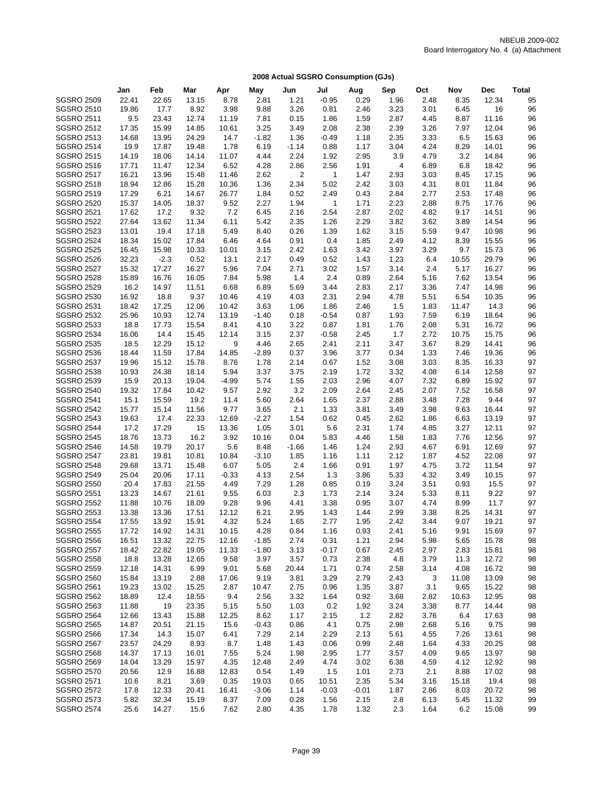|                                        | Jan            | Feb            | Mar            | Apr           | May          | Jun          | Jul          | Aug          | Sep          | Oct  | Nov          | <b>Dec</b>     | <b>Total</b> |
|----------------------------------------|----------------|----------------|----------------|---------------|--------------|--------------|--------------|--------------|--------------|------|--------------|----------------|--------------|
| <b>SGSRO 2509</b>                      | 22.41          | 22.65          | 13.15          | 8.78          | 2.81         | 1.21         | $-0.95$      | 0.29         | 1.96         | 2.48 | 8.35         | 12.34          | 95           |
| <b>SGSRO 2510</b>                      | 19.86          | 17.7           | 8.92           | 3.98          | 9.88         | 3.26         | 0.81         | 2.46         | 3.23         | 3.01 | 6.45         | 16             | 96           |
| <b>SGSRO 2511</b>                      | 9.5            | 23.43          | 12.74          | 11.19         | 7.81         | 0.15         | 1.86         | 1.59         | 2.87         | 4.45 | 8.87         | 11.16          | 96           |
| <b>SGSRO 2512</b>                      | 17.35          | 15.99          | 14.85          | 10.61         | 3.25         | 3.49         | 2.08         | 2.38         | 2.39         | 3.26 | 7.97         | 12.04          | 96           |
| <b>SGSRO 2513</b>                      | 14.68          | 13.95          | 24.29          | 14.7          | $-1.82$      | 1.36         | $-0.49$      | 1.18         | 2.35         | 3.33 | 6.5          | 15.63          | 96           |
| <b>SGSRO 2514</b>                      | 19.9           | 17.87          | 19.48          | 1.78          | 6.19         | $-1.14$      | 0.88         | 1.17         | 3.04         | 4.24 | 8.29         | 14.01          | 96           |
| <b>SGSRO 2515</b>                      | 14.19          | 18.06          | 14.14          | 11.07         | 4.44         | 2.24         | 1.92         | 2.95         | 3.9          | 4.79 | 3.2          | 14.84          | 96           |
| <b>SGSRO 2516</b>                      | 17.71          | 11.47          | 12.34          | 6.52          | 4.28         | 2.86         | 2.56         | 1.91         | 4            | 6.89 | 6.8          | 18.42          | 96           |
| <b>SGSRO 2517</b>                      | 16.21          | 13.96          | 15.48          | 11.46         | 2.62         | 2            | 1            | 1.47         | 2.93         | 3.03 | 8.45         | 17.15          | 96           |
| <b>SGSRO 2518</b>                      | 18.94          | 12.86          | 15.28          | 10.36         | 1.36         | 2.34         | 5.02         | 2.42         | 3.03         | 4.31 | 8.01         | 11.84          | 96           |
| <b>SGSRO 2519</b>                      | 17.29          | 6.21           | 14.67          | 26.77         | 1.84         | 0.52         | 2.49         | 0.43         | 2.84         | 2.77 | 2.53         | 17.48          | 96           |
| <b>SGSRO 2520</b>                      | 15.37          | 14.05          | 18.37          | 9.52          | 2.27         | 1.94         | $\mathbf{1}$ | 1.71         | 2.23         | 2.88 | 8.75         | 17.76          | 96           |
| <b>SGSRO 2521</b>                      | 17.62          | 17.2           | 9.32           | 7.2           | 6.45         | 2.16         | 2.54         | 2.87         | 2.02         | 4.82 | 9.17         | 14.51          | 96           |
| <b>SGSRO 2522</b>                      | 27.64          | 13.62          | 11.34          | 6.11          | 5.42         | 2.35         | 1.26         | 2.29         | 3.82         | 3.62 | 3.89         | 14.54          | 96           |
| <b>SGSRO 2523</b>                      | 13.01          | 19.4           | 17.18          | 5.49          | 8.40         | 0.26         | 1.39         | 1.62         | 3.15         | 5.59 | 9.47         | 10.98          | 96           |
| <b>SGSRO 2524</b>                      | 18.34          | 15.02          | 17.84          | 6.46          | 4.64         | 0.91         | 0.4          | 1.85         | 2.49         | 4.12 | 8.39         | 15.55          | 96           |
| <b>SGSRO 2525</b>                      | 16.45          | 15.98          | 10.33          | 10.01         | 3.15         | 2.42         | 1.63         | 3.42         | 3.97         | 3.29 | 9.7          | 15.73          | 96           |
| <b>SGSRO 2526</b>                      | 32.23          | $-2.3$         | 0.52           | 13.1          | 2.17         | 0.49         | 0.52         | 1.43         | 1.23         | 6.4  | 10.55        | 29.79          | 96           |
| <b>SGSRO 2527</b>                      | 15.32          | 17.27          | 16.27          | 5.96          | 7.04         | 2.71         | 3.02         | 1.57         | 3.14         | 2.4  | 5.17         | 16.27          | 96           |
| <b>SGSRO 2528</b>                      | 15.89          | 16.76          | 16.05          | 7.84          | 5.98         | 1.4          | 2.4          | 0.89         | 2.64         | 5.16 | 7.62         | 13.54          | 96           |
| <b>SGSRO 2529</b>                      | 16.2           | 14.97          | 11.51          | 6.68          | 6.89         | 5.69         | 3.44         | 2.83         | 2.17         | 3.36 | 7.47         | 14.98          | 96           |
| <b>SGSRO 2530</b>                      | 16.92          | 18.8           | 9.37           | 10.46         | 4.19         | 4.03         | 2.31         | 2.94         | 4.78         | 5.51 | 6.54         | 10.35          | 96           |
| <b>SGSRO 2531</b>                      | 18.42          | 17.25          | 12.06          | 10.42         | 3.63         | 1.06         | 1.86         | 2.46         | 1.5          | 1.83 | 11.47        | 14.3           | 96           |
| <b>SGSRO 2532</b>                      | 25.96          | 10.93          | 12.74          | 13.19         | $-1.40$      | 0.18         | $-0.54$      | 0.87         | 1.93         | 7.59 | 6.19         | 18.64          | 96           |
| <b>SGSRO 2533</b>                      | 18.8           | 17.73          | 15.54          | 8.41          | 4.10         | 3.22         | 0.87         | 1.81         | 1.76         | 2.08 | 5.31         | 16.72          | 96           |
| <b>SGSRO 2534</b>                      | 16.06          | 14.4           | 15.45          | 12.14         | 3.15         | 2.37         | $-0.58$      | 2.45         | 1.7          | 2.72 | 10.75        | 15.75          | 96           |
| <b>SGSRO 2535</b>                      | 18.5           | 12.29          | 15.12          | 9             | 4.46         | 2.65         | 2.41         | 2.11         | 3.47         | 3.67 | 8.29         | 14.41          | 96           |
| <b>SGSRO 2536</b>                      | 18.44          | 11.59          | 17.84          | 14.85         | $-2.89$      | 0.37         | 3.96         | 3.77         | 0.34         | 1.33 | 7.46         | 19.36          | 96           |
| <b>SGSRO 2537</b>                      | 19.96          | 15.12          | 15.78          | 8.76          | 1.78         | 2.14         | 0.67         | 1.52         | 3.08         | 3.03 | 8.35         | 16.33          | 97           |
| <b>SGSRO 2538</b>                      | 10.93          | 24.38          | 18.14          | 5.94          | 3.37         | 3.75         | 2.19         | 1.72         | 3.32         | 4.08 | 6.14         | 12.58          | 97           |
| <b>SGSRO 2539</b>                      | 15.9           | 20.13          | 19.04          | $-4.99$       | 5.74         | 1.55         | 2.03         | 2.96         | 4.07         | 7.32 | 6.89         | 15.92          | 97           |
| <b>SGSRO 2540</b>                      | 19.32          | 17.84          | 10.42          | 9.57          | 2.92         | 3.2          | 2.09         | 2.64         | 2.45         | 2.07 | 7.52         | 16.58          | 97           |
| <b>SGSRO 2541</b>                      | 15.1           | 15.59          | 19.2           | 11.4          | 5.60         | 2.64         | 1.65         | 2.37         | 2.88         | 3.48 | 7.28         | 9.44           | 97           |
| <b>SGSRO 2542</b>                      | 15.77          | 15.14          | 11.56          | 9.77          | 3.65         | 2.1          | 1.33         | 3.81         | 3.49         | 3.98 | 9.63         | 16.44          | 97           |
| <b>SGSRO 2543</b>                      | 19.63          | 17.4           | 22.33          | 12.69         | $-2.27$      | 1.54         | 0.62         | 0.45         | 2.62         | 1.86 | 6.63         | 13.19          | 97           |
| <b>SGSRO 2544</b>                      | 17.2           | 17.29          | 15             | 13.36         | 1.05         | 3.01         | 5.6          | 2.31         | 1.74         | 4.85 | 3.27         | 12.11          | 97           |
| <b>SGSRO 2545</b>                      | 18.76          | 13.73          | 16.2           | 3.92          | 10.16        | 0.04         | 5.83         | 4.46         | 1.58         | 1.83 | 7.76         | 12.56          | 97           |
| <b>SGSRO 2546</b>                      | 14.58          | 19.79          | 20.17          | 5.6           | 8.48         | $-1.66$      | 1.46         | 1.24         | 2.93         | 4.67 | 6.91         | 12.69          | 97           |
| <b>SGSRO 2547</b>                      | 23.81          | 19.81          | 10.81          | 10.84         | $-3.10$      | 1.85         | 1.16         | 1.11         | 2.12         | 1.87 | 4.52         | 22.08          | 97           |
| <b>SGSRO 2548</b>                      | 29.68          | 13.71          | 15.48          | 6.07          | 5.05         | 2.4          | 1.66         | 0.91         | 1.97         | 4.75 | 3.72         | 11.54          | 97           |
| <b>SGSRO 2549</b>                      | 25.04          | 20.06          | 17.11          | $-0.33$       | 4.13         | 2.54         | 1.3          | 3.86         | 5.33         | 4.32 | 3.49         | 10.15          | 97           |
| <b>SGSRO 2550</b>                      | 20.4           | 17.83          | 21.55          | 4.49          | 7.29         | 1.28         | 0.85         | 0.19         | 3.24         | 3.51 | 0.93         | 15.5           | 97           |
| <b>SGSRO 2551</b>                      | 13.23          | 14.67          | 21.61          | 9.55          | 6.03         | 2.3          |              | 2.14         | 3.24         | 5.33 | 8.11         | 9.22           | 97           |
|                                        |                | 10.76          | 18.09          | 9.28          | 9.96         |              | 1.73         |              |              | 4.74 | 8.99         | 11.7           | 97           |
| <b>SGSRO 2552</b><br><b>SGSRO 2553</b> | 11.88          |                |                |               |              | 4.41         | 3.38         | 0.95<br>1.44 | 3.07         | 3.38 |              |                | 97           |
| <b>SGSRO 2554</b>                      | 13.38<br>17.55 | 13.36<br>13.92 | 17.51<br>15.91 | 12.12<br>4.32 | 6.21<br>5.24 | 2.95<br>1.65 | 1.43<br>2.77 | 1.95         | 2.99<br>2.42 | 3.44 | 8.25<br>9.07 | 14.31<br>19.21 | 97           |
| <b>SGSRO 2555</b>                      | 17.72          | 14.92          | 14.31          | 10.15         | 4.28         | 0.84         | 1.16         | 0.93         | 2.41         | 5.16 | 9.91         | 15.69          | 97           |
| <b>SGSRO 2556</b>                      | 16.51          | 13.32          | 22.75          | 12.16         | $-1.85$      | 2.74         | 0.31         | 1.21         | 2.94         | 5.98 | 5.65         | 15.78          | 98           |
| <b>SGSRO 2557</b>                      | 18.42          | 22.82          | 19.05          | 11.33         | $-1.80$      | 3.13         | $-0.17$      | 0.67         | 2.45         | 2.97 | 2.83         | 15.81          | 98           |
| <b>SGSRO 2558</b>                      | 18.8           | 13.28          | 12.65          | 9.58          | 3.97         | 3.57         | 0.73         | 2.38         | 4.8          | 3.79 | 11.3         | 12.72          |              |
| <b>SGSRO 2559</b>                      | 12.18          | 14.31          |                | 9.01          | 5.68         | 20.44        |              | 0.74         | 2.58         | 3.14 | 4.08         | 16.72          | 98           |
| <b>SGSRO 2560</b>                      | 15.84          | 13.19          | 6.99<br>2.88   | 17.06         | 9.19         | 3.81         | 1.71<br>3.29 | 2.79         | 2.43         | 3    | 11.08        | 13.09          | 98<br>98     |
| <b>SGSRO 2561</b>                      | 19.23          | 13.02          | 15.25          | 2.87          | 10.47        | 2.75         | 0.96         | 1.35         | 3.87         | 3.1  | 9.65         | 15.22          | 98           |
| <b>SGSRO 2562</b>                      | 18.89          | 12.4           | 18.55          | 9.4           | 2.56         | 3.32         | 1.64         | 0.92         | 3.68         | 2.82 | 10.63        | 12.95          | 98           |
| SGSRO 2563                             | 11.88          | 19             | 23.35          | 5.15          | 5.50         | 1.03         | 0.2          | 1.92         | 3.24         | 3.38 | 8.77         | 14.44          |              |
| <b>SGSRO 2564</b>                      |                | 13.43          |                |               |              |              |              | 1.2          | 2.82         |      |              | 17.63          | 98           |
| <b>SGSRO 2565</b>                      | 12.66          |                | 15.88          | 12.25         | 8.62         | 1.17         | 2.15         |              |              | 3.76 | 6.4          |                | 98           |
|                                        | 14.87          | 20.51          | 21.15          | 15.6          | $-0.43$      | 0.86         | 4.1          | 0.75         | 2.98         | 2.68 | 5.16         | 9.75           | 98           |
| <b>SGSRO 2566</b>                      | 17.34          | 14.3           | 15.07          | 6.41          | 7.29         | 2.14         | 2.29         | 2.13         | 5.61         | 4.55 | 7.26         | 13.61          | 98           |
| <b>SGSRO 2567</b>                      | 23.57          | 24.29          | 8.93           | 8.7           | 1.48         | 1.43         | 0.06         | 0.99         | 2.48         | 1.64 | 4.33         | 20.25          | 98           |
| <b>SGSRO 2568</b>                      | 14.37          | 17.13          | 16.01          | 7.55          | 5.24         | 1.98         | 2.95         | 1.77         | 3.57         | 4.09 | 9.65         | 13.97          | 98           |
| <b>SGSRO 2569</b>                      | 14.04          | 13.29          | 15.97          | 4.35          | 12.48        | 2.49         | 4.74         | 3.02         | 6.38         | 4.59 | 4.12         | 12.92          | 98           |
| <b>SGSRO 2570</b>                      | 20.56          | 12.9           | 16.88          | 12.83         | 0.54         | 1.49         | 1.5          | 1.01         | 2.73         | 2.1  | 8.88         | 17.02          | 98           |
| <b>SGSRO 2571</b>                      | 10.6           | 8.21           | 3.69           | 0.35          | 19.03        | 0.65         | 10.51        | 2.35         | 5.34         | 3.16 | 15.18        | 19.4           | 98           |
| <b>SGSRO 2572</b>                      | 17.8           | 12.33          | 20.41          | 16.41         | $-3.06$      | 1.14         | $-0.03$      | $-0.01$      | 1.87         | 2.86 | 8.03         | 20.72          | 98           |
| <b>SGSRO 2573</b>                      | 5.82           | 32.34          | 15.19          | 8.37          | 7.09         | 0.28         | 1.56         | 2.15         | 2.8          | 6.13 | 5.45         | 11.32          | 99           |
| <b>SGSRO 2574</b>                      | 25.6           | 14.27          | 15.6           | 7.62          | 2.80         | 4.35         | 1.78         | 1.32         | 2.3          | 1.64 | 6.2          | 15.08          | 99           |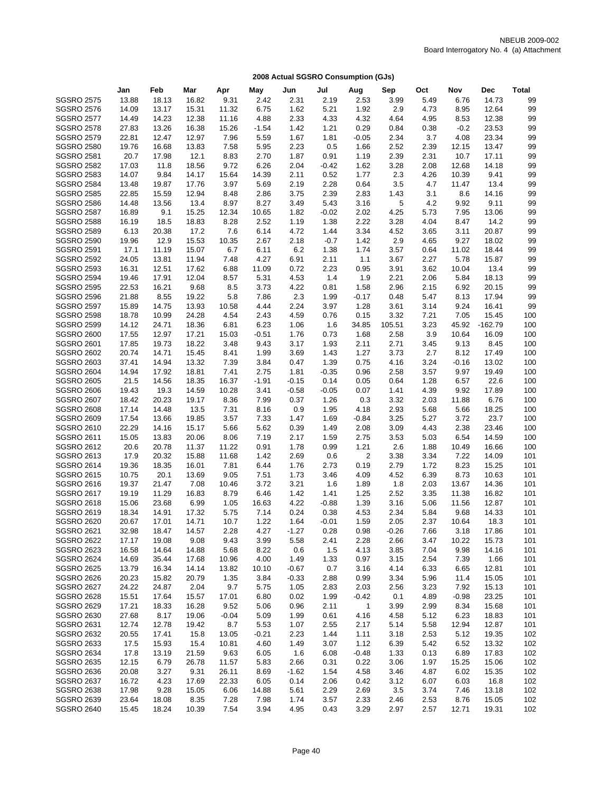|                   | Jan   | Feb   | Mar   | Apr     | May     | Jun     | Jul     | Aug          | Sep     | Oct  | Nov     | Dec       | <b>Total</b> |
|-------------------|-------|-------|-------|---------|---------|---------|---------|--------------|---------|------|---------|-----------|--------------|
| <b>SGSRO 2575</b> | 13.88 | 18.13 | 16.82 | 9.31    | 2.42    | 2.31    | 2.19    | 2.53         | 3.99    | 5.49 | 6.76    | 14.73     | 99           |
| <b>SGSRO 2576</b> | 14.09 | 13.17 | 15.31 | 11.32   | 6.75    | 1.62    | 5.21    | 1.92         | 2.9     | 4.73 | 8.95    | 12.64     | 99           |
| <b>SGSRO 2577</b> | 14.49 | 14.23 | 12.38 | 11.16   | 4.88    | 2.33    | 4.33    | 4.32         | 4.64    | 4.95 | 8.53    | 12.38     | 99           |
| <b>SGSRO 2578</b> | 27.83 | 13.26 | 16.38 | 15.26   | $-1.54$ | 1.42    | 1.21    | 0.29         | 0.84    | 0.38 | $-0.2$  | 23.53     | 99           |
| <b>SGSRO 2579</b> | 22.81 | 12.47 | 12.97 | 7.96    | 5.59    | 1.67    | 1.81    | $-0.05$      | 2.34    | 3.7  | 4.08    | 23.34     | 99           |
| <b>SGSRO 2580</b> | 19.76 | 16.68 | 13.83 | 7.58    | 5.95    | 2.23    | 0.5     | 1.66         | 2.52    | 2.39 | 12.15   | 13.47     | 99           |
| <b>SGSRO 2581</b> | 20.7  | 17.98 | 12.1  | 8.83    | 2.70    | 1.87    | 0.91    | 1.19         | 2.39    | 2.31 | 10.7    | 17.11     | 99           |
| <b>SGSRO 2582</b> | 17.03 | 11.8  | 18.56 | 9.72    | 6.26    | 2.04    | $-0.42$ | 1.62         | 3.28    | 2.08 | 12.68   | 14.18     | 99           |
| <b>SGSRO 2583</b> | 14.07 | 9.84  | 14.17 | 15.64   | 14.39   | 2.11    | 0.52    | 1.77         | 2.3     | 4.26 | 10.39   | 9.41      | 99           |
| <b>SGSRO 2584</b> | 13.48 | 19.87 | 17.76 | 3.97    | 5.69    | 2.19    | 2.28    | 0.64         | 3.5     | 4.7  | 11.47   | 13.4      | 99           |
| <b>SGSRO 2585</b> | 22.85 | 15.59 | 12.94 | 8.48    | 2.86    | 3.75    | 2.39    | 2.83         | 1.43    | 3.1  | 8.6     | 14.16     | 99           |
| <b>SGSRO 2586</b> | 14.48 | 13.56 | 13.4  | 8.97    | 8.27    | 3.49    | 5.43    | 3.16         | 5       | 4.2  | 9.92    | 9.11      | 99           |
| <b>SGSRO 2587</b> | 16.89 | 9.1   | 15.25 | 12.34   | 10.65   | 1.82    | $-0.02$ | 2.02         | 4.25    | 5.73 | 7.95    | 13.06     | 99           |
| <b>SGSRO 2588</b> | 16.19 | 18.5  | 18.83 | 8.28    | 2.52    | 1.19    | 1.38    | 2.22         | 3.28    | 4.04 | 8.47    | 14.2      | 99           |
| <b>SGSRO 2589</b> | 6.13  | 20.38 | 17.2  | 7.6     | 6.14    | 4.72    | 1.44    | 3.34         | 4.52    | 3.65 | 3.11    | 20.87     | 99           |
| <b>SGSRO 2590</b> | 19.96 | 12.9  | 15.53 | 10.35   | 2.67    | 2.18    | $-0.7$  | 1.42         | 2.9     | 4.65 | 9.27    | 18.02     | 99           |
| <b>SGSRO 2591</b> | 17.1  | 11.19 | 15.07 | 6.7     | 6.11    | 6.2     | 1.38    | 1.74         | 3.57    | 0.64 | 11.02   | 18.44     | 99           |
| <b>SGSRO 2592</b> | 24.05 | 13.81 | 11.94 | 7.48    | 4.27    | 6.91    | 2.11    | 1.1          | 3.67    | 2.27 | 5.78    | 15.87     | 99           |
| <b>SGSRO 2593</b> | 16.31 | 12.51 | 17.62 | 6.88    | 11.09   | 0.72    | 2.23    | 0.95         | 3.91    | 3.62 | 10.04   | 13.4      | 99           |
| <b>SGSRO 2594</b> | 19.46 | 17.91 | 12.04 | 8.57    | 5.31    | 4.53    | 1.4     | 1.9          | 2.21    | 2.06 | 5.84    | 18.13     | 99           |
| <b>SGSRO 2595</b> | 22.53 | 16.21 | 9.68  | 8.5     | 3.73    | 4.22    | 0.81    | 1.58         | 2.96    | 2.15 | 6.92    | 20.15     | 99           |
| <b>SGSRO 2596</b> | 21.88 | 8.55  | 19.22 | 5.8     | 7.86    | 2.3     | 1.99    | $-0.17$      | 0.48    | 5.47 | 8.13    | 17.94     | 99           |
| <b>SGSRO 2597</b> | 15.89 | 14.75 | 13.93 | 10.58   | 4.44    | 2.24    | 3.97    | 1.28         | 3.61    | 3.14 | 9.24    | 16.41     | 99           |
| <b>SGSRO 2598</b> | 18.78 | 10.99 | 24.28 | 4.54    | 2.43    | 4.59    | 0.76    | 0.15         | 3.32    | 7.21 | 7.05    | 15.45     | 100          |
| <b>SGSRO 2599</b> | 14.12 | 24.71 | 18.36 | 6.81    | 6.23    | 1.06    | 1.6     | 34.85        | 105.51  | 3.23 | 45.92   | $-162.79$ | 100          |
| <b>SGSRO 2600</b> | 17.55 | 12.97 | 17.21 | 15.03   | $-0.51$ | 1.76    | 0.73    | 1.68         | 2.58    | 3.9  | 10.64   | 16.09     | 100          |
| <b>SGSRO 2601</b> | 17.85 | 19.73 | 18.22 | 3.48    | 9.43    | 3.17    | 1.93    | 2.11         | 2.71    | 3.45 | 9.13    | 8.45      | 100          |
| <b>SGSRO 2602</b> | 20.74 | 14.71 | 15.45 | 8.41    | 1.99    | 3.69    | 1.43    | 1.27         | 3.73    | 2.7  | 8.12    | 17.49     | 100          |
| <b>SGSRO 2603</b> | 37.41 | 14.94 | 13.32 | 7.39    | 3.84    | 0.47    | 1.39    | 0.75         | 4.16    | 3.24 | $-0.16$ | 13.02     | 100          |
| <b>SGSRO 2604</b> | 14.94 | 17.92 | 18.81 | 7.41    | 2.75    | 1.81    | $-0.35$ | 0.96         | 2.58    | 3.57 | 9.97    | 19.49     | 100          |
| <b>SGSRO 2605</b> | 21.5  | 14.56 | 18.35 | 16.37   | $-1.91$ | $-0.15$ | 0.14    | 0.05         | 0.64    | 1.28 | 6.57    | 22.6      | 100          |
| <b>SGSRO 2606</b> | 19.43 | 19.3  | 14.59 | 10.28   | 3.41    | $-0.58$ | $-0.05$ | 0.07         | 1.41    | 4.39 | 9.92    | 17.89     | 100          |
| <b>SGSRO 2607</b> | 18.42 | 20.23 | 19.17 | 8.36    | 7.99    | 0.37    | 1.26    | 0.3          | 3.32    | 2.03 | 11.88   | 6.76      | 100          |
| <b>SGSRO 2608</b> | 17.14 | 14.48 | 13.5  | 7.31    | 8.16    | 0.9     | 1.95    | 4.18         | 2.93    | 5.68 | 5.66    | 18.25     | 100          |
| <b>SGSRO 2609</b> | 17.54 | 13.66 | 19.85 | 3.57    | 7.33    | 1.47    | 1.69    | $-0.84$      | 3.25    | 5.27 | 3.72    | 23.7      | 100          |
| <b>SGSRO 2610</b> | 22.29 | 14.16 | 15.17 | 5.66    | 5.62    | 0.39    | 1.49    | 2.08         | 3.09    | 4.43 | 2.38    | 23.46     | 100          |
| <b>SGSRO 2611</b> | 15.05 | 13.83 | 20.06 | 8.06    | 7.19    | 2.17    | 1.59    | 2.75         | 3.53    | 5.03 | 6.54    | 14.59     | 100          |
| <b>SGSRO 2612</b> | 20.6  | 20.78 | 11.37 | 11.22   | 0.91    | 1.78    | 0.99    | 1.21         | 2.6     | 1.88 | 10.49   | 16.66     | 100          |
| <b>SGSRO 2613</b> | 17.9  | 20.32 | 15.88 | 11.68   | 1.42    | 2.69    | 0.6     | 2            | 3.38    | 3.34 | 7.22    | 14.09     | 101          |
| <b>SGSRO 2614</b> | 19.36 | 18.35 | 16.01 | 7.81    | 6.44    | 1.76    | 2.73    | 0.19         | 2.79    | 1.72 | 8.23    | 15.25     | 101          |
| <b>SGSRO 2615</b> | 10.75 | 20.1  | 13.69 | 9.05    | 7.51    | 1.73    | 3.46    | 4.09         | 4.52    | 6.39 | 8.73    | 10.63     | 101          |
| <b>SGSRO 2616</b> | 19.37 | 21.47 | 7.08  | 10.46   | 3.72    | 3.21    | 1.6     | 1.89         | 1.8     | 2.03 | 13.67   | 14.36     | 101          |
| <b>SGSRO 2617</b> | 19.19 | 11.29 | 16.83 | 8.79    | 6.46    | 1.42    | 1.41    | 1.25         | 2.52    | 3.35 | 11.38   | 16.82     | 101          |
| <b>SGSRO 2618</b> | 15.06 | 23.68 | 6.99  | 1.05    | 16.63   | 4.22    | $-0.88$ | 1.39         | 3.16    | 5.06 | 11.56   | 12.87     | 101          |
| <b>SGSRO 2619</b> | 18.34 | 14.91 | 17.32 | 5.75    | 7.14    | 0.24    | 0.38    | 4.53         | 2.34    | 5.84 | 9.68    | 14.33     | 101          |
| <b>SGSRO 2620</b> | 20.67 | 17.01 | 14.71 | 10.7    | 1.22    | 1.64    | $-0.01$ | 1.59         | 2.05    | 2.37 | 10.64   | 18.3      | 101          |
| <b>SGSRO 2621</b> | 32.98 | 18.47 | 14.57 | 2.28    | 4.27    | $-1.27$ | 0.28    | 0.98         | $-0.26$ | 7.66 | 3.18    | 17.86     | 101          |
| <b>SGSRO 2622</b> | 17.17 | 19.08 | 9.08  | 9.43    | 3.99    | 5.58    | 2.41    | 2.28         | 2.66    | 3.47 | 10.22   | 15.73     | 101          |
| <b>SGSRO 2623</b> | 16.58 | 14.64 | 14.88 | 5.68    | 8.22    | 0.6     | 1.5     | 4.13         | 3.85    | 7.04 | 9.98    | 14.16     | 101          |
| <b>SGSRO 2624</b> | 14.69 | 35.44 | 17.68 | 10.96   | 4.00    | 1.49    | 1.33    | 0.97         | 3.15    | 2.54 | 7.39    | 1.66      | 101          |
| <b>SGSRO 2625</b> | 13.79 | 16.34 | 14.14 | 13.82   | 10.10   | $-0.67$ | 0.7     | 3.16         | 4.14    | 6.33 | 6.65    | 12.81     | 101          |
| <b>SGSRO 2626</b> | 20.23 | 15.82 | 20.79 | 1.35    | 3.84    | $-0.33$ | 2.88    | 0.99         | 3.34    | 5.96 | 11.4    | 15.05     | 101          |
| <b>SGSRO 2627</b> | 24.22 | 24.87 | 2.04  | 9.7     | 5.75    | 1.05    | 2.83    | 2.03         | 2.56    | 3.23 | 7.92    | 15.13     | 101          |
| <b>SGSRO 2628</b> | 15.51 | 17.64 | 15.57 | 17.01   | 6.80    | 0.02    | 1.99    | $-0.42$      | 0.1     | 4.89 | $-0.98$ | 23.25     | 101          |
| <b>SGSRO 2629</b> | 17.21 | 18.33 | 16.28 | 9.52    | 5.06    | 0.96    | 2.11    | $\mathbf{1}$ | 3.99    | 2.99 | 8.34    | 15.68     | 101          |
| <b>SGSRO 2630</b> | 27.68 | 8.17  | 19.06 | $-0.04$ | 5.09    | 1.99    | 0.61    | 4.16         | 4.58    | 5.12 | 6.23    | 18.83     | 101          |
| <b>SGSRO 2631</b> | 12.74 | 12.78 | 19.42 | 8.7     | 5.53    | 1.07    | 2.55    | 2.17         | 5.14    | 5.58 | 12.94   | 12.87     | 101          |
| <b>SGSRO 2632</b> | 20.55 | 17.41 | 15.8  | 13.05   | $-0.21$ | 2.23    | 1.44    | 1.11         | 3.18    | 2.53 | 5.12    | 19.35     | 102          |
| SGSRO 2633        | 17.5  | 15.93 | 15.4  | 10.81   | 4.60    | 1.49    | 3.07    | 1.12         | 6.39    | 5.42 | 6.52    | 13.32     | 102          |
| <b>SGSRO 2634</b> | 17.8  | 13.19 | 21.59 | 9.63    | 6.05    | 1.6     | 6.08    | $-0.48$      | 1.33    | 0.13 | 6.89    | 17.83     | 102          |
| <b>SGSRO 2635</b> | 12.15 | 6.79  | 26.78 | 11.57   | 5.83    | 2.66    | 0.31    | 0.22         | 3.06    | 1.97 | 15.25   | 15.06     | 102          |
| <b>SGSRO 2636</b> | 20.08 | 3.27  | 9.31  | 26.11   | 8.69    | $-1.62$ | 1.54    | 4.58         | 3.46    | 4.87 | 6.02    | 15.35     | 102          |
| <b>SGSRO 2637</b> | 16.72 | 4.23  | 17.69 | 22.33   | 6.05    | 0.14    | 2.06    | 0.42         | 3.12    | 6.07 | 6.03    | 16.8      | 102          |
| <b>SGSRO 2638</b> | 17.98 | 9.28  | 15.05 | 6.06    | 14.88   | 5.61    | 2.29    | 2.69         | 3.5     | 3.74 | 7.46    | 13.18     | 102          |
| <b>SGSRO 2639</b> | 23.64 | 18.08 | 8.35  | 7.28    | 7.98    | 1.74    | 3.57    | 2.33         | 2.46    | 2.53 | 8.76    | 15.05     | 102          |
| <b>SGSRO 2640</b> | 15.45 | 18.24 | 10.39 | 7.54    | 3.94    | 4.95    | 0.43    | 3.29         | 2.97    | 2.57 | 12.71   | 19.31     | 102          |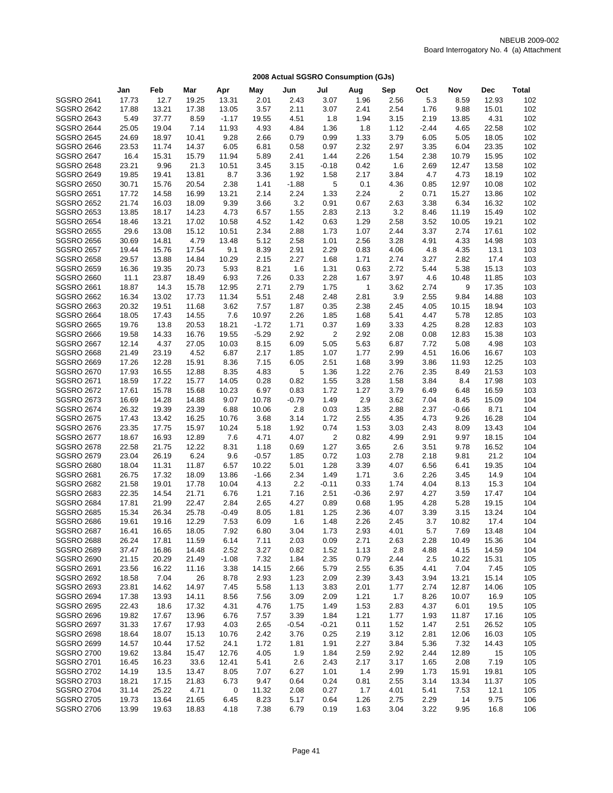|                   | Jan           | Feb   | Mar   | Apr     | May     | Jun     | Jul            | Aug          | Sep            | Oct     | Nov     | Dec   | <b>Total</b> |
|-------------------|---------------|-------|-------|---------|---------|---------|----------------|--------------|----------------|---------|---------|-------|--------------|
| <b>SGSRO 2641</b> | 17.73         | 12.7  | 19.25 | 13.31   | 2.01    | 2.43    | 3.07           | 1.96         | 2.56           | 5.3     | 8.59    | 12.93 | 102          |
| <b>SGSRO 2642</b> | 17.88         | 13.21 | 17.38 | 13.05   | 3.57    | 2.11    | 3.07           | 2.41         | 2.54           | 1.76    | 9.88    | 15.01 | 102          |
| <b>SGSRO 2643</b> |               | 37.77 | 8.59  | $-1.17$ | 19.55   | 4.51    | 1.8            | 1.94         |                | 2.19    |         | 4.31  | 102          |
|                   | 5.49<br>25.05 |       |       |         |         |         |                |              | 3.15           | $-2.44$ | 13.85   | 22.58 | 102          |
| <b>SGSRO 2644</b> |               | 19.04 | 7.14  | 11.93   | 4.93    | 4.84    | 1.36           | 1.8          | 1.12           |         | 4.65    |       |              |
| <b>SGSRO 2645</b> | 24.69         | 18.97 | 10.41 | 9.28    | 2.66    | 0.79    | 0.99           | 1.33         | 3.79           | 6.05    | 5.05    | 18.05 | 102          |
| <b>SGSRO 2646</b> | 23.53         | 11.74 | 14.37 | 6.05    | 6.81    | 0.58    | 0.97           | 2.32         | 2.97           | 3.35    | 6.04    | 23.35 | 102          |
| <b>SGSRO 2647</b> | 16.4          | 15.31 | 15.79 | 11.94   | 5.89    | 2.41    | 1.44           | 2.26         | 1.54           | 2.38    | 10.79   | 15.95 | 102          |
| <b>SGSRO 2648</b> | 23.21         | 9.96  | 21.3  | 10.51   | 3.45    | 3.15    | $-0.18$        | 0.42         | 1.6            | 2.69    | 12.47   | 13.58 | 102          |
| <b>SGSRO 2649</b> | 19.85         | 19.41 | 13.81 | 8.7     | 3.36    | 1.92    | 1.58           | 2.17         | 3.84           | 4.7     | 4.73    | 18.19 | 102          |
| <b>SGSRO 2650</b> | 30.71         | 15.76 | 20.54 | 2.38    | 1.41    | $-1.88$ | 5              | 0.1          | 4.36           | 0.85    | 12.97   | 10.08 | 102          |
| <b>SGSRO 2651</b> | 17.72         | 14.58 | 16.99 | 13.21   | 2.14    | 2.24    | 1.33           | 2.24         | $\overline{2}$ | 0.71    | 15.27   | 13.86 | 102          |
| <b>SGSRO 2652</b> | 21.74         | 16.03 | 18.09 | 9.39    | 3.66    | 3.2     | 0.91           | 0.67         | 2.63           | 3.38    | 6.34    | 16.32 | 102          |
| <b>SGSRO 2653</b> | 13.85         | 18.17 | 14.23 | 4.73    | 6.57    | 1.55    | 2.83           | 2.13         | 3.2            | 8.46    | 11.19   | 15.49 | 102          |
| <b>SGSRO 2654</b> | 18.46         | 13.21 | 17.02 | 10.58   | 4.52    | 1.42    | 0.63           | 1.29         | 2.58           | 3.52    | 10.05   | 19.21 | 102          |
| <b>SGSRO 2655</b> | 29.6          | 13.08 | 15.12 | 10.51   | 2.34    | 2.88    | 1.73           | 1.07         | 2.44           | 3.37    | 2.74    | 17.61 | 102          |
| <b>SGSRO 2656</b> | 30.69         | 14.81 | 4.79  | 13.48   | 5.12    | 2.58    | 1.01           | 2.56         | 3.28           | 4.91    | 4.33    | 14.98 | 103          |
| <b>SGSRO 2657</b> | 19.44         | 15.76 | 17.54 | 9.1     | 8.39    | 2.91    | 2.29           | 0.83         | 4.06           | 4.8     | 4.35    | 13.1  | 103          |
| <b>SGSRO 2658</b> | 29.57         | 13.88 | 14.84 | 10.29   | 2.15    | 2.27    | 1.68           | 1.71         | 2.74           | 3.27    | 2.82    | 17.4  | 103          |
| <b>SGSRO 2659</b> | 16.36         | 19.35 | 20.73 | 5.93    | 8.21    | 1.6     | 1.31           | 0.63         | 2.72           | 5.44    | 5.38    | 15.13 | 103          |
| <b>SGSRO 2660</b> | 11.1          | 23.87 | 18.49 | 6.93    | 7.26    | 0.33    | 2.28           | 1.67         | 3.97           | 4.6     | 10.48   | 11.85 | 103          |
| <b>SGSRO 2661</b> | 18.87         | 14.3  | 15.78 | 12.95   | 2.71    | 2.79    | 1.75           | $\mathbf{1}$ | 3.62           | 2.74    | 9       | 17.35 | 103          |
| <b>SGSRO 2662</b> | 16.34         | 13.02 | 17.73 | 11.34   | 5.51    | 2.48    | 2.48           | 2.81         | 3.9            | 2.55    | 9.84    | 14.88 | 103          |
| <b>SGSRO 2663</b> | 20.32         | 19.51 | 11.68 | 3.62    | 7.57    | 1.87    | 0.35           | 2.38         | 2.45           | 4.05    | 10.15   | 18.94 | 103          |
| <b>SGSRO 2664</b> | 18.05         | 17.43 | 14.55 | 7.6     | 10.97   | 2.26    | 1.85           | 1.68         | 5.41           | 4.47    | 5.78    | 12.85 | 103          |
|                   |               |       |       |         | $-1.72$ |         |                |              |                | 4.25    |         |       | 103          |
| <b>SGSRO 2665</b> | 19.76         | 13.8  | 20.53 | 18.21   |         | 1.71    | 0.37           | 1.69         | 3.33           |         | 8.28    | 12.83 |              |
| <b>SGSRO 2666</b> | 19.58         | 14.33 | 16.76 | 19.55   | $-5.29$ | 2.92    | 2              | 2.92         | 2.08           | 0.08    | 12.83   | 15.38 | 103          |
| <b>SGSRO 2667</b> | 12.14         | 4.37  | 27.05 | 10.03   | 8.15    | 6.09    | 5.05           | 5.63         | 6.87           | 7.72    | 5.08    | 4.98  | 103          |
| <b>SGSRO 2668</b> | 21.49         | 23.19 | 4.52  | 6.87    | 2.17    | 1.85    | 1.07           | 1.77         | 2.99           | 4.51    | 16.06   | 16.67 | 103          |
| <b>SGSRO 2669</b> | 17.26         | 12.28 | 15.91 | 8.36    | 7.15    | 6.05    | 2.51           | 1.68         | 3.99           | 3.86    | 11.93   | 12.25 | 103          |
| <b>SGSRO 2670</b> | 17.93         | 16.55 | 12.88 | 8.35    | 4.83    | 5       | 1.36           | 1.22         | 2.76           | 2.35    | 8.49    | 21.53 | 103          |
| <b>SGSRO 2671</b> | 18.59         | 17.22 | 15.77 | 14.05   | 0.28    | 0.82    | 1.55           | 3.28         | 1.58           | 3.84    | 8.4     | 17.98 | 103          |
| <b>SGSRO 2672</b> | 17.61         | 15.78 | 15.68 | 10.23   | 6.97    | 0.83    | 1.72           | 1.27         | 3.79           | 6.49    | 6.48    | 16.59 | 103          |
| <b>SGSRO 2673</b> | 16.69         | 14.28 | 14.88 | 9.07    | 10.78   | $-0.79$ | 1.49           | 2.9          | 3.62           | 7.04    | 8.45    | 15.09 | 104          |
| <b>SGSRO 2674</b> | 26.32         | 19.39 | 23.39 | 6.88    | 10.06   | 2.8     | 0.03           | 1.35         | 2.88           | 2.37    | $-0.66$ | 8.71  | 104          |
| <b>SGSRO 2675</b> | 17.43         | 13.42 | 16.25 | 10.76   | 3.68    | 3.14    | 1.72           | 2.55         | 4.35           | 4.73    | 9.26    | 16.28 | 104          |
| <b>SGSRO 2676</b> | 23.35         | 17.75 | 15.97 | 10.24   | 5.18    | 1.92    | 0.74           | 1.53         | 3.03           | 2.43    | 8.09    | 13.43 | 104          |
| <b>SGSRO 2677</b> | 18.67         | 16.93 | 12.89 | 7.6     | 4.71    | 4.07    | $\overline{c}$ | 0.82         | 4.99           | 2.91    | 9.97    | 18.15 | 104          |
| <b>SGSRO 2678</b> | 22.58         | 21.75 | 12.22 | 8.31    | 1.18    | 0.69    | 1.27           | 3.65         | 2.6            | 3.51    | 9.78    | 16.52 | 104          |
| <b>SGSRO 2679</b> | 23.04         | 26.19 | 6.24  | 9.6     | $-0.57$ | 1.85    | 0.72           | 1.03         | 2.78           | 2.18    | 9.81    | 21.2  | 104          |
| <b>SGSRO 2680</b> | 18.04         | 11.31 | 11.87 | 6.57    | 10.22   | 5.01    | 1.28           | 3.39         | 4.07           | 6.56    | 6.41    | 19.35 | 104          |
| <b>SGSRO 2681</b> | 26.75         | 17.32 | 18.09 | 13.86   | $-1.66$ | 2.34    | 1.49           | 1.71         | 3.6            | 2.26    | 3.45    | 14.9  | 104          |
| <b>SGSRO 2682</b> | 21.58         | 19.01 | 17.78 | 10.04   | 4.13    | 2.2     | $-0.11$        | 0.33         | 1.74           | 4.04    | 8.13    | 15.3  | 104          |
| <b>SGSRO 2683</b> | 22.35         | 14.54 | 21.71 | 6.76    | 1.21    | 7.16    | 2.51           | $-0.36$      | 2.97           | 4.27    | 3.59    | 17.47 | 104          |
| <b>SGSRO 2684</b> | 17.81         | 21.99 | 22.47 | 2.84    | 2.65    | 4.27    | 0.89           | 0.68         | 1.95           | 4.28    | 5.28    | 19.15 | 104          |
| <b>SGSRO 2685</b> | 15.34         | 26.34 | 25.78 | $-0.49$ | 8.05    | 1.81    | 1.25           | 2.36         | 4.07           | 3.39    | 3.15    | 13.24 | 104          |
| <b>SGSRO 2686</b> | 19.61         | 19.16 | 12.29 | 7.53    | 6.09    | 1.6     | 1.48           | 2.26         | 2.45           | 3.7     | 10.82   | 17.4  | 104          |
| <b>SGSRO 2687</b> | 16.41         | 16.65 | 18.05 | 7.92    | 6.80    | 3.04    | 1.73           | 2.93         | 4.01           | 5.7     | 7.69    | 13.48 | 104          |
| <b>SGSRO 2688</b> | 26.24         | 17.81 | 11.59 | 6.14    | 7.11    | 2.03    | 0.09           | 2.71         | 2.63           | 2.28    | 10.49   | 15.36 | 104          |
| <b>SGSRO 2689</b> | 37.47         | 16.86 | 14.48 | 2.52    | 3.27    | 0.82    | 1.52           | 1.13         | 2.8            | 4.88    | 4.15    | 14.59 | 104          |
|                   |               |       |       |         |         |         |                |              |                |         |         |       |              |
| <b>SGSRO 2690</b> | 21.15         | 20.29 | 21.49 | $-1.08$ | 7.32    | 1.84    | 2.35           | 0.79         | 2.44           | 2.5     | 10.22   | 15.31 | 105          |
| <b>SGSRO 2691</b> | 23.56         | 16.22 | 11.16 | 3.38    | 14.15   | 2.66    | 5.79           | 2.55         | 6.35           | 4.41    | 7.04    | 7.45  | 105          |
| <b>SGSRO 2692</b> | 18.58         | 7.04  | 26    | 8.78    | 2.93    | 1.23    | 2.09           | 2.39         | 3.43           | 3.94    | 13.21   | 15.14 | 105          |
| <b>SGSRO 2693</b> | 23.81         | 14.62 | 14.97 | 7.45    | 5.58    | 1.13    | 3.83           | 2.01         | 1.77           | 2.74    | 12.87   | 14.06 | 105          |
| <b>SGSRO 2694</b> | 17.38         | 13.93 | 14.11 | 8.56    | 7.56    | 3.09    | 2.09           | 1.21         | 1.7            | 8.26    | 10.07   | 16.9  | 105          |
| <b>SGSRO 2695</b> | 22.43         | 18.6  | 17.32 | 4.31    | 4.76    | 1.75    | 1.49           | 1.53         | 2.83           | 4.37    | 6.01    | 19.5  | 105          |
| <b>SGSRO 2696</b> | 19.82         | 17.67 | 13.96 | 6.76    | 7.57    | 3.39    | 1.84           | 1.21         | 1.77           | 1.93    | 11.87   | 17.16 | 105          |
| <b>SGSRO 2697</b> | 31.33         | 17.67 | 17.93 | 4.03    | 2.65    | $-0.54$ | $-0.21$        | 0.11         | 1.52           | 1.47    | 2.51    | 26.52 | 105          |
| <b>SGSRO 2698</b> | 18.64         | 18.07 | 15.13 | 10.76   | 2.42    | 3.76    | 0.25           | 2.19         | 3.12           | 2.81    | 12.06   | 16.03 | 105          |
| <b>SGSRO 2699</b> | 14.57         | 10.44 | 17.52 | 24.1    | 1.72    | 1.81    | 1.91           | 2.27         | 3.84           | 5.36    | 7.32    | 14.43 | 105          |
| <b>SGSRO 2700</b> | 19.62         | 13.84 | 15.47 | 12.76   | 4.05    | 1.9     | 1.84           | 2.59         | 2.92           | 2.44    | 12.89   | 15    | 105          |
| <b>SGSRO 2701</b> | 16.45         | 16.23 | 33.6  | 12.41   | 5.41    | 2.6     | 2.43           | 2.17         | 3.17           | 1.65    | 2.08    | 7.19  | 105          |
| <b>SGSRO 2702</b> | 14.19         | 13.5  | 13.47 | 8.05    | 7.07    | 6.27    | 1.01           | 1.4          | 2.99           | 1.73    | 15.91   | 19.81 | 105          |
| <b>SGSRO 2703</b> | 18.21         | 17.15 | 21.83 | 6.73    | 9.47    | 0.64    | 0.24           | 0.81         | 2.55           | 3.14    | 13.34   | 11.37 | 105          |
| <b>SGSRO 2704</b> | 31.14         | 25.22 | 4.71  | 0       | 11.32   | 2.08    | 0.27           | 1.7          | 4.01           | 5.41    | 7.53    | 12.1  | 105          |
| <b>SGSRO 2705</b> | 19.73         | 13.64 | 21.65 | 6.45    | 8.23    | 5.17    | 0.64           | 1.26         | 2.75           | 2.29    | 14      | 9.75  | 106          |
| <b>SGSRO 2706</b> | 13.99         | 19.63 | 18.83 | 4.18    | 7.38    | 6.79    | 0.19           | 1.63         | 3.04           | 3.22    | 9.95    | 16.8  | 106          |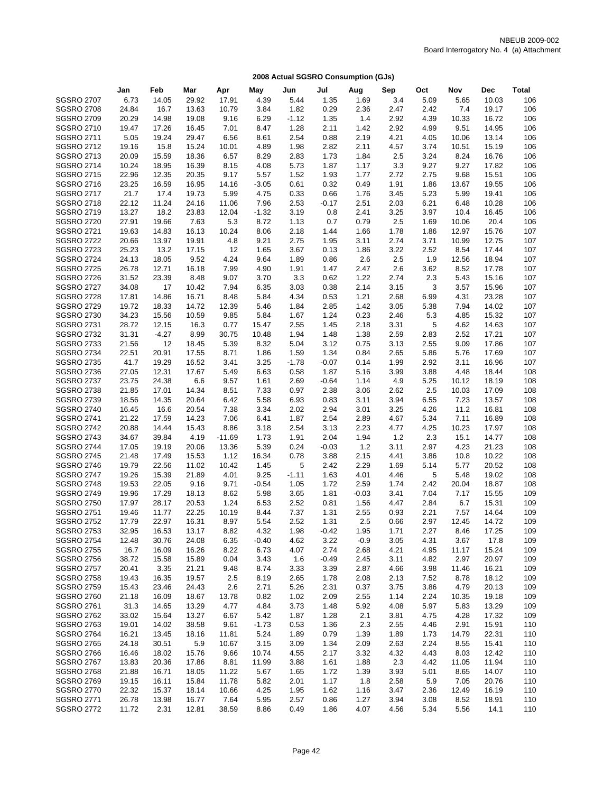|                   | Jan            | Feb     | Mar   | Apr      | May     | Jun     | Jul     | Aug     | Sep  | Oct  | Nov   | <b>Dec</b> | <b>Total</b> |
|-------------------|----------------|---------|-------|----------|---------|---------|---------|---------|------|------|-------|------------|--------------|
| <b>SGSRO 2707</b> | 6.73           | 14.05   | 29.92 | 17.91    | 4.39    | 5.44    | 1.35    | 1.69    | 3.4  | 5.09 | 5.65  | 10.03      | 106          |
| <b>SGSRO 2708</b> | 24.84          | 16.7    | 13.63 | 10.79    | 3.84    | 1.82    | 0.29    | 2.36    | 2.47 | 2.42 | 7.4   | 19.17      | 106          |
|                   |                |         |       |          | 6.29    |         | 1.35    |         |      |      |       | 16.72      | 106          |
| <b>SGSRO 2709</b> | 20.29          | 14.98   | 19.08 | 9.16     |         | $-1.12$ |         | 1.4     | 2.92 | 4.39 | 10.33 |            |              |
| <b>SGSRO 2710</b> | 19.47          | 17.26   | 16.45 | 7.01     | 8.47    | 1.28    | 2.11    | 1.42    | 2.92 | 4.99 | 9.51  | 14.95      | 106          |
| <b>SGSRO 2711</b> | 5.05           | 19.24   | 29.47 | 6.56     | 8.61    | 2.54    | 0.88    | 2.19    | 4.21 | 4.05 | 10.06 | 13.14      | 106          |
| <b>SGSRO 2712</b> | 19.16          | 15.8    | 15.24 | 10.01    | 4.89    | 1.98    | 2.82    | 2.11    | 4.57 | 3.74 | 10.51 | 15.19      | 106          |
| <b>SGSRO 2713</b> | 20.09          | 15.59   | 18.36 | 6.57     | 8.29    | 2.83    | 1.73    | 1.84    | 2.5  | 3.24 | 8.24  | 16.76      | 106          |
| <b>SGSRO 2714</b> | 10.24          | 18.95   | 16.39 | 8.15     | 4.08    | 5.73    | 1.87    | 1.17    | 3.3  | 9.27 | 9.27  | 17.82      | 106          |
| <b>SGSRO 2715</b> | 22.96          | 12.35   | 20.35 | 9.17     | 5.57    | 1.52    | 1.93    | 1.77    | 2.72 | 2.75 | 9.68  | 15.51      | 106          |
| <b>SGSRO 2716</b> | 23.25          | 16.59   | 16.95 | 14.16    | $-3.05$ | 0.61    | 0.32    | 0.49    | 1.91 | 1.86 | 13.67 | 19.55      | 106          |
| <b>SGSRO 2717</b> | 21.7           | 17.4    | 19.73 | 5.99     | 4.75    | 0.33    | 0.66    | 1.76    | 3.45 | 5.23 | 5.99  | 19.41      | 106          |
| <b>SGSRO 2718</b> | 22.12          | 11.24   | 24.16 | 11.06    | 7.96    | 2.53    | $-0.17$ | 2.51    | 2.03 | 6.21 | 6.48  | 10.28      | 106          |
| <b>SGSRO 2719</b> | 13.27          | 18.2    | 23.83 | 12.04    | $-1.32$ | 3.19    | 0.8     | 2.41    | 3.25 | 3.97 | 10.4  | 16.45      | 106          |
| <b>SGSRO 2720</b> | 27.91          | 19.66   | 7.63  | 5.3      | 8.72    | 1.13    | 0.7     | 0.79    | 2.5  | 1.69 | 10.06 | 20.4       | 106          |
| <b>SGSRO 2721</b> | 19.63          | 14.83   | 16.13 | 10.24    | 8.06    | 2.18    | 1.44    | 1.66    | 1.78 | 1.86 | 12.97 | 15.76      | 107          |
| <b>SGSRO 2722</b> | 20.66          | 13.97   | 19.91 | 4.8      | 9.21    | 2.75    | 1.95    | 3.11    | 2.74 | 3.71 | 10.99 | 12.75      | 107          |
| <b>SGSRO 2723</b> | 25.23          | 13.2    | 17.15 | 12       | 1.65    | 3.67    | 0.13    | 1.86    | 3.22 | 2.52 | 8.54  | 17.44      | 107          |
| <b>SGSRO 2724</b> |                | 18.05   | 9.52  | 4.24     | 9.64    | 1.89    |         | 2.6     | 2.5  | 1.9  |       | 18.94      | 107          |
| <b>SGSRO 2725</b> | 24.13<br>26.78 |         |       |          |         |         | 0.86    |         |      |      | 12.56 |            |              |
|                   |                | 12.71   | 16.18 | 7.99     | 4.90    | 1.91    | 1.47    | 2.47    | 2.6  | 3.62 | 8.52  | 17.78      | 107          |
| <b>SGSRO 2726</b> | 31.52          | 23.39   | 8.48  | 9.07     | 3.70    | 3.3     | 0.62    | 1.22    | 2.74 | 2.3  | 5.43  | 15.16      | 107          |
| <b>SGSRO 2727</b> | 34.08          | 17      | 10.42 | 7.94     | 6.35    | 3.03    | 0.38    | 2.14    | 3.15 | 3    | 3.57  | 15.96      | 107          |
| <b>SGSRO 2728</b> | 17.81          | 14.86   | 16.71 | 8.48     | 5.84    | 4.34    | 0.53    | 1.21    | 2.68 | 6.99 | 4.31  | 23.28      | 107          |
| <b>SGSRO 2729</b> | 19.72          | 18.33   | 14.72 | 12.39    | 5.46    | 1.84    | 2.85    | 1.42    | 3.05 | 5.38 | 7.94  | 14.02      | 107          |
| <b>SGSRO 2730</b> | 34.23          | 15.56   | 10.59 | 9.85     | 5.84    | 1.67    | 1.24    | 0.23    | 2.46 | 5.3  | 4.85  | 15.32      | 107          |
| <b>SGSRO 2731</b> | 28.72          | 12.15   | 16.3  | 0.77     | 15.47   | 2.55    | 1.45    | 2.18    | 3.31 | 5    | 4.62  | 14.63      | 107          |
| <b>SGSRO 2732</b> | 31.31          | $-4.27$ | 8.99  | 30.75    | 10.48   | 1.94    | 1.48    | 1.38    | 2.59 | 2.83 | 2.52  | 17.21      | 107          |
| <b>SGSRO 2733</b> | 21.56          | 12      | 18.45 | 5.39     | 8.32    | 5.04    | 3.12    | 0.75    | 3.13 | 2.55 | 9.09  | 17.86      | 107          |
| <b>SGSRO 2734</b> | 22.51          | 20.91   | 17.55 | 8.71     | 1.86    | 1.59    | 1.34    | 0.84    | 2.65 | 5.86 | 5.76  | 17.69      | 107          |
| <b>SGSRO 2735</b> | 41.7           | 19.29   | 16.52 | 3.41     | 3.25    | $-1.78$ | $-0.07$ | 0.14    | 1.99 | 2.92 | 3.11  | 16.96      | 107          |
| <b>SGSRO 2736</b> | 27.05          | 12.31   | 17.67 | 5.49     | 6.63    | 0.58    | 1.87    | 5.16    | 3.99 | 3.88 | 4.48  | 18.44      | 108          |
| <b>SGSRO 2737</b> | 23.75          | 24.38   | 6.6   | 9.57     | 1.61    | 2.69    | $-0.64$ | 1.14    | 4.9  | 5.25 | 10.12 | 18.19      | 108          |
| <b>SGSRO 2738</b> | 21.85          | 17.01   | 14.34 | 8.51     | 7.33    | 0.97    | 2.38    | 3.06    | 2.62 | 2.5  | 10.03 | 17.09      | 108          |
| <b>SGSRO 2739</b> | 18.56          | 14.35   | 20.64 | 6.42     | 5.58    | 6.93    | 0.83    | 3.11    | 3.94 | 6.55 | 7.23  | 13.57      | 108          |
| <b>SGSRO 2740</b> | 16.45          | 16.6    | 20.54 | 7.38     | 3.34    | 2.02    | 2.94    | 3.01    | 3.25 | 4.26 | 11.2  | 16.81      | 108          |
| <b>SGSRO 2741</b> | 21.22          | 17.59   | 14.23 | 7.06     | 6.41    | 1.87    | 2.54    | 2.89    | 4.67 | 5.34 | 7.11  | 16.89      | 108          |
| <b>SGSRO 2742</b> | 20.88          | 14.44   | 15.43 | 8.86     | 3.18    | 2.54    | 3.13    | 2.23    | 4.77 | 4.25 | 10.23 | 17.97      | 108          |
|                   |                |         |       |          |         |         |         |         |      |      |       |            |              |
| <b>SGSRO 2743</b> | 34.67          | 39.84   | 4.19  | $-11.69$ | 1.73    | 1.91    | 2.04    | 1.94    | 1.2  | 2.3  | 15.1  | 14.77      | 108          |
| <b>SGSRO 2744</b> | 17.05          | 19.19   | 20.06 | 13.36    | 5.39    | 0.24    | $-0.03$ | 1.2     | 3.11 | 2.97 | 4.23  | 21.23      | 108          |
| <b>SGSRO 2745</b> | 21.48          | 17.49   | 15.53 | 1.12     | 16.34   | 0.78    | 3.88    | 2.15    | 4.41 | 3.86 | 10.8  | 10.22      | 108          |
| <b>SGSRO 2746</b> | 19.79          | 22.56   | 11.02 | 10.42    | 1.45    | 5       | 2.42    | 2.29    | 1.69 | 5.14 | 5.77  | 20.52      | 108          |
| <b>SGSRO 2747</b> | 19.26          | 15.39   | 21.89 | 4.01     | 9.25    | $-1.11$ | 1.63    | 4.01    | 4.46 | 5    | 5.48  | 19.02      | 108          |
| <b>SGSRO 2748</b> | 19.53          | 22.05   | 9.16  | 9.71     | $-0.54$ | 1.05    | 1.72    | 2.59    | 1.74 | 2.42 | 20.04 | 18.87      | 108          |
| <b>SGSRO 2749</b> | 19.96          | 17.29   | 18.13 | 8.62     | 5.98    | 3.65    | 1.81    | $-0.03$ | 3.41 | 7.04 | 7.17  | 15.55      | 109          |
| <b>SGSRO 2750</b> | 17.97          | 28.17   | 20.53 | 1.24     | 6.53    | 2.52    | 0.81    | 1.56    | 4.47 | 2.84 | 6.7   | 15.31      | 109          |
| <b>SGSRO 2751</b> | 19.46          | 11.77   | 22.25 | 10.19    | 8.44    | 7.37    | 1.31    | 2.55    | 0.93 | 2.21 | 7.57  | 14.64      | 109          |
| <b>SGSRO 2752</b> | 17.79          | 22.97   | 16.31 | 8.97     | 5.54    | 2.52    | 1.31    | 2.5     | 0.66 | 2.97 | 12.45 | 14.72      | 109          |
| <b>SGSRO 2753</b> | 32.95          | 16.53   | 13.17 | 8.82     | 4.32    | 1.98    | $-0.42$ | 1.95    | 1.71 | 2.27 | 8.46  | 17.25      | 109          |
| <b>SGSRO 2754</b> | 12.48          | 30.76   | 24.08 | 6.35     | $-0.40$ | 4.62    | 3.22    | $-0.9$  | 3.05 | 4.31 | 3.67  | 17.8       | 109          |
| <b>SGSRO 2755</b> | 16.7           | 16.09   | 16.26 | 8.22     | 6.73    | 4.07    | 2.74    | 2.68    | 4.21 | 4.95 | 11.17 | 15.24      | 109          |
| <b>SGSRO 2756</b> | 38.72          | 15.58   | 15.89 | 0.04     | 3.43    | 1.6     | -0.49   | 2.45    | 3.11 | 4.82 | 2.97  | 20.97      | 109          |
| <b>SGSRO 2757</b> | 20.41          | 3.35    | 21.21 | 9.48     | 8.74    | 3.33    | 3.39    | 2.87    | 4.66 | 3.98 | 11.46 | 16.21      | 109          |
| <b>SGSRO 2758</b> | 19.43          | 16.35   | 19.57 | 2.5      | 8.19    | 2.65    | 1.78    | 2.08    | 2.13 | 7.52 | 8.78  | 18.12      | 109          |
| <b>SGSRO 2759</b> | 15.43          | 23.46   | 24.43 | 2.6      | 2.71    | 5.26    | 2.31    | 0.37    | 3.75 | 3.86 | 4.79  | 20.13      | 109          |
| <b>SGSRO 2760</b> | 21.18          | 16.09   | 18.67 | 13.78    | 0.82    | 1.02    | 2.09    | 2.55    | 1.14 | 2.24 | 10.35 | 19.18      | 109          |
| <b>SGSRO 2761</b> | 31.3           | 14.65   | 13.29 | 4.77     | 4.84    | 3.73    | 1.48    | 5.92    | 4.08 | 5.97 | 5.83  | 13.29      | 109          |
|                   |                |         |       |          |         |         |         |         |      |      |       |            |              |
| <b>SGSRO 2762</b> | 33.02          | 15.64   | 13.27 | 6.67     | 5.42    | 1.87    | 1.28    | 2.1     | 3.81 | 4.75 | 4.28  | 17.32      | 109          |
| <b>SGSRO 2763</b> | 19.01          | 14.02   | 38.58 | 9.61     | $-1.73$ | 0.53    | 1.36    | 2.3     | 2.55 | 4.46 | 2.91  | 15.91      | 110          |
| <b>SGSRO 2764</b> | 16.21          | 13.45   | 18.16 | 11.81    | 5.24    | 1.89    | 0.79    | 1.39    | 1.89 | 1.73 | 14.79 | 22.31      | 110          |
| <b>SGSRO 2765</b> | 24.18          | 30.51   | 5.9   | 10.67    | 3.15    | 3.09    | 1.34    | 2.09    | 2.63 | 2.24 | 8.55  | 15.41      | 110          |
| <b>SGSRO 2766</b> | 16.46          | 18.02   | 15.76 | 9.66     | 10.74   | 4.55    | 2.17    | 3.32    | 4.32 | 4.43 | 8.03  | 12.42      | 110          |
| <b>SGSRO 2767</b> | 13.83          | 20.36   | 17.86 | 8.81     | 11.99   | 3.88    | 1.61    | 1.88    | 2.3  | 4.42 | 11.05 | 11.94      | 110          |
| <b>SGSRO 2768</b> | 21.88          | 16.71   | 18.05 | 11.22    | 5.67    | 1.65    | 1.72    | 1.39    | 3.93 | 5.01 | 8.65  | 14.07      | 110          |
| <b>SGSRO 2769</b> | 19.15          | 16.11   | 15.84 | 11.78    | 5.82    | 2.01    | 1.17    | 1.8     | 2.58 | 5.9  | 7.05  | 20.76      | 110          |
| <b>SGSRO 2770</b> | 22.32          | 15.37   | 18.14 | 10.66    | 4.25    | 1.95    | 1.62    | 1.16    | 3.47 | 2.36 | 12.49 | 16.19      | 110          |
| <b>SGSRO 2771</b> | 26.78          | 13.98   | 16.77 | 7.64     | 5.95    | 2.57    | 0.86    | 1.27    | 3.94 | 3.08 | 8.52  | 18.91      | 110          |
| <b>SGSRO 2772</b> | 11.72          | 2.31    | 12.81 | 38.59    | 8.86    | 0.49    | 1.86    | 4.07    | 4.56 | 5.34 | 5.56  | 14.1       | 110          |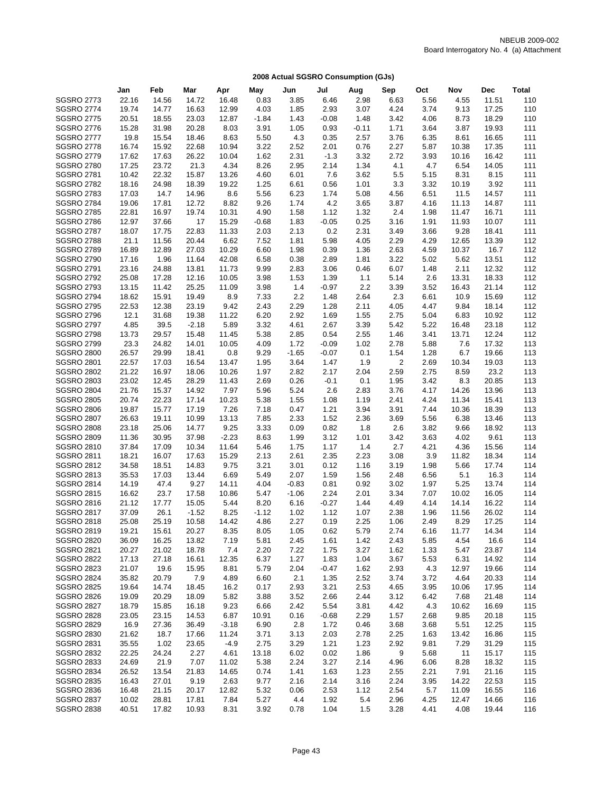|                   | Jan   | Feb   | Mar     | Apr     | May     | Jun     | Jul     | Aug     | Sep  | Oct  | Nov   | Dec   | Total |
|-------------------|-------|-------|---------|---------|---------|---------|---------|---------|------|------|-------|-------|-------|
| <b>SGSRO 2773</b> | 22.16 | 14.56 | 14.72   | 16.48   | 0.83    | 3.85    | 6.46    | 2.98    | 6.63 | 5.56 | 4.55  | 11.51 | 110   |
| <b>SGSRO 2774</b> | 19.74 | 14.77 | 16.63   | 12.99   | 4.03    | 1.85    | 2.93    | 3.07    | 4.24 | 3.74 | 9.13  | 17.25 | 110   |
| <b>SGSRO 2775</b> | 20.51 | 18.55 | 23.03   | 12.87   | $-1.84$ | 1.43    | $-0.08$ | 1.48    | 3.42 | 4.06 | 8.73  | 18.29 | 110   |
| <b>SGSRO 2776</b> | 15.28 | 31.98 | 20.28   | 8.03    | 3.91    | 1.05    | 0.93    | $-0.11$ | 1.71 | 3.64 | 3.87  | 19.93 | 111   |
| <b>SGSRO 2777</b> | 19.8  | 15.54 | 18.46   | 8.63    | 5.50    | 4.3     | 0.35    | 2.57    | 3.76 | 6.35 | 8.61  | 16.65 | 111   |
| <b>SGSRO 2778</b> | 16.74 | 15.92 | 22.68   | 10.94   | 3.22    | 2.52    | 2.01    | 0.76    | 2.27 | 5.87 | 10.38 | 17.35 | 111   |
| <b>SGSRO 2779</b> | 17.62 | 17.63 | 26.22   | 10.04   | 1.62    | 2.31    | $-1.3$  | 3.32    | 2.72 | 3.93 | 10.16 | 16.42 | 111   |
| <b>SGSRO 2780</b> | 17.25 | 23.72 | 21.3    | 4.34    | 8.26    | 2.95    | 2.14    | 1.34    | 4.1  | 4.7  | 6.54  | 14.05 | 111   |
| <b>SGSRO 2781</b> | 10.42 | 22.32 | 15.87   | 13.26   | 4.60    | 6.01    | 7.6     | 3.62    | 5.5  | 5.15 | 8.31  | 8.15  | 111   |
| <b>SGSRO 2782</b> | 18.16 | 24.98 | 18.39   | 19.22   | 1.25    | 6.61    | 0.56    | 1.01    | 3.3  | 3.32 | 10.19 | 3.92  | 111   |
| <b>SGSRO 2783</b> | 17.03 | 14.7  | 14.96   | 8.6     | 5.56    | 6.23    | 1.74    | 5.08    | 4.56 | 6.51 | 11.5  | 14.57 | 111   |
| <b>SGSRO 2784</b> | 19.06 | 17.81 | 12.72   | 8.82    | 9.26    | 1.74    | 4.2     | 3.65    | 3.87 | 4.16 | 11.13 | 14.87 | 111   |
| <b>SGSRO 2785</b> | 22.81 | 16.97 | 19.74   | 10.31   | 4.90    | 1.58    | 1.12    | 1.32    | 2.4  | 1.98 | 11.47 | 16.71 | 111   |
| <b>SGSRO 2786</b> | 12.97 | 37.66 | 17      | 15.29   | $-0.68$ | 1.83    | $-0.05$ | 0.25    | 3.16 | 1.91 | 11.93 | 10.07 | 111   |
| <b>SGSRO 2787</b> | 18.07 | 17.75 | 22.83   | 11.33   | 2.03    | 2.13    | 0.2     | 2.31    | 3.49 | 3.66 | 9.28  | 18.41 | 111   |
| <b>SGSRO 2788</b> | 21.1  | 11.56 | 20.44   | 6.62    | 7.52    | 1.81    | 5.98    | 4.05    | 2.29 | 4.29 | 12.65 | 13.39 | 112   |
| <b>SGSRO 2789</b> | 16.89 | 12.89 | 27.03   | 10.29   | 6.60    | 1.98    | 0.39    | 1.36    | 2.63 | 4.59 | 10.37 | 16.7  | 112   |
| <b>SGSRO 2790</b> | 17.16 | 1.96  | 11.64   | 42.08   | 6.58    | 0.38    | 2.89    | 1.81    | 3.22 | 5.02 | 5.62  | 13.51 | 112   |
| <b>SGSRO 2791</b> | 23.16 | 24.88 | 13.81   | 11.73   | 9.99    | 2.83    | 3.06    | 0.46    | 6.07 | 1.48 | 2.11  | 12.32 | 112   |
| <b>SGSRO 2792</b> | 25.08 | 17.28 | 12.16   | 10.05   | 3.98    | 1.53    | 1.39    | 1.1     | 5.14 | 2.6  | 13.31 | 18.33 | 112   |
| <b>SGSRO 2793</b> | 13.15 | 11.42 | 25.25   | 11.09   | 3.98    | 1.4     | $-0.97$ | 2.2     | 3.39 | 3.52 | 16.43 | 21.14 | 112   |
| <b>SGSRO 2794</b> | 18.62 | 15.91 | 19.49   | 8.9     | 7.33    | 2.2     | 1.48    | 2.64    | 2.3  | 6.61 | 10.9  | 15.69 | 112   |
| <b>SGSRO 2795</b> | 22.53 | 12.38 | 23.19   | 9.42    | 2.43    | 2.29    | 1.28    | 2.11    | 4.05 | 4.47 | 9.84  | 18.14 | 112   |
| <b>SGSRO 2796</b> | 12.1  | 31.68 | 19.38   | 11.22   | 6.20    | 2.92    | 1.69    | 1.55    | 2.75 | 5.04 | 6.83  | 10.92 | 112   |
| <b>SGSRO 2797</b> | 4.85  | 39.5  | $-2.18$ | 5.89    | 3.32    | 4.61    | 2.67    | 3.39    | 5.42 | 5.22 | 16.48 | 23.18 | 112   |
| <b>SGSRO 2798</b> | 13.73 | 29.57 | 15.48   | 11.45   | 5.38    | 2.85    | 0.54    | 2.55    | 1.46 | 3.41 | 13.71 | 12.24 | 112   |
| <b>SGSRO 2799</b> | 23.3  | 24.82 | 14.01   | 10.05   | 4.09    | 1.72    | $-0.09$ | 1.02    | 2.78 | 5.88 | 7.6   | 17.32 | 113   |
| <b>SGSRO 2800</b> | 26.57 | 29.99 | 18.41   | 0.8     | 9.29    | $-1.65$ | $-0.07$ | 0.1     | 1.54 | 1.28 | 6.7   | 19.66 | 113   |
| <b>SGSRO 2801</b> | 22.57 | 17.03 | 16.54   | 13.47   | 1.95    | 3.64    | 1.47    | 1.9     | 2    | 2.69 | 10.34 | 19.03 | 113   |
| <b>SGSRO 2802</b> | 21.22 | 16.97 | 18.06   | 10.26   | 1.97    | 2.82    | 2.17    | 2.04    | 2.59 | 2.75 | 8.59  | 23.2  | 113   |
| <b>SGSRO 2803</b> | 23.02 | 12.45 | 28.29   | 11.43   | 2.69    | 0.26    | $-0.1$  | 0.1     | 1.95 | 3.42 | 8.3   | 20.85 | 113   |
| <b>SGSRO 2804</b> | 21.76 | 15.37 | 14.92   | 7.97    | 5.96    | 5.24    | 2.6     | 2.83    | 3.76 | 4.17 | 14.26 | 13.96 | 113   |
| <b>SGSRO 2805</b> | 20.74 | 22.23 | 17.14   | 10.23   | 5.38    | 1.55    | 1.08    | 1.19    | 2.41 | 4.24 | 11.34 | 15.41 | 113   |
| <b>SGSRO 2806</b> | 19.87 | 15.77 | 17.19   | 7.26    | 7.18    | 0.47    | 1.21    | 3.94    | 3.91 | 7.44 | 10.36 | 18.39 | 113   |
| <b>SGSRO 2807</b> | 26.63 | 19.11 | 10.99   | 13.13   | 7.85    | 2.33    | 1.52    | 2.36    | 3.69 | 5.56 | 6.38  | 13.46 | 113   |
| <b>SGSRO 2808</b> | 23.18 | 25.06 | 14.77   | 9.25    | 3.33    | 0.09    | 0.82    | 1.8     | 2.6  | 3.82 | 9.66  | 18.92 | 113   |
| <b>SGSRO 2809</b> | 11.36 | 30.95 | 37.98   | $-2.23$ | 8.63    | 1.99    | 3.12    | 1.01    | 3.42 | 3.63 | 4.02  | 9.61  | 113   |
| <b>SGSRO 2810</b> | 37.84 | 17.09 | 10.34   | 11.64   | 5.46    | 1.75    | 1.17    | 1.4     | 2.7  | 4.21 | 4.36  | 15.56 | 114   |
| <b>SGSRO 2811</b> | 18.21 | 16.07 | 17.63   | 15.29   | 2.13    | 2.61    | 2.35    | 2.23    | 3.08 | 3.9  | 11.82 | 18.34 | 114   |
| <b>SGSRO 2812</b> | 34.58 | 18.51 | 14.83   | 9.75    | 3.21    | 3.01    | 0.12    | 1.16    | 3.19 | 1.98 | 5.66  | 17.74 | 114   |
| <b>SGSRO 2813</b> | 35.53 | 17.03 | 13.44   | 6.69    | 5.49    | 2.07    | 1.59    | 1.56    | 2.48 | 6.56 | 5.1   | 16.3  | 114   |
| <b>SGSRO 2814</b> | 14.19 | 47.4  | 9.27    | 14.11   | 4.04    | $-0.83$ | 0.81    | 0.92    | 3.02 | 1.97 | 5.25  | 13.74 | 114   |
| <b>SGSRO 2815</b> | 16.62 | 23.7  | 17.58   | 10.86   | 5.47    | $-1.06$ | 2.24    | 2.01    | 3.34 | 7.07 | 10.02 | 16.05 | 114   |
| <b>SGSRO 2816</b> | 21.12 | 17.77 | 15.05   | 5.44    | 8.20    | 6.16    | $-0.27$ | 1.44    | 4.49 | 4.14 | 14.14 | 16.22 | 114   |
| <b>SGSRO 2817</b> | 37.09 | 26.1  | $-1.52$ | 8.25    | $-1.12$ | 1.02    | 1.12    | 1.07    | 2.38 | 1.96 | 11.56 | 26.02 | 114   |
| <b>SGSRO 2818</b> | 25.08 | 25.19 | 10.58   | 14.42   | 4.86    | 2.27    | 0.19    | 2.25    | 1.06 | 2.49 | 8.29  | 17.25 | 114   |
| <b>SGSRO 2819</b> | 19.21 | 15.61 | 20.27   | 8.35    | 8.05    | 1.05    | 0.62    | 5.79    | 2.74 | 6.16 | 11.77 | 14.34 | 114   |
| <b>SGSRO 2820</b> | 36.09 | 16.25 | 13.82   | 7.19    | 5.81    | 2.45    | 1.61    | 1.42    | 2.43 | 5.85 | 4.54  | 16.6  | 114   |
| <b>SGSRO 2821</b> | 20.27 | 21.02 | 18.78   | 7.4     | 2.20    | 7.22    | 1.75    | 3.27    | 1.62 | 1.33 | 5.47  | 23.87 | 114   |
| <b>SGSRO 2822</b> | 17.13 | 27.18 | 16.61   | 12.35   | 6.37    | 1.27    | 1.83    | 1.04    | 3.67 | 5.53 | 6.31  | 14.92 | 114   |
| <b>SGSRO 2823</b> | 21.07 | 19.6  | 15.95   | 8.81    | 5.79    | 2.04    | $-0.47$ | 1.62    | 2.93 | 4.3  | 12.97 | 19.66 | 114   |
| <b>SGSRO 2824</b> | 35.82 | 20.79 | 7.9     | 4.89    | 6.60    | 2.1     | 1.35    | 2.52    | 3.74 | 3.72 | 4.64  | 20.33 | 114   |
| <b>SGSRO 2825</b> | 19.64 | 14.74 | 18.45   | 16.2    | 0.17    | 2.93    | 3.21    | 2.53    | 4.65 | 3.95 | 10.06 | 17.95 | 114   |
| <b>SGSRO 2826</b> | 19.09 | 20.29 | 18.09   | 5.82    | 3.88    | 3.52    | 2.66    | 2.44    | 3.12 | 6.42 | 7.68  | 21.48 | 114   |
| <b>SGSRO 2827</b> | 18.79 | 15.85 | 16.18   | 9.23    | 6.66    | 2.42    | 5.54    | 3.81    | 4.42 | 4.3  | 10.62 | 16.69 | 115   |
| <b>SGSRO 2828</b> | 23.05 | 23.15 | 14.53   | 6.87    | 10.91   | 0.16    | $-0.68$ | 2.29    | 1.57 | 2.68 | 9.85  | 20.18 | 115   |
| <b>SGSRO 2829</b> | 16.9  | 27.36 | 36.49   | $-3.18$ | 6.90    | 2.8     | 1.72    | 0.46    | 3.68 | 3.68 | 5.51  | 12.25 | 115   |
| <b>SGSRO 2830</b> | 21.62 | 18.7  | 17.66   | 11.24   | 3.71    | 3.13    | 2.03    | 2.78    | 2.25 | 1.63 | 13.42 | 16.86 | 115   |
| <b>SGSRO 2831</b> | 35.55 | 1.02  | 23.65   | $-4.9$  | 2.75    | 3.29    | 1.21    | 1.23    | 2.92 | 9.81 | 7.29  | 31.29 | 115   |
| <b>SGSRO 2832</b> | 22.25 | 24.24 | 2.27    | 4.61    | 13.18   | 6.02    | 0.02    | 1.86    | 9    | 5.68 | 11    | 15.17 | 115   |
| <b>SGSRO 2833</b> | 24.69 | 21.9  | 7.07    | 11.02   | 5.38    | 2.24    | 3.27    | 2.14    | 4.96 | 6.06 | 8.28  | 18.32 | 115   |
| <b>SGSRO 2834</b> | 26.52 | 13.54 | 21.83   | 14.65   | 0.74    | 1.41    | 1.63    | 1.23    | 2.55 | 2.21 | 7.91  | 21.16 | 115   |
| <b>SGSRO 2835</b> | 16.43 | 27.01 | 9.19    | 2.63    | 9.77    | 2.16    | 2.14    | 3.16    | 2.24 | 3.95 | 14.22 | 22.53 | 115   |
| <b>SGSRO 2836</b> | 16.48 | 21.15 | 20.17   | 12.82   | 5.32    | 0.06    | 2.53    | 1.12    | 2.54 | 5.7  | 11.09 | 16.55 | 116   |
| <b>SGSRO 2837</b> | 10.02 | 28.81 | 17.81   | 7.84    | 5.27    | 4.4     | 1.92    | 5.4     | 2.96 | 4.25 | 12.47 | 14.66 | 116   |
| <b>SGSRO 2838</b> | 40.51 | 17.82 | 10.93   | 8.31    | 3.92    | 0.78    | 1.04    | 1.5     | 3.28 | 4.41 | 4.08  | 19.44 | 116   |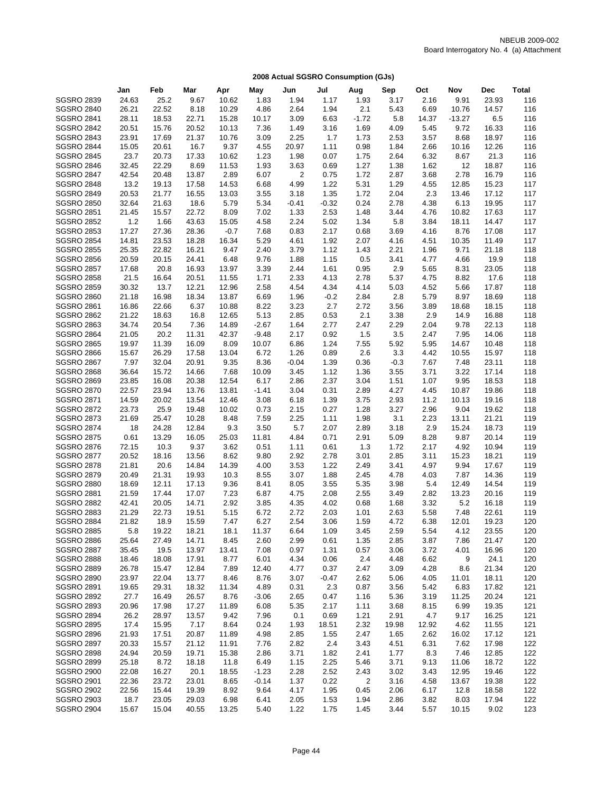|                                        | Jan            | Feb            | Mar            | Apr          | May          | Jun          | Jul          | Aug            | Sep          | Oct         | Nov          | Dec            | <b>Total</b> |
|----------------------------------------|----------------|----------------|----------------|--------------|--------------|--------------|--------------|----------------|--------------|-------------|--------------|----------------|--------------|
| <b>SGSRO 2839</b>                      | 24.63          | 25.2           | 9.67           | 10.62        | 1.83         | 1.94         | 1.17         | 1.93           | 3.17         | 2.16        | 9.91         | 23.93          | 116          |
| <b>SGSRO 2840</b>                      | 26.21          | 22.52          | 8.18           | 10.29        | 4.86         | 2.64         | 1.94         | 2.1            | 5.43         | 6.69        | 10.76        | 14.57          | 116          |
| <b>SGSRO 2841</b>                      | 28.11          | 18.53          | 22.71          | 15.28        | 10.17        | 3.09         | 6.63         | $-1.72$        | 5.8          | 14.37       | $-13.27$     | 6.5            | 116          |
| <b>SGSRO 2842</b>                      | 20.51          | 15.76          | 20.52          | 10.13        | 7.36         | 1.49         | 3.16         | 1.69           | 4.09         | 5.45        | 9.72         | 16.33          | 116          |
| <b>SGSRO 2843</b>                      | 23.91          | 17.69          | 21.37          | 10.76        | 3.09         | 2.25         | 1.7          | 1.73           | 2.53         | 3.57        | 8.68         | 18.97          | 116          |
| <b>SGSRO 2844</b>                      | 15.05          | 20.61          | 16.7           | 9.37         | 4.55         | 20.97        | 1.11         | 0.98           | 1.84         | 2.66        | 10.16        | 12.26          | 116          |
| <b>SGSRO 2845</b>                      | 23.7           | 20.73          | 17.33          | 10.62        | 1.23         | 1.98         | 0.07         | 1.75           | 2.64         | 6.32        | 8.67         | 21.3           | 116          |
| <b>SGSRO 2846</b>                      | 32.45          | 22.29          | 8.69           | 11.53        | 1.93         | 3.63         | 0.69         | 1.27           | 1.38         | 1.62        | 12           | 18.87          | 116          |
| <b>SGSRO 2847</b>                      | 42.54          | 20.48          | 13.87          | 2.89         | 6.07         | 2            | 0.75         | 1.72           | 2.87         | 3.68        | 2.78         | 16.79          | 116          |
| <b>SGSRO 2848</b>                      | 13.2           | 19.13          | 17.58          | 14.53        | 6.68         | 4.99         | 1.22         | 5.31           | 1.29         | 4.55        | 12.85        | 15.23          | 117          |
| <b>SGSRO 2849</b>                      | 20.53          | 21.77          | 16.55          | 13.03        | 3.55         | 3.18         | 1.35         | 1.72           | 2.04         | 2.3         | 13.46        | 17.12          | 117          |
| <b>SGSRO 2850</b>                      | 32.64          | 21.63          | 18.6           | 5.79         | 5.34         | $-0.41$      | $-0.32$      | 0.24           | 2.78         | 4.38        | 6.13         | 19.95          | 117          |
| <b>SGSRO 2851</b>                      | 21.45          | 15.57          | 22.72          | 8.09         | 7.02         | 1.33         | 2.53         | 1.48           | 3.44         | 4.76        | 10.82        | 17.63          | 117          |
| <b>SGSRO 2852</b>                      | 1.2            | 1.66           | 43.63          | 15.05        | 4.58         | 2.24         | 5.02         | 1.34           | 5.8          | 3.84        | 18.11        | 14.47          | 117          |
| <b>SGSRO 2853</b>                      | 17.27          | 27.36          | 28.36          | $-0.7$       | 7.68         | 0.83         | 2.17         | 0.68           | 3.69         | 4.16        | 8.76         | 17.08          | 117          |
| <b>SGSRO 2854</b>                      | 14.81          | 23.53          | 18.28          | 16.34        | 5.29         | 4.61         | 1.92         | 2.07           | 4.16         | 4.51        | 10.35        | 11.49          | 117          |
| <b>SGSRO 2855</b>                      | 25.35          | 22.82          | 16.21          | 9.47         | 2.40         | 3.79         | 1.12         | 1.43           | 2.21         | 1.96        | 9.71         | 21.18          | 118          |
| <b>SGSRO 2856</b>                      | 20.59          | 20.15          | 24.41          | 6.48         | 9.76         | 1.88         | 1.15         | 0.5            | 3.41         | 4.77        | 4.66         | 19.9           | 118          |
| <b>SGSRO 2857</b>                      | 17.68          | 20.8           | 16.93          | 13.97        | 3.39         | 2.44         | 1.61         | 0.95           | 2.9          | 5.65        | 8.31         | 23.05          | 118          |
| <b>SGSRO 2858</b>                      | 21.5           | 16.64          | 20.51          | 11.55        | 1.71         | 2.33         | 4.13         | 2.78           | 5.37         | 4.75        | 8.82         | 17.6           | 118          |
| <b>SGSRO 2859</b>                      | 30.32          | 13.7           | 12.21          | 12.96        | 2.58         | 4.54         | 4.34         | 4.14           | 5.03         | 4.52        | 5.66         | 17.87          | 118          |
| <b>SGSRO 2860</b>                      | 21.18          | 16.98          | 18.34          | 13.87        | 6.69         | 1.96         | $-0.2$       | 2.84           | 2.8          | 5.79        | 8.97         | 18.69          | 118          |
| <b>SGSRO 2861</b>                      | 16.86          | 22.66          | 6.37           | 10.88        | 8.22         | 3.23         | 2.7          | 2.72           | 3.56         | 3.89        | 18.68        | 18.15          | 118          |
| <b>SGSRO 2862</b>                      | 21.22          | 18.63          | 16.8           | 12.65        | 5.13         | 2.85         | 0.53         | 2.1            | 3.38         | 2.9         | 14.9         | 16.88          | 118          |
| <b>SGSRO 2863</b>                      | 34.74          | 20.54          | 7.36           | 14.89        | $-2.67$      | 1.64         | 2.77         | 2.47           | 2.29         | 2.04        | 9.78         | 22.13          | 118          |
| <b>SGSRO 2864</b>                      | 21.05          | 20.2           | 11.31          | 42.37        | $-9.48$      | 2.17         | 0.92         | 1.5            | 3.5          | 2.47        | 7.95         | 14.06          | 118          |
| <b>SGSRO 2865</b>                      | 19.97          | 11.39          | 16.09          | 8.09         | 10.07        | 6.86         | 1.24         | 7.55           | 5.92         | 5.95        | 14.67        | 10.48          | 118          |
| <b>SGSRO 2866</b>                      | 15.67          | 26.29          | 17.58          | 13.04        | 6.72         | 1.26         | 0.89         | 2.6            | 3.3          | 4.42        | 10.55        | 15.97          | 118          |
| <b>SGSRO 2867</b>                      | 7.97           | 32.04          | 20.91          | 9.35         | 8.36         | $-0.04$      | 1.39         | 0.36           | $-0.3$       | 7.67        | 7.48         | 23.11          | 118          |
| <b>SGSRO 2868</b>                      | 36.64          | 15.72          | 14.66          | 7.68         | 10.09        | 3.45         | 1.12         | 1.36           | 3.55         | 3.71        | 3.22         | 17.14          | 118          |
| <b>SGSRO 2869</b>                      | 23.85          | 16.08          | 20.38          | 12.54        | 6.17         | 2.86         | 2.37         | 3.04           | 1.51         | 1.07        | 9.95         | 18.53          | 118          |
| <b>SGSRO 2870</b>                      | 22.57          | 23.94          | 13.76          | 13.81        | $-1.41$      | 3.04         | 0.31         | 2.89           | 4.27         | 4.45        | 10.87        | 19.86          | 118          |
| <b>SGSRO 2871</b>                      | 14.59          | 20.02          | 13.54          | 12.46        | 3.08         | 6.18         | 1.39         | 3.75           | 2.93         | 11.2        | 10.13        | 19.16          | 118          |
| <b>SGSRO 2872</b>                      | 23.73          | 25.9           | 19.48          | 10.02        | 0.73         | 2.15         | 0.27         | 1.28           | 3.27         | 2.96        | 9.04         | 19.62          | 118          |
| <b>SGSRO 2873</b>                      | 21.69          | 25.47          | 10.28          | 8.48         | 7.59         | 2.25         | 1.11         | 1.98           | 3.1          | 2.23        | 13.11        | 21.21          | 119          |
| <b>SGSRO 2874</b>                      | 18             | 24.28          | 12.84          | 9.3          | 3.50         | 5.7          | 2.07         | 2.89           | 3.18         | 2.9         | 15.24        | 18.73          | 119          |
| <b>SGSRO 2875</b>                      | 0.61           | 13.29          | 16.05          | 25.03        | 11.81        | 4.84         | 0.71         | 2.91           | 5.09         | 8.28        | 9.87         | 20.14          | 119          |
| <b>SGSRO 2876</b>                      | 72.15          | 10.3           | 9.37           | 3.62         | 0.51         | 1.11         | 0.61         | 1.3            | 1.72         | 2.17        | 4.92         | 10.94          | 119          |
| <b>SGSRO 2877</b>                      | 20.52          | 18.16          | 13.56          | 8.62         | 9.80         | 2.92         | 2.78         | 3.01           | 2.85         | 3.11        | 15.23        | 18.21          | 119          |
| <b>SGSRO 2878</b>                      | 21.81          | 20.6           | 14.84          | 14.39        | 4.00         | 3.53         | 1.22         | 2.49           | 3.41         | 4.97        | 9.94         | 17.67          | 119          |
| <b>SGSRO 2879</b><br><b>SGSRO 2880</b> | 20.49          | 21.31          | 19.93          | 10.3<br>9.36 | 8.55         | 3.07         | 1.88         | 2.45           | 4.78         | 4.03        | 7.87         | 14.36          | 119<br>119   |
| <b>SGSRO 2881</b>                      | 18.69<br>21.59 | 12.11<br>17.44 | 17.13<br>17.07 | 7.23         | 8.41         | 8.05         | 3.55         | 5.35<br>2.55   | 3.98<br>3.49 | 5.4<br>2.82 | 12.49        | 14.54<br>20.16 | 119          |
| <b>SGSRO 2882</b>                      | 42.41          | 20.05          | 14.71          | 2.92         | 6.87<br>3.85 | 4.75<br>4.35 | 2.08<br>4.02 | 0.68           |              | 3.32        | 13.23<br>5.2 | 16.18          | 119          |
| <b>SGSRO 2883</b>                      | 21.29          | 22.73          | 19.51          | 5.15         | 6.72         | 2.72         | 2.03         | 1.01           | 1.68<br>2.63 | 5.58        | 7.48         | 22.61          | 119          |
| <b>SGSRO 2884</b>                      | 21.82          | 18.9           | 15.59          | 7.47         | 6.27         | 2.54         | 3.06         | 1.59           | 4.72         | 6.38        | 12.01        | 19.23          | 120          |
| <b>SGSRO 2885</b>                      | 5.8            | 19.22          | 18.21          | 18.1         | 11.37        | 6.64         | 1.09         | 3.45           | 2.59         | 5.54        | 4.12         | 23.55          | 120          |
| <b>SGSRO 2886</b>                      | 25.64          | 27.49          | 14.71          | 8.45         | 2.60         | 2.99         | 0.61         | 1.35           | 2.85         | 3.87        | 7.86         | 21.47          | 120          |
| <b>SGSRO 2887</b>                      | 35.45          | 19.5           | 13.97          | 13.41        | 7.08         | 0.97         | 1.31         | 0.57           | 3.06         | 3.72        | 4.01         | 16.96          | 120          |
| <b>SGSRO 2888</b>                      | 18.46          | 18.08          | 17.91          | 8.77         | 6.01         | 4.34         | 0.06         | 2.4            | 4.48         | 6.62        | 9            | 24.1           | 120          |
| <b>SGSRO 2889</b>                      | 26.78          | 15.47          | 12.84          | 7.89         | 12.40        | 4.77         | 0.37         | 2.47           | 3.09         | 4.28        | 8.6          | 21.34          | 120          |
| <b>SGSRO 2890</b>                      | 23.97          | 22.04          | 13.77          | 8.46         | 8.76         | 3.07         | $-0.47$      | 2.62           | 5.06         | 4.05        | 11.01        | 18.11          | 120          |
| <b>SGSRO 2891</b>                      | 19.65          | 29.31          | 18.32          | 11.34        | 4.89         | 0.31         | 2.3          | 0.87           | 3.56         | 5.42        | 6.83         | 17.82          | 121          |
| <b>SGSRO 2892</b>                      | 27.7           | 16.49          | 26.57          | 8.76         | $-3.06$      | 2.65         | 0.47         | 1.16           | 5.36         | 3.19        | 11.25        | 20.24          | 121          |
| <b>SGSRO 2893</b>                      | 20.96          | 17.98          | 17.27          | 11.89        | 6.08         | 5.35         | 2.17         | 1.11           | 3.68         | 8.15        | 6.99         | 19.35          | 121          |
| <b>SGSRO 2894</b>                      | 26.2           | 28.97          | 13.57          | 9.42         | 7.96         | 0.1          | 0.69         | 1.21           | 2.91         | 4.7         | 9.17         | 16.25          | 121          |
| <b>SGSRO 2895</b>                      | 17.4           | 15.95          | 7.17           | 8.64         | 0.24         | 1.93         | 18.51        | 2.32           | 19.98        | 12.92       | 4.62         | 11.55          | 121          |
| <b>SGSRO 2896</b>                      | 21.93          | 17.51          | 20.87          | 11.89        | 4.98         | 2.85         | 1.55         | 2.47           | 1.65         | 2.62        | 16.02        | 17.12          | 121          |
| <b>SGSRO 2897</b>                      | 20.33          | 15.57          | 21.12          | 11.91        | 7.76         | 2.82         | 2.4          | 3.43           | 4.51         | 6.31        | 7.62         | 17.98          | 122          |
| <b>SGSRO 2898</b>                      | 24.94          | 20.59          | 19.71          | 15.38        | 2.86         | 3.71         | 1.82         | 2.41           | 1.77         | 8.3         | 7.46         | 12.85          | 122          |
| <b>SGSRO 2899</b>                      | 25.18          | 8.72           | 18.18          | 11.8         | 6.49         | 1.15         | 2.25         | 5.46           | 3.71         | 9.13        | 11.06        | 18.72          | 122          |
| <b>SGSRO 2900</b>                      | 22.08          | 16.27          | 20.1           | 18.55        | $-1.23$      | 2.28         | 2.52         | 2.43           | 3.02         | 3.43        | 12.95        | 19.46          | 122          |
| <b>SGSRO 2901</b>                      | 22.36          | 23.72          | 23.01          | 8.65         | $-0.14$      | 1.37         | 0.22         | $\overline{c}$ | 3.16         | 4.58        | 13.67        | 19.38          | 122          |
| <b>SGSRO 2902</b>                      | 22.56          | 15.44          | 19.39          | 8.92         | 9.64         | 4.17         | 1.95         | 0.45           | 2.06         | 6.17        | 12.8         | 18.58          | 122          |
| <b>SGSRO 2903</b>                      | 18.7           | 23.05          | 29.03          | 6.98         | 6.41         | 2.05         | 1.53         | 1.94           | 2.86         | 3.82        | 8.03         | 17.94          | 122          |
| <b>SGSRO 2904</b>                      | 15.67          | 15.04          | 40.55          | 13.25        | 5.40         | 1.22         | 1.75         | 1.45           | 3.44         | 5.57        | 10.15        | 9.02           | 123          |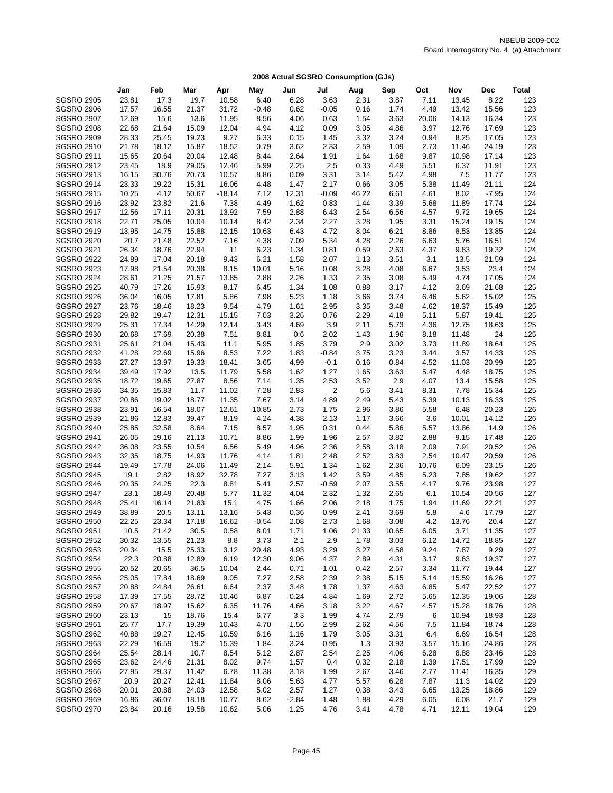|                   | Jan   | Feb   | Mar   | Apr      | May     | Jun     | Jul     | Aug   | Sep   | Oct   | Nov   | <b>Dec</b> | <b>Total</b> |
|-------------------|-------|-------|-------|----------|---------|---------|---------|-------|-------|-------|-------|------------|--------------|
| <b>SGSRO 2905</b> | 23.81 | 17.3  | 19.7  | 10.58    | 6.40    | 6.28    | 3.63    | 2.31  | 3.87  | 7.11  | 13.45 | 8.22       | 123          |
| <b>SGSRO 2906</b> | 17.57 | 16.55 | 21.37 | 31.72    | $-0.48$ | 0.62    | $-0.05$ | 0.16  | 1.74  | 4.49  | 13.42 | 15.56      | 123          |
| <b>SGSRO 2907</b> | 12.69 | 15.6  | 13.6  | 11.95    | 8.56    | 4.06    | 0.63    | 1.54  | 3.63  | 20.06 | 14.13 | 16.34      | 123          |
| <b>SGSRO 2908</b> | 22.68 | 21.64 | 15.09 | 12.04    | 4.94    | 4.12    | 0.09    | 3.05  | 4.86  | 3.97  | 12.76 | 17.69      | 123          |
| <b>SGSRO 2909</b> | 28.33 | 25.45 | 19.23 | 9.27     | 6.33    | 0.15    | 1.45    | 3.32  | 3.24  | 0.94  | 8.25  | 17.05      | 123          |
| <b>SGSRO 2910</b> | 21.78 | 18.12 | 15.87 | 18.52    | 0.79    | 3.62    | 2.33    | 2.59  | 1.09  | 2.73  | 11.46 | 24.19      | 123          |
| <b>SGSRO 2911</b> | 15.65 | 20.64 | 20.04 | 12.48    | 8.44    | 2.64    | 1.91    | 1.64  | 1.68  | 9.87  | 10.98 | 17.14      | 123          |
| <b>SGSRO 2912</b> | 23.45 | 18.9  | 29.05 | 12.46    | 5.99    | 2.25    | 2.5     | 0.33  | 4.49  | 5.51  | 6.37  | 11.91      | 123          |
| <b>SGSRO 2913</b> | 16.15 | 30.76 | 20.73 | 10.57    | 8.86    | 0.09    | 3.31    | 3.14  | 5.42  | 4.98  | 7.5   | 11.77      | 123          |
| <b>SGSRO 2914</b> | 23.33 | 19.22 | 15.31 | 16.06    | 4.48    | 1.47    | 2.17    | 0.66  | 3.05  | 5.38  | 11.49 | 21.11      | 124          |
| <b>SGSRO 2915</b> | 10.25 | 4.12  | 50.67 | $-18.14$ | 7.12    | 12.31   | $-0.09$ | 46.22 | 6.61  | 4.61  | 8.02  | $-7.95$    | 124          |
| <b>SGSRO 2916</b> | 23.92 | 23.82 | 21.6  | 7.38     | 4.49    | 1.62    | 0.83    | 1.44  | 3.39  | 5.68  | 11.89 | 17.74      | 124          |
| <b>SGSRO 2917</b> | 12.56 | 17.11 | 20.31 | 13.92    | 7.59    | 2.88    | 6.43    | 2.54  | 6.56  | 4.57  | 9.72  | 19.65      | 124          |
| <b>SGSRO 2918</b> | 22.71 | 25.05 | 10.04 | 10.14    | 8.42    | 2.34    | 2.27    | 3.28  | 1.95  | 3.31  | 15.24 | 19.15      | 124          |
| <b>SGSRO 2919</b> | 13.95 | 14.75 | 15.88 | 12.15    | 10.63   | 6.43    | 4.72    | 8.04  | 6.21  | 8.86  | 8.53  | 13.85      | 124          |
| <b>SGSRO 2920</b> | 20.7  | 21.48 | 22.52 | 7.16     | 4.38    | 7.09    | 5.34    | 4.28  | 2.26  | 6.63  | 5.76  | 16.51      | 124          |
| <b>SGSRO 2921</b> | 26.34 | 18.76 | 22.94 | 11       | 6.23    | 1.34    | 0.81    | 0.59  | 2.63  | 4.37  | 9.83  | 19.32      | 124          |
| <b>SGSRO 2922</b> | 24.89 | 17.04 | 20.18 | 9.43     | 6.21    | 1.58    | 2.07    | 1.13  | 3.51  | 3.1   | 13.5  | 21.59      | 124          |
| <b>SGSRO 2923</b> | 17.98 | 21.54 | 20.38 | 8.15     | 10.01   | 5.16    | 0.08    | 3.28  | 4.08  | 6.67  | 3.53  | 23.4       | 124          |
| <b>SGSRO 2924</b> | 28.61 | 21.25 | 21.57 | 13.85    | 2.88    | 2.26    | 1.33    | 2.35  | 3.08  | 5.49  | 4.74  | 17.05      | 124          |
| <b>SGSRO 2925</b> | 40.79 | 17.26 | 15.93 | 8.17     | 6.45    | 1.34    | 1.08    | 0.88  | 3.17  | 4.12  | 3.69  | 21.68      | 125          |
| <b>SGSRO 2926</b> | 36.04 | 16.05 | 17.81 | 5.86     | 7.98    | 5.23    | 1.18    | 3.66  | 3.74  | 6.46  | 5.62  | 15.02      | 125          |
| <b>SGSRO 2927</b> | 23.76 | 18.46 | 18.23 | 9.54     | 4.79    | 1.61    | 2.95    | 3.35  | 3.48  | 4.62  | 18.37 | 15.49      | 125          |
| <b>SGSRO 2928</b> | 29.82 | 19.47 | 12.31 | 15.15    | 7.03    | 3.26    | 0.76    | 2.29  | 4.18  | 5.11  | 5.87  | 19.41      | 125          |
| <b>SGSRO 2929</b> | 25.31 | 17.34 | 14.29 | 12.14    | 3.43    | 4.69    | 3.9     | 2.11  | 5.73  | 4.36  | 12.75 | 18.63      | 125          |
| <b>SGSRO 2930</b> | 20.68 | 17.69 | 20.38 | 7.51     | 8.81    | 0.6     | 2.02    | 1.43  | 1.96  | 8.18  | 11.48 | 24         | 125          |
| <b>SGSRO 2931</b> | 25.61 | 21.04 | 15.43 | 11.1     | 5.95    | 1.85    | 3.79    | 2.9   | 3.02  | 3.73  | 11.89 | 18.64      | 125          |
| <b>SGSRO 2932</b> | 41.28 | 22.69 | 15.96 | 8.53     | 7.22    | 1.83    | $-0.84$ | 3.75  | 3.23  | 3.44  | 3.57  | 14.33      | 125          |
| <b>SGSRO 2933</b> | 27.27 | 13.97 | 19.33 | 18.41    | 3.65    | 4.99    | $-0.1$  | 0.16  | 0.84  | 4.52  | 11.03 | 20.99      | 125          |
| <b>SGSRO 2934</b> | 39.49 | 17.92 | 13.5  | 11.79    | 5.58    | 1.62    | 1.27    | 1.65  | 3.63  | 5.47  | 4.48  | 18.75      | 125          |
| <b>SGSRO 2935</b> | 18.72 | 19.65 | 27.87 | 8.56     | 7.14    | 1.35    | 2.53    | 3.52  | 2.9   | 4.07  | 13.4  | 15.58      | 125          |
| <b>SGSRO 2936</b> | 34.35 | 15.83 | 11.7  | 11.02    | 7.28    | 2.83    | 2       | 5.6   | 3.41  | 8.31  | 7.78  | 15.34      | 125          |
| <b>SGSRO 2937</b> | 20.86 | 19.02 | 18.77 | 11.35    | 7.67    | 3.14    | 4.89    | 2.49  | 5.43  | 5.39  | 10.13 | 16.33      | 125          |
| <b>SGSRO 2938</b> | 23.91 | 16.54 | 18.07 | 12.61    | 10.85   | 2.73    | 1.75    | 2.96  | 3.86  | 5.58  | 6.48  | 20.23      | 126          |
| <b>SGSRO 2939</b> | 21.86 | 12.83 | 39.47 | 8.19     | 4.24    | 4.38    | 2.13    | 1.17  | 3.66  | 3.6   | 10.01 | 14.12      | 126          |
| <b>SGSRO 2940</b> | 25.85 | 32.58 | 8.64  | 7.15     | 8.57    | 1.95    | 0.31    | 0.44  | 5.86  | 5.57  | 13.86 | 14.9       | 126          |
| <b>SGSRO 2941</b> | 26.05 | 19.16 | 21.13 | 10.71    | 8.86    | 1.99    | 1.96    | 2.57  | 3.82  | 2.88  | 9.15  | 17.48      | 126          |
| <b>SGSRO 2942</b> | 36.08 | 23.55 | 10.54 | 6.56     | 5.49    | 4.96    | 2.36    | 2.58  | 3.18  | 2.09  | 7.91  | 20.52      | 126          |
| <b>SGSRO 2943</b> | 32.35 | 18.75 | 14.93 | 11.76    | 4.14    | 1.81    | 2.48    | 2.52  | 3.83  | 2.54  | 10.47 | 20.59      | 126          |
| <b>SGSRO 2944</b> | 19.49 | 17.78 | 24.06 | 11.49    | 2.14    | 5.91    | 1.34    | 1.62  | 2.36  | 10.76 | 6.09  | 23.15      | 126          |
| <b>SGSRO 2945</b> | 19.1  | 2.82  | 18.92 | 32.78    | 7.27    | 3.13    | 1.42    | 3.59  | 4.85  | 5.23  | 7.85  | 19.62      | 127          |
| <b>SGSRO 2946</b> | 20.35 | 24.25 | 22.3  | 8.81     | 5.41    | 2.57    | $-0.59$ | 2.07  | 3.55  | 4.17  | 9.76  | 23.98      | 127          |
| <b>SGSRO 2947</b> | 23.1  | 18.49 | 20.48 | 5.77     | 11.32   | 4.04    | 2.32    | 1.32  | 2.65  | 6.1   | 10.54 | 20.56      | 127          |
| <b>SGSRO 2948</b> | 25.41 | 16.14 | 21.83 | 15.1     | 4.75    | 1.66    | 2.06    | 2.18  | 1.75  | 1.94  | 11.69 | 22.21      | 127          |
| <b>SGSRO 2949</b> | 38.89 | 20.5  | 13.11 | 13.16    | 5.43    | 0.36    | 0.99    | 2.41  | 3.69  | 5.8   | 4.6   | 17.79      | 127          |
| <b>SGSRO 2950</b> | 22.25 | 23.34 | 17.18 | 16.62    | $-0.54$ | 2.08    | 2.73    | 1.68  | 3.08  | 4.2   | 13.76 | 20.4       | 127          |
| <b>SGSRO 2951</b> | 10.5  | 21.42 | 30.5  | 0.58     | 8.01    | 1.71    | 1.06    | 21.33 | 10.65 | 6.05  | 3.71  | 11.35      | 127          |
| <b>SGSRO 2952</b> | 30.32 | 13.55 | 21.23 | 8.8      | 3.73    | 2.1     | 2.9     | 1.78  | 3.03  | 6.12  | 14.72 | 18.85      | 127          |
| <b>SGSRO 2953</b> | 20.34 | 15.5  | 25.33 | 3.12     | 20.48   | 4.93    | 3.29    | 3.27  | 4.58  | 9.24  | 7.87  | 9.29       | 127          |
| <b>SGSRO 2954</b> | 22.3  | 20.88 | 12.89 | 6.19     | 12.30   | 9.06    | 4.37    | 2.89  | 4.31  | 3.17  | 9.63  | 19.37      | 127          |
| <b>SGSRO 2955</b> | 20.52 | 20.65 | 36.5  | 10.04    | 2.44    | 0.71    | $-1.01$ | 0.42  | 2.57  | 3.34  | 11.77 | 19.44      | 127          |
| <b>SGSRO 2956</b> | 25.05 | 17.84 | 18.69 | 9.05     | 7.27    | 2.58    | 2.39    | 2.38  | 5.15  | 5.14  | 15.59 | 16.26      | 127          |
| <b>SGSRO 2957</b> | 20.88 | 24.84 | 26.61 | 6.64     | 2.37    | 3.48    | 1.78    | 1.37  | 4.63  | 6.85  | 5.47  | 22.52      | 127          |
| <b>SGSRO 2958</b> | 17.39 | 17.55 | 28.72 | 10.46    | 6.87    | 0.24    | 4.84    | 1.69  | 2.72  | 5.65  | 12.35 | 19.06      | 128          |
| <b>SGSRO 2959</b> | 20.67 | 18.97 | 15.62 | 6.35     | 11.76   | 4.66    | 3.18    | 3.22  | 4.67  | 4.57  | 15.28 | 18.76      | 128          |
| <b>SGSRO 2960</b> | 23.13 | 15    | 18.76 | 15.4     | 6.77    | 3.3     | 1.99    | 4.74  | 2.79  | 6     | 10.94 | 18.93      | 128          |
| SGSRO 2961        | 25.77 | 17.7  | 19.39 | 10.43    | 4.70    | 1.56    | 2.99    | 2.62  | 4.56  | 7.5   | 11.84 | 18.74      | 128          |
| <b>SGSRO 2962</b> | 40.88 | 19.27 | 12.45 | 10.59    | 6.16    | 1.16    | 1.79    | 3.05  | 3.31  | 6.4   | 6.69  | 16.54      | 128          |
| <b>SGSRO 2963</b> | 22.29 | 16.59 | 19.2  | 15.39    | 1.84    | 3.24    | 0.95    | 1.3   | 3.93  | 3.57  | 15.16 | 24.86      | 128          |
| <b>SGSRO 2964</b> | 25.54 | 28.14 | 10.7  | 8.54     | 5.12    | 2.87    | 2.54    | 2.25  | 4.06  | 6.28  | 8.88  | 23.46      | 128          |
| <b>SGSRO 2965</b> | 23.62 | 24.46 | 21.31 | 8.02     | 9.74    | 1.57    | 0.4     | 0.32  | 2.18  | 1.39  | 17.51 | 17.99      | 129          |
| <b>SGSRO 2966</b> | 27.95 | 29.37 | 11.42 | 6.78     | 11.38   | 3.18    | 1.99    | 2.67  | 3.46  | 2.77  | 11.41 | 16.35      | 129          |
| <b>SGSRO 2967</b> | 20.9  | 20.27 | 12.41 | 11.84    | 8.06    | 5.63    | 4.77    | 5.57  | 6.28  | 7.87  | 11.3  | 14.02      | 129          |
| <b>SGSRO 2968</b> | 20.01 | 20.88 | 24.03 | 12.58    | 5.02    | 2.57    | 1.27    | 0.38  | 3.43  | 6.65  | 13.25 | 18.86      | 129          |
| <b>SGSRO 2969</b> | 16.86 | 36.07 | 18.18 | 10.77    | 8.62    | $-2.84$ | 1.48    | 1.88  | 4.29  | 6.05  | 6.08  | 21.7       | 129          |
| <b>SGSRO 2970</b> | 23.84 | 20.16 | 19.58 | 10.62    | 5.06    | 1.25    | 4.76    | 3.41  | 4.78  | 4.71  | 12.11 | 19.04      | 129          |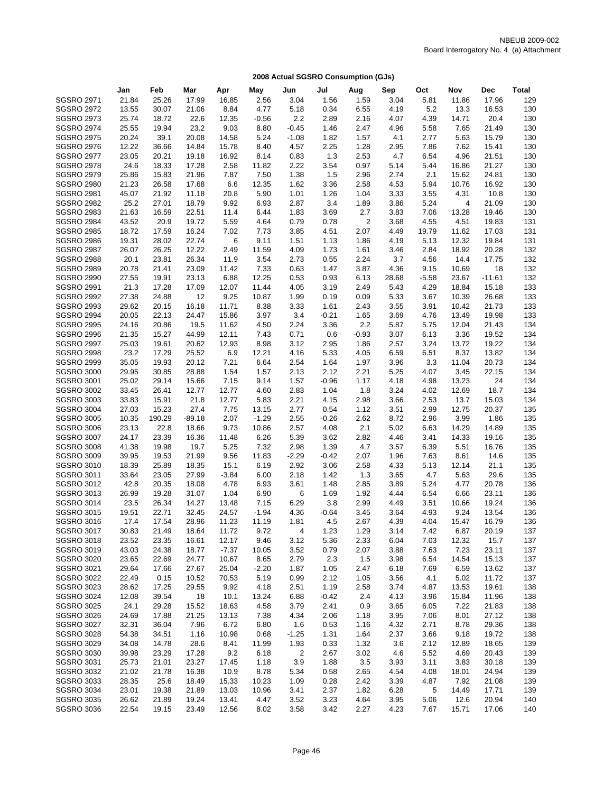|                                        | Jan            | Feb            | Mar            | Apr           | May           | Jun            | Jul          | Aug          | Sep          | Oct           | Nov            | Dec            | <b>Total</b> |
|----------------------------------------|----------------|----------------|----------------|---------------|---------------|----------------|--------------|--------------|--------------|---------------|----------------|----------------|--------------|
| <b>SGSRO 2971</b>                      | 21.84          | 25.26          | 17.99          | 16.85         | 2.56          | 3.04           | 1.56         | 1.59         | 3.04         | 5.81          | 11.86          | 17.96          | 129          |
| <b>SGSRO 2972</b>                      | 13.55          | 30.07          | 21.06          | 8.84          | 4.77          | 5.18           | 0.34         | 6.55         | 4.19         | 5.2           | 13.3           | 16.53          | 130          |
| <b>SGSRO 2973</b>                      | 25.74          | 18.72          | 22.6           | 12.35         | $-0.56$       | 2.2            | 2.89         | 2.16         | 4.07         | 4.39          | 14.71          | 20.4           | 130          |
| <b>SGSRO 2974</b>                      | 25.55          | 19.94          | 23.2           | 9.03          | 8.80          | $-0.45$        | 1.46         | 2.47         | 4.96         | 5.58          | 7.65           | 21.49          | 130          |
| <b>SGSRO 2975</b>                      | 20.24          | 39.1           | 20.08          | 14.58         | 5.24          | $-1.08$        | 1.82         | 1.57         | 4.1          | 2.77          | 5.63           | 15.79          | 130          |
| <b>SGSRO 2976</b>                      | 12.22          | 36.66          | 14.84          | 15.78         | 8.40          | 4.57           | 2.25         | 1.28         | 2.95         | 7.86          | 7.62           | 15.41          | 130          |
| <b>SGSRO 2977</b>                      | 23.05          | 20.21          | 19.18          | 16.92         | 8.14          | 0.83           | 1.3          | 2.53         | 4.7          | 6.54          | 4.96           | 21.51          | 130          |
| <b>SGSRO 2978</b>                      | 24.6           | 18.33          | 17.28          | 2.58          | 11.82         | 2.22           | 3.54         | 0.97         | 5.14         | 5.44          | 16.86          | 21.27          | 130          |
| <b>SGSRO 2979</b>                      | 25.86          | 15.83          | 21.96          | 7.87          | 7.50          | 1.38           | 1.5          | 2.96         | 2.74         | 2.1           | 15.62          | 24.81          | 130          |
| <b>SGSRO 2980</b>                      | 21.23          | 26.58          | 17.68          | 6.6           | 12.35         | 1.62           | 3.36         | 2.58         | 4.53         | 5.94          | 10.76          | 16.92          | 130          |
| <b>SGSRO 2981</b>                      | 45.07          | 21.92          | 11.18          | 20.8          | 5.90          | 1.01           | 1.26         | 1.04         | 3.33         | 3.55          | 4.31           | 10.8           | 130          |
| <b>SGSRO 2982</b>                      | 25.2           | 27.01          | 18.79          | 9.92          | 6.93          | 2.87           | 3.4          | 1.89         | 3.86         | 5.24          | $\overline{4}$ | 21.09          | 130          |
| <b>SGSRO 2983</b>                      | 21.63          | 16.59          | 22.51          | 11.4          | 6.44          | 1.83           | 3.69         | 2.7          | 3.83         | 7.06          | 13.28          | 19.46          | 130          |
| <b>SGSRO 2984</b>                      | 43.52          | 20.9           | 19.72          | 5.59          | 4.64          | 0.79           | 0.78         | 2            | 3.68         | 4.55          | 4.51           | 19.83          | 131          |
| <b>SGSRO 2985</b><br><b>SGSRO 2986</b> | 18.72<br>19.31 | 17.59<br>28.02 | 16.24<br>22.74 | 7.02<br>6     | 7.73<br>9.11  | 3.85<br>1.51   | 4.51         | 2.07<br>1.86 | 4.49         | 19.79<br>5.13 | 11.62<br>12.32 | 17.03<br>19.84 | 131<br>131   |
| <b>SGSRO 2987</b>                      | 26.07          | 26.25          | 12.22          | 2.49          | 11.59         | 4.09           | 1.13<br>1.73 | 1.61         | 4.19<br>3.46 | 2.84          | 18.92          | 20.28          | 132          |
| <b>SGSRO 2988</b>                      | 20.1           | 23.81          | 26.34          | 11.9          | 3.54          | 2.73           | 0.55         | 2.24         | 3.7          | 4.56          | 14.4           | 17.75          | 132          |
| <b>SGSRO 2989</b>                      | 20.78          | 21.41          | 23.09          | 11.42         | 7.33          | 0.63           | 1.47         | 3.87         | 4.36         | 9.15          | 10.69          | 18             | 132          |
| <b>SGSRO 2990</b>                      | 27.55          | 19.91          | 23.13          | 6.88          | 12.25         | 0.53           | 0.93         | 6.13         | 28.68        | $-5.58$       | 23.67          | $-11.61$       | 132          |
| <b>SGSRO 2991</b>                      | 21.3           | 17.28          | 17.09          | 12.07         | 11.44         | 4.05           | 3.19         | 2.49         | 5.43         | 4.29          | 18.84          | 15.18          | 133          |
| <b>SGSRO 2992</b>                      | 27.38          | 24.88          | 12             | 9.25          | 10.87         | 1.99           | 0.19         | 0.09         | 5.33         | 3.67          | 10.39          | 26.68          | 133          |
| <b>SGSRO 2993</b>                      | 29.62          | 20.15          | 16.18          | 11.71         | 8.38          | 3.33           | 1.61         | 2.43         | 3.55         | 3.91          | 10.42          | 21.73          | 133          |
| <b>SGSRO 2994</b>                      | 20.05          | 22.13          | 24.47          | 15.86         | 3.97          | 3.4            | $-0.21$      | 1.65         | 3.69         | 4.76          | 13.49          | 19.98          | 133          |
| <b>SGSRO 2995</b>                      | 24.16          | 20.86          | 19.5           | 11.62         | 4.50          | 2.24           | 3.36         | 2.2          | 5.87         | 5.75          | 12.04          | 21.43          | 134          |
| <b>SGSRO 2996</b>                      | 21.35          | 15.27          | 44.99          | 12.11         | 7.43          | 0.71           | 0.6          | $-0.93$      | 3.07         | 6.13          | 3.36           | 19.52          | 134          |
| <b>SGSRO 2997</b>                      | 25.03          | 19.61          | 20.62          | 12.93         | 8.98          | 3.12           | 2.95         | 1.86         | 2.57         | 3.24          | 13.72          | 19.22          | 134          |
| <b>SGSRO 2998</b>                      | 23.2           | 17.29          | 25.52          | 6.9           | 12.21         | 4.16           | 5.33         | 4.05         | 6.59         | 6.51          | 8.37           | 13.82          | 134          |
| <b>SGSRO 2999</b>                      | 35.05          | 19.93          | 20.12          | 7.21          | 6.64          | 2.54           | 1.64         | 1.97         | 3.96         | 3.3           | 11.04          | 20.73          | 134          |
| <b>SGSRO 3000</b>                      | 29.95          | 30.85          | 28.88          | 1.54          | 1.57          | 2.13           | 2.12         | 2.21         | 5.25         | 4.07          | 3.45           | 22.15          | 134          |
| <b>SGSRO 3001</b>                      | 25.02          | 29.14          | 15.66          | 7.15          | 9.14          | 1.57           | $-0.96$      | 1.17         | 4.18         | 4.98          | 13.23          | 24             | 134          |
| <b>SGSRO 3002</b>                      | 33.45          | 26.41          | 12.77          | 12.77         | 4.60          | 2.83           | 1.04         | 1.8          | 3.24         | 4.02          | 12.69          | 18.7           | 134          |
| <b>SGSRO 3003</b>                      | 33.83          | 15.91          | 21.8           | 12.77         | 5.83          | 2.21           | 4.15         | 2.98         | 3.66         | 2.53          | 13.7           | 15.03          | 134          |
| <b>SGSRO 3004</b>                      | 27.03          | 15.23          | 27.4           | 7.75          | 13.15         | 2.77           | 0.54         | 1.12         | 3.51         | 2.99          | 12.75          | 20.37          | 135          |
| <b>SGSRO 3005</b>                      | 10.35          | 190.29         | $-89.18$       | 2.07          | $-1.29$       | 2.55           | $-0.26$      | 2.62<br>2.1  | 8.72         | 2.96          | 3.99           | 1.86           | 135          |
| <b>SGSRO 3006</b><br><b>SGSRO 3007</b> | 23.13<br>24.17 | 22.8<br>23.39  | 18.66<br>16.36 | 9.73<br>11.48 | 10.86<br>6.26 | 2.57<br>5.39   | 4.08<br>3.62 | 2.82         | 5.02<br>4.46 | 6.63<br>3.41  | 14.29<br>14.33 | 14.89<br>19.16 | 135<br>135   |
| <b>SGSRO 3008</b>                      | 41.38          | 19.98          | 19.7           | 5.25          | 7.32          | 2.98           | 1.39         | 4.7          | 3.57         | 6.39          | 5.51           | 16.76          | 135          |
| <b>SGSRO 3009</b>                      | 39.95          | 19.53          | 21.99          | 9.56          | 11.83         | $-2.29$        | $-0.42$      | 2.07         | 1.96         | 7.63          | 8.61           | 14.6           | 135          |
| <b>SGSRO 3010</b>                      | 18.39          | 25.89          | 18.35          | 15.1          | 6.19          | 2.92           | 3.06         | 2.58         | 4.33         | 5.13          | 12.14          | 21.1           | 135          |
| <b>SGSRO 3011</b>                      | 33.64          | 23.05          | 27.99          | $-3.84$       | 6.00          | 2.18           | 1.42         | 1.3          | 3.65         | 4.7           | 5.63           | 29.6           | 135          |
| <b>SGSRO 3012</b>                      | 42.8           | 20.35          | 18.08          | 4.78          | 6.93          | 3.61           | 1.48         | 2.85         | 3.89         | 5.24          | 4.77           | 20.78          | 136          |
| <b>SGSRO 3013</b>                      | 26.99          | 19.28          | 31.07          | 1.04          | 6.90          | 6              | 1.69         | 1.92         | 4.44         | 6.54          | 6.66           | 23.11          | 136          |
| <b>SGSRO 3014</b>                      | 23.5           | 26.34          | 14.27          | 13.48         | 7.15          | 6.29           | 3.8          | 2.99         | 4.49         | 3.51          | 10.66          | 19.24          | 136          |
| <b>SGSRO 3015</b>                      | 19.51          | 22.71          | 32.45          | 24.57         | $-1.94$       | 4.36           | $-0.64$      | 3.45         | 3.64         | 4.93          | 9.24           | 13.54          | 136          |
| <b>SGSRO 3016</b>                      | 17.4           | 17.54          | 28.96          | 11.23         | 11.19         | 1.81           | 4.5          | 2.67         | 4.39         | 4.04          | 15.47          | 16.79          | 136          |
| <b>SGSRO 3017</b>                      | 30.83          | 21.49          | 18.64          | 11.72         | 9.72          | 4              | 1.23         | 1.29         | 3.14         | 7.42          | 6.87           | 20.19          | 137          |
| <b>SGSRO 3018</b>                      | 23.52          | 23.35          | 16.61          | 12.17         | 9.46          | 3.12           | 5.36         | 2.33         | 6.04         | 7.03          | 12.32          | 15.7           | 137          |
| <b>SGSRO 3019</b>                      | 43.03          | 24.38          | 18.77          | $-7.37$       | 10.05         | 3.52           | 0.79         | 2.07         | 3.88         | 7.63          | 7.23           | 23.11          | 137          |
| <b>SGSRO 3020</b>                      | 23.65          | 22.69          | 24.77          | 10.67         | 8.65          | 2.79           | 2.3          | 1.5          | 3.98         | 6.54          | 14.54          | 15.13          | 137          |
| <b>SGSRO 3021</b>                      | 29.64          | 17.66          | 27.67          | 25.04         | $-2.20$       | 1.87           | 1.05         | 2.47         | 6.18         | 7.69          | 6.59           | 13.62          | 137          |
| <b>SGSRO 3022</b>                      | 22.49          | 0.15           | 10.52          | 70.53         | 5.19          | 0.99           | 2.12         | 1.05         | 3.56         | 4.1           | 5.02           | 11.72          | 137          |
| <b>SGSRO 3023</b>                      | 28.62          | 17.25          | 29.55          | 9.92          | 4.18          | 2.51           | 1.19         | 2.58         | 3.74         | 4.87          | 13.53          | 19.61          | 138          |
| <b>SGSRO 3024</b>                      | 12.08          | 39.54          | 18             | 10.1          | 13.24         | 6.88           | $-0.42$      | 2.4          | 4.13         | 3.96          | 15.84          | 11.96          | 138          |
| <b>SGSRO 3025</b>                      | 24.1           | 29.28          | 15.52          | 18.63         | 4.58          | 3.79           | 2.41         | 0.9          | 3.65         | 6.05          | 7.22           | 21.83          | 138          |
| <b>SGSRO 3026</b><br><b>SGSRO 3027</b> | 24.69          | 17.88          | 21.25          | 13.13         | 7.38          | 4.34           | 2.06         | 1.18         | 3.95         | 7.06          | 8.01           | 27.12          | 138          |
| <b>SGSRO 3028</b>                      | 32.31<br>54.38 | 36.04<br>34.51 | 7.96<br>1.16   | 6.72<br>10.98 | 6.80<br>0.68  | 1.6<br>$-1.25$ | 0.53<br>1.31 | 1.16<br>1.64 | 4.32<br>2.37 | 2.71<br>3.66  | 8.78<br>9.18   | 29.36<br>19.72 | 138<br>138   |
| <b>SGSRO 3029</b>                      | 34.08          | 14.78          | 28.6           | 8.41          | 11.99         | 1.93           | 0.33         | 1.32         | 3.6          | 2.12          | 12.89          | 18.65          | 139          |
| <b>SGSRO 3030</b>                      | 39.98          | 23.29          | 17.28          | 9.2           | 6.18          | 2              | 2.67         | 3.02         | 4.6          | 5.52          | 4.69           | 20.43          | 139          |
| <b>SGSRO 3031</b>                      | 25.73          | 21.01          | 23.27          | 17.45         | 1.18          | 3.9            | 1.88         | 3.5          | 3.93         | 3.11          | 3.83           | 30.18          | 139          |
| <b>SGSRO 3032</b>                      | 21.02          | 21.78          | 16.38          | 10.9          | 8.78          | 5.34           | 0.58         | 2.65         | 4.54         | 4.08          | 18.01          | 24.94          | 139          |
| <b>SGSRO 3033</b>                      | 28.35          | 25.6           | 18.49          | 15.33         | 10.23         | 1.09           | 0.28         | 2.42         | 3.39         | 4.87          | 7.92           | 21.08          | 139          |
| <b>SGSRO 3034</b>                      | 23.01          | 19.38          | 21.89          | 13.03         | 10.96         | 3.41           | 2.37         | 1.82         | 6.28         | 5             | 14.49          | 17.71          | 139          |
| <b>SGSRO 3035</b>                      | 26.62          | 21.89          | 19.24          | 13.41         | 4.47          | 3.52           | 3.23         | 4.64         | 3.95         | 5.06          | 12.6           | 20.94          | 140          |
| <b>SGSRO 3036</b>                      | 22.54          | 19.15          | 23.49          | 12.56         | 8.02          | 3.58           | 3.42         | 2.27         | 4.23         | 7.67          | 15.71          | 17.06          | 140          |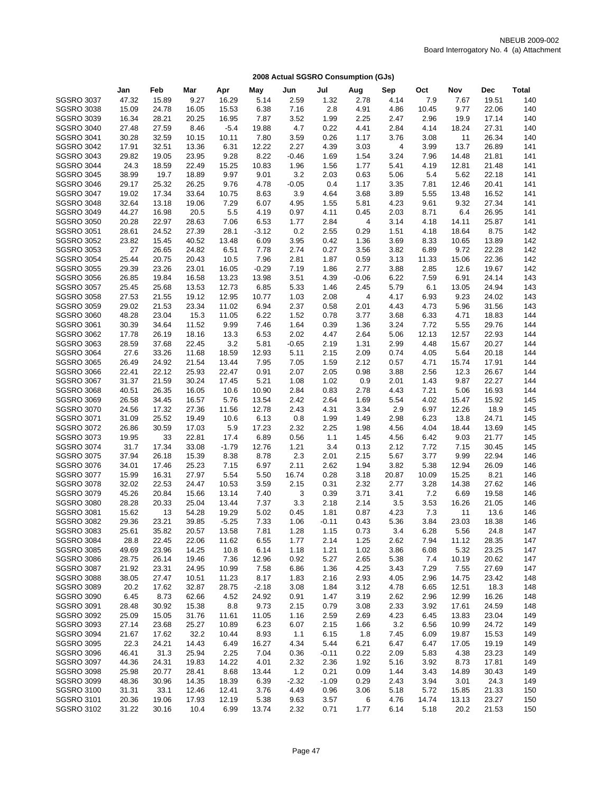|                   | Jan   | Feb   | Mar   | Apr     | May     | Jun         | Jul     | Aug     | Sep   | Oct          | Nov   | Dec   | Total |
|-------------------|-------|-------|-------|---------|---------|-------------|---------|---------|-------|--------------|-------|-------|-------|
| <b>SGSRO 3037</b> | 47.32 | 15.89 | 9.27  | 16.29   | 5.14    | 2.59        | 1.32    | 2.78    | 4.14  | 7.9          | 7.67  | 19.51 | 140   |
| <b>SGSRO 3038</b> | 15.09 | 24.78 | 16.05 | 15.53   | 6.38    | 7.16        | 2.8     | 4.91    | 4.86  | 10.45        | 9.77  | 22.06 | 140   |
| <b>SGSRO 3039</b> | 16.34 | 28.21 | 20.25 | 16.95   | 7.87    | 3.52        | 1.99    | 2.25    | 2.47  | 2.96         | 19.9  | 17.14 | 140   |
| <b>SGSRO 3040</b> | 27.48 | 27.59 | 8.46  | $-5.4$  | 19.88   | 4.7         | 0.22    | 4.41    | 2.84  | 4.14         | 18.24 | 27.31 | 140   |
| <b>SGSRO 3041</b> | 30.28 | 32.59 | 10.15 | 10.11   | 7.80    | 3.59        | 0.26    | 1.17    | 3.76  | 3.08         | 11    | 26.34 | 140   |
| <b>SGSRO 3042</b> | 17.91 | 32.51 | 13.36 | 6.31    | 12.22   | 2.27        | 4.39    | 3.03    | 4     | 3.99         | 13.7  | 26.89 | 141   |
| <b>SGSRO 3043</b> | 29.82 | 19.05 | 23.95 | 9.28    | 8.22    | $-0.46$     | 1.69    | 1.54    | 3.24  | 7.96         | 14.48 | 21.81 | 141   |
| <b>SGSRO 3044</b> | 24.3  | 18.59 | 22.49 | 15.25   | 10.83   | 1.96        | 1.56    | 1.77    | 5.41  | 4.19         | 12.81 | 21.48 | 141   |
| <b>SGSRO 3045</b> | 38.99 | 19.7  | 18.89 | 9.97    | 9.01    | 3.2         | 2.03    | 0.63    | 5.06  | 5.4          | 5.62  | 22.18 | 141   |
| <b>SGSRO 3046</b> | 29.17 | 25.32 | 26.25 | 9.76    | 4.78    | $-0.05$     | 0.4     | 1.17    | 3.35  | 7.81         | 12.46 | 20.41 | 141   |
| <b>SGSRO 3047</b> | 19.02 | 17.34 | 33.64 | 10.75   | 8.63    | 3.9         | 4.64    | 3.68    | 3.89  | 5.55         | 13.48 | 16.52 | 141   |
| <b>SGSRO 3048</b> | 32.64 | 13.18 | 19.06 | 7.29    | 6.07    | 4.95        | 1.55    | 5.81    | 4.23  | 9.61         | 9.32  | 27.34 | 141   |
| <b>SGSRO 3049</b> | 44.27 | 16.98 | 20.5  | 5.5     | 4.19    | 0.97        | 4.11    | 0.45    | 2.03  | 8.71         | 6.4   | 26.95 | 141   |
| <b>SGSRO 3050</b> | 20.28 | 22.97 | 28.63 | 7.06    | 6.53    | 1.77        | 2.84    | 4       | 3.14  | 4.18         | 14.11 | 25.87 | 141   |
| <b>SGSRO 3051</b> | 28.61 | 24.52 | 27.39 | 28.1    | $-3.12$ | 0.2         | 2.55    | 0.29    | 1.51  | 4.18         | 18.64 | 8.75  | 142   |
| <b>SGSRO 3052</b> | 23.82 | 15.45 | 40.52 | 13.48   | 6.09    | 3.95        | 0.42    | 1.36    | 3.69  | 8.33         | 10.65 | 13.89 | 142   |
| <b>SGSRO 3053</b> | 27    | 26.65 | 24.82 | 6.51    | 7.78    | 2.74        | 0.27    | 3.56    | 3.82  | 6.89         | 9.72  | 22.28 | 142   |
| <b>SGSRO 3054</b> | 25.44 | 20.75 | 20.43 | 10.5    | 7.96    | 2.81        | 1.87    | 0.59    | 3.13  | 11.33        | 15.06 | 22.36 | 142   |
| <b>SGSRO 3055</b> | 29.39 | 23.26 | 23.01 | 16.05   | $-0.29$ | 7.19        | 1.86    | 2.77    | 3.88  | 2.85         | 12.6  | 19.67 | 142   |
| <b>SGSRO 3056</b> | 26.85 | 19.84 | 16.58 | 13.23   | 13.98   | 3.51        | 4.39    | $-0.06$ | 6.22  | 7.59         | 6.91  | 24.14 | 143   |
| <b>SGSRO 3057</b> | 25.45 | 25.68 | 13.53 | 12.73   | 6.85    | 5.33        | 1.46    | 2.45    | 5.79  | 6.1          | 13.05 | 24.94 | 143   |
| <b>SGSRO 3058</b> | 27.53 | 21.55 | 19.12 | 12.95   | 10.77   | 1.03        | 2.08    | 4       | 4.17  | 6.93         | 9.23  | 24.02 | 143   |
| <b>SGSRO 3059</b> | 29.02 | 21.53 | 23.34 | 11.02   | 6.94    | 2.37        | 0.58    | 2.01    | 4.43  | 4.73         | 5.96  | 31.56 | 143   |
| <b>SGSRO 3060</b> | 48.28 | 23.04 | 15.3  | 11.05   | 6.22    | 1.52        | 0.78    | 3.77    | 3.68  | 6.33         | 4.71  | 18.83 | 144   |
| <b>SGSRO 3061</b> | 30.39 | 34.64 | 11.52 | 9.99    | 7.46    | 1.64        | 0.39    | 1.36    | 3.24  | 7.72         | 5.55  | 29.76 | 144   |
| <b>SGSRO 3062</b> | 17.78 | 26.19 | 18.16 | 13.3    | 6.53    | 2.02        | 4.47    | 2.64    | 5.06  | 12.13        | 12.57 | 22.93 | 144   |
| <b>SGSRO 3063</b> | 28.59 | 37.68 | 22.45 | 3.2     | 5.81    | $-0.65$     | 2.19    | 1.31    | 2.99  | 4.48         | 15.67 | 20.27 | 144   |
| <b>SGSRO 3064</b> | 27.6  | 33.26 | 11.68 | 18.59   | 12.93   | 5.11        | 2.15    | 2.09    | 0.74  | 4.05         | 5.64  | 20.18 | 144   |
| <b>SGSRO 3065</b> | 26.49 | 24.92 | 21.54 | 13.44   | 7.95    | 7.05        | 1.59    | 2.12    | 0.57  | 4.71         | 15.74 | 17.91 | 144   |
| <b>SGSRO 3066</b> | 22.41 | 22.12 | 25.93 | 22.47   | 0.91    | 2.07        | 2.05    | 0.98    | 3.88  | 2.56         | 12.3  | 26.67 | 144   |
| <b>SGSRO 3067</b> | 31.37 | 21.59 | 30.24 | 17.45   | 5.21    | 1.08        | 1.02    | 0.9     | 2.01  | 1.43         | 9.87  | 22.27 | 144   |
| <b>SGSRO 3068</b> | 40.51 | 26.35 | 16.05 | 10.6    | 10.90   | 2.84        | 0.83    | 2.78    | 4.43  | 7.21         | 5.06  | 16.93 | 144   |
| <b>SGSRO 3069</b> | 26.58 | 34.45 | 16.57 | 5.76    | 13.54   | 2.42        | 2.64    | 1.69    | 5.54  | 4.02         | 15.47 | 15.92 | 145   |
| <b>SGSRO 3070</b> | 24.56 | 17.32 | 27.36 | 11.56   | 12.78   | 2.43        | 4.31    | 3.34    | 2.9   | 6.97         | 12.26 | 18.9  | 145   |
| <b>SGSRO 3071</b> | 31.09 | 25.52 | 19.49 | 10.6    | 6.13    | 0.8         | 1.99    | 1.49    | 2.98  | 6.23         | 13.8  | 24.71 | 145   |
| <b>SGSRO 3072</b> | 26.86 | 30.59 | 17.03 | 5.9     | 17.23   | 2.32        | 2.25    | 1.98    | 4.56  | 4.04         | 18.44 | 13.69 | 145   |
| <b>SGSRO 3073</b> | 19.95 | 33    | 22.81 | 17.4    | 6.89    | 0.56        | 1.1     | 1.45    | 4.56  |              | 9.03  | 21.77 | 145   |
|                   | 31.7  |       | 33.08 |         |         |             | 3.4     | 0.13    | 2.12  | 6.42<br>7.72 | 7.15  | 30.45 | 145   |
| <b>SGSRO 3074</b> |       | 17.34 |       | $-1.79$ | 12.76   | 1.21        |         |         |       |              |       | 22.94 | 146   |
| <b>SGSRO 3075</b> | 37.94 | 26.18 | 15.39 | 8.38    | 8.78    | 2.3<br>2.11 | 2.01    | 2.15    | 5.67  | 3.77         | 9.99  |       | 146   |
| <b>SGSRO 3076</b> | 34.01 | 17.46 | 25.23 | 7.15    | 6.97    |             | 2.62    | 1.94    | 3.82  | 5.38         | 12.94 | 26.09 |       |
| <b>SGSRO 3077</b> | 15.99 | 16.31 | 27.97 | 5.54    | 5.50    | 16.74       | 0.28    | 3.18    | 20.87 | 10.09        | 15.25 | 8.21  | 146   |
| <b>SGSRO 3078</b> | 32.02 | 22.53 | 24.47 | 10.53   | 3.59    | 2.15        | 0.31    | 2.32    | 2.77  | 3.28         | 14.38 | 27.62 | 146   |
| <b>SGSRO 3079</b> | 45.26 | 20.84 | 15.66 | 13.14   | 7.40    | 3           | 0.39    | 3.71    | 3.41  | 7.2          | 6.69  | 19.58 | 146   |
| <b>SGSRO 3080</b> | 28.28 | 20.33 | 25.04 | 13.44   | 7.37    | 3.3         | 2.18    | 2.14    | 3.5   | 3.53         | 16.26 | 21.05 | 146   |
| <b>SGSRO 3081</b> | 15.62 | 13    | 54.28 | 19.29   | 5.02    | 0.45        | 1.81    | 0.87    | 4.23  | 7.3          | 11    | 13.6  | 146   |
| <b>SGSRO 3082</b> | 29.36 | 23.21 | 39.85 | $-5.25$ | 7.33    | 1.06        | $-0.11$ | 0.43    | 5.36  | 3.84         | 23.03 | 18.38 | 146   |
| <b>SGSRO 3083</b> | 25.61 | 35.82 | 20.57 | 13.58   | 7.81    | 1.28        | 1.15    | 0.73    | 3.4   | 6.28         | 5.56  | 24.8  | 147   |
| <b>SGSRO 3084</b> | 28.8  | 22.45 | 22.06 | 11.62   | 6.55    | 1.77        | 2.14    | 1.25    | 2.62  | 7.94         | 11.12 | 28.35 | 147   |
| <b>SGSRO 3085</b> | 49.69 | 23.96 | 14.25 | 10.8    | 6.14    | 1.18        | 1.21    | 1.02    | 3.86  | 6.08         | 5.32  | 23.25 | 147   |
| <b>SGSRO 3086</b> | 28.75 | 26.14 | 19.46 | 7.36    | 12.96   | 0.92        | 5.27    | 2.65    | 5.38  | 7.4          | 10.19 | 20.62 | 147   |
| <b>SGSRO 3087</b> | 21.92 | 23.31 | 24.95 | 10.99   | 7.58    | 6.86        | 1.36    | 4.25    | 3.43  | 7.29         | 7.55  | 27.69 | 147   |
| <b>SGSRO 3088</b> | 38.05 | 27.47 | 10.51 | 11.23   | 8.17    | 1.83        | 2.16    | 2.93    | 4.05  | 2.96         | 14.75 | 23.42 | 148   |
| <b>SGSRO 3089</b> | 20.2  | 17.62 | 32.87 | 28.75   | $-2.18$ | 3.08        | 1.84    | 3.12    | 4.78  | 6.65         | 12.51 | 18.3  | 148   |
| <b>SGSRO 3090</b> | 6.45  | 8.73  | 62.66 | 4.52    | 24.92   | 0.91        | 1.47    | 3.19    | 2.62  | 2.96         | 12.99 | 16.26 | 148   |
| <b>SGSRO 3091</b> | 28.48 | 30.92 | 15.38 | 8.8     | 9.73    | 2.15        | 0.79    | 3.08    | 2.33  | 3.92         | 17.61 | 24.59 | 148   |
| <b>SGSRO 3092</b> | 25.09 | 15.05 | 31.76 | 11.61   | 11.05   | 1.16        | 2.59    | 2.69    | 4.23  | 6.45         | 13.83 | 23.04 | 149   |
| <b>SGSRO 3093</b> | 27.14 | 23.68 | 25.27 | 10.89   | 6.23    | 6.07        | 2.15    | 1.66    | 3.2   | 6.56         | 10.99 | 24.72 | 149   |
| <b>SGSRO 3094</b> | 21.67 | 17.62 | 32.2  | 10.44   | 8.93    | 1.1         | 6.15    | 1.8     | 7.45  | 6.09         | 19.87 | 15.53 | 149   |
| <b>SGSRO 3095</b> | 22.3  | 24.21 | 14.43 | 6.49    | 16.27   | 4.34        | 5.44    | 6.21    | 6.47  | 6.47         | 17.05 | 19.19 | 149   |
| <b>SGSRO 3096</b> | 46.41 | 31.3  | 25.94 | 2.25    | 7.04    | 0.36        | $-0.11$ | 0.22    | 2.09  | 5.83         | 4.38  | 23.23 | 149   |
| <b>SGSRO 3097</b> | 44.36 | 24.31 | 19.83 | 14.22   | 4.01    | 2.32        | 2.36    | 1.92    | 5.16  | 3.92         | 8.73  | 17.81 | 149   |
| <b>SGSRO 3098</b> | 25.98 | 20.77 | 28.41 | 8.68    | 13.44   | 1.2         | 0.21    | 0.09    | 1.44  | 3.43         | 14.89 | 30.43 | 149   |
| <b>SGSRO 3099</b> | 48.36 | 30.96 | 14.35 | 18.39   | 6.39    | $-2.32$     | $-1.09$ | 0.29    | 2.43  | 3.94         | 3.01  | 24.3  | 149   |
| <b>SGSRO 3100</b> | 31.31 | 33.1  | 12.46 | 12.41   | 3.76    | 4.49        | 0.96    | 3.06    | 5.18  | 5.72         | 15.85 | 21.33 | 150   |
| SGSRO 3101        | 20.36 | 19.06 | 17.93 | 12.19   | 5.38    | 9.63        | 3.57    | 6       | 4.76  | 14.74        | 13.13 | 23.27 | 150   |
| <b>SGSRO 3102</b> | 31.22 | 30.16 | 10.4  | 6.99    | 13.74   | 2.32        | 0.71    | 1.77    | 6.14  | 5.18         | 20.2  | 21.53 | 150   |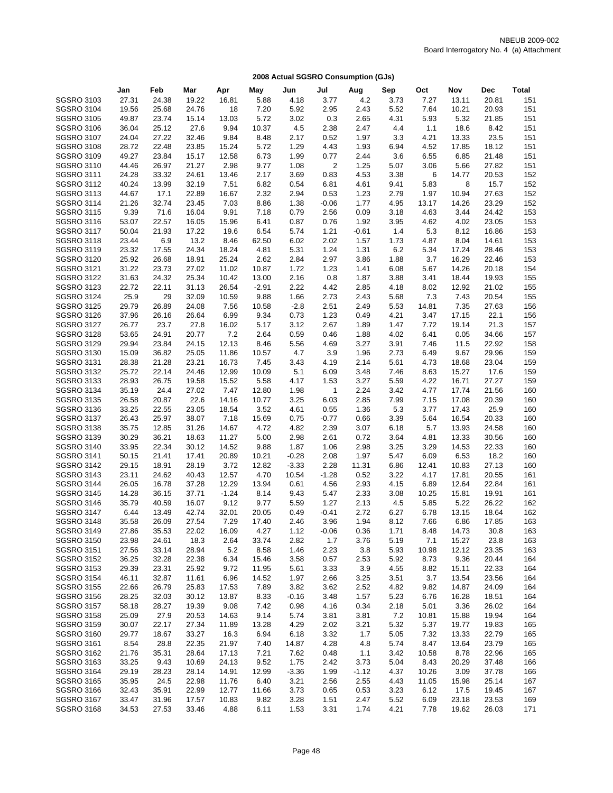|                   | Jan   | Feb   | Mar   | Apr     | May     | Jun     | Jul     | Aug     | Sep  | Oct   | Nov   | <b>Dec</b> | Total |
|-------------------|-------|-------|-------|---------|---------|---------|---------|---------|------|-------|-------|------------|-------|
| <b>SGSRO 3103</b> | 27.31 | 24.38 | 19.22 | 16.81   | 5.88    | 4.18    | 3.77    | 4.2     | 3.73 | 7.27  | 13.11 | 20.81      | 151   |
| <b>SGSRO 3104</b> | 19.56 | 25.68 | 24.76 | 18      | 7.20    | 5.92    | 2.95    | 2.43    | 5.52 | 7.64  | 10.21 | 20.93      | 151   |
| <b>SGSRO 3105</b> | 49.87 | 23.74 | 15.14 | 13.03   | 5.72    | 3.02    | 0.3     | 2.65    | 4.31 | 5.93  | 5.32  | 21.85      | 151   |
| <b>SGSRO 3106</b> | 36.04 | 25.12 | 27.6  | 9.94    | 10.37   | 4.5     | 2.38    | 2.47    | 4.4  | 1.1   | 18.6  | 8.42       | 151   |
| <b>SGSRO 3107</b> | 24.04 | 27.22 | 32.46 | 9.84    | 8.48    | 2.17    | 0.52    | 1.97    | 3.3  | 4.21  | 13.33 | 23.5       | 151   |
| <b>SGSRO 3108</b> | 28.72 | 22.48 | 23.85 | 15.24   | 5.72    | 1.29    | 4.43    | 1.93    | 6.94 | 4.52  | 17.85 | 18.12      | 151   |
| <b>SGSRO 3109</b> | 49.27 | 23.84 | 15.17 | 12.58   | 6.73    | 1.99    | 0.77    | 2.44    | 3.6  | 6.55  | 6.85  | 21.48      | 151   |
| <b>SGSRO 3110</b> | 44.46 | 26.97 | 21.27 | 2.98    | 9.77    | 1.08    | 2       | 1.25    | 5.07 | 3.06  | 5.66  | 27.82      | 151   |
| <b>SGSRO 3111</b> | 24.28 | 33.32 | 24.61 | 13.46   | 2.17    | 3.69    | 0.83    | 4.53    | 3.38 | 6     | 14.77 | 20.53      | 152   |
| SGSRO 3112        | 40.24 | 13.99 | 32.19 | 7.51    | 6.82    | 0.54    | 6.81    | 4.61    | 9.41 | 5.83  | 8     | 15.7       | 152   |
| <b>SGSRO 3113</b> | 44.67 | 17.1  | 22.89 | 16.67   | 2.32    | 2.94    | 0.53    | 1.23    | 2.79 | 1.97  | 10.94 | 27.63      | 152   |
| <b>SGSRO 3114</b> | 21.26 | 32.74 | 23.45 | 7.03    | 8.86    | 1.38    | $-0.06$ | 1.77    | 4.95 | 13.17 | 14.26 | 23.29      | 152   |
| <b>SGSRO 3115</b> | 9.39  | 71.6  | 16.04 | 9.91    | 7.18    | 0.79    | 2.56    | 0.09    | 3.18 | 4.63  | 3.44  | 24.42      | 153   |
| SGSRO 3116        | 53.07 | 22.57 | 16.05 | 15.96   | 6.41    | 0.87    | 0.76    | 1.92    | 3.95 | 4.62  | 4.02  | 23.05      | 153   |
| <b>SGSRO 3117</b> | 50.04 | 21.93 | 17.22 | 19.6    | 6.54    | 5.74    | 1.21    | $-0.61$ | 1.4  | 5.3   | 8.12  | 16.86      | 153   |
| <b>SGSRO 3118</b> | 23.44 | 6.9   | 13.2  | 8.46    | 62.50   | 6.02    | 2.02    | 1.57    | 1.73 | 4.87  | 8.04  | 14.61      | 153   |
| <b>SGSRO 3119</b> | 23.32 | 17.55 | 24.34 | 18.24   | 4.81    | 5.31    | 1.24    | 1.31    | 6.2  | 5.34  | 17.24 | 28.46      | 153   |
| <b>SGSRO 3120</b> | 25.92 | 26.68 | 18.91 | 25.24   | 2.62    | 2.84    | 2.97    | 3.86    | 1.88 | 3.7   | 16.29 | 22.46      | 153   |
| <b>SGSRO 3121</b> | 31.22 | 23.73 | 27.02 | 11.02   | 10.87   | 1.72    | 1.23    | 1.41    | 6.08 | 5.67  | 14.26 | 20.18      | 154   |
| <b>SGSRO 3122</b> | 31.63 | 24.32 | 25.34 | 10.42   | 13.00   | 2.16    | 0.8     | 1.87    | 3.88 | 3.41  | 18.44 | 19.93      | 155   |
| <b>SGSRO 3123</b> | 22.72 | 22.11 | 31.13 | 26.54   | $-2.91$ | 2.22    | 4.42    | 2.85    | 4.18 | 8.02  | 12.92 | 21.02      | 155   |
| <b>SGSRO 3124</b> | 25.9  | 29    | 32.09 | 10.59   | 9.88    | 1.66    | 2.73    | 2.43    | 5.68 | 7.3   | 7.43  | 20.54      | 155   |
| <b>SGSRO 3125</b> | 29.79 | 26.89 | 24.08 | 7.56    | 10.58   | $-2.8$  | 2.51    | 2.49    | 5.53 | 14.81 | 7.35  | 27.63      | 156   |
| <b>SGSRO 3126</b> | 37.96 | 26.16 | 26.64 | 6.99    | 9.34    | 0.73    | 1.23    | 0.49    | 4.21 | 3.47  | 17.15 | 22.1       | 156   |
| <b>SGSRO 3127</b> | 26.77 | 23.7  | 27.8  | 16.02   | 5.17    | 3.12    | 2.67    | 1.89    | 1.47 | 7.72  | 19.14 | 21.3       | 157   |
| <b>SGSRO 3128</b> | 53.65 | 24.91 | 20.77 | 7.2     | 2.64    | 0.59    | 0.46    | 1.88    | 4.02 | 6.41  | 0.05  | 34.66      | 157   |
| <b>SGSRO 3129</b> | 29.94 | 23.84 | 24.15 | 12.13   | 8.46    | 5.56    | 4.69    | 3.27    | 3.91 | 7.46  | 11.5  | 22.92      | 158   |
| SGSRO 3130        | 15.09 | 36.82 | 25.05 | 11.86   | 10.57   | 4.7     | 3.9     | 1.96    | 2.73 | 6.49  | 9.67  | 29.96      | 159   |
| <b>SGSRO 3131</b> | 28.38 | 21.28 | 23.21 | 16.73   | 7.45    | 3.43    | 4.19    | 2.14    | 5.61 | 4.73  | 18.68 | 23.04      | 159   |
| SGSRO 3132        | 25.72 | 22.14 | 24.46 | 12.99   | 10.09   | 5.1     | 6.09    | 3.48    | 7.46 | 8.63  | 15.27 | 17.6       | 159   |
| SGSRO 3133        | 28.93 | 26.75 | 19.58 | 15.52   | 5.58    | 4.17    | 1.53    | 3.27    | 5.59 | 4.22  | 16.71 | 27.27      | 159   |
| SGSRO 3134        | 35.19 | 24.4  | 27.02 | 7.47    | 12.80   | 1.98    | 1       | 2.24    | 3.42 | 4.77  | 17.74 | 21.56      | 160   |
| <b>SGSRO 3135</b> | 26.58 | 20.87 | 22.6  | 14.16   | 10.77   | 3.25    | 6.03    | 2.85    | 7.99 | 7.15  | 17.08 | 20.39      | 160   |
| <b>SGSRO 3136</b> | 33.25 | 22.55 | 23.05 | 18.54   | 3.52    | 4.61    | 0.55    | 1.36    | 5.3  | 3.77  | 17.43 | 25.9       | 160   |
| <b>SGSRO 3137</b> | 26.43 | 25.97 | 38.07 | 7.18    | 15.69   | 0.75    | $-0.77$ | 0.66    | 3.39 | 5.64  | 16.54 | 20.33      | 160   |
| <b>SGSRO 3138</b> | 35.75 | 12.85 | 31.26 | 14.67   | 4.72    | 4.82    | 2.39    | 3.07    | 6.18 | 5.7   | 13.93 | 24.58      | 160   |
| <b>SGSRO 3139</b> | 30.29 | 36.21 | 18.63 | 11.27   | 5.00    | 2.98    | 2.61    | 0.72    | 3.64 | 4.81  | 13.33 | 30.56      | 160   |
| <b>SGSRO 3140</b> | 33.95 | 22.34 | 30.12 | 14.52   | 9.88    | 1.87    | 1.06    | 2.98    | 3.25 | 3.29  | 14.53 | 22.33      | 160   |
| <b>SGSRO 3141</b> | 50.15 | 21.41 | 17.41 | 20.89   | 10.21   | $-0.28$ | 2.08    | 1.97    | 5.47 | 6.09  | 6.53  | 18.2       | 160   |
| <b>SGSRO 3142</b> | 29.15 | 18.91 | 28.19 | 3.72    | 12.82   | $-3.33$ | 2.28    | 11.31   | 6.86 | 12.41 | 10.83 | 27.13      | 160   |
| <b>SGSRO 3143</b> | 23.11 | 24.62 | 40.43 | 12.57   | 4.70    | 10.54   | $-1.28$ | 0.52    | 3.22 | 4.17  | 17.81 | 20.55      | 161   |
| <b>SGSRO 3144</b> | 26.05 | 16.78 | 37.28 | 12.29   | 13.94   | 0.61    | 4.56    | 2.93    | 4.15 | 6.89  | 12.64 | 22.84      | 161   |
| <b>SGSRO 3145</b> | 14.28 | 36.15 | 37.71 | $-1.24$ | 8.14    | 9.43    | 5.47    | 2.33    | 3.08 | 10.25 | 15.81 | 19.91      | 161   |
| <b>SGSRO 3146</b> | 35.79 | 40.59 | 16.07 | 9.12    | 9.77    | 5.59    | 1.27    | 2.13    | 4.5  | 5.85  | 5.22  | 26.22      | 162   |
| <b>SGSRO 3147</b> | 6.44  | 13.49 | 42.74 | 32.01   | 20.05   | 0.49    | $-0.41$ | 2.72    | 6.27 | 6.78  | 13.15 | 18.64      | 162   |
| <b>SGSRO 3148</b> | 35.58 | 26.09 | 27.54 | 7.29    | 17.40   | 2.46    | 3.96    | 1.94    | 8.12 | 7.66  | 6.86  | 17.85      | 163   |
| <b>SGSRO 3149</b> | 27.86 | 35.53 | 22.02 | 16.09   | 4.27    | 1.12    | $-0.06$ | 0.36    | 1.71 | 8.48  | 14.73 | 30.8       | 163   |
| <b>SGSRO 3150</b> | 23.98 | 24.61 | 18.3  | 2.64    | 33.74   | 2.82    | 1.7     | 3.76    | 5.19 | 7.1   | 15.27 | 23.8       | 163   |
| SGSRO 3151        | 27.56 | 33.14 | 28.94 | 5.2     | 8.58    | 1.46    | 2.23    | 3.8     | 5.93 | 10.98 | 12.12 | 23.35      | 163   |
| <b>SGSRO 3152</b> | 36.25 | 32.28 | 22.38 | 6.34    | 15.46   | 3.58    | 0.57    | 2.53    | 5.92 | 8.73  | 9.36  | 20.44      | 164   |
| <b>SGSRO 3153</b> | 29.39 | 23.31 | 25.92 | 9.72    | 11.95   | 5.61    | 3.33    | 3.9     | 4.55 | 8.82  | 15.11 | 22.33      | 164   |
| <b>SGSRO 3154</b> | 46.11 | 32.87 | 11.61 | 6.96    | 14.52   | 1.97    | 2.66    | 3.25    | 3.51 | 3.7   | 13.54 | 23.56      | 164   |
| <b>SGSRO 3155</b> | 22.66 | 26.79 | 25.83 | 17.53   | 7.89    | 3.82    | 3.62    | 2.52    | 4.82 | 9.82  | 14.87 | 24.09      | 164   |
| <b>SGSRO 3156</b> | 28.25 | 32.03 | 30.12 | 13.87   | 8.33    | $-0.16$ | 3.48    | 1.57    | 5.23 | 6.76  | 16.28 | 18.51      | 164   |
| <b>SGSRO 3157</b> | 58.18 | 28.27 | 19.39 | 9.08    | 7.42    | 0.98    | 4.16    | 0.34    | 2.18 | 5.01  | 3.36  | 26.02      | 164   |
| <b>SGSRO 3158</b> | 25.09 | 27.9  | 20.53 | 14.63   | 9.14    | 5.74    | 3.81    | 3.81    | 7.2  | 10.81 | 15.88 | 19.94      | 164   |
| SGSRO 3159        | 30.07 | 22.17 | 27.34 | 11.89   | 13.28   | 4.29    | 2.02    | 3.21    | 5.32 | 5.37  | 19.77 | 19.83      | 165   |
| <b>SGSRO 3160</b> | 29.77 | 18.67 | 33.27 | 16.3    | 6.94    | 6.18    | 3.32    | 1.7     | 5.05 | 7.32  | 13.33 | 22.79      | 165   |
| SGSRO 3161        | 8.54  | 28.8  | 22.35 | 21.97   | 7.40    | 14.87   | 4.28    | 4.8     | 5.74 | 8.47  | 13.64 | 23.79      | 165   |
| SGSRO 3162        | 21.76 | 35.31 | 28.64 | 17.13   | 7.21    | 7.62    | 0.48    | 1.1     | 3.42 | 10.58 | 8.78  | 22.96      | 165   |
| SGSRO 3163        | 33.25 | 9.43  | 10.69 | 24.13   | 9.52    | 1.75    | 2.42    | 3.73    | 5.04 | 8.43  | 20.29 | 37.48      | 166   |
| <b>SGSRO 3164</b> | 29.19 | 28.23 | 28.14 | 14.91   | 12.99   | $-3.36$ | 1.99    | $-1.12$ | 4.37 | 10.26 | 3.09  | 37.78      | 166   |
| <b>SGSRO 3165</b> | 35.95 | 24.5  | 22.98 | 11.76   | 6.40    | 3.21    | 2.56    | 2.55    | 4.43 | 11.05 | 15.98 | 25.14      | 167   |
| <b>SGSRO 3166</b> | 32.43 | 35.91 | 22.99 | 12.77   | 11.66   | 3.73    | 0.65    | 0.53    | 3.23 | 6.12  | 17.5  | 19.45      | 167   |
| <b>SGSRO 3167</b> | 33.47 | 31.96 | 17.57 | 10.83   | 9.82    | 3.28    | 1.51    | 2.47    | 5.52 | 6.09  | 23.18 | 23.53      | 169   |
| <b>SGSRO 3168</b> | 34.53 | 27.53 | 33.46 | 4.88    | 6.11    | 1.53    | 3.31    | 1.74    | 4.21 | 7.78  | 19.62 | 26.03      | 171   |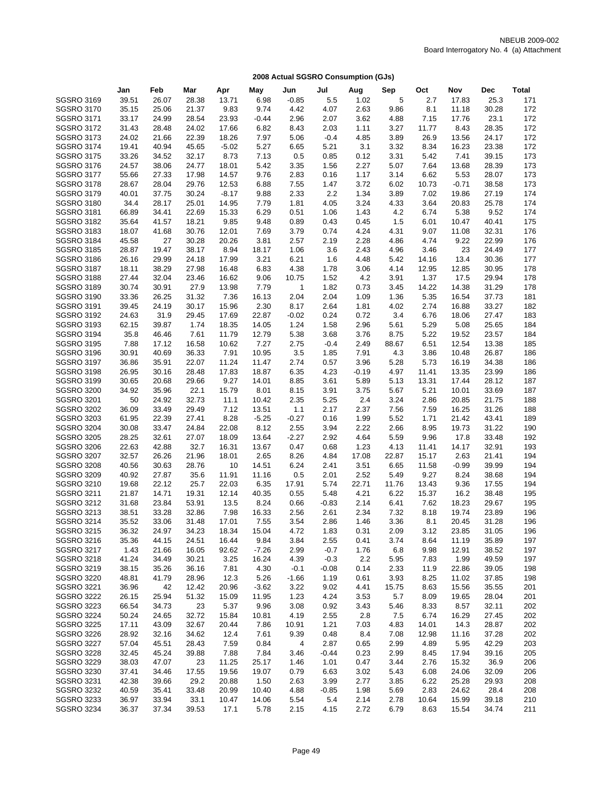|                   | Jan   | Feb   | Mar   | Apr     | May     | Jun     | Jul     | Aug     | Sep   | Oct   | Nov     | <b>Dec</b> | <b>Total</b> |
|-------------------|-------|-------|-------|---------|---------|---------|---------|---------|-------|-------|---------|------------|--------------|
| <b>SGSRO 3169</b> | 39.51 | 26.07 | 28.38 | 13.71   | 6.98    | $-0.85$ | 5.5     | 1.02    | 5     | 2.7   | 17.83   | 25.3       | 171          |
| <b>SGSRO 3170</b> | 35.15 | 25.06 | 21.37 | 9.83    | 9.74    | 4.42    | 4.07    | 2.63    | 9.86  | 8.1   | 11.18   | 30.28      | 172          |
| <b>SGSRO 3171</b> | 33.17 | 24.99 | 28.54 | 23.93   | $-0.44$ | 2.96    | 2.07    | 3.62    | 4.88  | 7.15  | 17.76   | 23.1       | 172          |
| <b>SGSRO 3172</b> | 31.43 | 28.48 | 24.02 | 17.66   | 6.82    | 8.43    | 2.03    | 1.11    | 3.27  | 11.77 | 8.43    | 28.35      | 172          |
| <b>SGSRO 3173</b> | 24.02 | 21.66 | 22.39 | 18.26   | 7.97    | 5.06    | $-0.4$  | 4.85    | 3.89  | 26.9  | 13.56   | 24.17      | 172          |
| <b>SGSRO 3174</b> | 19.41 | 40.94 | 45.65 | $-5.02$ | 5.27    | 6.65    | 5.21    | 3.1     | 3.32  | 8.34  | 16.23   | 23.38      | 172          |
| <b>SGSRO 3175</b> | 33.26 | 34.52 | 32.17 | 8.73    | 7.13    | 0.5     | 0.85    | 0.12    | 3.31  | 5.42  | 7.41    | 39.15      | 173          |
| <b>SGSRO 3176</b> | 24.57 | 38.06 | 24.77 | 18.01   | 5.42    | 3.35    | 1.56    | 2.27    | 5.07  | 7.64  | 13.68   | 28.39      | 173          |
| <b>SGSRO 3177</b> | 55.66 | 27.33 | 17.98 | 14.57   | 9.76    | 2.83    | 0.16    | 1.17    | 3.14  | 6.62  | 5.53    | 28.07      | 173          |
| <b>SGSRO 3178</b> | 28.67 | 28.04 | 29.76 | 12.53   | 6.88    | 7.55    | 1.47    | 3.72    | 6.02  | 10.73 | $-0.71$ | 38.58      | 173          |
| <b>SGSRO 3179</b> | 40.01 | 37.75 | 30.24 | $-8.17$ | 9.88    | 2.33    | 2.2     | 1.34    | 3.89  | 7.02  | 19.86   | 27.19      | 174          |
| <b>SGSRO 3180</b> | 34.4  | 28.17 | 25.01 | 14.95   | 7.79    | 1.81    | 4.05    | 3.24    | 4.33  | 3.64  | 20.83   | 25.78      | 174          |
| <b>SGSRO 3181</b> | 66.89 | 34.41 | 22.69 | 15.33   | 6.29    | 0.51    | 1.06    | 1.43    | 4.2   | 6.74  | 5.38    | 9.52       | 174          |
| <b>SGSRO 3182</b> | 35.64 | 41.57 | 18.21 | 9.85    | 9.48    | 0.89    | 0.43    | 0.45    | 1.5   | 6.01  | 10.47   | 40.41      | 175          |
| <b>SGSRO 3183</b> | 18.07 | 41.68 | 30.76 | 12.01   | 7.69    | 3.79    | 0.74    | 4.24    | 4.31  | 9.07  | 11.08   | 32.31      | 176          |
| <b>SGSRO 3184</b> | 45.58 | 27    | 30.28 | 20.26   | 3.81    | 2.57    | 2.19    | 2.28    | 4.86  | 4.74  | 9.22    | 22.99      | 176          |
| <b>SGSRO 3185</b> | 28.87 | 19.47 | 38.17 | 8.94    | 18.17   | 1.06    | 3.6     | 2.43    | 4.96  | 3.46  | 23      | 24.49      | 177          |
| <b>SGSRO 3186</b> | 26.16 | 29.99 | 24.18 | 17.99   | 3.21    | 6.21    | 1.6     | 4.48    | 5.42  | 14.16 | 13.4    | 30.36      | 177          |
| <b>SGSRO 3187</b> | 18.11 | 38.29 | 27.98 | 16.48   | 6.83    | 4.38    | 1.78    | 3.06    | 4.14  | 12.95 | 12.85   | 30.95      | 178          |
| <b>SGSRO 3188</b> | 27.44 | 32.04 | 23.46 | 16.62   | 9.06    | 10.75   | 1.52    | 4.2     | 3.91  | 1.37  | 17.5    | 29.94      | 178          |
| <b>SGSRO 3189</b> | 30.74 | 30.91 | 27.9  | 13.98   | 7.79    | 1       | 1.82    | 0.73    | 3.45  | 14.22 | 14.38   | 31.29      | 178          |
| <b>SGSRO 3190</b> | 33.36 | 26.25 | 31.32 | 7.36    | 16.13   | 2.04    | 2.04    | 1.09    | 1.36  | 5.35  | 16.54   | 37.73      | 181          |
| <b>SGSRO 3191</b> | 39.45 | 24.19 | 30.17 | 15.96   | 2.30    | 8.17    | 2.64    | 1.81    | 4.02  | 2.74  | 16.88   | 33.27      | 182          |
| <b>SGSRO 3192</b> | 24.63 | 31.9  | 29.45 | 17.69   | 22.87   | $-0.02$ | 0.24    | 0.72    | 3.4   | 6.76  | 18.06   | 27.47      | 183          |
| <b>SGSRO 3193</b> | 62.15 | 39.87 | 1.74  | 18.35   | 14.05   | 1.24    | 1.58    | 2.96    | 5.61  | 5.29  | 5.08    | 25.65      | 184          |
| <b>SGSRO 3194</b> | 35.8  | 46.46 | 7.61  | 11.79   | 12.79   | 5.38    | 3.68    | 3.76    | 8.75  | 5.22  | 19.52   | 23.57      | 184          |
| <b>SGSRO 3195</b> | 7.88  | 17.12 | 16.58 | 10.62   | 7.27    | 2.75    | $-0.4$  | 2.49    | 88.67 | 6.51  | 12.54   | 13.38      | 185          |
| <b>SGSRO 3196</b> | 30.91 | 40.69 | 36.33 | 7.91    | 10.95   | 3.5     | 1.85    | 7.91    | 4.3   | 3.86  | 10.48   | 26.87      | 186          |
| <b>SGSRO 3197</b> | 36.86 | 35.91 | 22.07 | 11.24   | 11.47   | 2.74    | 0.57    | 3.96    | 5.28  | 5.73  | 16.19   | 34.38      | 186          |
| <b>SGSRO 3198</b> | 26.95 | 30.16 | 28.48 | 17.83   | 18.87   | 6.35    | 4.23    | $-0.19$ | 4.97  | 11.41 | 13.35   | 23.99      | 186          |
| <b>SGSRO 3199</b> | 30.65 | 20.68 | 29.66 | 9.27    | 14.01   | 8.85    | 3.61    | 5.89    | 5.13  | 13.31 | 17.44   | 28.12      | 187          |
| <b>SGSRO 3200</b> | 34.92 | 35.96 | 22.1  | 15.79   | 8.01    | 8.15    | 3.91    | 3.75    | 5.67  | 5.21  | 10.01   | 33.69      | 187          |
| <b>SGSRO 3201</b> | 50    | 24.92 | 32.73 | 11.1    | 10.42   | 2.35    | 5.25    | 2.4     | 3.24  | 2.86  | 20.85   | 21.75      | 188          |
| <b>SGSRO 3202</b> | 36.09 | 33.49 | 29.49 | 7.12    | 13.51   | 1.1     | 2.17    | 2.37    | 7.56  | 7.59  | 16.25   | 31.26      | 188          |
| <b>SGSRO 3203</b> | 61.95 | 22.39 | 27.41 | 8.28    | $-5.25$ | $-0.27$ | 0.16    | 1.99    | 5.52  | 1.71  | 21.42   | 43.41      | 189          |
| <b>SGSRO 3204</b> | 30.08 | 33.47 | 24.84 | 22.08   | 8.12    | 2.55    | 3.94    | 2.22    | 2.66  | 8.95  | 19.73   | 31.22      | 190          |
| <b>SGSRO 3205</b> | 28.25 | 32.61 | 27.07 | 18.09   | 13.64   | $-2.27$ | 2.92    | 4.64    | 5.59  | 9.96  | 17.8    | 33.48      | 192          |
| <b>SGSRO 3206</b> | 22.63 | 42.88 | 32.7  | 16.31   | 13.67   | 0.47    | 0.68    | 1.23    | 4.13  | 11.41 | 14.17   | 32.91      | 193          |
| <b>SGSRO 3207</b> | 32.57 | 26.26 | 21.96 | 18.01   | 2.65    | 8.26    | 4.84    | 17.08   | 22.87 | 15.17 | 2.63    | 21.41      | 194          |
| <b>SGSRO 3208</b> | 40.56 | 30.63 | 28.76 | 10      | 14.51   | 6.24    | 2.41    | 3.51    | 6.65  | 11.58 | $-0.99$ | 39.99      | 194          |
| <b>SGSRO 3209</b> | 40.92 | 27.87 | 35.6  | 11.91   | 11.16   | 0.5     | 2.01    | 2.52    | 5.49  | 9.27  | 8.24    | 38.68      | 194          |
| <b>SGSRO 3210</b> | 19.68 | 22.12 | 25.7  | 22.03   | 6.35    | 17.91   | 5.74    | 22.71   | 11.76 | 13.43 | 9.36    | 17.55      | 194          |
| SGSRO 3211        | 21.87 | 14.71 | 19.31 | 12.14   | 40.35   | 0.55    | 5.48    | 4.21    | 6.22  | 15.37 | 16.2    | 38.48      | 195          |
| SGSRO 3212        | 31.68 | 23.84 | 53.91 | 13.5    | 8.24    | 0.66    | $-0.83$ | 2.14    | 6.41  | 7.62  | 18.23   | 29.67      | 195          |
| <b>SGSRO 3213</b> | 38.51 | 33.28 | 32.86 | 7.98    | 16.33   | 2.56    | 2.61    | 2.34    | 7.32  | 8.18  | 19.74   | 23.89      | 196          |
| <b>SGSRO 3214</b> | 35.52 | 33.06 | 31.48 | 17.01   | 7.55    | 3.54    | 2.86    | 1.46    | 3.36  | 8.1   | 20.45   | 31.28      | 196          |
| <b>SGSRO 3215</b> | 36.32 | 24.97 | 34.23 | 18.34   | 15.04   | 4.72    | 1.83    | 0.31    | 2.09  | 3.12  | 23.85   | 31.05      | 196          |
| SGSRO 3216        | 35.36 | 44.15 | 24.51 | 16.44   | 9.84    | 3.84    | 2.55    | 0.41    | 3.74  | 8.64  | 11.19   | 35.89      | 197          |
| <b>SGSRO 3217</b> | 1.43  | 21.66 | 16.05 | 92.62   | $-7.26$ | 2.99    | $-0.7$  | 1.76    | 6.8   | 9.98  | 12.91   | 38.52      | 197          |
| <b>SGSRO 3218</b> | 41.24 | 34.49 | 30.21 | 3.25    | 16.24   | 4.39    | $-0.3$  | 2.2     | 5.95  | 7.83  | 1.99    | 49.59      | 197          |
| SGSRO 3219        | 38.15 | 35.26 | 36.16 | 7.81    | 4.30    | $-0.1$  | $-0.08$ | 0.14    | 2.33  | 11.9  | 22.86   | 39.05      | 198          |
| <b>SGSRO 3220</b> | 48.81 | 41.79 | 28.96 | 12.3    | 5.26    | $-1.66$ | 1.19    | 0.61    | 3.93  | 8.25  | 11.02   | 37.85      | 198          |
| <b>SGSRO 3221</b> | 36.96 | 42    | 12.42 | 20.96   | $-3.62$ | 3.22    | 9.02    | 4.41    | 15.75 | 8.63  | 15.56   | 35.55      | 201          |
| <b>SGSRO 3222</b> | 26.15 | 25.94 | 51.32 | 15.09   | 11.95   | 1.23    | 4.24    | 3.53    | 5.7   | 8.09  | 19.65   | 28.04      | 201          |
| <b>SGSRO 3223</b> | 66.54 | 34.73 | 23    | 5.37    | 9.96    | 3.08    | 0.92    | 3.43    | 5.46  | 8.33  | 8.57    | 32.11      | 202          |
| <b>SGSRO 3224</b> | 50.24 | 24.65 | 32.72 | 15.84   | 10.81   | 4.19    | 2.55    | 2.8     | 7.5   | 6.74  | 16.29   | 27.45      | 202          |
| SGSRO 3225        | 17.11 | 43.09 | 32.67 | 20.44   | 7.86    | 10.91   | 1.21    | 7.03    | 4.83  | 14.01 | 14.3    | 28.87      | 202          |
| <b>SGSRO 3226</b> | 28.92 | 32.16 | 34.62 | 12.4    | 7.61    | 9.39    | 0.48    | 8.4     | 7.08  | 12.98 | 11.16   | 37.28      | 202          |
| <b>SGSRO 3227</b> | 57.04 | 45.51 | 28.43 | 7.59    | 0.84    | 4       | 2.87    | 0.65    | 2.99  | 4.89  | 5.95    | 42.29      | 203          |
| <b>SGSRO 3228</b> | 32.45 | 45.24 | 39.88 | 7.88    | 7.84    | 3.46    | $-0.44$ | 0.23    | 2.99  | 8.45  | 17.94   | 39.16      | 205          |
| <b>SGSRO 3229</b> | 38.03 | 47.07 | 23    | 11.25   | 25.17   | 1.46    | 1.01    | 0.47    | 3.44  | 2.76  | 15.32   | 36.9       | 206          |
| <b>SGSRO 3230</b> | 37.41 | 34.46 | 17.55 | 19.56   | 19.07   | 0.79    | 6.63    | 3.02    | 5.43  | 6.08  | 24.06   | 32.09      | 206          |
| <b>SGSRO 3231</b> | 42.38 | 39.66 | 29.2  | 20.88   | 1.50    | 2.63    | 3.99    | 2.77    | 3.85  | 6.22  | 25.28   | 29.93      | 208          |
| <b>SGSRO 3232</b> | 40.59 | 35.41 | 33.48 | 20.99   | 10.40   | 4.88    | $-0.85$ | 1.98    | 5.69  | 2.83  | 24.62   | 28.4       | 208          |
| SGSRO 3233        | 36.97 | 33.94 | 33.1  | 10.47   | 14.06   | 5.54    | 5.4     | 2.14    | 2.78  | 10.64 | 15.99   | 39.18      | 210          |
| <b>SGSRO 3234</b> | 36.37 | 37.34 | 39.53 | 17.1    | 5.78    | 2.15    | 4.15    | 2.72    | 6.79  | 8.63  | 15.54   | 34.74      | 211          |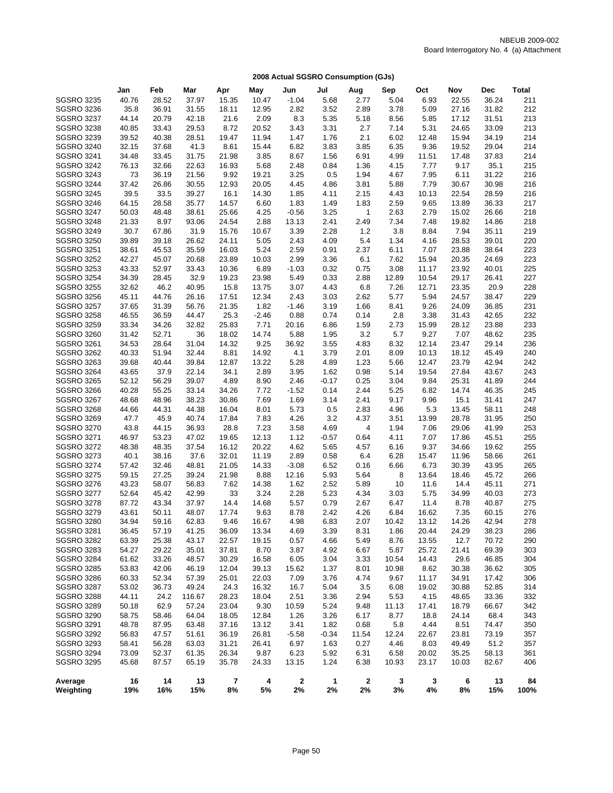|                                        | Jan           | Feb            | Mar           | Apr            | May            | Jun          | Jul          | Aug          | Sep          | Oct           | Nov            | Dec            | <b>Total</b> |
|----------------------------------------|---------------|----------------|---------------|----------------|----------------|--------------|--------------|--------------|--------------|---------------|----------------|----------------|--------------|
| <b>SGSRO 3235</b>                      | 40.76         | 28.52          | 37.97         | 15.35          | 10.47          | $-1.04$      | 5.68         | 2.77         | 5.04         | 6.93          | 22.55          | 36.24          | 211          |
| <b>SGSRO 3236</b>                      | 35.8          | 36.91          | 31.55         | 18.11          | 12.95          | 2.82         | 3.52         | 2.89         | 3.78         | 5.09          | 27.16          | 31.82          | 212          |
| <b>SGSRO 3237</b>                      | 44.14         | 20.79          | 42.18         | 21.6           | 2.09           | 8.3          | 5.35         | 5.18         | 8.56         | 5.85          | 17.12          | 31.51          | 213          |
| <b>SGSRO 3238</b>                      | 40.85         | 33.43          | 29.53         | 8.72           | 20.52          | 3.43         | 3.31         | 2.7          | 7.14         | 5.31          | 24.65          | 33.09          | 213          |
| <b>SGSRO 3239</b>                      | 39.52         | 40.38          | 28.51         | 19.47          | 11.94          | 1.47         | 1.76         | 2.1          | 6.02         | 12.48         | 15.94          | 34.19          | 214          |
| <b>SGSRO 3240</b>                      | 32.15         | 37.68          | 41.3          | 8.61           | 15.44          | 6.82         | 3.83         | 3.85         | 6.35         | 9.36          | 19.52          | 29.04          | 214          |
| <b>SGSRO 3241</b>                      | 34.48         | 33.45          | 31.75         | 21.98          | 3.85           | 8.67         | 1.56         | 6.91         | 4.99         | 11.51         | 17.48          | 37.83          | 214          |
| <b>SGSRO 3242</b>                      | 76.13         | 32.66          | 22.63         | 16.93          | 5.68           | 2.48         | 0.84         | 1.36         | 4.15         | 7.77          | 9.17           | 35.1           | 215          |
| <b>SGSRO 3243</b>                      | 73            | 36.19          | 21.56         | 9.92           | 19.21          | 3.25         | 0.5          | 1.94         | 4.67         | 7.95          | 6.11           | 31.22          | 216          |
| <b>SGSRO 3244</b>                      | 37.42         | 26.86          | 30.55         | 12.93          | 20.05          | 4.45         | 4.86         | 3.81         | 5.88         | 7.79          | 30.67          | 30.98          | 216          |
| <b>SGSRO 3245</b>                      | 39.5          | 33.5           | 39.27         | 16.1           | 14.30          | 1.85         | 4.11         | 2.15         | 4.43         | 10.13         | 22.54          | 28.59          | 216          |
| <b>SGSRO 3246</b>                      | 64.15         | 28.58          | 35.77         | 14.57          | 6.60           | 1.83         | 1.49         | 1.83         | 2.59         | 9.65          | 13.89          | 36.33          | 217          |
| <b>SGSRO 3247</b>                      | 50.03         | 48.48          | 38.61         | 25.66          | 4.25           | $-0.56$      | 3.25         | $\mathbf{1}$ | 2.63         | 2.79          | 15.02          | 26.66          | 218          |
| <b>SGSRO 3248</b>                      | 21.33         | 8.97           | 93.06         | 24.54          | 2.88           | 13.13        | 2.41         | 2.49         | 7.34         | 7.48          | 19.82          | 14.86          | 218          |
| <b>SGSRO 3249</b>                      | 30.7          | 67.86          | 31.9          | 15.76          | 10.67          | 3.39         | 2.28         | $1.2$        | 3.8          | 8.84          | 7.94           | 35.11          | 219          |
| <b>SGSRO 3250</b>                      | 39.89         | 39.18          | 26.62         | 24.11          | 5.05           | 2.43         | 4.09         | 5.4          | 1.34         | 4.16          | 28.53          | 39.01          | 220          |
| <b>SGSRO 3251</b>                      | 38.61         | 45.53          | 35.59         | 16.03          | 5.24           | 2.59         | 0.91         | 2.37         | 6.11         | 7.07          | 23.88          | 38.64          | 223          |
| <b>SGSRO 3252</b>                      | 42.27         | 45.07          | 20.68         | 23.89          | 10.03          | 2.99         | 3.36         | 6.1          | 7.62         | 15.94         | 20.35          | 24.69          | 223          |
| <b>SGSRO 3253</b>                      | 43.33         | 52.97          | 33.43         | 10.36          | 6.89           | $-1.03$      | 0.32         | 0.75         | 3.08         | 11.17         | 23.92          | 40.01          | 225          |
| <b>SGSRO 3254</b>                      | 34.39         | 28.45          | 32.9          | 19.23          | 23.98          | 5.49         | 0.33         | 2.88         | 12.89        | 10.54         | 29.17          | 26.41          | 227          |
| <b>SGSRO 3255</b>                      | 32.62         | 46.2           | 40.95         | 15.8           | 13.75          | 3.07         | 4.43         | 6.8          | 7.26         | 12.71         | 23.35          | 20.9           | 228          |
| <b>SGSRO 3256</b>                      | 45.11         | 44.76          | 26.16         | 17.51          | 12.34          | 2.43         | 3.03         | 2.62         | 5.77         | 5.94          | 24.57          | 38.47          | 229          |
| <b>SGSRO 3257</b>                      | 37.65         | 31.39          | 56.76         | 21.35          | 1.82           | $-1.46$      | 3.19         | 1.66         | 8.41         | 9.26          | 24.09          | 36.85          | 231          |
| <b>SGSRO 3258</b>                      | 46.55         | 36.59          | 44.47         | 25.3           | $-2.46$        | 0.88         | 0.74         | 0.14         | 2.8          | 3.38          | 31.43          | 42.65          | 232          |
| <b>SGSRO 3259</b>                      | 33.34         | 34.26          | 32.82         | 25.83          | 7.71           | 20.16        | 6.86         | 1.59         | 2.73         | 15.99         | 28.12          | 23.88          | 233          |
| <b>SGSRO 3260</b>                      | 31.42         | 52.71          | 36            | 18.02          | 14.74          | 5.88         | 1.95         | 3.2          | 5.7          | 9.27          | 7.07           | 48.62          | 235          |
| <b>SGSRO 3261</b>                      | 34.53         | 28.64          | 31.04         | 14.32          | 9.25           | 36.92        | 3.55         | 4.83         | 8.32         | 12.14         | 23.47          | 29.14          | 236          |
| <b>SGSRO 3262</b>                      | 40.33         | 51.94          | 32.44         | 8.81           | 14.92          | 4.1          | 3.79         | 2.01         | 8.09         | 10.13         | 18.12          | 45.49          | 240          |
| <b>SGSRO 3263</b>                      | 39.68         | 40.44          | 39.84         | 12.87          | 13.22          | 5.28         | 4.89         | 1.23         | 5.66         | 12.47         | 23.79          | 42.94          | 242          |
| <b>SGSRO 3264</b>                      | 43.65         | 37.9           | 22.14         | 34.1           | 2.89           | 3.95         | 1.62         | 0.98         | 5.14         | 19.54         | 27.84          | 43.67          | 243          |
| <b>SGSRO 3265</b>                      | 52.12         | 56.29          | 39.07         | 4.89           | 8.90           | 2.46         | $-0.17$      | 0.25         | 3.04         | 9.84          | 25.31          | 41.89          | 244          |
| <b>SGSRO 3266</b>                      | 40.28         | 55.25          | 33.14         | 34.26          | 7.72           | $-1.52$      | 0.14         | 2.44         | 5.25         | 6.82          | 14.74          | 46.35          | 245          |
| <b>SGSRO 3267</b>                      | 48.68         | 48.96          | 38.23         | 30.86          | 7.69           | 1.69         | 3.14         | 2.41         | 9.17         | 9.96          | 15.1           | 31.41          | 247          |
| <b>SGSRO 3268</b>                      | 44.66         | 44.31          | 44.38         | 16.04          | 8.01           | 5.73         | 0.5          | 2.83         | 4.96         | 5.3           | 13.45          | 58.11          | 248          |
| <b>SGSRO 3269</b>                      | 47.7          | 45.9           | 40.74         | 17.84          | 7.83           | 4.26         | 3.2          | 4.37         | 3.51         | 13.99         | 28.78          | 31.95          | 250          |
| <b>SGSRO 3270</b>                      | 43.8          | 44.15          | 36.93         | 28.8           | 7.23           | 3.58         | 4.69         | 4            | 1.94         | 7.06          | 29.06          | 41.99          | 253          |
| <b>SGSRO 3271</b>                      | 46.97         | 53.23          | 47.02         | 19.65          | 12.13          | 1.12         | $-0.57$      | 0.64         | 4.11         | 7.07          | 17.86          | 45.51          | 255          |
| <b>SGSRO 3272</b>                      | 48.38<br>40.1 | 48.35<br>38.16 | 37.54         | 16.12          | 20.22          | 4.62<br>2.89 | 5.65<br>0.58 | 4.57         | 6.16         | 9.37          | 34.66          | 19.62          | 255<br>261   |
| <b>SGSRO 3273</b><br><b>SGSRO 3274</b> | 57.42         | 32.46          | 37.6<br>48.81 | 32.01<br>21.05 | 11.19<br>14.33 | $-3.08$      | 6.52         | 6.4<br>0.16  | 6.28<br>6.66 | 15.47<br>6.73 | 11.96<br>30.39 | 58.66<br>43.95 | 265          |
| <b>SGSRO 3275</b>                      | 59.15         | 27.25          | 39.24         | 21.98          | 8.88           | 12.16        | 5.93         | 5.64         | 8            | 13.64         | 18.46          | 45.72          | 266          |
| <b>SGSRO 3276</b>                      | 43.23         | 58.07          | 56.83         | 7.62           | 14.38          | 1.62         | 2.52         | 5.89         | 10           | 11.6          | 14.4           | 45.11          | 271          |
| <b>SGSRO 3277</b>                      | 52.64         | 45.42          | 42.99         | 33             | 3.24           | 2.28         | 5.23         | 4.34         | 3.03         | 5.75          | 34.99          | 40.03          | 273          |
| <b>SGSRO 3278</b>                      | 87.72         | 43.34          | 37.97         | 14.4           | 14.68          | 5.57         | 0.79         | 2.67         | 6.47         | 11.4          | 8.78           | 40.87          | 275          |
| <b>SGSRO 3279</b>                      | 43.61         | 50.11          | 48.07         | 17.74          | 9.63           | 8.78         | 2.42         | 4.26         | 6.84         | 16.62         | 7.35           | 60.15          | 276          |
| <b>SGSRO 3280</b>                      | 34.94         | 59.16          | 62.83         | 9.46           | 16.67          | 4.98         | 6.83         | 2.07         | 10.42        | 13.12         | 14.26          | 42.94          | 278          |
| <b>SGSRO 3281</b>                      | 36.45         | 57.19          | 41.25         | 36.09          | 13.34          | 4.69         | 3.39         | 8.31         | 1.86         | 20.44         | 24.29          | 38.23          | 286          |
| <b>SGSRO 3282</b>                      | 63.39         | 25.38          | 43.17         | 22.57          | 19.15          | 0.57         | 4.66         | 5.49         | 8.76         | 13.55         | 12.7           | 70.72          | 290          |
| <b>SGSRO 3283</b>                      | 54.27         | 29.22          | 35.01         | 37.81          | 8.70           | 3.87         | 4.92         | 6.67         | 5.87         | 25.72         | 21.41          | 69.39          | 303          |
| <b>SGSRO 3284</b>                      | 61.62         | 33.26          | 48.57         | 30.29          | 16.58          | 6.05         | 3.04         | 3.33         | 10.54        | 14.43         | 29.6           | 46.85          | 304          |
| <b>SGSRO 3285</b>                      | 53.83         | 42.06          | 46.19         | 12.04          | 39.13          | 15.62        | 1.37         | 8.01         | 10.98        | 8.62          | 30.38          | 36.62          | 305          |
| <b>SGSRO 3286</b>                      | 60.33         | 52.34          | 57.39         | 25.01          | 22.03          | 7.09         | 3.76         | 4.74         | 9.67         | 11.17         | 34.91          | 17.42          | 306          |
| <b>SGSRO 3287</b>                      | 53.02         | 36.73          | 49.24         | 24.3           | 16.32          | 16.7         | 5.04         | 3.5          | 6.08         | 19.02         | 30.88          | 52.85          | 314          |
| <b>SGSRO 3288</b>                      | 44.11         | 24.2           | 116.67        | 28.23          | 18.04          | 2.51         | 3.36         | 2.94         | 5.53         | 4.15          | 48.65          | 33.36          | 332          |
| <b>SGSRO 3289</b>                      | 50.18         | 62.9           | 57.24         | 23.04          | 9.30           | 10.59        | 5.24         | 9.48         | 11.13        | 17.41         | 18.79          | 66.67          | 342          |
| <b>SGSRO 3290</b>                      | 58.75         | 58.46          | 64.04         | 18.05          | 12.84          | 1.26         | 3.26         | 6.17         | 8.77         | 18.8          | 24.14          | 68.4           | 343          |
| SGSRO 3291                             | 48.78         | 87.95          | 63.48         | 37.16          | 13.12          | 3.41         | 1.82         | 0.68         | 5.8          | 4.44          | 8.51           | 74.47          | 350          |
| SGSRO 3292                             | 56.83         | 47.57          | 51.61         | 36.19          | 26.81          | $-5.58$      | $-0.34$      | 11.54        | 12.24        | 22.67         | 23.81          | 73.19          | 357          |
| <b>SGSRO 3293</b>                      | 58.41         | 56.28          | 63.03         | 31.21          | 26.41          | 6.97         | 1.63         | 0.27         | 4.46         | 8.03          | 49.49          | 51.2           | 357          |
| <b>SGSRO 3294</b>                      | 73.09         | 52.37          | 61.35         | 26.34          | 9.87           | 6.23         | 5.92         | 6.31         | 6.58         | 20.02         | 35.25          | 58.13          | 361          |
| <b>SGSRO 3295</b>                      | 45.68         | 87.57          | 65.19         | 35.78          | 24.33          | 13.15        | 1.24         | 6.38         | 10.93        | 23.17         | 10.03          | 82.67          | 406          |
| Average<br>Weighting                   | 16<br>19%     | 14<br>16%      | 13<br>15%     | 7<br>8%        | 4<br>5%        | 2<br>2%      | 1<br>2%      | 2<br>2%      | 3<br>3%      | 3<br>4%       | 6<br>8%        | 13<br>15%      | 84<br>100%   |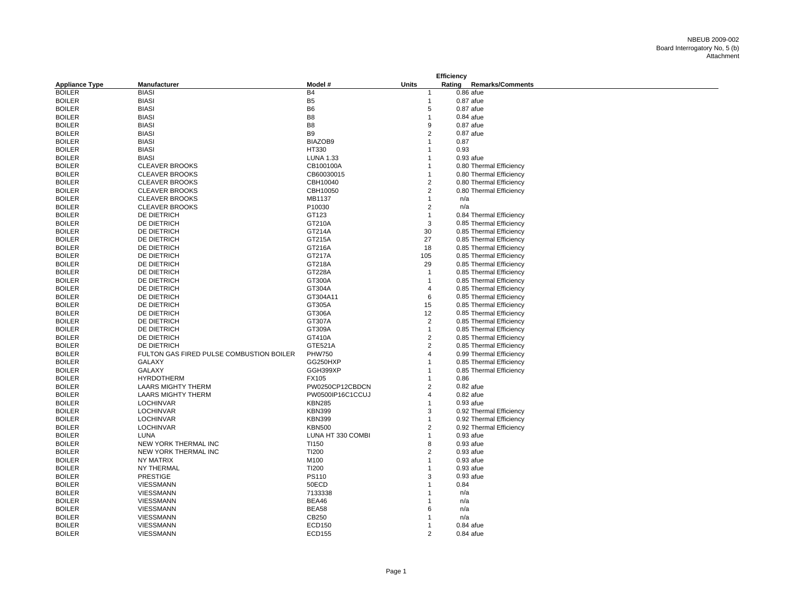|                       |                                          |                   |                | <b>Efficiency</b> |             |                         |
|-----------------------|------------------------------------------|-------------------|----------------|-------------------|-------------|-------------------------|
| <b>Appliance Type</b> | <b>Manufacturer</b>                      | Model #           | <b>Units</b>   | Rating            |             | <b>Remarks/Comments</b> |
| <b>BOILER</b>         | <b>BIASI</b>                             | <b>B4</b>         |                |                   | $0.86$ afue |                         |
| <b>BOILER</b>         | <b>BIASI</b>                             | B <sub>5</sub>    | $\mathbf{1}$   |                   | $0.87$ afue |                         |
| <b>BOILER</b>         | <b>BIASI</b>                             | B <sub>6</sub>    | 5              |                   | $0.87$ afue |                         |
| <b>BOILER</b>         | <b>BIASI</b>                             | B <sub>8</sub>    | $\mathbf{1}$   |                   | $0.84$ afue |                         |
| <b>BOILER</b>         | <b>BIASI</b>                             | B <sub>8</sub>    | 9              |                   | $0.87$ afue |                         |
| <b>BOILER</b>         | <b>BIASI</b>                             | B <sub>9</sub>    | 2              |                   | $0.87$ afue |                         |
| <b>BOILER</b>         | <b>BIASI</b>                             | BIAZOB9           |                |                   | 0.87        |                         |
| <b>BOILER</b>         | <b>BIASI</b>                             | HT330             |                |                   | 0.93        |                         |
| <b>BOILER</b>         | <b>BIASI</b>                             | <b>LUNA 1.33</b>  |                |                   | $0.93$ afue |                         |
| <b>BOILER</b>         | <b>CLEAVER BROOKS</b>                    | CB100100A         |                |                   |             | 0.80 Thermal Efficiency |
| <b>BOILER</b>         | <b>CLEAVER BROOKS</b>                    | CB60030015        |                |                   |             | 0.80 Thermal Efficiency |
| <b>BOILER</b>         | <b>CLEAVER BROOKS</b>                    | CBH10040          | 2              |                   |             | 0.80 Thermal Efficiency |
| <b>BOILER</b>         | <b>CLEAVER BROOKS</b>                    | CBH10050          | 2              |                   |             | 0.80 Thermal Efficiency |
| <b>BOILER</b>         | <b>CLEAVER BROOKS</b>                    | MB1137            | $\mathbf 1$    |                   | n/a         |                         |
| <b>BOILER</b>         | <b>CLEAVER BROOKS</b>                    | P10030            | $\overline{2}$ |                   | n/a         |                         |
| <b>BOILER</b>         | DE DIETRICH                              | GT123             | $\mathbf{1}$   |                   |             | 0.84 Thermal Efficiency |
| <b>BOILER</b>         | DE DIETRICH                              | GT210A            | 3              |                   |             | 0.85 Thermal Efficiency |
| <b>BOILER</b>         | DE DIETRICH                              | GT214A            | 30             |                   |             | 0.85 Thermal Efficiency |
| <b>BOILER</b>         | DE DIETRICH                              | GT215A            | 27             |                   |             | 0.85 Thermal Efficiency |
| <b>BOILER</b>         | DE DIETRICH                              | GT216A            | 18             |                   |             | 0.85 Thermal Efficiency |
| <b>BOILER</b>         | DE DIETRICH                              | GT217A            | 105            |                   |             | 0.85 Thermal Efficiency |
| <b>BOILER</b>         | DE DIETRICH                              | GT218A            | 29             |                   |             | 0.85 Thermal Efficiency |
| <b>BOILER</b>         | DE DIETRICH                              | GT228A            | $\overline{1}$ |                   |             | 0.85 Thermal Efficiency |
| <b>BOILER</b>         | <b>DE DIETRICH</b>                       | GT300A            | $\mathbf 1$    |                   |             | 0.85 Thermal Efficiency |
| <b>BOILER</b>         | DE DIETRICH                              | GT304A            | $\overline{4}$ |                   |             | 0.85 Thermal Efficiency |
| <b>BOILER</b>         | DE DIETRICH                              | GT304A11          | 6              |                   |             | 0.85 Thermal Efficiency |
| <b>BOILER</b>         | DE DIETRICH                              | GT305A            | 15             |                   |             | 0.85 Thermal Efficiency |
| <b>BOILER</b>         | DE DIETRICH                              | GT306A            | 12             |                   |             | 0.85 Thermal Efficiency |
| <b>BOILER</b>         | DE DIETRICH                              | GT307A            | $\overline{2}$ |                   |             | 0.85 Thermal Efficiency |
| <b>BOILER</b>         | DE DIETRICH                              | GT309A            | $\mathbf{1}$   |                   |             | 0.85 Thermal Efficiency |
| <b>BOILER</b>         | DE DIETRICH                              | GT410A            | $\overline{2}$ |                   |             | 0.85 Thermal Efficiency |
| <b>BOILER</b>         | <b>DE DIETRICH</b>                       | GTE521A           | 2              |                   |             | 0.85 Thermal Efficiency |
| <b>BOILER</b>         | FULTON GAS FIRED PULSE COMBUSTION BOILER | <b>PHW750</b>     | $\overline{4}$ |                   |             | 0.99 Thermal Efficiency |
| <b>BOILER</b>         | <b>GALAXY</b>                            | GG250HXP          |                |                   |             | 0.85 Thermal Efficiency |
| <b>BOILER</b>         | <b>GALAXY</b>                            | GGH399XP          |                |                   |             | 0.85 Thermal Efficiency |
| <b>BOILER</b>         | <b>HYRDOTHERM</b>                        | FX105             |                |                   | 0.86        |                         |
| <b>BOILER</b>         | <b>LAARS MIGHTY THERM</b>                | PW0250CP12CBDCN   | 2              |                   | $0.82$ afue |                         |
| <b>BOILER</b>         | <b>LAARS MIGHTY THERM</b>                | PW0500IP16C1CCUJ  | Δ              |                   | $0.82$ afue |                         |
| <b>BOILER</b>         | <b>LOCHINVAR</b>                         | <b>KBN285</b>     |                |                   | $0.93$ afue |                         |
| <b>BOILER</b>         | <b>LOCHINVAR</b>                         | <b>KBN399</b>     | 3              |                   |             | 0.92 Thermal Efficiency |
| <b>BOILER</b>         | <b>LOCHINVAR</b>                         | <b>KBN399</b>     |                |                   |             | 0.92 Thermal Efficiency |
| <b>BOILER</b>         | <b>LOCHINVAR</b>                         | <b>KBN500</b>     | 2              |                   |             | 0.92 Thermal Efficiency |
| <b>BOILER</b>         | <b>LUNA</b>                              | LUNA HT 330 COMBI | $\mathbf{1}$   |                   | $0.93$ afue |                         |
| <b>BOILER</b>         | NEW YORK THERMAL INC                     | TI150             | 8              |                   | $0.93$ afue |                         |
| <b>BOILER</b>         | NEW YORK THERMAL INC                     | TI200             | $\overline{2}$ |                   | $0.93$ afue |                         |
| <b>BOILER</b>         | <b>NY MATRIX</b>                         | M100              |                |                   | $0.93$ afue |                         |
| <b>BOILER</b>         | NY THERMAL                               | TI200             |                |                   | $0.93$ afue |                         |
| <b>BOILER</b>         | <b>PRESTIGE</b>                          | PS110             | 3              |                   | $0.93$ afue |                         |
| <b>BOILER</b>         | <b>VIESSMANN</b>                         | 50ECD             |                |                   | 0.84        |                         |
| <b>BOILER</b>         | <b>VIESSMANN</b>                         | 7133338           |                |                   | n/a         |                         |
| <b>BOILER</b>         | VIESSMANN                                | BEA46             |                |                   | n/a         |                         |
| <b>BOILER</b>         | <b>VIESSMANN</b>                         | BEA58             | 6              |                   | n/a         |                         |
| <b>BOILER</b>         | <b>VIESSMANN</b>                         | CB250             |                |                   | n/a         |                         |
| <b>BOILER</b>         | <b>VIESSMANN</b>                         | ECD150            |                |                   | $0.84$ afue |                         |
| <b>BOILER</b>         | <b>VIESSMANN</b>                         | ECD155            | 2              |                   | $0.84$ afue |                         |
|                       |                                          |                   |                |                   |             |                         |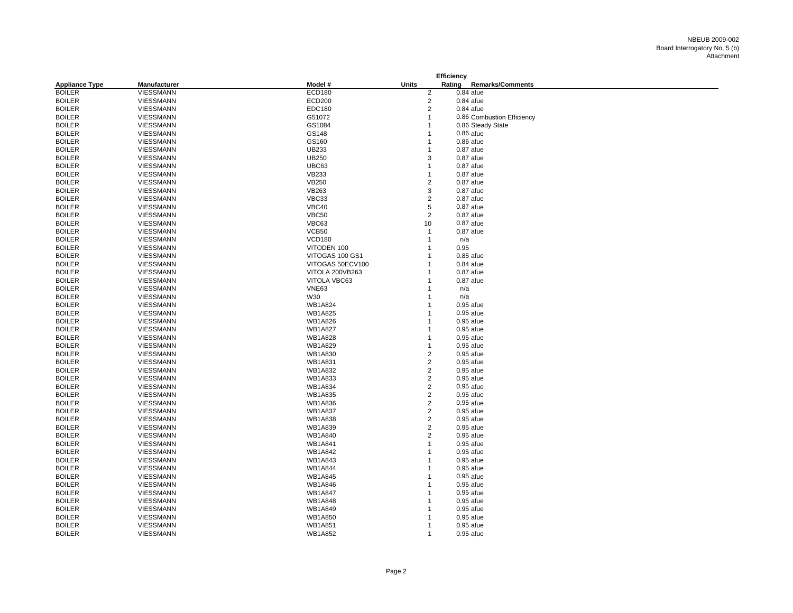| Rating<br><b>Remarks/Comments</b><br><b>Appliance Type</b><br>Manufacturer<br>Model #<br><b>Units</b><br><b>BOILER</b><br><b>VIESSMANN</b><br><b>ECD180</b><br>2<br>$0.84$ afue<br>$\overline{2}$<br><b>BOILER</b><br>VIESSMANN<br><b>ECD200</b><br>$0.84$ afue<br>$\overline{2}$<br>$0.84$ afue<br><b>BOILER</b><br><b>VIESSMANN</b><br>EDC180<br><b>BOILER</b><br>VIESSMANN<br>G51072<br>$\overline{1}$<br>0.86 Combustion Efficiency<br>GS1084<br><b>BOILER</b><br>VIESSMANN<br>$\overline{1}$<br>0.86 Steady State<br>GS148<br><b>BOILER</b><br>VIESSMANN<br>$0.86$ afue<br>$\mathbf{1}$<br>$0.86$ afue<br><b>BOILER</b><br>VIESSMANN<br>GS160<br>1<br><b>BOILER</b><br><b>UB233</b><br>$0.87$ afue<br>VIESSMANN<br>$\mathbf{1}$<br><b>UB250</b><br><b>BOILER</b><br>VIESSMANN<br>3<br>$0.87$ afue<br>UBC63<br><b>BOILER</b><br>VIESSMANN<br>$\overline{1}$<br>$0.87$ afue<br><b>BOILER</b><br>VIESSMANN<br><b>VB233</b><br>$0.87$ afue<br>$\mathbf{1}$<br><b>VB250</b><br>$\overline{2}$<br><b>BOILER</b><br>VIESSMANN<br>0.87 afue<br>3<br><b>BOILER</b><br><b>VB263</b><br><b>VIESSMANN</b><br>0.87 afue<br><b>BOILER</b><br>VIESSMANN<br>VBC33<br>2<br>$0.87$ afue<br><b>BOILER</b><br>VIESSMANN<br>VBC40<br>5<br>$0.87$ afue<br>$\overline{2}$<br><b>BOILER</b><br><b>VBC50</b><br>$0.87$ afue<br>VIESSMANN<br>VBC63<br><b>BOILER</b><br>VIESSMANN<br>10<br>0.87 afue<br>VCB50<br><b>BOILER</b><br>VIESSMANN<br>$0.87$ afue<br>$\mathbf{1}$<br><b>VCD180</b><br>n/a<br><b>BOILER</b><br>VIESSMANN<br>$\overline{1}$<br>VITODEN 100<br>0.95<br><b>BOILER</b><br>VIESSMANN<br>$\mathbf{1}$<br><b>BOILER</b><br>VITOGAS 100 GS1<br>0.85 afue<br>VIESSMANN<br>$\mathbf 1$<br><b>BOILER</b><br>VITOGAS 50ECV100<br>$0.84$ afue<br>VIESSMANN<br>$\overline{1}$<br><b>BOILER</b><br>VIESSMANN<br>VITOLA 200VB263<br>$0.87$ afue<br>1<br><b>BOILER</b><br>VIESSMANN<br>VITOLA VBC63<br>$0.87$ afue<br>$\overline{1}$<br><b>BOILER</b><br>VIESSMANN<br><b>VNE63</b><br>$\mathbf{1}$<br>n/a<br><b>BOILER</b><br>W30<br>VIESSMANN<br>n/a<br>1<br><b>WB1A824</b><br><b>BOILER</b><br>VIESSMANN<br>$0.95$ afue<br>1<br><b>BOILER</b><br>VIESSMANN<br><b>WB1A825</b><br>0.95 afue<br>$\mathbf 1$<br><b>WB1A826</b><br><b>BOILER</b><br>VIESSMANN<br>0.95 afue<br>1<br><b>VIESSMANN</b><br><b>WB1A827</b><br><b>BOILER</b><br>0.95 afue<br>1<br><b>BOILER</b><br>VIESSMANN<br><b>WB1A828</b><br>0.95 afue<br>$\mathbf{1}$<br><b>BOILER</b><br>VIESSMANN<br><b>WB1A829</b><br>$\overline{1}$<br>0.95 afue<br><b>BOILER</b><br>VIESSMANN<br><b>WB1A830</b><br>$\overline{c}$<br>0.95 afue<br>$\overline{2}$<br><b>BOILER</b><br>VIESSMANN<br><b>WB1A831</b><br>0.95 afue<br>$\overline{2}$<br><b>BOILER</b><br>VIESSMANN<br><b>WB1A832</b><br>0.95 afue<br>$\overline{2}$<br><b>BOILER</b><br>VIESSMANN<br><b>WB1A833</b><br>0.95 afue<br>$\overline{\mathbf{c}}$<br><b>WB1A834</b><br><b>BOILER</b><br>VIESSMANN<br>0.95 afue<br>$\overline{2}$<br><b>BOILER</b><br><b>WB1A835</b><br>VIESSMANN<br>0.95 afue<br>$\overline{2}$<br>VIESSMANN<br><b>WB1A836</b><br>0.95 afue<br><b>BOILER</b><br>$\overline{2}$<br><b>BOILER</b><br>VIESSMANN<br><b>WB1A837</b><br>$0.95$ afue<br>$\overline{2}$<br><b>BOILER</b><br>VIESSMANN<br><b>WB1A838</b><br>0.95 afue<br>$\overline{2}$<br><b>BOILER</b><br>VIESSMANN<br><b>WB1A839</b><br>0.95 afue<br><b>WB1A840</b><br>$\overline{2}$<br><b>BOILER</b><br>VIESSMANN<br>0.95 afue<br><b>WB1A841</b><br>$0.95$ afue<br><b>BOILER</b><br>VIESSMANN<br>$\overline{1}$<br><b>WB1A842</b><br><b>BOILER</b><br>VIESSMANN<br>$\overline{1}$<br>0.95 afue<br><b>BOILER</b><br>VIESSMANN<br><b>WB1A843</b><br>0.95 afue<br>1<br><b>BOILER</b><br>VIESSMANN<br><b>WB1A844</b><br>0.95 afue<br>$\overline{1}$<br><b>BOILER</b><br>VIESSMANN<br><b>WB1A845</b><br>0.95 afue<br>$\mathbf{1}$<br><b>BOILER</b><br>VIESSMANN<br><b>WB1A846</b><br>0.95 afue<br>1<br><b>WB1A847</b><br><b>BOILER</b><br>VIESSMANN<br>0.95 afue<br>1<br><b>BOILER</b><br>VIESSMANN<br><b>WB1A848</b><br>0.95 afue<br>$\mathbf 1$<br><b>BOILER</b><br>VIESSMANN<br><b>WB1A849</b><br>0.95 afue<br>1<br><b>BOILER</b><br><b>VIESSMANN</b><br><b>WB1A850</b><br>$0.95$ afue<br>$\mathbf 1$<br><b>WB1A851</b><br><b>BOILER</b><br><b>VIESSMANN</b><br>0.95 afue<br>$\mathbf 1$<br><b>BOILER</b><br><b>WB1A852</b><br>VIESSMANN<br>$\mathbf{1}$<br>0.95 afue |  |  | <b>Efficiency</b> |  |
|---------------------------------------------------------------------------------------------------------------------------------------------------------------------------------------------------------------------------------------------------------------------------------------------------------------------------------------------------------------------------------------------------------------------------------------------------------------------------------------------------------------------------------------------------------------------------------------------------------------------------------------------------------------------------------------------------------------------------------------------------------------------------------------------------------------------------------------------------------------------------------------------------------------------------------------------------------------------------------------------------------------------------------------------------------------------------------------------------------------------------------------------------------------------------------------------------------------------------------------------------------------------------------------------------------------------------------------------------------------------------------------------------------------------------------------------------------------------------------------------------------------------------------------------------------------------------------------------------------------------------------------------------------------------------------------------------------------------------------------------------------------------------------------------------------------------------------------------------------------------------------------------------------------------------------------------------------------------------------------------------------------------------------------------------------------------------------------------------------------------------------------------------------------------------------------------------------------------------------------------------------------------------------------------------------------------------------------------------------------------------------------------------------------------------------------------------------------------------------------------------------------------------------------------------------------------------------------------------------------------------------------------------------------------------------------------------------------------------------------------------------------------------------------------------------------------------------------------------------------------------------------------------------------------------------------------------------------------------------------------------------------------------------------------------------------------------------------------------------------------------------------------------------------------------------------------------------------------------------------------------------------------------------------------------------------------------------------------------------------------------------------------------------------------------------------------------------------------------------------------------------------------------------------------------------------------------------------------------------------------------------------------------------------------------------------------------------------------------------------------------------------------------------------------------------------------------------------------------------------------------------------------------------------------------------------------------------------------------------------------------------------------------------------------------------------------------------------------------------------------------------------------------------------------------------------------------------------------------------------------------------------------------------------------------------------------------------------------------------|--|--|-------------------|--|
|                                                                                                                                                                                                                                                                                                                                                                                                                                                                                                                                                                                                                                                                                                                                                                                                                                                                                                                                                                                                                                                                                                                                                                                                                                                                                                                                                                                                                                                                                                                                                                                                                                                                                                                                                                                                                                                                                                                                                                                                                                                                                                                                                                                                                                                                                                                                                                                                                                                                                                                                                                                                                                                                                                                                                                                                                                                                                                                                                                                                                                                                                                                                                                                                                                                                                                                                                                                                                                                                                                                                                                                                                                                                                                                                                                                                                                                                                                                                                                                                                                                                                                                                                                                                                                                                                                                                                         |  |  |                   |  |
|                                                                                                                                                                                                                                                                                                                                                                                                                                                                                                                                                                                                                                                                                                                                                                                                                                                                                                                                                                                                                                                                                                                                                                                                                                                                                                                                                                                                                                                                                                                                                                                                                                                                                                                                                                                                                                                                                                                                                                                                                                                                                                                                                                                                                                                                                                                                                                                                                                                                                                                                                                                                                                                                                                                                                                                                                                                                                                                                                                                                                                                                                                                                                                                                                                                                                                                                                                                                                                                                                                                                                                                                                                                                                                                                                                                                                                                                                                                                                                                                                                                                                                                                                                                                                                                                                                                                                         |  |  |                   |  |
|                                                                                                                                                                                                                                                                                                                                                                                                                                                                                                                                                                                                                                                                                                                                                                                                                                                                                                                                                                                                                                                                                                                                                                                                                                                                                                                                                                                                                                                                                                                                                                                                                                                                                                                                                                                                                                                                                                                                                                                                                                                                                                                                                                                                                                                                                                                                                                                                                                                                                                                                                                                                                                                                                                                                                                                                                                                                                                                                                                                                                                                                                                                                                                                                                                                                                                                                                                                                                                                                                                                                                                                                                                                                                                                                                                                                                                                                                                                                                                                                                                                                                                                                                                                                                                                                                                                                                         |  |  |                   |  |
|                                                                                                                                                                                                                                                                                                                                                                                                                                                                                                                                                                                                                                                                                                                                                                                                                                                                                                                                                                                                                                                                                                                                                                                                                                                                                                                                                                                                                                                                                                                                                                                                                                                                                                                                                                                                                                                                                                                                                                                                                                                                                                                                                                                                                                                                                                                                                                                                                                                                                                                                                                                                                                                                                                                                                                                                                                                                                                                                                                                                                                                                                                                                                                                                                                                                                                                                                                                                                                                                                                                                                                                                                                                                                                                                                                                                                                                                                                                                                                                                                                                                                                                                                                                                                                                                                                                                                         |  |  |                   |  |
|                                                                                                                                                                                                                                                                                                                                                                                                                                                                                                                                                                                                                                                                                                                                                                                                                                                                                                                                                                                                                                                                                                                                                                                                                                                                                                                                                                                                                                                                                                                                                                                                                                                                                                                                                                                                                                                                                                                                                                                                                                                                                                                                                                                                                                                                                                                                                                                                                                                                                                                                                                                                                                                                                                                                                                                                                                                                                                                                                                                                                                                                                                                                                                                                                                                                                                                                                                                                                                                                                                                                                                                                                                                                                                                                                                                                                                                                                                                                                                                                                                                                                                                                                                                                                                                                                                                                                         |  |  |                   |  |
|                                                                                                                                                                                                                                                                                                                                                                                                                                                                                                                                                                                                                                                                                                                                                                                                                                                                                                                                                                                                                                                                                                                                                                                                                                                                                                                                                                                                                                                                                                                                                                                                                                                                                                                                                                                                                                                                                                                                                                                                                                                                                                                                                                                                                                                                                                                                                                                                                                                                                                                                                                                                                                                                                                                                                                                                                                                                                                                                                                                                                                                                                                                                                                                                                                                                                                                                                                                                                                                                                                                                                                                                                                                                                                                                                                                                                                                                                                                                                                                                                                                                                                                                                                                                                                                                                                                                                         |  |  |                   |  |
|                                                                                                                                                                                                                                                                                                                                                                                                                                                                                                                                                                                                                                                                                                                                                                                                                                                                                                                                                                                                                                                                                                                                                                                                                                                                                                                                                                                                                                                                                                                                                                                                                                                                                                                                                                                                                                                                                                                                                                                                                                                                                                                                                                                                                                                                                                                                                                                                                                                                                                                                                                                                                                                                                                                                                                                                                                                                                                                                                                                                                                                                                                                                                                                                                                                                                                                                                                                                                                                                                                                                                                                                                                                                                                                                                                                                                                                                                                                                                                                                                                                                                                                                                                                                                                                                                                                                                         |  |  |                   |  |
|                                                                                                                                                                                                                                                                                                                                                                                                                                                                                                                                                                                                                                                                                                                                                                                                                                                                                                                                                                                                                                                                                                                                                                                                                                                                                                                                                                                                                                                                                                                                                                                                                                                                                                                                                                                                                                                                                                                                                                                                                                                                                                                                                                                                                                                                                                                                                                                                                                                                                                                                                                                                                                                                                                                                                                                                                                                                                                                                                                                                                                                                                                                                                                                                                                                                                                                                                                                                                                                                                                                                                                                                                                                                                                                                                                                                                                                                                                                                                                                                                                                                                                                                                                                                                                                                                                                                                         |  |  |                   |  |
|                                                                                                                                                                                                                                                                                                                                                                                                                                                                                                                                                                                                                                                                                                                                                                                                                                                                                                                                                                                                                                                                                                                                                                                                                                                                                                                                                                                                                                                                                                                                                                                                                                                                                                                                                                                                                                                                                                                                                                                                                                                                                                                                                                                                                                                                                                                                                                                                                                                                                                                                                                                                                                                                                                                                                                                                                                                                                                                                                                                                                                                                                                                                                                                                                                                                                                                                                                                                                                                                                                                                                                                                                                                                                                                                                                                                                                                                                                                                                                                                                                                                                                                                                                                                                                                                                                                                                         |  |  |                   |  |
|                                                                                                                                                                                                                                                                                                                                                                                                                                                                                                                                                                                                                                                                                                                                                                                                                                                                                                                                                                                                                                                                                                                                                                                                                                                                                                                                                                                                                                                                                                                                                                                                                                                                                                                                                                                                                                                                                                                                                                                                                                                                                                                                                                                                                                                                                                                                                                                                                                                                                                                                                                                                                                                                                                                                                                                                                                                                                                                                                                                                                                                                                                                                                                                                                                                                                                                                                                                                                                                                                                                                                                                                                                                                                                                                                                                                                                                                                                                                                                                                                                                                                                                                                                                                                                                                                                                                                         |  |  |                   |  |
|                                                                                                                                                                                                                                                                                                                                                                                                                                                                                                                                                                                                                                                                                                                                                                                                                                                                                                                                                                                                                                                                                                                                                                                                                                                                                                                                                                                                                                                                                                                                                                                                                                                                                                                                                                                                                                                                                                                                                                                                                                                                                                                                                                                                                                                                                                                                                                                                                                                                                                                                                                                                                                                                                                                                                                                                                                                                                                                                                                                                                                                                                                                                                                                                                                                                                                                                                                                                                                                                                                                                                                                                                                                                                                                                                                                                                                                                                                                                                                                                                                                                                                                                                                                                                                                                                                                                                         |  |  |                   |  |
|                                                                                                                                                                                                                                                                                                                                                                                                                                                                                                                                                                                                                                                                                                                                                                                                                                                                                                                                                                                                                                                                                                                                                                                                                                                                                                                                                                                                                                                                                                                                                                                                                                                                                                                                                                                                                                                                                                                                                                                                                                                                                                                                                                                                                                                                                                                                                                                                                                                                                                                                                                                                                                                                                                                                                                                                                                                                                                                                                                                                                                                                                                                                                                                                                                                                                                                                                                                                                                                                                                                                                                                                                                                                                                                                                                                                                                                                                                                                                                                                                                                                                                                                                                                                                                                                                                                                                         |  |  |                   |  |
|                                                                                                                                                                                                                                                                                                                                                                                                                                                                                                                                                                                                                                                                                                                                                                                                                                                                                                                                                                                                                                                                                                                                                                                                                                                                                                                                                                                                                                                                                                                                                                                                                                                                                                                                                                                                                                                                                                                                                                                                                                                                                                                                                                                                                                                                                                                                                                                                                                                                                                                                                                                                                                                                                                                                                                                                                                                                                                                                                                                                                                                                                                                                                                                                                                                                                                                                                                                                                                                                                                                                                                                                                                                                                                                                                                                                                                                                                                                                                                                                                                                                                                                                                                                                                                                                                                                                                         |  |  |                   |  |
|                                                                                                                                                                                                                                                                                                                                                                                                                                                                                                                                                                                                                                                                                                                                                                                                                                                                                                                                                                                                                                                                                                                                                                                                                                                                                                                                                                                                                                                                                                                                                                                                                                                                                                                                                                                                                                                                                                                                                                                                                                                                                                                                                                                                                                                                                                                                                                                                                                                                                                                                                                                                                                                                                                                                                                                                                                                                                                                                                                                                                                                                                                                                                                                                                                                                                                                                                                                                                                                                                                                                                                                                                                                                                                                                                                                                                                                                                                                                                                                                                                                                                                                                                                                                                                                                                                                                                         |  |  |                   |  |
|                                                                                                                                                                                                                                                                                                                                                                                                                                                                                                                                                                                                                                                                                                                                                                                                                                                                                                                                                                                                                                                                                                                                                                                                                                                                                                                                                                                                                                                                                                                                                                                                                                                                                                                                                                                                                                                                                                                                                                                                                                                                                                                                                                                                                                                                                                                                                                                                                                                                                                                                                                                                                                                                                                                                                                                                                                                                                                                                                                                                                                                                                                                                                                                                                                                                                                                                                                                                                                                                                                                                                                                                                                                                                                                                                                                                                                                                                                                                                                                                                                                                                                                                                                                                                                                                                                                                                         |  |  |                   |  |
|                                                                                                                                                                                                                                                                                                                                                                                                                                                                                                                                                                                                                                                                                                                                                                                                                                                                                                                                                                                                                                                                                                                                                                                                                                                                                                                                                                                                                                                                                                                                                                                                                                                                                                                                                                                                                                                                                                                                                                                                                                                                                                                                                                                                                                                                                                                                                                                                                                                                                                                                                                                                                                                                                                                                                                                                                                                                                                                                                                                                                                                                                                                                                                                                                                                                                                                                                                                                                                                                                                                                                                                                                                                                                                                                                                                                                                                                                                                                                                                                                                                                                                                                                                                                                                                                                                                                                         |  |  |                   |  |
|                                                                                                                                                                                                                                                                                                                                                                                                                                                                                                                                                                                                                                                                                                                                                                                                                                                                                                                                                                                                                                                                                                                                                                                                                                                                                                                                                                                                                                                                                                                                                                                                                                                                                                                                                                                                                                                                                                                                                                                                                                                                                                                                                                                                                                                                                                                                                                                                                                                                                                                                                                                                                                                                                                                                                                                                                                                                                                                                                                                                                                                                                                                                                                                                                                                                                                                                                                                                                                                                                                                                                                                                                                                                                                                                                                                                                                                                                                                                                                                                                                                                                                                                                                                                                                                                                                                                                         |  |  |                   |  |
|                                                                                                                                                                                                                                                                                                                                                                                                                                                                                                                                                                                                                                                                                                                                                                                                                                                                                                                                                                                                                                                                                                                                                                                                                                                                                                                                                                                                                                                                                                                                                                                                                                                                                                                                                                                                                                                                                                                                                                                                                                                                                                                                                                                                                                                                                                                                                                                                                                                                                                                                                                                                                                                                                                                                                                                                                                                                                                                                                                                                                                                                                                                                                                                                                                                                                                                                                                                                                                                                                                                                                                                                                                                                                                                                                                                                                                                                                                                                                                                                                                                                                                                                                                                                                                                                                                                                                         |  |  |                   |  |
|                                                                                                                                                                                                                                                                                                                                                                                                                                                                                                                                                                                                                                                                                                                                                                                                                                                                                                                                                                                                                                                                                                                                                                                                                                                                                                                                                                                                                                                                                                                                                                                                                                                                                                                                                                                                                                                                                                                                                                                                                                                                                                                                                                                                                                                                                                                                                                                                                                                                                                                                                                                                                                                                                                                                                                                                                                                                                                                                                                                                                                                                                                                                                                                                                                                                                                                                                                                                                                                                                                                                                                                                                                                                                                                                                                                                                                                                                                                                                                                                                                                                                                                                                                                                                                                                                                                                                         |  |  |                   |  |
|                                                                                                                                                                                                                                                                                                                                                                                                                                                                                                                                                                                                                                                                                                                                                                                                                                                                                                                                                                                                                                                                                                                                                                                                                                                                                                                                                                                                                                                                                                                                                                                                                                                                                                                                                                                                                                                                                                                                                                                                                                                                                                                                                                                                                                                                                                                                                                                                                                                                                                                                                                                                                                                                                                                                                                                                                                                                                                                                                                                                                                                                                                                                                                                                                                                                                                                                                                                                                                                                                                                                                                                                                                                                                                                                                                                                                                                                                                                                                                                                                                                                                                                                                                                                                                                                                                                                                         |  |  |                   |  |
|                                                                                                                                                                                                                                                                                                                                                                                                                                                                                                                                                                                                                                                                                                                                                                                                                                                                                                                                                                                                                                                                                                                                                                                                                                                                                                                                                                                                                                                                                                                                                                                                                                                                                                                                                                                                                                                                                                                                                                                                                                                                                                                                                                                                                                                                                                                                                                                                                                                                                                                                                                                                                                                                                                                                                                                                                                                                                                                                                                                                                                                                                                                                                                                                                                                                                                                                                                                                                                                                                                                                                                                                                                                                                                                                                                                                                                                                                                                                                                                                                                                                                                                                                                                                                                                                                                                                                         |  |  |                   |  |
|                                                                                                                                                                                                                                                                                                                                                                                                                                                                                                                                                                                                                                                                                                                                                                                                                                                                                                                                                                                                                                                                                                                                                                                                                                                                                                                                                                                                                                                                                                                                                                                                                                                                                                                                                                                                                                                                                                                                                                                                                                                                                                                                                                                                                                                                                                                                                                                                                                                                                                                                                                                                                                                                                                                                                                                                                                                                                                                                                                                                                                                                                                                                                                                                                                                                                                                                                                                                                                                                                                                                                                                                                                                                                                                                                                                                                                                                                                                                                                                                                                                                                                                                                                                                                                                                                                                                                         |  |  |                   |  |
|                                                                                                                                                                                                                                                                                                                                                                                                                                                                                                                                                                                                                                                                                                                                                                                                                                                                                                                                                                                                                                                                                                                                                                                                                                                                                                                                                                                                                                                                                                                                                                                                                                                                                                                                                                                                                                                                                                                                                                                                                                                                                                                                                                                                                                                                                                                                                                                                                                                                                                                                                                                                                                                                                                                                                                                                                                                                                                                                                                                                                                                                                                                                                                                                                                                                                                                                                                                                                                                                                                                                                                                                                                                                                                                                                                                                                                                                                                                                                                                                                                                                                                                                                                                                                                                                                                                                                         |  |  |                   |  |
|                                                                                                                                                                                                                                                                                                                                                                                                                                                                                                                                                                                                                                                                                                                                                                                                                                                                                                                                                                                                                                                                                                                                                                                                                                                                                                                                                                                                                                                                                                                                                                                                                                                                                                                                                                                                                                                                                                                                                                                                                                                                                                                                                                                                                                                                                                                                                                                                                                                                                                                                                                                                                                                                                                                                                                                                                                                                                                                                                                                                                                                                                                                                                                                                                                                                                                                                                                                                                                                                                                                                                                                                                                                                                                                                                                                                                                                                                                                                                                                                                                                                                                                                                                                                                                                                                                                                                         |  |  |                   |  |
|                                                                                                                                                                                                                                                                                                                                                                                                                                                                                                                                                                                                                                                                                                                                                                                                                                                                                                                                                                                                                                                                                                                                                                                                                                                                                                                                                                                                                                                                                                                                                                                                                                                                                                                                                                                                                                                                                                                                                                                                                                                                                                                                                                                                                                                                                                                                                                                                                                                                                                                                                                                                                                                                                                                                                                                                                                                                                                                                                                                                                                                                                                                                                                                                                                                                                                                                                                                                                                                                                                                                                                                                                                                                                                                                                                                                                                                                                                                                                                                                                                                                                                                                                                                                                                                                                                                                                         |  |  |                   |  |
|                                                                                                                                                                                                                                                                                                                                                                                                                                                                                                                                                                                                                                                                                                                                                                                                                                                                                                                                                                                                                                                                                                                                                                                                                                                                                                                                                                                                                                                                                                                                                                                                                                                                                                                                                                                                                                                                                                                                                                                                                                                                                                                                                                                                                                                                                                                                                                                                                                                                                                                                                                                                                                                                                                                                                                                                                                                                                                                                                                                                                                                                                                                                                                                                                                                                                                                                                                                                                                                                                                                                                                                                                                                                                                                                                                                                                                                                                                                                                                                                                                                                                                                                                                                                                                                                                                                                                         |  |  |                   |  |
|                                                                                                                                                                                                                                                                                                                                                                                                                                                                                                                                                                                                                                                                                                                                                                                                                                                                                                                                                                                                                                                                                                                                                                                                                                                                                                                                                                                                                                                                                                                                                                                                                                                                                                                                                                                                                                                                                                                                                                                                                                                                                                                                                                                                                                                                                                                                                                                                                                                                                                                                                                                                                                                                                                                                                                                                                                                                                                                                                                                                                                                                                                                                                                                                                                                                                                                                                                                                                                                                                                                                                                                                                                                                                                                                                                                                                                                                                                                                                                                                                                                                                                                                                                                                                                                                                                                                                         |  |  |                   |  |
|                                                                                                                                                                                                                                                                                                                                                                                                                                                                                                                                                                                                                                                                                                                                                                                                                                                                                                                                                                                                                                                                                                                                                                                                                                                                                                                                                                                                                                                                                                                                                                                                                                                                                                                                                                                                                                                                                                                                                                                                                                                                                                                                                                                                                                                                                                                                                                                                                                                                                                                                                                                                                                                                                                                                                                                                                                                                                                                                                                                                                                                                                                                                                                                                                                                                                                                                                                                                                                                                                                                                                                                                                                                                                                                                                                                                                                                                                                                                                                                                                                                                                                                                                                                                                                                                                                                                                         |  |  |                   |  |
|                                                                                                                                                                                                                                                                                                                                                                                                                                                                                                                                                                                                                                                                                                                                                                                                                                                                                                                                                                                                                                                                                                                                                                                                                                                                                                                                                                                                                                                                                                                                                                                                                                                                                                                                                                                                                                                                                                                                                                                                                                                                                                                                                                                                                                                                                                                                                                                                                                                                                                                                                                                                                                                                                                                                                                                                                                                                                                                                                                                                                                                                                                                                                                                                                                                                                                                                                                                                                                                                                                                                                                                                                                                                                                                                                                                                                                                                                                                                                                                                                                                                                                                                                                                                                                                                                                                                                         |  |  |                   |  |
|                                                                                                                                                                                                                                                                                                                                                                                                                                                                                                                                                                                                                                                                                                                                                                                                                                                                                                                                                                                                                                                                                                                                                                                                                                                                                                                                                                                                                                                                                                                                                                                                                                                                                                                                                                                                                                                                                                                                                                                                                                                                                                                                                                                                                                                                                                                                                                                                                                                                                                                                                                                                                                                                                                                                                                                                                                                                                                                                                                                                                                                                                                                                                                                                                                                                                                                                                                                                                                                                                                                                                                                                                                                                                                                                                                                                                                                                                                                                                                                                                                                                                                                                                                                                                                                                                                                                                         |  |  |                   |  |
|                                                                                                                                                                                                                                                                                                                                                                                                                                                                                                                                                                                                                                                                                                                                                                                                                                                                                                                                                                                                                                                                                                                                                                                                                                                                                                                                                                                                                                                                                                                                                                                                                                                                                                                                                                                                                                                                                                                                                                                                                                                                                                                                                                                                                                                                                                                                                                                                                                                                                                                                                                                                                                                                                                                                                                                                                                                                                                                                                                                                                                                                                                                                                                                                                                                                                                                                                                                                                                                                                                                                                                                                                                                                                                                                                                                                                                                                                                                                                                                                                                                                                                                                                                                                                                                                                                                                                         |  |  |                   |  |
|                                                                                                                                                                                                                                                                                                                                                                                                                                                                                                                                                                                                                                                                                                                                                                                                                                                                                                                                                                                                                                                                                                                                                                                                                                                                                                                                                                                                                                                                                                                                                                                                                                                                                                                                                                                                                                                                                                                                                                                                                                                                                                                                                                                                                                                                                                                                                                                                                                                                                                                                                                                                                                                                                                                                                                                                                                                                                                                                                                                                                                                                                                                                                                                                                                                                                                                                                                                                                                                                                                                                                                                                                                                                                                                                                                                                                                                                                                                                                                                                                                                                                                                                                                                                                                                                                                                                                         |  |  |                   |  |
|                                                                                                                                                                                                                                                                                                                                                                                                                                                                                                                                                                                                                                                                                                                                                                                                                                                                                                                                                                                                                                                                                                                                                                                                                                                                                                                                                                                                                                                                                                                                                                                                                                                                                                                                                                                                                                                                                                                                                                                                                                                                                                                                                                                                                                                                                                                                                                                                                                                                                                                                                                                                                                                                                                                                                                                                                                                                                                                                                                                                                                                                                                                                                                                                                                                                                                                                                                                                                                                                                                                                                                                                                                                                                                                                                                                                                                                                                                                                                                                                                                                                                                                                                                                                                                                                                                                                                         |  |  |                   |  |
|                                                                                                                                                                                                                                                                                                                                                                                                                                                                                                                                                                                                                                                                                                                                                                                                                                                                                                                                                                                                                                                                                                                                                                                                                                                                                                                                                                                                                                                                                                                                                                                                                                                                                                                                                                                                                                                                                                                                                                                                                                                                                                                                                                                                                                                                                                                                                                                                                                                                                                                                                                                                                                                                                                                                                                                                                                                                                                                                                                                                                                                                                                                                                                                                                                                                                                                                                                                                                                                                                                                                                                                                                                                                                                                                                                                                                                                                                                                                                                                                                                                                                                                                                                                                                                                                                                                                                         |  |  |                   |  |
|                                                                                                                                                                                                                                                                                                                                                                                                                                                                                                                                                                                                                                                                                                                                                                                                                                                                                                                                                                                                                                                                                                                                                                                                                                                                                                                                                                                                                                                                                                                                                                                                                                                                                                                                                                                                                                                                                                                                                                                                                                                                                                                                                                                                                                                                                                                                                                                                                                                                                                                                                                                                                                                                                                                                                                                                                                                                                                                                                                                                                                                                                                                                                                                                                                                                                                                                                                                                                                                                                                                                                                                                                                                                                                                                                                                                                                                                                                                                                                                                                                                                                                                                                                                                                                                                                                                                                         |  |  |                   |  |
|                                                                                                                                                                                                                                                                                                                                                                                                                                                                                                                                                                                                                                                                                                                                                                                                                                                                                                                                                                                                                                                                                                                                                                                                                                                                                                                                                                                                                                                                                                                                                                                                                                                                                                                                                                                                                                                                                                                                                                                                                                                                                                                                                                                                                                                                                                                                                                                                                                                                                                                                                                                                                                                                                                                                                                                                                                                                                                                                                                                                                                                                                                                                                                                                                                                                                                                                                                                                                                                                                                                                                                                                                                                                                                                                                                                                                                                                                                                                                                                                                                                                                                                                                                                                                                                                                                                                                         |  |  |                   |  |
|                                                                                                                                                                                                                                                                                                                                                                                                                                                                                                                                                                                                                                                                                                                                                                                                                                                                                                                                                                                                                                                                                                                                                                                                                                                                                                                                                                                                                                                                                                                                                                                                                                                                                                                                                                                                                                                                                                                                                                                                                                                                                                                                                                                                                                                                                                                                                                                                                                                                                                                                                                                                                                                                                                                                                                                                                                                                                                                                                                                                                                                                                                                                                                                                                                                                                                                                                                                                                                                                                                                                                                                                                                                                                                                                                                                                                                                                                                                                                                                                                                                                                                                                                                                                                                                                                                                                                         |  |  |                   |  |
|                                                                                                                                                                                                                                                                                                                                                                                                                                                                                                                                                                                                                                                                                                                                                                                                                                                                                                                                                                                                                                                                                                                                                                                                                                                                                                                                                                                                                                                                                                                                                                                                                                                                                                                                                                                                                                                                                                                                                                                                                                                                                                                                                                                                                                                                                                                                                                                                                                                                                                                                                                                                                                                                                                                                                                                                                                                                                                                                                                                                                                                                                                                                                                                                                                                                                                                                                                                                                                                                                                                                                                                                                                                                                                                                                                                                                                                                                                                                                                                                                                                                                                                                                                                                                                                                                                                                                         |  |  |                   |  |
|                                                                                                                                                                                                                                                                                                                                                                                                                                                                                                                                                                                                                                                                                                                                                                                                                                                                                                                                                                                                                                                                                                                                                                                                                                                                                                                                                                                                                                                                                                                                                                                                                                                                                                                                                                                                                                                                                                                                                                                                                                                                                                                                                                                                                                                                                                                                                                                                                                                                                                                                                                                                                                                                                                                                                                                                                                                                                                                                                                                                                                                                                                                                                                                                                                                                                                                                                                                                                                                                                                                                                                                                                                                                                                                                                                                                                                                                                                                                                                                                                                                                                                                                                                                                                                                                                                                                                         |  |  |                   |  |
|                                                                                                                                                                                                                                                                                                                                                                                                                                                                                                                                                                                                                                                                                                                                                                                                                                                                                                                                                                                                                                                                                                                                                                                                                                                                                                                                                                                                                                                                                                                                                                                                                                                                                                                                                                                                                                                                                                                                                                                                                                                                                                                                                                                                                                                                                                                                                                                                                                                                                                                                                                                                                                                                                                                                                                                                                                                                                                                                                                                                                                                                                                                                                                                                                                                                                                                                                                                                                                                                                                                                                                                                                                                                                                                                                                                                                                                                                                                                                                                                                                                                                                                                                                                                                                                                                                                                                         |  |  |                   |  |
|                                                                                                                                                                                                                                                                                                                                                                                                                                                                                                                                                                                                                                                                                                                                                                                                                                                                                                                                                                                                                                                                                                                                                                                                                                                                                                                                                                                                                                                                                                                                                                                                                                                                                                                                                                                                                                                                                                                                                                                                                                                                                                                                                                                                                                                                                                                                                                                                                                                                                                                                                                                                                                                                                                                                                                                                                                                                                                                                                                                                                                                                                                                                                                                                                                                                                                                                                                                                                                                                                                                                                                                                                                                                                                                                                                                                                                                                                                                                                                                                                                                                                                                                                                                                                                                                                                                                                         |  |  |                   |  |
|                                                                                                                                                                                                                                                                                                                                                                                                                                                                                                                                                                                                                                                                                                                                                                                                                                                                                                                                                                                                                                                                                                                                                                                                                                                                                                                                                                                                                                                                                                                                                                                                                                                                                                                                                                                                                                                                                                                                                                                                                                                                                                                                                                                                                                                                                                                                                                                                                                                                                                                                                                                                                                                                                                                                                                                                                                                                                                                                                                                                                                                                                                                                                                                                                                                                                                                                                                                                                                                                                                                                                                                                                                                                                                                                                                                                                                                                                                                                                                                                                                                                                                                                                                                                                                                                                                                                                         |  |  |                   |  |
|                                                                                                                                                                                                                                                                                                                                                                                                                                                                                                                                                                                                                                                                                                                                                                                                                                                                                                                                                                                                                                                                                                                                                                                                                                                                                                                                                                                                                                                                                                                                                                                                                                                                                                                                                                                                                                                                                                                                                                                                                                                                                                                                                                                                                                                                                                                                                                                                                                                                                                                                                                                                                                                                                                                                                                                                                                                                                                                                                                                                                                                                                                                                                                                                                                                                                                                                                                                                                                                                                                                                                                                                                                                                                                                                                                                                                                                                                                                                                                                                                                                                                                                                                                                                                                                                                                                                                         |  |  |                   |  |
|                                                                                                                                                                                                                                                                                                                                                                                                                                                                                                                                                                                                                                                                                                                                                                                                                                                                                                                                                                                                                                                                                                                                                                                                                                                                                                                                                                                                                                                                                                                                                                                                                                                                                                                                                                                                                                                                                                                                                                                                                                                                                                                                                                                                                                                                                                                                                                                                                                                                                                                                                                                                                                                                                                                                                                                                                                                                                                                                                                                                                                                                                                                                                                                                                                                                                                                                                                                                                                                                                                                                                                                                                                                                                                                                                                                                                                                                                                                                                                                                                                                                                                                                                                                                                                                                                                                                                         |  |  |                   |  |
|                                                                                                                                                                                                                                                                                                                                                                                                                                                                                                                                                                                                                                                                                                                                                                                                                                                                                                                                                                                                                                                                                                                                                                                                                                                                                                                                                                                                                                                                                                                                                                                                                                                                                                                                                                                                                                                                                                                                                                                                                                                                                                                                                                                                                                                                                                                                                                                                                                                                                                                                                                                                                                                                                                                                                                                                                                                                                                                                                                                                                                                                                                                                                                                                                                                                                                                                                                                                                                                                                                                                                                                                                                                                                                                                                                                                                                                                                                                                                                                                                                                                                                                                                                                                                                                                                                                                                         |  |  |                   |  |
|                                                                                                                                                                                                                                                                                                                                                                                                                                                                                                                                                                                                                                                                                                                                                                                                                                                                                                                                                                                                                                                                                                                                                                                                                                                                                                                                                                                                                                                                                                                                                                                                                                                                                                                                                                                                                                                                                                                                                                                                                                                                                                                                                                                                                                                                                                                                                                                                                                                                                                                                                                                                                                                                                                                                                                                                                                                                                                                                                                                                                                                                                                                                                                                                                                                                                                                                                                                                                                                                                                                                                                                                                                                                                                                                                                                                                                                                                                                                                                                                                                                                                                                                                                                                                                                                                                                                                         |  |  |                   |  |
|                                                                                                                                                                                                                                                                                                                                                                                                                                                                                                                                                                                                                                                                                                                                                                                                                                                                                                                                                                                                                                                                                                                                                                                                                                                                                                                                                                                                                                                                                                                                                                                                                                                                                                                                                                                                                                                                                                                                                                                                                                                                                                                                                                                                                                                                                                                                                                                                                                                                                                                                                                                                                                                                                                                                                                                                                                                                                                                                                                                                                                                                                                                                                                                                                                                                                                                                                                                                                                                                                                                                                                                                                                                                                                                                                                                                                                                                                                                                                                                                                                                                                                                                                                                                                                                                                                                                                         |  |  |                   |  |
|                                                                                                                                                                                                                                                                                                                                                                                                                                                                                                                                                                                                                                                                                                                                                                                                                                                                                                                                                                                                                                                                                                                                                                                                                                                                                                                                                                                                                                                                                                                                                                                                                                                                                                                                                                                                                                                                                                                                                                                                                                                                                                                                                                                                                                                                                                                                                                                                                                                                                                                                                                                                                                                                                                                                                                                                                                                                                                                                                                                                                                                                                                                                                                                                                                                                                                                                                                                                                                                                                                                                                                                                                                                                                                                                                                                                                                                                                                                                                                                                                                                                                                                                                                                                                                                                                                                                                         |  |  |                   |  |
|                                                                                                                                                                                                                                                                                                                                                                                                                                                                                                                                                                                                                                                                                                                                                                                                                                                                                                                                                                                                                                                                                                                                                                                                                                                                                                                                                                                                                                                                                                                                                                                                                                                                                                                                                                                                                                                                                                                                                                                                                                                                                                                                                                                                                                                                                                                                                                                                                                                                                                                                                                                                                                                                                                                                                                                                                                                                                                                                                                                                                                                                                                                                                                                                                                                                                                                                                                                                                                                                                                                                                                                                                                                                                                                                                                                                                                                                                                                                                                                                                                                                                                                                                                                                                                                                                                                                                         |  |  |                   |  |
|                                                                                                                                                                                                                                                                                                                                                                                                                                                                                                                                                                                                                                                                                                                                                                                                                                                                                                                                                                                                                                                                                                                                                                                                                                                                                                                                                                                                                                                                                                                                                                                                                                                                                                                                                                                                                                                                                                                                                                                                                                                                                                                                                                                                                                                                                                                                                                                                                                                                                                                                                                                                                                                                                                                                                                                                                                                                                                                                                                                                                                                                                                                                                                                                                                                                                                                                                                                                                                                                                                                                                                                                                                                                                                                                                                                                                                                                                                                                                                                                                                                                                                                                                                                                                                                                                                                                                         |  |  |                   |  |
|                                                                                                                                                                                                                                                                                                                                                                                                                                                                                                                                                                                                                                                                                                                                                                                                                                                                                                                                                                                                                                                                                                                                                                                                                                                                                                                                                                                                                                                                                                                                                                                                                                                                                                                                                                                                                                                                                                                                                                                                                                                                                                                                                                                                                                                                                                                                                                                                                                                                                                                                                                                                                                                                                                                                                                                                                                                                                                                                                                                                                                                                                                                                                                                                                                                                                                                                                                                                                                                                                                                                                                                                                                                                                                                                                                                                                                                                                                                                                                                                                                                                                                                                                                                                                                                                                                                                                         |  |  |                   |  |
|                                                                                                                                                                                                                                                                                                                                                                                                                                                                                                                                                                                                                                                                                                                                                                                                                                                                                                                                                                                                                                                                                                                                                                                                                                                                                                                                                                                                                                                                                                                                                                                                                                                                                                                                                                                                                                                                                                                                                                                                                                                                                                                                                                                                                                                                                                                                                                                                                                                                                                                                                                                                                                                                                                                                                                                                                                                                                                                                                                                                                                                                                                                                                                                                                                                                                                                                                                                                                                                                                                                                                                                                                                                                                                                                                                                                                                                                                                                                                                                                                                                                                                                                                                                                                                                                                                                                                         |  |  |                   |  |
|                                                                                                                                                                                                                                                                                                                                                                                                                                                                                                                                                                                                                                                                                                                                                                                                                                                                                                                                                                                                                                                                                                                                                                                                                                                                                                                                                                                                                                                                                                                                                                                                                                                                                                                                                                                                                                                                                                                                                                                                                                                                                                                                                                                                                                                                                                                                                                                                                                                                                                                                                                                                                                                                                                                                                                                                                                                                                                                                                                                                                                                                                                                                                                                                                                                                                                                                                                                                                                                                                                                                                                                                                                                                                                                                                                                                                                                                                                                                                                                                                                                                                                                                                                                                                                                                                                                                                         |  |  |                   |  |
|                                                                                                                                                                                                                                                                                                                                                                                                                                                                                                                                                                                                                                                                                                                                                                                                                                                                                                                                                                                                                                                                                                                                                                                                                                                                                                                                                                                                                                                                                                                                                                                                                                                                                                                                                                                                                                                                                                                                                                                                                                                                                                                                                                                                                                                                                                                                                                                                                                                                                                                                                                                                                                                                                                                                                                                                                                                                                                                                                                                                                                                                                                                                                                                                                                                                                                                                                                                                                                                                                                                                                                                                                                                                                                                                                                                                                                                                                                                                                                                                                                                                                                                                                                                                                                                                                                                                                         |  |  |                   |  |
|                                                                                                                                                                                                                                                                                                                                                                                                                                                                                                                                                                                                                                                                                                                                                                                                                                                                                                                                                                                                                                                                                                                                                                                                                                                                                                                                                                                                                                                                                                                                                                                                                                                                                                                                                                                                                                                                                                                                                                                                                                                                                                                                                                                                                                                                                                                                                                                                                                                                                                                                                                                                                                                                                                                                                                                                                                                                                                                                                                                                                                                                                                                                                                                                                                                                                                                                                                                                                                                                                                                                                                                                                                                                                                                                                                                                                                                                                                                                                                                                                                                                                                                                                                                                                                                                                                                                                         |  |  |                   |  |
|                                                                                                                                                                                                                                                                                                                                                                                                                                                                                                                                                                                                                                                                                                                                                                                                                                                                                                                                                                                                                                                                                                                                                                                                                                                                                                                                                                                                                                                                                                                                                                                                                                                                                                                                                                                                                                                                                                                                                                                                                                                                                                                                                                                                                                                                                                                                                                                                                                                                                                                                                                                                                                                                                                                                                                                                                                                                                                                                                                                                                                                                                                                                                                                                                                                                                                                                                                                                                                                                                                                                                                                                                                                                                                                                                                                                                                                                                                                                                                                                                                                                                                                                                                                                                                                                                                                                                         |  |  |                   |  |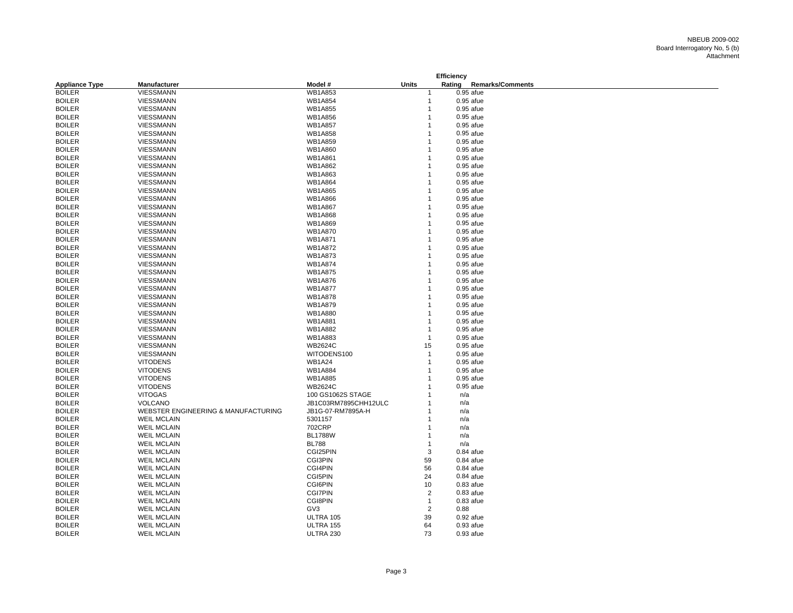| <b>Units</b><br>Rating<br><b>Remarks/Comments</b><br><b>Appliance Type</b><br>Manufacturer<br>Model #<br><b>BOILER</b><br><b>WB1A853</b><br><b>VIESSMANN</b><br>$0.95$ afue<br><b>BOILER</b><br>VIESSMANN<br><b>WB1A854</b><br>$0.95$ afue<br>-1<br><b>BOILER</b><br>VIESSMANN<br><b>WB1A855</b><br>$0.95$ afue<br>1<br><b>BOILER</b><br><b>WB1A856</b><br>VIESSMANN<br>$0.95$ afue<br>1<br><b>BOILER</b><br><b>WB1A857</b><br>VIESSMANN<br>0.95 afue<br><b>BOILER</b><br>VIESSMANN<br><b>WB1A858</b><br>$0.95$ afue<br><b>WB1A859</b><br>$0.95$ afue<br><b>BOILER</b><br>VIESSMANN<br><b>BOILER</b><br>VIESSMANN<br><b>WB1A860</b><br>0.95 afue<br>1<br><b>BOILER</b><br>VIESSMANN<br><b>WB1A861</b><br>0.95 afue<br><b>BOILER</b><br><b>WB1A862</b><br>VIESSMANN<br>0.95 afue<br><b>BOILER</b><br>VIESSMANN<br>WB1A863<br>$0.95$ afue<br><b>BOILER</b><br>VIESSMANN<br><b>WB1A864</b><br>$0.95$ afue<br><b>BOILER</b><br>VIESSMANN<br><b>WB1A865</b><br>$0.95$ afue<br><b>BOILER</b><br><b>WB1A866</b><br>VIESSMANN<br>0.95 afue<br><b>WB1A867</b><br><b>BOILER</b><br>VIESSMANN<br>$0.95$ afue<br><b>VIESSMANN</b><br><b>WB1A868</b><br><b>BOILER</b><br>$0.95$ afue<br>WB1A869<br><b>BOILER</b><br>VIESSMANN<br>0.95 afue<br><b>BOILER</b><br>WB1A870<br>VIESSMANN<br>$0.95$ afue<br><b>BOILER</b><br>VIESSMANN<br><b>WB1A871</b><br>$0.95$ afue<br><b>BOILER</b><br>VIESSMANN<br><b>WB1A872</b><br>$0.95$ afue<br><b>BOILER</b><br>VIESSMANN<br><b>WB1A873</b><br>0.95 afue<br><b>BOILER</b><br>VIESSMANN<br><b>WB1A874</b><br>$0.95$ afue<br><b>BOILER</b><br><b>WB1A875</b><br>VIESSMANN<br>0.95 afue<br><b>BOILER</b><br>VIESSMANN<br><b>WB1A876</b><br>0.95 afue<br><b>BOILER</b><br><b>WB1A877</b><br>VIESSMANN<br>0.95 afue<br><b>VIESSMANN</b><br><b>WB1A878</b><br><b>BOILER</b><br>$0.95$ afue<br><b>BOILER</b><br><b>WB1A879</b><br>VIESSMANN<br>0.95 afue<br><b>WB1A880</b><br><b>BOILER</b><br>VIESSMANN<br>$0.95$ afue<br><b>BOILER</b><br>VIESSMANN<br><b>WB1A881</b><br>0.95 afue<br><b>BOILER</b><br>VIESSMANN<br><b>WB1A882</b><br>0.95 afue<br>WB1A883<br><b>BOILER</b><br>VIESSMANN<br>0.95 afue<br>$\mathbf{1}$<br><b>BOILER</b><br><b>VIESSMANN</b><br><b>WB2624C</b><br>15<br>$0.95$ afue<br><b>BOILER</b><br>WITODENS100<br>VIESSMANN<br>0.95 afue<br>$\mathbf 1$<br><b>WB1A24</b><br><b>BOILER</b><br><b>VITODENS</b><br>$0.95$ afue<br>1<br><b>BOILER</b><br><b>VITODENS</b><br><b>WB1A884</b><br>0.95 afue<br><b>BOILER</b><br><b>VITODENS</b><br><b>WB1A885</b><br>$0.95$ afue<br><b>BOILER</b><br><b>WB2624C</b><br><b>VITODENS</b><br>0.95 afue<br><b>BOILER</b><br><b>VITOGAS</b><br>100 GS1062S STAGE<br>n/a<br><b>BOILER</b><br>VOLCANO<br>JB1C03RM7895CHH12ULC<br>n/a<br><b>BOILER</b><br>WEBSTER ENGINEERING & MANUFACTURING<br>JB1G-07-RM7895A-H<br>n/a<br><b>BOILER</b><br><b>WEIL MCLAIN</b><br>5301157<br>n/a<br>702CRP<br><b>BOILER</b><br><b>WEIL MCLAIN</b><br>n/a<br><b>BOILER</b><br><b>BL1788W</b><br><b>WEIL MCLAIN</b><br>n/a<br><b>BOILER</b><br><b>WEIL MCLAIN</b><br><b>BL788</b><br>n/a<br>-1<br><b>BOILER</b><br><b>WEIL MCLAIN</b><br>CGI25PIN<br>3<br>$0.84$ afue<br><b>BOILER</b><br><b>CGI3PIN</b><br><b>WEIL MCLAIN</b><br>59<br>$0.84$ afue<br>CGI4PIN<br>56<br><b>BOILER</b><br><b>WEIL MCLAIN</b><br>$0.84$ afue<br><b>CGI5PIN</b><br><b>BOILER</b><br><b>WEIL MCLAIN</b><br>24<br>$0.84$ afue<br><b>CGI6PIN</b><br>$0.83$ afue<br><b>BOILER</b><br><b>WEIL MCLAIN</b><br>10<br><b>CGI7PIN</b><br><b>BOILER</b><br><b>WEIL MCLAIN</b><br>$\overline{\mathbf{c}}$<br>$0.83$ afue<br><b>CGI8PIN</b><br><b>BOILER</b><br><b>WEIL MCLAIN</b><br>$0.83$ afue<br>$\overline{1}$<br>$\overline{2}$<br><b>BOILER</b><br>GV3<br>0.88<br><b>WEIL MCLAIN</b><br><b>BOILER</b><br><b>WEIL MCLAIN</b><br>ULTRA 105<br>39<br>$0.92$ afue<br><b>BOILER</b><br><b>WEIL MCLAIN</b><br>64<br>ULTRA 155<br>$0.93$ afue |  |  | Efficiency |  |
|---------------------------------------------------------------------------------------------------------------------------------------------------------------------------------------------------------------------------------------------------------------------------------------------------------------------------------------------------------------------------------------------------------------------------------------------------------------------------------------------------------------------------------------------------------------------------------------------------------------------------------------------------------------------------------------------------------------------------------------------------------------------------------------------------------------------------------------------------------------------------------------------------------------------------------------------------------------------------------------------------------------------------------------------------------------------------------------------------------------------------------------------------------------------------------------------------------------------------------------------------------------------------------------------------------------------------------------------------------------------------------------------------------------------------------------------------------------------------------------------------------------------------------------------------------------------------------------------------------------------------------------------------------------------------------------------------------------------------------------------------------------------------------------------------------------------------------------------------------------------------------------------------------------------------------------------------------------------------------------------------------------------------------------------------------------------------------------------------------------------------------------------------------------------------------------------------------------------------------------------------------------------------------------------------------------------------------------------------------------------------------------------------------------------------------------------------------------------------------------------------------------------------------------------------------------------------------------------------------------------------------------------------------------------------------------------------------------------------------------------------------------------------------------------------------------------------------------------------------------------------------------------------------------------------------------------------------------------------------------------------------------------------------------------------------------------------------------------------------------------------------------------------------------------------------------------------------------------------------------------------------------------------------------------------------------------------------------------------------------------------------------------------------------------------------------------------------------------------------------------------------------------------------------------------------------------------------------------------------------------------------------------------------------------------------------------------------------------------------------------------------------------------------------------------------------------------------------------------------------------|--|--|------------|--|
|                                                                                                                                                                                                                                                                                                                                                                                                                                                                                                                                                                                                                                                                                                                                                                                                                                                                                                                                                                                                                                                                                                                                                                                                                                                                                                                                                                                                                                                                                                                                                                                                                                                                                                                                                                                                                                                                                                                                                                                                                                                                                                                                                                                                                                                                                                                                                                                                                                                                                                                                                                                                                                                                                                                                                                                                                                                                                                                                                                                                                                                                                                                                                                                                                                                                                                                                                                                                                                                                                                                                                                                                                                                                                                                                                                                                                                                                     |  |  |            |  |
|                                                                                                                                                                                                                                                                                                                                                                                                                                                                                                                                                                                                                                                                                                                                                                                                                                                                                                                                                                                                                                                                                                                                                                                                                                                                                                                                                                                                                                                                                                                                                                                                                                                                                                                                                                                                                                                                                                                                                                                                                                                                                                                                                                                                                                                                                                                                                                                                                                                                                                                                                                                                                                                                                                                                                                                                                                                                                                                                                                                                                                                                                                                                                                                                                                                                                                                                                                                                                                                                                                                                                                                                                                                                                                                                                                                                                                                                     |  |  |            |  |
|                                                                                                                                                                                                                                                                                                                                                                                                                                                                                                                                                                                                                                                                                                                                                                                                                                                                                                                                                                                                                                                                                                                                                                                                                                                                                                                                                                                                                                                                                                                                                                                                                                                                                                                                                                                                                                                                                                                                                                                                                                                                                                                                                                                                                                                                                                                                                                                                                                                                                                                                                                                                                                                                                                                                                                                                                                                                                                                                                                                                                                                                                                                                                                                                                                                                                                                                                                                                                                                                                                                                                                                                                                                                                                                                                                                                                                                                     |  |  |            |  |
|                                                                                                                                                                                                                                                                                                                                                                                                                                                                                                                                                                                                                                                                                                                                                                                                                                                                                                                                                                                                                                                                                                                                                                                                                                                                                                                                                                                                                                                                                                                                                                                                                                                                                                                                                                                                                                                                                                                                                                                                                                                                                                                                                                                                                                                                                                                                                                                                                                                                                                                                                                                                                                                                                                                                                                                                                                                                                                                                                                                                                                                                                                                                                                                                                                                                                                                                                                                                                                                                                                                                                                                                                                                                                                                                                                                                                                                                     |  |  |            |  |
|                                                                                                                                                                                                                                                                                                                                                                                                                                                                                                                                                                                                                                                                                                                                                                                                                                                                                                                                                                                                                                                                                                                                                                                                                                                                                                                                                                                                                                                                                                                                                                                                                                                                                                                                                                                                                                                                                                                                                                                                                                                                                                                                                                                                                                                                                                                                                                                                                                                                                                                                                                                                                                                                                                                                                                                                                                                                                                                                                                                                                                                                                                                                                                                                                                                                                                                                                                                                                                                                                                                                                                                                                                                                                                                                                                                                                                                                     |  |  |            |  |
|                                                                                                                                                                                                                                                                                                                                                                                                                                                                                                                                                                                                                                                                                                                                                                                                                                                                                                                                                                                                                                                                                                                                                                                                                                                                                                                                                                                                                                                                                                                                                                                                                                                                                                                                                                                                                                                                                                                                                                                                                                                                                                                                                                                                                                                                                                                                                                                                                                                                                                                                                                                                                                                                                                                                                                                                                                                                                                                                                                                                                                                                                                                                                                                                                                                                                                                                                                                                                                                                                                                                                                                                                                                                                                                                                                                                                                                                     |  |  |            |  |
|                                                                                                                                                                                                                                                                                                                                                                                                                                                                                                                                                                                                                                                                                                                                                                                                                                                                                                                                                                                                                                                                                                                                                                                                                                                                                                                                                                                                                                                                                                                                                                                                                                                                                                                                                                                                                                                                                                                                                                                                                                                                                                                                                                                                                                                                                                                                                                                                                                                                                                                                                                                                                                                                                                                                                                                                                                                                                                                                                                                                                                                                                                                                                                                                                                                                                                                                                                                                                                                                                                                                                                                                                                                                                                                                                                                                                                                                     |  |  |            |  |
|                                                                                                                                                                                                                                                                                                                                                                                                                                                                                                                                                                                                                                                                                                                                                                                                                                                                                                                                                                                                                                                                                                                                                                                                                                                                                                                                                                                                                                                                                                                                                                                                                                                                                                                                                                                                                                                                                                                                                                                                                                                                                                                                                                                                                                                                                                                                                                                                                                                                                                                                                                                                                                                                                                                                                                                                                                                                                                                                                                                                                                                                                                                                                                                                                                                                                                                                                                                                                                                                                                                                                                                                                                                                                                                                                                                                                                                                     |  |  |            |  |
|                                                                                                                                                                                                                                                                                                                                                                                                                                                                                                                                                                                                                                                                                                                                                                                                                                                                                                                                                                                                                                                                                                                                                                                                                                                                                                                                                                                                                                                                                                                                                                                                                                                                                                                                                                                                                                                                                                                                                                                                                                                                                                                                                                                                                                                                                                                                                                                                                                                                                                                                                                                                                                                                                                                                                                                                                                                                                                                                                                                                                                                                                                                                                                                                                                                                                                                                                                                                                                                                                                                                                                                                                                                                                                                                                                                                                                                                     |  |  |            |  |
|                                                                                                                                                                                                                                                                                                                                                                                                                                                                                                                                                                                                                                                                                                                                                                                                                                                                                                                                                                                                                                                                                                                                                                                                                                                                                                                                                                                                                                                                                                                                                                                                                                                                                                                                                                                                                                                                                                                                                                                                                                                                                                                                                                                                                                                                                                                                                                                                                                                                                                                                                                                                                                                                                                                                                                                                                                                                                                                                                                                                                                                                                                                                                                                                                                                                                                                                                                                                                                                                                                                                                                                                                                                                                                                                                                                                                                                                     |  |  |            |  |
|                                                                                                                                                                                                                                                                                                                                                                                                                                                                                                                                                                                                                                                                                                                                                                                                                                                                                                                                                                                                                                                                                                                                                                                                                                                                                                                                                                                                                                                                                                                                                                                                                                                                                                                                                                                                                                                                                                                                                                                                                                                                                                                                                                                                                                                                                                                                                                                                                                                                                                                                                                                                                                                                                                                                                                                                                                                                                                                                                                                                                                                                                                                                                                                                                                                                                                                                                                                                                                                                                                                                                                                                                                                                                                                                                                                                                                                                     |  |  |            |  |
|                                                                                                                                                                                                                                                                                                                                                                                                                                                                                                                                                                                                                                                                                                                                                                                                                                                                                                                                                                                                                                                                                                                                                                                                                                                                                                                                                                                                                                                                                                                                                                                                                                                                                                                                                                                                                                                                                                                                                                                                                                                                                                                                                                                                                                                                                                                                                                                                                                                                                                                                                                                                                                                                                                                                                                                                                                                                                                                                                                                                                                                                                                                                                                                                                                                                                                                                                                                                                                                                                                                                                                                                                                                                                                                                                                                                                                                                     |  |  |            |  |
|                                                                                                                                                                                                                                                                                                                                                                                                                                                                                                                                                                                                                                                                                                                                                                                                                                                                                                                                                                                                                                                                                                                                                                                                                                                                                                                                                                                                                                                                                                                                                                                                                                                                                                                                                                                                                                                                                                                                                                                                                                                                                                                                                                                                                                                                                                                                                                                                                                                                                                                                                                                                                                                                                                                                                                                                                                                                                                                                                                                                                                                                                                                                                                                                                                                                                                                                                                                                                                                                                                                                                                                                                                                                                                                                                                                                                                                                     |  |  |            |  |
|                                                                                                                                                                                                                                                                                                                                                                                                                                                                                                                                                                                                                                                                                                                                                                                                                                                                                                                                                                                                                                                                                                                                                                                                                                                                                                                                                                                                                                                                                                                                                                                                                                                                                                                                                                                                                                                                                                                                                                                                                                                                                                                                                                                                                                                                                                                                                                                                                                                                                                                                                                                                                                                                                                                                                                                                                                                                                                                                                                                                                                                                                                                                                                                                                                                                                                                                                                                                                                                                                                                                                                                                                                                                                                                                                                                                                                                                     |  |  |            |  |
|                                                                                                                                                                                                                                                                                                                                                                                                                                                                                                                                                                                                                                                                                                                                                                                                                                                                                                                                                                                                                                                                                                                                                                                                                                                                                                                                                                                                                                                                                                                                                                                                                                                                                                                                                                                                                                                                                                                                                                                                                                                                                                                                                                                                                                                                                                                                                                                                                                                                                                                                                                                                                                                                                                                                                                                                                                                                                                                                                                                                                                                                                                                                                                                                                                                                                                                                                                                                                                                                                                                                                                                                                                                                                                                                                                                                                                                                     |  |  |            |  |
|                                                                                                                                                                                                                                                                                                                                                                                                                                                                                                                                                                                                                                                                                                                                                                                                                                                                                                                                                                                                                                                                                                                                                                                                                                                                                                                                                                                                                                                                                                                                                                                                                                                                                                                                                                                                                                                                                                                                                                                                                                                                                                                                                                                                                                                                                                                                                                                                                                                                                                                                                                                                                                                                                                                                                                                                                                                                                                                                                                                                                                                                                                                                                                                                                                                                                                                                                                                                                                                                                                                                                                                                                                                                                                                                                                                                                                                                     |  |  |            |  |
|                                                                                                                                                                                                                                                                                                                                                                                                                                                                                                                                                                                                                                                                                                                                                                                                                                                                                                                                                                                                                                                                                                                                                                                                                                                                                                                                                                                                                                                                                                                                                                                                                                                                                                                                                                                                                                                                                                                                                                                                                                                                                                                                                                                                                                                                                                                                                                                                                                                                                                                                                                                                                                                                                                                                                                                                                                                                                                                                                                                                                                                                                                                                                                                                                                                                                                                                                                                                                                                                                                                                                                                                                                                                                                                                                                                                                                                                     |  |  |            |  |
|                                                                                                                                                                                                                                                                                                                                                                                                                                                                                                                                                                                                                                                                                                                                                                                                                                                                                                                                                                                                                                                                                                                                                                                                                                                                                                                                                                                                                                                                                                                                                                                                                                                                                                                                                                                                                                                                                                                                                                                                                                                                                                                                                                                                                                                                                                                                                                                                                                                                                                                                                                                                                                                                                                                                                                                                                                                                                                                                                                                                                                                                                                                                                                                                                                                                                                                                                                                                                                                                                                                                                                                                                                                                                                                                                                                                                                                                     |  |  |            |  |
|                                                                                                                                                                                                                                                                                                                                                                                                                                                                                                                                                                                                                                                                                                                                                                                                                                                                                                                                                                                                                                                                                                                                                                                                                                                                                                                                                                                                                                                                                                                                                                                                                                                                                                                                                                                                                                                                                                                                                                                                                                                                                                                                                                                                                                                                                                                                                                                                                                                                                                                                                                                                                                                                                                                                                                                                                                                                                                                                                                                                                                                                                                                                                                                                                                                                                                                                                                                                                                                                                                                                                                                                                                                                                                                                                                                                                                                                     |  |  |            |  |
|                                                                                                                                                                                                                                                                                                                                                                                                                                                                                                                                                                                                                                                                                                                                                                                                                                                                                                                                                                                                                                                                                                                                                                                                                                                                                                                                                                                                                                                                                                                                                                                                                                                                                                                                                                                                                                                                                                                                                                                                                                                                                                                                                                                                                                                                                                                                                                                                                                                                                                                                                                                                                                                                                                                                                                                                                                                                                                                                                                                                                                                                                                                                                                                                                                                                                                                                                                                                                                                                                                                                                                                                                                                                                                                                                                                                                                                                     |  |  |            |  |
|                                                                                                                                                                                                                                                                                                                                                                                                                                                                                                                                                                                                                                                                                                                                                                                                                                                                                                                                                                                                                                                                                                                                                                                                                                                                                                                                                                                                                                                                                                                                                                                                                                                                                                                                                                                                                                                                                                                                                                                                                                                                                                                                                                                                                                                                                                                                                                                                                                                                                                                                                                                                                                                                                                                                                                                                                                                                                                                                                                                                                                                                                                                                                                                                                                                                                                                                                                                                                                                                                                                                                                                                                                                                                                                                                                                                                                                                     |  |  |            |  |
|                                                                                                                                                                                                                                                                                                                                                                                                                                                                                                                                                                                                                                                                                                                                                                                                                                                                                                                                                                                                                                                                                                                                                                                                                                                                                                                                                                                                                                                                                                                                                                                                                                                                                                                                                                                                                                                                                                                                                                                                                                                                                                                                                                                                                                                                                                                                                                                                                                                                                                                                                                                                                                                                                                                                                                                                                                                                                                                                                                                                                                                                                                                                                                                                                                                                                                                                                                                                                                                                                                                                                                                                                                                                                                                                                                                                                                                                     |  |  |            |  |
|                                                                                                                                                                                                                                                                                                                                                                                                                                                                                                                                                                                                                                                                                                                                                                                                                                                                                                                                                                                                                                                                                                                                                                                                                                                                                                                                                                                                                                                                                                                                                                                                                                                                                                                                                                                                                                                                                                                                                                                                                                                                                                                                                                                                                                                                                                                                                                                                                                                                                                                                                                                                                                                                                                                                                                                                                                                                                                                                                                                                                                                                                                                                                                                                                                                                                                                                                                                                                                                                                                                                                                                                                                                                                                                                                                                                                                                                     |  |  |            |  |
|                                                                                                                                                                                                                                                                                                                                                                                                                                                                                                                                                                                                                                                                                                                                                                                                                                                                                                                                                                                                                                                                                                                                                                                                                                                                                                                                                                                                                                                                                                                                                                                                                                                                                                                                                                                                                                                                                                                                                                                                                                                                                                                                                                                                                                                                                                                                                                                                                                                                                                                                                                                                                                                                                                                                                                                                                                                                                                                                                                                                                                                                                                                                                                                                                                                                                                                                                                                                                                                                                                                                                                                                                                                                                                                                                                                                                                                                     |  |  |            |  |
|                                                                                                                                                                                                                                                                                                                                                                                                                                                                                                                                                                                                                                                                                                                                                                                                                                                                                                                                                                                                                                                                                                                                                                                                                                                                                                                                                                                                                                                                                                                                                                                                                                                                                                                                                                                                                                                                                                                                                                                                                                                                                                                                                                                                                                                                                                                                                                                                                                                                                                                                                                                                                                                                                                                                                                                                                                                                                                                                                                                                                                                                                                                                                                                                                                                                                                                                                                                                                                                                                                                                                                                                                                                                                                                                                                                                                                                                     |  |  |            |  |
|                                                                                                                                                                                                                                                                                                                                                                                                                                                                                                                                                                                                                                                                                                                                                                                                                                                                                                                                                                                                                                                                                                                                                                                                                                                                                                                                                                                                                                                                                                                                                                                                                                                                                                                                                                                                                                                                                                                                                                                                                                                                                                                                                                                                                                                                                                                                                                                                                                                                                                                                                                                                                                                                                                                                                                                                                                                                                                                                                                                                                                                                                                                                                                                                                                                                                                                                                                                                                                                                                                                                                                                                                                                                                                                                                                                                                                                                     |  |  |            |  |
|                                                                                                                                                                                                                                                                                                                                                                                                                                                                                                                                                                                                                                                                                                                                                                                                                                                                                                                                                                                                                                                                                                                                                                                                                                                                                                                                                                                                                                                                                                                                                                                                                                                                                                                                                                                                                                                                                                                                                                                                                                                                                                                                                                                                                                                                                                                                                                                                                                                                                                                                                                                                                                                                                                                                                                                                                                                                                                                                                                                                                                                                                                                                                                                                                                                                                                                                                                                                                                                                                                                                                                                                                                                                                                                                                                                                                                                                     |  |  |            |  |
|                                                                                                                                                                                                                                                                                                                                                                                                                                                                                                                                                                                                                                                                                                                                                                                                                                                                                                                                                                                                                                                                                                                                                                                                                                                                                                                                                                                                                                                                                                                                                                                                                                                                                                                                                                                                                                                                                                                                                                                                                                                                                                                                                                                                                                                                                                                                                                                                                                                                                                                                                                                                                                                                                                                                                                                                                                                                                                                                                                                                                                                                                                                                                                                                                                                                                                                                                                                                                                                                                                                                                                                                                                                                                                                                                                                                                                                                     |  |  |            |  |
|                                                                                                                                                                                                                                                                                                                                                                                                                                                                                                                                                                                                                                                                                                                                                                                                                                                                                                                                                                                                                                                                                                                                                                                                                                                                                                                                                                                                                                                                                                                                                                                                                                                                                                                                                                                                                                                                                                                                                                                                                                                                                                                                                                                                                                                                                                                                                                                                                                                                                                                                                                                                                                                                                                                                                                                                                                                                                                                                                                                                                                                                                                                                                                                                                                                                                                                                                                                                                                                                                                                                                                                                                                                                                                                                                                                                                                                                     |  |  |            |  |
|                                                                                                                                                                                                                                                                                                                                                                                                                                                                                                                                                                                                                                                                                                                                                                                                                                                                                                                                                                                                                                                                                                                                                                                                                                                                                                                                                                                                                                                                                                                                                                                                                                                                                                                                                                                                                                                                                                                                                                                                                                                                                                                                                                                                                                                                                                                                                                                                                                                                                                                                                                                                                                                                                                                                                                                                                                                                                                                                                                                                                                                                                                                                                                                                                                                                                                                                                                                                                                                                                                                                                                                                                                                                                                                                                                                                                                                                     |  |  |            |  |
|                                                                                                                                                                                                                                                                                                                                                                                                                                                                                                                                                                                                                                                                                                                                                                                                                                                                                                                                                                                                                                                                                                                                                                                                                                                                                                                                                                                                                                                                                                                                                                                                                                                                                                                                                                                                                                                                                                                                                                                                                                                                                                                                                                                                                                                                                                                                                                                                                                                                                                                                                                                                                                                                                                                                                                                                                                                                                                                                                                                                                                                                                                                                                                                                                                                                                                                                                                                                                                                                                                                                                                                                                                                                                                                                                                                                                                                                     |  |  |            |  |
|                                                                                                                                                                                                                                                                                                                                                                                                                                                                                                                                                                                                                                                                                                                                                                                                                                                                                                                                                                                                                                                                                                                                                                                                                                                                                                                                                                                                                                                                                                                                                                                                                                                                                                                                                                                                                                                                                                                                                                                                                                                                                                                                                                                                                                                                                                                                                                                                                                                                                                                                                                                                                                                                                                                                                                                                                                                                                                                                                                                                                                                                                                                                                                                                                                                                                                                                                                                                                                                                                                                                                                                                                                                                                                                                                                                                                                                                     |  |  |            |  |
|                                                                                                                                                                                                                                                                                                                                                                                                                                                                                                                                                                                                                                                                                                                                                                                                                                                                                                                                                                                                                                                                                                                                                                                                                                                                                                                                                                                                                                                                                                                                                                                                                                                                                                                                                                                                                                                                                                                                                                                                                                                                                                                                                                                                                                                                                                                                                                                                                                                                                                                                                                                                                                                                                                                                                                                                                                                                                                                                                                                                                                                                                                                                                                                                                                                                                                                                                                                                                                                                                                                                                                                                                                                                                                                                                                                                                                                                     |  |  |            |  |
|                                                                                                                                                                                                                                                                                                                                                                                                                                                                                                                                                                                                                                                                                                                                                                                                                                                                                                                                                                                                                                                                                                                                                                                                                                                                                                                                                                                                                                                                                                                                                                                                                                                                                                                                                                                                                                                                                                                                                                                                                                                                                                                                                                                                                                                                                                                                                                                                                                                                                                                                                                                                                                                                                                                                                                                                                                                                                                                                                                                                                                                                                                                                                                                                                                                                                                                                                                                                                                                                                                                                                                                                                                                                                                                                                                                                                                                                     |  |  |            |  |
|                                                                                                                                                                                                                                                                                                                                                                                                                                                                                                                                                                                                                                                                                                                                                                                                                                                                                                                                                                                                                                                                                                                                                                                                                                                                                                                                                                                                                                                                                                                                                                                                                                                                                                                                                                                                                                                                                                                                                                                                                                                                                                                                                                                                                                                                                                                                                                                                                                                                                                                                                                                                                                                                                                                                                                                                                                                                                                                                                                                                                                                                                                                                                                                                                                                                                                                                                                                                                                                                                                                                                                                                                                                                                                                                                                                                                                                                     |  |  |            |  |
|                                                                                                                                                                                                                                                                                                                                                                                                                                                                                                                                                                                                                                                                                                                                                                                                                                                                                                                                                                                                                                                                                                                                                                                                                                                                                                                                                                                                                                                                                                                                                                                                                                                                                                                                                                                                                                                                                                                                                                                                                                                                                                                                                                                                                                                                                                                                                                                                                                                                                                                                                                                                                                                                                                                                                                                                                                                                                                                                                                                                                                                                                                                                                                                                                                                                                                                                                                                                                                                                                                                                                                                                                                                                                                                                                                                                                                                                     |  |  |            |  |
|                                                                                                                                                                                                                                                                                                                                                                                                                                                                                                                                                                                                                                                                                                                                                                                                                                                                                                                                                                                                                                                                                                                                                                                                                                                                                                                                                                                                                                                                                                                                                                                                                                                                                                                                                                                                                                                                                                                                                                                                                                                                                                                                                                                                                                                                                                                                                                                                                                                                                                                                                                                                                                                                                                                                                                                                                                                                                                                                                                                                                                                                                                                                                                                                                                                                                                                                                                                                                                                                                                                                                                                                                                                                                                                                                                                                                                                                     |  |  |            |  |
|                                                                                                                                                                                                                                                                                                                                                                                                                                                                                                                                                                                                                                                                                                                                                                                                                                                                                                                                                                                                                                                                                                                                                                                                                                                                                                                                                                                                                                                                                                                                                                                                                                                                                                                                                                                                                                                                                                                                                                                                                                                                                                                                                                                                                                                                                                                                                                                                                                                                                                                                                                                                                                                                                                                                                                                                                                                                                                                                                                                                                                                                                                                                                                                                                                                                                                                                                                                                                                                                                                                                                                                                                                                                                                                                                                                                                                                                     |  |  |            |  |
|                                                                                                                                                                                                                                                                                                                                                                                                                                                                                                                                                                                                                                                                                                                                                                                                                                                                                                                                                                                                                                                                                                                                                                                                                                                                                                                                                                                                                                                                                                                                                                                                                                                                                                                                                                                                                                                                                                                                                                                                                                                                                                                                                                                                                                                                                                                                                                                                                                                                                                                                                                                                                                                                                                                                                                                                                                                                                                                                                                                                                                                                                                                                                                                                                                                                                                                                                                                                                                                                                                                                                                                                                                                                                                                                                                                                                                                                     |  |  |            |  |
|                                                                                                                                                                                                                                                                                                                                                                                                                                                                                                                                                                                                                                                                                                                                                                                                                                                                                                                                                                                                                                                                                                                                                                                                                                                                                                                                                                                                                                                                                                                                                                                                                                                                                                                                                                                                                                                                                                                                                                                                                                                                                                                                                                                                                                                                                                                                                                                                                                                                                                                                                                                                                                                                                                                                                                                                                                                                                                                                                                                                                                                                                                                                                                                                                                                                                                                                                                                                                                                                                                                                                                                                                                                                                                                                                                                                                                                                     |  |  |            |  |
|                                                                                                                                                                                                                                                                                                                                                                                                                                                                                                                                                                                                                                                                                                                                                                                                                                                                                                                                                                                                                                                                                                                                                                                                                                                                                                                                                                                                                                                                                                                                                                                                                                                                                                                                                                                                                                                                                                                                                                                                                                                                                                                                                                                                                                                                                                                                                                                                                                                                                                                                                                                                                                                                                                                                                                                                                                                                                                                                                                                                                                                                                                                                                                                                                                                                                                                                                                                                                                                                                                                                                                                                                                                                                                                                                                                                                                                                     |  |  |            |  |
|                                                                                                                                                                                                                                                                                                                                                                                                                                                                                                                                                                                                                                                                                                                                                                                                                                                                                                                                                                                                                                                                                                                                                                                                                                                                                                                                                                                                                                                                                                                                                                                                                                                                                                                                                                                                                                                                                                                                                                                                                                                                                                                                                                                                                                                                                                                                                                                                                                                                                                                                                                                                                                                                                                                                                                                                                                                                                                                                                                                                                                                                                                                                                                                                                                                                                                                                                                                                                                                                                                                                                                                                                                                                                                                                                                                                                                                                     |  |  |            |  |
|                                                                                                                                                                                                                                                                                                                                                                                                                                                                                                                                                                                                                                                                                                                                                                                                                                                                                                                                                                                                                                                                                                                                                                                                                                                                                                                                                                                                                                                                                                                                                                                                                                                                                                                                                                                                                                                                                                                                                                                                                                                                                                                                                                                                                                                                                                                                                                                                                                                                                                                                                                                                                                                                                                                                                                                                                                                                                                                                                                                                                                                                                                                                                                                                                                                                                                                                                                                                                                                                                                                                                                                                                                                                                                                                                                                                                                                                     |  |  |            |  |
|                                                                                                                                                                                                                                                                                                                                                                                                                                                                                                                                                                                                                                                                                                                                                                                                                                                                                                                                                                                                                                                                                                                                                                                                                                                                                                                                                                                                                                                                                                                                                                                                                                                                                                                                                                                                                                                                                                                                                                                                                                                                                                                                                                                                                                                                                                                                                                                                                                                                                                                                                                                                                                                                                                                                                                                                                                                                                                                                                                                                                                                                                                                                                                                                                                                                                                                                                                                                                                                                                                                                                                                                                                                                                                                                                                                                                                                                     |  |  |            |  |
|                                                                                                                                                                                                                                                                                                                                                                                                                                                                                                                                                                                                                                                                                                                                                                                                                                                                                                                                                                                                                                                                                                                                                                                                                                                                                                                                                                                                                                                                                                                                                                                                                                                                                                                                                                                                                                                                                                                                                                                                                                                                                                                                                                                                                                                                                                                                                                                                                                                                                                                                                                                                                                                                                                                                                                                                                                                                                                                                                                                                                                                                                                                                                                                                                                                                                                                                                                                                                                                                                                                                                                                                                                                                                                                                                                                                                                                                     |  |  |            |  |
|                                                                                                                                                                                                                                                                                                                                                                                                                                                                                                                                                                                                                                                                                                                                                                                                                                                                                                                                                                                                                                                                                                                                                                                                                                                                                                                                                                                                                                                                                                                                                                                                                                                                                                                                                                                                                                                                                                                                                                                                                                                                                                                                                                                                                                                                                                                                                                                                                                                                                                                                                                                                                                                                                                                                                                                                                                                                                                                                                                                                                                                                                                                                                                                                                                                                                                                                                                                                                                                                                                                                                                                                                                                                                                                                                                                                                                                                     |  |  |            |  |
|                                                                                                                                                                                                                                                                                                                                                                                                                                                                                                                                                                                                                                                                                                                                                                                                                                                                                                                                                                                                                                                                                                                                                                                                                                                                                                                                                                                                                                                                                                                                                                                                                                                                                                                                                                                                                                                                                                                                                                                                                                                                                                                                                                                                                                                                                                                                                                                                                                                                                                                                                                                                                                                                                                                                                                                                                                                                                                                                                                                                                                                                                                                                                                                                                                                                                                                                                                                                                                                                                                                                                                                                                                                                                                                                                                                                                                                                     |  |  |            |  |
|                                                                                                                                                                                                                                                                                                                                                                                                                                                                                                                                                                                                                                                                                                                                                                                                                                                                                                                                                                                                                                                                                                                                                                                                                                                                                                                                                                                                                                                                                                                                                                                                                                                                                                                                                                                                                                                                                                                                                                                                                                                                                                                                                                                                                                                                                                                                                                                                                                                                                                                                                                                                                                                                                                                                                                                                                                                                                                                                                                                                                                                                                                                                                                                                                                                                                                                                                                                                                                                                                                                                                                                                                                                                                                                                                                                                                                                                     |  |  |            |  |
|                                                                                                                                                                                                                                                                                                                                                                                                                                                                                                                                                                                                                                                                                                                                                                                                                                                                                                                                                                                                                                                                                                                                                                                                                                                                                                                                                                                                                                                                                                                                                                                                                                                                                                                                                                                                                                                                                                                                                                                                                                                                                                                                                                                                                                                                                                                                                                                                                                                                                                                                                                                                                                                                                                                                                                                                                                                                                                                                                                                                                                                                                                                                                                                                                                                                                                                                                                                                                                                                                                                                                                                                                                                                                                                                                                                                                                                                     |  |  |            |  |
|                                                                                                                                                                                                                                                                                                                                                                                                                                                                                                                                                                                                                                                                                                                                                                                                                                                                                                                                                                                                                                                                                                                                                                                                                                                                                                                                                                                                                                                                                                                                                                                                                                                                                                                                                                                                                                                                                                                                                                                                                                                                                                                                                                                                                                                                                                                                                                                                                                                                                                                                                                                                                                                                                                                                                                                                                                                                                                                                                                                                                                                                                                                                                                                                                                                                                                                                                                                                                                                                                                                                                                                                                                                                                                                                                                                                                                                                     |  |  |            |  |
|                                                                                                                                                                                                                                                                                                                                                                                                                                                                                                                                                                                                                                                                                                                                                                                                                                                                                                                                                                                                                                                                                                                                                                                                                                                                                                                                                                                                                                                                                                                                                                                                                                                                                                                                                                                                                                                                                                                                                                                                                                                                                                                                                                                                                                                                                                                                                                                                                                                                                                                                                                                                                                                                                                                                                                                                                                                                                                                                                                                                                                                                                                                                                                                                                                                                                                                                                                                                                                                                                                                                                                                                                                                                                                                                                                                                                                                                     |  |  |            |  |
|                                                                                                                                                                                                                                                                                                                                                                                                                                                                                                                                                                                                                                                                                                                                                                                                                                                                                                                                                                                                                                                                                                                                                                                                                                                                                                                                                                                                                                                                                                                                                                                                                                                                                                                                                                                                                                                                                                                                                                                                                                                                                                                                                                                                                                                                                                                                                                                                                                                                                                                                                                                                                                                                                                                                                                                                                                                                                                                                                                                                                                                                                                                                                                                                                                                                                                                                                                                                                                                                                                                                                                                                                                                                                                                                                                                                                                                                     |  |  |            |  |
|                                                                                                                                                                                                                                                                                                                                                                                                                                                                                                                                                                                                                                                                                                                                                                                                                                                                                                                                                                                                                                                                                                                                                                                                                                                                                                                                                                                                                                                                                                                                                                                                                                                                                                                                                                                                                                                                                                                                                                                                                                                                                                                                                                                                                                                                                                                                                                                                                                                                                                                                                                                                                                                                                                                                                                                                                                                                                                                                                                                                                                                                                                                                                                                                                                                                                                                                                                                                                                                                                                                                                                                                                                                                                                                                                                                                                                                                     |  |  |            |  |
|                                                                                                                                                                                                                                                                                                                                                                                                                                                                                                                                                                                                                                                                                                                                                                                                                                                                                                                                                                                                                                                                                                                                                                                                                                                                                                                                                                                                                                                                                                                                                                                                                                                                                                                                                                                                                                                                                                                                                                                                                                                                                                                                                                                                                                                                                                                                                                                                                                                                                                                                                                                                                                                                                                                                                                                                                                                                                                                                                                                                                                                                                                                                                                                                                                                                                                                                                                                                                                                                                                                                                                                                                                                                                                                                                                                                                                                                     |  |  |            |  |
|                                                                                                                                                                                                                                                                                                                                                                                                                                                                                                                                                                                                                                                                                                                                                                                                                                                                                                                                                                                                                                                                                                                                                                                                                                                                                                                                                                                                                                                                                                                                                                                                                                                                                                                                                                                                                                                                                                                                                                                                                                                                                                                                                                                                                                                                                                                                                                                                                                                                                                                                                                                                                                                                                                                                                                                                                                                                                                                                                                                                                                                                                                                                                                                                                                                                                                                                                                                                                                                                                                                                                                                                                                                                                                                                                                                                                                                                     |  |  |            |  |
| <b>BOILER</b><br><b>WEIL MCLAIN</b><br>ULTRA 230<br>73<br>$0.93$ afue                                                                                                                                                                                                                                                                                                                                                                                                                                                                                                                                                                                                                                                                                                                                                                                                                                                                                                                                                                                                                                                                                                                                                                                                                                                                                                                                                                                                                                                                                                                                                                                                                                                                                                                                                                                                                                                                                                                                                                                                                                                                                                                                                                                                                                                                                                                                                                                                                                                                                                                                                                                                                                                                                                                                                                                                                                                                                                                                                                                                                                                                                                                                                                                                                                                                                                                                                                                                                                                                                                                                                                                                                                                                                                                                                                                               |  |  |            |  |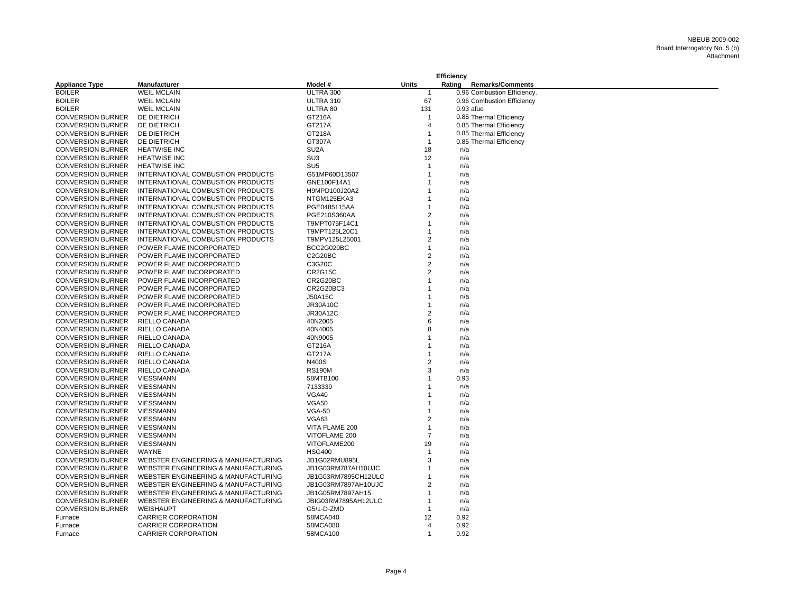|                          |                                     |                     |                | Efficiency |                             |
|--------------------------|-------------------------------------|---------------------|----------------|------------|-----------------------------|
| <b>Appliance Type</b>    | Manufacturer                        | Model #             | <b>Units</b>   | Rating     | <b>Remarks/Comments</b>     |
| <b>BOILER</b>            | <b>WEIL MCLAIN</b>                  | ULTRA 300           | $\mathbf 1$    |            | 0.96 Combustion Efficiency. |
| <b>BOILER</b>            | <b>WEIL MCLAIN</b>                  | ULTRA 310           | 67             |            | 0.96 Combustion Efficiency  |
| <b>BOILER</b>            | <b>WEIL MCLAIN</b>                  | ULTRA 80            | 131            |            | 0.93 afue                   |
| <b>CONVERSION BURNER</b> | DE DIETRICH                         | GT216A              | -1             |            | 0.85 Thermal Efficiency     |
| <b>CONVERSION BURNER</b> | DE DIETRICH                         | GT217A              | $\overline{4}$ |            | 0.85 Thermal Efficiency     |
| <b>CONVERSION BURNER</b> | DE DIETRICH                         | GT218A              | $\mathbf{1}$   |            | 0.85 Thermal Efficiency     |
| <b>CONVERSION BURNER</b> | DE DIETRICH                         | GT307A              | $\mathbf{1}$   |            | 0.85 Thermal Efficiency     |
| <b>CONVERSION BURNER</b> | <b>HEATWISE INC</b>                 | SU <sub>2</sub> A   | 18             | n/a        |                             |
| <b>CONVERSION BURNER</b> | <b>HEATWISE INC</b>                 | SU <sub>3</sub>     | 12             | n/a        |                             |
| <b>CONVERSION BURNER</b> | <b>HEATWISE INC</b>                 | SU <sub>5</sub>     | $\mathbf 1$    | n/a        |                             |
| <b>CONVERSION BURNER</b> | INTERNATIONAL COMBUSTION PRODUCTS   | G51MP60D13507       | -1             | n/a        |                             |
| <b>CONVERSION BURNER</b> | INTERNATIONAL COMBUSTION PRODUCTS   | GNE100F14A1         | -1             | n/a        |                             |
| <b>CONVERSION BURNER</b> | INTERNATIONAL COMBUSTION PRODUCTS   | H9MPD100J20A2       |                | n/a        |                             |
| <b>CONVERSION BURNER</b> | INTERNATIONAL COMBUSTION PRODUCTS   | NTGM125EKA3         |                | n/a        |                             |
| <b>CONVERSION BURNER</b> | INTERNATIONAL COMBUSTION PRODUCTS   | PGE0485115AA        | $\mathbf 1$    | n/a        |                             |
| <b>CONVERSION BURNER</b> | INTERNATIONAL COMBUSTION PRODUCTS   | PGE210S360AA        | $\overline{2}$ | n/a        |                             |
| <b>CONVERSION BURNER</b> | INTERNATIONAL COMBUSTION PRODUCTS   | T9MPT075F14C1       | $\overline{1}$ | n/a        |                             |
| <b>CONVERSION BURNER</b> | INTERNATIONAL COMBUSTION PRODUCTS   | T9MPT125L20C1       |                | n/a        |                             |
| <b>CONVERSION BURNER</b> | INTERNATIONAL COMBUSTION PRODUCTS   | T9MPV125L25001      | $\overline{2}$ | n/a        |                             |
| <b>CONVERSION BURNER</b> | POWER FLAME INCORPORATED            | BCC2G020BC          | $\mathbf 1$    | n/a        |                             |
| <b>CONVERSION BURNER</b> | POWER FLAME INCORPORATED            | C2G20BC             | $\overline{2}$ | n/a        |                             |
| <b>CONVERSION BURNER</b> | POWER FLAME INCORPORATED            | C3G20C              | $\overline{2}$ | n/a        |                             |
| <b>CONVERSION BURNER</b> | POWER FLAME INCORPORATED            | <b>CR2G15C</b>      | $\overline{2}$ | n/a        |                             |
| <b>CONVERSION BURNER</b> | POWER FLAME INCORPORATED            | CR2G20BC            |                | n/a        |                             |
|                          |                                     |                     | -1             |            |                             |
| <b>CONVERSION BURNER</b> | POWER FLAME INCORPORATED            | CR2G20BC3           |                | n/a        |                             |
| <b>CONVERSION BURNER</b> | POWER FLAME INCORPORATED            | J50A15C             |                | n/a        |                             |
| <b>CONVERSION BURNER</b> | POWER FLAME INCORPORATED            | <b>JR30A10C</b>     |                | n/a        |                             |
| <b>CONVERSION BURNER</b> | POWER FLAME INCORPORATED            | <b>JR30A12C</b>     | 2              | n/a        |                             |
| <b>CONVERSION BURNER</b> | RIELLO CANADA                       | 40N2005             | 6              | n/a        |                             |
| <b>CONVERSION BURNER</b> | RIELLO CANADA                       | 40N4005             | 8              | n/a        |                             |
| <b>CONVERSION BURNER</b> | RIELLO CANADA                       | 40N9005             |                | n/a        |                             |
| <b>CONVERSION BURNER</b> | RIELLO CANADA                       | GT216A              |                | n/a        |                             |
| <b>CONVERSION BURNER</b> | RIELLO CANADA                       | GT217A              |                | n/a        |                             |
| <b>CONVERSION BURNER</b> | RIELLO CANADA                       | N400S               | 2              | n/a        |                             |
| <b>CONVERSION BURNER</b> | RIELLO CANADA                       | <b>RS190M</b>       | 3              | n/a        |                             |
| <b>CONVERSION BURNER</b> | VIESSMANN                           | 58MTB100            |                | 0.93       |                             |
| <b>CONVERSION BURNER</b> | <b>VIESSMANN</b>                    | 7133339             |                | n/a        |                             |
| <b>CONVERSION BURNER</b> | <b>VIESSMANN</b>                    | VGA40               |                | n/a        |                             |
| <b>CONVERSION BURNER</b> | <b>VIESSMANN</b>                    | VGA50               |                | n/a        |                             |
| <b>CONVERSION BURNER</b> | <b>VIESSMANN</b>                    | <b>VGA-50</b>       |                | n/a        |                             |
| <b>CONVERSION BURNER</b> | <b>VIESSMANN</b>                    | VGA63               | $\overline{2}$ | n/a        |                             |
| <b>CONVERSION BURNER</b> | <b>VIESSMANN</b>                    | VITA FLAME 200      | -1             | n/a        |                             |
| <b>CONVERSION BURNER</b> | VIESSMANN                           | VITOFLAME 200       | 7              | n/a        |                             |
| <b>CONVERSION BURNER</b> | <b>VIESSMANN</b>                    | VITOFLAME200        | 19             | n/a        |                             |
| <b>CONVERSION BURNER</b> | <b>WAYNE</b>                        | <b>HSG400</b>       | $\mathbf{1}$   | n/a        |                             |
| <b>CONVERSION BURNER</b> | WEBSTER ENGINEERING & MANUFACTURING | JB1G02RMU895L       | 3              | n/a        |                             |
| <b>CONVERSION BURNER</b> | WEBSTER ENGINEERING & MANUFACTURING | JB1G03RM787AH10UJC  |                | n/a        |                             |
| <b>CONVERSION BURNER</b> | WEBSTER ENGINEERING & MANUFACTURING | JB1G03RM7895CH12ULC | $\mathbf 1$    | n/a        |                             |
| <b>CONVERSION BURNER</b> | WEBSTER ENGINEERING & MANUFACTURING | JB1G03RM7897AH10UJC | $\overline{2}$ | n/a        |                             |
| <b>CONVERSION BURNER</b> | WEBSTER ENGINEERING & MANUFACTURING | JB1G05RM7897AH15    |                | n/a        |                             |
| <b>CONVERSION BURNER</b> | WEBSTER ENGINEERING & MANUFACTURING | JBIG03RM7895AH12ULC | $\mathbf 1$    | n/a        |                             |
| <b>CONVERSION BURNER</b> | WEISHAUPT                           | G5/1-D-ZMD          | $\mathbf 1$    | n/a        |                             |
| Furnace                  | <b>CARRIER CORPORATION</b>          | 58MCA040            | 12             | 0.92       |                             |
| Furnace                  | <b>CARRIER CORPORATION</b>          | 58MCA080            | $\overline{4}$ | 0.92       |                             |
| Furnace                  | <b>CARRIER CORPORATION</b>          | 58MCA100            | $\mathbf{1}$   | 0.92       |                             |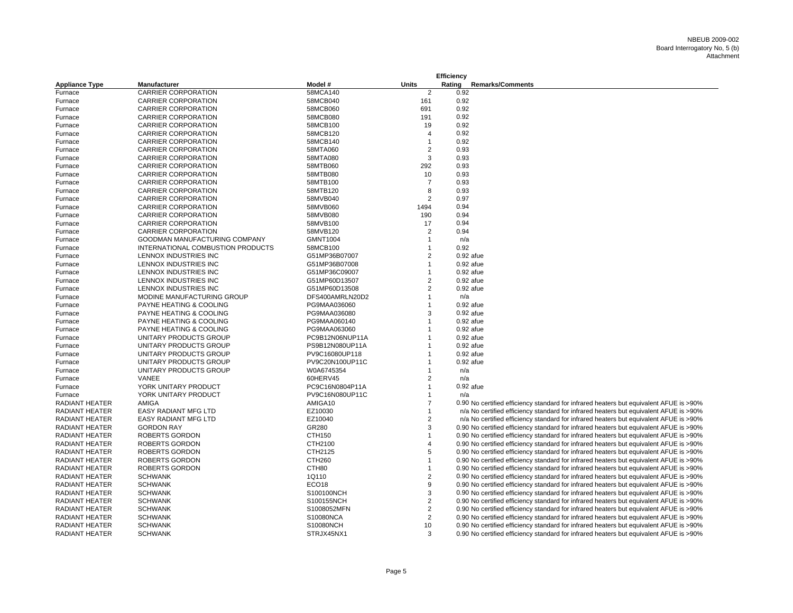|                       |                                   |                   |                         | <b>Efficiency</b> |             |                                                                                        |
|-----------------------|-----------------------------------|-------------------|-------------------------|-------------------|-------------|----------------------------------------------------------------------------------------|
| <b>Appliance Type</b> | Manufacturer                      | Model #           | Units                   | Rating            |             | <b>Remarks/Comments</b>                                                                |
| Furnace               | CARRIER CORPORATION               | 58MCA140          | 2                       |                   | 0.92        |                                                                                        |
| Furnace               | <b>CARRIER CORPORATION</b>        | 58MCB040          | 161                     |                   | 0.92        |                                                                                        |
| Furnace               | <b>CARRIER CORPORATION</b>        | 58MCB060          | 691                     |                   | 0.92        |                                                                                        |
| Furnace               | CARRIER CORPORATION               | 58MCB080          | 191                     |                   | 0.92        |                                                                                        |
| Furnace               | <b>CARRIER CORPORATION</b>        | 58MCB100          | 19                      |                   | 0.92        |                                                                                        |
| Furnace               | <b>CARRIER CORPORATION</b>        | 58MCB120          | $\overline{4}$          |                   | 0.92        |                                                                                        |
| Furnace               | <b>CARRIER CORPORATION</b>        | 58MCB140          | 1                       |                   | 0.92        |                                                                                        |
| Furnace               | <b>CARRIER CORPORATION</b>        | 58MTA060          | $\overline{2}$          |                   | 0.93        |                                                                                        |
| Furnace               | <b>CARRIER CORPORATION</b>        | 58MTA080          | 3                       |                   | 0.93        |                                                                                        |
| Furnace               | <b>CARRIER CORPORATION</b>        | 58MTB060          | 292                     |                   | 0.93        |                                                                                        |
| Furnace               | <b>CARRIER CORPORATION</b>        | 58MTB080          | 10                      |                   | 0.93        |                                                                                        |
| Furnace               | CARRIER CORPORATION               | 58MTB100          | $\overline{7}$          |                   | 0.93        |                                                                                        |
| Furnace               | <b>CARRIER CORPORATION</b>        | 58MTB120          | 8                       |                   | 0.93        |                                                                                        |
| Furnace               | <b>CARRIER CORPORATION</b>        | 58MVB040          | $\overline{2}$          |                   | 0.97        |                                                                                        |
| Furnace               | <b>CARRIER CORPORATION</b>        | 58MVB060          | 1494                    |                   | 0.94        |                                                                                        |
| Furnace               | <b>CARRIER CORPORATION</b>        | 58MVB080          | 190                     |                   | 0.94        |                                                                                        |
| Furnace               | <b>CARRIER CORPORATION</b>        | 58MVB100          | 17                      |                   | 0.94        |                                                                                        |
| Furnace               | <b>CARRIER CORPORATION</b>        | 58MVB120          | $\overline{2}$          |                   | 0.94        |                                                                                        |
| Furnace               | GOODMAN MANUFACTURING COMPANY     | <b>GMNT1004</b>   | 1                       |                   | n/a         |                                                                                        |
| Furnace               | INTERNATIONAL COMBUSTION PRODUCTS | 58MCB100          | 1                       |                   | 0.92        |                                                                                        |
| Furnace               | LENNOX INDUSTRIES INC             | G51MP36B07007     | $\overline{2}$          |                   | 0.92 afue   |                                                                                        |
| Furnace               | LENNOX INDUSTRIES INC             | G51MP36B07008     | $\mathbf{1}$            |                   | $0.92$ afue |                                                                                        |
| Furnace               | LENNOX INDUSTRIES INC             | G51MP36C09007     | 1                       |                   | 0.92 afue   |                                                                                        |
| Furnace               | LENNOX INDUSTRIES INC             | G51MP60D13507     | $\overline{2}$          |                   | $0.92$ afue |                                                                                        |
| Furnace               | LENNOX INDUSTRIES INC             | G51MP60D13508     | $\overline{2}$          |                   | $0.92$ afue |                                                                                        |
| Furnace               | MODINE MANUFACTURING GROUP        | DFS400AMRLN20D2   | 1                       |                   | n/a         |                                                                                        |
| Furnace               | PAYNE HEATING & COOLING           | PG9MAA036060      | 1                       |                   | $0.92$ afue |                                                                                        |
| Furnace               | PAYNE HEATING & COOLING           | PG9MAA036080      | 3                       |                   | 0.92 afue   |                                                                                        |
| Furnace               | PAYNE HEATING & COOLING           | PG9MAA060140      | 1                       |                   | 0.92 afue   |                                                                                        |
| Furnace               | PAYNE HEATING & COOLING           | PG9MAA063060      | 1                       |                   | 0.92 afue   |                                                                                        |
| Furnace               | UNITARY PRODUCTS GROUP            | PC9B12N06NUP11A   | 1                       |                   | $0.92$ afue |                                                                                        |
| Furnace               | UNITARY PRODUCTS GROUP            | PS9B12N080UP11A   | 1                       |                   | $0.92$ afue |                                                                                        |
| Furnace               | UNITARY PRODUCTS GROUP            | PV9C16080UP118    | 1                       |                   | $0.92$ afue |                                                                                        |
| Furnace               | UNITARY PRODUCTS GROUP            | PV9C20N100UP11C   | 1                       |                   | 0.92 afue   |                                                                                        |
| Furnace               | UNITARY PRODUCTS GROUP            | W0A6745354        | $\mathbf{1}$            |                   | n/a         |                                                                                        |
| Furnace               | VANEE                             | 60HERV45          | $\overline{2}$          |                   | n/a         |                                                                                        |
| Furnace               | YORK UNITARY PRODUCT              | PC9C16N0804P11A   | 1                       |                   | $0.92$ afue |                                                                                        |
| Furnace               | YORK UNITARY PRODUCT              | PV9C16N080UP11C   | 1                       |                   | n/a         |                                                                                        |
| RADIANT HEATER        | AMIGA                             | AMIGA10           | $\overline{7}$          |                   |             | 0.90 No certified efficiency standard for infrared heaters but equivalent AFUE is >90% |
| <b>RADIANT HEATER</b> | <b>EASY RADIANT MFG LTD</b>       | EZ10030           | 1                       |                   |             | n/a No certified efficiency standard for infrared heaters but equivalent AFUE is >90%  |
| <b>RADIANT HEATER</b> | <b>EASY RADIANT MFG LTD</b>       | EZ10040           | $\overline{2}$          |                   |             | n/a No certified efficiency standard for infrared heaters but equivalent AFUE is >90%  |
| RADIANT HEATER        | <b>GORDON RAY</b>                 | GR280             | 3                       |                   |             | 0.90 No certified efficiency standard for infrared heaters but equivalent AFUE is >90% |
| <b>RADIANT HEATER</b> | <b>ROBERTS GORDON</b>             | CTH150            | $\mathbf{1}$            |                   |             | 0.90 No certified efficiency standard for infrared heaters but equivalent AFUE is >90% |
| <b>RADIANT HEATER</b> | <b>ROBERTS GORDON</b>             | CTH2100           | $\overline{4}$          |                   |             | 0.90 No certified efficiency standard for infrared heaters but equivalent AFUE is >90% |
| <b>RADIANT HEATER</b> | <b>ROBERTS GORDON</b>             | CTH2125           | 5                       |                   |             | 0.90 No certified efficiency standard for infrared heaters but equivalent AFUE is >90% |
| <b>RADIANT HEATER</b> | ROBERTS GORDON                    | <b>CTH260</b>     | 1                       |                   |             | 0.90 No certified efficiency standard for infrared heaters but equivalent AFUE is >90% |
| <b>RADIANT HEATER</b> | <b>ROBERTS GORDON</b>             | CTH80             | 1                       |                   |             | 0.90 No certified efficiency standard for infrared heaters but equivalent AFUE is >90% |
| RADIANT HEATER        | <b>SCHWANK</b>                    | 1Q110             | 2                       |                   |             | 0.90 No certified efficiency standard for infrared heaters but equivalent AFUE is >90% |
| RADIANT HEATER        | <b>SCHWANK</b>                    | ECO <sub>18</sub> | 9                       |                   |             | 0.90 No certified efficiency standard for infrared heaters but equivalent AFUE is >90% |
| RADIANT HEATER        | <b>SCHWANK</b>                    | S100100NCH        | 3                       |                   |             | 0.90 No certified efficiency standard for infrared heaters but equivalent AFUE is >90% |
| <b>RADIANT HEATER</b> | <b>SCHWANK</b>                    | S100155NCH        | $\overline{\mathbf{c}}$ |                   |             | 0.90 No certified efficiency standard for infrared heaters but equivalent AFUE is >90% |
| RADIANT HEATER        | <b>SCHWANK</b>                    | S1008052MFN       | $\overline{2}$          |                   |             | 0.90 No certified efficiency standard for infrared heaters but equivalent AFUE is >90% |
| RADIANT HEATER        | <b>SCHWANK</b>                    | S10080NCA         | 2                       |                   |             | 0.90 No certified efficiency standard for infrared heaters but equivalent AFUE is >90% |
| RADIANT HEATER        | <b>SCHWANK</b>                    | S10080NCH         | 10                      |                   |             | 0.90 No certified efficiency standard for infrared heaters but equivalent AFUE is >90% |
| <b>RADIANT HEATER</b> | <b>SCHWANK</b>                    | STRJX45NX1        | 3                       |                   |             | 0.90 No certified efficiency standard for infrared heaters but equivalent AFUE is >90% |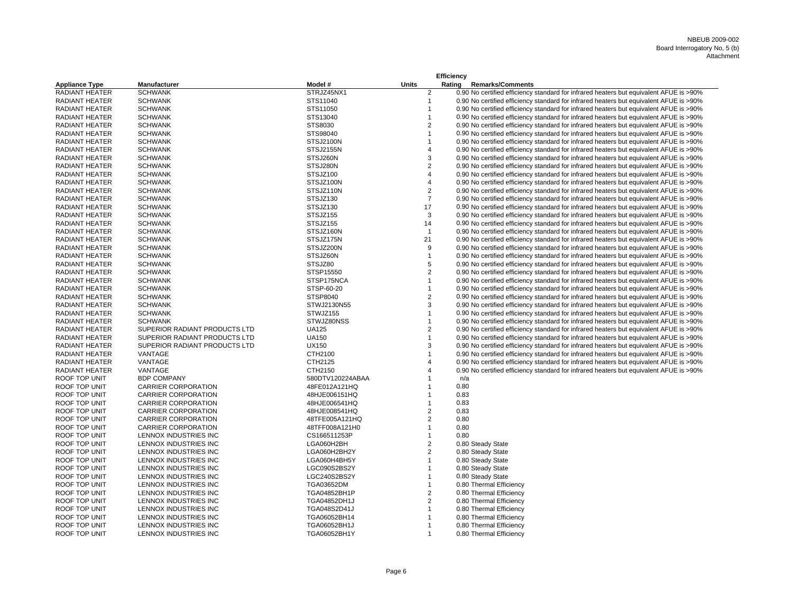|                       |                               |                  |                | Efficiency |                   |                                                                                        |
|-----------------------|-------------------------------|------------------|----------------|------------|-------------------|----------------------------------------------------------------------------------------|
| <b>Appliance Type</b> | <b>Manufacturer</b>           | Model #          | <b>Units</b>   | Rating     |                   | <b>Remarks/Comments</b>                                                                |
| <b>RADIANT HEATER</b> | <b>SCHWANK</b>                | STRJZ45NX1       | $\overline{2}$ |            |                   | 0.90 No certified efficiency standard for infrared heaters but equivalent AFUE is >90% |
| <b>RADIANT HEATER</b> | <b>SCHWANK</b>                | STS11040         | $\overline{1}$ |            |                   | 0.90 No certified efficiency standard for infrared heaters but equivalent AFUE is >90% |
| <b>RADIANT HEATER</b> | <b>SCHWANK</b>                | STS11050         | $\overline{1}$ |            |                   | 0.90 No certified efficiency standard for infrared heaters but equivalent AFUE is >90% |
| <b>RADIANT HEATER</b> | <b>SCHWANK</b>                | STS13040         | $\overline{1}$ |            |                   | 0.90 No certified efficiency standard for infrared heaters but equivalent AFUE is >90% |
| <b>RADIANT HEATER</b> | <b>SCHWANK</b>                | STS8030          | $\overline{2}$ |            |                   | 0.90 No certified efficiency standard for infrared heaters but equivalent AFUE is >90% |
| <b>RADIANT HEATER</b> | <b>SCHWANK</b>                | STS98040         | $\mathbf{1}$   |            |                   | 0.90 No certified efficiency standard for infrared heaters but equivalent AFUE is >90% |
| <b>RADIANT HEATER</b> | <b>SCHWANK</b>                | STSJ2100N        | $\mathbf{1}$   |            |                   | 0.90 No certified efficiency standard for infrared heaters but equivalent AFUE is >90% |
| RADIANT HEATER        | <b>SCHWANK</b>                | STSJ2155N        | $\overline{4}$ |            |                   | 0.90 No certified efficiency standard for infrared heaters but equivalent AFUE is >90% |
| <b>RADIANT HEATER</b> | <b>SCHWANK</b>                | STSJ260N         | 3              |            |                   | 0.90 No certified efficiency standard for infrared heaters but equivalent AFUE is >90% |
| <b>RADIANT HEATER</b> | <b>SCHWANK</b>                | STSJ280N         | $\overline{2}$ |            |                   | 0.90 No certified efficiency standard for infrared heaters but equivalent AFUE is >90% |
| <b>RADIANT HEATER</b> | <b>SCHWANK</b>                | STSJZ100         | $\overline{4}$ |            |                   | 0.90 No certified efficiency standard for infrared heaters but equivalent AFUE is >90% |
| <b>RADIANT HEATER</b> | <b>SCHWANK</b>                | STSJZ100N        | $\overline{4}$ |            |                   | 0.90 No certified efficiency standard for infrared heaters but equivalent AFUE is >90% |
| <b>RADIANT HEATER</b> | <b>SCHWANK</b>                | STSJZ110N        | 2              |            |                   | 0.90 No certified efficiency standard for infrared heaters but equivalent AFUE is >90% |
| <b>RADIANT HEATER</b> | <b>SCHWANK</b>                | STSJZ130         | $\overline{7}$ |            |                   | 0.90 No certified efficiency standard for infrared heaters but equivalent AFUE is >90% |
| <b>RADIANT HEATER</b> | <b>SCHWANK</b>                | STSJZ130         | 17             |            |                   | 0.90 No certified efficiency standard for infrared heaters but equivalent AFUE is >90% |
| RADIANT HEATER        | <b>SCHWANK</b>                | STSJZ155         | 3              |            |                   | 0.90 No certified efficiency standard for infrared heaters but equivalent AFUE is >90% |
| RADIANT HEATER        | <b>SCHWANK</b>                | STSJZ155         | 14             |            |                   | 0.90 No certified efficiency standard for infrared heaters but equivalent AFUE is >90% |
| <b>RADIANT HEATER</b> | <b>SCHWANK</b>                | STSJZ160N        | $\overline{1}$ |            |                   | 0.90 No certified efficiency standard for infrared heaters but equivalent AFUE is >90% |
| <b>RADIANT HEATER</b> | <b>SCHWANK</b>                | STSJZ175N        | 21             |            |                   | 0.90 No certified efficiency standard for infrared heaters but equivalent AFUE is >90% |
| <b>RADIANT HEATER</b> | <b>SCHWANK</b>                | STSJZ200N        | 9              |            |                   | 0.90 No certified efficiency standard for infrared heaters but equivalent AFUE is >90% |
| RADIANT HEATER        | <b>SCHWANK</b>                | STSJZ60N         | $\overline{1}$ |            |                   | 0.90 No certified efficiency standard for infrared heaters but equivalent AFUE is >90% |
| <b>RADIANT HEATER</b> | <b>SCHWANK</b>                | STSJZ80          | 5              |            |                   | 0.90 No certified efficiency standard for infrared heaters but equivalent AFUE is >90% |
| <b>RADIANT HEATER</b> | <b>SCHWANK</b>                | STSP15550        | 2              |            |                   | 0.90 No certified efficiency standard for infrared heaters but equivalent AFUE is >90% |
| <b>RADIANT HEATER</b> | <b>SCHWANK</b>                | STSP175NCA       | $\overline{1}$ |            |                   | 0.90 No certified efficiency standard for infrared heaters but equivalent AFUE is >90% |
| <b>RADIANT HEATER</b> | <b>SCHWANK</b>                | STSP-60-20       | $\overline{1}$ |            |                   | 0.90 No certified efficiency standard for infrared heaters but equivalent AFUE is >90% |
| <b>RADIANT HEATER</b> | <b>SCHWANK</b>                | STSP8040         | 2              |            |                   | 0.90 No certified efficiency standard for infrared heaters but equivalent AFUE is >90% |
| <b>RADIANT HEATER</b> | <b>SCHWANK</b>                | STWJ2130N55      | 3              |            |                   | 0.90 No certified efficiency standard for infrared heaters but equivalent AFUE is >90% |
| <b>RADIANT HEATER</b> | <b>SCHWANK</b>                | STWJZ155         | $\overline{1}$ |            |                   | 0.90 No certified efficiency standard for infrared heaters but equivalent AFUE is >90% |
| RADIANT HEATER        | <b>SCHWANK</b>                | STWJZ80NSS       | $\mathbf{1}$   |            |                   | 0.90 No certified efficiency standard for infrared heaters but equivalent AFUE is >90% |
| <b>RADIANT HEATER</b> | SUPERIOR RADIANT PRODUCTS LTD | <b>UA125</b>     | $\overline{2}$ |            |                   | 0.90 No certified efficiency standard for infrared heaters but equivalent AFUE is >90% |
| RADIANT HEATER        | SUPERIOR RADIANT PRODUCTS LTD | <b>UA150</b>     | $\overline{1}$ |            |                   | 0.90 No certified efficiency standard for infrared heaters but equivalent AFUE is >90% |
| <b>RADIANT HEATER</b> | SUPERIOR RADIANT PRODUCTS LTD | <b>UX150</b>     | 3              |            |                   | 0.90 No certified efficiency standard for infrared heaters but equivalent AFUE is >90% |
| <b>RADIANT HEATER</b> | VANTAGE                       | CTH2100          | $\overline{1}$ |            |                   | 0.90 No certified efficiency standard for infrared heaters but equivalent AFUE is >90% |
| <b>RADIANT HEATER</b> | VANTAGE                       | CTH2125          | $\overline{4}$ |            |                   | 0.90 No certified efficiency standard for infrared heaters but equivalent AFUE is >90% |
| <b>RADIANT HEATER</b> | VANTAGE                       | CTH2150          | $\overline{4}$ |            |                   | 0.90 No certified efficiency standard for infrared heaters but equivalent AFUE is >90% |
| ROOF TOP UNIT         | <b>BDP COMPANY</b>            | 580DTV120224ABAA | $\mathbf 1$    |            | n/a               |                                                                                        |
| ROOF TOP UNIT         | <b>CARRIER CORPORATION</b>    | 48FE012A121HQ    | -1             |            | 0.80              |                                                                                        |
| ROOF TOP UNIT         | <b>CARRIER CORPORATION</b>    | 48HJE006151HQ    | $\mathbf 1$    |            | 0.83              |                                                                                        |
| ROOF TOP UNIT         | <b>CARRIER CORPORATION</b>    | 48HJE006541HQ    | $\overline{1}$ |            | 0.83              |                                                                                        |
| ROOF TOP UNIT         | <b>CARRIER CORPORATION</b>    | 48HJE008541HQ    | $\overline{2}$ |            | 0.83              |                                                                                        |
| <b>ROOF TOP UNIT</b>  | <b>CARRIER CORPORATION</b>    | 48TFE005A121HQ   | $\overline{2}$ |            | 0.80              |                                                                                        |
| ROOF TOP UNIT         | <b>CARRIER CORPORATION</b>    | 48TFF008A121H0   | $\mathbf{1}$   |            | 0.80              |                                                                                        |
| ROOF TOP UNIT         | LENNOX INDUSTRIES INC         | CS166511253P     | $\mathbf{1}$   |            | 0.80              |                                                                                        |
| ROOF TOP UNIT         | LENNOX INDUSTRIES INC         | LGA060H2BH       | 2              |            | 0.80 Steady State |                                                                                        |
| <b>ROOF TOP UNIT</b>  | LENNOX INDUSTRIES INC         | LGA060H2BH2Y     | 2              |            | 0.80 Steady State |                                                                                        |
| ROOF TOP UNIT         | LENNOX INDUSTRIES INC         | LGA060H4BH5Y     | $\overline{1}$ |            | 0.80 Steady State |                                                                                        |
| ROOF TOP UNIT         | LENNOX INDUSTRIES INC         | LGC090S2BS2Y     | $\mathbf{1}$   |            | 0.80 Steady State |                                                                                        |
| ROOF TOP UNIT         | LENNOX INDUSTRIES INC         | LGC240S2BS2Y     | $\mathbf{1}$   |            | 0.80 Steady State |                                                                                        |
| <b>ROOF TOP UNIT</b>  | LENNOX INDUSTRIES INC         | TGA03652DM       | $\overline{1}$ |            |                   | 0.80 Thermal Efficiency                                                                |
| ROOF TOP UNIT         | LENNOX INDUSTRIES INC         | TGA04852BH1P     | 2              |            |                   | 0.80 Thermal Efficiency                                                                |
| ROOF TOP UNIT         | LENNOX INDUSTRIES INC         | TGA04852DH1J     | 2              |            |                   | 0.80 Thermal Efficiency                                                                |
| ROOF TOP UNIT         | LENNOX INDUSTRIES INC         | TGA048S2D41J     | $\mathbf{1}$   |            |                   | 0.80 Thermal Efficiency                                                                |
| <b>ROOF TOP UNIT</b>  | LENNOX INDUSTRIES INC         | TGA06052BH14     | $\mathbf{1}$   |            |                   | 0.80 Thermal Efficiency                                                                |
| ROOF TOP UNIT         | LENNOX INDUSTRIES INC         | TGA06052BH1J     | $\mathbf 1$    |            |                   | 0.80 Thermal Efficiency                                                                |
| ROOF TOP UNIT         | LENNOX INDUSTRIES INC         | TGA06052BH1Y     | $\overline{1}$ |            |                   | 0.80 Thermal Efficiency                                                                |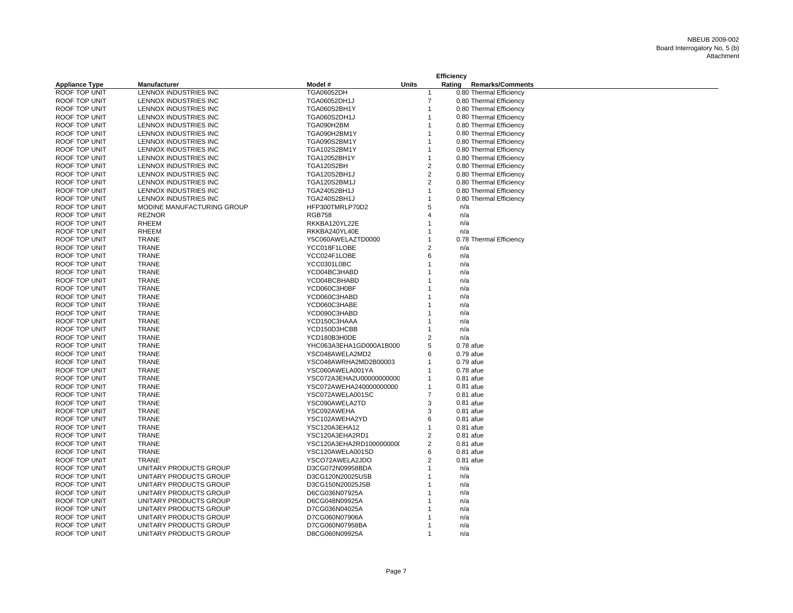|                       |                            |                          |                | Efficiency              |                         |
|-----------------------|----------------------------|--------------------------|----------------|-------------------------|-------------------------|
| <b>Appliance Type</b> | <b>Manufacturer</b>        | Model #                  | <b>Units</b>   | Rating                  | <b>Remarks/Comments</b> |
| ROOF TOP UNIT         | LENNOX INDUSTRIES INC      | <b>TGA06052DH</b>        | 1              | 0.80 Thermal Efficiency |                         |
| ROOF TOP UNIT         | LENNOX INDUSTRIES INC      | TGA06052DH1J             | $\overline{7}$ | 0.80 Thermal Efficiency |                         |
| ROOF TOP UNIT         | LENNOX INDUSTRIES INC      | <b>TGA060S2BH1Y</b>      | 1              | 0.80 Thermal Efficiency |                         |
| ROOF TOP UNIT         | LENNOX INDUSTRIES INC      | <b>TGA060S2DH1J</b>      | 1              | 0.80 Thermal Efficiency |                         |
| ROOF TOP UNIT         | LENNOX INDUSTRIES INC      | TGA090H2BM               | 1              | 0.80 Thermal Efficiency |                         |
| <b>ROOF TOP UNIT</b>  | LENNOX INDUSTRIES INC      | TGA090H2BM1Y             | 1              | 0.80 Thermal Efficiency |                         |
| ROOF TOP UNIT         | LENNOX INDUSTRIES INC      | TGA090S2BM1Y             | 1              | 0.80 Thermal Efficiency |                         |
| ROOF TOP UNIT         | LENNOX INDUSTRIES INC      | <b>TGA102S2BM1Y</b>      | 1              | 0.80 Thermal Efficiency |                         |
| ROOF TOP UNIT         | LENNOX INDUSTRIES INC      | TGA12052BH1Y             | 1              | 0.80 Thermal Efficiency |                         |
| ROOF TOP UNIT         | LENNOX INDUSTRIES INC      | TGA120S2BH               | $\overline{2}$ | 0.80 Thermal Efficiency |                         |
| ROOF TOP UNIT         | LENNOX INDUSTRIES INC      | <b>TGA120S2BH1J</b>      | $\overline{2}$ | 0.80 Thermal Efficiency |                         |
| ROOF TOP UNIT         | LENNOX INDUSTRIES INC      | TGA120S2BM1J             | $\overline{2}$ | 0.80 Thermal Efficiency |                         |
| ROOF TOP UNIT         | LENNOX INDUSTRIES INC      | TGA24052BH1J             | $\mathbf{1}$   | 0.80 Thermal Efficiency |                         |
| ROOF TOP UNIT         | LENNOX INDUSTRIES INC      | TGA240S2BH1J             | 1              | 0.80 Thermal Efficiency |                         |
| ROOF TOP UNIT         | MODINE MANUFACTURING GROUP | HFP300TMRLP70D2          | 5              | n/a                     |                         |
| ROOF TOP UNIT         | <b>REZNOR</b>              | <b>RGB758</b>            | $\overline{4}$ | n/a                     |                         |
| ROOF TOP UNIT         | <b>RHEEM</b>               | RKKBA120YL22E            | 1              | n/a                     |                         |
| ROOF TOP UNIT         | <b>RHEEM</b>               | RKKBA240YL40E            | 1              | n/a                     |                         |
| ROOF TOP UNIT         | <b>TRANE</b>               | Y5C060AWELAZTD0000       | 1              | 0.78 Thermal Efficiency |                         |
| ROOF TOP UNIT         | <b>TRANE</b>               | YCC018F1LOBE             | 2              | n/a                     |                         |
| ROOF TOP UNIT         | <b>TRANE</b>               | YCC024F1LOBE             | 6              | n/a                     |                         |
| ROOF TOP UNIT         | <b>TRANE</b>               | YCC0301L0BC              | 1              | n/a                     |                         |
| ROOF TOP UNIT         | <b>TRANE</b>               | YCD04BC3HABD             | 1              | n/a                     |                         |
| ROOF TOP UNIT         | <b>TRANE</b>               | YCD04BCBHABD             | 1              | n/a                     |                         |
| ROOF TOP UNIT         | <b>TRANE</b>               | YCD060C3H0BF             | 1              | n/a                     |                         |
| ROOF TOP UNIT         | <b>TRANE</b>               | YCD060C3HABD             | 1              | n/a                     |                         |
| ROOF TOP UNIT         | <b>TRANE</b>               | YCD060C3HABE             | 1              | n/a                     |                         |
| ROOF TOP UNIT         | <b>TRANE</b>               | YCD090C3HABD             | 1              | n/a                     |                         |
| ROOF TOP UNIT         | <b>TRANE</b>               | YCD150C3HAAA             | 1              | n/a                     |                         |
| ROOF TOP UNIT         | <b>TRANE</b>               | YCD150D3HCBB             | 1              | n/a                     |                         |
| ROOF TOP UNIT         | <b>TRANE</b>               | YCD180B3H0DE             | $\overline{2}$ | n/a                     |                         |
| ROOF TOP UNIT         | <b>TRANE</b>               | YHC063A3EHA1GD000A1B000  | 5              | $0.78$ afue             |                         |
| ROOF TOP UNIT         | TRANE                      | YSC048AWELA2MD2          | 6              | $0.79$ afue             |                         |
| ROOF TOP UNIT         | <b>TRANE</b>               | YSC048AWRHA2MD2B00003    | 1              | $0.79$ afue             |                         |
| ROOF TOP UNIT         | <b>TRANE</b>               | YSC060AWELA001YA         | 1              | $0.78$ afue             |                         |
| <b>ROOF TOP UNIT</b>  | <b>TRANE</b>               | YSC072A3EHA2U00000000000 | $\mathbf{1}$   | $0.81$ afue             |                         |
| ROOF TOP UNIT         | TRANE                      | YSC072AWEHA240000000000  | $\mathbf{1}$   | $0.81$ afue             |                         |
| ROOF TOP UNIT         | <b>TRANE</b>               | YSC072AWELA001SC         | $\overline{7}$ | $0.81$ afue             |                         |
| ROOF TOP UNIT         | <b>TRANE</b>               | YSC090AWELA2TD           | 3              | $0.81$ afue             |                         |
| ROOF TOP UNIT         | <b>TRANE</b>               | YSC092AWEHA              | 3              | $0.81$ afue             |                         |
| ROOF TOP UNIT         | <b>TRANE</b>               | YSC102AWEHA2YD           | 6              | $0.81$ afue             |                         |
| ROOF TOP UNIT         | <b>TRANE</b>               | YSC120A3EHA12            | 1              | $0.81$ afue             |                         |
| ROOF TOP UNIT         | <b>TRANE</b>               | YSC120A3EHA2RD1          | $\overline{2}$ | $0.81$ afue             |                         |
| ROOF TOP UNIT         | <b>TRANE</b>               | YSC120A3EHA2RD1000000000 | $\overline{2}$ | $0.81$ afue             |                         |
| ROOF TOP UNIT         | <b>TRANE</b>               | YSC120AWELA001SD         | 6              | $0.81$ afue             |                         |
| ROOF TOP UNIT         | <b>TRANE</b>               | YSCO72AWELA2JDO          | $\overline{2}$ | $0.81$ afue             |                         |
| ROOF TOP UNIT         | UNITARY PRODUCTS GROUP     | D3CG072N09958BDA         | 1              | n/a                     |                         |
| ROOF TOP UNIT         | UNITARY PRODUCTS GROUP     | D3CG120N20025USB         | 1              | n/a                     |                         |
| ROOF TOP UNIT         | UNITARY PRODUCTS GROUP     | D3CG150N20025JSB         | 1              | n/a                     |                         |
| ROOF TOP UNIT         | UNITARY PRODUCTS GROUP     | D6CG036N07925A           | 1              | n/a                     |                         |
| ROOF TOP UNIT         | UNITARY PRODUCTS GROUP     | D6CG048N09925A           | 1              | n/a                     |                         |
| ROOF TOP UNIT         | UNITARY PRODUCTS GROUP     | D7CG036N04025A           | 1              | n/a                     |                         |
| ROOF TOP UNIT         | UNITARY PRODUCTS GROUP     | D7CG060N07906A           |                | n/a                     |                         |
| ROOF TOP UNIT         | UNITARY PRODUCTS GROUP     | D7CG060N07958BA          | 1              | n/a                     |                         |
| <b>ROOF TOP UNIT</b>  | UNITARY PRODUCTS GROUP     | D8CG060N09925A           |                | n/a                     |                         |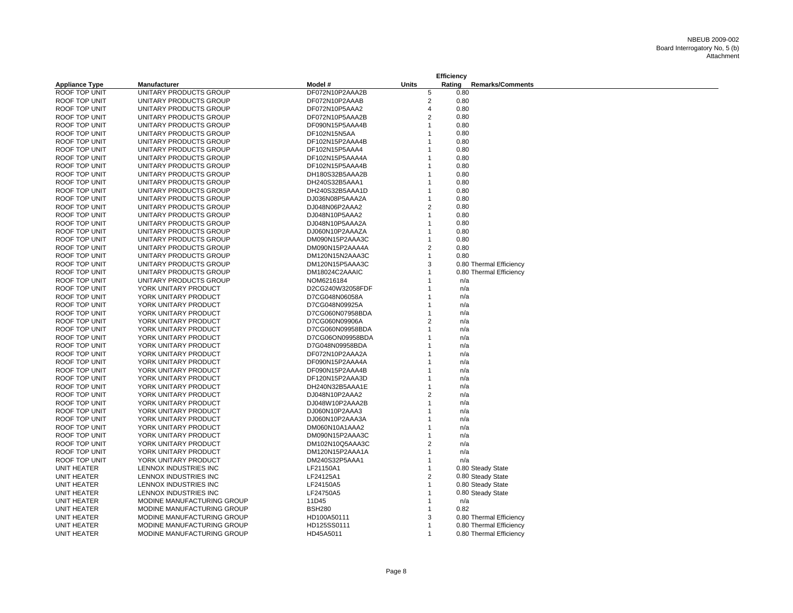|                       |                            |                                  |                | <b>Efficiency</b> |      |                         |
|-----------------------|----------------------------|----------------------------------|----------------|-------------------|------|-------------------------|
| <b>Appliance Type</b> | Manufacturer               | Model #                          | <b>Units</b>   | Rating            |      | <b>Remarks/Comments</b> |
| <b>ROOF TOP UNIT</b>  | UNITARY PRODUCTS GROUP     | DF072N10P2AAA2B                  | 5              |                   | 0.80 |                         |
| ROOF TOP UNIT         | UNITARY PRODUCTS GROUP     | DF072N10P2AAAB                   | $\overline{2}$ |                   | 0.80 |                         |
| ROOF TOP UNIT         | UNITARY PRODUCTS GROUP     | DF072N10P5AAA2                   | $\overline{4}$ |                   | 0.80 |                         |
| ROOF TOP UNIT         | UNITARY PRODUCTS GROUP     | DF072N10P5AAA2B                  | $\overline{2}$ |                   | 0.80 |                         |
| ROOF TOP UNIT         | UNITARY PRODUCTS GROUP     | DF090N15P5AAA4B                  | 1              |                   | 0.80 |                         |
| ROOF TOP UNIT         | UNITARY PRODUCTS GROUP     | DF102N15N5AA                     |                |                   | 0.80 |                         |
| ROOF TOP UNIT         | UNITARY PRODUCTS GROUP     | DF102N15P2AAA4B                  |                |                   | 0.80 |                         |
| ROOF TOP UNIT         | UNITARY PRODUCTS GROUP     | DF102N15P5AAA4                   | 1              |                   | 0.80 |                         |
| ROOF TOP UNIT         | UNITARY PRODUCTS GROUP     | DF102N15P5AAA4A                  |                |                   | 0.80 |                         |
| ROOF TOP UNIT         | UNITARY PRODUCTS GROUP     | DF102N15P5AAA4B                  |                |                   | 0.80 |                         |
| ROOF TOP UNIT         | UNITARY PRODUCTS GROUP     | DH180S32B5AAA2B                  | 1              |                   | 0.80 |                         |
| ROOF TOP UNIT         | UNITARY PRODUCTS GROUP     | DH240S32B5AAA1                   | 1              |                   | 0.80 |                         |
| ROOF TOP UNIT         | UNITARY PRODUCTS GROUP     | DH240S32B5AAA1D                  | 1              |                   | 0.80 |                         |
| ROOF TOP UNIT         | UNITARY PRODUCTS GROUP     | DJ036N08P5AAA2A                  | 1              |                   | 0.80 |                         |
| ROOF TOP UNIT         | UNITARY PRODUCTS GROUP     | DJ048N06P2AAA2                   | $\overline{2}$ |                   | 0.80 |                         |
| ROOF TOP UNIT         | UNITARY PRODUCTS GROUP     | DJ048N10P5AAA2                   | 1              |                   | 0.80 |                         |
| ROOF TOP UNIT         | UNITARY PRODUCTS GROUP     | DJ048N10P5AAA2A                  |                |                   | 0.80 |                         |
| ROOF TOP UNIT         | UNITARY PRODUCTS GROUP     | DJ060N10P2AAAZA                  | 1              |                   | 0.80 |                         |
| ROOF TOP UNIT         | UNITARY PRODUCTS GROUP     | DM090N15P2AAA3C                  | 1              |                   | 0.80 |                         |
| ROOF TOP UNIT         | UNITARY PRODUCTS GROUP     | DM090N15P2AAA4A                  | $\overline{2}$ |                   | 0.80 |                         |
| ROOF TOP UNIT         | UNITARY PRODUCTS GROUP     | DM120N15N2AAA3C                  | $\mathbf{1}$   |                   | 0.80 |                         |
| ROOF TOP UNIT         | UNITARY PRODUCTS GROUP     | DM120N15P5AAA3C                  | 3              |                   |      | 0.80 Thermal Efficiency |
| ROOF TOP UNIT         | UNITARY PRODUCTS GROUP     | DM18024C2AAAIC                   | 1              |                   |      | 0.80 Thermal Efficiency |
| ROOF TOP UNIT         | UNITARY PRODUCTS GROUP     | NOM6216184                       | 1              |                   | n/a  |                         |
| ROOF TOP UNIT         |                            |                                  |                |                   |      |                         |
| ROOF TOP UNIT         | YORK UNITARY PRODUCT       | D2CG240W32058FDF                 |                |                   | n/a  |                         |
| ROOF TOP UNIT         | YORK UNITARY PRODUCT       | D7CG048N06058A<br>D7CG048N09925A |                |                   | n/a  |                         |
|                       | YORK UNITARY PRODUCT       |                                  | 1              |                   | n/a  |                         |
| ROOF TOP UNIT         | YORK UNITARY PRODUCT       | D7CG060N07958BDA                 | 2              |                   | n/a  |                         |
| ROOF TOP UNIT         | YORK UNITARY PRODUCT       | D7CG060N09906A                   | 1              |                   | n/a  |                         |
| ROOF TOP UNIT         | YORK UNITARY PRODUCT       | D7CG060N09958BDA                 |                |                   | n/a  |                         |
| ROOF TOP UNIT         | YORK UNITARY PRODUCT       | D7CG06ON09958BDA                 |                |                   | n/a  |                         |
| ROOF TOP UNIT         | YORK UNITARY PRODUCT       | D7G048N09958BDA                  |                |                   | n/a  |                         |
| ROOF TOP UNIT         | YORK UNITARY PRODUCT       | DF072N10P2AAA2A                  |                |                   | n/a  |                         |
| ROOF TOP UNIT         | YORK UNITARY PRODUCT       | DF090N15P2AAA4A                  |                |                   | n/a  |                         |
| ROOF TOP UNIT         | YORK UNITARY PRODUCT       | DF090N15P2AAA4B                  |                |                   | n/a  |                         |
| <b>ROOF TOP UNIT</b>  | YORK UNITARY PRODUCT       | DF120N15P2AAA3D                  |                |                   | n/a  |                         |
| ROOF TOP UNIT         | YORK UNITARY PRODUCT       | DH240N32B5AAA1E                  |                |                   | n/a  |                         |
| ROOF TOP UNIT         | YORK UNITARY PRODUCT       | DJ048N10P2AAA2                   | 2              |                   | n/a  |                         |
| ROOF TOP UNIT         | YORK UNITARY PRODUCT       | DJ048W10P2AAA2B                  | 1              |                   | n/a  |                         |
| ROOF TOP UNIT         | YORK UNITARY PRODUCT       | DJ060N10P2AAA3                   |                |                   | n/a  |                         |
| ROOF TOP UNIT         | YORK UNITARY PRODUCT       | DJ060N10P2AAA3A                  |                |                   | n/a  |                         |
| ROOF TOP UNIT         | YORK UNITARY PRODUCT       | DM060N10A1AAA2                   |                |                   | n/a  |                         |
| ROOF TOP UNIT         | YORK UNITARY PRODUCT       | DM090N15P2AAA3C                  |                |                   | n/a  |                         |
| ROOF TOP UNIT         | YORK UNITARY PRODUCT       | DM102N10Q5AAA3C                  | $\overline{2}$ |                   | n/a  |                         |
| ROOF TOP UNIT         | YORK UNITARY PRODUCT       | DM120N15P2AAA1A                  | 1              |                   | n/a  |                         |
| ROOF TOP UNIT         | YORK UNITARY PRODUCT       | DM240S32P5AAA1                   | 1              |                   | n/a  |                         |
| UNIT HEATER           | LENNOX INDUSTRIES INC      | LF21150A1                        | 1              |                   |      | 0.80 Steady State       |
| <b>UNIT HEATER</b>    | LENNOX INDUSTRIES INC      | LF24125A1                        | $\overline{2}$ |                   |      | 0.80 Steady State       |
| <b>UNIT HEATER</b>    | LENNOX INDUSTRIES INC      | LF24150A5                        |                |                   |      | 0.80 Steady State       |
| UNIT HEATER           | LENNOX INDUSTRIES INC      | LF24750A5                        | $\overline{1}$ |                   |      | 0.80 Steady State       |
| UNIT HEATER           | MODINE MANUFACTURING GROUP | 11D45                            | 1              |                   | n/a  |                         |
| UNIT HEATER           | MODINE MANUFACTURING GROUP | <b>BSH280</b>                    | 1              |                   | 0.82 |                         |
| <b>UNIT HEATER</b>    | MODINE MANUFACTURING GROUP | HD100A50111                      | 3              |                   |      | 0.80 Thermal Efficiency |
| UNIT HEATER           | MODINE MANUFACTURING GROUP | HD125SS0111                      | $\mathbf 1$    |                   |      | 0.80 Thermal Efficiency |
| UNIT HEATER           | MODINE MANUFACTURING GROUP | HD45A5011                        | $\mathbf 1$    |                   |      | 0.80 Thermal Efficiency |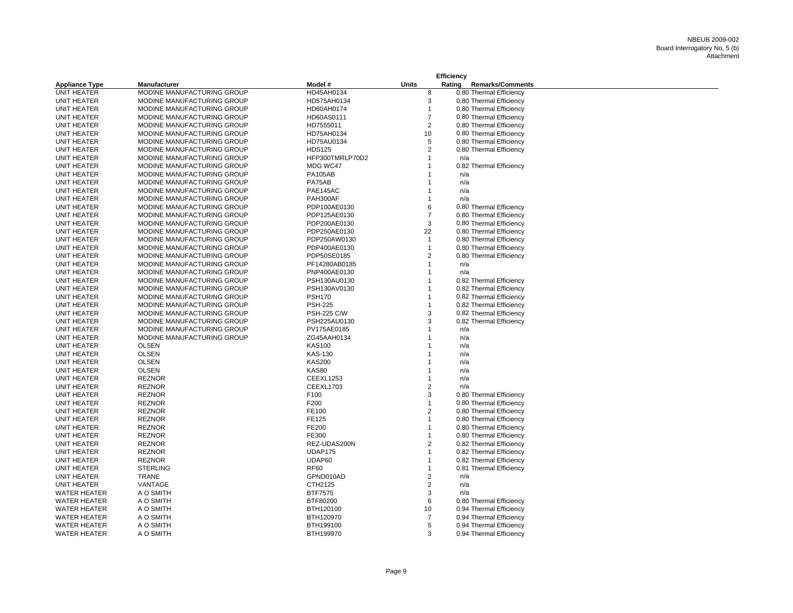|                       |                            | Efficiency         |                |        |                         |  |
|-----------------------|----------------------------|--------------------|----------------|--------|-------------------------|--|
| <b>Appliance Type</b> | <b>Manufacturer</b>        | Model #            | <b>Units</b>   | Rating | <b>Remarks/Comments</b> |  |
| <b>UNIT HEATER</b>    | MODINE MANUFACTURING GROUP | HD45AH0134         | 8              |        | 0.80 Thermal Efficiency |  |
| UNIT HEATER           | MODINE MANUFACTURING GROUP | HD575AH0134        | 3              |        | 0.80 Thermal Efficiency |  |
| UNIT HEATER           | MODINE MANUFACTURING GROUP | HD60AH0174         | $\mathbf{1}$   |        | 0.80 Thermal Efficiency |  |
| UNIT HEATER           | MODINE MANUFACTURING GROUP | HD60AS0111         | $\overline{7}$ |        | 0.80 Thermal Efficiency |  |
| UNIT HEATER           | MODINE MANUFACTURING GROUP | HD7555011          | 2              |        | 0.80 Thermal Efficiency |  |
| UNIT HEATER           | MODINE MANUFACTURING GROUP | HD75AH0134         | 10             |        | 0.80 Thermal Efficiency |  |
| UNIT HEATER           | MODINE MANUFACTURING GROUP | HD75AU0134         | 5              |        | 0.80 Thermal Efficiency |  |
| UNIT HEATER           | MODINE MANUFACTURING GROUP | <b>HDS125</b>      | 2              |        | 0.80 Thermal Efficiency |  |
| UNIT HEATER           | MODINE MANUFACTURING GROUP | HFP300TMRLP70D2    | 1              | n/a    |                         |  |
| UNIT HEATER           | MODINE MANUFACTURING GROUP | MDG WC47           |                |        | 0.82 Thermal Efficiency |  |
| UNIT HEATER           | MODINE MANUFACTURING GROUP | <b>PA105AB</b>     |                | n/a    |                         |  |
| UNIT HEATER           | MODINE MANUFACTURING GROUP | PA75AB             |                | n/a    |                         |  |
| UNIT HEATER           | MODINE MANUFACTURING GROUP | PAE145AC           |                | n/a    |                         |  |
| UNIT HEATER           | MODINE MANUFACTURING GROUP | PAH300AF           | $\mathbf{1}$   | n/a    |                         |  |
| UNIT HEATER           | MODINE MANUFACTURING GROUP | PDP100AE0130       | 6              |        | 0.80 Thermal Efficiency |  |
| UNIT HEATER           | MODINE MANUFACTURING GROUP | PDP125AE0130       | $\overline{7}$ |        | 0.80 Thermal Efficiency |  |
| UNIT HEATER           | MODINE MANUFACTURING GROUP | PDP200AE0130       | 3              |        | 0.80 Thermal Efficiency |  |
| UNIT HEATER           | MODINE MANUFACTURING GROUP | PDP250AE0130       | 22             |        | 0.80 Thermal Efficiency |  |
| UNIT HEATER           | MODINE MANUFACTURING GROUP | PDP250AW0130       | $\mathbf{1}$   |        | 0.80 Thermal Efficiency |  |
| UNIT HEATER           | MODINE MANUFACTURING GROUP | PDP400AE0130       | 1              |        | 0.80 Thermal Efficiency |  |
| UNIT HEATER           | MODINE MANUFACTURING GROUP | PDP50SE0185        | $\overline{2}$ |        | 0.80 Thermal Efficiency |  |
| UNIT HEATER           | MODINE MANUFACTURING GROUP | PF14280AB0185      | 1              | n/a    |                         |  |
| UNIT HEATER           | MODINE MANUFACTURING GROUP | PNP400AE0130       | 1              | n/a    |                         |  |
| UNIT HEATER           | MODINE MANUFACTURING GROUP | PSH130AU0130       | $\mathbf 1$    |        | 0.82 Thermal Efficiency |  |
| UNIT HEATER           | MODINE MANUFACTURING GROUP | PSH130AV0130       | 1              |        | 0.82 Thermal Efficiency |  |
| UNIT HEATER           | MODINE MANUFACTURING GROUP | <b>PSH170</b>      |                |        | 0.82 Thermal Efficiency |  |
| UNIT HEATER           | MODINE MANUFACTURING GROUP | <b>PSH-225</b>     | $\mathbf{1}$   |        | 0.82 Thermal Efficiency |  |
| UNIT HEATER           | MODINE MANUFACTURING GROUP | <b>PSH-225 C/W</b> | 3              |        | 0.82 Thermal Efficiency |  |
| UNIT HEATER           | MODINE MANUFACTURING GROUP | PSH225AU0130       | 3              |        | 0.82 Thermal Efficiency |  |
| UNIT HEATER           | MODINE MANUFACTURING GROUP | PV175AE0185        |                | n/a    |                         |  |
| UNIT HEATER           | MODINE MANUFACTURING GROUP | ZG45AAH0134        | $\mathbf 1$    | n/a    |                         |  |
| UNIT HEATER           | <b>OLSEN</b>               | <b>KAS100</b>      |                | n/a    |                         |  |
| UNIT HEATER           | <b>OLSEN</b>               | <b>KAS-130</b>     |                | n/a    |                         |  |
| UNIT HEATER           | <b>OLSEN</b>               | <b>KAS200</b>      |                | n/a    |                         |  |
| UNIT HEATER           | <b>OLSEN</b>               | <b>KAS80</b>       |                | n/a    |                         |  |
| UNIT HEATER           | <b>REZNOR</b>              | <b>CEEXL1253</b>   |                | n/a    |                         |  |
| UNIT HEATER           | <b>REZNOR</b>              | <b>CEEXL1703</b>   | 2              | n/a    |                         |  |
| UNIT HEATER           | <b>REZNOR</b>              | F100               | 3              |        | 0.80 Thermal Efficiency |  |
| UNIT HEATER           | <b>REZNOR</b>              | F200               | 1              |        | 0.80 Thermal Efficiency |  |
| UNIT HEATER           | <b>REZNOR</b>              | FE100              | 2              |        | 0.80 Thermal Efficiency |  |
| UNIT HEATER           | <b>REZNOR</b>              | FE125              | $\mathbf{1}$   |        | 0.80 Thermal Efficiency |  |
| UNIT HEATER           | <b>REZNOR</b>              | FE200              | 1              |        | 0.80 Thermal Efficiency |  |
| UNIT HEATER           | <b>REZNOR</b>              | FE300              | 1              |        | 0.80 Thermal Efficiency |  |
| UNIT HEATER           | <b>REZNOR</b>              | REZ-UDAS200N       | 2              |        | 0.82 Thermal Efficiency |  |
| UNIT HEATER           | <b>REZNOR</b>              | <b>UDAP175</b>     | $\mathbf{1}$   |        | 0.82 Thermal Efficiency |  |
| UNIT HEATER           | <b>REZNOR</b>              | UDAP60             |                |        | 0.82 Thermal Efficiency |  |
| UNIT HEATER           | <b>STERLING</b>            | <b>RF60</b>        | $\mathbf 1$    |        | 0.81 Thermal Efficiency |  |
| UNIT HEATER           | <b>TRANE</b>               | GPND010AD          | $\overline{2}$ | n/a    |                         |  |
| UNIT HEATER           | VANTAGE                    | CTH2125            | $\overline{2}$ | n/a    |                         |  |
| <b>WATER HEATER</b>   | A O SMITH                  | <b>BTF7575</b>     | 3              | n/a    |                         |  |
| <b>WATER HEATER</b>   | A O SMITH                  | BTF80200           | 6              |        | 0.80 Thermal Efficiency |  |
| <b>WATER HEATER</b>   | A O SMITH                  | BTH120100          | 10             |        | 0.94 Thermal Efficiency |  |
| <b>WATER HEATER</b>   | A O SMITH                  | BTH120970          | 7              |        | 0.94 Thermal Efficiency |  |
| <b>WATER HEATER</b>   | A O SMITH                  | BTH199100          | 5              |        | 0.94 Thermal Efficiency |  |
| <b>WATER HEATER</b>   | A O SMITH                  | BTH199970          | 3              |        | 0.94 Thermal Efficiency |  |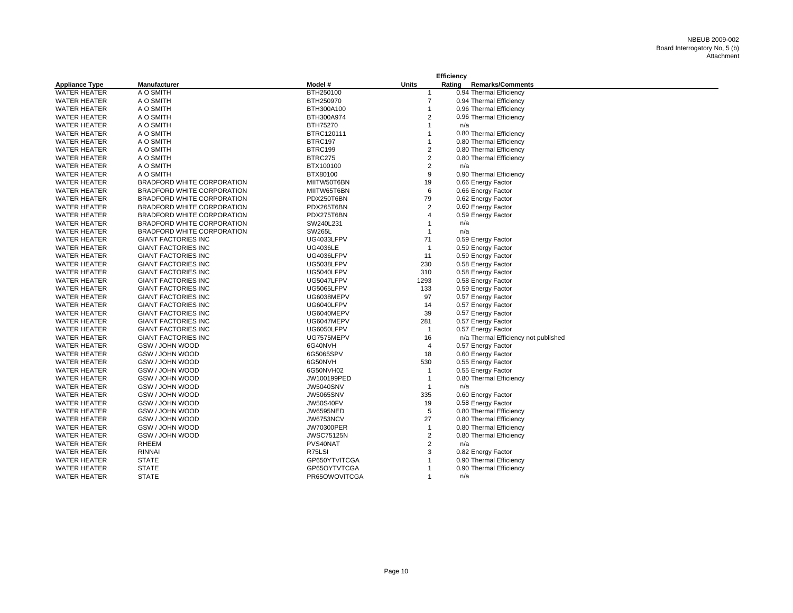|                       |                            |                   |                | Efficiency |                                      |
|-----------------------|----------------------------|-------------------|----------------|------------|--------------------------------------|
| <b>Appliance Type</b> | <b>Manufacturer</b>        | Model #           | <b>Units</b>   | Rating     | <b>Remarks/Comments</b>              |
| <b>WATER HEATER</b>   | A O SMITH                  | BTH250100         | $\mathbf 1$    |            | 0.94 Thermal Efficiency              |
| <b>WATER HEATER</b>   | A O SMITH                  | BTH250970         | $\overline{7}$ |            | 0.94 Thermal Efficiency              |
| <b>WATER HEATER</b>   | A O SMITH                  | BTH300A100        | $\mathbf{1}$   |            | 0.96 Thermal Efficiency              |
| <b>WATER HEATER</b>   | A O SMITH                  | BTH300A974        | $\overline{2}$ |            | 0.96 Thermal Efficiency              |
| <b>WATER HEATER</b>   | A O SMITH                  | BTH75270          | $\mathbf{1}$   |            | n/a                                  |
| <b>WATER HEATER</b>   | A O SMITH                  | BTRC120111        | $\mathbf{1}$   |            | 0.80 Thermal Efficiency              |
| <b>WATER HEATER</b>   | A O SMITH                  | BTRC197           | $\overline{1}$ |            | 0.80 Thermal Efficiency              |
| <b>WATER HEATER</b>   | A O SMITH                  | BTRC199           | $\sqrt{2}$     |            | 0.80 Thermal Efficiency              |
| <b>WATER HEATER</b>   | A O SMITH                  | <b>BTRC275</b>    | $\overline{2}$ |            | 0.80 Thermal Efficiency              |
| <b>WATER HEATER</b>   | A O SMITH                  | BTX100100         | $\overline{2}$ |            | n/a                                  |
| <b>WATER HEATER</b>   | A O SMITH                  | BTX80100          | 9              |            | 0.90 Thermal Efficiency              |
| <b>WATER HEATER</b>   | BRADFORD WHITE CORPORATION | MIITW50T6BN       | 19             |            | 0.66 Energy Factor                   |
| <b>WATER HEATER</b>   | BRADFORD WHITE CORPORATION | MIITW65T6BN       | 6              |            | 0.66 Energy Factor                   |
| <b>WATER HEATER</b>   | BRADFORD WHITE CORPORATION | PDX250T6BN        | 79             |            | 0.62 Energy Factor                   |
| <b>WATER HEATER</b>   | BRADFORD WHITE CORPORATION | PDX265T6BN        | $\overline{2}$ |            | 0.60 Energy Factor                   |
| <b>WATER HEATER</b>   | BRADFORD WHITE CORPORATION | PDX275T6BN        | $\overline{4}$ |            | 0.59 Energy Factor                   |
| <b>WATER HEATER</b>   | BRADFORD WHITE CORPORATION | SW240L231         | $\mathbf{1}$   |            | n/a                                  |
| <b>WATER HEATER</b>   | BRADFORD WHITE CORPORATION | <b>SW265L</b>     | $\mathbf{1}$   |            | n/a                                  |
| <b>WATER HEATER</b>   | <b>GIANT FACTORIES INC</b> | UG4033LFPV        | 71             |            | 0.59 Energy Factor                   |
| <b>WATER HEATER</b>   | <b>GIANT FACTORIES INC</b> | <b>UG4036LE</b>   | $\overline{1}$ |            | 0.59 Energy Factor                   |
| <b>WATER HEATER</b>   | <b>GIANT FACTORIES INC</b> | UG4036LFPV        | 11             |            | 0.59 Energy Factor                   |
| <b>WATER HEATER</b>   | <b>GIANT FACTORIES INC</b> | UG5038LFPV        | 230            |            | 0.58 Energy Factor                   |
| <b>WATER HEATER</b>   | <b>GIANT FACTORIES INC</b> | UG5040LFPV        | 310            |            | 0.58 Energy Factor                   |
| <b>WATER HEATER</b>   | <b>GIANT FACTORIES INC</b> | UG5047LFPV        | 1293           |            | 0.58 Energy Factor                   |
| <b>WATER HEATER</b>   | <b>GIANT FACTORIES INC</b> | UG5065LFPV        | 133            |            | 0.59 Energy Factor                   |
| <b>WATER HEATER</b>   | <b>GIANT FACTORIES INC</b> | UG6038MEPV        | 97             |            | 0.57 Energy Factor                   |
| <b>WATER HEATER</b>   | <b>GIANT FACTORIES INC</b> | UG6040LFPV        | 14             |            | 0.57 Energy Factor                   |
| <b>WATER HEATER</b>   | <b>GIANT FACTORIES INC</b> | UG6040MEPV        | 39             |            | 0.57 Energy Factor                   |
| <b>WATER HEATER</b>   | <b>GIANT FACTORIES INC</b> | UG6047MEPV        | 281            |            | 0.57 Energy Factor                   |
| <b>WATER HEATER</b>   | <b>GIANT FACTORIES INC</b> | UG6050LFPV        | $\overline{1}$ |            | 0.57 Energy Factor                   |
| <b>WATER HEATER</b>   | <b>GIANT FACTORIES INC</b> | UG7575MEPV        | 16             |            | n/a Thermal Efficiency not published |
| <b>WATER HEATER</b>   | GSW / JOHN WOOD            | 6G40NVH           | $\overline{4}$ |            | 0.57 Energy Factor                   |
| <b>WATER HEATER</b>   | GSW / JOHN WOOD            | 6G5065SPV         | 18             |            | 0.60 Energy Factor                   |
| <b>WATER HEATER</b>   | GSW / JOHN WOOD            | 6G50NVH           | 530            |            | 0.55 Energy Factor                   |
| <b>WATER HEATER</b>   | GSW / JOHN WOOD            | 6G50NVH02         | $\overline{1}$ |            | 0.55 Energy Factor                   |
| <b>WATER HEATER</b>   | GSW / JOHN WOOD            | JW100199PED       | $\overline{1}$ |            | 0.80 Thermal Efficiency              |
| <b>WATER HEATER</b>   | GSW / JOHN WOOD            | <b>JW5040SNV</b>  | $\overline{1}$ |            | n/a                                  |
| <b>WATER HEATER</b>   | GSW / JOHN WOOD            | <b>JW5065SNV</b>  | 335            |            | 0.60 Energy Factor                   |
| <b>WATER HEATER</b>   | GSW / JOHN WOOD            | <b>JW50S40FV</b>  | 19             |            | 0.58 Energy Factor                   |
| <b>WATER HEATER</b>   | GSW / JOHN WOOD            | <b>JW6595NED</b>  | 5              |            | 0.80 Thermal Efficiency              |
| <b>WATER HEATER</b>   | GSW / JOHN WOOD            | <b>JW6753NCV</b>  | 27             |            | 0.80 Thermal Efficiency              |
| <b>WATER HEATER</b>   | GSW / JOHN WOOD            | <b>JW70300PER</b> | $\mathbf{1}$   |            | 0.80 Thermal Efficiency              |
| <b>WATER HEATER</b>   | GSW / JOHN WOOD            | <b>JWSC75125N</b> | $\overline{2}$ |            | 0.80 Thermal Efficiency              |
| <b>WATER HEATER</b>   | <b>RHEEM</b>               | PVS40NAT          | $\overline{2}$ |            | n/a                                  |
| <b>WATER HEATER</b>   | <b>RINNAI</b>              | R75LSI            | 3              |            | 0.82 Energy Factor                   |
| <b>WATER HEATER</b>   | <b>STATE</b>               | GP650YTVITCGA     | $\mathbf{1}$   |            | 0.90 Thermal Efficiency              |
| <b>WATER HEATER</b>   | <b>STATE</b>               | GP65OYTVTCGA      | $\mathbf{1}$   |            | 0.90 Thermal Efficiency              |
| <b>WATER HEATER</b>   | <b>STATE</b>               | PR65OWOVITCGA     | $\mathbf{1}$   |            | n/a                                  |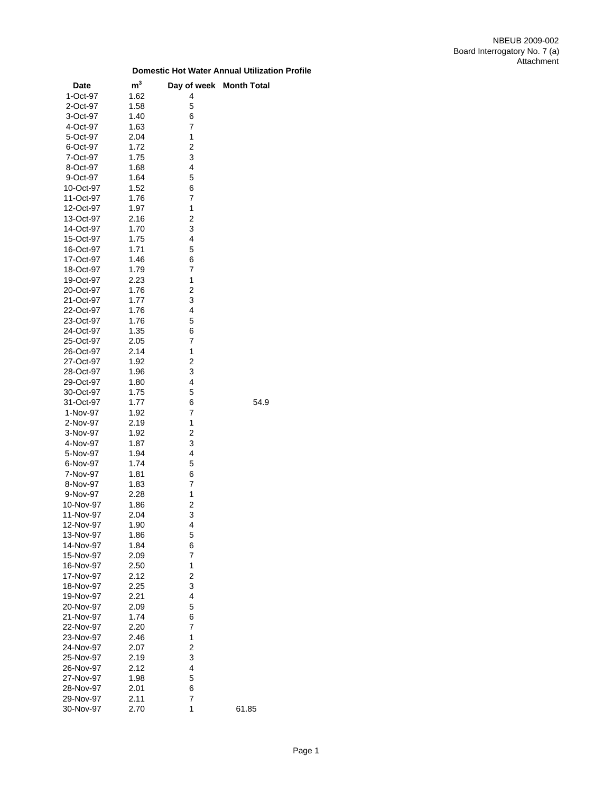| 1-Oct-97<br>1.62<br>4<br>5<br>2-Oct-97<br>1.58<br>1.40<br>6<br>3-Oct-97<br>7<br>1.63<br>4-Oct-97<br>1<br>2.04<br>5-Oct-97<br>$\overline{\mathbf{c}}$<br>6-Oct-97<br>1.72<br>3<br>7-Oct-97<br>1.75<br>4<br>8-Oct-97<br>1.68<br>5<br>1.64<br>9-Oct-97<br>10-Oct-97<br>1.52<br>6<br>$\overline{7}$<br>11-Oct-97<br>1.76<br>1<br>12-Oct-97<br>1.97<br>13-Oct-97<br>2.16<br>2<br>1.70<br>3<br>14-Oct-97<br>4<br>15-Oct-97<br>1.75<br>5<br>16-Oct-97<br>1.71<br>17-Oct-97<br>1.46<br>6<br>7<br>18-Oct-97<br>1.79<br>1<br>2.23<br>19-Oct-97<br>$\overline{c}$<br>20-Oct-97<br>1.76<br>21-Oct-97<br>3<br>1.77<br>4<br>22-Oct-97<br>1.76<br>5<br>23-Oct-97<br>1.76<br>24-Oct-97<br>1.35<br>6<br>7<br>25-Oct-97<br>2.05<br>1<br>26-Oct-97<br>2.14<br>$\overline{c}$<br>27-Oct-97<br>1.92<br>3<br>28-Oct-97<br>1.96<br>4<br>1.80<br>29-Oct-97<br>5<br>30-Oct-97<br>1.75<br>54.9<br>31-Oct-97<br>1.77<br>6<br>7<br>1-Nov-97<br>1.92<br>1<br>2-Nov-97<br>2.19<br>$\overline{\mathbf{c}}$<br>3-Nov-97<br>1.92<br>3<br>1.87<br>4-Nov-97<br>4<br>5-Nov-97<br>1.94<br>5<br>6-Nov-97<br>1.74<br>6<br>7-Nov-97<br>1.81<br>1.83<br>7<br>8-Nov-97<br>1<br>9-Nov-97<br>2.28<br>$\overline{\mathbf{c}}$<br>10-Nov-97<br>1.86<br>3<br>11-Nov-97<br>2.04<br>1.90<br>4<br>12-Nov-97<br>13-Nov-97<br>1.86<br>5<br>14-Nov-97<br>1.84<br>6<br>7<br>15-Nov-97<br>2.09<br>1<br>16-Nov-97<br>2.50<br>$\overline{\mathbf{c}}$<br>17-Nov-97<br>2.12<br>3<br>2.25<br>18-Nov-97<br>4<br>19-Nov-97<br>2.21<br>5<br>20-Nov-97<br>2.09<br>21-Nov-97<br>1.74<br>6<br>7<br>22-Nov-97<br>2.20<br>1<br>23-Nov-97<br>2.46<br>$\overline{\mathbf{c}}$<br>2.07<br>24-Nov-97<br>3<br>25-Nov-97<br>2.19<br>4<br>26-Nov-97<br>2.12<br>27-Nov-97<br>1.98<br>5<br>2.01<br>6<br>28-Nov-97<br>2.11<br>7<br>29-Nov-97<br>1<br>2.70<br>30-Nov-97<br>61.85 | <b>Date</b> | m <sup>3</sup> | Day of week Month Total |
|----------------------------------------------------------------------------------------------------------------------------------------------------------------------------------------------------------------------------------------------------------------------------------------------------------------------------------------------------------------------------------------------------------------------------------------------------------------------------------------------------------------------------------------------------------------------------------------------------------------------------------------------------------------------------------------------------------------------------------------------------------------------------------------------------------------------------------------------------------------------------------------------------------------------------------------------------------------------------------------------------------------------------------------------------------------------------------------------------------------------------------------------------------------------------------------------------------------------------------------------------------------------------------------------------------------------------------------------------------------------------------------------------------------------------------------------------------------------------------------------------------------------------------------------------------------------------------------------------------------------------------------------------------------------------------------------------------------------------------------------------------------------------------------------------|-------------|----------------|-------------------------|
|                                                                                                                                                                                                                                                                                                                                                                                                                                                                                                                                                                                                                                                                                                                                                                                                                                                                                                                                                                                                                                                                                                                                                                                                                                                                                                                                                                                                                                                                                                                                                                                                                                                                                                                                                                                                    |             |                |                         |
|                                                                                                                                                                                                                                                                                                                                                                                                                                                                                                                                                                                                                                                                                                                                                                                                                                                                                                                                                                                                                                                                                                                                                                                                                                                                                                                                                                                                                                                                                                                                                                                                                                                                                                                                                                                                    |             |                |                         |
|                                                                                                                                                                                                                                                                                                                                                                                                                                                                                                                                                                                                                                                                                                                                                                                                                                                                                                                                                                                                                                                                                                                                                                                                                                                                                                                                                                                                                                                                                                                                                                                                                                                                                                                                                                                                    |             |                |                         |
|                                                                                                                                                                                                                                                                                                                                                                                                                                                                                                                                                                                                                                                                                                                                                                                                                                                                                                                                                                                                                                                                                                                                                                                                                                                                                                                                                                                                                                                                                                                                                                                                                                                                                                                                                                                                    |             |                |                         |
|                                                                                                                                                                                                                                                                                                                                                                                                                                                                                                                                                                                                                                                                                                                                                                                                                                                                                                                                                                                                                                                                                                                                                                                                                                                                                                                                                                                                                                                                                                                                                                                                                                                                                                                                                                                                    |             |                |                         |
|                                                                                                                                                                                                                                                                                                                                                                                                                                                                                                                                                                                                                                                                                                                                                                                                                                                                                                                                                                                                                                                                                                                                                                                                                                                                                                                                                                                                                                                                                                                                                                                                                                                                                                                                                                                                    |             |                |                         |
|                                                                                                                                                                                                                                                                                                                                                                                                                                                                                                                                                                                                                                                                                                                                                                                                                                                                                                                                                                                                                                                                                                                                                                                                                                                                                                                                                                                                                                                                                                                                                                                                                                                                                                                                                                                                    |             |                |                         |
|                                                                                                                                                                                                                                                                                                                                                                                                                                                                                                                                                                                                                                                                                                                                                                                                                                                                                                                                                                                                                                                                                                                                                                                                                                                                                                                                                                                                                                                                                                                                                                                                                                                                                                                                                                                                    |             |                |                         |
|                                                                                                                                                                                                                                                                                                                                                                                                                                                                                                                                                                                                                                                                                                                                                                                                                                                                                                                                                                                                                                                                                                                                                                                                                                                                                                                                                                                                                                                                                                                                                                                                                                                                                                                                                                                                    |             |                |                         |
|                                                                                                                                                                                                                                                                                                                                                                                                                                                                                                                                                                                                                                                                                                                                                                                                                                                                                                                                                                                                                                                                                                                                                                                                                                                                                                                                                                                                                                                                                                                                                                                                                                                                                                                                                                                                    |             |                |                         |
|                                                                                                                                                                                                                                                                                                                                                                                                                                                                                                                                                                                                                                                                                                                                                                                                                                                                                                                                                                                                                                                                                                                                                                                                                                                                                                                                                                                                                                                                                                                                                                                                                                                                                                                                                                                                    |             |                |                         |
|                                                                                                                                                                                                                                                                                                                                                                                                                                                                                                                                                                                                                                                                                                                                                                                                                                                                                                                                                                                                                                                                                                                                                                                                                                                                                                                                                                                                                                                                                                                                                                                                                                                                                                                                                                                                    |             |                |                         |
|                                                                                                                                                                                                                                                                                                                                                                                                                                                                                                                                                                                                                                                                                                                                                                                                                                                                                                                                                                                                                                                                                                                                                                                                                                                                                                                                                                                                                                                                                                                                                                                                                                                                                                                                                                                                    |             |                |                         |
|                                                                                                                                                                                                                                                                                                                                                                                                                                                                                                                                                                                                                                                                                                                                                                                                                                                                                                                                                                                                                                                                                                                                                                                                                                                                                                                                                                                                                                                                                                                                                                                                                                                                                                                                                                                                    |             |                |                         |
|                                                                                                                                                                                                                                                                                                                                                                                                                                                                                                                                                                                                                                                                                                                                                                                                                                                                                                                                                                                                                                                                                                                                                                                                                                                                                                                                                                                                                                                                                                                                                                                                                                                                                                                                                                                                    |             |                |                         |
|                                                                                                                                                                                                                                                                                                                                                                                                                                                                                                                                                                                                                                                                                                                                                                                                                                                                                                                                                                                                                                                                                                                                                                                                                                                                                                                                                                                                                                                                                                                                                                                                                                                                                                                                                                                                    |             |                |                         |
|                                                                                                                                                                                                                                                                                                                                                                                                                                                                                                                                                                                                                                                                                                                                                                                                                                                                                                                                                                                                                                                                                                                                                                                                                                                                                                                                                                                                                                                                                                                                                                                                                                                                                                                                                                                                    |             |                |                         |
|                                                                                                                                                                                                                                                                                                                                                                                                                                                                                                                                                                                                                                                                                                                                                                                                                                                                                                                                                                                                                                                                                                                                                                                                                                                                                                                                                                                                                                                                                                                                                                                                                                                                                                                                                                                                    |             |                |                         |
|                                                                                                                                                                                                                                                                                                                                                                                                                                                                                                                                                                                                                                                                                                                                                                                                                                                                                                                                                                                                                                                                                                                                                                                                                                                                                                                                                                                                                                                                                                                                                                                                                                                                                                                                                                                                    |             |                |                         |
|                                                                                                                                                                                                                                                                                                                                                                                                                                                                                                                                                                                                                                                                                                                                                                                                                                                                                                                                                                                                                                                                                                                                                                                                                                                                                                                                                                                                                                                                                                                                                                                                                                                                                                                                                                                                    |             |                |                         |
|                                                                                                                                                                                                                                                                                                                                                                                                                                                                                                                                                                                                                                                                                                                                                                                                                                                                                                                                                                                                                                                                                                                                                                                                                                                                                                                                                                                                                                                                                                                                                                                                                                                                                                                                                                                                    |             |                |                         |
|                                                                                                                                                                                                                                                                                                                                                                                                                                                                                                                                                                                                                                                                                                                                                                                                                                                                                                                                                                                                                                                                                                                                                                                                                                                                                                                                                                                                                                                                                                                                                                                                                                                                                                                                                                                                    |             |                |                         |
|                                                                                                                                                                                                                                                                                                                                                                                                                                                                                                                                                                                                                                                                                                                                                                                                                                                                                                                                                                                                                                                                                                                                                                                                                                                                                                                                                                                                                                                                                                                                                                                                                                                                                                                                                                                                    |             |                |                         |
|                                                                                                                                                                                                                                                                                                                                                                                                                                                                                                                                                                                                                                                                                                                                                                                                                                                                                                                                                                                                                                                                                                                                                                                                                                                                                                                                                                                                                                                                                                                                                                                                                                                                                                                                                                                                    |             |                |                         |
|                                                                                                                                                                                                                                                                                                                                                                                                                                                                                                                                                                                                                                                                                                                                                                                                                                                                                                                                                                                                                                                                                                                                                                                                                                                                                                                                                                                                                                                                                                                                                                                                                                                                                                                                                                                                    |             |                |                         |
|                                                                                                                                                                                                                                                                                                                                                                                                                                                                                                                                                                                                                                                                                                                                                                                                                                                                                                                                                                                                                                                                                                                                                                                                                                                                                                                                                                                                                                                                                                                                                                                                                                                                                                                                                                                                    |             |                |                         |
|                                                                                                                                                                                                                                                                                                                                                                                                                                                                                                                                                                                                                                                                                                                                                                                                                                                                                                                                                                                                                                                                                                                                                                                                                                                                                                                                                                                                                                                                                                                                                                                                                                                                                                                                                                                                    |             |                |                         |
|                                                                                                                                                                                                                                                                                                                                                                                                                                                                                                                                                                                                                                                                                                                                                                                                                                                                                                                                                                                                                                                                                                                                                                                                                                                                                                                                                                                                                                                                                                                                                                                                                                                                                                                                                                                                    |             |                |                         |
|                                                                                                                                                                                                                                                                                                                                                                                                                                                                                                                                                                                                                                                                                                                                                                                                                                                                                                                                                                                                                                                                                                                                                                                                                                                                                                                                                                                                                                                                                                                                                                                                                                                                                                                                                                                                    |             |                |                         |
|                                                                                                                                                                                                                                                                                                                                                                                                                                                                                                                                                                                                                                                                                                                                                                                                                                                                                                                                                                                                                                                                                                                                                                                                                                                                                                                                                                                                                                                                                                                                                                                                                                                                                                                                                                                                    |             |                |                         |
|                                                                                                                                                                                                                                                                                                                                                                                                                                                                                                                                                                                                                                                                                                                                                                                                                                                                                                                                                                                                                                                                                                                                                                                                                                                                                                                                                                                                                                                                                                                                                                                                                                                                                                                                                                                                    |             |                |                         |
|                                                                                                                                                                                                                                                                                                                                                                                                                                                                                                                                                                                                                                                                                                                                                                                                                                                                                                                                                                                                                                                                                                                                                                                                                                                                                                                                                                                                                                                                                                                                                                                                                                                                                                                                                                                                    |             |                |                         |
|                                                                                                                                                                                                                                                                                                                                                                                                                                                                                                                                                                                                                                                                                                                                                                                                                                                                                                                                                                                                                                                                                                                                                                                                                                                                                                                                                                                                                                                                                                                                                                                                                                                                                                                                                                                                    |             |                |                         |
|                                                                                                                                                                                                                                                                                                                                                                                                                                                                                                                                                                                                                                                                                                                                                                                                                                                                                                                                                                                                                                                                                                                                                                                                                                                                                                                                                                                                                                                                                                                                                                                                                                                                                                                                                                                                    |             |                |                         |
|                                                                                                                                                                                                                                                                                                                                                                                                                                                                                                                                                                                                                                                                                                                                                                                                                                                                                                                                                                                                                                                                                                                                                                                                                                                                                                                                                                                                                                                                                                                                                                                                                                                                                                                                                                                                    |             |                |                         |
|                                                                                                                                                                                                                                                                                                                                                                                                                                                                                                                                                                                                                                                                                                                                                                                                                                                                                                                                                                                                                                                                                                                                                                                                                                                                                                                                                                                                                                                                                                                                                                                                                                                                                                                                                                                                    |             |                |                         |
|                                                                                                                                                                                                                                                                                                                                                                                                                                                                                                                                                                                                                                                                                                                                                                                                                                                                                                                                                                                                                                                                                                                                                                                                                                                                                                                                                                                                                                                                                                                                                                                                                                                                                                                                                                                                    |             |                |                         |
|                                                                                                                                                                                                                                                                                                                                                                                                                                                                                                                                                                                                                                                                                                                                                                                                                                                                                                                                                                                                                                                                                                                                                                                                                                                                                                                                                                                                                                                                                                                                                                                                                                                                                                                                                                                                    |             |                |                         |
|                                                                                                                                                                                                                                                                                                                                                                                                                                                                                                                                                                                                                                                                                                                                                                                                                                                                                                                                                                                                                                                                                                                                                                                                                                                                                                                                                                                                                                                                                                                                                                                                                                                                                                                                                                                                    |             |                |                         |
|                                                                                                                                                                                                                                                                                                                                                                                                                                                                                                                                                                                                                                                                                                                                                                                                                                                                                                                                                                                                                                                                                                                                                                                                                                                                                                                                                                                                                                                                                                                                                                                                                                                                                                                                                                                                    |             |                |                         |
|                                                                                                                                                                                                                                                                                                                                                                                                                                                                                                                                                                                                                                                                                                                                                                                                                                                                                                                                                                                                                                                                                                                                                                                                                                                                                                                                                                                                                                                                                                                                                                                                                                                                                                                                                                                                    |             |                |                         |
|                                                                                                                                                                                                                                                                                                                                                                                                                                                                                                                                                                                                                                                                                                                                                                                                                                                                                                                                                                                                                                                                                                                                                                                                                                                                                                                                                                                                                                                                                                                                                                                                                                                                                                                                                                                                    |             |                |                         |
|                                                                                                                                                                                                                                                                                                                                                                                                                                                                                                                                                                                                                                                                                                                                                                                                                                                                                                                                                                                                                                                                                                                                                                                                                                                                                                                                                                                                                                                                                                                                                                                                                                                                                                                                                                                                    |             |                |                         |
|                                                                                                                                                                                                                                                                                                                                                                                                                                                                                                                                                                                                                                                                                                                                                                                                                                                                                                                                                                                                                                                                                                                                                                                                                                                                                                                                                                                                                                                                                                                                                                                                                                                                                                                                                                                                    |             |                |                         |
|                                                                                                                                                                                                                                                                                                                                                                                                                                                                                                                                                                                                                                                                                                                                                                                                                                                                                                                                                                                                                                                                                                                                                                                                                                                                                                                                                                                                                                                                                                                                                                                                                                                                                                                                                                                                    |             |                |                         |
|                                                                                                                                                                                                                                                                                                                                                                                                                                                                                                                                                                                                                                                                                                                                                                                                                                                                                                                                                                                                                                                                                                                                                                                                                                                                                                                                                                                                                                                                                                                                                                                                                                                                                                                                                                                                    |             |                |                         |
|                                                                                                                                                                                                                                                                                                                                                                                                                                                                                                                                                                                                                                                                                                                                                                                                                                                                                                                                                                                                                                                                                                                                                                                                                                                                                                                                                                                                                                                                                                                                                                                                                                                                                                                                                                                                    |             |                |                         |
|                                                                                                                                                                                                                                                                                                                                                                                                                                                                                                                                                                                                                                                                                                                                                                                                                                                                                                                                                                                                                                                                                                                                                                                                                                                                                                                                                                                                                                                                                                                                                                                                                                                                                                                                                                                                    |             |                |                         |
|                                                                                                                                                                                                                                                                                                                                                                                                                                                                                                                                                                                                                                                                                                                                                                                                                                                                                                                                                                                                                                                                                                                                                                                                                                                                                                                                                                                                                                                                                                                                                                                                                                                                                                                                                                                                    |             |                |                         |
|                                                                                                                                                                                                                                                                                                                                                                                                                                                                                                                                                                                                                                                                                                                                                                                                                                                                                                                                                                                                                                                                                                                                                                                                                                                                                                                                                                                                                                                                                                                                                                                                                                                                                                                                                                                                    |             |                |                         |
|                                                                                                                                                                                                                                                                                                                                                                                                                                                                                                                                                                                                                                                                                                                                                                                                                                                                                                                                                                                                                                                                                                                                                                                                                                                                                                                                                                                                                                                                                                                                                                                                                                                                                                                                                                                                    |             |                |                         |
|                                                                                                                                                                                                                                                                                                                                                                                                                                                                                                                                                                                                                                                                                                                                                                                                                                                                                                                                                                                                                                                                                                                                                                                                                                                                                                                                                                                                                                                                                                                                                                                                                                                                                                                                                                                                    |             |                |                         |
|                                                                                                                                                                                                                                                                                                                                                                                                                                                                                                                                                                                                                                                                                                                                                                                                                                                                                                                                                                                                                                                                                                                                                                                                                                                                                                                                                                                                                                                                                                                                                                                                                                                                                                                                                                                                    |             |                |                         |
|                                                                                                                                                                                                                                                                                                                                                                                                                                                                                                                                                                                                                                                                                                                                                                                                                                                                                                                                                                                                                                                                                                                                                                                                                                                                                                                                                                                                                                                                                                                                                                                                                                                                                                                                                                                                    |             |                |                         |
|                                                                                                                                                                                                                                                                                                                                                                                                                                                                                                                                                                                                                                                                                                                                                                                                                                                                                                                                                                                                                                                                                                                                                                                                                                                                                                                                                                                                                                                                                                                                                                                                                                                                                                                                                                                                    |             |                |                         |
|                                                                                                                                                                                                                                                                                                                                                                                                                                                                                                                                                                                                                                                                                                                                                                                                                                                                                                                                                                                                                                                                                                                                                                                                                                                                                                                                                                                                                                                                                                                                                                                                                                                                                                                                                                                                    |             |                |                         |
|                                                                                                                                                                                                                                                                                                                                                                                                                                                                                                                                                                                                                                                                                                                                                                                                                                                                                                                                                                                                                                                                                                                                                                                                                                                                                                                                                                                                                                                                                                                                                                                                                                                                                                                                                                                                    |             |                |                         |
|                                                                                                                                                                                                                                                                                                                                                                                                                                                                                                                                                                                                                                                                                                                                                                                                                                                                                                                                                                                                                                                                                                                                                                                                                                                                                                                                                                                                                                                                                                                                                                                                                                                                                                                                                                                                    |             |                |                         |
|                                                                                                                                                                                                                                                                                                                                                                                                                                                                                                                                                                                                                                                                                                                                                                                                                                                                                                                                                                                                                                                                                                                                                                                                                                                                                                                                                                                                                                                                                                                                                                                                                                                                                                                                                                                                    |             |                |                         |
|                                                                                                                                                                                                                                                                                                                                                                                                                                                                                                                                                                                                                                                                                                                                                                                                                                                                                                                                                                                                                                                                                                                                                                                                                                                                                                                                                                                                                                                                                                                                                                                                                                                                                                                                                                                                    |             |                |                         |
|                                                                                                                                                                                                                                                                                                                                                                                                                                                                                                                                                                                                                                                                                                                                                                                                                                                                                                                                                                                                                                                                                                                                                                                                                                                                                                                                                                                                                                                                                                                                                                                                                                                                                                                                                                                                    |             |                |                         |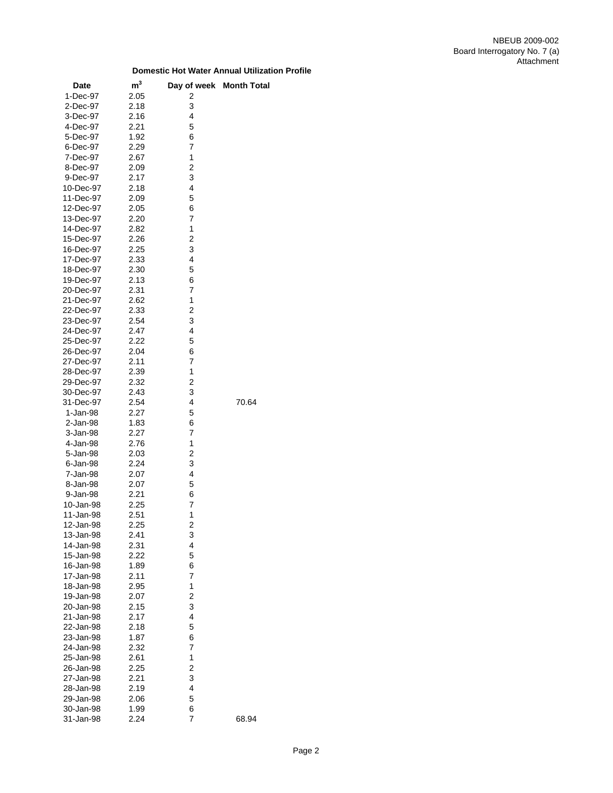| <b>Date</b> | m <sup>3</sup> |                         | Day of week Month Total |
|-------------|----------------|-------------------------|-------------------------|
| 1-Dec-97    | 2.05           | 2                       |                         |
| 2-Dec-97    | 2.18           | 3                       |                         |
| 3-Dec-97    | 2.16           | 4                       |                         |
| 4-Dec-97    | 2.21           | 5                       |                         |
| 5-Dec-97    | 1.92           | 6                       |                         |
| 6-Dec-97    | 2.29           | 7                       |                         |
| 7-Dec-97    | 2.67           | 1                       |                         |
| 8-Dec-97    | 2.09           | 2                       |                         |
| 9-Dec-97    | 2.17           | 3                       |                         |
| 10-Dec-97   | 2.18           | 4                       |                         |
| 11-Dec-97   | 2.09           | 5                       |                         |
| 12-Dec-97   | 2.05           | 6                       |                         |
| 13-Dec-97   | 2.20           | 7                       |                         |
| 14-Dec-97   | 2.82           | 1                       |                         |
| 15-Dec-97   | 2.26           | 2                       |                         |
| 16-Dec-97   | 2.25           | 3                       |                         |
| 17-Dec-97   | 2.33           | 4                       |                         |
| 18-Dec-97   | 2.30           | 5                       |                         |
| 19-Dec-97   | 2.13           | 6                       |                         |
| 20-Dec-97   | 2.31           | 7                       |                         |
| 21-Dec-97   | 2.62           | 1                       |                         |
| 22-Dec-97   | 2.33           | $\overline{c}$          |                         |
| 23-Dec-97   | 2.54           | 3                       |                         |
| 24-Dec-97   | 2.47           | 4                       |                         |
| 25-Dec-97   | 2.22           | 5                       |                         |
| 26-Dec-97   | 2.04           | 6                       |                         |
| 27-Dec-97   | 2.11           | 7                       |                         |
| 28-Dec-97   | 2.39           | 1                       |                         |
| 29-Dec-97   | 2.32           | $\overline{c}$          |                         |
| 30-Dec-97   | 2.43           | 3                       |                         |
| 31-Dec-97   | 2.54           | 4                       | 70.64                   |
| 1-Jan-98    | 2.27           | 5                       |                         |
| 2-Jan-98    | 1.83           | 6                       |                         |
| 3-Jan-98    | 2.27           | 7                       |                         |
| 4-Jan-98    | 2.76           | 1                       |                         |
| 5-Jan-98    | 2.03           | 2                       |                         |
| 6-Jan-98    | 2.24           | 3                       |                         |
| 7-Jan-98    | 2.07           | 4                       |                         |
| 8-Jan-98    | 2.07           | 5                       |                         |
| 9-Jan-98    | 2.21           | 6                       |                         |
| 10-Jan-98   | 2.25           | 7                       |                         |
| 11-Jan-98   | 2.51           | 1                       |                         |
| 12-Jan-98   | 2.25           | $\overline{\mathbf{c}}$ |                         |
| 13-Jan-98   | 2.41           | 3                       |                         |
| 14-Jan-98   | 2.31           | 4                       |                         |
| 15-Jan-98   | 2.22           | 5                       |                         |
| 16-Jan-98   | 1.89           | 6                       |                         |
| 17-Jan-98   | 2.11           | 7                       |                         |
| 18-Jan-98   | 2.95           | 1                       |                         |
| 19-Jan-98   | 2.07           | 2                       |                         |
| 20-Jan-98   | 2.15           | 3                       |                         |
| 21-Jan-98   | 2.17           | 4                       |                         |
| 22-Jan-98   | 2.18           | 5                       |                         |
| 23-Jan-98   | 1.87           | 6                       |                         |
| 24-Jan-98   | 2.32           | 7                       |                         |
| 25-Jan-98   | 2.61           | 1                       |                         |
| 26-Jan-98   | 2.25           | $\overline{c}$          |                         |
| 27-Jan-98   | 2.21           | 3                       |                         |
| 28-Jan-98   | 2.19           | 4                       |                         |
| 29-Jan-98   | 2.06           | 5                       |                         |
| 30-Jan-98   | 1.99           | 6                       |                         |
| 31-Jan-98   | 2.24           | 7                       | 68.94                   |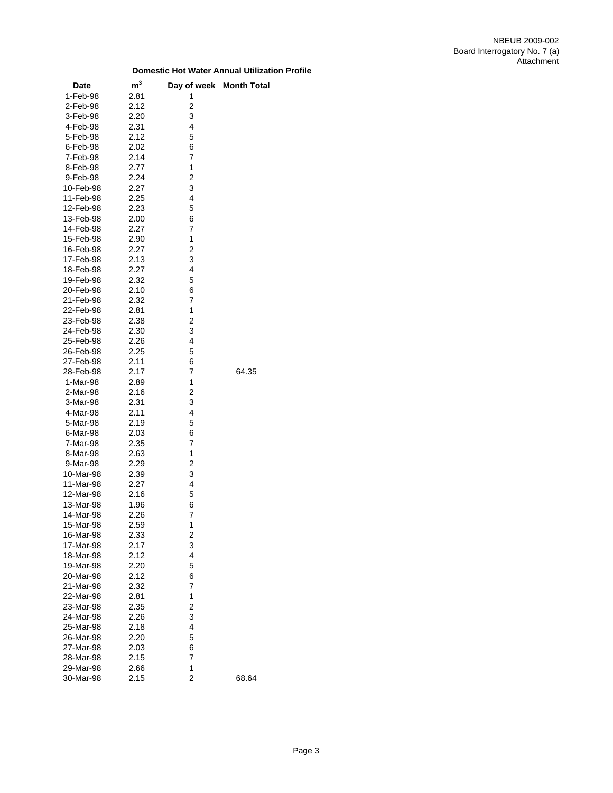| Date                   | $\mathsf{m}^3$ | Day of week Month Total |       |
|------------------------|----------------|-------------------------|-------|
| 1-Feb-98               | 2.81           | 1                       |       |
| 2-Feb-98               | 2.12           | 2                       |       |
| 3-Feb-98               | 2.20           | 3                       |       |
|                        |                | $\overline{\mathbf{4}}$ |       |
| 4-Feb-98               | 2.31           |                         |       |
| 5-Feb-98               | 2.12           | 5                       |       |
| 6-Feb-98               | 2.02           | 6                       |       |
| 7-Feb-98               | 2.14           | 7                       |       |
| 8-Feb-98               | 2.77           | 1                       |       |
| 9-Feb-98               | 2.24           | $\overline{c}$          |       |
| 10-Feb-98              | 2.27           | 3                       |       |
| 11-Feb-98              | 2.25           | $\overline{\mathbf{4}}$ |       |
| 12-Feb-98              | 2.23           | 5                       |       |
| 13-Feb-98              | 2.00           | 6                       |       |
| 14-Feb-98              | 2.27           | 7                       |       |
| 15-Feb-98              | 2.90           | 1                       |       |
| 16-Feb-98              | 2.27           | 2                       |       |
| 17-Feb-98              | 2.13           | 3                       |       |
| 18-Feb-98              | 2.27           | 4                       |       |
| 19-Feb-98              | 2.32           | 5                       |       |
| 20-Feb-98              | 2.10           | 6                       |       |
| 21-Feb-98              | 2.32           | $\overline{7}$          |       |
| 22-Feb-98              | 2.81           | 1                       |       |
| 23-Feb-98              | 2.38           | 2                       |       |
| 24-Feb-98              | 2.30           | 3                       |       |
| 25-Feb-98              | 2.26           | 4                       |       |
| 26-Feb-98              | 2.25           | 5                       |       |
| 27-Feb-98              | 2.11           | 6                       |       |
| 28-Feb-98              | 2.17           | $\overline{7}$          | 64.35 |
| 1-Mar-98               | 2.89           | 1                       |       |
| 2-Mar-98               | 2.16           | $\overline{c}$          |       |
| 3-Mar-98               | 2.31           | 3                       |       |
| 4-Mar-98               | 2.11           | 4                       |       |
| 5-Mar-98               | 2.19           | 5                       |       |
| 6-Mar-98               | 2.03           | 6                       |       |
| 7-Mar-98               | 2.35           | 7                       |       |
| 8-Mar-98               | 2.63           | 1                       |       |
| 9-Mar-98               | 2.29           | 2                       |       |
| 10-Mar-98              | 2.39           | 3                       |       |
| 11-Mar-98              | 2.27           | 4                       |       |
| 12-Mar-98              | 2.16           | 5                       |       |
| 13-Mar-98              | 1.96           | 6                       |       |
| 14-Mar-98              | 2.26           | $\overline{7}$          |       |
| 15-Mar-98              | 2.59           | 1                       |       |
| 16-Mar-98              | 2.33           | 2                       |       |
| 17-Mar-98              | 2.17           | 3                       |       |
| 18-Mar-98              | 2.12           | 4                       |       |
| 19-Mar-98              | 2.20           | 5                       |       |
| 20-Mar-98              | 2.12           | 6                       |       |
|                        | 2.32           | 7                       |       |
| 21-Mar-98<br>22-Mar-98 | 2.81           | 1                       |       |
|                        |                |                         |       |
| 23-Mar-98              | 2.35           | 2                       |       |
| 24-Mar-98              | 2.26           | 3                       |       |
| 25-Mar-98              | 2.18           | 4                       |       |
| 26-Mar-98              | 2.20           | 5                       |       |
| 27-Mar-98              | 2.03           | 6                       |       |
| 28-Mar-98              | 2.15           | 7                       |       |
| 29-Mar-98              | 2.66           | 1                       |       |
| 30-Mar-98              | 2.15           | 2                       | 68.64 |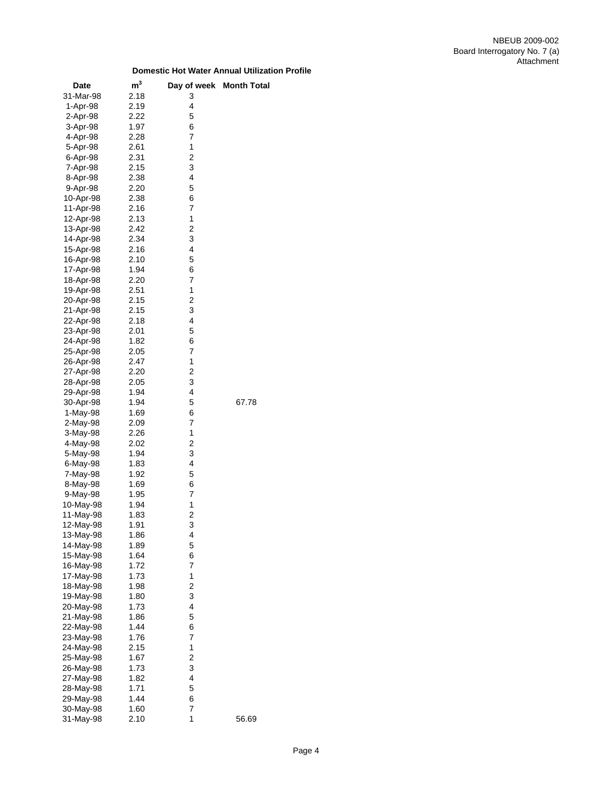| Date      | m <sup>3</sup> | Day of week    | <b>Month Total</b> |
|-----------|----------------|----------------|--------------------|
| 31-Mar-98 | 2.18           | 3              |                    |
| 1-Apr-98  | 2.19           | 4              |                    |
| 2-Apr-98  | 2.22           | 5              |                    |
| 3-Apr-98  | 1.97           | 6              |                    |
| 4-Apr-98  | 2.28           | 7              |                    |
| 5-Apr-98  | 2.61           | 1              |                    |
| 6-Apr-98  | 2.31           | 2              |                    |
| 7-Apr-98  | 2.15           | 3              |                    |
| 8-Apr-98  | 2.38           | 4              |                    |
| 9-Apr-98  | 2.20           | 5              |                    |
| 10-Apr-98 | 2.38           | 6              |                    |
| 11-Apr-98 | 2.16           | 7              |                    |
| 12-Apr-98 | 2.13           | 1              |                    |
| 13-Apr-98 | 2.42           | 2              |                    |
| 14-Apr-98 | 2.34           | 3              |                    |
| 15-Apr-98 | 2.16           | 4              |                    |
| 16-Apr-98 | 2.10           | 5              |                    |
| 17-Apr-98 | 1.94           | 6              |                    |
| 18-Apr-98 | 2.20           | 7              |                    |
| 19-Apr-98 | 2.51           | 1              |                    |
| 20-Apr-98 | 2.15           | $\overline{c}$ |                    |
| 21-Apr-98 | 2.15           | 3              |                    |
| 22-Apr-98 | 2.18           | 4              |                    |
| 23-Apr-98 | 2.01           | 5              |                    |
| 24-Apr-98 | 1.82           | 6              |                    |
| 25-Apr-98 | 2.05           | 7              |                    |
| 26-Apr-98 | 2.47           | 1              |                    |
| 27-Apr-98 | 2.20           | 2              |                    |
| 28-Apr-98 | 2.05           | 3              |                    |
| 29-Apr-98 | 1.94           | 4              |                    |
| 30-Apr-98 | 1.94           | 5              | 67.78              |
| 1-May-98  | 1.69           | 6              |                    |
| 2-May-98  | 2.09           | 7              |                    |
| 3-May-98  | 2.26           | 1              |                    |
| 4-May-98  | 2.02           | 2              |                    |
| 5-May-98  | 1.94           | 3              |                    |
| 6-May-98  | 1.83           | 4              |                    |
| 7-May-98  | 1.92           | 5              |                    |
| 8-May-98  | 1.69           | 6              |                    |
| 9-May-98  | 1.95           | 7              |                    |
| 10-May-98 | 1.94           | 1              |                    |
| 11-May-98 | 1.83           | 2              |                    |
| 12-May-98 | 1.91           | 3              |                    |
| 13-May-98 | 1.86           | 4              |                    |
| 14-May-98 | 1.89           | 5              |                    |
| 15-May-98 | 1.64           | 6              |                    |
| 16-May-98 | 1.72           | 7              |                    |
| 17-May-98 | 1.73           | 1              |                    |
| 18-May-98 | 1.98           | 2              |                    |
| 19-May-98 | 1.80           | 3              |                    |
| 20-May-98 | 1.73           | 4              |                    |
| 21-May-98 | 1.86           | 5              |                    |
| 22-May-98 | 1.44           | 6              |                    |
| 23-May-98 | 1.76           | 7              |                    |
| 24-May-98 | 2.15           | 1              |                    |
| 25-May-98 | 1.67           | 2              |                    |
| 26-May-98 | 1.73           | 3              |                    |
| 27-May-98 | 1.82           | 4              |                    |
| 28-May-98 | 1.71           | 5              |                    |
| 29-May-98 | 1.44           | 6              |                    |
| 30-May-98 | 1.60           | 7              |                    |
| 31-May-98 | 2.10           | 1              | 56.69              |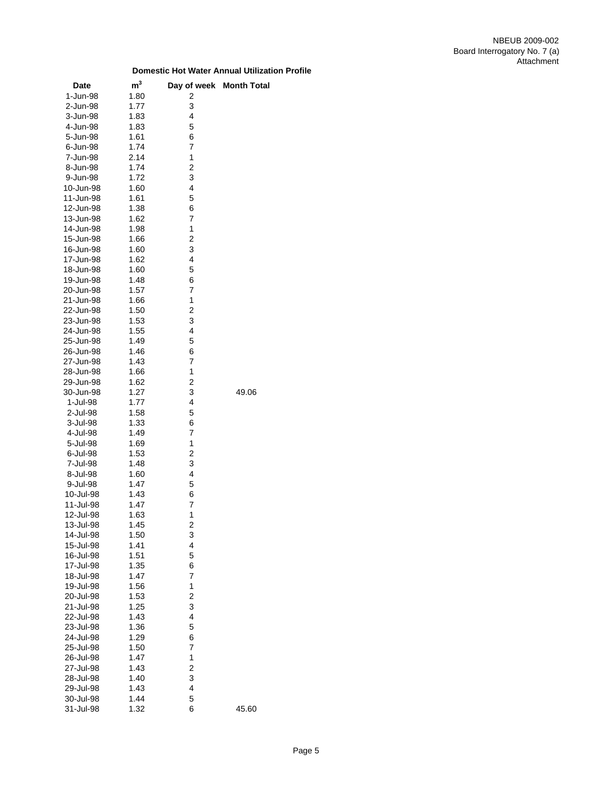| Date                   | $\mathsf{m}^3$ |                         | Day of week Month Total |
|------------------------|----------------|-------------------------|-------------------------|
| 1-Jun-98               | 1.80           | 2                       |                         |
| 2-Jun-98               | 1.77           | 3                       |                         |
| 3-Jun-98               | 1.83           | 4                       |                         |
| 4-Jun-98               | 1.83           | 5                       |                         |
| 5-Jun-98               | 1.61           | 6                       |                         |
| 6-Jun-98               | 1.74           | 7                       |                         |
| 7-Jun-98               | 2.14           | 1                       |                         |
| 8-Jun-98               | 1.74           | $\overline{\mathbf{c}}$ |                         |
| 9-Jun-98               | 1.72           | 3                       |                         |
| 10-Jun-98              | 1.60           | 4                       |                         |
| 11-Jun-98              | 1.61           | 5                       |                         |
| 12-Jun-98              | 1.38           | 6                       |                         |
| 13-Jun-98              | 1.62           | 7                       |                         |
| 14-Jun-98              | 1.98           | 1                       |                         |
| 15-Jun-98              | 1.66           | $\overline{\mathbf{c}}$ |                         |
| 16-Jun-98              | 1.60           | 3                       |                         |
| 17-Jun-98              | 1.62           | 4                       |                         |
| 18-Jun-98              | 1.60           | 5                       |                         |
| 19-Jun-98              | 1.48           | 6                       |                         |
| 20-Jun-98              | 1.57           | 7                       |                         |
| 21-Jun-98              | 1.66           | 1                       |                         |
| 22-Jun-98              | 1.50           | $\overline{\mathbf{c}}$ |                         |
| 23-Jun-98              | 1.53           | 3                       |                         |
| 24-Jun-98              | 1.55           | 4                       |                         |
| 25-Jun-98              | 1.49           | 5                       |                         |
| 26-Jun-98              | 1.46           | 6                       |                         |
| 27-Jun-98              | 1.43           | 7                       |                         |
| 28-Jun-98              | 1.66           | 1                       |                         |
| 29-Jun-98              | 1.62           | $\overline{\mathbf{c}}$ |                         |
| 30-Jun-98              | 1.27           | 3                       | 49.06                   |
| 1-Jul-98               | 1.77           | 4                       |                         |
| 2-Jul-98               | 1.58           | 5                       |                         |
| 3-Jul-98               | 1.33           | 6                       |                         |
| 4-Jul-98               | 1.49           | 7                       |                         |
| 5-Jul-98               | 1.69           | 1                       |                         |
| 6-Jul-98               | 1.53           | 2                       |                         |
| 7-Jul-98               | 1.48           | 3                       |                         |
| 8-Jul-98               | 1.60           | 4                       |                         |
| 9-Jul-98               | 1.47           | 5                       |                         |
| 10-Jul-98              | 1.43           | 6                       |                         |
| 11-Jul-98              | 1.47           | 7<br>1                  |                         |
| 12-Jul-98              | 1.63           | 2                       |                         |
| 13-Jul-98<br>14-Jul-98 | 1.45<br>1.50   | 3                       |                         |
| 15-Jul-98              | 1.41           | $\overline{\mathbf{4}}$ |                         |
| 16-Jul-98              | 1.51           | 5                       |                         |
| 17-Jul-98              | 1.35           | 6                       |                         |
| 18-Jul-98              | 1.47           | 7                       |                         |
| 19-Jul-98              | 1.56           | 1                       |                         |
| 20-Jul-98              | 1.53           | $\overline{\mathbf{c}}$ |                         |
| 21-Jul-98              | 1.25           | 3                       |                         |
| 22-Jul-98              | 1.43           | 4                       |                         |
| 23-Jul-98              | 1.36           | 5                       |                         |
| 24-Jul-98              | 1.29           | 6                       |                         |
| 25-Jul-98              | 1.50           | 7                       |                         |
| 26-Jul-98              | 1.47           | 1                       |                         |
| 27-Jul-98              | 1.43           | $\overline{\mathbf{c}}$ |                         |
| 28-Jul-98              | 1.40           | 3                       |                         |
| 29-Jul-98              | 1.43           | 4                       |                         |
| 30-Jul-98              | 1.44           | 5                       |                         |
| 31-Jul-98              | 1.32           | 6                       | 45.60                   |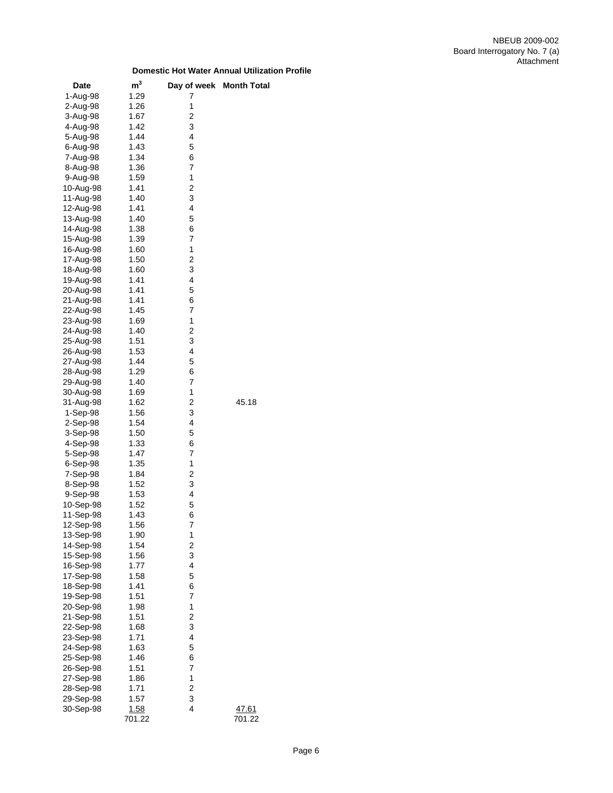| Date      | m <sup>3</sup> | Day of week             | <b>Month Total</b> |
|-----------|----------------|-------------------------|--------------------|
| 1-Aug-98  | 1.29           | 7                       |                    |
| 2-Aug-98  | 1.26           | 1                       |                    |
| 3-Aug-98  | 1.67           | 2                       |                    |
| 4-Aug-98  | 1.42           | 3                       |                    |
| 5-Aug-98  | 1.44           | 4                       |                    |
| 6-Aug-98  | 1.43           | 5                       |                    |
| 7-Aug-98  | 1.34           | 6                       |                    |
| 8-Aug-98  | 1.36           | 7                       |                    |
| 9-Aug-98  | 1.59           | 1                       |                    |
| 10-Aug-98 | 1.41           | 2                       |                    |
| 11-Aug-98 | 1.40           | 3                       |                    |
|           |                | 4                       |                    |
| 12-Aug-98 | 1.41           |                         |                    |
| 13-Aug-98 | 1.40           | 5                       |                    |
| 14-Aug-98 | 1.38           | 6                       |                    |
| 15-Aug-98 | 1.39           | 7                       |                    |
| 16-Aug-98 | 1.60           | 1                       |                    |
| 17-Aug-98 | 1.50           | $\overline{c}$          |                    |
| 18-Aug-98 | 1.60           | 3                       |                    |
| 19-Aug-98 | 1.41           | 4                       |                    |
| 20-Aug-98 | 1.41           | 5                       |                    |
| 21-Aug-98 | 1.41           | 6                       |                    |
| 22-Aug-98 | 1.45           | 7                       |                    |
| 23-Aug-98 | 1.69           | 1                       |                    |
| 24-Aug-98 | 1.40           | $\overline{c}$          |                    |
| 25-Aug-98 | 1.51           | 3                       |                    |
| 26-Aug-98 | 1.53           | 4                       |                    |
| 27-Aug-98 | 1.44           | 5                       |                    |
| 28-Aug-98 | 1.29           | 6                       |                    |
| 29-Aug-98 | 1.40           | 7                       |                    |
| 30-Aug-98 | 1.69           | 1                       |                    |
| 31-Aug-98 | 1.62           | $\overline{\mathbf{c}}$ | 45.18              |
| 1-Sep-98  | 1.56           | 3                       |                    |
| 2-Sep-98  | 1.54           | 4                       |                    |
| 3-Sep-98  | 1.50           | 5                       |                    |
| 4-Sep-98  | 1.33           | 6                       |                    |
| 5-Sep-98  | 1.47           | 7                       |                    |
| 6-Sep-98  | 1.35           | 1                       |                    |
| 7-Sep-98  | 1.84           | 2                       |                    |
| 8-Sep-98  | 1.52           | 3                       |                    |
| 9-Sep-98  | 1.53           | 4                       |                    |
|           |                |                         |                    |
| 10-Sep-98 | 1.52           | 5                       |                    |
| 11-Sep-98 | 1.43           | 6                       |                    |
| 12-Sep-98 | 1.56           | 7                       |                    |
| 13-Sep-98 | 1.90           | 1                       |                    |
| 14-Sep-98 | 1.54           | $\overline{c}$          |                    |
| 15-Sep-98 | 1.56           | 3                       |                    |
| 16-Sep-98 | 1.77           | 4                       |                    |
| 17-Sep-98 | 1.58           | 5                       |                    |
| 18-Sep-98 | 1.41           | 6                       |                    |
| 19-Sep-98 | 1.51           | 7                       |                    |
| 20-Sep-98 | 1.98           | 1                       |                    |
| 21-Sep-98 | 1.51           | $\overline{c}$          |                    |
| 22-Sep-98 | 1.68           | 3                       |                    |
| 23-Sep-98 | 1.71           | 4                       |                    |
| 24-Sep-98 | 1.63           | 5                       |                    |
| 25-Sep-98 | 1.46           | 6                       |                    |
| 26-Sep-98 | 1.51           | 7                       |                    |
| 27-Sep-98 | 1.86           | 1                       |                    |
| 28-Sep-98 | 1.71           | $\overline{\mathbf{c}}$ |                    |
| 29-Sep-98 | 1.57           | 3                       |                    |
| 30-Sep-98 | <u>1.58</u>    | 4                       | 47.61              |
|           | 701.22         |                         | 701.22             |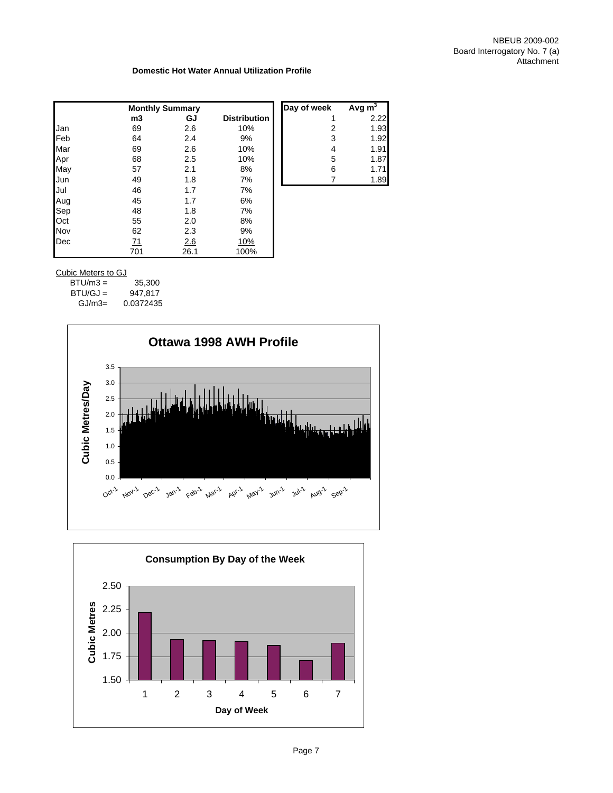|            | <b>Monthly Summary</b> |      |                     | Day of week | Avg $m^3$ |
|------------|------------------------|------|---------------------|-------------|-----------|
|            | m3                     | GJ   | <b>Distribution</b> |             | 2.22      |
| Jan        | 69                     | 2.6  | 10%                 | 2           | 1.93      |
| <b>Feb</b> | 64                     | 2.4  | 9%                  | 3           | 1.92      |
| Mar        | 69                     | 2.6  | 10%                 | 4           | 1.91      |
| Apr        | 68                     | 2.5  | 10%                 | 5           | 1.87      |
| May        | 57                     | 2.1  | 8%                  | 6           | 1.71      |
| Jun        | 49                     | 1.8  | 7%                  |             | 1.89      |
| Jul        | 46                     | 1.7  | 7%                  |             |           |
| Aug        | 45                     | 1.7  | 6%                  |             |           |
| Sep        | 48                     | 1.8  | 7%                  |             |           |
| Oct        | 55                     | 2.0  | 8%                  |             |           |
| Nov        | 62                     | 2.3  | 9%                  |             |           |
| Dec        | <u>71</u>              | 2.6  | <u>10%</u>          |             |           |
|            | 701                    | 26.1 | 100%                |             |           |

## Cubic Meters to GJ

| $BTU/m3 =$ | 35,300    |
|------------|-----------|
| $BTU/GJ =$ | 947.817   |
| $GJ/m3=$   | 0.0372435 |



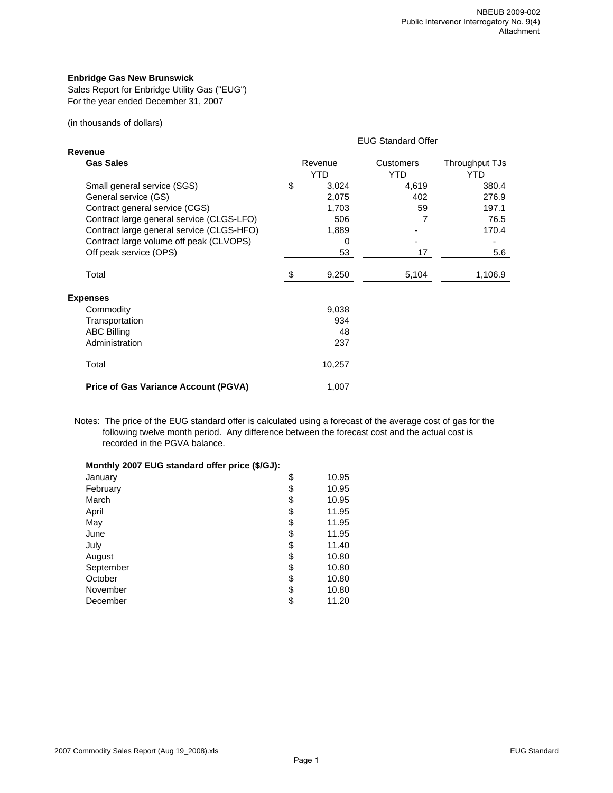## **Enbridge Gas New Brunswick**

Sales Report for Enbridge Utility Gas ("EUG") For the year ended December 31, 2007

## (in thousands of dollars)

|                                                                                                                                                                                                                                                      | <b>EUG Standard Offer</b>                                |                               |                                                 |  |  |
|------------------------------------------------------------------------------------------------------------------------------------------------------------------------------------------------------------------------------------------------------|----------------------------------------------------------|-------------------------------|-------------------------------------------------|--|--|
| Revenue                                                                                                                                                                                                                                              |                                                          |                               |                                                 |  |  |
| <b>Gas Sales</b>                                                                                                                                                                                                                                     | Revenue<br><b>YTD</b>                                    | Customers<br><b>YTD</b>       | Throughput TJs<br>YTD                           |  |  |
| Small general service (SGS)<br>General service (GS)<br>Contract general service (CGS)<br>Contract large general service (CLGS-LFO)<br>Contract large general service (CLGS-HFO)<br>Contract large volume off peak (CLVOPS)<br>Off peak service (OPS) | \$<br>3,024<br>2,075<br>1,703<br>506<br>1,889<br>0<br>53 | 4,619<br>402<br>59<br>7<br>17 | 380.4<br>276.9<br>197.1<br>76.5<br>170.4<br>5.6 |  |  |
| Total                                                                                                                                                                                                                                                | 9,250                                                    | 5,104                         | 1,106.9                                         |  |  |
| <b>Expenses</b>                                                                                                                                                                                                                                      |                                                          |                               |                                                 |  |  |
| Commodity                                                                                                                                                                                                                                            | 9,038                                                    |                               |                                                 |  |  |
| Transportation                                                                                                                                                                                                                                       | 934                                                      |                               |                                                 |  |  |
| <b>ABC Billing</b>                                                                                                                                                                                                                                   | 48                                                       |                               |                                                 |  |  |
| Administration                                                                                                                                                                                                                                       | 237                                                      |                               |                                                 |  |  |
| Total                                                                                                                                                                                                                                                | 10,257                                                   |                               |                                                 |  |  |
| <b>Price of Gas Variance Account (PGVA)</b>                                                                                                                                                                                                          | 1,007                                                    |                               |                                                 |  |  |

Notes: The price of the EUG standard offer is calculated using a forecast of the average cost of gas for the following twelve month period. Any difference between the forecast cost and the actual cost is recorded in the PGVA balance.

| Monthly 2007 EUG standard offer price (\$/GJ): |             |
|------------------------------------------------|-------------|
| January                                        | \$<br>10.95 |
| February                                       | \$<br>10.95 |
| March                                          | \$<br>10.95 |
| April                                          | \$<br>11.95 |
| May                                            | \$<br>11.95 |
| June                                           | \$<br>11.95 |
| July                                           | \$<br>11.40 |
| August                                         | \$<br>10.80 |
| September                                      | \$<br>10.80 |
| October                                        | \$<br>10.80 |
| November                                       | \$<br>10.80 |
| December                                       | \$<br>11.20 |